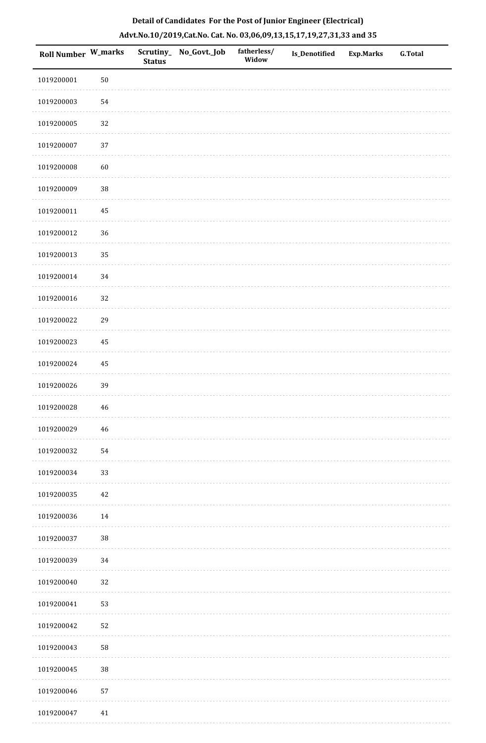|  |  | Detail of Candidates For the Post of Junior Engineer (Electrical)     |  |
|--|--|-----------------------------------------------------------------------|--|
|  |  | Advt.No.10/2019,Cat.No. Cat. No. 03,06,09,13,15,17,19,27,31,33 and 35 |  |

| Roll Number W_marks |        | <b>Status</b> | Scrutiny_ No_Govt._Job | fatherless/<br>Widow | Is_Denotified | <b>Exp.Marks</b> | <b>G.Total</b> |
|---------------------|--------|---------------|------------------------|----------------------|---------------|------------------|----------------|
| 1019200001          | $50\,$ |               |                        |                      |               |                  |                |
| 1019200003          | 54     |               |                        |                      |               |                  |                |
| 1019200005          | 32     |               |                        |                      |               |                  |                |
| 1019200007          | 37     |               |                        |                      |               |                  |                |
| 1019200008          | 60     |               |                        |                      |               |                  |                |
| 1019200009          | $38\,$ |               |                        |                      |               |                  |                |
| 1019200011          | 45     |               |                        |                      |               |                  |                |
| 1019200012          | 36     |               |                        |                      |               |                  |                |
| 1019200013          | 35     |               |                        |                      |               |                  |                |
| 1019200014          | 34     |               |                        |                      |               |                  |                |
| 1019200016          | 32     |               |                        |                      |               |                  |                |
| 1019200022          | 29     |               |                        |                      |               |                  |                |
| 1019200023          | 45     |               |                        |                      |               |                  |                |
| 1019200024          | 45     |               |                        |                      |               |                  |                |
| 1019200026          | 39     |               |                        |                      |               |                  |                |
| 1019200028          | 46     |               |                        |                      |               |                  |                |
| 1019200029          | $46\,$ |               |                        |                      |               |                  |                |
| 1019200032          | 54     |               |                        |                      |               |                  |                |
| 1019200034          | 33     |               |                        |                      |               |                  |                |
| 1019200035          | 42     |               |                        |                      |               |                  |                |
| 1019200036          | 14     |               |                        |                      |               |                  |                |
| 1019200037          | $38\,$ |               |                        |                      |               |                  |                |
| 1019200039          | 34     |               |                        |                      |               |                  |                |
| 1019200040          | 32     |               |                        |                      |               |                  |                |
| 1019200041          | 53     |               |                        |                      |               |                  |                |
| 1019200042          | 52     |               |                        |                      |               |                  |                |
| 1019200043          | 58     |               |                        |                      |               |                  |                |
| 1019200045          | $38\,$ |               |                        |                      |               |                  |                |
| 1019200046          | 57     |               |                        |                      |               |                  |                |
| 1019200047          | 41     |               |                        |                      |               |                  |                |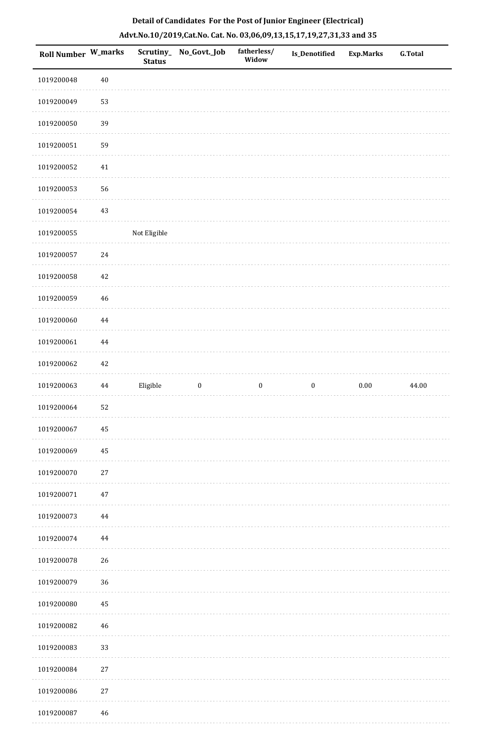|  | Detail of Candidates For the Post of Junior Engineer (Electrical)     |  |
|--|-----------------------------------------------------------------------|--|
|  | Advt.No.10/2019,Cat.No. Cat. No. 03,06,09,13,15,17,19,27,31,33 and 35 |  |

| <b>Roll Number W_marks</b> |          | <b>Status</b> | Scrutiny_ No_Govt._Job | fatherless/<br>Widow | Is_Denotified    | <b>Exp.Marks</b> | <b>G.Total</b> |
|----------------------------|----------|---------------|------------------------|----------------------|------------------|------------------|----------------|
| 1019200048                 | $40\,$   |               |                        |                      |                  |                  |                |
| 1019200049                 | 53       |               |                        |                      |                  |                  |                |
| 1019200050                 | 39       |               |                        |                      |                  |                  |                |
| 1019200051                 | 59       |               |                        |                      |                  |                  |                |
| 1019200052                 | $41\,$   |               |                        |                      |                  |                  |                |
| 1019200053                 | 56       |               |                        |                      |                  |                  |                |
| 1019200054                 | 43       |               |                        |                      |                  |                  |                |
| 1019200055                 |          | Not Eligible  |                        |                      |                  |                  |                |
| 1019200057                 | 24       |               |                        |                      |                  |                  |                |
| 1019200058                 | 42       |               |                        |                      |                  |                  |                |
| 1019200059                 | $46\,$   |               |                        |                      |                  |                  |                |
| 1019200060                 | $\bf 44$ |               |                        |                      |                  |                  |                |
| 1019200061                 | 44       |               |                        |                      |                  |                  |                |
| 1019200062                 | 42       |               |                        |                      |                  |                  |                |
| 1019200063                 | $\bf 44$ | Eligible      | $\boldsymbol{0}$       | $\boldsymbol{0}$     | $\boldsymbol{0}$ | $0.00\,$         | 44.00          |
| 1019200064                 | 52       |               |                        |                      |                  |                  |                |
| 1019200067                 | 45       |               |                        |                      |                  |                  |                |
| 1019200069                 | 45       |               |                        |                      |                  |                  |                |
| 1019200070                 | $27\,$   |               |                        |                      |                  |                  |                |
| 1019200071                 | $47\,$   |               |                        |                      |                  |                  |                |
| 1019200073                 | 44       |               |                        |                      |                  |                  |                |
| 1019200074                 | 44       |               |                        |                      |                  |                  |                |
| 1019200078                 | 26       |               |                        |                      |                  |                  |                |
| 1019200079                 | 36       |               |                        |                      |                  |                  |                |
| 1019200080                 | 45       |               |                        |                      |                  |                  |                |
| 1019200082                 | $46\,$   |               |                        |                      |                  |                  |                |
| 1019200083                 | 33       |               |                        |                      |                  |                  |                |
| 1019200084                 | $27\,$   |               |                        |                      |                  |                  |                |
| 1019200086                 | $27\,$   |               |                        |                      |                  |                  |                |
| 1019200087                 | 46       |               |                        |                      |                  |                  |                |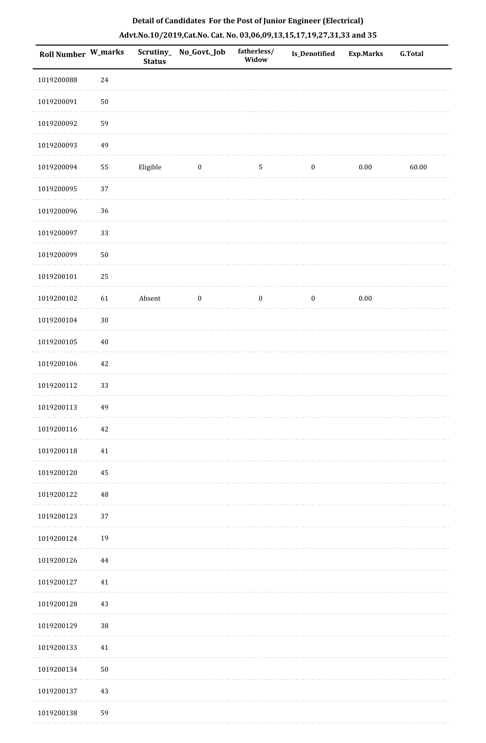| Roll Number W_marks |        | <b>Status</b> | Scrutiny_ No_Govt._Job | fatherless/<br>Widow | Is_Denotified    | <b>Exp.Marks</b> | <b>G.Total</b> |
|---------------------|--------|---------------|------------------------|----------------------|------------------|------------------|----------------|
| 1019200088          | 24     |               |                        |                      |                  |                  |                |
| 1019200091          | $50\,$ |               |                        |                      |                  |                  |                |
| 1019200092          | 59     |               |                        |                      |                  |                  |                |
| 1019200093          | 49     |               |                        |                      |                  |                  |                |
| 1019200094          | 55     | Eligible      | $\bf{0}$               | $\mathsf S$          | $\boldsymbol{0}$ | $0.00\,$         | 60.00          |
| 1019200095          | 37     |               |                        |                      |                  |                  |                |
| 1019200096          | 36     |               |                        |                      |                  |                  |                |
| 1019200097          | 33     |               |                        |                      |                  |                  |                |
| 1019200099          | $50\,$ |               |                        |                      |                  |                  |                |
| 1019200101          | 25     |               |                        |                      |                  |                  |                |
| 1019200102          | 61     | Absent        | $\boldsymbol{0}$       | $\boldsymbol{0}$     | $\boldsymbol{0}$ | $0.00\,$         |                |
| 1019200104          | $30\,$ |               |                        |                      |                  |                  |                |
| 1019200105          | $40\,$ |               |                        |                      |                  |                  |                |
| 1019200106          | 42     |               |                        |                      |                  |                  |                |
| 1019200112          | 33     |               |                        |                      |                  |                  |                |
| 1019200113          | 49     |               |                        |                      |                  |                  |                |
| 1019200116          | $42\,$ |               |                        |                      |                  |                  |                |
| 1019200118          | 41     |               |                        |                      |                  |                  |                |
| 1019200120          | 45     |               |                        |                      |                  |                  |                |
| 1019200122          | 48     |               |                        |                      |                  |                  |                |
| 1019200123          | 37     |               |                        |                      |                  |                  |                |
| 1019200124          | 19     |               |                        |                      |                  |                  |                |
| 1019200126          | 44     |               |                        |                      |                  |                  |                |
| 1019200127          | 41     |               |                        |                      |                  |                  |                |
| 1019200128          | 43     |               |                        |                      |                  |                  |                |
| 1019200129          | 38     |               |                        |                      |                  |                  |                |
| 1019200133          | 41     |               |                        |                      |                  |                  |                |
| 1019200134          | $50\,$ |               |                        |                      |                  |                  |                |
| 1019200137          | 43     |               |                        |                      |                  |                  |                |
| 1019200138          | 59     |               |                        |                      |                  |                  |                |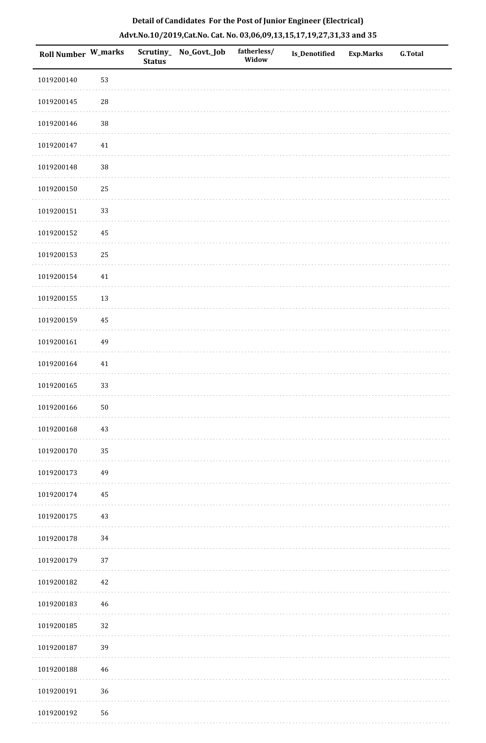| Roll Number W_marks |          | <b>Status</b> | Scrutiny_ No_Govt._Job | fatherless/<br>Widow | Is_Denotified | <b>Exp.Marks</b> | <b>G.Total</b> |
|---------------------|----------|---------------|------------------------|----------------------|---------------|------------------|----------------|
| 1019200140          | 53       |               |                        |                      |               |                  |                |
| 1019200145          | 28       |               |                        |                      |               |                  |                |
| 1019200146          | $38\,$   |               |                        |                      |               |                  |                |
| 1019200147          | $41\,$   |               |                        |                      |               |                  |                |
| 1019200148          | $38\,$   |               |                        |                      |               |                  |                |
| 1019200150          | 25       |               |                        |                      |               |                  |                |
| 1019200151          | 33       |               |                        |                      |               |                  |                |
| 1019200152          | 45       |               |                        |                      |               |                  |                |
| 1019200153          | 25       |               |                        |                      |               |                  |                |
| 1019200154          | $41\,$   |               |                        |                      |               |                  |                |
| 1019200155          | 13       |               |                        |                      |               |                  |                |
| 1019200159          | $\bf 45$ |               |                        |                      |               |                  |                |
| 1019200161          | 49       |               |                        |                      |               |                  |                |
| 1019200164          | $41\,$   |               |                        |                      |               |                  |                |
| 1019200165          | 33       |               |                        |                      |               |                  |                |
| 1019200166          | $50\,$   |               |                        |                      |               |                  |                |
| 1019200168          | 43       |               |                        |                      |               |                  |                |
| 1019200170          | 35       |               |                        |                      |               |                  |                |
| 1019200173          | 49       |               |                        |                      |               |                  |                |
| 1019200174          | $\bf 45$ |               |                        |                      |               |                  |                |
| 1019200175          | 43       |               |                        |                      |               |                  |                |
| 1019200178          | 34       |               |                        |                      |               |                  |                |
| 1019200179          | 37       |               |                        |                      |               |                  |                |
| 1019200182          | 42       |               |                        |                      |               |                  |                |
| 1019200183          | 46       |               |                        |                      |               |                  |                |
| 1019200185          | 32       |               |                        |                      |               |                  |                |
| 1019200187          | 39       |               |                        |                      |               |                  |                |
| 1019200188          | 46       |               |                        |                      |               |                  |                |
| 1019200191          | 36       |               |                        |                      |               |                  |                |
| 1019200192          | 56       |               |                        |                      |               |                  |                |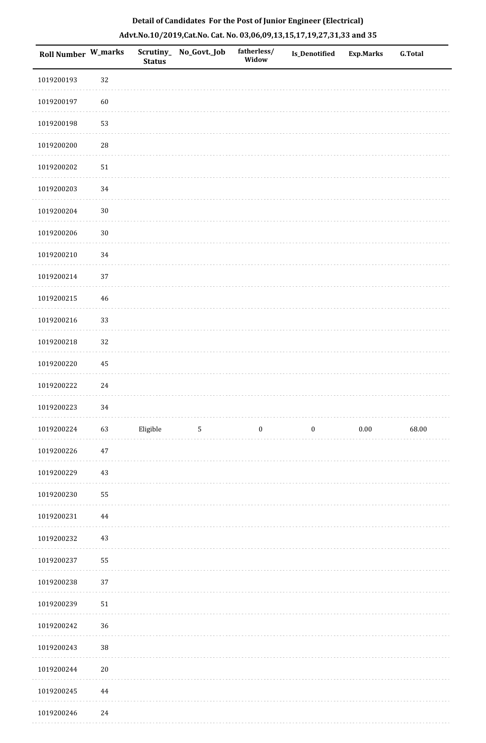| 1019200193 | 32          |          |                |          |                  |          |       |
|------------|-------------|----------|----------------|----------|------------------|----------|-------|
|            |             |          |                |          |                  |          |       |
| 1019200197 | 60          |          |                |          |                  |          |       |
| 1019200198 | 53          |          |                |          |                  |          |       |
| 1019200200 | $\sqrt{28}$ |          |                |          |                  |          |       |
| 1019200202 | ${\bf 51}$  |          |                |          |                  |          |       |
| 1019200203 | 34          |          |                |          |                  |          |       |
| 1019200204 | $30\,$      |          |                |          |                  |          |       |
| 1019200206 | $30\,$      |          |                |          |                  |          |       |
| 1019200210 | 34          |          |                |          |                  |          |       |
| 1019200214 | $37\,$      |          |                |          |                  |          |       |
| 1019200215 | $46\,$      |          |                |          |                  |          |       |
| 1019200216 | 33          |          |                |          |                  |          |       |
| 1019200218 | 32          |          |                |          |                  |          |       |
| 1019200220 | 45          |          |                |          |                  |          |       |
| 1019200222 | 24          |          |                |          |                  |          |       |
| 1019200223 | 34          |          |                |          |                  |          |       |
| 1019200224 | 63          | Eligible | $\overline{5}$ | $\bf{0}$ | $\boldsymbol{0}$ | $0.00\,$ | 68.00 |
| 1019200226 | $47\,$      |          |                |          |                  |          |       |
| 1019200229 | $43\,$      |          |                |          |                  |          |       |
| 1019200230 | 55          |          |                |          |                  |          |       |
| 1019200231 | $\bf 44$    |          |                |          |                  |          |       |
| 1019200232 | $43\,$      |          |                |          |                  |          |       |
| 1019200237 | 55          |          |                |          |                  |          |       |
| 1019200238 | 37          |          |                |          |                  |          |       |
| 1019200239 | $51\,$      |          |                |          |                  |          |       |
| 1019200242 | 36          |          |                |          |                  |          |       |
| 1019200243 | 38          |          |                |          |                  |          |       |
| 1019200244 | $20\,$      |          |                |          |                  |          |       |
| 1019200245 | $\bf 44$    |          |                |          |                  |          |       |

# **Detail of Candidates For the Post of Junior Engineer (Electrical) Advt.No.10/2019,Cat.No. Cat. No. 03,06,09,13,15,17,19,27,31,33 and 35**

 1019200246 24 $\mathcal{L}^{\mathcal{L}}$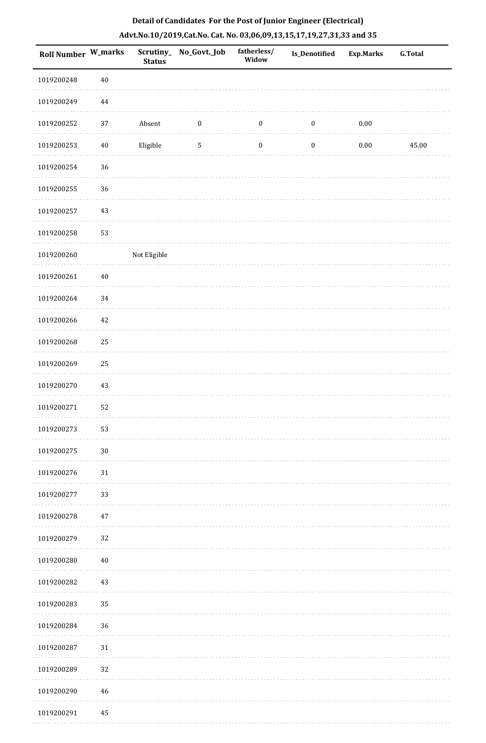| Detail of Candidates For the Post of Junior Engineer (Electrical)     |
|-----------------------------------------------------------------------|
| Advt.No.10/2019,Cat.No. Cat. No. 03,06,09,13,15,17,19,27,31,33 and 35 |

| <b>Roll Number W_marks</b> |          | <b>Status</b> | Scrutiny_ No_Govt._Job | fatherless/<br>Widow | <b>Is_Denotified</b> | <b>Exp.Marks</b> | <b>G.Total</b> |
|----------------------------|----------|---------------|------------------------|----------------------|----------------------|------------------|----------------|
| 1019200248                 | $40\,$   |               |                        |                      |                      |                  |                |
| 1019200249                 | $\bf 44$ |               |                        |                      |                      |                  |                |
| 1019200252                 | 37       | Absent        | $\boldsymbol{0}$       | $\boldsymbol{0}$     | $\boldsymbol{0}$     | $0.00\,$         |                |
| 1019200253                 | $40\,$   | Eligible      | $\sqrt{5}$             | $\boldsymbol{0}$     | $\boldsymbol{0}$     | $0.00\,$         | 45.00          |
| 1019200254                 | 36       |               |                        |                      |                      |                  |                |
| 1019200255                 | 36       |               |                        |                      |                      |                  |                |
| 1019200257                 | 43       |               |                        |                      |                      |                  |                |
| 1019200258                 | 53       |               |                        |                      |                      |                  |                |
| 1019200260                 |          | Not Eligible  |                        |                      |                      |                  |                |
| 1019200261                 | $40\,$   |               |                        |                      |                      |                  |                |
| 1019200264                 | $34\,$   |               |                        |                      |                      |                  |                |
| 1019200266                 | $42\,$   |               |                        |                      |                      |                  |                |
| 1019200268                 | 25       |               |                        |                      |                      |                  |                |
| 1019200269                 | 25       |               |                        |                      |                      |                  |                |
| 1019200270                 | 43       |               |                        |                      |                      |                  |                |
| 1019200271                 | 52       |               |                        |                      |                      |                  |                |
| 1019200273                 | 53       |               |                        |                      |                      |                  |                |
| 1019200275                 | $30\,$   |               |                        |                      |                      |                  |                |
| 1019200276                 | $31\,$   |               |                        |                      |                      |                  |                |
| 1019200277                 | 33       |               |                        |                      |                      |                  |                |
| 1019200278                 | 47       |               |                        |                      |                      |                  |                |
| 1019200279                 | 32       |               |                        |                      |                      |                  |                |
| 1019200280                 | $40\,$   |               |                        |                      |                      |                  |                |
| 1019200282                 | 43       |               |                        |                      |                      |                  |                |
| 1019200283                 | 35       |               |                        |                      |                      |                  |                |
| 1019200284                 | 36       |               |                        |                      |                      |                  |                |
| 1019200287                 | 31       |               |                        |                      |                      |                  |                |
| 1019200289                 | 32       |               |                        |                      |                      |                  |                |
| 1019200290                 | $46\,$   |               |                        |                      |                      |                  |                |
| 1019200291                 | 45       |               |                        |                      |                      |                  |                |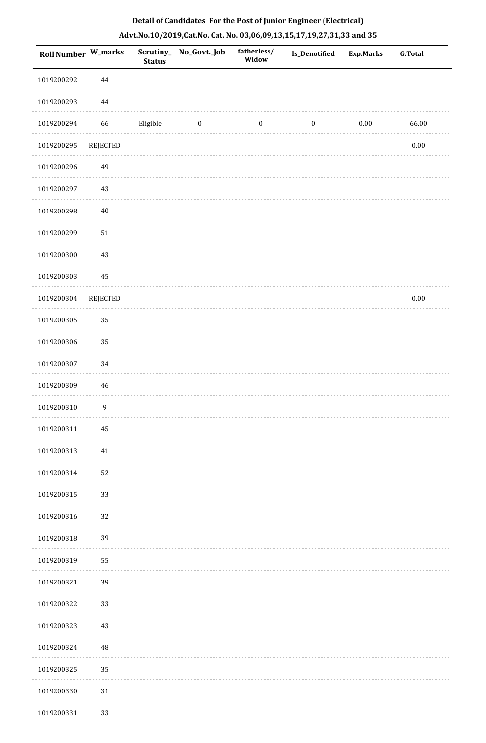| <b>Roll Number W_marks</b> |                  | <b>Status</b> | Scrutiny_No_Govt._Job | fatherless/<br>Widow | <b>Is_Denotified</b> | Exp.Marks | <b>G.Total</b> |
|----------------------------|------------------|---------------|-----------------------|----------------------|----------------------|-----------|----------------|
| 1019200292                 | 44               |               |                       |                      |                      |           |                |
| 1019200293                 | $\bf 44$         |               |                       |                      |                      |           |                |
| 1019200294                 | 66               | Eligible      | $\bf{0}$              | $\boldsymbol{0}$     | $\boldsymbol{0}$     | $0.00\,$  | 66.00          |
| 1019200295                 | REJECTED         |               |                       |                      |                      |           | $0.00\,$       |
| 1019200296                 | 49               |               |                       |                      |                      |           |                |
| 1019200297                 | 43               |               |                       |                      |                      |           |                |
| 1019200298                 | $40\,$           |               |                       |                      |                      |           |                |
| 1019200299                 | $51\,$           |               |                       |                      |                      |           |                |
| 1019200300                 | $43\,$           |               |                       |                      |                      |           |                |
| 1019200303                 | 45               |               |                       |                      |                      |           |                |
| 1019200304                 | REJECTED         |               |                       |                      |                      |           | $0.00\,$       |
| 1019200305                 | 35               |               |                       |                      |                      |           |                |
| 1019200306                 | 35               |               |                       |                      |                      |           |                |
| 1019200307                 | 34               |               |                       |                      |                      |           |                |
| 1019200309                 | $46\,$           |               |                       |                      |                      |           |                |
| 1019200310                 | $\boldsymbol{9}$ |               |                       |                      |                      |           |                |
| 1019200311                 | 45               |               |                       |                      |                      |           |                |
| 1019200313                 | $41\,$           |               |                       |                      |                      |           |                |
| 1019200314                 | 52               |               |                       |                      |                      |           |                |
| 1019200315                 | 33               |               |                       |                      |                      |           |                |
| 1019200316                 | 32               |               |                       |                      |                      |           |                |
| 1019200318                 | 39               |               |                       |                      |                      |           |                |
| 1019200319                 | 55               |               |                       |                      |                      |           |                |
| 1019200321                 | 39               |               |                       |                      |                      |           |                |
| 1019200322                 | 33               |               |                       |                      |                      |           |                |
| 1019200323                 | $43\,$           |               |                       |                      |                      |           |                |
| 1019200324                 | 48               |               |                       |                      |                      |           |                |
| 1019200325                 | 35               |               |                       |                      |                      |           |                |
| 1019200330                 | $31\,$           |               |                       |                      |                      |           |                |
| 1019200331                 | 33               |               |                       |                      |                      |           |                |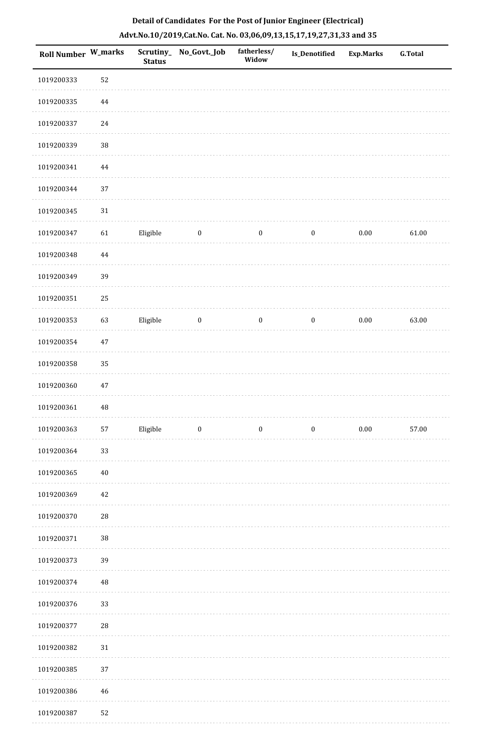|  |  | Detail of Candidates For the Post of Junior Engineer (Electrical)     |  |
|--|--|-----------------------------------------------------------------------|--|
|  |  | Advt.No.10/2019,Cat.No. Cat. No. 03,06,09,13,15,17,19,27,31,33 and 35 |  |

| Roll Number W_marks |          | <b>Status</b> | Scrutiny_No_Govt._Job | fatherless/<br>Widow | Is_Denotified    | <b>Exp.Marks</b> | <b>G.Total</b> |
|---------------------|----------|---------------|-----------------------|----------------------|------------------|------------------|----------------|
| 1019200333          | 52       |               |                       |                      |                  |                  |                |
| 1019200335          | 44       |               |                       |                      |                  |                  |                |
| 1019200337          | 24       |               |                       |                      |                  |                  |                |
| 1019200339          | 38       |               |                       |                      |                  |                  |                |
| 1019200341          | $\bf 44$ |               |                       |                      |                  |                  |                |
| 1019200344          | 37       |               |                       |                      |                  |                  |                |
| 1019200345          | 31       |               |                       |                      |                  |                  |                |
| 1019200347          | 61       | Eligible      | $\boldsymbol{0}$      | $\boldsymbol{0}$     | $\boldsymbol{0}$ | $0.00\,$         | 61.00          |
| 1019200348          | $\bf 44$ |               |                       |                      |                  |                  |                |
| 1019200349          | 39       |               |                       |                      |                  |                  |                |
| 1019200351          | 25       |               |                       |                      |                  |                  |                |
| 1019200353          | 63       | Eligible      | $\boldsymbol{0}$      | $\boldsymbol{0}$     | $\boldsymbol{0}$ | $0.00\,$         | 63.00          |
| 1019200354          | $47\,$   |               |                       |                      |                  |                  |                |
| 1019200358          | 35       |               |                       |                      |                  |                  |                |
| 1019200360          | $47\,$   |               |                       |                      |                  |                  |                |
| 1019200361          | 48       |               |                       |                      |                  |                  |                |
| 1019200363          | 57       | Eligible      | $\boldsymbol{0}$      | $\boldsymbol{0}$     | $\boldsymbol{0}$ | $0.00\,$         | 57.00          |
| 1019200364          | 33       |               |                       |                      |                  |                  |                |
| 1019200365          | $40\,$   |               |                       |                      |                  |                  |                |
| 1019200369          | 42       |               |                       |                      |                  |                  |                |
| 1019200370          | 28       |               |                       |                      |                  |                  |                |
| 1019200371          | 38       |               |                       |                      |                  |                  |                |
| 1019200373          | 39       |               |                       |                      |                  |                  |                |
| 1019200374          | 48       |               |                       |                      |                  |                  |                |
| 1019200376          | 33       |               |                       |                      |                  |                  |                |
| 1019200377          | 28       |               |                       |                      |                  |                  |                |
| 1019200382          | $31\,$   |               |                       |                      |                  |                  |                |
| 1019200385          | 37       |               |                       |                      |                  |                  |                |
| 1019200386          | 46       |               |                       |                      |                  |                  |                |
| 1019200387          | 52       |               |                       |                      |                  |                  |                |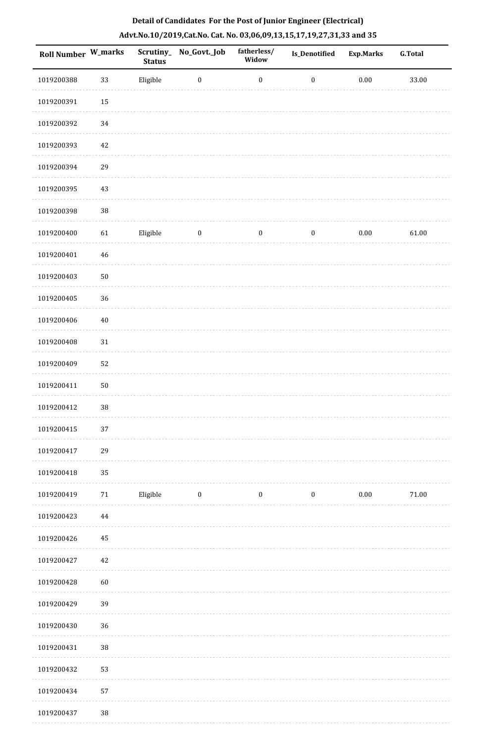| Roll Number W_marks |             | --- <i>-------</i> ---<br><b>Status</b> | Scrutiny_No_Govt._Job | fatherless/<br>Widow | Is_Denotified    | <b>Exp.Marks</b> | <b>G.Total</b> |
|---------------------|-------------|-----------------------------------------|-----------------------|----------------------|------------------|------------------|----------------|
| 1019200388          | 33          | Eligible                                | $\boldsymbol{0}$      | $\boldsymbol{0}$     | $\boldsymbol{0}$ | $0.00\,$         | 33.00          |
| 1019200391          | 15          |                                         |                       |                      |                  |                  |                |
| 1019200392          | 34          |                                         |                       |                      |                  |                  |                |
| 1019200393          | $42\,$      |                                         |                       |                      |                  |                  |                |
| 1019200394          | 29          |                                         |                       |                      |                  |                  |                |
| 1019200395          | $43\,$      |                                         |                       |                      |                  |                  |                |
| 1019200398          | 38          |                                         |                       |                      |                  |                  |                |
| 1019200400          | 61          | Eligible                                | $\boldsymbol{0}$      | $\boldsymbol{0}$     | $\boldsymbol{0}$ | $0.00\,$         | 61.00          |
| 1019200401          | $\sqrt{46}$ |                                         |                       |                      |                  |                  |                |
| 1019200403          | $50\,$      |                                         |                       |                      |                  |                  |                |
| 1019200405          | 36          |                                         |                       |                      |                  |                  |                |
| 1019200406          | $40\,$      |                                         |                       |                      |                  |                  |                |
| 1019200408          | $31\,$      |                                         |                       |                      |                  |                  |                |
| 1019200409          | 52          |                                         |                       |                      |                  |                  |                |
| 1019200411          | $50\,$      |                                         |                       |                      |                  |                  |                |
| 1019200412          | 38          |                                         |                       |                      |                  |                  |                |
| 1019200415          | 37          |                                         |                       |                      |                  |                  |                |
| 1019200417          | 29          |                                         |                       |                      |                  |                  |                |
| 1019200418          | 35          |                                         |                       |                      |                  |                  |                |
| 1019200419          | $71\,$      | Eligible                                | $\bf{0}$              | $\boldsymbol{0}$     | $\boldsymbol{0}$ | $0.00\,$         | $71.00\,$      |
| 1019200423          | $\bf 44$    |                                         |                       |                      |                  |                  |                |
| 1019200426          | 45          |                                         |                       |                      |                  |                  |                |
| 1019200427          | $42\,$      |                                         |                       |                      |                  |                  |                |
| 1019200428          | 60          |                                         |                       |                      |                  |                  |                |
| 1019200429          | 39          |                                         |                       |                      |                  |                  |                |
| 1019200430          | 36          |                                         |                       |                      |                  |                  |                |
| 1019200431          | 38          |                                         |                       |                      |                  |                  |                |
| 1019200432          | 53          |                                         |                       |                      |                  |                  |                |
| 1019200434          | 57          |                                         |                       |                      |                  |                  |                |
| 1019200437          | $38\,$      |                                         |                       |                      |                  |                  |                |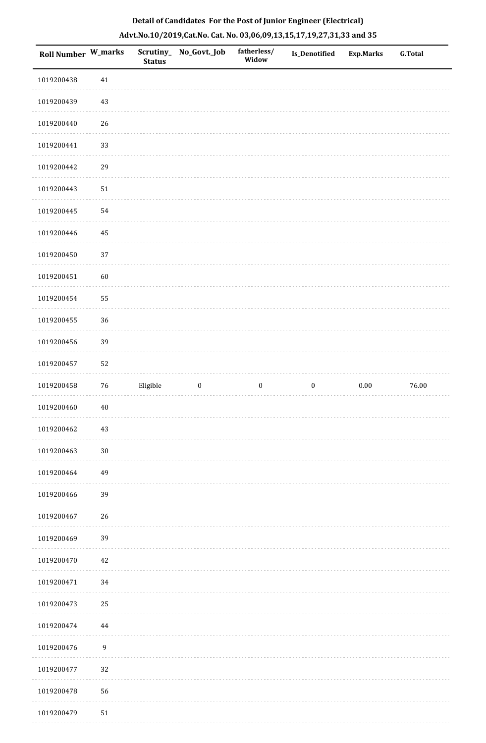| <b>Roll Number W_marks</b> |            | <b>Status</b> | Scrutiny_No_Govt._Job | fatherless/<br>Widow | Is_Denotified    | <b>Exp.Marks</b> | <b>G.Total</b> |
|----------------------------|------------|---------------|-----------------------|----------------------|------------------|------------------|----------------|
| 1019200438                 | 41         |               |                       |                      |                  |                  |                |
| 1019200439                 | 43         |               |                       |                      |                  |                  |                |
| 1019200440                 | 26         |               |                       |                      |                  |                  |                |
| 1019200441                 | 33         |               |                       |                      |                  |                  |                |
| 1019200442                 | 29         |               |                       |                      |                  |                  |                |
| 1019200443                 | $51\,$     |               |                       |                      |                  |                  |                |
| 1019200445                 | 54         |               |                       |                      |                  |                  |                |
| 1019200446                 | 45         |               |                       |                      |                  |                  |                |
| 1019200450                 | 37         |               |                       |                      |                  |                  |                |
| 1019200451                 | 60         |               |                       |                      |                  |                  |                |
| 1019200454                 | 55         |               |                       |                      |                  |                  |                |
| 1019200455                 | 36         |               |                       |                      |                  |                  |                |
| 1019200456                 | 39         |               |                       |                      |                  |                  |                |
| 1019200457                 | 52         |               |                       |                      |                  |                  |                |
| 1019200458                 | $76\,$     | Eligible      | $\boldsymbol{0}$      | $\boldsymbol{0}$     | $\boldsymbol{0}$ | $0.00\,$         | 76.00          |
| 1019200460                 | $40\,$     |               |                       |                      |                  |                  |                |
| 1019200462                 | $43\,$     |               |                       |                      |                  |                  |                |
| 1019200463                 | $30\,$     |               |                       |                      |                  |                  |                |
| 1019200464                 | 49         |               |                       |                      |                  |                  |                |
| 1019200466                 | 39         |               |                       |                      |                  |                  |                |
| 1019200467                 | 26         |               |                       |                      |                  |                  |                |
| 1019200469                 | 39         |               |                       |                      |                  |                  |                |
| 1019200470                 | $42\,$     |               |                       |                      |                  |                  |                |
| 1019200471                 | 34         |               |                       |                      |                  |                  |                |
| 1019200473                 | 25         |               |                       |                      |                  |                  |                |
| 1019200474                 | $\bf 44$   |               |                       |                      |                  |                  |                |
| 1019200476                 | 9          |               |                       |                      |                  |                  |                |
| 1019200477                 | 32         |               |                       |                      |                  |                  |                |
| 1019200478                 | 56         |               |                       |                      |                  |                  |                |
| 1019200479                 | ${\bf 51}$ |               |                       |                      |                  |                  |                |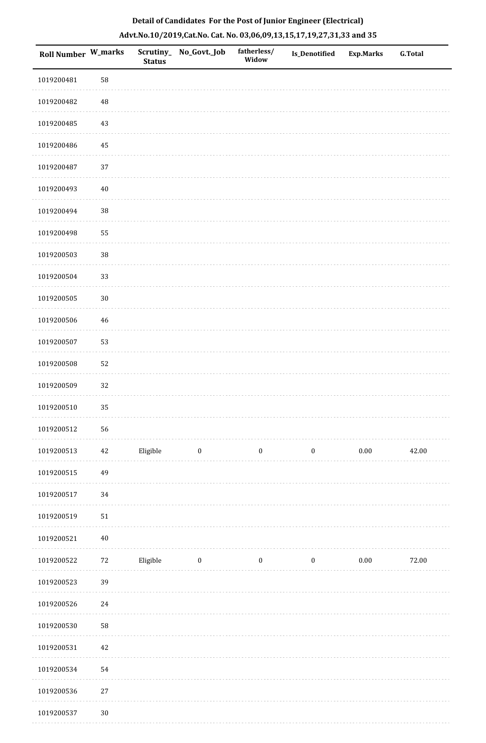|  | Detail of Candidates For the Post of Junior Engineer (Electrical)     |  |
|--|-----------------------------------------------------------------------|--|
|  | Advt.No.10/2019,Cat.No. Cat. No. 03,06,09,13,15,17,19,27,31,33 and 35 |  |

| <b>Roll Number W_marks</b> |        | Scrutiny_<br><b>Status</b> | No_Govt._Job     | fatherless/<br>Widow | Is_Denotified    | <b>Exp.Marks</b> | <b>G.Total</b> |
|----------------------------|--------|----------------------------|------------------|----------------------|------------------|------------------|----------------|
| 1019200481                 | 58     |                            |                  |                      |                  |                  |                |
| 1019200482                 | 48     |                            |                  |                      |                  |                  |                |
| 1019200485                 | 43     |                            |                  |                      |                  |                  |                |
| 1019200486                 | 45     |                            |                  |                      |                  |                  |                |
| 1019200487                 | 37     |                            |                  |                      |                  |                  |                |
| 1019200493                 | $40\,$ |                            |                  |                      |                  |                  |                |
| 1019200494                 | 38     |                            |                  |                      |                  |                  |                |
| 1019200498                 | 55     |                            |                  |                      |                  |                  |                |
| 1019200503                 | $38\,$ |                            |                  |                      |                  |                  |                |
| 1019200504                 | 33     |                            |                  |                      |                  |                  |                |
| 1019200505                 | $30\,$ |                            |                  |                      |                  |                  |                |
| 1019200506                 | 46     |                            |                  |                      |                  |                  |                |
| 1019200507                 | 53     |                            |                  |                      |                  |                  |                |
| 1019200508                 | 52     |                            |                  |                      |                  |                  |                |
| 1019200509                 | 32     |                            |                  |                      |                  |                  |                |
| 1019200510                 | 35     |                            |                  |                      |                  |                  |                |
| 1019200512                 | 56     |                            |                  |                      |                  |                  |                |
| 1019200513                 | 42     | Eligible                   | $\bf{0}$         | $\bf{0}$             | $\boldsymbol{0}$ | $0.00\,$         | 42.00          |
| 1019200515                 | 49     |                            |                  |                      |                  |                  |                |
| 1019200517                 | 34     |                            |                  |                      |                  |                  |                |
| 1019200519                 | 51     |                            |                  |                      |                  |                  |                |
| 1019200521                 | $40\,$ |                            |                  |                      |                  |                  |                |
| 1019200522                 | $72\,$ | Eligible                   | $\boldsymbol{0}$ | $\boldsymbol{0}$     | $\boldsymbol{0}$ | $0.00\,$         | 72.00          |
| 1019200523                 | 39     |                            |                  |                      |                  |                  |                |
| 1019200526                 | $24\,$ |                            |                  |                      |                  |                  |                |
| 1019200530                 | 58     |                            |                  |                      |                  |                  |                |
| 1019200531                 | 42     |                            |                  |                      |                  |                  |                |
| 1019200534                 | 54     |                            |                  |                      |                  |                  |                |
| 1019200536                 | $27\,$ |                            |                  |                      |                  |                  |                |
| 1019200537                 | $30\,$ |                            |                  |                      |                  |                  |                |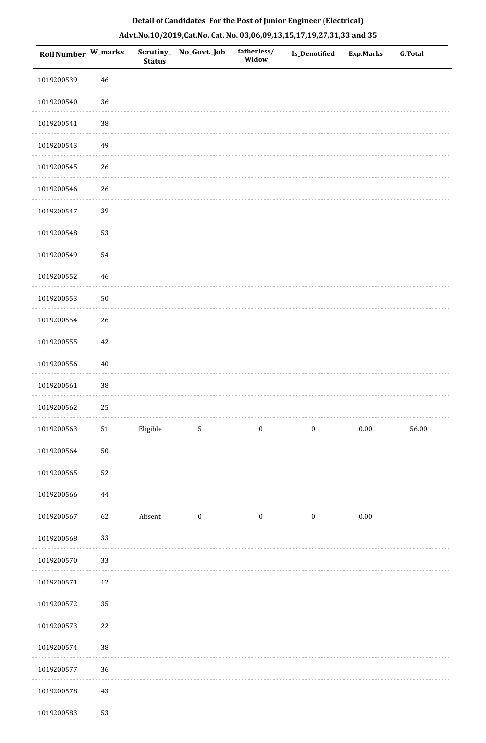| Roll Number W_marks |        | <b>Status</b> | Scrutiny_ No_Govt._Job | fatherless/<br>Widow | Is_Denotified    | <b>Exp.Marks</b> | <b>G.Total</b> |
|---------------------|--------|---------------|------------------------|----------------------|------------------|------------------|----------------|
| 1019200539          | 46     |               |                        |                      |                  |                  |                |
| 1019200540          | 36     |               |                        |                      |                  |                  |                |
| 1019200541          | $38\,$ |               |                        |                      |                  |                  |                |
| 1019200543          | 49     |               |                        |                      |                  |                  |                |
| 1019200545          | $26\,$ |               |                        |                      |                  |                  |                |
| 1019200546          | $26\,$ |               |                        |                      |                  |                  |                |
| 1019200547          | 39     |               |                        |                      |                  |                  |                |
| 1019200548          | 53     |               |                        |                      |                  |                  |                |
| 1019200549          | 54     |               |                        |                      |                  |                  |                |
| 1019200552          | 46     |               |                        |                      |                  |                  |                |
| 1019200553          | $50\,$ |               |                        |                      |                  |                  |                |
| 1019200554          | $26\,$ |               |                        |                      |                  |                  |                |
| 1019200555          | 42     |               |                        |                      |                  |                  |                |
| 1019200556          | $40\,$ |               |                        |                      |                  |                  |                |
| 1019200561          | $38\,$ |               |                        |                      |                  |                  |                |
| 1019200562          | 25     |               |                        |                      |                  |                  |                |
| 1019200563          | 51     | Eligible      | $\sqrt{5}$             | $\boldsymbol{0}$     | $\boldsymbol{0}$ | $0.00\,$         | 56.00          |
| 1019200564          | $50\,$ |               |                        |                      |                  |                  |                |
| 1019200565          | 52     |               |                        |                      |                  |                  |                |
| 1019200566          | 44     |               |                        |                      |                  |                  |                |
| 1019200567          | 62     | Absent        | $\boldsymbol{0}$       | $\boldsymbol{0}$     | $\boldsymbol{0}$ | $0.00\,$         |                |
| 1019200568          | 33     |               |                        |                      |                  |                  |                |
| 1019200570          | 33     |               |                        |                      |                  |                  |                |
| 1019200571          | $12\,$ |               |                        |                      |                  |                  |                |
| 1019200572          | 35     |               |                        |                      |                  |                  |                |
| 1019200573          | 22     |               |                        |                      |                  |                  |                |
| 1019200574          | $38\,$ |               |                        |                      |                  |                  |                |
| 1019200577          | 36     |               |                        |                      |                  |                  |                |
| 1019200578          | $43\,$ |               |                        |                      |                  |                  |                |
|                     |        |               |                        |                      |                  |                  |                |

1019200583 53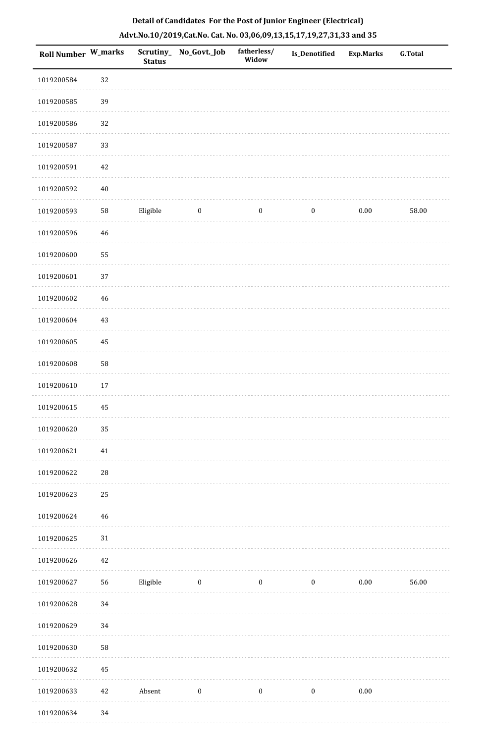|  | Detail of Candidates For the Post of Junior Engineer (Electrical)     |  |
|--|-----------------------------------------------------------------------|--|
|  | Advt.No.10/2019,Cat.No. Cat. No. 03,06,09,13,15,17,19,27,31,33 and 35 |  |

| <b>Roll Number W_marks</b> |             | <b>Status</b> | Scrutiny_No_Govt._Job | fatherless/<br>Widow | Is_Denotified    | <b>Exp.Marks</b> | <b>G.Total</b> |
|----------------------------|-------------|---------------|-----------------------|----------------------|------------------|------------------|----------------|
| 1019200584                 | 32          |               |                       |                      |                  |                  |                |
| 1019200585                 | 39          |               |                       |                      |                  |                  |                |
| 1019200586                 | 32          |               |                       |                      |                  |                  |                |
| 1019200587                 | 33          |               |                       |                      |                  |                  |                |
| 1019200591                 | 42          |               |                       |                      |                  |                  |                |
| 1019200592                 | $40\,$      |               |                       |                      |                  |                  |                |
| 1019200593                 | 58          | Eligible      | $\boldsymbol{0}$      | $\boldsymbol{0}$     | $\boldsymbol{0}$ | 0.00             | 58.00          |
| 1019200596                 | 46          |               |                       |                      |                  |                  |                |
| 1019200600                 | 55          |               |                       |                      |                  |                  |                |
| 1019200601                 | 37          |               |                       |                      |                  |                  |                |
| 1019200602                 | 46          |               |                       |                      |                  |                  |                |
| 1019200604                 | 43          |               |                       |                      |                  |                  |                |
| 1019200605                 | 45          |               |                       |                      |                  |                  |                |
| 1019200608                 | 58          |               |                       |                      |                  |                  |                |
| 1019200610                 | 17          |               |                       |                      |                  |                  |                |
| 1019200615                 | 45          |               |                       |                      |                  |                  |                |
| 1019200620                 | 35          |               |                       |                      |                  |                  |                |
| 1019200621                 | $41\,$      |               |                       |                      |                  |                  |                |
| 1019200622                 | $\sqrt{28}$ |               |                       |                      |                  |                  |                |
| 1019200623                 | 25          |               |                       |                      |                  |                  |                |
| 1019200624                 | 46          |               |                       |                      |                  |                  |                |
| 1019200625                 | 31          |               |                       |                      |                  |                  |                |
| 1019200626                 | 42          |               |                       |                      |                  |                  |                |
| 1019200627                 | 56          | Eligible      | $\boldsymbol{0}$      | $\boldsymbol{0}$     | $\boldsymbol{0}$ | $0.00\,$         | 56.00          |
| 1019200628                 | 34          |               |                       |                      |                  |                  |                |
| 1019200629                 | 34          |               |                       |                      |                  |                  |                |
| 1019200630                 | 58          |               |                       |                      |                  |                  |                |
| 1019200632                 | 45          |               |                       |                      |                  |                  |                |
| 1019200633                 | 42          | Absent        | $\boldsymbol{0}$      | $\boldsymbol{0}$     | $\boldsymbol{0}$ | $0.00\,$         |                |
| 1019200634                 | 34          |               |                       |                      |                  |                  |                |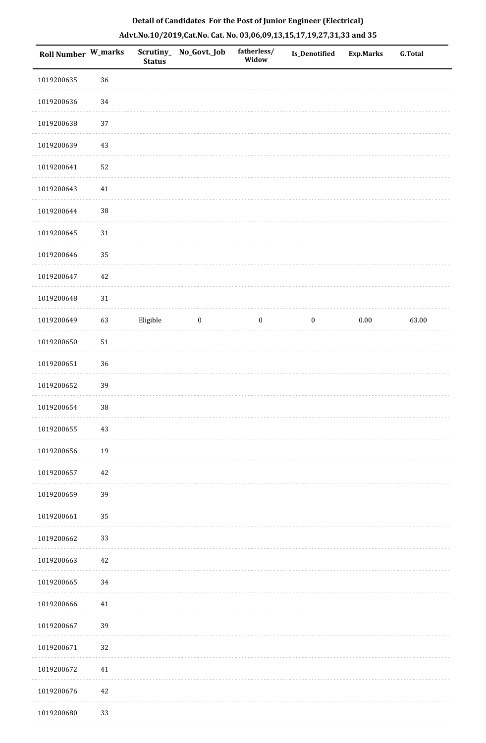| Roll Number W_marks |        | <b>Status</b> | Scrutiny_ No_Govt._Job | fatherless/<br>Widow | Is_Denotified    | Exp.Marks | G.Total |
|---------------------|--------|---------------|------------------------|----------------------|------------------|-----------|---------|
| 1019200635          | 36     |               |                        |                      |                  |           |         |
| 1019200636          | 34     |               |                        |                      |                  |           |         |
| 1019200638          | $37\,$ |               |                        |                      |                  |           |         |
| 1019200639          | 43     |               |                        |                      |                  |           |         |
| 1019200641          | 52     |               |                        |                      |                  |           |         |
| 1019200643          | $41\,$ |               |                        |                      |                  |           |         |
| 1019200644          | 38     |               |                        |                      |                  |           |         |
| 1019200645          | $31\,$ |               |                        |                      |                  |           |         |
| 1019200646          | 35     |               |                        |                      |                  |           |         |
| 1019200647          | $42\,$ |               |                        |                      |                  |           |         |
| 1019200648          | $31\,$ |               |                        |                      |                  |           |         |
| 1019200649          | 63     | Eligible      | $\bf{0}$               | $\boldsymbol{0}$     | $\boldsymbol{0}$ | $0.00\,$  | 63.00   |
| 1019200650          | $51\,$ |               |                        |                      |                  |           |         |
| 1019200651          | 36     |               |                        |                      |                  |           |         |
| 1019200652          | 39     |               |                        |                      |                  |           |         |
| 1019200654          | 38     |               |                        |                      |                  |           |         |
| 1019200655          | $43\,$ |               |                        |                      |                  |           |         |
| 1019200656          | 19     |               |                        |                      |                  |           |         |
| 1019200657          | $42\,$ |               |                        |                      |                  |           |         |
| 1019200659          | 39     |               |                        |                      |                  |           |         |
| 1019200661          | 35     |               |                        |                      |                  |           |         |
| 1019200662          | 33     |               |                        |                      |                  |           |         |
| 1019200663          | 42     |               |                        |                      |                  |           |         |
| 1019200665          | 34     |               |                        |                      |                  |           |         |
| 1019200666          | 41     |               |                        |                      |                  |           |         |
| 1019200667          | 39     |               |                        |                      |                  |           |         |
| 1019200671          | 32     |               |                        |                      |                  |           |         |
| 1019200672          | $41\,$ |               |                        |                      |                  |           |         |
| 1019200676          | $42\,$ |               |                        |                      |                  |           |         |
| 1019200680          | 33     |               |                        |                      |                  |           |         |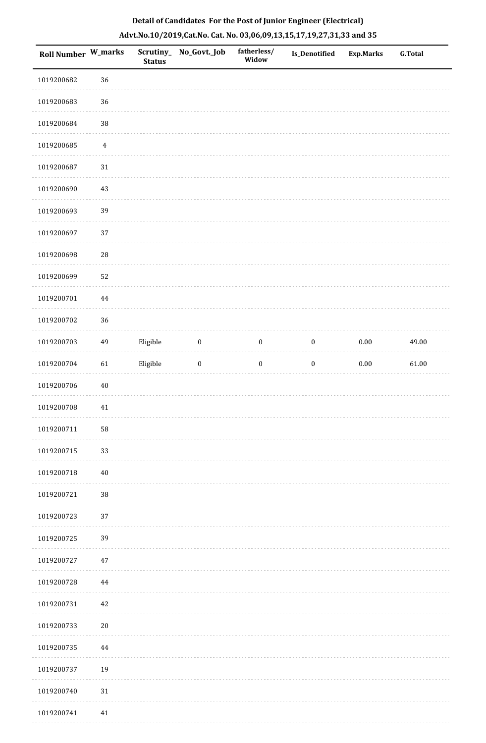|  | Detail of Candidates For the Post of Junior Engineer (Electrical)     |  |
|--|-----------------------------------------------------------------------|--|
|  | Advt.No.10/2019,Cat.No. Cat. No. 03,06,09,13,15,17,19,27,31,33 and 35 |  |

| Roll Number W_marks |                  | <b>Status</b> | Scrutiny_No_Govt._Job | fatherless/<br>Widow | Is_Denotified    | <b>Exp.Marks</b> | <b>G.Total</b> |
|---------------------|------------------|---------------|-----------------------|----------------------|------------------|------------------|----------------|
| 1019200682          | 36               |               |                       |                      |                  |                  |                |
| 1019200683          | 36               |               |                       |                      |                  |                  |                |
| 1019200684          | $38\,$           |               |                       |                      |                  |                  |                |
| 1019200685          | $\boldsymbol{4}$ |               |                       |                      |                  |                  |                |
| 1019200687          | $31\,$           |               |                       |                      |                  |                  |                |
| 1019200690          | 43               |               |                       |                      |                  |                  |                |
| 1019200693          | 39               |               |                       |                      |                  |                  |                |
| 1019200697          | 37               |               |                       |                      |                  |                  |                |
| 1019200698          | 28               |               |                       |                      |                  |                  |                |
| 1019200699          | 52               |               |                       |                      |                  |                  |                |
| 1019200701          | $\bf 44$         |               |                       |                      |                  |                  |                |
| 1019200702          | 36               |               |                       |                      |                  |                  |                |
| 1019200703          | 49               | Eligible      | $\boldsymbol{0}$      | $\boldsymbol{0}$     | $\boldsymbol{0}$ | $0.00\,$         | 49.00          |
| 1019200704          | 61               | Eligible      | $\boldsymbol{0}$      | $\boldsymbol{0}$     | $\boldsymbol{0}$ | $0.00\,$         | 61.00          |
| 1019200706          | $40\,$           |               |                       |                      |                  |                  |                |
| 1019200708          | $41\,$           |               |                       |                      |                  |                  |                |
| 1019200711          | 58               |               |                       |                      |                  |                  |                |
| 1019200715          | 33               |               |                       |                      |                  |                  |                |
| 1019200718          | $40\,$           |               |                       |                      |                  |                  |                |
| 1019200721          | $38\,$           |               |                       |                      |                  |                  |                |
| 1019200723          | 37               |               |                       |                      |                  |                  |                |
| 1019200725          | 39               |               |                       |                      |                  |                  |                |
| 1019200727          | 47               |               |                       |                      |                  |                  |                |
| 1019200728          | 44               |               |                       |                      |                  |                  |                |
| 1019200731          | 42               |               |                       |                      |                  |                  |                |
| 1019200733          | $20\,$           |               |                       |                      |                  |                  |                |
| 1019200735          | 44               |               |                       |                      |                  |                  |                |
| 1019200737          | 19               |               |                       |                      |                  |                  |                |
| 1019200740          | $31\,$           |               |                       |                      |                  |                  |                |
| 1019200741          | 41               |               |                       |                      |                  |                  |                |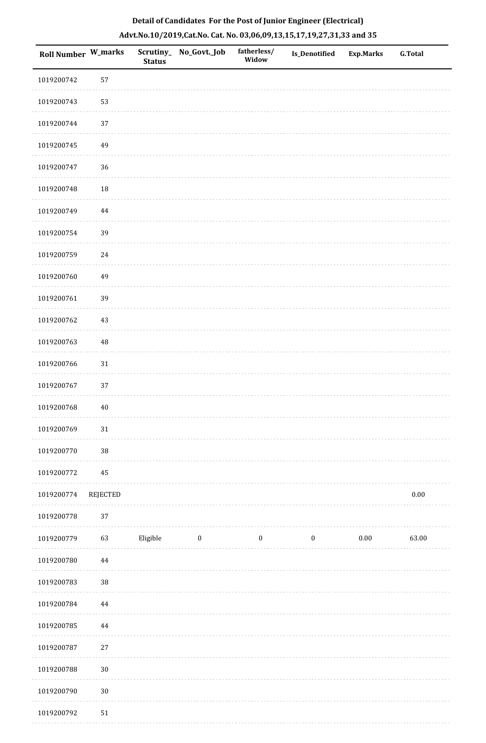| <b>Roll Number W_marks</b> |          | <b>Status</b> | Scrutiny_ No_Govt._Job | fatherless/<br>Widow | Is_Denotified    | <b>Exp.Marks</b> | <b>G.Total</b> |
|----------------------------|----------|---------------|------------------------|----------------------|------------------|------------------|----------------|
| 1019200742                 | 57       |               |                        |                      |                  |                  |                |
| 1019200743                 | 53       |               |                        |                      |                  |                  |                |
| 1019200744                 | 37       |               |                        |                      |                  |                  |                |
| 1019200745                 | 49       |               |                        |                      |                  |                  |                |
| 1019200747                 | 36       |               |                        |                      |                  |                  |                |
| 1019200748                 | $18\,$   |               |                        |                      |                  |                  |                |
| 1019200749                 | 44       |               |                        |                      |                  |                  |                |
| 1019200754                 | 39       |               |                        |                      |                  |                  |                |
| 1019200759                 | 24       |               |                        |                      |                  |                  |                |
| 1019200760                 | 49       |               |                        |                      |                  |                  |                |
| 1019200761                 | 39       |               |                        |                      |                  |                  |                |
| 1019200762                 | 43       |               |                        |                      |                  |                  |                |
| 1019200763                 | $\rm 48$ |               |                        |                      |                  |                  |                |
| 1019200766                 | $31\,$   |               |                        |                      |                  |                  |                |
| 1019200767                 | 37       |               |                        |                      |                  |                  |                |
| 1019200768                 | $40\,$   |               |                        |                      |                  |                  |                |
| 1019200769                 | $31\,$   |               |                        |                      |                  |                  |                |
| 1019200770                 | $38\,$   |               |                        |                      |                  |                  |                |
| 1019200772                 | $\bf 45$ |               |                        |                      |                  |                  |                |
| 1019200774                 | REJECTED |               |                        |                      |                  |                  | $0.00\,$       |
| 1019200778                 | 37       |               |                        |                      |                  |                  |                |
| 1019200779                 | 63       | Eligible      | $\boldsymbol{0}$       | $\boldsymbol{0}$     | $\boldsymbol{0}$ | $0.00\,$         | 63.00          |
| 1019200780                 | $\bf 44$ |               |                        |                      |                  |                  |                |
| 1019200783                 | $38\,$   |               |                        |                      |                  |                  |                |
| 1019200784                 | $\bf 44$ |               |                        |                      |                  |                  |                |
| 1019200785                 | $\bf 44$ |               |                        |                      |                  |                  |                |
| 1019200787                 | $27\,$   |               |                        |                      |                  |                  |                |
| 1019200788                 | $30\,$   |               |                        |                      |                  |                  |                |
| 1019200790                 | $30\,$   |               |                        |                      |                  |                  |                |
|                            |          |               |                        |                      |                  |                  |                |

 1019200792 51 $1.1.1.1$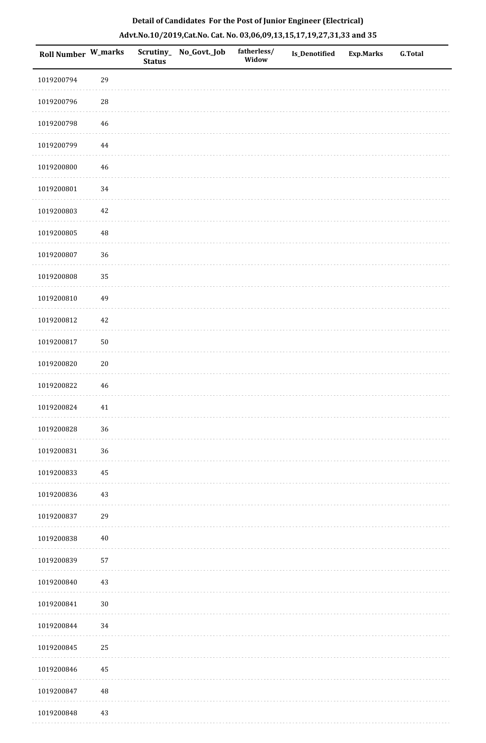|  | Detail of Candidates For the Post of Junior Engineer (Electrical)     |  |
|--|-----------------------------------------------------------------------|--|
|  | Advt.No.10/2019,Cat.No. Cat. No. 03,06,09,13,15,17,19,27,31,33 and 35 |  |

| Roll Number W_marks |             | <b>Status</b> | Scrutiny_ No_Govt._Job | fatherless/<br>Widow | <b>Is_Denotified</b> | <b>Exp.Marks</b> | <b>G.Total</b> |
|---------------------|-------------|---------------|------------------------|----------------------|----------------------|------------------|----------------|
| 1019200794          | 29          |               |                        |                      |                      |                  |                |
| 1019200796          | $\sqrt{28}$ |               |                        |                      |                      |                  |                |
| 1019200798          | 46          |               |                        |                      |                      |                  |                |
| 1019200799          | $\bf 44$    |               |                        |                      |                      |                  |                |
| 1019200800          | $\sqrt{46}$ |               |                        |                      |                      |                  |                |
| 1019200801          | 34          |               |                        |                      |                      |                  |                |
| 1019200803          | $42\,$      |               |                        |                      |                      |                  |                |
| 1019200805          | $\sqrt{48}$ |               |                        |                      |                      |                  |                |
| 1019200807          | 36          |               |                        |                      |                      |                  |                |
| 1019200808          | 35          |               |                        |                      |                      |                  |                |
| 1019200810          | 49          |               |                        |                      |                      |                  |                |
| 1019200812          | 42          |               |                        |                      |                      |                  |                |
| 1019200817          | $50\,$      |               |                        |                      |                      |                  |                |
| 1019200820          | $20\,$      |               |                        |                      |                      |                  |                |
| 1019200822          | 46          |               |                        |                      |                      |                  |                |
| 1019200824          | $41\,$      |               |                        |                      |                      |                  |                |
| 1019200828          | 36          |               |                        |                      |                      |                  |                |
| 1019200831          | 36          |               |                        |                      |                      |                  |                |
| 1019200833          | 45          |               |                        |                      |                      |                  |                |
| 1019200836          | $43\,$      |               |                        |                      |                      |                  |                |
| 1019200837          | 29          |               |                        |                      |                      |                  |                |
| 1019200838          | $40\,$      |               |                        |                      |                      |                  |                |
| 1019200839          | 57          |               |                        |                      |                      |                  |                |
| 1019200840          | 43          |               |                        |                      |                      |                  |                |
| 1019200841          | $30\,$      |               |                        |                      |                      |                  |                |
| 1019200844          | 34          |               |                        |                      |                      |                  |                |
| 1019200845          | 25          |               |                        |                      |                      |                  |                |
| 1019200846          | 45          |               |                        |                      |                      |                  |                |
| 1019200847          | $\rm 48$    |               |                        |                      |                      |                  |                |
| 1019200848          | 43          |               |                        |                      |                      |                  |                |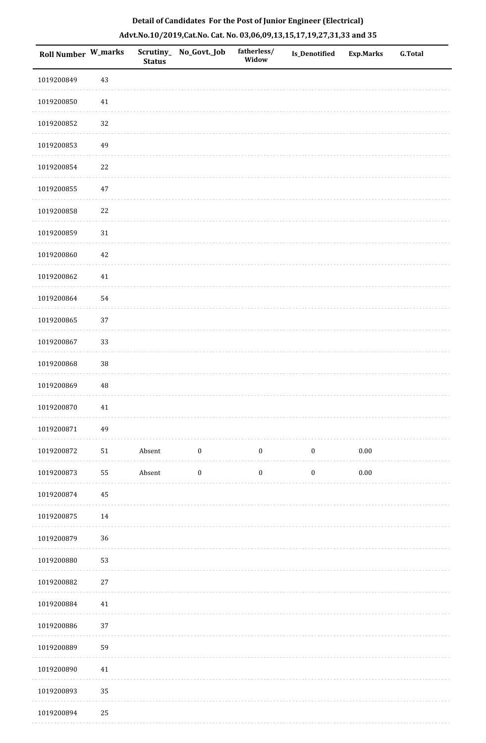| Roll Number W_marks |          | <b>Status</b> | Scrutiny_ No_Govt._Job | fatherless/<br>Widow | Is_Denotified    | <b>Exp.Marks</b> | G.Total |
|---------------------|----------|---------------|------------------------|----------------------|------------------|------------------|---------|
| 1019200849          | 43       |               |                        |                      |                  |                  |         |
| 1019200850          | $41\,$   |               |                        |                      |                  |                  |         |
| 1019200852          | 32       |               |                        |                      |                  |                  |         |
| 1019200853          | 49       |               |                        |                      |                  |                  |         |
| 1019200854          | $22\,$   |               |                        |                      |                  |                  |         |
| 1019200855          | 47       |               |                        |                      |                  |                  |         |
| 1019200858          | $22\,$   |               |                        |                      |                  |                  |         |
| 1019200859          | $31\,$   |               |                        |                      |                  |                  |         |
| 1019200860          | $42\,$   |               |                        |                      |                  |                  |         |
| 1019200862          | $41\,$   |               |                        |                      |                  |                  |         |
| 1019200864          | 54       |               |                        |                      |                  |                  |         |
| 1019200865          | 37       |               |                        |                      |                  |                  |         |
| 1019200867          | 33       |               |                        |                      |                  |                  |         |
| 1019200868          | 38       |               |                        |                      |                  |                  |         |
| 1019200869          | $\rm 48$ |               |                        |                      |                  |                  |         |
| 1019200870          | $41\,$   |               |                        |                      |                  |                  |         |
| 1019200871          | 49       |               |                        |                      |                  |                  |         |
| 1019200872          | $51\,$   | Absent        | $\boldsymbol{0}$       | $\boldsymbol{0}$     | $\boldsymbol{0}$ | $0.00\,$         |         |
| 1019200873          | 55       | Absent        | $\boldsymbol{0}$       | $\boldsymbol{0}$     | $\boldsymbol{0}$ | $0.00\,$         |         |
| 1019200874          | $\bf 45$ |               |                        |                      |                  |                  |         |
| 1019200875          | $14\,$   |               |                        |                      |                  |                  |         |
| 1019200879          | 36       |               |                        |                      |                  |                  |         |
| 1019200880          | 53       |               |                        |                      |                  |                  |         |
| 1019200882          | $27\,$   |               |                        |                      |                  |                  |         |
| 1019200884          | $41\,$   |               |                        |                      |                  |                  |         |
| 1019200886          | $37\,$   |               |                        |                      |                  |                  |         |
| 1019200889          | 59       |               |                        |                      |                  |                  |         |
| 1019200890          | $41\,$   |               |                        |                      |                  |                  |         |
| 1019200893          | 35       |               |                        |                      |                  |                  |         |
| 1019200894          | $25\,$   |               |                        |                      |                  |                  |         |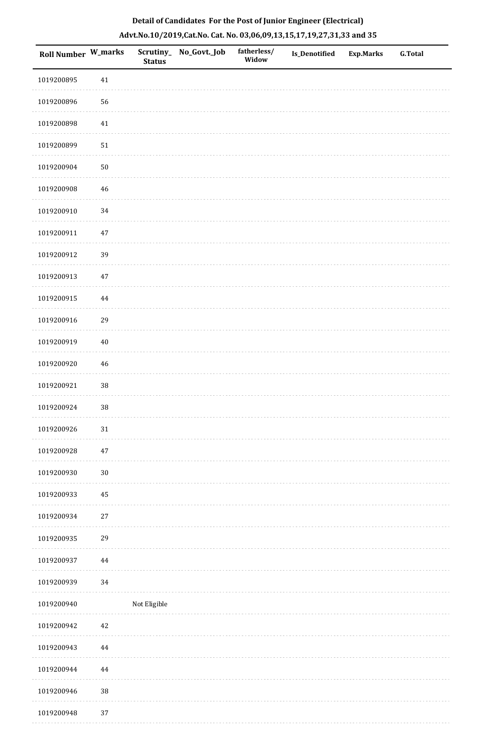| Roll Number W_marks |          | <b>Status</b> | Scrutiny_ No_Govt._Job | fatherless/<br>Widow | Is_Denotified | <b>Exp.Marks</b> | <b>G.Total</b> |
|---------------------|----------|---------------|------------------------|----------------------|---------------|------------------|----------------|
| 1019200895          | $41\,$   |               |                        |                      |               |                  |                |
| 1019200896          | 56       |               |                        |                      |               |                  |                |
| 1019200898          | $41\,$   |               |                        |                      |               |                  |                |
| 1019200899          | $51\,$   |               |                        |                      |               |                  |                |
| 1019200904          | $50\,$   |               |                        |                      |               |                  |                |
| 1019200908          | 46       |               |                        |                      |               |                  |                |
| 1019200910          | 34       |               |                        |                      |               |                  |                |
| 1019200911          | $47\,$   |               |                        |                      |               |                  |                |
| 1019200912          | 39       |               |                        |                      |               |                  |                |
| 1019200913          | 47       |               |                        |                      |               |                  |                |
| 1019200915          | $\bf 44$ |               |                        |                      |               |                  |                |
| 1019200916          | 29       |               |                        |                      |               |                  |                |
| 1019200919          | $40\,$   |               |                        |                      |               |                  |                |
| 1019200920          | 46       |               |                        |                      |               |                  |                |
| 1019200921          | $38\,$   |               |                        |                      |               |                  |                |
| 1019200924          | $38\,$   |               |                        |                      |               |                  |                |
| 1019200926          | $31\,$   |               |                        |                      |               |                  |                |
| 1019200928          | $47\,$   |               |                        |                      |               |                  |                |
| 1019200930          | $30\,$   |               |                        |                      |               |                  |                |
| 1019200933          | $\bf 45$ |               |                        |                      |               |                  |                |
| 1019200934          | $27\,$   |               |                        |                      |               |                  |                |
| 1019200935          | 29       |               |                        |                      |               |                  |                |
| 1019200937          | $\bf 44$ |               |                        |                      |               |                  |                |
| 1019200939          | 34       |               |                        |                      |               |                  |                |
| 1019200940          |          | Not Eligible  |                        |                      |               |                  |                |
| 1019200942          | $42\,$   |               |                        |                      |               |                  |                |
| 1019200943          | 44       |               |                        |                      |               |                  |                |
| 1019200944          | 44       |               |                        |                      |               |                  |                |
| 1019200946          | $38\,$   |               |                        |                      |               |                  |                |
| 1019200948          | $37\,$   |               |                        |                      |               |                  |                |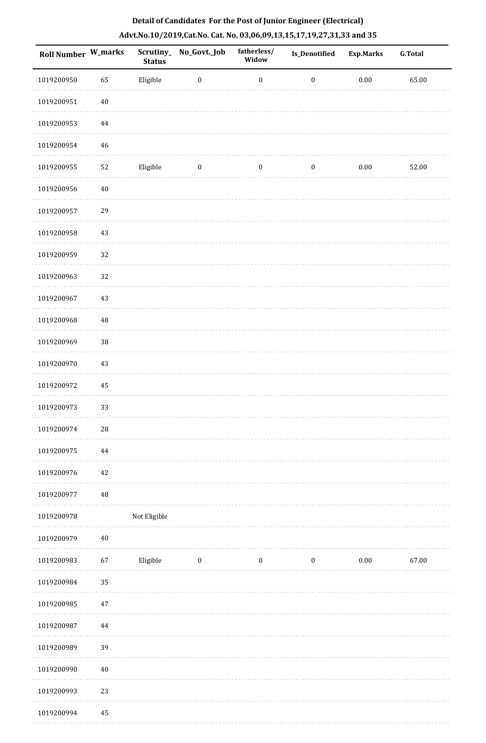| Roll Number W_marks |             | <b>Status</b> | Scrutiny_No_Govt._Job | fatherless/<br>Widow | Is_Denotified    | <b>Exp.Marks</b> | <b>G.Total</b> |
|---------------------|-------------|---------------|-----------------------|----------------------|------------------|------------------|----------------|
| 1019200950          | 65          | Eligible      | $\boldsymbol{0}$      | $\boldsymbol{0}$     | $\boldsymbol{0}$ | $0.00\,$         | 65.00          |
| 1019200951          | $40\,$      |               |                       |                      |                  |                  |                |
| 1019200953          | $\bf 44$    |               |                       |                      |                  |                  |                |
| 1019200954          | $\sqrt{46}$ |               |                       |                      |                  |                  |                |
| 1019200955          | 52          | Eligible      | $\bf{0}$              | $\boldsymbol{0}$     | $\boldsymbol{0}$ | $0.00\,$         | 52.00          |
| 1019200956          | $40\,$      |               |                       |                      |                  |                  |                |
| 1019200957          | 29          |               |                       |                      |                  |                  |                |
| 1019200958          | 43          |               |                       |                      |                  |                  |                |
| 1019200959          | 32          |               |                       |                      |                  |                  |                |
| 1019200963          | 32          |               |                       |                      |                  |                  |                |
| 1019200967          | 43          |               |                       |                      |                  |                  |                |
| 1019200968          | $\rm 48$    |               |                       |                      |                  |                  |                |
| 1019200969          | $38\,$      |               |                       |                      |                  |                  |                |
| 1019200970          | 43          |               |                       |                      |                  |                  |                |
| 1019200972          | 45          |               |                       |                      |                  |                  |                |
| 1019200973          | 33          |               |                       |                      |                  |                  |                |
| 1019200974          | 28          |               |                       |                      |                  |                  |                |
| 1019200975          | $\bf 44$    |               |                       |                      |                  |                  |                |
| 1019200976          | $42\,$      |               |                       |                      |                  |                  |                |
| 1019200977          | $\rm 48$    |               |                       |                      |                  |                  |                |
| 1019200978          |             | Not Eligible  |                       |                      |                  |                  |                |
| 1019200979          | $40\,$      |               |                       |                      |                  |                  |                |
| 1019200983          | 67          | Eligible      | $\bf{0}$              | $\boldsymbol{0}$     | $\boldsymbol{0}$ | 0.00             | 67.00          |
| 1019200984          | 35          |               |                       |                      |                  |                  |                |
| 1019200985          | $47\,$      |               |                       |                      |                  |                  |                |
| 1019200987          | $\bf 44$    |               |                       |                      |                  |                  |                |
| 1019200989          | 39          |               |                       |                      |                  |                  |                |
| 1019200990          | $40\,$      |               |                       |                      |                  |                  |                |
| 1019200993          | 23          |               |                       |                      |                  |                  |                |
| 1019200994          | 45          |               |                       |                      |                  |                  |                |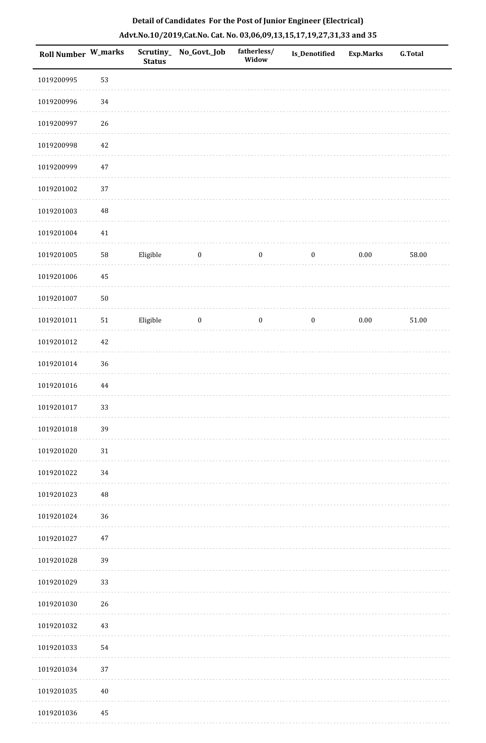| <b>Roll Number W_marks</b> |            | <b>Status</b> | Scrutiny_ No_Govt._Job | fatherless/<br>Widow | Is_Denotified    | <b>Exp.Marks</b> | <b>G.Total</b> |
|----------------------------|------------|---------------|------------------------|----------------------|------------------|------------------|----------------|
| 1019200995                 | 53         |               |                        |                      |                  |                  |                |
| 1019200996                 | 34         |               |                        |                      |                  |                  |                |
| 1019200997                 | $26\,$     |               |                        |                      |                  |                  |                |
| 1019200998                 | 42         |               |                        |                      |                  |                  |                |
| 1019200999                 | $47\,$     |               |                        |                      |                  |                  |                |
| 1019201002                 | 37         |               |                        |                      |                  |                  |                |
| 1019201003                 | $\rm 48$   |               |                        |                      |                  |                  |                |
| 1019201004                 | $41\,$     |               |                        |                      |                  |                  |                |
| 1019201005                 | ${\bf 58}$ | Eligible      | $\boldsymbol{0}$       | $\boldsymbol{0}$     | $\boldsymbol{0}$ | $0.00\,$         | 58.00          |
| 1019201006                 | 45         |               |                        |                      |                  |                  |                |
| 1019201007                 | $50\,$     |               |                        |                      |                  |                  |                |
| 1019201011                 | $51\,$     | Eligible      | $\boldsymbol{0}$       | $\boldsymbol{0}$     | $\boldsymbol{0}$ | $0.00\,$         | $51.00\,$      |
| 1019201012                 | 42         |               |                        |                      |                  |                  |                |
| 1019201014                 | 36         |               |                        |                      |                  |                  |                |
| 1019201016                 | 44         |               |                        |                      |                  |                  |                |
| 1019201017                 | 33         |               |                        |                      |                  |                  |                |
| 1019201018                 | 39         |               |                        |                      |                  |                  |                |
| 1019201020                 | $31\,$     |               |                        |                      |                  |                  |                |
| 1019201022                 | 34         |               |                        |                      |                  |                  |                |
| 1019201023                 | 48         |               |                        |                      |                  |                  |                |
| 1019201024                 | 36         |               |                        |                      |                  |                  |                |
| 1019201027                 | 47         |               |                        |                      |                  |                  |                |
| 1019201028                 | 39         |               |                        |                      |                  |                  |                |
| 1019201029                 | 33         |               |                        |                      |                  |                  |                |
| 1019201030                 | $26\,$     |               |                        |                      |                  |                  |                |
| 1019201032                 | 43         |               |                        |                      |                  |                  |                |
| 1019201033                 | 54         |               |                        |                      |                  |                  |                |
| 1019201034                 | 37         |               |                        |                      |                  |                  |                |
| 1019201035                 | $40\,$     |               |                        |                      |                  |                  |                |
| 1019201036                 | 45         |               |                        |                      |                  |                  |                |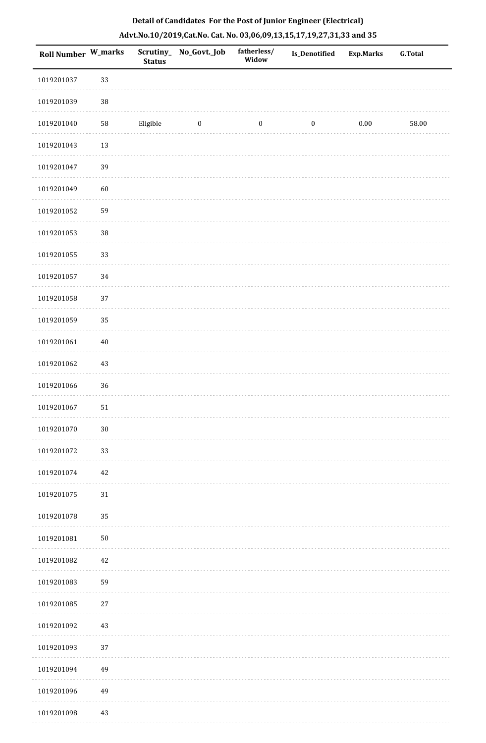|  |  | Detail of Candidates For the Post of Junior Engineer (Electrical)     |  |
|--|--|-----------------------------------------------------------------------|--|
|  |  | Advt.No.10/2019,Cat.No. Cat. No. 03,06,09,13,15,17,19,27,31,33 and 35 |  |

| Roll Number W_marks |        | <b>Status</b> | Scrutiny_ No_Govt._Job | fatherless/<br>Widow | Is_Denotified    | <b>Exp.Marks</b> | <b>G.Total</b> |
|---------------------|--------|---------------|------------------------|----------------------|------------------|------------------|----------------|
| 1019201037          | 33     |               |                        |                      |                  |                  |                |
| 1019201039          | $38\,$ |               |                        |                      |                  |                  |                |
| 1019201040          | 58     | Eligible      | $\bf{0}$               | $\boldsymbol{0}$     | $\boldsymbol{0}$ | $0.00\,$         | 58.00          |
| 1019201043          | 13     |               |                        |                      |                  |                  |                |
| 1019201047          | 39     |               |                        |                      |                  |                  |                |
| 1019201049          | 60     |               |                        |                      |                  |                  |                |
| 1019201052          | 59     |               |                        |                      |                  |                  |                |
| 1019201053          | 38     |               |                        |                      |                  |                  |                |
| 1019201055          | 33     |               |                        |                      |                  |                  |                |
| 1019201057          | 34     |               |                        |                      |                  |                  |                |
| 1019201058          | 37     |               |                        |                      |                  |                  |                |
| 1019201059          | 35     |               |                        |                      |                  |                  |                |
| 1019201061          | $40\,$ |               |                        |                      |                  |                  |                |
| 1019201062          | 43     |               |                        |                      |                  |                  |                |
| 1019201066          | 36     |               |                        |                      |                  |                  |                |
| 1019201067          | 51     |               |                        |                      |                  |                  |                |
| 1019201070          | $30\,$ |               |                        |                      |                  |                  |                |
| 1019201072          | 33     |               |                        |                      |                  |                  |                |
| 1019201074          | $42\,$ |               |                        |                      |                  |                  |                |
| 1019201075          | $31\,$ |               |                        |                      |                  |                  |                |
| 1019201078          | 35     |               |                        |                      |                  |                  |                |
| 1019201081          | $50\,$ |               |                        |                      |                  |                  |                |
| 1019201082          | 42     |               |                        |                      |                  |                  |                |
| 1019201083          | 59     |               |                        |                      |                  |                  |                |
| 1019201085          | $27\,$ |               |                        |                      |                  |                  |                |
| 1019201092          | 43     |               |                        |                      |                  |                  |                |
| 1019201093          | 37     |               |                        |                      |                  |                  |                |
| 1019201094          | 49     |               |                        |                      |                  |                  |                |
| 1019201096          | 49     |               |                        |                      |                  |                  |                |
| 1019201098          | $43\,$ |               |                        |                      |                  |                  |                |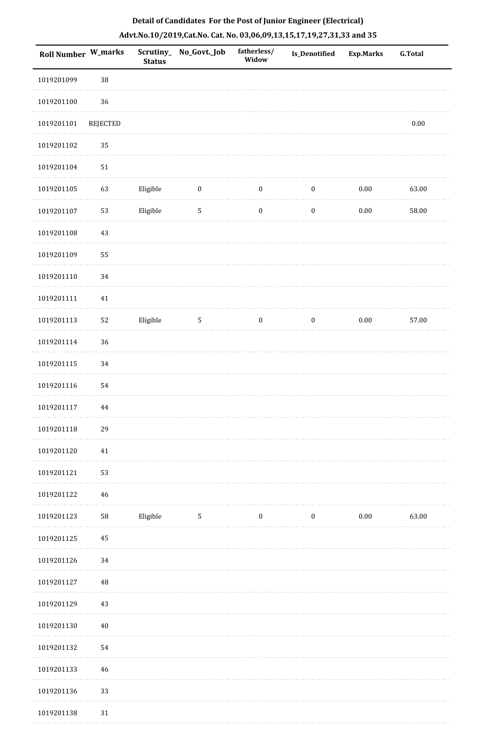| Detail of Candidates For the Post of Junior Engineer (Electrical)     |
|-----------------------------------------------------------------------|
| Advt.No.10/2019,Cat.No. Cat. No. 03,06,09,13,15,17,19,27,31,33 and 35 |

| <b>Roll Number W_marks</b> |            | <b>Status</b> | Scrutiny_No_Govt._Job | fatherless/<br>Widow | <b>Is_Denotified</b> | <b>Exp.Marks</b> | <b>G.Total</b> |
|----------------------------|------------|---------------|-----------------------|----------------------|----------------------|------------------|----------------|
| 1019201099                 | 38         |               |                       |                      |                      |                  |                |
| 1019201100                 | $36\,$     |               |                       |                      |                      |                  |                |
| 1019201101                 | REJECTED   |               |                       |                      |                      |                  | $0.00\,$       |
| 1019201102                 | 35         |               |                       |                      |                      |                  |                |
| 1019201104                 | ${\bf 51}$ |               |                       |                      |                      |                  |                |
| 1019201105                 | 63         | Eligible      | $\boldsymbol{0}$      | $\boldsymbol{0}$     | $\boldsymbol{0}$     | $0.00\,$         | 63.00          |
| 1019201107                 | 53         | Eligible      | $\overline{5}$        | $\boldsymbol{0}$     | $\boldsymbol{0}$     | $0.00\,$         | 58.00          |
| 1019201108                 | 43         |               |                       |                      |                      |                  |                |
| 1019201109                 | 55         |               |                       |                      |                      |                  |                |
| 1019201110                 | 34         |               |                       |                      |                      |                  |                |
| 1019201111                 | $41\,$     |               |                       |                      |                      |                  |                |
| 1019201113                 | 52         | Eligible      | $5\phantom{.0}$       | $\boldsymbol{0}$     | $\boldsymbol{0}$     | 0.00             | 57.00          |
| 1019201114                 | 36         |               |                       |                      |                      |                  |                |
| 1019201115                 | 34         |               |                       |                      |                      |                  |                |
| 1019201116                 | 54         |               |                       |                      |                      |                  |                |
| 1019201117                 | 44         |               |                       |                      |                      |                  |                |
| 1019201118                 | 29         |               |                       |                      |                      |                  |                |
| 1019201120                 | $41\,$     |               |                       |                      |                      |                  |                |
| 1019201121                 | 53         |               |                       |                      |                      |                  |                |
| 1019201122                 | 46         |               |                       |                      |                      |                  |                |
| 1019201123                 | 58         | Eligible      | $\mathbf{5}$          | $\bf{0}$             | $\boldsymbol{0}$     | 0.00             | 63.00          |
| 1019201125                 | 45         |               |                       |                      |                      |                  |                |
| 1019201126                 | 34         |               |                       |                      |                      |                  |                |
| 1019201127                 | 48         |               |                       |                      |                      |                  |                |
| 1019201129                 | 43         |               |                       |                      |                      |                  |                |
| 1019201130                 | $40\,$     |               |                       |                      |                      |                  |                |
| 1019201132                 | 54         |               |                       |                      |                      |                  |                |
| 1019201133                 | 46         |               |                       |                      |                      |                  |                |
| 1019201136                 | 33         |               |                       |                      |                      |                  |                |
| 1019201138                 | 31         |               |                       |                      |                      |                  |                |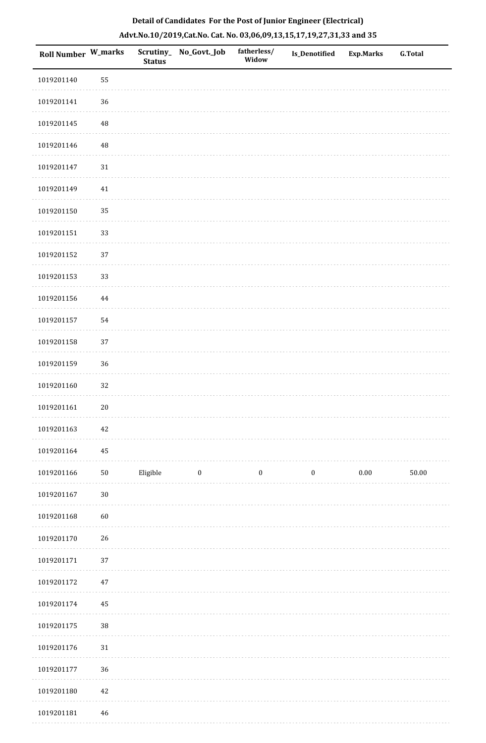| Roll Number W_marks |          | <b>Status</b> | Scrutiny_No_Govt._Job | fatherless/<br>Widow | Is_Denotified    | Exp.Marks | <b>G.Total</b> |
|---------------------|----------|---------------|-----------------------|----------------------|------------------|-----------|----------------|
| 1019201140          | 55       |               |                       |                      |                  |           |                |
| 1019201141          | 36       |               |                       |                      |                  |           |                |
| 1019201145          | 48       |               |                       |                      |                  |           |                |
| 1019201146          | 48       |               |                       |                      |                  |           |                |
| 1019201147          | $31\,$   |               |                       |                      |                  |           |                |
| 1019201149          | $41\,$   |               |                       |                      |                  |           |                |
| 1019201150          | 35       |               |                       |                      |                  |           |                |
| 1019201151          | 33       |               |                       |                      |                  |           |                |
| 1019201152          | 37       |               |                       |                      |                  |           |                |
| 1019201153          | 33       |               |                       |                      |                  |           |                |
| 1019201156          | $\bf 44$ |               |                       |                      |                  |           |                |
| 1019201157          | 54       |               |                       |                      |                  |           |                |
| 1019201158          | 37       |               |                       |                      |                  |           |                |
| 1019201159          | 36       |               |                       |                      |                  |           |                |
| 1019201160          | 32       |               |                       |                      |                  |           |                |
| 1019201161          | $20\,$   |               |                       |                      |                  |           |                |
| 1019201163          | $42\,$   |               |                       |                      |                  |           |                |
| 1019201164          | 45       |               |                       |                      |                  |           |                |
| 1019201166          | $50\,$   | Eligible      | $\bf{0}$              | $\boldsymbol{0}$     | $\boldsymbol{0}$ | $0.00\,$  | 50.00          |
| 1019201167          | $30\,$   |               |                       |                      |                  |           |                |
| 1019201168          | 60       |               |                       |                      |                  |           |                |
| 1019201170          | 26       |               |                       |                      |                  |           |                |
| 1019201171          | 37       |               |                       |                      |                  |           |                |
| 1019201172          | $47\,$   |               |                       |                      |                  |           |                |
| 1019201174          | 45       |               |                       |                      |                  |           |                |
| 1019201175          | $38\,$   |               |                       |                      |                  |           |                |
| 1019201176          | $31\,$   |               |                       |                      |                  |           |                |
| 1019201177          | 36       |               |                       |                      |                  |           |                |
| 1019201180          | 42       |               |                       |                      |                  |           |                |
| 1019201181          | 46       |               |                       |                      |                  |           |                |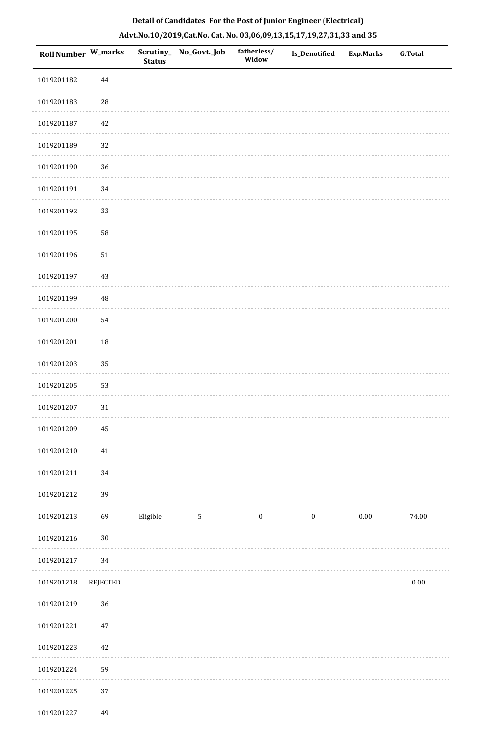| Roll Number W_marks |                 | <b>Status</b> | Scrutiny_ No_Govt._Job | fatherless/<br>Widow | Is_Denotified    | <b>Exp.Marks</b> | <b>G.Total</b> |
|---------------------|-----------------|---------------|------------------------|----------------------|------------------|------------------|----------------|
| 1019201182          | $\bf 44$        |               |                        |                      |                  |                  |                |
| 1019201183          | ${\bf 28}$      |               |                        |                      |                  |                  |                |
| 1019201187          | $42\,$          |               |                        |                      |                  |                  |                |
| 1019201189          | 32              |               |                        |                      |                  |                  |                |
| 1019201190          | 36              |               |                        |                      |                  |                  |                |
| 1019201191          | 34              |               |                        |                      |                  |                  |                |
| 1019201192          | 33              |               |                        |                      |                  |                  |                |
| 1019201195          | 58              |               |                        |                      |                  |                  |                |
| 1019201196          | 51              |               |                        |                      |                  |                  |                |
| 1019201197          | 43              |               |                        |                      |                  |                  |                |
| 1019201199          | $\rm 48$        |               |                        |                      |                  |                  |                |
| 1019201200          | 54              |               |                        |                      |                  |                  |                |
| 1019201201          | 18              |               |                        |                      |                  |                  |                |
| 1019201203          | 35              |               |                        |                      |                  |                  |                |
| 1019201205          | 53              |               |                        |                      |                  |                  |                |
| 1019201207          | $31\,$          |               |                        |                      |                  |                  |                |
| 1019201209          | $\bf 45$        |               |                        |                      |                  |                  |                |
| 1019201210          | $41\,$          |               |                        |                      |                  |                  |                |
| 1019201211          | $34\,$          |               |                        |                      |                  |                  |                |
| 1019201212          | 39              |               |                        |                      |                  |                  |                |
| 1019201213          | 69              | Eligible      | $5\phantom{.0}$        | $\boldsymbol{0}$     | $\boldsymbol{0}$ | $0.00\,$         | 74.00          |
| 1019201216          | $30\,$          |               |                        |                      |                  |                  |                |
| 1019201217          | 34              |               |                        |                      |                  |                  |                |
| 1019201218          | <b>REJECTED</b> |               |                        |                      |                  |                  | $0.00\,$       |
| 1019201219          | 36              |               |                        |                      |                  |                  |                |
| 1019201221          | $47\,$          |               |                        |                      |                  |                  |                |
| 1019201223          | $42\,$          |               |                        |                      |                  |                  |                |
| 1019201224          | 59              |               |                        |                      |                  |                  |                |
| 1019201225          | $37\,$          |               |                        |                      |                  |                  |                |
| 1019201227          | 49              |               |                        |                      |                  |                  |                |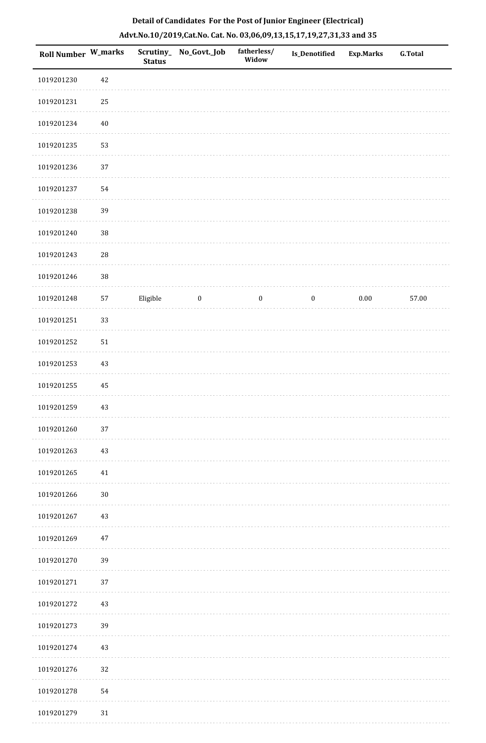| <b>Roll Number W_marks</b> |        | <b>Status</b> | Scrutiny_ No_Govt._Job | fatherless/<br>Widow | Is_Denotified    | <b>Exp.Marks</b> | G.Total |
|----------------------------|--------|---------------|------------------------|----------------------|------------------|------------------|---------|
| 1019201230                 | 42     |               |                        |                      |                  |                  |         |
| 1019201231                 | $25\,$ |               |                        |                      |                  |                  |         |
| 1019201234                 | $40\,$ |               |                        |                      |                  |                  |         |
| 1019201235                 | 53     |               |                        |                      |                  |                  |         |
| 1019201236                 | 37     |               |                        |                      |                  |                  |         |
| 1019201237                 | 54     |               |                        |                      |                  |                  |         |
| 1019201238                 | 39     |               |                        |                      |                  |                  |         |
| 1019201240                 | $38\,$ |               |                        |                      |                  |                  |         |
| 1019201243                 | $28\,$ |               |                        |                      |                  |                  |         |
| 1019201246                 | $38\,$ |               |                        |                      |                  |                  |         |
| 1019201248                 | 57     | Eligible      | $\boldsymbol{0}$       | $\boldsymbol{0}$     | $\boldsymbol{0}$ | $0.00\,$         | 57.00   |
| 1019201251                 | 33     |               |                        |                      |                  |                  |         |
| 1019201252                 | 51     |               |                        |                      |                  |                  |         |
| 1019201253                 | $43\,$ |               |                        |                      |                  |                  |         |
| 1019201255                 | 45     |               |                        |                      |                  |                  |         |
| 1019201259                 | $43\,$ |               |                        |                      |                  |                  |         |
| 1019201260                 | $37\,$ |               |                        |                      |                  |                  |         |
| 1019201263                 | 43     |               |                        |                      |                  |                  |         |
| 1019201265                 | 41     |               |                        |                      |                  |                  |         |
| 1019201266                 | $30\,$ |               |                        |                      |                  |                  |         |
| 1019201267                 | 43     |               |                        |                      |                  |                  |         |
| 1019201269                 | 47     |               |                        |                      |                  |                  |         |
| 1019201270                 | 39     |               |                        |                      |                  |                  |         |
| 1019201271                 | 37     |               |                        |                      |                  |                  |         |
| 1019201272                 | 43     |               |                        |                      |                  |                  |         |
| 1019201273                 | 39     |               |                        |                      |                  |                  |         |
| 1019201274                 | 43     |               |                        |                      |                  |                  |         |
| 1019201276                 | 32     |               |                        |                      |                  |                  |         |
| 1019201278                 | 54     |               |                        |                      |                  |                  |         |
| 1019201279                 | $31\,$ |               |                        |                      |                  |                  |         |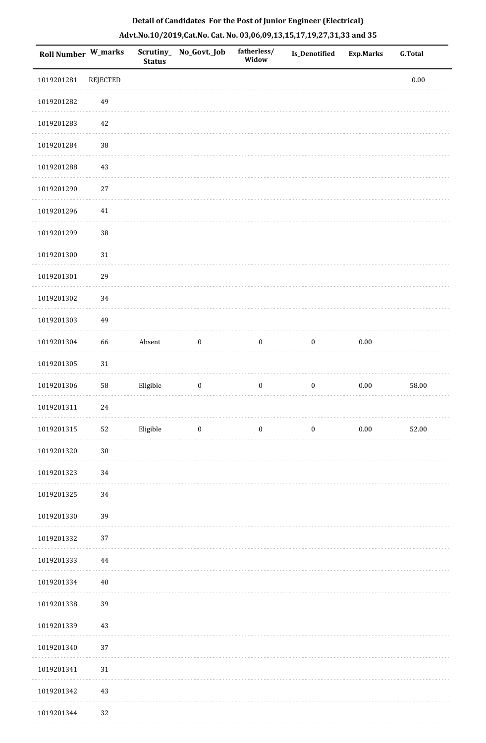| <b>Roll Number W_marks</b> |                 | <b>Status</b> | Scrutiny_No_Govt._Job   | fatherless/<br>Widow | Is_Denotified    | <b>Exp.Marks</b> | <b>G.Total</b> |
|----------------------------|-----------------|---------------|-------------------------|----------------------|------------------|------------------|----------------|
| 1019201281                 | <b>REJECTED</b> |               |                         |                      |                  |                  | $0.00\,$       |
| 1019201282                 | 49              |               |                         |                      |                  |                  |                |
| 1019201283                 | 42              |               |                         |                      |                  |                  |                |
| 1019201284                 | 38              |               |                         |                      |                  |                  |                |
| 1019201288                 | 43              |               |                         |                      |                  |                  |                |
| 1019201290                 | 27              |               |                         |                      |                  |                  |                |
| 1019201296                 | $41\,$          |               |                         |                      |                  |                  |                |
| 1019201299                 | $38\,$          |               |                         |                      |                  |                  |                |
| 1019201300                 | $31\,$          |               |                         |                      |                  |                  |                |
| 1019201301                 | 29              |               |                         |                      |                  |                  |                |
| 1019201302                 | 34              |               |                         |                      |                  |                  |                |
| 1019201303                 | 49              |               |                         |                      |                  |                  |                |
| 1019201304                 | 66              | Absent        | $\boldsymbol{0}$        | $\boldsymbol{0}$     | $\boldsymbol{0}$ | $0.00\,$         |                |
| 1019201305                 | $31\,$          |               |                         |                      |                  |                  |                |
| 1019201306                 | ${\bf 58}$      | Eligible      | $\boldsymbol{0}$        | $\boldsymbol{0}$     | $\boldsymbol{0}$ | $0.00\,$         | 58.00          |
| 1019201311                 | 24              |               |                         |                      |                  |                  |                |
| 1019201315                 | $52\,$          | Eligible      | $\overline{\mathbf{0}}$ | $\bf{0}$             | $\boldsymbol{0}$ | 0.00             | 52.00          |
| 1019201320                 | $30\,$          |               |                         |                      |                  |                  |                |
| 1019201323                 | 34              |               |                         |                      |                  |                  |                |
| 1019201325                 | 34              |               |                         |                      |                  |                  |                |
| 1019201330                 | 39              |               |                         |                      |                  |                  |                |
| 1019201332                 | 37              |               |                         |                      |                  |                  |                |
| 1019201333                 | 44              |               |                         |                      |                  |                  |                |
| 1019201334                 | $40\,$          |               |                         |                      |                  |                  |                |
| 1019201338                 | 39              |               |                         |                      |                  |                  |                |
| 1019201339                 | 43              |               |                         |                      |                  |                  |                |
| 1019201340                 | 37              |               |                         |                      |                  |                  |                |
| 1019201341                 | 31              |               |                         |                      |                  |                  |                |
| 1019201342                 | 43              |               |                         |                      |                  |                  |                |
| 1019201344                 | 32              |               |                         |                      |                  |                  |                |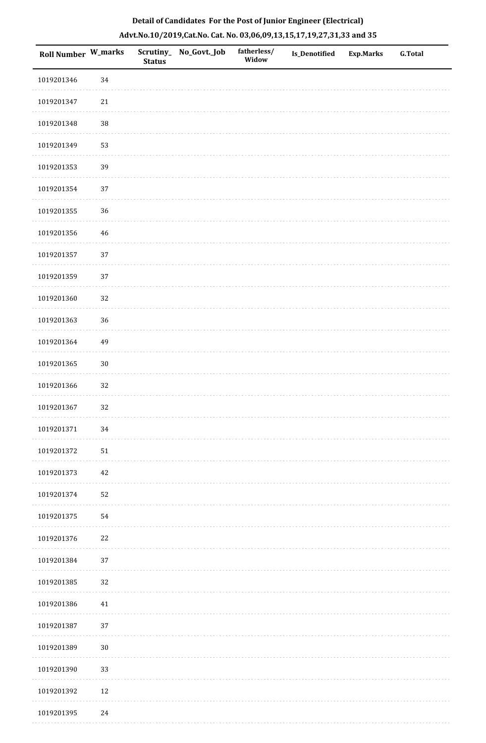| Roll Number W_marks |             | <b>Status</b> | Scrutiny_ No_Govt._Job | fatherless/<br>Widow | <b>Is_Denotified</b> | <b>Exp.Marks</b> | <b>G.Total</b> |
|---------------------|-------------|---------------|------------------------|----------------------|----------------------|------------------|----------------|
| 1019201346          | 34          |               |                        |                      |                      |                  |                |
| 1019201347          | $21\,$      |               |                        |                      |                      |                  |                |
| 1019201348          | $38\,$      |               |                        |                      |                      |                  |                |
| 1019201349          | 53          |               |                        |                      |                      |                  |                |
| 1019201353          | 39          |               |                        |                      |                      |                  |                |
| 1019201354          | 37          |               |                        |                      |                      |                  |                |
| 1019201355          | 36          |               |                        |                      |                      |                  |                |
| 1019201356          | $\sqrt{46}$ |               |                        |                      |                      |                  |                |
| 1019201357          | 37          |               |                        |                      |                      |                  |                |
| 1019201359          | 37          |               |                        |                      |                      |                  |                |
| 1019201360          | $32\,$      |               |                        |                      |                      |                  |                |
| 1019201363          | 36          |               |                        |                      |                      |                  |                |
| 1019201364          | 49          |               |                        |                      |                      |                  |                |
| 1019201365          | $30\,$      |               |                        |                      |                      |                  |                |
| 1019201366          | 32          |               |                        |                      |                      |                  |                |
| 1019201367          | 32          |               |                        |                      |                      |                  |                |
| 1019201371          | 34          |               |                        |                      |                      |                  |                |
| 1019201372          | 51          |               |                        |                      |                      |                  |                |
| 1019201373          | 42          |               |                        |                      |                      |                  |                |
| 1019201374          | 52          |               |                        |                      |                      |                  |                |
| 1019201375          | 54          |               |                        |                      |                      |                  |                |
| 1019201376          | 22          |               |                        |                      |                      |                  |                |
| 1019201384          | $37\,$      |               |                        |                      |                      |                  |                |
| 1019201385          | 32          |               |                        |                      |                      |                  |                |
| 1019201386          | 41          |               |                        |                      |                      |                  |                |
| 1019201387          | $37\,$      |               |                        |                      |                      |                  |                |
| 1019201389          | 30          |               |                        |                      |                      |                  |                |
| 1019201390          | 33          |               |                        |                      |                      |                  |                |
| 1019201392          | $12\,$      |               |                        |                      |                      |                  |                |
| 1019201395          | 24          |               |                        |                      |                      |                  |                |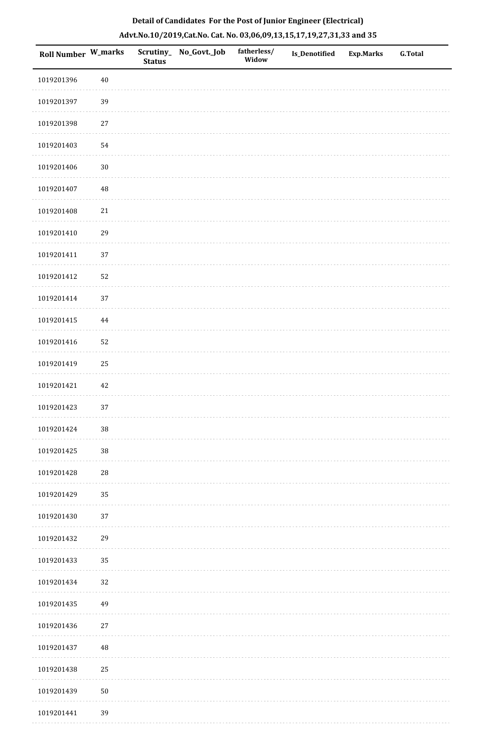| Roll Number W_marks |            | <b>Status</b> | Scrutiny_ No_Govt._Job | fatherless/<br>Widow | Is_Denotified | <b>Exp.Marks</b> | G.Total |
|---------------------|------------|---------------|------------------------|----------------------|---------------|------------------|---------|
| 1019201396          | $40\,$     |               |                        |                      |               |                  |         |
| 1019201397          | 39         |               |                        |                      |               |                  |         |
| 1019201398          | $27\,$     |               |                        |                      |               |                  |         |
| 1019201403          | 54         |               |                        |                      |               |                  |         |
| 1019201406          | $30\,$     |               |                        |                      |               |                  |         |
| 1019201407          | 48         |               |                        |                      |               |                  |         |
| 1019201408          | $21\,$     |               |                        |                      |               |                  |         |
| 1019201410          | 29         |               |                        |                      |               |                  |         |
| 1019201411          | 37         |               |                        |                      |               |                  |         |
| 1019201412          | 52         |               |                        |                      |               |                  |         |
| 1019201414          | 37         |               |                        |                      |               |                  |         |
| 1019201415          | $\bf 44$   |               |                        |                      |               |                  |         |
| 1019201416          | 52         |               |                        |                      |               |                  |         |
| 1019201419          | $25\,$     |               |                        |                      |               |                  |         |
| 1019201421          | $42\,$     |               |                        |                      |               |                  |         |
| 1019201423          | 37         |               |                        |                      |               |                  |         |
| 1019201424          | $38\,$     |               |                        |                      |               |                  |         |
| 1019201425          | 38         |               |                        |                      |               |                  |         |
| 1019201428          | ${\bf 28}$ |               |                        |                      |               |                  |         |
| 1019201429          | 35         |               |                        |                      |               |                  |         |
| 1019201430          | 37         |               |                        |                      |               |                  |         |
| 1019201432          | 29         |               |                        |                      |               |                  |         |
| 1019201433          | 35         |               |                        |                      |               |                  |         |
| 1019201434          | 32         |               |                        |                      |               |                  |         |
| 1019201435          | 49         |               |                        |                      |               |                  |         |
| 1019201436          | $27\,$     |               |                        |                      |               |                  |         |
| 1019201437          | 48         |               |                        |                      |               |                  |         |
| 1019201438          | 25         |               |                        |                      |               |                  |         |
| 1019201439          | $50\,$     |               |                        |                      |               |                  |         |
| 1019201441          | 39         |               |                        |                      |               |                  |         |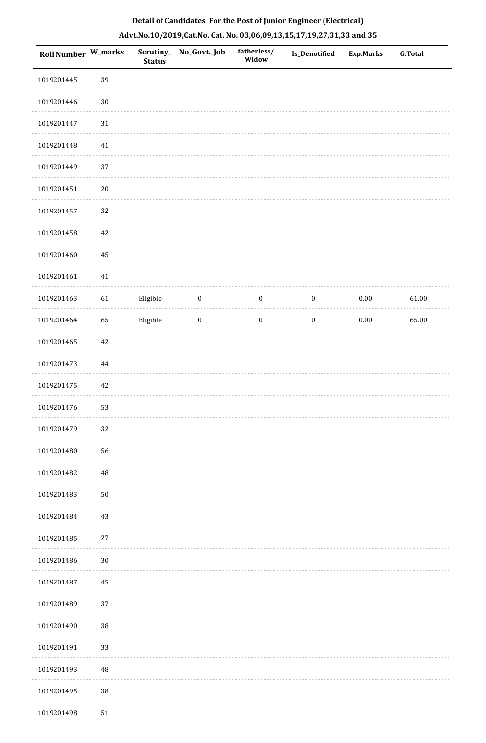| <b>Roll Number W_marks</b> |          | <b>Status</b> | Scrutiny_No_Govt._Job | fatherless/<br>Widow | Is_Denotified    | <b>Exp.Marks</b> | <b>G.Total</b> |
|----------------------------|----------|---------------|-----------------------|----------------------|------------------|------------------|----------------|
| 1019201445                 | 39       |               |                       |                      |                  |                  |                |
| 1019201446                 | $30\,$   |               |                       |                      |                  |                  |                |
| 1019201447                 | 31       |               |                       |                      |                  |                  |                |
| 1019201448                 | $41\,$   |               |                       |                      |                  |                  |                |
| 1019201449                 | 37       |               |                       |                      |                  |                  |                |
| 1019201451                 | $20\,$   |               |                       |                      |                  |                  |                |
| 1019201457                 | 32       |               |                       |                      |                  |                  |                |
| 1019201458                 | 42       |               |                       |                      |                  |                  |                |
| 1019201460                 | 45       |               |                       |                      |                  |                  |                |
| 1019201461                 | $41\,$   |               |                       |                      |                  |                  |                |
| 1019201463                 | 61       | Eligible      | $\boldsymbol{0}$      | $\boldsymbol{0}$     | $\boldsymbol{0}$ | $0.00\,$         | 61.00          |
| 1019201464                 | 65       | Eligible      | $\boldsymbol{0}$      | $\boldsymbol{0}$     | $\boldsymbol{0}$ | $0.00\,$         | 65.00          |
| 1019201465                 | $42\,$   |               |                       |                      |                  |                  |                |
| 1019201473                 | 44       |               |                       |                      |                  |                  |                |
| 1019201475                 | 42       |               |                       |                      |                  |                  |                |
| 1019201476                 | 53       |               |                       |                      |                  |                  |                |
| 1019201479                 | 32       |               |                       |                      |                  |                  |                |
| 1019201480                 | 56       |               |                       |                      |                  |                  |                |
| 1019201482                 | $\rm 48$ |               |                       |                      |                  |                  |                |
| 1019201483                 | $50\,$   |               |                       |                      |                  |                  |                |
| 1019201484                 | 43       |               |                       |                      |                  |                  |                |
| 1019201485                 | $27\,$   |               |                       |                      |                  |                  |                |
| 1019201486                 | $30\,$   |               |                       |                      |                  |                  |                |
| 1019201487                 | 45       |               |                       |                      |                  |                  |                |
| 1019201489                 | 37       |               |                       |                      |                  |                  |                |
| 1019201490                 | $38\,$   |               |                       |                      |                  |                  |                |
| 1019201491                 | 33       |               |                       |                      |                  |                  |                |
| 1019201493                 | 48       |               |                       |                      |                  |                  |                |
| 1019201495                 | $38\,$   |               |                       |                      |                  |                  |                |
| 1019201498                 | $51\,$   |               |                       |                      |                  |                  |                |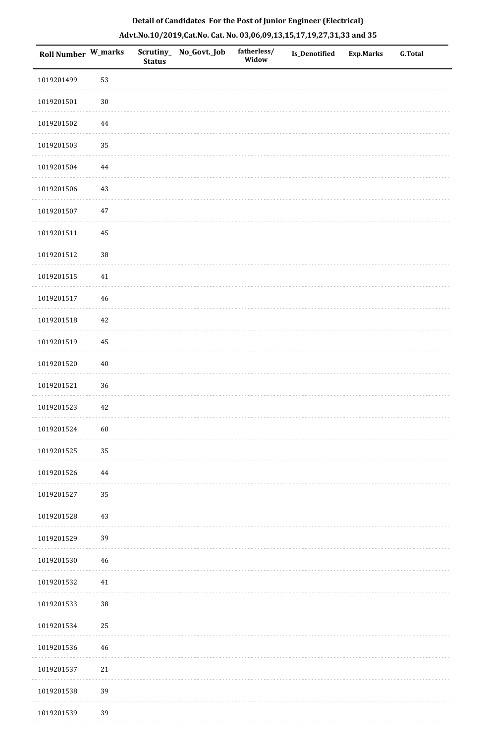| Roll Number W_marks |          | <b>Status</b> | Scrutiny_ No_Govt._Job | fatherless/<br>Widow | Is_Denotified | <b>Exp.Marks</b> | G.Total |
|---------------------|----------|---------------|------------------------|----------------------|---------------|------------------|---------|
| 1019201499          | 53       |               |                        |                      |               |                  |         |
| 1019201501          | $30\,$   |               |                        |                      |               |                  |         |
| 1019201502          | $\bf 44$ |               |                        |                      |               |                  |         |
| 1019201503          | 35       |               |                        |                      |               |                  |         |
| 1019201504          | 44       |               |                        |                      |               |                  |         |
| 1019201506          | $43\,$   |               |                        |                      |               |                  |         |
| 1019201507          | $47\,$   |               |                        |                      |               |                  |         |
| 1019201511          | $\bf 45$ |               |                        |                      |               |                  |         |
| 1019201512          | 38       |               |                        |                      |               |                  |         |
| 1019201515          | 41       |               |                        |                      |               |                  |         |
| 1019201517          | 46       |               |                        |                      |               |                  |         |
| 1019201518          | $42\,$   |               |                        |                      |               |                  |         |
| 1019201519          | 45       |               |                        |                      |               |                  |         |
| 1019201520          | $40\,$   |               |                        |                      |               |                  |         |
| 1019201521          | 36       |               |                        |                      |               |                  |         |
| 1019201523          | 42       |               |                        |                      |               |                  |         |
| 1019201524          | 60       |               |                        |                      |               |                  |         |
| 1019201525          | 35       |               |                        |                      |               |                  |         |
| 1019201526          | 44       |               |                        |                      |               |                  |         |
| 1019201527          | 35       |               |                        |                      |               |                  |         |
| 1019201528          | $43\,$   |               |                        |                      |               |                  |         |
| 1019201529          | 39       |               |                        |                      |               |                  |         |
| 1019201530          | 46       |               |                        |                      |               |                  |         |
| 1019201532          | $41\,$   |               |                        |                      |               |                  |         |
| 1019201533          | 38       |               |                        |                      |               |                  |         |
| 1019201534          | $25\,$   |               |                        |                      |               |                  |         |
| 1019201536          | 46       |               |                        |                      |               |                  |         |
| 1019201537          | $21\,$   |               |                        |                      |               |                  |         |
| 1019201538          | 39       |               |                        |                      |               |                  |         |
| 1019201539          | 39       |               |                        |                      |               |                  |         |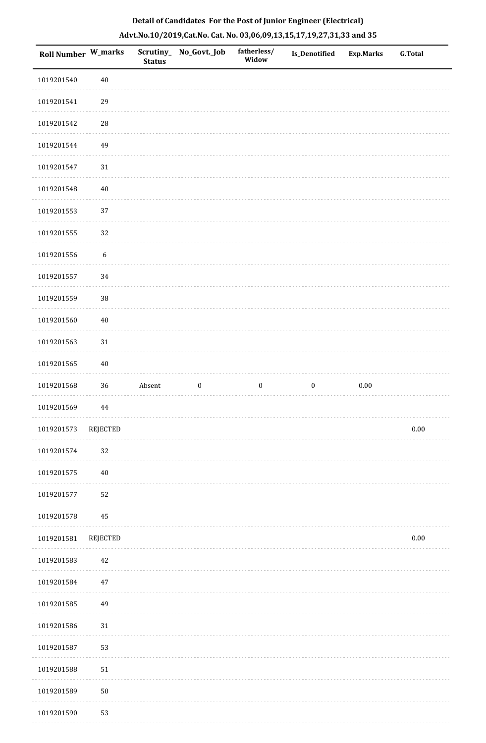| Roll Number W_marks |                  | <b>Status</b> | Scrutiny_No_Govt._Job | fatherless/<br>Widow | <b>Is_Denotified</b> | <b>Exp.Marks</b> | <b>G.Total</b> |
|---------------------|------------------|---------------|-----------------------|----------------------|----------------------|------------------|----------------|
| 1019201540          | $40\,$           |               |                       |                      |                      |                  |                |
| 1019201541          | 29               |               |                       |                      |                      |                  |                |
| 1019201542          | $\sqrt{28}$      |               |                       |                      |                      |                  |                |
| 1019201544          | 49               |               |                       |                      |                      |                  |                |
| 1019201547          | 31               |               |                       |                      |                      |                  |                |
| 1019201548          | 40               |               |                       |                      |                      |                  |                |
| 1019201553          | 37               |               |                       |                      |                      |                  |                |
| 1019201555          | 32               |               |                       |                      |                      |                  |                |
| 1019201556          | $\boldsymbol{6}$ |               |                       |                      |                      |                  |                |
| 1019201557          | 34               |               |                       |                      |                      |                  |                |
| 1019201559          | $38\,$           |               |                       |                      |                      |                  |                |
| 1019201560          | 40               |               |                       |                      |                      |                  |                |
| 1019201563          | 31               |               |                       |                      |                      |                  |                |
| 1019201565          | $40\,$           |               |                       |                      |                      |                  |                |
| 1019201568          | 36               | Absent        | $\boldsymbol{0}$      | $\boldsymbol{0}$     | $\boldsymbol{0}$     | $0.00\,$         |                |
| 1019201569          | 44               |               |                       |                      |                      |                  |                |
| 1019201573          | REJECTED         |               |                       |                      |                      |                  | $0.00\,$       |
| 1019201574          | 32               |               |                       |                      |                      |                  |                |
| 1019201575          | $40\,$           |               |                       |                      |                      |                  |                |
| 1019201577          | 52               |               |                       |                      |                      |                  |                |
| 1019201578          | 45               |               |                       |                      |                      |                  |                |
| 1019201581          | <b>REJECTED</b>  |               |                       |                      |                      |                  | 0.00           |
| 1019201583          | 42               |               |                       |                      |                      |                  |                |
| 1019201584          | 47               |               |                       |                      |                      |                  |                |
| 1019201585          | 49               |               |                       |                      |                      |                  |                |
| 1019201586          | 31               |               |                       |                      |                      |                  |                |
| 1019201587          | 53               |               |                       |                      |                      |                  |                |
| 1019201588          | 51               |               |                       |                      |                      |                  |                |
| 1019201589          | 50               |               |                       |                      |                      |                  |                |
| 1019201590          | 53               |               |                       |                      |                      |                  |                |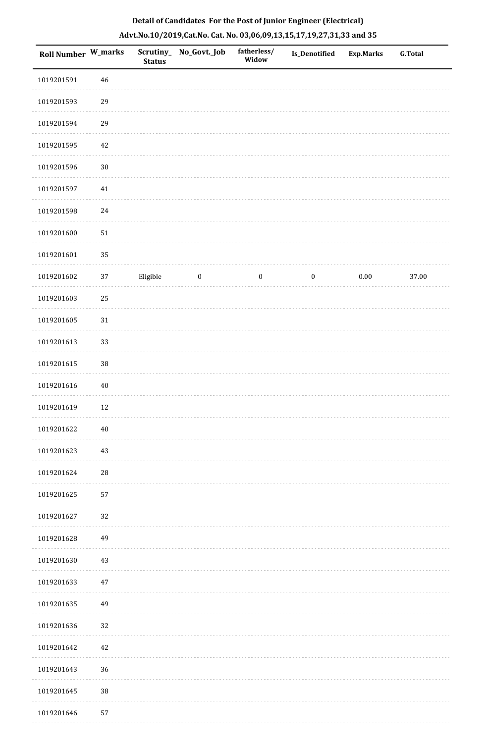| <b>Roll Number W_marks</b> |             | <b>Status</b> | Scrutiny_ No_Govt._Job | fatherless/<br>Widow | Is_Denotified    | <b>Exp.Marks</b> | G.Total |
|----------------------------|-------------|---------------|------------------------|----------------------|------------------|------------------|---------|
| 1019201591                 | 46          |               |                        |                      |                  |                  |         |
| 1019201593                 | 29          |               |                        |                      |                  |                  |         |
| 1019201594                 | 29          |               |                        |                      |                  |                  |         |
| 1019201595                 | 42          |               |                        |                      |                  |                  |         |
| 1019201596                 | $30\,$      |               |                        |                      |                  |                  |         |
| 1019201597                 | $41\,$      |               |                        |                      |                  |                  |         |
| 1019201598                 | 24          |               |                        |                      |                  |                  |         |
| 1019201600                 | 51          |               |                        |                      |                  |                  |         |
| 1019201601                 | 35          |               |                        |                      |                  |                  |         |
| 1019201602                 | $37\,$      | Eligible      | $\boldsymbol{0}$       | $\boldsymbol{0}$     | $\boldsymbol{0}$ | $0.00\,$         | 37.00   |
| 1019201603                 | 25          |               |                        |                      |                  |                  |         |
| 1019201605                 | 31          |               |                        |                      |                  |                  |         |
| 1019201613                 | 33          |               |                        |                      |                  |                  |         |
| 1019201615                 | $38\,$      |               |                        |                      |                  |                  |         |
| 1019201616                 | $40\,$      |               |                        |                      |                  |                  |         |
| 1019201619                 | 12          |               |                        |                      |                  |                  |         |
| 1019201622                 | $40\,$      |               |                        |                      |                  |                  |         |
| 1019201623                 | 43          |               |                        |                      |                  |                  |         |
| 1019201624                 | $\sqrt{28}$ |               |                        |                      |                  |                  |         |
| 1019201625                 | 57          |               |                        |                      |                  |                  |         |
| 1019201627                 | 32          |               |                        |                      |                  |                  |         |
| 1019201628                 | 49          |               |                        |                      |                  |                  |         |
| 1019201630                 | 43          |               |                        |                      |                  |                  |         |
| 1019201633                 | $47\,$      |               |                        |                      |                  |                  |         |
| 1019201635                 | 49          |               |                        |                      |                  |                  |         |
| 1019201636                 | 32          |               |                        |                      |                  |                  |         |
| 1019201642                 | 42          |               |                        |                      |                  |                  |         |
| 1019201643                 | 36          |               |                        |                      |                  |                  |         |
| 1019201645                 | $38\,$      |               |                        |                      |                  |                  |         |
| 1019201646                 | 57          |               |                        |                      |                  |                  |         |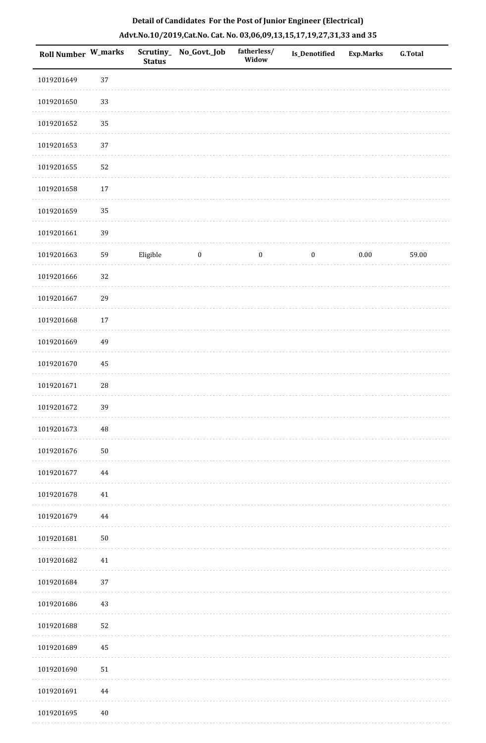|            | <b>Roll Number W_marks</b> | <b>Status</b> | Scrutiny_ No_Govt._Job | fatherless/<br>Widow | Is_Denotified    | <b>Exp.Marks</b> | G.Total |
|------------|----------------------------|---------------|------------------------|----------------------|------------------|------------------|---------|
| 1019201649 | 37                         |               |                        |                      |                  |                  |         |
| 1019201650 | 33                         |               |                        |                      |                  |                  |         |
| 1019201652 | 35                         |               |                        |                      |                  |                  |         |
| 1019201653 | 37                         |               |                        |                      |                  |                  |         |
| 1019201655 | 52                         |               |                        |                      |                  |                  |         |
| 1019201658 | $17\,$                     |               |                        |                      |                  |                  |         |
| 1019201659 | 35                         |               |                        |                      |                  |                  |         |
| 1019201661 | 39                         |               |                        |                      |                  |                  |         |
| 1019201663 | 59                         | Eligible      | $\boldsymbol{0}$       | $\boldsymbol{0}$     | $\boldsymbol{0}$ | $0.00\,$         | 59.00   |
| 1019201666 | 32                         |               |                        |                      |                  |                  |         |
| 1019201667 | 29                         |               |                        |                      |                  |                  |         |
| 1019201668 | 17                         |               |                        |                      |                  |                  |         |
| 1019201669 | 49                         |               |                        |                      |                  |                  |         |
| 1019201670 | 45                         |               |                        |                      |                  |                  |         |
| 1019201671 | 28                         |               |                        |                      |                  |                  |         |
| 1019201672 | 39                         |               |                        |                      |                  |                  |         |
| 1019201673 | 48                         |               |                        |                      |                  |                  |         |
| 1019201676 | $50\,$                     |               |                        |                      |                  |                  |         |
| 1019201677 | 44                         |               |                        |                      |                  |                  |         |
| 1019201678 | 41                         |               |                        |                      |                  |                  |         |
| 1019201679 | $\bf 44$                   |               |                        |                      |                  |                  |         |
| 1019201681 | ${\bf 50}$                 |               |                        |                      |                  |                  |         |
| 1019201682 | $41\,$                     |               |                        |                      |                  |                  |         |
| 1019201684 | 37                         |               |                        |                      |                  |                  |         |
| 1019201686 | 43                         |               |                        |                      |                  |                  |         |
| 1019201688 | 52                         |               |                        |                      |                  |                  |         |
| 1019201689 | 45                         |               |                        |                      |                  |                  |         |
| 1019201690 | $51\,$                     |               |                        |                      |                  |                  |         |
| 1019201691 | 44                         |               |                        |                      |                  |                  |         |
| 1019201695 | $40\,$                     |               |                        |                      |                  |                  |         |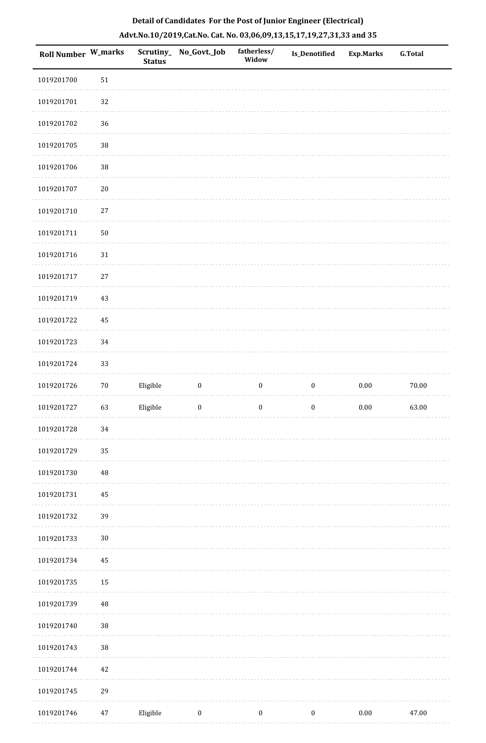| <b>Roll Number W_marks</b> |             | <b>Status</b> | Scrutiny_No_Govt._Job | fatherless/<br>Widow | Is_Denotified    | <b>Exp.Marks</b> | G.Total |
|----------------------------|-------------|---------------|-----------------------|----------------------|------------------|------------------|---------|
| 1019201700                 | 51          |               |                       |                      |                  |                  |         |
| 1019201701                 | 32          |               |                       |                      |                  |                  |         |
| 1019201702                 | 36          |               |                       |                      |                  |                  |         |
| 1019201705                 | $38\,$      |               |                       |                      |                  |                  |         |
| 1019201706                 | $38\,$      |               |                       |                      |                  |                  |         |
| 1019201707                 | $20\,$      |               |                       |                      |                  |                  |         |
| 1019201710                 | $27\,$      |               |                       |                      |                  |                  |         |
| 1019201711                 | 50          |               |                       |                      |                  |                  |         |
| 1019201716                 | $31\,$      |               |                       |                      |                  |                  |         |
| 1019201717                 | 27          |               |                       |                      |                  |                  |         |
| 1019201719                 | 43          |               |                       |                      |                  |                  |         |
| 1019201722                 | 45          |               |                       |                      |                  |                  |         |
| 1019201723                 | 34          |               |                       |                      |                  |                  |         |
| 1019201724                 | 33          |               |                       |                      |                  |                  |         |
| 1019201726                 | $70\,$      | Eligible      | $\boldsymbol{0}$      | $\boldsymbol{0}$     | $\boldsymbol{0}$ | $0.00\,$         | 70.00   |
| 1019201727                 | 63          | Eligible      | $\boldsymbol{0}$      | $\boldsymbol{0}$     | $\boldsymbol{0}$ | $0.00\,$         | 63.00   |
| 1019201728                 | 34          |               |                       |                      |                  |                  |         |
| 1019201729                 | 35          |               |                       |                      |                  |                  |         |
| 1019201730                 | $\sqrt{48}$ |               |                       |                      |                  |                  |         |
| 1019201731                 | 45          |               |                       |                      |                  |                  |         |
| 1019201732                 | 39          |               |                       |                      |                  |                  |         |
| 1019201733                 | $30\,$      |               |                       |                      |                  |                  |         |
| 1019201734                 | 45          |               |                       |                      |                  |                  |         |
| 1019201735                 | 15          |               |                       |                      |                  |                  |         |
| 1019201739                 | $\rm 48$    |               |                       |                      |                  |                  |         |
| 1019201740                 | $38\,$      |               |                       |                      |                  |                  |         |
| 1019201743                 | $38\,$      |               |                       |                      |                  |                  |         |
| 1019201744                 | 42          |               |                       |                      |                  |                  |         |
| 1019201745                 | 29          |               |                       |                      |                  |                  |         |
| 1019201746                 | $47\,$      | Eligible      | $\boldsymbol{0}$      | $\boldsymbol{0}$     | $\boldsymbol{0}$ | $0.00\,$         | 47.00   |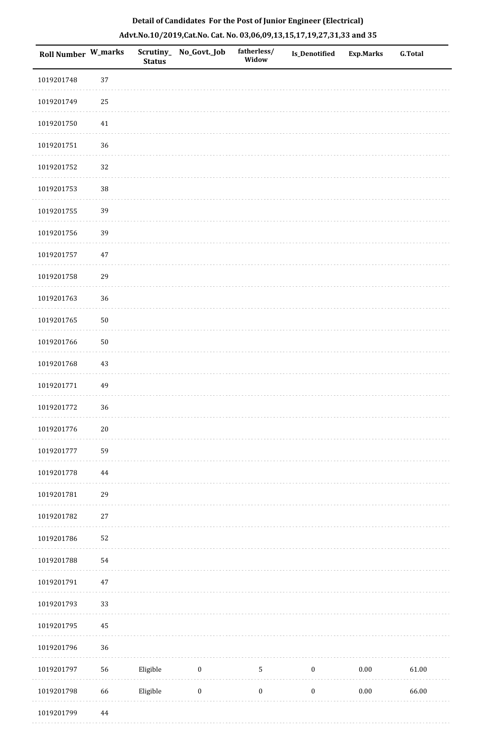| <b>Roll Number W_marks</b> |          | <b>Status</b> | Scrutiny_No_Govt._Job | fatherless/<br>Widow | <b>Is_Denotified</b> | <b>Exp.Marks</b> | <b>G.Total</b> |
|----------------------------|----------|---------------|-----------------------|----------------------|----------------------|------------------|----------------|
| 1019201748                 | 37       |               |                       |                      |                      |                  |                |
| 1019201749                 | 25       |               |                       |                      |                      |                  |                |
| 1019201750                 | $41\,$   |               |                       |                      |                      |                  |                |
| 1019201751                 | 36       |               |                       |                      |                      |                  |                |
| 1019201752                 | 32       |               |                       |                      |                      |                  |                |
| 1019201753                 | 38       |               |                       |                      |                      |                  |                |
| 1019201755                 | 39       |               |                       |                      |                      |                  |                |
| 1019201756                 | 39       |               |                       |                      |                      |                  |                |
| 1019201757                 | $47\,$   |               |                       |                      |                      |                  |                |
| 1019201758                 | 29       |               |                       |                      |                      |                  |                |
| 1019201763                 | 36       |               |                       |                      |                      |                  |                |
| 1019201765                 | $50\,$   |               |                       |                      |                      |                  |                |
| 1019201766                 | $50\,$   |               |                       |                      |                      |                  |                |
| 1019201768                 | 43       |               |                       |                      |                      |                  |                |
| 1019201771                 | 49       |               |                       |                      |                      |                  |                |
| 1019201772                 | 36       |               |                       |                      |                      |                  |                |
| 1019201776                 | $20\,$   |               |                       |                      |                      |                  |                |
| 1019201777                 | 59       |               |                       |                      |                      |                  |                |
| 1019201778                 | $\bf 44$ |               |                       |                      |                      |                  |                |
| 1019201781                 | 29       |               |                       |                      |                      |                  |                |
| 1019201782                 | $27\,$   |               |                       |                      |                      |                  |                |
| 1019201786                 | 52       |               |                       |                      |                      |                  |                |
| 1019201788                 | 54       |               |                       |                      |                      |                  |                |
| 1019201791                 | $47\,$   |               |                       |                      |                      |                  |                |
| 1019201793                 | 33       |               |                       |                      |                      |                  |                |
| 1019201795                 | 45       |               |                       |                      |                      |                  |                |
| 1019201796                 | 36       |               |                       |                      |                      |                  |                |
| 1019201797                 | 56       | Eligible      | $\boldsymbol{0}$      | $\mathsf S$          | $\boldsymbol{0}$     | 0.00             | 61.00          |
| 1019201798                 | 66       | Eligible      | $\boldsymbol{0}$      | $\boldsymbol{0}$     | $\boldsymbol{0}$     | $0.00\,$         | 66.00          |
|                            |          |               |                       |                      |                      |                  |                |

1019201799 44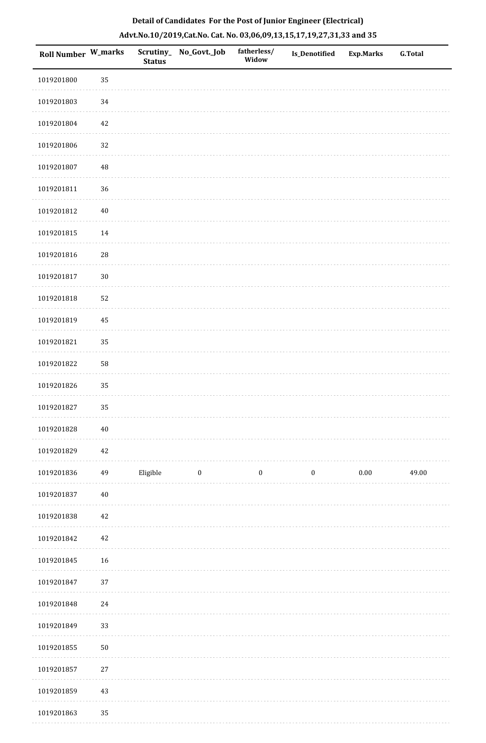| Roll Number W_marks |            | Scrutiny_<br><b>Status</b> | No_Govt._Job     | fatherless/<br>Widow | <b>Is_Denotified</b> | <b>Exp.Marks</b> | <b>G.Total</b> |
|---------------------|------------|----------------------------|------------------|----------------------|----------------------|------------------|----------------|
| 1019201800          | 35         |                            |                  |                      |                      |                  |                |
| 1019201803          | 34         |                            |                  |                      |                      |                  |                |
| 1019201804          | 42         |                            |                  |                      |                      |                  |                |
| 1019201806          | 32         |                            |                  |                      |                      |                  |                |
| 1019201807          | 48         |                            |                  |                      |                      |                  |                |
| 1019201811          | 36         |                            |                  |                      |                      |                  |                |
| 1019201812          | $40\,$     |                            |                  |                      |                      |                  |                |
| 1019201815          | $14\,$     |                            |                  |                      |                      |                  |                |
| 1019201816          | ${\bf 28}$ |                            |                  |                      |                      |                  |                |
| 1019201817          | $30\,$     |                            |                  |                      |                      |                  |                |
| 1019201818          | 52         |                            |                  |                      |                      |                  |                |
| 1019201819          | 45         |                            |                  |                      |                      |                  |                |
| 1019201821          | 35         |                            |                  |                      |                      |                  |                |
| 1019201822          | 58         |                            |                  |                      |                      |                  |                |
| 1019201826          | 35         |                            |                  |                      |                      |                  |                |
| 1019201827          | 35         |                            |                  |                      |                      |                  |                |
| 1019201828          | $40\,$     |                            |                  |                      |                      |                  |                |
| 1019201829          | 42         |                            |                  |                      |                      |                  |                |
| 1019201836          | 49         | Eligible                   | $\boldsymbol{0}$ | $\boldsymbol{0}$     | $\boldsymbol{0}$     | $0.00\,$         | 49.00          |
| 1019201837          | $40\,$     |                            |                  |                      |                      |                  |                |
| 1019201838          | 42         |                            |                  |                      |                      |                  |                |
| 1019201842          | 42         |                            |                  |                      |                      |                  |                |
| 1019201845          | $16\,$     |                            |                  |                      |                      |                  |                |
| 1019201847          | 37         |                            |                  |                      |                      |                  |                |
| 1019201848          | $24\,$     |                            |                  |                      |                      |                  |                |
| 1019201849          | 33         |                            |                  |                      |                      |                  |                |
| 1019201855          | ${\bf 50}$ |                            |                  |                      |                      |                  |                |
| 1019201857          | $27\,$     |                            |                  |                      |                      |                  |                |
| 1019201859          | $43\,$     |                            |                  |                      |                      |                  |                |
| 1019201863          | 35         |                            |                  |                      |                      |                  |                |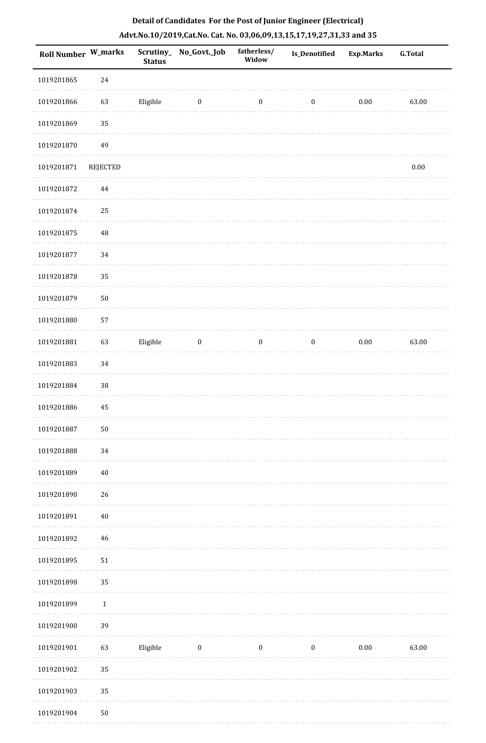|  | Detail of Candidates For the Post of Junior Engineer (Electrical)     |  |
|--|-----------------------------------------------------------------------|--|
|  | Advt.No.10/2019,Cat.No. Cat. No. 03,06,09,13,15,17,19,27,31,33 and 35 |  |

| <b>Roll Number W_marks</b> |                 | <b>Status</b> | Scrutiny_No_Govt._Job | fatherless/<br>Widow | <b>Is_Denotified</b> | <b>Exp.Marks</b> | <b>G.Total</b> |
|----------------------------|-----------------|---------------|-----------------------|----------------------|----------------------|------------------|----------------|
| 1019201865                 | 24              |               |                       |                      |                      |                  |                |
| 1019201866                 | 63              | Eligible      | $\boldsymbol{0}$      | $\boldsymbol{0}$     | $\boldsymbol{0}$     | $0.00\,$         | 63.00          |
| 1019201869                 | 35              |               |                       |                      |                      |                  |                |
| 1019201870                 | 49              |               |                       |                      |                      |                  |                |
| 1019201871                 | <b>REJECTED</b> |               |                       |                      |                      |                  | $0.00\,$       |
| 1019201872                 | 44              |               |                       |                      |                      |                  |                |
| 1019201874                 | 25              |               |                       |                      |                      |                  |                |
| 1019201875                 | 48              |               |                       |                      |                      |                  |                |
| 1019201877                 | 34              |               |                       |                      |                      |                  |                |
| 1019201878                 | 35              |               |                       |                      |                      |                  |                |
| 1019201879                 | 50              |               |                       |                      |                      |                  |                |
| 1019201880                 | 57              |               |                       |                      |                      |                  |                |
| 1019201881                 | 63              | Eligible      | $\boldsymbol{0}$      | $\boldsymbol{0}$     | $\boldsymbol{0}$     | $0.00\,$         | 63.00          |
| 1019201883                 | 34              |               |                       |                      |                      |                  |                |
| 1019201884                 | 38              |               |                       |                      |                      |                  |                |
| 1019201886                 | 45              |               |                       |                      |                      |                  |                |
| 1019201887                 | $50\,$          |               |                       |                      |                      |                  |                |
| 1019201888                 | 34              |               |                       |                      |                      |                  |                |
| 1019201889                 | $40\,$          |               |                       |                      |                      |                  |                |
| 1019201890                 | 26              |               |                       |                      |                      |                  |                |
| 1019201891                 | $40\,$          |               |                       |                      |                      |                  |                |
| 1019201892                 | $46\,$          |               |                       |                      |                      |                  |                |
| 1019201895                 | $51\,$          |               |                       |                      |                      |                  |                |
| 1019201898                 | 35              |               |                       |                      |                      |                  |                |
| 1019201899                 | $1\,$           |               |                       |                      |                      |                  |                |
| 1019201900                 | 39              |               |                       |                      |                      |                  |                |
| 1019201901                 | 63              | Eligible      | $\boldsymbol{0}$      | $\boldsymbol{0}$     | $\boldsymbol{0}$     | 0.00             | 63.00          |
| 1019201902                 | 35              |               |                       |                      |                      |                  |                |
| 1019201903                 | 35              |               |                       |                      |                      |                  |                |
| 1019201904                 | $50\,$          |               |                       |                      |                      |                  |                |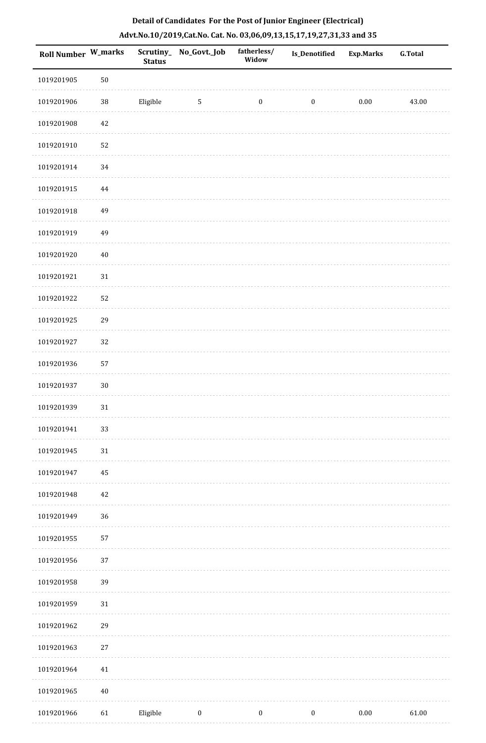| Roll Number W_marks |        | <b>Status</b> | Scrutiny_No_Govt._Job | fatherless/<br>Widow | Is_Denotified    | Exp.Marks | <b>G.Total</b> |
|---------------------|--------|---------------|-----------------------|----------------------|------------------|-----------|----------------|
| 1019201905          | $50\,$ |               |                       |                      |                  |           |                |
| 1019201906          | $38\,$ | Eligible      | $\sqrt{5}$            | $\boldsymbol{0}$     | $\boldsymbol{0}$ | $0.00\,$  | 43.00          |
| 1019201908          | $42\,$ |               |                       |                      |                  |           |                |
| 1019201910          | 52     |               |                       |                      |                  |           |                |
| 1019201914          | 34     |               |                       |                      |                  |           |                |
| 1019201915          | 44     |               |                       |                      |                  |           |                |
| 1019201918          | 49     |               |                       |                      |                  |           |                |
| 1019201919          | 49     |               |                       |                      |                  |           |                |
| 1019201920          | $40\,$ |               |                       |                      |                  |           |                |
| 1019201921          | $31\,$ |               |                       |                      |                  |           |                |
| 1019201922          | 52     |               |                       |                      |                  |           |                |
| 1019201925          | 29     |               |                       |                      |                  |           |                |
| 1019201927          | 32     |               |                       |                      |                  |           |                |
| 1019201936          | 57     |               |                       |                      |                  |           |                |
| 1019201937          | $30\,$ |               |                       |                      |                  |           |                |
| 1019201939          | 31     |               |                       |                      |                  |           |                |
| 1019201941          | 33     |               |                       |                      |                  |           |                |
| 1019201945          | $31\,$ |               |                       |                      |                  |           |                |
| 1019201947          | 45     |               |                       |                      |                  |           |                |
| 1019201948          | $42\,$ |               |                       |                      |                  |           |                |
| 1019201949          | 36     |               |                       |                      |                  |           |                |
| 1019201955          | 57     |               |                       |                      |                  |           |                |
| 1019201956          | 37     |               |                       |                      |                  |           |                |
| 1019201958          | 39     |               |                       |                      |                  |           |                |
| 1019201959          | $31\,$ |               |                       |                      |                  |           |                |
| 1019201962          | 29     |               |                       |                      |                  |           |                |
| 1019201963          | 27     |               |                       |                      |                  |           |                |
| 1019201964          | 41     |               |                       |                      |                  |           |                |
| 1019201965          | $40\,$ |               |                       |                      |                  |           |                |
| 1019201966          | 61     | Eligible      | $\boldsymbol{0}$      | $\boldsymbol{0}$     | $\boldsymbol{0}$ | $0.00\,$  | 61.00          |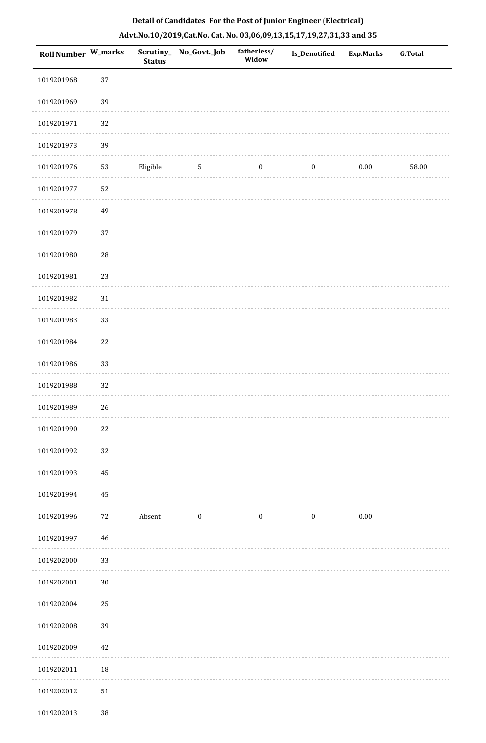| Roll Number W_marks |             | <b>Status</b> | Scrutiny_ No_Govt._Job | fatherless/<br>Widow | <b>Is_Denotified</b> | <b>Exp.Marks</b> | <b>G.Total</b> |
|---------------------|-------------|---------------|------------------------|----------------------|----------------------|------------------|----------------|
| 1019201968          | 37          |               |                        |                      |                      |                  |                |
| 1019201969          | 39          |               |                        |                      |                      |                  |                |
| 1019201971          | 32          |               |                        |                      |                      |                  |                |
| 1019201973          | 39          |               |                        |                      |                      |                  |                |
| 1019201976          | 53          | Eligible      | $\sqrt{5}$             | $\bf{0}$             | $\boldsymbol{0}$     | 0.00             | 58.00          |
| 1019201977          | 52          |               |                        |                      |                      |                  |                |
| 1019201978          | 49          |               |                        |                      |                      |                  |                |
| 1019201979          | 37          |               |                        |                      |                      |                  |                |
| 1019201980          | $\sqrt{28}$ |               |                        |                      |                      |                  |                |
| 1019201981          | 23          |               |                        |                      |                      |                  |                |
| 1019201982          | $31\,$      |               |                        |                      |                      |                  |                |
| 1019201983          | 33          |               |                        |                      |                      |                  |                |
| 1019201984          | 22          |               |                        |                      |                      |                  |                |
| 1019201986          | 33          |               |                        |                      |                      |                  |                |
| 1019201988          | 32          |               |                        |                      |                      |                  |                |
| 1019201989          | 26          |               |                        |                      |                      |                  |                |
| 1019201990          | $22\,$      |               |                        |                      |                      |                  |                |
| 1019201992          | 32          |               |                        |                      |                      |                  |                |
| 1019201993          | 45          |               |                        |                      |                      |                  |                |
| 1019201994          | 45          |               |                        |                      |                      |                  |                |
| 1019201996          | 72          | Absent        | $\boldsymbol{0}$       | $\boldsymbol{0}$     | $\boldsymbol{0}$     | $0.00\,$         |                |
| 1019201997          | 46          |               |                        |                      |                      |                  |                |
| 1019202000          | 33          |               |                        |                      |                      |                  |                |
| 1019202001          | $30\,$      |               |                        |                      |                      |                  |                |
| 1019202004          | 25          |               |                        |                      |                      |                  |                |
| 1019202008          | 39          |               |                        |                      |                      |                  |                |
| 1019202009          | 42          |               |                        |                      |                      |                  |                |
| 1019202011          | 18          |               |                        |                      |                      |                  |                |
| 1019202012          | $51\,$      |               |                        |                      |                      |                  |                |
| 1019202013          | 38          |               |                        |                      |                      |                  |                |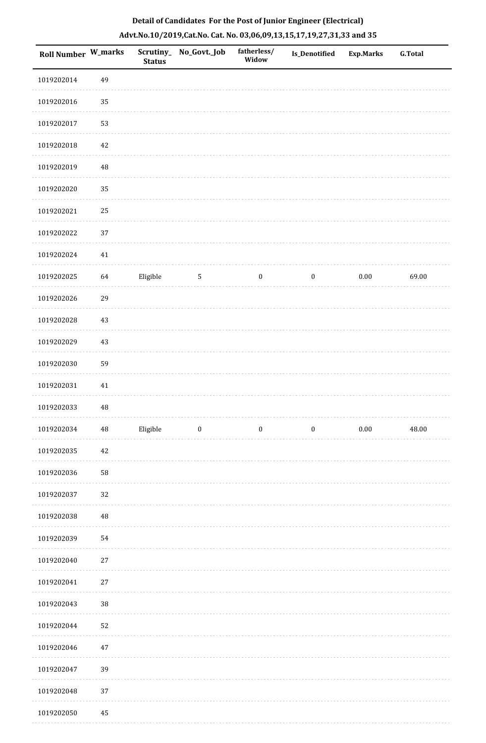| <b>Roll Number W_marks</b> |             | <b>Status</b> | Scrutiny_ No_Govt._Job | fatherless/<br>Widow | Is_Denotified    | <b>Exp.Marks</b> | <b>G.Total</b> |
|----------------------------|-------------|---------------|------------------------|----------------------|------------------|------------------|----------------|
| 1019202014                 | 49          |               |                        |                      |                  |                  |                |
| 1019202016                 | 35          |               |                        |                      |                  |                  |                |
| 1019202017                 | 53          |               |                        |                      |                  |                  |                |
| 1019202018                 | 42          |               |                        |                      |                  |                  |                |
| 1019202019                 | $\rm 48$    |               |                        |                      |                  |                  |                |
| 1019202020                 | 35          |               |                        |                      |                  |                  |                |
| 1019202021                 | 25          |               |                        |                      |                  |                  |                |
| 1019202022                 | 37          |               |                        |                      |                  |                  |                |
| 1019202024                 | 41          |               |                        |                      |                  |                  |                |
| 1019202025                 | 64          | Eligible      | 5                      | $\boldsymbol{0}$     | $\boldsymbol{0}$ | $0.00\,$         | 69.00          |
| 1019202026                 | 29          |               |                        |                      |                  |                  |                |
| 1019202028                 | $43\,$      |               |                        |                      |                  |                  |                |
| 1019202029                 | $43\,$      |               |                        |                      |                  |                  |                |
| 1019202030                 | 59          |               |                        |                      |                  |                  |                |
| 1019202031                 | $41\,$      |               |                        |                      |                  |                  |                |
| 1019202033                 | $\rm 48$    |               |                        |                      |                  |                  |                |
| 1019202034                 | $\bf 48$    | Eligible      | $\bf{0}$               | $\boldsymbol{0}$     | $\boldsymbol{0}$ | $0.00\,$         | 48.00          |
| 1019202035                 | $42\,$      |               |                        |                      |                  |                  |                |
| 1019202036                 | 58          |               |                        |                      |                  |                  |                |
| 1019202037                 | 32          |               |                        |                      |                  |                  |                |
| 1019202038                 | $\sqrt{48}$ |               |                        |                      |                  |                  |                |
| 1019202039                 | 54          |               |                        |                      |                  |                  |                |
| 1019202040                 | $27\,$      |               |                        |                      |                  |                  |                |
| 1019202041                 | $27\,$      |               |                        |                      |                  |                  |                |
| 1019202043                 | $38\,$      |               |                        |                      |                  |                  |                |
| 1019202044                 | 52          |               |                        |                      |                  |                  |                |
| 1019202046                 | $47\,$      |               |                        |                      |                  |                  |                |
| 1019202047                 | 39          |               |                        |                      |                  |                  |                |
| 1019202048                 | 37          |               |                        |                      |                  |                  |                |
| 1019202050                 | 45          |               |                        |                      |                  |                  |                |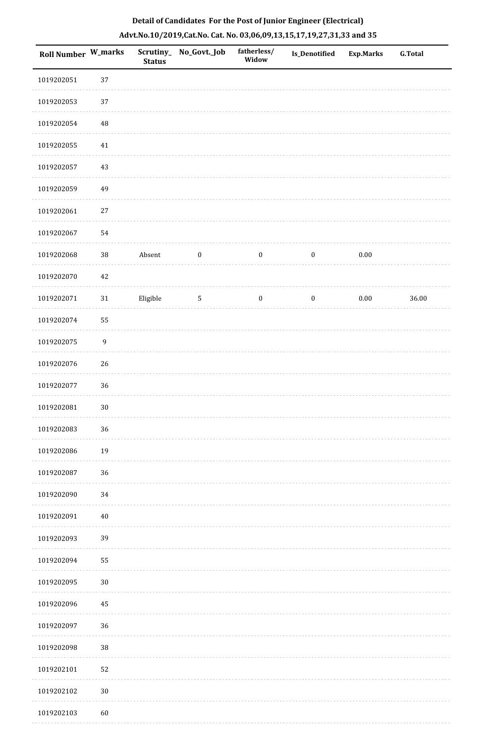| Roll Number W_marks |             | <b>Status</b> | Scrutiny_No_Govt._Job | fatherless/<br>Widow | Is_Denotified    | <b>Exp.Marks</b> | <b>G.Total</b> |
|---------------------|-------------|---------------|-----------------------|----------------------|------------------|------------------|----------------|
| 1019202051          | 37          |               |                       |                      |                  |                  |                |
| 1019202053          | 37          |               |                       |                      |                  |                  |                |
| 1019202054          | $\rm 48$    |               |                       |                      |                  |                  |                |
| 1019202055          | $41\,$      |               |                       |                      |                  |                  |                |
| 1019202057          | 43          |               |                       |                      |                  |                  |                |
| 1019202059          | 49          |               |                       |                      |                  |                  |                |
| 1019202061          | $27\,$      |               |                       |                      |                  |                  |                |
| 1019202067          | 54          |               |                       |                      |                  |                  |                |
| 1019202068          | $38\,$      | Absent        | $\boldsymbol{0}$      | $\boldsymbol{0}$     | $\boldsymbol{0}$ | $0.00\,$         |                |
| 1019202070          | $42\,$      |               |                       |                      |                  |                  |                |
| 1019202071          | $31\,$      | Eligible      | $\sqrt{5}$            | $\boldsymbol{0}$     | $\boldsymbol{0}$ | $0.00\,$         | 36.00          |
| 1019202074          | 55          |               |                       |                      |                  |                  |                |
| 1019202075          | $\mathbf 9$ |               |                       |                      |                  |                  |                |
| 1019202076          | 26          |               |                       |                      |                  |                  |                |
| 1019202077          | 36          |               |                       |                      |                  |                  |                |
| 1019202081          | $30\,$      |               |                       |                      |                  |                  |                |
| 1019202083          | 36          |               |                       |                      |                  |                  |                |
| 1019202086          | 19          |               |                       |                      |                  |                  |                |
| 1019202087          | 36          |               |                       |                      |                  |                  |                |
| 1019202090          | 34          |               |                       |                      |                  |                  |                |
| 1019202091          | $40\,$      |               |                       |                      |                  |                  |                |
| 1019202093          | 39          |               |                       |                      |                  |                  |                |
| 1019202094          | 55          |               |                       |                      |                  |                  |                |
| 1019202095          | $30\,$      |               |                       |                      |                  |                  |                |
| 1019202096          | $45\,$      |               |                       |                      |                  |                  |                |
| 1019202097          | 36          |               |                       |                      |                  |                  |                |
| 1019202098          | $38\,$      |               |                       |                      |                  |                  |                |
| 1019202101          | 52          |               |                       |                      |                  |                  |                |
| 1019202102          | $30\,$      |               |                       |                      |                  |                  |                |
| 1019202103          | 60          |               |                       |                      |                  |                  |                |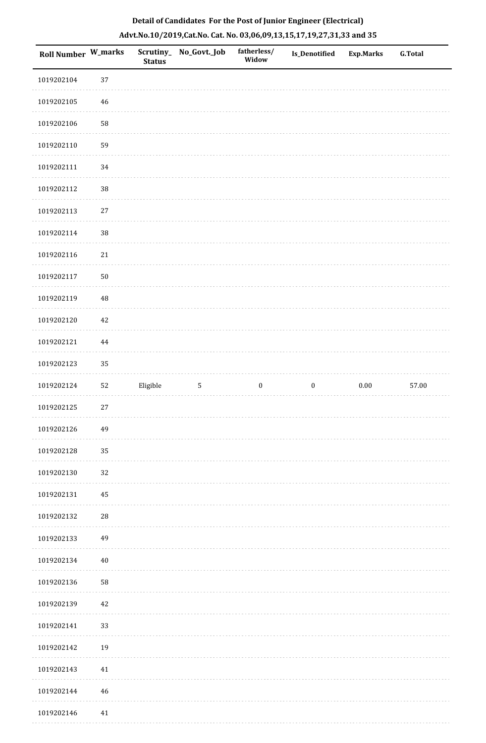| <b>Roll Number W_marks</b> |          | <b>Status</b> | Scrutiny_ No_Govt._Job | fatherless/<br>Widow | Is_Denotified    | <b>Exp.Marks</b> | <b>G.Total</b> |
|----------------------------|----------|---------------|------------------------|----------------------|------------------|------------------|----------------|
| 1019202104                 | 37       |               |                        |                      |                  |                  |                |
| 1019202105                 | 46       |               |                        |                      |                  |                  |                |
| 1019202106                 | 58       |               |                        |                      |                  |                  |                |
| 1019202110                 | 59       |               |                        |                      |                  |                  |                |
| 1019202111                 | 34       |               |                        |                      |                  |                  |                |
| 1019202112                 | $38\,$   |               |                        |                      |                  |                  |                |
| 1019202113                 | $27\,$   |               |                        |                      |                  |                  |                |
| 1019202114                 | $38\,$   |               |                        |                      |                  |                  |                |
| 1019202116                 | 21       |               |                        |                      |                  |                  |                |
| 1019202117                 | $50\,$   |               |                        |                      |                  |                  |                |
| 1019202119                 | $\rm 48$ |               |                        |                      |                  |                  |                |
| 1019202120                 | 42       |               |                        |                      |                  |                  |                |
| 1019202121                 | $\bf 44$ |               |                        |                      |                  |                  |                |
| 1019202123                 | 35       |               |                        |                      |                  |                  |                |
| 1019202124                 | 52       | Eligible      | $\mathsf S$            | $\boldsymbol{0}$     | $\boldsymbol{0}$ | $0.00\,$         | 57.00          |
| 1019202125                 | $27\,$   |               |                        |                      |                  |                  |                |
| 1019202126                 | 49       |               |                        |                      |                  |                  |                |
| 1019202128                 | 35       |               |                        |                      |                  |                  |                |
| 1019202130                 | 32       |               |                        |                      |                  |                  |                |
| 1019202131                 | 45       |               |                        |                      |                  |                  |                |
| 1019202132                 | 28       |               |                        |                      |                  |                  |                |
| 1019202133                 | 49       |               |                        |                      |                  |                  |                |
| 1019202134                 | $40\,$   |               |                        |                      |                  |                  |                |
| 1019202136                 | 58       |               |                        |                      |                  |                  |                |
| 1019202139                 | 42       |               |                        |                      |                  |                  |                |
| 1019202141                 | 33       |               |                        |                      |                  |                  |                |
| 1019202142                 | 19       |               |                        |                      |                  |                  |                |
| 1019202143                 | $41\,$   |               |                        |                      |                  |                  |                |
| 1019202144                 | 46       |               |                        |                      |                  |                  |                |
| 1019202146                 | 41       |               |                        |                      |                  |                  |                |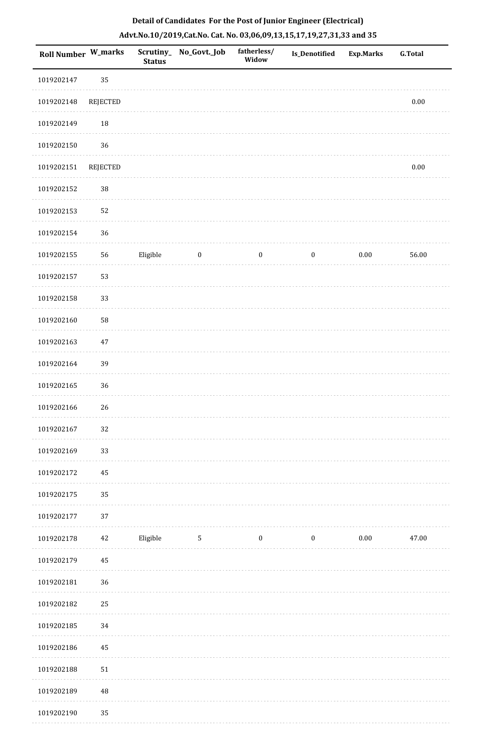|  | Detail of Candidates For the Post of Junior Engineer (Electrical)     |  |
|--|-----------------------------------------------------------------------|--|
|  | Advt.No.10/2019,Cat.No. Cat. No. 03,06,09,13,15,17,19,27,31,33 and 35 |  |

| <b>Roll Number W_marks</b> |                 | <b>Status</b> | Scrutiny_ No_Govt._Job | fatherless/<br>Widow | <b>Is_Denotified</b> | <b>Exp.Marks</b> | <b>G.Total</b> |
|----------------------------|-----------------|---------------|------------------------|----------------------|----------------------|------------------|----------------|
| 1019202147                 | 35              |               |                        |                      |                      |                  |                |
| 1019202148                 | <b>REJECTED</b> |               |                        |                      |                      |                  | $0.00\,$       |
| 1019202149                 | $18\,$          |               |                        |                      |                      |                  |                |
| 1019202150                 | 36              |               |                        |                      |                      |                  |                |
| 1019202151                 | <b>REJECTED</b> |               |                        |                      |                      |                  | 0.00           |
| 1019202152                 | $38\,$          |               |                        |                      |                      |                  |                |
| 1019202153                 | 52              |               |                        |                      |                      |                  |                |
| 1019202154                 | 36              |               |                        |                      |                      |                  |                |
| 1019202155                 | 56              | Eligible      | $\boldsymbol{0}$       | $\boldsymbol{0}$     | $\boldsymbol{0}$     | $0.00\,$         | 56.00          |
| 1019202157                 | 53              |               |                        |                      |                      |                  |                |
| 1019202158                 | 33              |               |                        |                      |                      |                  |                |
| 1019202160                 | 58              |               |                        |                      |                      |                  |                |
| 1019202163                 | 47              |               |                        |                      |                      |                  |                |
| 1019202164                 | 39              |               |                        |                      |                      |                  |                |
| 1019202165                 | $36\,$          |               |                        |                      |                      |                  |                |
| 1019202166                 | $26\,$          |               |                        |                      |                      |                  |                |
| 1019202167                 | 32              |               |                        |                      |                      |                  |                |
| 1019202169                 | 33              |               |                        |                      |                      |                  |                |
| 1019202172                 | 45              |               |                        |                      |                      |                  |                |
| 1019202175                 | 35              |               |                        |                      |                      |                  |                |
| 1019202177                 | 37              |               |                        |                      |                      |                  |                |
| 1019202178                 | 42              | Eligible      | $5\phantom{.0}$        | $\boldsymbol{0}$     | $\boldsymbol{0}$     | $0.00\,$         | 47.00          |
| 1019202179                 | 45              |               |                        |                      |                      |                  |                |
| 1019202181                 | 36              |               |                        |                      |                      |                  |                |
| 1019202182                 | 25              |               |                        |                      |                      |                  |                |
| 1019202185                 | 34              |               |                        |                      |                      |                  |                |
| 1019202186                 | 45              |               |                        |                      |                      |                  |                |
| 1019202188                 | 51              |               |                        |                      |                      |                  |                |
| 1019202189                 | $\rm 48$        |               |                        |                      |                      |                  |                |
| 1019202190                 | 35              |               |                        |                      |                      |                  |                |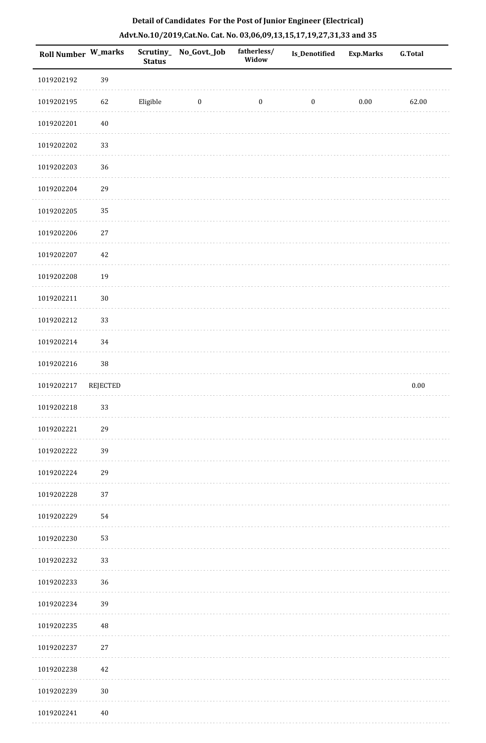| Roll Number W_marks |          | <b>Status</b> | Scrutiny_ No_Govt._Job | fatherless/<br>Widow | <b>Is_Denotified</b> | <b>Exp.Marks</b> | <b>G.Total</b> |
|---------------------|----------|---------------|------------------------|----------------------|----------------------|------------------|----------------|
| 1019202192          | 39       |               |                        |                      |                      |                  |                |
| 1019202195          | 62       | Eligible      | $\bf{0}$               | $\boldsymbol{0}$     | $\boldsymbol{0}$     | $0.00\,$         | 62.00          |
| 1019202201          | $40\,$   |               |                        |                      |                      |                  |                |
| 1019202202          | 33       |               |                        |                      |                      |                  |                |
| 1019202203          | 36       |               |                        |                      |                      |                  |                |
| 1019202204          | 29       |               |                        |                      |                      |                  |                |
| 1019202205          | 35       |               |                        |                      |                      |                  |                |
| 1019202206          | $27\,$   |               |                        |                      |                      |                  |                |
| 1019202207          | 42       |               |                        |                      |                      |                  |                |
| 1019202208          | 19       |               |                        |                      |                      |                  |                |
| 1019202211          | $30\,$   |               |                        |                      |                      |                  |                |
| 1019202212          | 33       |               |                        |                      |                      |                  |                |
| 1019202214          | 34       |               |                        |                      |                      |                  |                |
| 1019202216          | $38\,$   |               |                        |                      |                      |                  |                |
| 1019202217          | REJECTED |               |                        |                      |                      |                  | $0.00\,$       |
| 1019202218          | 33       |               |                        |                      |                      |                  |                |
| 1019202221          | 29       |               |                        |                      |                      |                  |                |
| 1019202222          | 39       |               |                        |                      |                      |                  |                |
| 1019202224          | 29       |               |                        |                      |                      |                  |                |
| 1019202228          | 37       |               |                        |                      |                      |                  |                |
| 1019202229          | 54       |               |                        |                      |                      |                  |                |
| 1019202230          | 53       |               |                        |                      |                      |                  |                |
| 1019202232          | 33       |               |                        |                      |                      |                  |                |
| 1019202233          | 36       |               |                        |                      |                      |                  |                |
| 1019202234          | 39       |               |                        |                      |                      |                  |                |
| 1019202235          | 48       |               |                        |                      |                      |                  |                |
| 1019202237          | 27       |               |                        |                      |                      |                  |                |
| 1019202238          | $42\,$   |               |                        |                      |                      |                  |                |
| 1019202239          | $30\,$   |               |                        |                      |                      |                  |                |
| 1019202241          | $40\,$   |               |                        |                      |                      |                  |                |

**Salar**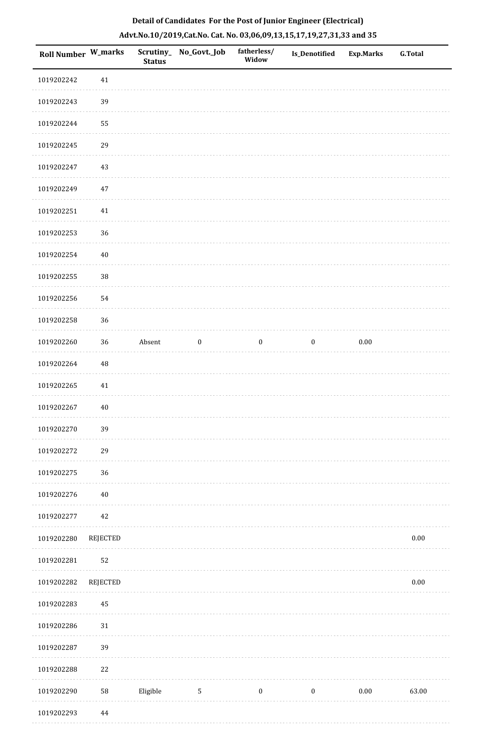| <b>Roll Number W_marks</b> |                 | <b>Status</b> | Scrutiny_No_Govt._Job | fatherless/<br>Widow | Is_Denotified    | <b>Exp.Marks</b> | <b>G.Total</b> |
|----------------------------|-----------------|---------------|-----------------------|----------------------|------------------|------------------|----------------|
| 1019202242                 | 41              |               |                       |                      |                  |                  |                |
| 1019202243                 | 39              |               |                       |                      |                  |                  |                |
| 1019202244                 | 55              |               |                       |                      |                  |                  |                |
| 1019202245                 | 29              |               |                       |                      |                  |                  |                |
| 1019202247                 | 43              |               |                       |                      |                  |                  |                |
| 1019202249                 | $47\,$          |               |                       |                      |                  |                  |                |
| 1019202251                 | $41\,$          |               |                       |                      |                  |                  |                |
| 1019202253                 | 36              |               |                       |                      |                  |                  |                |
| 1019202254                 | $40\,$          |               |                       |                      |                  |                  |                |
| 1019202255                 | $38\,$          |               |                       |                      |                  |                  |                |
| 1019202256                 | 54              |               |                       |                      |                  |                  |                |
| 1019202258                 | 36              |               |                       |                      |                  |                  |                |
| 1019202260                 | 36              | Absent        | $\boldsymbol{0}$      | $\boldsymbol{0}$     | $\boldsymbol{0}$ | $0.00\,$         |                |
| 1019202264                 | $\rm 48$        |               |                       |                      |                  |                  |                |
| 1019202265                 | 41              |               |                       |                      |                  |                  |                |
| 1019202267                 | $40\,$          |               |                       |                      |                  |                  |                |
| 1019202270                 | 39              |               |                       |                      |                  |                  |                |
| 1019202272                 | 29              |               |                       |                      |                  |                  |                |
| 1019202275                 | 36              |               |                       |                      |                  |                  |                |
| 1019202276                 | $40\,$          |               |                       |                      |                  |                  |                |
| 1019202277                 | 42              |               |                       |                      |                  |                  |                |
| 1019202280                 | <b>REJECTED</b> |               |                       |                      |                  |                  | $0.00\,$       |
| 1019202281                 | 52              |               |                       |                      |                  |                  |                |
| 1019202282                 | <b>REJECTED</b> |               |                       |                      |                  |                  | $0.00\,$       |
| 1019202283                 | 45              |               |                       |                      |                  |                  |                |
| 1019202286                 | $31\,$          |               |                       |                      |                  |                  |                |
| 1019202287                 | 39              |               |                       |                      |                  |                  |                |
| 1019202288                 | 22              |               |                       |                      |                  |                  |                |
| 1019202290                 | 58              | Eligible      | $\sqrt{5}$            | $\boldsymbol{0}$     | $\boldsymbol{0}$ | $0.00\,$         | 63.00          |
| 1019202293                 | 44              |               |                       |                      |                  |                  |                |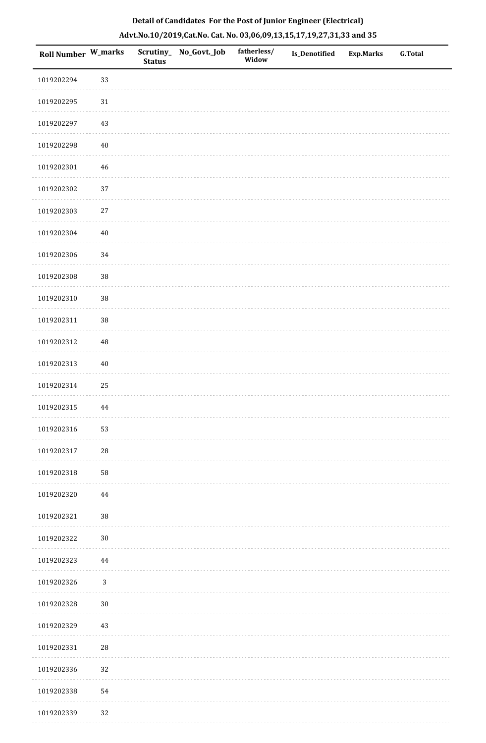| Roll Number W_marks |              | <b>Status</b> | Scrutiny_ No_Govt._Job | fatherless/<br>Widow | Is_Denotified | <b>Exp.Marks</b> | <b>G.Total</b> |
|---------------------|--------------|---------------|------------------------|----------------------|---------------|------------------|----------------|
| 1019202294          | 33           |               |                        |                      |               |                  |                |
| 1019202295          | $31\,$       |               |                        |                      |               |                  |                |
| 1019202297          | $43\,$       |               |                        |                      |               |                  |                |
| 1019202298          | $40\,$       |               |                        |                      |               |                  |                |
| 1019202301          | $\sqrt{46}$  |               |                        |                      |               |                  |                |
| 1019202302          | 37           |               |                        |                      |               |                  |                |
| 1019202303          | $27\,$       |               |                        |                      |               |                  |                |
| 1019202304          | $40\,$       |               |                        |                      |               |                  |                |
| 1019202306          | 34           |               |                        |                      |               |                  |                |
| 1019202308          | 38           |               |                        |                      |               |                  |                |
| 1019202310          | $38\,$       |               |                        |                      |               |                  |                |
| 1019202311          | 38           |               |                        |                      |               |                  |                |
| 1019202312          | $\rm 48$     |               |                        |                      |               |                  |                |
| 1019202313          | $40\,$       |               |                        |                      |               |                  |                |
| 1019202314          | 25           |               |                        |                      |               |                  |                |
| 1019202315          | $\bf 44$     |               |                        |                      |               |                  |                |
| 1019202316          | 53           |               |                        |                      |               |                  |                |
| 1019202317          | 28           |               |                        |                      |               |                  |                |
| 1019202318          | 58           |               |                        |                      |               |                  |                |
| 1019202320          | 44           |               |                        |                      |               |                  |                |
| 1019202321          | $38\,$       |               |                        |                      |               |                  |                |
| 1019202322          | $30\,$       |               |                        |                      |               |                  |                |
| 1019202323          | 44           |               |                        |                      |               |                  |                |
| 1019202326          | $\mathbf{3}$ |               |                        |                      |               |                  |                |
| 1019202328          | $30\,$       |               |                        |                      |               |                  |                |
| 1019202329          | 43           |               |                        |                      |               |                  |                |
| 1019202331          | ${\bf 28}$   |               |                        |                      |               |                  |                |
| 1019202336          | 32           |               |                        |                      |               |                  |                |
| 1019202338          | 54           |               |                        |                      |               |                  |                |
| 1019202339          | 32           |               |                        |                      |               |                  |                |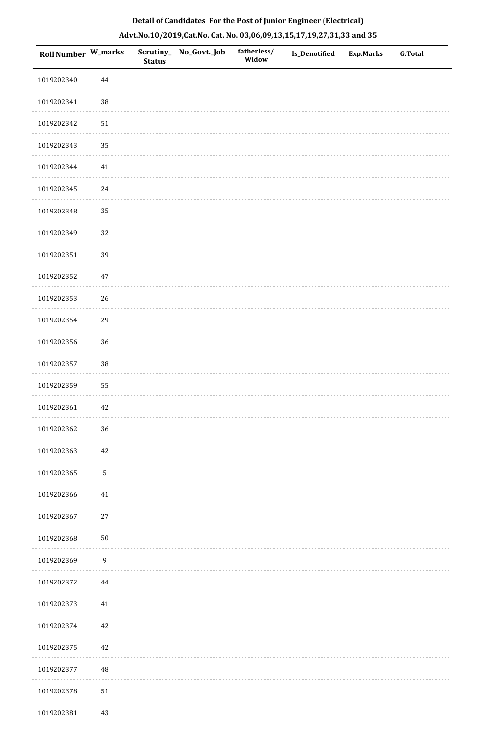| Roll Number W_marks |                  | <b>Status</b> | Scrutiny_No_Govt._Job | fatherless/<br>Widow | Is_Denotified | <b>Exp.Marks</b> | G.Total |
|---------------------|------------------|---------------|-----------------------|----------------------|---------------|------------------|---------|
| 1019202340          | 44               |               |                       |                      |               |                  |         |
| 1019202341          | 38               |               |                       |                      |               |                  |         |
| 1019202342          | $51\,$           |               |                       |                      |               |                  |         |
| 1019202343          | 35               |               |                       |                      |               |                  |         |
| 1019202344          | $41\,$           |               |                       |                      |               |                  |         |
| 1019202345          | $24\,$           |               |                       |                      |               |                  |         |
| 1019202348          | 35               |               |                       |                      |               |                  |         |
| 1019202349          | 32               |               |                       |                      |               |                  |         |
| 1019202351          | 39               |               |                       |                      |               |                  |         |
| 1019202352          | $47\,$           |               |                       |                      |               |                  |         |
| 1019202353          | 26               |               |                       |                      |               |                  |         |
| 1019202354          | 29               |               |                       |                      |               |                  |         |
| 1019202356          | 36               |               |                       |                      |               |                  |         |
| 1019202357          | 38               |               |                       |                      |               |                  |         |
| 1019202359          | 55               |               |                       |                      |               |                  |         |
| 1019202361          | $42\,$           |               |                       |                      |               |                  |         |
| 1019202362          | 36               |               |                       |                      |               |                  |         |
| 1019202363          | 42               |               |                       |                      |               |                  |         |
| 1019202365          | $\mathsf S$      |               |                       |                      |               |                  |         |
| 1019202366          | $41\,$           |               |                       |                      |               |                  |         |
| 1019202367          | $27\,$           |               |                       |                      |               |                  |         |
| 1019202368          | $50\,$           |               |                       |                      |               |                  |         |
| 1019202369          | $\boldsymbol{9}$ |               |                       |                      |               |                  |         |
| 1019202372          | 44               |               |                       |                      |               |                  |         |
| 1019202373          | $41\,$           |               |                       |                      |               |                  |         |
| 1019202374          | 42               |               |                       |                      |               |                  |         |
| 1019202375          | $42\,$           |               |                       |                      |               |                  |         |
| 1019202377          | 48               |               |                       |                      |               |                  |         |
| 1019202378          | $51\,$           |               |                       |                      |               |                  |         |
| 1019202381          | 43               |               |                       |                      |               |                  |         |

**Sala** 

. . . . . . . . . .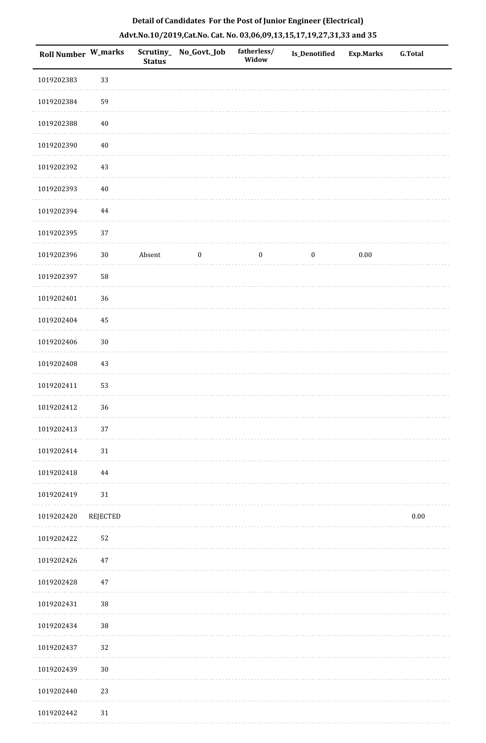| Roll Number W_marks |          | <b>Status</b> | Scrutiny_ No_Govt._Job | fatherless/<br>Widow | Is_Denotified    | <b>Exp.Marks</b> | <b>G.Total</b> |
|---------------------|----------|---------------|------------------------|----------------------|------------------|------------------|----------------|
| 1019202383          | 33       |               |                        |                      |                  |                  |                |
| 1019202384          | 59       |               |                        |                      |                  |                  |                |
| 1019202388          | $40\,$   |               |                        |                      |                  |                  |                |
| 1019202390          | $40\,$   |               |                        |                      |                  |                  |                |
| 1019202392          | 43       |               |                        |                      |                  |                  |                |
| 1019202393          | $40\,$   |               |                        |                      |                  |                  |                |
| 1019202394          | $\bf 44$ |               |                        |                      |                  |                  |                |
| 1019202395          | 37       |               |                        |                      |                  |                  |                |
| 1019202396          | $30\,$   | Absent        | $\boldsymbol{0}$       | $\boldsymbol{0}$     | $\boldsymbol{0}$ | $0.00\,$         |                |
| 1019202397          | 58       |               |                        |                      |                  |                  |                |
| 1019202401          | 36       |               |                        |                      |                  |                  |                |
| 1019202404          | 45       |               |                        |                      |                  |                  |                |
| 1019202406          | $30\,$   |               |                        |                      |                  |                  |                |
| 1019202408          | 43       |               |                        |                      |                  |                  |                |
| 1019202411          | 53       |               |                        |                      |                  |                  |                |
| 1019202412          | 36       |               |                        |                      |                  |                  |                |
| 1019202413          | 37       |               |                        |                      |                  |                  |                |
| 1019202414          | 31       |               |                        |                      |                  |                  |                |
| 1019202418          | 44       |               |                        |                      |                  |                  |                |
| 1019202419          | 31       |               |                        |                      |                  |                  |                |
| 1019202420          | REJECTED |               |                        |                      |                  |                  | $0.00\,$       |
| 1019202422          | 52       |               |                        |                      |                  |                  |                |
| 1019202426          | 47       |               |                        |                      |                  |                  |                |
| 1019202428          | 47       |               |                        |                      |                  |                  |                |
| 1019202431          | $38\,$   |               |                        |                      |                  |                  |                |
| 1019202434          | $38\,$   |               |                        |                      |                  |                  |                |
| 1019202437          | 32       |               |                        |                      |                  |                  |                |
| 1019202439          | $30\,$   |               |                        |                      |                  |                  |                |
| 1019202440          | 23       |               |                        |                      |                  |                  |                |
| 1019202442          | 31       |               |                        |                      |                  |                  |                |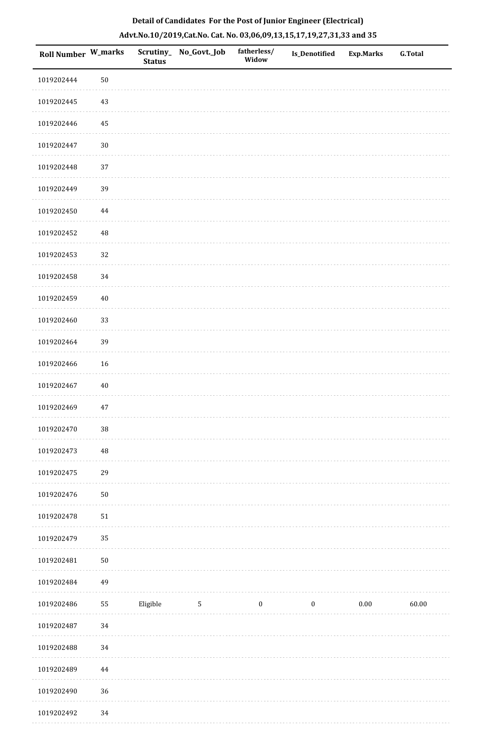| Roll Number W_marks |            | <b>Status</b> | Scrutiny_ No_Govt._Job | fatherless/<br>Widow | Is_Denotified    | <b>Exp.Marks</b> | <b>G.Total</b> |
|---------------------|------------|---------------|------------------------|----------------------|------------------|------------------|----------------|
| 1019202444          | $50\,$     |               |                        |                      |                  |                  |                |
| 1019202445          | $43\,$     |               |                        |                      |                  |                  |                |
| 1019202446          | 45         |               |                        |                      |                  |                  |                |
| 1019202447          | $30\,$     |               |                        |                      |                  |                  |                |
| 1019202448          | 37         |               |                        |                      |                  |                  |                |
| 1019202449          | 39         |               |                        |                      |                  |                  |                |
| 1019202450          | 44         |               |                        |                      |                  |                  |                |
| 1019202452          | 48         |               |                        |                      |                  |                  |                |
| 1019202453          | 32         |               |                        |                      |                  |                  |                |
| 1019202458          | 34         |               |                        |                      |                  |                  |                |
| 1019202459          | $40\,$     |               |                        |                      |                  |                  |                |
| 1019202460          | 33         |               |                        |                      |                  |                  |                |
| 1019202464          | 39         |               |                        |                      |                  |                  |                |
| 1019202466          | 16         |               |                        |                      |                  |                  |                |
| 1019202467          | $40\,$     |               |                        |                      |                  |                  |                |
| 1019202469          | $47\,$     |               |                        |                      |                  |                  |                |
| 1019202470          | $38\,$     |               |                        |                      |                  |                  |                |
| 1019202473          | $\rm 48$   |               |                        |                      |                  |                  |                |
| 1019202475          | 29         |               |                        |                      |                  |                  |                |
| 1019202476          | $50\,$     |               |                        |                      |                  |                  |                |
| 1019202478          | ${\bf 51}$ |               |                        |                      |                  |                  |                |
| 1019202479          | 35         |               |                        |                      |                  |                  |                |
| 1019202481          | $50\,$     |               |                        |                      |                  |                  |                |
| 1019202484          | 49         |               |                        |                      |                  |                  |                |
| 1019202486          | 55         | Eligible      | $\mathbf{5}$           | $\boldsymbol{0}$     | $\boldsymbol{0}$ | $0.00\,$         | 60.00          |
| 1019202487          | 34         |               |                        |                      |                  |                  |                |
| 1019202488          | 34         |               |                        |                      |                  |                  |                |
| 1019202489          | 44         |               |                        |                      |                  |                  |                |
| 1019202490          | 36         |               |                        |                      |                  |                  |                |
| 1019202492          | 34         |               |                        |                      |                  |                  |                |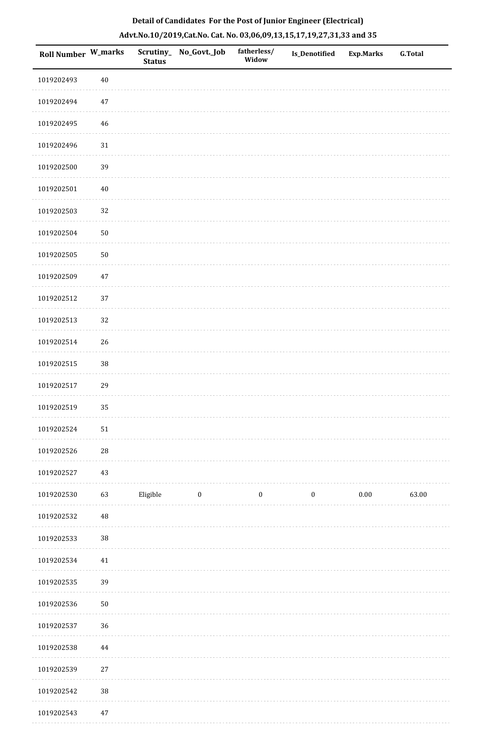| Roll Number W_marks |             | <b>Status</b> | Scrutiny_ No_Govt._Job | fatherless/<br>Widow | Is_Denotified    | <b>Exp.Marks</b> | G.Total |
|---------------------|-------------|---------------|------------------------|----------------------|------------------|------------------|---------|
| 1019202493          | $40\,$      |               |                        |                      |                  |                  |         |
| 1019202494          | $47\,$      |               |                        |                      |                  |                  |         |
| 1019202495          | $46\,$      |               |                        |                      |                  |                  |         |
| 1019202496          | $31\,$      |               |                        |                      |                  |                  |         |
| 1019202500          | 39          |               |                        |                      |                  |                  |         |
| 1019202501          | $40\,$      |               |                        |                      |                  |                  |         |
| 1019202503          | 32          |               |                        |                      |                  |                  |         |
| 1019202504          | $50\,$      |               |                        |                      |                  |                  |         |
| 1019202505          | $50\,$      |               |                        |                      |                  |                  |         |
| 1019202509          | $47\,$      |               |                        |                      |                  |                  |         |
| 1019202512          | 37          |               |                        |                      |                  |                  |         |
| 1019202513          | 32          |               |                        |                      |                  |                  |         |
| 1019202514          | 26          |               |                        |                      |                  |                  |         |
| 1019202515          | $38\,$      |               |                        |                      |                  |                  |         |
| 1019202517          | 29          |               |                        |                      |                  |                  |         |
| 1019202519          | 35          |               |                        |                      |                  |                  |         |
| 1019202524          | $51\,$      |               |                        |                      |                  |                  |         |
| 1019202526          | 28          |               |                        |                      |                  |                  |         |
| 1019202527          | 43          |               |                        |                      |                  |                  |         |
| 1019202530          | 63          | Eligible      | $\bf{0}$               | $\boldsymbol{0}$     | $\boldsymbol{0}$ | 0.00             | 63.00   |
| 1019202532          | $\sqrt{48}$ |               |                        |                      |                  |                  |         |
| 1019202533          | $38\,$      |               |                        |                      |                  |                  |         |
| 1019202534          | 41          |               |                        |                      |                  |                  |         |
| 1019202535          | 39          |               |                        |                      |                  |                  |         |
| 1019202536          | $50\,$      |               |                        |                      |                  |                  |         |
| 1019202537          | 36          |               |                        |                      |                  |                  |         |
| 1019202538          | 44          |               |                        |                      |                  |                  |         |
| 1019202539          | $27\,$      |               |                        |                      |                  |                  |         |
| 1019202542          | $38\,$      |               |                        |                      |                  |                  |         |
|                     |             |               |                        |                      |                  |                  |         |

# **Detail of Candidates For the Post of Junior Engineer (Electrical) Advt.No.10/2019,Cat.No. Cat. No. 03,06,09,13,15,17,19,27,31,33 and 35**

1019202543 47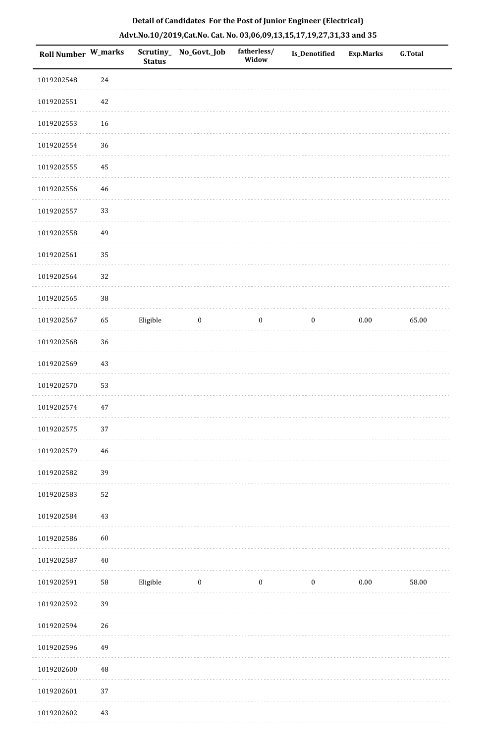| Roll Number W_marks |            | <b>Status</b> | Scrutiny_ No_Govt._Job | fatherless/<br>Widow | Is_Denotified    | <b>Exp.Marks</b> | <b>G.Total</b> |
|---------------------|------------|---------------|------------------------|----------------------|------------------|------------------|----------------|
| 1019202548          | 24         |               |                        |                      |                  |                  |                |
| 1019202551          | 42         |               |                        |                      |                  |                  |                |
| 1019202553          | 16         |               |                        |                      |                  |                  |                |
| 1019202554          | 36         |               |                        |                      |                  |                  |                |
| 1019202555          | 45         |               |                        |                      |                  |                  |                |
| 1019202556          | 46         |               |                        |                      |                  |                  |                |
| 1019202557          | 33         |               |                        |                      |                  |                  |                |
| 1019202558          | 49         |               |                        |                      |                  |                  |                |
| 1019202561          | 35         |               |                        |                      |                  |                  |                |
| 1019202564          | 32         |               |                        |                      |                  |                  |                |
| 1019202565          | $38\,$     |               |                        |                      |                  |                  |                |
| 1019202567          | 65         | Eligible      | $\boldsymbol{0}$       | $\boldsymbol{0}$     | $\boldsymbol{0}$ | $0.00\,$         | 65.00          |
| 1019202568          | 36         |               |                        |                      |                  |                  |                |
| 1019202569          | 43         |               |                        |                      |                  |                  |                |
| 1019202570          | 53         |               |                        |                      |                  |                  |                |
| 1019202574          | $47\,$     |               |                        |                      |                  |                  |                |
| 1019202575          | 37         |               |                        |                      |                  |                  |                |
| 1019202579          | 46         |               |                        |                      |                  |                  |                |
| 1019202582          | 39         |               |                        |                      |                  |                  |                |
| 1019202583          | 52         |               |                        |                      |                  |                  |                |
| 1019202584          | 43         |               |                        |                      |                  |                  |                |
| 1019202586          | 60         |               |                        |                      |                  |                  |                |
| 1019202587          | $40\,$     |               |                        |                      |                  |                  |                |
| 1019202591          | ${\bf 58}$ | Eligible      | $\bf{0}$               | $\boldsymbol{0}$     | $\boldsymbol{0}$ | $0.00\,$         | 58.00          |
| 1019202592          | 39         |               |                        |                      |                  |                  |                |
| 1019202594          | 26         |               |                        |                      |                  |                  |                |
| 1019202596          | 49         |               |                        |                      |                  |                  |                |
| 1019202600          | 48         |               |                        |                      |                  |                  |                |
| 1019202601          | 37         |               |                        |                      |                  |                  |                |
| 1019202602          | 43         |               |                        |                      |                  |                  |                |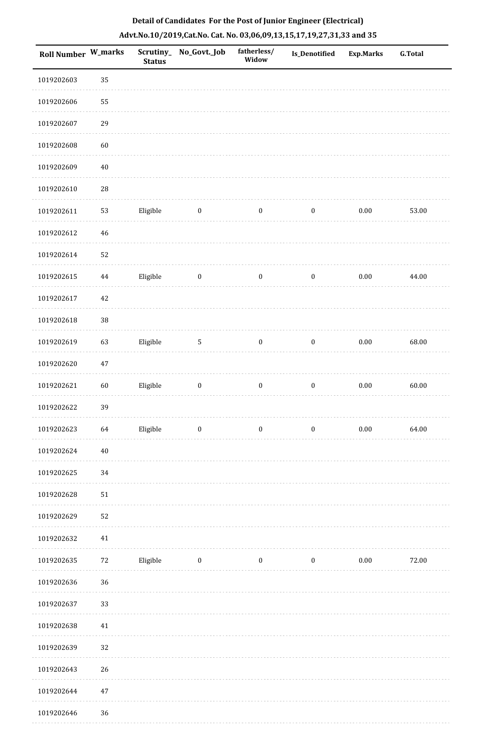| 1019202603<br>35<br>55<br>1019202606<br>29<br>1019202607<br>1019202608<br>60<br>$40\,$<br>1019202609<br>28<br>1019202610<br>Eligible<br>$\bf{0}$<br>$\boldsymbol{0}$<br>$\boldsymbol{0}$<br>$0.00\,$<br>53.00<br>1019202611<br>53<br>$\sqrt{46}$<br>1019202612<br>1019202614<br>52<br>Eligible<br>1019202615<br>$\boldsymbol{0}$<br>$\boldsymbol{0}$<br>$0.00\,$<br>44.00<br>$\bf 44$<br>$\boldsymbol{0}$<br>$42\,$<br>1019202617<br>38<br>1019202618<br>1019202619<br>63<br>Eligible<br>$0.00\,$<br>68.00<br>$5\,$<br>$\boldsymbol{0}$<br>$\boldsymbol{0}$<br>1019202620<br>$47\,$<br>1019202621<br>60<br>Eligible<br>$0.00\,$<br>60.00<br>$\boldsymbol{0}$<br>$\boldsymbol{0}$<br>$\boldsymbol{0}$<br>1019202622<br>39<br>Eligible<br>$\boldsymbol{0}$<br>$\boldsymbol{0}$<br>$0.00\,$<br>64<br>$\overline{\mathbf{0}}$<br>64.00<br>1019202623<br>1019202624<br>$40\,$<br>1019202625<br>34<br>$51\,$<br>1019202628<br>1019202629<br>52<br>1019202632<br>41<br>$72\,$<br>$0.00\,$<br>72.00<br>1019202635<br>Eligible<br>$\overline{\mathbf{0}}$<br>$\boldsymbol{0}$<br>$\boldsymbol{0}$<br>36<br>1019202636<br>1019202637<br>33<br>1019202638<br>41<br>1019202639<br>32<br>1019202643<br>26<br>1019202644<br>$47\,$ | <b>Roll Number W_marks</b> | <b>Status</b> | Scrutiny_No_Govt._Job | fatherless/<br>Widow | <b>Is_Denotified</b> | <b>Exp.Marks</b> | <b>G.Total</b> |
|----------------------------------------------------------------------------------------------------------------------------------------------------------------------------------------------------------------------------------------------------------------------------------------------------------------------------------------------------------------------------------------------------------------------------------------------------------------------------------------------------------------------------------------------------------------------------------------------------------------------------------------------------------------------------------------------------------------------------------------------------------------------------------------------------------------------------------------------------------------------------------------------------------------------------------------------------------------------------------------------------------------------------------------------------------------------------------------------------------------------------------------------------------------------------------------------------------------------|----------------------------|---------------|-----------------------|----------------------|----------------------|------------------|----------------|
|                                                                                                                                                                                                                                                                                                                                                                                                                                                                                                                                                                                                                                                                                                                                                                                                                                                                                                                                                                                                                                                                                                                                                                                                                      |                            |               |                       |                      |                      |                  |                |
|                                                                                                                                                                                                                                                                                                                                                                                                                                                                                                                                                                                                                                                                                                                                                                                                                                                                                                                                                                                                                                                                                                                                                                                                                      |                            |               |                       |                      |                      |                  |                |
|                                                                                                                                                                                                                                                                                                                                                                                                                                                                                                                                                                                                                                                                                                                                                                                                                                                                                                                                                                                                                                                                                                                                                                                                                      |                            |               |                       |                      |                      |                  |                |
|                                                                                                                                                                                                                                                                                                                                                                                                                                                                                                                                                                                                                                                                                                                                                                                                                                                                                                                                                                                                                                                                                                                                                                                                                      |                            |               |                       |                      |                      |                  |                |
|                                                                                                                                                                                                                                                                                                                                                                                                                                                                                                                                                                                                                                                                                                                                                                                                                                                                                                                                                                                                                                                                                                                                                                                                                      |                            |               |                       |                      |                      |                  |                |
|                                                                                                                                                                                                                                                                                                                                                                                                                                                                                                                                                                                                                                                                                                                                                                                                                                                                                                                                                                                                                                                                                                                                                                                                                      |                            |               |                       |                      |                      |                  |                |
|                                                                                                                                                                                                                                                                                                                                                                                                                                                                                                                                                                                                                                                                                                                                                                                                                                                                                                                                                                                                                                                                                                                                                                                                                      |                            |               |                       |                      |                      |                  |                |
|                                                                                                                                                                                                                                                                                                                                                                                                                                                                                                                                                                                                                                                                                                                                                                                                                                                                                                                                                                                                                                                                                                                                                                                                                      |                            |               |                       |                      |                      |                  |                |
|                                                                                                                                                                                                                                                                                                                                                                                                                                                                                                                                                                                                                                                                                                                                                                                                                                                                                                                                                                                                                                                                                                                                                                                                                      |                            |               |                       |                      |                      |                  |                |
|                                                                                                                                                                                                                                                                                                                                                                                                                                                                                                                                                                                                                                                                                                                                                                                                                                                                                                                                                                                                                                                                                                                                                                                                                      |                            |               |                       |                      |                      |                  |                |
|                                                                                                                                                                                                                                                                                                                                                                                                                                                                                                                                                                                                                                                                                                                                                                                                                                                                                                                                                                                                                                                                                                                                                                                                                      |                            |               |                       |                      |                      |                  |                |
|                                                                                                                                                                                                                                                                                                                                                                                                                                                                                                                                                                                                                                                                                                                                                                                                                                                                                                                                                                                                                                                                                                                                                                                                                      |                            |               |                       |                      |                      |                  |                |
|                                                                                                                                                                                                                                                                                                                                                                                                                                                                                                                                                                                                                                                                                                                                                                                                                                                                                                                                                                                                                                                                                                                                                                                                                      |                            |               |                       |                      |                      |                  |                |
|                                                                                                                                                                                                                                                                                                                                                                                                                                                                                                                                                                                                                                                                                                                                                                                                                                                                                                                                                                                                                                                                                                                                                                                                                      |                            |               |                       |                      |                      |                  |                |
|                                                                                                                                                                                                                                                                                                                                                                                                                                                                                                                                                                                                                                                                                                                                                                                                                                                                                                                                                                                                                                                                                                                                                                                                                      |                            |               |                       |                      |                      |                  |                |
|                                                                                                                                                                                                                                                                                                                                                                                                                                                                                                                                                                                                                                                                                                                                                                                                                                                                                                                                                                                                                                                                                                                                                                                                                      |                            |               |                       |                      |                      |                  |                |
|                                                                                                                                                                                                                                                                                                                                                                                                                                                                                                                                                                                                                                                                                                                                                                                                                                                                                                                                                                                                                                                                                                                                                                                                                      |                            |               |                       |                      |                      |                  |                |
|                                                                                                                                                                                                                                                                                                                                                                                                                                                                                                                                                                                                                                                                                                                                                                                                                                                                                                                                                                                                                                                                                                                                                                                                                      |                            |               |                       |                      |                      |                  |                |
|                                                                                                                                                                                                                                                                                                                                                                                                                                                                                                                                                                                                                                                                                                                                                                                                                                                                                                                                                                                                                                                                                                                                                                                                                      |                            |               |                       |                      |                      |                  |                |
|                                                                                                                                                                                                                                                                                                                                                                                                                                                                                                                                                                                                                                                                                                                                                                                                                                                                                                                                                                                                                                                                                                                                                                                                                      |                            |               |                       |                      |                      |                  |                |
|                                                                                                                                                                                                                                                                                                                                                                                                                                                                                                                                                                                                                                                                                                                                                                                                                                                                                                                                                                                                                                                                                                                                                                                                                      |                            |               |                       |                      |                      |                  |                |
|                                                                                                                                                                                                                                                                                                                                                                                                                                                                                                                                                                                                                                                                                                                                                                                                                                                                                                                                                                                                                                                                                                                                                                                                                      |                            |               |                       |                      |                      |                  |                |
|                                                                                                                                                                                                                                                                                                                                                                                                                                                                                                                                                                                                                                                                                                                                                                                                                                                                                                                                                                                                                                                                                                                                                                                                                      |                            |               |                       |                      |                      |                  |                |
|                                                                                                                                                                                                                                                                                                                                                                                                                                                                                                                                                                                                                                                                                                                                                                                                                                                                                                                                                                                                                                                                                                                                                                                                                      |                            |               |                       |                      |                      |                  |                |
|                                                                                                                                                                                                                                                                                                                                                                                                                                                                                                                                                                                                                                                                                                                                                                                                                                                                                                                                                                                                                                                                                                                                                                                                                      |                            |               |                       |                      |                      |                  |                |
|                                                                                                                                                                                                                                                                                                                                                                                                                                                                                                                                                                                                                                                                                                                                                                                                                                                                                                                                                                                                                                                                                                                                                                                                                      |                            |               |                       |                      |                      |                  |                |
|                                                                                                                                                                                                                                                                                                                                                                                                                                                                                                                                                                                                                                                                                                                                                                                                                                                                                                                                                                                                                                                                                                                                                                                                                      |                            |               |                       |                      |                      |                  |                |
|                                                                                                                                                                                                                                                                                                                                                                                                                                                                                                                                                                                                                                                                                                                                                                                                                                                                                                                                                                                                                                                                                                                                                                                                                      |                            |               |                       |                      |                      |                  |                |
|                                                                                                                                                                                                                                                                                                                                                                                                                                                                                                                                                                                                                                                                                                                                                                                                                                                                                                                                                                                                                                                                                                                                                                                                                      |                            |               |                       |                      |                      |                  |                |

1019202646 36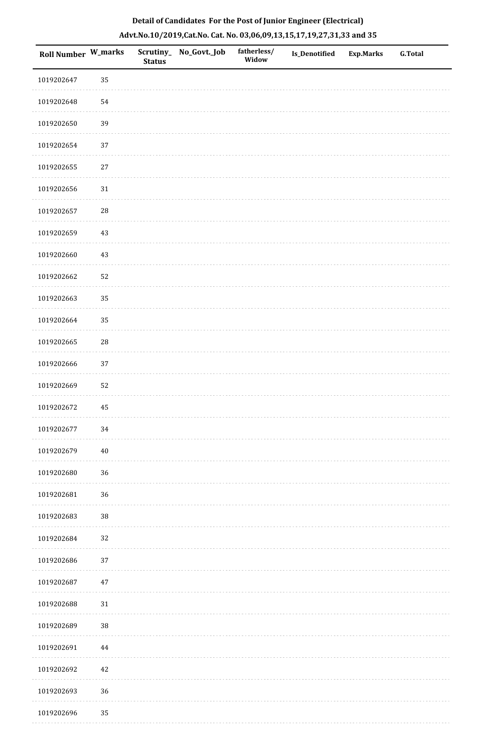| Roll Number W_marks |            | <b>Status</b> | Scrutiny_ No_Govt._Job | fatherless/<br>Widow | Is_Denotified | <b>Exp.Marks</b> | <b>G.Total</b> |
|---------------------|------------|---------------|------------------------|----------------------|---------------|------------------|----------------|
| 1019202647          | 35         |               |                        |                      |               |                  |                |
| 1019202648          | 54         |               |                        |                      |               |                  |                |
| 1019202650          | 39         |               |                        |                      |               |                  |                |
| 1019202654          | 37         |               |                        |                      |               |                  |                |
| 1019202655          | $27\,$     |               |                        |                      |               |                  |                |
| 1019202656          | 31         |               |                        |                      |               |                  |                |
| 1019202657          | ${\bf 28}$ |               |                        |                      |               |                  |                |
| 1019202659          | $43\,$     |               |                        |                      |               |                  |                |
| 1019202660          | 43         |               |                        |                      |               |                  |                |
| 1019202662          | 52         |               |                        |                      |               |                  |                |
| 1019202663          | 35         |               |                        |                      |               |                  |                |
| 1019202664          | 35         |               |                        |                      |               |                  |                |
| 1019202665          | ${\bf 28}$ |               |                        |                      |               |                  |                |
| 1019202666          | $37\,$     |               |                        |                      |               |                  |                |
| 1019202669          | 52         |               |                        |                      |               |                  |                |
| 1019202672          | 45         |               |                        |                      |               |                  |                |
| 1019202677          | 34         |               |                        |                      |               |                  |                |
| 1019202679          | $40\,$     |               |                        |                      |               |                  |                |
| 1019202680          | 36         |               |                        |                      |               |                  |                |
| 1019202681          | 36         |               |                        |                      |               |                  |                |
| 1019202683          | 38         |               |                        |                      |               |                  |                |
| 1019202684          | 32         |               |                        |                      |               |                  |                |
| 1019202686          | 37         |               |                        |                      |               |                  |                |
| 1019202687          | $47\,$     |               |                        |                      |               |                  |                |
| 1019202688          | 31         |               |                        |                      |               |                  |                |
| 1019202689          | 38         |               |                        |                      |               |                  |                |
| 1019202691          | 44         |               |                        |                      |               |                  |                |
| 1019202692          | $42\,$     |               |                        |                      |               |                  |                |
| 1019202693          | 36         |               |                        |                      |               |                  |                |
| 1019202696          | 35         |               |                        |                      |               |                  |                |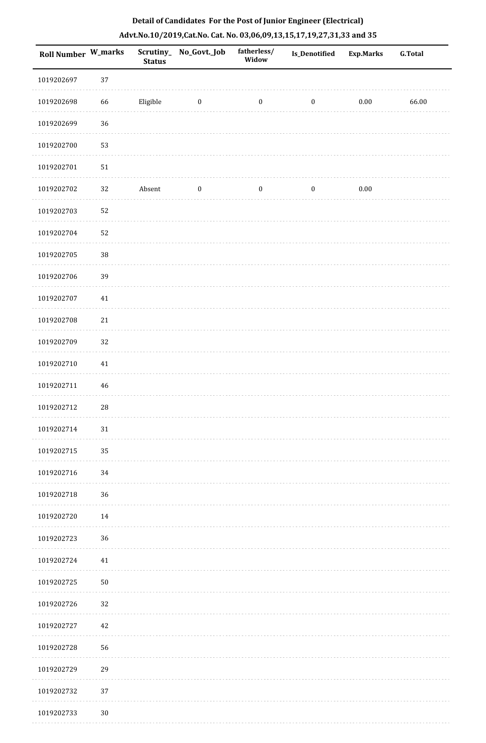| <b>Roll Number W_marks</b> |             | <b>Status</b> | Scrutiny_ No_Govt._Job | fatherless/<br>Widow | Is_Denotified    | <b>Exp.Marks</b> | <b>G.Total</b> |
|----------------------------|-------------|---------------|------------------------|----------------------|------------------|------------------|----------------|
| 1019202697                 | 37          |               |                        |                      |                  |                  |                |
| 1019202698                 | 66          | Eligible      | $\bf{0}$               | $\boldsymbol{0}$     | $\boldsymbol{0}$ | $0.00\,$         | 66.00          |
| 1019202699                 | 36          |               |                        |                      |                  |                  |                |
| 1019202700                 | 53          |               |                        |                      |                  |                  |                |
| 1019202701                 | $51\,$      |               |                        |                      |                  |                  |                |
| 1019202702                 | 32          | Absent        | $\boldsymbol{0}$       | $\boldsymbol{0}$     | $\boldsymbol{0}$ | $0.00\,$         |                |
| 1019202703                 | 52          |               |                        |                      |                  |                  |                |
| 1019202704                 | 52          |               |                        |                      |                  |                  |                |
| 1019202705                 | $38\,$      |               |                        |                      |                  |                  |                |
| 1019202706                 | 39          |               |                        |                      |                  |                  |                |
| 1019202707                 | $41\,$      |               |                        |                      |                  |                  |                |
| 1019202708                 | 21          |               |                        |                      |                  |                  |                |
| 1019202709                 | 32          |               |                        |                      |                  |                  |                |
| 1019202710                 | $41\,$      |               |                        |                      |                  |                  |                |
| 1019202711                 | $\sqrt{46}$ |               |                        |                      |                  |                  |                |
| 1019202712                 | 28          |               |                        |                      |                  |                  |                |
| 1019202714                 | 31          |               |                        |                      |                  |                  |                |
| 1019202715                 | 35          |               |                        |                      |                  |                  |                |
| 1019202716                 | 34          |               |                        |                      |                  |                  |                |
| 1019202718                 | 36          |               |                        |                      |                  |                  |                |
| 1019202720                 | $14\,$      |               |                        |                      |                  |                  |                |
| 1019202723                 | 36          |               |                        |                      |                  |                  |                |
| 1019202724                 | 41          |               |                        |                      |                  |                  |                |
| 1019202725                 | $50\,$      |               |                        |                      |                  |                  |                |
| 1019202726                 | 32          |               |                        |                      |                  |                  |                |
| 1019202727                 | 42          |               |                        |                      |                  |                  |                |
| 1019202728                 | 56          |               |                        |                      |                  |                  |                |
| 1019202729                 | 29          |               |                        |                      |                  |                  |                |
| 1019202732                 | 37          |               |                        |                      |                  |                  |                |
| 1019202733                 | $30\,$      |               |                        |                      |                  |                  |                |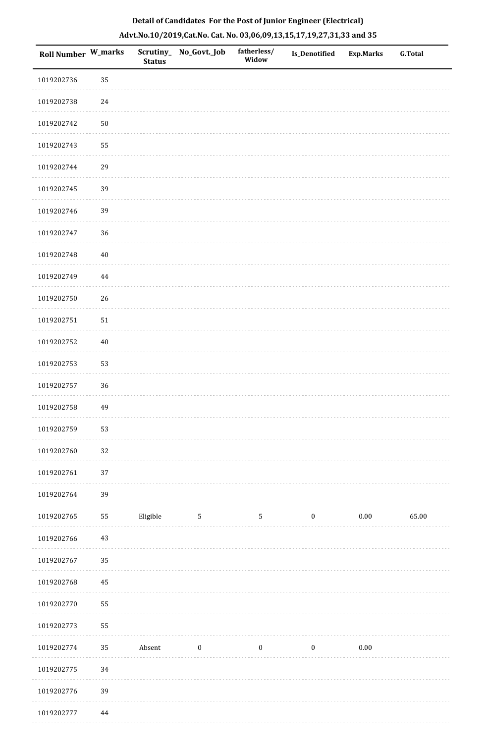| Roll Number W_marks |            | <b>Status</b> | Scrutiny_ No_Govt._Job | fatherless/<br>Widow | Is_Denotified    | <b>Exp.Marks</b> | <b>G.Total</b> |
|---------------------|------------|---------------|------------------------|----------------------|------------------|------------------|----------------|
| 1019202736          | 35         |               |                        |                      |                  |                  |                |
| 1019202738          | 24         |               |                        |                      |                  |                  |                |
| 1019202742          | ${\bf 50}$ |               |                        |                      |                  |                  |                |
| 1019202743          | 55         |               |                        |                      |                  |                  |                |
| 1019202744          | 29         |               |                        |                      |                  |                  |                |
| 1019202745          | 39         |               |                        |                      |                  |                  |                |
| 1019202746          | 39         |               |                        |                      |                  |                  |                |
| 1019202747          | 36         |               |                        |                      |                  |                  |                |
| 1019202748          | $40\,$     |               |                        |                      |                  |                  |                |
| 1019202749          | $\bf 44$   |               |                        |                      |                  |                  |                |
| 1019202750          | 26         |               |                        |                      |                  |                  |                |
| 1019202751          | 51         |               |                        |                      |                  |                  |                |
| 1019202752          | $40\,$     |               |                        |                      |                  |                  |                |
| 1019202753          | 53         |               |                        |                      |                  |                  |                |
| 1019202757          | 36         |               |                        |                      |                  |                  |                |
| 1019202758          | 49         |               |                        |                      |                  |                  |                |
| 1019202759          | 53         |               |                        |                      |                  |                  |                |
| 1019202760          | 32         |               |                        |                      |                  |                  |                |
| 1019202761          | 37         |               |                        |                      |                  |                  |                |
| 1019202764          | 39         |               |                        |                      |                  |                  |                |
| 1019202765          | 55         | Eligible      | $5\phantom{.0}$        | $\sqrt{5}$           | $\boldsymbol{0}$ | $0.00\,$         | 65.00          |
| 1019202766          | 43         |               |                        |                      |                  |                  |                |
| 1019202767          | 35         |               |                        |                      |                  |                  |                |
| 1019202768          | 45         |               |                        |                      |                  |                  |                |
| 1019202770          | 55         |               |                        |                      |                  |                  |                |
| 1019202773          | 55         |               |                        |                      |                  |                  |                |
| 1019202774          | 35         | Absent        | $\boldsymbol{0}$       | $\boldsymbol{0}$     | $\bf{0}$         | $0.00\,$         |                |
| 1019202775          | $34\,$     |               |                        |                      |                  |                  |                |
| 1019202776          | 39         |               |                        |                      |                  |                  |                |
| 1019202777          | 44         |               |                        |                      |                  |                  |                |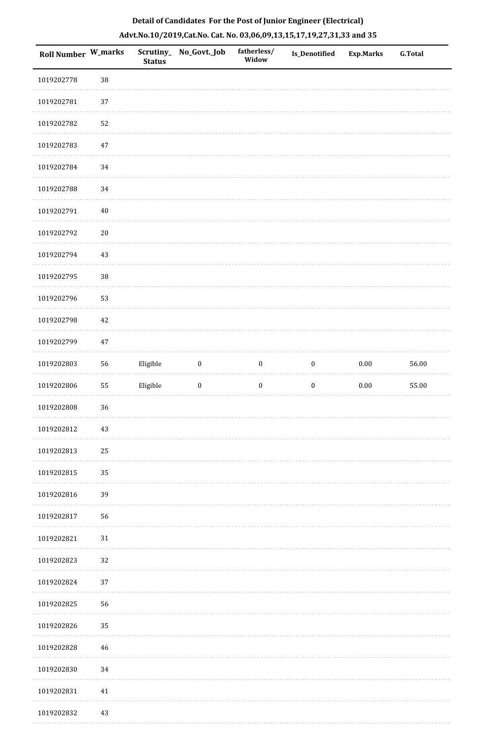| Roll Number W_marks |        | <b>Status</b> | Scrutiny_No_Govt._Job | fatherless/<br>Widow | Is_Denotified    | <b>Exp.Marks</b> | <b>G.Total</b> |
|---------------------|--------|---------------|-----------------------|----------------------|------------------|------------------|----------------|
| 1019202778          | $38\,$ |               |                       |                      |                  |                  |                |
| 1019202781          | 37     |               |                       |                      |                  |                  |                |
| 1019202782          | 52     |               |                       |                      |                  |                  |                |
| 1019202783          | $47\,$ |               |                       |                      |                  |                  |                |
| 1019202784          | 34     |               |                       |                      |                  |                  |                |
| 1019202788          | $34\,$ |               |                       |                      |                  |                  |                |
| 1019202791          | $40\,$ |               |                       |                      |                  |                  |                |
| 1019202792          | $20\,$ |               |                       |                      |                  |                  |                |
| 1019202794          | 43     |               |                       |                      |                  |                  |                |
| 1019202795          | $38\,$ |               |                       |                      |                  |                  |                |
| 1019202796          | 53     |               |                       |                      |                  |                  |                |
| 1019202798          | 42     |               |                       |                      |                  |                  |                |
| 1019202799          | 47     |               |                       |                      |                  |                  |                |
| 1019202803          | 56     | Eligible      | $\boldsymbol{0}$      | $\boldsymbol{0}$     | $\boldsymbol{0}$ | $0.00\,$         | 56.00          |
| 1019202806          | 55     | Eligible      | $\boldsymbol{0}$      | $\boldsymbol{0}$     | $\boldsymbol{0}$ | $0.00\,$         | 55.00          |
| 1019202808          | 36     |               |                       |                      |                  |                  |                |
| 1019202812          | 43     |               |                       |                      |                  |                  |                |
| 1019202813          | 25     |               |                       |                      |                  |                  |                |
| 1019202815          | 35     |               |                       |                      |                  |                  |                |
| 1019202816          | 39     |               |                       |                      |                  |                  |                |
| 1019202817          | 56     |               |                       |                      |                  |                  |                |
| 1019202821          | 31     |               |                       |                      |                  |                  |                |
| 1019202823          | 32     |               |                       |                      |                  |                  |                |
| 1019202824          | 37     |               |                       |                      |                  |                  |                |
| 1019202825          | 56     |               |                       |                      |                  |                  |                |
| 1019202826          | 35     |               |                       |                      |                  |                  |                |
| 1019202828          | 46     |               |                       |                      |                  |                  |                |
| 1019202830          | 34     |               |                       |                      |                  |                  |                |
| 1019202831          | 41     |               |                       |                      |                  |                  |                |
| 1019202832          | 43     |               |                       |                      |                  |                  |                |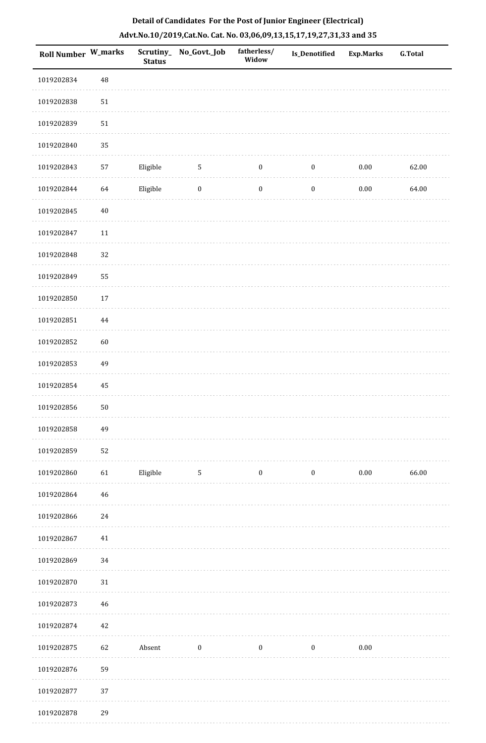| <b>Roll Number W_marks</b> |        | <b>Status</b> | Scrutiny_No_Govt._Job | fatherless/<br>Widow | Is_Denotified    | Exp.Marks | <b>G.Total</b> |
|----------------------------|--------|---------------|-----------------------|----------------------|------------------|-----------|----------------|
| 1019202834                 | 48     |               |                       |                      |                  |           |                |
| 1019202838                 | $51\,$ |               |                       |                      |                  |           |                |
| 1019202839                 | $51\,$ |               |                       |                      |                  |           |                |
| 1019202840                 | 35     |               |                       |                      |                  |           |                |
| 1019202843                 | 57     | Eligible      | $\sqrt{5}$            | $\boldsymbol{0}$     | $\boldsymbol{0}$ | $0.00\,$  | 62.00          |
| 1019202844                 | 64     | Eligible      | $\boldsymbol{0}$      | $\boldsymbol{0}$     | $\boldsymbol{0}$ | $0.00\,$  | 64.00          |
| 1019202845                 | $40\,$ |               |                       |                      |                  |           |                |
| 1019202847                 | 11     |               |                       |                      |                  |           |                |
| 1019202848                 | 32     |               |                       |                      |                  |           |                |
| 1019202849                 | 55     |               |                       |                      |                  |           |                |
| 1019202850                 | 17     |               |                       |                      |                  |           |                |
| 1019202851                 | 44     |               |                       |                      |                  |           |                |
| 1019202852                 | 60     |               |                       |                      |                  |           |                |
| 1019202853                 | 49     |               |                       |                      |                  |           |                |
| 1019202854                 | 45     |               |                       |                      |                  |           |                |
| 1019202856                 | $50\,$ |               |                       |                      |                  |           |                |
| 1019202858                 | 49     |               |                       |                      |                  |           |                |
| 1019202859                 | 52     |               |                       |                      |                  |           |                |
| 1019202860                 | 61     | Eligible      | 5                     | $\boldsymbol{0}$     | $\boldsymbol{0}$ | $0.00\,$  | 66.00          |
| 1019202864                 | 46     |               |                       |                      |                  |           |                |
| 1019202866                 | 24     |               |                       |                      |                  |           |                |
| 1019202867                 | 41     |               |                       |                      |                  |           |                |
| 1019202869                 | 34     |               |                       |                      |                  |           |                |
| 1019202870                 | $31\,$ |               |                       |                      |                  |           |                |
| 1019202873                 | $46\,$ |               |                       |                      |                  |           |                |
| 1019202874                 | $42\,$ |               |                       |                      |                  |           |                |
| 1019202875                 | 62     | Absent        | $\bf{0}$              | $\bf{0}$             | $\boldsymbol{0}$ | 0.00      |                |
| 1019202876                 | 59     |               |                       |                      |                  |           |                |
| 1019202877                 | 37     |               |                       |                      |                  |           |                |
| 1019202878                 | 29     |               |                       |                      |                  |           |                |

1019202878 29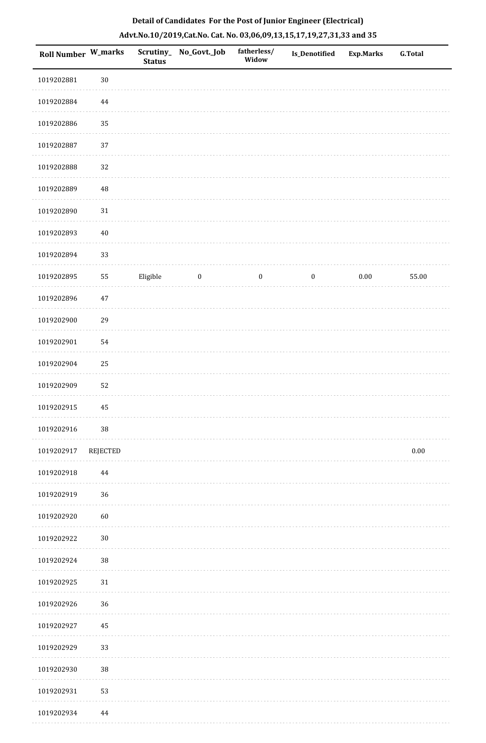| Roll Number W_marks |             | <b>Status</b> | Scrutiny_No_Govt._Job | fatherless/<br>Widow | Is_Denotified    | <b>Exp.Marks</b> | <b>G.Total</b> |
|---------------------|-------------|---------------|-----------------------|----------------------|------------------|------------------|----------------|
| 1019202881          | $30\,$      |               |                       |                      |                  |                  |                |
| 1019202884          | $\bf 44$    |               |                       |                      |                  |                  |                |
| 1019202886          | 35          |               |                       |                      |                  |                  |                |
| 1019202887          | 37          |               |                       |                      |                  |                  |                |
| 1019202888          | $32\,$      |               |                       |                      |                  |                  |                |
| 1019202889          | $\sqrt{48}$ |               |                       |                      |                  |                  |                |
| 1019202890          | $31\,$      |               |                       |                      |                  |                  |                |
| 1019202893          | $40\,$      |               |                       |                      |                  |                  |                |
| 1019202894          | 33          |               |                       |                      |                  |                  |                |
| 1019202895          | 55          | Eligible      | $\boldsymbol{0}$      | $\boldsymbol{0}$     | $\boldsymbol{0}$ | $0.00\,$         | 55.00          |
| 1019202896          | $47\,$      |               |                       |                      |                  |                  |                |
| 1019202900          | 29          |               |                       |                      |                  |                  |                |
| 1019202901          | 54          |               |                       |                      |                  |                  |                |
| 1019202904          | $25\,$      |               |                       |                      |                  |                  |                |
| 1019202909          | 52          |               |                       |                      |                  |                  |                |
| 1019202915          | 45          |               |                       |                      |                  |                  |                |
| 1019202916          | $38\,$      |               |                       |                      |                  |                  |                |
| 1019202917          | REJECTED    |               |                       |                      |                  |                  | $0.00\,$       |
| 1019202918          | 44          |               |                       |                      |                  |                  |                |
| 1019202919          | 36          |               |                       |                      |                  |                  |                |
| 1019202920          | 60          |               |                       |                      |                  |                  |                |
| 1019202922          | $30\,$      |               |                       |                      |                  |                  |                |
| 1019202924          | $38\,$      |               |                       |                      |                  |                  |                |
| 1019202925          | $31\,$      |               |                       |                      |                  |                  |                |
| 1019202926          | 36          |               |                       |                      |                  |                  |                |
| 1019202927          | 45          |               |                       |                      |                  |                  |                |
| 1019202929          | 33          |               |                       |                      |                  |                  |                |
| 1019202930          | 38          |               |                       |                      |                  |                  |                |
| 1019202931          | 53          |               |                       |                      |                  |                  |                |
| 1019202934          | 44          |               |                       |                      |                  |                  |                |

. . . . . . .

. . . . . . . . . . .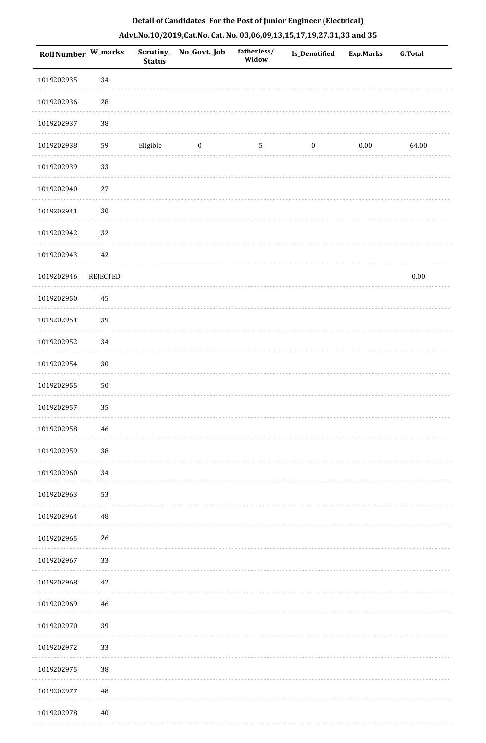| Roll Number W_marks |                 | <b>Status</b> | Scrutiny_ No_Govt._Job | fatherless/<br>Widow | <b>Is_Denotified</b> | <b>Exp.Marks</b> | <b>G.Total</b> |
|---------------------|-----------------|---------------|------------------------|----------------------|----------------------|------------------|----------------|
| 1019202935          | 34              |               |                        |                      |                      |                  |                |
| 1019202936          | $\sqrt{28}$     |               |                        |                      |                      |                  |                |
| 1019202937          | $38\,$          |               |                        |                      |                      |                  |                |
| 1019202938          | 59              | Eligible      | $\boldsymbol{0}$       | 5                    | $\boldsymbol{0}$     | $0.00\,$         | 64.00          |
| 1019202939          | 33              |               |                        |                      |                      |                  |                |
| 1019202940          | 27              |               |                        |                      |                      |                  |                |
| 1019202941          | $30\,$          |               |                        |                      |                      |                  |                |
| 1019202942          | 32              |               |                        |                      |                      |                  |                |
| 1019202943          | 42              |               |                        |                      |                      |                  |                |
| 1019202946          | <b>REJECTED</b> |               |                        |                      |                      |                  | $0.00\,$       |
| 1019202950          | 45              |               |                        |                      |                      |                  |                |
| 1019202951          | 39              |               |                        |                      |                      |                  |                |
| 1019202952          | 34              |               |                        |                      |                      |                  |                |
| 1019202954          | $30\,$          |               |                        |                      |                      |                  |                |
| 1019202955          | 50              |               |                        |                      |                      |                  |                |
| 1019202957          | 35              |               |                        |                      |                      |                  |                |
| 1019202958          | 46              |               |                        |                      |                      |                  |                |
| 1019202959          | $38\,$          |               |                        |                      |                      |                  |                |
| 1019202960          | 34              |               |                        |                      |                      |                  |                |
| 1019202963          | 53              |               |                        |                      |                      |                  |                |
| 1019202964          | 48              |               |                        |                      |                      |                  |                |
| 1019202965          | 26              |               |                        |                      |                      |                  |                |
| 1019202967          | 33              |               |                        |                      |                      |                  |                |
| 1019202968          | 42              |               |                        |                      |                      |                  |                |
| 1019202969          | 46              |               |                        |                      |                      |                  |                |
| 1019202970          | 39              |               |                        |                      |                      |                  |                |
| 1019202972          | 33              |               |                        |                      |                      |                  |                |
| 1019202975          | $38\,$          |               |                        |                      |                      |                  |                |
| 1019202977          | 48              |               |                        |                      |                      |                  |                |
| 1019202978          | 40              |               |                        |                      |                      |                  |                |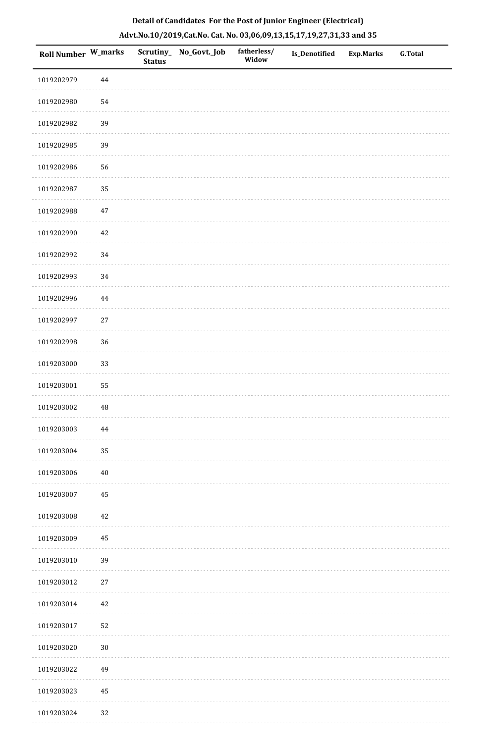| Roll Number W_marks |          | <b>Status</b> | Scrutiny_ No_Govt._Job | fatherless/<br>Widow | Is_Denotified | <b>Exp.Marks</b> | <b>G.Total</b> |
|---------------------|----------|---------------|------------------------|----------------------|---------------|------------------|----------------|
| 1019202979          | 44       |               |                        |                      |               |                  |                |
| 1019202980          | 54       |               |                        |                      |               |                  |                |
| 1019202982          | 39       |               |                        |                      |               |                  |                |
| 1019202985          | 39       |               |                        |                      |               |                  |                |
| 1019202986          | 56       |               |                        |                      |               |                  |                |
| 1019202987          | 35       |               |                        |                      |               |                  |                |
| 1019202988          | $47\,$   |               |                        |                      |               |                  |                |
| 1019202990          | 42       |               |                        |                      |               |                  |                |
| 1019202992          | 34       |               |                        |                      |               |                  |                |
| 1019202993          | 34       |               |                        |                      |               |                  |                |
| 1019202996          | $\bf 44$ |               |                        |                      |               |                  |                |
| 1019202997          | 27       |               |                        |                      |               |                  |                |
| 1019202998          | 36       |               |                        |                      |               |                  |                |
| 1019203000          | 33       |               |                        |                      |               |                  |                |
| 1019203001          | 55       |               |                        |                      |               |                  |                |
| 1019203002          | 48       |               |                        |                      |               |                  |                |
| 1019203003          | $\bf 44$ |               |                        |                      |               |                  |                |
| 1019203004          | 35       |               |                        |                      |               |                  |                |
| 1019203006          | 40       |               |                        |                      |               |                  |                |
| 1019203007          | 45       |               |                        |                      |               |                  |                |
| 1019203008          | 42       |               |                        |                      |               |                  |                |
| 1019203009          | 45       |               |                        |                      |               |                  |                |
| 1019203010          | 39       |               |                        |                      |               |                  |                |
| 1019203012          | 27       |               |                        |                      |               |                  |                |
| 1019203014          | 42       |               |                        |                      |               |                  |                |
| 1019203017          | $52\,$   |               |                        |                      |               |                  |                |
| 1019203020          | $30\,$   |               |                        |                      |               |                  |                |
| 1019203022          | 49       |               |                        |                      |               |                  |                |
| 1019203023          | 45       |               |                        |                      |               |                  |                |
| 1019203024          | 32       |               |                        |                      |               |                  |                |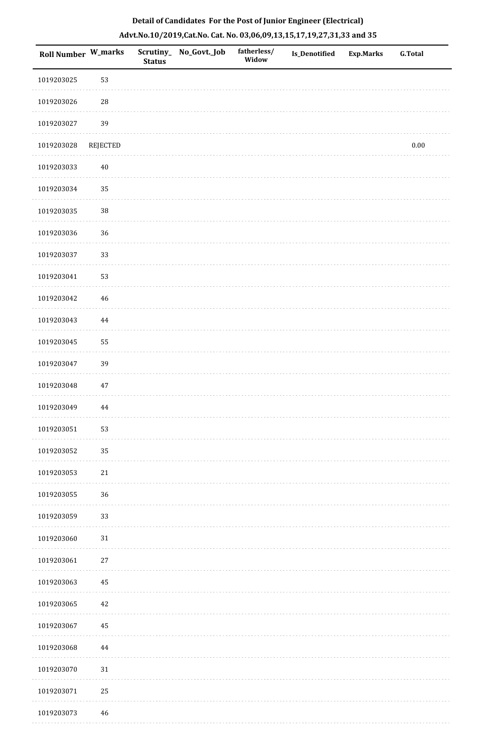| <b>Roll Number W_marks</b> |                 | Scrutiny_<br><b>Status</b> | No_Govt._Job | fatherless/<br>Widow | <b>Is_Denotified</b> | <b>Exp.Marks</b> | <b>G.Total</b> |
|----------------------------|-----------------|----------------------------|--------------|----------------------|----------------------|------------------|----------------|
| 1019203025                 | 53              |                            |              |                      |                      |                  |                |
| 1019203026                 | $28\,$          |                            |              |                      |                      |                  |                |
| 1019203027                 | 39              |                            |              |                      |                      |                  |                |
| 1019203028                 | <b>REJECTED</b> |                            |              |                      |                      |                  | $0.00\,$       |
| 1019203033                 | $40\,$          |                            |              |                      |                      |                  |                |
| 1019203034                 | 35              |                            |              |                      |                      |                  |                |
| 1019203035                 | $38\,$          |                            |              |                      |                      |                  |                |
| 1019203036                 | $36\,$          |                            |              |                      |                      |                  |                |
| 1019203037                 | 33              |                            |              |                      |                      |                  |                |
| 1019203041                 | 53              |                            |              |                      |                      |                  |                |
| 1019203042                 | $\sqrt{46}$     |                            |              |                      |                      |                  |                |
| 1019203043                 | 44              |                            |              |                      |                      |                  |                |
| 1019203045                 | 55              |                            |              |                      |                      |                  |                |
| 1019203047                 | 39              |                            |              |                      |                      |                  |                |
| 1019203048                 | 47              |                            |              |                      |                      |                  |                |
| 1019203049                 | $\bf 44$        |                            |              |                      |                      |                  |                |
| 1019203051                 | 53              |                            |              |                      |                      |                  |                |
| 1019203052                 | 35              |                            |              |                      |                      |                  |                |
| 1019203053                 | 21              |                            |              |                      |                      |                  |                |
| 1019203055                 | $36\,$          |                            |              |                      |                      |                  |                |
| 1019203059                 | 33              |                            |              |                      |                      |                  |                |
| 1019203060                 | $31\,$          |                            |              |                      |                      |                  |                |
| 1019203061                 | $27\,$          |                            |              |                      |                      |                  |                |
| 1019203063                 | 45              |                            |              |                      |                      |                  |                |
| 1019203065                 | $42\,$          |                            |              |                      |                      |                  |                |
| 1019203067                 | $\rm 45$        |                            |              |                      |                      |                  |                |
| 1019203068                 | 44              |                            |              |                      |                      |                  |                |
| 1019203070                 | 31              |                            |              |                      |                      |                  |                |
| 1019203071                 | 25              |                            |              |                      |                      |                  |                |
| 1019203073                 | 46              |                            |              |                      |                      |                  |                |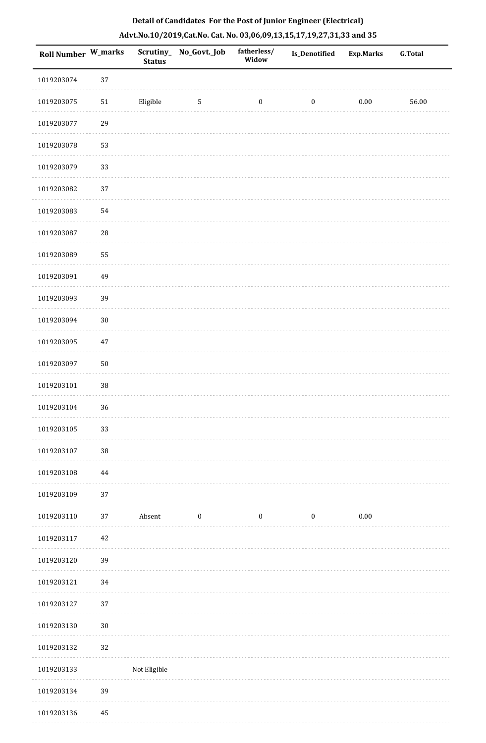| Roll Number W_marks |          | <b>Status</b> | Scrutiny_ No_Govt._Job | fatherless/<br>Widow | Is_Denotified    | <b>Exp.Marks</b> | G.Total |
|---------------------|----------|---------------|------------------------|----------------------|------------------|------------------|---------|
| 1019203074          | 37       |               |                        |                      |                  |                  |         |
| 1019203075          | 51       | Eligible      | $\sqrt{5}$             | $\boldsymbol{0}$     | $\boldsymbol{0}$ | $0.00\,$         | 56.00   |
| 1019203077          | 29       |               |                        |                      |                  |                  |         |
| 1019203078          | 53       |               |                        |                      |                  |                  |         |
| 1019203079          | 33       |               |                        |                      |                  |                  |         |
| 1019203082          | 37       |               |                        |                      |                  |                  |         |
| 1019203083          | 54       |               |                        |                      |                  |                  |         |
| 1019203087          | 28       |               |                        |                      |                  |                  |         |
| 1019203089          | 55       |               |                        |                      |                  |                  |         |
| 1019203091          | 49       |               |                        |                      |                  |                  |         |
| 1019203093          | 39       |               |                        |                      |                  |                  |         |
| 1019203094          | $30\,$   |               |                        |                      |                  |                  |         |
| 1019203095          | $47\,$   |               |                        |                      |                  |                  |         |
| 1019203097          | $50\,$   |               |                        |                      |                  |                  |         |
| 1019203101          | 38       |               |                        |                      |                  |                  |         |
| 1019203104          | 36       |               |                        |                      |                  |                  |         |
| 1019203105          | 33       |               |                        |                      |                  |                  |         |
| 1019203107          | 38       |               |                        |                      |                  |                  |         |
| 1019203108          | $\bf 44$ |               |                        |                      |                  |                  |         |
| 1019203109          | 37       |               |                        |                      |                  |                  |         |
| 1019203110          | 37       | Absent        | $\boldsymbol{0}$       | $\boldsymbol{0}$     | $\boldsymbol{0}$ | $0.00\,$         |         |
| 1019203117          | 42       |               |                        |                      |                  |                  |         |
| 1019203120          | 39       |               |                        |                      |                  |                  |         |
| 1019203121          | 34       |               |                        |                      |                  |                  |         |
| 1019203127          | 37       |               |                        |                      |                  |                  |         |
| 1019203130          | $30\,$   |               |                        |                      |                  |                  |         |
| 1019203132          | 32       |               |                        |                      |                  |                  |         |
| 1019203133          |          | Not Eligible  |                        |                      |                  |                  |         |
| 1019203134          | 39       |               |                        |                      |                  |                  |         |
|                     |          |               |                        |                      |                  |                  |         |

# **Detail of Candidates For the Post of Junior Engineer (Electrical) Advt.No.10/2019,Cat.No. Cat. No. 03,06,09,13,15,17,19,27,31,33 and 35**

 1019203136 45. . . . . . . . . . .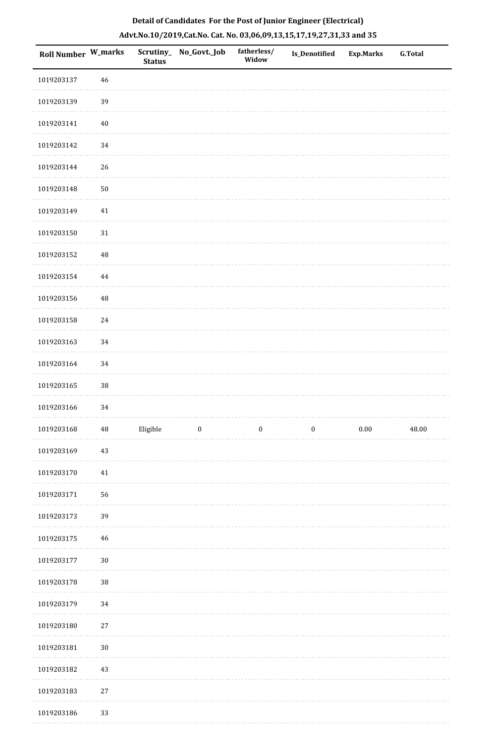| <b>Roll Number W_marks</b> |          | Scrutiny_<br><b>Status</b> | No_Govt._Job            | fatherless/<br>Widow | Is_Denotified | <b>Exp.Marks</b> | <b>G.Total</b> |
|----------------------------|----------|----------------------------|-------------------------|----------------------|---------------|------------------|----------------|
| 1019203137                 | 46       |                            |                         |                      |               |                  |                |
| 1019203139                 | 39       |                            |                         |                      |               |                  |                |
| 1019203141                 | $40\,$   |                            |                         |                      |               |                  |                |
| 1019203142                 | 34       |                            |                         |                      |               |                  |                |
| 1019203144                 | 26       |                            |                         |                      |               |                  |                |
| 1019203148                 | $50\,$   |                            |                         |                      |               |                  |                |
| 1019203149                 | $41\,$   |                            |                         |                      |               |                  |                |
| 1019203150                 | $31\,$   |                            |                         |                      |               |                  |                |
| 1019203152                 | $\rm 48$ |                            |                         |                      |               |                  |                |
| 1019203154                 | $\bf 44$ |                            |                         |                      |               |                  |                |
| 1019203156                 | $\rm 48$ |                            |                         |                      |               |                  |                |
| 1019203158                 | 24       |                            |                         |                      |               |                  |                |
| 1019203163                 | 34       |                            |                         |                      |               |                  |                |
| 1019203164                 | 34       |                            |                         |                      |               |                  |                |
| 1019203165                 | $38\,$   |                            |                         |                      |               |                  |                |
| 1019203166                 | 34       |                            |                         |                      |               |                  |                |
| 1019203168                 | $\rm 48$ | Eligible                   | $\overline{\mathbf{0}}$ | $\bf{0}$             | $\bf{0}$      | 0.00             | 48.00          |
| 1019203169                 | 43       |                            |                         |                      |               |                  |                |
| 1019203170                 | $41\,$   |                            |                         |                      |               |                  |                |
| 1019203171                 | 56       |                            |                         |                      |               |                  |                |
| 1019203173                 | 39       |                            |                         |                      |               |                  |                |
| 1019203175                 | 46       |                            |                         |                      |               |                  |                |
| 1019203177                 | $30\,$   |                            |                         |                      |               |                  |                |
| 1019203178                 | $38\,$   |                            |                         |                      |               |                  |                |
| 1019203179                 | 34       |                            |                         |                      |               |                  |                |
| 1019203180                 | $27\,$   |                            |                         |                      |               |                  |                |
| 1019203181                 | $30\,$   |                            |                         |                      |               |                  |                |
| 1019203182                 | 43       |                            |                         |                      |               |                  |                |
| 1019203183                 | $27\,$   |                            |                         |                      |               |                  |                |
| 1019203186                 | 33       |                            |                         |                      |               |                  |                |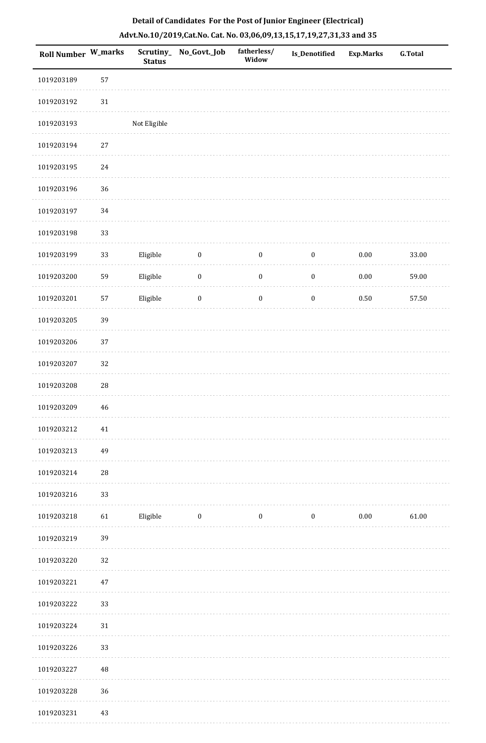|  | Detail of Candidates For the Post of Junior Engineer (Electrical)     |  |
|--|-----------------------------------------------------------------------|--|
|  | Advt.No.10/2019,Cat.No. Cat. No. 03,06,09,13,15,17,19,27,31,33 and 35 |  |

| <b>Roll Number W_marks</b> |            | Scrutiny_<br><b>Status</b> | No_Govt._Job     | fatherless/<br>Widow | <b>Is_Denotified</b> | <b>Exp.Marks</b> | <b>G.Total</b> |
|----------------------------|------------|----------------------------|------------------|----------------------|----------------------|------------------|----------------|
| 1019203189                 | 57         |                            |                  |                      |                      |                  |                |
| 1019203192                 | $31\,$     |                            |                  |                      |                      |                  |                |
| 1019203193                 |            | Not Eligible               |                  |                      |                      |                  |                |
| 1019203194                 | $27\,$     |                            |                  |                      |                      |                  |                |
| 1019203195                 | 24         |                            |                  |                      |                      |                  |                |
| 1019203196                 | 36         |                            |                  |                      |                      |                  |                |
| 1019203197                 | $34\,$     |                            |                  |                      |                      |                  |                |
| 1019203198                 | 33         |                            |                  |                      |                      |                  |                |
| 1019203199                 | 33         | Eligible                   | $\boldsymbol{0}$ | $\boldsymbol{0}$     | $\boldsymbol{0}$     | 0.00             | 33.00          |
| 1019203200                 | 59         | Eligible                   | $\boldsymbol{0}$ | $\boldsymbol{0}$     | $\boldsymbol{0}$     | 0.00             | 59.00          |
| 1019203201                 | 57         | Eligible                   | $\boldsymbol{0}$ | $\boldsymbol{0}$     | $\boldsymbol{0}$     | $0.50\,$         | 57.50          |
| 1019203205                 | 39         |                            |                  |                      |                      |                  |                |
| 1019203206                 | 37         |                            |                  |                      |                      |                  |                |
| 1019203207                 | 32         |                            |                  |                      |                      |                  |                |
| 1019203208                 | ${\bf 28}$ |                            |                  |                      |                      |                  |                |
| 1019203209                 | 46         |                            |                  |                      |                      |                  |                |
| 1019203212                 | 41         |                            |                  |                      |                      |                  |                |
| 1019203213                 | 49         |                            |                  |                      |                      |                  |                |
| 1019203214                 | ${\bf 28}$ |                            |                  |                      |                      |                  |                |
| 1019203216                 | 33         |                            |                  |                      |                      |                  |                |
| 1019203218                 | 61         | Eligible                   | $\bf{0}$         | $\boldsymbol{0}$     | $\boldsymbol{0}$     | $0.00\,$         | 61.00          |
| 1019203219                 | 39         |                            |                  |                      |                      |                  |                |
| 1019203220                 | 32         |                            |                  |                      |                      |                  |                |
| 1019203221                 | 47         |                            |                  |                      |                      |                  |                |
| 1019203222                 | 33         |                            |                  |                      |                      |                  |                |
| 1019203224                 | 31         |                            |                  |                      |                      |                  |                |
| 1019203226                 | 33         |                            |                  |                      |                      |                  |                |
| 1019203227                 | 48         |                            |                  |                      |                      |                  |                |
| 1019203228                 | 36         |                            |                  |                      |                      |                  |                |
| 1019203231                 | 43         |                            |                  |                      |                      |                  |                |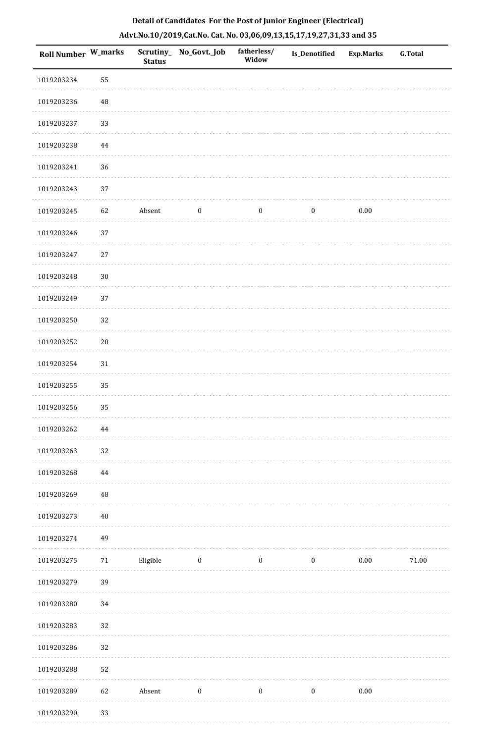| <b>Roll Number W_marks</b> |          | <b>Status</b> | Scrutiny_No_Govt._Job | fatherless/<br>Widow | Is_Denotified    | <b>Exp.Marks</b> | <b>G.Total</b> |
|----------------------------|----------|---------------|-----------------------|----------------------|------------------|------------------|----------------|
| 1019203234                 | 55       |               |                       |                      |                  |                  |                |
| 1019203236                 | 48       |               |                       |                      |                  |                  |                |
| 1019203237                 | 33       |               |                       |                      |                  |                  |                |
| 1019203238                 | $\bf 44$ |               |                       |                      |                  |                  |                |
| 1019203241                 | 36       |               |                       |                      |                  |                  |                |
| 1019203243                 | 37       |               |                       |                      |                  |                  |                |
| 1019203245                 | 62       | Absent        | $\boldsymbol{0}$      | $\boldsymbol{0}$     | $\boldsymbol{0}$ | $0.00\,$         |                |
| 1019203246                 | 37       |               |                       |                      |                  |                  |                |
| 1019203247                 | $27\,$   |               |                       |                      |                  |                  |                |
| 1019203248                 | $30\,$   |               |                       |                      |                  |                  |                |
| 1019203249                 | 37       |               |                       |                      |                  |                  |                |
| 1019203250                 | 32       |               |                       |                      |                  |                  |                |
| 1019203252                 | $20\,$   |               |                       |                      |                  |                  |                |
| 1019203254                 | $31\,$   |               |                       |                      |                  |                  |                |
| 1019203255                 | 35       |               |                       |                      |                  |                  |                |
| 1019203256                 | 35       |               |                       |                      |                  |                  |                |
| 1019203262                 | $\bf 44$ |               |                       |                      |                  |                  |                |
| 1019203263                 | 32       |               |                       |                      |                  |                  |                |
| 1019203268                 | $\bf 44$ |               |                       |                      |                  |                  |                |
| 1019203269                 | 48       |               |                       |                      |                  |                  |                |
| 1019203273                 | 40       |               |                       |                      |                  |                  |                |
| 1019203274                 | 49       |               |                       |                      |                  |                  |                |
| 1019203275                 | 71       | Eligible      | $\bf{0}$              | $\boldsymbol{0}$     | $\boldsymbol{0}$ | $0.00\,$         | $71.00\,$      |
| 1019203279                 | 39       |               |                       |                      |                  |                  |                |
| 1019203280                 | 34       |               |                       |                      |                  |                  |                |
| 1019203283                 | $32\,$   |               |                       |                      |                  |                  |                |
| 1019203286                 | 32       |               |                       |                      |                  |                  |                |
| 1019203288                 | 52       |               |                       |                      |                  |                  |                |
| 1019203289                 | 62       | Absent        | $\boldsymbol{0}$      | $\boldsymbol{0}$     | $\boldsymbol{0}$ | $0.00\,$         |                |
| 1010202200                 | 22       |               |                       |                      |                  |                  |                |

 1019203290 33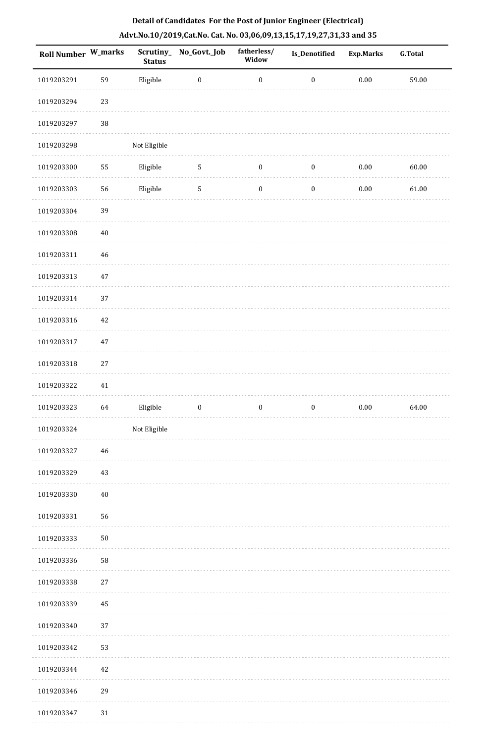| <b>Roll Number W_marks</b> |            | <b>Status</b> | Scrutiny_No_Govt._Job | fatherless/<br>Widow | <b>Is_Denotified</b> | <b>Exp.Marks</b> | <b>G.Total</b> |
|----------------------------|------------|---------------|-----------------------|----------------------|----------------------|------------------|----------------|
| 1019203291                 | 59         | Eligible      | $\boldsymbol{0}$      | $\boldsymbol{0}$     | $\boldsymbol{0}$     | $0.00\,$         | 59.00          |
| 1019203294                 | 23         |               |                       |                      |                      |                  |                |
| 1019203297                 | $38\,$     |               |                       |                      |                      |                  |                |
| 1019203298                 |            | Not Eligible  |                       |                      |                      |                  |                |
| 1019203300                 | 55         | Eligible      | $\sqrt{5}$            | $\boldsymbol{0}$     | $\boldsymbol{0}$     | $0.00\,$         | 60.00          |
| 1019203303                 | 56         | Eligible      | $\sqrt{5}$            | $\boldsymbol{0}$     | $\boldsymbol{0}$     | $0.00\,$         | 61.00          |
| 1019203304                 | 39         |               |                       |                      |                      |                  |                |
| 1019203308                 | 40         |               |                       |                      |                      |                  |                |
| 1019203311                 | 46         |               |                       |                      |                      |                  |                |
| 1019203313                 | $47\,$     |               |                       |                      |                      |                  |                |
| 1019203314                 | 37         |               |                       |                      |                      |                  |                |
| 1019203316                 | 42         |               |                       |                      |                      |                  |                |
| 1019203317                 | $47\,$     |               |                       |                      |                      |                  |                |
| 1019203318                 | 27         |               |                       |                      |                      |                  |                |
| 1019203322                 | $41\,$     |               |                       |                      |                      |                  |                |
| 1019203323                 | 64         | Eligible      | $\boldsymbol{0}$      | $\boldsymbol{0}$     | $\boldsymbol{0}$     | $0.00\,$         | 64.00          |
| 1019203324                 |            | Not Eligible  |                       |                      |                      |                  |                |
| 1019203327                 | 46         |               |                       |                      |                      |                  |                |
| 1019203329                 | 43         |               |                       |                      |                      |                  |                |
| 1019203330                 | 40         |               |                       |                      |                      |                  |                |
| 1019203331                 | 56         |               |                       |                      |                      |                  |                |
| 1019203333                 | ${\bf 50}$ |               |                       |                      |                      |                  |                |
| 1019203336                 | 58         |               |                       |                      |                      |                  |                |
| 1019203338                 | $27\,$     |               |                       |                      |                      |                  |                |
| 1019203339                 | 45         |               |                       |                      |                      |                  |                |
| 1019203340                 | 37         |               |                       |                      |                      |                  |                |
| 1019203342                 | 53         |               |                       |                      |                      |                  |                |
| 1019203344                 | 42         |               |                       |                      |                      |                  |                |
| 1019203346                 | 29         |               |                       |                      |                      |                  |                |
| 1019203347                 | $31\,$     |               |                       |                      |                      |                  |                |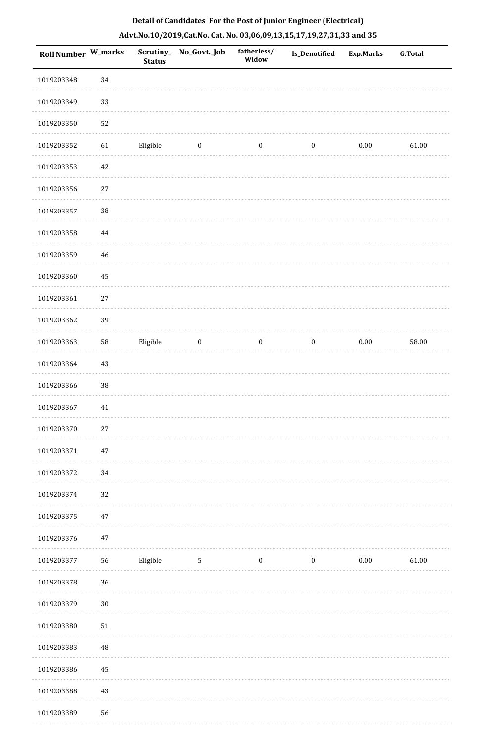| <b>Roll Number W_marks</b> |          | <b>Status</b> | Scrutiny_No_Govt._Job | fatherless/<br>Widow | Is_Denotified    | <b>Exp.Marks</b> | G.Total |
|----------------------------|----------|---------------|-----------------------|----------------------|------------------|------------------|---------|
| 1019203348                 | 34       |               |                       |                      |                  |                  |         |
| 1019203349                 | 33       |               |                       |                      |                  |                  |         |
| 1019203350                 | 52       |               |                       |                      |                  |                  |         |
| 1019203352                 | 61       | Eligible      | $\boldsymbol{0}$      | $\boldsymbol{0}$     | $\boldsymbol{0}$ | $0.00\,$         | 61.00   |
| 1019203353                 | 42       |               |                       |                      |                  |                  |         |
| 1019203356                 | $27\,$   |               |                       |                      |                  |                  |         |
| 1019203357                 | $38\,$   |               |                       |                      |                  |                  |         |
| 1019203358                 | 44       |               |                       |                      |                  |                  |         |
| 1019203359                 | 46       |               |                       |                      |                  |                  |         |
| 1019203360                 | 45       |               |                       |                      |                  |                  |         |
| 1019203361                 | $27\,$   |               |                       |                      |                  |                  |         |
| 1019203362                 | 39       |               |                       |                      |                  |                  |         |
| 1019203363                 | 58       | Eligible      | $\boldsymbol{0}$      | $\bf{0}$             | $\boldsymbol{0}$ | $0.00\,$         | 58.00   |
| 1019203364                 | $43\,$   |               |                       |                      |                  |                  |         |
| 1019203366                 | 38       |               |                       |                      |                  |                  |         |
| 1019203367                 | $41\,$   |               |                       |                      |                  |                  |         |
| 1019203370                 | $27\,$   |               |                       |                      |                  |                  |         |
| 1019203371                 | 47       |               |                       |                      |                  |                  |         |
| 1019203372                 | 34       |               |                       |                      |                  |                  |         |
| 1019203374                 | 32       |               |                       |                      |                  |                  |         |
| 1019203375                 | $47\,$   |               |                       |                      |                  |                  |         |
| 1019203376                 | 47       |               |                       |                      |                  |                  |         |
| 1019203377                 | 56       | Eligible      | $\overline{5}$        | $\boldsymbol{0}$     | $\boldsymbol{0}$ | $0.00\,$         | 61.00   |
| 1019203378                 | 36       |               |                       |                      |                  |                  |         |
| 1019203379                 | $30\,$   |               |                       |                      |                  |                  |         |
| 1019203380                 | $51\,$   |               |                       |                      |                  |                  |         |
| 1019203383                 | $\rm 48$ |               |                       |                      |                  |                  |         |
| 1019203386                 | 45       |               |                       |                      |                  |                  |         |
| 1019203388                 | $43\,$   |               |                       |                      |                  |                  |         |
| 1019203389                 | 56       |               |                       |                      |                  |                  |         |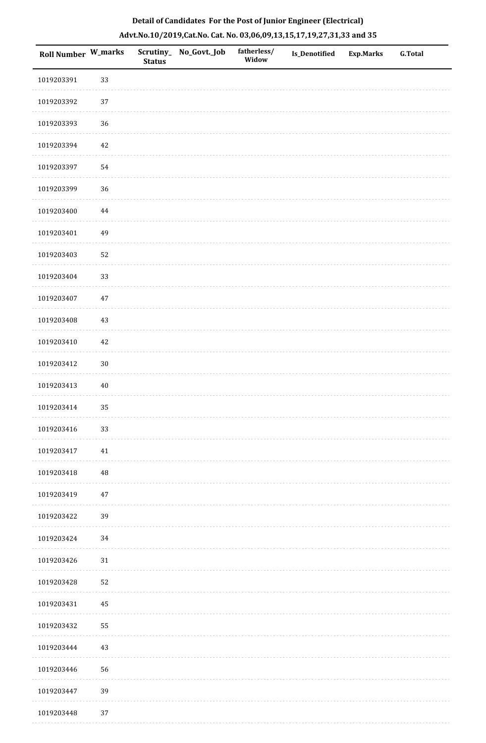| Roll Number W_marks |          | <b>Status</b> | Scrutiny_ No_Govt._Job | fatherless/<br>Widow | Is_Denotified | <b>Exp.Marks</b> | G.Total |
|---------------------|----------|---------------|------------------------|----------------------|---------------|------------------|---------|
| 1019203391          | 33       |               |                        |                      |               |                  |         |
| 1019203392          | 37       |               |                        |                      |               |                  |         |
| 1019203393          | 36       |               |                        |                      |               |                  |         |
| 1019203394          | 42       |               |                        |                      |               |                  |         |
| 1019203397          | 54       |               |                        |                      |               |                  |         |
| 1019203399          | 36       |               |                        |                      |               |                  |         |
| 1019203400          | $\bf 44$ |               |                        |                      |               |                  |         |
| 1019203401          | 49       |               |                        |                      |               |                  |         |
| 1019203403          | 52       |               |                        |                      |               |                  |         |
| 1019203404          | 33       |               |                        |                      |               |                  |         |
| 1019203407          | $47\,$   |               |                        |                      |               |                  |         |
| 1019203408          | $43\,$   |               |                        |                      |               |                  |         |
| 1019203410          | 42       |               |                        |                      |               |                  |         |
| 1019203412          | $30\,$   |               |                        |                      |               |                  |         |
| 1019203413          | $40\,$   |               |                        |                      |               |                  |         |
| 1019203414          | 35       |               |                        |                      |               |                  |         |
| 1019203416          | 33       |               |                        |                      |               |                  |         |
| 1019203417          | 41       |               |                        |                      |               |                  |         |
| 1019203418          | 48       |               |                        |                      |               |                  |         |
| 1019203419          | 47       |               |                        |                      |               |                  |         |
| 1019203422          | 39       |               |                        |                      |               |                  |         |
| 1019203424          | 34       |               |                        |                      |               |                  |         |
| 1019203426          | 31       |               |                        |                      |               |                  |         |
| 1019203428          | 52       |               |                        |                      |               |                  |         |
| 1019203431          | 45       |               |                        |                      |               |                  |         |
| 1019203432          | 55       |               |                        |                      |               |                  |         |
| 1019203444          | 43       |               |                        |                      |               |                  |         |
| 1019203446          | 56       |               |                        |                      |               |                  |         |
| 1019203447          | 39       |               |                        |                      |               |                  |         |
| 1019203448          | 37       |               |                        |                      |               |                  |         |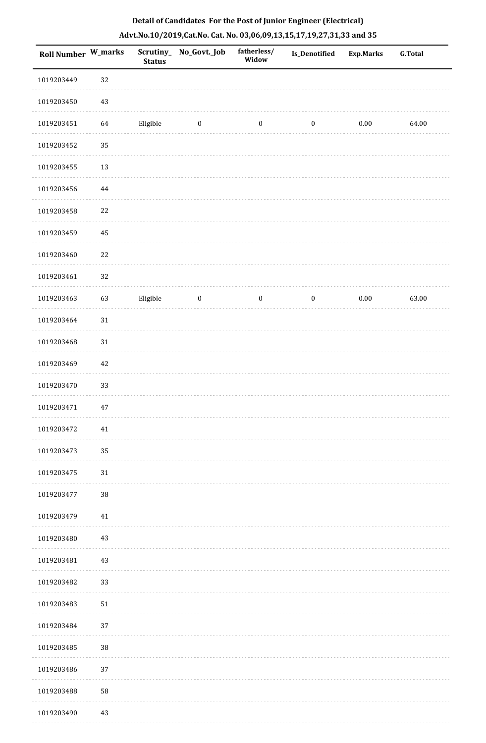| Detail of Candidates For the Post of Junior Engineer (Electrical)     |
|-----------------------------------------------------------------------|
| Advt.No.10/2019,Cat.No. Cat. No. 03,06,09,13,15,17,19,27,31,33 and 35 |

| <b>Roll Number W_marks</b> |          | Scrutiny_<br><b>Status</b> | No_Govt._Job     | fatherless/<br>Widow | Is_Denotified    | <b>Exp.Marks</b> | <b>G.Total</b> |
|----------------------------|----------|----------------------------|------------------|----------------------|------------------|------------------|----------------|
| 1019203449                 | 32       |                            |                  |                      |                  |                  |                |
| 1019203450                 | $43\,$   |                            |                  |                      |                  |                  |                |
| 1019203451                 | 64       | Eligible                   | $\bf{0}$         | $\boldsymbol{0}$     | $\boldsymbol{0}$ | $0.00\,$         | 64.00          |
| 1019203452                 | 35       |                            |                  |                      |                  |                  |                |
| 1019203455                 | 13       |                            |                  |                      |                  |                  |                |
| 1019203456                 | $\bf 44$ |                            |                  |                      |                  |                  |                |
| 1019203458                 | $22\,$   |                            |                  |                      |                  |                  |                |
| 1019203459                 | $\rm 45$ |                            |                  |                      |                  |                  |                |
| 1019203460                 | $22\,$   |                            |                  |                      |                  |                  |                |
| 1019203461                 | 32       |                            |                  |                      |                  |                  |                |
| 1019203463                 | 63       | Eligible                   | $\boldsymbol{0}$ | $\boldsymbol{0}$     | $\boldsymbol{0}$ | 0.00             | 63.00          |
| 1019203464                 | $31\,$   |                            |                  |                      |                  |                  |                |
| 1019203468                 | $31\,$   |                            |                  |                      |                  |                  |                |
| 1019203469                 | $42\,$   |                            |                  |                      |                  |                  |                |
| 1019203470                 | 33       |                            |                  |                      |                  |                  |                |
| 1019203471                 | $47\,$   |                            |                  |                      |                  |                  |                |
| 1019203472                 | 41       |                            |                  |                      |                  |                  |                |
| 1019203473                 | 35       |                            |                  |                      |                  |                  |                |
| 1019203475                 | $31\,$   |                            |                  |                      |                  |                  |                |
| 1019203477                 | $38\,$   |                            |                  |                      |                  |                  |                |
| 1019203479                 | 41       |                            |                  |                      |                  |                  |                |
| 1019203480                 | 43       |                            |                  |                      |                  |                  |                |
| 1019203481                 | $43\,$   |                            |                  |                      |                  |                  |                |
| 1019203482                 | 33       |                            |                  |                      |                  |                  |                |
| 1019203483                 | 51       |                            |                  |                      |                  |                  |                |
| 1019203484                 | 37       |                            |                  |                      |                  |                  |                |
| 1019203485                 | $38\,$   |                            |                  |                      |                  |                  |                |
| 1019203486                 | 37       |                            |                  |                      |                  |                  |                |
| 1019203488                 | 58       |                            |                  |                      |                  |                  |                |
| 1019203490                 | $43\,$   |                            |                  |                      |                  |                  |                |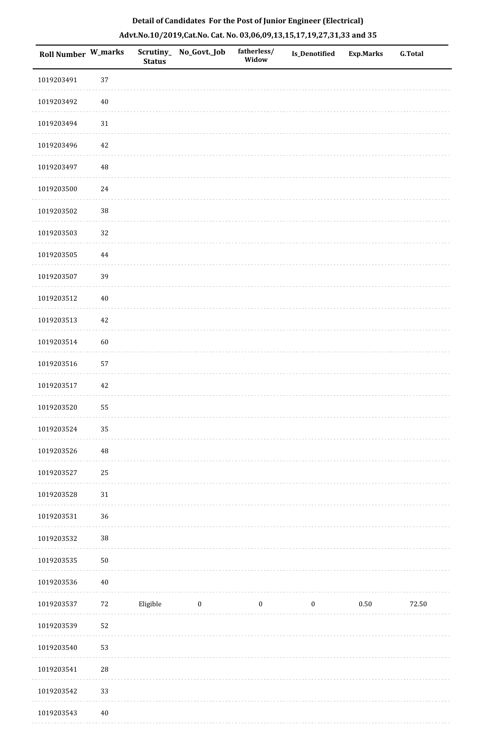| Roll Number W_marks |             | <b>Status</b> | Scrutiny_ No_Govt._Job | fatherless/<br>Widow | Is_Denotified    | Exp.Marks | G.Total |
|---------------------|-------------|---------------|------------------------|----------------------|------------------|-----------|---------|
| 1019203491          | 37          |               |                        |                      |                  |           |         |
| 1019203492          | $40\,$      |               |                        |                      |                  |           |         |
| 1019203494          | 31          |               |                        |                      |                  |           |         |
| 1019203496          | 42          |               |                        |                      |                  |           |         |
| 1019203497          | $\rm 48$    |               |                        |                      |                  |           |         |
| 1019203500          | 24          |               |                        |                      |                  |           |         |
| 1019203502          | $38\,$      |               |                        |                      |                  |           |         |
| 1019203503          | $32\,$      |               |                        |                      |                  |           |         |
| 1019203505          | $\bf 44$    |               |                        |                      |                  |           |         |
| 1019203507          | 39          |               |                        |                      |                  |           |         |
| 1019203512          | $40\,$      |               |                        |                      |                  |           |         |
| 1019203513          | $42\,$      |               |                        |                      |                  |           |         |
| 1019203514          | 60          |               |                        |                      |                  |           |         |
| 1019203516          | 57          |               |                        |                      |                  |           |         |
| 1019203517          | 42          |               |                        |                      |                  |           |         |
| 1019203520          | 55          |               |                        |                      |                  |           |         |
| 1019203524          | 35          |               |                        |                      |                  |           |         |
| 1019203526          | $\sqrt{48}$ |               |                        |                      |                  |           |         |
| 1019203527          | 25          |               |                        |                      |                  |           |         |
| 1019203528          | 31          |               |                        |                      |                  |           |         |
| 1019203531          | 36          |               |                        |                      |                  |           |         |
| 1019203532          | $38\,$      |               |                        |                      |                  |           |         |
| 1019203535          | $50\,$      |               |                        |                      |                  |           |         |
| 1019203536          | $40\,$      |               |                        |                      |                  |           |         |
| 1019203537          | 72          | Eligible      | $\boldsymbol{0}$       | $\boldsymbol{0}$     | $\boldsymbol{0}$ | $0.50\,$  | 72.50   |
| 1019203539          | 52          |               |                        |                      |                  |           |         |
| 1019203540          | 53          |               |                        |                      |                  |           |         |
| 1019203541          | $28\,$      |               |                        |                      |                  |           |         |
| 1019203542          | 33          |               |                        |                      |                  |           |         |

1019203543 40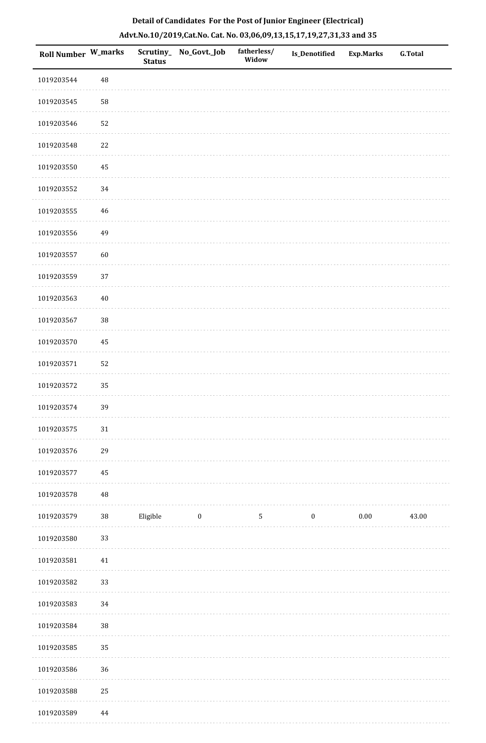| Roll Number W_marks |          | <b>Status</b> | Scrutiny_ No_Govt._Job | fatherless/<br>Widow | Is_Denotified    | Exp.Marks | G.Total |
|---------------------|----------|---------------|------------------------|----------------------|------------------|-----------|---------|
| 1019203544          | $\rm 48$ |               |                        |                      |                  |           |         |
| 1019203545          | 58       |               |                        |                      |                  |           |         |
| 1019203546          | 52       |               |                        |                      |                  |           |         |
| 1019203548          | 22       |               |                        |                      |                  |           |         |
| 1019203550          | 45       |               |                        |                      |                  |           |         |
| 1019203552          | 34       |               |                        |                      |                  |           |         |
| 1019203555          | 46       |               |                        |                      |                  |           |         |
| 1019203556          | 49       |               |                        |                      |                  |           |         |
| 1019203557          | 60       |               |                        |                      |                  |           |         |
| 1019203559          | 37       |               |                        |                      |                  |           |         |
| 1019203563          | $40\,$   |               |                        |                      |                  |           |         |
| 1019203567          | $38\,$   |               |                        |                      |                  |           |         |
| 1019203570          | 45       |               |                        |                      |                  |           |         |
| 1019203571          | 52       |               |                        |                      |                  |           |         |
| 1019203572          | 35       |               |                        |                      |                  |           |         |
| 1019203574          | 39       |               |                        |                      |                  |           |         |
| 1019203575          | $31\,$   |               |                        |                      |                  |           |         |
| 1019203576          | 29       |               |                        |                      |                  |           |         |
| 1019203577          | 45       |               |                        |                      |                  |           |         |
| 1019203578          | $\rm 48$ |               |                        |                      |                  |           |         |
| 1019203579          | $38\,$   | Eligible      | $\boldsymbol{0}$       | $\mathsf S$          | $\boldsymbol{0}$ | $0.00\,$  | 43.00   |
| 1019203580          | 33       |               |                        |                      |                  |           |         |
| 1019203581          | $41\,$   |               |                        |                      |                  |           |         |
| 1019203582          | 33       |               |                        |                      |                  |           |         |
| 1019203583          | 34       |               |                        |                      |                  |           |         |
| 1019203584          | $38\,$   |               |                        |                      |                  |           |         |
| 1019203585          | 35       |               |                        |                      |                  |           |         |
| 1019203586          | 36       |               |                        |                      |                  |           |         |
| 1019203588          | $25\,$   |               |                        |                      |                  |           |         |
|                     |          |               |                        |                      |                  |           |         |

# **Detail of Candidates For the Post of Junior Engineer (Electrical) Advt.No.10/2019,Cat.No. Cat. No. 03,06,09,13,15,17,19,27,31,33 and 35**

 1019203589 44. . . . . . . . . . .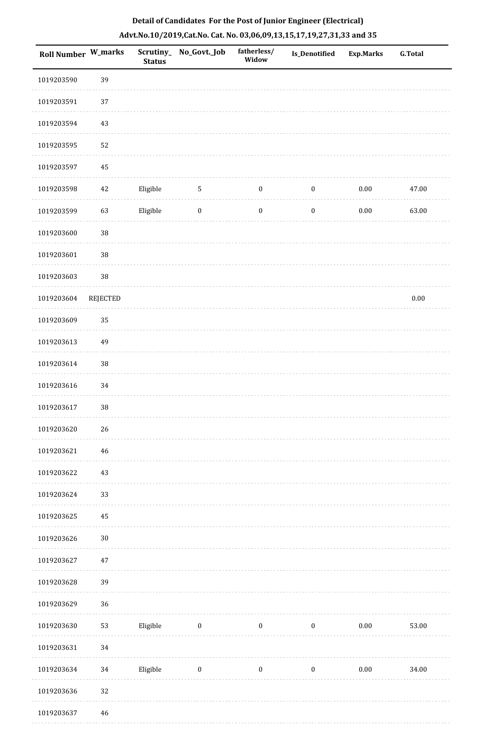| Roll Number W_marks |          | Scrutiny_<br><b>Status</b> | No_Govt._Job     | fatherless/<br>Widow | Is_Denotified    | <b>Exp.Marks</b> | <b>G.Total</b> |
|---------------------|----------|----------------------------|------------------|----------------------|------------------|------------------|----------------|
| 1019203590          | 39       |                            |                  |                      |                  |                  |                |
| 1019203591          | 37       |                            |                  |                      |                  |                  |                |
| 1019203594          | 43       |                            |                  |                      |                  |                  |                |
| 1019203595          | 52       |                            |                  |                      |                  |                  |                |
| 1019203597          | $\rm 45$ |                            |                  |                      |                  |                  |                |
| 1019203598          | $42\,$   | Eligible                   | 5                | $\boldsymbol{0}$     | $\boldsymbol{0}$ | $0.00\,$         | 47.00          |
| 1019203599          | 63       | Eligible                   | $\boldsymbol{0}$ | $\boldsymbol{0}$     | $\boldsymbol{0}$ | $0.00\,$         | 63.00          |
| 1019203600          | $38\,$   |                            |                  |                      |                  |                  |                |
| 1019203601          | 38       |                            |                  |                      |                  |                  |                |
| 1019203603          | 38       |                            |                  |                      |                  |                  |                |
| 1019203604          | REJECTED |                            |                  |                      |                  |                  | $0.00\,$       |
| 1019203609          | 35       |                            |                  |                      |                  |                  |                |
| 1019203613          | 49       |                            |                  |                      |                  |                  |                |
| 1019203614          | $38\,$   |                            |                  |                      |                  |                  |                |
| 1019203616          | 34       |                            |                  |                      |                  |                  |                |
| 1019203617          | 38       |                            |                  |                      |                  |                  |                |
| 1019203620          | $26\,$   |                            |                  |                      |                  |                  |                |
| 1019203621          | 46       |                            |                  |                      |                  |                  |                |
| 1019203622          | 43       |                            |                  |                      |                  |                  |                |
| 1019203624          | 33       |                            |                  |                      |                  |                  |                |
| 1019203625          | 45       |                            |                  |                      |                  |                  |                |
| 1019203626          | $30\,$   |                            |                  |                      |                  |                  |                |
| 1019203627          | 47       |                            |                  |                      |                  |                  |                |
| 1019203628          | 39       |                            |                  |                      |                  |                  |                |
| 1019203629          | 36       |                            |                  |                      |                  |                  |                |
| 1019203630          | 53       | Eligible                   | $\boldsymbol{0}$ | $\boldsymbol{0}$     | $\boldsymbol{0}$ | $0.00\,$         | 53.00          |
| 1019203631          | 34       |                            |                  |                      |                  |                  |                |
| 1019203634          | $34\,$   | Eligible                   | $\boldsymbol{0}$ | $\boldsymbol{0}$     | $\boldsymbol{0}$ | $0.00\,$         | 34.00          |
| 1019203636          | 32       |                            |                  |                      |                  |                  |                |
|                     |          |                            |                  |                      |                  |                  |                |

1019203637 46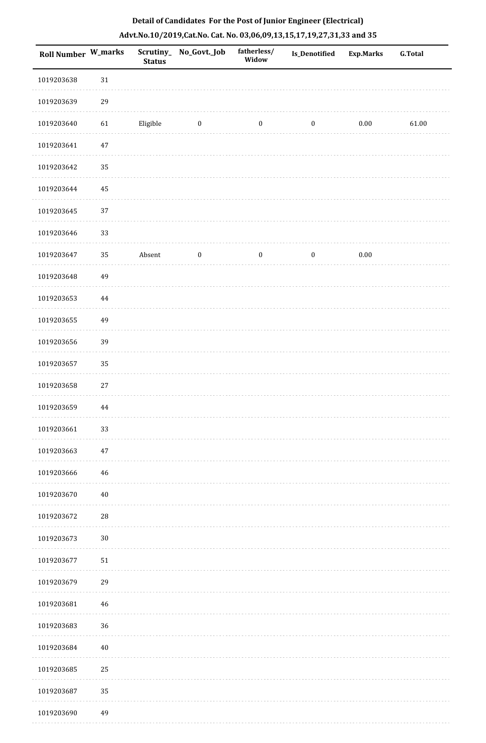| Roll Number W_marks |            | <b>Status</b> | Scrutiny_ No_Govt._Job | fatherless/<br>Widow | Is_Denotified    | <b>Exp.Marks</b> | <b>G.Total</b> |
|---------------------|------------|---------------|------------------------|----------------------|------------------|------------------|----------------|
| 1019203638          | $31\,$     |               |                        |                      |                  |                  |                |
| 1019203639          | 29         |               |                        |                      |                  |                  |                |
| 1019203640          | 61         | Eligible      | $\boldsymbol{0}$       | $\boldsymbol{0}$     | $\boldsymbol{0}$ | $0.00\,$         | 61.00          |
| 1019203641          | $47\,$     |               |                        |                      |                  |                  |                |
| 1019203642          | 35         |               |                        |                      |                  |                  |                |
| 1019203644          | 45         |               |                        |                      |                  |                  |                |
| 1019203645          | 37         |               |                        |                      |                  |                  |                |
| 1019203646          | 33         |               |                        |                      |                  |                  |                |
| 1019203647          | 35         | Absent        | $\boldsymbol{0}$       | $\boldsymbol{0}$     | $\boldsymbol{0}$ | $0.00\,$         |                |
| 1019203648          | 49         |               |                        |                      |                  |                  |                |
| 1019203653          | $\bf 44$   |               |                        |                      |                  |                  |                |
| 1019203655          | 49         |               |                        |                      |                  |                  |                |
| 1019203656          | 39         |               |                        |                      |                  |                  |                |
| 1019203657          | 35         |               |                        |                      |                  |                  |                |
| 1019203658          | $27\,$     |               |                        |                      |                  |                  |                |
| 1019203659          | $\bf 44$   |               |                        |                      |                  |                  |                |
| 1019203661          | 33         |               |                        |                      |                  |                  |                |
| 1019203663          | $47\,$     |               |                        |                      |                  |                  |                |
| 1019203666          | $46\,$     |               |                        |                      |                  |                  |                |
| 1019203670          | $40\,$     |               |                        |                      |                  |                  |                |
| 1019203672          | ${\bf 28}$ |               |                        |                      |                  |                  |                |
| 1019203673          | $30\,$     |               |                        |                      |                  |                  |                |
| 1019203677          | $51\,$     |               |                        |                      |                  |                  |                |
| 1019203679          | 29         |               |                        |                      |                  |                  |                |
| 1019203681          | $46\,$     |               |                        |                      |                  |                  |                |
| 1019203683          | 36         |               |                        |                      |                  |                  |                |
| 1019203684          | $40\,$     |               |                        |                      |                  |                  |                |
| 1019203685          | 25         |               |                        |                      |                  |                  |                |
| 1019203687          | 35         |               |                        |                      |                  |                  |                |
| 1019203690          | 49         |               |                        |                      |                  |                  |                |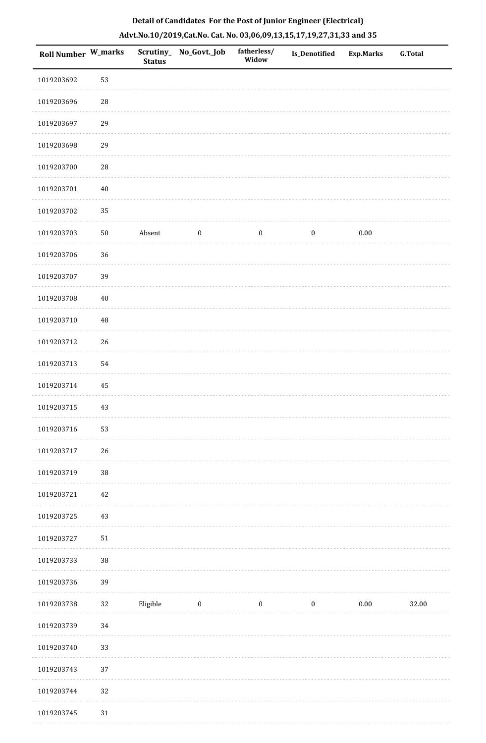|  | Detail of Candidates For the Post of Junior Engineer (Electrical)     |  |
|--|-----------------------------------------------------------------------|--|
|  | Advt.No.10/2019,Cat.No. Cat. No. 03,06,09,13,15,17,19,27,31,33 and 35 |  |

| <b>Roll Number W_marks</b> |            | <b>Status</b> | Scrutiny_ No_Govt._Job | fatherless/<br>Widow | Is_Denotified    | <b>Exp.Marks</b> | <b>G.Total</b> |
|----------------------------|------------|---------------|------------------------|----------------------|------------------|------------------|----------------|
| 1019203692                 | 53         |               |                        |                      |                  |                  |                |
| 1019203696                 | ${\bf 28}$ |               |                        |                      |                  |                  |                |
| 1019203697                 | 29         |               |                        |                      |                  |                  |                |
| 1019203698                 | 29         |               |                        |                      |                  |                  |                |
| 1019203700                 | ${\bf 28}$ |               |                        |                      |                  |                  |                |
| 1019203701                 | $40\,$     |               |                        |                      |                  |                  |                |
| 1019203702                 | 35         |               |                        |                      |                  |                  |                |
| 1019203703                 | $50\,$     | Absent        | $\boldsymbol{0}$       | $\boldsymbol{0}$     | $\boldsymbol{0}$ | 0.00             |                |
| 1019203706                 | 36         |               |                        |                      |                  |                  |                |
| 1019203707                 | 39         |               |                        |                      |                  |                  |                |
| 1019203708                 | $40\,$     |               |                        |                      |                  |                  |                |
| 1019203710                 | 48         |               |                        |                      |                  |                  |                |
| 1019203712                 | 26         |               |                        |                      |                  |                  |                |
| 1019203713                 | 54         |               |                        |                      |                  |                  |                |
| 1019203714                 | 45         |               |                        |                      |                  |                  |                |
| 1019203715                 | 43         |               |                        |                      |                  |                  |                |
| 1019203716                 | 53         |               |                        |                      |                  |                  |                |
| 1019203717                 | 26         |               |                        |                      |                  |                  |                |
| 1019203719                 | $38\,$     |               |                        |                      |                  |                  |                |
| 1019203721                 | $42\,$     |               |                        |                      |                  |                  |                |
| 1019203725                 | $43\,$     |               |                        |                      |                  |                  |                |
| 1019203727                 | $51\,$     |               |                        |                      |                  |                  |                |
| 1019203733                 | 38         |               |                        |                      |                  |                  |                |
| 1019203736                 | 39         |               |                        |                      |                  |                  |                |
| 1019203738                 | $32\,$     | Eligible      | $\bf{0}$               | $\boldsymbol{0}$     | $\boldsymbol{0}$ | $0.00\,$         | 32.00          |
| 1019203739                 | 34         |               |                        |                      |                  |                  |                |
| 1019203740                 | 33         |               |                        |                      |                  |                  |                |
| 1019203743                 | 37         |               |                        |                      |                  |                  |                |
| 1019203744                 | 32         |               |                        |                      |                  |                  |                |
| 1019203745                 | 31         |               |                        |                      |                  |                  |                |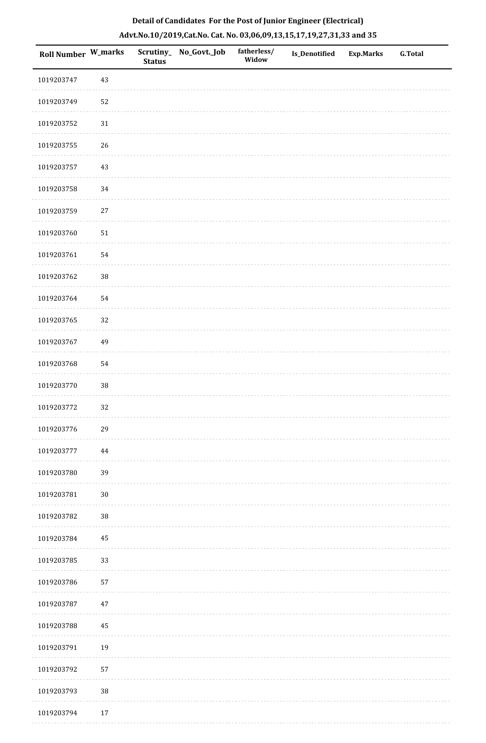| Roll Number W_marks |          | <b>Status</b> | Scrutiny_ No_Govt._Job | fatherless/<br>Widow | Is_Denotified | <b>Exp.Marks</b> | G.Total |
|---------------------|----------|---------------|------------------------|----------------------|---------------|------------------|---------|
| 1019203747          | $43\,$   |               |                        |                      |               |                  |         |
| 1019203749          | 52       |               |                        |                      |               |                  |         |
| 1019203752          | $31\,$   |               |                        |                      |               |                  |         |
| 1019203755          | $26\,$   |               |                        |                      |               |                  |         |
| 1019203757          | $43\,$   |               |                        |                      |               |                  |         |
| 1019203758          | $34\,$   |               |                        |                      |               |                  |         |
| 1019203759          | $27\,$   |               |                        |                      |               |                  |         |
| 1019203760          | $51\,$   |               |                        |                      |               |                  |         |
| 1019203761          | 54       |               |                        |                      |               |                  |         |
| 1019203762          | $38\,$   |               |                        |                      |               |                  |         |
| 1019203764          | 54       |               |                        |                      |               |                  |         |
| 1019203765          | 32       |               |                        |                      |               |                  |         |
| 1019203767          | 49       |               |                        |                      |               |                  |         |
| 1019203768          | 54       |               |                        |                      |               |                  |         |
| 1019203770          | $38\,$   |               |                        |                      |               |                  |         |
| 1019203772          | 32       |               |                        |                      |               |                  |         |
| 1019203776          | 29       |               |                        |                      |               |                  |         |
| 1019203777          | $\bf 44$ |               |                        |                      |               |                  |         |
| 1019203780          | 39       |               |                        |                      |               |                  |         |
| 1019203781          | $30\,$   |               |                        |                      |               |                  |         |
| 1019203782          | 38       |               |                        |                      |               |                  |         |
| 1019203784          | $\bf 45$ |               |                        |                      |               |                  |         |
| 1019203785          | 33       |               |                        |                      |               |                  |         |
| 1019203786          | 57       |               |                        |                      |               |                  |         |
| 1019203787          | $47\,$   |               |                        |                      |               |                  |         |
| 1019203788          | 45       |               |                        |                      |               |                  |         |
| 1019203791          | 19       |               |                        |                      |               |                  |         |
| 1019203792          | 57       |               |                        |                      |               |                  |         |
| 1019203793          | $38\,$   |               |                        |                      |               |                  |         |
| 1019203794          | 17       |               |                        |                      |               |                  |         |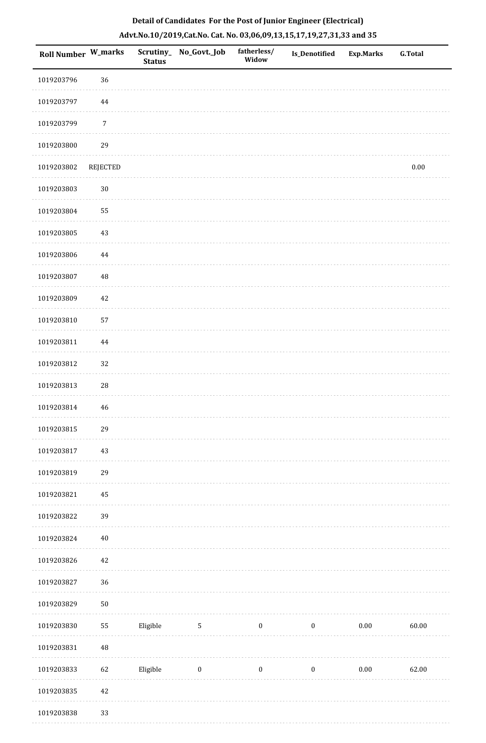| <b>Roll Number W_marks</b> |             | <b>Status</b> | Scrutiny_No_Govt._Job | fatherless/<br>Widow | <b>Is_Denotified</b> | <b>Exp.Marks</b> | <b>G.Total</b> |
|----------------------------|-------------|---------------|-----------------------|----------------------|----------------------|------------------|----------------|
| 1019203796                 | 36          |               |                       |                      |                      |                  |                |
| 1019203797                 | 44          |               |                       |                      |                      |                  |                |
| 1019203799                 | $\sqrt{7}$  |               |                       |                      |                      |                  |                |
| 1019203800                 | 29          |               |                       |                      |                      |                  |                |
| 1019203802                 | REJECTED    |               |                       |                      |                      |                  | $0.00\,$       |
| 1019203803                 | $30\,$      |               |                       |                      |                      |                  |                |
| 1019203804                 | 55          |               |                       |                      |                      |                  |                |
| 1019203805                 | 43          |               |                       |                      |                      |                  |                |
| 1019203806                 | $\bf 44$    |               |                       |                      |                      |                  |                |
| 1019203807                 | $\rm 48$    |               |                       |                      |                      |                  |                |
| 1019203809                 | $42\,$      |               |                       |                      |                      |                  |                |
| 1019203810                 | 57          |               |                       |                      |                      |                  |                |
| 1019203811                 | $\bf 44$    |               |                       |                      |                      |                  |                |
| 1019203812                 | 32          |               |                       |                      |                      |                  |                |
| 1019203813                 | 28          |               |                       |                      |                      |                  |                |
| 1019203814                 | $\sqrt{46}$ |               |                       |                      |                      |                  |                |
| 1019203815                 | 29          |               |                       |                      |                      |                  |                |
| 1019203817                 | 43          |               |                       |                      |                      |                  |                |
| 1019203819                 | 29          |               |                       |                      |                      |                  |                |
| 1019203821                 | $\rm 45$    |               |                       |                      |                      |                  |                |
| 1019203822                 | 39          |               |                       |                      |                      |                  |                |
| 1019203824                 | $40\,$      |               |                       |                      |                      |                  |                |
| 1019203826                 | $42\,$      |               |                       |                      |                      |                  |                |
| 1019203827                 | 36          |               |                       |                      |                      |                  |                |
| 1019203829                 | $50\,$      |               |                       |                      |                      |                  |                |
| 1019203830                 | 55          | Eligible      | $\sqrt{5}$            | $\boldsymbol{0}$     | $\boldsymbol{0}$     | $0.00\,$         | 60.00          |
| 1019203831                 | $\rm 48$    |               |                       |                      |                      |                  |                |
| 1019203833                 | 62          | Eligible      | $\bf{0}$              | $\boldsymbol{0}$     | $\boldsymbol{0}$     | $0.00\,$         | 62.00          |
| 1019203835                 | $42\,$      |               |                       |                      |                      |                  |                |
| 1019203838                 | 33          |               |                       |                      |                      |                  |                |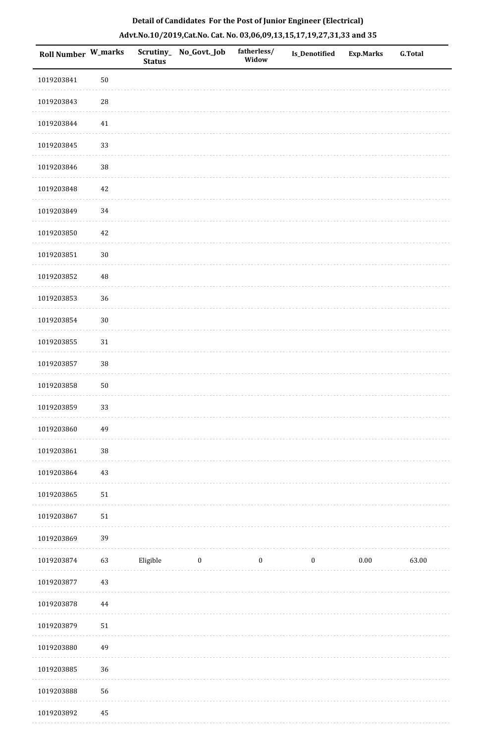| Roll Number W_marks |             | <b>Status</b> | Scrutiny_ No_Govt._Job | fatherless/<br>Widow | Is_Denotified    | <b>Exp.Marks</b> | <b>G.Total</b> |
|---------------------|-------------|---------------|------------------------|----------------------|------------------|------------------|----------------|
| 1019203841          | $50\,$      |               |                        |                      |                  |                  |                |
| 1019203843          | $\sqrt{28}$ |               |                        |                      |                  |                  |                |
| 1019203844          | 41          |               |                        |                      |                  |                  |                |
| 1019203845          | 33          |               |                        |                      |                  |                  |                |
| 1019203846          | $38\,$      |               |                        |                      |                  |                  |                |
| 1019203848          | $42\,$      |               |                        |                      |                  |                  |                |
| 1019203849          | 34          |               |                        |                      |                  |                  |                |
| 1019203850          | 42          |               |                        |                      |                  |                  |                |
| 1019203851          | $30\,$      |               |                        |                      |                  |                  |                |
| 1019203852          | $\rm 48$    |               |                        |                      |                  |                  |                |
| 1019203853          | $36\,$      |               |                        |                      |                  |                  |                |
| 1019203854          | $30\,$      |               |                        |                      |                  |                  |                |
| 1019203855          | 31          |               |                        |                      |                  |                  |                |
| 1019203857          | $38\,$      |               |                        |                      |                  |                  |                |
| 1019203858          | $50\,$      |               |                        |                      |                  |                  |                |
| 1019203859          | 33          |               |                        |                      |                  |                  |                |
| 1019203860          | 49          |               |                        |                      |                  |                  |                |
| 1019203861          | $38\,$      |               |                        |                      |                  |                  |                |
| 1019203864          | 43          |               |                        |                      |                  |                  |                |
| 1019203865          | $51\,$      |               |                        |                      |                  |                  |                |
| 1019203867          | 51          |               |                        |                      |                  |                  |                |
| 1019203869          | 39          |               |                        |                      |                  |                  |                |
| 1019203874          | 63          | Eligible      | $\bf{0}$               | $\boldsymbol{0}$     | $\boldsymbol{0}$ | $0.00\,$         | 63.00          |
| 1019203877          | 43          |               |                        |                      |                  |                  |                |
| 1019203878          | $\bf 44$    |               |                        |                      |                  |                  |                |
| 1019203879          | $51\,$      |               |                        |                      |                  |                  |                |
| 1019203880          | 49          |               |                        |                      |                  |                  |                |
| 1019203885          | 36          |               |                        |                      |                  |                  |                |
| 1019203888          | 56          |               |                        |                      |                  |                  |                |
| 1019203892          | 45          |               |                        |                      |                  |                  |                |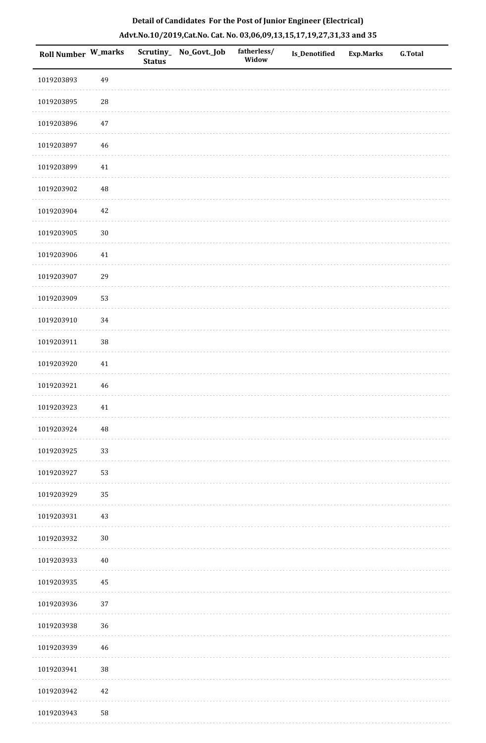| <b>Roll Number W_marks</b> |          | <b>Status</b> | Scrutiny_ No_Govt._Job | fatherless/<br>Widow | Is_Denotified | <b>Exp.Marks</b> | <b>G.Total</b> |
|----------------------------|----------|---------------|------------------------|----------------------|---------------|------------------|----------------|
| 1019203893                 | 49       |               |                        |                      |               |                  |                |
| 1019203895                 | $28\,$   |               |                        |                      |               |                  |                |
| 1019203896                 | $47\,$   |               |                        |                      |               |                  |                |
| 1019203897                 | 46       |               |                        |                      |               |                  |                |
| 1019203899                 | 41       |               |                        |                      |               |                  |                |
| 1019203902                 | $\rm 48$ |               |                        |                      |               |                  |                |
| 1019203904                 | 42       |               |                        |                      |               |                  |                |
| 1019203905                 | $30\,$   |               |                        |                      |               |                  |                |
| 1019203906                 | 41       |               |                        |                      |               |                  |                |
| 1019203907                 | 29       |               |                        |                      |               |                  |                |
| 1019203909                 | 53       |               |                        |                      |               |                  |                |
| 1019203910                 | 34       |               |                        |                      |               |                  |                |
| 1019203911                 | $38\,$   |               |                        |                      |               |                  |                |
| 1019203920                 | 41       |               |                        |                      |               |                  |                |
| 1019203921                 | 46       |               |                        |                      |               |                  |                |
| 1019203923                 | 41       |               |                        |                      |               |                  |                |
| 1019203924                 | $\rm 48$ |               |                        |                      |               |                  |                |
| 1019203925                 | 33       |               |                        |                      |               |                  |                |
| 1019203927                 | 53       |               |                        |                      |               |                  |                |
| 1019203929                 | 35       |               |                        |                      |               |                  |                |
| 1019203931                 | $43\,$   |               |                        |                      |               |                  |                |
| 1019203932                 | $30\,$   |               |                        |                      |               |                  |                |
| 1019203933                 | $40\,$   |               |                        |                      |               |                  |                |
| 1019203935                 | $\rm 45$ |               |                        |                      |               |                  |                |
| 1019203936                 | 37       |               |                        |                      |               |                  |                |
| 1019203938                 | $36\,$   |               |                        |                      |               |                  |                |
| 1019203939                 | 46       |               |                        |                      |               |                  |                |
| 1019203941                 | 38       |               |                        |                      |               |                  |                |
| 1019203942                 | 42       |               |                        |                      |               |                  |                |
| 1019203943                 | 58       |               |                        |                      |               |                  |                |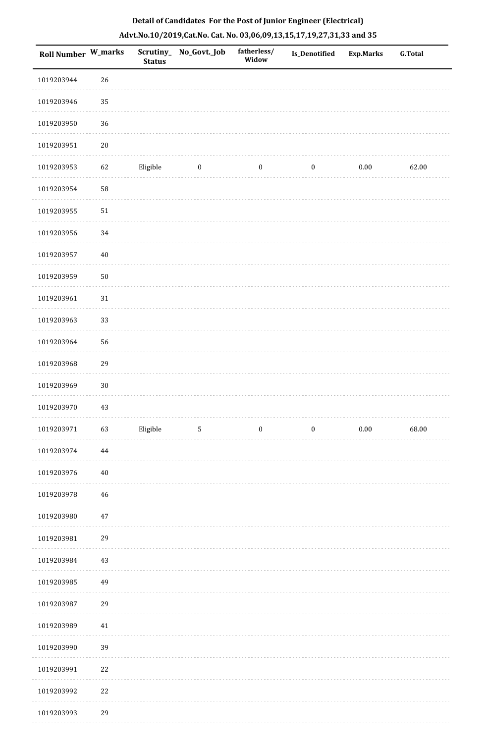| Roll Number W_marks |          | <b>Status</b> | Scrutiny_ No_Govt._Job | fatherless/<br>Widow | Is_Denotified    | <b>Exp.Marks</b> | <b>G.Total</b> |
|---------------------|----------|---------------|------------------------|----------------------|------------------|------------------|----------------|
| 1019203944          | 26       |               |                        |                      |                  |                  |                |
| 1019203946          | 35       |               |                        |                      |                  |                  |                |
| 1019203950          | 36       |               |                        |                      |                  |                  |                |
| 1019203951          | $20\,$   |               |                        |                      |                  |                  |                |
| 1019203953          | 62       | Eligible      | $\bf{0}$               | $\boldsymbol{0}$     | $\boldsymbol{0}$ | $0.00\,$         | 62.00          |
| 1019203954          | 58       |               |                        |                      |                  |                  |                |
| 1019203955          | $51\,$   |               |                        |                      |                  |                  |                |
| 1019203956          | 34       |               |                        |                      |                  |                  |                |
| 1019203957          | $40\,$   |               |                        |                      |                  |                  |                |
| 1019203959          | $50\,$   |               |                        |                      |                  |                  |                |
| 1019203961          | $31\,$   |               |                        |                      |                  |                  |                |
| 1019203963          | 33       |               |                        |                      |                  |                  |                |
| 1019203964          | 56       |               |                        |                      |                  |                  |                |
| 1019203968          | 29       |               |                        |                      |                  |                  |                |
| 1019203969          | $30\,$   |               |                        |                      |                  |                  |                |
| 1019203970          | $43\,$   |               |                        |                      |                  |                  |                |
| 1019203971          | 63       | Eligible      | $\sqrt{5}$             | $\boldsymbol{0}$     | $\boldsymbol{0}$ | $0.00\,$         | 68.00          |
| 1019203974          | $\bf 44$ |               |                        |                      |                  |                  |                |
| 1019203976          | $40\,$   |               |                        |                      |                  |                  |                |
| 1019203978          | 46       |               |                        |                      |                  |                  |                |
| 1019203980          | $47\,$   |               |                        |                      |                  |                  |                |
| 1019203981          | 29       |               |                        |                      |                  |                  |                |
| 1019203984          | 43       |               |                        |                      |                  |                  |                |
| 1019203985          | 49       |               |                        |                      |                  |                  |                |
| 1019203987          | 29       |               |                        |                      |                  |                  |                |
| 1019203989          | 41       |               |                        |                      |                  |                  |                |
| 1019203990          | 39       |               |                        |                      |                  |                  |                |
| 1019203991          | 22       |               |                        |                      |                  |                  |                |
| 1019203992          | 22       |               |                        |                      |                  |                  |                |
| 1019203993          | 29       |               |                        |                      |                  |                  |                |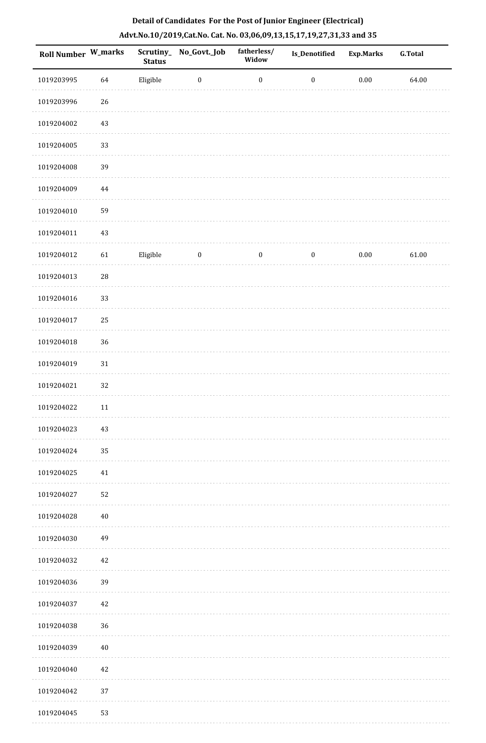| Roll Number W_marks |        | <b>Status</b> | Scrutiny_No_Govt._Job | fatherless/<br>Widow | Is_Denotified    | <b>Exp.Marks</b> | <b>G.Total</b> |
|---------------------|--------|---------------|-----------------------|----------------------|------------------|------------------|----------------|
| 1019203995          | 64     | Eligible      | $\bf{0}$              | $\boldsymbol{0}$     | $\boldsymbol{0}$ | $0.00\,$         | 64.00          |
| 1019203996          | 26     |               |                       |                      |                  |                  |                |
| 1019204002          | 43     |               |                       |                      |                  |                  |                |
| 1019204005          | 33     |               |                       |                      |                  |                  |                |
| 1019204008          | 39     |               |                       |                      |                  |                  |                |
| 1019204009          | 44     |               |                       |                      |                  |                  |                |
| 1019204010          | 59     |               |                       |                      |                  |                  |                |
| 1019204011          | 43     |               |                       |                      |                  |                  |                |
| 1019204012          | 61     | Eligible      | $\boldsymbol{0}$      | $\boldsymbol{0}$     | $\boldsymbol{0}$ | $0.00\,$         | 61.00          |
| 1019204013          | 28     |               |                       |                      |                  |                  |                |
| 1019204016          | 33     |               |                       |                      |                  |                  |                |
| 1019204017          | 25     |               |                       |                      |                  |                  |                |
| 1019204018          | 36     |               |                       |                      |                  |                  |                |
| 1019204019          | $31\,$ |               |                       |                      |                  |                  |                |
| 1019204021          | 32     |               |                       |                      |                  |                  |                |
| 1019204022          | 11     |               |                       |                      |                  |                  |                |
| 1019204023          | $43\,$ |               |                       |                      |                  |                  |                |
| 1019204024          | 35     |               |                       |                      |                  |                  |                |
| 1019204025          | $41\,$ |               |                       |                      |                  |                  |                |
| 1019204027          | 52     |               |                       |                      |                  |                  |                |
| 1019204028          | $40\,$ |               |                       |                      |                  |                  |                |
| 1019204030          | 49     |               |                       |                      |                  |                  |                |
| 1019204032          | 42     |               |                       |                      |                  |                  |                |
| 1019204036          | 39     |               |                       |                      |                  |                  |                |
| 1019204037          | 42     |               |                       |                      |                  |                  |                |
| 1019204038          | 36     |               |                       |                      |                  |                  |                |
| 1019204039          | $40\,$ |               |                       |                      |                  |                  |                |
| 1019204040          | 42     |               |                       |                      |                  |                  |                |
| 1019204042          | 37     |               |                       |                      |                  |                  |                |
| 1019204045          | 53     |               |                       |                      |                  |                  |                |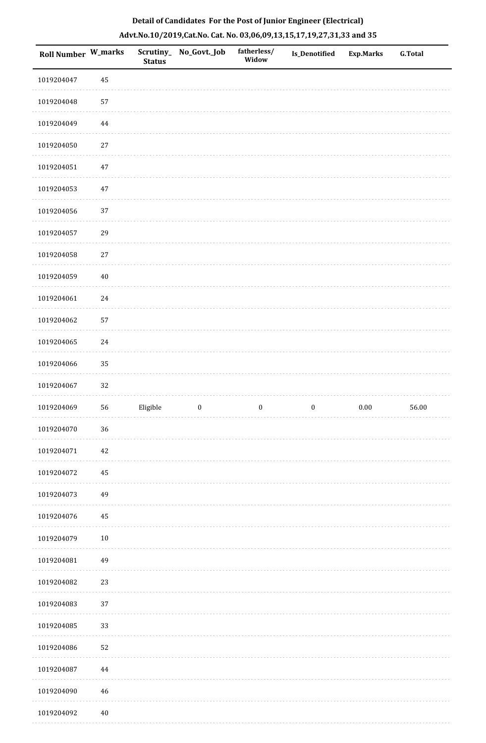| Roll Number W_marks |          | <b>Status</b> | Scrutiny_ No_Govt._Job | fatherless/<br>Widow | Is_Denotified    | <b>Exp.Marks</b> | <b>G.Total</b> |
|---------------------|----------|---------------|------------------------|----------------------|------------------|------------------|----------------|
| 1019204047          | 45       |               |                        |                      |                  |                  |                |
| 1019204048          | 57       |               |                        |                      |                  |                  |                |
| 1019204049          | $\bf 44$ |               |                        |                      |                  |                  |                |
| 1019204050          | $27\,$   |               |                        |                      |                  |                  |                |
| 1019204051          | $47\,$   |               |                        |                      |                  |                  |                |
| 1019204053          | 47       |               |                        |                      |                  |                  |                |
| 1019204056          | 37       |               |                        |                      |                  |                  |                |
| 1019204057          | 29       |               |                        |                      |                  |                  |                |
| 1019204058          | 27       |               |                        |                      |                  |                  |                |
| 1019204059          | $40\,$   |               |                        |                      |                  |                  |                |
| 1019204061          | 24       |               |                        |                      |                  |                  |                |
| 1019204062          | 57       |               |                        |                      |                  |                  |                |
| 1019204065          | 24       |               |                        |                      |                  |                  |                |
| 1019204066          | 35       |               |                        |                      |                  |                  |                |
| 1019204067          | 32       |               |                        |                      |                  |                  |                |
| 1019204069          | 56       | Eligible      | $\boldsymbol{0}$       | $\boldsymbol{0}$     | $\boldsymbol{0}$ | $0.00\,$         | 56.00          |
| 1019204070          | $36\,$   |               |                        |                      |                  |                  |                |
| 1019204071          | 42       |               |                        |                      |                  |                  |                |
| 1019204072          | 45       |               |                        |                      |                  |                  |                |
| 1019204073          | 49       |               |                        |                      |                  |                  |                |
| 1019204076          | 45       |               |                        |                      |                  |                  |                |
| 1019204079          | $10\,$   |               |                        |                      |                  |                  |                |
| 1019204081          | 49       |               |                        |                      |                  |                  |                |
| 1019204082          | 23       |               |                        |                      |                  |                  |                |
| 1019204083          | 37       |               |                        |                      |                  |                  |                |
| 1019204085          | 33       |               |                        |                      |                  |                  |                |
| 1019204086          | 52       |               |                        |                      |                  |                  |                |
| 1019204087          | $44\,$   |               |                        |                      |                  |                  |                |
| 1019204090          | 46       |               |                        |                      |                  |                  |                |
| 1019204092          | $40\,$   |               |                        |                      |                  |                  |                |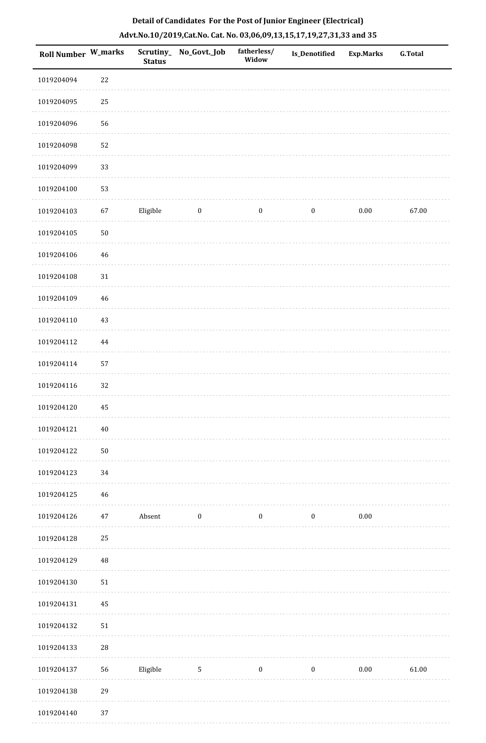| Roll Number W_marks |             | Scrutiny_<br><b>Status</b> | No_Govt._Job     | fatherless/<br>Widow | Is_Denotified    | <b>Exp.Marks</b> | <b>G.Total</b> |
|---------------------|-------------|----------------------------|------------------|----------------------|------------------|------------------|----------------|
| 1019204094          | 22          |                            |                  |                      |                  |                  |                |
| 1019204095          | 25          |                            |                  |                      |                  |                  |                |
| 1019204096          | 56          |                            |                  |                      |                  |                  |                |
| 1019204098          | 52          |                            |                  |                      |                  |                  |                |
| 1019204099          | 33          |                            |                  |                      |                  |                  |                |
| 1019204100          | 53          |                            |                  |                      |                  |                  |                |
| 1019204103          | 67          | Eligible                   | $\boldsymbol{0}$ | $\boldsymbol{0}$     | $\boldsymbol{0}$ | $0.00\,$         | 67.00          |
| 1019204105          | $50\,$      |                            |                  |                      |                  |                  |                |
| 1019204106          | 46          |                            |                  |                      |                  |                  |                |
| 1019204108          | $31\,$      |                            |                  |                      |                  |                  |                |
| 1019204109          | 46          |                            |                  |                      |                  |                  |                |
| 1019204110          | 43          |                            |                  |                      |                  |                  |                |
| 1019204112          | 44          |                            |                  |                      |                  |                  |                |
| 1019204114          | 57          |                            |                  |                      |                  |                  |                |
| 1019204116          | 32          |                            |                  |                      |                  |                  |                |
| 1019204120          | 45          |                            |                  |                      |                  |                  |                |
| 1019204121          | $40\,$      |                            |                  |                      |                  |                  |                |
| 1019204122          | 50          |                            |                  |                      |                  |                  |                |
| 1019204123          | 34          |                            |                  |                      |                  |                  |                |
| 1019204125          | 46          |                            |                  |                      |                  |                  |                |
| 1019204126          | 47          | Absent                     | $\boldsymbol{0}$ | $\boldsymbol{0}$     | $\boldsymbol{0}$ | $0.00\,$         |                |
| 1019204128          | $25\,$      |                            |                  |                      |                  |                  |                |
| 1019204129          | 48          |                            |                  |                      |                  |                  |                |
| 1019204130          | 51          |                            |                  |                      |                  |                  |                |
| 1019204131          | 45          |                            |                  |                      |                  |                  |                |
| 1019204132          | 51          |                            |                  |                      |                  |                  |                |
| 1019204133          | $\sqrt{28}$ |                            |                  |                      |                  |                  |                |
| 1019204137          | 56          | Eligible                   | $\mathbf{5}$     | $\boldsymbol{0}$     | $\boldsymbol{0}$ | $0.00\,$         | 61.00          |
| 1019204138          | 29          |                            |                  |                      |                  |                  |                |
| 1019204140          | 37          |                            |                  |                      |                  |                  |                |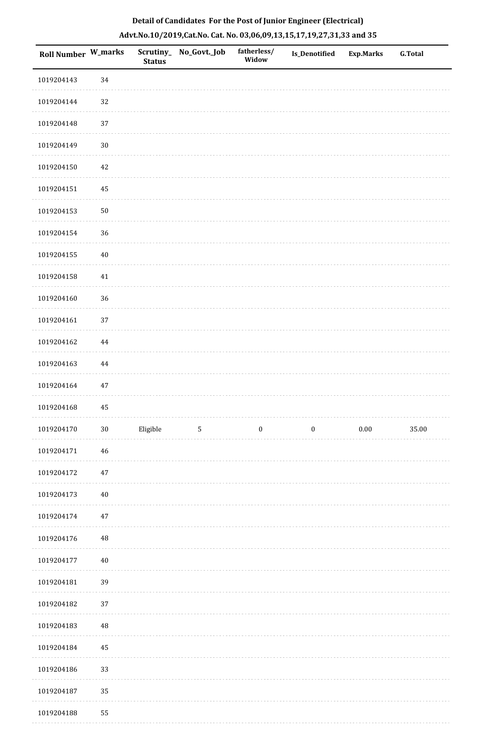| <b>Roll Number W_marks</b> |             | Scrutiny_<br><b>Status</b> | No_Govt._Job | fatherless/<br>Widow | Is_Denotified    | <b>Exp.Marks</b> | <b>G.Total</b> |
|----------------------------|-------------|----------------------------|--------------|----------------------|------------------|------------------|----------------|
| 1019204143                 | 34          |                            |              |                      |                  |                  |                |
| 1019204144                 | 32          |                            |              |                      |                  |                  |                |
| 1019204148                 | 37          |                            |              |                      |                  |                  |                |
| 1019204149                 | $30\,$      |                            |              |                      |                  |                  |                |
| 1019204150                 | 42          |                            |              |                      |                  |                  |                |
| 1019204151                 | 45          |                            |              |                      |                  |                  |                |
| 1019204153                 | ${\bf 50}$  |                            |              |                      |                  |                  |                |
| 1019204154                 | 36          |                            |              |                      |                  |                  |                |
| 1019204155                 | $40\,$      |                            |              |                      |                  |                  |                |
| 1019204158                 | 41          |                            |              |                      |                  |                  |                |
| 1019204160                 | 36          |                            |              |                      |                  |                  |                |
| 1019204161                 | 37          |                            |              |                      |                  |                  |                |
| 1019204162                 | $\bf 44$    |                            |              |                      |                  |                  |                |
| 1019204163                 | 44          |                            |              |                      |                  |                  |                |
| 1019204164                 | $47\,$      |                            |              |                      |                  |                  |                |
| 1019204168                 | 45          |                            |              |                      |                  |                  |                |
| 1019204170                 | $30\,$      | Eligible                   | 5            | $\boldsymbol{0}$     | $\boldsymbol{0}$ | $0.00\,$         | 35.00          |
| 1019204171                 | $\sqrt{46}$ |                            |              |                      |                  |                  |                |
| 1019204172                 | $47\,$      |                            |              |                      |                  |                  |                |
| 1019204173                 | $40\,$      |                            |              |                      |                  |                  |                |
| 1019204174                 | $47\,$      |                            |              |                      |                  |                  |                |
| 1019204176                 | $\rm 48$    |                            |              |                      |                  |                  |                |
| 1019204177                 | 40          |                            |              |                      |                  |                  |                |
| 1019204181                 | 39          |                            |              |                      |                  |                  |                |
| 1019204182                 | 37          |                            |              |                      |                  |                  |                |
| 1019204183                 | $\rm 48$    |                            |              |                      |                  |                  |                |
| 1019204184                 | 45          |                            |              |                      |                  |                  |                |
| 1019204186                 | 33          |                            |              |                      |                  |                  |                |
| 1019204187                 | 35          |                            |              |                      |                  |                  |                |
| 1019204188                 | 55          |                            |              |                      |                  |                  |                |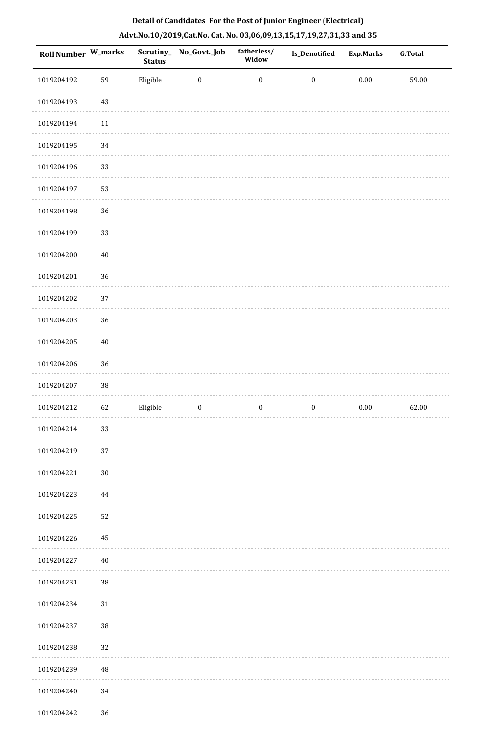| Roll Number W_marks |        | <b>Status</b> | Scrutiny_ No_Govt._Job | fatherless/<br>Widow | Is_Denotified    | <b>Exp.Marks</b> | <b>G.Total</b> |
|---------------------|--------|---------------|------------------------|----------------------|------------------|------------------|----------------|
| 1019204192          | 59     | Eligible      | $\boldsymbol{0}$       | $\boldsymbol{0}$     | $\boldsymbol{0}$ | $0.00\,$         | 59.00          |
| 1019204193          | 43     |               |                        |                      |                  |                  |                |
| 1019204194          | $11\,$ |               |                        |                      |                  |                  |                |
| 1019204195          | 34     |               |                        |                      |                  |                  |                |
| 1019204196          | 33     |               |                        |                      |                  |                  |                |
| 1019204197          | 53     |               |                        |                      |                  |                  |                |
| 1019204198          | 36     |               |                        |                      |                  |                  |                |
| 1019204199          | 33     |               |                        |                      |                  |                  |                |
| 1019204200          | $40\,$ |               |                        |                      |                  |                  |                |
| 1019204201          | 36     |               |                        |                      |                  |                  |                |
| 1019204202          | 37     |               |                        |                      |                  |                  |                |
| 1019204203          | 36     |               |                        |                      |                  |                  |                |
| 1019204205          | $40\,$ |               |                        |                      |                  |                  |                |
| 1019204206          | 36     |               |                        |                      |                  |                  |                |
| 1019204207          | 38     |               |                        |                      |                  |                  |                |
| 1019204212          | 62     | Eligible      | $\boldsymbol{0}$       | $\boldsymbol{0}$     | $\boldsymbol{0}$ | $0.00\,$         | 62.00          |
| 1019204214          | 33     |               |                        |                      |                  |                  |                |
| 1019204219          | 37     |               |                        |                      |                  |                  |                |
| 1019204221          | $30\,$ |               |                        |                      |                  |                  |                |
| 1019204223          | 44     |               |                        |                      |                  |                  |                |
| 1019204225          | 52     |               |                        |                      |                  |                  |                |
| 1019204226          | 45     |               |                        |                      |                  |                  |                |
| 1019204227          | $40\,$ |               |                        |                      |                  |                  |                |
| 1019204231          | 38     |               |                        |                      |                  |                  |                |
| 1019204234          | $31\,$ |               |                        |                      |                  |                  |                |
| 1019204237          | $38\,$ |               |                        |                      |                  |                  |                |
| 1019204238          | 32     |               |                        |                      |                  |                  |                |
| 1019204239          | 48     |               |                        |                      |                  |                  |                |
| 1019204240          | 34     |               |                        |                      |                  |                  |                |
| 1019204242          | 36     |               |                        |                      |                  |                  |                |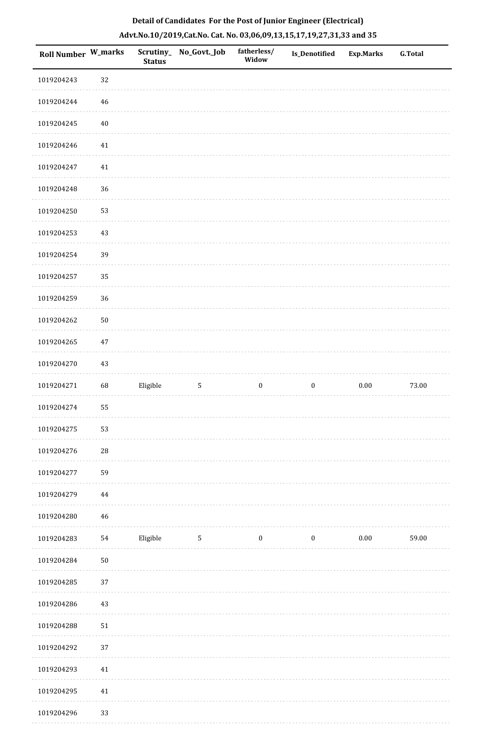| Roll Number W_marks |             | <b>Status</b> | Scrutiny_No_Govt._Job | fatherless/<br>Widow | Is_Denotified    | <b>Exp.Marks</b> | <b>G.Total</b> |
|---------------------|-------------|---------------|-----------------------|----------------------|------------------|------------------|----------------|
| 1019204243          | $32\,$      |               |                       |                      |                  |                  |                |
| 1019204244          | 46          |               |                       |                      |                  |                  |                |
| 1019204245          | $40\,$      |               |                       |                      |                  |                  |                |
| 1019204246          | $41\,$      |               |                       |                      |                  |                  |                |
| 1019204247          | 41          |               |                       |                      |                  |                  |                |
| 1019204248          | 36          |               |                       |                      |                  |                  |                |
| 1019204250          | 53          |               |                       |                      |                  |                  |                |
| 1019204253          | $43\,$      |               |                       |                      |                  |                  |                |
| 1019204254          | 39          |               |                       |                      |                  |                  |                |
| 1019204257          | 35          |               |                       |                      |                  |                  |                |
| 1019204259          | 36          |               |                       |                      |                  |                  |                |
| 1019204262          | $50\,$      |               |                       |                      |                  |                  |                |
| 1019204265          | $47\,$      |               |                       |                      |                  |                  |                |
| 1019204270          | $43\,$      |               |                       |                      |                  |                  |                |
| 1019204271          | 68          | Eligible      | $\sqrt{5}$            | $\boldsymbol{0}$     | $\boldsymbol{0}$ | $0.00\,$         | 73.00          |
| 1019204274          | 55          |               |                       |                      |                  |                  |                |
| 1019204275          | 53          |               |                       |                      |                  |                  |                |
| 1019204276          | $\sqrt{28}$ |               |                       |                      |                  |                  |                |
| 1019204277          | 59          |               |                       |                      |                  |                  |                |
| 1019204279          | 44          |               |                       |                      |                  |                  |                |
| 1019204280          | 46          |               |                       |                      |                  |                  |                |
| 1019204283          | 54          | Eligible      | $\sqrt{5}$            | $\boldsymbol{0}$     | $\boldsymbol{0}$ | 0.00             | 59.00          |
| 1019204284          | ${\bf 50}$  |               |                       |                      |                  |                  |                |
| 1019204285          | 37          |               |                       |                      |                  |                  |                |
| 1019204286          | 43          |               |                       |                      |                  |                  |                |
| 1019204288          | $51\,$      |               |                       |                      |                  |                  |                |
| 1019204292          | 37          |               |                       |                      |                  |                  |                |
| 1019204293          | $41\,$      |               |                       |                      |                  |                  |                |
| 1019204295          | $41\,$      |               |                       |                      |                  |                  |                |
| 1010201206          | っっ          |               |                       |                      |                  |                  |                |

 1019204296 33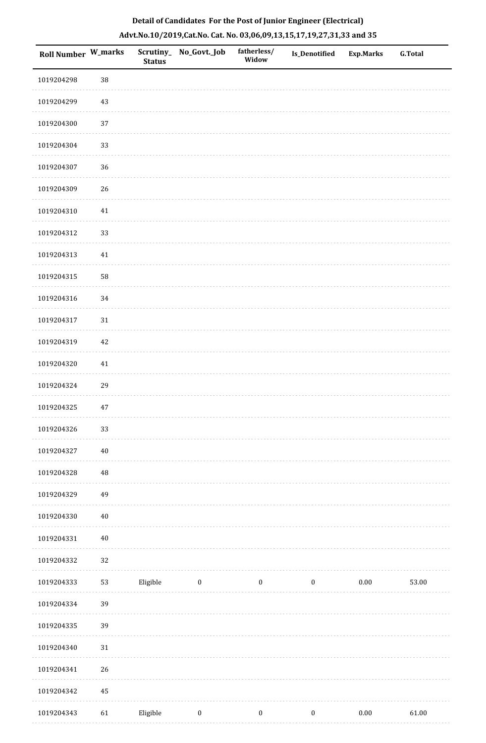| Roll Number W_marks |          | Scrutiny_<br><b>Status</b> | No_Govt._Job | fatherless/<br>Widow | Is_Denotified    | <b>Exp.Marks</b> | <b>G.Total</b> |
|---------------------|----------|----------------------------|--------------|----------------------|------------------|------------------|----------------|
| 1019204298          | 38       |                            |              |                      |                  |                  |                |
| 1019204299          | $43\,$   |                            |              |                      |                  |                  |                |
| 1019204300          | 37       |                            |              |                      |                  |                  |                |
| 1019204304          | 33       |                            |              |                      |                  |                  |                |
| 1019204307          | 36       |                            |              |                      |                  |                  |                |
| 1019204309          | 26       |                            |              |                      |                  |                  |                |
| 1019204310          | $41\,$   |                            |              |                      |                  |                  |                |
| 1019204312          | 33       |                            |              |                      |                  |                  |                |
| 1019204313          | $41\,$   |                            |              |                      |                  |                  |                |
| 1019204315          | 58       |                            |              |                      |                  |                  |                |
| 1019204316          | $34\,$   |                            |              |                      |                  |                  |                |
| 1019204317          | $31\,$   |                            |              |                      |                  |                  |                |
| 1019204319          | 42       |                            |              |                      |                  |                  |                |
| 1019204320          | 41       |                            |              |                      |                  |                  |                |
| 1019204324          | 29       |                            |              |                      |                  |                  |                |
| 1019204325          | $47\,$   |                            |              |                      |                  |                  |                |
| 1019204326          | 33       |                            |              |                      |                  |                  |                |
| 1019204327          | $40\,$   |                            |              |                      |                  |                  |                |
| 1019204328          | $\rm 48$ |                            |              |                      |                  |                  |                |
| 1019204329          | 49       |                            |              |                      |                  |                  |                |
| 1019204330          | $40\,$   |                            |              |                      |                  |                  |                |
| 1019204331          | $40\,$   |                            |              |                      |                  |                  |                |
| 1019204332          | 32       |                            |              |                      |                  |                  |                |
| 1019204333          | 53       | Eligible                   | $\bf{0}$     | $\boldsymbol{0}$     | $\boldsymbol{0}$ | 0.00             | 53.00          |
| 1019204334          | 39       |                            |              |                      |                  |                  |                |
| 1019204335          | 39       |                            |              |                      |                  |                  |                |
| 1019204340          | 31       |                            |              |                      |                  |                  |                |
| 1019204341          | 26       |                            |              |                      |                  |                  |                |
| 1019204342          | $\bf 45$ |                            |              |                      |                  |                  |                |
| 1019204343          | 61       | Eligible                   | $\bf{0}$     | $\boldsymbol{0}$     | $\mathbf{0}$     | $0.00\,$         | 61.00          |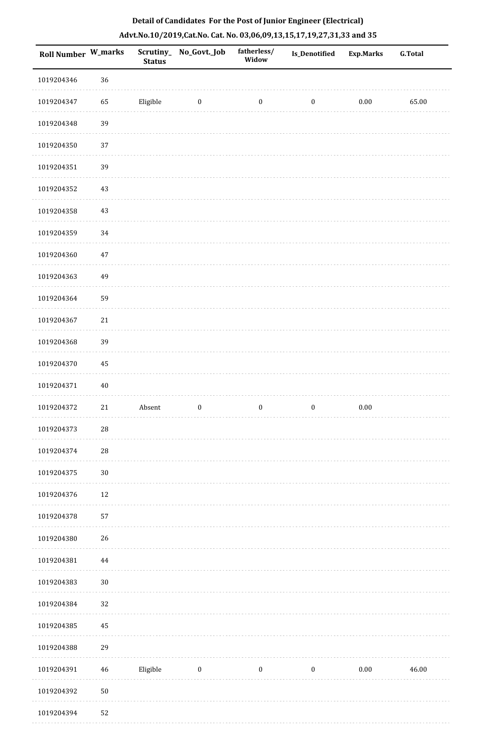| <b>Roll Number W_marks</b> |        | <b>Status</b> | Scrutiny_ No_Govt._Job | fatherless/<br>Widow | Is_Denotified    | <b>Exp.Marks</b> | <b>G.Total</b> |
|----------------------------|--------|---------------|------------------------|----------------------|------------------|------------------|----------------|
| 1019204346                 | 36     |               |                        |                      |                  |                  |                |
| 1019204347                 | 65     | Eligible      | $\boldsymbol{0}$       | $\boldsymbol{0}$     | $\boldsymbol{0}$ | $0.00\,$         | 65.00          |
| 1019204348                 | 39     |               |                        |                      |                  |                  |                |
| 1019204350                 | 37     |               |                        |                      |                  |                  |                |
| 1019204351                 | 39     |               |                        |                      |                  |                  |                |
| 1019204352                 | 43     |               |                        |                      |                  |                  |                |
| 1019204358                 | $43\,$ |               |                        |                      |                  |                  |                |
| 1019204359                 | 34     |               |                        |                      |                  |                  |                |
| 1019204360                 | 47     |               |                        |                      |                  |                  |                |
| 1019204363                 | 49     |               |                        |                      |                  |                  |                |
| 1019204364                 | 59     |               |                        |                      |                  |                  |                |
| 1019204367                 | 21     |               |                        |                      |                  |                  |                |
| 1019204368                 | 39     |               |                        |                      |                  |                  |                |
| 1019204370                 | 45     |               |                        |                      |                  |                  |                |
| 1019204371                 | $40\,$ |               |                        |                      |                  |                  |                |
| 1019204372                 | 21     | Absent        | $\boldsymbol{0}$       | $\boldsymbol{0}$     | $\boldsymbol{0}$ | $0.00\,$         |                |
| 1019204373                 | 28     |               |                        |                      |                  |                  |                |
| 1019204374                 | $28\,$ |               |                        |                      |                  |                  |                |
| 1019204375                 | $30\,$ |               |                        |                      |                  |                  |                |
| 1019204376                 | $12\,$ |               |                        |                      |                  |                  |                |
| 1019204378                 | 57     |               |                        |                      |                  |                  |                |
| 1019204380                 | 26     |               |                        |                      |                  |                  |                |
| 1019204381                 | 44     |               |                        |                      |                  |                  |                |
| 1019204383                 | $30\,$ |               |                        |                      |                  |                  |                |
| 1019204384                 | 32     |               |                        |                      |                  |                  |                |
| 1019204385                 | 45     |               |                        |                      |                  |                  |                |
| 1019204388                 | 29     |               |                        |                      |                  |                  |                |
| 1019204391                 | 46     | Eligible      | $\boldsymbol{0}$       | $\boldsymbol{0}$     | $\boldsymbol{0}$ | $0.00\,$         | 46.00          |
| 1019204392                 | $50\,$ |               |                        |                      |                  |                  |                |
| 1010201201                 | ピウ     |               |                        |                      |                  |                  |                |

# **Detail of Candidates For the Post of Junior Engineer (Electrical) Advt.No.10/2019,Cat.No. Cat. No. 03,06,09,13,15,17,19,27,31,33 and 35**

1019204394 52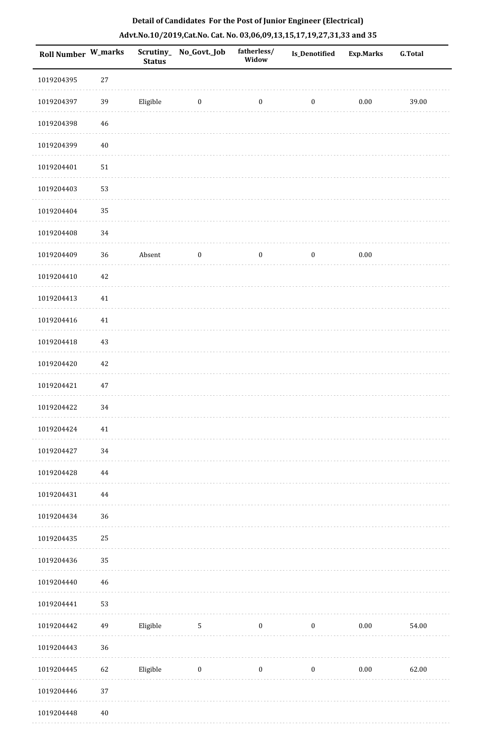| <b>Roll Number W_marks</b> |                    | <b>Status</b> | Scrutiny_No_Govt._Job | fatherless/<br>Widow | Is_Denotified    | <b>Exp.Marks</b> | <b>G.Total</b> |
|----------------------------|--------------------|---------------|-----------------------|----------------------|------------------|------------------|----------------|
| 1019204395                 | $27\,$             |               |                       |                      |                  |                  |                |
| 1019204397                 | 39                 | Eligible      | $\boldsymbol{0}$      | $\boldsymbol{0}$     | $\boldsymbol{0}$ | $0.00\,$         | 39.00          |
| 1019204398                 | 46                 |               |                       |                      |                  |                  |                |
| 1019204399                 | $40\,$             |               |                       |                      |                  |                  |                |
| 1019204401                 | $51\,$             |               |                       |                      |                  |                  |                |
| 1019204403                 | 53                 |               |                       |                      |                  |                  |                |
| 1019204404                 | 35                 |               |                       |                      |                  |                  |                |
| 1019204408                 | 34                 |               |                       |                      |                  |                  |                |
| 1019204409                 | 36                 | Absent        | $\boldsymbol{0}$      | $\boldsymbol{0}$     | $\boldsymbol{0}$ | $0.00\,$         |                |
| 1019204410                 | $42\,$             |               |                       |                      |                  |                  |                |
| 1019204413                 | $41\,$             |               |                       |                      |                  |                  |                |
| 1019204416                 | 41                 |               |                       |                      |                  |                  |                |
| 1019204418                 | $43\,$             |               |                       |                      |                  |                  |                |
| 1019204420                 | $42\,$             |               |                       |                      |                  |                  |                |
| 1019204421                 | 47                 |               |                       |                      |                  |                  |                |
| 1019204422                 | 34                 |               |                       |                      |                  |                  |                |
| 1019204424                 | 41                 |               |                       |                      |                  |                  |                |
| 1019204427                 | 34                 |               |                       |                      |                  |                  |                |
| 1019204428                 | 44                 |               |                       |                      |                  |                  |                |
| 1019204431                 | 44                 |               |                       |                      |                  |                  |                |
| 1019204434                 | 36                 |               |                       |                      |                  |                  |                |
| 1019204435                 | 25                 |               |                       |                      |                  |                  |                |
| 1019204436                 | 35                 |               |                       |                      |                  |                  |                |
| 1019204440                 | 46                 |               |                       |                      |                  |                  |                |
| 1019204441                 | 53                 |               |                       |                      |                  |                  |                |
| 1019204442                 | 49                 | Eligible      | $\mathbf{5}$          | $\boldsymbol{0}$     | $\boldsymbol{0}$ | 0.00             | 54.00          |
| 1019204443                 | 36                 |               |                       |                      |                  |                  |                |
| 1019204445                 | 62                 | Eligible      | $\boldsymbol{0}$      | $\boldsymbol{0}$     | $\boldsymbol{0}$ | $0.00\,$         | 62.00          |
| 1019204446                 | 37                 |               |                       |                      |                  |                  |                |
| 1010201110                 | $\Lambda$ $\Omega$ |               |                       |                      |                  |                  |                |

 1019204448 40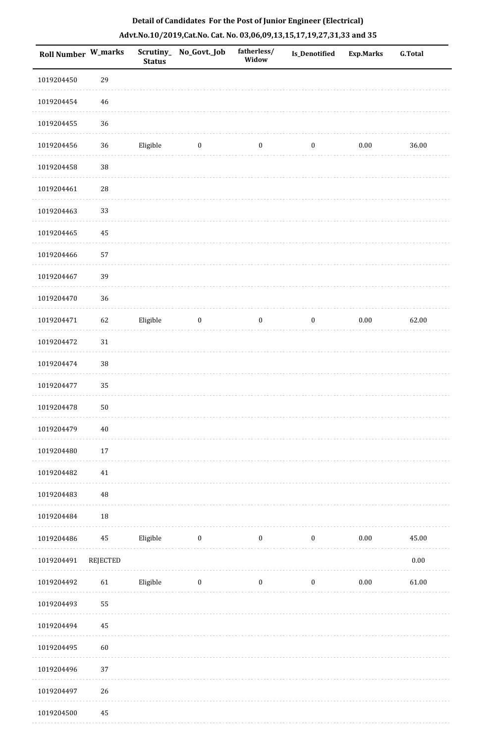| <b>Roll Number W_marks</b> |            | <b>Status</b> | Scrutiny_No_Govt._Job | fatherless/<br>Widow | Is_Denotified    | <b>Exp.Marks</b> | <b>G.Total</b> |
|----------------------------|------------|---------------|-----------------------|----------------------|------------------|------------------|----------------|
| 1019204450                 | 29         |               |                       |                      |                  |                  |                |
| 1019204454                 | 46         |               |                       |                      |                  |                  |                |
| 1019204455                 | 36         |               |                       |                      |                  |                  |                |
| 1019204456                 | 36         | Eligible      | $\boldsymbol{0}$      | $\boldsymbol{0}$     | $\boldsymbol{0}$ | $0.00\,$         | 36.00          |
| 1019204458                 | $38\,$     |               |                       |                      |                  |                  |                |
| 1019204461                 | $28\,$     |               |                       |                      |                  |                  |                |
| 1019204463                 | 33         |               |                       |                      |                  |                  |                |
| 1019204465                 | 45         |               |                       |                      |                  |                  |                |
| 1019204466                 | 57         |               |                       |                      |                  |                  |                |
| 1019204467                 | 39         |               |                       |                      |                  |                  |                |
| 1019204470                 | 36         |               |                       |                      |                  |                  |                |
| 1019204471                 | 62         | Eligible      | $\bf{0}$              | $\boldsymbol{0}$     | $\boldsymbol{0}$ | $0.00\,$         | 62.00          |
| 1019204472                 | $31\,$     |               |                       |                      |                  |                  |                |
| 1019204474                 | $38\,$     |               |                       |                      |                  |                  |                |
| 1019204477                 | 35         |               |                       |                      |                  |                  |                |
| 1019204478                 | ${\bf 50}$ |               |                       |                      |                  |                  |                |
| 1019204479                 | $40\,$     |               |                       |                      |                  |                  |                |
| 1019204480                 | 17         |               |                       |                      |                  |                  |                |
| 1019204482                 | 41         |               |                       |                      |                  |                  |                |
| 1019204483                 | $\rm 48$   |               |                       |                      |                  |                  |                |
| 1019204484                 | $18\,$     |               |                       |                      |                  |                  |                |
| 1019204486                 | 45         | Eligible      | $\boldsymbol{0}$      | $\boldsymbol{0}$     | $\boldsymbol{0}$ | $0.00\,$         | 45.00          |
| 1019204491                 | REJECTED   |               |                       |                      |                  |                  | $0.00\,$       |
| 1019204492                 | 61         | Eligible      | $\bf{0}$              | $\boldsymbol{0}$     | $\boldsymbol{0}$ | $0.00\,$         | 61.00          |
| 1019204493                 | 55         |               |                       |                      |                  |                  |                |
| 1019204494                 | 45         |               |                       |                      |                  |                  |                |
| 1019204495                 | 60         |               |                       |                      |                  |                  |                |
| 1019204496                 | 37         |               |                       |                      |                  |                  |                |
| 1019204497                 | 26         |               |                       |                      |                  |                  |                |
| 1019204500                 | 45         |               |                       |                      |                  |                  |                |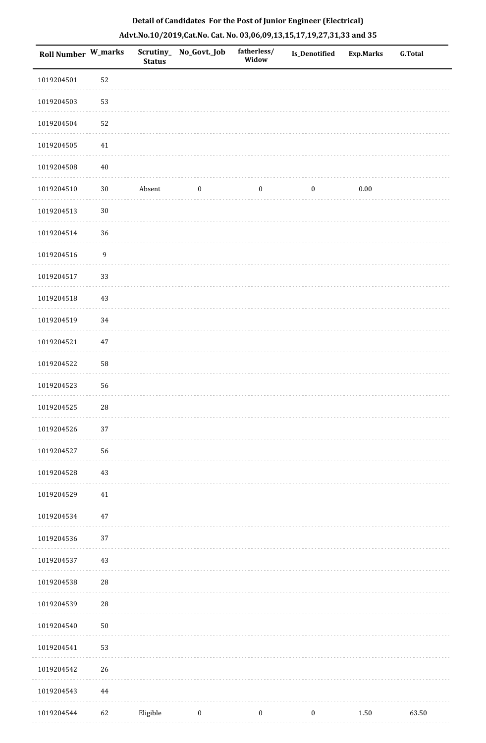| Roll Number W_marks |                  | <b>Status</b> | Scrutiny_No_Govt._Job | fatherless/<br>Widow | Is_Denotified    | <b>Exp.Marks</b> | <b>G.Total</b> |
|---------------------|------------------|---------------|-----------------------|----------------------|------------------|------------------|----------------|
| 1019204501          | 52               |               |                       |                      |                  |                  |                |
| 1019204503          | 53               |               |                       |                      |                  |                  |                |
| 1019204504          | 52               |               |                       |                      |                  |                  |                |
| 1019204505          | 41               |               |                       |                      |                  |                  |                |
| 1019204508          | $40\,$           |               |                       |                      |                  |                  |                |
| 1019204510          | $30\,$           | Absent        | $\boldsymbol{0}$      | $\boldsymbol{0}$     | $\boldsymbol{0}$ | 0.00             |                |
| 1019204513          | $30\,$           |               |                       |                      |                  |                  |                |
| 1019204514          | 36               |               |                       |                      |                  |                  |                |
| 1019204516          | $\boldsymbol{9}$ |               |                       |                      |                  |                  |                |
| 1019204517          | 33               |               |                       |                      |                  |                  |                |
| 1019204518          | 43               |               |                       |                      |                  |                  |                |
| 1019204519          | 34               |               |                       |                      |                  |                  |                |
| 1019204521          | 47               |               |                       |                      |                  |                  |                |
| 1019204522          | 58               |               |                       |                      |                  |                  |                |
| 1019204523          | 56               |               |                       |                      |                  |                  |                |
| 1019204525          | ${\bf 28}$       |               |                       |                      |                  |                  |                |
| 1019204526          | 37               |               |                       |                      |                  |                  |                |
| 1019204527          | 56               |               |                       |                      |                  |                  |                |
| 1019204528          | 43               |               |                       |                      |                  |                  |                |
| 1019204529          | $41\,$           |               |                       |                      |                  |                  |                |
| 1019204534          | $47\,$           |               |                       |                      |                  |                  |                |
| 1019204536          | 37               |               |                       |                      |                  |                  |                |
| 1019204537          | 43               |               |                       |                      |                  |                  |                |
| 1019204538          | 28               |               |                       |                      |                  |                  |                |
| 1019204539          | 28               |               |                       |                      |                  |                  |                |
| 1019204540          | ${\bf 50}$       |               |                       |                      |                  |                  |                |
| 1019204541          | 53               |               |                       |                      |                  |                  |                |
| 1019204542          | $26\,$           |               |                       |                      |                  |                  |                |
| 1019204543          | 44               |               |                       |                      |                  |                  |                |
| 1019204544          | 62               | Eligible      | $\bf{0}$              | $\boldsymbol{0}$     | $\bf{0}$         | 1.50             | 63.50          |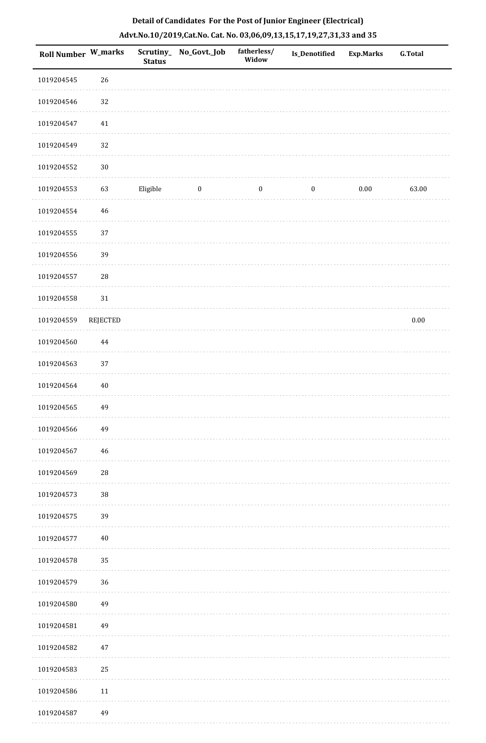| Roll Number W_marks |             | <b>Status</b> | Scrutiny_No_Govt._Job | fatherless/<br>Widow | Is_Denotified    | <b>Exp.Marks</b> | <b>G.Total</b> |
|---------------------|-------------|---------------|-----------------------|----------------------|------------------|------------------|----------------|
| 1019204545          | 26          |               |                       |                      |                  |                  |                |
| 1019204546          | 32          |               |                       |                      |                  |                  |                |
| 1019204547          | $41\,$      |               |                       |                      |                  |                  |                |
| 1019204549          | 32          |               |                       |                      |                  |                  |                |
| 1019204552          | $30\,$      |               |                       |                      |                  |                  |                |
| 1019204553          | 63          | Eligible      | $\boldsymbol{0}$      | $\boldsymbol{0}$     | $\boldsymbol{0}$ | $0.00\,$         | 63.00          |
| 1019204554          | $\sqrt{46}$ |               |                       |                      |                  |                  |                |
| 1019204555          | 37          |               |                       |                      |                  |                  |                |
| 1019204556          | 39          |               |                       |                      |                  |                  |                |
| 1019204557          | 28          |               |                       |                      |                  |                  |                |
| 1019204558          | $31\,$      |               |                       |                      |                  |                  |                |
| 1019204559          | REJECTED    |               |                       |                      |                  |                  | $0.00\,$       |
| 1019204560          | $\bf 44$    |               |                       |                      |                  |                  |                |
| 1019204563          | 37          |               |                       |                      |                  |                  |                |
| 1019204564          | $40\,$      |               |                       |                      |                  |                  |                |
| 1019204565          | 49          |               |                       |                      |                  |                  |                |
| 1019204566          | 49          |               |                       |                      |                  |                  |                |
| 1019204567          | $\sqrt{46}$ |               |                       |                      |                  |                  |                |
| 1019204569          | ${\bf 28}$  |               |                       |                      |                  |                  |                |
| 1019204573          | $38\,$      |               |                       |                      |                  |                  |                |
| 1019204575          | 39          |               |                       |                      |                  |                  |                |
| 1019204577          | $40\,$      |               |                       |                      |                  |                  |                |
| 1019204578          | 35          |               |                       |                      |                  |                  |                |
| 1019204579          | 36          |               |                       |                      |                  |                  |                |
| 1019204580          | 49          |               |                       |                      |                  |                  |                |
| 1019204581          | 49          |               |                       |                      |                  |                  |                |
| 1019204582          | $47\,$      |               |                       |                      |                  |                  |                |
| 1019204583          | 25          |               |                       |                      |                  |                  |                |
| 1019204586          | $11\,$      |               |                       |                      |                  |                  |                |
| 1019204587          | 49          |               |                       |                      |                  |                  |                |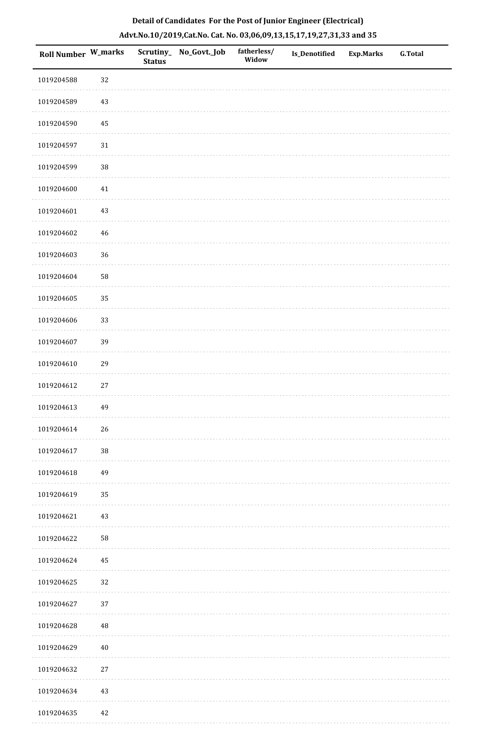| <b>Roll Number W_marks</b> |          | <b>Status</b> | Scrutiny_ No_Govt._Job | fatherless/<br>Widow | Is_Denotified | <b>Exp.Marks</b> | <b>G.Total</b> |
|----------------------------|----------|---------------|------------------------|----------------------|---------------|------------------|----------------|
| 1019204588                 | 32       |               |                        |                      |               |                  |                |
| 1019204589                 | $43\,$   |               |                        |                      |               |                  |                |
| 1019204590                 | $\bf 45$ |               |                        |                      |               |                  |                |
| 1019204597                 | $31\,$   |               |                        |                      |               |                  |                |
| 1019204599                 | $38\,$   |               |                        |                      |               |                  |                |
| 1019204600                 | $41\,$   |               |                        |                      |               |                  |                |
| 1019204601                 | $43\,$   |               |                        |                      |               |                  |                |
| 1019204602                 | 46       |               |                        |                      |               |                  |                |
| 1019204603                 | 36       |               |                        |                      |               |                  |                |
| 1019204604                 | 58       |               |                        |                      |               |                  |                |
| 1019204605                 | 35       |               |                        |                      |               |                  |                |
| 1019204606                 | 33       |               |                        |                      |               |                  |                |
| 1019204607                 | 39       |               |                        |                      |               |                  |                |
| 1019204610                 | 29       |               |                        |                      |               |                  |                |
| 1019204612                 | 27       |               |                        |                      |               |                  |                |
| 1019204613                 | 49       |               |                        |                      |               |                  |                |
| 1019204614                 | 26       |               |                        |                      |               |                  |                |
| 1019204617                 | $38\,$   |               |                        |                      |               |                  |                |
| 1019204618                 | 49       |               |                        |                      |               |                  |                |
| 1019204619                 | 35       |               |                        |                      |               |                  |                |
| 1019204621                 | $43\,$   |               |                        |                      |               |                  |                |
| 1019204622                 | 58       |               |                        |                      |               |                  |                |
| 1019204624                 | 45       |               |                        |                      |               |                  |                |
| 1019204625                 | $32\,$   |               |                        |                      |               |                  |                |
| 1019204627                 | 37       |               |                        |                      |               |                  |                |
| 1019204628                 | $\rm 48$ |               |                        |                      |               |                  |                |
| 1019204629                 | $40\,$   |               |                        |                      |               |                  |                |
| 1019204632                 | $27\,$   |               |                        |                      |               |                  |                |
| 1019204634                 | $43\,$   |               |                        |                      |               |                  |                |
| 1019204635                 | $42\,$   |               |                        |                      |               |                  |                |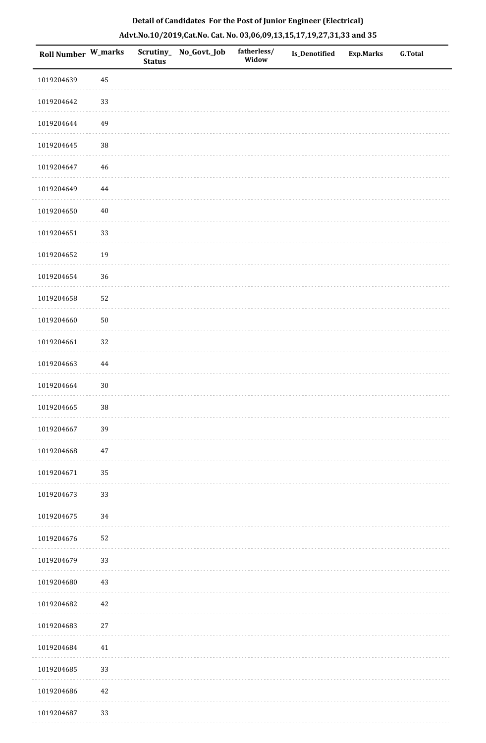| Detail of Candidates For the Post of Junior Engineer (Electrical) |                                                                       |               |                       |                      |                      |           |                |  |  |  |  |
|-------------------------------------------------------------------|-----------------------------------------------------------------------|---------------|-----------------------|----------------------|----------------------|-----------|----------------|--|--|--|--|
|                                                                   | Advt.No.10/2019,Cat.No. Cat. No. 03,06,09,13,15,17,19,27,31,33 and 35 |               |                       |                      |                      |           |                |  |  |  |  |
| Roll Number W_marks                                               |                                                                       | <b>Status</b> | Scrutiny_No_Govt._Job | fatherless/<br>Widow | <b>Is Denotified</b> | Exp.Marks | <b>G.Total</b> |  |  |  |  |
| 1019204639                                                        | 45                                                                    |               |                       |                      |                      |           |                |  |  |  |  |

|            | <b>Status</b><br>******* |  |
|------------|--------------------------|--|
| 1019204639 | 45                       |  |
| 1019204642 | 33                       |  |
| 1019204644 | 49                       |  |
| 1019204645 | $38\,$                   |  |
| 1019204647 | 46                       |  |
| 1019204649 | $\bf 44$                 |  |
| 1019204650 | $40\,$                   |  |
| 1019204651 | 33                       |  |
| 1019204652 | 19                       |  |
| 1019204654 | 36                       |  |
| 1019204658 | 52                       |  |
| 1019204660 | $50\,$                   |  |
| 1019204661 | 32                       |  |
| 1019204663 | 44                       |  |
| 1019204664 | 30                       |  |
| 1019204665 | $38\,$                   |  |
| 1019204667 | 39                       |  |
| 1019204668 | $47\,$                   |  |
| 1019204671 | 35                       |  |
| 1019204673 | 33                       |  |
| 1019204675 | 34                       |  |
| 1019204676 | 52                       |  |
| 1019204679 | 33                       |  |
| 1019204680 | 43                       |  |
| 1019204682 | $42\,$                   |  |
| 1019204683 | $27\,$                   |  |
| 1019204684 | $41\,$                   |  |
| 1019204685 | 33                       |  |
| 1019204686 | $42\,$                   |  |
| 1019204687 | 33                       |  |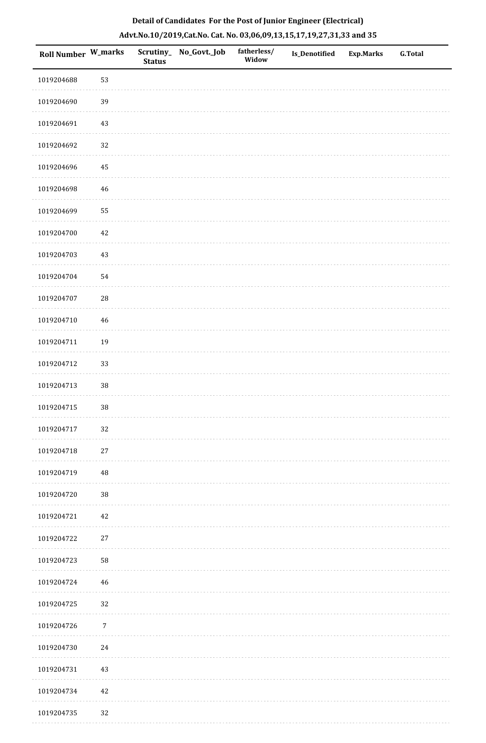|  | Detail of Candidates For the Post of Junior Engineer (Electrical)     |  |
|--|-----------------------------------------------------------------------|--|
|  | Advt.No.10/2019,Cat.No. Cat. No. 03,06,09,13,15,17,19,27,31,33 and 35 |  |

| Roll Number W_marks |             | <b>Status</b> | Scrutiny_ No_Govt._Job | fatherless/<br>Widow | Is_Denotified | <b>Exp.Marks</b> | <b>G.Total</b> |
|---------------------|-------------|---------------|------------------------|----------------------|---------------|------------------|----------------|
| 1019204688          | 53          |               |                        |                      |               |                  |                |
| 1019204690          | 39          |               |                        |                      |               |                  |                |
| 1019204691          | $43\,$      |               |                        |                      |               |                  |                |
| 1019204692          | 32          |               |                        |                      |               |                  |                |
| 1019204696          | 45          |               |                        |                      |               |                  |                |
| 1019204698          | $\sqrt{46}$ |               |                        |                      |               |                  |                |
| 1019204699          | 55          |               |                        |                      |               |                  |                |
| 1019204700          | 42          |               |                        |                      |               |                  |                |
| 1019204703          | $43\,$      |               |                        |                      |               |                  |                |
| 1019204704          | 54          |               |                        |                      |               |                  |                |
| 1019204707          | ${\bf 28}$  |               |                        |                      |               |                  |                |
| 1019204710          | $46\,$      |               |                        |                      |               |                  |                |
| 1019204711          | 19          |               |                        |                      |               |                  |                |
| 1019204712          | 33          |               |                        |                      |               |                  |                |
| 1019204713          | 38          |               |                        |                      |               |                  |                |
| 1019204715          | 38          |               |                        |                      |               |                  |                |
| 1019204717          | 32          |               |                        |                      |               |                  |                |
| 1019204718          | $27\,$      |               |                        |                      |               |                  |                |
| 1019204719          | $\rm 48$    |               |                        |                      |               |                  |                |
| 1019204720          | $38\,$      |               |                        |                      |               |                  |                |
| 1019204721          | $42\,$      |               |                        |                      |               |                  |                |
| 1019204722          | $27\,$      |               |                        |                      |               |                  |                |
| 1019204723          | 58          |               |                        |                      |               |                  |                |
| 1019204724          | 46          |               |                        |                      |               |                  |                |
| 1019204725          | 32          |               |                        |                      |               |                  |                |
| 1019204726          | $\sqrt{7}$  |               |                        |                      |               |                  |                |
| 1019204730          | 24          |               |                        |                      |               |                  |                |
| 1019204731          | 43          |               |                        |                      |               |                  |                |
| 1019204734          | $42\,$      |               |                        |                      |               |                  |                |
| 1019204735          | 32          |               |                        |                      |               |                  |                |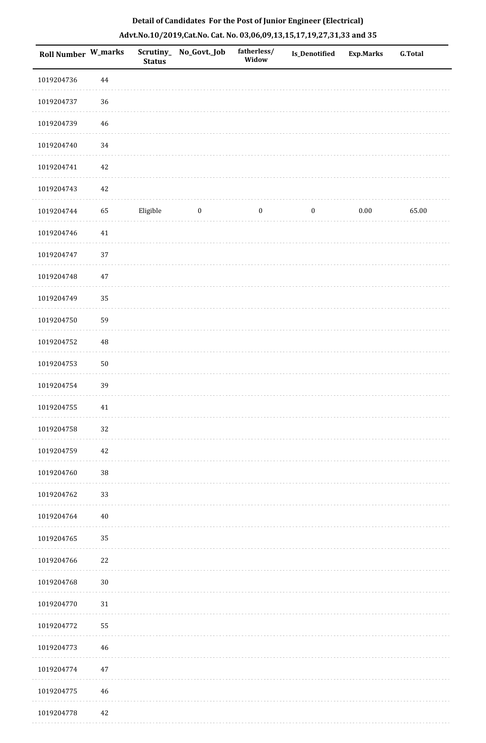| Roll Number W_marks |             | <b>Status</b> | Scrutiny_No_Govt._Job | fatherless/<br>Widow | Is_Denotified    | <b>Exp.Marks</b> | <b>G.Total</b> |
|---------------------|-------------|---------------|-----------------------|----------------------|------------------|------------------|----------------|
| 1019204736          | $\bf 44$    |               |                       |                      |                  |                  |                |
| 1019204737          | $36\,$      |               |                       |                      |                  |                  |                |
| 1019204739          | $\sqrt{46}$ |               |                       |                      |                  |                  |                |
| 1019204740          | $34\,$      |               |                       |                      |                  |                  |                |
| 1019204741          | 42          |               |                       |                      |                  |                  |                |
| 1019204743          | 42          |               |                       |                      |                  |                  |                |
| 1019204744          | 65          | Eligible      | $\boldsymbol{0}$      | $\boldsymbol{0}$     | $\boldsymbol{0}$ | $0.00\,$         | 65.00          |
| 1019204746          | $41\,$      |               |                       |                      |                  |                  |                |
| 1019204747          | 37          |               |                       |                      |                  |                  |                |
| 1019204748          | $47\,$      |               |                       |                      |                  |                  |                |
| 1019204749          | 35          |               |                       |                      |                  |                  |                |
| 1019204750          | 59          |               |                       |                      |                  |                  |                |
| 1019204752          | $\rm 48$    |               |                       |                      |                  |                  |                |
| 1019204753          | $50\,$      |               |                       |                      |                  |                  |                |
| 1019204754          | 39          |               |                       |                      |                  |                  |                |
| 1019204755          | 41          |               |                       |                      |                  |                  |                |
| 1019204758          | $32\,$      |               |                       |                      |                  |                  |                |
| 1019204759          | 42          |               |                       |                      |                  |                  |                |
| 1019204760          | $38\,$      |               |                       |                      |                  |                  |                |
| 1019204762          | 33          |               |                       |                      |                  |                  |                |
| 1019204764          | $40\,$      |               |                       |                      |                  |                  |                |
| 1019204765          | 35          |               |                       |                      |                  |                  |                |
| 1019204766          | 22          |               |                       |                      |                  |                  |                |
| 1019204768          | $30\,$      |               |                       |                      |                  |                  |                |
| 1019204770          | $31\,$      |               |                       |                      |                  |                  |                |
| 1019204772          | 55          |               |                       |                      |                  |                  |                |
| 1019204773          | 46          |               |                       |                      |                  |                  |                |
| 1019204774          | 47          |               |                       |                      |                  |                  |                |
| 1019204775          | 46          |               |                       |                      |                  |                  |                |
| 1019204778          | 42          |               |                       |                      |                  |                  |                |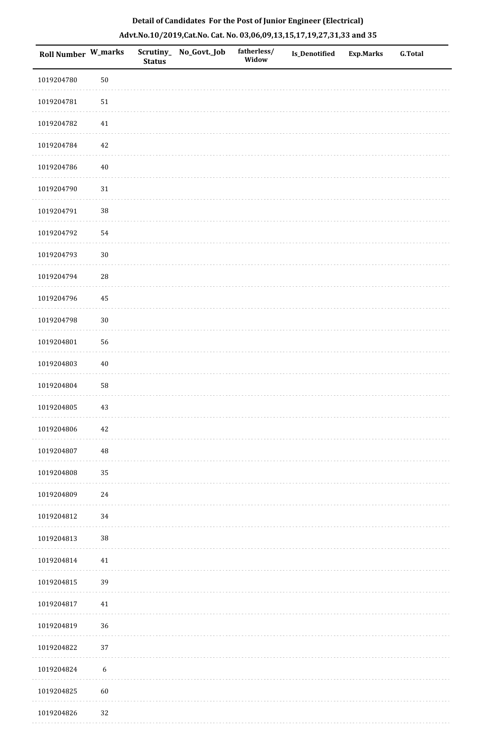| Roll Number W_marks |                  | <b>Status</b> | Scrutiny_ No_Govt._Job | fatherless/<br>Widow | Is_Denotified | <b>Exp.Marks</b> | G.Total |
|---------------------|------------------|---------------|------------------------|----------------------|---------------|------------------|---------|
| 1019204780          | $50\,$           |               |                        |                      |               |                  |         |
| 1019204781          | $51\,$           |               |                        |                      |               |                  |         |
| 1019204782          | $41\,$           |               |                        |                      |               |                  |         |
| 1019204784          | 42               |               |                        |                      |               |                  |         |
| 1019204786          | $40\,$           |               |                        |                      |               |                  |         |
| 1019204790          | $31\,$           |               |                        |                      |               |                  |         |
| 1019204791          | $38\,$           |               |                        |                      |               |                  |         |
| 1019204792          | 54               |               |                        |                      |               |                  |         |
| 1019204793          | $30\,$           |               |                        |                      |               |                  |         |
| 1019204794          | $28\,$           |               |                        |                      |               |                  |         |
| 1019204796          | 45               |               |                        |                      |               |                  |         |
| 1019204798          | $30\,$           |               |                        |                      |               |                  |         |
| 1019204801          | 56               |               |                        |                      |               |                  |         |
| 1019204803          | $40\,$           |               |                        |                      |               |                  |         |
| 1019204804          | 58               |               |                        |                      |               |                  |         |
| 1019204805          | 43               |               |                        |                      |               |                  |         |
| 1019204806          | $42\,$           |               |                        |                      |               |                  |         |
| 1019204807          | $\rm 48$         |               |                        |                      |               |                  |         |
| 1019204808          | 35               |               |                        |                      |               |                  |         |
| 1019204809          | 24               |               |                        |                      |               |                  |         |
| 1019204812          | 34               |               |                        |                      |               |                  |         |
| 1019204813          | $38\,$           |               |                        |                      |               |                  |         |
| 1019204814          | 41               |               |                        |                      |               |                  |         |
| 1019204815          | 39               |               |                        |                      |               |                  |         |
| 1019204817          | $41\,$           |               |                        |                      |               |                  |         |
| 1019204819          | $36\,$           |               |                        |                      |               |                  |         |
| 1019204822          | 37               |               |                        |                      |               |                  |         |
| 1019204824          | $\boldsymbol{6}$ |               |                        |                      |               |                  |         |
| 1019204825          | 60               |               |                        |                      |               |                  |         |
| 1019204826          | 32               |               |                        |                      |               |                  |         |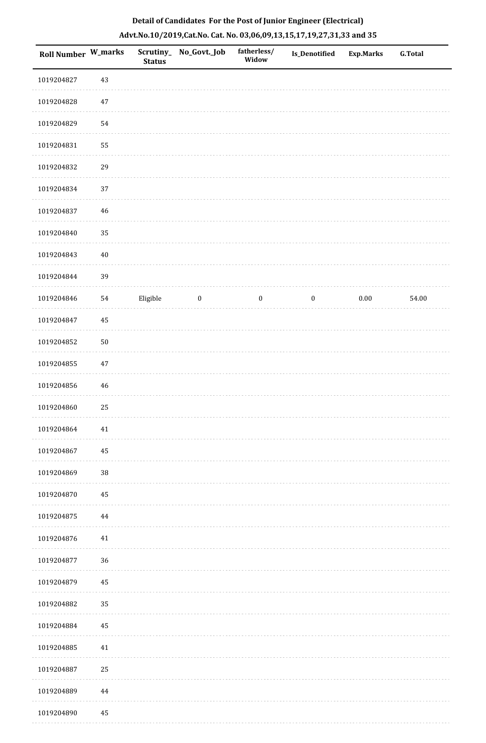| Roll Number W_marks |             | <b>Status</b> | Scrutiny_ No_Govt._Job | fatherless/<br>Widow | Is_Denotified    | <b>Exp.Marks</b> | <b>G.Total</b> |
|---------------------|-------------|---------------|------------------------|----------------------|------------------|------------------|----------------|
| 1019204827          | 43          |               |                        |                      |                  |                  |                |
| 1019204828          | 47          |               |                        |                      |                  |                  |                |
| 1019204829          | 54          |               |                        |                      |                  |                  |                |
| 1019204831          | 55          |               |                        |                      |                  |                  |                |
| 1019204832          | 29          |               |                        |                      |                  |                  |                |
| 1019204834          | 37          |               |                        |                      |                  |                  |                |
| 1019204837          | $46\,$      |               |                        |                      |                  |                  |                |
| 1019204840          | 35          |               |                        |                      |                  |                  |                |
| 1019204843          | $40\,$      |               |                        |                      |                  |                  |                |
| 1019204844          | 39          |               |                        |                      |                  |                  |                |
| 1019204846          | 54          | Eligible      | $\bf{0}$               | $\boldsymbol{0}$     | $\boldsymbol{0}$ | $0.00\,$         | 54.00          |
| 1019204847          | 45          |               |                        |                      |                  |                  |                |
| 1019204852          | $50\,$      |               |                        |                      |                  |                  |                |
| 1019204855          | $47\,$      |               |                        |                      |                  |                  |                |
| 1019204856          | $\sqrt{46}$ |               |                        |                      |                  |                  |                |
| 1019204860          | 25          |               |                        |                      |                  |                  |                |
| 1019204864          | 41          |               |                        |                      |                  |                  |                |
| 1019204867          | 45          |               |                        |                      |                  |                  |                |
| 1019204869          | 38          |               |                        |                      |                  |                  |                |
| 1019204870          | $\rm 45$    |               |                        |                      |                  |                  |                |
| 1019204875          | 44          |               |                        |                      |                  |                  |                |
| 1019204876          | 41          |               |                        |                      |                  |                  |                |
| 1019204877          | 36          |               |                        |                      |                  |                  |                |
| 1019204879          | 45          |               |                        |                      |                  |                  |                |
| 1019204882          | 35          |               |                        |                      |                  |                  |                |
| 1019204884          | 45          |               |                        |                      |                  |                  |                |
| 1019204885          | 41          |               |                        |                      |                  |                  |                |
| 1019204887          | 25          |               |                        |                      |                  |                  |                |
| 1019204889          | 44          |               |                        |                      |                  |                  |                |
| 1019204890          | $\rm 45$    |               |                        |                      |                  |                  |                |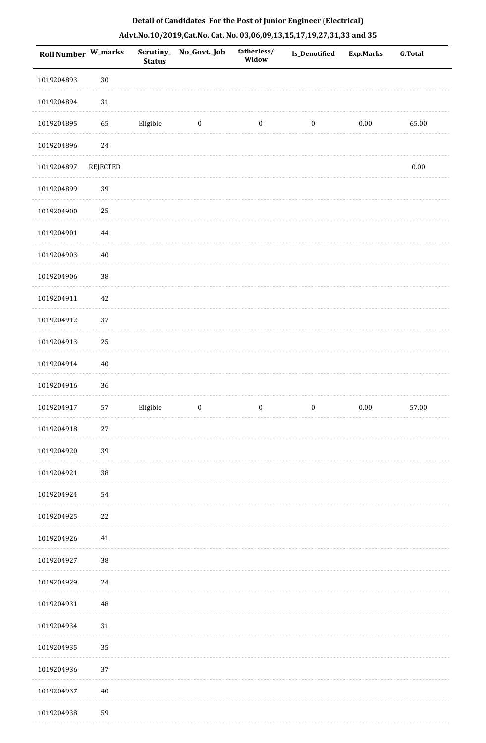| <b>Roll Number W_marks</b> |          | <b>Status</b> | Scrutiny_ No_Govt._Job | fatherless/<br>Widow | Is_Denotified    | <b>Exp.Marks</b> | <b>G.Total</b> |
|----------------------------|----------|---------------|------------------------|----------------------|------------------|------------------|----------------|
| 1019204893                 | $30\,$   |               |                        |                      |                  |                  |                |
| 1019204894                 | $31\,$   |               |                        |                      |                  |                  |                |
| 1019204895                 | 65       | Eligible      | $\bf{0}$               | $\boldsymbol{0}$     | $\boldsymbol{0}$ | $0.00\,$         | 65.00          |
| 1019204896                 | 24       |               |                        |                      |                  |                  |                |
| 1019204897                 | REJECTED |               |                        |                      |                  |                  | $0.00\,$       |
| 1019204899                 | 39       |               |                        |                      |                  |                  |                |
| 1019204900                 | 25       |               |                        |                      |                  |                  |                |
| 1019204901                 | 44       |               |                        |                      |                  |                  |                |
| 1019204903                 | $40\,$   |               |                        |                      |                  |                  |                |
| 1019204906                 | 38       |               |                        |                      |                  |                  |                |
| 1019204911                 | $42\,$   |               |                        |                      |                  |                  |                |
| 1019204912                 | 37       |               |                        |                      |                  |                  |                |
| 1019204913                 | 25       |               |                        |                      |                  |                  |                |
| 1019204914                 | $40\,$   |               |                        |                      |                  |                  |                |
| 1019204916                 | 36       |               |                        |                      |                  |                  |                |
| 1019204917                 | 57       | Eligible      | $\boldsymbol{0}$       | $\boldsymbol{0}$     | $\boldsymbol{0}$ | $0.00\,$         | 57.00          |
| 1019204918                 | $27\,$   |               |                        |                      |                  |                  |                |
| 1019204920                 | 39       |               |                        |                      |                  |                  |                |
| 1019204921                 | 38       |               |                        |                      |                  |                  |                |
| 1019204924                 | 54       |               |                        |                      |                  |                  |                |
| 1019204925                 | $22\,$   |               |                        |                      |                  |                  |                |
| 1019204926                 | 41       |               |                        |                      |                  |                  |                |
| 1019204927                 | $38\,$   |               |                        |                      |                  |                  |                |
| 1019204929                 | $24\,$   |               |                        |                      |                  |                  |                |
| 1019204931                 | 48       |               |                        |                      |                  |                  |                |
| 1019204934                 | $31\,$   |               |                        |                      |                  |                  |                |
| 1019204935                 | 35       |               |                        |                      |                  |                  |                |
| 1019204936                 | 37       |               |                        |                      |                  |                  |                |
| 1019204937                 | $40\,$   |               |                        |                      |                  |                  |                |
| 1019204938                 | 59       |               |                        |                      |                  |                  |                |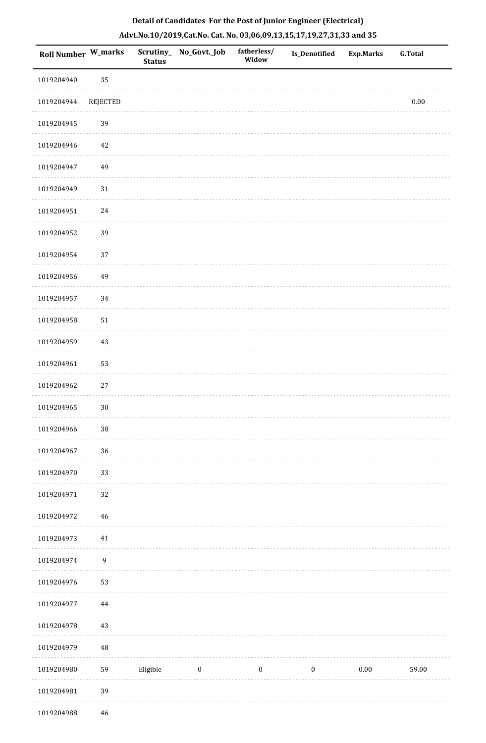|  | Detail of Candidates For the Post of Junior Engineer (Electrical)     |  |
|--|-----------------------------------------------------------------------|--|
|  | Advt.No.10/2019,Cat.No. Cat. No. 03,06,09,13,15,17,19,27,31,33 and 35 |  |

| Roll Number W_marks |                  | <b>Status</b> | Scrutiny_ No_Govt._Job | fatherless/<br>Widow | <b>Is_Denotified</b> | <b>Exp.Marks</b> | <b>G.Total</b> |
|---------------------|------------------|---------------|------------------------|----------------------|----------------------|------------------|----------------|
| 1019204940          | 35               |               |                        |                      |                      |                  |                |
| 1019204944          | <b>REJECTED</b>  |               |                        |                      |                      |                  | $0.00\,$       |
| 1019204945          | 39               |               |                        |                      |                      |                  |                |
| 1019204946          | 42               |               |                        |                      |                      |                  |                |
| 1019204947          | 49               |               |                        |                      |                      |                  |                |
| 1019204949          | $31\,$           |               |                        |                      |                      |                  |                |
| 1019204951          | $24\,$           |               |                        |                      |                      |                  |                |
| 1019204952          | 39               |               |                        |                      |                      |                  |                |
| 1019204954          | 37               |               |                        |                      |                      |                  |                |
| 1019204956          | 49               |               |                        |                      |                      |                  |                |
| 1019204957          | 34               |               |                        |                      |                      |                  |                |
| 1019204958          | $51\,$           |               |                        |                      |                      |                  |                |
| 1019204959          | $43\,$           |               |                        |                      |                      |                  |                |
| 1019204961          | 53               |               |                        |                      |                      |                  |                |
| 1019204962          | $27\,$           |               |                        |                      |                      |                  |                |
| 1019204965          | $30\,$           |               |                        |                      |                      |                  |                |
| 1019204966          | $38\,$           |               |                        |                      |                      |                  |                |
| 1019204967          | 36               |               |                        |                      |                      |                  |                |
| 1019204970          | 33               |               |                        |                      |                      |                  |                |
| 1019204971          | 32               |               |                        |                      |                      |                  |                |
| 1019204972          | 46               |               |                        |                      |                      |                  |                |
| 1019204973          | $41\,$           |               |                        |                      |                      |                  |                |
| 1019204974          | $\boldsymbol{9}$ |               |                        |                      |                      |                  |                |
| 1019204976          | 53               |               |                        |                      |                      |                  |                |
| 1019204977          | $\bf 44$         |               |                        |                      |                      |                  |                |
| 1019204978          | $43\,$           |               |                        |                      |                      |                  |                |
| 1019204979          | $\rm 48$         |               |                        |                      |                      |                  |                |
| 1019204980          | 59               | Eligible      | $\bf{0}$               | $\boldsymbol{0}$     | $\boldsymbol{0}$     | 0.00             | 59.00          |
| 1019204981          | 39               |               |                        |                      |                      |                  |                |
| 1019204988          | $\sqrt{46}$      |               |                        |                      |                      |                  |                |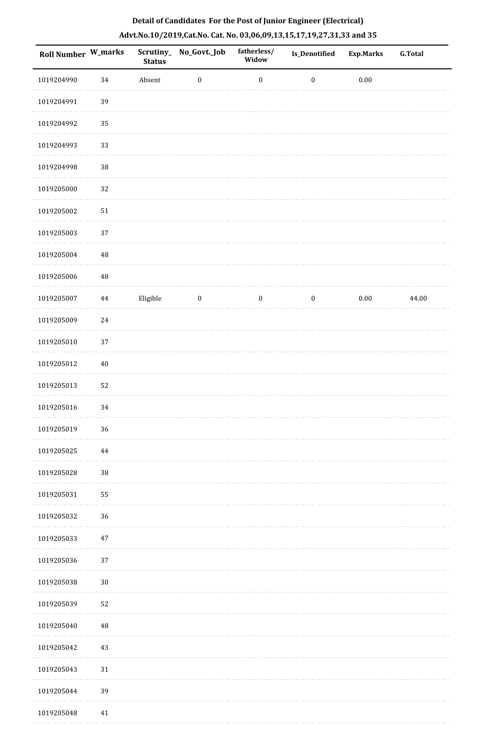| Roll Number W_marks |          | <b>Status</b> | Scrutiny_No_Govt._Job | fatherless/<br>Widow | Is_Denotified    | <b>Exp.Marks</b> | <b>G.Total</b> |
|---------------------|----------|---------------|-----------------------|----------------------|------------------|------------------|----------------|
| 1019204990          | $34\,$   | Absent        | $\boldsymbol{0}$      | $\boldsymbol{0}$     | $\boldsymbol{0}$ | $0.00\,$         |                |
| 1019204991          | 39       |               |                       |                      |                  |                  |                |
| 1019204992          | 35       |               |                       |                      |                  |                  |                |
| 1019204993          | 33       |               |                       |                      |                  |                  |                |
| 1019204998          | $38\,$   |               |                       |                      |                  |                  |                |
| 1019205000          | 32       |               |                       |                      |                  |                  |                |
| 1019205002          | $51\,$   |               |                       |                      |                  |                  |                |
| 1019205003          | 37       |               |                       |                      |                  |                  |                |
| 1019205004          | $\rm 48$ |               |                       |                      |                  |                  |                |
| 1019205006          | $\rm 48$ |               |                       |                      |                  |                  |                |
| 1019205007          | $\bf 44$ | Eligible      | $\boldsymbol{0}$      | $\boldsymbol{0}$     | $\boldsymbol{0}$ | $0.00\,$         | 44.00          |
| 1019205009          | 24       |               |                       |                      |                  |                  |                |
| 1019205010          | $37\,$   |               |                       |                      |                  |                  |                |
| 1019205012          | $40\,$   |               |                       |                      |                  |                  |                |
| 1019205013          | 52       |               |                       |                      |                  |                  |                |
| 1019205016          | 34       |               |                       |                      |                  |                  |                |
| 1019205019          | 36       |               |                       |                      |                  |                  |                |
| 1019205025          | $\bf 44$ |               |                       |                      |                  |                  |                |
| 1019205028          | 38       |               |                       |                      |                  |                  |                |
| 1019205031          | 55       |               |                       |                      |                  |                  |                |
| 1019205032          | 36       |               |                       |                      |                  |                  |                |
| 1019205033          | 47       |               |                       |                      |                  |                  |                |
| 1019205036          | 37       |               |                       |                      |                  |                  |                |
| 1019205038          | $30\,$   |               |                       |                      |                  |                  |                |
| 1019205039          | 52       |               |                       |                      |                  |                  |                |
| 1019205040          | $\rm 48$ |               |                       |                      |                  |                  |                |
| 1019205042          | 43       |               |                       |                      |                  |                  |                |
| 1019205043          | $31\,$   |               |                       |                      |                  |                  |                |
| 1019205044          | 39       |               |                       |                      |                  |                  |                |
| 1019205048          | $41\,$   |               |                       |                      |                  |                  |                |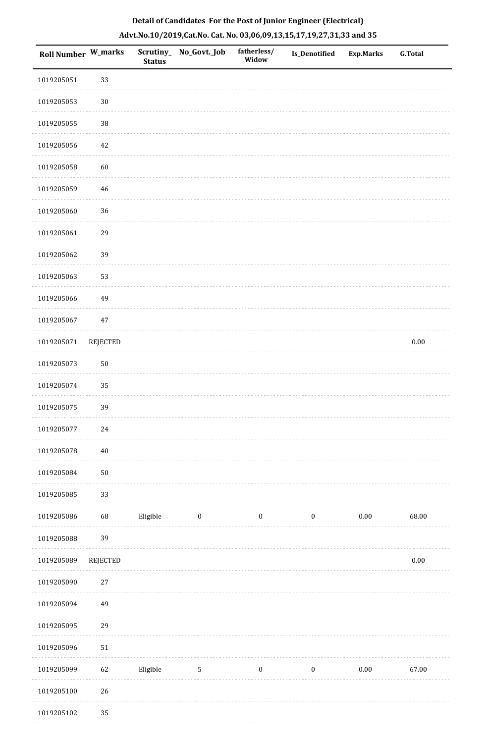| Roll Number W_marks |                 | <b>Status</b> | Scrutiny_No_Govt._Job | fatherless/<br>Widow | <b>Is_Denotified</b> | <b>Exp.Marks</b> | <b>G.Total</b> |
|---------------------|-----------------|---------------|-----------------------|----------------------|----------------------|------------------|----------------|
| 1019205051          | 33              |               |                       |                      |                      |                  |                |
| 1019205053          | $30\,$          |               |                       |                      |                      |                  |                |
| 1019205055          | $38\,$          |               |                       |                      |                      |                  |                |
| 1019205056          | 42              |               |                       |                      |                      |                  |                |
| 1019205058          | 60              |               |                       |                      |                      |                  |                |
| 1019205059          | 46              |               |                       |                      |                      |                  |                |
| 1019205060          | 36              |               |                       |                      |                      |                  |                |
| 1019205061          | 29              |               |                       |                      |                      |                  |                |
| 1019205062          | 39              |               |                       |                      |                      |                  |                |
| 1019205063          | 53              |               |                       |                      |                      |                  |                |
| 1019205066          | 49              |               |                       |                      |                      |                  |                |
| 1019205067          | $47\,$          |               |                       |                      |                      |                  |                |
| 1019205071          | <b>REJECTED</b> |               |                       |                      |                      |                  | $0.00\,$       |
| 1019205073          | $50\,$          |               |                       |                      |                      |                  |                |
| 1019205074          | 35              |               |                       |                      |                      |                  |                |
| 1019205075          | 39              |               |                       |                      |                      |                  |                |
| 1019205077          | $24\,$          |               |                       |                      |                      |                  |                |
| 1019205078          | $40\,$          |               |                       |                      |                      |                  |                |
| 1019205084          | $50\,$          |               |                       |                      |                      |                  |                |
| 1019205085          | 33              |               |                       |                      |                      |                  |                |
| 1019205086          | 68              | Eligible      | $\bf{0}$              | $\boldsymbol{0}$     | $\boldsymbol{0}$     | $0.00\,$         | 68.00          |
| 1019205088          | 39              |               |                       |                      |                      |                  |                |
| 1019205089          | <b>REJECTED</b> |               |                       |                      |                      |                  | $0.00\,$       |
| 1019205090          | $27\,$          |               |                       |                      |                      |                  |                |
| 1019205094          | 49              |               |                       |                      |                      |                  |                |
| 1019205095          | 29              |               |                       |                      |                      |                  |                |
| 1019205096          | $51\,$          |               |                       |                      |                      |                  |                |
| 1019205099          | 62              | Eligible      | $\mathsf S$           | $\boldsymbol{0}$     | $\boldsymbol{0}$     | $0.00\,$         | 67.00          |
| 1019205100          | $26\,$          |               |                       |                      |                      |                  |                |
| 1019205102          | 35              |               |                       |                      |                      |                  |                |

a sala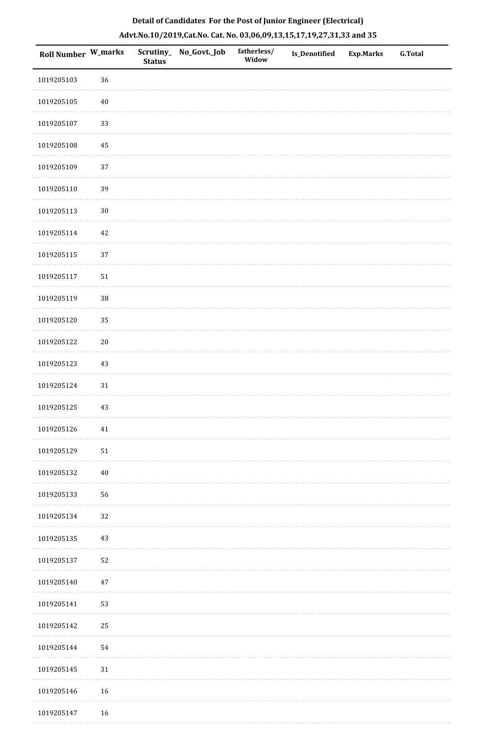| Roll Number W_marks |            | <b>Status</b> | Scrutiny_ No_Govt._Job | fatherless/<br>Widow | Is_Denotified | <b>Exp.Marks</b> | G.Total |
|---------------------|------------|---------------|------------------------|----------------------|---------------|------------------|---------|
| 1019205103          | 36         |               |                        |                      |               |                  |         |
| 1019205105          | $40\,$     |               |                        |                      |               |                  |         |
| 1019205107          | 33         |               |                        |                      |               |                  |         |
| 1019205108          | 45         |               |                        |                      |               |                  |         |
| 1019205109          | 37         |               |                        |                      |               |                  |         |
| 1019205110          | 39         |               |                        |                      |               |                  |         |
| 1019205113          | $30\,$     |               |                        |                      |               |                  |         |
| 1019205114          | $42\,$     |               |                        |                      |               |                  |         |
| 1019205115          | 37         |               |                        |                      |               |                  |         |
| 1019205117          | $51\,$     |               |                        |                      |               |                  |         |
| 1019205119          | 38         |               |                        |                      |               |                  |         |
| 1019205120          | 35         |               |                        |                      |               |                  |         |
| 1019205122          | $20\,$     |               |                        |                      |               |                  |         |
| 1019205123          | $43\,$     |               |                        |                      |               |                  |         |
| 1019205124          | $31\,$     |               |                        |                      |               |                  |         |
| 1019205125          | 43         |               |                        |                      |               |                  |         |
| 1019205126          | $41\,$     |               |                        |                      |               |                  |         |
| 1019205129          | ${\bf 51}$ |               |                        |                      |               |                  |         |
| 1019205132          | $40\,$     |               |                        |                      |               |                  |         |
| 1019205133          | 56         |               |                        |                      |               |                  |         |
| 1019205134          | 32         |               |                        |                      |               |                  |         |
| 1019205135          | 43         |               |                        |                      |               |                  |         |
| 1019205137          | 52         |               |                        |                      |               |                  |         |
| 1019205140          | $47\,$     |               |                        |                      |               |                  |         |
| 1019205141          | 53         |               |                        |                      |               |                  |         |
| 1019205142          | $25\,$     |               |                        |                      |               |                  |         |
| 1019205144          | 54         |               |                        |                      |               |                  |         |
| 1019205145          | $31\,$     |               |                        |                      |               |                  |         |
| 1019205146          | 16         |               |                        |                      |               |                  |         |
| 1019205147          | $16\,$     |               |                        |                      |               |                  |         |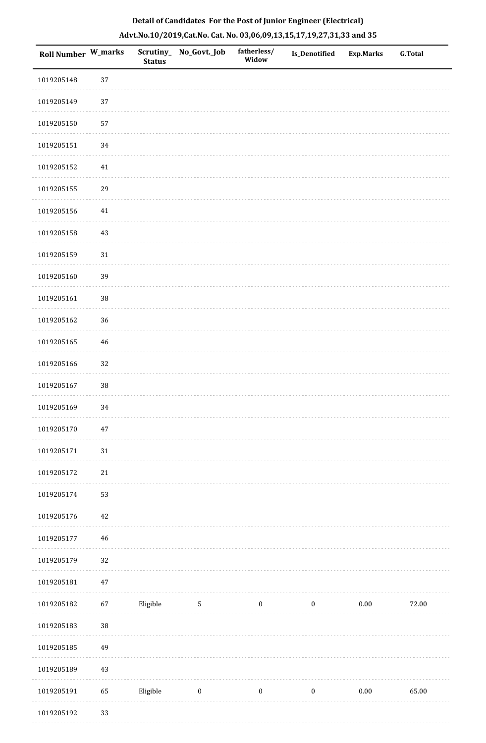| Roll Number W_marks |        | Scrutiny_<br><b>Status</b> | No_Govt._Job     | fatherless/<br>Widow | <b>Is_Denotified</b> | <b>Exp.Marks</b> | <b>G.Total</b> |
|---------------------|--------|----------------------------|------------------|----------------------|----------------------|------------------|----------------|
| 1019205148          | 37     |                            |                  |                      |                      |                  |                |
| 1019205149          | 37     |                            |                  |                      |                      |                  |                |
| 1019205150          | 57     |                            |                  |                      |                      |                  |                |
| 1019205151          | 34     |                            |                  |                      |                      |                  |                |
| 1019205152          | $41\,$ |                            |                  |                      |                      |                  |                |
| 1019205155          | 29     |                            |                  |                      |                      |                  |                |
| 1019205156          | 41     |                            |                  |                      |                      |                  |                |
| 1019205158          | $43\,$ |                            |                  |                      |                      |                  |                |
| 1019205159          | $31\,$ |                            |                  |                      |                      |                  |                |
| 1019205160          | 39     |                            |                  |                      |                      |                  |                |
| 1019205161          | $38\,$ |                            |                  |                      |                      |                  |                |
| 1019205162          | 36     |                            |                  |                      |                      |                  |                |
| 1019205165          | $46\,$ |                            |                  |                      |                      |                  |                |
| 1019205166          | 32     |                            |                  |                      |                      |                  |                |
| 1019205167          | 38     |                            |                  |                      |                      |                  |                |
| 1019205169          | 34     |                            |                  |                      |                      |                  |                |
| 1019205170          | $47\,$ |                            |                  |                      |                      |                  |                |
| 1019205171          | $31\,$ |                            |                  |                      |                      |                  |                |
| 1019205172          | $21\,$ |                            |                  |                      |                      |                  |                |
| 1019205174          | 53     |                            |                  |                      |                      |                  |                |
| 1019205176          | $42\,$ |                            |                  |                      |                      |                  |                |
| 1019205177          | 46     |                            |                  |                      |                      |                  |                |
| 1019205179          | $32\,$ |                            |                  |                      |                      |                  |                |
| 1019205181          | $47\,$ |                            |                  |                      |                      |                  |                |
| 1019205182          | 67     | Eligible                   | $\overline{5}$   | $\boldsymbol{0}$     | $\boldsymbol{0}$     | $0.00\,$         | 72.00          |
| 1019205183          | 38     |                            |                  |                      |                      |                  |                |
| 1019205185          | 49     |                            |                  |                      |                      |                  |                |
| 1019205189          | 43     |                            |                  |                      |                      |                  |                |
| 1019205191          | 65     | Eligible                   | $\boldsymbol{0}$ | $\boldsymbol{0}$     | $\boldsymbol{0}$     | $0.00\,$         | 65.00          |
| 1019205192          | 33     |                            |                  |                      |                      |                  |                |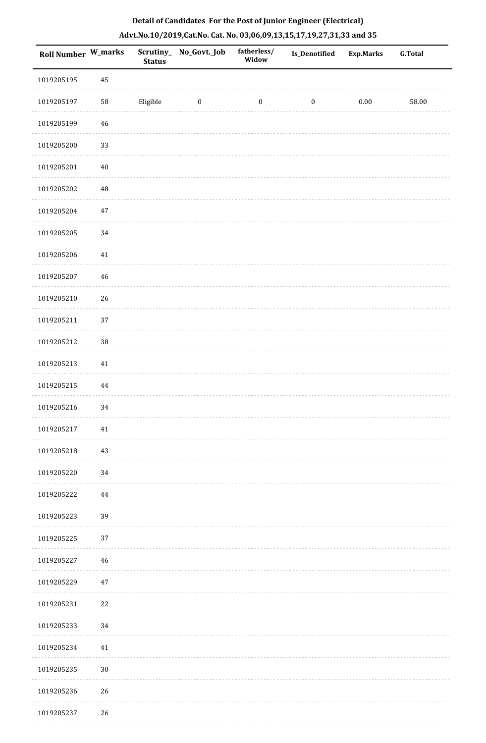| Roll Number W_marks |             | <b>Status</b> | Scrutiny_ No_Govt._Job | fatherless/<br>Widow | Is_Denotified    | <b>Exp.Marks</b> | <b>G.Total</b> |
|---------------------|-------------|---------------|------------------------|----------------------|------------------|------------------|----------------|
| 1019205195          | 45          |               |                        |                      |                  |                  |                |
| 1019205197          | 58          | Eligible      | $\bf{0}$               | $\boldsymbol{0}$     | $\boldsymbol{0}$ | $0.00\,$         | 58.00          |
| 1019205199          | $\sqrt{46}$ |               |                        |                      |                  |                  |                |
| 1019205200          | 33          |               |                        |                      |                  |                  |                |
| 1019205201          | $40\,$      |               |                        |                      |                  |                  |                |
| 1019205202          | 48          |               |                        |                      |                  |                  |                |
| 1019205204          | $47\,$      |               |                        |                      |                  |                  |                |
| 1019205205          | $34\,$      |               |                        |                      |                  |                  |                |
| 1019205206          | $41\,$      |               |                        |                      |                  |                  |                |
| 1019205207          | $46\,$      |               |                        |                      |                  |                  |                |
| 1019205210          | 26          |               |                        |                      |                  |                  |                |
| 1019205211          | 37          |               |                        |                      |                  |                  |                |
| 1019205212          | 38          |               |                        |                      |                  |                  |                |
| 1019205213          | 41          |               |                        |                      |                  |                  |                |
| 1019205215          | $\bf 44$    |               |                        |                      |                  |                  |                |
| 1019205216          | 34          |               |                        |                      |                  |                  |                |
| 1019205217          | 41          |               |                        |                      |                  |                  |                |
| 1019205218          | 43          |               |                        |                      |                  |                  |                |
| 1019205220          | 34          |               |                        |                      |                  |                  |                |
| 1019205222          | 44          |               |                        |                      |                  |                  |                |
| 1019205223          | 39          |               |                        |                      |                  |                  |                |
| 1019205225          | 37          |               |                        |                      |                  |                  |                |
| 1019205227          | 46          |               |                        |                      |                  |                  |                |
| 1019205229          | $47\,$      |               |                        |                      |                  |                  |                |
| 1019205231          | $22\,$      |               |                        |                      |                  |                  |                |
| 1019205233          | 34          |               |                        |                      |                  |                  |                |
| 1019205234          | 41          |               |                        |                      |                  |                  |                |
| 1019205235          | $30\,$      |               |                        |                      |                  |                  |                |
| 1019205236          | 26          |               |                        |                      |                  |                  |                |
| 1019205237          | $26\,$      |               |                        |                      |                  |                  |                |

. . . . . . . . . . .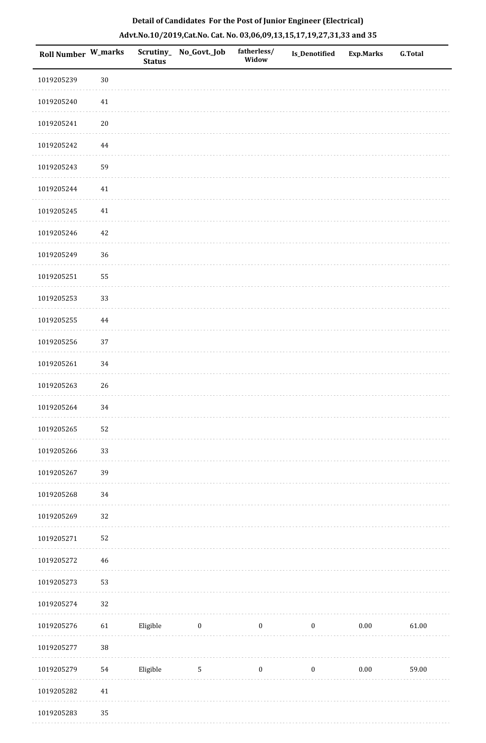| Roll Number W_marks |            | <b>Status</b> | Scrutiny_No_Govt._Job | fatherless/<br>Widow | Is_Denotified    | <b>Exp.Marks</b> | <b>G.Total</b> |
|---------------------|------------|---------------|-----------------------|----------------------|------------------|------------------|----------------|
| 1019205239          | $30\,$     |               |                       |                      |                  |                  |                |
| 1019205240          | $41\,$     |               |                       |                      |                  |                  |                |
| 1019205241          | $20\,$     |               |                       |                      |                  |                  |                |
| 1019205242          | 44         |               |                       |                      |                  |                  |                |
| 1019205243          | 59         |               |                       |                      |                  |                  |                |
| 1019205244          | $41\,$     |               |                       |                      |                  |                  |                |
| 1019205245          | 41         |               |                       |                      |                  |                  |                |
| 1019205246          | 42         |               |                       |                      |                  |                  |                |
| 1019205249          | 36         |               |                       |                      |                  |                  |                |
| 1019205251          | 55         |               |                       |                      |                  |                  |                |
| 1019205253          | 33         |               |                       |                      |                  |                  |                |
| 1019205255          | $\bf 44$   |               |                       |                      |                  |                  |                |
| 1019205256          | 37         |               |                       |                      |                  |                  |                |
| 1019205261          | 34         |               |                       |                      |                  |                  |                |
| 1019205263          | 26         |               |                       |                      |                  |                  |                |
| 1019205264          | 34         |               |                       |                      |                  |                  |                |
| 1019205265          | 52         |               |                       |                      |                  |                  |                |
| 1019205266          | 33         |               |                       |                      |                  |                  |                |
| 1019205267          | 39         |               |                       |                      |                  |                  |                |
| 1019205268          | 34         |               |                       |                      |                  |                  |                |
| 1019205269          | 32         |               |                       |                      |                  |                  |                |
| 1019205271          | 52         |               |                       |                      |                  |                  |                |
| 1019205272          | 46         |               |                       |                      |                  |                  |                |
| 1019205273          | 53         |               |                       |                      |                  |                  |                |
| 1019205274          | 32         |               |                       |                      |                  |                  |                |
| 1019205276          | 61         | Eligible      | $\boldsymbol{0}$      | $\boldsymbol{0}$     | $\boldsymbol{0}$ | 0.00             | 61.00          |
| 1019205277          | $38\,$     |               |                       |                      |                  |                  |                |
| 1019205279          | ${\bf 54}$ | Eligible      | $\mathbf{5}$          | $\boldsymbol{0}$     | $\boldsymbol{0}$ | 0.00             | 59.00          |
| 1019205282          | $41\,$     |               |                       |                      |                  |                  |                |
|                     |            |               |                       |                      |                  |                  |                |

 1019205283 35. . . . . . .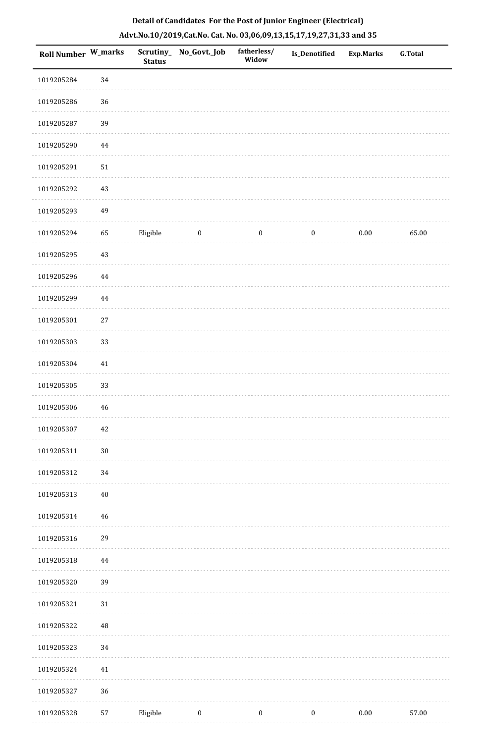| <b>Roll Number W_marks</b> |          | <b>Status</b> | Scrutiny_ No_Govt._Job | fatherless/<br>Widow | <b>Is_Denotified</b> | <b>Exp.Marks</b> | <b>G.Total</b> |
|----------------------------|----------|---------------|------------------------|----------------------|----------------------|------------------|----------------|
| 1019205284                 | 34       |               |                        |                      |                      |                  |                |
| 1019205286                 | 36       |               |                        |                      |                      |                  |                |
| 1019205287                 | 39       |               |                        |                      |                      |                  |                |
| 1019205290                 | 44       |               |                        |                      |                      |                  |                |
| 1019205291                 | $51\,$   |               |                        |                      |                      |                  |                |
| 1019205292                 | $43\,$   |               |                        |                      |                      |                  |                |
| 1019205293                 | 49       |               |                        |                      |                      |                  |                |
| 1019205294                 | 65       | Eligible      | $\boldsymbol{0}$       | $\boldsymbol{0}$     | $\boldsymbol{0}$     | $0.00\,$         | 65.00          |
| 1019205295                 | $43\,$   |               |                        |                      |                      |                  |                |
| 1019205296                 | 44       |               |                        |                      |                      |                  |                |
| 1019205299                 | $\bf 44$ |               |                        |                      |                      |                  |                |
| 1019205301                 | $27\,$   |               |                        |                      |                      |                  |                |
| 1019205303                 | 33       |               |                        |                      |                      |                  |                |
| 1019205304                 | $41\,$   |               |                        |                      |                      |                  |                |
| 1019205305                 | 33       |               |                        |                      |                      |                  |                |
| 1019205306                 | 46       |               |                        |                      |                      |                  |                |
| 1019205307                 | 42       |               |                        |                      |                      |                  |                |
| 1019205311                 | $30\,$   |               |                        |                      |                      |                  |                |
| 1019205312                 | 34       |               |                        |                      |                      |                  |                |
| 1019205313                 | $40\,$   |               |                        |                      |                      |                  |                |
| 1019205314                 | $46\,$   |               |                        |                      |                      |                  |                |
| 1019205316                 | 29       |               |                        |                      |                      |                  |                |
| 1019205318                 | 44       |               |                        |                      |                      |                  |                |
| 1019205320                 | 39       |               |                        |                      |                      |                  |                |
| 1019205321                 | $31\,$   |               |                        |                      |                      |                  |                |
| 1019205322                 | 48       |               |                        |                      |                      |                  |                |
| 1019205323                 | 34       |               |                        |                      |                      |                  |                |
| 1019205324                 | $41\,$   |               |                        |                      |                      |                  |                |
| 1019205327                 | 36       |               |                        |                      |                      |                  |                |
| 1019205328                 | 57       | Eligible      | $\boldsymbol{0}$       | $\boldsymbol{0}$     | $\boldsymbol{0}$     | $0.00\,$         | 57.00          |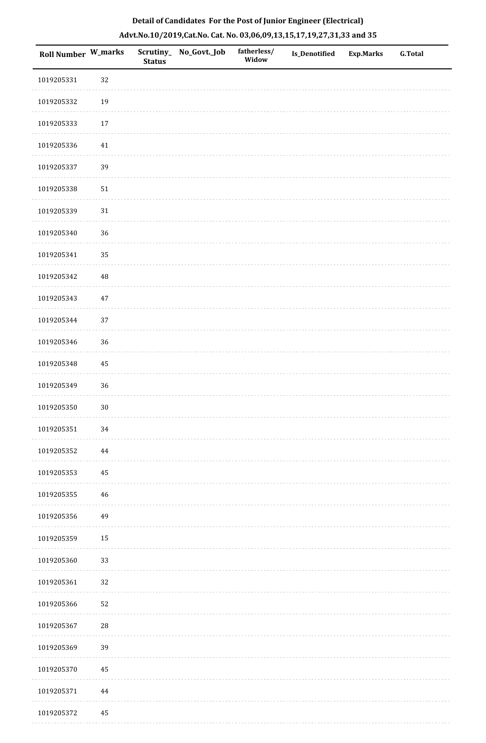| Roll Number W_marks |             | <b>Status</b> | Scrutiny_ No_Govt._Job | fatherless/<br>Widow | Is_Denotified | <b>Exp.Marks</b> | G.Total |
|---------------------|-------------|---------------|------------------------|----------------------|---------------|------------------|---------|
| 1019205331          | 32          |               |                        |                      |               |                  |         |
| 1019205332          | $19\,$      |               |                        |                      |               |                  |         |
| 1019205333          | $17\,$      |               |                        |                      |               |                  |         |
| 1019205336          | 41          |               |                        |                      |               |                  |         |
| 1019205337          | 39          |               |                        |                      |               |                  |         |
| 1019205338          | $51\,$      |               |                        |                      |               |                  |         |
| 1019205339          | $31\,$      |               |                        |                      |               |                  |         |
| 1019205340          | 36          |               |                        |                      |               |                  |         |
| 1019205341          | 35          |               |                        |                      |               |                  |         |
| 1019205342          | 48          |               |                        |                      |               |                  |         |
| 1019205343          | $47\,$      |               |                        |                      |               |                  |         |
| 1019205344          | 37          |               |                        |                      |               |                  |         |
| 1019205346          | 36          |               |                        |                      |               |                  |         |
| 1019205348          | $\rm 45$    |               |                        |                      |               |                  |         |
| 1019205349          | 36          |               |                        |                      |               |                  |         |
| 1019205350          | $30\,$      |               |                        |                      |               |                  |         |
| 1019205351          | 34          |               |                        |                      |               |                  |         |
| 1019205352          | $\bf 44$    |               |                        |                      |               |                  |         |
| 1019205353          | 45          |               |                        |                      |               |                  |         |
| 1019205355          | 46          |               |                        |                      |               |                  |         |
| 1019205356          | 49          |               |                        |                      |               |                  |         |
| 1019205359          | 15          |               |                        |                      |               |                  |         |
| 1019205360          | 33          |               |                        |                      |               |                  |         |
| 1019205361          | 32          |               |                        |                      |               |                  |         |
| 1019205366          | 52          |               |                        |                      |               |                  |         |
| 1019205367          | $\sqrt{28}$ |               |                        |                      |               |                  |         |
| 1019205369          | 39          |               |                        |                      |               |                  |         |
| 1019205370          | 45          |               |                        |                      |               |                  |         |
| 1019205371          | 44          |               |                        |                      |               |                  |         |
| 1019205372          | 45          |               |                        |                      |               |                  |         |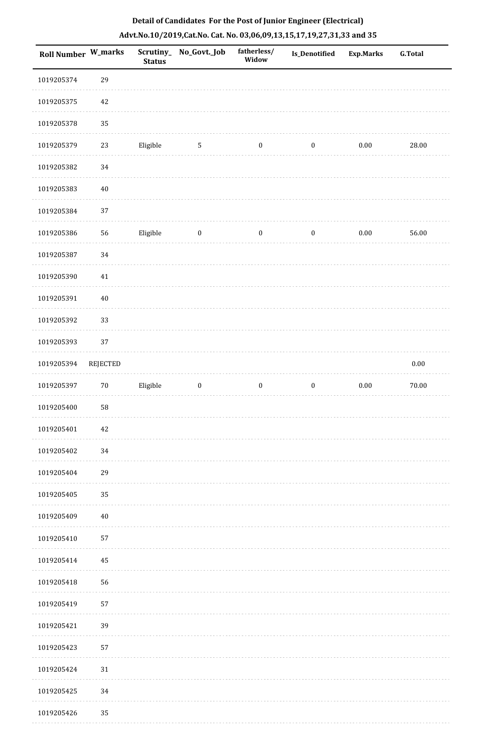| Roll Number W_marks |          | <b>Status</b> | Scrutiny_No_Govt._Job | fatherless/<br>Widow | Is_Denotified    | <b>Exp.Marks</b> | G.Total  |
|---------------------|----------|---------------|-----------------------|----------------------|------------------|------------------|----------|
| 1019205374          | 29       |               |                       |                      |                  |                  |          |
| 1019205375          | 42       |               |                       |                      |                  |                  |          |
| 1019205378          | 35       |               |                       |                      |                  |                  |          |
| 1019205379          | 23       | Eligible      | $\sqrt{5}$            | $\boldsymbol{0}$     | $\boldsymbol{0}$ | $0.00\,$         | 28.00    |
| 1019205382          | 34       |               |                       |                      |                  |                  |          |
| 1019205383          | $40\,$   |               |                       |                      |                  |                  |          |
| 1019205384          | 37       |               |                       |                      |                  |                  |          |
| 1019205386          | 56       | Eligible      | $\boldsymbol{0}$      | $\boldsymbol{0}$     | $\boldsymbol{0}$ | $0.00\,$         | 56.00    |
| 1019205387          | 34       |               |                       |                      |                  |                  |          |
| 1019205390          | $41\,$   |               |                       |                      |                  |                  |          |
| 1019205391          | $40\,$   |               |                       |                      |                  |                  |          |
| 1019205392          | 33       |               |                       |                      |                  |                  |          |
| 1019205393          | 37       |               |                       |                      |                  |                  |          |
| 1019205394          | REJECTED |               |                       |                      |                  |                  | $0.00\,$ |
| 1019205397          | $70\,$   | Eligible      | $\boldsymbol{0}$      | $\boldsymbol{0}$     | $\boldsymbol{0}$ | $0.00\,$         | 70.00    |
| 1019205400          | 58       |               |                       |                      |                  |                  |          |
| 1019205401          | 42       |               |                       |                      |                  |                  |          |
| 1019205402          | 34       |               |                       |                      |                  |                  |          |
| 1019205404          | 29       |               |                       |                      |                  |                  |          |
| 1019205405          | 35       |               |                       |                      |                  |                  |          |
| 1019205409          | 40       |               |                       |                      |                  |                  |          |
| 1019205410          | 57       |               |                       |                      |                  |                  |          |
| 1019205414          | 45       |               |                       |                      |                  |                  |          |
| 1019205418          | 56       |               |                       |                      |                  |                  |          |
| 1019205419          | 57       |               |                       |                      |                  |                  |          |
| 1019205421          | 39       |               |                       |                      |                  |                  |          |
| 1019205423          | 57       |               |                       |                      |                  |                  |          |
| 1019205424          | $31\,$   |               |                       |                      |                  |                  |          |
| 1019205425          | 34       |               |                       |                      |                  |                  |          |
| 1019205426          | 35       |               |                       |                      |                  |                  |          |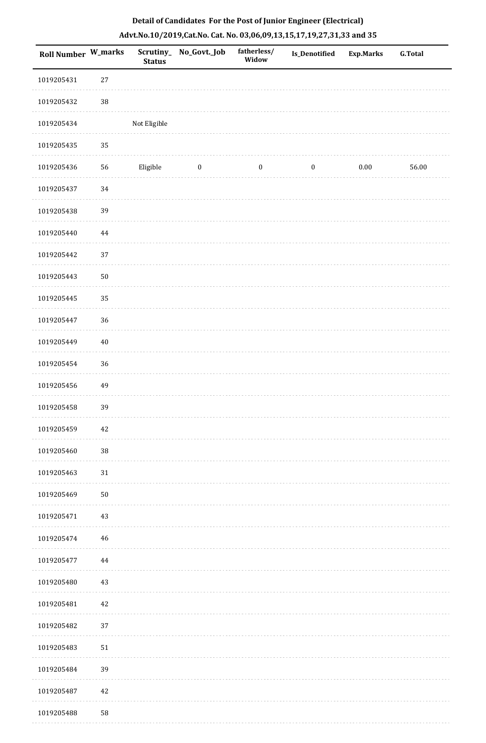| Roll Number W_marks |            | <b>Status</b> | Scrutiny_No_Govt._Job | fatherless/<br>Widow | Is_Denotified    | <b>Exp.Marks</b> | <b>G.Total</b> |
|---------------------|------------|---------------|-----------------------|----------------------|------------------|------------------|----------------|
| 1019205431          | $27\,$     |               |                       |                      |                  |                  |                |
| 1019205432          | $38\,$     |               |                       |                      |                  |                  |                |
| 1019205434          |            | Not Eligible  |                       |                      |                  |                  |                |
| 1019205435          | 35         |               |                       |                      |                  |                  |                |
| 1019205436          | 56         | Eligible      | $\boldsymbol{0}$      | $\boldsymbol{0}$     | $\boldsymbol{0}$ | $0.00\,$         | 56.00          |
| 1019205437          | 34         |               |                       |                      |                  |                  |                |
| 1019205438          | 39         |               |                       |                      |                  |                  |                |
| 1019205440          | $\bf 44$   |               |                       |                      |                  |                  |                |
| 1019205442          | 37         |               |                       |                      |                  |                  |                |
| 1019205443          | $50\,$     |               |                       |                      |                  |                  |                |
| 1019205445          | 35         |               |                       |                      |                  |                  |                |
| 1019205447          | 36         |               |                       |                      |                  |                  |                |
| 1019205449          | $40\,$     |               |                       |                      |                  |                  |                |
| 1019205454          | 36         |               |                       |                      |                  |                  |                |
| 1019205456          | 49         |               |                       |                      |                  |                  |                |
| 1019205458          | 39         |               |                       |                      |                  |                  |                |
| 1019205459          | 42         |               |                       |                      |                  |                  |                |
| 1019205460          | $38\,$     |               |                       |                      |                  |                  |                |
| 1019205463          | 31         |               |                       |                      |                  |                  |                |
| 1019205469          | ${\bf 50}$ |               |                       |                      |                  |                  |                |
| 1019205471          | 43         |               |                       |                      |                  |                  |                |
| 1019205474          | 46         |               |                       |                      |                  |                  |                |
| 1019205477          | 44         |               |                       |                      |                  |                  |                |
| 1019205480          | 43         |               |                       |                      |                  |                  |                |
| 1019205481          | $42\,$     |               |                       |                      |                  |                  |                |
| 1019205482          | 37         |               |                       |                      |                  |                  |                |
| 1019205483          | 51         |               |                       |                      |                  |                  |                |
| 1019205484          | 39         |               |                       |                      |                  |                  |                |
| 1019205487          | $42\,$     |               |                       |                      |                  |                  |                |
| 1019205488          | 58         |               |                       |                      |                  |                  |                |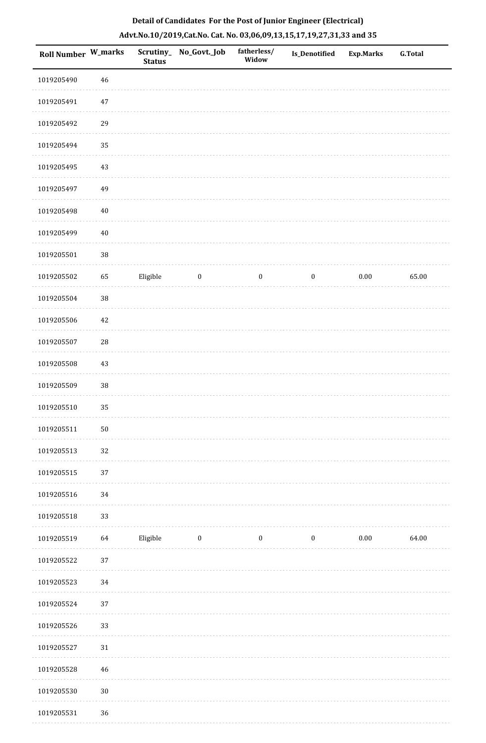| Roll Number W_marks |             | Scrutiny_<br><b>Status</b> | No_Govt._Job     | fatherless/<br>Widow | Is_Denotified    | <b>Exp.Marks</b> | <b>G.Total</b> |
|---------------------|-------------|----------------------------|------------------|----------------------|------------------|------------------|----------------|
| 1019205490          | $\sqrt{46}$ |                            |                  |                      |                  |                  |                |
| 1019205491          | $47\,$      |                            |                  |                      |                  |                  |                |
| 1019205492          | 29          |                            |                  |                      |                  |                  |                |
| 1019205494          | 35          |                            |                  |                      |                  |                  |                |
| 1019205495          | 43          |                            |                  |                      |                  |                  |                |
| 1019205497          | 49          |                            |                  |                      |                  |                  |                |
| 1019205498          | $40\,$      |                            |                  |                      |                  |                  |                |
| 1019205499          | $40\,$      |                            |                  |                      |                  |                  |                |
| 1019205501          | 38          |                            |                  |                      |                  |                  |                |
| 1019205502          | 65          | Eligible                   | $\boldsymbol{0}$ | $\boldsymbol{0}$     | $\boldsymbol{0}$ | $0.00\,$         | 65.00          |
| 1019205504          | 38          |                            |                  |                      |                  |                  |                |
| 1019205506          | $42\,$      |                            |                  |                      |                  |                  |                |
| 1019205507          | ${\bf 28}$  |                            |                  |                      |                  |                  |                |
| 1019205508          | 43          |                            |                  |                      |                  |                  |                |
| 1019205509          | 38          |                            |                  |                      |                  |                  |                |
| 1019205510          | 35          |                            |                  |                      |                  |                  |                |
| 1019205511          | $50\,$      |                            |                  |                      |                  |                  |                |
| 1019205513          | 32          |                            |                  |                      |                  |                  |                |
| 1019205515          | 37          |                            |                  |                      |                  |                  |                |
| 1019205516          | 34          |                            |                  |                      |                  |                  |                |
| 1019205518          | 33          |                            |                  |                      |                  |                  |                |
| 1019205519          | 64          | Eligible                   | $\boldsymbol{0}$ | $\boldsymbol{0}$     | $\boldsymbol{0}$ | $0.00\,$         | 64.00          |
| 1019205522          | 37          |                            |                  |                      |                  |                  |                |
| 1019205523          | 34          |                            |                  |                      |                  |                  |                |
| 1019205524          | 37          |                            |                  |                      |                  |                  |                |
| 1019205526          | 33          |                            |                  |                      |                  |                  |                |
| 1019205527          | 31          |                            |                  |                      |                  |                  |                |
| 1019205528          | $\sqrt{46}$ |                            |                  |                      |                  |                  |                |
| 1019205530          | $30\,$      |                            |                  |                      |                  |                  |                |
| 1019205531          | 36          |                            |                  |                      |                  |                  |                |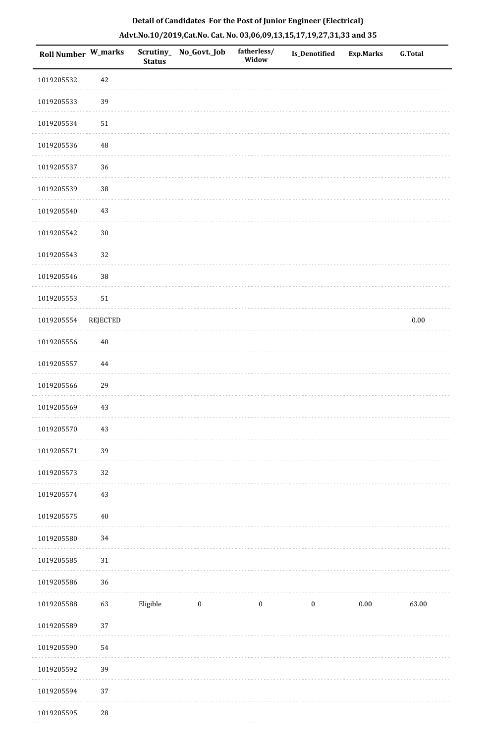| Roll Number W_marks |                 | <b>Status</b> | Scrutiny_ No_Govt._Job | fatherless/<br>Widow | Is_Denotified    | <b>Exp.Marks</b> | G.Total  |
|---------------------|-----------------|---------------|------------------------|----------------------|------------------|------------------|----------|
| 1019205532          | $42\,$          |               |                        |                      |                  |                  |          |
| 1019205533          | 39              |               |                        |                      |                  |                  |          |
| 1019205534          | $51\,$          |               |                        |                      |                  |                  |          |
| 1019205536          | $\rm 48$        |               |                        |                      |                  |                  |          |
| 1019205537          | 36              |               |                        |                      |                  |                  |          |
| 1019205539          | $38\,$          |               |                        |                      |                  |                  |          |
| 1019205540          | $43\,$          |               |                        |                      |                  |                  |          |
| 1019205542          | $30\,$          |               |                        |                      |                  |                  |          |
| 1019205543          | 32              |               |                        |                      |                  |                  |          |
| 1019205546          | 38              |               |                        |                      |                  |                  |          |
| 1019205553          | $51\,$          |               |                        |                      |                  |                  |          |
| 1019205554          | <b>REJECTED</b> |               |                        |                      |                  |                  | $0.00\,$ |
| 1019205556          | $40\,$          |               |                        |                      |                  |                  |          |
| 1019205557          | 44              |               |                        |                      |                  |                  |          |
| 1019205566          | 29              |               |                        |                      |                  |                  |          |
| 1019205569          | 43              |               |                        |                      |                  |                  |          |
| 1019205570          | $43\,$          |               |                        |                      |                  |                  |          |
| 1019205571          | 39              |               |                        |                      |                  |                  |          |
| 1019205573          | 32              |               |                        |                      |                  |                  |          |
| 1019205574          | $43\,$          |               |                        |                      |                  |                  |          |
| 1019205575          | $40\,$          |               |                        |                      |                  |                  |          |
| 1019205580          | $34\,$          |               |                        |                      |                  |                  |          |
| 1019205585          | $31\,$          |               |                        |                      |                  |                  |          |
| 1019205586          | 36              |               |                        |                      |                  |                  |          |
| 1019205588          | 63              | Eligible      | $\boldsymbol{0}$       | $\boldsymbol{0}$     | $\boldsymbol{0}$ | $0.00\,$         | 63.00    |
| 1019205589          | $37\,$          |               |                        |                      |                  |                  |          |
| 1019205590          | 54              |               |                        |                      |                  |                  |          |
| 1019205592          | 39              |               |                        |                      |                  |                  |          |
| 1019205594          | $37\,$          |               |                        |                      |                  |                  |          |
| 1019205595          | $28\,$          |               |                        |                      |                  |                  |          |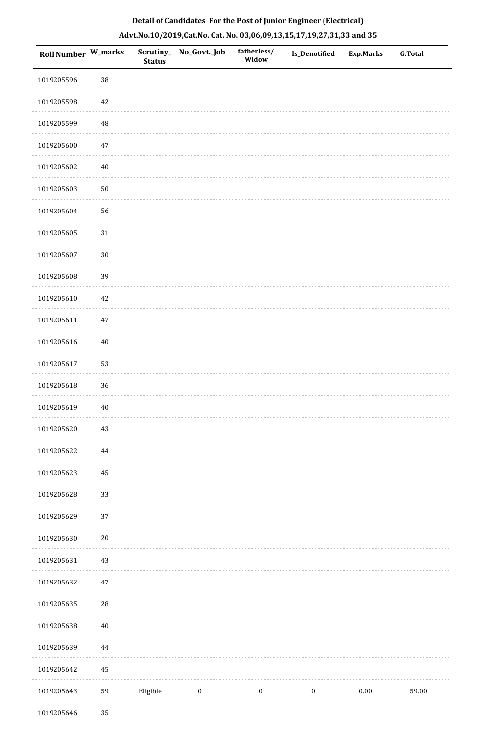|  |  | Detail of Candidates For the Post of Junior Engineer (Electrical)     |  |
|--|--|-----------------------------------------------------------------------|--|
|  |  | Advt.No.10/2019,Cat.No. Cat. No. 03,06,09,13,15,17,19,27,31,33 and 35 |  |

| Roll Number W_marks |            | <b>Status</b> | Scrutiny_ No_Govt._Job | fatherless/<br>Widow | Is_Denotified    | <b>Exp.Marks</b> | ${\bf G.Total}$ |
|---------------------|------------|---------------|------------------------|----------------------|------------------|------------------|-----------------|
| 1019205596          | $38\,$     |               |                        |                      |                  |                  |                 |
| 1019205598          | $42\,$     |               |                        |                      |                  |                  |                 |
| 1019205599          | 48         |               |                        |                      |                  |                  |                 |
| 1019205600          | $47\,$     |               |                        |                      |                  |                  |                 |
| 1019205602          | $40\,$     |               |                        |                      |                  |                  |                 |
| 1019205603          | $50\,$     |               |                        |                      |                  |                  |                 |
| 1019205604          | 56         |               |                        |                      |                  |                  |                 |
| 1019205605          | $31\,$     |               |                        |                      |                  |                  |                 |
| 1019205607          | $30\,$     |               |                        |                      |                  |                  |                 |
| 1019205608          | 39         |               |                        |                      |                  |                  |                 |
| 1019205610          | $42\,$     |               |                        |                      |                  |                  |                 |
| 1019205611          | $47\,$     |               |                        |                      |                  |                  |                 |
| 1019205616          | $40\,$     |               |                        |                      |                  |                  |                 |
| 1019205617          | 53         |               |                        |                      |                  |                  |                 |
| 1019205618          | 36         |               |                        |                      |                  |                  |                 |
| 1019205619          | $40\,$     |               |                        |                      |                  |                  |                 |
| 1019205620          | $43\,$     |               |                        |                      |                  |                  |                 |
| 1019205622          | 44         |               |                        |                      |                  |                  |                 |
| 1019205623          | 45         |               |                        |                      |                  |                  |                 |
| 1019205628          | 33         |               |                        |                      |                  |                  |                 |
| 1019205629          | 37         |               |                        |                      |                  |                  |                 |
| 1019205630          | $20\,$     |               |                        |                      |                  |                  |                 |
| 1019205631          | $43\,$     |               |                        |                      |                  |                  |                 |
| 1019205632          | $47\,$     |               |                        |                      |                  |                  |                 |
| 1019205635          | ${\bf 28}$ |               |                        |                      |                  |                  |                 |
| 1019205638          | $40\,$     |               |                        |                      |                  |                  |                 |
| 1019205639          | 44         |               |                        |                      |                  |                  |                 |
| 1019205642          | 45         |               |                        |                      |                  |                  |                 |
| 1019205643          | 59         | Eligible      | $\boldsymbol{0}$       | $\boldsymbol{0}$     | $\boldsymbol{0}$ | $0.00\,$         | 59.00           |
| 1019205646          | 35         |               |                        |                      |                  |                  |                 |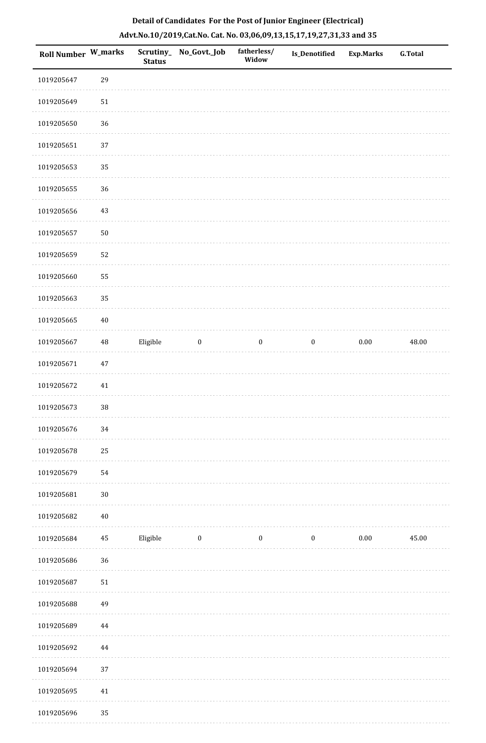| Roll Number W_marks |          | <b>Status</b> | Scrutiny_No_Govt._Job | fatherless/<br>Widow | Is_Denotified    | <b>Exp.Marks</b> | <b>G.Total</b> |
|---------------------|----------|---------------|-----------------------|----------------------|------------------|------------------|----------------|
| 1019205647          | 29       |               |                       |                      |                  |                  |                |
| 1019205649          | 51       |               |                       |                      |                  |                  |                |
| 1019205650          | 36       |               |                       |                      |                  |                  |                |
| 1019205651          | 37       |               |                       |                      |                  |                  |                |
| 1019205653          | 35       |               |                       |                      |                  |                  |                |
| 1019205655          | 36       |               |                       |                      |                  |                  |                |
| 1019205656          | 43       |               |                       |                      |                  |                  |                |
| 1019205657          | $50\,$   |               |                       |                      |                  |                  |                |
| 1019205659          | 52       |               |                       |                      |                  |                  |                |
| 1019205660          | 55       |               |                       |                      |                  |                  |                |
| 1019205663          | 35       |               |                       |                      |                  |                  |                |
| 1019205665          | $40\,$   |               |                       |                      |                  |                  |                |
| 1019205667          | $\rm 48$ | Eligible      | $\boldsymbol{0}$      | $\boldsymbol{0}$     | $\boldsymbol{0}$ | $0.00\,$         | 48.00          |
| 1019205671          | $47\,$   |               |                       |                      |                  |                  |                |
| 1019205672          | 41       |               |                       |                      |                  |                  |                |
| 1019205673          | 38       |               |                       |                      |                  |                  |                |
| 1019205676          | $34\,$   |               |                       |                      |                  |                  |                |
| 1019205678          | 25       |               |                       |                      |                  |                  |                |
| 1019205679          | 54       |               |                       |                      |                  |                  |                |
| 1019205681          | $30\,$   |               |                       |                      |                  |                  |                |
| 1019205682          | $40\,$   |               |                       |                      |                  |                  |                |
| 1019205684          | $\bf 45$ | Eligible      | $\boldsymbol{0}$      | $\boldsymbol{0}$     | $\bf{0}$         | $0.00\,$         | 45.00          |
| 1019205686          | 36       |               |                       |                      |                  |                  |                |
| 1019205687          | $51\,$   |               |                       |                      |                  |                  |                |
| 1019205688          | 49       |               |                       |                      |                  |                  |                |
| 1019205689          | $\bf 44$ |               |                       |                      |                  |                  |                |
| 1019205692          | $\bf 44$ |               |                       |                      |                  |                  |                |
| 1019205694          | 37       |               |                       |                      |                  |                  |                |
| 1019205695          | $41\,$   |               |                       |                      |                  |                  |                |
| 1019205696          | 35       |               |                       |                      |                  |                  |                |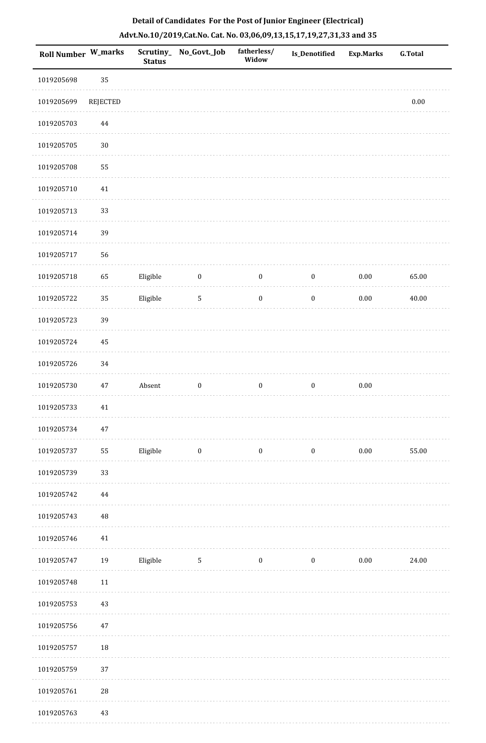|  | Detail of Candidates For the Post of Junior Engineer (Electrical)     |  |
|--|-----------------------------------------------------------------------|--|
|  | Advt.No.10/2019,Cat.No. Cat. No. 03,06,09,13,15,17,19,27,31,33 and 35 |  |

| Roll Number W_marks |                 | <b>Status</b> | Scrutiny_ No_Govt._Job | fatherless/<br>Widow | Is_Denotified    | <b>Exp.Marks</b> | <b>G.Total</b> |
|---------------------|-----------------|---------------|------------------------|----------------------|------------------|------------------|----------------|
| 1019205698          | 35              |               |                        |                      |                  |                  |                |
| 1019205699          | <b>REJECTED</b> |               |                        |                      |                  |                  | $0.00\,$       |
| 1019205703          | $\bf 44$        |               |                        |                      |                  |                  |                |
| 1019205705          | $30\,$          |               |                        |                      |                  |                  |                |
| 1019205708          | 55              |               |                        |                      |                  |                  |                |
| 1019205710          | 41              |               |                        |                      |                  |                  |                |
| 1019205713          | 33              |               |                        |                      |                  |                  |                |
| 1019205714          | 39              |               |                        |                      |                  |                  |                |
| 1019205717          | 56              |               |                        |                      |                  |                  |                |
| 1019205718          | 65              | Eligible      | $\bf{0}$               | $\boldsymbol{0}$     | $\boldsymbol{0}$ | $0.00\,$         | 65.00          |
| 1019205722          | 35              | Eligible      | $\overline{5}$         | $\boldsymbol{0}$     | $\boldsymbol{0}$ | $0.00\,$         | 40.00          |
| 1019205723          | 39              |               |                        |                      |                  |                  |                |
| 1019205724          | 45              |               |                        |                      |                  |                  |                |
| 1019205726          | 34              |               |                        |                      |                  |                  |                |
| 1019205730          | 47              | Absent        | $\boldsymbol{0}$       | $\boldsymbol{0}$     | $\boldsymbol{0}$ | $0.00\,$         |                |
| 1019205733          | $41\,$          |               |                        |                      |                  |                  |                |
| 1019205734          | $47\,$          |               |                        |                      |                  |                  |                |
| 1019205737          | 55              | Eligible      | $\bf{0}$               | $\boldsymbol{0}$     | $\boldsymbol{0}$ | 0.00             | 55.00          |
| 1019205739          | 33              |               |                        |                      |                  |                  |                |
| 1019205742          | 44              |               |                        |                      |                  |                  |                |
| 1019205743          | $\rm 48$        |               |                        |                      |                  |                  |                |
| 1019205746          | $41\,$          |               |                        |                      |                  |                  |                |
| 1019205747          | 19              | Eligible      | $\mathbf 5$            | $\boldsymbol{0}$     | $\boldsymbol{0}$ | $0.00\,$         | 24.00          |
| 1019205748          | $11\,$          |               |                        |                      |                  |                  |                |
| 1019205753          | 43              |               |                        |                      |                  |                  |                |
| 1019205756          | 47              |               |                        |                      |                  |                  |                |
| 1019205757          | 18              |               |                        |                      |                  |                  |                |
| 1019205759          | 37              |               |                        |                      |                  |                  |                |
| 1019205761          | $28\,$          |               |                        |                      |                  |                  |                |
| 1019205763          | 43              |               |                        |                      |                  |                  |                |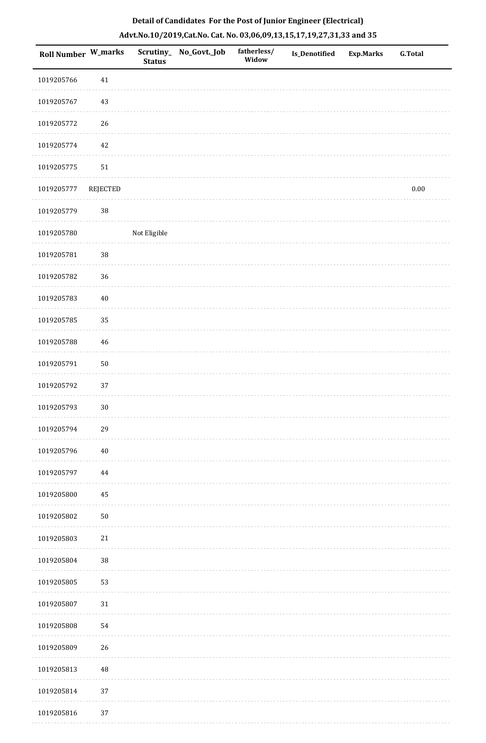| Roll Number W_marks |             | <b>Status</b> | Scrutiny_ No_Govt._Job | fatherless/<br>Widow | <b>Is_Denotified</b> | <b>Exp.Marks</b> | <b>G.Total</b> |
|---------------------|-------------|---------------|------------------------|----------------------|----------------------|------------------|----------------|
| 1019205766          | $41\,$      |               |                        |                      |                      |                  |                |
| 1019205767          | $43\,$      |               |                        |                      |                      |                  |                |
| 1019205772          | 26          |               |                        |                      |                      |                  |                |
| 1019205774          | $42\,$      |               |                        |                      |                      |                  |                |
| 1019205775          | $51\,$      |               |                        |                      |                      |                  |                |
| 1019205777          | REJECTED    |               |                        |                      |                      |                  | $0.00\,$       |
| 1019205779          | 38          |               |                        |                      |                      |                  |                |
| 1019205780          |             | Not Eligible  |                        |                      |                      |                  |                |
| 1019205781          | 38          |               |                        |                      |                      |                  |                |
| 1019205782          | 36          |               |                        |                      |                      |                  |                |
| 1019205783          | $40\,$      |               |                        |                      |                      |                  |                |
| 1019205785          | 35          |               |                        |                      |                      |                  |                |
| 1019205788          | $\sqrt{46}$ |               |                        |                      |                      |                  |                |
| 1019205791          | $50\,$      |               |                        |                      |                      |                  |                |
| 1019205792          | 37          |               |                        |                      |                      |                  |                |
| 1019205793          | $30\,$      |               |                        |                      |                      |                  |                |
| 1019205794          | 29          |               |                        |                      |                      |                  |                |
| 1019205796          | $40\,$      |               |                        |                      |                      |                  |                |
| 1019205797          | $\bf 44$    |               |                        |                      |                      |                  |                |
| 1019205800          | 45          |               |                        |                      |                      |                  |                |
| 1019205802          | $50\,$      |               |                        |                      |                      |                  |                |
| 1019205803          | $21\,$      |               |                        |                      |                      |                  |                |
| 1019205804          | $38\,$      |               |                        |                      |                      |                  |                |
| 1019205805          | 53          |               |                        |                      |                      |                  |                |
| 1019205807          | $31\,$      |               |                        |                      |                      |                  |                |
| 1019205808          | 54          |               |                        |                      |                      |                  |                |
| 1019205809          | 26          |               |                        |                      |                      |                  |                |
| 1019205813          | $\rm 48$    |               |                        |                      |                      |                  |                |
| 1019205814          | 37          |               |                        |                      |                      |                  |                |
| 1019205816          | 37          |               |                        |                      |                      |                  |                |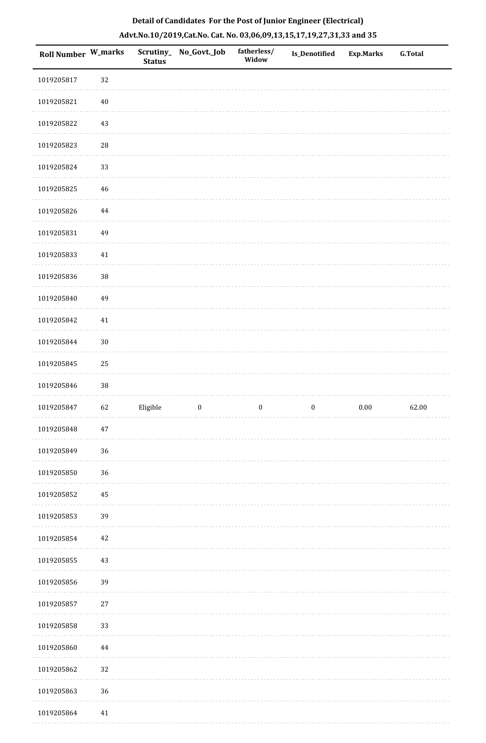| <b>Roll Number W_marks</b> |        | <b>Status</b> | Scrutiny_ No_Govt._Job | fatherless/<br>Widow | Is_Denotified    | <b>Exp.Marks</b> | G.Total |
|----------------------------|--------|---------------|------------------------|----------------------|------------------|------------------|---------|
| 1019205817                 | 32     |               |                        |                      |                  |                  |         |
| 1019205821                 | $40\,$ |               |                        |                      |                  |                  |         |
| 1019205822                 | 43     |               |                        |                      |                  |                  |         |
| 1019205823                 | 28     |               |                        |                      |                  |                  |         |
| 1019205824                 | 33     |               |                        |                      |                  |                  |         |
| 1019205825                 | 46     |               |                        |                      |                  |                  |         |
| 1019205826                 | 44     |               |                        |                      |                  |                  |         |
| 1019205831                 | 49     |               |                        |                      |                  |                  |         |
| 1019205833                 | 41     |               |                        |                      |                  |                  |         |
| 1019205836                 | 38     |               |                        |                      |                  |                  |         |
| 1019205840                 | 49     |               |                        |                      |                  |                  |         |
| 1019205842                 | 41     |               |                        |                      |                  |                  |         |
| 1019205844                 | $30\,$ |               |                        |                      |                  |                  |         |
| 1019205845                 | $25\,$ |               |                        |                      |                  |                  |         |
| 1019205846                 | 38     |               |                        |                      |                  |                  |         |
| 1019205847                 | 62     | Eligible      | $\boldsymbol{0}$       | $\boldsymbol{0}$     | $\boldsymbol{0}$ | $0.00\,$         | 62.00   |
| 1019205848                 | 47     |               |                        |                      |                  |                  |         |
| 1019205849                 | 36     |               |                        |                      |                  |                  |         |
| 1019205850                 | 36     |               |                        |                      |                  |                  |         |
| 1019205852                 | 45     |               |                        |                      |                  |                  |         |
| 1019205853                 | 39     |               |                        |                      |                  |                  |         |
| 1019205854                 | 42     |               |                        |                      |                  |                  |         |
| 1019205855                 | 43     |               |                        |                      |                  |                  |         |
| 1019205856                 | 39     |               |                        |                      |                  |                  |         |
| 1019205857                 | 27     |               |                        |                      |                  |                  |         |
| 1019205858                 | 33     |               |                        |                      |                  |                  |         |
| 1019205860                 | 44     |               |                        |                      |                  |                  |         |
| 1019205862                 | 32     |               |                        |                      |                  |                  |         |
| 1019205863                 | 36     |               |                        |                      |                  |                  |         |
| 1019205864                 | 41     |               |                        |                      |                  |                  |         |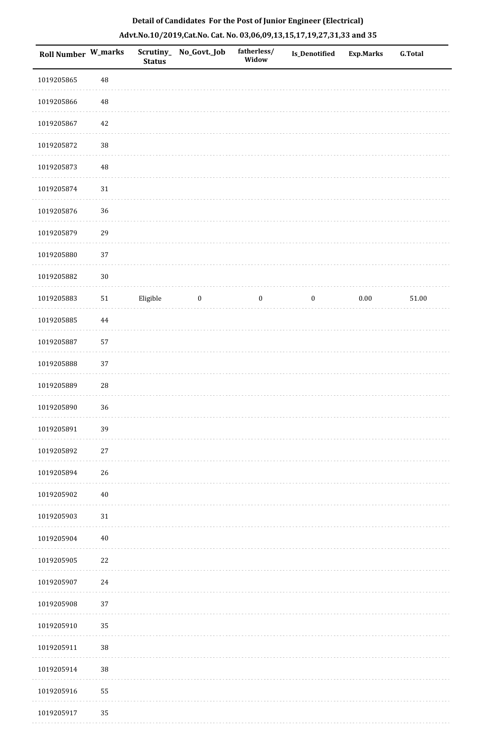|  | Detail of Candidates For the Post of Junior Engineer (Electrical)     |  |
|--|-----------------------------------------------------------------------|--|
|  | Advt.No.10/2019,Cat.No. Cat. No. 03,06,09,13,15,17,19,27,31,33 and 35 |  |

| Roll Number W_marks |            | <b>Status</b> | Scrutiny_ No_Govt._Job | fatherless/<br>Widow | Is_Denotified    | <b>Exp.Marks</b> | <b>G.Total</b> |
|---------------------|------------|---------------|------------------------|----------------------|------------------|------------------|----------------|
| 1019205865          | 48         |               |                        |                      |                  |                  |                |
| 1019205866          | $\rm 48$   |               |                        |                      |                  |                  |                |
| 1019205867          | 42         |               |                        |                      |                  |                  |                |
| 1019205872          | 38         |               |                        |                      |                  |                  |                |
| 1019205873          | 48         |               |                        |                      |                  |                  |                |
| 1019205874          | $31\,$     |               |                        |                      |                  |                  |                |
| 1019205876          | 36         |               |                        |                      |                  |                  |                |
| 1019205879          | 29         |               |                        |                      |                  |                  |                |
| 1019205880          | 37         |               |                        |                      |                  |                  |                |
| 1019205882          | $30\,$     |               |                        |                      |                  |                  |                |
| 1019205883          | ${\bf 51}$ | Eligible      | $\boldsymbol{0}$       | $\boldsymbol{0}$     | $\boldsymbol{0}$ | $0.00\,$         | 51.00          |
| 1019205885          | $\bf 44$   |               |                        |                      |                  |                  |                |
| 1019205887          | 57         |               |                        |                      |                  |                  |                |
| 1019205888          | 37         |               |                        |                      |                  |                  |                |
| 1019205889          | 28         |               |                        |                      |                  |                  |                |
| 1019205890          | 36         |               |                        |                      |                  |                  |                |
| 1019205891          | 39         |               |                        |                      |                  |                  |                |
| 1019205892          | $27\,$     |               |                        |                      |                  |                  |                |
| 1019205894          | 26         |               |                        |                      |                  |                  |                |
| 1019205902          | $40\,$     |               |                        |                      |                  |                  |                |
| 1019205903          | 31         |               |                        |                      |                  |                  |                |
| 1019205904          | $40\,$     |               |                        |                      |                  |                  |                |
| 1019205905          | 22         |               |                        |                      |                  |                  |                |
| 1019205907          | $24\,$     |               |                        |                      |                  |                  |                |
| 1019205908          | 37         |               |                        |                      |                  |                  |                |
| 1019205910          | 35         |               |                        |                      |                  |                  |                |
| 1019205911          | $38\,$     |               |                        |                      |                  |                  |                |
| 1019205914          | $38\,$     |               |                        |                      |                  |                  |                |
| 1019205916          | 55         |               |                        |                      |                  |                  |                |
| 1019205917          | 35         |               |                        |                      |                  |                  |                |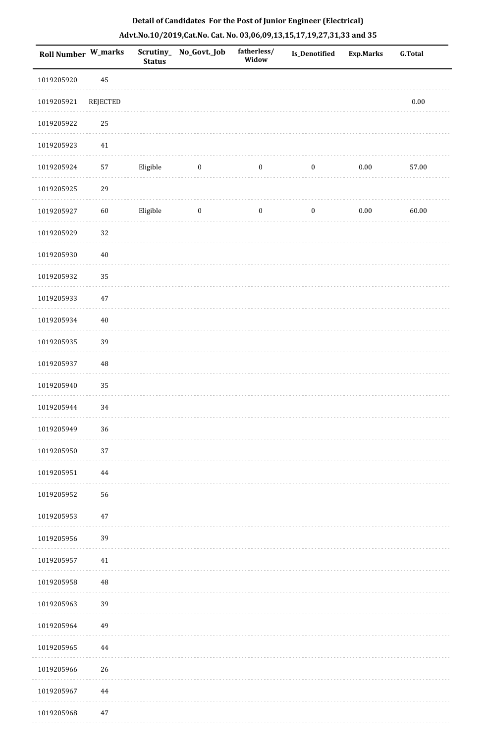| <b>Roll Number W_marks</b> |          | <b>Status</b> | Scrutiny_No_Govt._Job | fatherless/<br>Widow | Is_Denotified    | <b>Exp.Marks</b> | <b>G.Total</b> |
|----------------------------|----------|---------------|-----------------------|----------------------|------------------|------------------|----------------|
| 1019205920                 | 45       |               |                       |                      |                  |                  |                |
| 1019205921                 | REJECTED |               |                       |                      |                  |                  | 0.00           |
| 1019205922                 | 25       |               |                       |                      |                  |                  |                |
| 1019205923                 | $41\,$   |               |                       |                      |                  |                  |                |
| 1019205924                 | 57       | Eligible      | $\bf{0}$              | $\boldsymbol{0}$     | $\boldsymbol{0}$ | 0.00             | 57.00          |
| 1019205925                 | 29       |               |                       |                      |                  |                  |                |
| 1019205927                 | 60       | Eligible      | $\boldsymbol{0}$      | $\boldsymbol{0}$     | $\boldsymbol{0}$ | $0.00\,$         | 60.00          |
| 1019205929                 | $32\,$   |               |                       |                      |                  |                  |                |
| 1019205930                 | $40\,$   |               |                       |                      |                  |                  |                |
| 1019205932                 | 35       |               |                       |                      |                  |                  |                |
| 1019205933                 | $47\,$   |               |                       |                      |                  |                  |                |
| 1019205934                 | $40\,$   |               |                       |                      |                  |                  |                |
| 1019205935                 | 39       |               |                       |                      |                  |                  |                |
| 1019205937                 | $\rm 48$ |               |                       |                      |                  |                  |                |
| 1019205940                 | 35       |               |                       |                      |                  |                  |                |
| 1019205944                 | 34       |               |                       |                      |                  |                  |                |
| 1019205949                 | 36       |               |                       |                      |                  |                  |                |
| 1019205950                 | 37       |               |                       |                      |                  |                  |                |
| 1019205951                 | 44       |               |                       |                      |                  |                  |                |
| 1019205952                 | 56       |               |                       |                      |                  |                  |                |
| 1019205953                 | $47\,$   |               |                       |                      |                  |                  |                |
| 1019205956                 | 39       |               |                       |                      |                  |                  |                |
| 1019205957                 | 41       |               |                       |                      |                  |                  |                |
| 1019205958                 | $\rm 48$ |               |                       |                      |                  |                  |                |
| 1019205963                 | 39       |               |                       |                      |                  |                  |                |
| 1019205964                 | 49       |               |                       |                      |                  |                  |                |
| 1019205965                 | 44       |               |                       |                      |                  |                  |                |
| 1019205966                 | 26       |               |                       |                      |                  |                  |                |
| 1019205967                 | 44       |               |                       |                      |                  |                  |                |
| 1019205968                 | 47       |               |                       |                      |                  |                  |                |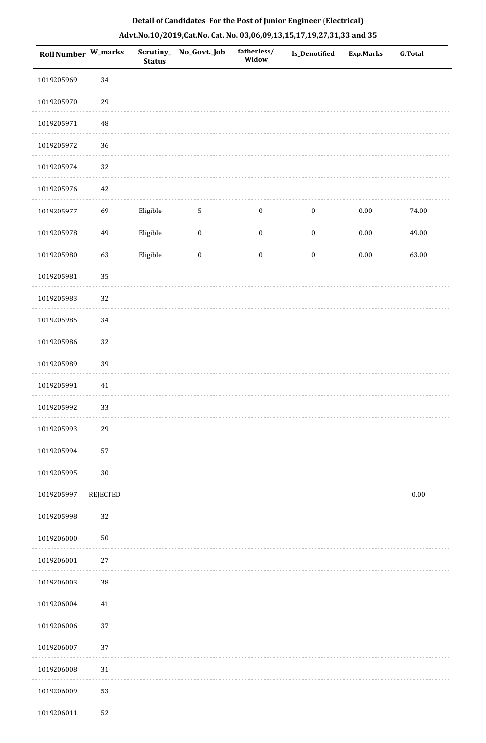| Roll Number W_marks |                 | Scrutiny_<br><b>Status</b> | No_Govt._Job     | fatherless/<br>Widow | <b>Is_Denotified</b> | <b>Exp.Marks</b> | <b>G.Total</b> |
|---------------------|-----------------|----------------------------|------------------|----------------------|----------------------|------------------|----------------|
| 1019205969          | 34              |                            |                  |                      |                      |                  |                |
| 1019205970          | 29              |                            |                  |                      |                      |                  |                |
| 1019205971          | 48              |                            |                  |                      |                      |                  |                |
| 1019205972          | 36              |                            |                  |                      |                      |                  |                |
| 1019205974          | 32              |                            |                  |                      |                      |                  |                |
| 1019205976          | 42              |                            |                  |                      |                      |                  |                |
| 1019205977          | 69              | Eligible                   | $\sqrt{5}$       | $\boldsymbol{0}$     | $\boldsymbol{0}$     | $0.00\,$         | 74.00          |
| 1019205978          | 49              | Eligible                   | $\boldsymbol{0}$ | $\boldsymbol{0}$     | $\boldsymbol{0}$     | $0.00\,$         | 49.00          |
| 1019205980          | 63              | Eligible                   | $\boldsymbol{0}$ | $\boldsymbol{0}$     | $\boldsymbol{0}$     | $0.00\,$         | 63.00          |
| 1019205981          | 35              |                            |                  |                      |                      |                  |                |
| 1019205983          | 32              |                            |                  |                      |                      |                  |                |
| 1019205985          | $34\,$          |                            |                  |                      |                      |                  |                |
| 1019205986          | 32              |                            |                  |                      |                      |                  |                |
| 1019205989          | 39              |                            |                  |                      |                      |                  |                |
| 1019205991          | $41\,$          |                            |                  |                      |                      |                  |                |
| 1019205992          | 33              |                            |                  |                      |                      |                  |                |
| 1019205993          | 29              |                            |                  |                      |                      |                  |                |
| 1019205994          | 57              |                            |                  |                      |                      |                  |                |
| 1019205995          | $30\,$          |                            |                  |                      |                      |                  |                |
| 1019205997          | <b>REJECTED</b> |                            |                  |                      |                      |                  | 0.00           |
| 1019205998          | 32              |                            |                  |                      |                      |                  |                |
| 1019206000          | $50\,$          |                            |                  |                      |                      |                  |                |
| 1019206001          | $27\,$          |                            |                  |                      |                      |                  |                |
| 1019206003          | 38              |                            |                  |                      |                      |                  |                |
| 1019206004          | 41              |                            |                  |                      |                      |                  |                |
| 1019206006          | 37              |                            |                  |                      |                      |                  |                |
| 1019206007          | 37              |                            |                  |                      |                      |                  |                |
| 1019206008          | $31\,$          |                            |                  |                      |                      |                  |                |
| 1019206009          | 53              |                            |                  |                      |                      |                  |                |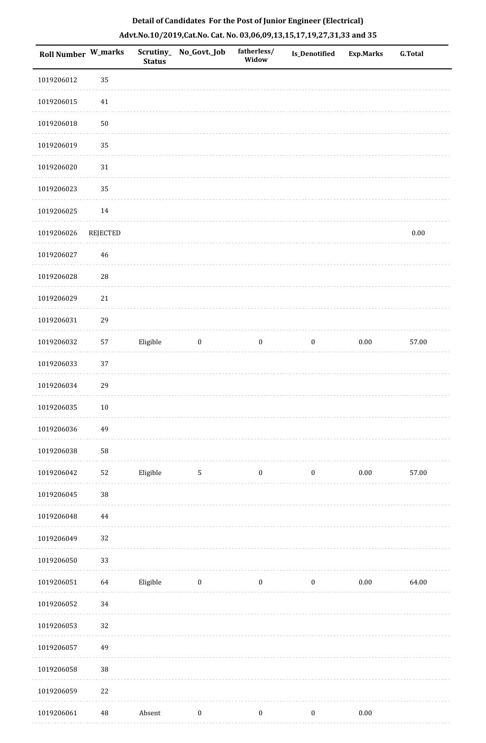|  | Detail of Candidates For the Post of Junior Engineer (Electrical)     |  |
|--|-----------------------------------------------------------------------|--|
|  | Advt.No.10/2019,Cat.No. Cat. No. 03,06,09,13,15,17,19,27,31,33 and 35 |  |

| <b>Roll Number W_marks</b> |                 | <b>Status</b> | Scrutiny_ No_Govt._Job | fatherless/<br>Widow | Is_Denotified    | <b>Exp.Marks</b> | <b>G.Total</b> |
|----------------------------|-----------------|---------------|------------------------|----------------------|------------------|------------------|----------------|
| 1019206012                 | 35              |               |                        |                      |                  |                  |                |
| 1019206015                 | $41\,$          |               |                        |                      |                  |                  |                |
| 1019206018                 | 50              |               |                        |                      |                  |                  |                |
| 1019206019                 | 35              |               |                        |                      |                  |                  |                |
| 1019206020                 | $31\,$          |               |                        |                      |                  |                  |                |
| 1019206023                 | 35              |               |                        |                      |                  |                  |                |
| 1019206025                 | 14              |               |                        |                      |                  |                  |                |
| 1019206026                 | <b>REJECTED</b> |               |                        |                      |                  |                  | $0.00\,$       |
| 1019206027                 | 46              |               |                        |                      |                  |                  |                |
| 1019206028                 | ${\bf 28}$      |               |                        |                      |                  |                  |                |
| 1019206029                 | $21\,$          |               |                        |                      |                  |                  |                |
| 1019206031                 | 29              |               |                        |                      |                  |                  |                |
| 1019206032                 | 57              | Eligible      | $\boldsymbol{0}$       | $\boldsymbol{0}$     | $\boldsymbol{0}$ | $0.00\,$         | 57.00          |
| 1019206033                 | 37              |               |                        |                      |                  |                  |                |
| 1019206034                 | 29              |               |                        |                      |                  |                  |                |
| 1019206035                 | $10\,$          |               |                        |                      |                  |                  |                |
| 1019206036                 | 49              |               |                        |                      |                  |                  |                |
| 1019206038                 | 58              |               |                        |                      |                  |                  |                |
| 1019206042                 | 52              | Eligible      | $\mathbf{5}$           | $\boldsymbol{0}$     | $\boldsymbol{0}$ | $0.00\,$         | 57.00          |
| 1019206045                 | $38\,$          |               |                        |                      |                  |                  |                |
| 1019206048                 | 44              |               |                        |                      |                  |                  |                |
| 1019206049                 | 32              |               |                        |                      |                  |                  |                |
| 1019206050                 | 33              |               |                        |                      |                  |                  |                |
| 1019206051                 | 64              | Eligible      | $\boldsymbol{0}$       | $\boldsymbol{0}$     | $\boldsymbol{0}$ | $0.00\,$         | 64.00          |
| 1019206052                 | 34              |               |                        |                      |                  |                  |                |
| 1019206053                 | 32              |               |                        |                      |                  |                  |                |
| 1019206057                 | 49              |               |                        |                      |                  |                  |                |
| 1019206058                 | $38\,$          |               |                        |                      |                  |                  |                |
| 1019206059                 | 22              |               |                        |                      |                  |                  |                |
| 1019206061                 | 48              | Absent        | $\boldsymbol{0}$       | $\boldsymbol{0}$     | $\boldsymbol{0}$ | $0.00\,$         |                |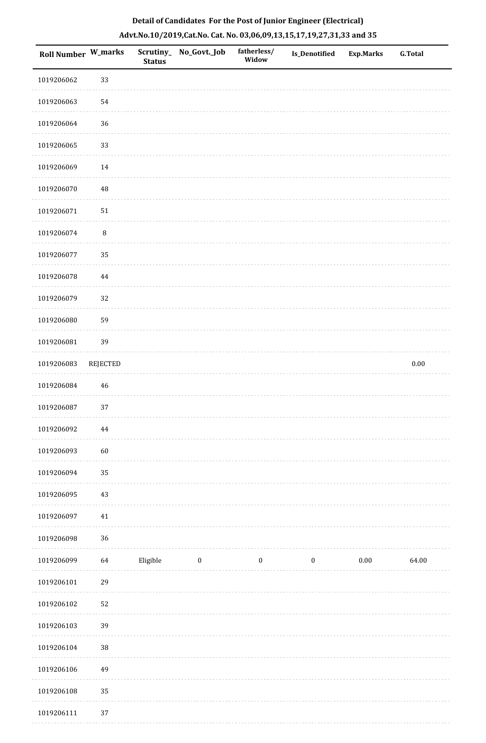|  | Detail of Candidates For the Post of Junior Engineer (Electrical)     |  |
|--|-----------------------------------------------------------------------|--|
|  | Advt.No.10/2019,Cat.No. Cat. No. 03,06,09,13,15,17,19,27,31,33 and 35 |  |

| <b>Roll Number W_marks</b> |                 | <b>Status</b> | Scrutiny_ No_Govt._Job | fatherless/<br>Widow | Is_Denotified    | <b>Exp.Marks</b> | <b>G.Total</b> |
|----------------------------|-----------------|---------------|------------------------|----------------------|------------------|------------------|----------------|
| 1019206062                 | 33              |               |                        |                      |                  |                  |                |
| 1019206063                 | 54              |               |                        |                      |                  |                  |                |
| 1019206064                 | 36              |               |                        |                      |                  |                  |                |
| 1019206065                 | 33              |               |                        |                      |                  |                  |                |
| 1019206069                 | 14              |               |                        |                      |                  |                  |                |
| 1019206070                 | $\sqrt{48}$     |               |                        |                      |                  |                  |                |
| 1019206071                 | $51\,$          |               |                        |                      |                  |                  |                |
| 1019206074                 | $\, 8$          |               |                        |                      |                  |                  |                |
| 1019206077                 | 35              |               |                        |                      |                  |                  |                |
| 1019206078                 | 44              |               |                        |                      |                  |                  |                |
| 1019206079                 | 32              |               |                        |                      |                  |                  |                |
| 1019206080                 | 59              |               |                        |                      |                  |                  |                |
| 1019206081                 | 39              |               |                        |                      |                  |                  |                |
| 1019206083                 | <b>REJECTED</b> |               |                        |                      |                  |                  | $0.00\,$       |
| 1019206084                 | 46              |               |                        |                      |                  |                  |                |
| 1019206087                 | 37              |               |                        |                      |                  |                  |                |
| 1019206092                 | 44              |               |                        |                      |                  |                  |                |
| 1019206093                 | 60              |               |                        |                      |                  |                  |                |
| 1019206094                 | 35              |               |                        |                      |                  |                  |                |
| 1019206095                 | $43\,$          |               |                        |                      |                  |                  |                |
| 1019206097                 | $41\,$          |               |                        |                      |                  |                  |                |
| 1019206098                 | 36              |               |                        |                      |                  |                  |                |
| 1019206099                 | 64              | Eligible      | $\boldsymbol{0}$       | $\boldsymbol{0}$     | $\boldsymbol{0}$ | $0.00\,$         | 64.00          |
| 1019206101                 | 29              |               |                        |                      |                  |                  |                |
| 1019206102                 | 52              |               |                        |                      |                  |                  |                |
| 1019206103                 | 39              |               |                        |                      |                  |                  |                |
| 1019206104                 | $38\,$          |               |                        |                      |                  |                  |                |
| 1019206106                 | 49              |               |                        |                      |                  |                  |                |
| 1019206108                 | 35              |               |                        |                      |                  |                  |                |
| 1019206111                 | 37              |               |                        |                      |                  |                  |                |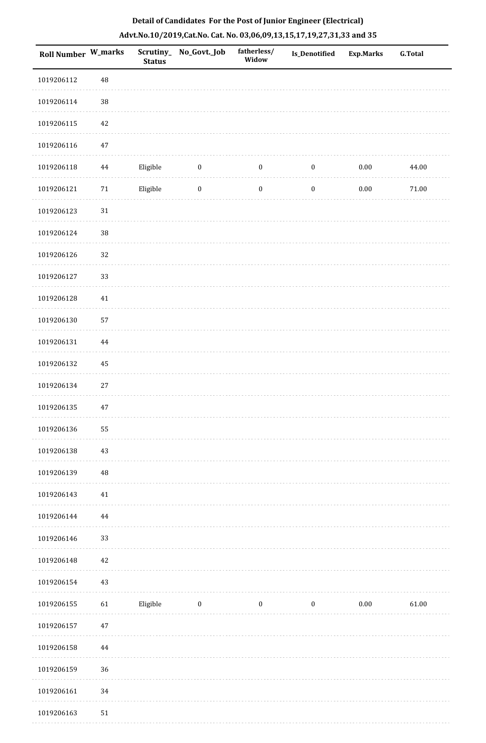| Roll Number W_marks |          | <b>Status</b> | Scrutiny_No_Govt._Job | fatherless/<br>Widow | Is_Denotified    | <b>Exp.Marks</b> | <b>G.Total</b> |
|---------------------|----------|---------------|-----------------------|----------------------|------------------|------------------|----------------|
| 1019206112          | 48       |               |                       |                      |                  |                  |                |
| 1019206114          | $38\,$   |               |                       |                      |                  |                  |                |
| 1019206115          | $42\,$   |               |                       |                      |                  |                  |                |
| 1019206116          | $47\,$   |               |                       |                      |                  |                  |                |
| 1019206118          | 44       | Eligible      | $\boldsymbol{0}$      | $\boldsymbol{0}$     | $\boldsymbol{0}$ | $0.00\,$         | 44.00          |
| 1019206121          | $71\,$   | Eligible      | $\boldsymbol{0}$      | $\boldsymbol{0}$     | $\boldsymbol{0}$ | $0.00\,$         | $71.00\,$      |
| 1019206123          | $31\,$   |               |                       |                      |                  |                  |                |
| 1019206124          | 38       |               |                       |                      |                  |                  |                |
| 1019206126          | 32       |               |                       |                      |                  |                  |                |
| 1019206127          | 33       |               |                       |                      |                  |                  |                |
| 1019206128          | $41\,$   |               |                       |                      |                  |                  |                |
| 1019206130          | 57       |               |                       |                      |                  |                  |                |
| 1019206131          | $\bf 44$ |               |                       |                      |                  |                  |                |
| 1019206132          | $\bf 45$ |               |                       |                      |                  |                  |                |
| 1019206134          | $27\,$   |               |                       |                      |                  |                  |                |
| 1019206135          | $47\,$   |               |                       |                      |                  |                  |                |
| 1019206136          | 55       |               |                       |                      |                  |                  |                |
| 1019206138          | 43       |               |                       |                      |                  |                  |                |
| 1019206139          | 48       |               |                       |                      |                  |                  |                |
| 1019206143          | 41       |               |                       |                      |                  |                  |                |
| 1019206144          | 44       |               |                       |                      |                  |                  |                |
| 1019206146          | 33       |               |                       |                      |                  |                  |                |
| 1019206148          | 42       |               |                       |                      |                  |                  |                |
| 1019206154          | $43\,$   |               |                       |                      |                  |                  |                |
| 1019206155          | 61       | Eligible      | $\boldsymbol{0}$      | $\boldsymbol{0}$     | $\boldsymbol{0}$ | $0.00\,$         | 61.00          |
| 1019206157          | $47\,$   |               |                       |                      |                  |                  |                |
| 1019206158          | 44       |               |                       |                      |                  |                  |                |
| 1019206159          | 36       |               |                       |                      |                  |                  |                |
| 1019206161          | 34       |               |                       |                      |                  |                  |                |
| 1019206163          | 51       |               |                       |                      |                  |                  |                |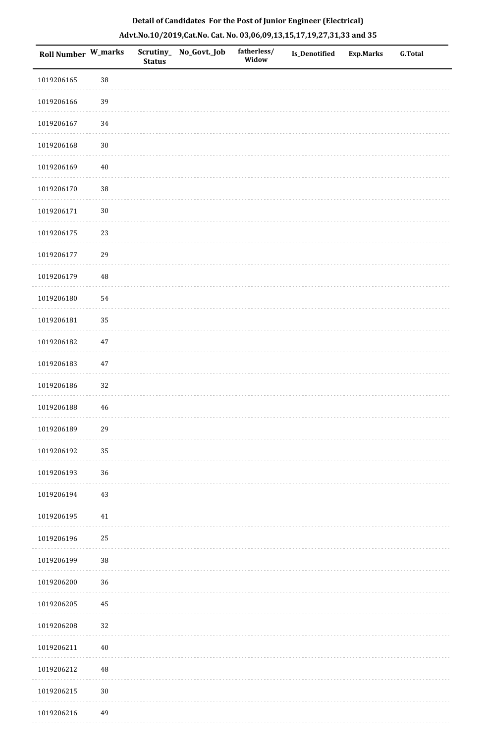|  | Detail of Candidates For the Post of Junior Engineer (Electrical)     |  |
|--|-----------------------------------------------------------------------|--|
|  | Advt.No.10/2019,Cat.No. Cat. No. 03,06,09,13,15,17,19,27,31,33 and 35 |  |

| <b>Roll Number W_marks</b> |          | <b>Status</b> | Scrutiny_No_Govt._Job | fatherless/<br>Widow | <b>Is_Denotified</b> | <b>Exp.Marks</b> | <b>G.Total</b> |
|----------------------------|----------|---------------|-----------------------|----------------------|----------------------|------------------|----------------|
| 1019206165                 | 38       |               |                       |                      |                      |                  |                |
| 1019206166                 | 39       |               |                       |                      |                      |                  |                |
| 1019206167                 | 34       |               |                       |                      |                      |                  |                |
| 1019206168                 | $30\,$   |               |                       |                      |                      |                  |                |
| 1019206169                 | $40\,$   |               |                       |                      |                      |                  |                |
| 1019206170                 | $38\,$   |               |                       |                      |                      |                  |                |
| 1019206171                 | $30\,$   |               |                       |                      |                      |                  |                |
| 1019206175                 | 23       |               |                       |                      |                      |                  |                |
| 1019206177                 | 29       |               |                       |                      |                      |                  |                |
| 1019206179                 | $\rm 48$ |               |                       |                      |                      |                  |                |
| 1019206180                 | 54       |               |                       |                      |                      |                  |                |
| 1019206181                 | 35       |               |                       |                      |                      |                  |                |
| 1019206182                 | $47\,$   |               |                       |                      |                      |                  |                |
| 1019206183                 | $47\,$   |               |                       |                      |                      |                  |                |
| 1019206186                 | 32       |               |                       |                      |                      |                  |                |
| 1019206188                 | $46\,$   |               |                       |                      |                      |                  |                |
| 1019206189                 | 29       |               |                       |                      |                      |                  |                |
| 1019206192                 | 35       |               |                       |                      |                      |                  |                |
| 1019206193                 | 36       |               |                       |                      |                      |                  |                |
| 1019206194                 | 43       |               |                       |                      |                      |                  |                |
| 1019206195                 | 41       |               |                       |                      |                      |                  |                |
| 1019206196                 | 25       |               |                       |                      |                      |                  |                |
| 1019206199                 | $38\,$   |               |                       |                      |                      |                  |                |
| 1019206200                 | 36       |               |                       |                      |                      |                  |                |
| 1019206205                 | 45       |               |                       |                      |                      |                  |                |
| 1019206208                 | 32       |               |                       |                      |                      |                  |                |
| 1019206211                 | $40\,$   |               |                       |                      |                      |                  |                |
| 1019206212                 | $\rm 48$ |               |                       |                      |                      |                  |                |
| 1019206215                 | $30\,$   |               |                       |                      |                      |                  |                |
| 1019206216                 | 49       |               |                       |                      |                      |                  |                |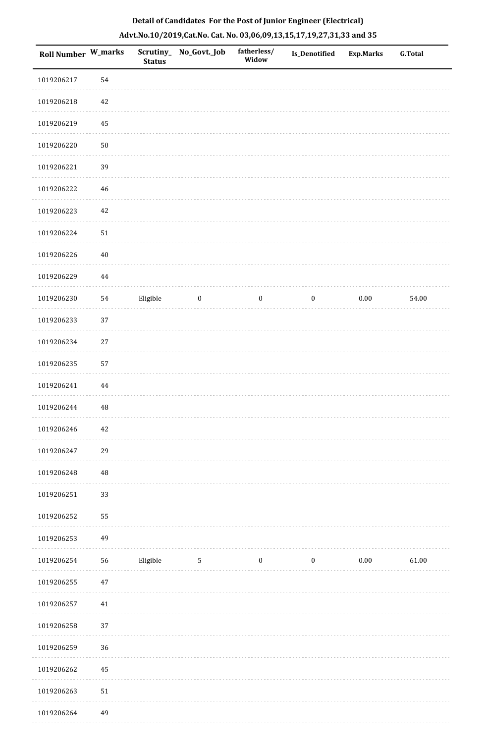| <b>Roll Number W_marks</b> |          | <b>Status</b> | Scrutiny_ No_Govt._Job | fatherless/<br>Widow | Is_Denotified    | <b>Exp.Marks</b> | <b>G.Total</b> |
|----------------------------|----------|---------------|------------------------|----------------------|------------------|------------------|----------------|
| 1019206217                 | 54       |               |                        |                      |                  |                  |                |
| 1019206218                 | $42\,$   |               |                        |                      |                  |                  |                |
| 1019206219                 | 45       |               |                        |                      |                  |                  |                |
| 1019206220                 | $50\,$   |               |                        |                      |                  |                  |                |
| 1019206221                 | 39       |               |                        |                      |                  |                  |                |
| 1019206222                 | $46\,$   |               |                        |                      |                  |                  |                |
| 1019206223                 | 42       |               |                        |                      |                  |                  |                |
| 1019206224                 | $51\,$   |               |                        |                      |                  |                  |                |
| 1019206226                 | $40\,$   |               |                        |                      |                  |                  |                |
| 1019206229                 | $\bf 44$ |               |                        |                      |                  |                  |                |
| 1019206230                 | 54       | Eligible      | $\bf{0}$               | $\boldsymbol{0}$     | $\boldsymbol{0}$ | $0.00\,$         | 54.00          |
| 1019206233                 | 37       |               |                        |                      |                  |                  |                |
| 1019206234                 | $27\,$   |               |                        |                      |                  |                  |                |
| 1019206235                 | 57       |               |                        |                      |                  |                  |                |
| 1019206241                 | $\bf 44$ |               |                        |                      |                  |                  |                |
| 1019206244                 | 48       |               |                        |                      |                  |                  |                |
| 1019206246                 | $42\,$   |               |                        |                      |                  |                  |                |
| 1019206247                 | 29       |               |                        |                      |                  |                  |                |
| 1019206248                 | $\rm 48$ |               |                        |                      |                  |                  |                |
| 1019206251                 | 33       |               |                        |                      |                  |                  |                |
| 1019206252                 | 55       |               |                        |                      |                  |                  |                |
| 1019206253                 | 49       |               |                        |                      |                  |                  |                |
| 1019206254                 | 56       | Eligible      | $\overline{5}$         | $\boldsymbol{0}$     | $\boldsymbol{0}$ | $0.00\,$         | 61.00          |
| 1019206255                 | 47       |               |                        |                      |                  |                  |                |
| 1019206257                 | $41\,$   |               |                        |                      |                  |                  |                |
| 1019206258                 | 37       |               |                        |                      |                  |                  |                |
| 1019206259                 | 36       |               |                        |                      |                  |                  |                |
| 1019206262                 | 45       |               |                        |                      |                  |                  |                |
| 1019206263                 | $51\,$   |               |                        |                      |                  |                  |                |
| 1019206264                 | 49       |               |                        |                      |                  |                  |                |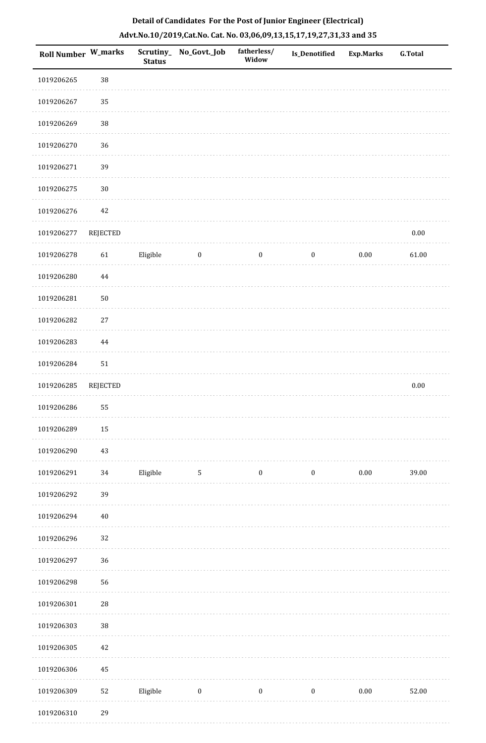| Roll Number W_marks |                 | <b>Status</b> | Scrutiny_No_Govt._Job | fatherless/<br>Widow | Is_Denotified    | <b>Exp.Marks</b> | <b>G.Total</b> |
|---------------------|-----------------|---------------|-----------------------|----------------------|------------------|------------------|----------------|
| 1019206265          | 38              |               |                       |                      |                  |                  |                |
| 1019206267          | 35              |               |                       |                      |                  |                  |                |
| 1019206269          | 38              |               |                       |                      |                  |                  |                |
| 1019206270          | 36              |               |                       |                      |                  |                  |                |
| 1019206271          | 39              |               |                       |                      |                  |                  |                |
| 1019206275          | $30\,$          |               |                       |                      |                  |                  |                |
| 1019206276          | $42\,$          |               |                       |                      |                  |                  |                |
| 1019206277          | <b>REJECTED</b> |               |                       |                      |                  |                  | $0.00\,$       |
| 1019206278          | 61              | Eligible      | $\boldsymbol{0}$      | $\boldsymbol{0}$     | $\boldsymbol{0}$ | 0.00             | 61.00          |
| 1019206280          | $\bf 44$        |               |                       |                      |                  |                  |                |
| 1019206281          | $50\,$          |               |                       |                      |                  |                  |                |
| 1019206282          | $27\,$          |               |                       |                      |                  |                  |                |
| 1019206283          | $\bf 44$        |               |                       |                      |                  |                  |                |
| 1019206284          | $51\,$          |               |                       |                      |                  |                  |                |
| 1019206285          | <b>REJECTED</b> |               |                       |                      |                  |                  | $0.00\,$       |
| 1019206286          | 55              |               |                       |                      |                  |                  |                |
| 1019206289          | $15\,$          |               |                       |                      |                  |                  |                |
| 1019206290          | 43              |               |                       |                      |                  |                  |                |
| 1019206291          | $34\,$          | Eligible      | 5                     | $\boldsymbol{0}$     | $\boldsymbol{0}$ | 0.00             | 39.00          |
| 1019206292          | 39              |               |                       |                      |                  |                  |                |
| 1019206294          | $40\,$          |               |                       |                      |                  |                  |                |
| 1019206296          | 32              |               |                       |                      |                  |                  |                |
| 1019206297          | 36              |               |                       |                      |                  |                  |                |
| 1019206298          | 56              |               |                       |                      |                  |                  |                |
| 1019206301          | ${\bf 28}$      |               |                       |                      |                  |                  |                |
| 1019206303          | $38\,$          |               |                       |                      |                  |                  |                |
| 1019206305          | $42\,$          |               |                       |                      |                  |                  |                |
| 1019206306          | 45              |               |                       |                      |                  |                  |                |
| 1019206309          | $52\,$          | Eligible      | $\boldsymbol{0}$      | $\boldsymbol{0}$     | $\boldsymbol{0}$ | 0.00             | 52.00          |
|                     |                 |               |                       |                      |                  |                  |                |

1019206310 29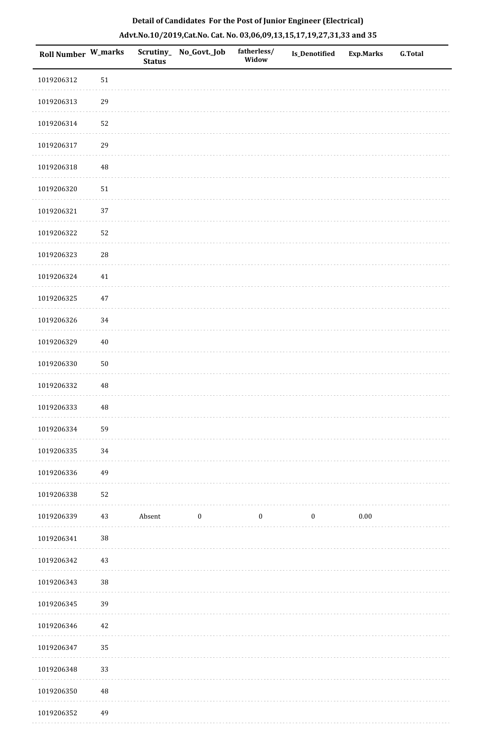| Roll Number W_marks |             | <b>Status</b> | Scrutiny_No_Govt._Job | fatherless/<br>Widow | Is_Denotified | Exp.Marks | <b>G.Total</b> |
|---------------------|-------------|---------------|-----------------------|----------------------|---------------|-----------|----------------|
| 1019206312          | $51\,$      |               |                       |                      |               |           |                |
| 1019206313          | 29          |               |                       |                      |               |           |                |
| 1019206314          | 52          |               |                       |                      |               |           |                |
| 1019206317          | 29          |               |                       |                      |               |           |                |
| 1019206318          | $\rm 48$    |               |                       |                      |               |           |                |
| 1019206320          | 51          |               |                       |                      |               |           |                |
| 1019206321          | 37          |               |                       |                      |               |           |                |
| 1019206322          | 52          |               |                       |                      |               |           |                |
| 1019206323          | ${\bf 28}$  |               |                       |                      |               |           |                |
| 1019206324          | 41          |               |                       |                      |               |           |                |
| 1019206325          | $47\,$      |               |                       |                      |               |           |                |
| 1019206326          | $34\,$      |               |                       |                      |               |           |                |
| 1019206329          | $40\,$      |               |                       |                      |               |           |                |
| 1019206330          | $50\,$      |               |                       |                      |               |           |                |
| 1019206332          | $\rm 48$    |               |                       |                      |               |           |                |
| 1019206333          | $\rm 48$    |               |                       |                      |               |           |                |
| 1019206334          | 59          |               |                       |                      |               |           |                |
| 1019206335          | 34          |               |                       |                      |               |           |                |
| 1019206336          | 49          |               |                       |                      |               |           |                |
| 1019206338          | 52          |               |                       |                      |               |           |                |
| 1019206339          | 43          | Absent        | $\boldsymbol{0}$      | $\boldsymbol{0}$     | $\bf{0}$      | $0.00\,$  |                |
| 1019206341          | 38          |               |                       |                      |               |           |                |
| 1019206342          | 43          |               |                       |                      |               |           |                |
| 1019206343          | $38\,$      |               |                       |                      |               |           |                |
| 1019206345          | 39          |               |                       |                      |               |           |                |
| 1019206346          | $42\,$      |               |                       |                      |               |           |                |
| 1019206347          | 35          |               |                       |                      |               |           |                |
| 1019206348          | 33          |               |                       |                      |               |           |                |
| 1019206350          | $\rm 48$    |               |                       |                      |               |           |                |
| 1010206252          | $\Lambda$ Q |               |                       |                      |               |           |                |

# **Detail of Candidates For the Post of Junior Engineer (Electrical) Advt.No.10/2019,Cat.No. Cat. No. 03,06,09,13,15,17,19,27,31,33 and 35**

 1019206352 49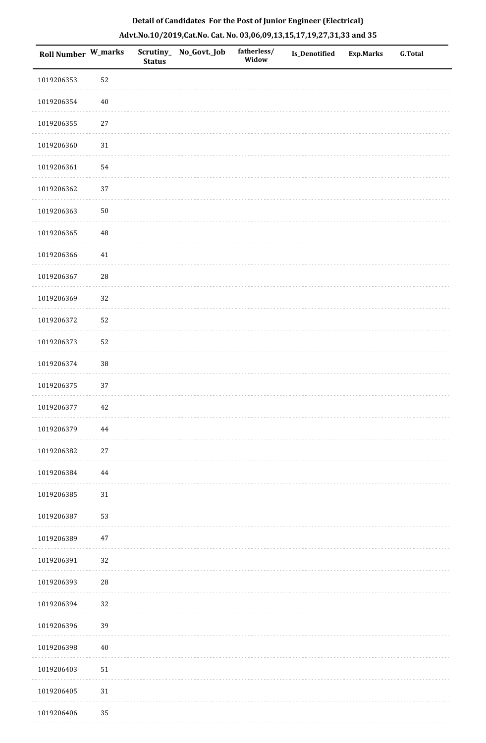| Roll Number W_marks |        | <b>Status</b> | Scrutiny_No_Govt._Job | fatherless/<br>Widow | Is_Denotified | <b>Exp.Marks</b> | <b>G.Total</b> |
|---------------------|--------|---------------|-----------------------|----------------------|---------------|------------------|----------------|
| 1019206353          | 52     |               |                       |                      |               |                  |                |
| 1019206354          | 40     |               |                       |                      |               |                  |                |
| 1019206355          | $27\,$ |               |                       |                      |               |                  |                |
| 1019206360          | 31     |               |                       |                      |               |                  |                |
| 1019206361          | 54     |               |                       |                      |               |                  |                |
| 1019206362          | 37     |               |                       |                      |               |                  |                |
| 1019206363          | $50\,$ |               |                       |                      |               |                  |                |
| 1019206365          | 48     |               |                       |                      |               |                  |                |
| 1019206366          | 41     |               |                       |                      |               |                  |                |
| 1019206367          | 28     |               |                       |                      |               |                  |                |
| 1019206369          | 32     |               |                       |                      |               |                  |                |
| 1019206372          | 52     |               |                       |                      |               |                  |                |
| 1019206373          | 52     |               |                       |                      |               |                  |                |
| 1019206374          | $38\,$ |               |                       |                      |               |                  |                |
| 1019206375          | 37     |               |                       |                      |               |                  |                |
| 1019206377          | 42     |               |                       |                      |               |                  |                |
| 1019206379          | 44     |               |                       |                      |               |                  |                |
| 1019206382          | $27\,$ |               |                       |                      |               |                  |                |
| 1019206384          | 44     |               |                       |                      |               |                  |                |
| 1019206385          | 31     |               |                       |                      |               |                  |                |
| 1019206387          | 53     |               |                       |                      |               |                  |                |
| 1019206389          | 47     |               |                       |                      |               |                  |                |
| 1019206391          | 32     |               |                       |                      |               |                  |                |
| 1019206393          | $28\,$ |               |                       |                      |               |                  |                |
| 1019206394          | 32     |               |                       |                      |               |                  |                |
| 1019206396          | 39     |               |                       |                      |               |                  |                |
| 1019206398          | 40     |               |                       |                      |               |                  |                |
| 1019206403          | 51     |               |                       |                      |               |                  |                |
| 1019206405          | 31     |               |                       |                      |               |                  |                |
| 1019206406          | 35     |               |                       |                      |               |                  |                |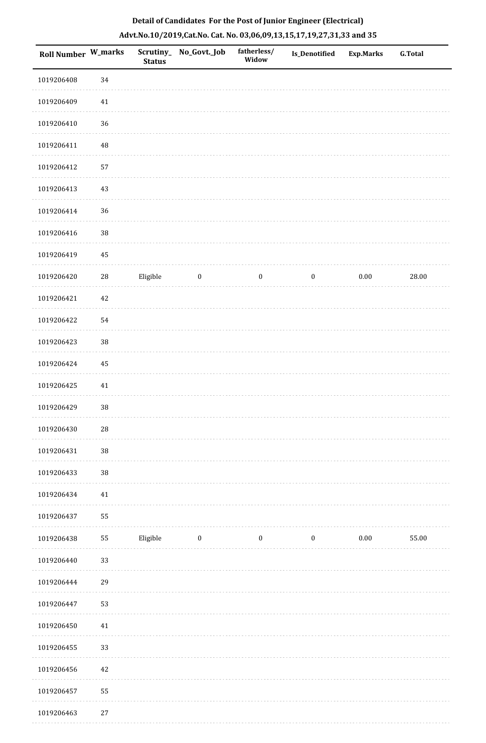| Roll Number W_marks |          | <b>Status</b> | Scrutiny_No_Govt._Job | fatherless/<br>Widow | Is_Denotified    | <b>Exp.Marks</b> | <b>G.Total</b> |
|---------------------|----------|---------------|-----------------------|----------------------|------------------|------------------|----------------|
| 1019206408          | 34       |               |                       |                      |                  |                  |                |
| 1019206409          | $41\,$   |               |                       |                      |                  |                  |                |
| 1019206410          | 36       |               |                       |                      |                  |                  |                |
| 1019206411          | $\rm 48$ |               |                       |                      |                  |                  |                |
| 1019206412          | 57       |               |                       |                      |                  |                  |                |
| 1019206413          | 43       |               |                       |                      |                  |                  |                |
| 1019206414          | 36       |               |                       |                      |                  |                  |                |
| 1019206416          | $38\,$   |               |                       |                      |                  |                  |                |
| 1019206419          | 45       |               |                       |                      |                  |                  |                |
| 1019206420          | $28\,$   | Eligible      | $\boldsymbol{0}$      | $\boldsymbol{0}$     | $\boldsymbol{0}$ | $0.00\,$         | 28.00          |
| 1019206421          | $42\,$   |               |                       |                      |                  |                  |                |
| 1019206422          | 54       |               |                       |                      |                  |                  |                |
| 1019206423          | 38       |               |                       |                      |                  |                  |                |
| 1019206424          | 45       |               |                       |                      |                  |                  |                |
| 1019206425          | $41\,$   |               |                       |                      |                  |                  |                |
| 1019206429          | 38       |               |                       |                      |                  |                  |                |
| 1019206430          | $28\,$   |               |                       |                      |                  |                  |                |
| 1019206431          | 38       |               |                       |                      |                  |                  |                |
| 1019206433          | $38\,$   |               |                       |                      |                  |                  |                |
| 1019206434          | 41       |               |                       |                      |                  |                  |                |
| 1019206437          | 55       |               |                       |                      |                  |                  |                |
| 1019206438          | 55       | Eligible      | $\boldsymbol{0}$      | $\boldsymbol{0}$     | $\boldsymbol{0}$ | $0.00\,$         | 55.00          |
| 1019206440          | 33       |               |                       |                      |                  |                  |                |
| 1019206444          | 29       |               |                       |                      |                  |                  |                |
| 1019206447          | 53       |               |                       |                      |                  |                  |                |
| 1019206450          | 41       |               |                       |                      |                  |                  |                |
| 1019206455          | 33       |               |                       |                      |                  |                  |                |
| 1019206456          | $42\,$   |               |                       |                      |                  |                  |                |
| 1019206457          | 55       |               |                       |                      |                  |                  |                |
| 1019206463          | 27       |               |                       |                      |                  |                  |                |

1019206463 27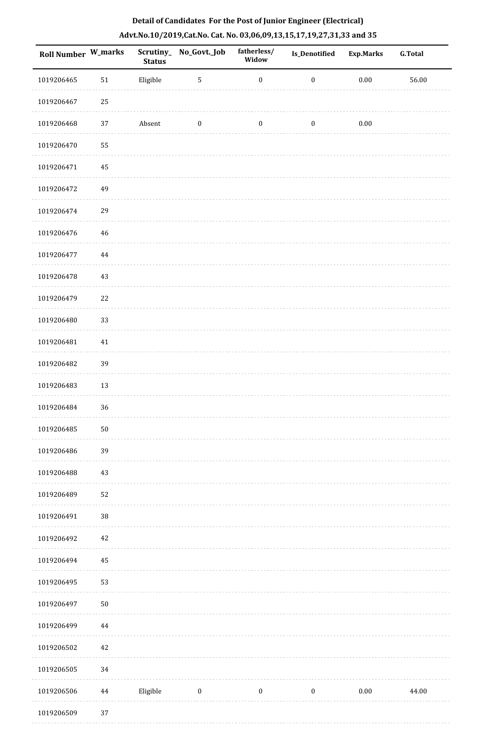| Roll Number W_marks |          | <b>Status</b> | Scrutiny_No_Govt._Job | fatherless/<br>Widow | Is_Denotified    | Exp.Marks | G.Total |
|---------------------|----------|---------------|-----------------------|----------------------|------------------|-----------|---------|
| 1019206465          | $51\,$   | Eligible      | 5                     | $\boldsymbol{0}$     | $\boldsymbol{0}$ | $0.00\,$  | 56.00   |
| 1019206467          | 25       |               |                       |                      |                  |           |         |
| 1019206468          | 37       | Absent        | $\boldsymbol{0}$      | $\boldsymbol{0}$     | $\boldsymbol{0}$ | $0.00\,$  |         |
| 1019206470          | 55       |               |                       |                      |                  |           |         |
| 1019206471          | $\rm 45$ |               |                       |                      |                  |           |         |
| 1019206472          | 49       |               |                       |                      |                  |           |         |
| 1019206474          | 29       |               |                       |                      |                  |           |         |
| 1019206476          | 46       |               |                       |                      |                  |           |         |
| 1019206477          | 44       |               |                       |                      |                  |           |         |
| 1019206478          | $43\,$   |               |                       |                      |                  |           |         |
| 1019206479          | 22       |               |                       |                      |                  |           |         |
| 1019206480          | 33       |               |                       |                      |                  |           |         |
| 1019206481          | 41       |               |                       |                      |                  |           |         |
| 1019206482          | 39       |               |                       |                      |                  |           |         |
| 1019206483          | $13\,$   |               |                       |                      |                  |           |         |
| 1019206484          | 36       |               |                       |                      |                  |           |         |
| 1019206485          | $50\,$   |               |                       |                      |                  |           |         |
| 1019206486          | 39       |               |                       |                      |                  |           |         |
| 1019206488          | $43\,$   |               |                       |                      |                  |           |         |
| 1019206489          | 52       |               |                       |                      |                  |           |         |
| 1019206491          | $38\,$   |               |                       |                      |                  |           |         |
| 1019206492          | $42\,$   |               |                       |                      |                  |           |         |
| 1019206494          | 45       |               |                       |                      |                  |           |         |
| 1019206495          | 53       |               |                       |                      |                  |           |         |
| 1019206497          | $50\,$   |               |                       |                      |                  |           |         |
| 1019206499          | 44       |               |                       |                      |                  |           |         |
| 1019206502          | $42\,$   |               |                       |                      |                  |           |         |
| 1019206505          | 34       |               |                       |                      |                  |           |         |
| 1019206506          | 44       | Eligible      | $\boldsymbol{0}$      | $\boldsymbol{0}$     | $\boldsymbol{0}$ | $0.00\,$  | 44.00   |

1019206509 37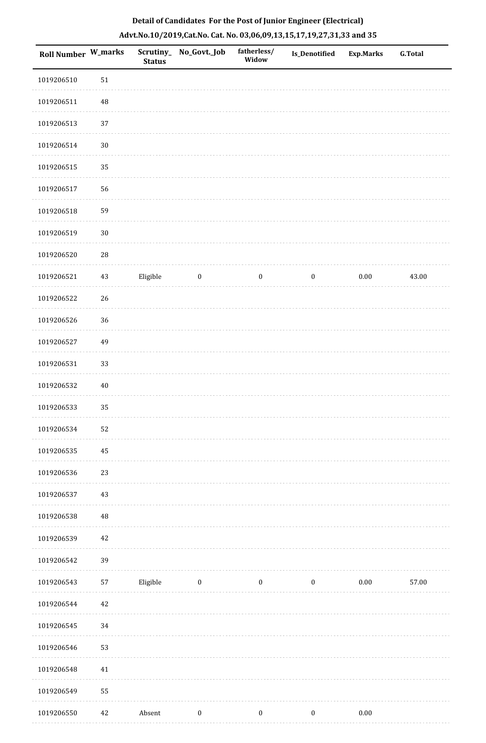| Roll Number W_marks |            | Scrutiny_<br><b>Status</b> | No_Govt._Job     | fatherless/<br>Widow | Is_Denotified    | <b>Exp.Marks</b> | <b>G.Total</b> |
|---------------------|------------|----------------------------|------------------|----------------------|------------------|------------------|----------------|
| 1019206510          | $51\,$     |                            |                  |                      |                  |                  |                |
| 1019206511          | $\rm 48$   |                            |                  |                      |                  |                  |                |
| 1019206513          | 37         |                            |                  |                      |                  |                  |                |
| 1019206514          | $30\,$     |                            |                  |                      |                  |                  |                |
| 1019206515          | 35         |                            |                  |                      |                  |                  |                |
| 1019206517          | 56         |                            |                  |                      |                  |                  |                |
| 1019206518          | 59         |                            |                  |                      |                  |                  |                |
| 1019206519          | $30\,$     |                            |                  |                      |                  |                  |                |
| 1019206520          | ${\bf 28}$ |                            |                  |                      |                  |                  |                |
| 1019206521          | $43\,$     | Eligible                   | $\boldsymbol{0}$ | $\boldsymbol{0}$     | $\boldsymbol{0}$ | $0.00\,$         | 43.00          |
| 1019206522          | $26\,$     |                            |                  |                      |                  |                  |                |
| 1019206526          | 36         |                            |                  |                      |                  |                  |                |
| 1019206527          | 49         |                            |                  |                      |                  |                  |                |
| 1019206531          | 33         |                            |                  |                      |                  |                  |                |
| 1019206532          | $40\,$     |                            |                  |                      |                  |                  |                |
| 1019206533          | 35         |                            |                  |                      |                  |                  |                |
| 1019206534          | 52         |                            |                  |                      |                  |                  |                |
| 1019206535          | 45         |                            |                  |                      |                  |                  |                |
| 1019206536          | 23         |                            |                  |                      |                  |                  |                |
| 1019206537          | 43         |                            |                  |                      |                  |                  |                |
| 1019206538          | $\rm 48$   |                            |                  |                      |                  |                  |                |
| 1019206539          | 42         |                            |                  |                      |                  |                  |                |
| 1019206542          | 39         |                            |                  |                      |                  |                  |                |
| 1019206543          | 57         | Eligible                   | $\boldsymbol{0}$ | $\boldsymbol{0}$     | $\boldsymbol{0}$ | $0.00\,$         | 57.00          |
| 1019206544          | $42\,$     |                            |                  |                      |                  |                  |                |
| 1019206545          | 34         |                            |                  |                      |                  |                  |                |
| 1019206546          | 53         |                            |                  |                      |                  |                  |                |
| 1019206548          | 41         |                            |                  |                      |                  |                  |                |
| 1019206549          | 55         |                            |                  |                      |                  |                  |                |
| 1019206550          | 42         | Absent                     | $\boldsymbol{0}$ | $\boldsymbol{0}$     | $\boldsymbol{0}$ | $0.00\,$         |                |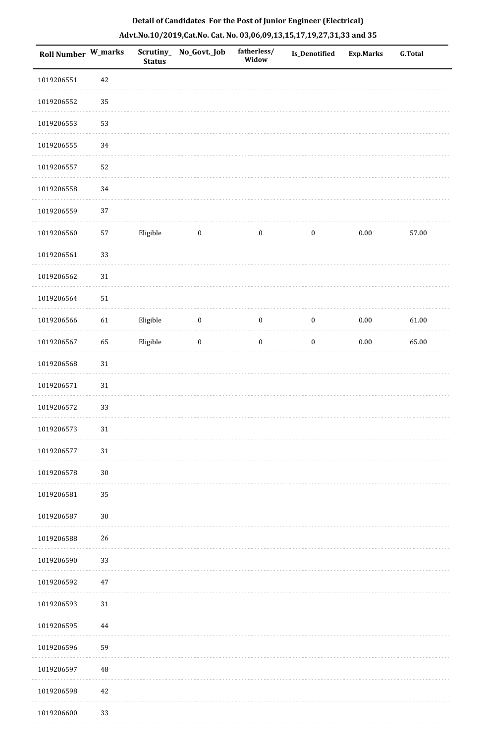|  | Detail of Candidates For the Post of Junior Engineer (Electrical)     |  |
|--|-----------------------------------------------------------------------|--|
|  | Advt.No.10/2019,Cat.No. Cat. No. 03,06,09,13,15,17,19,27,31,33 and 35 |  |

| Roll Number W_marks |            | <b>Status</b> | Scrutiny_ No_Govt._Job | fatherless/<br>Widow | <b>Is_Denotified</b> | <b>Exp.Marks</b> | <b>G.Total</b> |
|---------------------|------------|---------------|------------------------|----------------------|----------------------|------------------|----------------|
| 1019206551          | $42\,$     |               |                        |                      |                      |                  |                |
| 1019206552          | 35         |               |                        |                      |                      |                  |                |
| 1019206553          | 53         |               |                        |                      |                      |                  |                |
| 1019206555          | 34         |               |                        |                      |                      |                  |                |
| 1019206557          | 52         |               |                        |                      |                      |                  |                |
| 1019206558          | 34         |               |                        |                      |                      |                  |                |
| 1019206559          | 37         |               |                        |                      |                      |                  |                |
| 1019206560          | 57         | Eligible      | $\boldsymbol{0}$       | $\boldsymbol{0}$     | $\boldsymbol{0}$     | $0.00\,$         | 57.00          |
| 1019206561          | 33         |               |                        |                      |                      |                  |                |
| 1019206562          | 31         |               |                        |                      |                      |                  |                |
| 1019206564          | ${\bf 51}$ |               |                        |                      |                      |                  |                |
| 1019206566          | 61         | Eligible      | $\boldsymbol{0}$       | $\boldsymbol{0}$     | $\boldsymbol{0}$     | $0.00\,$         | 61.00          |
| 1019206567          | 65         | Eligible      | $\boldsymbol{0}$       | $\boldsymbol{0}$     | $\boldsymbol{0}$     | $0.00\,$         | 65.00          |
| 1019206568          | $31\,$     |               |                        |                      |                      |                  |                |
| 1019206571          | $31\,$     |               |                        |                      |                      |                  |                |
| 1019206572          | 33         |               |                        |                      |                      |                  |                |
| 1019206573          | 31         |               |                        |                      |                      |                  |                |
| 1019206577          | 31         |               |                        |                      |                      |                  |                |
| 1019206578          | $30\,$     |               |                        |                      |                      |                  |                |
| 1019206581          | 35         |               |                        |                      |                      |                  |                |
| 1019206587          | $30\,$     |               |                        |                      |                      |                  |                |
| 1019206588          | 26         |               |                        |                      |                      |                  |                |
| 1019206590          | 33         |               |                        |                      |                      |                  |                |
| 1019206592          | $47\,$     |               |                        |                      |                      |                  |                |
| 1019206593          | $31\,$     |               |                        |                      |                      |                  |                |
| 1019206595          | 44         |               |                        |                      |                      |                  |                |
| 1019206596          | 59         |               |                        |                      |                      |                  |                |
| 1019206597          | $\rm 48$   |               |                        |                      |                      |                  |                |
| 1019206598          | $42\,$     |               |                        |                      |                      |                  |                |
| 1019206600          | 33         |               |                        |                      |                      |                  |                |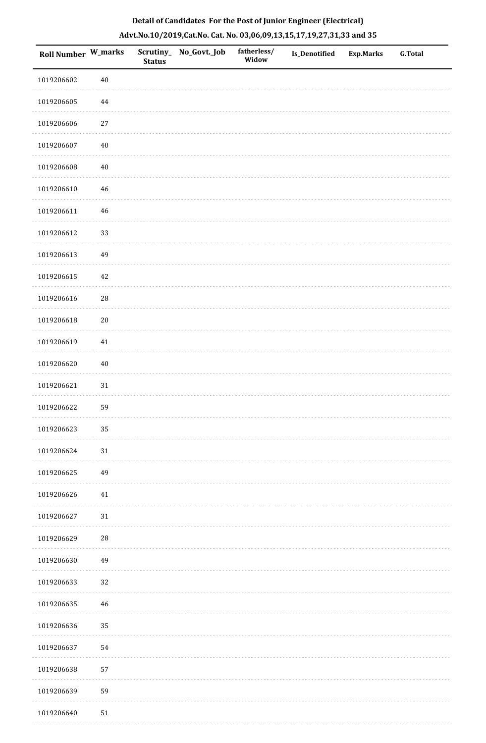|  | Detail of Candidates For the Post of Junior Engineer (Electrical)     |  |
|--|-----------------------------------------------------------------------|--|
|  | Advt.No.10/2019,Cat.No. Cat. No. 03,06,09,13,15,17,19,27,31,33 and 35 |  |

| <b>Roll Number W_marks</b> |             | <b>Status</b> | Scrutiny_ No_Govt._Job | fatherless/<br>Widow | Is_Denotified | <b>Exp.Marks</b> | <b>G.Total</b> |
|----------------------------|-------------|---------------|------------------------|----------------------|---------------|------------------|----------------|
| 1019206602                 | $40\,$      |               |                        |                      |               |                  |                |
| 1019206605                 | $\bf 44$    |               |                        |                      |               |                  |                |
| 1019206606                 | $27\,$      |               |                        |                      |               |                  |                |
| 1019206607                 | $40\,$      |               |                        |                      |               |                  |                |
| 1019206608                 | $40\,$      |               |                        |                      |               |                  |                |
| 1019206610                 | $\sqrt{46}$ |               |                        |                      |               |                  |                |
| 1019206611                 | $46\,$      |               |                        |                      |               |                  |                |
| 1019206612                 | 33          |               |                        |                      |               |                  |                |
| 1019206613                 | 49          |               |                        |                      |               |                  |                |
| 1019206615                 | 42          |               |                        |                      |               |                  |                |
| 1019206616                 | ${\bf 28}$  |               |                        |                      |               |                  |                |
| 1019206618                 | $20\,$      |               |                        |                      |               |                  |                |
| 1019206619                 | $41\,$      |               |                        |                      |               |                  |                |
| 1019206620                 | $40\,$      |               |                        |                      |               |                  |                |
| 1019206621                 | $31\,$      |               |                        |                      |               |                  |                |
| 1019206622                 | 59          |               |                        |                      |               |                  |                |
| 1019206623                 | 35          |               |                        |                      |               |                  |                |
| 1019206624                 | $31\,$      |               |                        |                      |               |                  |                |
| 1019206625                 | 49          |               |                        |                      |               |                  |                |
| 1019206626                 | 41          |               |                        |                      |               |                  |                |
| 1019206627                 | $31\,$      |               |                        |                      |               |                  |                |
| 1019206629                 | ${\bf 28}$  |               |                        |                      |               |                  |                |
| 1019206630                 | 49          |               |                        |                      |               |                  |                |
| 1019206633                 | 32          |               |                        |                      |               |                  |                |
| 1019206635                 | 46          |               |                        |                      |               |                  |                |
| 1019206636                 | 35          |               |                        |                      |               |                  |                |
| 1019206637                 | 54          |               |                        |                      |               |                  |                |
| 1019206638                 | 57          |               |                        |                      |               |                  |                |
| 1019206639                 | 59          |               |                        |                      |               |                  |                |
| 1019206640                 | 51          |               |                        |                      |               |                  |                |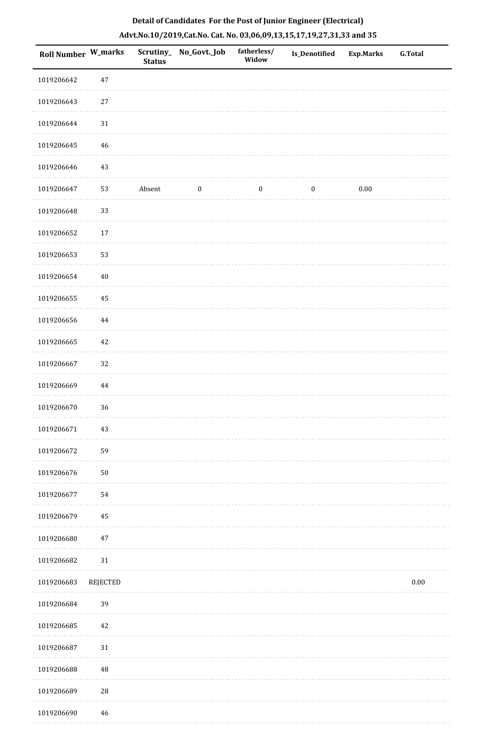| Roll Number W_marks |                 | <b>Status</b> | Scrutiny_ No_Govt._Job | fatherless/<br>Widow | Is_Denotified    | <b>Exp.Marks</b> | G.Total  |
|---------------------|-----------------|---------------|------------------------|----------------------|------------------|------------------|----------|
| 1019206642          | $47\,$          |               |                        |                      |                  |                  |          |
| 1019206643          | $27\,$          |               |                        |                      |                  |                  |          |
| 1019206644          | $31\,$          |               |                        |                      |                  |                  |          |
| 1019206645          | 46              |               |                        |                      |                  |                  |          |
| 1019206646          | $43\,$          |               |                        |                      |                  |                  |          |
| 1019206647          | 53              | Absent        | $\boldsymbol{0}$       | $\boldsymbol{0}$     | $\boldsymbol{0}$ | 0.00             |          |
| 1019206648          | 33              |               |                        |                      |                  |                  |          |
| 1019206652          | $17\,$          |               |                        |                      |                  |                  |          |
| 1019206653          | 53              |               |                        |                      |                  |                  |          |
| 1019206654          | $40\,$          |               |                        |                      |                  |                  |          |
| 1019206655          | 45              |               |                        |                      |                  |                  |          |
| 1019206656          | $\bf 44$        |               |                        |                      |                  |                  |          |
| 1019206665          | $42\,$          |               |                        |                      |                  |                  |          |
| 1019206667          | 32              |               |                        |                      |                  |                  |          |
| 1019206669          | $\bf 44$        |               |                        |                      |                  |                  |          |
| 1019206670          | 36              |               |                        |                      |                  |                  |          |
| 1019206671          | $43\,$          |               |                        |                      |                  |                  |          |
| 1019206672          | 59              |               |                        |                      |                  |                  |          |
| 1019206676          | $50\,$          |               |                        |                      |                  |                  |          |
| 1019206677          | 54              |               |                        |                      |                  |                  |          |
| 1019206679          | 45              |               |                        |                      |                  |                  |          |
| 1019206680          | $47\,$          |               |                        |                      |                  |                  |          |
| 1019206682          | $31\,$          |               |                        |                      |                  |                  |          |
| 1019206683          | <b>REJECTED</b> |               |                        |                      |                  |                  | $0.00\,$ |
| 1019206684          | 39              |               |                        |                      |                  |                  |          |
| 1019206685          | $42\,$          |               |                        |                      |                  |                  |          |
| 1019206687          | 31              |               |                        |                      |                  |                  |          |
| 1019206688          | 48              |               |                        |                      |                  |                  |          |
| 1019206689          | ${\bf 28}$      |               |                        |                      |                  |                  |          |
| 1019206690          | 46              |               |                        |                      |                  |                  |          |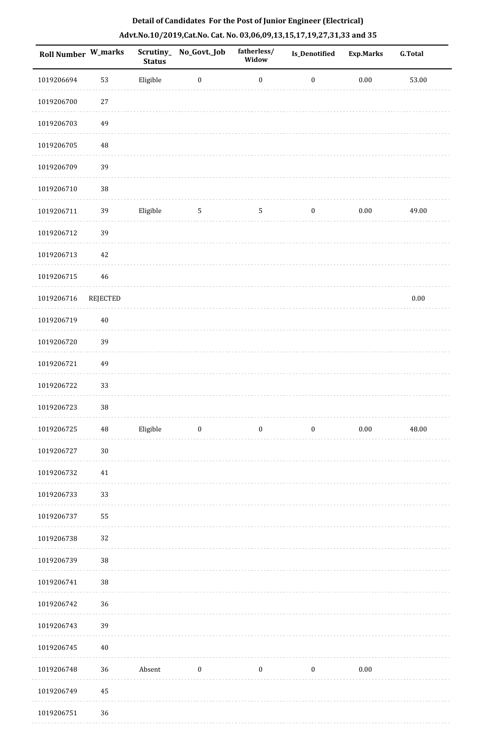| Roll Number W_marks |                 | Scrutiny_<br><b>Status</b> | No_Govt._Job     | fatherless/<br>Widow | Is_Denotified    | <b>Exp.Marks</b> | <b>G.Total</b> |
|---------------------|-----------------|----------------------------|------------------|----------------------|------------------|------------------|----------------|
| 1019206694          | 53              | Eligible                   | $\boldsymbol{0}$ | $\boldsymbol{0}$     | $\boldsymbol{0}$ | $0.00\,$         | 53.00          |
| 1019206700          | $27\,$          |                            |                  |                      |                  |                  |                |
| 1019206703          | 49              |                            |                  |                      |                  |                  |                |
| 1019206705          | 48              |                            |                  |                      |                  |                  |                |
| 1019206709          | 39              |                            |                  |                      |                  |                  |                |
| 1019206710          | 38              |                            |                  |                      |                  |                  |                |
| 1019206711          | 39              | Eligible                   | $\sqrt{5}$       | $\mathsf S$          | $\boldsymbol{0}$ | $0.00\,$         | 49.00          |
| 1019206712          | 39              |                            |                  |                      |                  |                  |                |
| 1019206713          | 42              |                            |                  |                      |                  |                  |                |
| 1019206715          | 46              |                            |                  |                      |                  |                  |                |
| 1019206716          | <b>REJECTED</b> |                            |                  |                      |                  |                  | $0.00\,$       |
| 1019206719          | $40\,$          |                            |                  |                      |                  |                  |                |
| 1019206720          | 39              |                            |                  |                      |                  |                  |                |
| 1019206721          | 49              |                            |                  |                      |                  |                  |                |
| 1019206722          | 33              |                            |                  |                      |                  |                  |                |
| 1019206723          | 38              |                            |                  |                      |                  |                  |                |
| 1019206725          | $\bf 48$        | Eligible                   | $\bf{0}$         | $\boldsymbol{0}$     | $\boldsymbol{0}$ | $0.00\,$         | 48.00          |
| 1019206727          | $30\,$          |                            |                  |                      |                  |                  |                |
| 1019206732          | $41\,$          |                            |                  |                      |                  |                  |                |
| 1019206733          | 33              |                            |                  |                      |                  |                  |                |
| 1019206737          | 55              |                            |                  |                      |                  |                  |                |
| 1019206738          | 32              |                            |                  |                      |                  |                  |                |
| 1019206739          | $38\,$          |                            |                  |                      |                  |                  |                |
| 1019206741          | $38\,$          |                            |                  |                      |                  |                  |                |
| 1019206742          | 36              |                            |                  |                      |                  |                  |                |
| 1019206743          | 39              |                            |                  |                      |                  |                  |                |
| 1019206745          | $40\,$          |                            |                  |                      |                  |                  |                |
| 1019206748          | 36              | Absent                     | $\boldsymbol{0}$ | $\boldsymbol{0}$     | $\boldsymbol{0}$ | $0.00\,$         |                |
| 1019206749          | 45              |                            |                  |                      |                  |                  |                |
| 1019206751          | 36              |                            |                  |                      |                  |                  |                |
|                     |                 |                            |                  |                      |                  |                  |                |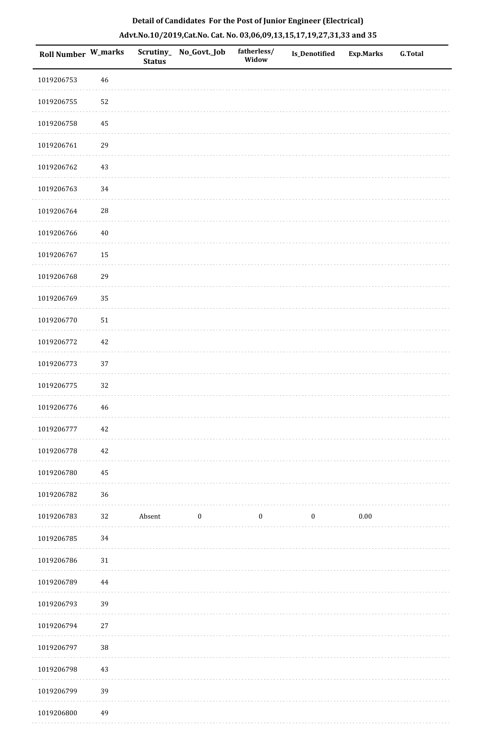| Roll Number W_marks |        | <b>Status</b> | Scrutiny_ No_Govt._Job | fatherless/<br>Widow | Is_Denotified    | Exp.Marks | G.Total |
|---------------------|--------|---------------|------------------------|----------------------|------------------|-----------|---------|
| 1019206753          | 46     |               |                        |                      |                  |           |         |
| 1019206755          | 52     |               |                        |                      |                  |           |         |
| 1019206758          | 45     |               |                        |                      |                  |           |         |
| 1019206761          | 29     |               |                        |                      |                  |           |         |
| 1019206762          | 43     |               |                        |                      |                  |           |         |
| 1019206763          | 34     |               |                        |                      |                  |           |         |
| 1019206764          | $28\,$ |               |                        |                      |                  |           |         |
| 1019206766          | 40     |               |                        |                      |                  |           |         |
| 1019206767          | 15     |               |                        |                      |                  |           |         |
| 1019206768          | 29     |               |                        |                      |                  |           |         |
| 1019206769          | 35     |               |                        |                      |                  |           |         |
| 1019206770          | $51\,$ |               |                        |                      |                  |           |         |
| 1019206772          | 42     |               |                        |                      |                  |           |         |
| 1019206773          | $37\,$ |               |                        |                      |                  |           |         |
| 1019206775          | 32     |               |                        |                      |                  |           |         |
| 1019206776          | 46     |               |                        |                      |                  |           |         |
| 1019206777          | 42     |               |                        |                      |                  |           |         |
| 1019206778          | $42\,$ |               |                        |                      |                  |           |         |
| 1019206780          | 45     |               |                        |                      |                  |           |         |
| 1019206782          | 36     |               |                        |                      |                  |           |         |
| 1019206783          | 32     | Absent        | $\boldsymbol{0}$       | $\boldsymbol{0}$     | $\boldsymbol{0}$ | $0.00\,$  |         |
| 1019206785          | 34     |               |                        |                      |                  |           |         |
| 1019206786          | $31\,$ |               |                        |                      |                  |           |         |
| 1019206789          | 44     |               |                        |                      |                  |           |         |
| 1019206793          | 39     |               |                        |                      |                  |           |         |
| 1019206794          | 27     |               |                        |                      |                  |           |         |
| 1019206797          | $38\,$ |               |                        |                      |                  |           |         |
| 1019206798          | 43     |               |                        |                      |                  |           |         |
| 1019206799          | 39     |               |                        |                      |                  |           |         |
| 1019206800          | 49     |               |                        |                      |                  |           |         |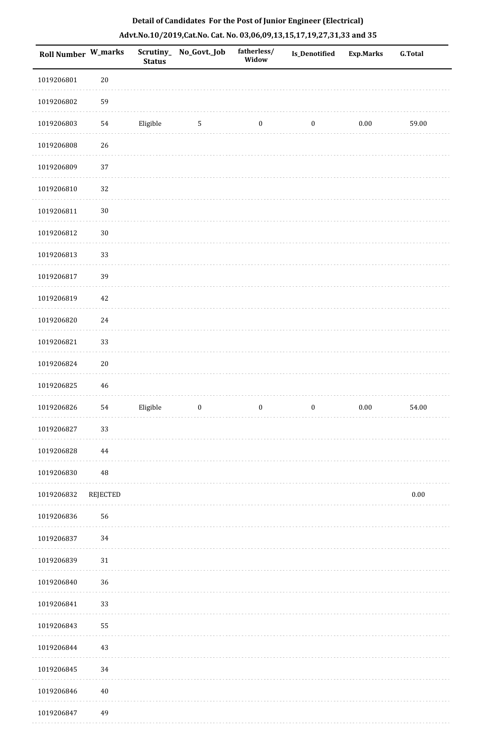| Roll Number W_marks |                 | <b>Status</b> | Scrutiny_No_Govt._Job | fatherless/<br>Widow | Is_Denotified    | <b>Exp.Marks</b> | <b>G.Total</b> |
|---------------------|-----------------|---------------|-----------------------|----------------------|------------------|------------------|----------------|
| 1019206801          | $20\,$          |               |                       |                      |                  |                  |                |
| 1019206802          | 59              |               |                       |                      |                  |                  |                |
| 1019206803          | 54              | Eligible      | $\sqrt{5}$            | $\boldsymbol{0}$     | $\boldsymbol{0}$ | 0.00             | 59.00          |
| 1019206808          | 26              |               |                       |                      |                  |                  |                |
| 1019206809          | 37              |               |                       |                      |                  |                  |                |
| 1019206810          | 32              |               |                       |                      |                  |                  |                |
| 1019206811          | $30\,$          |               |                       |                      |                  |                  |                |
| 1019206812          | $30\,$          |               |                       |                      |                  |                  |                |
| 1019206813          | 33              |               |                       |                      |                  |                  |                |
| 1019206817          | 39              |               |                       |                      |                  |                  |                |
| 1019206819          | 42              |               |                       |                      |                  |                  |                |
| 1019206820          | 24              |               |                       |                      |                  |                  |                |
| 1019206821          | 33              |               |                       |                      |                  |                  |                |
| 1019206824          | $20\,$          |               |                       |                      |                  |                  |                |
| 1019206825          | $46\,$          |               |                       |                      |                  |                  |                |
| 1019206826          | 54              | Eligible      | $\boldsymbol{0}$      | $\boldsymbol{0}$     | $\boldsymbol{0}$ | $0.00\,$         | 54.00          |
| 1019206827          | 33              |               |                       |                      |                  |                  |                |
| 1019206828          | 44              |               |                       |                      |                  |                  |                |
| 1019206830          | $\rm 48$        |               |                       |                      |                  |                  |                |
| 1019206832          | <b>REJECTED</b> |               |                       |                      |                  |                  | $0.00\,$       |
| 1019206836          | 56              |               |                       |                      |                  |                  |                |
| 1019206837          | 34              |               |                       |                      |                  |                  |                |
| 1019206839          | $31\,$          |               |                       |                      |                  |                  |                |
| 1019206840          | 36              |               |                       |                      |                  |                  |                |
| 1019206841          | 33              |               |                       |                      |                  |                  |                |
| 1019206843          | 55              |               |                       |                      |                  |                  |                |
| 1019206844          | $43\,$          |               |                       |                      |                  |                  |                |
| 1019206845          | 34              |               |                       |                      |                  |                  |                |
| 1019206846          | $40\,$          |               |                       |                      |                  |                  |                |
| 1019206847          | 49              |               |                       |                      |                  |                  |                |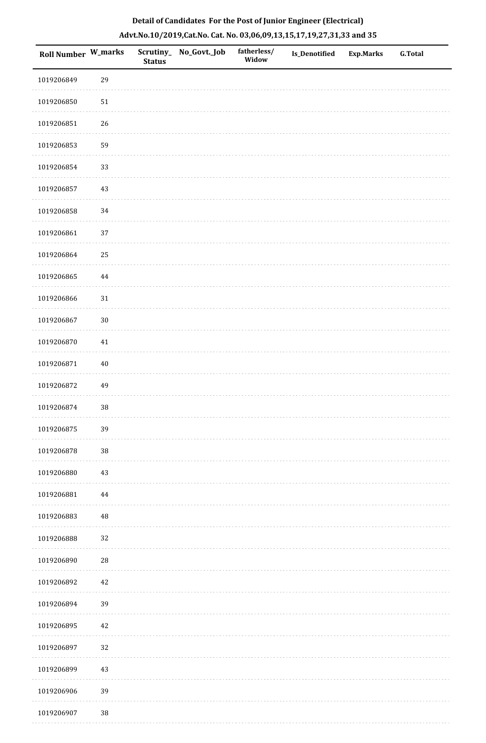| <b>Roll Number W_marks</b> |          | <b>Status</b> | Scrutiny_No_Govt._Job | fatherless/<br>Widow | <b>Is_Denotified</b> | <b>Exp.Marks</b> | <b>G.Total</b> |
|----------------------------|----------|---------------|-----------------------|----------------------|----------------------|------------------|----------------|
| 1019206849                 | 29       |               |                       |                      |                      |                  |                |
| 1019206850                 | 51       |               |                       |                      |                      |                  |                |
| 1019206851                 | 26       |               |                       |                      |                      |                  |                |
| 1019206853                 | 59       |               |                       |                      |                      |                  |                |
| 1019206854                 | 33       |               |                       |                      |                      |                  |                |
| 1019206857                 | 43       |               |                       |                      |                      |                  |                |
| 1019206858                 | 34       |               |                       |                      |                      |                  |                |
| 1019206861                 | 37       |               |                       |                      |                      |                  |                |
| 1019206864                 | 25       |               |                       |                      |                      |                  |                |
| 1019206865                 | 44       |               |                       |                      |                      |                  |                |
| 1019206866                 | 31       |               |                       |                      |                      |                  |                |
| 1019206867                 | $30\,$   |               |                       |                      |                      |                  |                |
| 1019206870                 | $41\,$   |               |                       |                      |                      |                  |                |
| 1019206871                 | $40\,$   |               |                       |                      |                      |                  |                |
| 1019206872                 | 49       |               |                       |                      |                      |                  |                |
| 1019206874                 | 38       |               |                       |                      |                      |                  |                |
| 1019206875                 | 39       |               |                       |                      |                      |                  |                |
| 1019206878                 | $38\,$   |               |                       |                      |                      |                  |                |
| 1019206880                 | 43       |               |                       |                      |                      |                  |                |
| 1019206881                 | $\bf 44$ |               |                       |                      |                      |                  |                |
| 1019206883                 | $\rm 48$ |               |                       |                      |                      |                  |                |
| 1019206888                 | 32       |               |                       |                      |                      |                  |                |
| 1019206890                 | 28       |               |                       |                      |                      |                  |                |
| 1019206892                 | 42       |               |                       |                      |                      |                  |                |
| 1019206894                 | 39       |               |                       |                      |                      |                  |                |
| 1019206895                 | 42       |               |                       |                      |                      |                  |                |
| 1019206897                 | 32       |               |                       |                      |                      |                  |                |
| 1019206899                 | 43       |               |                       |                      |                      |                  |                |
| 1019206906                 | 39       |               |                       |                      |                      |                  |                |

1019206907 38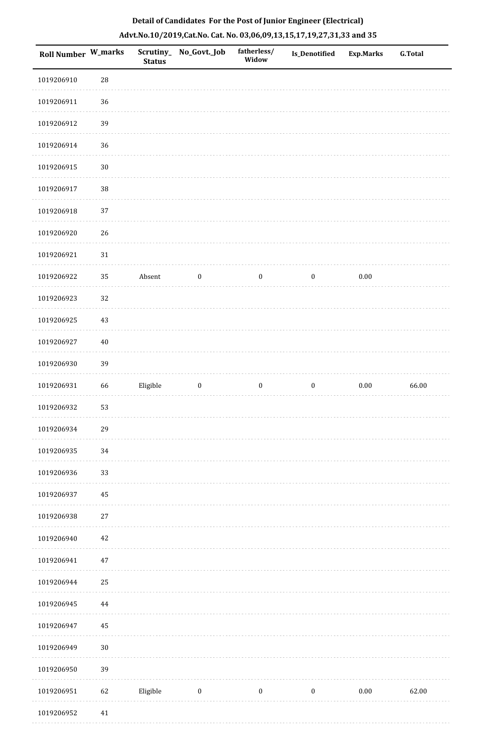| Roll Number W_marks |            | <b>Status</b> | Scrutiny_No_Govt._Job | fatherless/<br>Widow | Is_Denotified    | <b>Exp.Marks</b> | <b>G.Total</b> |
|---------------------|------------|---------------|-----------------------|----------------------|------------------|------------------|----------------|
| 1019206910          | ${\bf 28}$ |               |                       |                      |                  |                  |                |
| 1019206911          | 36         |               |                       |                      |                  |                  |                |
| 1019206912          | 39         |               |                       |                      |                  |                  |                |
| 1019206914          | 36         |               |                       |                      |                  |                  |                |
| 1019206915          | $30\,$     |               |                       |                      |                  |                  |                |
| 1019206917          | 38         |               |                       |                      |                  |                  |                |
| 1019206918          | 37         |               |                       |                      |                  |                  |                |
| 1019206920          | 26         |               |                       |                      |                  |                  |                |
| 1019206921          | 31         |               |                       |                      |                  |                  |                |
| 1019206922          | 35         | Absent        | $\boldsymbol{0}$      | $\boldsymbol{0}$     | $\boldsymbol{0}$ | 0.00             |                |
| 1019206923          | 32         |               |                       |                      |                  |                  |                |
| 1019206925          | 43         |               |                       |                      |                  |                  |                |
| 1019206927          | $40\,$     |               |                       |                      |                  |                  |                |
| 1019206930          | 39         |               |                       |                      |                  |                  |                |
| 1019206931          | 66         | Eligible      | $\boldsymbol{0}$      | $\boldsymbol{0}$     | $\boldsymbol{0}$ | $0.00\,$         | 66.00          |
| 1019206932          | 53         |               |                       |                      |                  |                  |                |
| 1019206934          | 29         |               |                       |                      |                  |                  |                |
| 1019206935          | 34         |               |                       |                      |                  |                  |                |
| 1019206936          | 33         |               |                       |                      |                  |                  |                |
| 1019206937          | 45         |               |                       |                      |                  |                  |                |
| 1019206938          | $27\,$     |               |                       |                      |                  |                  |                |
| 1019206940          | $42\,$     |               |                       |                      |                  |                  |                |
| 1019206941          | $47\,$     |               |                       |                      |                  |                  |                |
| 1019206944          | 25         |               |                       |                      |                  |                  |                |
| 1019206945          | 44         |               |                       |                      |                  |                  |                |
| 1019206947          | 45         |               |                       |                      |                  |                  |                |
| 1019206949          | $30\,$     |               |                       |                      |                  |                  |                |
| 1019206950          | 39         |               |                       |                      |                  |                  |                |
| 1019206951          | 62         | Eligible      | $\boldsymbol{0}$      | $\boldsymbol{0}$     | $\boldsymbol{0}$ | 0.00             | 62.00          |
| 1019206952          | $41\,$     |               |                       |                      |                  |                  |                |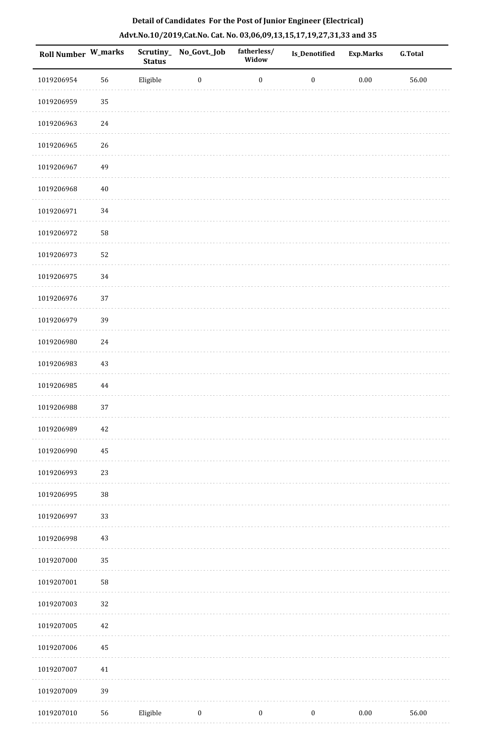| Roll Number W_marks |        | <b>Status</b> | Scrutiny_ No_Govt._Job | fatherless/<br>Widow | <b>Is_Denotified</b> | <b>Exp.Marks</b> | <b>G.Total</b> |
|---------------------|--------|---------------|------------------------|----------------------|----------------------|------------------|----------------|
| 1019206954          | 56     | Eligible      | $\bf{0}$               | $\boldsymbol{0}$     | $\boldsymbol{0}$     | $0.00\,$         | 56.00          |
| 1019206959          | 35     |               |                        |                      |                      |                  |                |
| 1019206963          | $24\,$ |               |                        |                      |                      |                  |                |
| 1019206965          | 26     |               |                        |                      |                      |                  |                |
| 1019206967          | 49     |               |                        |                      |                      |                  |                |
| 1019206968          | $40\,$ |               |                        |                      |                      |                  |                |
| 1019206971          | 34     |               |                        |                      |                      |                  |                |
| 1019206972          | 58     |               |                        |                      |                      |                  |                |
| 1019206973          | 52     |               |                        |                      |                      |                  |                |
| 1019206975          | 34     |               |                        |                      |                      |                  |                |
| 1019206976          | 37     |               |                        |                      |                      |                  |                |
| 1019206979          | 39     |               |                        |                      |                      |                  |                |
| 1019206980          | 24     |               |                        |                      |                      |                  |                |
| 1019206983          | 43     |               |                        |                      |                      |                  |                |
| 1019206985          | 44     |               |                        |                      |                      |                  |                |
| 1019206988          | 37     |               |                        |                      |                      |                  |                |
| 1019206989          | 42     |               |                        |                      |                      |                  |                |
| 1019206990          | 45     |               |                        |                      |                      |                  |                |
| 1019206993          | 23     |               |                        |                      |                      |                  |                |
| 1019206995          | $38\,$ |               |                        |                      |                      |                  |                |
| 1019206997          | 33     |               |                        |                      |                      |                  |                |
| 1019206998          | 43     |               |                        |                      |                      |                  |                |
| 1019207000          | 35     |               |                        |                      |                      |                  |                |
| 1019207001          | 58     |               |                        |                      |                      |                  |                |
| 1019207003          | 32     |               |                        |                      |                      |                  |                |
| 1019207005          | $42\,$ |               |                        |                      |                      |                  |                |
| 1019207006          | 45     |               |                        |                      |                      |                  |                |
| 1019207007          | 41     |               |                        |                      |                      |                  |                |
| 1019207009          | 39     |               |                        |                      |                      |                  |                |
| 1019207010          | 56     | Eligible      | $\boldsymbol{0}$       | $\boldsymbol{0}$     | $\boldsymbol{0}$     | 0.00             | 56.00          |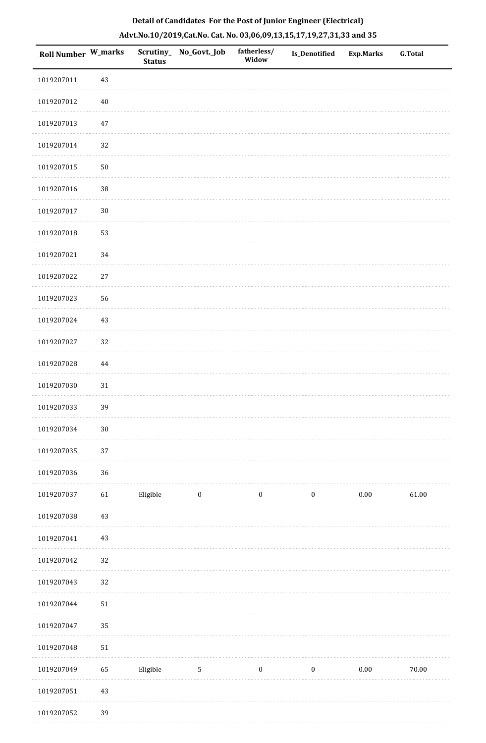| Roll Number W_marks |        | <b>Status</b> | Scrutiny_ No_Govt._Job | fatherless/<br>Widow | Is_Denotified    | <b>Exp.Marks</b> | <b>G.Total</b> |
|---------------------|--------|---------------|------------------------|----------------------|------------------|------------------|----------------|
| 1019207011          | $43\,$ |               |                        |                      |                  |                  |                |
| 1019207012          | $40\,$ |               |                        |                      |                  |                  |                |
| 1019207013          | $47\,$ |               |                        |                      |                  |                  |                |
| 1019207014          | 32     |               |                        |                      |                  |                  |                |
| 1019207015          | $50\,$ |               |                        |                      |                  |                  |                |
| 1019207016          | 38     |               |                        |                      |                  |                  |                |
| 1019207017          | $30\,$ |               |                        |                      |                  |                  |                |
| 1019207018          | 53     |               |                        |                      |                  |                  |                |
| 1019207021          | 34     |               |                        |                      |                  |                  |                |
| 1019207022          | $27\,$ |               |                        |                      |                  |                  |                |
| 1019207023          | 56     |               |                        |                      |                  |                  |                |
| 1019207024          | $43\,$ |               |                        |                      |                  |                  |                |
| 1019207027          | 32     |               |                        |                      |                  |                  |                |
| 1019207028          | 44     |               |                        |                      |                  |                  |                |
| 1019207030          | $31\,$ |               |                        |                      |                  |                  |                |
| 1019207033          | 39     |               |                        |                      |                  |                  |                |
| 1019207034          | $30\,$ |               |                        |                      |                  |                  |                |
| 1019207035          | 37     |               |                        |                      |                  |                  |                |
| 1019207036          | 36     |               |                        |                      |                  |                  |                |
| 1019207037          | 61     | Eligible      | $\bf{0}$               | $\boldsymbol{0}$     | $\boldsymbol{0}$ | $0.00\,$         | 61.00          |
| 1019207038          | 43     |               |                        |                      |                  |                  |                |
| 1019207041          | 43     |               |                        |                      |                  |                  |                |
| 1019207042          | 32     |               |                        |                      |                  |                  |                |
| 1019207043          | 32     |               |                        |                      |                  |                  |                |
| 1019207044          | $51\,$ |               |                        |                      |                  |                  |                |
| 1019207047          | 35     |               |                        |                      |                  |                  |                |
| 1019207048          | $51\,$ |               |                        |                      |                  |                  |                |
| 1019207049          | 65     | Eligible      | $\mathbf 5$            | $\boldsymbol{0}$     | $\boldsymbol{0}$ | $0.00\,$         | $70.00\,$      |
| 1019207051          | $43\,$ |               |                        |                      |                  |                  |                |
| 1019207052          | 39     |               |                        |                      |                  |                  |                |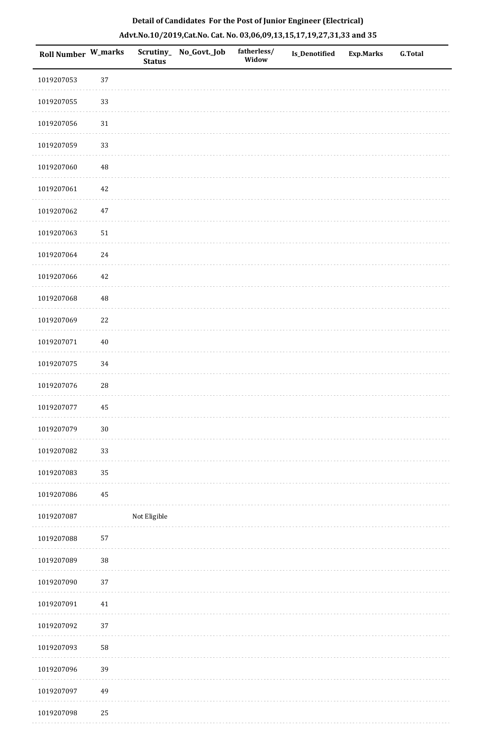| Roll Number W_marks |            | <b>Status</b> | Scrutiny_ No_Govt._Job | fatherless/<br>Widow | Is_Denotified | <b>Exp.Marks</b> | G.Total |
|---------------------|------------|---------------|------------------------|----------------------|---------------|------------------|---------|
| 1019207053          | 37         |               |                        |                      |               |                  |         |
| 1019207055          | 33         |               |                        |                      |               |                  |         |
| 1019207056          | $31\,$     |               |                        |                      |               |                  |         |
| 1019207059          | 33         |               |                        |                      |               |                  |         |
| 1019207060          | $\rm 48$   |               |                        |                      |               |                  |         |
| 1019207061          | 42         |               |                        |                      |               |                  |         |
| 1019207062          | $47\,$     |               |                        |                      |               |                  |         |
| 1019207063          | $51\,$     |               |                        |                      |               |                  |         |
| 1019207064          | 24         |               |                        |                      |               |                  |         |
| 1019207066          | $42\,$     |               |                        |                      |               |                  |         |
| 1019207068          | 48         |               |                        |                      |               |                  |         |
| 1019207069          | 22         |               |                        |                      |               |                  |         |
| 1019207071          | $40\,$     |               |                        |                      |               |                  |         |
| 1019207075          | 34         |               |                        |                      |               |                  |         |
| 1019207076          | ${\bf 28}$ |               |                        |                      |               |                  |         |
| 1019207077          | 45         |               |                        |                      |               |                  |         |
| 1019207079          | $30\,$     |               |                        |                      |               |                  |         |
| 1019207082          | 33         |               |                        |                      |               |                  |         |
| 1019207083          | 35         |               |                        |                      |               |                  |         |
| 1019207086          | $\bf 45$   |               |                        |                      |               |                  |         |
| 1019207087          |            | Not Eligible  |                        |                      |               |                  |         |
| 1019207088          | 57         |               |                        |                      |               |                  |         |
| 1019207089          | $38\,$     |               |                        |                      |               |                  |         |
| 1019207090          | 37         |               |                        |                      |               |                  |         |
| 1019207091          | $41\,$     |               |                        |                      |               |                  |         |
| 1019207092          | $37\,$     |               |                        |                      |               |                  |         |
| 1019207093          | 58         |               |                        |                      |               |                  |         |
| 1019207096          | 39         |               |                        |                      |               |                  |         |
| 1019207097          | 49         |               |                        |                      |               |                  |         |
| 1019207098          | 25         |               |                        |                      |               |                  |         |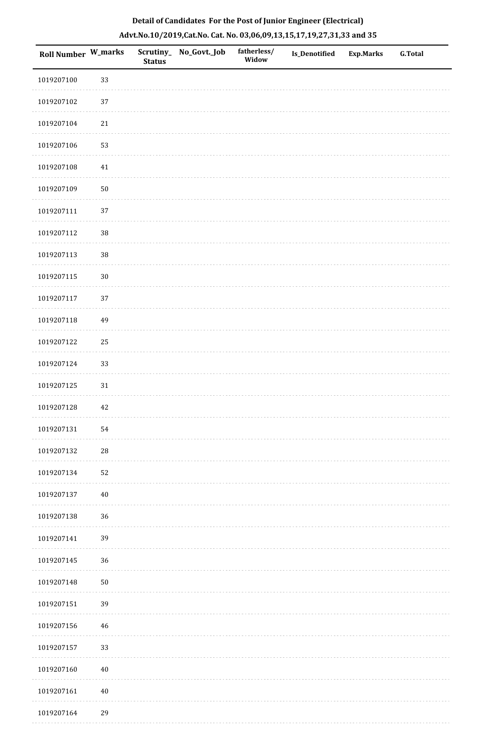| <b>Roll Number W_marks</b> |        | <b>Status</b> | Scrutiny_ No_Govt._Job | fatherless/<br>Widow | Is_Denotified | <b>Exp.Marks</b> | <b>G.Total</b> |
|----------------------------|--------|---------------|------------------------|----------------------|---------------|------------------|----------------|
| 1019207100                 | 33     |               |                        |                      |               |                  |                |
| 1019207102                 | 37     |               |                        |                      |               |                  |                |
| 1019207104                 | 21     |               |                        |                      |               |                  |                |
| 1019207106                 | 53     |               |                        |                      |               |                  |                |
| 1019207108                 | 41     |               |                        |                      |               |                  |                |
| 1019207109                 | $50\,$ |               |                        |                      |               |                  |                |
| 1019207111                 | 37     |               |                        |                      |               |                  |                |
| 1019207112                 | $38\,$ |               |                        |                      |               |                  |                |
| 1019207113                 | $38\,$ |               |                        |                      |               |                  |                |
| 1019207115                 | $30\,$ |               |                        |                      |               |                  |                |
| 1019207117                 | 37     |               |                        |                      |               |                  |                |
| 1019207118                 | 49     |               |                        |                      |               |                  |                |
| 1019207122                 | 25     |               |                        |                      |               |                  |                |
| 1019207124                 | 33     |               |                        |                      |               |                  |                |
| 1019207125                 | 31     |               |                        |                      |               |                  |                |
| 1019207128                 | $42\,$ |               |                        |                      |               |                  |                |
| 1019207131                 | 54     |               |                        |                      |               |                  |                |
| 1019207132                 | $28\,$ |               |                        |                      |               |                  |                |
| 1019207134                 | 52     |               |                        |                      |               |                  |                |
| 1019207137                 | 40     |               |                        |                      |               |                  |                |
| 1019207138                 | 36     |               |                        |                      |               |                  |                |
| 1019207141                 | 39     |               |                        |                      |               |                  |                |
| 1019207145                 | 36     |               |                        |                      |               |                  |                |
| 1019207148                 | $50\,$ |               |                        |                      |               |                  |                |
| 1019207151                 | 39     |               |                        |                      |               |                  |                |
| 1019207156                 | 46     |               |                        |                      |               |                  |                |
| 1019207157                 | 33     |               |                        |                      |               |                  |                |
| 1019207160                 | $40\,$ |               |                        |                      |               |                  |                |
| 1019207161                 | 40     |               |                        |                      |               |                  |                |
| 1019207164                 | 29     |               |                        |                      |               |                  |                |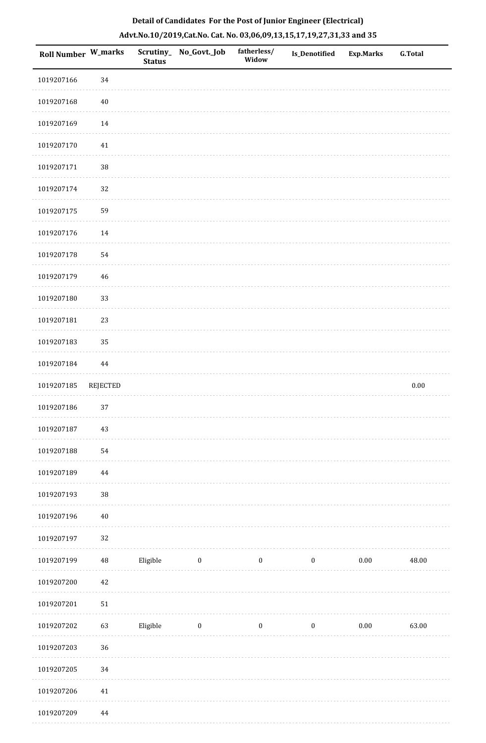| Roll Number W_marks |          | Scrutiny_<br><b>Status</b> | No_Govt._Job | fatherless/<br>Widow | Is_Denotified    | <b>Exp.Marks</b> | <b>G.Total</b> |
|---------------------|----------|----------------------------|--------------|----------------------|------------------|------------------|----------------|
| 1019207166          | 34       |                            |              |                      |                  |                  |                |
| 1019207168          | $40\,$   |                            |              |                      |                  |                  |                |
| 1019207169          | 14       |                            |              |                      |                  |                  |                |
| 1019207170          | $41\,$   |                            |              |                      |                  |                  |                |
| 1019207171          | 38       |                            |              |                      |                  |                  |                |
| 1019207174          | 32       |                            |              |                      |                  |                  |                |
| 1019207175          | 59       |                            |              |                      |                  |                  |                |
| 1019207176          | 14       |                            |              |                      |                  |                  |                |
| 1019207178          | 54       |                            |              |                      |                  |                  |                |
| 1019207179          | $46\,$   |                            |              |                      |                  |                  |                |
| 1019207180          | 33       |                            |              |                      |                  |                  |                |
| 1019207181          | 23       |                            |              |                      |                  |                  |                |
| 1019207183          | 35       |                            |              |                      |                  |                  |                |
| 1019207184          | 44       |                            |              |                      |                  |                  |                |
| 1019207185          | REJECTED |                            |              |                      |                  |                  | $0.00\,$       |
| 1019207186          | 37       |                            |              |                      |                  |                  |                |
| 1019207187          | $43\,$   |                            |              |                      |                  |                  |                |
| 1019207188          | 54       |                            |              |                      |                  |                  |                |
| 1019207189          | $\bf 44$ |                            |              |                      |                  |                  |                |
| 1019207193          | $38\,$   |                            |              |                      |                  |                  |                |
| 1019207196          | $40\,$   |                            |              |                      |                  |                  |                |
| 1019207197          | 32       |                            |              |                      |                  |                  |                |
| 1019207199          | $\rm 48$ | Eligible                   | $\bf{0}$     | $\boldsymbol{0}$     | $\boldsymbol{0}$ | $0.00\,$         | 48.00          |
| 1019207200          | 42       |                            |              |                      |                  |                  |                |
| 1019207201          | $51\,$   |                            |              |                      |                  |                  |                |
| 1019207202          | 63       | Eligible                   | $\bf{0}$     | $\boldsymbol{0}$     | $\boldsymbol{0}$ | $0.00\,$         | 63.00          |
| 1019207203          | 36       |                            |              |                      |                  |                  |                |
| 1019207205          | $34\,$   |                            |              |                      |                  |                  |                |
| 1019207206          | $41\,$   |                            |              |                      |                  |                  |                |
| 1019207209          | $\bf 44$ |                            |              |                      |                  |                  |                |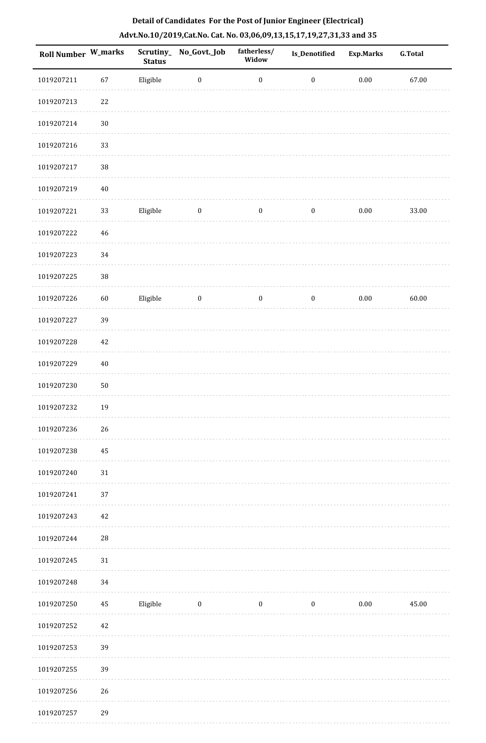| Roll Number W_marks |            | <b>Status</b> | Scrutiny_No_Govt._Job | fatherless/<br>Widow | Is_Denotified    | <b>Exp.Marks</b> | <b>G.Total</b> |
|---------------------|------------|---------------|-----------------------|----------------------|------------------|------------------|----------------|
| 1019207211          | 67         | Eligible      | $\boldsymbol{0}$      | $\boldsymbol{0}$     | $\boldsymbol{0}$ | $0.00\,$         | 67.00          |
| 1019207213          | 22         |               |                       |                      |                  |                  |                |
| 1019207214          | $30\,$     |               |                       |                      |                  |                  |                |
| 1019207216          | 33         |               |                       |                      |                  |                  |                |
| 1019207217          | 38         |               |                       |                      |                  |                  |                |
| 1019207219          | $40\,$     |               |                       |                      |                  |                  |                |
| 1019207221          | 33         | Eligible      | $\boldsymbol{0}$      | $\boldsymbol{0}$     | $\boldsymbol{0}$ | $0.00\,$         | 33.00          |
| 1019207222          | $46\,$     |               |                       |                      |                  |                  |                |
| 1019207223          | 34         |               |                       |                      |                  |                  |                |
| 1019207225          | 38         |               |                       |                      |                  |                  |                |
| 1019207226          | $60\,$     | Eligible      | $\bf{0}$              | $\boldsymbol{0}$     | $\boldsymbol{0}$ | $0.00\,$         | 60.00          |
| 1019207227          | 39         |               |                       |                      |                  |                  |                |
| 1019207228          | 42         |               |                       |                      |                  |                  |                |
| 1019207229          | $40\,$     |               |                       |                      |                  |                  |                |
| 1019207230          | $50\,$     |               |                       |                      |                  |                  |                |
| 1019207232          | 19         |               |                       |                      |                  |                  |                |
| 1019207236          | 26         |               |                       |                      |                  |                  |                |
| 1019207238          | 45         |               |                       |                      |                  |                  |                |
| 1019207240          | $31\,$     |               |                       |                      |                  |                  |                |
| 1019207241          | 37         |               |                       |                      |                  |                  |                |
| 1019207243          | 42         |               |                       |                      |                  |                  |                |
| 1019207244          | ${\bf 28}$ |               |                       |                      |                  |                  |                |
| 1019207245          | $31\,$     |               |                       |                      |                  |                  |                |
| 1019207248          | 34         |               |                       |                      |                  |                  |                |
| 1019207250          | $\rm 45$   | Eligible      | $\boldsymbol{0}$      | $\bf{0}$             | $\bf{0}$         | 0.00             | 45.00          |
| 1019207252          | 42         |               |                       |                      |                  |                  |                |
| 1019207253          | 39         |               |                       |                      |                  |                  |                |
| 1019207255          | 39         |               |                       |                      |                  |                  |                |
| 1019207256          | 26         |               |                       |                      |                  |                  |                |
| 1019207257          | 29         |               |                       |                      |                  |                  |                |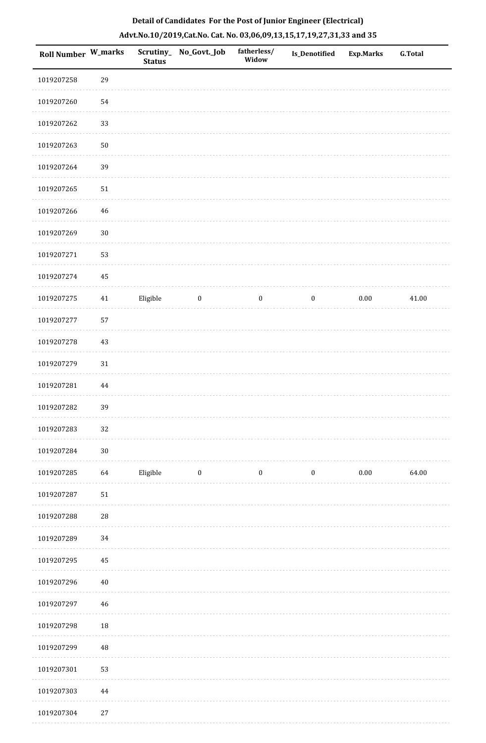| Roll Number W_marks |             | <b>Status</b> | Scrutiny_ No_Govt._Job | fatherless/<br>Widow | Is_Denotified    | <b>Exp.Marks</b> | <b>G.Total</b> |
|---------------------|-------------|---------------|------------------------|----------------------|------------------|------------------|----------------|
| 1019207258          | 29          |               |                        |                      |                  |                  |                |
| 1019207260          | 54          |               |                        |                      |                  |                  |                |
| 1019207262          | 33          |               |                        |                      |                  |                  |                |
| 1019207263          | $50\,$      |               |                        |                      |                  |                  |                |
| 1019207264          | 39          |               |                        |                      |                  |                  |                |
| 1019207265          | $51\,$      |               |                        |                      |                  |                  |                |
| 1019207266          | $\sqrt{46}$ |               |                        |                      |                  |                  |                |
| 1019207269          | $30\,$      |               |                        |                      |                  |                  |                |
| 1019207271          | 53          |               |                        |                      |                  |                  |                |
| 1019207274          | 45          |               |                        |                      |                  |                  |                |
| 1019207275          | 41          | Eligible      | $\bf{0}$               | $\boldsymbol{0}$     | $\bf{0}$         | 0.00             | 41.00          |
| 1019207277          | 57          |               |                        |                      |                  |                  |                |
| 1019207278          | 43          |               |                        |                      |                  |                  |                |
| 1019207279          | $31\,$      |               |                        |                      |                  |                  |                |
| 1019207281          | $\bf 44$    |               |                        |                      |                  |                  |                |
| 1019207282          | 39          |               |                        |                      |                  |                  |                |
| 1019207283          | 32          |               |                        |                      |                  |                  |                |
| 1019207284          | $30\,$      |               |                        |                      |                  |                  |                |
| 1019207285          | 64          | Eligible      | $\boldsymbol{0}$       | $\boldsymbol{0}$     | $\boldsymbol{0}$ | $0.00\,$         | 64.00          |
| 1019207287          | $51\,$      |               |                        |                      |                  |                  |                |
| 1019207288          | ${\bf 28}$  |               |                        |                      |                  |                  |                |
| 1019207289          | 34          |               |                        |                      |                  |                  |                |
| 1019207295          | 45          |               |                        |                      |                  |                  |                |
| 1019207296          | $40\,$      |               |                        |                      |                  |                  |                |
| 1019207297          | $\sqrt{46}$ |               |                        |                      |                  |                  |                |
| 1019207298          | 18          |               |                        |                      |                  |                  |                |
| 1019207299          | $\rm 48$    |               |                        |                      |                  |                  |                |
| 1019207301          | 53          |               |                        |                      |                  |                  |                |
| 1019207303          | $\bf 44$    |               |                        |                      |                  |                  |                |
| 1019207304          | $27\,$      |               |                        |                      |                  |                  |                |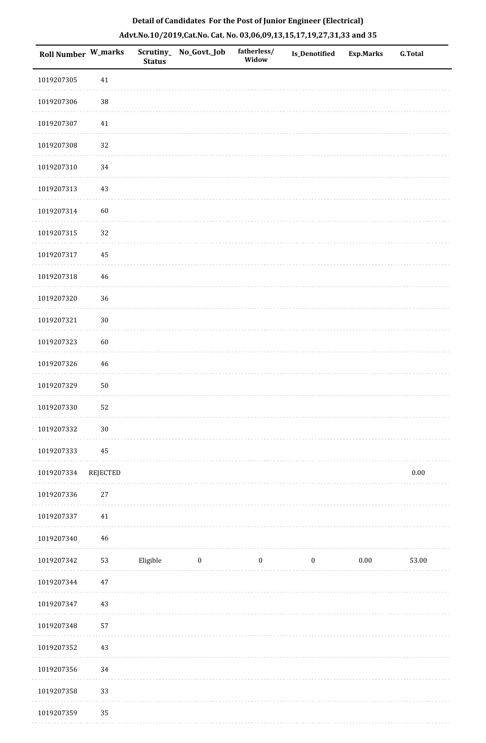| Roll Number W_marks |                 | <b>Status</b> | Scrutiny_No_Govt._Job | fatherless/<br>Widow | Is_Denotified    | <b>Exp.Marks</b> | <b>G.Total</b> |
|---------------------|-----------------|---------------|-----------------------|----------------------|------------------|------------------|----------------|
| 1019207305          | 41              |               |                       |                      |                  |                  |                |
| 1019207306          | $38\,$          |               |                       |                      |                  |                  |                |
| 1019207307          | $41\,$          |               |                       |                      |                  |                  |                |
| 1019207308          | 32              |               |                       |                      |                  |                  |                |
| 1019207310          | 34              |               |                       |                      |                  |                  |                |
| 1019207313          | $43\,$          |               |                       |                      |                  |                  |                |
| 1019207314          | 60              |               |                       |                      |                  |                  |                |
| 1019207315          | 32              |               |                       |                      |                  |                  |                |
| 1019207317          | 45              |               |                       |                      |                  |                  |                |
| 1019207318          | 46              |               |                       |                      |                  |                  |                |
| 1019207320          | 36              |               |                       |                      |                  |                  |                |
| 1019207321          | $30\,$          |               |                       |                      |                  |                  |                |
| 1019207323          | 60              |               |                       |                      |                  |                  |                |
| 1019207326          | 46              |               |                       |                      |                  |                  |                |
| 1019207329          | $50\,$          |               |                       |                      |                  |                  |                |
| 1019207330          | 52              |               |                       |                      |                  |                  |                |
| 1019207332          | $30\,$          |               |                       |                      |                  |                  |                |
| 1019207333          | 45              |               |                       |                      |                  |                  |                |
| 1019207334          | <b>REJECTED</b> |               |                       |                      |                  |                  | $0.00\,$       |
| 1019207336          | 27              |               |                       |                      |                  |                  |                |
| 1019207337          | $41\,$          |               |                       |                      |                  |                  |                |
| 1019207340          | 46              |               |                       |                      |                  |                  |                |
| 1019207342          | 53              | Eligible      | $\bf{0}$              | $\boldsymbol{0}$     | $\boldsymbol{0}$ | $0.00\,$         | 53.00          |
| 1019207344          | $47\,$          |               |                       |                      |                  |                  |                |
| 1019207347          | 43              |               |                       |                      |                  |                  |                |
| 1019207348          | 57              |               |                       |                      |                  |                  |                |
| 1019207352          | $43\,$          |               |                       |                      |                  |                  |                |
| 1019207356          | 34              |               |                       |                      |                  |                  |                |
| 1019207358          | 33              |               |                       |                      |                  |                  |                |
| 1019207359          | 35              |               |                       |                      |                  |                  |                |

. . . . . . .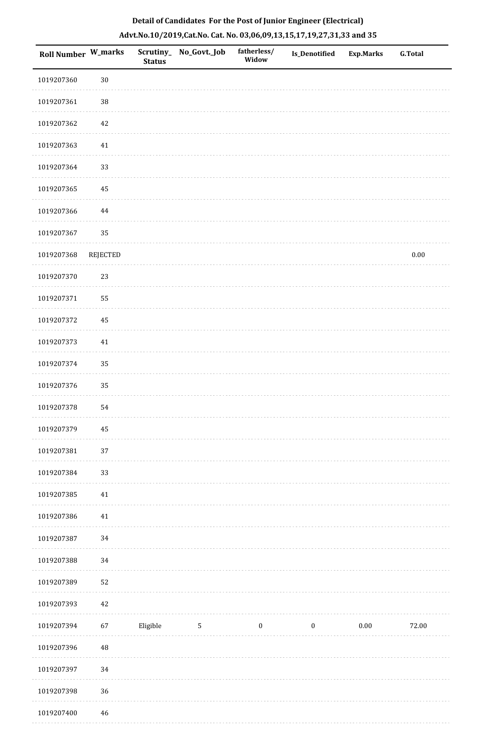| Detail of Candidates For the Post of Junior Engineer (Electrical)     |  |
|-----------------------------------------------------------------------|--|
| Advt.No.10/2019,Cat.No. Cat. No. 03,06,09,13,15,17,19,27,31,33 and 35 |  |

| <b>Roll Number W_marks</b> |                 | <b>Status</b> | Scrutiny_No_Govt._Job | fatherless/<br>Widow | <b>Is_Denotified</b> | <b>Exp.Marks</b> | <b>G.Total</b> |
|----------------------------|-----------------|---------------|-----------------------|----------------------|----------------------|------------------|----------------|
| 1019207360                 | $30\,$          |               |                       |                      |                      |                  |                |
| 1019207361                 | $38\,$          |               |                       |                      |                      |                  |                |
| 1019207362                 | 42              |               |                       |                      |                      |                  |                |
| 1019207363                 | $41\,$          |               |                       |                      |                      |                  |                |
| 1019207364                 | 33              |               |                       |                      |                      |                  |                |
| 1019207365                 | 45              |               |                       |                      |                      |                  |                |
| 1019207366                 | 44              |               |                       |                      |                      |                  |                |
| 1019207367                 | 35              |               |                       |                      |                      |                  |                |
| 1019207368                 | <b>REJECTED</b> |               |                       |                      |                      |                  | $0.00\,$       |
| 1019207370                 | 23              |               |                       |                      |                      |                  |                |
| 1019207371                 | 55              |               |                       |                      |                      |                  |                |
| 1019207372                 | 45              |               |                       |                      |                      |                  |                |
| 1019207373                 | 41              |               |                       |                      |                      |                  |                |
| 1019207374                 | 35              |               |                       |                      |                      |                  |                |
| 1019207376                 | 35              |               |                       |                      |                      |                  |                |
| 1019207378                 | 54              |               |                       |                      |                      |                  |                |
| 1019207379                 | 45              |               |                       |                      |                      |                  |                |
| 1019207381                 | 37              |               |                       |                      |                      |                  |                |
| 1019207384                 | 33              |               |                       |                      |                      |                  |                |
| 1019207385                 | 41              |               |                       |                      |                      |                  |                |
| 1019207386                 | $41\,$          |               |                       |                      |                      |                  |                |
| 1019207387                 | 34              |               |                       |                      |                      |                  |                |
| 1019207388                 | 34              |               |                       |                      |                      |                  |                |
| 1019207389                 | 52              |               |                       |                      |                      |                  |                |
| 1019207393                 | $42\,$          |               |                       |                      |                      |                  |                |
| 1019207394                 | 67              | Eligible      | $5\phantom{.0}$       | $\bf{0}$             | $\boldsymbol{0}$     | $0.00\,$         | 72.00          |
| 1019207396                 | $\bf 48$        |               |                       |                      |                      |                  |                |
| 1019207397                 | 34              |               |                       |                      |                      |                  |                |
| 1019207398                 | 36              |               |                       |                      |                      |                  |                |
| 1019207400                 | 46              |               |                       |                      |                      |                  |                |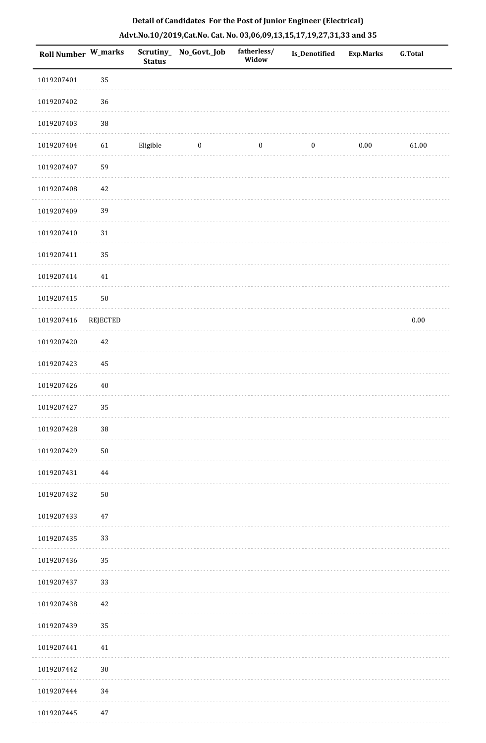| Roll Number W_marks |            | <b>Status</b> | Scrutiny_No_Govt._Job | fatherless/<br>Widow | Is_Denotified    | <b>Exp.Marks</b> | <b>G.Total</b> |
|---------------------|------------|---------------|-----------------------|----------------------|------------------|------------------|----------------|
| 1019207401          | 35         |               |                       |                      |                  |                  |                |
| 1019207402          | 36         |               |                       |                      |                  |                  |                |
| 1019207403          | $38\,$     |               |                       |                      |                  |                  |                |
| 1019207404          | 61         | Eligible      | $\boldsymbol{0}$      | $\boldsymbol{0}$     | $\boldsymbol{0}$ | $0.00\,$         | 61.00          |
| 1019207407          | 59         |               |                       |                      |                  |                  |                |
| 1019207408          | $42\,$     |               |                       |                      |                  |                  |                |
| 1019207409          | 39         |               |                       |                      |                  |                  |                |
| 1019207410          | 31         |               |                       |                      |                  |                  |                |
| 1019207411          | 35         |               |                       |                      |                  |                  |                |
| 1019207414          | $41\,$     |               |                       |                      |                  |                  |                |
| 1019207415          | ${\bf 50}$ |               |                       |                      |                  |                  |                |
| 1019207416          | REJECTED   |               |                       |                      |                  |                  | $0.00\,$       |
| 1019207420          | 42         |               |                       |                      |                  |                  |                |
| 1019207423          | 45         |               |                       |                      |                  |                  |                |
| 1019207426          | $40\,$     |               |                       |                      |                  |                  |                |
| 1019207427          | 35         |               |                       |                      |                  |                  |                |
| 1019207428          | $38\,$     |               |                       |                      |                  |                  |                |
| 1019207429          | ${\bf 50}$ |               |                       |                      |                  |                  |                |
| 1019207431          | 44         |               |                       |                      |                  |                  |                |
| 1019207432          | $50\,$     |               |                       |                      |                  |                  |                |
| 1019207433          | $47\,$     |               |                       |                      |                  |                  |                |
| 1019207435          | 33         |               |                       |                      |                  |                  |                |
| 1019207436          | 35         |               |                       |                      |                  |                  |                |
| 1019207437          | 33         |               |                       |                      |                  |                  |                |
| 1019207438          | $42\,$     |               |                       |                      |                  |                  |                |
| 1019207439          | 35         |               |                       |                      |                  |                  |                |
| 1019207441          | 41         |               |                       |                      |                  |                  |                |
| 1019207442          | $30\,$     |               |                       |                      |                  |                  |                |
| 1019207444          | 34         |               |                       |                      |                  |                  |                |
| 1019207445          | 47         |               |                       |                      |                  |                  |                |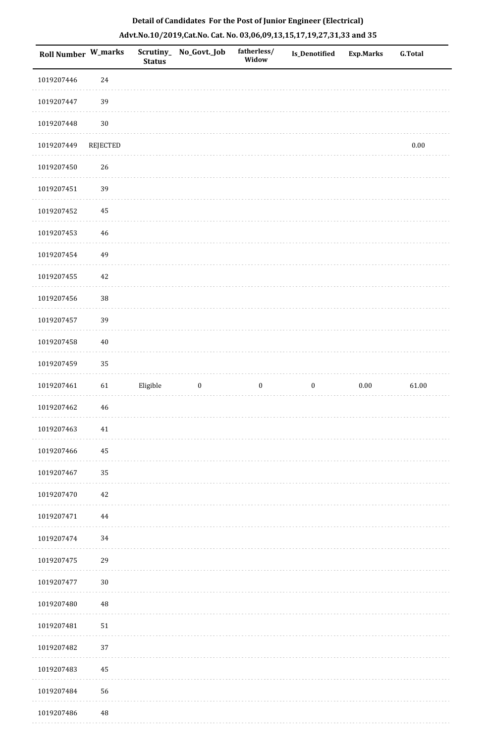| Roll Number W_marks |             | <b>Status</b> | Scrutiny_ No_Govt._Job | fatherless/<br>Widow | Is_Denotified    | <b>Exp.Marks</b> | <b>G.Total</b> |
|---------------------|-------------|---------------|------------------------|----------------------|------------------|------------------|----------------|
| 1019207446          | 24          |               |                        |                      |                  |                  |                |
| 1019207447          | 39          |               |                        |                      |                  |                  |                |
| 1019207448          | $30\,$      |               |                        |                      |                  |                  |                |
| 1019207449          | REJECTED    |               |                        |                      |                  |                  | $0.00\,$       |
| 1019207450          | 26          |               |                        |                      |                  |                  |                |
| 1019207451          | 39          |               |                        |                      |                  |                  |                |
| 1019207452          | 45          |               |                        |                      |                  |                  |                |
| 1019207453          | $\sqrt{46}$ |               |                        |                      |                  |                  |                |
| 1019207454          | 49          |               |                        |                      |                  |                  |                |
| 1019207455          | $42\,$      |               |                        |                      |                  |                  |                |
| 1019207456          | $38\,$      |               |                        |                      |                  |                  |                |
| 1019207457          | 39          |               |                        |                      |                  |                  |                |
| 1019207458          | $40\,$      |               |                        |                      |                  |                  |                |
| 1019207459          | 35          |               |                        |                      |                  |                  |                |
| 1019207461          | 61          | Eligible      | $\boldsymbol{0}$       | $\boldsymbol{0}$     | $\boldsymbol{0}$ | $0.00\,$         | 61.00          |
| 1019207462          | $\sqrt{46}$ |               |                        |                      |                  |                  |                |
| 1019207463          | 41          |               |                        |                      |                  |                  |                |
| 1019207466          | 45          |               |                        |                      |                  |                  |                |
| 1019207467          | 35          |               |                        |                      |                  |                  |                |
| 1019207470          | $42\,$      |               |                        |                      |                  |                  |                |
| 1019207471          | 44          |               |                        |                      |                  |                  |                |
| 1019207474          | 34          |               |                        |                      |                  |                  |                |
| 1019207475          | 29          |               |                        |                      |                  |                  |                |
| 1019207477          | $30\,$      |               |                        |                      |                  |                  |                |
| 1019207480          | $\rm 48$    |               |                        |                      |                  |                  |                |
| 1019207481          | $51\,$      |               |                        |                      |                  |                  |                |
| 1019207482          | 37          |               |                        |                      |                  |                  |                |
| 1019207483          | 45          |               |                        |                      |                  |                  |                |
| 1019207484          | 56          |               |                        |                      |                  |                  |                |
| 1019207486          | $\rm 48$    |               |                        |                      |                  |                  |                |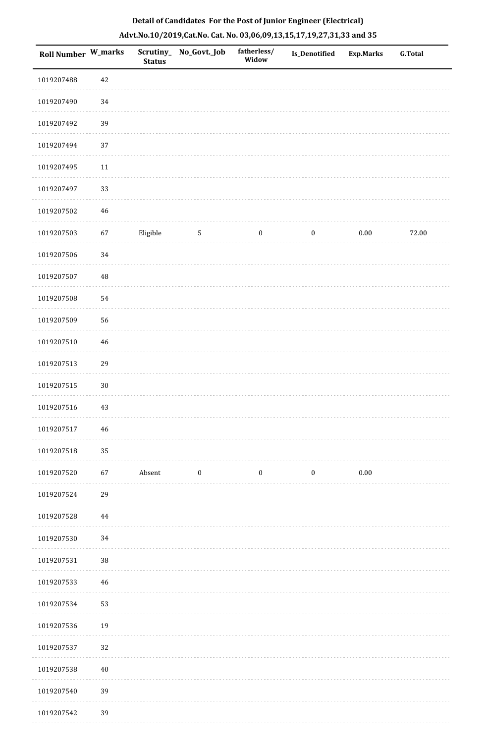|  |  | Detail of Candidates For the Post of Junior Engineer (Electrical)     |  |
|--|--|-----------------------------------------------------------------------|--|
|  |  | Advt.No.10/2019,Cat.No. Cat. No. 03,06,09,13,15,17,19,27,31,33 and 35 |  |

| <b>Roll Number W_marks</b> |        | <b>Status</b> | Scrutiny_No_Govt._Job | fatherless/<br>Widow | Is_Denotified    | <b>Exp.Marks</b> | <b>G.Total</b> |
|----------------------------|--------|---------------|-----------------------|----------------------|------------------|------------------|----------------|
| 1019207488                 | 42     |               |                       |                      |                  |                  |                |
| 1019207490                 | 34     |               |                       |                      |                  |                  |                |
| 1019207492                 | 39     |               |                       |                      |                  |                  |                |
| 1019207494                 | 37     |               |                       |                      |                  |                  |                |
| 1019207495                 | 11     |               |                       |                      |                  |                  |                |
| 1019207497                 | 33     |               |                       |                      |                  |                  |                |
| 1019207502                 | 46     |               |                       |                      |                  |                  |                |
| 1019207503                 | 67     | Eligible      | $\sqrt{5}$            | $\boldsymbol{0}$     | $\boldsymbol{0}$ | $0.00\,$         | 72.00          |
| 1019207506                 | 34     |               |                       |                      |                  |                  |                |
| 1019207507                 | 48     |               |                       |                      |                  |                  |                |
| 1019207508                 | 54     |               |                       |                      |                  |                  |                |
| 1019207509                 | 56     |               |                       |                      |                  |                  |                |
| 1019207510                 | 46     |               |                       |                      |                  |                  |                |
| 1019207513                 | 29     |               |                       |                      |                  |                  |                |
| 1019207515                 | $30\,$ |               |                       |                      |                  |                  |                |
| 1019207516                 | 43     |               |                       |                      |                  |                  |                |
| 1019207517                 | 46     |               |                       |                      |                  |                  |                |
| 1019207518                 | 35     |               |                       |                      |                  |                  |                |
| 1019207520                 | 67     | Absent        | $\bf{0}$              | $\boldsymbol{0}$     | $\boldsymbol{0}$ | $0.00\,$         |                |
| 1019207524                 | 29     |               |                       |                      |                  |                  |                |
| 1019207528                 | 44     |               |                       |                      |                  |                  |                |
| 1019207530                 | 34     |               |                       |                      |                  |                  |                |
| 1019207531                 | $38\,$ |               |                       |                      |                  |                  |                |
| 1019207533                 | 46     |               |                       |                      |                  |                  |                |
| 1019207534                 | 53     |               |                       |                      |                  |                  |                |
| 1019207536                 | 19     |               |                       |                      |                  |                  |                |
| 1019207537                 | 32     |               |                       |                      |                  |                  |                |
| 1019207538                 | $40\,$ |               |                       |                      |                  |                  |                |
| 1019207540                 | 39     |               |                       |                      |                  |                  |                |
| 1019207542                 | 39     |               |                       |                      |                  |                  |                |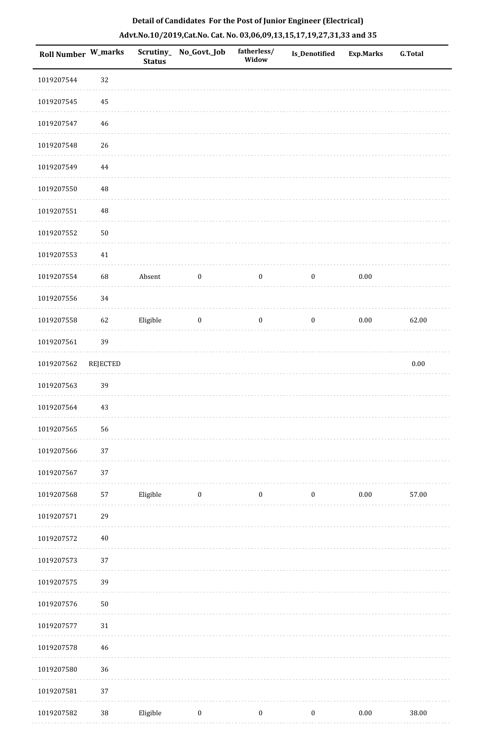| Roll Number W_marks |                 | Scrutiny_<br><b>Status</b> | No_Govt._Job     | fatherless/<br>Widow | Is_Denotified    | <b>Exp.Marks</b> | G.Total  |
|---------------------|-----------------|----------------------------|------------------|----------------------|------------------|------------------|----------|
| 1019207544          | 32              |                            |                  |                      |                  |                  |          |
| 1019207545          | 45              |                            |                  |                      |                  |                  |          |
| 1019207547          | 46              |                            |                  |                      |                  |                  |          |
| 1019207548          | 26              |                            |                  |                      |                  |                  |          |
| 1019207549          | $\bf 44$        |                            |                  |                      |                  |                  |          |
| 1019207550          | 48              |                            |                  |                      |                  |                  |          |
| 1019207551          | 48              |                            |                  |                      |                  |                  |          |
| 1019207552          | 50              |                            |                  |                      |                  |                  |          |
| 1019207553          | $41\,$          |                            |                  |                      |                  |                  |          |
| 1019207554          | 68              | Absent                     | $\boldsymbol{0}$ | $\boldsymbol{0}$     | $\boldsymbol{0}$ | $0.00\,$         |          |
| 1019207556          | 34              |                            |                  |                      |                  |                  |          |
| 1019207558          | 62              | Eligible                   | $\boldsymbol{0}$ | $\boldsymbol{0}$     | $\boldsymbol{0}$ | $0.00\,$         | 62.00    |
| 1019207561          | 39              |                            |                  |                      |                  |                  |          |
| 1019207562          | <b>REJECTED</b> |                            |                  |                      |                  |                  | $0.00\,$ |
| 1019207563          | 39              |                            |                  |                      |                  |                  |          |
| 1019207564          | 43              |                            |                  |                      |                  |                  |          |
| 1019207565          | 56              |                            |                  |                      |                  |                  |          |
| 1019207566          | 37              |                            |                  |                      |                  |                  |          |
| 1019207567          | 37              |                            |                  |                      |                  |                  |          |
| 1019207568          | 57              | Eligible                   | $\bf{0}$         | $\bf{0}$             | $\bf{0}$         | 0.00             | 57.00    |
| 1019207571          | 29              |                            |                  |                      |                  |                  |          |
| 1019207572          | $40\,$          |                            |                  |                      |                  |                  |          |
| 1019207573          | 37              |                            |                  |                      |                  |                  |          |
| 1019207575          | 39              |                            |                  |                      |                  |                  |          |
| 1019207576          | 50              |                            |                  |                      |                  |                  |          |
| 1019207577          | 31              |                            |                  |                      |                  |                  |          |
| 1019207578          | 46              |                            |                  |                      |                  |                  |          |
| 1019207580          | 36              |                            |                  |                      |                  |                  |          |
| 1019207581          | 37              |                            |                  |                      |                  |                  |          |
| 1019207582          | 38              | Eligible                   | $\boldsymbol{0}$ | $\boldsymbol{0}$     | $\boldsymbol{0}$ | 0.00             | 38.00    |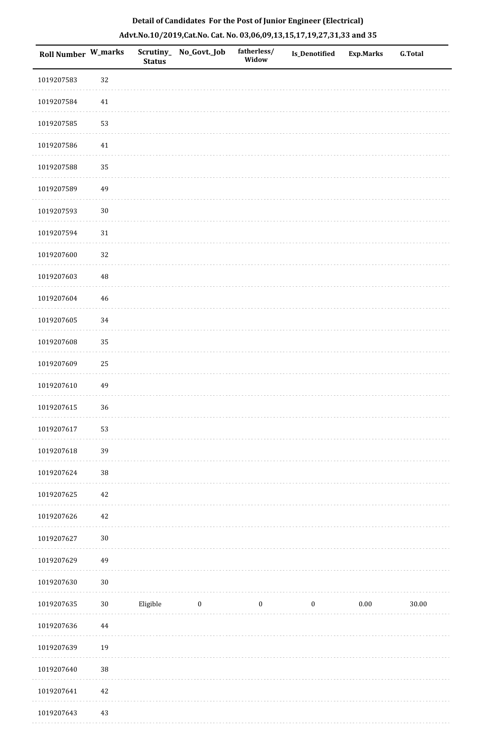|  | Detail of Candidates For the Post of Junior Engineer (Electrical)     |  |
|--|-----------------------------------------------------------------------|--|
|  | Advt.No.10/2019,Cat.No. Cat. No. 03,06,09,13,15,17,19,27,31,33 and 35 |  |

| <b>Roll Number W_marks</b> |             | <b>Status</b> | Scrutiny_No_Govt._Job | fatherless/<br>Widow | Is_Denotified    | <b>Exp.Marks</b> | <b>G.Total</b> |
|----------------------------|-------------|---------------|-----------------------|----------------------|------------------|------------------|----------------|
| 1019207583                 | 32          |               |                       |                      |                  |                  |                |
| 1019207584                 | 41          |               |                       |                      |                  |                  |                |
| 1019207585                 | 53          |               |                       |                      |                  |                  |                |
| 1019207586                 | 41          |               |                       |                      |                  |                  |                |
| 1019207588                 | 35          |               |                       |                      |                  |                  |                |
| 1019207589                 | 49          |               |                       |                      |                  |                  |                |
| 1019207593                 | $30\,$      |               |                       |                      |                  |                  |                |
| 1019207594                 | $31\,$      |               |                       |                      |                  |                  |                |
| 1019207600                 | 32          |               |                       |                      |                  |                  |                |
| 1019207603                 | $\rm 48$    |               |                       |                      |                  |                  |                |
| 1019207604                 | $\sqrt{46}$ |               |                       |                      |                  |                  |                |
| 1019207605                 | 34          |               |                       |                      |                  |                  |                |
| 1019207608                 | 35          |               |                       |                      |                  |                  |                |
| 1019207609                 | 25          |               |                       |                      |                  |                  |                |
| 1019207610                 | 49          |               |                       |                      |                  |                  |                |
| 1019207615                 | 36          |               |                       |                      |                  |                  |                |
| 1019207617                 | 53          |               |                       |                      |                  |                  |                |
| 1019207618                 | 39          |               |                       |                      |                  |                  |                |
| 1019207624                 | 38          |               |                       |                      |                  |                  |                |
| 1019207625                 | $42\,$      |               |                       |                      |                  |                  |                |
| 1019207626                 | $42\,$      |               |                       |                      |                  |                  |                |
| 1019207627                 | $30\,$      |               |                       |                      |                  |                  |                |
| 1019207629                 | 49          |               |                       |                      |                  |                  |                |
| 1019207630                 | $30\,$      |               |                       |                      |                  |                  |                |
| 1019207635                 | $30\,$      | Eligible      | $\bf{0}$              | $\boldsymbol{0}$     | $\boldsymbol{0}$ | $0.00\,$         | 30.00          |
| 1019207636                 | $\bf 44$    |               |                       |                      |                  |                  |                |
| 1019207639                 | 19          |               |                       |                      |                  |                  |                |
| 1019207640                 | 38          |               |                       |                      |                  |                  |                |
| 1019207641                 | $42\,$      |               |                       |                      |                  |                  |                |
| 1019207643                 | 43          |               |                       |                      |                  |                  |                |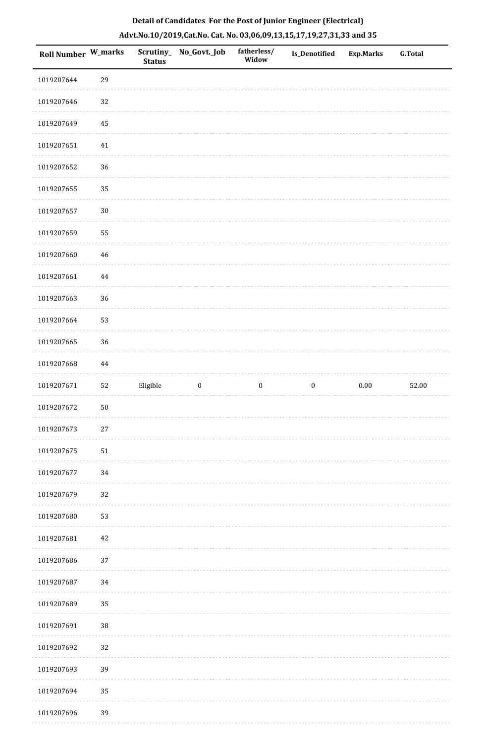| Roll Number W_marks |            | <b>Status</b> | Scrutiny_ No_Govt._Job | fatherless/<br>Widow | Is_Denotified    | <b>Exp.Marks</b> | G.Total |
|---------------------|------------|---------------|------------------------|----------------------|------------------|------------------|---------|
| 1019207644          | 29         |               |                        |                      |                  |                  |         |
| 1019207646          | 32         |               |                        |                      |                  |                  |         |
| 1019207649          | 45         |               |                        |                      |                  |                  |         |
| 1019207651          | $41\,$     |               |                        |                      |                  |                  |         |
| 1019207652          | 36         |               |                        |                      |                  |                  |         |
| 1019207655          | 35         |               |                        |                      |                  |                  |         |
| 1019207657          | $30\,$     |               |                        |                      |                  |                  |         |
| 1019207659          | 55         |               |                        |                      |                  |                  |         |
| 1019207660          | $46\,$     |               |                        |                      |                  |                  |         |
| 1019207661          | 44         |               |                        |                      |                  |                  |         |
| 1019207663          | 36         |               |                        |                      |                  |                  |         |
| 1019207664          | 53         |               |                        |                      |                  |                  |         |
| 1019207665          | 36         |               |                        |                      |                  |                  |         |
| 1019207668          | 44         |               |                        |                      |                  |                  |         |
| 1019207671          | 52         | Eligible      | $\boldsymbol{0}$       | $\boldsymbol{0}$     | $\boldsymbol{0}$ | $0.00\,$         | 52.00   |
| 1019207672          | $50\,$     |               |                        |                      |                  |                  |         |
| 1019207673          | $27\,$     |               |                        |                      |                  |                  |         |
| 1019207675          | ${\bf 51}$ |               |                        |                      |                  |                  |         |
| 1019207677          | 34         |               |                        |                      |                  |                  |         |
| 1019207679          | $32\,$     |               |                        |                      |                  |                  |         |
| 1019207680          | 53         |               |                        |                      |                  |                  |         |
| 1019207681          | 42         |               |                        |                      |                  |                  |         |
| 1019207686          | 37         |               |                        |                      |                  |                  |         |
| 1019207687          | 34         |               |                        |                      |                  |                  |         |
| 1019207689          | 35         |               |                        |                      |                  |                  |         |
| 1019207691          | $38\,$     |               |                        |                      |                  |                  |         |
| 1019207692          | 32         |               |                        |                      |                  |                  |         |
| 1019207693          | 39         |               |                        |                      |                  |                  |         |
| 1019207694          | 35         |               |                        |                      |                  |                  |         |
| 1019207696          | 39         |               |                        |                      |                  |                  |         |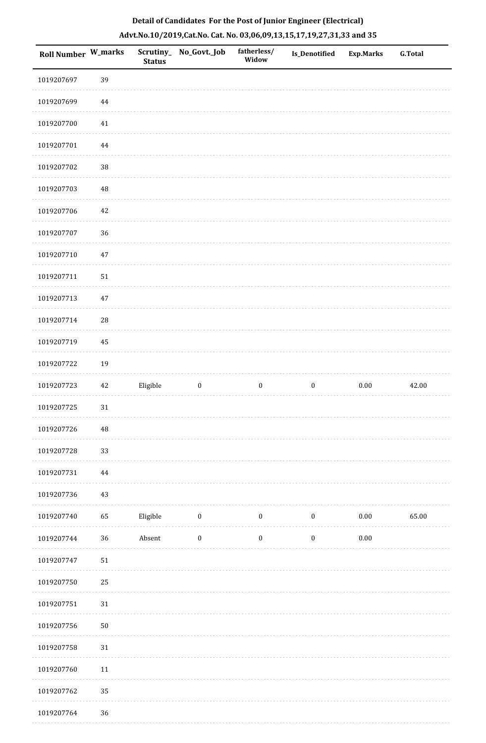| Roll Number W_marks |        | <b>Status</b> | Scrutiny_No_Govt._Job | fatherless/<br>Widow | Is_Denotified    | <b>Exp.Marks</b> | <b>G.Total</b> |
|---------------------|--------|---------------|-----------------------|----------------------|------------------|------------------|----------------|
| 1019207697          | 39     |               |                       |                      |                  |                  |                |
| 1019207699          | 44     |               |                       |                      |                  |                  |                |
| 1019207700          | $41\,$ |               |                       |                      |                  |                  |                |
| 1019207701          | 44     |               |                       |                      |                  |                  |                |
| 1019207702          | 38     |               |                       |                      |                  |                  |                |
| 1019207703          | 48     |               |                       |                      |                  |                  |                |
| 1019207706          | $42\,$ |               |                       |                      |                  |                  |                |
| 1019207707          | 36     |               |                       |                      |                  |                  |                |
| 1019207710          | $47\,$ |               |                       |                      |                  |                  |                |
| 1019207711          | $51\,$ |               |                       |                      |                  |                  |                |
| 1019207713          | $47\,$ |               |                       |                      |                  |                  |                |
| 1019207714          | 28     |               |                       |                      |                  |                  |                |
| 1019207719          | 45     |               |                       |                      |                  |                  |                |
| 1019207722          | 19     |               |                       |                      |                  |                  |                |
| 1019207723          | $42\,$ | Eligible      | $\boldsymbol{0}$      | $\boldsymbol{0}$     | $\boldsymbol{0}$ | $0.00\,$         | 42.00          |
| 1019207725          | $31\,$ |               |                       |                      |                  |                  |                |
| 1019207726          | 48     |               |                       |                      |                  |                  |                |
| 1019207728          | 33     |               |                       |                      |                  |                  |                |
| 1019207731          | 44     |               |                       |                      |                  |                  |                |
| 1019207736          | $43\,$ |               |                       |                      |                  |                  |                |
| 1019207740          | 65     | Eligible      | $\boldsymbol{0}$      | $\boldsymbol{0}$     | $\boldsymbol{0}$ | $0.00\,$         | 65.00          |
| 1019207744          | 36     | Absent        | $\boldsymbol{0}$      | $\boldsymbol{0}$     | $\boldsymbol{0}$ | $0.00\,$         |                |
| 1019207747          | $51\,$ |               |                       |                      |                  |                  |                |
| 1019207750          | 25     |               |                       |                      |                  |                  |                |
| 1019207751          | $31\,$ |               |                       |                      |                  |                  |                |
| 1019207756          | $50\,$ |               |                       |                      |                  |                  |                |
| 1019207758          | 31     |               |                       |                      |                  |                  |                |
| 1019207760          | $11\,$ |               |                       |                      |                  |                  |                |
| 1019207762          | 35     |               |                       |                      |                  |                  |                |
| 1010207764          | 26     |               |                       |                      |                  |                  |                |

 1019207764 36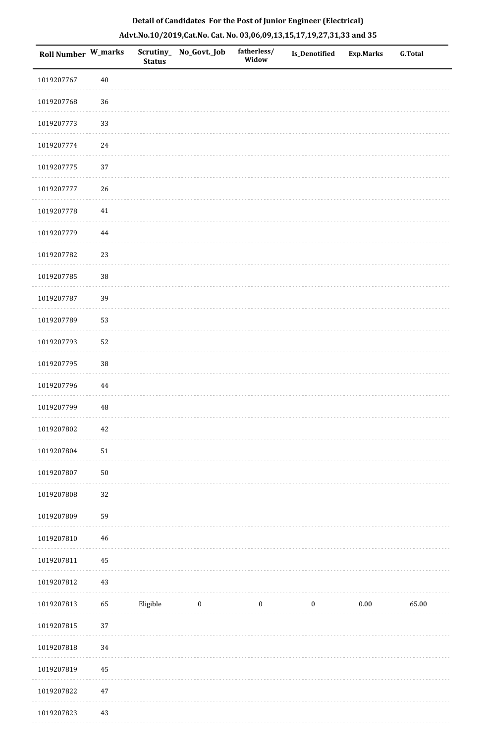| Roll Number W_marks |            | <b>Status</b> | Scrutiny_ No_Govt._Job | fatherless/<br>Widow | <b>Is_Denotified</b> | <b>Exp.Marks</b> | <b>G.Total</b> |
|---------------------|------------|---------------|------------------------|----------------------|----------------------|------------------|----------------|
| 1019207767          | $40\,$     |               |                        |                      |                      |                  |                |
| 1019207768          | 36         |               |                        |                      |                      |                  |                |
| 1019207773          | 33         |               |                        |                      |                      |                  |                |
| 1019207774          | $24\,$     |               |                        |                      |                      |                  |                |
| 1019207775          | 37         |               |                        |                      |                      |                  |                |
| 1019207777          | 26         |               |                        |                      |                      |                  |                |
| 1019207778          | $41\,$     |               |                        |                      |                      |                  |                |
| 1019207779          | 44         |               |                        |                      |                      |                  |                |
| 1019207782          | 23         |               |                        |                      |                      |                  |                |
| 1019207785          | 38         |               |                        |                      |                      |                  |                |
| 1019207787          | 39         |               |                        |                      |                      |                  |                |
| 1019207789          | 53         |               |                        |                      |                      |                  |                |
| 1019207793          | 52         |               |                        |                      |                      |                  |                |
| 1019207795          | $38\,$     |               |                        |                      |                      |                  |                |
| 1019207796          | 44         |               |                        |                      |                      |                  |                |
| 1019207799          | 48         |               |                        |                      |                      |                  |                |
| 1019207802          | $42\,$     |               |                        |                      |                      |                  |                |
| 1019207804          | ${\bf 51}$ |               |                        |                      |                      |                  |                |
| 1019207807          | $50\,$     |               |                        |                      |                      |                  |                |
| 1019207808          | 32         |               |                        |                      |                      |                  |                |
| 1019207809          | 59         |               |                        |                      |                      |                  |                |
| 1019207810          | $46\,$     |               |                        |                      |                      |                  |                |
| 1019207811          | 45         |               |                        |                      |                      |                  |                |
| 1019207812          | $43\,$     |               |                        |                      |                      |                  |                |
| 1019207813          | 65         | Eligible      | $\boldsymbol{0}$       | $\boldsymbol{0}$     | $\boldsymbol{0}$     | $0.00\,$         | 65.00          |
| 1019207815          | 37         |               |                        |                      |                      |                  |                |
| 1019207818          | 34         |               |                        |                      |                      |                  |                |
| 1019207819          | 45         |               |                        |                      |                      |                  |                |
| 1019207822          | $47\,$     |               |                        |                      |                      |                  |                |
| 1019207823          | $43\,$     |               |                        |                      |                      |                  |                |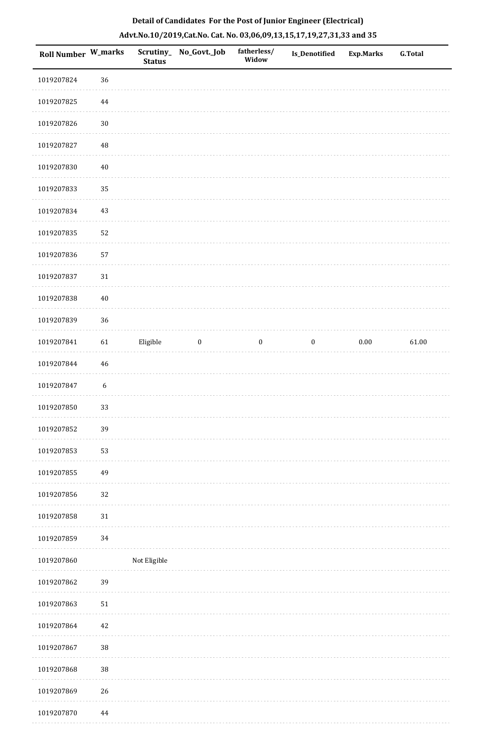| Roll Number W_marks |                  | <b>Status</b> | Scrutiny_ No_Govt._Job | fatherless/<br>Widow | Is_Denotified    | <b>Exp.Marks</b> | <b>G.Total</b> |
|---------------------|------------------|---------------|------------------------|----------------------|------------------|------------------|----------------|
| 1019207824          | 36               |               |                        |                      |                  |                  |                |
| 1019207825          | $\bf 44$         |               |                        |                      |                  |                  |                |
| 1019207826          | $30\,$           |               |                        |                      |                  |                  |                |
| 1019207827          | 48               |               |                        |                      |                  |                  |                |
| 1019207830          | $40\,$           |               |                        |                      |                  |                  |                |
| 1019207833          | 35               |               |                        |                      |                  |                  |                |
| 1019207834          | $43\,$           |               |                        |                      |                  |                  |                |
| 1019207835          | 52               |               |                        |                      |                  |                  |                |
| 1019207836          | 57               |               |                        |                      |                  |                  |                |
| 1019207837          | $31\,$           |               |                        |                      |                  |                  |                |
| 1019207838          | $40\,$           |               |                        |                      |                  |                  |                |
| 1019207839          | 36               |               |                        |                      |                  |                  |                |
| 1019207841          | 61               | Eligible      | $\boldsymbol{0}$       | $\bf{0}$             | $\boldsymbol{0}$ | $0.00\,$         | 61.00          |
| 1019207844          | $46\,$           |               |                        |                      |                  |                  |                |
| 1019207847          | $\boldsymbol{6}$ |               |                        |                      |                  |                  |                |
| 1019207850          | 33               |               |                        |                      |                  |                  |                |
| 1019207852          | 39               |               |                        |                      |                  |                  |                |
| 1019207853          | 53               |               |                        |                      |                  |                  |                |
| 1019207855          | 49               |               |                        |                      |                  |                  |                |
| 1019207856          | 32               |               |                        |                      |                  |                  |                |
| 1019207858          | $31\,$           |               |                        |                      |                  |                  |                |
| 1019207859          | 34               |               |                        |                      |                  |                  |                |
| 1019207860          |                  | Not Eligible  |                        |                      |                  |                  |                |
| 1019207862          | 39               |               |                        |                      |                  |                  |                |
| 1019207863          | $51\,$           |               |                        |                      |                  |                  |                |
| 1019207864          | 42               |               |                        |                      |                  |                  |                |
| 1019207867          | 38               |               |                        |                      |                  |                  |                |
| 1019207868          | 38               |               |                        |                      |                  |                  |                |
| 1019207869          | $26\,$           |               |                        |                      |                  |                  |                |
| 1019207870          | $\bf 44$         |               |                        |                      |                  |                  |                |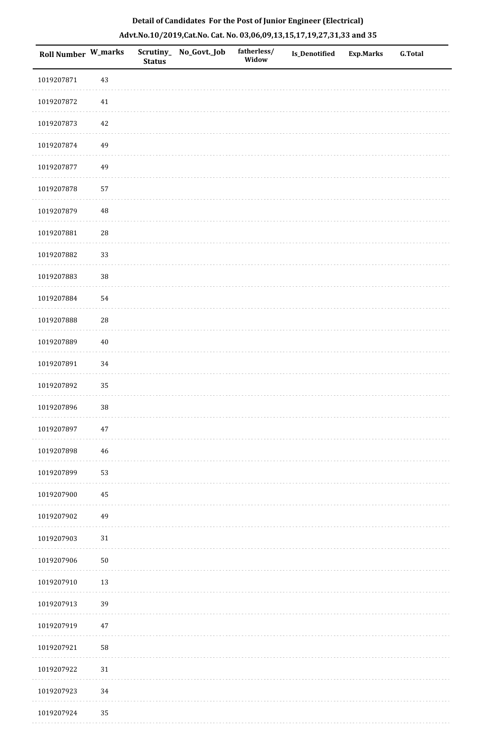| Roll Number W_marks |             | <b>Status</b> | Scrutiny_ No_Govt._Job | fatherless/<br>Widow | Is_Denotified | <b>Exp.Marks</b> | G.Total |
|---------------------|-------------|---------------|------------------------|----------------------|---------------|------------------|---------|
| 1019207871          | 43          |               |                        |                      |               |                  |         |
| 1019207872          | 41          |               |                        |                      |               |                  |         |
| 1019207873          | 42          |               |                        |                      |               |                  |         |
| 1019207874          | 49          |               |                        |                      |               |                  |         |
| 1019207877          | 49          |               |                        |                      |               |                  |         |
| 1019207878          | 57          |               |                        |                      |               |                  |         |
| 1019207879          | 48          |               |                        |                      |               |                  |         |
| 1019207881          | $\sqrt{28}$ |               |                        |                      |               |                  |         |
| 1019207882          | 33          |               |                        |                      |               |                  |         |
| 1019207883          | 38          |               |                        |                      |               |                  |         |
| 1019207884          | 54          |               |                        |                      |               |                  |         |
| 1019207888          | 28          |               |                        |                      |               |                  |         |
| 1019207889          | $40\,$      |               |                        |                      |               |                  |         |
| 1019207891          | 34          |               |                        |                      |               |                  |         |
| 1019207892          | 35          |               |                        |                      |               |                  |         |
| 1019207896          | $38\,$      |               |                        |                      |               |                  |         |
| 1019207897          | $47\,$      |               |                        |                      |               |                  |         |
| 1019207898          | 46          |               |                        |                      |               |                  |         |
| 1019207899          | 53          |               |                        |                      |               |                  |         |
| 1019207900          | 45          |               |                        |                      |               |                  |         |
| 1019207902          | 49          |               |                        |                      |               |                  |         |
| 1019207903          | $31\,$      |               |                        |                      |               |                  |         |
| 1019207906          | $50\,$      |               |                        |                      |               |                  |         |
| 1019207910          | 13          |               |                        |                      |               |                  |         |
| 1019207913          | 39          |               |                        |                      |               |                  |         |
| 1019207919          | 47          |               |                        |                      |               |                  |         |
| 1019207921          | 58          |               |                        |                      |               |                  |         |
| 1019207922          | $31\,$      |               |                        |                      |               |                  |         |
| 1019207923          | 34          |               |                        |                      |               |                  |         |
| 1019207924          | 35          |               |                        |                      |               |                  |         |

. . . . . . . . .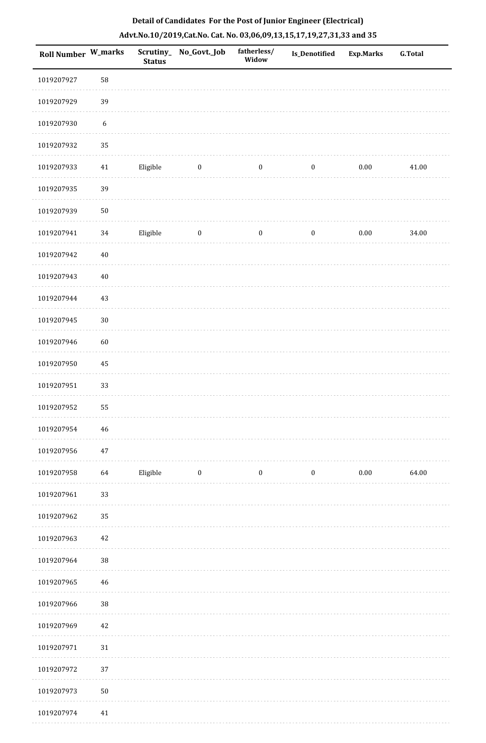| Roll Number W_marks |                  | <b>Status</b> | Scrutiny_ No_Govt._Job | fatherless/<br>Widow | Is_Denotified    | <b>Exp.Marks</b> | <b>G.Total</b> |
|---------------------|------------------|---------------|------------------------|----------------------|------------------|------------------|----------------|
| 1019207927          | 58               |               |                        |                      |                  |                  |                |
| 1019207929          | 39               |               |                        |                      |                  |                  |                |
| 1019207930          | $\boldsymbol{6}$ |               |                        |                      |                  |                  |                |
| 1019207932          | 35               |               |                        |                      |                  |                  |                |
| 1019207933          | $41\,$           | Eligible      | $\bf{0}$               | $\boldsymbol{0}$     | $\boldsymbol{0}$ | $0.00\,$         | 41.00          |
| 1019207935          | 39               |               |                        |                      |                  |                  |                |
| 1019207939          | $50\,$           |               |                        |                      |                  |                  |                |
| 1019207941          | 34               | Eligible      | $\bf{0}$               | $\boldsymbol{0}$     | $\boldsymbol{0}$ | $0.00\,$         | 34.00          |
| 1019207942          | $40\,$           |               |                        |                      |                  |                  |                |
| 1019207943          | $40\,$           |               |                        |                      |                  |                  |                |
| 1019207944          | $43\,$           |               |                        |                      |                  |                  |                |
| 1019207945          | $30\,$           |               |                        |                      |                  |                  |                |
| 1019207946          | 60               |               |                        |                      |                  |                  |                |
| 1019207950          | 45               |               |                        |                      |                  |                  |                |
| 1019207951          | 33               |               |                        |                      |                  |                  |                |
| 1019207952          | 55               |               |                        |                      |                  |                  |                |
| 1019207954          | $\sqrt{46}$      |               |                        |                      |                  |                  |                |
| 1019207956          | 47               |               |                        |                      |                  |                  |                |
| 1019207958          | 64               | Eligible      | $\boldsymbol{0}$       | $\boldsymbol{0}$     | $\boldsymbol{0}$ | $0.00\,$         | 64.00          |
| 1019207961          | 33               |               |                        |                      |                  |                  |                |
| 1019207962          | 35               |               |                        |                      |                  |                  |                |
| 1019207963          | 42               |               |                        |                      |                  |                  |                |
| 1019207964          | 38               |               |                        |                      |                  |                  |                |
| 1019207965          | 46               |               |                        |                      |                  |                  |                |
| 1019207966          | 38               |               |                        |                      |                  |                  |                |
| 1019207969          | $42\,$           |               |                        |                      |                  |                  |                |
| 1019207971          | 31               |               |                        |                      |                  |                  |                |
| 1019207972          | 37               |               |                        |                      |                  |                  |                |
| 1019207973          | $50\,$           |               |                        |                      |                  |                  |                |
| 1019207974          | $41\,$           |               |                        |                      |                  |                  |                |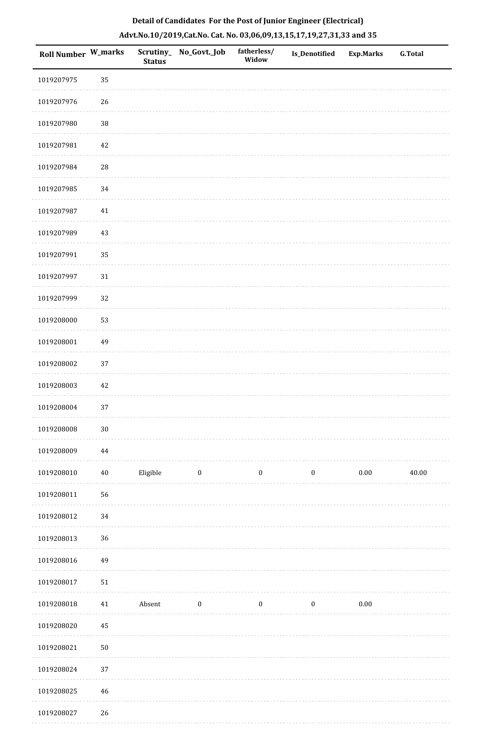| Roll Number W_marks |             | <b>Status</b> | Scrutiny_ No_Govt._Job | fatherless/<br>Widow | Is_Denotified    | <b>Exp.Marks</b> | <b>G.Total</b> |
|---------------------|-------------|---------------|------------------------|----------------------|------------------|------------------|----------------|
| 1019207975          | 35          |               |                        |                      |                  |                  |                |
| 1019207976          | 26          |               |                        |                      |                  |                  |                |
| 1019207980          | 38          |               |                        |                      |                  |                  |                |
| 1019207981          | 42          |               |                        |                      |                  |                  |                |
| 1019207984          | $\sqrt{28}$ |               |                        |                      |                  |                  |                |
| 1019207985          | 34          |               |                        |                      |                  |                  |                |
| 1019207987          | 41          |               |                        |                      |                  |                  |                |
| 1019207989          | 43          |               |                        |                      |                  |                  |                |
| 1019207991          | 35          |               |                        |                      |                  |                  |                |
| 1019207997          | $31\,$      |               |                        |                      |                  |                  |                |
| 1019207999          | 32          |               |                        |                      |                  |                  |                |
| 1019208000          | 53          |               |                        |                      |                  |                  |                |
| 1019208001          | 49          |               |                        |                      |                  |                  |                |
| 1019208002          | 37          |               |                        |                      |                  |                  |                |
| 1019208003          | $42\,$      |               |                        |                      |                  |                  |                |
| 1019208004          | 37          |               |                        |                      |                  |                  |                |
| 1019208008          | $30\,$      |               |                        |                      |                  |                  |                |
| 1019208009          | $\bf 44$    |               |                        |                      |                  |                  |                |
| 1019208010          | $40\,$      | Eligible      | $\boldsymbol{0}$       | $\boldsymbol{0}$     | $\boldsymbol{0}$ | $0.00\,$         | 40.00          |
| 1019208011          | 56          |               |                        |                      |                  |                  |                |
| 1019208012          | 34          |               |                        |                      |                  |                  |                |
| 1019208013          | 36          |               |                        |                      |                  |                  |                |
| 1019208016          | 49          |               |                        |                      |                  |                  |                |
| 1019208017          | $51\,$      |               |                        |                      |                  |                  |                |
| 1019208018          | 41          | Absent        | $\boldsymbol{0}$       | $\boldsymbol{0}$     | $\boldsymbol{0}$ | $0.00\,$         |                |
| 1019208020          | $\bf 45$    |               |                        |                      |                  |                  |                |
| 1019208021          | $50\,$      |               |                        |                      |                  |                  |                |
| 1019208024          | 37          |               |                        |                      |                  |                  |                |
| 1019208025          | $46\,$      |               |                        |                      |                  |                  |                |
| 1019208027          | 26          |               |                        |                      |                  |                  |                |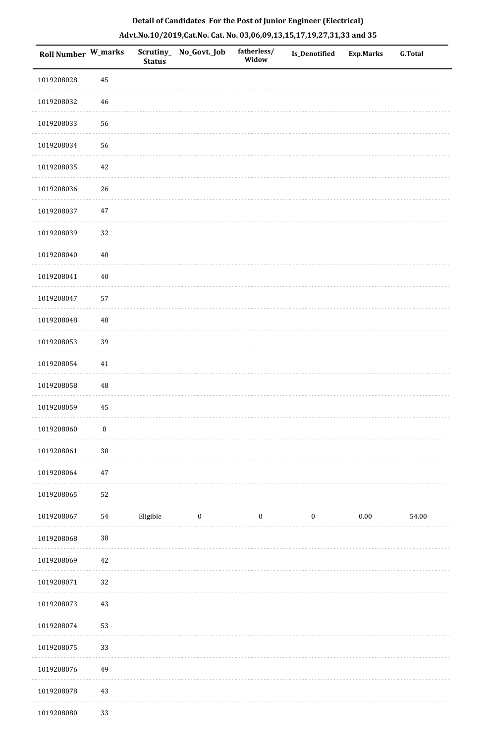|  | Detail of Candidates For the Post of Junior Engineer (Electrical)     |  |
|--|-----------------------------------------------------------------------|--|
|  | Advt.No.10/2019,Cat.No. Cat. No. 03,06,09,13,15,17,19,27,31,33 and 35 |  |

| Roll Number W_marks |          | <b>Status</b> | Scrutiny_ No_Govt._Job | fatherless/<br>Widow | <b>Is_Denotified</b> | <b>Exp.Marks</b> | <b>G.Total</b> |
|---------------------|----------|---------------|------------------------|----------------------|----------------------|------------------|----------------|
| 1019208028          | 45       |               |                        |                      |                      |                  |                |
| 1019208032          | $46\,$   |               |                        |                      |                      |                  |                |
| 1019208033          | 56       |               |                        |                      |                      |                  |                |
| 1019208034          | 56       |               |                        |                      |                      |                  |                |
| 1019208035          | $42\,$   |               |                        |                      |                      |                  |                |
| 1019208036          | 26       |               |                        |                      |                      |                  |                |
| 1019208037          | $47\,$   |               |                        |                      |                      |                  |                |
| 1019208039          | 32       |               |                        |                      |                      |                  |                |
| 1019208040          | $40\,$   |               |                        |                      |                      |                  |                |
| 1019208041          | $40\,$   |               |                        |                      |                      |                  |                |
| 1019208047          | 57       |               |                        |                      |                      |                  |                |
| 1019208048          | 48       |               |                        |                      |                      |                  |                |
| 1019208053          | 39       |               |                        |                      |                      |                  |                |
| 1019208054          | $41\,$   |               |                        |                      |                      |                  |                |
| 1019208058          | $\rm 48$ |               |                        |                      |                      |                  |                |
| 1019208059          | $\bf 45$ |               |                        |                      |                      |                  |                |
| 1019208060          | $\, 8$   |               |                        |                      |                      |                  |                |
| 1019208061          | $30\,$   |               |                        |                      |                      |                  |                |
| 1019208064          | $47\,$   |               |                        |                      |                      |                  |                |
| 1019208065          | 52       |               |                        |                      |                      |                  |                |
| 1019208067          | 54       | Eligible      | $\bf{0}$               | $\boldsymbol{0}$     | $\boldsymbol{0}$     | 0.00             | 54.00          |
| 1019208068          | $38\,$   |               |                        |                      |                      |                  |                |
| 1019208069          | $42\,$   |               |                        |                      |                      |                  |                |
| 1019208071          | 32       |               |                        |                      |                      |                  |                |
| 1019208073          | 43       |               |                        |                      |                      |                  |                |
| 1019208074          | 53       |               |                        |                      |                      |                  |                |
| 1019208075          | 33       |               |                        |                      |                      |                  |                |
| 1019208076          | 49       |               |                        |                      |                      |                  |                |
| 1019208078          | $43\,$   |               |                        |                      |                      |                  |                |
| 1019208080          | 33       |               |                        |                      |                      |                  |                |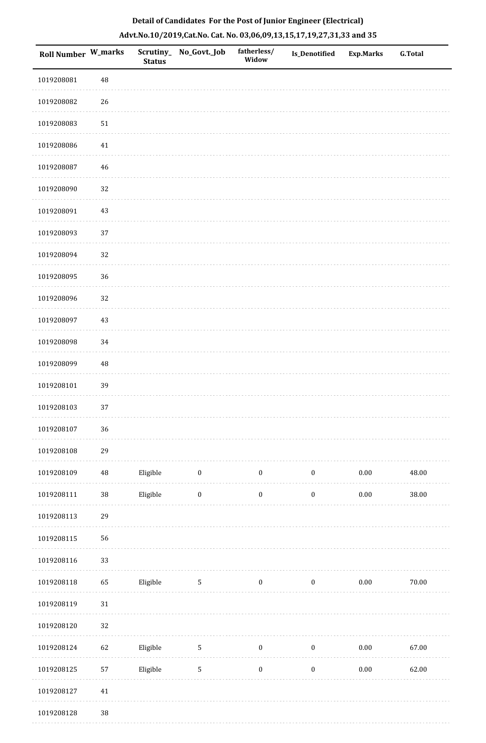|  | Detail of Candidates For the Post of Junior Engineer (Electrical)     |  |
|--|-----------------------------------------------------------------------|--|
|  | Advt.No.10/2019,Cat.No. Cat. No. 03,06,09,13,15,17,19,27,31,33 and 35 |  |

| <b>Roll Number W_marks</b> |          | <b>Status</b> | Scrutiny_No_Govt._Job | fatherless/<br>Widow | <b>Is_Denotified</b> | <b>Exp.Marks</b> | <b>G.Total</b> |
|----------------------------|----------|---------------|-----------------------|----------------------|----------------------|------------------|----------------|
| 1019208081                 | 48       |               |                       |                      |                      |                  |                |
| 1019208082                 | 26       |               |                       |                      |                      |                  |                |
| 1019208083                 | $51\,$   |               |                       |                      |                      |                  |                |
| 1019208086                 | $41\,$   |               |                       |                      |                      |                  |                |
| 1019208087                 | 46       |               |                       |                      |                      |                  |                |
| 1019208090                 | 32       |               |                       |                      |                      |                  |                |
| 1019208091                 | $43\,$   |               |                       |                      |                      |                  |                |
| 1019208093                 | 37       |               |                       |                      |                      |                  |                |
| 1019208094                 | 32       |               |                       |                      |                      |                  |                |
| 1019208095                 | 36       |               |                       |                      |                      |                  |                |
| 1019208096                 | 32       |               |                       |                      |                      |                  |                |
| 1019208097                 | 43       |               |                       |                      |                      |                  |                |
| 1019208098                 | 34       |               |                       |                      |                      |                  |                |
| 1019208099                 | 48       |               |                       |                      |                      |                  |                |
| 1019208101                 | 39       |               |                       |                      |                      |                  |                |
| 1019208103                 | 37       |               |                       |                      |                      |                  |                |
| 1019208107                 | 36       |               |                       |                      |                      |                  |                |
| 1019208108                 | 29       |               |                       |                      |                      |                  |                |
| 1019208109                 | $\bf 48$ | Eligible      | $\boldsymbol{0}$      | $\boldsymbol{0}$     | $\boldsymbol{0}$     | $0.00\,$         | 48.00          |
| 1019208111                 | $38\,$   | Eligible      | $\boldsymbol{0}$      | $\boldsymbol{0}$     | $\boldsymbol{0}$     | $0.00\,$         | 38.00          |
| 1019208113                 | 29       |               |                       |                      |                      |                  |                |
| 1019208115                 | 56       |               |                       |                      |                      |                  |                |
| 1019208116                 | 33       |               |                       |                      |                      |                  |                |
| 1019208118                 | 65       | Eligible      | $\mathsf S$           | $\boldsymbol{0}$     | $\boldsymbol{0}$     | $0.00\,$         | 70.00          |
| 1019208119                 | $31\,$   |               |                       |                      |                      |                  |                |
| 1019208120                 | 32       |               |                       |                      |                      |                  |                |
| 1019208124                 | 62       | Eligible      | $\sqrt{5}$            | $\boldsymbol{0}$     | $\boldsymbol{0}$     | $0.00\,$         | 67.00          |
| 1019208125                 | 57       | Eligible      | $\sqrt{5}$            | $\boldsymbol{0}$     | $\boldsymbol{0}$     | $0.00\,$         | 62.00          |
| 1019208127                 | $41\,$   |               |                       |                      |                      |                  |                |
| 1019208128                 | $38\,$   |               |                       |                      |                      |                  |                |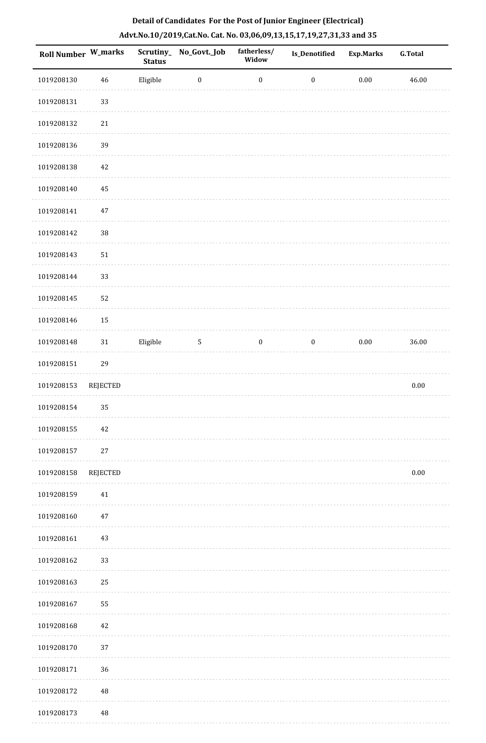| Roll Number W_marks |                 | <b>Status</b> | Scrutiny_No_Govt._Job | fatherless/<br>Widow | Is_Denotified    | <b>Exp.Marks</b> | <b>G.Total</b> |
|---------------------|-----------------|---------------|-----------------------|----------------------|------------------|------------------|----------------|
| 1019208130          | 46              | Eligible      | $\boldsymbol{0}$      | $\boldsymbol{0}$     | $\boldsymbol{0}$ | $0.00\,$         | 46.00          |
| 1019208131          | 33              |               |                       |                      |                  |                  |                |
| 1019208132          | $21\,$          |               |                       |                      |                  |                  |                |
| 1019208136          | 39              |               |                       |                      |                  |                  |                |
| 1019208138          | 42              |               |                       |                      |                  |                  |                |
| 1019208140          | 45              |               |                       |                      |                  |                  |                |
| 1019208141          | $47\,$          |               |                       |                      |                  |                  |                |
| 1019208142          | 38              |               |                       |                      |                  |                  |                |
| 1019208143          | 51              |               |                       |                      |                  |                  |                |
| 1019208144          | 33              |               |                       |                      |                  |                  |                |
| 1019208145          | 52              |               |                       |                      |                  |                  |                |
| 1019208146          | 15              |               |                       |                      |                  |                  |                |
| 1019208148          | $31\,$          | Eligible      | $\sqrt{5}$            | $\boldsymbol{0}$     | $\boldsymbol{0}$ | $0.00\,$         | 36.00          |
| 1019208151          | 29              |               |                       |                      |                  |                  |                |
| 1019208153          | <b>REJECTED</b> |               |                       |                      |                  |                  | $0.00\,$       |
| 1019208154          | 35              |               |                       |                      |                  |                  |                |
| 1019208155          | 42              |               |                       |                      |                  |                  |                |
| 1019208157          | $27\,$          |               |                       |                      |                  |                  |                |
| 1019208158          | <b>REJECTED</b> |               |                       |                      |                  |                  | $0.00\,$       |
| 1019208159          | 41              |               |                       |                      |                  |                  |                |
| 1019208160          | 47              |               |                       |                      |                  |                  |                |
| 1019208161          | 43              |               |                       |                      |                  |                  |                |
| 1019208162          | 33              |               |                       |                      |                  |                  |                |
| 1019208163          | 25              |               |                       |                      |                  |                  |                |
| 1019208167          | 55              |               |                       |                      |                  |                  |                |
| 1019208168          | 42              |               |                       |                      |                  |                  |                |
| 1019208170          | 37              |               |                       |                      |                  |                  |                |
| 1019208171          | 36              |               |                       |                      |                  |                  |                |
| 1019208172          | 48              |               |                       |                      |                  |                  |                |
| 1019208173          | 48              |               |                       |                      |                  |                  |                |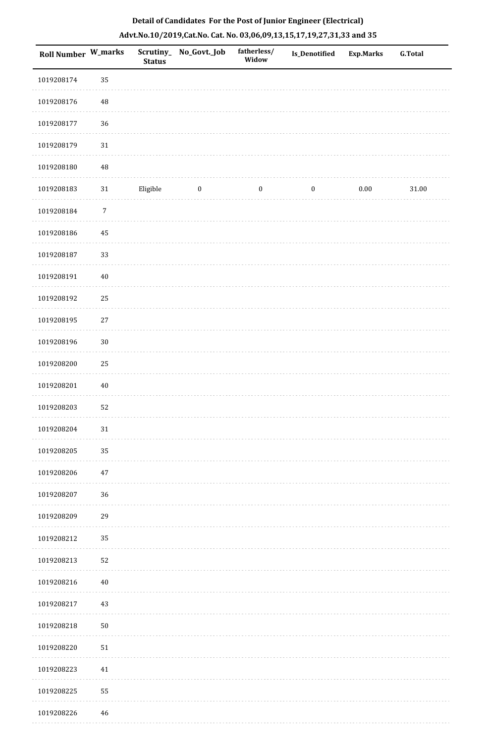| Roll Number W_marks |             | <b>Status</b> | Scrutiny_ No_Govt._Job | fatherless/<br>Widow | Is_Denotified    | <b>Exp.Marks</b> | G.Total   |
|---------------------|-------------|---------------|------------------------|----------------------|------------------|------------------|-----------|
| 1019208174          | 35          |               |                        |                      |                  |                  |           |
| 1019208176          | 48          |               |                        |                      |                  |                  |           |
| 1019208177          | 36          |               |                        |                      |                  |                  |           |
| 1019208179          | $31\,$      |               |                        |                      |                  |                  |           |
| 1019208180          | 48          |               |                        |                      |                  |                  |           |
| 1019208183          | $31\,$      | Eligible      | $\boldsymbol{0}$       | $\boldsymbol{0}$     | $\boldsymbol{0}$ | $0.00\,$         | $31.00\,$ |
| 1019208184          | $\sqrt{7}$  |               |                        |                      |                  |                  |           |
| 1019208186          | $\rm 45$    |               |                        |                      |                  |                  |           |
| 1019208187          | 33          |               |                        |                      |                  |                  |           |
| 1019208191          | $40\,$      |               |                        |                      |                  |                  |           |
| 1019208192          | 25          |               |                        |                      |                  |                  |           |
| 1019208195          | $27\,$      |               |                        |                      |                  |                  |           |
| 1019208196          | $30\,$      |               |                        |                      |                  |                  |           |
| 1019208200          | 25          |               |                        |                      |                  |                  |           |
| 1019208201          | $40\,$      |               |                        |                      |                  |                  |           |
| 1019208203          | 52          |               |                        |                      |                  |                  |           |
| 1019208204          | $31\,$      |               |                        |                      |                  |                  |           |
| 1019208205          | 35          |               |                        |                      |                  |                  |           |
| 1019208206          | 47          |               |                        |                      |                  |                  |           |
| 1019208207          | $36\,$      |               |                        |                      |                  |                  |           |
| 1019208209          | 29          |               |                        |                      |                  |                  |           |
| 1019208212          | 35          |               |                        |                      |                  |                  |           |
| 1019208213          | 52          |               |                        |                      |                  |                  |           |
| 1019208216          | $40\,$      |               |                        |                      |                  |                  |           |
| 1019208217          | $43\,$      |               |                        |                      |                  |                  |           |
| 1019208218          | $50\,$      |               |                        |                      |                  |                  |           |
| 1019208220          | 51          |               |                        |                      |                  |                  |           |
| 1019208223          | $41\,$      |               |                        |                      |                  |                  |           |
| 1019208225          | 55          |               |                        |                      |                  |                  |           |
| 1019208226          | $\sqrt{46}$ |               |                        |                      |                  |                  |           |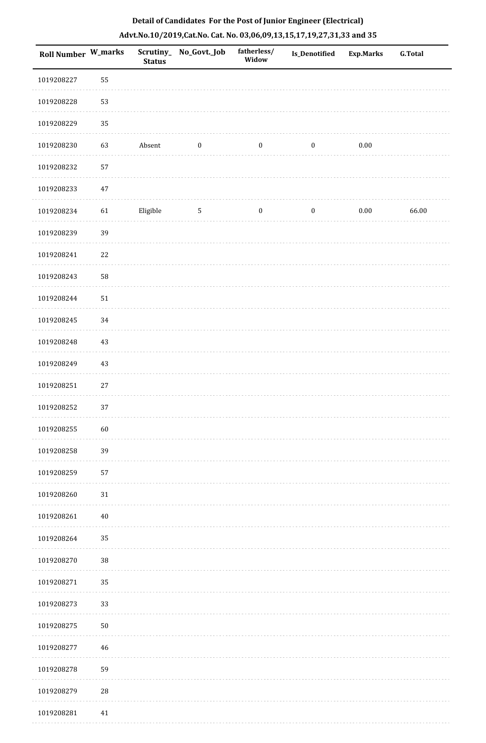| <b>Roll Number W_marks</b> |             | <b>Status</b> | Scrutiny_No_Govt._Job | fatherless/<br>Widow | <b>Is_Denotified</b> | <b>Exp.Marks</b> | <b>G.Total</b> |
|----------------------------|-------------|---------------|-----------------------|----------------------|----------------------|------------------|----------------|
| 1019208227                 | 55          |               |                       |                      |                      |                  |                |
| 1019208228                 | 53          |               |                       |                      |                      |                  |                |
| 1019208229                 | 35          |               |                       |                      |                      |                  |                |
| 1019208230                 | 63          | Absent        | $\boldsymbol{0}$      | $\bf{0}$             | $\boldsymbol{0}$     | 0.00             |                |
| 1019208232                 | 57          |               |                       |                      |                      |                  |                |
| 1019208233                 | 47          |               |                       |                      |                      |                  |                |
| 1019208234                 | 61          | Eligible      | $\sqrt{5}$            | $\boldsymbol{0}$     | $\boldsymbol{0}$     | $0.00\,$         | 66.00          |
| 1019208239                 | 39          |               |                       |                      |                      |                  |                |
| 1019208241                 | 22          |               |                       |                      |                      |                  |                |
| 1019208243                 | 58          |               |                       |                      |                      |                  |                |
| 1019208244                 | 51          |               |                       |                      |                      |                  |                |
| 1019208245                 | 34          |               |                       |                      |                      |                  |                |
| 1019208248                 | 43          |               |                       |                      |                      |                  |                |
| 1019208249                 | 43          |               |                       |                      |                      |                  |                |
| 1019208251                 | 27          |               |                       |                      |                      |                  |                |
| 1019208252                 | 37          |               |                       |                      |                      |                  |                |
| 1019208255                 | 60          |               |                       |                      |                      |                  |                |
| 1019208258                 | 39          |               |                       |                      |                      |                  |                |
| 1019208259                 | 57          |               |                       |                      |                      |                  |                |
| 1019208260                 | $31\,$      |               |                       |                      |                      |                  |                |
| 1019208261                 | $40\,$      |               |                       |                      |                      |                  |                |
| 1019208264                 | 35          |               |                       |                      |                      |                  |                |
| 1019208270                 | $38\,$      |               |                       |                      |                      |                  |                |
| 1019208271                 | 35          |               |                       |                      |                      |                  |                |
| 1019208273                 | 33          |               |                       |                      |                      |                  |                |
| 1019208275                 | ${\bf 50}$  |               |                       |                      |                      |                  |                |
| 1019208277                 | 46          |               |                       |                      |                      |                  |                |
| 1019208278                 | 59          |               |                       |                      |                      |                  |                |
| 1019208279                 | $\sqrt{28}$ |               |                       |                      |                      |                  |                |
| 1019208281                 | 41          |               |                       |                      |                      |                  |                |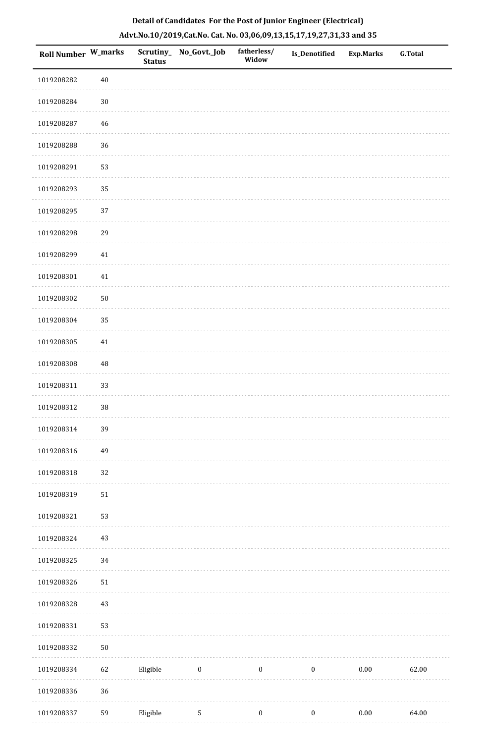|  | Detail of Candidates For the Post of Junior Engineer (Electrical)     |  |
|--|-----------------------------------------------------------------------|--|
|  | Advt.No.10/2019,Cat.No. Cat. No. 03,06,09,13,15,17,19,27,31,33 and 35 |  |

| <b>Roll Number W_marks</b> |        | <b>Status</b> | Scrutiny_ No_Govt._Job | fatherless/<br>Widow | <b>Is_Denotified</b> | <b>Exp.Marks</b> | <b>G.Total</b> |
|----------------------------|--------|---------------|------------------------|----------------------|----------------------|------------------|----------------|
| 1019208282                 | $40\,$ |               |                        |                      |                      |                  |                |
| 1019208284                 | $30\,$ |               |                        |                      |                      |                  |                |
| 1019208287                 | $46\,$ |               |                        |                      |                      |                  |                |
| 1019208288                 | 36     |               |                        |                      |                      |                  |                |
| 1019208291                 | 53     |               |                        |                      |                      |                  |                |
| 1019208293                 | 35     |               |                        |                      |                      |                  |                |
| 1019208295                 | 37     |               |                        |                      |                      |                  |                |
| 1019208298                 | 29     |               |                        |                      |                      |                  |                |
| 1019208299                 | 41     |               |                        |                      |                      |                  |                |
| 1019208301                 | $41\,$ |               |                        |                      |                      |                  |                |
| 1019208302                 | 50     |               |                        |                      |                      |                  |                |
| 1019208304                 | 35     |               |                        |                      |                      |                  |                |
| 1019208305                 | $41\,$ |               |                        |                      |                      |                  |                |
| 1019208308                 | 48     |               |                        |                      |                      |                  |                |
| 1019208311                 | 33     |               |                        |                      |                      |                  |                |
| 1019208312                 | 38     |               |                        |                      |                      |                  |                |
| 1019208314                 | 39     |               |                        |                      |                      |                  |                |
| 1019208316                 | 49     |               |                        |                      |                      |                  |                |
| 1019208318                 | 32     |               |                        |                      |                      |                  |                |
| 1019208319                 | $51\,$ |               |                        |                      |                      |                  |                |
| 1019208321                 | 53     |               |                        |                      |                      |                  |                |
| 1019208324                 | 43     |               |                        |                      |                      |                  |                |
| 1019208325                 | 34     |               |                        |                      |                      |                  |                |
| 1019208326                 | $51\,$ |               |                        |                      |                      |                  |                |
| 1019208328                 | 43     |               |                        |                      |                      |                  |                |
| 1019208331                 | 53     |               |                        |                      |                      |                  |                |
| 1019208332                 | $50\,$ |               |                        |                      |                      |                  |                |
| 1019208334                 | 62     | Eligible      | $\boldsymbol{0}$       | $\boldsymbol{0}$     | $\boldsymbol{0}$     | $0.00\,$         | 62.00          |
| 1019208336                 | 36     |               |                        |                      |                      |                  |                |
| 1019208337                 | 59     | Eligible      | $\sqrt{5}$             | $\boldsymbol{0}$     | $\boldsymbol{0}$     | $0.00\,$         | 64.00          |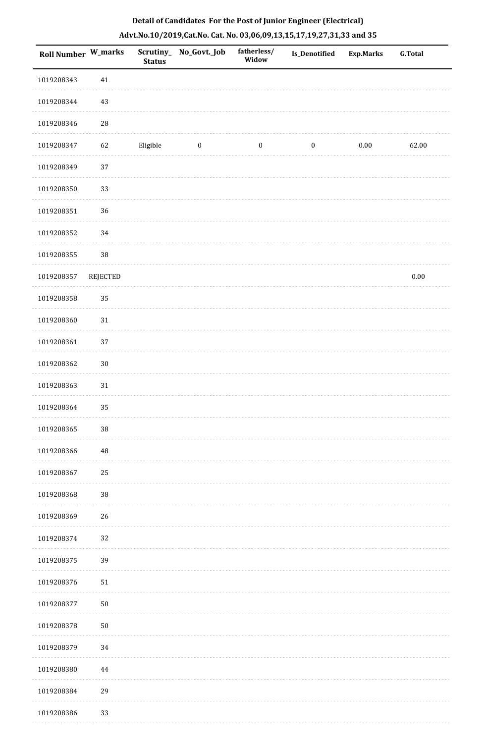| <b>Roll Number W_marks</b> |            | <b>Status</b> | Scrutiny_No_Govt._Job | fatherless/<br>Widow | Is_Denotified    | <b>Exp.Marks</b> | G.Total  |
|----------------------------|------------|---------------|-----------------------|----------------------|------------------|------------------|----------|
| 1019208343                 | $41\,$     |               |                       |                      |                  |                  |          |
| 1019208344                 | 43         |               |                       |                      |                  |                  |          |
| 1019208346                 | ${\bf 28}$ |               |                       |                      |                  |                  |          |
| 1019208347                 | 62         | Eligible      | $\boldsymbol{0}$      | $\boldsymbol{0}$     | $\boldsymbol{0}$ | $0.00\,$         | 62.00    |
| 1019208349                 | 37         |               |                       |                      |                  |                  |          |
| 1019208350                 | 33         |               |                       |                      |                  |                  |          |
| 1019208351                 | 36         |               |                       |                      |                  |                  |          |
| 1019208352                 | 34         |               |                       |                      |                  |                  |          |
| 1019208355                 | $38\,$     |               |                       |                      |                  |                  |          |
| 1019208357                 | REJECTED   |               |                       |                      |                  |                  | $0.00\,$ |
| 1019208358                 | 35         |               |                       |                      |                  |                  |          |
| 1019208360                 | 31         |               |                       |                      |                  |                  |          |
| 1019208361                 | 37         |               |                       |                      |                  |                  |          |
| 1019208362                 | $30\,$     |               |                       |                      |                  |                  |          |
| 1019208363                 | $31\,$     |               |                       |                      |                  |                  |          |
| 1019208364                 | 35         |               |                       |                      |                  |                  |          |
| 1019208365                 | $38\,$     |               |                       |                      |                  |                  |          |
| 1019208366                 | 48         |               |                       |                      |                  |                  |          |
| 1019208367                 | 25         |               |                       |                      |                  |                  |          |
| 1019208368                 | $38\,$     |               |                       |                      |                  |                  |          |
| 1019208369                 | $26\,$     |               |                       |                      |                  |                  |          |
| 1019208374                 | 32         |               |                       |                      |                  |                  |          |
| 1019208375                 | 39         |               |                       |                      |                  |                  |          |
| 1019208376                 | ${\bf 51}$ |               |                       |                      |                  |                  |          |
| 1019208377                 | 50         |               |                       |                      |                  |                  |          |
| 1019208378                 | ${\bf 50}$ |               |                       |                      |                  |                  |          |
| 1019208379                 | 34         |               |                       |                      |                  |                  |          |
| 1019208380                 | 44         |               |                       |                      |                  |                  |          |
| 1019208384                 | 29         |               |                       |                      |                  |                  |          |
| 1019208386                 | 33         |               |                       |                      |                  |                  |          |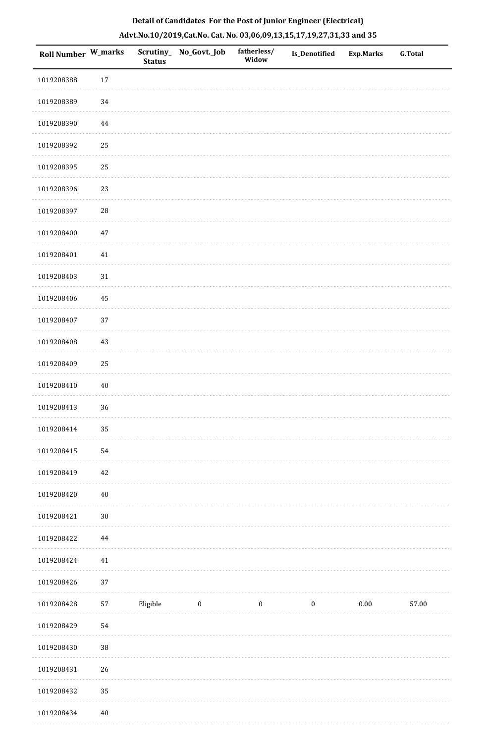|  | Detail of Candidates For the Post of Junior Engineer (Electrical)     |  |
|--|-----------------------------------------------------------------------|--|
|  | Advt.No.10/2019,Cat.No. Cat. No. 03,06,09,13,15,17,19,27,31,33 and 35 |  |

| Roll Number W_marks |             | <b>Status</b> | Scrutiny_ No_Govt._Job | fatherless/<br>Widow | <b>Is_Denotified</b> | <b>Exp.Marks</b> | <b>G.Total</b> |
|---------------------|-------------|---------------|------------------------|----------------------|----------------------|------------------|----------------|
| 1019208388          | $17\,$      |               |                        |                      |                      |                  |                |
| 1019208389          | 34          |               |                        |                      |                      |                  |                |
| 1019208390          | $\bf 44$    |               |                        |                      |                      |                  |                |
| 1019208392          | 25          |               |                        |                      |                      |                  |                |
| 1019208395          | 25          |               |                        |                      |                      |                  |                |
| 1019208396          | 23          |               |                        |                      |                      |                  |                |
| 1019208397          | $\sqrt{28}$ |               |                        |                      |                      |                  |                |
| 1019208400          | $47\,$      |               |                        |                      |                      |                  |                |
| 1019208401          | $41\,$      |               |                        |                      |                      |                  |                |
| 1019208403          | $31\,$      |               |                        |                      |                      |                  |                |
| 1019208406          | 45          |               |                        |                      |                      |                  |                |
| 1019208407          | 37          |               |                        |                      |                      |                  |                |
| 1019208408          | $43\,$      |               |                        |                      |                      |                  |                |
| 1019208409          | 25          |               |                        |                      |                      |                  |                |
| 1019208410          | $40\,$      |               |                        |                      |                      |                  |                |
| 1019208413          | 36          |               |                        |                      |                      |                  |                |
| 1019208414          | 35          |               |                        |                      |                      |                  |                |
| 1019208415          | 54          |               |                        |                      |                      |                  |                |
| 1019208419          | $42\,$      |               |                        |                      |                      |                  |                |
| 1019208420          | $40\,$      |               |                        |                      |                      |                  |                |
| 1019208421          | $30\,$      |               |                        |                      |                      |                  |                |
| 1019208422          | 44          |               |                        |                      |                      |                  |                |
| 1019208424          | $41\,$      |               |                        |                      |                      |                  |                |
| 1019208426          | 37          |               |                        |                      |                      |                  |                |
| 1019208428          | 57          | Eligible      | $\boldsymbol{0}$       | $\boldsymbol{0}$     | $\boldsymbol{0}$     | $0.00\,$         | 57.00          |
| 1019208429          | 54          |               |                        |                      |                      |                  |                |
| 1019208430          | $38\,$      |               |                        |                      |                      |                  |                |
| 1019208431          | 26          |               |                        |                      |                      |                  |                |
| 1019208432          | 35          |               |                        |                      |                      |                  |                |
| 1019208434          | $40\,$      |               |                        |                      |                      |                  |                |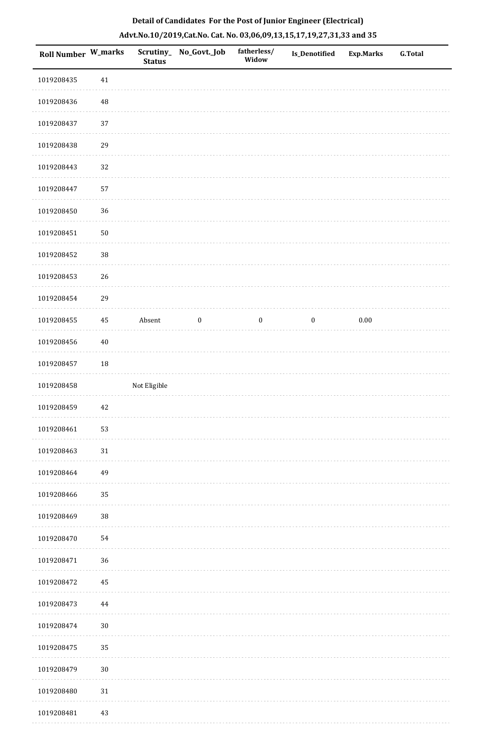| Roll Number W_marks |          | Scrutiny_<br><b>Status</b> | No_Govt._Job     | fatherless/<br>Widow | Is_Denotified    | <b>Exp.Marks</b> | G.Total |
|---------------------|----------|----------------------------|------------------|----------------------|------------------|------------------|---------|
| 1019208435          | $41\,$   |                            |                  |                      |                  |                  |         |
| 1019208436          | 48       |                            |                  |                      |                  |                  |         |
| 1019208437          | 37       |                            |                  |                      |                  |                  |         |
| 1019208438          | 29       |                            |                  |                      |                  |                  |         |
| 1019208443          | 32       |                            |                  |                      |                  |                  |         |
| 1019208447          | 57       |                            |                  |                      |                  |                  |         |
| 1019208450          | 36       |                            |                  |                      |                  |                  |         |
| 1019208451          | $50\,$   |                            |                  |                      |                  |                  |         |
| 1019208452          | 38       |                            |                  |                      |                  |                  |         |
| 1019208453          | 26       |                            |                  |                      |                  |                  |         |
| 1019208454          | 29       |                            |                  |                      |                  |                  |         |
| 1019208455          | $\bf 45$ | Absent                     | $\boldsymbol{0}$ | $\boldsymbol{0}$     | $\boldsymbol{0}$ | 0.00             |         |
| 1019208456          | $40\,$   |                            |                  |                      |                  |                  |         |
| 1019208457          | 18       |                            |                  |                      |                  |                  |         |
| 1019208458          |          | Not Eligible               |                  |                      |                  |                  |         |
| 1019208459          | 42       |                            |                  |                      |                  |                  |         |
| 1019208461          | 53       |                            |                  |                      |                  |                  |         |
| 1019208463          | $31\,$   |                            |                  |                      |                  |                  |         |
| 1019208464          | 49       |                            |                  |                      |                  |                  |         |
| 1019208466          | 35       |                            |                  |                      |                  |                  |         |
| 1019208469          | 38       |                            |                  |                      |                  |                  |         |
| 1019208470          | 54       |                            |                  |                      |                  |                  |         |
| 1019208471          | 36       |                            |                  |                      |                  |                  |         |
| 1019208472          | 45       |                            |                  |                      |                  |                  |         |
| 1019208473          | $\bf 44$ |                            |                  |                      |                  |                  |         |
| 1019208474          | $30\,$   |                            |                  |                      |                  |                  |         |
| 1019208475          | 35       |                            |                  |                      |                  |                  |         |
| 1019208479          | $30\,$   |                            |                  |                      |                  |                  |         |
| 1019208480          | $31\,$   |                            |                  |                      |                  |                  |         |
| 1019208481          | 43       |                            |                  |                      |                  |                  |         |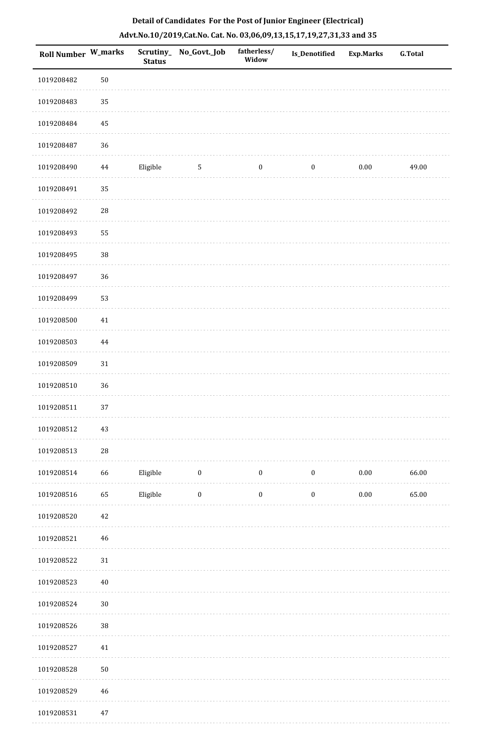| Roll Number W_marks |             | Scrutiny_<br><b>Status</b> | No_Govt._Job     | fatherless/<br>Widow | <b>Is_Denotified</b> | <b>Exp.Marks</b> | <b>G.Total</b> |
|---------------------|-------------|----------------------------|------------------|----------------------|----------------------|------------------|----------------|
| 1019208482          | $50\,$      |                            |                  |                      |                      |                  |                |
| 1019208483          | 35          |                            |                  |                      |                      |                  |                |
| 1019208484          | 45          |                            |                  |                      |                      |                  |                |
| 1019208487          | 36          |                            |                  |                      |                      |                  |                |
| 1019208490          | $\bf 44$    | Eligible                   | $\overline{5}$   | $\boldsymbol{0}$     | $\boldsymbol{0}$     | 0.00             | 49.00          |
| 1019208491          | 35          |                            |                  |                      |                      |                  |                |
| 1019208492          | 28          |                            |                  |                      |                      |                  |                |
| 1019208493          | 55          |                            |                  |                      |                      |                  |                |
| 1019208495          | 38          |                            |                  |                      |                      |                  |                |
| 1019208497          | 36          |                            |                  |                      |                      |                  |                |
| 1019208499          | 53          |                            |                  |                      |                      |                  |                |
| 1019208500          | 41          |                            |                  |                      |                      |                  |                |
| 1019208503          | $\bf 44$    |                            |                  |                      |                      |                  |                |
| 1019208509          | $31\,$      |                            |                  |                      |                      |                  |                |
| 1019208510          | 36          |                            |                  |                      |                      |                  |                |
| 1019208511          | 37          |                            |                  |                      |                      |                  |                |
| 1019208512          | $43\,$      |                            |                  |                      |                      |                  |                |
| 1019208513          | 28          |                            |                  |                      |                      |                  |                |
| 1019208514          | 66          | Eligible                   | $\boldsymbol{0}$ | $\boldsymbol{0}$     | $\boldsymbol{0}$     | $0.00\,$         | 66.00          |
| 1019208516          | 65          | Eligible                   | $\boldsymbol{0}$ | $\boldsymbol{0}$     | $\boldsymbol{0}$     | $0.00\,$         | 65.00          |
| 1019208520          | $42\,$      |                            |                  |                      |                      |                  |                |
| 1019208521          | $46\,$      |                            |                  |                      |                      |                  |                |
| 1019208522          | $31\,$      |                            |                  |                      |                      |                  |                |
| 1019208523          | $40\,$      |                            |                  |                      |                      |                  |                |
| 1019208524          | $30\,$      |                            |                  |                      |                      |                  |                |
| 1019208526          | $38\,$      |                            |                  |                      |                      |                  |                |
| 1019208527          | $41\,$      |                            |                  |                      |                      |                  |                |
| 1019208528          | $50\,$      |                            |                  |                      |                      |                  |                |
| 1019208529          | $\sqrt{46}$ |                            |                  |                      |                      |                  |                |
| 0.1020052           |             |                            |                  |                      |                      |                  |                |

 1019208531 47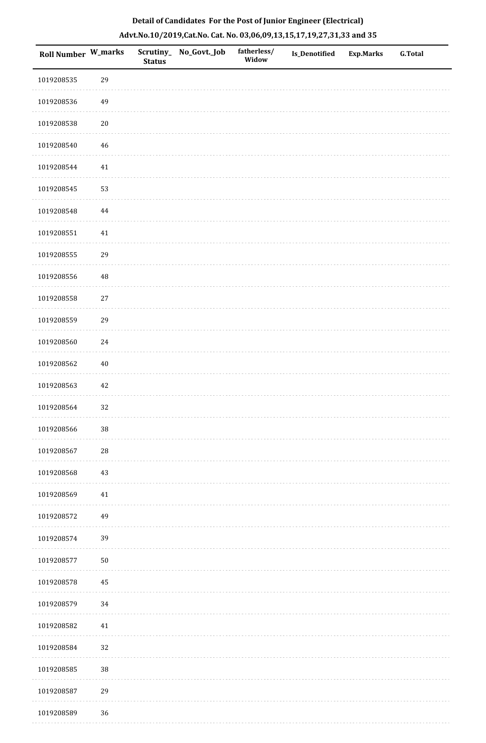| Detail of Candidates For the Post of Junior Engineer (Electrical)     |  |
|-----------------------------------------------------------------------|--|
| Advt.No.10/2019,Cat.No. Cat. No. 03,06,09,13,15,17,19,27,31,33 and 35 |  |

| <b>Roll Number W_marks</b> |            | <b>Status</b> | Scrutiny_ No_Govt._Job | fatherless/<br>Widow | <b>Is_Denotified</b> | <b>Exp.Marks</b> | <b>G.Total</b> |
|----------------------------|------------|---------------|------------------------|----------------------|----------------------|------------------|----------------|
| 1019208535                 | 29         |               |                        |                      |                      |                  |                |
| 1019208536                 | 49         |               |                        |                      |                      |                  |                |
| 1019208538                 | $20\,$     |               |                        |                      |                      |                  |                |
| 1019208540                 | $46\,$     |               |                        |                      |                      |                  |                |
| 1019208544                 | 41         |               |                        |                      |                      |                  |                |
| 1019208545                 | 53         |               |                        |                      |                      |                  |                |
| 1019208548                 | 44         |               |                        |                      |                      |                  |                |
| 1019208551                 | $41\,$     |               |                        |                      |                      |                  |                |
| 1019208555                 | 29         |               |                        |                      |                      |                  |                |
| 1019208556                 | 48         |               |                        |                      |                      |                  |                |
| 1019208558                 | $27\,$     |               |                        |                      |                      |                  |                |
| 1019208559                 | 29         |               |                        |                      |                      |                  |                |
| 1019208560                 | 24         |               |                        |                      |                      |                  |                |
| 1019208562                 | $40\,$     |               |                        |                      |                      |                  |                |
| 1019208563                 | 42         |               |                        |                      |                      |                  |                |
| 1019208564                 | 32         |               |                        |                      |                      |                  |                |
| 1019208566                 | $38\,$     |               |                        |                      |                      |                  |                |
| 1019208567                 | ${\bf 28}$ |               |                        |                      |                      |                  |                |
| 1019208568                 | $43\,$     |               |                        |                      |                      |                  |                |
| 1019208569                 | $41\,$     |               |                        |                      |                      |                  |                |
| 1019208572                 | 49         |               |                        |                      |                      |                  |                |
| 1019208574                 | 39         |               |                        |                      |                      |                  |                |
| 1019208577                 | $50\,$     |               |                        |                      |                      |                  |                |
| 1019208578                 | $\bf 45$   |               |                        |                      |                      |                  |                |
| 1019208579                 | 34         |               |                        |                      |                      |                  |                |
| 1019208582                 | 41         |               |                        |                      |                      |                  |                |
| 1019208584                 | 32         |               |                        |                      |                      |                  |                |
| 1019208585                 | $38\,$     |               |                        |                      |                      |                  |                |
| 1019208587                 | 29         |               |                        |                      |                      |                  |                |
| 1019208589                 | 36         |               |                        |                      |                      |                  |                |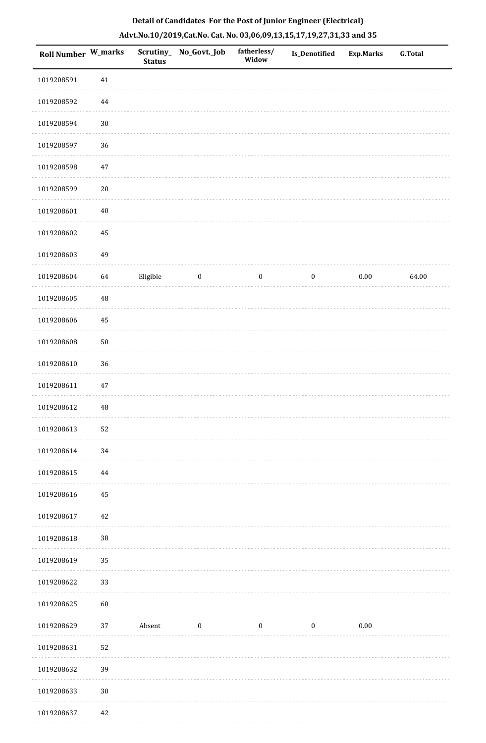| Roll Number W_marks |          | Scrutiny_<br><b>Status</b> | No_Govt._Job     | fatherless/<br>Widow | Is_Denotified    | <b>Exp.Marks</b> | <b>G.Total</b> |
|---------------------|----------|----------------------------|------------------|----------------------|------------------|------------------|----------------|
| 1019208591          | 41       |                            |                  |                      |                  |                  |                |
| 1019208592          | $\bf 44$ |                            |                  |                      |                  |                  |                |
| 1019208594          | $30\,$   |                            |                  |                      |                  |                  |                |
| 1019208597          | 36       |                            |                  |                      |                  |                  |                |
| 1019208598          | $47\,$   |                            |                  |                      |                  |                  |                |
| 1019208599          | $20\,$   |                            |                  |                      |                  |                  |                |
| 1019208601          | $40\,$   |                            |                  |                      |                  |                  |                |
| 1019208602          | $\bf 45$ |                            |                  |                      |                  |                  |                |
| 1019208603          | 49       |                            |                  |                      |                  |                  |                |
| 1019208604          | 64       | Eligible                   | $\boldsymbol{0}$ | $\boldsymbol{0}$     | $\boldsymbol{0}$ | 0.00             | 64.00          |
| 1019208605          | 48       |                            |                  |                      |                  |                  |                |
| 1019208606          | 45       |                            |                  |                      |                  |                  |                |
| 1019208608          | $50\,$   |                            |                  |                      |                  |                  |                |
| 1019208610          | 36       |                            |                  |                      |                  |                  |                |
| 1019208611          | $47\,$   |                            |                  |                      |                  |                  |                |
| 1019208612          | 48       |                            |                  |                      |                  |                  |                |
| 1019208613          | 52       |                            |                  |                      |                  |                  |                |
| 1019208614          | 34       |                            |                  |                      |                  |                  |                |
| 1019208615          | 44       |                            |                  |                      |                  |                  |                |
| 1019208616          | $\bf 45$ |                            |                  |                      |                  |                  |                |
| 1019208617          | 42       |                            |                  |                      |                  |                  |                |
| 1019208618          | $38\,$   |                            |                  |                      |                  |                  |                |
| 1019208619          | 35       |                            |                  |                      |                  |                  |                |
| 1019208622          | 33       |                            |                  |                      |                  |                  |                |
| 1019208625          | 60       |                            |                  |                      |                  |                  |                |
| 1019208629          | 37       | Absent                     | $\boldsymbol{0}$ | $\boldsymbol{0}$     | $\boldsymbol{0}$ | $0.00\,$         |                |
| 1019208631          | 52       |                            |                  |                      |                  |                  |                |
| 1019208632          | 39       |                            |                  |                      |                  |                  |                |
| 1019208633          | $30\,$   |                            |                  |                      |                  |                  |                |
| 1019208637          | 42       |                            |                  |                      |                  |                  |                |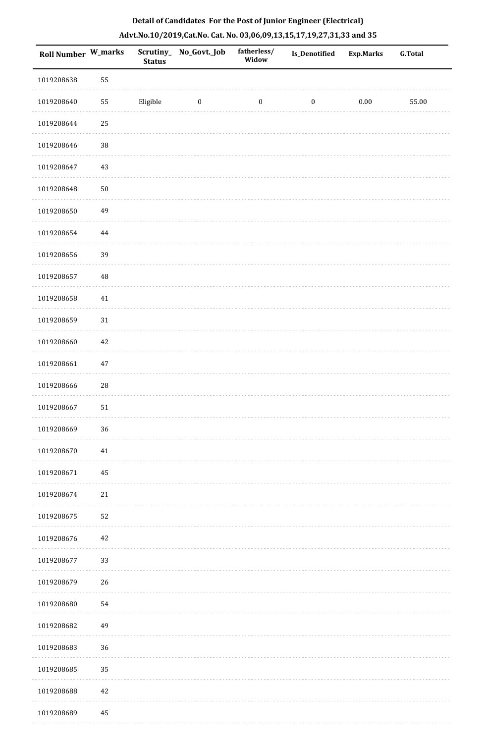|  |  | Detail of Candidates For the Post of Junior Engineer (Electrical)     |  |
|--|--|-----------------------------------------------------------------------|--|
|  |  | Advt.No.10/2019,Cat.No. Cat. No. 03,06,09,13,15,17,19,27,31,33 and 35 |  |

| <b>Roll Number W_marks</b> |            | <b>Status</b> | Scrutiny_ No_Govt._Job | fatherless/<br>Widow | Is_Denotified    | <b>Exp.Marks</b> | <b>G.Total</b> |
|----------------------------|------------|---------------|------------------------|----------------------|------------------|------------------|----------------|
| 1019208638                 | 55         |               |                        |                      |                  |                  |                |
| 1019208640                 | 55         | Eligible      | $\boldsymbol{0}$       | $\boldsymbol{0}$     | $\boldsymbol{0}$ | $0.00\,$         | 55.00          |
| 1019208644                 | 25         |               |                        |                      |                  |                  |                |
| 1019208646                 | $38\,$     |               |                        |                      |                  |                  |                |
| 1019208647                 | $43\,$     |               |                        |                      |                  |                  |                |
| 1019208648                 | $50\,$     |               |                        |                      |                  |                  |                |
| 1019208650                 | 49         |               |                        |                      |                  |                  |                |
| 1019208654                 | $\bf 44$   |               |                        |                      |                  |                  |                |
| 1019208656                 | 39         |               |                        |                      |                  |                  |                |
| 1019208657                 | $\rm 48$   |               |                        |                      |                  |                  |                |
| 1019208658                 | $41\,$     |               |                        |                      |                  |                  |                |
| 1019208659                 | $31\,$     |               |                        |                      |                  |                  |                |
| 1019208660                 | $42\,$     |               |                        |                      |                  |                  |                |
| 1019208661                 | $47\,$     |               |                        |                      |                  |                  |                |
| 1019208666                 | ${\bf 28}$ |               |                        |                      |                  |                  |                |
| 1019208667                 | $51\,$     |               |                        |                      |                  |                  |                |
| 1019208669                 | 36         |               |                        |                      |                  |                  |                |
| 1019208670                 | 41         |               |                        |                      |                  |                  |                |
| 1019208671                 | 45         |               |                        |                      |                  |                  |                |
| 1019208674                 | $21\,$     |               |                        |                      |                  |                  |                |
| 1019208675                 | 52         |               |                        |                      |                  |                  |                |
| 1019208676                 | $42\,$     |               |                        |                      |                  |                  |                |
| 1019208677                 | 33         |               |                        |                      |                  |                  |                |
| 1019208679                 | $26\,$     |               |                        |                      |                  |                  |                |
| 1019208680                 | 54         |               |                        |                      |                  |                  |                |
| 1019208682                 | 49         |               |                        |                      |                  |                  |                |
| 1019208683                 | 36         |               |                        |                      |                  |                  |                |
| 1019208685                 | 35         |               |                        |                      |                  |                  |                |
| 1019208688                 | $42\,$     |               |                        |                      |                  |                  |                |
| 1019208689                 | 45         |               |                        |                      |                  |                  |                |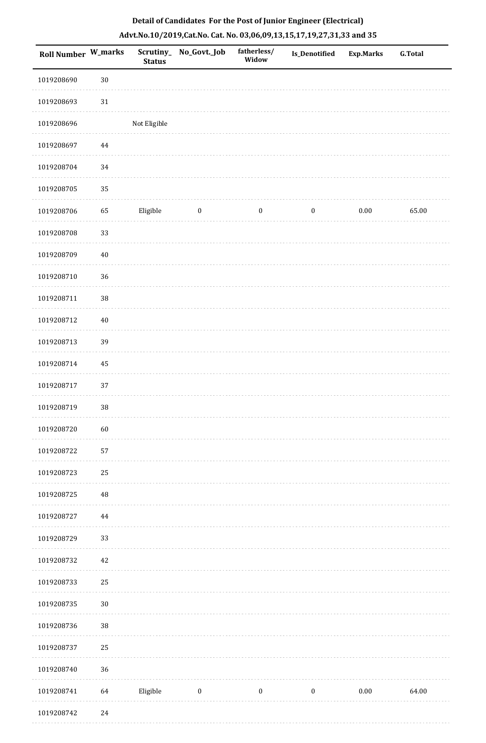| <b>Roll Number W_marks</b> |          | <b>Status</b> | Scrutiny_No_Govt._Job | fatherless/<br>Widow | <b>Is_Denotified</b> | <b>Exp.Marks</b> | <b>G.Total</b> |
|----------------------------|----------|---------------|-----------------------|----------------------|----------------------|------------------|----------------|
| 1019208690                 | $30\,$   |               |                       |                      |                      |                  |                |
| 1019208693                 | $31\,$   |               |                       |                      |                      |                  |                |
| 1019208696                 |          | Not Eligible  |                       |                      |                      |                  |                |
| 1019208697                 | 44       |               |                       |                      |                      |                  |                |
| 1019208704                 | 34       |               |                       |                      |                      |                  |                |
| 1019208705                 | 35       |               |                       |                      |                      |                  |                |
| 1019208706                 | 65       | Eligible      | $\boldsymbol{0}$      | $\boldsymbol{0}$     | $\boldsymbol{0}$     | $0.00\,$         | 65.00          |
| 1019208708                 | 33       |               |                       |                      |                      |                  |                |
| 1019208709                 | $40\,$   |               |                       |                      |                      |                  |                |
| 1019208710                 | 36       |               |                       |                      |                      |                  |                |
| 1019208711                 | 38       |               |                       |                      |                      |                  |                |
| 1019208712                 | $40\,$   |               |                       |                      |                      |                  |                |
| 1019208713                 | 39       |               |                       |                      |                      |                  |                |
| 1019208714                 | 45       |               |                       |                      |                      |                  |                |
| 1019208717                 | 37       |               |                       |                      |                      |                  |                |
| 1019208719                 | $38\,$   |               |                       |                      |                      |                  |                |
| 1019208720                 | 60       |               |                       |                      |                      |                  |                |
| 1019208722                 | 57       |               |                       |                      |                      |                  |                |
| 1019208723                 | 25       |               |                       |                      |                      |                  |                |
| 1019208725                 | $\rm 48$ |               |                       |                      |                      |                  |                |
| 1019208727                 | 44       |               |                       |                      |                      |                  |                |
| 1019208729                 | 33       |               |                       |                      |                      |                  |                |
| 1019208732                 | $42\,$   |               |                       |                      |                      |                  |                |
| 1019208733                 | 25       |               |                       |                      |                      |                  |                |
| 1019208735                 | $30\,$   |               |                       |                      |                      |                  |                |
| 1019208736                 | 38       |               |                       |                      |                      |                  |                |
| 1019208737                 | 25       |               |                       |                      |                      |                  |                |
| 1019208740                 | 36       |               |                       |                      |                      |                  |                |
| 1019208741                 | 64       | Eligible      | $\boldsymbol{0}$      | $\boldsymbol{0}$     | $\boldsymbol{0}$     | $0.00\,$         | 64.00          |
| 1019208742                 | $24\,$   |               |                       |                      |                      |                  |                |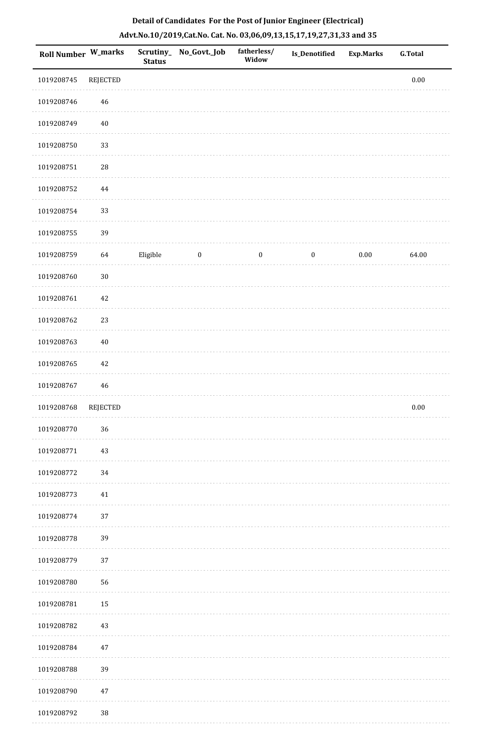| Roll Number W_marks |                 | <b>Status</b> | Scrutiny_ No_Govt._Job | fatherless/<br>Widow | Is_Denotified    | <b>Exp.Marks</b> | G.Total  |
|---------------------|-----------------|---------------|------------------------|----------------------|------------------|------------------|----------|
| 1019208745          | <b>REJECTED</b> |               |                        |                      |                  |                  | $0.00\,$ |
| 1019208746          | 46              |               |                        |                      |                  |                  |          |
| 1019208749          | $40\,$          |               |                        |                      |                  |                  |          |
| 1019208750          | 33              |               |                        |                      |                  |                  |          |
| 1019208751          | 28              |               |                        |                      |                  |                  |          |
| 1019208752          | $\bf 44$        |               |                        |                      |                  |                  |          |
| 1019208754          | 33              |               |                        |                      |                  |                  |          |
| 1019208755          | 39              |               |                        |                      |                  |                  |          |
| 1019208759          | 64              | Eligible      | $\boldsymbol{0}$       | $\boldsymbol{0}$     | $\boldsymbol{0}$ | $0.00\,$         | 64.00    |
| 1019208760          | $30\,$          |               |                        |                      |                  |                  |          |
| 1019208761          | 42              |               |                        |                      |                  |                  |          |
| 1019208762          | 23              |               |                        |                      |                  |                  |          |
| 1019208763          | $40\,$          |               |                        |                      |                  |                  |          |
| 1019208765          | 42              |               |                        |                      |                  |                  |          |
| 1019208767          | 46              |               |                        |                      |                  |                  |          |
| 1019208768          | <b>REJECTED</b> |               |                        |                      |                  |                  | $0.00\,$ |
| 1019208770          | 36              |               |                        |                      |                  |                  |          |
| 1019208771          | 43              |               |                        |                      |                  |                  |          |
| 1019208772          | 34              |               |                        |                      |                  |                  |          |
| 1019208773          | 41              |               |                        |                      |                  |                  |          |
| 1019208774          | 37              |               |                        |                      |                  |                  |          |
| 1019208778          | 39              |               |                        |                      |                  |                  |          |
| 1019208779          | 37              |               |                        |                      |                  |                  |          |
| 1019208780          | 56              |               |                        |                      |                  |                  |          |
| 1019208781          | 15              |               |                        |                      |                  |                  |          |
| 1019208782          | 43              |               |                        |                      |                  |                  |          |
| 1019208784          | 47              |               |                        |                      |                  |                  |          |
| 1019208788          | 39              |               |                        |                      |                  |                  |          |
| 1019208790          | $47\,$          |               |                        |                      |                  |                  |          |
| 1019208792          | $38\,$          |               |                        |                      |                  |                  |          |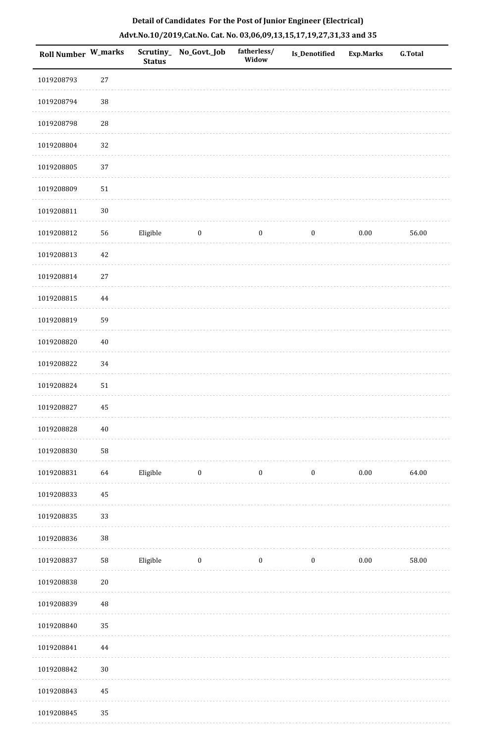|  | Detail of Candidates For the Post of Junior Engineer (Electrical)     |  |
|--|-----------------------------------------------------------------------|--|
|  | Advt.No.10/2019,Cat.No. Cat. No. 03,06,09,13,15,17,19,27,31,33 and 35 |  |

| Roll Number W_marks |            | <b>Status</b> | Scrutiny_ No_Govt._Job  | fatherless/<br>Widow | Is_Denotified    | <b>Exp.Marks</b> | <b>G.Total</b> |
|---------------------|------------|---------------|-------------------------|----------------------|------------------|------------------|----------------|
| 1019208793          | $27\,$     |               |                         |                      |                  |                  |                |
| 1019208794          | $38\,$     |               |                         |                      |                  |                  |                |
| 1019208798          | ${\bf 28}$ |               |                         |                      |                  |                  |                |
| 1019208804          | 32         |               |                         |                      |                  |                  |                |
| 1019208805          | 37         |               |                         |                      |                  |                  |                |
| 1019208809          | $51\,$     |               |                         |                      |                  |                  |                |
| 1019208811          | $30\,$     |               |                         |                      |                  |                  |                |
| 1019208812          | 56         | Eligible      | $\boldsymbol{0}$        | $\bf{0}$             | $\boldsymbol{0}$ | $0.00\,$         | 56.00          |
| 1019208813          | $42\,$     |               |                         |                      |                  |                  |                |
| 1019208814          | $27\,$     |               |                         |                      |                  |                  |                |
| 1019208815          | $\bf 44$   |               |                         |                      |                  |                  |                |
| 1019208819          | 59         |               |                         |                      |                  |                  |                |
| 1019208820          | $40\,$     |               |                         |                      |                  |                  |                |
| 1019208822          | 34         |               |                         |                      |                  |                  |                |
| 1019208824          | $51\,$     |               |                         |                      |                  |                  |                |
| 1019208827          | 45         |               |                         |                      |                  |                  |                |
| 1019208828          | $40\,$     |               |                         |                      |                  |                  |                |
| 1019208830          | 58         |               |                         |                      |                  |                  |                |
| 1019208831          | 64         | Eligible      | $\overline{\mathbf{0}}$ | $\boldsymbol{0}$     | $\boldsymbol{0}$ | $0.00\,$         | 64.00          |
| 1019208833          | 45         |               |                         |                      |                  |                  |                |
| 1019208835          | 33         |               |                         |                      |                  |                  |                |
| 1019208836          | 38         |               |                         |                      |                  |                  |                |
| 1019208837          | ${\bf 58}$ | Eligible      | $\boldsymbol{0}$        | $\boldsymbol{0}$     | $\boldsymbol{0}$ | $0.00\,$         | 58.00          |
| 1019208838          | $20\,$     |               |                         |                      |                  |                  |                |
| 1019208839          | $\rm 48$   |               |                         |                      |                  |                  |                |
| 1019208840          | 35         |               |                         |                      |                  |                  |                |
| 1019208841          | 44         |               |                         |                      |                  |                  |                |
| 1019208842          | $30\,$     |               |                         |                      |                  |                  |                |
| 1019208843          | 45         |               |                         |                      |                  |                  |                |
| 1019208845          | 35         |               |                         |                      |                  |                  |                |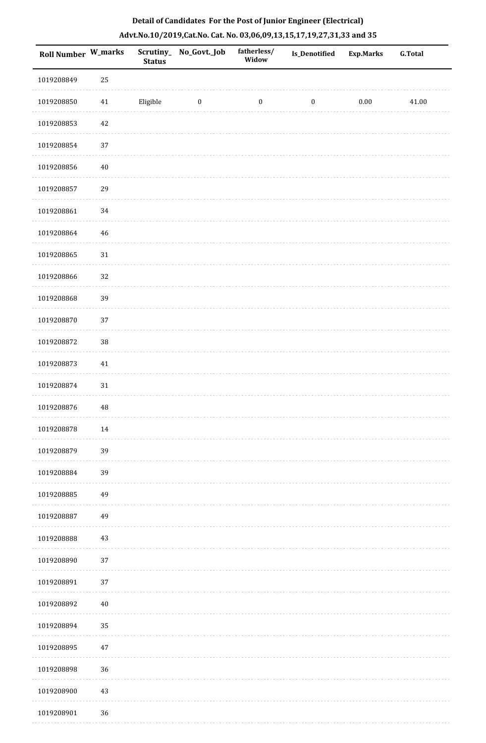|  |  | Detail of Candidates For the Post of Junior Engineer (Electrical)     |  |
|--|--|-----------------------------------------------------------------------|--|
|  |  | Advt.No.10/2019,Cat.No. Cat. No. 03,06,09,13,15,17,19,27,31,33 and 35 |  |

| Roll Number W_marks |             | <b>Status</b> | Scrutiny_No_Govt._Job | fatherless/<br>Widow | <b>Is_Denotified</b> | <b>Exp.Marks</b> | <b>G.Total</b> |
|---------------------|-------------|---------------|-----------------------|----------------------|----------------------|------------------|----------------|
| 1019208849          | 25          |               |                       |                      |                      |                  |                |
| 1019208850          | $41\,$      | Eligible      | $\boldsymbol{0}$      | $\boldsymbol{0}$     | $\boldsymbol{0}$     | $0.00\,$         | 41.00          |
| 1019208853          | $42\,$      |               |                       |                      |                      |                  |                |
| 1019208854          | 37          |               |                       |                      |                      |                  |                |
| 1019208856          | $40\,$      |               |                       |                      |                      |                  |                |
| 1019208857          | 29          |               |                       |                      |                      |                  |                |
| 1019208861          | 34          |               |                       |                      |                      |                  |                |
| 1019208864          | $\sqrt{46}$ |               |                       |                      |                      |                  |                |
| 1019208865          | $31\,$      |               |                       |                      |                      |                  |                |
| 1019208866          | 32          |               |                       |                      |                      |                  |                |
| 1019208868          | 39          |               |                       |                      |                      |                  |                |
| 1019208870          | 37          |               |                       |                      |                      |                  |                |
| 1019208872          | 38          |               |                       |                      |                      |                  |                |
| 1019208873          | $41\,$      |               |                       |                      |                      |                  |                |
| 1019208874          | $31\,$      |               |                       |                      |                      |                  |                |
| 1019208876          | $\rm 48$    |               |                       |                      |                      |                  |                |
| 1019208878          | 14          |               |                       |                      |                      |                  |                |
| 1019208879          | 39          |               |                       |                      |                      |                  |                |
| 1019208884          | 39          |               |                       |                      |                      |                  |                |
| 1019208885          | 49          |               |                       |                      |                      |                  |                |
| 1019208887          | 49          |               |                       |                      |                      |                  |                |
| 1019208888          | 43          |               |                       |                      |                      |                  |                |
| 1019208890          | 37          |               |                       |                      |                      |                  |                |
| 1019208891          | 37          |               |                       |                      |                      |                  |                |
| 1019208892          | $40\,$      |               |                       |                      |                      |                  |                |
| 1019208894          | 35          |               |                       |                      |                      |                  |                |
| 1019208895          | $47\,$      |               |                       |                      |                      |                  |                |
| 1019208898          | 36          |               |                       |                      |                      |                  |                |
| 1019208900          | 43          |               |                       |                      |                      |                  |                |
| 1019208901          | 36          |               |                       |                      |                      |                  |                |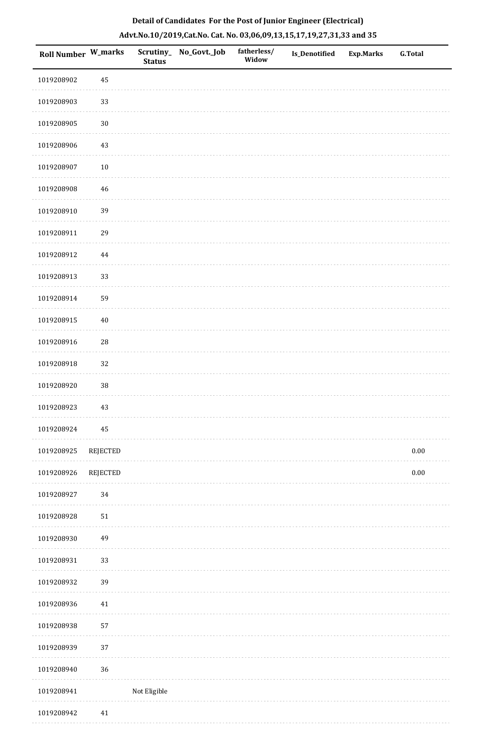| Roll Number W_marks |                 | Scrutiny_<br><b>Status</b> | No_Govt._Job | fatherless/<br>Widow | <b>Is_Denotified</b> | Exp.Marks | <b>G.Total</b> |
|---------------------|-----------------|----------------------------|--------------|----------------------|----------------------|-----------|----------------|
| 1019208902          | 45              |                            |              |                      |                      |           |                |
| 1019208903          | 33              |                            |              |                      |                      |           |                |
| 1019208905          | $30\,$          |                            |              |                      |                      |           |                |
| 1019208906          | $43\,$          |                            |              |                      |                      |           |                |
| 1019208907          | $10\,$          |                            |              |                      |                      |           |                |
| 1019208908          | 46              |                            |              |                      |                      |           |                |
| 1019208910          | 39              |                            |              |                      |                      |           |                |
| 1019208911          | 29              |                            |              |                      |                      |           |                |
| 1019208912          | $\bf 44$        |                            |              |                      |                      |           |                |
| 1019208913          | 33              |                            |              |                      |                      |           |                |
| 1019208914          | 59              |                            |              |                      |                      |           |                |
| 1019208915          | $40\,$          |                            |              |                      |                      |           |                |
| 1019208916          | $28\,$          |                            |              |                      |                      |           |                |
| 1019208918          | 32              |                            |              |                      |                      |           |                |
| 1019208920          | 38              |                            |              |                      |                      |           |                |
| 1019208923          | $43\,$          |                            |              |                      |                      |           |                |
| 1019208924          | 45              |                            |              |                      |                      |           |                |
| 1019208925          | <b>REJECTED</b> |                            |              |                      |                      |           | $0.00\,$       |
| 1019208926          | REJECTED        |                            |              |                      |                      |           | $0.00\,$       |
| 1019208927          | 34              |                            |              |                      |                      |           |                |
| 1019208928          | $51\,$          |                            |              |                      |                      |           |                |
| 1019208930          | 49              |                            |              |                      |                      |           |                |
| 1019208931          | 33              |                            |              |                      |                      |           |                |
| 1019208932          | 39              |                            |              |                      |                      |           |                |
| 1019208936          | $41\,$          |                            |              |                      |                      |           |                |
| 1019208938          | 57              |                            |              |                      |                      |           |                |
| 1019208939          | 37              |                            |              |                      |                      |           |                |
| 1019208940          | 36              |                            |              |                      |                      |           |                |
| 1019208941          |                 | Not Eligible               |              |                      |                      |           |                |

# **Detail of Candidates For the Post of Junior Engineer (Electrical) Advt.No.10/2019,Cat.No. Cat. No. 03,06,09,13,15,17,19,27,31,33 and 35**

1019208942 41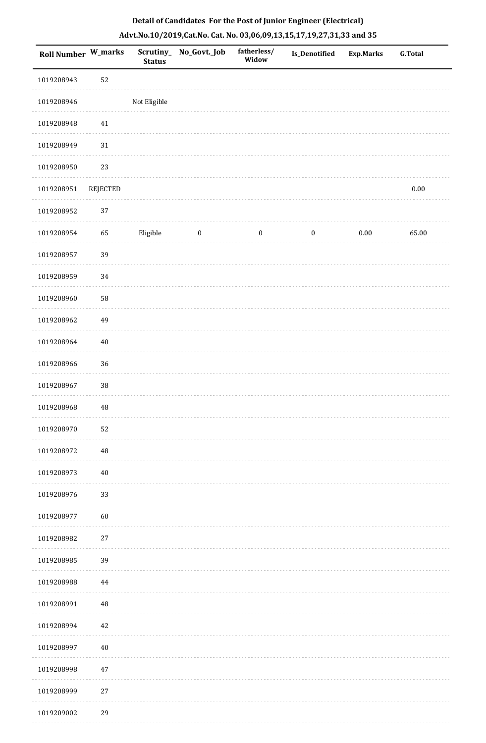| <b>Roll Number W_marks</b> |          | Scrutiny_<br><b>Status</b> | No_Govt._Job     | fatherless/<br>Widow | Is_Denotified    | <b>Exp.Marks</b> | <b>G.Total</b> |
|----------------------------|----------|----------------------------|------------------|----------------------|------------------|------------------|----------------|
| 1019208943                 | 52       |                            |                  |                      |                  |                  |                |
| 1019208946                 |          | Not Eligible               |                  |                      |                  |                  |                |
| 1019208948                 | $41\,$   |                            |                  |                      |                  |                  |                |
| 1019208949                 | 31       |                            |                  |                      |                  |                  |                |
| 1019208950                 | 23       |                            |                  |                      |                  |                  |                |
| 1019208951                 | REJECTED |                            |                  |                      |                  |                  | $0.00\,$       |
| 1019208952                 | $37\,$   |                            |                  |                      |                  |                  |                |
| 1019208954                 | 65       | Eligible                   | $\boldsymbol{0}$ | $\boldsymbol{0}$     | $\boldsymbol{0}$ | $0.00\,$         | 65.00          |
| 1019208957                 | 39       |                            |                  |                      |                  |                  |                |
| 1019208959                 | 34       |                            |                  |                      |                  |                  |                |
| 1019208960                 | 58       |                            |                  |                      |                  |                  |                |
| 1019208962                 | 49       |                            |                  |                      |                  |                  |                |
| 1019208964                 | $40\,$   |                            |                  |                      |                  |                  |                |
| 1019208966                 | 36       |                            |                  |                      |                  |                  |                |
| 1019208967                 | $38\,$   |                            |                  |                      |                  |                  |                |
| 1019208968                 | $\rm 48$ |                            |                  |                      |                  |                  |                |
| 1019208970                 | 52       |                            |                  |                      |                  |                  |                |
| 1019208972                 | $\rm 48$ |                            |                  |                      |                  |                  |                |
| 1019208973                 | $40\,$   |                            |                  |                      |                  |                  |                |
| 1019208976                 | 33       |                            |                  |                      |                  |                  |                |
| 1019208977                 | 60       |                            |                  |                      |                  |                  |                |
| 1019208982                 | $27\,$   |                            |                  |                      |                  |                  |                |
| 1019208985                 | 39       |                            |                  |                      |                  |                  |                |
| 1019208988                 | $\bf 44$ |                            |                  |                      |                  |                  |                |
| 1019208991                 | $\rm 48$ |                            |                  |                      |                  |                  |                |
| 1019208994                 | $42\,$   |                            |                  |                      |                  |                  |                |
| 1019208997                 | $40\,$   |                            |                  |                      |                  |                  |                |
| 1019208998                 | $47\,$   |                            |                  |                      |                  |                  |                |
| 1019208999                 | $27\,$   |                            |                  |                      |                  |                  |                |
| 1019209002                 | 29       |                            |                  |                      |                  |                  |                |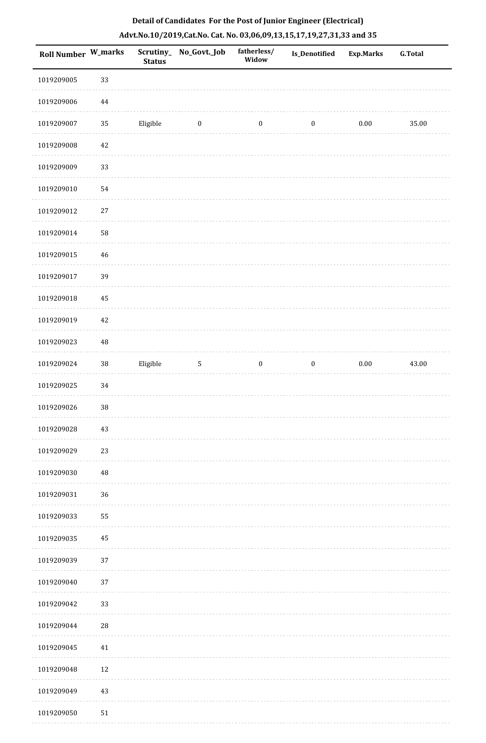|  |  | Detail of Candidates For the Post of Junior Engineer (Electrical)     |  |
|--|--|-----------------------------------------------------------------------|--|
|  |  | Advt.No.10/2019,Cat.No. Cat. No. 03,06,09,13,15,17,19,27,31,33 and 35 |  |

| <b>Roll Number W_marks</b> |          | <b>Status</b> | Scrutiny_ No_Govt._Job | fatherless/<br>Widow | Is_Denotified    | <b>Exp.Marks</b> | <b>G.Total</b> |
|----------------------------|----------|---------------|------------------------|----------------------|------------------|------------------|----------------|
| 1019209005                 | 33       |               |                        |                      |                  |                  |                |
| 1019209006                 | $\bf 44$ |               |                        |                      |                  |                  |                |
| 1019209007                 | $35\,$   | Eligible      | $\bf{0}$               | $\boldsymbol{0}$     | $\boldsymbol{0}$ | $0.00\,$         | 35.00          |
| 1019209008                 | $42\,$   |               |                        |                      |                  |                  |                |
| 1019209009                 | 33       |               |                        |                      |                  |                  |                |
| 1019209010                 | 54       |               |                        |                      |                  |                  |                |
| 1019209012                 | 27       |               |                        |                      |                  |                  |                |
| 1019209014                 | 58       |               |                        |                      |                  |                  |                |
| 1019209015                 | 46       |               |                        |                      |                  |                  |                |
| 1019209017                 | 39       |               |                        |                      |                  |                  |                |
| 1019209018                 | 45       |               |                        |                      |                  |                  |                |
| 1019209019                 | 42       |               |                        |                      |                  |                  |                |
| 1019209023                 | $\rm 48$ |               |                        |                      |                  |                  |                |
| 1019209024                 | $38\,$   | Eligible      | $\mathsf S$            | $\boldsymbol{0}$     | $\boldsymbol{0}$ | $0.00\,$         | 43.00          |
| 1019209025                 | 34       |               |                        |                      |                  |                  |                |
| 1019209026                 | 38       |               |                        |                      |                  |                  |                |
| 1019209028                 | 43       |               |                        |                      |                  |                  |                |
| 1019209029                 | 23       |               |                        |                      |                  |                  |                |
| 1019209030                 | $\rm 48$ |               |                        |                      |                  |                  |                |
| 1019209031                 | 36       |               |                        |                      |                  |                  |                |
| 1019209033                 | 55       |               |                        |                      |                  |                  |                |
| 1019209035                 | 45       |               |                        |                      |                  |                  |                |
| 1019209039                 | 37       |               |                        |                      |                  |                  |                |
| 1019209040                 | 37       |               |                        |                      |                  |                  |                |
| 1019209042                 | 33       |               |                        |                      |                  |                  |                |
| 1019209044                 | 28       |               |                        |                      |                  |                  |                |
| 1019209045                 | 41       |               |                        |                      |                  |                  |                |
| 1019209048                 | 12       |               |                        |                      |                  |                  |                |
| 1019209049                 | 43       |               |                        |                      |                  |                  |                |
| 1019209050                 | 51       |               |                        |                      |                  |                  |                |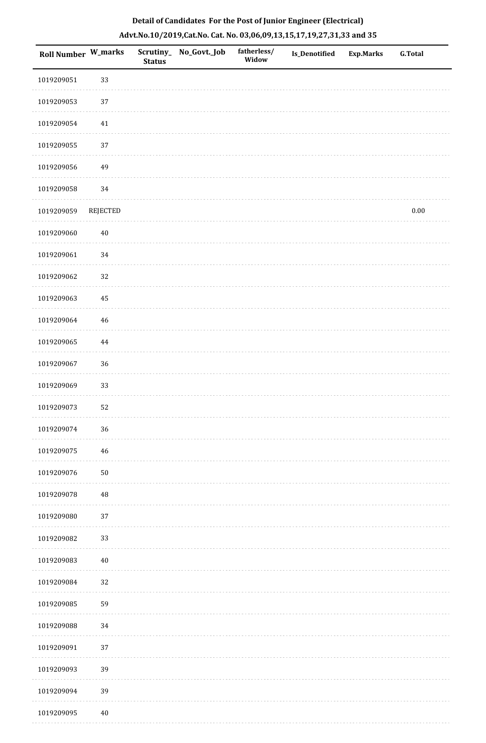|  | Detail of Candidates For the Post of Junior Engineer (Electrical)     |  |
|--|-----------------------------------------------------------------------|--|
|  | Advt.No.10/2019,Cat.No. Cat. No. 03,06,09,13,15,17,19,27,31,33 and 35 |  |

| <b>Roll Number W_marks</b> |                 | <b>Status</b> | Scrutiny_ No_Govt._Job | fatherless/<br>Widow | Is_Denotified | <b>Exp.Marks</b> | <b>G.Total</b> |
|----------------------------|-----------------|---------------|------------------------|----------------------|---------------|------------------|----------------|
| 1019209051                 | 33              |               |                        |                      |               |                  |                |
| 1019209053                 | 37              |               |                        |                      |               |                  |                |
| 1019209054                 | $41\,$          |               |                        |                      |               |                  |                |
| 1019209055                 | 37              |               |                        |                      |               |                  |                |
| 1019209056                 | 49              |               |                        |                      |               |                  |                |
| 1019209058                 | 34              |               |                        |                      |               |                  |                |
| 1019209059                 | <b>REJECTED</b> |               |                        |                      |               |                  | 0.00           |
| 1019209060                 | $40\,$          |               |                        |                      |               |                  |                |
| 1019209061                 | 34              |               |                        |                      |               |                  |                |
| 1019209062                 | 32              |               |                        |                      |               |                  |                |
| 1019209063                 | 45              |               |                        |                      |               |                  |                |
| 1019209064                 | $46\,$          |               |                        |                      |               |                  |                |
| 1019209065                 | $\bf 44$        |               |                        |                      |               |                  |                |
| 1019209067                 | 36              |               |                        |                      |               |                  |                |
| 1019209069                 | 33              |               |                        |                      |               |                  |                |
| 1019209073                 | 52              |               |                        |                      |               |                  |                |
| 1019209074                 | 36              |               |                        |                      |               |                  |                |
| 1019209075                 | 46              |               |                        |                      |               |                  |                |
| 1019209076                 | $50\,$          |               |                        |                      |               |                  |                |
| 1019209078                 | 48              |               |                        |                      |               |                  |                |
| 1019209080                 | 37              |               |                        |                      |               |                  |                |
| 1019209082                 | 33              |               |                        |                      |               |                  |                |
| 1019209083                 | $40\,$          |               |                        |                      |               |                  |                |
| 1019209084                 | 32              |               |                        |                      |               |                  |                |
| 1019209085                 | 59              |               |                        |                      |               |                  |                |
| 1019209088                 | 34              |               |                        |                      |               |                  |                |
| 1019209091                 | 37              |               |                        |                      |               |                  |                |
| 1019209093                 | 39              |               |                        |                      |               |                  |                |
| 1019209094                 | 39              |               |                        |                      |               |                  |                |
| 1019209095                 | $40\,$          |               |                        |                      |               |                  |                |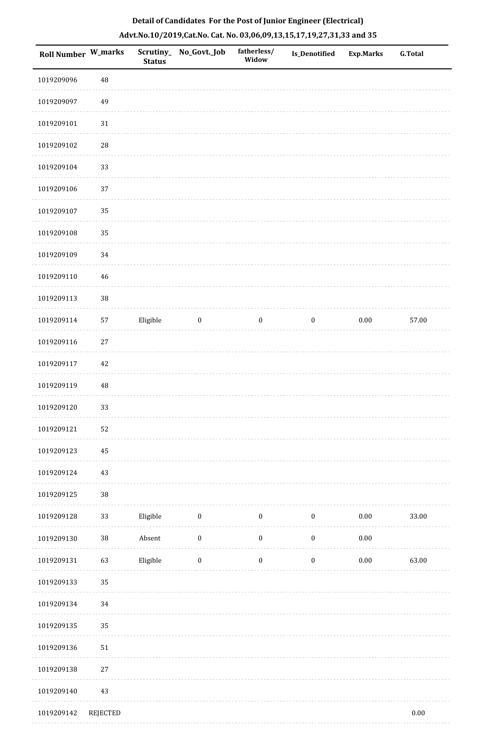| Roll Number W_marks |                 | <b>Status</b> | Scrutiny_No_Govt._Job | fatherless/<br>Widow | <b>Is_Denotified</b> | <b>Exp.Marks</b> | <b>G.Total</b> |
|---------------------|-----------------|---------------|-----------------------|----------------------|----------------------|------------------|----------------|
| 1019209096          | $\rm 48$        |               |                       |                      |                      |                  |                |
| 1019209097          | 49              |               |                       |                      |                      |                  |                |
| 1019209101          | $31\,$          |               |                       |                      |                      |                  |                |
| 1019209102          | $28\,$          |               |                       |                      |                      |                  |                |
| 1019209104          | 33              |               |                       |                      |                      |                  |                |
| 1019209106          | 37              |               |                       |                      |                      |                  |                |
| 1019209107          | 35              |               |                       |                      |                      |                  |                |
| 1019209108          | 35              |               |                       |                      |                      |                  |                |
| 1019209109          | 34              |               |                       |                      |                      |                  |                |
| 1019209110          | 46              |               |                       |                      |                      |                  |                |
| 1019209113          | $38\,$          |               |                       |                      |                      |                  |                |
| 1019209114          | 57              | Eligible      | $\boldsymbol{0}$      | $\boldsymbol{0}$     | $\boldsymbol{0}$     | $0.00\,$         | 57.00          |
| 1019209116          | $27\,$          |               |                       |                      |                      |                  |                |
| 1019209117          | $42\,$          |               |                       |                      |                      |                  |                |
| 1019209119          | 48              |               |                       |                      |                      |                  |                |
| 1019209120          | 33              |               |                       |                      |                      |                  |                |
| 1019209121          | 52              |               |                       |                      |                      |                  |                |
| 1019209123          | 45              |               |                       |                      |                      |                  |                |
| 1019209124          | $43\,$          |               |                       |                      |                      |                  |                |
| 1019209125          | $38\,$          |               |                       |                      |                      |                  |                |
| 1019209128          | 33              | Eligible      | $\boldsymbol{0}$      | $\boldsymbol{0}$     | $\boldsymbol{0}$     | $0.00\,$         | 33.00          |
| 1019209130          | $38\,$          | Absent        | $\boldsymbol{0}$      | $\boldsymbol{0}$     | $\boldsymbol{0}$     | $0.00\,$         |                |
| 1019209131          | 63              | Eligible      | $\boldsymbol{0}$      | $\boldsymbol{0}$     | $\boldsymbol{0}$     | $0.00\,$         | 63.00          |
| 1019209133          | 35              |               |                       |                      |                      |                  |                |
| 1019209134          | $34\,$          |               |                       |                      |                      |                  |                |
| 1019209135          | 35              |               |                       |                      |                      |                  |                |
| 1019209136          | 51              |               |                       |                      |                      |                  |                |
| 1019209138          | 27              |               |                       |                      |                      |                  |                |
| 1019209140          | $43\,$          |               |                       |                      |                      |                  |                |
| 1019209142          | <b>REJECTED</b> |               |                       |                      |                      |                  | $0.00\,$       |

. . . . . . . .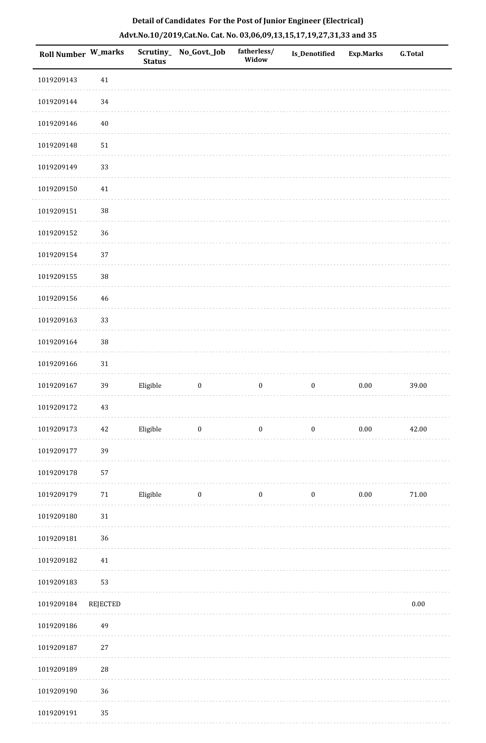| <b>Roll Number W_marks</b> |                 | <b>Status</b> | Scrutiny_No_Govt._Job | fatherless/<br>Widow | Is_Denotified    | <b>Exp.Marks</b> | <b>G.Total</b> |
|----------------------------|-----------------|---------------|-----------------------|----------------------|------------------|------------------|----------------|
| 1019209143                 | 41              |               |                       |                      |                  |                  |                |
| 1019209144                 | 34              |               |                       |                      |                  |                  |                |
| 1019209146                 | $40\,$          |               |                       |                      |                  |                  |                |
| 1019209148                 | 51              |               |                       |                      |                  |                  |                |
| 1019209149                 | 33              |               |                       |                      |                  |                  |                |
| 1019209150                 | $41\,$          |               |                       |                      |                  |                  |                |
| 1019209151                 | $38\,$          |               |                       |                      |                  |                  |                |
| 1019209152                 | 36              |               |                       |                      |                  |                  |                |
| 1019209154                 | 37              |               |                       |                      |                  |                  |                |
| 1019209155                 | $38\,$          |               |                       |                      |                  |                  |                |
| 1019209156                 | 46              |               |                       |                      |                  |                  |                |
| 1019209163                 | 33              |               |                       |                      |                  |                  |                |
| 1019209164                 | $38\,$          |               |                       |                      |                  |                  |                |
| 1019209166                 | $31\,$          |               |                       |                      |                  |                  |                |
| 1019209167                 | 39              | Eligible      | $\boldsymbol{0}$      | $\boldsymbol{0}$     | $\boldsymbol{0}$ | $0.00\,$         | 39.00          |
| 1019209172                 | $43\,$          |               |                       |                      |                  |                  |                |
| 1019209173                 | $42\,$          | Eligible      | $\bf{0}$              | $\boldsymbol{0}$     | $\boldsymbol{0}$ | $0.00\,$         | 42.00          |
| 1019209177                 | 39              |               |                       |                      |                  |                  |                |
| 1019209178                 | 57              |               |                       |                      |                  |                  |                |
| 1019209179                 | $71\,$          | Eligible      | $\bf{0}$              | $\boldsymbol{0}$     | $\boldsymbol{0}$ | 0.00             | $71.00\,$      |
| 1019209180                 | $31\,$          |               |                       |                      |                  |                  |                |
| 1019209181                 | 36              |               |                       |                      |                  |                  |                |
| 1019209182                 | 41              |               |                       |                      |                  |                  |                |
| 1019209183                 | 53              |               |                       |                      |                  |                  |                |
| 1019209184                 | <b>REJECTED</b> |               |                       |                      |                  |                  | $0.00\,$       |
| 1019209186                 | 49              |               |                       |                      |                  |                  |                |
| 1019209187                 | $27\,$          |               |                       |                      |                  |                  |                |
| 1019209189                 | 28              |               |                       |                      |                  |                  |                |
| 1019209190                 | 36              |               |                       |                      |                  |                  |                |
| 1019209191                 | 35              |               |                       |                      |                  |                  |                |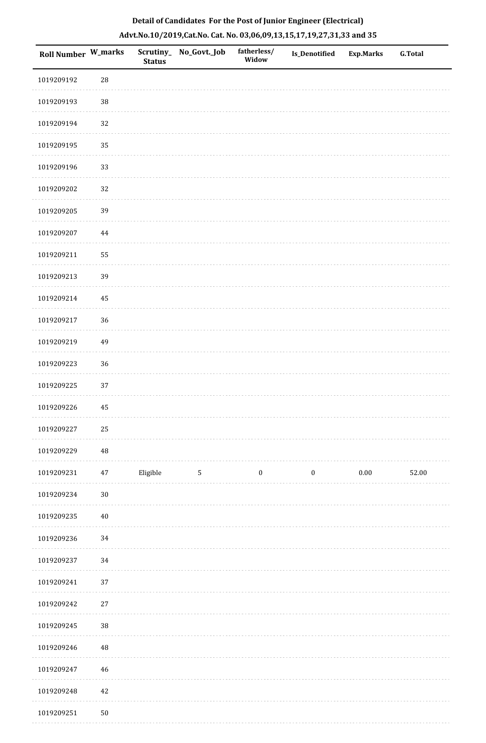| Roll Number W_marks |             | <b>Status</b> | Scrutiny_ No_Govt._Job | fatherless/<br>Widow | Is_Denotified    | <b>Exp.Marks</b> | G.Total |
|---------------------|-------------|---------------|------------------------|----------------------|------------------|------------------|---------|
| 1019209192          | $\sqrt{28}$ |               |                        |                      |                  |                  |         |
| 1019209193          | $38\,$      |               |                        |                      |                  |                  |         |
| 1019209194          | 32          |               |                        |                      |                  |                  |         |
| 1019209195          | 35          |               |                        |                      |                  |                  |         |
| 1019209196          | 33          |               |                        |                      |                  |                  |         |
| 1019209202          | 32          |               |                        |                      |                  |                  |         |
| 1019209205          | 39          |               |                        |                      |                  |                  |         |
| 1019209207          | 44          |               |                        |                      |                  |                  |         |
| 1019209211          | 55          |               |                        |                      |                  |                  |         |
| 1019209213          | 39          |               |                        |                      |                  |                  |         |
| 1019209214          | 45          |               |                        |                      |                  |                  |         |
| 1019209217          | 36          |               |                        |                      |                  |                  |         |
| 1019209219          | 49          |               |                        |                      |                  |                  |         |
| 1019209223          | 36          |               |                        |                      |                  |                  |         |
| 1019209225          | 37          |               |                        |                      |                  |                  |         |
| 1019209226          | 45          |               |                        |                      |                  |                  |         |
| 1019209227          | 25          |               |                        |                      |                  |                  |         |
| 1019209229          | $\sqrt{48}$ |               |                        |                      |                  |                  |         |
| 1019209231          | 47          | Eligible      | 5                      | $\boldsymbol{0}$     | $\boldsymbol{0}$ | $0.00\,$         | 52.00   |
| 1019209234          | $30\,$      |               |                        |                      |                  |                  |         |
| 1019209235          | $40\,$      |               |                        |                      |                  |                  |         |
| 1019209236          | 34          |               |                        |                      |                  |                  |         |
| 1019209237          | 34          |               |                        |                      |                  |                  |         |
| 1019209241          | $37\,$      |               |                        |                      |                  |                  |         |
| 1019209242          | $27\,$      |               |                        |                      |                  |                  |         |
| 1019209245          | $38\,$      |               |                        |                      |                  |                  |         |
| 1019209246          | $\rm 48$    |               |                        |                      |                  |                  |         |
| 1019209247          | 46          |               |                        |                      |                  |                  |         |
| 1019209248          | $42\,$      |               |                        |                      |                  |                  |         |
|                     |             |               |                        |                      |                  |                  |         |

# **Detail of Candidates For the Post of Junior Engineer (Electrical) Advt.No.10/2019,Cat.No. Cat. No. 03,06,09,13,15,17,19,27,31,33 and 35**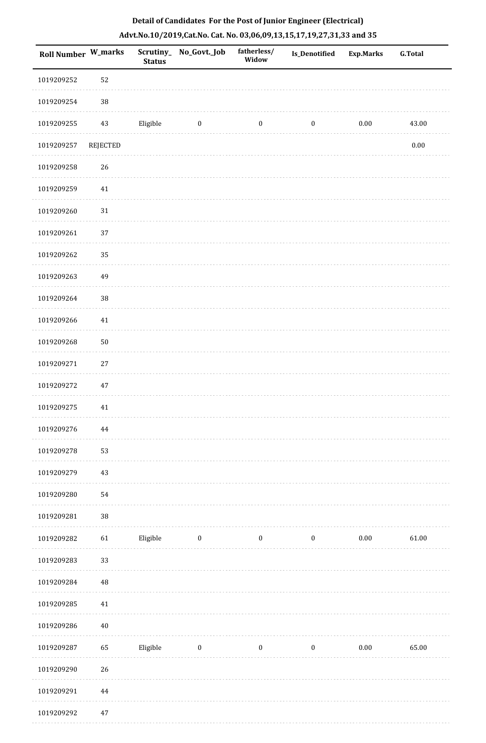| <b>Roll Number W_marks</b> |          | <b>Status</b> | Scrutiny_ No_Govt._Job | fatherless/<br>Widow | <b>Is_Denotified</b> | <b>Exp.Marks</b> | <b>G.Total</b> |
|----------------------------|----------|---------------|------------------------|----------------------|----------------------|------------------|----------------|
| 1019209252                 | 52       |               |                        |                      |                      |                  |                |
| 1019209254                 | $38\,$   |               |                        |                      |                      |                  |                |
| 1019209255                 | $43\,$   | Eligible      | $\bf{0}$               | $\boldsymbol{0}$     | $\boldsymbol{0}$     | $0.00\,$         | 43.00          |
| 1019209257                 | REJECTED |               |                        |                      |                      |                  | $0.00\,$       |
| 1019209258                 | $26\,$   |               |                        |                      |                      |                  |                |
| 1019209259                 | 41       |               |                        |                      |                      |                  |                |
| 1019209260                 | $31\,$   |               |                        |                      |                      |                  |                |
| 1019209261                 | 37       |               |                        |                      |                      |                  |                |
| 1019209262                 | 35       |               |                        |                      |                      |                  |                |
| 1019209263                 | 49       |               |                        |                      |                      |                  |                |
| 1019209264                 | 38       |               |                        |                      |                      |                  |                |
| 1019209266                 | 41       |               |                        |                      |                      |                  |                |
| 1019209268                 | 50       |               |                        |                      |                      |                  |                |
| 1019209271                 | $27\,$   |               |                        |                      |                      |                  |                |
| 1019209272                 | 47       |               |                        |                      |                      |                  |                |
| 1019209275                 | $41\,$   |               |                        |                      |                      |                  |                |
| 1019209276                 | $\bf 44$ |               |                        |                      |                      |                  |                |
| 1019209278                 | 53       |               |                        |                      |                      |                  |                |
| 1019209279                 | 43       |               |                        |                      |                      |                  |                |
| 1019209280                 | 54       |               |                        |                      |                      |                  |                |
| 1019209281                 | $38\,$   |               |                        |                      |                      |                  |                |
| 1019209282                 | 61       | Eligible      | $\boldsymbol{0}$       | $\boldsymbol{0}$     | $\boldsymbol{0}$     | $0.00\,$         | 61.00          |
| 1019209283                 | 33       |               |                        |                      |                      |                  |                |
| 1019209284                 | $\rm 48$ |               |                        |                      |                      |                  |                |
| 1019209285                 | $41\,$   |               |                        |                      |                      |                  |                |
| 1019209286                 | $40\,$   |               |                        |                      |                      |                  |                |
| 1019209287                 | 65       | Eligible      | $\bf{0}$               | $\boldsymbol{0}$     | $\boldsymbol{0}$     | $0.00\,$         | 65.00          |
| 1019209290                 | 26       |               |                        |                      |                      |                  |                |
| 1019209291                 | $\bf 44$ |               |                        |                      |                      |                  |                |
| 1019209292                 | $47\,$   |               |                        |                      |                      |                  |                |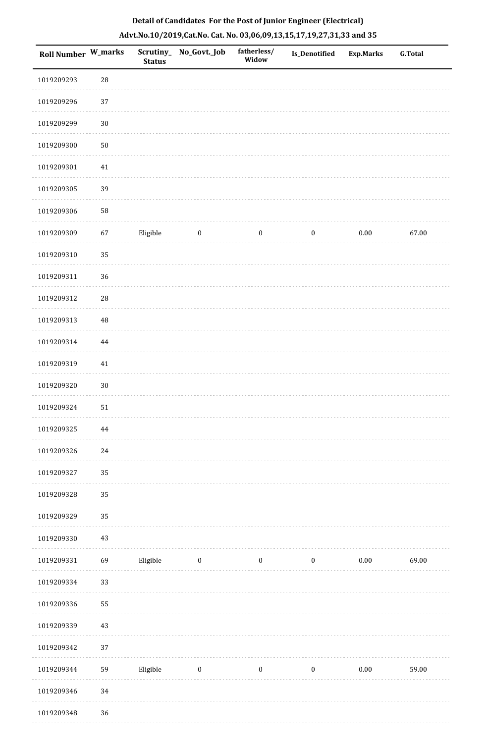|  | Detail of Candidates For the Post of Junior Engineer (Electrical)     |  |
|--|-----------------------------------------------------------------------|--|
|  | Advt.No.10/2019,Cat.No. Cat. No. 03,06,09,13,15,17,19,27,31,33 and 35 |  |

| Roll Number W_marks |            | <b>Status</b> | Scrutiny_ No_Govt._Job | fatherless/<br>Widow | Is_Denotified    | <b>Exp.Marks</b> | <b>G.Total</b> |
|---------------------|------------|---------------|------------------------|----------------------|------------------|------------------|----------------|
| 1019209293          | ${\bf 28}$ |               |                        |                      |                  |                  |                |
| 1019209296          | 37         |               |                        |                      |                  |                  |                |
| 1019209299          | $30\,$     |               |                        |                      |                  |                  |                |
| 1019209300          | $50\,$     |               |                        |                      |                  |                  |                |
| 1019209301          | 41         |               |                        |                      |                  |                  |                |
| 1019209305          | 39         |               |                        |                      |                  |                  |                |
| 1019209306          | 58         |               |                        |                      |                  |                  |                |
| 1019209309          | 67         | Eligible      | $\boldsymbol{0}$       | $\boldsymbol{0}$     | $\boldsymbol{0}$ | $0.00\,$         | 67.00          |
| 1019209310          | 35         |               |                        |                      |                  |                  |                |
| 1019209311          | 36         |               |                        |                      |                  |                  |                |
| 1019209312          | ${\bf 28}$ |               |                        |                      |                  |                  |                |
| 1019209313          | 48         |               |                        |                      |                  |                  |                |
| 1019209314          | 44         |               |                        |                      |                  |                  |                |
| 1019209319          | 41         |               |                        |                      |                  |                  |                |
| 1019209320          | $30\,$     |               |                        |                      |                  |                  |                |
| 1019209324          | $51\,$     |               |                        |                      |                  |                  |                |
| 1019209325          | $\bf 44$   |               |                        |                      |                  |                  |                |
| 1019209326          | 24         |               |                        |                      |                  |                  |                |
| 1019209327          | 35         |               |                        |                      |                  |                  |                |
| 1019209328          | 35         |               |                        |                      |                  |                  |                |
| 1019209329          | 35         |               |                        |                      |                  |                  |                |
| 1019209330          | $43\,$     |               |                        |                      |                  |                  |                |
| 1019209331          | 69         | Eligible      | $\boldsymbol{0}$       | $\boldsymbol{0}$     | $\boldsymbol{0}$ | $0.00\,$         | 69.00          |
| 1019209334          | 33         |               |                        |                      |                  |                  |                |
| 1019209336          | 55         |               |                        |                      |                  |                  |                |
| 1019209339          | 43         |               |                        |                      |                  |                  |                |
| 1019209342          | 37         |               |                        |                      |                  |                  |                |
| 1019209344          | 59         | Eligible      | $\boldsymbol{0}$       | $\boldsymbol{0}$     | $\boldsymbol{0}$ | $0.00\,$         | 59.00          |
| 1019209346          | 34         |               |                        |                      |                  |                  |                |
| 1019209348          | 36         |               |                        |                      |                  |                  |                |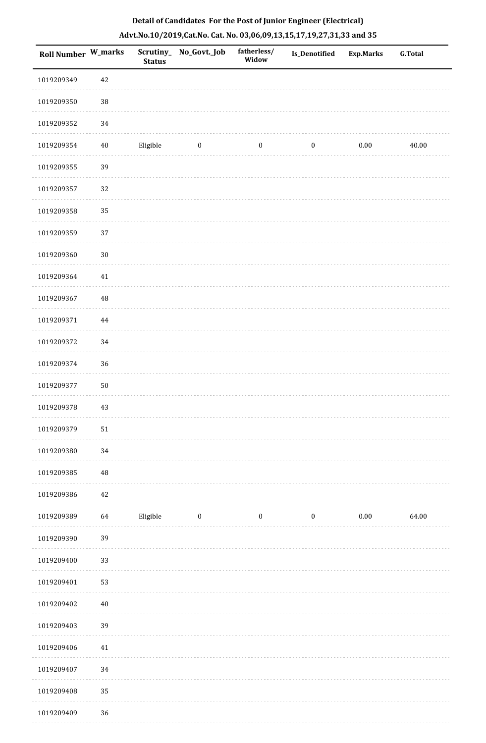| Roll Number W_marks |            | Scrutiny_<br><b>Status</b> | No_Govt._Job     | fatherless/<br>Widow | Is_Denotified    | <b>Exp.Marks</b> | <b>G.Total</b> |
|---------------------|------------|----------------------------|------------------|----------------------|------------------|------------------|----------------|
| 1019209349          | 42         |                            |                  |                      |                  |                  |                |
| 1019209350          | $38\,$     |                            |                  |                      |                  |                  |                |
| 1019209352          | $34\,$     |                            |                  |                      |                  |                  |                |
| 1019209354          | $40\,$     | Eligible                   | $\boldsymbol{0}$ | $\boldsymbol{0}$     | $\boldsymbol{0}$ | $0.00\,$         | 40.00          |
| 1019209355          | 39         |                            |                  |                      |                  |                  |                |
| 1019209357          | 32         |                            |                  |                      |                  |                  |                |
| 1019209358          | 35         |                            |                  |                      |                  |                  |                |
| 1019209359          | 37         |                            |                  |                      |                  |                  |                |
| 1019209360          | $30\,$     |                            |                  |                      |                  |                  |                |
| 1019209364          | $41\,$     |                            |                  |                      |                  |                  |                |
| 1019209367          | $\rm 48$   |                            |                  |                      |                  |                  |                |
| 1019209371          | 44         |                            |                  |                      |                  |                  |                |
| 1019209372          | 34         |                            |                  |                      |                  |                  |                |
| 1019209374          | $36\,$     |                            |                  |                      |                  |                  |                |
| 1019209377          | ${\bf 50}$ |                            |                  |                      |                  |                  |                |
| 1019209378          | 43         |                            |                  |                      |                  |                  |                |
| 1019209379          | 51         |                            |                  |                      |                  |                  |                |
| 1019209380          | 34         |                            |                  |                      |                  |                  |                |
| 1019209385          | $\rm 48$   |                            |                  |                      |                  |                  |                |
| 1019209386          | 42         |                            |                  |                      |                  |                  |                |
| 1019209389          | 64         | Eligible                   | $\boldsymbol{0}$ | $\boldsymbol{0}$     | $\boldsymbol{0}$ | $0.00\,$         | 64.00          |
| 1019209390          | 39         |                            |                  |                      |                  |                  |                |
| 1019209400          | 33         |                            |                  |                      |                  |                  |                |
| 1019209401          | 53         |                            |                  |                      |                  |                  |                |
| 1019209402          | 40         |                            |                  |                      |                  |                  |                |
| 1019209403          | 39         |                            |                  |                      |                  |                  |                |
| 1019209406          | $41\,$     |                            |                  |                      |                  |                  |                |
| 1019209407          | 34         |                            |                  |                      |                  |                  |                |
| 1019209408          | 35         |                            |                  |                      |                  |                  |                |
| 1019209409          | 36         |                            |                  |                      |                  |                  |                |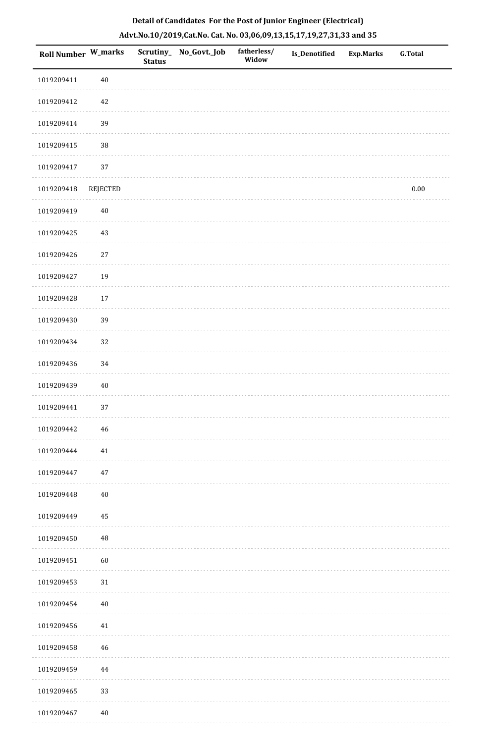|  | Detail of Candidates For the Post of Junior Engineer (Electrical)     |  |
|--|-----------------------------------------------------------------------|--|
|  | Advt.No.10/2019,Cat.No. Cat. No. 03,06,09,13,15,17,19,27,31,33 and 35 |  |

| Roll Number W_marks |          | <b>Status</b> | Scrutiny_ No_Govt._Job | fatherless/<br>Widow | Is_Denotified | <b>Exp.Marks</b> | <b>G.Total</b> |
|---------------------|----------|---------------|------------------------|----------------------|---------------|------------------|----------------|
| 1019209411          | $40\,$   |               |                        |                      |               |                  |                |
| 1019209412          | 42       |               |                        |                      |               |                  |                |
| 1019209414          | 39       |               |                        |                      |               |                  |                |
| 1019209415          | 38       |               |                        |                      |               |                  |                |
| 1019209417          | 37       |               |                        |                      |               |                  |                |
| 1019209418          | REJECTED |               |                        |                      |               |                  | $0.00\,$       |
| 1019209419          | $40\,$   |               |                        |                      |               |                  |                |
| 1019209425          | 43       |               |                        |                      |               |                  |                |
| 1019209426          | $27\,$   |               |                        |                      |               |                  |                |
| 1019209427          | 19       |               |                        |                      |               |                  |                |
| 1019209428          | $17\,$   |               |                        |                      |               |                  |                |
| 1019209430          | 39       |               |                        |                      |               |                  |                |
| 1019209434          | 32       |               |                        |                      |               |                  |                |
| 1019209436          | 34       |               |                        |                      |               |                  |                |
| 1019209439          | $40\,$   |               |                        |                      |               |                  |                |
| 1019209441          | 37       |               |                        |                      |               |                  |                |
| 1019209442          | 46       |               |                        |                      |               |                  |                |
| 1019209444          | 41       |               |                        |                      |               |                  |                |
| 1019209447          | $47\,$   |               |                        |                      |               |                  |                |
| 1019209448          | $40\,$   |               |                        |                      |               |                  |                |
| 1019209449          | 45       |               |                        |                      |               |                  |                |
| 1019209450          | $\rm 48$ |               |                        |                      |               |                  |                |
| 1019209451          | 60       |               |                        |                      |               |                  |                |
| 1019209453          | $31\,$   |               |                        |                      |               |                  |                |
| 1019209454          | $40\,$   |               |                        |                      |               |                  |                |
| 1019209456          | $41\,$   |               |                        |                      |               |                  |                |
| 1019209458          | 46       |               |                        |                      |               |                  |                |
| 1019209459          | 44       |               |                        |                      |               |                  |                |
| 1019209465          | 33       |               |                        |                      |               |                  |                |
| 1019209467          | $40\,$   |               |                        |                      |               |                  |                |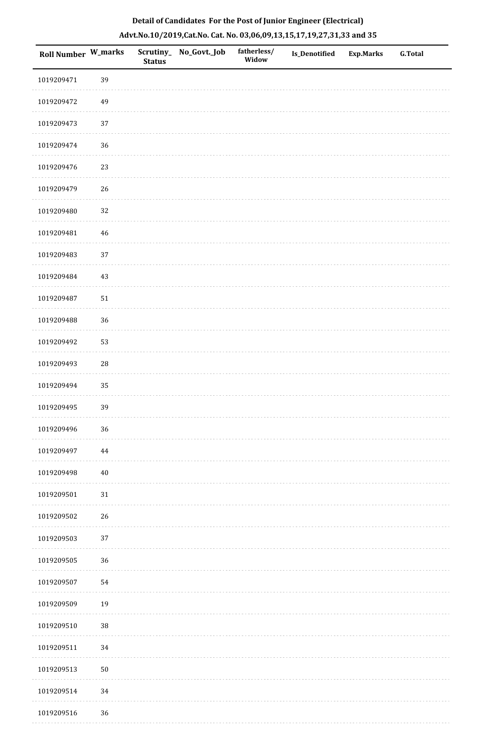| Roll Number W_marks |             | <b>Status</b> | Scrutiny_ No_Govt._Job | fatherless/<br>Widow | Is_Denotified | <b>Exp.Marks</b> | <b>G.Total</b> |
|---------------------|-------------|---------------|------------------------|----------------------|---------------|------------------|----------------|
| 1019209471          | 39          |               |                        |                      |               |                  |                |
| 1019209472          | 49          |               |                        |                      |               |                  |                |
| 1019209473          | 37          |               |                        |                      |               |                  |                |
| 1019209474          | 36          |               |                        |                      |               |                  |                |
| 1019209476          | 23          |               |                        |                      |               |                  |                |
| 1019209479          | 26          |               |                        |                      |               |                  |                |
| 1019209480          | 32          |               |                        |                      |               |                  |                |
| 1019209481          | $\bf 46$    |               |                        |                      |               |                  |                |
| 1019209483          | 37          |               |                        |                      |               |                  |                |
| 1019209484          | 43          |               |                        |                      |               |                  |                |
| 1019209487          | 51          |               |                        |                      |               |                  |                |
| 1019209488          | 36          |               |                        |                      |               |                  |                |
| 1019209492          | 53          |               |                        |                      |               |                  |                |
| 1019209493          | $\sqrt{28}$ |               |                        |                      |               |                  |                |
| 1019209494          | 35          |               |                        |                      |               |                  |                |
| 1019209495          | 39          |               |                        |                      |               |                  |                |
| 1019209496          | $36\,$      |               |                        |                      |               |                  |                |
| 1019209497          | 44          |               |                        |                      |               |                  |                |
| 1019209498          | $40\,$      |               |                        |                      |               |                  |                |
| 1019209501          | $31\,$      |               |                        |                      |               |                  |                |
| 1019209502          | 26          |               |                        |                      |               |                  |                |
| 1019209503          | 37          |               |                        |                      |               |                  |                |
| 1019209505          | $36\,$      |               |                        |                      |               |                  |                |
| 1019209507          | 54          |               |                        |                      |               |                  |                |
| 1019209509          | 19          |               |                        |                      |               |                  |                |
| 1019209510          | $38\,$      |               |                        |                      |               |                  |                |
| 1019209511          | 34          |               |                        |                      |               |                  |                |
| 1019209513          | $50\,$      |               |                        |                      |               |                  |                |
| 1019209514          | 34          |               |                        |                      |               |                  |                |
| 1019209516          | $36\,$      |               |                        |                      |               |                  |                |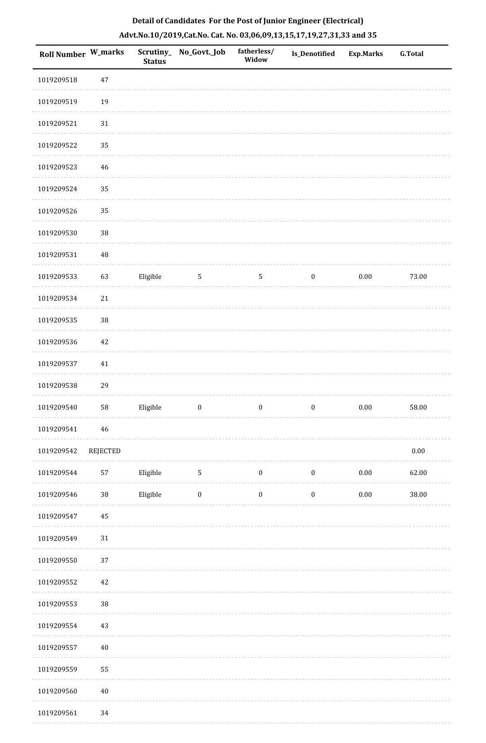| Roll Number W_marks |                 | <b>Status</b> | Scrutiny_No_Govt._Job | fatherless/<br>Widow | Is_Denotified    | <b>Exp.Marks</b> | <b>G.Total</b> |
|---------------------|-----------------|---------------|-----------------------|----------------------|------------------|------------------|----------------|
| 1019209518          | $47\,$          |               |                       |                      |                  |                  |                |
| 1019209519          | 19              |               |                       |                      |                  |                  |                |
| 1019209521          | 31              |               |                       |                      |                  |                  |                |
| 1019209522          | 35              |               |                       |                      |                  |                  |                |
| 1019209523          | 46              |               |                       |                      |                  |                  |                |
| 1019209524          | 35              |               |                       |                      |                  |                  |                |
| 1019209526          | 35              |               |                       |                      |                  |                  |                |
| 1019209530          | $38\,$          |               |                       |                      |                  |                  |                |
| 1019209531          | 48              |               |                       |                      |                  |                  |                |
| 1019209533          | 63              | Eligible      | 5                     | $\mathsf S$          | $\boldsymbol{0}$ | $0.00\,$         | 73.00          |
| 1019209534          | $21\,$          |               |                       |                      |                  |                  |                |
| 1019209535          | 38              |               |                       |                      |                  |                  |                |
| 1019209536          | 42              |               |                       |                      |                  |                  |                |
| 1019209537          | 41              |               |                       |                      |                  |                  |                |
| 1019209538          | 29              |               |                       |                      |                  |                  |                |
| 1019209540          | 58              | Eligible      | $\boldsymbol{0}$      | $\boldsymbol{0}$     | $\boldsymbol{0}$ | $0.00\,$         | 58.00          |
| 1019209541          | $\bf 46$        |               |                       |                      |                  |                  |                |
| 1019209542          | <b>REJECTED</b> |               |                       |                      |                  |                  | $0.00\,$       |
| 1019209544          | 57              | Eligible      | $\sqrt{5}$            | $\boldsymbol{0}$     | $\boldsymbol{0}$ | $0.00\,$         | 62.00          |
| 1019209546          | $38\,$          | Eligible      | $\boldsymbol{0}$      | $\boldsymbol{0}$     | $\boldsymbol{0}$ | $0.00\,$         | $38.00\,$      |
| 1019209547          | $45\,$          |               |                       |                      |                  |                  |                |
| 1019209549          | 31              |               |                       |                      |                  |                  |                |
| 1019209550          | 37              |               |                       |                      |                  |                  |                |
| 1019209552          | $42\,$          |               |                       |                      |                  |                  |                |
| 1019209553          | $38\,$          |               |                       |                      |                  |                  |                |
| 1019209554          | 43              |               |                       |                      |                  |                  |                |
| 1019209557          | $40\,$          |               |                       |                      |                  |                  |                |
| 1019209559          | 55              |               |                       |                      |                  |                  |                |
| 1019209560          | $40\,$          |               |                       |                      |                  |                  |                |
| 1019209561          | 34              |               |                       |                      |                  |                  |                |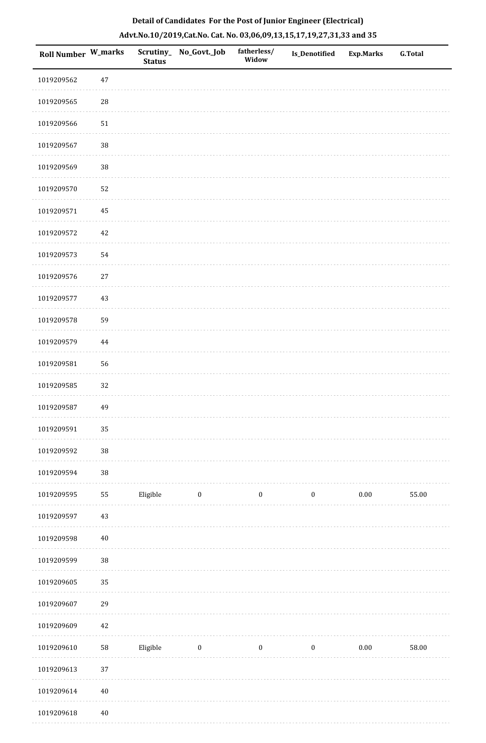|  | Detail of Candidates For the Post of Junior Engineer (Electrical)     |  |
|--|-----------------------------------------------------------------------|--|
|  | Advt.No.10/2019,Cat.No. Cat. No. 03,06,09,13,15,17,19,27,31,33 and 35 |  |

| Roll Number W_marks |             | <b>Status</b> | Scrutiny_No_Govt._Job | fatherless/<br>Widow | <b>Is_Denotified</b> | <b>Exp.Marks</b> | <b>G.Total</b> |
|---------------------|-------------|---------------|-----------------------|----------------------|----------------------|------------------|----------------|
| 1019209562          | $47\,$      |               |                       |                      |                      |                  |                |
| 1019209565          | $\sqrt{28}$ |               |                       |                      |                      |                  |                |
| 1019209566          | 51          |               |                       |                      |                      |                  |                |
| 1019209567          | $38\,$      |               |                       |                      |                      |                  |                |
| 1019209569          | $38\,$      |               |                       |                      |                      |                  |                |
| 1019209570          | 52          |               |                       |                      |                      |                  |                |
| 1019209571          | 45          |               |                       |                      |                      |                  |                |
| 1019209572          | $42\,$      |               |                       |                      |                      |                  |                |
| 1019209573          | 54          |               |                       |                      |                      |                  |                |
| 1019209576          | $27\,$      |               |                       |                      |                      |                  |                |
| 1019209577          | $43\,$      |               |                       |                      |                      |                  |                |
| 1019209578          | 59          |               |                       |                      |                      |                  |                |
| 1019209579          | 44          |               |                       |                      |                      |                  |                |
| 1019209581          | 56          |               |                       |                      |                      |                  |                |
| 1019209585          | 32          |               |                       |                      |                      |                  |                |
| 1019209587          | 49          |               |                       |                      |                      |                  |                |
| 1019209591          | 35          |               |                       |                      |                      |                  |                |
| 1019209592          | $38\,$      |               |                       |                      |                      |                  |                |
| 1019209594          | $38\,$      |               |                       |                      |                      |                  |                |
| 1019209595          | ${\bf 55}$  | Eligible      | $\boldsymbol{0}$      | $\boldsymbol{0}$     | $\boldsymbol{0}$     | $0.00\,$         | 55.00          |
| 1019209597          | $43\,$      |               |                       |                      |                      |                  |                |
| 1019209598          | $40\,$      |               |                       |                      |                      |                  |                |
| 1019209599          | $38\,$      |               |                       |                      |                      |                  |                |
| 1019209605          | 35          |               |                       |                      |                      |                  |                |
| 1019209607          | 29          |               |                       |                      |                      |                  |                |
| 1019209609          | $42\,$      |               |                       |                      |                      |                  |                |
| 1019209610          | ${\bf 58}$  | Eligible      | $\boldsymbol{0}$      | $\boldsymbol{0}$     | $\boldsymbol{0}$     | $0.00\,$         | 58.00          |
| 1019209613          | 37          |               |                       |                      |                      |                  |                |
| 1019209614          | $40\,$      |               |                       |                      |                      |                  |                |
| 1019209618          | $40\,$      |               |                       |                      |                      |                  |                |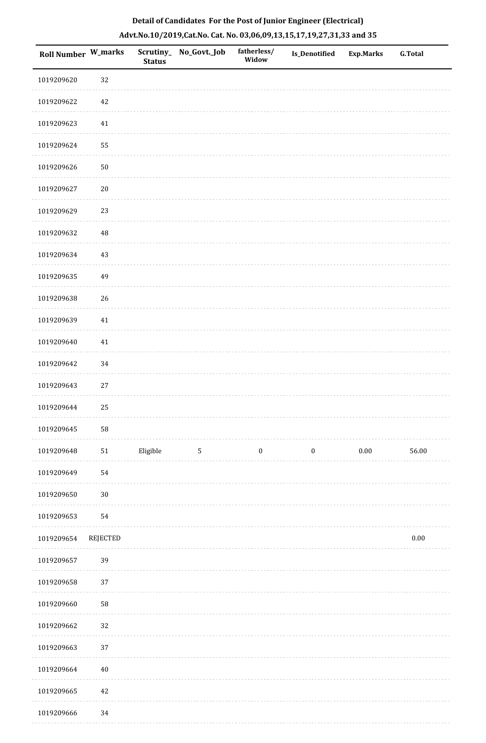| Roll Number W_marks |                 | <b>Status</b> | Scrutiny_ No_Govt._Job | fatherless/<br>Widow | Is_Denotified    | <b>Exp.Marks</b> | <b>G.Total</b> |
|---------------------|-----------------|---------------|------------------------|----------------------|------------------|------------------|----------------|
| 1019209620          | 32              |               |                        |                      |                  |                  |                |
| 1019209622          | 42              |               |                        |                      |                  |                  |                |
| 1019209623          | $41\,$          |               |                        |                      |                  |                  |                |
| 1019209624          | 55              |               |                        |                      |                  |                  |                |
| 1019209626          | $50\,$          |               |                        |                      |                  |                  |                |
| 1019209627          | $20\,$          |               |                        |                      |                  |                  |                |
| 1019209629          | 23              |               |                        |                      |                  |                  |                |
| 1019209632          | 48              |               |                        |                      |                  |                  |                |
| 1019209634          | $43\,$          |               |                        |                      |                  |                  |                |
| 1019209635          | 49              |               |                        |                      |                  |                  |                |
| 1019209638          | 26              |               |                        |                      |                  |                  |                |
| 1019209639          | $41\,$          |               |                        |                      |                  |                  |                |
| 1019209640          | $41\,$          |               |                        |                      |                  |                  |                |
| 1019209642          | $34\,$          |               |                        |                      |                  |                  |                |
| 1019209643          | $27\,$          |               |                        |                      |                  |                  |                |
| 1019209644          | 25              |               |                        |                      |                  |                  |                |
| 1019209645          | 58              |               |                        |                      |                  |                  |                |
| 1019209648          | $51\,$          | Eligible      | $\sqrt{5}$             | $\boldsymbol{0}$     | $\boldsymbol{0}$ | $0.00\,$         | 56.00          |
| 1019209649          | 54              |               |                        |                      |                  |                  |                |
| 1019209650          | $30\,$          |               |                        |                      |                  |                  |                |
| 1019209653          | 54              |               |                        |                      |                  |                  |                |
| 1019209654          | <b>REJECTED</b> |               |                        |                      |                  |                  | $0.00\,$       |
| 1019209657          | 39              |               |                        |                      |                  |                  |                |
| 1019209658          | 37              |               |                        |                      |                  |                  |                |
| 1019209660          | 58              |               |                        |                      |                  |                  |                |
| 1019209662          | 32              |               |                        |                      |                  |                  |                |
| 1019209663          | 37              |               |                        |                      |                  |                  |                |
| 1019209664          | $40\,$          |               |                        |                      |                  |                  |                |
| 1019209665          | $42\,$          |               |                        |                      |                  |                  |                |
| 1019209666          | $34\,$          |               |                        |                      |                  |                  |                |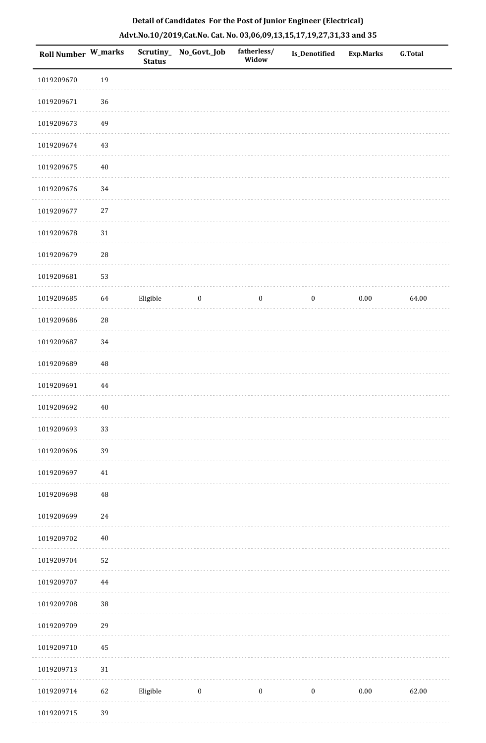| Roll Number W_marks |             | <b>Status</b> | Scrutiny_ No_Govt._Job | fatherless/<br>Widow | Is_Denotified    | <b>Exp.Marks</b> | <b>G.Total</b> |
|---------------------|-------------|---------------|------------------------|----------------------|------------------|------------------|----------------|
| 1019209670          | 19          |               |                        |                      |                  |                  |                |
| 1019209671          | 36          |               |                        |                      |                  |                  |                |
| 1019209673          | 49          |               |                        |                      |                  |                  |                |
| 1019209674          | 43          |               |                        |                      |                  |                  |                |
| 1019209675          | $40\,$      |               |                        |                      |                  |                  |                |
| 1019209676          | 34          |               |                        |                      |                  |                  |                |
| 1019209677          | $27\,$      |               |                        |                      |                  |                  |                |
| 1019209678          | $31\,$      |               |                        |                      |                  |                  |                |
| 1019209679          | 28          |               |                        |                      |                  |                  |                |
| 1019209681          | 53          |               |                        |                      |                  |                  |                |
| 1019209685          | 64          | Eligible      | $\bf{0}$               | $\boldsymbol{0}$     | $\boldsymbol{0}$ | $0.00\,$         | 64.00          |
| 1019209686          | 28          |               |                        |                      |                  |                  |                |
| 1019209687          | 34          |               |                        |                      |                  |                  |                |
| 1019209689          | $\sqrt{48}$ |               |                        |                      |                  |                  |                |
| 1019209691          | 44          |               |                        |                      |                  |                  |                |
| 1019209692          | $40\,$      |               |                        |                      |                  |                  |                |
| 1019209693          | 33          |               |                        |                      |                  |                  |                |
| 1019209696          | 39          |               |                        |                      |                  |                  |                |
| 1019209697          | 41          |               |                        |                      |                  |                  |                |
| 1019209698          | 48          |               |                        |                      |                  |                  |                |
| 1019209699          | $24\,$      |               |                        |                      |                  |                  |                |
| 1019209702          | $40\,$      |               |                        |                      |                  |                  |                |
| 1019209704          | 52          |               |                        |                      |                  |                  |                |
| 1019209707          | $\bf 44$    |               |                        |                      |                  |                  |                |
| 1019209708          | 38          |               |                        |                      |                  |                  |                |
| 1019209709          | 29          |               |                        |                      |                  |                  |                |
| 1019209710          | 45          |               |                        |                      |                  |                  |                |
| 1019209713          | $31\,$      |               |                        |                      |                  |                  |                |
| 1019209714          | 62          | Eligible      | $\boldsymbol{0}$       | $\boldsymbol{0}$     | $\boldsymbol{0}$ | 0.00             | 62.00          |
| 1019209715          | 39          |               |                        |                      |                  |                  |                |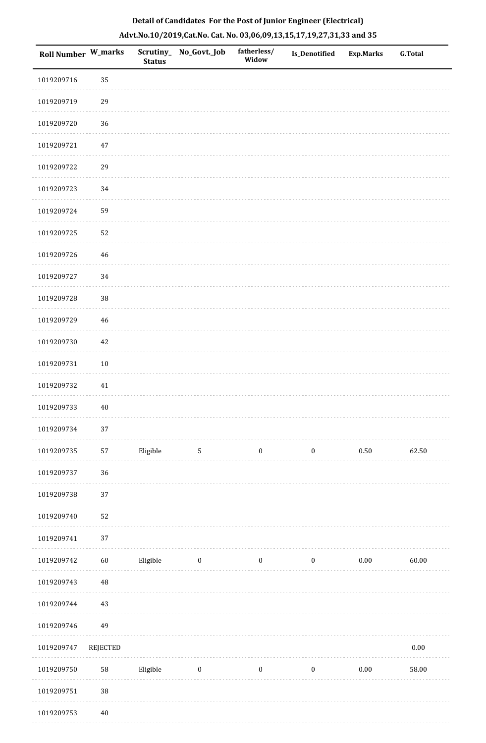| <b>Roll Number W_marks</b> |            | <b>Status</b> | Scrutiny_No_Govt._Job | fatherless/<br>Widow | <b>Is_Denotified</b> | <b>Exp.Marks</b> | G.Total  |
|----------------------------|------------|---------------|-----------------------|----------------------|----------------------|------------------|----------|
| 1019209716                 | 35         |               |                       |                      |                      |                  |          |
| 1019209719                 | 29         |               |                       |                      |                      |                  |          |
| 1019209720                 | 36         |               |                       |                      |                      |                  |          |
| 1019209721                 | 47         |               |                       |                      |                      |                  |          |
| 1019209722                 | 29         |               |                       |                      |                      |                  |          |
| 1019209723                 | 34         |               |                       |                      |                      |                  |          |
| 1019209724                 | 59         |               |                       |                      |                      |                  |          |
| 1019209725                 | 52         |               |                       |                      |                      |                  |          |
| 1019209726                 | 46         |               |                       |                      |                      |                  |          |
| 1019209727                 | 34         |               |                       |                      |                      |                  |          |
| 1019209728                 | $38\,$     |               |                       |                      |                      |                  |          |
| 1019209729                 | 46         |               |                       |                      |                      |                  |          |
| 1019209730                 | 42         |               |                       |                      |                      |                  |          |
| 1019209731                 | $10\,$     |               |                       |                      |                      |                  |          |
| 1019209732                 | 41         |               |                       |                      |                      |                  |          |
| 1019209733                 | $40\,$     |               |                       |                      |                      |                  |          |
| 1019209734                 | 37         |               |                       |                      |                      |                  |          |
| 1019209735                 | 57         | Eligible      | $5\phantom{.0}$       | $\boldsymbol{0}$     | $\boldsymbol{0}$     | $0.50\,$         | 62.50    |
| 1019209737                 | 36         |               |                       |                      |                      |                  |          |
| 1019209738                 | 37         |               |                       |                      |                      |                  |          |
| 1019209740                 | 52         |               |                       |                      |                      |                  |          |
| 1019209741                 | 37         |               |                       |                      |                      |                  |          |
| 1019209742                 | 60         | Eligible      | $\boldsymbol{0}$      | $\boldsymbol{0}$     | $\boldsymbol{0}$     | $0.00\,$         | 60.00    |
| 1019209743                 | $\rm 48$   |               |                       |                      |                      |                  |          |
| 1019209744                 | 43         |               |                       |                      |                      |                  |          |
| 1019209746                 | 49         |               |                       |                      |                      |                  |          |
| 1019209747                 | REJECTED   |               |                       |                      |                      |                  | $0.00\,$ |
| 1019209750                 | ${\bf 58}$ | Eligible      | $\bf{0}$              | $\boldsymbol{0}$     | $\boldsymbol{0}$     | $0.00\,$         | 58.00    |
| 1019209751                 | $38\,$     |               |                       |                      |                      |                  |          |
| 010200753                  | 1 N        |               |                       |                      |                      |                  |          |

# **Detail of Candidates For the Post of Junior Engineer (Electrical) Advt.No.10/2019,Cat.No. Cat. No. 03,06,09,13,15,17,19,27,31,33 and 35**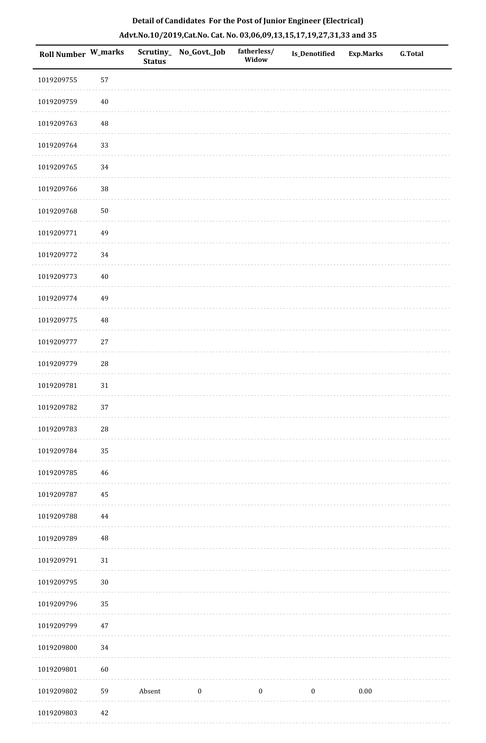|  |  | Detail of Candidates For the Post of Junior Engineer (Electrical)     |  |
|--|--|-----------------------------------------------------------------------|--|
|  |  | Advt.No.10/2019,Cat.No. Cat. No. 03,06,09,13,15,17,19,27,31,33 and 35 |  |

| <b>Roll Number W_marks</b> |             | <b>Status</b> | Scrutiny_No_Govt._Job | fatherless/<br>Widow | <b>Is_Denotified</b> | <b>Exp.Marks</b> | <b>G.Total</b> |
|----------------------------|-------------|---------------|-----------------------|----------------------|----------------------|------------------|----------------|
| 1019209755                 | 57          |               |                       |                      |                      |                  |                |
| 1019209759                 | $40\,$      |               |                       |                      |                      |                  |                |
| 1019209763                 | 48          |               |                       |                      |                      |                  |                |
| 1019209764                 | 33          |               |                       |                      |                      |                  |                |
| 1019209765                 | 34          |               |                       |                      |                      |                  |                |
| 1019209766                 | $38\,$      |               |                       |                      |                      |                  |                |
| 1019209768                 | $50\,$      |               |                       |                      |                      |                  |                |
| 1019209771                 | 49          |               |                       |                      |                      |                  |                |
| 1019209772                 | 34          |               |                       |                      |                      |                  |                |
| 1019209773                 | $40\,$      |               |                       |                      |                      |                  |                |
| 1019209774                 | 49          |               |                       |                      |                      |                  |                |
| 1019209775                 | $\rm 48$    |               |                       |                      |                      |                  |                |
| 1019209777                 | $27\,$      |               |                       |                      |                      |                  |                |
| 1019209779                 | ${\bf 28}$  |               |                       |                      |                      |                  |                |
| 1019209781                 | $31\,$      |               |                       |                      |                      |                  |                |
| 1019209782                 | 37          |               |                       |                      |                      |                  |                |
| 1019209783                 | $\sqrt{28}$ |               |                       |                      |                      |                  |                |
| 1019209784                 | 35          |               |                       |                      |                      |                  |                |
| 1019209785                 | 46          |               |                       |                      |                      |                  |                |
| 1019209787                 | $\bf 45$    |               |                       |                      |                      |                  |                |
| 1019209788                 | 44          |               |                       |                      |                      |                  |                |
| 1019209789                 | $\rm 48$    |               |                       |                      |                      |                  |                |
| 1019209791                 | $31\,$      |               |                       |                      |                      |                  |                |
| 1019209795                 | $30\,$      |               |                       |                      |                      |                  |                |
| 1019209796                 | 35          |               |                       |                      |                      |                  |                |
| 1019209799                 | $47\,$      |               |                       |                      |                      |                  |                |
| 1019209800                 | 34          |               |                       |                      |                      |                  |                |
| 1019209801                 | 60          |               |                       |                      |                      |                  |                |
| 1019209802                 | 59          | Absent        | $\boldsymbol{0}$      | $\boldsymbol{0}$     | $\boldsymbol{0}$     | $0.00\,$         |                |
| 1019209803                 | 42          |               |                       |                      |                      |                  |                |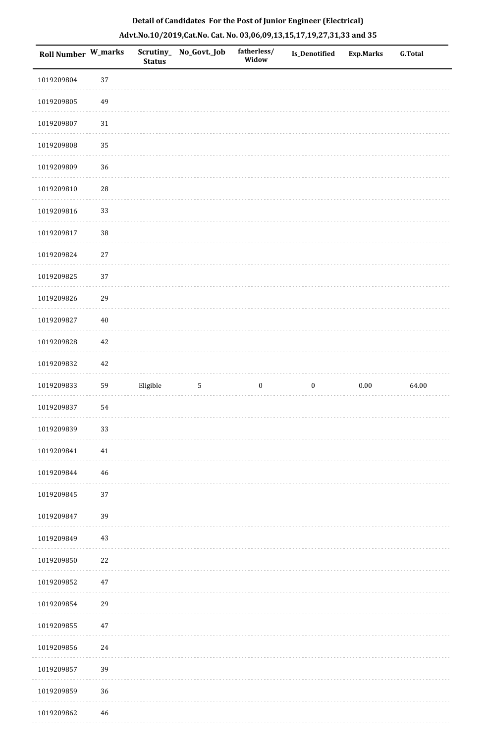|  | Detail of Candidates For the Post of Junior Engineer (Electrical)     |  |
|--|-----------------------------------------------------------------------|--|
|  | Advt.No.10/2019,Cat.No. Cat. No. 03,06,09,13,15,17,19,27,31,33 and 35 |  |

| Roll Number W_marks |            | <b>Status</b> | Scrutiny_ No_Govt._Job | fatherless/<br>Widow | Is_Denotified    | <b>Exp.Marks</b> | <b>G.Total</b> |
|---------------------|------------|---------------|------------------------|----------------------|------------------|------------------|----------------|
| 1019209804          | 37         |               |                        |                      |                  |                  |                |
| 1019209805          | 49         |               |                        |                      |                  |                  |                |
| 1019209807          | $31\,$     |               |                        |                      |                  |                  |                |
| 1019209808          | 35         |               |                        |                      |                  |                  |                |
| 1019209809          | 36         |               |                        |                      |                  |                  |                |
| 1019209810          | ${\bf 28}$ |               |                        |                      |                  |                  |                |
| 1019209816          | 33         |               |                        |                      |                  |                  |                |
| 1019209817          | 38         |               |                        |                      |                  |                  |                |
| 1019209824          | $27\,$     |               |                        |                      |                  |                  |                |
| 1019209825          | 37         |               |                        |                      |                  |                  |                |
| 1019209826          | 29         |               |                        |                      |                  |                  |                |
| 1019209827          | $40\,$     |               |                        |                      |                  |                  |                |
| 1019209828          | 42         |               |                        |                      |                  |                  |                |
| 1019209832          | 42         |               |                        |                      |                  |                  |                |
| 1019209833          | 59         | Eligible      | $\sqrt{5}$             | $\boldsymbol{0}$     | $\boldsymbol{0}$ | $0.00\,$         | 64.00          |
| 1019209837          | 54         |               |                        |                      |                  |                  |                |
| 1019209839          | 33         |               |                        |                      |                  |                  |                |
| 1019209841          | $41\,$     |               |                        |                      |                  |                  |                |
| 1019209844          | 46         |               |                        |                      |                  |                  |                |
| 1019209845          | 37         |               |                        |                      |                  |                  |                |
| 1019209847          | 39         |               |                        |                      |                  |                  |                |
| 1019209849          | $43\,$     |               |                        |                      |                  |                  |                |
| 1019209850          | $22\,$     |               |                        |                      |                  |                  |                |
| 1019209852          | $47\,$     |               |                        |                      |                  |                  |                |
| 1019209854          | 29         |               |                        |                      |                  |                  |                |
| 1019209855          | $47\,$     |               |                        |                      |                  |                  |                |
| 1019209856          | 24         |               |                        |                      |                  |                  |                |
| 1019209857          | 39         |               |                        |                      |                  |                  |                |
| 1019209859          | 36         |               |                        |                      |                  |                  |                |
| 1019209862          | $46\,$     |               |                        |                      |                  |                  |                |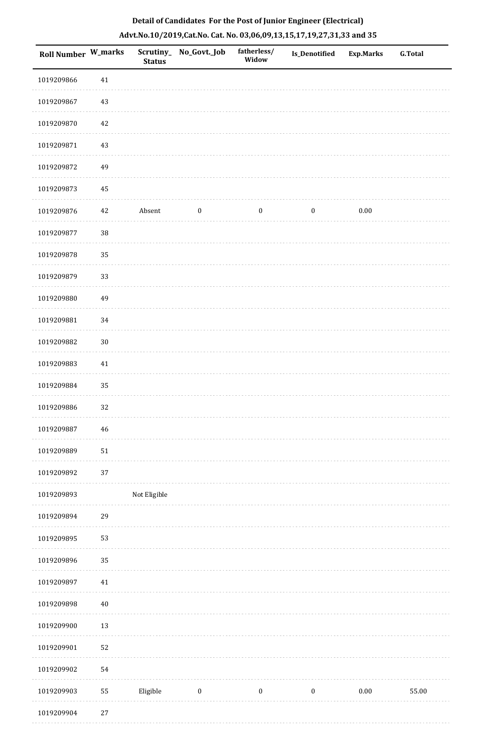| Roll Number W_marks |        | <b>Status</b> | Scrutiny_ No_Govt._Job | fatherless/<br>Widow | <b>Is_Denotified</b> | Exp.Marks | <b>G.Total</b> |
|---------------------|--------|---------------|------------------------|----------------------|----------------------|-----------|----------------|
| 1019209866          | 41     |               |                        |                      |                      |           |                |
| 1019209867          | $43\,$ |               |                        |                      |                      |           |                |
| 1019209870          | 42     |               |                        |                      |                      |           |                |
| 1019209871          | $43\,$ |               |                        |                      |                      |           |                |
| 1019209872          | 49     |               |                        |                      |                      |           |                |
| 1019209873          | 45     |               |                        |                      |                      |           |                |
| 1019209876          | 42     | Absent        | $\boldsymbol{0}$       | $\boldsymbol{0}$     | $\boldsymbol{0}$     | $0.00\,$  |                |
| 1019209877          | $38\,$ |               |                        |                      |                      |           |                |
| 1019209878          | 35     |               |                        |                      |                      |           |                |
| 1019209879          | 33     |               |                        |                      |                      |           |                |
| 1019209880          | 49     |               |                        |                      |                      |           |                |
| 1019209881          | 34     |               |                        |                      |                      |           |                |
| 1019209882          | $30\,$ |               |                        |                      |                      |           |                |
| 1019209883          | 41     |               |                        |                      |                      |           |                |
| 1019209884          | 35     |               |                        |                      |                      |           |                |
| 1019209886          | 32     |               |                        |                      |                      |           |                |
| 1019209887          | 46     |               |                        |                      |                      |           |                |
| 1019209889          | $51\,$ |               |                        |                      |                      |           |                |
| 1019209892          | $37\,$ |               |                        |                      |                      |           |                |
| 1019209893          |        | Not Eligible  |                        |                      |                      |           |                |
| 1019209894          | 29     |               |                        |                      |                      |           |                |
| 1019209895          | 53     |               |                        |                      |                      |           |                |
| 1019209896          | 35     |               |                        |                      |                      |           |                |
| 1019209897          | $41\,$ |               |                        |                      |                      |           |                |
| 1019209898          | $40\,$ |               |                        |                      |                      |           |                |
| 1019209900          | $13\,$ |               |                        |                      |                      |           |                |
| 1019209901          | 52     |               |                        |                      |                      |           |                |
| 1019209902          | 54     |               |                        |                      |                      |           |                |
| 1019209903          | 55     | Eligible      | $\boldsymbol{0}$       | $\boldsymbol{0}$     | $\boldsymbol{0}$     | $0.00\,$  | 55.00          |
| 1019209904          | 27     |               |                        |                      |                      |           |                |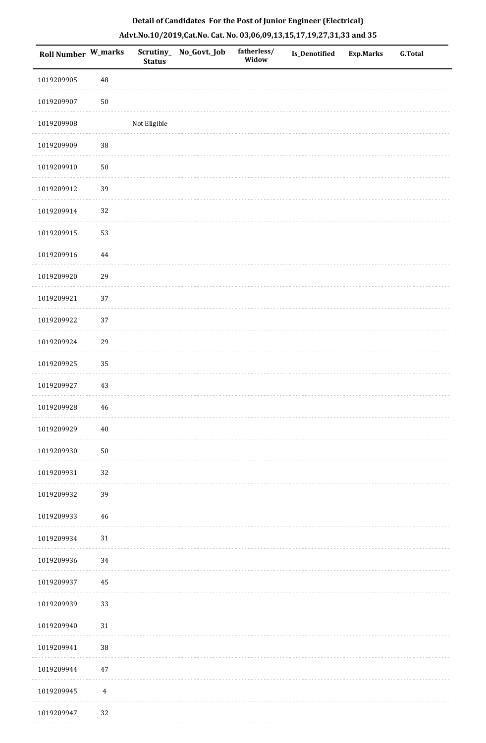| <b>Roll Number W_marks</b> |                | <b>Status</b> | Scrutiny_ No_Govt._Job | fatherless/<br>Widow | Is_Denotified | <b>Exp.Marks</b> | <b>G.Total</b> |
|----------------------------|----------------|---------------|------------------------|----------------------|---------------|------------------|----------------|
| 1019209905                 | $\rm 48$       |               |                        |                      |               |                  |                |
| 1019209907                 | $50\,$         |               |                        |                      |               |                  |                |
| 1019209908                 |                | Not Eligible  |                        |                      |               |                  |                |
| 1019209909                 | 38             |               |                        |                      |               |                  |                |
| 1019209910                 | $50\,$         |               |                        |                      |               |                  |                |
| 1019209912                 | 39             |               |                        |                      |               |                  |                |
| 1019209914                 | 32             |               |                        |                      |               |                  |                |
| 1019209915                 | 53             |               |                        |                      |               |                  |                |
| 1019209916                 | 44             |               |                        |                      |               |                  |                |
| 1019209920                 | 29             |               |                        |                      |               |                  |                |
| 1019209921                 | 37             |               |                        |                      |               |                  |                |
| 1019209922                 | 37             |               |                        |                      |               |                  |                |
| 1019209924                 | 29             |               |                        |                      |               |                  |                |
| 1019209925                 | 35             |               |                        |                      |               |                  |                |
| 1019209927                 | 43             |               |                        |                      |               |                  |                |
| 1019209928                 | $\sqrt{46}$    |               |                        |                      |               |                  |                |
| 1019209929                 | $40\,$         |               |                        |                      |               |                  |                |
| 1019209930                 | $50\,$         |               |                        |                      |               |                  |                |
| 1019209931                 | 32             |               |                        |                      |               |                  |                |
| 1019209932                 | 39             |               |                        |                      |               |                  |                |
| 1019209933                 | 46             |               |                        |                      |               |                  |                |
| 1019209934                 | 31             |               |                        |                      |               |                  |                |
| 1019209936                 | 34             |               |                        |                      |               |                  |                |
| 1019209937                 | 45             |               |                        |                      |               |                  |                |
| 1019209939                 | 33             |               |                        |                      |               |                  |                |
| 1019209940                 | $31\,$         |               |                        |                      |               |                  |                |
| 1019209941                 | 38             |               |                        |                      |               |                  |                |
| 1019209944                 | $47\,$         |               |                        |                      |               |                  |                |
| 1019209945                 | $\overline{4}$ |               |                        |                      |               |                  |                |
| 1019209947                 | 32             |               |                        |                      |               |                  |                |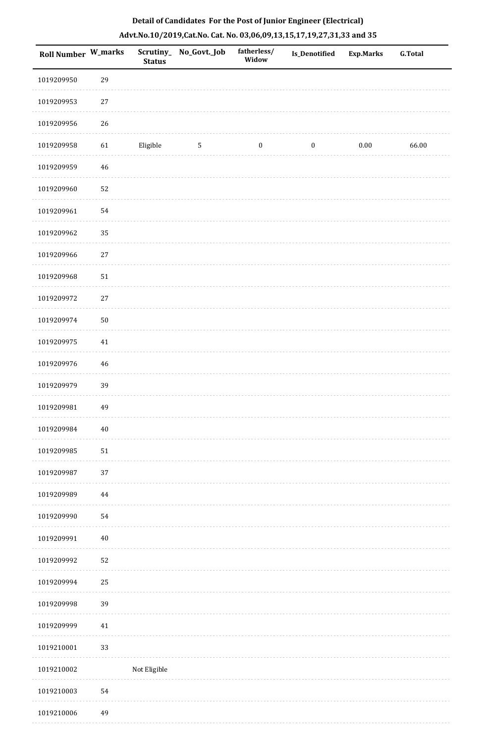| Roll Number W_marks |        | <b>Status</b> | Scrutiny_No_Govt._Job | fatherless/<br>Widow | <b>Is_Denotified</b> | <b>Exp.Marks</b> | <b>G.Total</b> |
|---------------------|--------|---------------|-----------------------|----------------------|----------------------|------------------|----------------|
| 1019209950          | 29     |               |                       |                      |                      |                  |                |
| 1019209953          | $27\,$ |               |                       |                      |                      |                  |                |
| 1019209956          | $26\,$ |               |                       |                      |                      |                  |                |
| 1019209958          | 61     | Eligible      | $\sqrt{5}$            | $\boldsymbol{0}$     | $\boldsymbol{0}$     | $0.00\,$         | 66.00          |
| 1019209959          | 46     |               |                       |                      |                      |                  |                |
| 1019209960          | 52     |               |                       |                      |                      |                  |                |
| 1019209961          | 54     |               |                       |                      |                      |                  |                |
| 1019209962          | 35     |               |                       |                      |                      |                  |                |
| 1019209966          | $27\,$ |               |                       |                      |                      |                  |                |
| 1019209968          | 51     |               |                       |                      |                      |                  |                |
| 1019209972          | $27\,$ |               |                       |                      |                      |                  |                |
| 1019209974          | $50\,$ |               |                       |                      |                      |                  |                |
| 1019209975          | $41\,$ |               |                       |                      |                      |                  |                |
| 1019209976          | 46     |               |                       |                      |                      |                  |                |
| 1019209979          | 39     |               |                       |                      |                      |                  |                |
| 1019209981          | 49     |               |                       |                      |                      |                  |                |
| 1019209984          | $40\,$ |               |                       |                      |                      |                  |                |
| 1019209985          | 51     |               |                       |                      |                      |                  |                |
| 1019209987          | 37     |               |                       |                      |                      |                  |                |
| 1019209989          | 44     |               |                       |                      |                      |                  |                |
| 1019209990          | 54     |               |                       |                      |                      |                  |                |
| 1019209991          | $40\,$ |               |                       |                      |                      |                  |                |
| 1019209992          | 52     |               |                       |                      |                      |                  |                |
| 1019209994          | 25     |               |                       |                      |                      |                  |                |
| 1019209998          | 39     |               |                       |                      |                      |                  |                |
| 1019209999          | $41\,$ |               |                       |                      |                      |                  |                |
| 1019210001          | 33     |               |                       |                      |                      |                  |                |
| 1019210002          |        | Not Eligible  |                       |                      |                      |                  |                |
| 1019210003          | 54     |               |                       |                      |                      |                  |                |
| 1019210006          | 49     |               |                       |                      |                      |                  |                |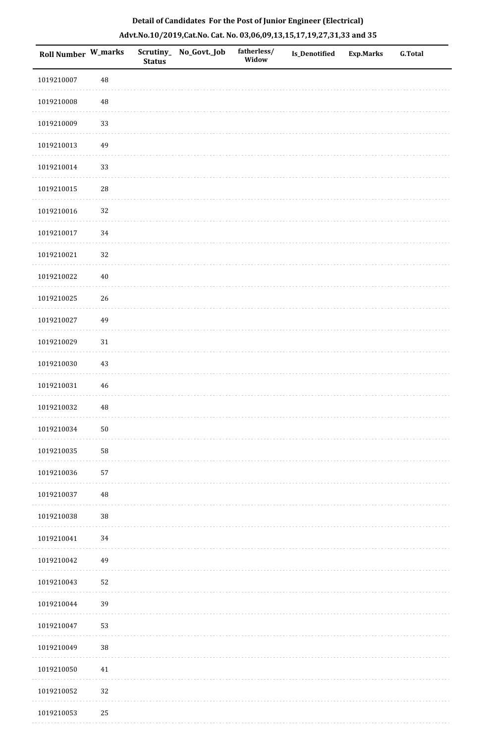|  | Detail of Candidates For the Post of Junior Engineer (Electrical)     |  |
|--|-----------------------------------------------------------------------|--|
|  | Advt.No.10/2019,Cat.No. Cat. No. 03,06,09,13,15,17,19,27,31,33 and 35 |  |

| Roll Number W_marks |             | <b>Status</b> | Scrutiny_ No_Govt._Job | fatherless/<br>Widow | Is_Denotified | <b>Exp.Marks</b> | <b>G.Total</b> |
|---------------------|-------------|---------------|------------------------|----------------------|---------------|------------------|----------------|
| 1019210007          | 48          |               |                        |                      |               |                  |                |
| 1019210008          | 48          |               |                        |                      |               |                  |                |
| 1019210009          | 33          |               |                        |                      |               |                  |                |
| 1019210013          | 49          |               |                        |                      |               |                  |                |
| 1019210014          | 33          |               |                        |                      |               |                  |                |
| 1019210015          | $\sqrt{28}$ |               |                        |                      |               |                  |                |
| 1019210016          | 32          |               |                        |                      |               |                  |                |
| 1019210017          | $34\,$      |               |                        |                      |               |                  |                |
| 1019210021          | 32          |               |                        |                      |               |                  |                |
| 1019210022          | $40\,$      |               |                        |                      |               |                  |                |
| 1019210025          | 26          |               |                        |                      |               |                  |                |
| 1019210027          | 49          |               |                        |                      |               |                  |                |
| 1019210029          | $31\,$      |               |                        |                      |               |                  |                |
| 1019210030          | 43          |               |                        |                      |               |                  |                |
| 1019210031          | 46          |               |                        |                      |               |                  |                |
| 1019210032          | 48          |               |                        |                      |               |                  |                |
| 1019210034          | $50\,$      |               |                        |                      |               |                  |                |
| 1019210035          | 58          |               |                        |                      |               |                  |                |
| 1019210036          | 57          |               |                        |                      |               |                  |                |
| 1019210037          | 48          |               |                        |                      |               |                  |                |
| 1019210038          | $38\,$      |               |                        |                      |               |                  |                |
| 1019210041          | 34          |               |                        |                      |               |                  |                |
| 1019210042          | 49          |               |                        |                      |               |                  |                |
| 1019210043          | 52          |               |                        |                      |               |                  |                |
| 1019210044          | 39          |               |                        |                      |               |                  |                |
| 1019210047          | 53          |               |                        |                      |               |                  |                |
| 1019210049          | $38\,$      |               |                        |                      |               |                  |                |
| 1019210050          | 41          |               |                        |                      |               |                  |                |
| 1019210052          | 32          |               |                        |                      |               |                  |                |
| 1019210053          | 25          |               |                        |                      |               |                  |                |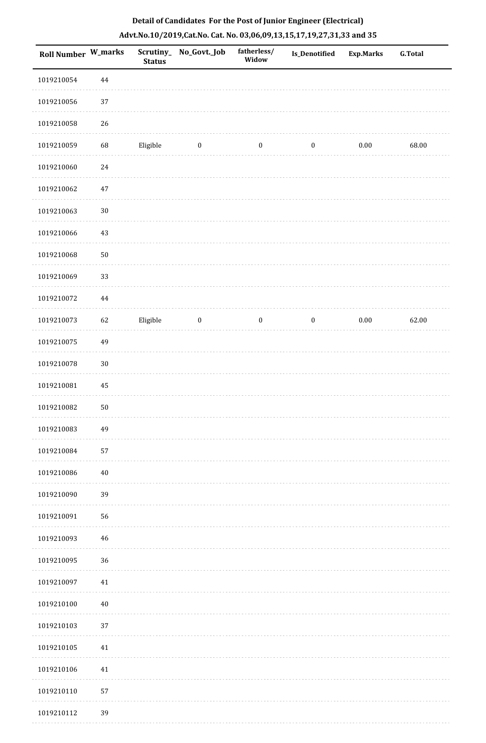| <b>Roll Number W_marks</b> |                   | <b>Status</b> | Scrutiny_No_Govt._Job | fatherless/<br>Widow | <b>Is_Denotified</b> | <b>Exp.Marks</b> | <b>G.Total</b> |
|----------------------------|-------------------|---------------|-----------------------|----------------------|----------------------|------------------|----------------|
| 1019210054                 | $\bf 44$          |               |                       |                      |                      |                  |                |
| 1019210056                 | 37                |               |                       |                      |                      |                  |                |
| 1019210058                 | 26                |               |                       |                      |                      |                  |                |
| 1019210059                 | 68                | Eligible      | $\boldsymbol{0}$      | $\boldsymbol{0}$     | $\boldsymbol{0}$     | $0.00\,$         | 68.00          |
| 1019210060                 | $\ensuremath{24}$ |               |                       |                      |                      |                  |                |
| 1019210062                 | 47                |               |                       |                      |                      |                  |                |
| 1019210063                 | $30\,$            |               |                       |                      |                      |                  |                |
| 1019210066                 | 43                |               |                       |                      |                      |                  |                |
| 1019210068                 | $50\,$            |               |                       |                      |                      |                  |                |
| 1019210069                 | 33                |               |                       |                      |                      |                  |                |
| 1019210072                 | $\bf 44$          |               |                       |                      |                      |                  |                |
| 1019210073                 | 62                | Eligible      | $\boldsymbol{0}$      | $\boldsymbol{0}$     | $\boldsymbol{0}$     | $0.00\,$         | 62.00          |
| 1019210075                 | 49                |               |                       |                      |                      |                  |                |
| 1019210078                 | $30\,$            |               |                       |                      |                      |                  |                |
| 1019210081                 | 45                |               |                       |                      |                      |                  |                |
| 1019210082                 | $50\,$            |               |                       |                      |                      |                  |                |
| 1019210083                 | 49                |               |                       |                      |                      |                  |                |
| 1019210084                 | 57                |               |                       |                      |                      |                  |                |
| 1019210086                 | $40\,$            |               |                       |                      |                      |                  |                |
| 1019210090                 | 39                |               |                       |                      |                      |                  |                |
| 1019210091                 | 56                |               |                       |                      |                      |                  |                |
| 1019210093                 | 46                |               |                       |                      |                      |                  |                |
| 1019210095                 | 36                |               |                       |                      |                      |                  |                |
| 1019210097                 | 41                |               |                       |                      |                      |                  |                |
| 1019210100                 | $40\,$            |               |                       |                      |                      |                  |                |
| 1019210103                 | 37                |               |                       |                      |                      |                  |                |
| 1019210105                 | 41                |               |                       |                      |                      |                  |                |
| 1019210106                 | 41                |               |                       |                      |                      |                  |                |
| 1019210110                 | 57                |               |                       |                      |                      |                  |                |
| 1019210112                 | 39                |               |                       |                      |                      |                  |                |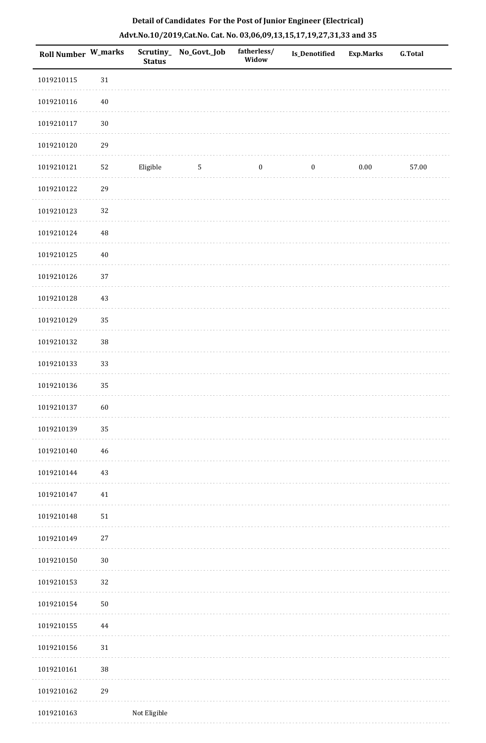| <b>Roll Number W_marks</b> |          | <b>Status</b> | Scrutiny_No_Govt._Job | fatherless/<br>Widow | <b>Is_Denotified</b> | <b>Exp.Marks</b> | <b>G.Total</b> |
|----------------------------|----------|---------------|-----------------------|----------------------|----------------------|------------------|----------------|
| 1019210115                 | $31\,$   |               |                       |                      |                      |                  |                |
| 1019210116                 | 40       |               |                       |                      |                      |                  |                |
| 1019210117                 | $30\,$   |               |                       |                      |                      |                  |                |
| 1019210120                 | 29       |               |                       |                      |                      |                  |                |
| 1019210121                 | 52       | Eligible      | $\overline{5}$        | $\boldsymbol{0}$     | $\boldsymbol{0}$     | 0.00             | 57.00          |
| 1019210122                 | 29       |               |                       |                      |                      |                  |                |
| 1019210123                 | 32       |               |                       |                      |                      |                  |                |
| 1019210124                 | $\rm 48$ |               |                       |                      |                      |                  |                |
| 1019210125                 | $40\,$   |               |                       |                      |                      |                  |                |
| 1019210126                 | 37       |               |                       |                      |                      |                  |                |
| 1019210128                 | 43       |               |                       |                      |                      |                  |                |
| 1019210129                 | 35       |               |                       |                      |                      |                  |                |
| 1019210132                 | $38\,$   |               |                       |                      |                      |                  |                |
| 1019210133                 | 33       |               |                       |                      |                      |                  |                |
| 1019210136                 | 35       |               |                       |                      |                      |                  |                |
| 1019210137                 | 60       |               |                       |                      |                      |                  |                |
| 1019210139                 | 35       |               |                       |                      |                      |                  |                |
| 1019210140                 | 46       |               |                       |                      |                      |                  |                |
| 1019210144                 | 43       |               |                       |                      |                      |                  |                |
| 1019210147                 | 41       |               |                       |                      |                      |                  |                |
| 1019210148                 | $51\,$   |               |                       |                      |                      |                  |                |
| 1019210149                 | $27\,$   |               |                       |                      |                      |                  |                |
| 1019210150                 | $30\,$   |               |                       |                      |                      |                  |                |
| 1019210153                 | 32       |               |                       |                      |                      |                  |                |
| 1019210154                 | $50\,$   |               |                       |                      |                      |                  |                |
| 1019210155                 | 44       |               |                       |                      |                      |                  |                |
| 1019210156                 | 31       |               |                       |                      |                      |                  |                |
| 1019210161                 | 38       |               |                       |                      |                      |                  |                |
| 1019210162                 | 29       |               |                       |                      |                      |                  |                |
| 1019210163                 |          | Not Eligible  |                       |                      |                      |                  |                |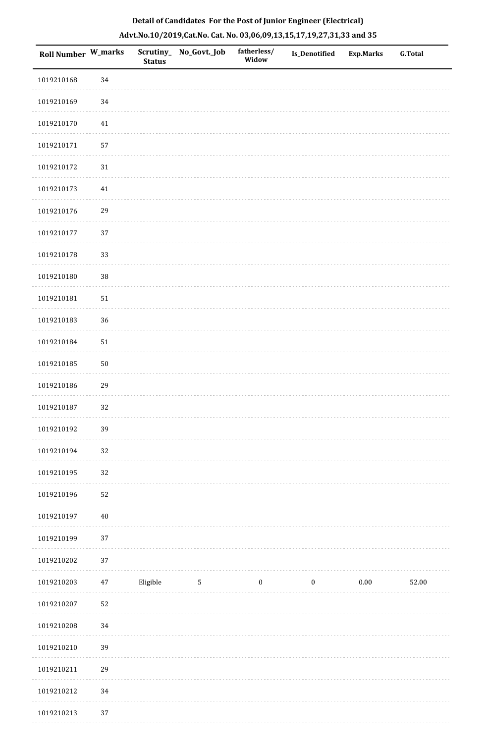| Roll Number W_marks |        | <b>Status</b> | Scrutiny_ No_Govt._Job | fatherless/<br>Widow | Is_Denotified    | <b>Exp.Marks</b> | <b>G.Total</b> |
|---------------------|--------|---------------|------------------------|----------------------|------------------|------------------|----------------|
| 1019210168          | 34     |               |                        |                      |                  |                  |                |
| 1019210169          | 34     |               |                        |                      |                  |                  |                |
| 1019210170          | $41\,$ |               |                        |                      |                  |                  |                |
| 1019210171          | 57     |               |                        |                      |                  |                  |                |
| 1019210172          | 31     |               |                        |                      |                  |                  |                |
| 1019210173          | $41\,$ |               |                        |                      |                  |                  |                |
| 1019210176          | 29     |               |                        |                      |                  |                  |                |
| 1019210177          | 37     |               |                        |                      |                  |                  |                |
| 1019210178          | 33     |               |                        |                      |                  |                  |                |
| 1019210180          | $38\,$ |               |                        |                      |                  |                  |                |
| 1019210181          | $51\,$ |               |                        |                      |                  |                  |                |
| 1019210183          | 36     |               |                        |                      |                  |                  |                |
| 1019210184          | $51\,$ |               |                        |                      |                  |                  |                |
| 1019210185          | $50\,$ |               |                        |                      |                  |                  |                |
| 1019210186          | 29     |               |                        |                      |                  |                  |                |
| 1019210187          | 32     |               |                        |                      |                  |                  |                |
| 1019210192          | 39     |               |                        |                      |                  |                  |                |
| 1019210194          | 32     |               |                        |                      |                  |                  |                |
| 1019210195          | 32     |               |                        |                      |                  |                  |                |
| 1019210196          | 52     |               |                        |                      |                  |                  |                |
| 1019210197          | $40\,$ |               |                        |                      |                  |                  |                |
| 1019210199          | 37     |               |                        |                      |                  |                  |                |
| 1019210202          | 37     |               |                        |                      |                  |                  |                |
| 1019210203          | 47     | Eligible      | $\sqrt{5}$             | $\boldsymbol{0}$     | $\boldsymbol{0}$ | $0.00\,$         | 52.00          |
| 1019210207          | 52     |               |                        |                      |                  |                  |                |
| 1019210208          | 34     |               |                        |                      |                  |                  |                |
| 1019210210          | 39     |               |                        |                      |                  |                  |                |
| 1019210211          | 29     |               |                        |                      |                  |                  |                |
| 1019210212          | 34     |               |                        |                      |                  |                  |                |
| 1019210213          | 37     |               |                        |                      |                  |                  |                |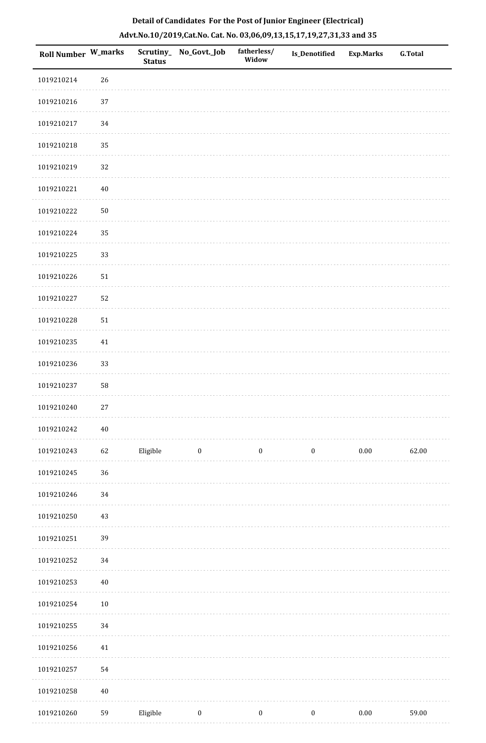| Roll Number W_marks |            | <b>Status</b> | Scrutiny_No_Govt._Job | fatherless/<br>Widow | <b>Is_Denotified</b> | <b>Exp.Marks</b> | <b>G.Total</b> |
|---------------------|------------|---------------|-----------------------|----------------------|----------------------|------------------|----------------|
| 1019210214          | 26         |               |                       |                      |                      |                  |                |
| 1019210216          | $37\,$     |               |                       |                      |                      |                  |                |
| 1019210217          | 34         |               |                       |                      |                      |                  |                |
| 1019210218          | 35         |               |                       |                      |                      |                  |                |
| 1019210219          | 32         |               |                       |                      |                      |                  |                |
| 1019210221          | $40\,$     |               |                       |                      |                      |                  |                |
| 1019210222          | ${\bf 50}$ |               |                       |                      |                      |                  |                |
| 1019210224          | 35         |               |                       |                      |                      |                  |                |
| 1019210225          | 33         |               |                       |                      |                      |                  |                |
| 1019210226          | 51         |               |                       |                      |                      |                  |                |
| 1019210227          | 52         |               |                       |                      |                      |                  |                |
| 1019210228          | 51         |               |                       |                      |                      |                  |                |
| 1019210235          | 41         |               |                       |                      |                      |                  |                |
| 1019210236          | 33         |               |                       |                      |                      |                  |                |
| 1019210237          | 58         |               |                       |                      |                      |                  |                |
| 1019210240          | $27\,$     |               |                       |                      |                      |                  |                |
| 1019210242          | $40\,$     |               |                       |                      |                      |                  |                |
| 1019210243          | 62         | Eligible      | $\bf{0}$              | $\boldsymbol{0}$     | $\bf{0}$             | $0.00\,$         | 62.00          |
| 1019210245          | 36         |               |                       |                      |                      |                  |                |
| 1019210246          | 34         |               |                       |                      |                      |                  |                |
| 1019210250          | 43         |               |                       |                      |                      |                  |                |
| 1019210251          | 39         |               |                       |                      |                      |                  |                |
| 1019210252          | 34         |               |                       |                      |                      |                  |                |
| 1019210253          | $40\,$     |               |                       |                      |                      |                  |                |
| 1019210254          | $10\,$     |               |                       |                      |                      |                  |                |
| 1019210255          | 34         |               |                       |                      |                      |                  |                |
| 1019210256          | $41\,$     |               |                       |                      |                      |                  |                |
| 1019210257          | 54         |               |                       |                      |                      |                  |                |
| 1019210258          | $40\,$     |               |                       |                      |                      |                  |                |
| 1019210260          | 59         | Eligible      | $\boldsymbol{0}$      | $\boldsymbol{0}$     | $\boldsymbol{0}$     | $0.00\,$         | 59.00          |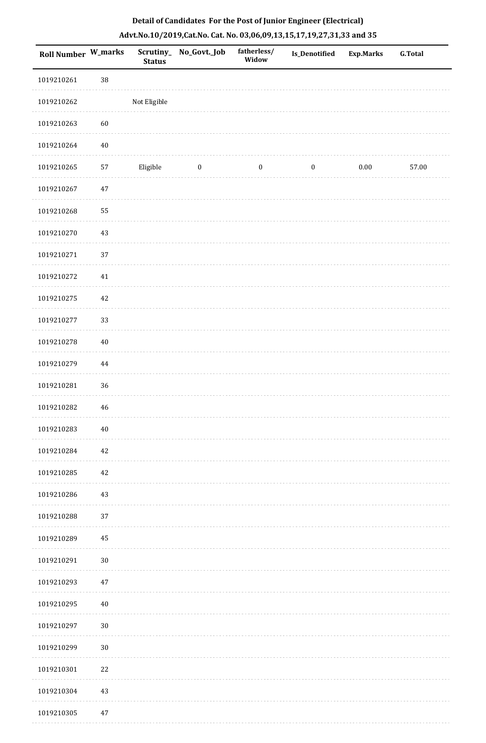| Detail of Candidates For the Post of Junior Engineer (Electrical)     |
|-----------------------------------------------------------------------|
| Advt.No.10/2019,Cat.No. Cat. No. 03,06,09,13,15,17,19,27,31,33 and 35 |

| <b>Roll Number W_marks</b> |          | Scrutiny_<br><b>Status</b> | No_Govt._Job     | fatherless/<br>Widow | Is_Denotified    | <b>Exp.Marks</b> | <b>G.Total</b> |
|----------------------------|----------|----------------------------|------------------|----------------------|------------------|------------------|----------------|
| 1019210261                 | 38       |                            |                  |                      |                  |                  |                |
| 1019210262                 |          | Not Eligible               |                  |                      |                  |                  |                |
| 1019210263                 | 60       |                            |                  |                      |                  |                  |                |
| 1019210264                 | $40\,$   |                            |                  |                      |                  |                  |                |
| 1019210265                 | 57       | Eligible                   | $\boldsymbol{0}$ | $\boldsymbol{0}$     | $\boldsymbol{0}$ | $0.00\,$         | 57.00          |
| 1019210267                 | $47\,$   |                            |                  |                      |                  |                  |                |
| 1019210268                 | 55       |                            |                  |                      |                  |                  |                |
| 1019210270                 | 43       |                            |                  |                      |                  |                  |                |
| 1019210271                 | 37       |                            |                  |                      |                  |                  |                |
| 1019210272                 | $41\,$   |                            |                  |                      |                  |                  |                |
| 1019210275                 | 42       |                            |                  |                      |                  |                  |                |
| 1019210277                 | 33       |                            |                  |                      |                  |                  |                |
| 1019210278                 | $40\,$   |                            |                  |                      |                  |                  |                |
| 1019210279                 | $\bf 44$ |                            |                  |                      |                  |                  |                |
| 1019210281                 | 36       |                            |                  |                      |                  |                  |                |
| 1019210282                 | 46       |                            |                  |                      |                  |                  |                |
| 1019210283                 | $40\,$   |                            |                  |                      |                  |                  |                |
| 1019210284                 | 42       |                            |                  |                      |                  |                  |                |
| 1019210285                 | 42       |                            |                  |                      |                  |                  |                |
| 1019210286                 | 43       |                            |                  |                      |                  |                  |                |
| 1019210288                 | 37       |                            |                  |                      |                  |                  |                |
| 1019210289                 | 45       |                            |                  |                      |                  |                  |                |
| 1019210291                 | $30\,$   |                            |                  |                      |                  |                  |                |
| 1019210293                 | 47       |                            |                  |                      |                  |                  |                |
| 1019210295                 | $40\,$   |                            |                  |                      |                  |                  |                |
| 1019210297                 | $30\,$   |                            |                  |                      |                  |                  |                |
| 1019210299                 | $30\,$   |                            |                  |                      |                  |                  |                |
| 1019210301                 | 22       |                            |                  |                      |                  |                  |                |
| 1019210304                 | 43       |                            |                  |                      |                  |                  |                |
| 1019210305                 | 47       |                            |                  |                      |                  |                  |                |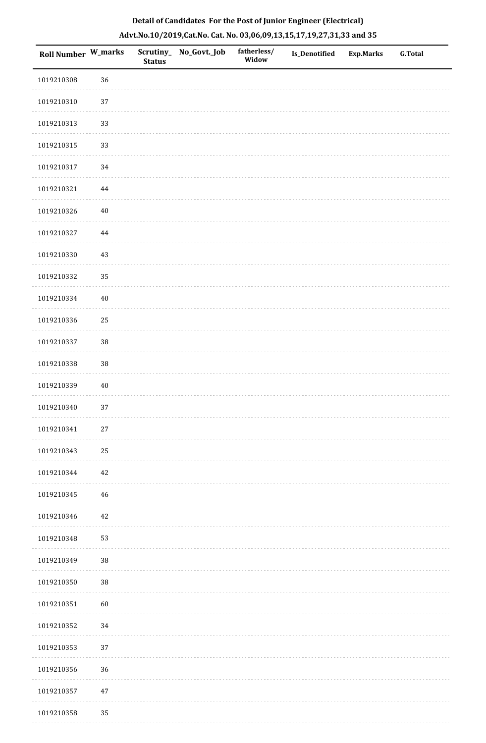| Roll Number W_marks |          | <b>Status</b> | Scrutiny_ No_Govt._Job | fatherless/<br>Widow | Is_Denotified | <b>Exp.Marks</b> | G.Total |
|---------------------|----------|---------------|------------------------|----------------------|---------------|------------------|---------|
| 1019210308          | 36       |               |                        |                      |               |                  |         |
| 1019210310          | 37       |               |                        |                      |               |                  |         |
| 1019210313          | 33       |               |                        |                      |               |                  |         |
| 1019210315          | 33       |               |                        |                      |               |                  |         |
| 1019210317          | 34       |               |                        |                      |               |                  |         |
| 1019210321          | $\bf 44$ |               |                        |                      |               |                  |         |
| 1019210326          | $40\,$   |               |                        |                      |               |                  |         |
| 1019210327          | 44       |               |                        |                      |               |                  |         |
| 1019210330          | 43       |               |                        |                      |               |                  |         |
| 1019210332          | 35       |               |                        |                      |               |                  |         |
| 1019210334          | $40\,$   |               |                        |                      |               |                  |         |
| 1019210336          | 25       |               |                        |                      |               |                  |         |
| 1019210337          | 38       |               |                        |                      |               |                  |         |
| 1019210338          | $38\,$   |               |                        |                      |               |                  |         |
| 1019210339          | $40\,$   |               |                        |                      |               |                  |         |
| 1019210340          | 37       |               |                        |                      |               |                  |         |
| 1019210341          | $27\,$   |               |                        |                      |               |                  |         |
| 1019210343          | 25       |               |                        |                      |               |                  |         |
| 1019210344          | 42       |               |                        |                      |               |                  |         |
| 1019210345          | 46       |               |                        |                      |               |                  |         |
| 1019210346          | $42\,$   |               |                        |                      |               |                  |         |
| 1019210348          | 53       |               |                        |                      |               |                  |         |
| 1019210349          | $38\,$   |               |                        |                      |               |                  |         |
| 1019210350          | $38\,$   |               |                        |                      |               |                  |         |
| 1019210351          | 60       |               |                        |                      |               |                  |         |
| 1019210352          | 34       |               |                        |                      |               |                  |         |
| 1019210353          | 37       |               |                        |                      |               |                  |         |
| 1019210356          | 36       |               |                        |                      |               |                  |         |
| 1019210357          | $47\,$   |               |                        |                      |               |                  |         |
| 1019210358          | 35       |               |                        |                      |               |                  |         |

. . . . . . . . . . .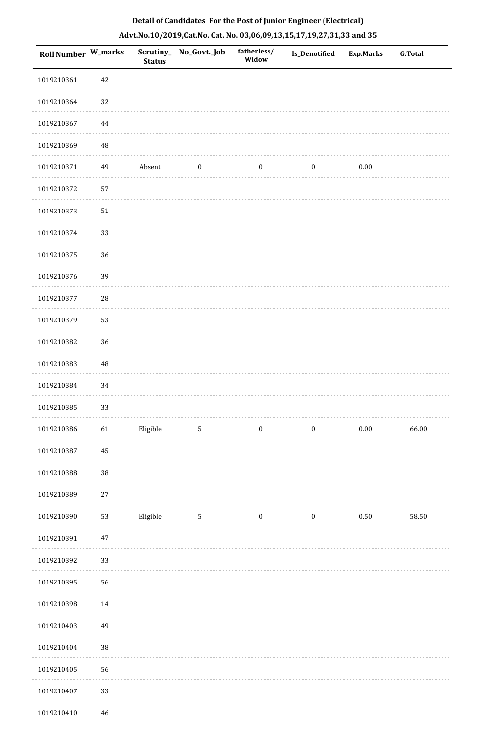| Roll Number W_marks |            | <b>Status</b> | Scrutiny_ No_Govt._Job | fatherless/<br>Widow | Is_Denotified    | <b>Exp.Marks</b> | <b>G.Total</b> |
|---------------------|------------|---------------|------------------------|----------------------|------------------|------------------|----------------|
| 1019210361          | 42         |               |                        |                      |                  |                  |                |
| 1019210364          | 32         |               |                        |                      |                  |                  |                |
| 1019210367          | 44         |               |                        |                      |                  |                  |                |
| 1019210369          | 48         |               |                        |                      |                  |                  |                |
| 1019210371          | 49         | Absent        | $\boldsymbol{0}$       | $\boldsymbol{0}$     | $\boldsymbol{0}$ | 0.00             |                |
| 1019210372          | 57         |               |                        |                      |                  |                  |                |
| 1019210373          | 51         |               |                        |                      |                  |                  |                |
| 1019210374          | 33         |               |                        |                      |                  |                  |                |
| 1019210375          | 36         |               |                        |                      |                  |                  |                |
| 1019210376          | 39         |               |                        |                      |                  |                  |                |
| 1019210377          | ${\bf 28}$ |               |                        |                      |                  |                  |                |
| 1019210379          | 53         |               |                        |                      |                  |                  |                |
| 1019210382          | 36         |               |                        |                      |                  |                  |                |
| 1019210383          | 48         |               |                        |                      |                  |                  |                |
| 1019210384          | 34         |               |                        |                      |                  |                  |                |
| 1019210385          | 33         |               |                        |                      |                  |                  |                |
| 1019210386          | $61\,$     | Eligible      | 5                      | $\boldsymbol{0}$     | $\boldsymbol{0}$ | 0.00             | 66.00          |
| 1019210387          | $45\,$     |               |                        |                      |                  |                  |                |
| 1019210388          | $38\,$     |               |                        |                      |                  |                  |                |
| 1019210389          | $27\,$     |               |                        |                      |                  |                  |                |
| 1019210390          | 53         | Eligible      | $\mathbf{5}$           | $\boldsymbol{0}$     | $\boldsymbol{0}$ | $0.50\,$         | 58.50          |
| 1019210391          | 47         |               |                        |                      |                  |                  |                |
| 1019210392          | 33         |               |                        |                      |                  |                  |                |
| 1019210395          | 56         |               |                        |                      |                  |                  |                |
| 1019210398          | 14         |               |                        |                      |                  |                  |                |
| 1019210403          | 49         |               |                        |                      |                  |                  |                |
| 1019210404          | $38\,$     |               |                        |                      |                  |                  |                |
| 1019210405          | 56         |               |                        |                      |                  |                  |                |
| 1019210407          | 33         |               |                        |                      |                  |                  |                |
| 1019210410          | 46         |               |                        |                      |                  |                  |                |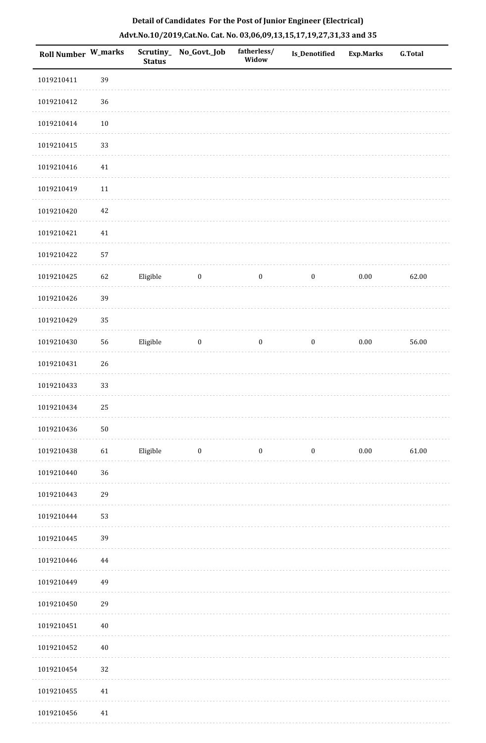| Roll Number W_marks |        | <b>Status</b> | Scrutiny_No_Govt._Job | fatherless/<br>Widow | Is_Denotified    | <b>Exp.Marks</b> | <b>G.Total</b> |
|---------------------|--------|---------------|-----------------------|----------------------|------------------|------------------|----------------|
| 1019210411          | 39     |               |                       |                      |                  |                  |                |
| 1019210412          | 36     |               |                       |                      |                  |                  |                |
| 1019210414          | $10\,$ |               |                       |                      |                  |                  |                |
| 1019210415          | 33     |               |                       |                      |                  |                  |                |
| 1019210416          | $41\,$ |               |                       |                      |                  |                  |                |
| 1019210419          | 11     |               |                       |                      |                  |                  |                |
| 1019210420          | $42\,$ |               |                       |                      |                  |                  |                |
| 1019210421          | $41\,$ |               |                       |                      |                  |                  |                |
| 1019210422          | 57     |               |                       |                      |                  |                  |                |
| 1019210425          | 62     | Eligible      | $\boldsymbol{0}$      | $\boldsymbol{0}$     | $\boldsymbol{0}$ | $0.00\,$         | 62.00          |
| 1019210426          | 39     |               |                       |                      |                  |                  |                |
| 1019210429          | 35     |               |                       |                      |                  |                  |                |
| 1019210430          | 56     | Eligible      | $\boldsymbol{0}$      | $\boldsymbol{0}$     | $\bf{0}$         | $0.00\,$         | 56.00          |
| 1019210431          | 26     |               |                       |                      |                  |                  |                |
| 1019210433          | 33     |               |                       |                      |                  |                  |                |
| 1019210434          | 25     |               |                       |                      |                  |                  |                |
| 1019210436          | $50\,$ |               |                       |                      |                  |                  |                |
| 1019210438          | 61     | Eligible      | $\boldsymbol{0}$      | $\boldsymbol{0}$     | $\boldsymbol{0}$ | $0.00\,$         | 61.00          |
| 1019210440          | 36     |               |                       |                      |                  |                  |                |
| 1019210443          | 29     |               |                       |                      |                  |                  |                |
| 1019210444          | 53     |               |                       |                      |                  |                  |                |
| 1019210445          | 39     |               |                       |                      |                  |                  |                |
| 1019210446          | 44     |               |                       |                      |                  |                  |                |
| 1019210449          | 49     |               |                       |                      |                  |                  |                |
| 1019210450          | 29     |               |                       |                      |                  |                  |                |
| 1019210451          | $40\,$ |               |                       |                      |                  |                  |                |
| 1019210452          | 40     |               |                       |                      |                  |                  |                |
| 1019210454          | 32     |               |                       |                      |                  |                  |                |
| 1019210455          | $41\,$ |               |                       |                      |                  |                  |                |
| 1019210456          | 41     |               |                       |                      |                  |                  |                |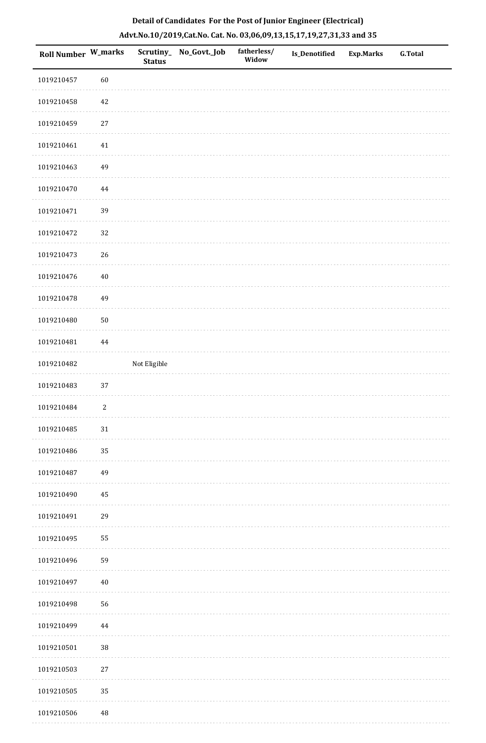| <b>Roll Number W_marks</b> |            | Scrutiny_<br><b>Status</b> | No_Govt._Job | fatherless/<br>Widow | Is_Denotified | <b>Exp.Marks</b> | <b>G.Total</b> |
|----------------------------|------------|----------------------------|--------------|----------------------|---------------|------------------|----------------|
| 1019210457                 | 60         |                            |              |                      |               |                  |                |
| 1019210458                 | 42         |                            |              |                      |               |                  |                |
| 1019210459                 | $27\,$     |                            |              |                      |               |                  |                |
| 1019210461                 | 41         |                            |              |                      |               |                  |                |
| 1019210463                 | 49         |                            |              |                      |               |                  |                |
| 1019210470                 | $\bf 44$   |                            |              |                      |               |                  |                |
| 1019210471                 | 39         |                            |              |                      |               |                  |                |
| 1019210472                 | 32         |                            |              |                      |               |                  |                |
| 1019210473                 | 26         |                            |              |                      |               |                  |                |
| 1019210476                 | $40\,$     |                            |              |                      |               |                  |                |
| 1019210478                 | 49         |                            |              |                      |               |                  |                |
| 1019210480                 | $50\,$     |                            |              |                      |               |                  |                |
| 1019210481                 | 44         |                            |              |                      |               |                  |                |
| 1019210482                 |            | Not Eligible               |              |                      |               |                  |                |
| 1019210483                 | 37         |                            |              |                      |               |                  |                |
| 1019210484                 | $\sqrt{2}$ |                            |              |                      |               |                  |                |
| 1019210485                 | $31\,$     |                            |              |                      |               |                  |                |
| 1019210486                 | 35         |                            |              |                      |               |                  |                |
| 1019210487                 | 49         |                            |              |                      |               |                  |                |
| 1019210490                 | 45         |                            |              |                      |               |                  |                |
| 1019210491                 | 29         |                            |              |                      |               |                  |                |
| 1019210495                 | 55         |                            |              |                      |               |                  |                |
| 1019210496                 | 59         |                            |              |                      |               |                  |                |
| 1019210497                 | $40\,$     |                            |              |                      |               |                  |                |
| 1019210498                 | 56         |                            |              |                      |               |                  |                |
| 1019210499                 | 44         |                            |              |                      |               |                  |                |
| 1019210501                 | $38\,$     |                            |              |                      |               |                  |                |
| 1019210503                 | $27\,$     |                            |              |                      |               |                  |                |
| 1019210505                 | 35         |                            |              |                      |               |                  |                |
| 1019210506                 | $\bf 48$   |                            |              |                      |               |                  |                |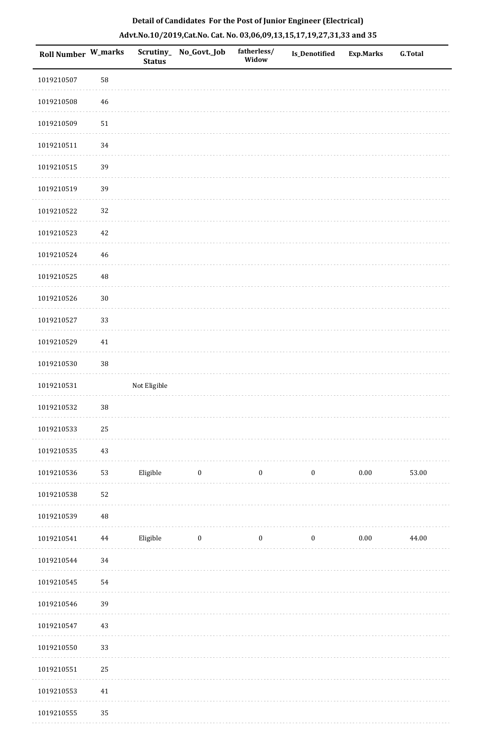| Roll Number W_marks |             | <b>Status</b> | Scrutiny_ No_Govt._Job | fatherless/<br>Widow | <b>Is_Denotified</b> | <b>Exp.Marks</b> | <b>G.Total</b> |
|---------------------|-------------|---------------|------------------------|----------------------|----------------------|------------------|----------------|
| 1019210507          | 58          |               |                        |                      |                      |                  |                |
| 1019210508          | $\sqrt{46}$ |               |                        |                      |                      |                  |                |
| 1019210509          | 51          |               |                        |                      |                      |                  |                |
| 1019210511          | 34          |               |                        |                      |                      |                  |                |
| 1019210515          | 39          |               |                        |                      |                      |                  |                |
| 1019210519          | 39          |               |                        |                      |                      |                  |                |
| 1019210522          | 32          |               |                        |                      |                      |                  |                |
| 1019210523          | $42\,$      |               |                        |                      |                      |                  |                |
| 1019210524          | $\sqrt{46}$ |               |                        |                      |                      |                  |                |
| 1019210525          | $\rm 48$    |               |                        |                      |                      |                  |                |
| 1019210526          | $30\,$      |               |                        |                      |                      |                  |                |
| 1019210527          | 33          |               |                        |                      |                      |                  |                |
| 1019210529          | $41\,$      |               |                        |                      |                      |                  |                |
| 1019210530          | $38\,$      |               |                        |                      |                      |                  |                |
| 1019210531          |             | Not Eligible  |                        |                      |                      |                  |                |
| 1019210532          | 38          |               |                        |                      |                      |                  |                |
| 1019210533          | $25\,$      |               |                        |                      |                      |                  |                |
| 1019210535          | 43          |               |                        |                      |                      |                  |                |
| 1019210536          | 53          | Eligible      | $\boldsymbol{0}$       | $\boldsymbol{0}$     | $\boldsymbol{0}$     | $0.00\,$         | 53.00          |
| 1019210538          | 52          |               |                        |                      |                      |                  |                |
| 1019210539          | $\sqrt{48}$ |               |                        |                      |                      |                  |                |
| 1019210541          | $\bf 44$    | Eligible      | $\boldsymbol{0}$       | $\boldsymbol{0}$     | $\boldsymbol{0}$     | $0.00\,$         | 44.00          |
| 1019210544          | 34          |               |                        |                      |                      |                  |                |
| 1019210545          | 54          |               |                        |                      |                      |                  |                |
| 1019210546          | 39          |               |                        |                      |                      |                  |                |
| 1019210547          | 43          |               |                        |                      |                      |                  |                |
| 1019210550          | 33          |               |                        |                      |                      |                  |                |
| 1019210551          | 25          |               |                        |                      |                      |                  |                |
| 1019210553          | $41\,$      |               |                        |                      |                      |                  |                |
| 1010210555          | 25          |               |                        |                      |                      |                  |                |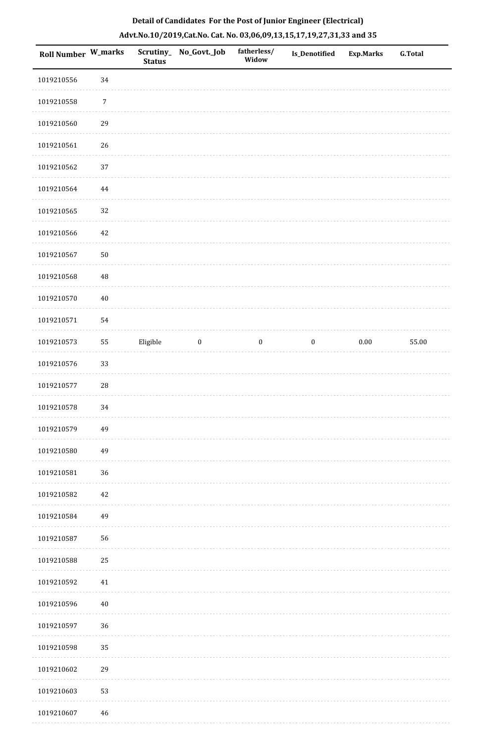| Roll Number W_marks |                  | <b>Status</b> | Scrutiny_ No_Govt._Job | fatherless/<br>Widow | Is_Denotified    | <b>Exp.Marks</b> | <b>G.Total</b> |
|---------------------|------------------|---------------|------------------------|----------------------|------------------|------------------|----------------|
| 1019210556          | 34               |               |                        |                      |                  |                  |                |
| 1019210558          | $\boldsymbol{7}$ |               |                        |                      |                  |                  |                |
| 1019210560          | 29               |               |                        |                      |                  |                  |                |
| 1019210561          | 26               |               |                        |                      |                  |                  |                |
| 1019210562          | $37\,$           |               |                        |                      |                  |                  |                |
| 1019210564          | $\bf 44$         |               |                        |                      |                  |                  |                |
| 1019210565          | 32               |               |                        |                      |                  |                  |                |
| 1019210566          | 42               |               |                        |                      |                  |                  |                |
| 1019210567          | 50               |               |                        |                      |                  |                  |                |
| 1019210568          | 48               |               |                        |                      |                  |                  |                |
| 1019210570          | $40\,$           |               |                        |                      |                  |                  |                |
| 1019210571          | 54               |               |                        |                      |                  |                  |                |
| 1019210573          | 55               | Eligible      | $\boldsymbol{0}$       | $\boldsymbol{0}$     | $\boldsymbol{0}$ | $0.00\,$         | 55.00          |
| 1019210576          | 33               |               |                        |                      |                  |                  |                |
| 1019210577          | ${\bf 28}$       |               |                        |                      |                  |                  |                |
| 1019210578          | 34               |               |                        |                      |                  |                  |                |
| 1019210579          | 49               |               |                        |                      |                  |                  |                |
| 1019210580          | 49               |               |                        |                      |                  |                  |                |
| 1019210581          | 36               |               |                        |                      |                  |                  |                |
| 1019210582          | 42               |               |                        |                      |                  |                  |                |
| 1019210584          | 49               |               |                        |                      |                  |                  |                |
| 1019210587          | 56               |               |                        |                      |                  |                  |                |
| 1019210588          | $25\,$           |               |                        |                      |                  |                  |                |
| 1019210592          | $41\,$           |               |                        |                      |                  |                  |                |
| 1019210596          | $40\,$           |               |                        |                      |                  |                  |                |
| 1019210597          | 36               |               |                        |                      |                  |                  |                |
| 1019210598          | 35               |               |                        |                      |                  |                  |                |
| 1019210602          | 29               |               |                        |                      |                  |                  |                |
| 1019210603          | 53               |               |                        |                      |                  |                  |                |
| 1019210607          | 46               |               |                        |                      |                  |                  |                |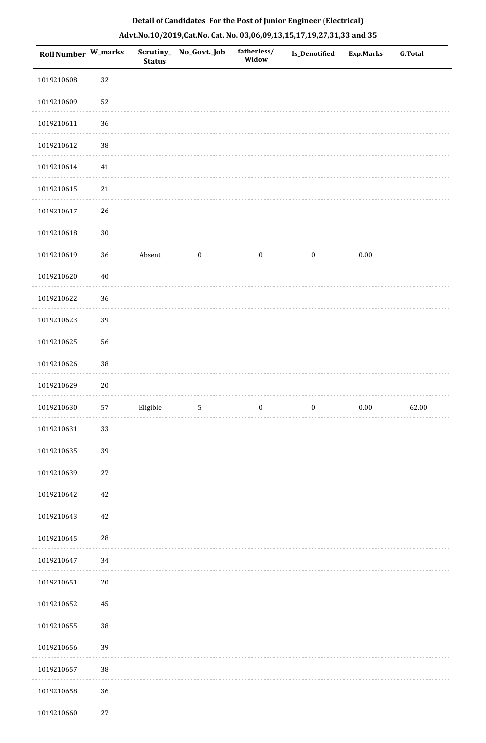| <b>Roll Number W_marks</b> |        | <b>Status</b> | Scrutiny_ No_Govt._Job | fatherless/<br>Widow | Is_Denotified    | <b>Exp.Marks</b> | G.Total |
|----------------------------|--------|---------------|------------------------|----------------------|------------------|------------------|---------|
| 1019210608                 | 32     |               |                        |                      |                  |                  |         |
| 1019210609                 | 52     |               |                        |                      |                  |                  |         |
| 1019210611                 | 36     |               |                        |                      |                  |                  |         |
| 1019210612                 | $38\,$ |               |                        |                      |                  |                  |         |
| 1019210614                 | 41     |               |                        |                      |                  |                  |         |
| 1019210615                 | $21\,$ |               |                        |                      |                  |                  |         |
| 1019210617                 | $26\,$ |               |                        |                      |                  |                  |         |
| 1019210618                 | $30\,$ |               |                        |                      |                  |                  |         |
| 1019210619                 | 36     | Absent        | $\boldsymbol{0}$       | $\boldsymbol{0}$     | $\boldsymbol{0}$ | $0.00\,$         |         |
| 1019210620                 | $40\,$ |               |                        |                      |                  |                  |         |
| 1019210622                 | 36     |               |                        |                      |                  |                  |         |
| 1019210623                 | 39     |               |                        |                      |                  |                  |         |
| 1019210625                 | 56     |               |                        |                      |                  |                  |         |
| 1019210626                 | $38\,$ |               |                        |                      |                  |                  |         |
| 1019210629                 | $20\,$ |               |                        |                      |                  |                  |         |
| 1019210630                 | 57     | Eligible      | $\sqrt{5}$             | $\boldsymbol{0}$     | $\boldsymbol{0}$ | $0.00\,$         | 62.00   |
| 1019210631                 | 33     |               |                        |                      |                  |                  |         |
| 1019210635                 | 39     |               |                        |                      |                  |                  |         |
| 1019210639                 | 27     |               |                        |                      |                  |                  |         |
| 1019210642                 | 42     |               |                        |                      |                  |                  |         |
| 1019210643                 | 42     |               |                        |                      |                  |                  |         |
| 1019210645                 | $28\,$ |               |                        |                      |                  |                  |         |
| 1019210647                 | 34     |               |                        |                      |                  |                  |         |
| 1019210651                 | $20\,$ |               |                        |                      |                  |                  |         |
| 1019210652                 | 45     |               |                        |                      |                  |                  |         |
| 1019210655                 | $38\,$ |               |                        |                      |                  |                  |         |
| 1019210656                 | 39     |               |                        |                      |                  |                  |         |
| 1019210657                 | 38     |               |                        |                      |                  |                  |         |
| 1019210658                 | 36     |               |                        |                      |                  |                  |         |
| 1010210660                 | 27     |               |                        |                      |                  |                  |         |

# **Detail of Candidates For the Post of Junior Engineer (Electrical) Advt.No.10/2019,Cat.No. Cat. No. 03,06,09,13,15,17,19,27,31,33 and 35**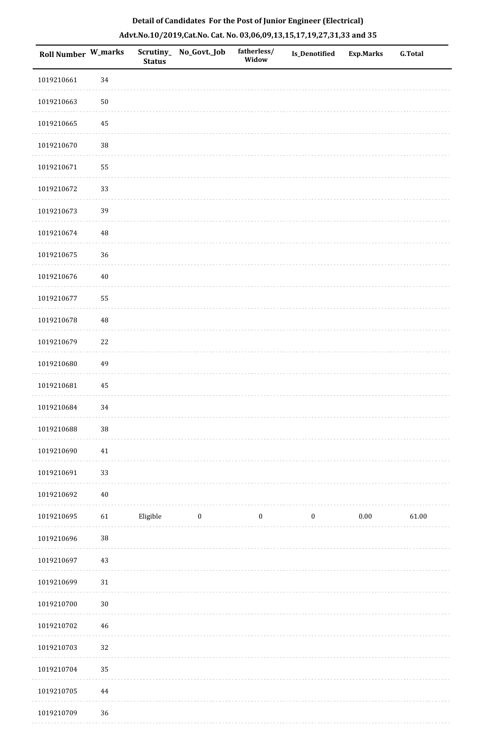| Roll Number W_marks |          | <b>Status</b> | Scrutiny_No_Govt._Job | fatherless/<br>Widow | <b>Is_Denotified</b> | <b>Exp.Marks</b> | <b>G.Total</b> |
|---------------------|----------|---------------|-----------------------|----------------------|----------------------|------------------|----------------|
| 1019210661          | 34       |               |                       |                      |                      |                  |                |
| 1019210663          | $50\,$   |               |                       |                      |                      |                  |                |
| 1019210665          | 45       |               |                       |                      |                      |                  |                |
| 1019210670          | 38       |               |                       |                      |                      |                  |                |
| 1019210671          | 55       |               |                       |                      |                      |                  |                |
| 1019210672          | 33       |               |                       |                      |                      |                  |                |
| 1019210673          | 39       |               |                       |                      |                      |                  |                |
| 1019210674          | 48       |               |                       |                      |                      |                  |                |
| 1019210675          | 36       |               |                       |                      |                      |                  |                |
| 1019210676          | $40\,$   |               |                       |                      |                      |                  |                |
| 1019210677          | 55       |               |                       |                      |                      |                  |                |
| 1019210678          | 48       |               |                       |                      |                      |                  |                |
| 1019210679          | $22\,$   |               |                       |                      |                      |                  |                |
| 1019210680          | 49       |               |                       |                      |                      |                  |                |
| 1019210681          | $\bf 45$ |               |                       |                      |                      |                  |                |
| 1019210684          | 34       |               |                       |                      |                      |                  |                |
| 1019210688          | $38\,$   |               |                       |                      |                      |                  |                |
| 1019210690          | $41\,$   |               |                       |                      |                      |                  |                |
| 1019210691          | 33       |               |                       |                      |                      |                  |                |
| 1019210692          | $40\,$   |               |                       |                      |                      |                  |                |
| 1019210695          | 61       | Eligible      | $\bf{0}$              | $\boldsymbol{0}$     | $\boldsymbol{0}$     | $0.00\,$         | 61.00          |
| 1019210696          | 38       |               |                       |                      |                      |                  |                |
| 1019210697          | $43\,$   |               |                       |                      |                      |                  |                |
| 1019210699          | 31       |               |                       |                      |                      |                  |                |
| 1019210700          | $30\,$   |               |                       |                      |                      |                  |                |
| 1019210702          | $46\,$   |               |                       |                      |                      |                  |                |
| 1019210703          | 32       |               |                       |                      |                      |                  |                |
| 1019210704          | 35       |               |                       |                      |                      |                  |                |
| 1019210705          | 44       |               |                       |                      |                      |                  |                |
| 1019210709          | 36       |               |                       |                      |                      |                  |                |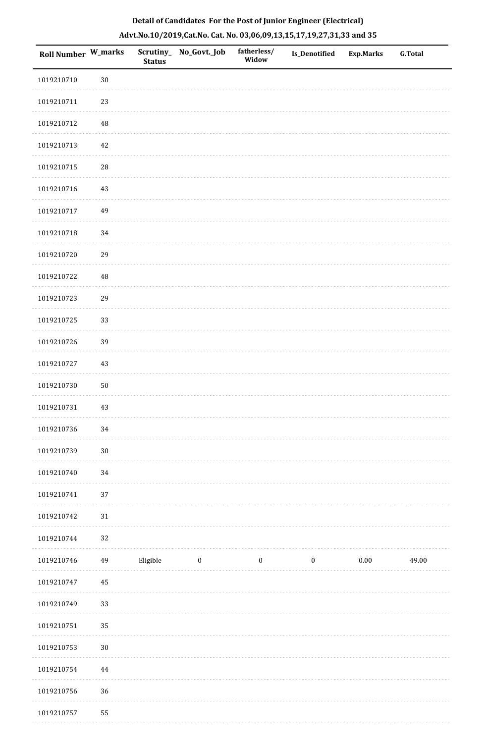| <b>Roll Number W_marks</b> |             | <b>Status</b> | Scrutiny_ No_Govt._Job | fatherless/<br>Widow | <b>Is_Denotified</b> | <b>Exp.Marks</b> | <b>G.Total</b> |
|----------------------------|-------------|---------------|------------------------|----------------------|----------------------|------------------|----------------|
| 1019210710                 | $30\,$      |               |                        |                      |                      |                  |                |
| 1019210711                 | 23          |               |                        |                      |                      |                  |                |
| 1019210712                 | $\rm 48$    |               |                        |                      |                      |                  |                |
| 1019210713                 | 42          |               |                        |                      |                      |                  |                |
| 1019210715                 | $\sqrt{28}$ |               |                        |                      |                      |                  |                |
| 1019210716                 | 43          |               |                        |                      |                      |                  |                |
| 1019210717                 | 49          |               |                        |                      |                      |                  |                |
| 1019210718                 | 34          |               |                        |                      |                      |                  |                |
| 1019210720                 | 29          |               |                        |                      |                      |                  |                |
| 1019210722                 | 48          |               |                        |                      |                      |                  |                |
| 1019210723                 | 29          |               |                        |                      |                      |                  |                |
| 1019210725                 | 33          |               |                        |                      |                      |                  |                |
| 1019210726                 | 39          |               |                        |                      |                      |                  |                |
| 1019210727                 | 43          |               |                        |                      |                      |                  |                |
| 1019210730                 | 50          |               |                        |                      |                      |                  |                |
| 1019210731                 | 43          |               |                        |                      |                      |                  |                |
| 1019210736                 | 34          |               |                        |                      |                      |                  |                |
| 1019210739                 | $30\,$      |               |                        |                      |                      |                  |                |
| 1019210740                 | 34          |               |                        |                      |                      |                  |                |
| 1019210741                 | 37          |               |                        |                      |                      |                  |                |
| 1019210742                 | 31          |               |                        |                      |                      |                  |                |
| 1019210744                 | 32          |               |                        |                      |                      |                  |                |
| 1019210746                 | 49          | Eligible      | $\boldsymbol{0}$       | $\boldsymbol{0}$     | $\boldsymbol{0}$     | $0.00\,$         | 49.00          |
| 1019210747                 | 45          |               |                        |                      |                      |                  |                |
| 1019210749                 | 33          |               |                        |                      |                      |                  |                |
| 1019210751                 | 35          |               |                        |                      |                      |                  |                |
| 1019210753                 | $30\,$      |               |                        |                      |                      |                  |                |
| 1019210754                 | 44          |               |                        |                      |                      |                  |                |
| 1019210756                 | 36          |               |                        |                      |                      |                  |                |
| 1019210757                 | 55          |               |                        |                      |                      |                  |                |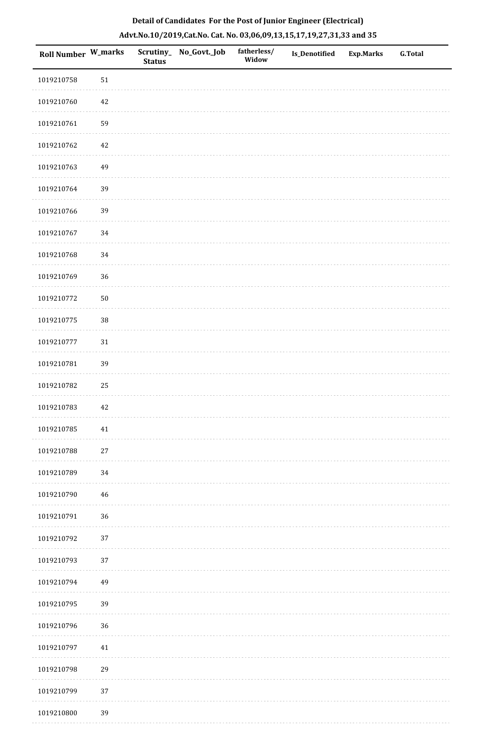| Roll Number W_marks |        | <b>Status</b> | Scrutiny_ No_Govt._Job | fatherless/<br>Widow | <b>Is_Denotified</b> | <b>Exp.Marks</b> | <b>G.Total</b> |
|---------------------|--------|---------------|------------------------|----------------------|----------------------|------------------|----------------|
| 1019210758          | 51     |               |                        |                      |                      |                  |                |
| 1019210760          | 42     |               |                        |                      |                      |                  |                |
| 1019210761          | 59     |               |                        |                      |                      |                  |                |
| 1019210762          | 42     |               |                        |                      |                      |                  |                |
| 1019210763          | 49     |               |                        |                      |                      |                  |                |
| 1019210764          | 39     |               |                        |                      |                      |                  |                |
| 1019210766          | 39     |               |                        |                      |                      |                  |                |
| 1019210767          | 34     |               |                        |                      |                      |                  |                |
| 1019210768          | 34     |               |                        |                      |                      |                  |                |
| 1019210769          | 36     |               |                        |                      |                      |                  |                |
| 1019210772          | 50     |               |                        |                      |                      |                  |                |
| 1019210775          | $38\,$ |               |                        |                      |                      |                  |                |
| 1019210777          | 31     |               |                        |                      |                      |                  |                |
| 1019210781          | 39     |               |                        |                      |                      |                  |                |
| 1019210782          | 25     |               |                        |                      |                      |                  |                |
| 1019210783          | 42     |               |                        |                      |                      |                  |                |
| 1019210785          | 41     |               |                        |                      |                      |                  |                |
| 1019210788          | $27\,$ |               |                        |                      |                      |                  |                |
| 1019210789          | 34     |               |                        |                      |                      |                  |                |
| 1019210790          | 46     |               |                        |                      |                      |                  |                |
| 1019210791          | 36     |               |                        |                      |                      |                  |                |
| 1019210792          | 37     |               |                        |                      |                      |                  |                |
| 1019210793          | 37     |               |                        |                      |                      |                  |                |
| 1019210794          | 49     |               |                        |                      |                      |                  |                |
| 1019210795          | 39     |               |                        |                      |                      |                  |                |
| 1019210796          | 36     |               |                        |                      |                      |                  |                |
| 1019210797          | $41\,$ |               |                        |                      |                      |                  |                |
| 1019210798          | 29     |               |                        |                      |                      |                  |                |
| 1019210799          | 37     |               |                        |                      |                      |                  |                |
| 1019210800          | 39     |               |                        |                      |                      |                  |                |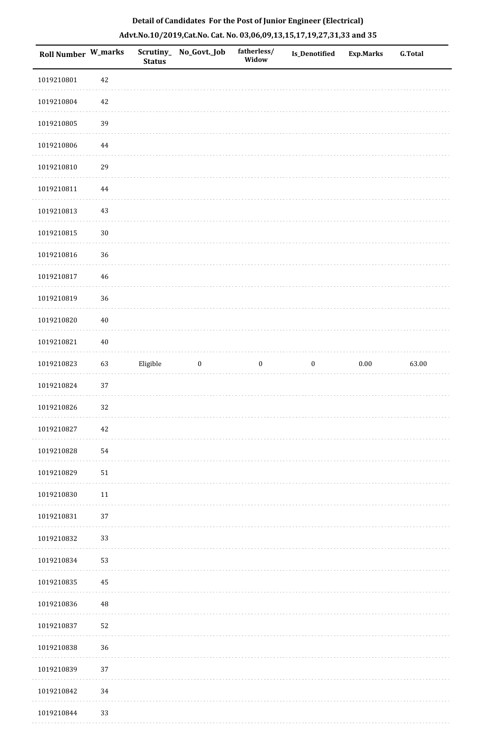| <b>Roll Number W_marks</b> |          | <b>Status</b> | Scrutiny_ No_Govt._Job | fatherless/<br>Widow | Is_Denotified    | <b>Exp.Marks</b> | G.Total |
|----------------------------|----------|---------------|------------------------|----------------------|------------------|------------------|---------|
| 1019210801                 | 42       |               |                        |                      |                  |                  |         |
| 1019210804                 | $42\,$   |               |                        |                      |                  |                  |         |
| 1019210805                 | 39       |               |                        |                      |                  |                  |         |
| 1019210806                 | 44       |               |                        |                      |                  |                  |         |
| 1019210810                 | 29       |               |                        |                      |                  |                  |         |
| 1019210811                 | $\bf 44$ |               |                        |                      |                  |                  |         |
| 1019210813                 | 43       |               |                        |                      |                  |                  |         |
| 1019210815                 | $30\,$   |               |                        |                      |                  |                  |         |
| 1019210816                 | 36       |               |                        |                      |                  |                  |         |
| 1019210817                 | 46       |               |                        |                      |                  |                  |         |
| 1019210819                 | 36       |               |                        |                      |                  |                  |         |
| 1019210820                 | $40\,$   |               |                        |                      |                  |                  |         |
| 1019210821                 | $40\,$   |               |                        |                      |                  |                  |         |
| 1019210823                 | 63       | Eligible      | $\boldsymbol{0}$       | $\boldsymbol{0}$     | $\boldsymbol{0}$ | $0.00\,$         | 63.00   |
| 1019210824                 | 37       |               |                        |                      |                  |                  |         |
| 1019210826                 | 32       |               |                        |                      |                  |                  |         |
| 1019210827                 | 42       |               |                        |                      |                  |                  |         |
| 1019210828                 | 54       |               |                        |                      |                  |                  |         |
| 1019210829                 | 51       |               |                        |                      |                  |                  |         |
| 1019210830                 | 11       |               |                        |                      |                  |                  |         |
| 1019210831                 | 37       |               |                        |                      |                  |                  |         |
| 1019210832                 | 33       |               |                        |                      |                  |                  |         |
| 1019210834                 | 53       |               |                        |                      |                  |                  |         |
| 1019210835                 | 45       |               |                        |                      |                  |                  |         |
| 1019210836                 | $\rm 48$ |               |                        |                      |                  |                  |         |
| 1019210837                 | 52       |               |                        |                      |                  |                  |         |
| 1019210838                 | 36       |               |                        |                      |                  |                  |         |
| 1019210839                 | 37       |               |                        |                      |                  |                  |         |
| 1019210842                 | 34       |               |                        |                      |                  |                  |         |
| 1019210844                 | 33       |               |                        |                      |                  |                  |         |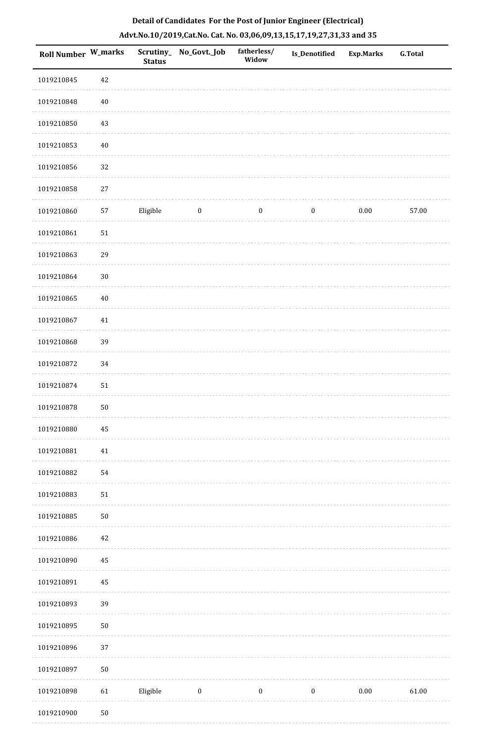| Roll Number W_marks |            | <b>Status</b> | Scrutiny_No_Govt._Job | fatherless/<br>Widow | Is_Denotified    | <b>Exp.Marks</b> | <b>G.Total</b> |
|---------------------|------------|---------------|-----------------------|----------------------|------------------|------------------|----------------|
| 1019210845          | $42\,$     |               |                       |                      |                  |                  |                |
| 1019210848          | $40\,$     |               |                       |                      |                  |                  |                |
| 1019210850          | 43         |               |                       |                      |                  |                  |                |
| 1019210853          | $40\,$     |               |                       |                      |                  |                  |                |
| 1019210856          | 32         |               |                       |                      |                  |                  |                |
| 1019210858          | $27\,$     |               |                       |                      |                  |                  |                |
| 1019210860          | 57         | Eligible      | $\boldsymbol{0}$      | $\boldsymbol{0}$     | $\boldsymbol{0}$ | $0.00\,$         | 57.00          |
| 1019210861          | ${\bf 51}$ |               |                       |                      |                  |                  |                |
| 1019210863          | 29         |               |                       |                      |                  |                  |                |
| 1019210864          | $30\,$     |               |                       |                      |                  |                  |                |
| 1019210865          | $40\,$     |               |                       |                      |                  |                  |                |
| 1019210867          | $41\,$     |               |                       |                      |                  |                  |                |
| 1019210868          | 39         |               |                       |                      |                  |                  |                |
| 1019210872          | 34         |               |                       |                      |                  |                  |                |
| 1019210874          | $51\,$     |               |                       |                      |                  |                  |                |
| 1019210878          | $50\,$     |               |                       |                      |                  |                  |                |
| 1019210880          | 45         |               |                       |                      |                  |                  |                |
| 1019210881          | $41\,$     |               |                       |                      |                  |                  |                |
| 1019210882          | 54         |               |                       |                      |                  |                  |                |
| 1019210883          | $51\,$     |               |                       |                      |                  |                  |                |
| 1019210885          | $50\,$     |               |                       |                      |                  |                  |                |
| 1019210886          | $42\,$     |               |                       |                      |                  |                  |                |
| 1019210890          | $\bf 45$   |               |                       |                      |                  |                  |                |
| 1019210891          | 45         |               |                       |                      |                  |                  |                |
| 1019210893          | 39         |               |                       |                      |                  |                  |                |
| 1019210895          | $50\,$     |               |                       |                      |                  |                  |                |
| 1019210896          | 37         |               |                       |                      |                  |                  |                |
| 1019210897          | $50\,$     |               |                       |                      |                  |                  |                |
| 1019210898          | 61         | Eligible      | $\boldsymbol{0}$      | $\boldsymbol{0}$     | $\boldsymbol{0}$ | 0.00             | 61.00          |
| 1019210900          | $50\,$     |               |                       |                      |                  |                  |                |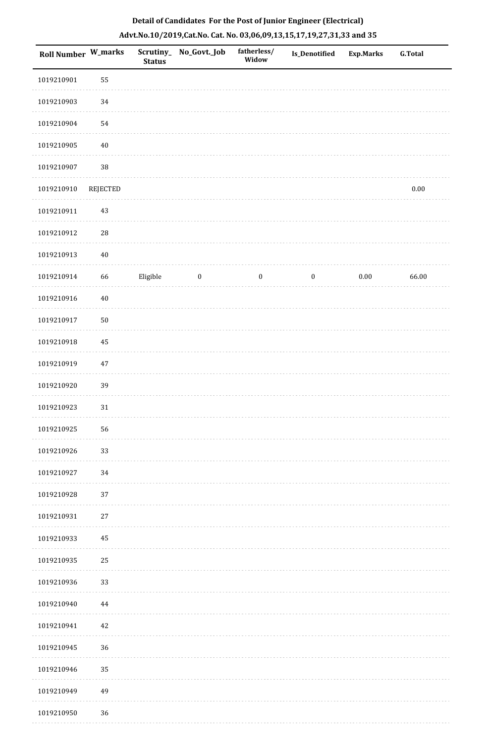|  | Detail of Candidates For the Post of Junior Engineer (Electrical)     |  |
|--|-----------------------------------------------------------------------|--|
|  | Advt.No.10/2019,Cat.No. Cat. No. 03,06,09,13,15,17,19,27,31,33 and 35 |  |

| <b>Roll Number W_marks</b> |          | <b>Status</b> | Scrutiny_No_Govt._Job | fatherless/<br>Widow | <b>Is_Denotified</b> | <b>Exp.Marks</b> | <b>G.Total</b> |
|----------------------------|----------|---------------|-----------------------|----------------------|----------------------|------------------|----------------|
| 1019210901                 | 55       |               |                       |                      |                      |                  |                |
| 1019210903                 | $34\,$   |               |                       |                      |                      |                  |                |
| 1019210904                 | 54       |               |                       |                      |                      |                  |                |
| 1019210905                 | $40\,$   |               |                       |                      |                      |                  |                |
| 1019210907                 | $38\,$   |               |                       |                      |                      |                  |                |
| 1019210910                 | REJECTED |               |                       |                      |                      |                  | $0.00\,$       |
| 1019210911                 | 43       |               |                       |                      |                      |                  |                |
| 1019210912                 | $28\,$   |               |                       |                      |                      |                  |                |
| 1019210913                 | $40\,$   |               |                       |                      |                      |                  |                |
| 1019210914                 | 66       | Eligible      | $\boldsymbol{0}$      | $\boldsymbol{0}$     | $\boldsymbol{0}$     | $0.00\,$         | 66.00          |
| 1019210916                 | $40\,$   |               |                       |                      |                      |                  |                |
| 1019210917                 | $50\,$   |               |                       |                      |                      |                  |                |
| 1019210918                 | 45       |               |                       |                      |                      |                  |                |
| 1019210919                 | $47\,$   |               |                       |                      |                      |                  |                |
| 1019210920                 | 39       |               |                       |                      |                      |                  |                |
| 1019210923                 | $31\,$   |               |                       |                      |                      |                  |                |
| 1019210925                 | 56       |               |                       |                      |                      |                  |                |
| 1019210926                 | 33       |               |                       |                      |                      |                  |                |
| 1019210927                 | $34\,$   |               |                       |                      |                      |                  |                |
| 1019210928                 | 37       |               |                       |                      |                      |                  |                |
| 1019210931                 | $27\,$   |               |                       |                      |                      |                  |                |
| 1019210933                 | 45       |               |                       |                      |                      |                  |                |
| 1019210935                 | 25       |               |                       |                      |                      |                  |                |
| 1019210936                 | 33       |               |                       |                      |                      |                  |                |
| 1019210940                 | 44       |               |                       |                      |                      |                  |                |
| 1019210941                 | 42       |               |                       |                      |                      |                  |                |
| 1019210945                 | 36       |               |                       |                      |                      |                  |                |
| 1019210946                 | 35       |               |                       |                      |                      |                  |                |
| 1019210949                 | 49       |               |                       |                      |                      |                  |                |
| 1019210950                 | 36       |               |                       |                      |                      |                  |                |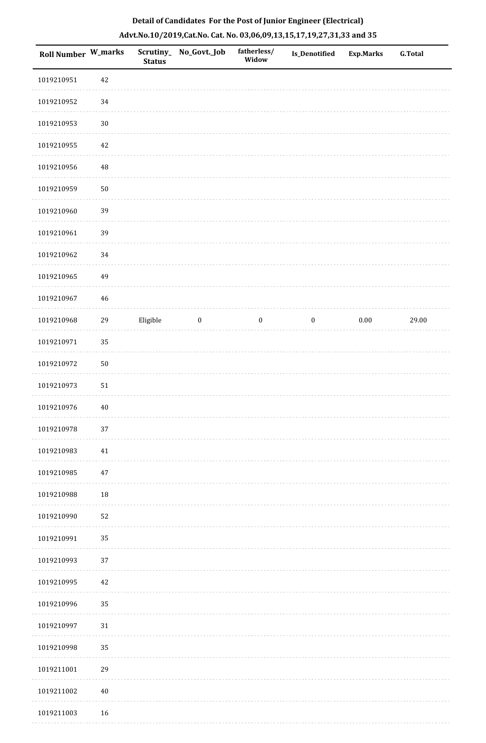| Roll Number W_marks |            | <b>Status</b> | Scrutiny_ No_Govt._Job | fatherless/<br>Widow | Is_Denotified    | <b>Exp.Marks</b> | <b>G.Total</b> |
|---------------------|------------|---------------|------------------------|----------------------|------------------|------------------|----------------|
| 1019210951          | $42\,$     |               |                        |                      |                  |                  |                |
| 1019210952          | 34         |               |                        |                      |                  |                  |                |
| 1019210953          | $30\,$     |               |                        |                      |                  |                  |                |
| 1019210955          | 42         |               |                        |                      |                  |                  |                |
| 1019210956          | 48         |               |                        |                      |                  |                  |                |
| 1019210959          | $50\,$     |               |                        |                      |                  |                  |                |
| 1019210960          | 39         |               |                        |                      |                  |                  |                |
| 1019210961          | 39         |               |                        |                      |                  |                  |                |
| 1019210962          | 34         |               |                        |                      |                  |                  |                |
| 1019210965          | 49         |               |                        |                      |                  |                  |                |
| 1019210967          | 46         |               |                        |                      |                  |                  |                |
| 1019210968          | 29         | Eligible      | $\bf{0}$               | $\boldsymbol{0}$     | $\boldsymbol{0}$ | $0.00\,$         | 29.00          |
| 1019210971          | 35         |               |                        |                      |                  |                  |                |
| 1019210972          | $50\,$     |               |                        |                      |                  |                  |                |
| 1019210973          | ${\bf 51}$ |               |                        |                      |                  |                  |                |
| 1019210976          | $40\,$     |               |                        |                      |                  |                  |                |
| 1019210978          | $37\,$     |               |                        |                      |                  |                  |                |
| 1019210983          | $41\,$     |               |                        |                      |                  |                  |                |
| 1019210985          | $47\,$     |               |                        |                      |                  |                  |                |
| 1019210988          | 18         |               |                        |                      |                  |                  |                |
| 1019210990          | 52         |               |                        |                      |                  |                  |                |
| 1019210991          | 35         |               |                        |                      |                  |                  |                |
| 1019210993          | 37         |               |                        |                      |                  |                  |                |
| 1019210995          | 42         |               |                        |                      |                  |                  |                |
| 1019210996          | 35         |               |                        |                      |                  |                  |                |
| 1019210997          | 31         |               |                        |                      |                  |                  |                |
| 1019210998          | 35         |               |                        |                      |                  |                  |                |
| 1019211001          | 29         |               |                        |                      |                  |                  |                |
| 1019211002          | $40\,$     |               |                        |                      |                  |                  |                |
| 1019211003          | 16         |               |                        |                      |                  |                  |                |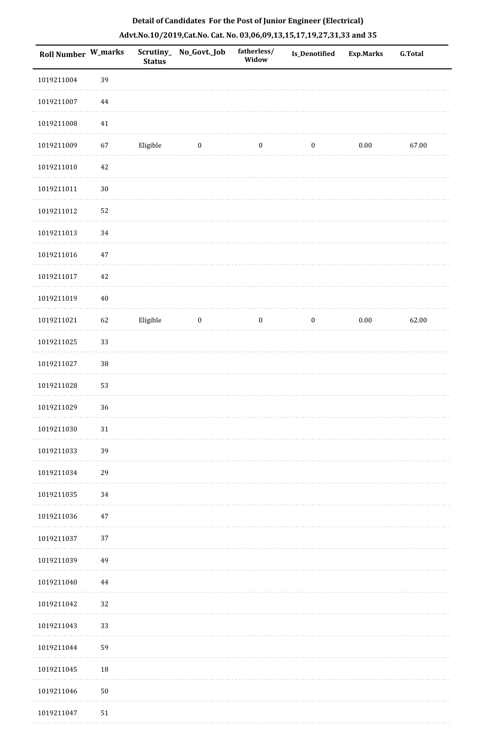| <b>Roll Number W_marks</b> |          | Scrutiny_<br><b>Status</b> | No_Govt._Job     | fatherless/<br>Widow | Is_Denotified    | Exp.Marks | <b>G.Total</b> |
|----------------------------|----------|----------------------------|------------------|----------------------|------------------|-----------|----------------|
| 1019211004                 | 39       |                            |                  |                      |                  |           |                |
| 1019211007                 | $\bf 44$ |                            |                  |                      |                  |           |                |
| 1019211008                 | 41       |                            |                  |                      |                  |           |                |
| 1019211009                 | 67       | Eligible                   | $\boldsymbol{0}$ | $\boldsymbol{0}$     | $\boldsymbol{0}$ | $0.00\,$  | 67.00          |
| 1019211010                 | $42\,$   |                            |                  |                      |                  |           |                |
| 1019211011                 | $30\,$   |                            |                  |                      |                  |           |                |
| 1019211012                 | 52       |                            |                  |                      |                  |           |                |
| 1019211013                 | 34       |                            |                  |                      |                  |           |                |
| 1019211016                 | $47\,$   |                            |                  |                      |                  |           |                |
| 1019211017                 | 42       |                            |                  |                      |                  |           |                |
| 1019211019                 | $40\,$   |                            |                  |                      |                  |           |                |
| 1019211021                 | 62       | Eligible                   | $\boldsymbol{0}$ | $\boldsymbol{0}$     | $\boldsymbol{0}$ | $0.00\,$  | 62.00          |
| 1019211025                 | 33       |                            |                  |                      |                  |           |                |
| 1019211027                 | $38\,$   |                            |                  |                      |                  |           |                |
| 1019211028                 | 53       |                            |                  |                      |                  |           |                |
| 1019211029                 | 36       |                            |                  |                      |                  |           |                |
| 1019211030                 | 31       |                            |                  |                      |                  |           |                |
| 1019211033                 | 39       |                            |                  |                      |                  |           |                |
| 1019211034                 | 29       |                            |                  |                      |                  |           |                |
| 1019211035                 | 34       |                            |                  |                      |                  |           |                |
| 1019211036                 | $47\,$   |                            |                  |                      |                  |           |                |
| 1019211037                 | 37       |                            |                  |                      |                  |           |                |
| 1019211039                 | 49       |                            |                  |                      |                  |           |                |
| 1019211040                 | 44       |                            |                  |                      |                  |           |                |
| 1019211042                 | 32       |                            |                  |                      |                  |           |                |
| 1019211043                 | 33       |                            |                  |                      |                  |           |                |
| 1019211044                 | 59       |                            |                  |                      |                  |           |                |
| 1019211045                 | $18\,$   |                            |                  |                      |                  |           |                |
| 1019211046                 | $50\,$   |                            |                  |                      |                  |           |                |
| 1019211047                 | 51       |                            |                  |                      |                  |           |                |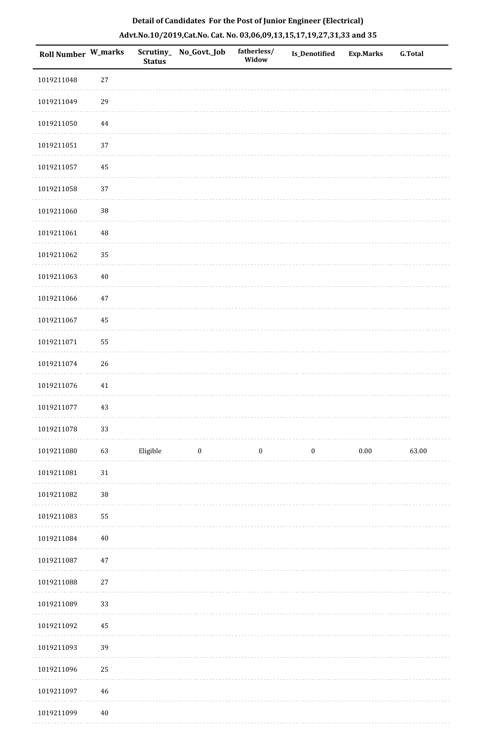| <b>Roll Number W_marks</b> |          | Scrutiny_<br><b>Status</b> | No_Govt._Job     | fatherless/<br>Widow | Is_Denotified    | <b>Exp.Marks</b> | <b>G.Total</b> |
|----------------------------|----------|----------------------------|------------------|----------------------|------------------|------------------|----------------|
| 1019211048                 | $27\,$   |                            |                  |                      |                  |                  |                |
| 1019211049                 | 29       |                            |                  |                      |                  |                  |                |
| 1019211050                 | $\bf 44$ |                            |                  |                      |                  |                  |                |
| 1019211051                 | 37       |                            |                  |                      |                  |                  |                |
| 1019211057                 | 45       |                            |                  |                      |                  |                  |                |
| 1019211058                 | 37       |                            |                  |                      |                  |                  |                |
| 1019211060                 | 38       |                            |                  |                      |                  |                  |                |
| 1019211061                 | $\rm 48$ |                            |                  |                      |                  |                  |                |
| 1019211062                 | 35       |                            |                  |                      |                  |                  |                |
| 1019211063                 | $40\,$   |                            |                  |                      |                  |                  |                |
| 1019211066                 | $47\,$   |                            |                  |                      |                  |                  |                |
| 1019211067                 | 45       |                            |                  |                      |                  |                  |                |
| 1019211071                 | 55       |                            |                  |                      |                  |                  |                |
| 1019211074                 | 26       |                            |                  |                      |                  |                  |                |
| 1019211076                 | $41\,$   |                            |                  |                      |                  |                  |                |
| 1019211077                 | 43       |                            |                  |                      |                  |                  |                |
| 1019211078                 | 33       |                            |                  |                      |                  |                  |                |
| 1019211080                 | 63       | Eligible                   | $\boldsymbol{0}$ | $\boldsymbol{0}$     | $\boldsymbol{0}$ | $0.00\,$         | 63.00          |
| 1019211081                 | 31       |                            |                  |                      |                  |                  |                |
| 1019211082                 | $38\,$   |                            |                  |                      |                  |                  |                |
| 1019211083                 | 55       |                            |                  |                      |                  |                  |                |
| 1019211084                 | $40\,$   |                            |                  |                      |                  |                  |                |
| 1019211087                 | 47       |                            |                  |                      |                  |                  |                |
| 1019211088                 | $27\,$   |                            |                  |                      |                  |                  |                |
| 1019211089                 | 33       |                            |                  |                      |                  |                  |                |
| 1019211092                 | 45       |                            |                  |                      |                  |                  |                |
| 1019211093                 | 39       |                            |                  |                      |                  |                  |                |
| 1019211096                 | 25       |                            |                  |                      |                  |                  |                |
| 1019211097                 | 46       |                            |                  |                      |                  |                  |                |
| 1019211099                 | $40\,$   |                            |                  |                      |                  |                  |                |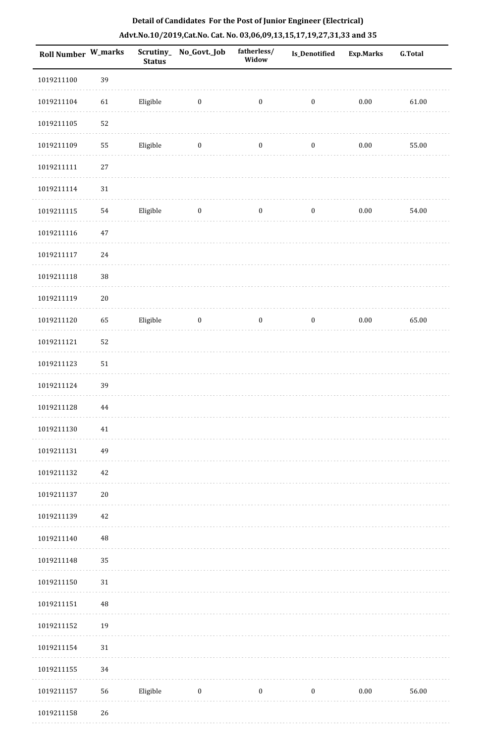| <b>Roll Number W_marks</b> |          | <b>Status</b> | Scrutiny_No_Govt._Job   | fatherless/<br>Widow | <b>Is_Denotified</b> | <b>Exp.Marks</b> | <b>G.Total</b> |
|----------------------------|----------|---------------|-------------------------|----------------------|----------------------|------------------|----------------|
| 1019211100                 | 39       |               |                         |                      |                      |                  |                |
| 1019211104                 | 61       | Eligible      | $\overline{\mathbf{0}}$ | $\boldsymbol{0}$     | $\boldsymbol{0}$     | $0.00\,$         | 61.00          |
| 1019211105                 | 52       |               |                         |                      |                      |                  |                |
| 1019211109                 | 55       | Eligible      | $\bf{0}$                | $\boldsymbol{0}$     | $\boldsymbol{0}$     | $0.00\,$         | 55.00          |
| 1019211111                 | $27\,$   |               |                         |                      |                      |                  |                |
| 1019211114                 | $31\,$   |               |                         |                      |                      |                  |                |
| 1019211115                 | 54       | Eligible      | $\boldsymbol{0}$        | $\boldsymbol{0}$     | $\boldsymbol{0}$     | $0.00\,$         | 54.00          |
| 1019211116                 | $47\,$   |               |                         |                      |                      |                  |                |
| 1019211117                 | 24       |               |                         |                      |                      |                  |                |
| 1019211118                 | $38\,$   |               |                         |                      |                      |                  |                |
| 1019211119                 | $20\,$   |               |                         |                      |                      |                  |                |
| 1019211120                 | 65       | Eligible      | $\bf{0}$                | $\boldsymbol{0}$     | $\boldsymbol{0}$     | $0.00\,$         | 65.00          |
| 1019211121                 | 52       |               |                         |                      |                      |                  |                |
| 1019211123                 | $51\,$   |               |                         |                      |                      |                  |                |
| 1019211124                 | 39       |               |                         |                      |                      |                  |                |
| 1019211128                 | 44       |               |                         |                      |                      |                  |                |
| 1019211130                 | $41\,$   |               |                         |                      |                      |                  |                |
| 1019211131                 | 49       |               |                         |                      |                      |                  |                |
| 1019211132                 | 42       |               |                         |                      |                      |                  |                |
| 1019211137                 | $20\,$   |               |                         |                      |                      |                  |                |
| 1019211139                 | 42       |               |                         |                      |                      |                  |                |
| 1019211140                 | $\rm 48$ |               |                         |                      |                      |                  |                |
| 1019211148                 | 35       |               |                         |                      |                      |                  |                |
| 1019211150                 | $31\,$   |               |                         |                      |                      |                  |                |
| 1019211151                 | $\rm 48$ |               |                         |                      |                      |                  |                |
| 1019211152                 | 19       |               |                         |                      |                      |                  |                |
| 1019211154                 | 31       |               |                         |                      |                      |                  |                |
| 1019211155                 | 34       |               |                         |                      |                      |                  |                |
| 1019211157                 | 56       | Eligible      | $\boldsymbol{0}$        | $\boldsymbol{0}$     | $\boldsymbol{0}$     | $0.00\,$         | 56.00          |
| 1019211158                 | 26       |               |                         |                      |                      |                  |                |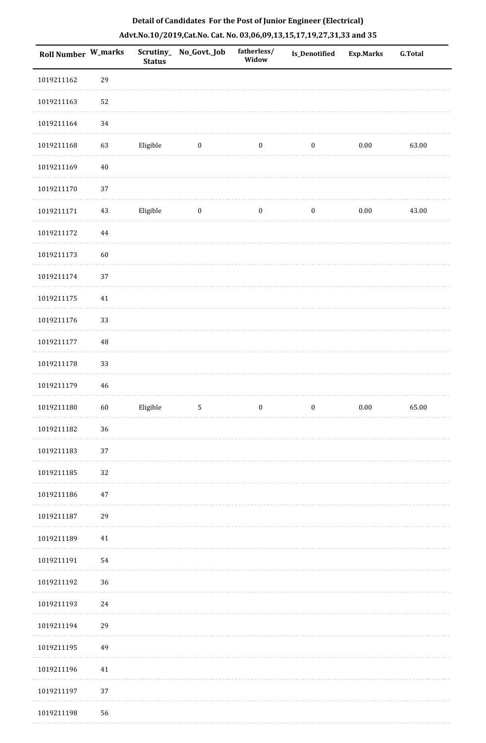| <b>Roll Number W_marks</b> |          | Scrutiny_<br><b>Status</b> | No_Govt._Job     | fatherless/<br>Widow | Is_Denotified    | <b>Exp.Marks</b> | <b>G.Total</b> |
|----------------------------|----------|----------------------------|------------------|----------------------|------------------|------------------|----------------|
| 1019211162                 | 29       |                            |                  |                      |                  |                  |                |
| 1019211163                 | 52       |                            |                  |                      |                  |                  |                |
| 1019211164                 | 34       |                            |                  |                      |                  |                  |                |
| 1019211168                 | 63       | Eligible                   | $\boldsymbol{0}$ | $\boldsymbol{0}$     | $\boldsymbol{0}$ | $0.00\,$         | 63.00          |
| 1019211169                 | $40\,$   |                            |                  |                      |                  |                  |                |
| 1019211170                 | 37       |                            |                  |                      |                  |                  |                |
| 1019211171                 | 43       | Eligible                   | $\boldsymbol{0}$ | $\boldsymbol{0}$     | $\boldsymbol{0}$ | $0.00\,$         | 43.00          |
| 1019211172                 | $\bf 44$ |                            |                  |                      |                  |                  |                |
| 1019211173                 | 60       |                            |                  |                      |                  |                  |                |
| 1019211174                 | 37       |                            |                  |                      |                  |                  |                |
| 1019211175                 | $41\,$   |                            |                  |                      |                  |                  |                |
| 1019211176                 | 33       |                            |                  |                      |                  |                  |                |
| 1019211177                 | 48       |                            |                  |                      |                  |                  |                |
| 1019211178                 | 33       |                            |                  |                      |                  |                  |                |
| 1019211179                 | 46       |                            |                  |                      |                  |                  |                |
| 1019211180                 | 60       | Eligible                   | $\mathsf S$      | $\boldsymbol{0}$     | $\boldsymbol{0}$ | $0.00\,$         | 65.00          |
| 1019211182                 | 36       |                            |                  |                      |                  |                  |                |
| 1019211183                 | 37       |                            |                  |                      |                  |                  |                |
| 1019211185                 | 32       |                            |                  |                      |                  |                  |                |
| 1019211186                 | 47       |                            |                  |                      |                  |                  |                |
| 1019211187                 | 29       |                            |                  |                      |                  |                  |                |
| 1019211189                 | $41\,$   |                            |                  |                      |                  |                  |                |
| 1019211191                 | 54       |                            |                  |                      |                  |                  |                |
| 1019211192                 | 36       |                            |                  |                      |                  |                  |                |
| 1019211193                 | 24       |                            |                  |                      |                  |                  |                |
| 1019211194                 | 29       |                            |                  |                      |                  |                  |                |
| 1019211195                 | 49       |                            |                  |                      |                  |                  |                |
| 1019211196                 | $41\,$   |                            |                  |                      |                  |                  |                |
| 1019211197                 | 37       |                            |                  |                      |                  |                  |                |
| 1019211198                 | 56       |                            |                  |                      |                  |                  |                |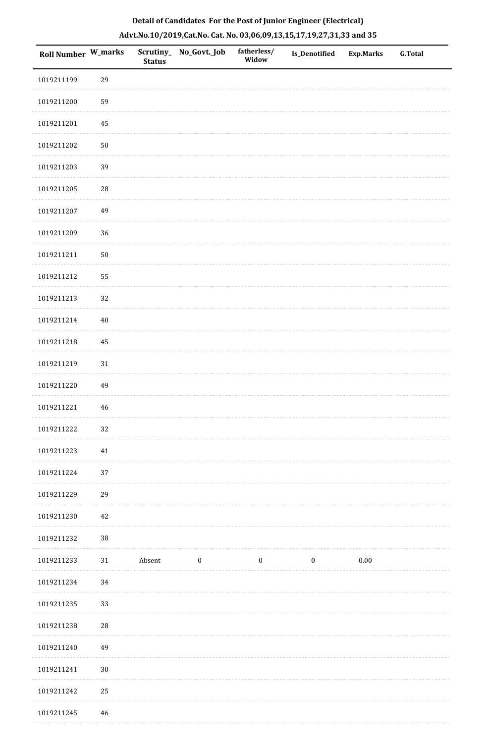| Roll Number W_marks |            | <b>Status</b> | Scrutiny_ No_Govt._Job | fatherless/<br>Widow | <b>Is_Denotified</b> | <b>Exp.Marks</b> | <b>G.Total</b> |
|---------------------|------------|---------------|------------------------|----------------------|----------------------|------------------|----------------|
| 1019211199          | 29         |               |                        |                      |                      |                  |                |
| 1019211200          | 59         |               |                        |                      |                      |                  |                |
| 1019211201          | 45         |               |                        |                      |                      |                  |                |
| 1019211202          | $50\,$     |               |                        |                      |                      |                  |                |
| 1019211203          | 39         |               |                        |                      |                      |                  |                |
| 1019211205          | 28         |               |                        |                      |                      |                  |                |
| 1019211207          | 49         |               |                        |                      |                      |                  |                |
| 1019211209          | 36         |               |                        |                      |                      |                  |                |
| 1019211211          | $50\,$     |               |                        |                      |                      |                  |                |
| 1019211212          | 55         |               |                        |                      |                      |                  |                |
| 1019211213          | 32         |               |                        |                      |                      |                  |                |
| 1019211214          | $40\,$     |               |                        |                      |                      |                  |                |
| 1019211218          | 45         |               |                        |                      |                      |                  |                |
| 1019211219          | $31\,$     |               |                        |                      |                      |                  |                |
| 1019211220          | 49         |               |                        |                      |                      |                  |                |
| 1019211221          | 46         |               |                        |                      |                      |                  |                |
| 1019211222          | 32         |               |                        |                      |                      |                  |                |
| 1019211223          | 41         |               |                        |                      |                      |                  |                |
| 1019211224          | 37         |               |                        |                      |                      |                  |                |
| 1019211229          | 29         |               |                        |                      |                      |                  |                |
| 1019211230          | 42         |               |                        |                      |                      |                  |                |
| 1019211232          | 38         |               |                        |                      |                      |                  |                |
| 1019211233          | 31         | Absent        | $\boldsymbol{0}$       | $\boldsymbol{0}$     | $\boldsymbol{0}$     | 0.00             |                |
| 1019211234          | 34         |               |                        |                      |                      |                  |                |
| 1019211235          | 33         |               |                        |                      |                      |                  |                |
| 1019211238          | ${\bf 28}$ |               |                        |                      |                      |                  |                |
| 1019211240          | 49         |               |                        |                      |                      |                  |                |
| 1019211241          | $30\,$     |               |                        |                      |                      |                  |                |
| 1019211242          | 25         |               |                        |                      |                      |                  |                |
| 1019211245          | 46         |               |                        |                      |                      |                  |                |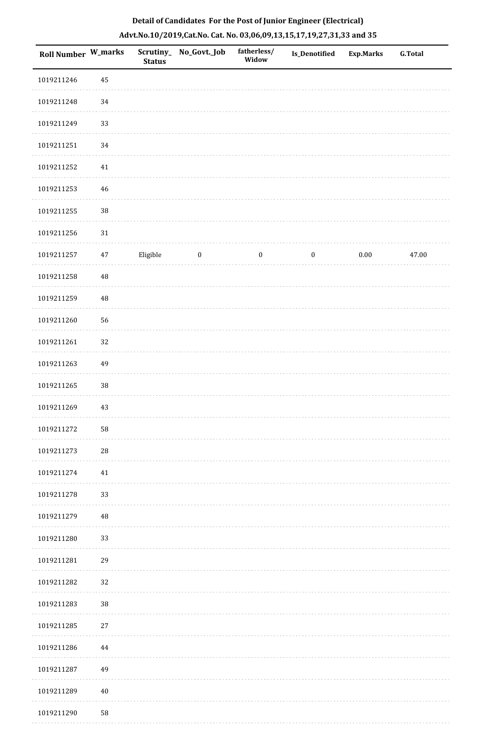| <b>Roll Number W_marks</b> |             | <b>Status</b> | Scrutiny_ No_Govt._Job | fatherless/<br>Widow | Is_Denotified    | <b>Exp.Marks</b> | <b>G.Total</b> |
|----------------------------|-------------|---------------|------------------------|----------------------|------------------|------------------|----------------|
| 1019211246                 | 45          |               |                        |                      |                  |                  |                |
| 1019211248                 | $34\,$      |               |                        |                      |                  |                  |                |
| 1019211249                 | 33          |               |                        |                      |                  |                  |                |
| 1019211251                 | 34          |               |                        |                      |                  |                  |                |
| 1019211252                 | 41          |               |                        |                      |                  |                  |                |
| 1019211253                 | 46          |               |                        |                      |                  |                  |                |
| 1019211255                 | $38\,$      |               |                        |                      |                  |                  |                |
| 1019211256                 | $31\,$      |               |                        |                      |                  |                  |                |
| 1019211257                 | 47          | Eligible      | $\bf{0}$               | $\boldsymbol{0}$     | $\boldsymbol{0}$ | $0.00\,$         | 47.00          |
| 1019211258                 | $\rm 48$    |               |                        |                      |                  |                  |                |
| 1019211259                 | $\rm 48$    |               |                        |                      |                  |                  |                |
| 1019211260                 | 56          |               |                        |                      |                  |                  |                |
| 1019211261                 | 32          |               |                        |                      |                  |                  |                |
| 1019211263                 | 49          |               |                        |                      |                  |                  |                |
| 1019211265                 | $38\,$      |               |                        |                      |                  |                  |                |
| 1019211269                 | 43          |               |                        |                      |                  |                  |                |
| 1019211272                 | 58          |               |                        |                      |                  |                  |                |
| 1019211273                 | $\sqrt{28}$ |               |                        |                      |                  |                  |                |
| 1019211274                 | $41\,$      |               |                        |                      |                  |                  |                |
| 1019211278                 | 33          |               |                        |                      |                  |                  |                |
| 1019211279                 | 48          |               |                        |                      |                  |                  |                |
| 1019211280                 | 33          |               |                        |                      |                  |                  |                |
| 1019211281                 | 29          |               |                        |                      |                  |                  |                |
| 1019211282                 | 32          |               |                        |                      |                  |                  |                |
| 1019211283                 | 38          |               |                        |                      |                  |                  |                |
| 1019211285                 | 27          |               |                        |                      |                  |                  |                |
| 1019211286                 | 44          |               |                        |                      |                  |                  |                |
| 1019211287                 | 49          |               |                        |                      |                  |                  |                |
| 1019211289                 | 40          |               |                        |                      |                  |                  |                |
| 1019211290                 | 58          |               |                        |                      |                  |                  |                |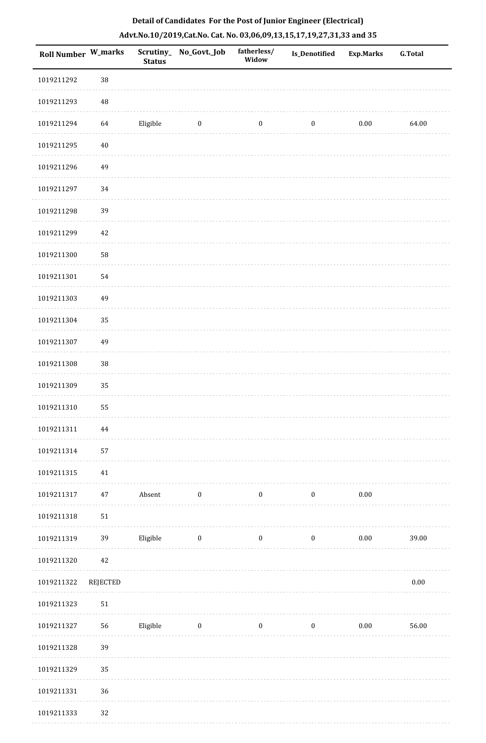|  |  | Detail of Candidates For the Post of Junior Engineer (Electrical)     |  |
|--|--|-----------------------------------------------------------------------|--|
|  |  | Advt.No.10/2019,Cat.No. Cat. No. 03,06,09,13,15,17,19,27,31,33 and 35 |  |

| <b>Roll Number W_marks</b> |            | <b>Status</b> | Scrutiny_ No_Govt._Job | fatherless/<br>Widow | <b>Is_Denotified</b> | <b>Exp.Marks</b> | <b>G.Total</b> |
|----------------------------|------------|---------------|------------------------|----------------------|----------------------|------------------|----------------|
| 1019211292                 | $38\,$     |               |                        |                      |                      |                  |                |
| 1019211293                 | $\rm 48$   |               |                        |                      |                      |                  |                |
| 1019211294                 | 64         | Eligible      | $\boldsymbol{0}$       | $\boldsymbol{0}$     | $\boldsymbol{0}$     | $0.00\,$         | 64.00          |
| 1019211295                 | $40\,$     |               |                        |                      |                      |                  |                |
| 1019211296                 | 49         |               |                        |                      |                      |                  |                |
| 1019211297                 | 34         |               |                        |                      |                      |                  |                |
| 1019211298                 | 39         |               |                        |                      |                      |                  |                |
| 1019211299                 | 42         |               |                        |                      |                      |                  |                |
| 1019211300                 | 58         |               |                        |                      |                      |                  |                |
| 1019211301                 | 54         |               |                        |                      |                      |                  |                |
| 1019211303                 | 49         |               |                        |                      |                      |                  |                |
| 1019211304                 | 35         |               |                        |                      |                      |                  |                |
| 1019211307                 | 49         |               |                        |                      |                      |                  |                |
| 1019211308                 | $38\,$     |               |                        |                      |                      |                  |                |
| 1019211309                 | 35         |               |                        |                      |                      |                  |                |
| 1019211310                 | 55         |               |                        |                      |                      |                  |                |
| 1019211311                 | 44         |               |                        |                      |                      |                  |                |
| 1019211314                 | 57         |               |                        |                      |                      |                  |                |
| 1019211315                 | $41\,$     |               |                        |                      |                      |                  |                |
| 1019211317                 | 47         | Absent        | $\boldsymbol{0}$       | $\boldsymbol{0}$     | $\pmb{0}$            | $0.00\,$         |                |
| 1019211318                 | 51         |               |                        |                      |                      |                  |                |
| 1019211319                 | 39         | Eligible      | $\boldsymbol{0}$       | $\boldsymbol{0}$     | $\boldsymbol{0}$     | $0.00\,$         | 39.00          |
| 1019211320                 | 42         |               |                        |                      |                      |                  |                |
| 1019211322                 | REJECTED   |               |                        |                      |                      |                  | $0.00\,$       |
| 1019211323                 | ${\bf 51}$ |               |                        |                      |                      |                  |                |
| 1019211327                 | 56         | Eligible      | $\boldsymbol{0}$       | $\bf{0}$             | $\boldsymbol{0}$     | $0.00\,$         | 56.00          |
| 1019211328                 | 39         |               |                        |                      |                      |                  |                |
| 1019211329                 | 35         |               |                        |                      |                      |                  |                |
| 1019211331                 | 36         |               |                        |                      |                      |                  |                |
| 1019211333                 | 32         |               |                        |                      |                      |                  |                |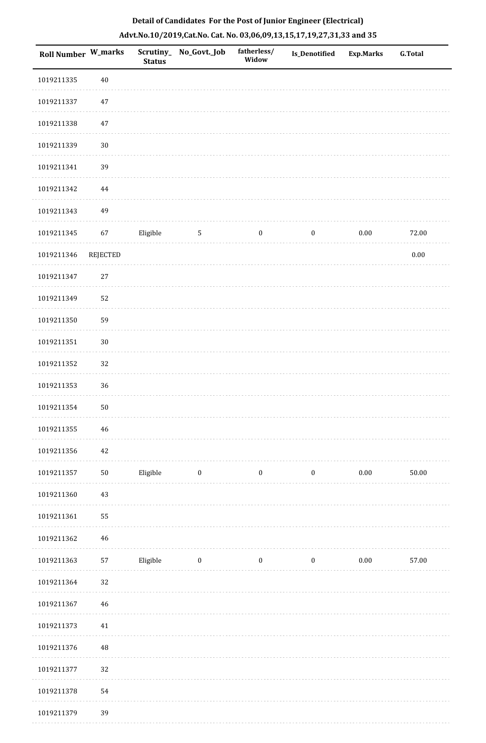| <b>Roll Number W_marks</b> |                 | <b>Status</b> | Scrutiny_ No_Govt._Job | fatherless/<br>Widow | <b>Is_Denotified</b> | <b>Exp.Marks</b> | <b>G.Total</b> |
|----------------------------|-----------------|---------------|------------------------|----------------------|----------------------|------------------|----------------|
| 1019211335                 | $40\,$          |               |                        |                      |                      |                  |                |
| 1019211337                 | 47              |               |                        |                      |                      |                  |                |
| 1019211338                 | $47\,$          |               |                        |                      |                      |                  |                |
| 1019211339                 | $30\,$          |               |                        |                      |                      |                  |                |
| 1019211341                 | 39              |               |                        |                      |                      |                  |                |
| 1019211342                 | $\bf 44$        |               |                        |                      |                      |                  |                |
| 1019211343                 | 49              |               |                        |                      |                      |                  |                |
| 1019211345                 | 67              | Eligible      | $\sqrt{5}$             | $\boldsymbol{0}$     | $\boldsymbol{0}$     | $0.00\,$         | 72.00          |
| 1019211346                 | <b>REJECTED</b> |               |                        |                      |                      |                  | $0.00\,$       |
| 1019211347                 | $27\,$          |               |                        |                      |                      |                  |                |
| 1019211349                 | 52              |               |                        |                      |                      |                  |                |
| 1019211350                 | 59              |               |                        |                      |                      |                  |                |
| 1019211351                 | $30\,$          |               |                        |                      |                      |                  |                |
| 1019211352                 | 32              |               |                        |                      |                      |                  |                |
| 1019211353                 | 36              |               |                        |                      |                      |                  |                |
| 1019211354                 | $50\,$          |               |                        |                      |                      |                  |                |
| 1019211355                 | $\bf 46$        |               |                        |                      |                      |                  |                |
| 1019211356                 | $42\,$          |               |                        |                      |                      |                  |                |
| 1019211357                 | $50\,$          | Eligible      | $\boldsymbol{0}$       | $\boldsymbol{0}$     | $\boldsymbol{0}$     | $0.00\,$         | 50.00          |
| 1019211360                 | $43\,$          |               |                        |                      |                      |                  |                |
| 1019211361                 | 55              |               |                        |                      |                      |                  |                |
| 1019211362                 | $46\,$          |               |                        |                      |                      |                  |                |
| 1019211363                 | 57              | Eligible      | $\bf{0}$               | $\boldsymbol{0}$     | $\boldsymbol{0}$     | $0.00\,$         | 57.00          |
| 1019211364                 | 32              |               |                        |                      |                      |                  |                |
| 1019211367                 | $46\,$          |               |                        |                      |                      |                  |                |
| 1019211373                 | $41\,$          |               |                        |                      |                      |                  |                |
| 1019211376                 | 48              |               |                        |                      |                      |                  |                |
| 1019211377                 | 32              |               |                        |                      |                      |                  |                |
| 1019211378                 | 54              |               |                        |                      |                      |                  |                |
|                            |                 |               |                        |                      |                      |                  |                |

1019211379 39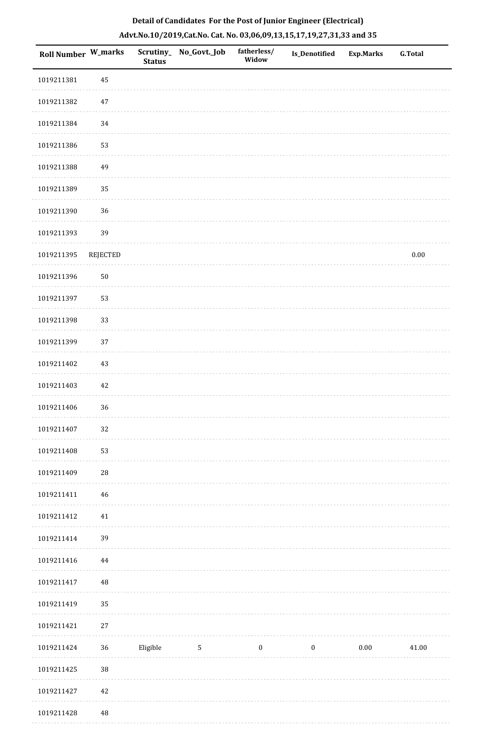| Roll Number W_marks |                 | <b>Status</b> | Scrutiny_ No_Govt._Job | fatherless/<br>Widow | Is_Denotified | <b>Exp.Marks</b> | G.Total  |
|---------------------|-----------------|---------------|------------------------|----------------------|---------------|------------------|----------|
| 1019211381          | 45              |               |                        |                      |               |                  |          |
| 1019211382          | $47\,$          |               |                        |                      |               |                  |          |
| 1019211384          | 34              |               |                        |                      |               |                  |          |
| 1019211386          | 53              |               |                        |                      |               |                  |          |
| 1019211388          | 49              |               |                        |                      |               |                  |          |
| 1019211389          | 35              |               |                        |                      |               |                  |          |
| 1019211390          | 36              |               |                        |                      |               |                  |          |
| 1019211393          | 39              |               |                        |                      |               |                  |          |
| 1019211395          | <b>REJECTED</b> |               |                        |                      |               |                  | $0.00\,$ |
| 1019211396          | $50\,$          |               |                        |                      |               |                  |          |
| 1019211397          | 53              |               |                        |                      |               |                  |          |
| 1019211398          | 33              |               |                        |                      |               |                  |          |
| 1019211399          | 37              |               |                        |                      |               |                  |          |
| 1019211402          | $43\,$          |               |                        |                      |               |                  |          |
| 1019211403          | 42              |               |                        |                      |               |                  |          |
| 1019211406          | 36              |               |                        |                      |               |                  |          |
| 1019211407          | 32              |               |                        |                      |               |                  |          |
| 1019211408          | 53              |               |                        |                      |               |                  |          |
| 1019211409          | ${\bf 28}$      |               |                        |                      |               |                  |          |
| 1019211411          | 46              |               |                        |                      |               |                  |          |
| 1019211412          | $41\,$          |               |                        |                      |               |                  |          |
| 1019211414          | 39              |               |                        |                      |               |                  |          |
| 1019211416          | 44              |               |                        |                      |               |                  |          |
| 1019211417          | $\rm 48$        |               |                        |                      |               |                  |          |
| 1019211419          | 35              |               |                        |                      |               |                  |          |
| 1019211421          | $27\,$          |               |                        |                      |               |                  |          |
| 1019211424          | 36              | Eligible      | $5\phantom{.0}$        | $\bf{0}$             | $\bf{0}$      | $0.00\,$         | 41.00    |
| 1019211425          | 38              |               |                        |                      |               |                  |          |
| 1019211427          | $42\,$          |               |                        |                      |               |                  |          |
| 1019211428          | $\sqrt{48}$     |               |                        |                      |               |                  |          |

 $1.1.1.1$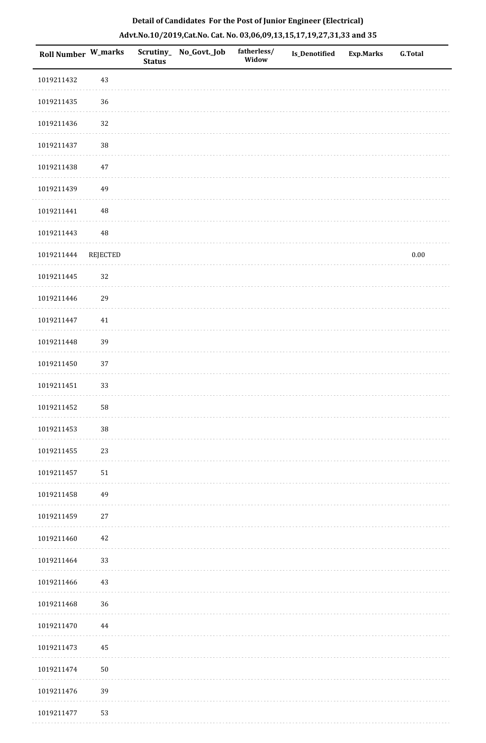| Roll Number W_marks |                 | <b>Status</b> | Scrutiny_ No_Govt._Job | fatherless/<br>Widow | Is_Denotified | <b>Exp.Marks</b> | <b>G.Total</b> |
|---------------------|-----------------|---------------|------------------------|----------------------|---------------|------------------|----------------|
| 1019211432          | 43              |               |                        |                      |               |                  |                |
| 1019211435          | 36              |               |                        |                      |               |                  |                |
| 1019211436          | 32              |               |                        |                      |               |                  |                |
| 1019211437          | 38              |               |                        |                      |               |                  |                |
| 1019211438          | 47              |               |                        |                      |               |                  |                |
| 1019211439          | 49              |               |                        |                      |               |                  |                |
| 1019211441          | $\rm 48$        |               |                        |                      |               |                  |                |
| 1019211443          | $\rm 48$        |               |                        |                      |               |                  |                |
| 1019211444          | <b>REJECTED</b> |               |                        |                      |               |                  | $0.00\,$       |
| 1019211445          | 32              |               |                        |                      |               |                  |                |
| 1019211446          | 29              |               |                        |                      |               |                  |                |
| 1019211447          | $41\,$          |               |                        |                      |               |                  |                |
| 1019211448          | 39              |               |                        |                      |               |                  |                |
| 1019211450          | 37              |               |                        |                      |               |                  |                |
| 1019211451          | 33              |               |                        |                      |               |                  |                |
| 1019211452          | 58              |               |                        |                      |               |                  |                |
| 1019211453          | 38              |               |                        |                      |               |                  |                |
| 1019211455          | 23              |               |                        |                      |               |                  |                |
| 1019211457          | 51              |               |                        |                      |               |                  |                |
| 1019211458          | 49              |               |                        |                      |               |                  |                |
| 1019211459          | 27              |               |                        |                      |               |                  |                |
| 1019211460          | 42              |               |                        |                      |               |                  |                |
| 1019211464          | 33              |               |                        |                      |               |                  |                |
| 1019211466          | 43              |               |                        |                      |               |                  |                |
| 1019211468          | 36              |               |                        |                      |               |                  |                |
| 1019211470          | 44              |               |                        |                      |               |                  |                |
| 1019211473          | 45              |               |                        |                      |               |                  |                |
| 1019211474          | $50\,$          |               |                        |                      |               |                  |                |
| 1019211476          | 39              |               |                        |                      |               |                  |                |
| 1019211477          | 53              |               |                        |                      |               |                  |                |

. . . . . . . . . .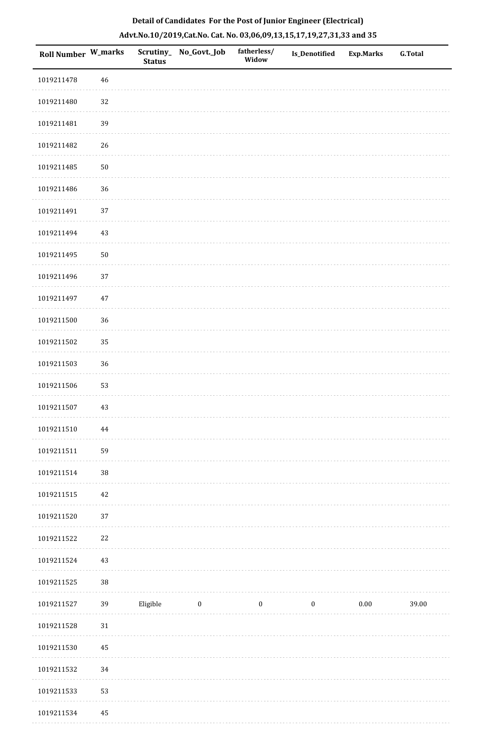| Roll Number W_marks |            | <b>Status</b> | Scrutiny_ No_Govt._Job | fatherless/<br>Widow | <b>Is_Denotified</b> | <b>Exp.Marks</b> | <b>G.Total</b> |
|---------------------|------------|---------------|------------------------|----------------------|----------------------|------------------|----------------|
| 1019211478          | 46         |               |                        |                      |                      |                  |                |
| 1019211480          | $32\,$     |               |                        |                      |                      |                  |                |
| 1019211481          | 39         |               |                        |                      |                      |                  |                |
| 1019211482          | 26         |               |                        |                      |                      |                  |                |
| 1019211485          | $50\,$     |               |                        |                      |                      |                  |                |
| 1019211486          | 36         |               |                        |                      |                      |                  |                |
| 1019211491          | 37         |               |                        |                      |                      |                  |                |
| 1019211494          | 43         |               |                        |                      |                      |                  |                |
| 1019211495          | ${\bf 50}$ |               |                        |                      |                      |                  |                |
| 1019211496          | 37         |               |                        |                      |                      |                  |                |
| 1019211497          | $47\,$     |               |                        |                      |                      |                  |                |
| 1019211500          | 36         |               |                        |                      |                      |                  |                |
| 1019211502          | 35         |               |                        |                      |                      |                  |                |
| 1019211503          | $36\,$     |               |                        |                      |                      |                  |                |
| 1019211506          | 53         |               |                        |                      |                      |                  |                |
| 1019211507          | $43\,$     |               |                        |                      |                      |                  |                |
| 1019211510          | 44         |               |                        |                      |                      |                  |                |
| 1019211511          | 59         |               |                        |                      |                      |                  |                |
| 1019211514          | $38\,$     |               |                        |                      |                      |                  |                |
| 1019211515          | 42         |               |                        |                      |                      |                  |                |
| 1019211520          | 37         |               |                        |                      |                      |                  |                |
| 1019211522          | 22         |               |                        |                      |                      |                  |                |
| 1019211524          | 43         |               |                        |                      |                      |                  |                |
| 1019211525          | $38\,$     |               |                        |                      |                      |                  |                |
| 1019211527          | 39         | Eligible      | $\boldsymbol{0}$       | $\boldsymbol{0}$     | $\boldsymbol{0}$     | $0.00\,$         | 39.00          |
| 1019211528          | $31\,$     |               |                        |                      |                      |                  |                |
| 1019211530          | 45         |               |                        |                      |                      |                  |                |
| 1019211532          | 34         |               |                        |                      |                      |                  |                |
| 1019211533          | 53         |               |                        |                      |                      |                  |                |
| 1019211534          | 45         |               |                        |                      |                      |                  |                |

. . . . . . . . . .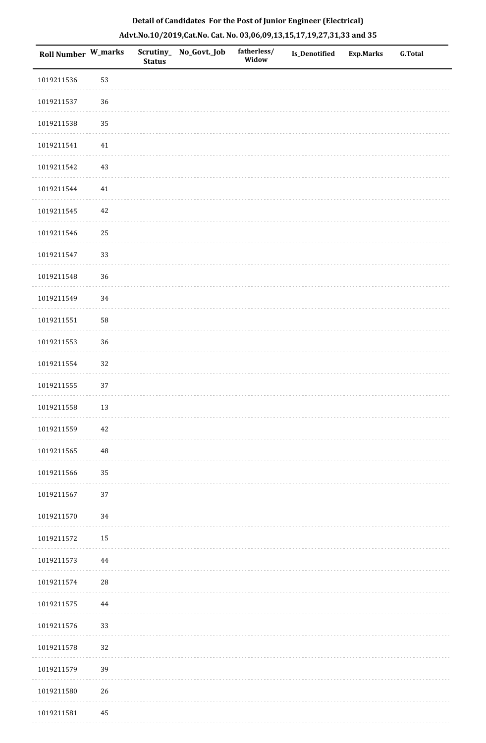| Roll Number W_marks |        | <b>Status</b> | Scrutiny_No_Govt._Job | fatherless/<br>Widow | <b>Is_Denotified</b> | <b>Exp.Marks</b> | <b>G.Total</b> |
|---------------------|--------|---------------|-----------------------|----------------------|----------------------|------------------|----------------|
| 1019211536          | 53     |               |                       |                      |                      |                  |                |
| 1019211537          | 36     |               |                       |                      |                      |                  |                |
| 1019211538          | 35     |               |                       |                      |                      |                  |                |
| 1019211541          | 41     |               |                       |                      |                      |                  |                |
| 1019211542          | 43     |               |                       |                      |                      |                  |                |
| 1019211544          | $41\,$ |               |                       |                      |                      |                  |                |
| 1019211545          | 42     |               |                       |                      |                      |                  |                |
| 1019211546          | 25     |               |                       |                      |                      |                  |                |
| 1019211547          | 33     |               |                       |                      |                      |                  |                |
| 1019211548          | 36     |               |                       |                      |                      |                  |                |
| 1019211549          | 34     |               |                       |                      |                      |                  |                |
| 1019211551          | 58     |               |                       |                      |                      |                  |                |
| 1019211553          | 36     |               |                       |                      |                      |                  |                |
| 1019211554          | $32\,$ |               |                       |                      |                      |                  |                |
| 1019211555          | 37     |               |                       |                      |                      |                  |                |
| 1019211558          | 13     |               |                       |                      |                      |                  |                |
| 1019211559          | 42     |               |                       |                      |                      |                  |                |
| 1019211565          | 48     |               |                       |                      |                      |                  |                |
| 1019211566          | 35     |               |                       |                      |                      |                  |                |
| 1019211567          | 37     |               |                       |                      |                      |                  |                |
| 1019211570          | 34     |               |                       |                      |                      |                  |                |
| 1019211572          | 15     |               |                       |                      |                      |                  |                |
| 1019211573          | 44     |               |                       |                      |                      |                  |                |
| 1019211574          | 28     |               |                       |                      |                      |                  |                |
| 1019211575          | 44     |               |                       |                      |                      |                  |                |
| 1019211576          | 33     |               |                       |                      |                      |                  |                |
| 1019211578          | 32     |               |                       |                      |                      |                  |                |
| 1019211579          | 39     |               |                       |                      |                      |                  |                |
| 1019211580          | 26     |               |                       |                      |                      |                  |                |
| 1019211581          | 45     |               |                       |                      |                      |                  |                |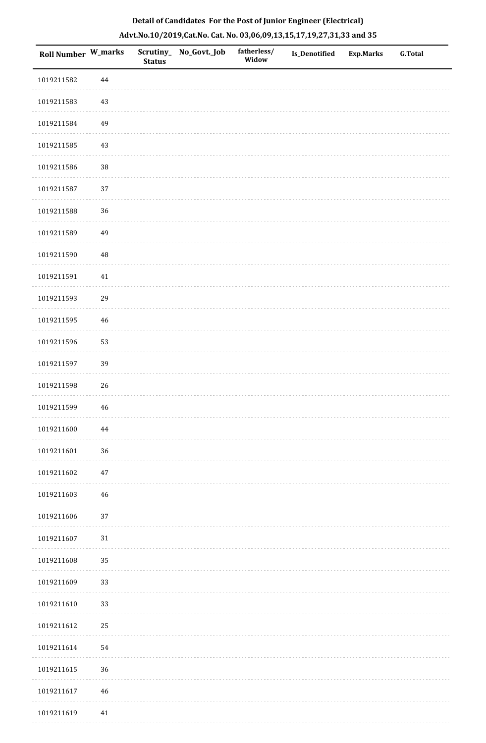| Roll Number W_marks |             | <b>Status</b> | Scrutiny_ No_Govt._Job | fatherless/<br>Widow | <b>Is_Denotified</b> | <b>Exp.Marks</b> | <b>G.Total</b> |
|---------------------|-------------|---------------|------------------------|----------------------|----------------------|------------------|----------------|
| 1019211582          | 44          |               |                        |                      |                      |                  |                |
| 1019211583          | $43\,$      |               |                        |                      |                      |                  |                |
| 1019211584          | 49          |               |                        |                      |                      |                  |                |
| 1019211585          | 43          |               |                        |                      |                      |                  |                |
| 1019211586          | $38\,$      |               |                        |                      |                      |                  |                |
| 1019211587          | 37          |               |                        |                      |                      |                  |                |
| 1019211588          | 36          |               |                        |                      |                      |                  |                |
| 1019211589          | 49          |               |                        |                      |                      |                  |                |
| 1019211590          | $\rm 48$    |               |                        |                      |                      |                  |                |
| 1019211591          | $41\,$      |               |                        |                      |                      |                  |                |
| 1019211593          | 29          |               |                        |                      |                      |                  |                |
| 1019211595          | 46          |               |                        |                      |                      |                  |                |
| 1019211596          | 53          |               |                        |                      |                      |                  |                |
| 1019211597          | 39          |               |                        |                      |                      |                  |                |
| 1019211598          | 26          |               |                        |                      |                      |                  |                |
| 1019211599          | $46\,$      |               |                        |                      |                      |                  |                |
| 1019211600          | 44          |               |                        |                      |                      |                  |                |
| 1019211601          | 36          |               |                        |                      |                      |                  |                |
| 1019211602          | $47\,$      |               |                        |                      |                      |                  |                |
| 1019211603          | 46          |               |                        |                      |                      |                  |                |
| 1019211606          | 37          |               |                        |                      |                      |                  |                |
| 1019211607          | $31\,$      |               |                        |                      |                      |                  |                |
| 1019211608          | 35          |               |                        |                      |                      |                  |                |
| 1019211609          | 33          |               |                        |                      |                      |                  |                |
| 1019211610          | 33          |               |                        |                      |                      |                  |                |
| 1019211612          | 25          |               |                        |                      |                      |                  |                |
| 1019211614          | 54          |               |                        |                      |                      |                  |                |
| 1019211615          | 36          |               |                        |                      |                      |                  |                |
| 1019211617          | $\sqrt{46}$ |               |                        |                      |                      |                  |                |
| 1019211619          | 41          |               |                        |                      |                      |                  |                |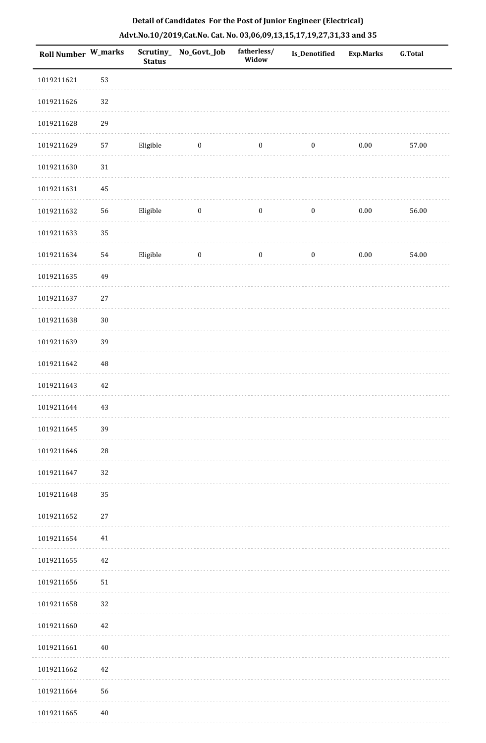| <b>Roll Number W_marks</b> |          | <b>Status</b> | Scrutiny_No_Govt._Job | fatherless/<br>Widow | Is_Denotified    | <b>Exp.Marks</b> | <b>G.Total</b> |
|----------------------------|----------|---------------|-----------------------|----------------------|------------------|------------------|----------------|
| 1019211621                 | 53       |               |                       |                      |                  |                  |                |
| 1019211626                 | 32       |               |                       |                      |                  |                  |                |
| 1019211628                 | 29       |               |                       |                      |                  |                  |                |
| 1019211629                 | 57       | Eligible      | $\boldsymbol{0}$      | $\boldsymbol{0}$     | $\boldsymbol{0}$ | $0.00\,$         | 57.00          |
| 1019211630                 | $31\,$   |               |                       |                      |                  |                  |                |
| 1019211631                 | 45       |               |                       |                      |                  |                  |                |
| 1019211632                 | 56       | Eligible      | $\boldsymbol{0}$      | $\boldsymbol{0}$     | $\boldsymbol{0}$ | $0.00\,$         | 56.00          |
| 1019211633                 | 35       |               |                       |                      |                  |                  |                |
| 1019211634                 | 54       | Eligible      | $\boldsymbol{0}$      | $\boldsymbol{0}$     | $\boldsymbol{0}$ | $0.00\,$         | 54.00          |
| 1019211635                 | 49       |               |                       |                      |                  |                  |                |
| 1019211637                 | $27\,$   |               |                       |                      |                  |                  |                |
| 1019211638                 | $30\,$   |               |                       |                      |                  |                  |                |
| 1019211639                 | 39       |               |                       |                      |                  |                  |                |
| 1019211642                 | $\rm 48$ |               |                       |                      |                  |                  |                |
| 1019211643                 | 42       |               |                       |                      |                  |                  |                |
| 1019211644                 | 43       |               |                       |                      |                  |                  |                |
| 1019211645                 | 39       |               |                       |                      |                  |                  |                |
| 1019211646                 | 28       |               |                       |                      |                  |                  |                |
| 1019211647                 | 32       |               |                       |                      |                  |                  |                |
| 1019211648                 | 35       |               |                       |                      |                  |                  |                |
| 1019211652                 | 27       |               |                       |                      |                  |                  |                |
| 1019211654                 | 41       |               |                       |                      |                  |                  |                |
| 1019211655                 | 42       |               |                       |                      |                  |                  |                |
| 1019211656                 | 51       |               |                       |                      |                  |                  |                |
| 1019211658                 | 32       |               |                       |                      |                  |                  |                |
| 1019211660                 | 42       |               |                       |                      |                  |                  |                |
| 1019211661                 | $40\,$   |               |                       |                      |                  |                  |                |
| 1019211662                 | 42       |               |                       |                      |                  |                  |                |
| 1019211664                 | 56       |               |                       |                      |                  |                  |                |
| 1019211665                 | $40\,$   |               |                       |                      |                  |                  |                |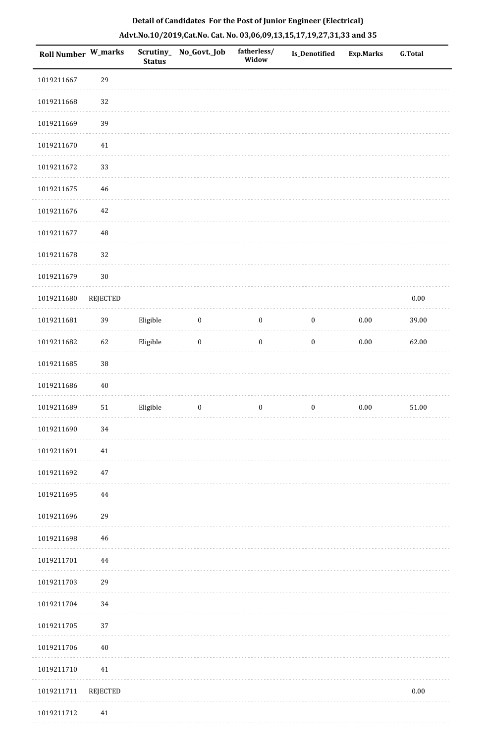| <b>Roll Number W_marks</b> |                 | <b>Status</b> | Scrutiny_No_Govt._Job | fatherless/<br>Widow | <b>Is_Denotified</b> | <b>Exp.Marks</b> | <b>G.Total</b> |
|----------------------------|-----------------|---------------|-----------------------|----------------------|----------------------|------------------|----------------|
| 1019211667                 | 29              |               |                       |                      |                      |                  |                |
| 1019211668                 | 32              |               |                       |                      |                      |                  |                |
| 1019211669                 | 39              |               |                       |                      |                      |                  |                |
| 1019211670                 | $41\,$          |               |                       |                      |                      |                  |                |
| 1019211672                 | 33              |               |                       |                      |                      |                  |                |
| 1019211675                 | $\sqrt{46}$     |               |                       |                      |                      |                  |                |
| 1019211676                 | $42\,$          |               |                       |                      |                      |                  |                |
| 1019211677                 | $\rm 48$        |               |                       |                      |                      |                  |                |
| 1019211678                 | 32              |               |                       |                      |                      |                  |                |
| 1019211679                 | 30              |               |                       |                      |                      |                  |                |
| 1019211680                 | <b>REJECTED</b> |               |                       |                      |                      |                  | $0.00\,$       |
| 1019211681                 | 39              | Eligible      | $\boldsymbol{0}$      | $\boldsymbol{0}$     | $\boldsymbol{0}$     | $0.00\,$         | 39.00          |
| 1019211682                 | 62              | Eligible      | $\boldsymbol{0}$      | $\boldsymbol{0}$     | $\boldsymbol{0}$     | $0.00\,$         | 62.00          |
| 1019211685                 | 38              |               |                       |                      |                      |                  |                |
| 1019211686                 | $40\,$          |               |                       |                      |                      |                  |                |
| 1019211689                 | ${\bf 51}$      | Eligible      | $\boldsymbol{0}$      | $\boldsymbol{0}$     | $\boldsymbol{0}$     | $0.00\,$         | 51.00          |
| 1019211690                 | $34\,$          |               |                       |                      |                      |                  |                |
| 1019211691                 | 41              |               |                       |                      |                      |                  |                |
| 1019211692                 | $47\,$          |               |                       |                      |                      |                  |                |
| 1019211695                 | $\bf 44$        |               |                       |                      |                      |                  |                |
| 1019211696                 | 29              |               |                       |                      |                      |                  |                |
| 1019211698                 | 46              |               |                       |                      |                      |                  |                |
| 1019211701                 | $\bf 44$        |               |                       |                      |                      |                  |                |
| 1019211703                 | 29              |               |                       |                      |                      |                  |                |
| 1019211704                 | 34              |               |                       |                      |                      |                  |                |
| 1019211705                 | 37              |               |                       |                      |                      |                  |                |
| 1019211706                 | $40\,$          |               |                       |                      |                      |                  |                |
| 1019211710                 | $41\,$          |               |                       |                      |                      |                  |                |
| 1019211711                 | <b>REJECTED</b> |               |                       |                      |                      |                  | 0.00           |
| 1019211712                 | $41\,$          |               |                       |                      |                      |                  |                |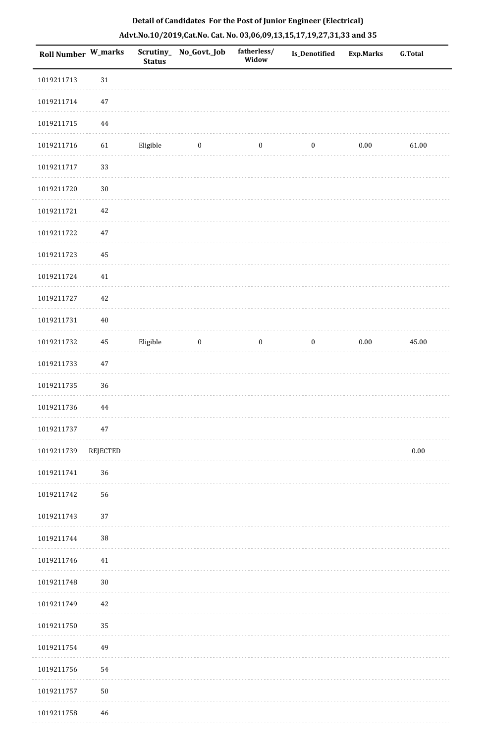| <b>Roll Number W_marks</b> |          | <b>Status</b> | Scrutiny_ No_Govt._Job | fatherless/<br>Widow | Is_Denotified    | <b>Exp.Marks</b> | <b>G.Total</b> |
|----------------------------|----------|---------------|------------------------|----------------------|------------------|------------------|----------------|
| 1019211713                 | $31\,$   |               |                        |                      |                  |                  |                |
| 1019211714                 | $47\,$   |               |                        |                      |                  |                  |                |
| 1019211715                 | $\bf 44$ |               |                        |                      |                  |                  |                |
| 1019211716                 | 61       | Eligible      | $\boldsymbol{0}$       | $\boldsymbol{0}$     | $\boldsymbol{0}$ | $0.00\,$         | 61.00          |
| 1019211717                 | 33       |               |                        |                      |                  |                  |                |
| 1019211720                 | $30\,$   |               |                        |                      |                  |                  |                |
| 1019211721                 | $42\,$   |               |                        |                      |                  |                  |                |
| 1019211722                 | $47\,$   |               |                        |                      |                  |                  |                |
| 1019211723                 | 45       |               |                        |                      |                  |                  |                |
| 1019211724                 | $41\,$   |               |                        |                      |                  |                  |                |
| 1019211727                 | $42\,$   |               |                        |                      |                  |                  |                |
| 1019211731                 | $40\,$   |               |                        |                      |                  |                  |                |
| 1019211732                 | $\bf 45$ | Eligible      | $\boldsymbol{0}$       | $\boldsymbol{0}$     | $\boldsymbol{0}$ | $0.00\,$         | 45.00          |
| 1019211733                 | $47\,$   |               |                        |                      |                  |                  |                |
| 1019211735                 | 36       |               |                        |                      |                  |                  |                |
| 1019211736                 | $\bf 44$ |               |                        |                      |                  |                  |                |
| 1019211737                 | 47       |               |                        |                      |                  |                  |                |
| 1019211739                 | REJECTED |               |                        |                      |                  |                  | $0.00\,$       |
| 1019211741                 | 36       |               |                        |                      |                  |                  |                |
| 1019211742                 | 56       |               |                        |                      |                  |                  |                |
| 1019211743                 | 37       |               |                        |                      |                  |                  |                |
| 1019211744                 | $38\,$   |               |                        |                      |                  |                  |                |
| 1019211746                 | 41       |               |                        |                      |                  |                  |                |
| 1019211748                 | $30\,$   |               |                        |                      |                  |                  |                |
| 1019211749                 | $42\,$   |               |                        |                      |                  |                  |                |
| 1019211750                 | 35       |               |                        |                      |                  |                  |                |
| 1019211754                 | 49       |               |                        |                      |                  |                  |                |
| 1019211756                 | 54       |               |                        |                      |                  |                  |                |
| 1019211757                 | $50\,$   |               |                        |                      |                  |                  |                |
| 1019211758                 | 46       |               |                        |                      |                  |                  |                |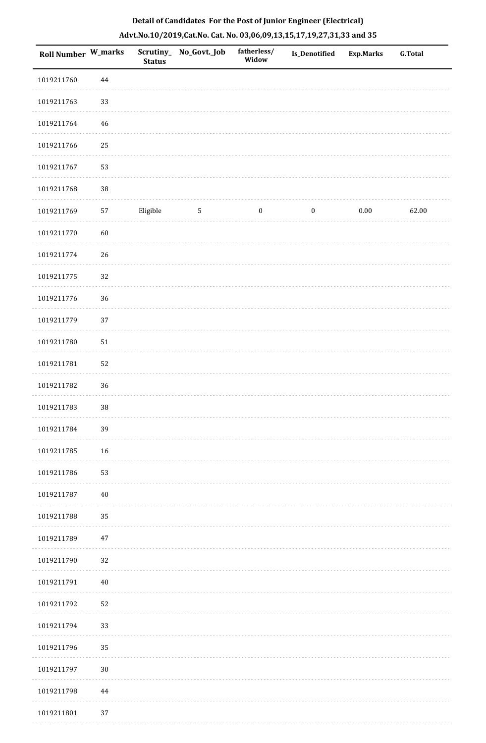| Roll Number W_marks |          | <b>Status</b> | Scrutiny_ No_Govt._Job | fatherless/<br>Widow | Is_Denotified    | <b>Exp.Marks</b> | G.Total |
|---------------------|----------|---------------|------------------------|----------------------|------------------|------------------|---------|
| 1019211760          | $\bf 44$ |               |                        |                      |                  |                  |         |
| 1019211763          | 33       |               |                        |                      |                  |                  |         |
| 1019211764          | $46\,$   |               |                        |                      |                  |                  |         |
| 1019211766          | 25       |               |                        |                      |                  |                  |         |
| 1019211767          | 53       |               |                        |                      |                  |                  |         |
| 1019211768          | 38       |               |                        |                      |                  |                  |         |
| 1019211769          | 57       | Eligible      | $\sqrt{5}$             | $\boldsymbol{0}$     | $\boldsymbol{0}$ | $0.00\,$         | 62.00   |
| 1019211770          | $60\,$   |               |                        |                      |                  |                  |         |
| 1019211774          | 26       |               |                        |                      |                  |                  |         |
| 1019211775          | 32       |               |                        |                      |                  |                  |         |
| 1019211776          | 36       |               |                        |                      |                  |                  |         |
| 1019211779          | 37       |               |                        |                      |                  |                  |         |
| 1019211780          | $51\,$   |               |                        |                      |                  |                  |         |
| 1019211781          | 52       |               |                        |                      |                  |                  |         |
| 1019211782          | 36       |               |                        |                      |                  |                  |         |
| 1019211783          | 38       |               |                        |                      |                  |                  |         |
| 1019211784          | 39       |               |                        |                      |                  |                  |         |
| 1019211785          | 16       |               |                        |                      |                  |                  |         |
| 1019211786          | 53       |               |                        |                      |                  |                  |         |
| 1019211787          | $40\,$   |               |                        |                      |                  |                  |         |
| 1019211788          | 35       |               |                        |                      |                  |                  |         |
| 1019211789          | $47\,$   |               |                        |                      |                  |                  |         |
| 1019211790          | 32       |               |                        |                      |                  |                  |         |
| 1019211791          | $40\,$   |               |                        |                      |                  |                  |         |
| 1019211792          | 52       |               |                        |                      |                  |                  |         |
| 1019211794          | 33       |               |                        |                      |                  |                  |         |
| 1019211796          | 35       |               |                        |                      |                  |                  |         |
| 1019211797          | $30\,$   |               |                        |                      |                  |                  |         |
| 1019211798          | 44       |               |                        |                      |                  |                  |         |
| 1019211801          | 37       |               |                        |                      |                  |                  |         |

. . . . . . . . . .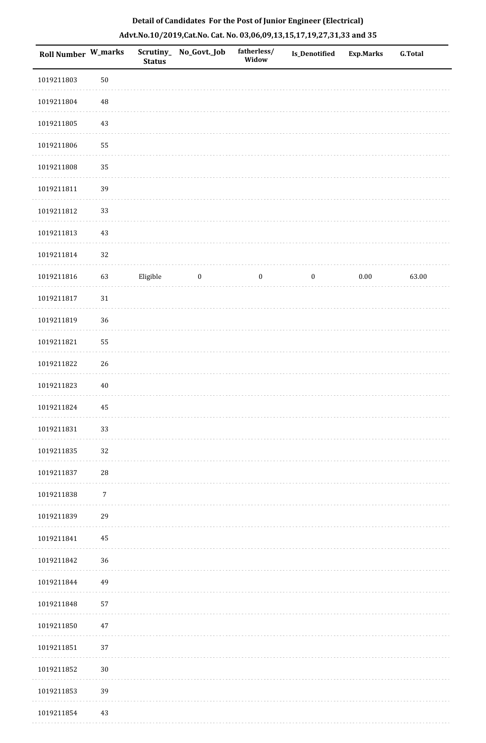| Roll Number W_marks |                  | <b>Status</b> | Scrutiny_ No_Govt._Job | fatherless/<br>Widow | Is_Denotified    | <b>Exp.Marks</b> | <b>G.Total</b> |
|---------------------|------------------|---------------|------------------------|----------------------|------------------|------------------|----------------|
| 1019211803          | 50               |               |                        |                      |                  |                  |                |
| 1019211804          | 48               |               |                        |                      |                  |                  |                |
| 1019211805          | 43               |               |                        |                      |                  |                  |                |
| 1019211806          | 55               |               |                        |                      |                  |                  |                |
| 1019211808          | 35               |               |                        |                      |                  |                  |                |
| 1019211811          | 39               |               |                        |                      |                  |                  |                |
| 1019211812          | 33               |               |                        |                      |                  |                  |                |
| 1019211813          | 43               |               |                        |                      |                  |                  |                |
| 1019211814          | 32               |               |                        |                      |                  |                  |                |
| 1019211816          | 63               | Eligible      | $\boldsymbol{0}$       | $\boldsymbol{0}$     | $\boldsymbol{0}$ | $0.00\,$         | 63.00          |
| 1019211817          | 31               |               |                        |                      |                  |                  |                |
| 1019211819          | 36               |               |                        |                      |                  |                  |                |
| 1019211821          | 55               |               |                        |                      |                  |                  |                |
| 1019211822          | 26               |               |                        |                      |                  |                  |                |
| 1019211823          | $40\,$           |               |                        |                      |                  |                  |                |
| 1019211824          | 45               |               |                        |                      |                  |                  |                |
| 1019211831          | 33               |               |                        |                      |                  |                  |                |
| 1019211835          | 32               |               |                        |                      |                  |                  |                |
| 1019211837          | 28               |               |                        |                      |                  |                  |                |
| 1019211838          | $\boldsymbol{7}$ |               |                        |                      |                  |                  |                |
| 1019211839          | 29               |               |                        |                      |                  |                  |                |
| 1019211841          | 45               |               |                        |                      |                  |                  |                |
| 1019211842          | 36               |               |                        |                      |                  |                  |                |
| 1019211844          | 49               |               |                        |                      |                  |                  |                |
| 1019211848          | 57               |               |                        |                      |                  |                  |                |
| 1019211850          | 47               |               |                        |                      |                  |                  |                |
| 1019211851          | 37               |               |                        |                      |                  |                  |                |
| 1019211852          | $30\,$           |               |                        |                      |                  |                  |                |
| 1019211853          | 39               |               |                        |                      |                  |                  |                |
| 1019211854          | 43               |               |                        |                      |                  |                  |                |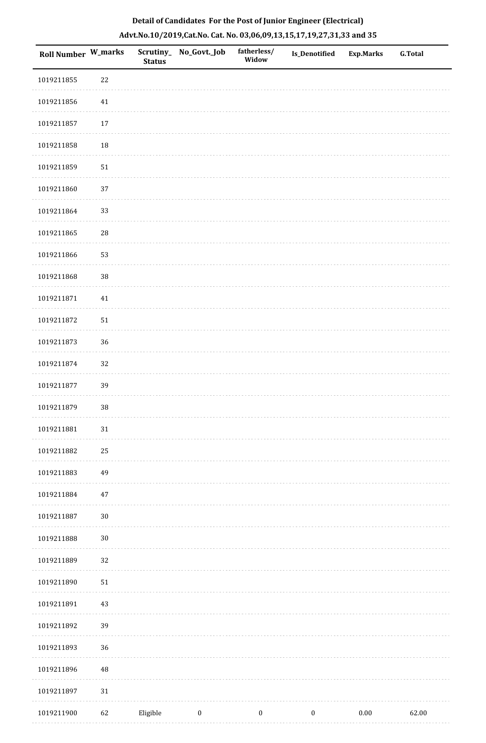| <b>Roll Number W_marks</b> |            | Scrutiny_<br><b>Status</b> | No_Govt._Job     | fatherless/<br>Widow | <b>Is_Denotified</b> | <b>Exp.Marks</b> | <b>G.Total</b> |
|----------------------------|------------|----------------------------|------------------|----------------------|----------------------|------------------|----------------|
| 1019211855                 | 22         |                            |                  |                      |                      |                  |                |
| 1019211856                 | 41         |                            |                  |                      |                      |                  |                |
| 1019211857                 | 17         |                            |                  |                      |                      |                  |                |
| 1019211858                 | $18\,$     |                            |                  |                      |                      |                  |                |
| 1019211859                 | ${\bf 51}$ |                            |                  |                      |                      |                  |                |
| 1019211860                 | 37         |                            |                  |                      |                      |                  |                |
| 1019211864                 | 33         |                            |                  |                      |                      |                  |                |
| 1019211865                 | ${\bf 28}$ |                            |                  |                      |                      |                  |                |
| 1019211866                 | 53         |                            |                  |                      |                      |                  |                |
| 1019211868                 | 38         |                            |                  |                      |                      |                  |                |
| 1019211871                 | $41\,$     |                            |                  |                      |                      |                  |                |
| 1019211872                 | $51\,$     |                            |                  |                      |                      |                  |                |
| 1019211873                 | 36         |                            |                  |                      |                      |                  |                |
| 1019211874                 | 32         |                            |                  |                      |                      |                  |                |
| 1019211877                 | 39         |                            |                  |                      |                      |                  |                |
| 1019211879                 | 38         |                            |                  |                      |                      |                  |                |
| 1019211881                 | $31\,$     |                            |                  |                      |                      |                  |                |
| 1019211882                 | 25         |                            |                  |                      |                      |                  |                |
| 1019211883                 | 49         |                            |                  |                      |                      |                  |                |
| 1019211884                 | 47         |                            |                  |                      |                      |                  |                |
| 1019211887                 | $30\,$     |                            |                  |                      |                      |                  |                |
| 1019211888                 | $30\,$     |                            |                  |                      |                      |                  |                |
| 1019211889                 | 32         |                            |                  |                      |                      |                  |                |
| 1019211890                 | $51\,$     |                            |                  |                      |                      |                  |                |
| 1019211891                 | 43         |                            |                  |                      |                      |                  |                |
| 1019211892                 | 39         |                            |                  |                      |                      |                  |                |
| 1019211893                 | 36         |                            |                  |                      |                      |                  |                |
| 1019211896                 | 48         |                            |                  |                      |                      |                  |                |
| 1019211897                 | $31\,$     |                            |                  |                      |                      |                  |                |
| 1019211900                 | 62         | Eligible                   | $\boldsymbol{0}$ | $\boldsymbol{0}$     | $\boldsymbol{0}$     | $0.00\,$         | 62.00          |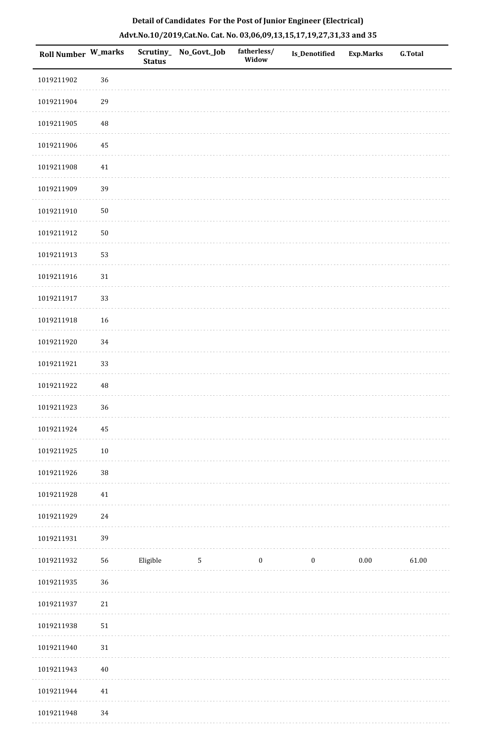| Roll Number W_marks |             | Scrutiny_<br><b>Status</b> | No_Govt._Job | fatherless/<br>Widow | <b>Is_Denotified</b> | <b>Exp.Marks</b> | <b>G.Total</b> |
|---------------------|-------------|----------------------------|--------------|----------------------|----------------------|------------------|----------------|
| 1019211902          | 36          |                            |              |                      |                      |                  |                |
| 1019211904          | 29          |                            |              |                      |                      |                  |                |
| 1019211905          | $\sqrt{48}$ |                            |              |                      |                      |                  |                |
| 1019211906          | $\bf 45$    |                            |              |                      |                      |                  |                |
| 1019211908          | $41\,$      |                            |              |                      |                      |                  |                |
| 1019211909          | 39          |                            |              |                      |                      |                  |                |
| 1019211910          | $50\,$      |                            |              |                      |                      |                  |                |
| 1019211912          | $50\,$      |                            |              |                      |                      |                  |                |
| 1019211913          | 53          |                            |              |                      |                      |                  |                |
| 1019211916          | $31\,$      |                            |              |                      |                      |                  |                |
| 1019211917          | 33          |                            |              |                      |                      |                  |                |
| 1019211918          | 16          |                            |              |                      |                      |                  |                |
| 1019211920          | 34          |                            |              |                      |                      |                  |                |
| 1019211921          | 33          |                            |              |                      |                      |                  |                |
| 1019211922          | $\rm 48$    |                            |              |                      |                      |                  |                |
| 1019211923          | 36          |                            |              |                      |                      |                  |                |
| 1019211924          | 45          |                            |              |                      |                      |                  |                |
| 1019211925          | $10\,$      |                            |              |                      |                      |                  |                |
| 1019211926          | 38          |                            |              |                      |                      |                  |                |
| 1019211928          | 41          |                            |              |                      |                      |                  |                |
| 1019211929          | 24          |                            |              |                      |                      |                  |                |
| 1019211931          | 39          |                            |              |                      |                      |                  |                |
| 1019211932          | 56          | Eligible                   | $\sqrt{5}$   | $\boldsymbol{0}$     | $\boldsymbol{0}$     | $0.00\,$         | 61.00          |
| 1019211935          | 36          |                            |              |                      |                      |                  |                |
| 1019211937          | 21          |                            |              |                      |                      |                  |                |
| 1019211938          | $51\,$      |                            |              |                      |                      |                  |                |
| 1019211940          | $31\,$      |                            |              |                      |                      |                  |                |
| 1019211943          | $40\,$      |                            |              |                      |                      |                  |                |
| 1019211944          | 41          |                            |              |                      |                      |                  |                |
| 1019211948          | 34          |                            |              |                      |                      |                  |                |

. . . . . . . . . .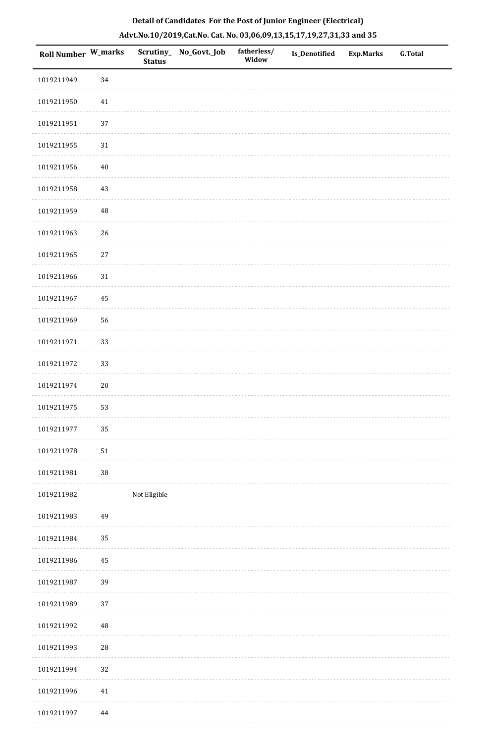| <b>Roll Number W_marks</b> |          | <b>Status</b> | Scrutiny_No_Govt._Job | fatherless/<br>Widow | Is_Denotified | <b>Exp.Marks</b> | <b>G.Total</b> |
|----------------------------|----------|---------------|-----------------------|----------------------|---------------|------------------|----------------|
| 1019211949                 | 34       |               |                       |                      |               |                  |                |
| 1019211950                 | $41\,$   |               |                       |                      |               |                  |                |
| 1019211951                 | 37       |               |                       |                      |               |                  |                |
| 1019211955                 | $31\,$   |               |                       |                      |               |                  |                |
| 1019211956                 | $40\,$   |               |                       |                      |               |                  |                |
| 1019211958                 | $43\,$   |               |                       |                      |               |                  |                |
| 1019211959                 | 48       |               |                       |                      |               |                  |                |
| 1019211963                 | 26       |               |                       |                      |               |                  |                |
| 1019211965                 | $27\,$   |               |                       |                      |               |                  |                |
| 1019211966                 | 31       |               |                       |                      |               |                  |                |
| 1019211967                 | 45       |               |                       |                      |               |                  |                |
| 1019211969                 | 56       |               |                       |                      |               |                  |                |
| 1019211971                 | 33       |               |                       |                      |               |                  |                |
| 1019211972                 | 33       |               |                       |                      |               |                  |                |
| 1019211974                 | $20\,$   |               |                       |                      |               |                  |                |
| 1019211975                 | 53       |               |                       |                      |               |                  |                |
| 1019211977                 | 35       |               |                       |                      |               |                  |                |
| 1019211978                 | $51\,$   |               |                       |                      |               |                  |                |
| 1019211981                 | 38       |               |                       |                      |               |                  |                |
| 1019211982                 |          | Not Eligible  |                       |                      |               |                  |                |
| 1019211983                 | 49       |               |                       |                      |               |                  |                |
| 1019211984                 | 35       |               |                       |                      |               |                  |                |
| 1019211986                 | 45       |               |                       |                      |               |                  |                |
| 1019211987                 | 39       |               |                       |                      |               |                  |                |
| 1019211989                 | 37       |               |                       |                      |               |                  |                |
| 1019211992                 | 48       |               |                       |                      |               |                  |                |
| 1019211993                 | 28       |               |                       |                      |               |                  |                |
| 1019211994                 | 32       |               |                       |                      |               |                  |                |
| 1019211996                 | $41\,$   |               |                       |                      |               |                  |                |
| 1019211997                 | $\bf 44$ |               |                       |                      |               |                  |                |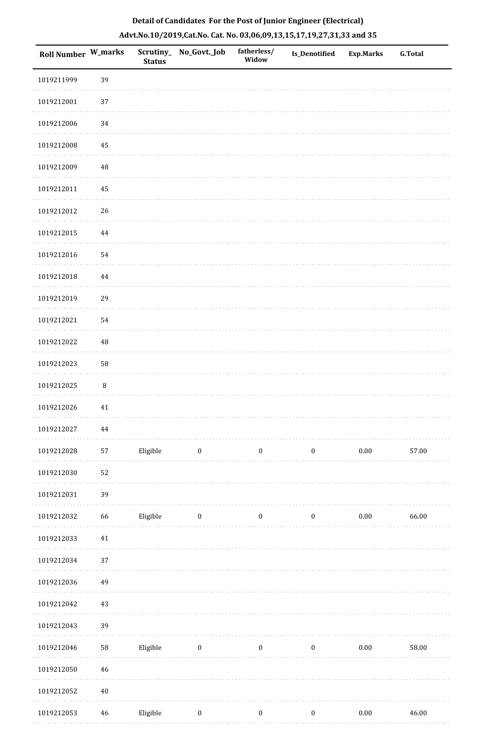| <b>Roll Number W_marks</b> |        | <b>Status</b> | Scrutiny_No_Govt._Job | fatherless/<br>Widow | Is_Denotified    | <b>Exp.Marks</b> | <b>G.Total</b> |
|----------------------------|--------|---------------|-----------------------|----------------------|------------------|------------------|----------------|
| 1019211999                 | 39     |               |                       |                      |                  |                  |                |
| 1019212001                 | 37     |               |                       |                      |                  |                  |                |
| 1019212006                 | 34     |               |                       |                      |                  |                  |                |
| 1019212008                 | 45     |               |                       |                      |                  |                  |                |
| 1019212009                 | 48     |               |                       |                      |                  |                  |                |
| 1019212011                 | 45     |               |                       |                      |                  |                  |                |
| 1019212012                 | 26     |               |                       |                      |                  |                  |                |
| 1019212015                 | 44     |               |                       |                      |                  |                  |                |
| 1019212016                 | 54     |               |                       |                      |                  |                  |                |
| 1019212018                 | 44     |               |                       |                      |                  |                  |                |
| 1019212019                 | 29     |               |                       |                      |                  |                  |                |
| 1019212021                 | 54     |               |                       |                      |                  |                  |                |
| 1019212022                 | 48     |               |                       |                      |                  |                  |                |
| 1019212023                 | 58     |               |                       |                      |                  |                  |                |
| 1019212025                 | $\, 8$ |               |                       |                      |                  |                  |                |
| 1019212026                 | 41     |               |                       |                      |                  |                  |                |
| 1019212027                 | 44     |               |                       |                      |                  |                  |                |
| 1019212028                 | 57     | Eligible      | $\boldsymbol{0}$      | $\boldsymbol{0}$     | $\boldsymbol{0}$ | $0.00\,$         | 57.00          |
| 1019212030                 | 52     |               |                       |                      |                  |                  |                |
| 1019212031                 | 39     |               |                       |                      |                  |                  |                |
| 1019212032                 | 66     | Eligible      | $\boldsymbol{0}$      | $\boldsymbol{0}$     | $\boldsymbol{0}$ | $0.00\,$         | 66.00          |
| 1019212033                 | $41\,$ |               |                       |                      |                  |                  |                |
| 1019212034                 | 37     |               |                       |                      |                  |                  |                |
| 1019212036                 | 49     |               |                       |                      |                  |                  |                |
| 1019212042                 | 43     |               |                       |                      |                  |                  |                |
| 1019212043                 | 39     |               |                       |                      |                  |                  |                |
| 1019212046                 | 58     | Eligible      | $\bf{0}$              | $\boldsymbol{0}$     | $\boldsymbol{0}$ | 0.00             | 58.00          |
| 1019212050                 | 46     |               |                       |                      |                  |                  |                |
| 1019212052                 | $40\,$ |               |                       |                      |                  |                  |                |
| 1019212053                 | 46     | Eligible      | $\boldsymbol{0}$      | $\boldsymbol{0}$     | $\boldsymbol{0}$ | $0.00\,$         | 46.00          |

. . . . . . . . . . . . . . . . .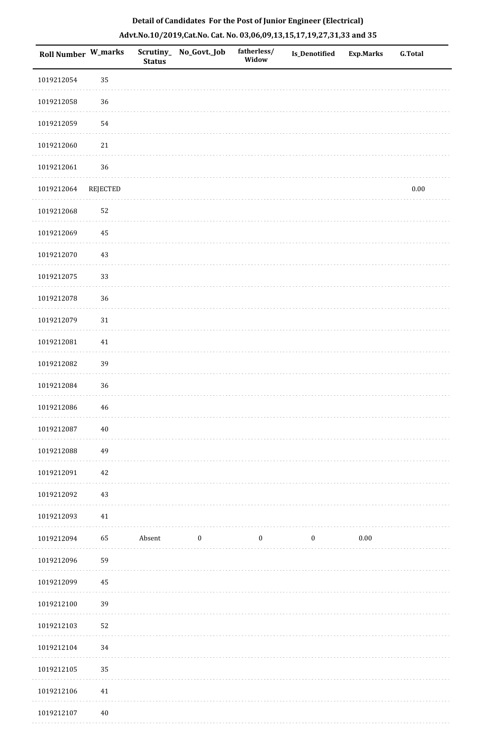|  | Detail of Candidates For the Post of Junior Engineer (Electrical)     |  |
|--|-----------------------------------------------------------------------|--|
|  | Advt.No.10/2019,Cat.No. Cat. No. 03,06,09,13,15,17,19,27,31,33 and 35 |  |

| <b>Roll Number W_marks</b> |                 | <b>Status</b> | Scrutiny_ No_Govt._Job | fatherless/<br>Widow | <b>Is_Denotified</b> | <b>Exp.Marks</b> | <b>G.Total</b> |
|----------------------------|-----------------|---------------|------------------------|----------------------|----------------------|------------------|----------------|
| 1019212054                 | 35              |               |                        |                      |                      |                  |                |
| 1019212058                 | 36              |               |                        |                      |                      |                  |                |
| 1019212059                 | 54              |               |                        |                      |                      |                  |                |
| 1019212060                 | $21\,$          |               |                        |                      |                      |                  |                |
| 1019212061                 | 36              |               |                        |                      |                      |                  |                |
| 1019212064                 | <b>REJECTED</b> |               |                        |                      |                      |                  | $0.00\,$       |
| 1019212068                 | 52              |               |                        |                      |                      |                  |                |
| 1019212069                 | 45              |               |                        |                      |                      |                  |                |
| 1019212070                 | 43              |               |                        |                      |                      |                  |                |
| 1019212075                 | 33              |               |                        |                      |                      |                  |                |
| 1019212078                 | 36              |               |                        |                      |                      |                  |                |
| 1019212079                 | 31              |               |                        |                      |                      |                  |                |
| 1019212081                 | $41\,$          |               |                        |                      |                      |                  |                |
| 1019212082                 | 39              |               |                        |                      |                      |                  |                |
| 1019212084                 | 36              |               |                        |                      |                      |                  |                |
| 1019212086                 | 46              |               |                        |                      |                      |                  |                |
| 1019212087                 | $40\,$          |               |                        |                      |                      |                  |                |
| 1019212088                 | 49              |               |                        |                      |                      |                  |                |
| 1019212091                 | 42              |               |                        |                      |                      |                  |                |
| 1019212092                 | 43              |               |                        |                      |                      |                  |                |
| 1019212093                 | $41\,$          |               |                        |                      |                      |                  |                |
| 1019212094                 | 65              | Absent        | $\boldsymbol{0}$       | $\boldsymbol{0}$     | $\boldsymbol{0}$     | $0.00\,$         |                |
| 1019212096                 | 59              |               |                        |                      |                      |                  |                |
| 1019212099                 | 45              |               |                        |                      |                      |                  |                |
| 1019212100                 | 39              |               |                        |                      |                      |                  |                |
| 1019212103                 | 52              |               |                        |                      |                      |                  |                |
| 1019212104                 | 34              |               |                        |                      |                      |                  |                |
| 1019212105                 | 35              |               |                        |                      |                      |                  |                |
| 1019212106                 | 41              |               |                        |                      |                      |                  |                |
| 1019212107                 | 40              |               |                        |                      |                      |                  |                |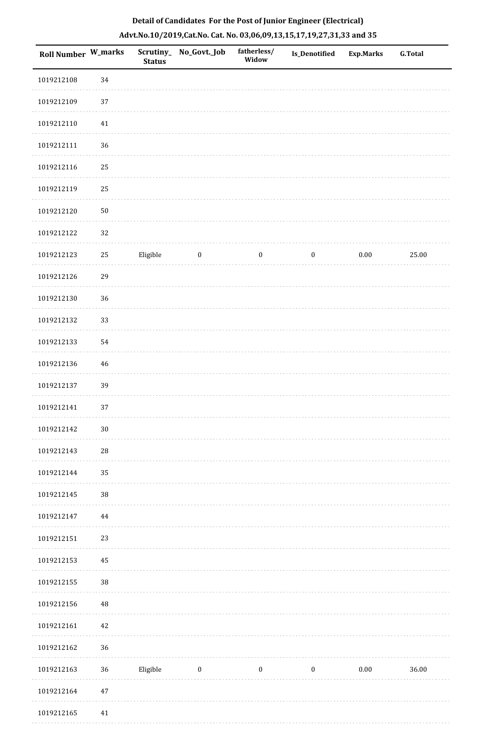| <b>Roll Number W_marks</b> |             | <b>Status</b> | Scrutiny_No_Govt._Job | fatherless/<br>Widow | <b>Is_Denotified</b> | Exp.Marks | <b>G.Total</b> |
|----------------------------|-------------|---------------|-----------------------|----------------------|----------------------|-----------|----------------|
| 1019212108                 | 34          |               |                       |                      |                      |           |                |
| 1019212109                 | $37\,$      |               |                       |                      |                      |           |                |
| 1019212110                 | $41\,$      |               |                       |                      |                      |           |                |
| 1019212111                 | 36          |               |                       |                      |                      |           |                |
| 1019212116                 | 25          |               |                       |                      |                      |           |                |
| 1019212119                 | 25          |               |                       |                      |                      |           |                |
| 1019212120                 | ${\bf 50}$  |               |                       |                      |                      |           |                |
| 1019212122                 | $32\,$      |               |                       |                      |                      |           |                |
| 1019212123                 | $25\,$      | Eligible      | $\bf{0}$              | $\boldsymbol{0}$     | $\boldsymbol{0}$     | $0.00\,$  | 25.00          |
| 1019212126                 | 29          |               |                       |                      |                      |           |                |
| 1019212130                 | 36          |               |                       |                      |                      |           |                |
| 1019212132                 | 33          |               |                       |                      |                      |           |                |
| 1019212133                 | 54          |               |                       |                      |                      |           |                |
| 1019212136                 | 46          |               |                       |                      |                      |           |                |
| 1019212137                 | 39          |               |                       |                      |                      |           |                |
| 1019212141                 | 37          |               |                       |                      |                      |           |                |
| 1019212142                 | $30\,$      |               |                       |                      |                      |           |                |
| 1019212143                 | $\sqrt{28}$ |               |                       |                      |                      |           |                |
| 1019212144                 | 35          |               |                       |                      |                      |           |                |
| 1019212145                 | $38\,$      |               |                       |                      |                      |           |                |
| 1019212147                 | 44          |               |                       |                      |                      |           |                |
| 1019212151                 | 23          |               |                       |                      |                      |           |                |
| 1019212153                 | 45          |               |                       |                      |                      |           |                |
| 1019212155                 | $38\,$      |               |                       |                      |                      |           |                |
| 1019212156                 | 48          |               |                       |                      |                      |           |                |
| 1019212161                 | 42          |               |                       |                      |                      |           |                |
| 1019212162                 | 36          |               |                       |                      |                      |           |                |
| 1019212163                 | 36          | Eligible      | $\boldsymbol{0}$      | $\boldsymbol{0}$     | $\boldsymbol{0}$     | $0.00\,$  | 36.00          |
| 1019212164                 | $47\,$      |               |                       |                      |                      |           |                |
| 1019212165                 | 41          |               |                       |                      |                      |           |                |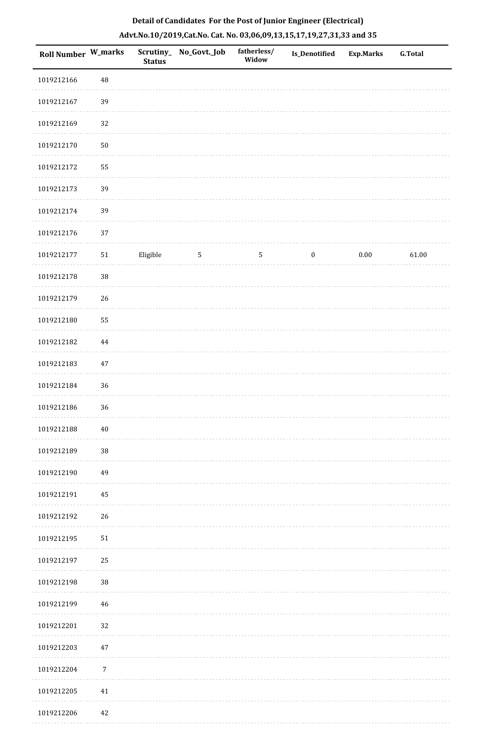| <b>Roll Number W_marks</b> |            | <b>Status</b> | Scrutiny_No_Govt._Job | fatherless/<br>Widow | Is_Denotified    | <b>Exp.Marks</b> | <b>G.Total</b> |
|----------------------------|------------|---------------|-----------------------|----------------------|------------------|------------------|----------------|
| 1019212166                 | 48         |               |                       |                      |                  |                  |                |
| 1019212167                 | 39         |               |                       |                      |                  |                  |                |
| 1019212169                 | 32         |               |                       |                      |                  |                  |                |
| 1019212170                 | ${\bf 50}$ |               |                       |                      |                  |                  |                |
| 1019212172                 | 55         |               |                       |                      |                  |                  |                |
| 1019212173                 | 39         |               |                       |                      |                  |                  |                |
| 1019212174                 | 39         |               |                       |                      |                  |                  |                |
| 1019212176                 | 37         |               |                       |                      |                  |                  |                |
| 1019212177                 | $51\,$     | Eligible      | $\overline{5}$        | $\overline{5}$       | $\boldsymbol{0}$ | $0.00\,$         | 61.00          |
| 1019212178                 | $38\,$     |               |                       |                      |                  |                  |                |
| 1019212179                 | 26         |               |                       |                      |                  |                  |                |
| 1019212180                 | 55         |               |                       |                      |                  |                  |                |
| 1019212182                 | $\bf 44$   |               |                       |                      |                  |                  |                |
| 1019212183                 | 47         |               |                       |                      |                  |                  |                |
| 1019212184                 | $36\,$     |               |                       |                      |                  |                  |                |
| 1019212186                 | 36         |               |                       |                      |                  |                  |                |
| 1019212188                 | 40         |               |                       |                      |                  |                  |                |
| 1019212189                 | $38\,$     |               |                       |                      |                  |                  |                |
| 1019212190                 | 49         |               |                       |                      |                  |                  |                |
| 1019212191                 | 45         |               |                       |                      |                  |                  |                |
| 1019212192                 | $26\,$     |               |                       |                      |                  |                  |                |
| 1019212195                 | 51         |               |                       |                      |                  |                  |                |
| 1019212197                 | 25         |               |                       |                      |                  |                  |                |
| 1019212198                 | 38         |               |                       |                      |                  |                  |                |
| 1019212199                 | 46         |               |                       |                      |                  |                  |                |
| 1019212201                 | 32         |               |                       |                      |                  |                  |                |
| 1019212203                 | $47\,$     |               |                       |                      |                  |                  |                |
| 1019212204                 | $\sqrt{7}$ |               |                       |                      |                  |                  |                |
| 1019212205                 | 41         |               |                       |                      |                  |                  |                |
| 1019212206                 | 42         |               |                       |                      |                  |                  |                |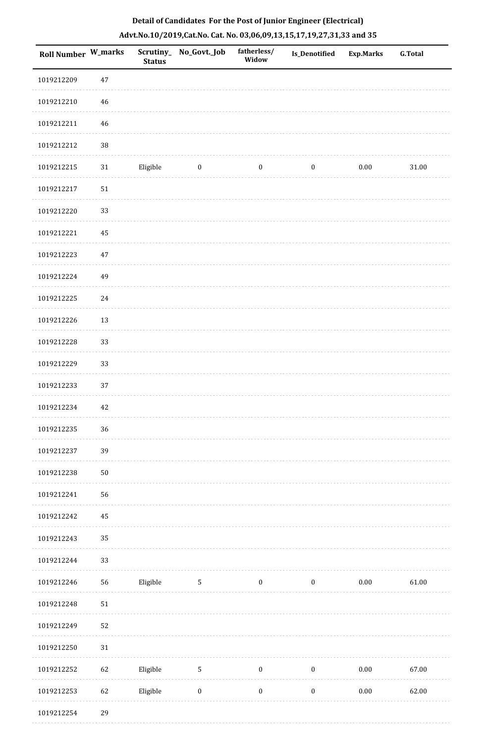| <b>Roll Number W_marks</b> |        | <b>Status</b> | Scrutiny_ No_Govt._Job | fatherless/<br>Widow | <b>Is_Denotified</b> | <b>Exp.Marks</b> | <b>G.Total</b> |
|----------------------------|--------|---------------|------------------------|----------------------|----------------------|------------------|----------------|
| 1019212209                 | 47     |               |                        |                      |                      |                  |                |
| 1019212210                 | 46     |               |                        |                      |                      |                  |                |
| 1019212211                 | 46     |               |                        |                      |                      |                  |                |
| 1019212212                 | 38     |               |                        |                      |                      |                  |                |
| 1019212215                 | 31     | Eligible      | $\bf{0}$               | $\bf{0}$             | $\boldsymbol{0}$     | 0.00             | 31.00          |
| 1019212217                 | $51\,$ |               |                        |                      |                      |                  |                |
| 1019212220                 | 33     |               |                        |                      |                      |                  |                |
| 1019212221                 | 45     |               |                        |                      |                      |                  |                |
| 1019212223                 | $47\,$ |               |                        |                      |                      |                  |                |
| 1019212224                 | 49     |               |                        |                      |                      |                  |                |
| 1019212225                 | 24     |               |                        |                      |                      |                  |                |
| 1019212226                 | 13     |               |                        |                      |                      |                  |                |
| 1019212228                 | 33     |               |                        |                      |                      |                  |                |
| 1019212229                 | 33     |               |                        |                      |                      |                  |                |
| 1019212233                 | 37     |               |                        |                      |                      |                  |                |
| 1019212234                 | $42\,$ |               |                        |                      |                      |                  |                |
| 1019212235                 | 36     |               |                        |                      |                      |                  |                |
| 1019212237                 | 39     |               |                        |                      |                      |                  |                |
| 1019212238                 | $50\,$ |               |                        |                      |                      |                  |                |
| 1019212241                 | 56     |               |                        |                      |                      |                  |                |
| 1019212242                 | 45     |               |                        |                      |                      |                  |                |
| 1019212243                 | 35     |               |                        |                      |                      |                  |                |
| 1019212244                 | 33     |               |                        |                      |                      |                  |                |
| 1019212246                 | 56     | Eligible      | 5                      | $\boldsymbol{0}$     | $\boldsymbol{0}$     | $0.00\,$         | 61.00          |
| 1019212248                 | 51     |               |                        |                      |                      |                  |                |
| 1019212249                 | 52     |               |                        |                      |                      |                  |                |
| 1019212250                 | 31     |               |                        |                      |                      |                  |                |
| 1019212252                 | 62     | Eligible      | $5\,$                  | $\boldsymbol{0}$     | $\boldsymbol{0}$     | $0.00\,$         | 67.00          |
| 1019212253                 | 62     | Eligible      | $\boldsymbol{0}$       | $\boldsymbol{0}$     | $\boldsymbol{0}$     | $0.00\,$         | 62.00          |
| 1019212254                 | 29     |               |                        |                      |                      |                  |                |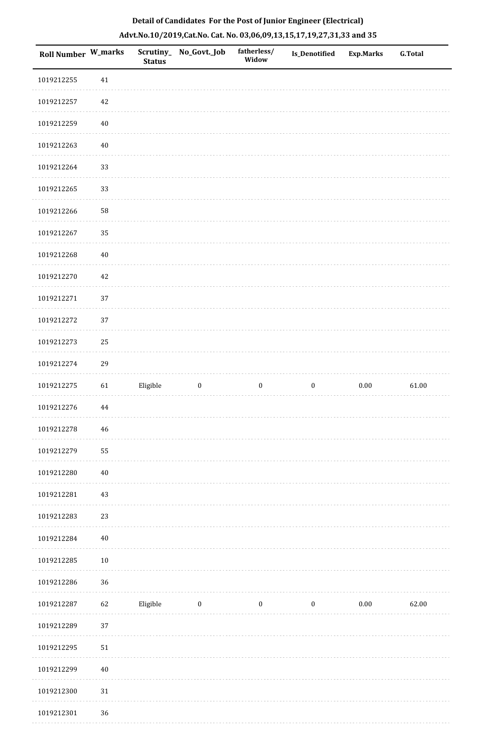| <b>Roll Number W_marks</b> |        | <b>Status</b> | Scrutiny_No_Govt._Job | fatherless/<br>Widow | Is_Denotified    | <b>Exp.Marks</b> | <b>G.Total</b> |
|----------------------------|--------|---------------|-----------------------|----------------------|------------------|------------------|----------------|
| 1019212255                 | $41\,$ |               |                       |                      |                  |                  |                |
| 1019212257                 | $42\,$ |               |                       |                      |                  |                  |                |
| 1019212259                 | $40\,$ |               |                       |                      |                  |                  |                |
| 1019212263                 | $40\,$ |               |                       |                      |                  |                  |                |
| 1019212264                 | 33     |               |                       |                      |                  |                  |                |
| 1019212265                 | 33     |               |                       |                      |                  |                  |                |
| 1019212266                 | 58     |               |                       |                      |                  |                  |                |
| 1019212267                 | 35     |               |                       |                      |                  |                  |                |
| 1019212268                 | $40\,$ |               |                       |                      |                  |                  |                |
| 1019212270                 | 42     |               |                       |                      |                  |                  |                |
| 1019212271                 | 37     |               |                       |                      |                  |                  |                |
| 1019212272                 | 37     |               |                       |                      |                  |                  |                |
| 1019212273                 | 25     |               |                       |                      |                  |                  |                |
| 1019212274                 | 29     |               |                       |                      |                  |                  |                |
| 1019212275                 | 61     | Eligible      | $\boldsymbol{0}$      | $\boldsymbol{0}$     | $\boldsymbol{0}$ | $0.00\,$         | 61.00          |
| 1019212276                 | 44     |               |                       |                      |                  |                  |                |
| 1019212278                 | $46\,$ |               |                       |                      |                  |                  |                |
| 1019212279                 | 55     |               |                       |                      |                  |                  |                |
| 1019212280                 | $40\,$ |               |                       |                      |                  |                  |                |
| 1019212281                 | $43\,$ |               |                       |                      |                  |                  |                |
| 1019212283                 | 23     |               |                       |                      |                  |                  |                |
| 1019212284                 | $40\,$ |               |                       |                      |                  |                  |                |
| 1019212285                 | $10\,$ |               |                       |                      |                  |                  |                |
| 1019212286                 | 36     |               |                       |                      |                  |                  |                |
| 1019212287                 | 62     | Eligible      | $\bf{0}$              | $\boldsymbol{0}$     | $\boldsymbol{0}$ | 0.00             | 62.00          |
| 1019212289                 | 37     |               |                       |                      |                  |                  |                |
| 1019212295                 | 51     |               |                       |                      |                  |                  |                |
| 1019212299                 | $40\,$ |               |                       |                      |                  |                  |                |
| 1019212300                 | $31\,$ |               |                       |                      |                  |                  |                |
| 1019212301                 | 36     |               |                       |                      |                  |                  |                |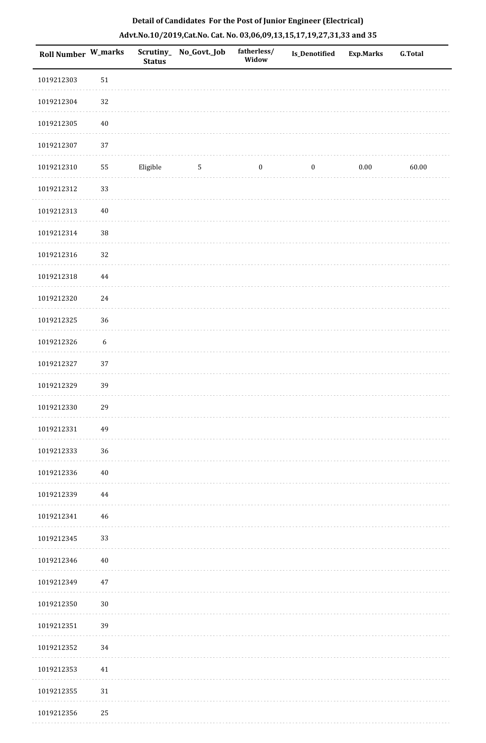| <b>Roll Number W_marks</b> |                  | <b>Status</b> | Scrutiny_ No_Govt._Job | fatherless/<br>Widow | <b>Is_Denotified</b> | Exp.Marks | <b>G.Total</b> |
|----------------------------|------------------|---------------|------------------------|----------------------|----------------------|-----------|----------------|
| 1019212303                 | 51               |               |                        |                      |                      |           |                |
| 1019212304                 | $32\,$           |               |                        |                      |                      |           |                |
| 1019212305                 | $40\,$           |               |                        |                      |                      |           |                |
| 1019212307                 | 37               |               |                        |                      |                      |           |                |
| 1019212310                 | 55               | Eligible      | 5                      | $\boldsymbol{0}$     | $\boldsymbol{0}$     | 0.00      | 60.00          |
| 1019212312                 | 33               |               |                        |                      |                      |           |                |
| 1019212313                 | $40\,$           |               |                        |                      |                      |           |                |
| 1019212314                 | $38\,$           |               |                        |                      |                      |           |                |
| 1019212316                 | 32               |               |                        |                      |                      |           |                |
| 1019212318                 | $\bf 44$         |               |                        |                      |                      |           |                |
| 1019212320                 | 24               |               |                        |                      |                      |           |                |
| 1019212325                 | 36               |               |                        |                      |                      |           |                |
| 1019212326                 | $\boldsymbol{6}$ |               |                        |                      |                      |           |                |
| 1019212327                 | 37               |               |                        |                      |                      |           |                |
| 1019212329                 | 39               |               |                        |                      |                      |           |                |
| 1019212330                 | 29               |               |                        |                      |                      |           |                |
| 1019212331                 | 49               |               |                        |                      |                      |           |                |
| 1019212333                 | 36               |               |                        |                      |                      |           |                |
| 1019212336                 | $40\,$           |               |                        |                      |                      |           |                |
| 1019212339                 | 44               |               |                        |                      |                      |           |                |
| 1019212341                 | 46               |               |                        |                      |                      |           |                |
| 1019212345                 | 33               |               |                        |                      |                      |           |                |
| 1019212346                 | 40               |               |                        |                      |                      |           |                |
| 1019212349                 | 47               |               |                        |                      |                      |           |                |
| 1019212350                 | 30               |               |                        |                      |                      |           |                |
| 1019212351                 | 39               |               |                        |                      |                      |           |                |
| 1019212352                 | 34               |               |                        |                      |                      |           |                |
| 1019212353                 | 41               |               |                        |                      |                      |           |                |
| 1019212355                 | 31               |               |                        |                      |                      |           |                |
| 1019212356                 | 25               |               |                        |                      |                      |           |                |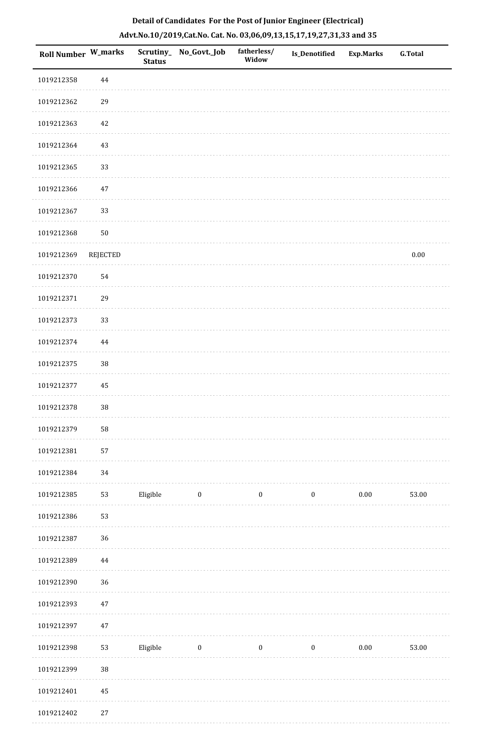| Roll Number W_marks |          | <b>Status</b> | Scrutiny_ No_Govt._Job  | fatherless/<br>Widow | Is_Denotified    | <b>Exp.Marks</b> | <b>G.Total</b> |
|---------------------|----------|---------------|-------------------------|----------------------|------------------|------------------|----------------|
| 1019212358          | 44       |               |                         |                      |                  |                  |                |
| 1019212362          | 29       |               |                         |                      |                  |                  |                |
| 1019212363          | $42\,$   |               |                         |                      |                  |                  |                |
| 1019212364          | 43       |               |                         |                      |                  |                  |                |
| 1019212365          | 33       |               |                         |                      |                  |                  |                |
| 1019212366          | $47\,$   |               |                         |                      |                  |                  |                |
| 1019212367          | 33       |               |                         |                      |                  |                  |                |
| 1019212368          | $50\,$   |               |                         |                      |                  |                  |                |
| 1019212369          | REJECTED |               |                         |                      |                  |                  | $0.00\,$       |
| 1019212370          | 54       |               |                         |                      |                  |                  |                |
| 1019212371          | 29       |               |                         |                      |                  |                  |                |
| 1019212373          | 33       |               |                         |                      |                  |                  |                |
| 1019212374          | 44       |               |                         |                      |                  |                  |                |
| 1019212375          | 38       |               |                         |                      |                  |                  |                |
| 1019212377          | 45       |               |                         |                      |                  |                  |                |
| 1019212378          | 38       |               |                         |                      |                  |                  |                |
| 1019212379          | 58       |               |                         |                      |                  |                  |                |
| 1019212381          | 57       |               |                         |                      |                  |                  |                |
| 1019212384          | 34       |               |                         |                      |                  |                  |                |
| 1019212385          | 53       | Eligible      | $\overline{\mathbf{0}}$ | $\boldsymbol{0}$     | $\boldsymbol{0}$ | 0.00             | 53.00          |
| 1019212386          | 53       |               |                         |                      |                  |                  |                |
| 1019212387          | 36       |               |                         |                      |                  |                  |                |
| 1019212389          | $\bf 44$ |               |                         |                      |                  |                  |                |
| 1019212390          | 36       |               |                         |                      |                  |                  |                |
| 1019212393          | $47\,$   |               |                         |                      |                  |                  |                |
| 1019212397          | $47\,$   |               |                         |                      |                  |                  |                |
| 1019212398          | 53       | Eligible      | $\bf{0}$                | $\boldsymbol{0}$     | $\boldsymbol{0}$ | $0.00\,$         | 53.00          |
| 1019212399          | 38       |               |                         |                      |                  |                  |                |
| 1019212401          | $\rm 45$ |               |                         |                      |                  |                  |                |
| 1019212402          | $27\,$   |               |                         |                      |                  |                  |                |

. . . . . . . . . . .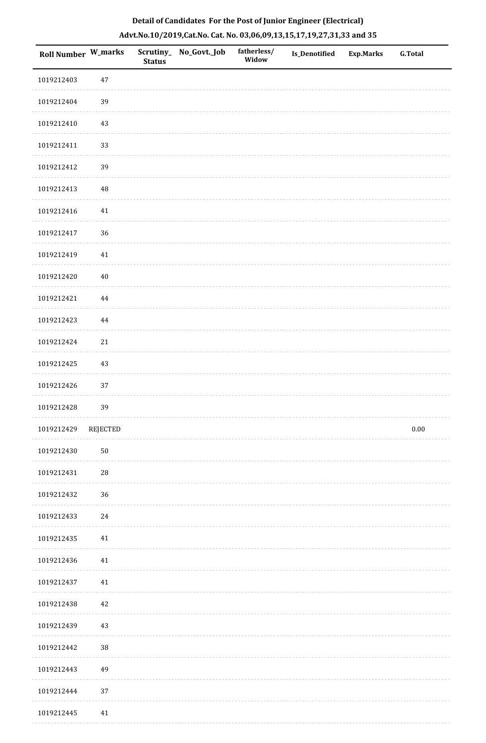| <b>Roll Number W_marks</b> |             | <b>Status</b> | Scrutiny_ No_Govt._Job | fatherless/<br>Widow | <b>Is_Denotified</b> | Exp.Marks | <b>G.Total</b> |
|----------------------------|-------------|---------------|------------------------|----------------------|----------------------|-----------|----------------|
| 1019212403                 | $47\,$      |               |                        |                      |                      |           |                |
| 1019212404                 | 39          |               |                        |                      |                      |           |                |
| 1019212410                 | 43          |               |                        |                      |                      |           |                |
| 1019212411                 | 33          |               |                        |                      |                      |           |                |
| 1019212412                 | 39          |               |                        |                      |                      |           |                |
| 1019212413                 | 48          |               |                        |                      |                      |           |                |
| 1019212416                 | $41\,$      |               |                        |                      |                      |           |                |
| 1019212417                 | 36          |               |                        |                      |                      |           |                |
| 1019212419                 | $41\,$      |               |                        |                      |                      |           |                |
| 1019212420                 | $40\,$      |               |                        |                      |                      |           |                |
| 1019212421                 | 44          |               |                        |                      |                      |           |                |
| 1019212423                 | 44          |               |                        |                      |                      |           |                |
| 1019212424                 | $21\,$      |               |                        |                      |                      |           |                |
| 1019212425                 | 43          |               |                        |                      |                      |           |                |
| 1019212426                 | 37          |               |                        |                      |                      |           |                |
| 1019212428                 | 39          |               |                        |                      |                      |           |                |
| 1019212429                 | REJECTED    |               |                        |                      |                      |           | $0.00\,$       |
| 1019212430                 | ${\bf 50}$  |               |                        |                      |                      |           |                |
| 1019212431                 | $\sqrt{28}$ |               |                        |                      |                      |           |                |
| 1019212432                 | 36          |               |                        |                      |                      |           |                |
| 1019212433                 | 24          |               |                        |                      |                      |           |                |
| 1019212435                 | $41\,$      |               |                        |                      |                      |           |                |
| 1019212436                 | 41          |               |                        |                      |                      |           |                |
| 1019212437                 | $41\,$      |               |                        |                      |                      |           |                |
| 1019212438                 | 42          |               |                        |                      |                      |           |                |
| 1019212439                 | 43          |               |                        |                      |                      |           |                |
| 1019212442                 | 38          |               |                        |                      |                      |           |                |
| 1019212443                 | 49          |               |                        |                      |                      |           |                |
| 1019212444                 | $37\,$      |               |                        |                      |                      |           |                |
| 1019212445                 | 41          |               |                        |                      |                      |           |                |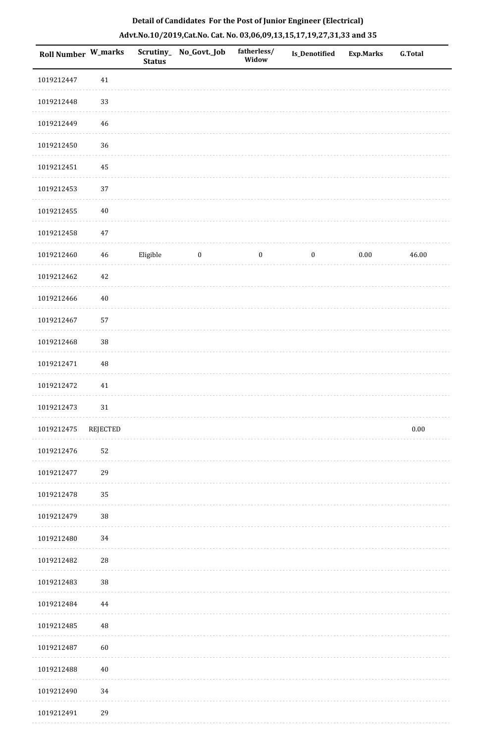| Roll Number W_marks |          | <b>Status</b> | Scrutiny_ No_Govt._Job | fatherless/<br>Widow | Is_Denotified    | <b>Exp.Marks</b> | G.Total  |
|---------------------|----------|---------------|------------------------|----------------------|------------------|------------------|----------|
| 1019212447          | $41\,$   |               |                        |                      |                  |                  |          |
| 1019212448          | 33       |               |                        |                      |                  |                  |          |
| 1019212449          | 46       |               |                        |                      |                  |                  |          |
| 1019212450          | 36       |               |                        |                      |                  |                  |          |
| 1019212451          | 45       |               |                        |                      |                  |                  |          |
| 1019212453          | 37       |               |                        |                      |                  |                  |          |
| 1019212455          | $40\,$   |               |                        |                      |                  |                  |          |
| 1019212458          | $47\,$   |               |                        |                      |                  |                  |          |
| 1019212460          | 46       | Eligible      | $\boldsymbol{0}$       | $\boldsymbol{0}$     | $\boldsymbol{0}$ | $0.00\,$         | 46.00    |
| 1019212462          | 42       |               |                        |                      |                  |                  |          |
| 1019212466          | $40\,$   |               |                        |                      |                  |                  |          |
| 1019212467          | 57       |               |                        |                      |                  |                  |          |
| 1019212468          | 38       |               |                        |                      |                  |                  |          |
| 1019212471          | $\rm 48$ |               |                        |                      |                  |                  |          |
| 1019212472          | 41       |               |                        |                      |                  |                  |          |
| 1019212473          | 31       |               |                        |                      |                  |                  |          |
| 1019212475          | REJECTED |               |                        |                      |                  |                  | $0.00\,$ |
| 1019212476          | 52       |               |                        |                      |                  |                  |          |
| 1019212477          | 29       |               |                        |                      |                  |                  |          |
| 1019212478          | 35       |               |                        |                      |                  |                  |          |
| 1019212479          | $38\,$   |               |                        |                      |                  |                  |          |
| 1019212480          | 34       |               |                        |                      |                  |                  |          |
| 1019212482          | 28       |               |                        |                      |                  |                  |          |
| 1019212483          | $38\,$   |               |                        |                      |                  |                  |          |
| 1019212484          | 44       |               |                        |                      |                  |                  |          |
| 1019212485          | $\rm 48$ |               |                        |                      |                  |                  |          |
| 1019212487          | 60       |               |                        |                      |                  |                  |          |
| 1019212488          | 40       |               |                        |                      |                  |                  |          |
| 1019212490          | 34       |               |                        |                      |                  |                  |          |
| 1019212491          | 29       |               |                        |                      |                  |                  |          |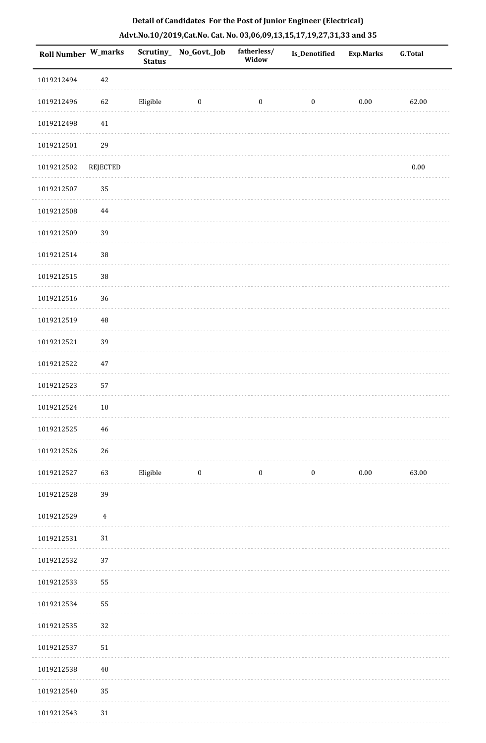| Roll Number W_marks |                | <b>Status</b> | Scrutiny_No_Govt._Job | fatherless/<br>Widow | <b>Is_Denotified</b> | <b>Exp.Marks</b> | <b>G.Total</b> |
|---------------------|----------------|---------------|-----------------------|----------------------|----------------------|------------------|----------------|
| 1019212494          | 42             |               |                       |                      |                      |                  |                |
| 1019212496          | 62             | Eligible      | $\bf{0}$              | $\boldsymbol{0}$     | $\boldsymbol{0}$     | $0.00\,$         | 62.00          |
| 1019212498          | $41\,$         |               |                       |                      |                      |                  |                |
| 1019212501          | 29             |               |                       |                      |                      |                  |                |
| 1019212502          | REJECTED       |               |                       |                      |                      |                  | $0.00\,$       |
| 1019212507          | 35             |               |                       |                      |                      |                  |                |
| 1019212508          | $\bf 44$       |               |                       |                      |                      |                  |                |
| 1019212509          | 39             |               |                       |                      |                      |                  |                |
| 1019212514          | 38             |               |                       |                      |                      |                  |                |
| 1019212515          | 38             |               |                       |                      |                      |                  |                |
| 1019212516          | 36             |               |                       |                      |                      |                  |                |
| 1019212519          | 48             |               |                       |                      |                      |                  |                |
| 1019212521          | 39             |               |                       |                      |                      |                  |                |
| 1019212522          | $47\,$         |               |                       |                      |                      |                  |                |
| 1019212523          | 57             |               |                       |                      |                      |                  |                |
| 1019212524          | $10\,$         |               |                       |                      |                      |                  |                |
| 1019212525          | 46             |               |                       |                      |                      |                  |                |
| 1019212526          | $26\,$         |               |                       |                      |                      |                  |                |
| 1019212527          | 63             | Eligible      | $\boldsymbol{0}$      | $\boldsymbol{0}$     | $\boldsymbol{0}$     | $0.00\,$         | 63.00          |
| 1019212528          | 39             |               |                       |                      |                      |                  |                |
| 1019212529          | $\overline{4}$ |               |                       |                      |                      |                  |                |
| 1019212531          | $31\,$         |               |                       |                      |                      |                  |                |
| 1019212532          | 37             |               |                       |                      |                      |                  |                |
| 1019212533          | 55             |               |                       |                      |                      |                  |                |
| 1019212534          | 55             |               |                       |                      |                      |                  |                |
| 1019212535          | $32\,$         |               |                       |                      |                      |                  |                |
| 1019212537          | 51             |               |                       |                      |                      |                  |                |
| 1019212538          | 40             |               |                       |                      |                      |                  |                |
| 1019212540          | 35             |               |                       |                      |                      |                  |                |
| 1019212543          | $31\,$         |               |                       |                      |                      |                  |                |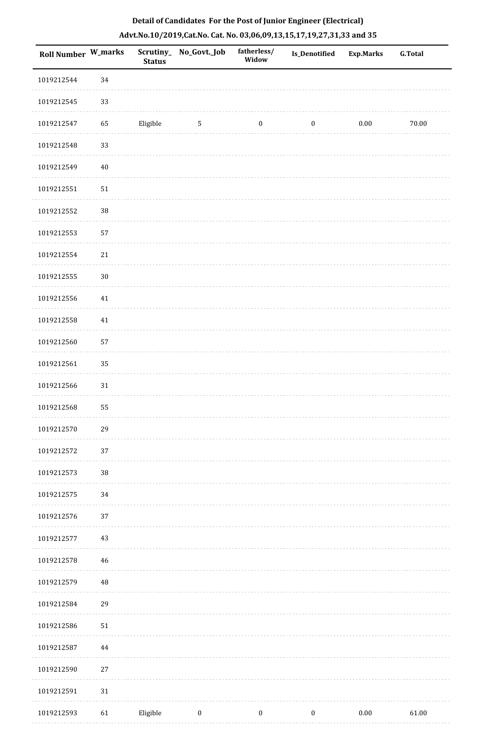| Roll Number W_marks |             | <b>Status</b> | Scrutiny_ No_Govt._Job | fatherless/<br>Widow | Is_Denotified    | <b>Exp.Marks</b> | <b>G.Total</b> |
|---------------------|-------------|---------------|------------------------|----------------------|------------------|------------------|----------------|
| 1019212544          | 34          |               |                        |                      |                  |                  |                |
| 1019212545          | 33          |               |                        |                      |                  |                  |                |
| 1019212547          | 65          | Eligible      | $\mathbf{5}$           | $\boldsymbol{0}$     | $\boldsymbol{0}$ | $0.00\,$         | 70.00          |
| 1019212548          | 33          |               |                        |                      |                  |                  |                |
| 1019212549          | $40\,$      |               |                        |                      |                  |                  |                |
| 1019212551          | 51          |               |                        |                      |                  |                  |                |
| 1019212552          | 38          |               |                        |                      |                  |                  |                |
| 1019212553          | 57          |               |                        |                      |                  |                  |                |
| 1019212554          | 21          |               |                        |                      |                  |                  |                |
| 1019212555          | $30\,$      |               |                        |                      |                  |                  |                |
| 1019212556          | $41\,$      |               |                        |                      |                  |                  |                |
| 1019212558          | $41\,$      |               |                        |                      |                  |                  |                |
| 1019212560          | 57          |               |                        |                      |                  |                  |                |
| 1019212561          | 35          |               |                        |                      |                  |                  |                |
| 1019212566          | $31\,$      |               |                        |                      |                  |                  |                |
| 1019212568          | 55          |               |                        |                      |                  |                  |                |
| 1019212570          | 29          |               |                        |                      |                  |                  |                |
| 1019212572          | 37          |               |                        |                      |                  |                  |                |
| 1019212573          | 38          |               |                        |                      |                  |                  |                |
| 1019212575          | 34          |               |                        |                      |                  |                  |                |
| 1019212576          | 37          |               |                        |                      |                  |                  |                |
| 1019212577          | 43          |               |                        |                      |                  |                  |                |
| 1019212578          | $\sqrt{46}$ |               |                        |                      |                  |                  |                |
| 1019212579          | $\rm 48$    |               |                        |                      |                  |                  |                |
| 1019212584          | 29          |               |                        |                      |                  |                  |                |
| 1019212586          | ${\bf 51}$  |               |                        |                      |                  |                  |                |
| 1019212587          | 44          |               |                        |                      |                  |                  |                |
| 1019212590          | $27\,$      |               |                        |                      |                  |                  |                |
| 1019212591          | $31\,$      |               |                        |                      |                  |                  |                |
| 1019212593          | 61          | Eligible      | $\boldsymbol{0}$       | $\boldsymbol{0}$     | $\boldsymbol{0}$ | $0.00\,$         | 61.00          |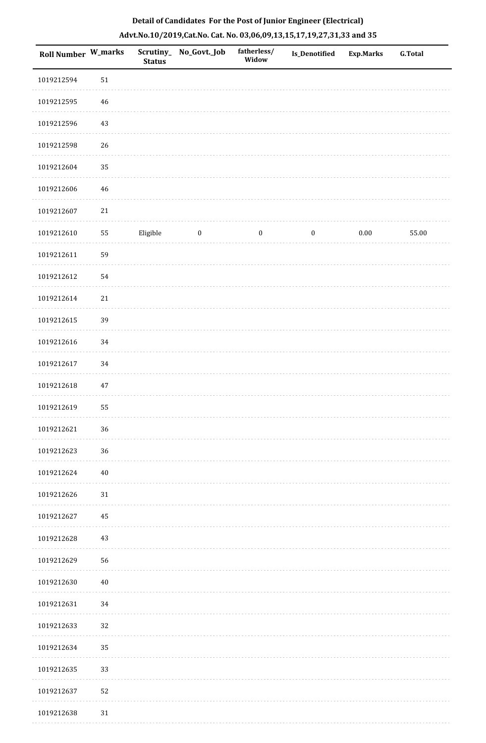| <b>Roll Number W_marks</b> |        | <b>Status</b> | Scrutiny_No_Govt._Job | fatherless/<br>Widow | Is_Denotified    | <b>Exp.Marks</b> | G.Total |
|----------------------------|--------|---------------|-----------------------|----------------------|------------------|------------------|---------|
| 1019212594                 | 51     |               |                       |                      |                  |                  |         |
| 1019212595                 | 46     |               |                       |                      |                  |                  |         |
| 1019212596                 | 43     |               |                       |                      |                  |                  |         |
| 1019212598                 | 26     |               |                       |                      |                  |                  |         |
| 1019212604                 | 35     |               |                       |                      |                  |                  |         |
| 1019212606                 | 46     |               |                       |                      |                  |                  |         |
| 1019212607                 | 21     |               |                       |                      |                  |                  |         |
| 1019212610                 | 55     | Eligible      | $\bf{0}$              | $\boldsymbol{0}$     | $\boldsymbol{0}$ | 0.00             | 55.00   |
| 1019212611                 | 59     |               |                       |                      |                  |                  |         |
| 1019212612                 | 54     |               |                       |                      |                  |                  |         |
| 1019212614                 | 21     |               |                       |                      |                  |                  |         |
| 1019212615                 | 39     |               |                       |                      |                  |                  |         |
| 1019212616                 | 34     |               |                       |                      |                  |                  |         |
| 1019212617                 | 34     |               |                       |                      |                  |                  |         |
| 1019212618                 | 47     |               |                       |                      |                  |                  |         |
| 1019212619                 | 55     |               |                       |                      |                  |                  |         |
| 1019212621                 | $36\,$ |               |                       |                      |                  |                  |         |
| 1019212623                 | 36     |               |                       |                      |                  |                  |         |
| 1019212624                 | 40     |               |                       |                      |                  |                  |         |
| 1019212626                 | 31     |               |                       |                      |                  |                  |         |
| 1019212627                 | 45     |               |                       |                      |                  |                  |         |
| 1019212628                 | 43     |               |                       |                      |                  |                  |         |
| 1019212629                 | 56     |               |                       |                      |                  |                  |         |
| 1019212630                 | $40\,$ |               |                       |                      |                  |                  |         |
| 1019212631                 | 34     |               |                       |                      |                  |                  |         |
| 1019212633                 | $32\,$ |               |                       |                      |                  |                  |         |
| 1019212634                 | 35     |               |                       |                      |                  |                  |         |
| 1019212635                 | 33     |               |                       |                      |                  |                  |         |
| 1019212637                 | 52     |               |                       |                      |                  |                  |         |
| 1019212638                 | $31\,$ |               |                       |                      |                  |                  |         |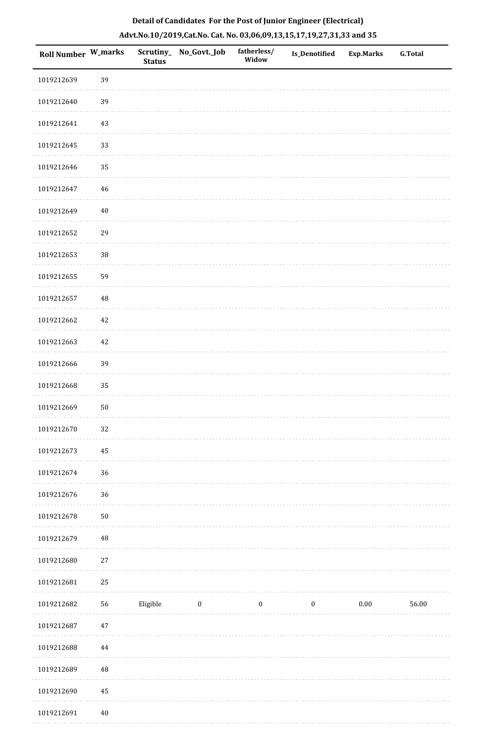| Roll Number W_marks |            | <b>Status</b> | Scrutiny_ No_Govt._Job | fatherless/<br>Widow | <b>Is_Denotified</b> | <b>Exp.Marks</b> | <b>G.Total</b> |
|---------------------|------------|---------------|------------------------|----------------------|----------------------|------------------|----------------|
| 1019212639          | 39         |               |                        |                      |                      |                  |                |
| 1019212640          | 39         |               |                        |                      |                      |                  |                |
| 1019212641          | 43         |               |                        |                      |                      |                  |                |
| 1019212645          | 33         |               |                        |                      |                      |                  |                |
| 1019212646          | 35         |               |                        |                      |                      |                  |                |
| 1019212647          | $46\,$     |               |                        |                      |                      |                  |                |
| 1019212649          | $40\,$     |               |                        |                      |                      |                  |                |
| 1019212652          | 29         |               |                        |                      |                      |                  |                |
| 1019212653          | 38         |               |                        |                      |                      |                  |                |
| 1019212655          | 59         |               |                        |                      |                      |                  |                |
| 1019212657          | 48         |               |                        |                      |                      |                  |                |
| 1019212662          | $42\,$     |               |                        |                      |                      |                  |                |
| 1019212663          | $42\,$     |               |                        |                      |                      |                  |                |
| 1019212666          | 39         |               |                        |                      |                      |                  |                |
| 1019212668          | 35         |               |                        |                      |                      |                  |                |
| 1019212669          | $50\,$     |               |                        |                      |                      |                  |                |
| 1019212670          | $32\,$     |               |                        |                      |                      |                  |                |
| 1019212673          | 45         |               |                        |                      |                      |                  |                |
| 1019212674          | 36         |               |                        |                      |                      |                  |                |
| 1019212676          | $36\,$     |               |                        |                      |                      |                  |                |
| 1019212678          | ${\bf 50}$ |               |                        |                      |                      |                  |                |
| 1019212679          | $\rm 48$   |               |                        |                      |                      |                  |                |
| 1019212680          | $27\,$     |               |                        |                      |                      |                  |                |
| 1019212681          | 25         |               |                        |                      |                      |                  |                |
| 1019212682          | 56         | Eligible      | $\bf{0}$               | $\boldsymbol{0}$     | $\boldsymbol{0}$     | $0.00\,$         | 56.00          |
| 1019212687          | $47\,$     |               |                        |                      |                      |                  |                |
| 1019212688          | 44         |               |                        |                      |                      |                  |                |
| 1019212689          | 48         |               |                        |                      |                      |                  |                |
| 1019212690          | 45         |               |                        |                      |                      |                  |                |
| 1019212691          | $40\,$     |               |                        |                      |                      |                  |                |

. . . . . . . . . .

 $1.1.1.1$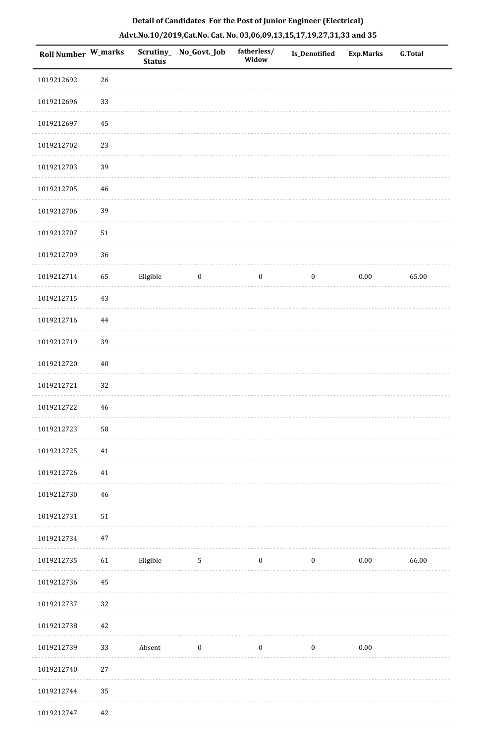| Roll Number W_marks |             | <b>Status</b>              | Scrutiny_No_Govt._Job | fatherless/<br>Widow | Is_Denotified    | <b>Exp.Marks</b> | <b>G.Total</b> |
|---------------------|-------------|----------------------------|-----------------------|----------------------|------------------|------------------|----------------|
| 1019212692          | 26          |                            |                       |                      |                  |                  |                |
| 1019212696          | 33          |                            |                       |                      |                  |                  |                |
| 1019212697          | 45          |                            |                       |                      |                  |                  |                |
| 1019212702          | 23          |                            |                       |                      |                  |                  |                |
| 1019212703          | 39          |                            |                       |                      |                  |                  |                |
| 1019212705          | $\sqrt{46}$ |                            |                       |                      |                  |                  |                |
| 1019212706          | 39          |                            |                       |                      |                  |                  |                |
| 1019212707          | $51\,$      |                            |                       |                      |                  |                  |                |
| 1019212709          | 36          |                            |                       |                      |                  |                  |                |
| 1019212714          | 65          | Eligible                   | $\boldsymbol{0}$      | $\boldsymbol{0}$     | $\boldsymbol{0}$ | $0.00\,$         | 65.00          |
| 1019212715          | 43          |                            |                       |                      |                  |                  |                |
| 1019212716          | $\bf 44$    |                            |                       |                      |                  |                  |                |
| 1019212719          | 39          |                            |                       |                      |                  |                  |                |
| 1019212720          | $40\,$      |                            |                       |                      |                  |                  |                |
| 1019212721          | 32          |                            |                       |                      |                  |                  |                |
| 1019212722          | $\sqrt{46}$ |                            |                       |                      |                  |                  |                |
| 1019212723          | ${\bf 58}$  |                            |                       |                      |                  |                  |                |
| 1019212725          | $41\,$      |                            |                       |                      |                  |                  |                |
| 1019212726          | $41\,$      |                            |                       |                      |                  |                  |                |
| 1019212730          | 46          |                            |                       |                      |                  |                  |                |
| 1019212731          | 51          |                            |                       |                      |                  |                  |                |
| 1019212734          | $47\,$      |                            |                       |                      |                  |                  |                |
| 1019212735          | 61          | Eligible                   | $5\phantom{.0}$       | $\bf{0}$             | $\bf{0}$         | 0.00             | 66.00          |
| 1019212736          | 45          |                            |                       |                      |                  |                  |                |
| 1019212737          | 32          |                            |                       |                      |                  |                  |                |
| 1019212738          | $42\,$      |                            |                       |                      |                  |                  |                |
| 1019212739          | 33          | ${\small \textsf{Absent}}$ | $\boldsymbol{0}$      | $\boldsymbol{0}$     | $\boldsymbol{0}$ | $0.00\,$         |                |
| 1019212740          | $27\,$      |                            |                       |                      |                  |                  |                |
| 1019212744          | 35          |                            |                       |                      |                  |                  |                |
| 1019212747          | $42\,$      |                            |                       |                      |                  |                  |                |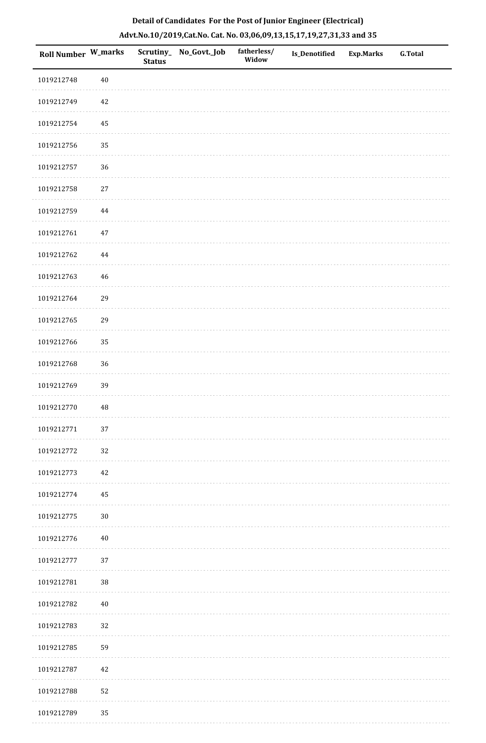| Roll Number W_marks |             | <b>Status</b> | Scrutiny_ No_Govt._Job | fatherless/<br>Widow | Is_Denotified | <b>Exp.Marks</b> | <b>G.Total</b> |
|---------------------|-------------|---------------|------------------------|----------------------|---------------|------------------|----------------|
| 1019212748          | $40\,$      |               |                        |                      |               |                  |                |
| 1019212749          | $42\,$      |               |                        |                      |               |                  |                |
| 1019212754          | 45          |               |                        |                      |               |                  |                |
| 1019212756          | 35          |               |                        |                      |               |                  |                |
| 1019212757          | 36          |               |                        |                      |               |                  |                |
| 1019212758          | $27\,$      |               |                        |                      |               |                  |                |
| 1019212759          | $\bf 44$    |               |                        |                      |               |                  |                |
| 1019212761          | $47\,$      |               |                        |                      |               |                  |                |
| 1019212762          | $\bf 44$    |               |                        |                      |               |                  |                |
| 1019212763          | $\sqrt{46}$ |               |                        |                      |               |                  |                |
| 1019212764          | 29          |               |                        |                      |               |                  |                |
| 1019212765          | 29          |               |                        |                      |               |                  |                |
| 1019212766          | 35          |               |                        |                      |               |                  |                |
| 1019212768          | 36          |               |                        |                      |               |                  |                |
| 1019212769          | 39          |               |                        |                      |               |                  |                |
| 1019212770          | 48          |               |                        |                      |               |                  |                |
| 1019212771          | $37\,$      |               |                        |                      |               |                  |                |
| 1019212772          | 32          |               |                        |                      |               |                  |                |
| 1019212773          | $42\,$      |               |                        |                      |               |                  |                |
| 1019212774          | 45          |               |                        |                      |               |                  |                |
| 1019212775          | $30\,$      |               |                        |                      |               |                  |                |
| 1019212776          | $40\,$      |               |                        |                      |               |                  |                |
| 1019212777          | 37          |               |                        |                      |               |                  |                |
| 1019212781          | 38          |               |                        |                      |               |                  |                |
| 1019212782          | $40\,$      |               |                        |                      |               |                  |                |
| 1019212783          | 32          |               |                        |                      |               |                  |                |
| 1019212785          | 59          |               |                        |                      |               |                  |                |
| 1019212787          | 42          |               |                        |                      |               |                  |                |
| 1019212788          | 52          |               |                        |                      |               |                  |                |
| 1019212789          | 35          |               |                        |                      |               |                  |                |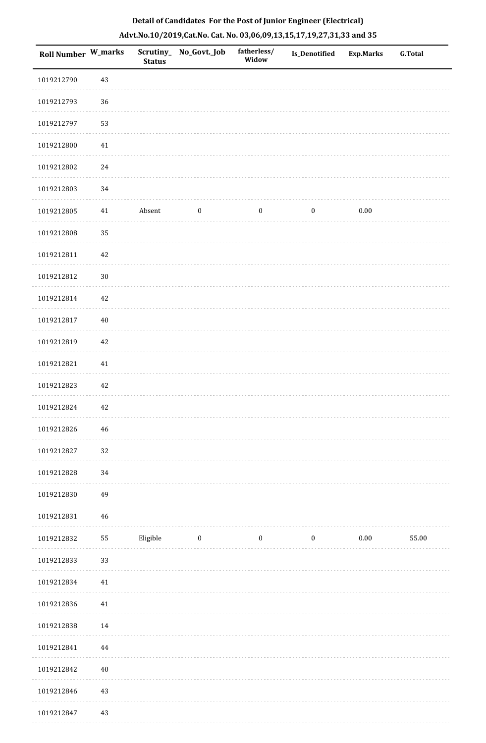| Roll Number W_marks |          | <b>Status</b> | Scrutiny_ No_Govt._Job | fatherless/<br>Widow | Is_Denotified    | Exp.Marks | <b>G.Total</b> |
|---------------------|----------|---------------|------------------------|----------------------|------------------|-----------|----------------|
| 1019212790          | 43       |               |                        |                      |                  |           |                |
| 1019212793          | $36\,$   |               |                        |                      |                  |           |                |
| 1019212797          | 53       |               |                        |                      |                  |           |                |
| 1019212800          | 41       |               |                        |                      |                  |           |                |
| 1019212802          | 24       |               |                        |                      |                  |           |                |
| 1019212803          | 34       |               |                        |                      |                  |           |                |
| 1019212805          | 41       | Absent        | $\boldsymbol{0}$       | $\boldsymbol{0}$     | $\boldsymbol{0}$ | $0.00\,$  |                |
| 1019212808          | 35       |               |                        |                      |                  |           |                |
| 1019212811          | 42       |               |                        |                      |                  |           |                |
| 1019212812          | $30\,$   |               |                        |                      |                  |           |                |
| 1019212814          | 42       |               |                        |                      |                  |           |                |
| 1019212817          | $40\,$   |               |                        |                      |                  |           |                |
| 1019212819          | 42       |               |                        |                      |                  |           |                |
| 1019212821          | 41       |               |                        |                      |                  |           |                |
| 1019212823          | $42\,$   |               |                        |                      |                  |           |                |
| 1019212824          | 42       |               |                        |                      |                  |           |                |
| 1019212826          | 46       |               |                        |                      |                  |           |                |
| 1019212827          | 32       |               |                        |                      |                  |           |                |
| 1019212828          | 34       |               |                        |                      |                  |           |                |
| 1019212830          | 49       |               |                        |                      |                  |           |                |
| 1019212831          | 46       |               |                        |                      |                  |           |                |
| 1019212832          | 55       | Eligible      | $\boldsymbol{0}$       | $\boldsymbol{0}$     | $\boldsymbol{0}$ | $0.00\,$  | 55.00          |
| 1019212833          | 33       |               |                        |                      |                  |           |                |
| 1019212834          | 41       |               |                        |                      |                  |           |                |
| 1019212836          | 41       |               |                        |                      |                  |           |                |
| 1019212838          | 14       |               |                        |                      |                  |           |                |
| 1019212841          | $\bf 44$ |               |                        |                      |                  |           |                |
| 1019212842          | $40\,$   |               |                        |                      |                  |           |                |
| 1019212846          | $43\,$   |               |                        |                      |                  |           |                |
| 1019212847          | $43\,$   |               |                        |                      |                  |           |                |

. . . . . . . . . . .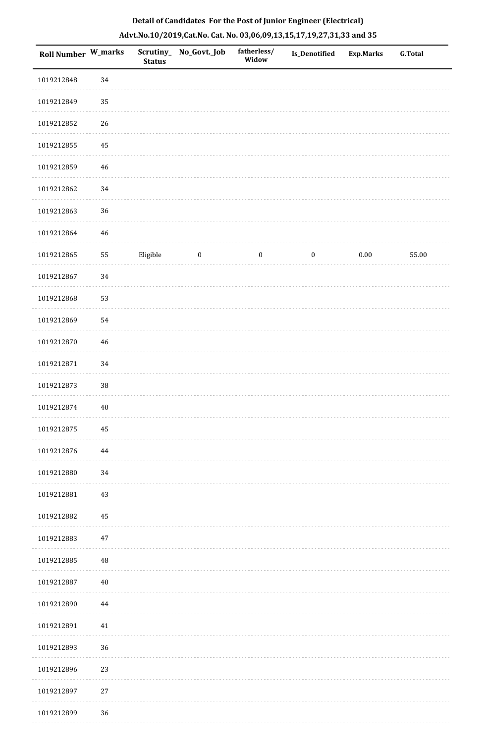| <b>Roll Number W_marks</b> |        | <b>Status</b> | Scrutiny_No_Govt._Job | fatherless/<br>Widow | Is_Denotified    | <b>Exp.Marks</b> | <b>G.Total</b> |
|----------------------------|--------|---------------|-----------------------|----------------------|------------------|------------------|----------------|
| 1019212848                 | 34     |               |                       |                      |                  |                  |                |
| 1019212849                 | 35     |               |                       |                      |                  |                  |                |
| 1019212852                 | $26\,$ |               |                       |                      |                  |                  |                |
| 1019212855                 | 45     |               |                       |                      |                  |                  |                |
| 1019212859                 | 46     |               |                       |                      |                  |                  |                |
| 1019212862                 | $34\,$ |               |                       |                      |                  |                  |                |
| 1019212863                 | 36     |               |                       |                      |                  |                  |                |
| 1019212864                 | 46     |               |                       |                      |                  |                  |                |
| 1019212865                 | 55     | Eligible      | $\boldsymbol{0}$      | $\boldsymbol{0}$     | $\boldsymbol{0}$ | $0.00\,$         | 55.00          |
| 1019212867                 | 34     |               |                       |                      |                  |                  |                |
| 1019212868                 | 53     |               |                       |                      |                  |                  |                |
| 1019212869                 | 54     |               |                       |                      |                  |                  |                |
| 1019212870                 | 46     |               |                       |                      |                  |                  |                |
| 1019212871                 | 34     |               |                       |                      |                  |                  |                |
| 1019212873                 | $38\,$ |               |                       |                      |                  |                  |                |
| 1019212874                 | $40\,$ |               |                       |                      |                  |                  |                |
| 1019212875                 | 45     |               |                       |                      |                  |                  |                |
| 1019212876                 | 44     |               |                       |                      |                  |                  |                |
| 1019212880                 | 34     |               |                       |                      |                  |                  |                |
| 1019212881                 | 43     |               |                       |                      |                  |                  |                |
| 1019212882                 | 45     |               |                       |                      |                  |                  |                |
| 1019212883                 | $47\,$ |               |                       |                      |                  |                  |                |
| 1019212885                 | 48     |               |                       |                      |                  |                  |                |
| 1019212887                 | 40     |               |                       |                      |                  |                  |                |
| 1019212890                 | 44     |               |                       |                      |                  |                  |                |
| 1019212891                 | 41     |               |                       |                      |                  |                  |                |
| 1019212893                 | 36     |               |                       |                      |                  |                  |                |
| 1019212896                 | 23     |               |                       |                      |                  |                  |                |
| 1019212897                 | $27\,$ |               |                       |                      |                  |                  |                |
| 1019212899                 | 36     |               |                       |                      |                  |                  |                |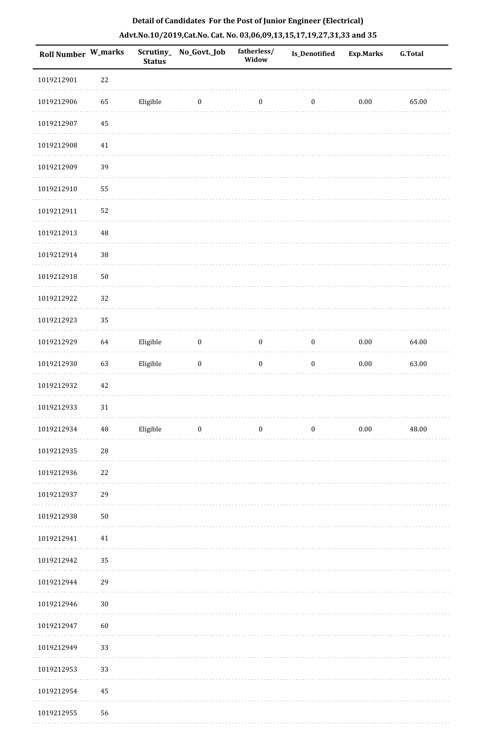| <b>Roll Number W_marks</b> |          | <b>Status</b> | Scrutiny_No_Govt._Job   | fatherless/<br>Widow | <b>Is_Denotified</b> | <b>Exp.Marks</b> | <b>G.Total</b> |
|----------------------------|----------|---------------|-------------------------|----------------------|----------------------|------------------|----------------|
| 1019212901                 | 22       |               |                         |                      |                      |                  |                |
| 1019212906                 | 65       | Eligible      | $\bf{0}$                | $\boldsymbol{0}$     | $\boldsymbol{0}$     | $0.00\,$         | 65.00          |
| 1019212907                 | $45\,$   |               |                         |                      |                      |                  |                |
| 1019212908                 | $41\,$   |               |                         |                      |                      |                  |                |
| 1019212909                 | 39       |               |                         |                      |                      |                  |                |
| 1019212910                 | 55       |               |                         |                      |                      |                  |                |
| 1019212911                 | 52       |               |                         |                      |                      |                  |                |
| 1019212913                 | $\rm 48$ |               |                         |                      |                      |                  |                |
| 1019212914                 | 38       |               |                         |                      |                      |                  |                |
| 1019212918                 | $50\,$   |               |                         |                      |                      |                  |                |
| 1019212922                 | 32       |               |                         |                      |                      |                  |                |
| 1019212923                 | 35       |               |                         |                      |                      |                  |                |
| 1019212929                 | 64       | Eligible      | $\boldsymbol{0}$        | $\boldsymbol{0}$     | $\boldsymbol{0}$     | $0.00\,$         | 64.00          |
| 1019212930                 | 63       | Eligible      | $\boldsymbol{0}$        | $\boldsymbol{0}$     | $\boldsymbol{0}$     | $0.00\,$         | 63.00          |
| 1019212932                 | 42       |               |                         |                      |                      |                  |                |
| 1019212933                 | 31       |               |                         |                      |                      |                  |                |
| 1019212934                 | 48       | Eligible      | $\overline{\mathbf{0}}$ | $\bf{0}$             | $\bf{0}$             | 0.00             | 48.00          |
| 1019212935                 | 28       |               |                         |                      |                      |                  |                |
| 1019212936                 | 22       |               |                         |                      |                      |                  |                |
| 1019212937                 | 29       |               |                         |                      |                      |                  |                |
| 1019212938                 | 50       |               |                         |                      |                      |                  |                |
| 1019212941                 | 41       |               |                         |                      |                      |                  |                |
| 1019212942                 | 35       |               |                         |                      |                      |                  |                |
| 1019212944                 | 29       |               |                         |                      |                      |                  |                |
| 1019212946                 | $30\,$   |               |                         |                      |                      |                  |                |
| 1019212947                 | 60       |               |                         |                      |                      |                  |                |
| 1019212949                 | 33       |               |                         |                      |                      |                  |                |
| 1019212953                 | 33       |               |                         |                      |                      |                  |                |
| 1019212954                 | 45       |               |                         |                      |                      |                  |                |
| 1019212955                 | 56       |               |                         |                      |                      |                  |                |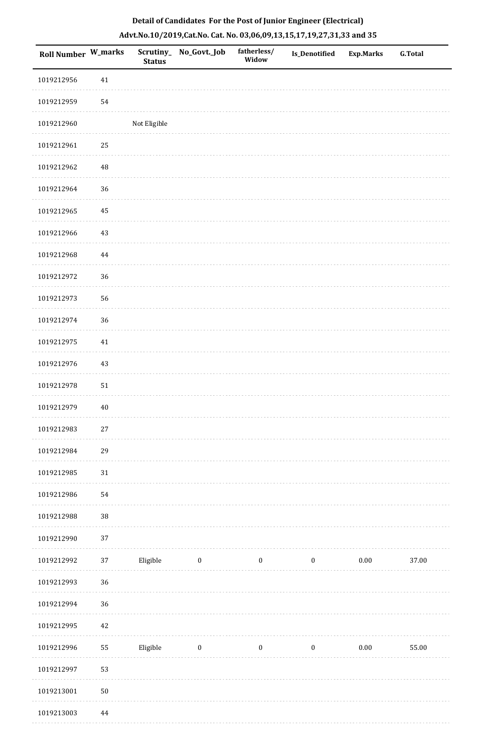| Roll Number W_marks |        | <b>Status</b> | Scrutiny_No_Govt._Job | fatherless/<br>Widow | <b>Is_Denotified</b> | <b>Exp.Marks</b> | <b>G.Total</b> |
|---------------------|--------|---------------|-----------------------|----------------------|----------------------|------------------|----------------|
| 1019212956          | 41     |               |                       |                      |                      |                  |                |
| 1019212959          | 54     |               |                       |                      |                      |                  |                |
| 1019212960          |        | Not Eligible  |                       |                      |                      |                  |                |
| 1019212961          | 25     |               |                       |                      |                      |                  |                |
| 1019212962          | 48     |               |                       |                      |                      |                  |                |
| 1019212964          | 36     |               |                       |                      |                      |                  |                |
| 1019212965          | 45     |               |                       |                      |                      |                  |                |
| 1019212966          | $43\,$ |               |                       |                      |                      |                  |                |
| 1019212968          | 44     |               |                       |                      |                      |                  |                |
| 1019212972          | 36     |               |                       |                      |                      |                  |                |
| 1019212973          | 56     |               |                       |                      |                      |                  |                |
| 1019212974          | 36     |               |                       |                      |                      |                  |                |
| 1019212975          | 41     |               |                       |                      |                      |                  |                |
| 1019212976          | $43\,$ |               |                       |                      |                      |                  |                |
| 1019212978          | 51     |               |                       |                      |                      |                  |                |
| 1019212979          | $40\,$ |               |                       |                      |                      |                  |                |
| 1019212983          | $27\,$ |               |                       |                      |                      |                  |                |
| 1019212984          | 29     |               |                       |                      |                      |                  |                |
| 1019212985          | $31\,$ |               |                       |                      |                      |                  |                |
| 1019212986          | 54     |               |                       |                      |                      |                  |                |
| 1019212988          | $38\,$ |               |                       |                      |                      |                  |                |
| 1019212990          | 37     |               |                       |                      |                      |                  |                |
| 1019212992          | 37     | Eligible      | $\boldsymbol{0}$      | $\boldsymbol{0}$     | $\boldsymbol{0}$     | $0.00\,$         | 37.00          |
| 1019212993          | 36     |               |                       |                      |                      |                  |                |
| 1019212994          | 36     |               |                       |                      |                      |                  |                |
| 1019212995          | 42     |               |                       |                      |                      |                  |                |
| 1019212996          | 55     | Eligible      | $\bf{0}$              | $\boldsymbol{0}$     | $\boldsymbol{0}$     | 0.00             | 55.00          |
| 1019212997          | 53     |               |                       |                      |                      |                  |                |
| 1019213001          | $50\,$ |               |                       |                      |                      |                  |                |
| 1019213003          | 44     |               |                       |                      |                      |                  |                |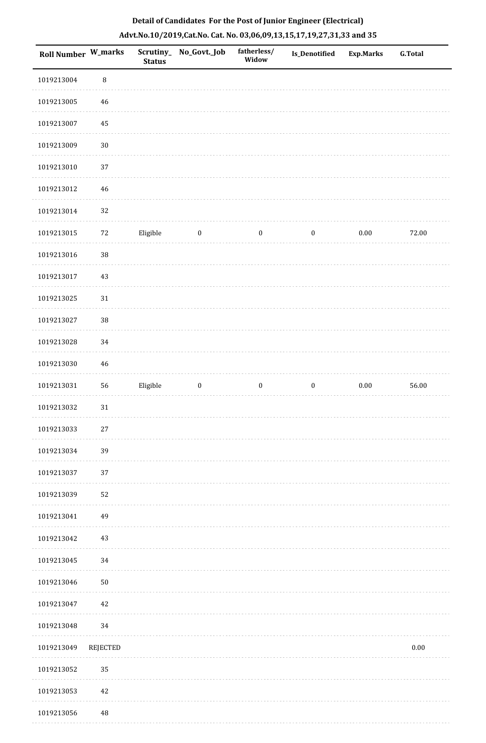| Roll Number W_marks |          | <b>Status</b> | Scrutiny_No_Govt._Job | fatherless/<br>Widow | Is_Denotified    | <b>Exp.Marks</b> | <b>G.Total</b> |
|---------------------|----------|---------------|-----------------------|----------------------|------------------|------------------|----------------|
| 1019213004          | $\, 8$   |               |                       |                      |                  |                  |                |
| 1019213005          | $46\,$   |               |                       |                      |                  |                  |                |
| 1019213007          | 45       |               |                       |                      |                  |                  |                |
| 1019213009          | $30\,$   |               |                       |                      |                  |                  |                |
| 1019213010          | 37       |               |                       |                      |                  |                  |                |
| 1019213012          | $46\,$   |               |                       |                      |                  |                  |                |
| 1019213014          | 32       |               |                       |                      |                  |                  |                |
| 1019213015          | $72\,$   | Eligible      | $\bf{0}$              | $\boldsymbol{0}$     | $\boldsymbol{0}$ | $0.00\,$         | 72.00          |
| 1019213016          | 38       |               |                       |                      |                  |                  |                |
| 1019213017          | 43       |               |                       |                      |                  |                  |                |
| 1019213025          | $31\,$   |               |                       |                      |                  |                  |                |
| 1019213027          | 38       |               |                       |                      |                  |                  |                |
| 1019213028          | 34       |               |                       |                      |                  |                  |                |
| 1019213030          | $46\,$   |               |                       |                      |                  |                  |                |
| 1019213031          | 56       | Eligible      | $\boldsymbol{0}$      | $\boldsymbol{0}$     | $\boldsymbol{0}$ | $0.00\,$         | 56.00          |
| 1019213032          | $31\,$   |               |                       |                      |                  |                  |                |
| 1019213033          | $27\,$   |               |                       |                      |                  |                  |                |
| 1019213034          | 39       |               |                       |                      |                  |                  |                |
| 1019213037          | 37       |               |                       |                      |                  |                  |                |
| 1019213039          | 52       |               |                       |                      |                  |                  |                |
| 1019213041          | 49       |               |                       |                      |                  |                  |                |
| 1019213042          | 43       |               |                       |                      |                  |                  |                |
| 1019213045          | 34       |               |                       |                      |                  |                  |                |
| 1019213046          | $50\,$   |               |                       |                      |                  |                  |                |
| 1019213047          | 42       |               |                       |                      |                  |                  |                |
| 1019213048          | 34       |               |                       |                      |                  |                  |                |
| 1019213049          | REJECTED |               |                       |                      |                  |                  | $0.00\,$       |
| 1019213052          | 35       |               |                       |                      |                  |                  |                |

1019213053 42

1019213056 48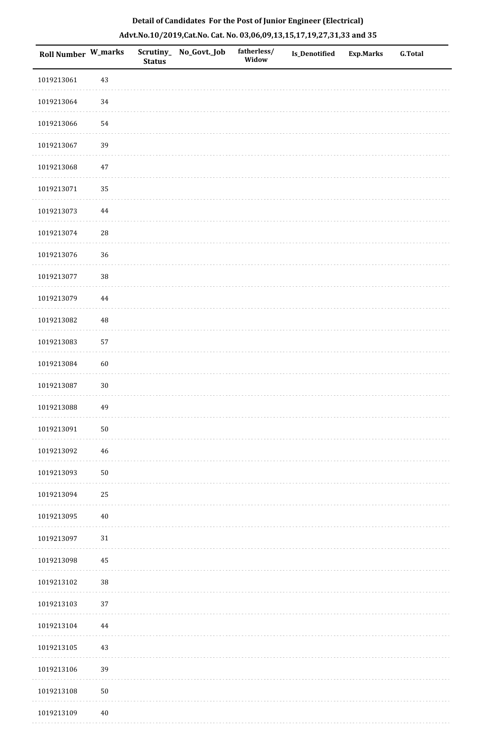| <b>Roll Number W_marks</b> |            | <b>Status</b> | Scrutiny_ No_Govt._Job | fatherless/<br>Widow | Is_Denotified | <b>Exp.Marks</b> | <b>G.Total</b> |
|----------------------------|------------|---------------|------------------------|----------------------|---------------|------------------|----------------|
| 1019213061                 | 43         |               |                        |                      |               |                  |                |
| 1019213064                 | 34         |               |                        |                      |               |                  |                |
| 1019213066                 | 54         |               |                        |                      |               |                  |                |
| 1019213067                 | 39         |               |                        |                      |               |                  |                |
| 1019213068                 | 47         |               |                        |                      |               |                  |                |
| 1019213071                 | 35         |               |                        |                      |               |                  |                |
| 1019213073                 | 44         |               |                        |                      |               |                  |                |
| 1019213074                 | ${\bf 28}$ |               |                        |                      |               |                  |                |
| 1019213076                 | 36         |               |                        |                      |               |                  |                |
| 1019213077                 | $38\,$     |               |                        |                      |               |                  |                |
| 1019213079                 | 44         |               |                        |                      |               |                  |                |
| 1019213082                 | $\rm 48$   |               |                        |                      |               |                  |                |
| 1019213083                 | 57         |               |                        |                      |               |                  |                |
| 1019213084                 | 60         |               |                        |                      |               |                  |                |
| 1019213087                 | $30\,$     |               |                        |                      |               |                  |                |
| 1019213088                 | 49         |               |                        |                      |               |                  |                |
| 1019213091                 | ${\bf 50}$ |               |                        |                      |               |                  |                |
| 1019213092                 | 46         |               |                        |                      |               |                  |                |
| 1019213093                 | ${\bf 50}$ |               |                        |                      |               |                  |                |
| 1019213094                 | 25         |               |                        |                      |               |                  |                |
| 1019213095                 | $40\,$     |               |                        |                      |               |                  |                |
| 1019213097                 | $31\,$     |               |                        |                      |               |                  |                |
| 1019213098                 | 45         |               |                        |                      |               |                  |                |
| 1019213102                 | 38         |               |                        |                      |               |                  |                |
| 1019213103                 | 37         |               |                        |                      |               |                  |                |
| 1019213104                 | 44         |               |                        |                      |               |                  |                |
| 1019213105                 | 43         |               |                        |                      |               |                  |                |
| 1019213106                 | 39         |               |                        |                      |               |                  |                |
| 1019213108                 | ${\bf 50}$ |               |                        |                      |               |                  |                |
| 1019213109                 | $40\,$     |               |                        |                      |               |                  |                |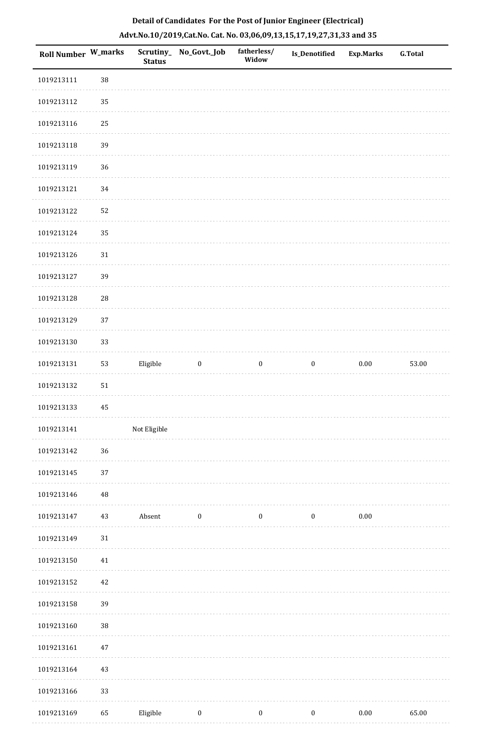| <b>Roll Number W_marks</b> |        | Scrutiny_<br><b>Status</b> | No_Govt._Job     | fatherless/<br>Widow | <b>Is_Denotified</b> | <b>Exp.Marks</b> | <b>G.Total</b> |
|----------------------------|--------|----------------------------|------------------|----------------------|----------------------|------------------|----------------|
| 1019213111                 | 38     |                            |                  |                      |                      |                  |                |
| 1019213112                 | 35     |                            |                  |                      |                      |                  |                |
| 1019213116                 | 25     |                            |                  |                      |                      |                  |                |
| 1019213118                 | 39     |                            |                  |                      |                      |                  |                |
| 1019213119                 | 36     |                            |                  |                      |                      |                  |                |
| 1019213121                 | 34     |                            |                  |                      |                      |                  |                |
| 1019213122                 | 52     |                            |                  |                      |                      |                  |                |
| 1019213124                 | 35     |                            |                  |                      |                      |                  |                |
| 1019213126                 | $31\,$ |                            |                  |                      |                      |                  |                |
| 1019213127                 | 39     |                            |                  |                      |                      |                  |                |
| 1019213128                 | $28\,$ |                            |                  |                      |                      |                  |                |
| 1019213129                 | 37     |                            |                  |                      |                      |                  |                |
| 1019213130                 | 33     |                            |                  |                      |                      |                  |                |
| 1019213131                 | 53     | Eligible                   | $\boldsymbol{0}$ | $\boldsymbol{0}$     | $\boldsymbol{0}$     | $0.00\,$         | 53.00          |
| 1019213132                 | 51     |                            |                  |                      |                      |                  |                |
| 1019213133                 | 45     |                            |                  |                      |                      |                  |                |
| 1019213141                 |        | Not Eligible               |                  |                      |                      |                  |                |
| 1019213142                 | 36     |                            |                  |                      |                      |                  |                |
| 1019213145                 | 37     |                            |                  |                      |                      |                  |                |
| 1019213146                 | 48     |                            |                  |                      |                      |                  |                |
| 1019213147                 | 43     | Absent                     | $\boldsymbol{0}$ | $\bf{0}$             | $\boldsymbol{0}$     | 0.00             |                |
| 1019213149                 | $31\,$ |                            |                  |                      |                      |                  |                |
| 1019213150                 | $41\,$ |                            |                  |                      |                      |                  |                |
| 1019213152                 | 42     |                            |                  |                      |                      |                  |                |
| 1019213158                 | 39     |                            |                  |                      |                      |                  |                |
| 1019213160                 | 38     |                            |                  |                      |                      |                  |                |
| 1019213161                 | $47\,$ |                            |                  |                      |                      |                  |                |
| 1019213164                 | 43     |                            |                  |                      |                      |                  |                |
| 1019213166                 | 33     |                            |                  |                      |                      |                  |                |
| 1019213169                 | 65     | Eligible                   | $\boldsymbol{0}$ | $\boldsymbol{0}$     | $\boldsymbol{0}$     | $0.00\,$         | 65.00          |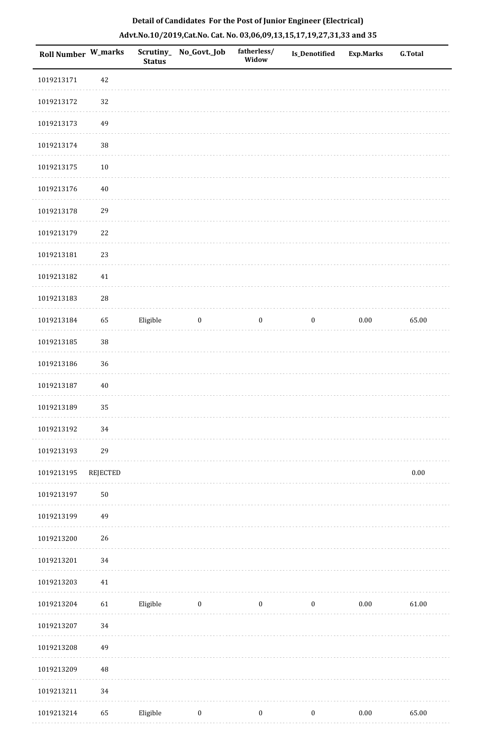| 1019213171<br>42<br>32<br>1019213172<br>1019213173<br>49<br>$38\,$<br>1019213174<br>$10\,$<br>1019213175<br>1019213176<br>40<br>29<br>1019213178<br>22<br>1019213179<br>1019213181<br>23<br>1019213182<br>41<br>28<br>1019213183<br>1019213184<br>65<br>Eligible<br>$\boldsymbol{0}$<br>$\boldsymbol{0}$<br>$\bf{0}$<br>$0.00\,$<br>$38\,$<br>1019213185<br>36<br>1019213186<br>1019213187<br>40<br>1019213189<br>35<br>34<br>1019213192<br>1019213193<br>29<br>1019213195<br>REJECTED<br>$50\,$<br>1019213197<br>1019213199<br>49<br>26<br>1019213200<br>34<br>1019213201<br>1019213203<br>$41\,$<br>61<br>Eligible<br>$0.00\,$<br>1019213204<br>$\bf{0}$<br>$\boldsymbol{0}$<br>$\boldsymbol{0}$<br>34<br>1019213207<br>1019213208<br>49<br>1019213209<br>$\rm 48$ | <b>Roll Number W_marks</b> | <b>Status</b> | Scrutiny_No_Govt._Job | fatherless/<br>Widow | <b>Is_Denotified</b> | <b>Exp.Marks</b> | <b>G.Total</b> |
|----------------------------------------------------------------------------------------------------------------------------------------------------------------------------------------------------------------------------------------------------------------------------------------------------------------------------------------------------------------------------------------------------------------------------------------------------------------------------------------------------------------------------------------------------------------------------------------------------------------------------------------------------------------------------------------------------------------------------------------------------------------------|----------------------------|---------------|-----------------------|----------------------|----------------------|------------------|----------------|
|                                                                                                                                                                                                                                                                                                                                                                                                                                                                                                                                                                                                                                                                                                                                                                      |                            |               |                       |                      |                      |                  |                |
|                                                                                                                                                                                                                                                                                                                                                                                                                                                                                                                                                                                                                                                                                                                                                                      |                            |               |                       |                      |                      |                  |                |
|                                                                                                                                                                                                                                                                                                                                                                                                                                                                                                                                                                                                                                                                                                                                                                      |                            |               |                       |                      |                      |                  |                |
|                                                                                                                                                                                                                                                                                                                                                                                                                                                                                                                                                                                                                                                                                                                                                                      |                            |               |                       |                      |                      |                  |                |
|                                                                                                                                                                                                                                                                                                                                                                                                                                                                                                                                                                                                                                                                                                                                                                      |                            |               |                       |                      |                      |                  |                |
|                                                                                                                                                                                                                                                                                                                                                                                                                                                                                                                                                                                                                                                                                                                                                                      |                            |               |                       |                      |                      |                  |                |
|                                                                                                                                                                                                                                                                                                                                                                                                                                                                                                                                                                                                                                                                                                                                                                      |                            |               |                       |                      |                      |                  |                |
|                                                                                                                                                                                                                                                                                                                                                                                                                                                                                                                                                                                                                                                                                                                                                                      |                            |               |                       |                      |                      |                  |                |
|                                                                                                                                                                                                                                                                                                                                                                                                                                                                                                                                                                                                                                                                                                                                                                      |                            |               |                       |                      |                      |                  |                |
|                                                                                                                                                                                                                                                                                                                                                                                                                                                                                                                                                                                                                                                                                                                                                                      |                            |               |                       |                      |                      |                  |                |
|                                                                                                                                                                                                                                                                                                                                                                                                                                                                                                                                                                                                                                                                                                                                                                      |                            |               |                       |                      |                      |                  |                |
|                                                                                                                                                                                                                                                                                                                                                                                                                                                                                                                                                                                                                                                                                                                                                                      |                            |               |                       |                      |                      |                  | 65.00          |
|                                                                                                                                                                                                                                                                                                                                                                                                                                                                                                                                                                                                                                                                                                                                                                      |                            |               |                       |                      |                      |                  |                |
|                                                                                                                                                                                                                                                                                                                                                                                                                                                                                                                                                                                                                                                                                                                                                                      |                            |               |                       |                      |                      |                  |                |
|                                                                                                                                                                                                                                                                                                                                                                                                                                                                                                                                                                                                                                                                                                                                                                      |                            |               |                       |                      |                      |                  |                |
|                                                                                                                                                                                                                                                                                                                                                                                                                                                                                                                                                                                                                                                                                                                                                                      |                            |               |                       |                      |                      |                  |                |
|                                                                                                                                                                                                                                                                                                                                                                                                                                                                                                                                                                                                                                                                                                                                                                      |                            |               |                       |                      |                      |                  |                |
|                                                                                                                                                                                                                                                                                                                                                                                                                                                                                                                                                                                                                                                                                                                                                                      |                            |               |                       |                      |                      |                  |                |
|                                                                                                                                                                                                                                                                                                                                                                                                                                                                                                                                                                                                                                                                                                                                                                      |                            |               |                       |                      |                      |                  | $0.00\,$       |
|                                                                                                                                                                                                                                                                                                                                                                                                                                                                                                                                                                                                                                                                                                                                                                      |                            |               |                       |                      |                      |                  |                |
|                                                                                                                                                                                                                                                                                                                                                                                                                                                                                                                                                                                                                                                                                                                                                                      |                            |               |                       |                      |                      |                  |                |
|                                                                                                                                                                                                                                                                                                                                                                                                                                                                                                                                                                                                                                                                                                                                                                      |                            |               |                       |                      |                      |                  |                |
|                                                                                                                                                                                                                                                                                                                                                                                                                                                                                                                                                                                                                                                                                                                                                                      |                            |               |                       |                      |                      |                  |                |
|                                                                                                                                                                                                                                                                                                                                                                                                                                                                                                                                                                                                                                                                                                                                                                      |                            |               |                       |                      |                      |                  |                |
|                                                                                                                                                                                                                                                                                                                                                                                                                                                                                                                                                                                                                                                                                                                                                                      |                            |               |                       |                      |                      |                  | 61.00          |
|                                                                                                                                                                                                                                                                                                                                                                                                                                                                                                                                                                                                                                                                                                                                                                      |                            |               |                       |                      |                      |                  |                |
|                                                                                                                                                                                                                                                                                                                                                                                                                                                                                                                                                                                                                                                                                                                                                                      |                            |               |                       |                      |                      |                  |                |
|                                                                                                                                                                                                                                                                                                                                                                                                                                                                                                                                                                                                                                                                                                                                                                      |                            |               |                       |                      |                      |                  |                |
| 34<br>1019213211                                                                                                                                                                                                                                                                                                                                                                                                                                                                                                                                                                                                                                                                                                                                                     |                            |               |                       |                      |                      |                  |                |
| 65<br>Eligible<br>$\boldsymbol{0}$<br>$0.00\,$<br>1019213214<br>$\boldsymbol{0}$<br>$\boldsymbol{0}$                                                                                                                                                                                                                                                                                                                                                                                                                                                                                                                                                                                                                                                                 |                            |               |                       |                      |                      |                  | 65.00          |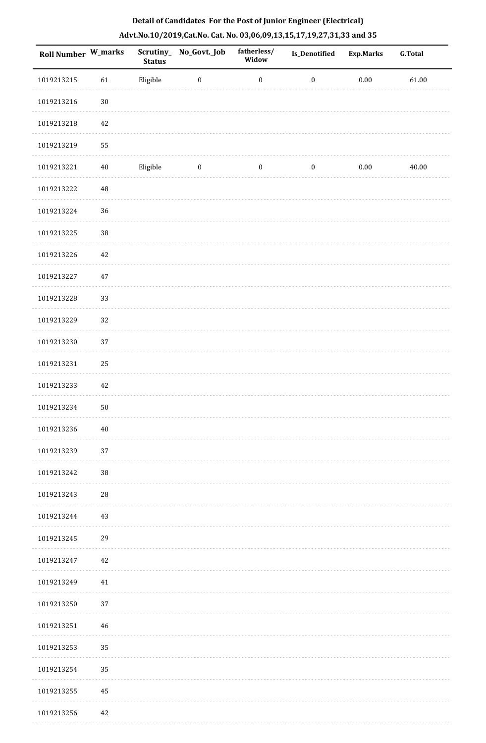| Roll Number W_marks |          | Scrutiny_<br><b>Status</b> | No_Govt._Job     | fatherless/<br>Widow | Is_Denotified    | <b>Exp.Marks</b> | <b>G.Total</b> |
|---------------------|----------|----------------------------|------------------|----------------------|------------------|------------------|----------------|
| 1019213215          | 61       | Eligible                   | $\boldsymbol{0}$ | $\boldsymbol{0}$     | $\boldsymbol{0}$ | $0.00\,$         | 61.00          |
| 1019213216          | $30\,$   |                            |                  |                      |                  |                  |                |
| 1019213218          | 42       |                            |                  |                      |                  |                  |                |
| 1019213219          | 55       |                            |                  |                      |                  |                  |                |
| 1019213221          | $40\,$   | Eligible                   | $\boldsymbol{0}$ | $\boldsymbol{0}$     | $\boldsymbol{0}$ | $0.00\,$         | 40.00          |
| 1019213222          | $\rm 48$ |                            |                  |                      |                  |                  |                |
| 1019213224          | 36       |                            |                  |                      |                  |                  |                |
| 1019213225          | 38       |                            |                  |                      |                  |                  |                |
| 1019213226          | 42       |                            |                  |                      |                  |                  |                |
| 1019213227          | $47\,$   |                            |                  |                      |                  |                  |                |
| 1019213228          | 33       |                            |                  |                      |                  |                  |                |
| 1019213229          | 32       |                            |                  |                      |                  |                  |                |
| 1019213230          | 37       |                            |                  |                      |                  |                  |                |
| 1019213231          | 25       |                            |                  |                      |                  |                  |                |
| 1019213233          | 42       |                            |                  |                      |                  |                  |                |
| 1019213234          | 50       |                            |                  |                      |                  |                  |                |
| 1019213236          | 40       |                            |                  |                      |                  |                  |                |
| 1019213239          | 37       |                            |                  |                      |                  |                  |                |
| 1019213242          | $38\,$   |                            |                  |                      |                  |                  |                |
| 1019213243          | 28       |                            |                  |                      |                  |                  |                |
| 1019213244          | 43       |                            |                  |                      |                  |                  |                |
| 1019213245          | 29       |                            |                  |                      |                  |                  |                |
| 1019213247          | 42       |                            |                  |                      |                  |                  |                |
| 1019213249          | $41\,$   |                            |                  |                      |                  |                  |                |
| 1019213250          | 37       |                            |                  |                      |                  |                  |                |
| 1019213251          | 46       |                            |                  |                      |                  |                  |                |
| 1019213253          | 35       |                            |                  |                      |                  |                  |                |
| 1019213254          | 35       |                            |                  |                      |                  |                  |                |
| 1019213255          | 45       |                            |                  |                      |                  |                  |                |
| 1019213256          | 42       |                            |                  |                      |                  |                  |                |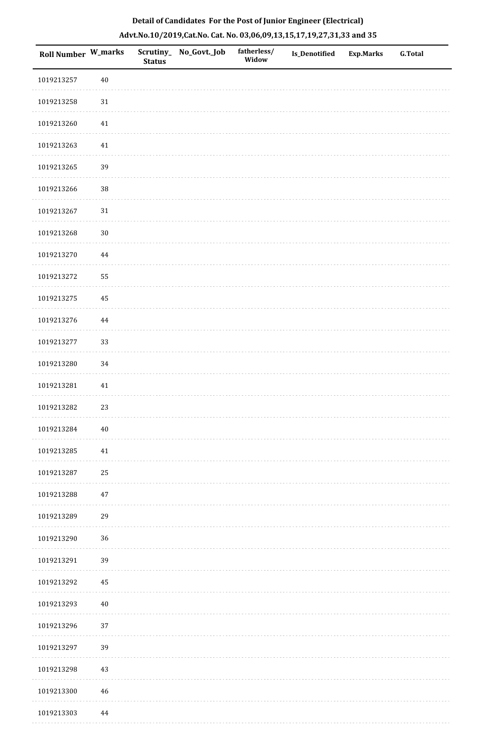| <b>Roll Number W_marks</b> |        | <b>Status</b> | Scrutiny_ No_Govt._Job | fatherless/<br>Widow | <b>Is_Denotified</b> | <b>Exp.Marks</b> | <b>G.Total</b> |
|----------------------------|--------|---------------|------------------------|----------------------|----------------------|------------------|----------------|
| 1019213257                 | $40\,$ |               |                        |                      |                      |                  |                |
| 1019213258                 | $31\,$ |               |                        |                      |                      |                  |                |
| 1019213260                 | $41\,$ |               |                        |                      |                      |                  |                |
| 1019213263                 | $41\,$ |               |                        |                      |                      |                  |                |
| 1019213265                 | 39     |               |                        |                      |                      |                  |                |
| 1019213266                 | $38\,$ |               |                        |                      |                      |                  |                |
| 1019213267                 | $31\,$ |               |                        |                      |                      |                  |                |
| 1019213268                 | $30\,$ |               |                        |                      |                      |                  |                |
| 1019213270                 | 44     |               |                        |                      |                      |                  |                |
| 1019213272                 | 55     |               |                        |                      |                      |                  |                |
| 1019213275                 | 45     |               |                        |                      |                      |                  |                |
| 1019213276                 | 44     |               |                        |                      |                      |                  |                |
| 1019213277                 | 33     |               |                        |                      |                      |                  |                |
| 1019213280                 | 34     |               |                        |                      |                      |                  |                |
| 1019213281                 | 41     |               |                        |                      |                      |                  |                |
| 1019213282                 | 23     |               |                        |                      |                      |                  |                |
| 1019213284                 | $40\,$ |               |                        |                      |                      |                  |                |
| 1019213285                 | $41\,$ |               |                        |                      |                      |                  |                |
| 1019213287                 | 25     |               |                        |                      |                      |                  |                |
| 1019213288                 | $47\,$ |               |                        |                      |                      |                  |                |
| 1019213289                 | 29     |               |                        |                      |                      |                  |                |
| 1019213290                 | 36     |               |                        |                      |                      |                  |                |
| 1019213291                 | 39     |               |                        |                      |                      |                  |                |
| 1019213292                 | 45     |               |                        |                      |                      |                  |                |
| 1019213293                 | $40\,$ |               |                        |                      |                      |                  |                |
| 1019213296                 | 37     |               |                        |                      |                      |                  |                |
| 1019213297                 | 39     |               |                        |                      |                      |                  |                |
| 1019213298                 | 43     |               |                        |                      |                      |                  |                |
| 1019213300                 | 46     |               |                        |                      |                      |                  |                |
| 1019213303                 | 44     |               |                        |                      |                      |                  |                |

. . . . . . . . . .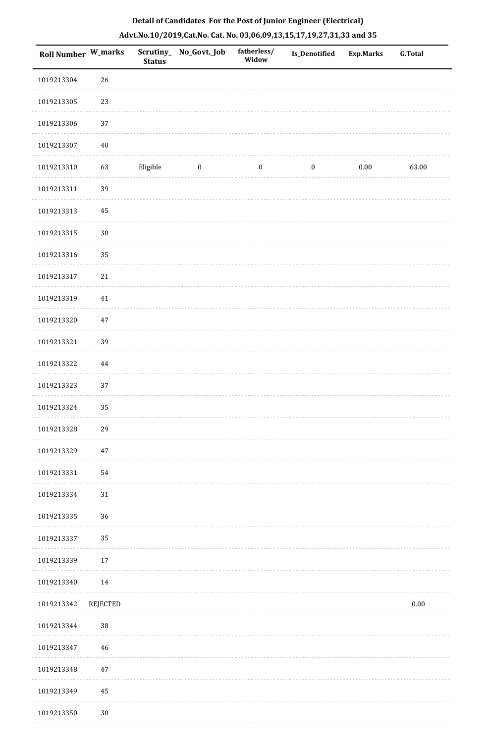| Roll Number W_marks |          | <b>Status</b> | Scrutiny_ No_Govt._Job | fatherless/<br>Widow | Is_Denotified    | <b>Exp.Marks</b> | <b>G.Total</b> |
|---------------------|----------|---------------|------------------------|----------------------|------------------|------------------|----------------|
| 1019213304          | 26       |               |                        |                      |                  |                  |                |
| 1019213305          | 23       |               |                        |                      |                  |                  |                |
| 1019213306          | 37       |               |                        |                      |                  |                  |                |
| 1019213307          | $40\,$   |               |                        |                      |                  |                  |                |
| 1019213310          | 63       | Eligible      | $\boldsymbol{0}$       | $\boldsymbol{0}$     | $\boldsymbol{0}$ | $0.00\,$         | 63.00          |
| 1019213311          | 39       |               |                        |                      |                  |                  |                |
| 1019213313          | 45       |               |                        |                      |                  |                  |                |
| 1019213315          | $30\,$   |               |                        |                      |                  |                  |                |
| 1019213316          | 35       |               |                        |                      |                  |                  |                |
| 1019213317          | 21       |               |                        |                      |                  |                  |                |
| 1019213319          | $41\,$   |               |                        |                      |                  |                  |                |
| 1019213320          | $47\,$   |               |                        |                      |                  |                  |                |
| 1019213321          | 39       |               |                        |                      |                  |                  |                |
| 1019213322          | 44       |               |                        |                      |                  |                  |                |
| 1019213323          | 37       |               |                        |                      |                  |                  |                |
| 1019213324          | 35       |               |                        |                      |                  |                  |                |
| 1019213328          | 29       |               |                        |                      |                  |                  |                |
| 1019213329          | $47\,$   |               |                        |                      |                  |                  |                |
| 1019213331          | 54       |               |                        |                      |                  |                  |                |
| 1019213334          | 31       |               |                        |                      |                  |                  |                |
| 1019213335          | 36       |               |                        |                      |                  |                  |                |
| 1019213337          | 35       |               |                        |                      |                  |                  |                |
| 1019213339          | 17       |               |                        |                      |                  |                  |                |
| 1019213340          | 14       |               |                        |                      |                  |                  |                |
| 1019213342          | REJECTED |               |                        |                      |                  |                  | $0.00\,$       |
| 1019213344          | 38       |               |                        |                      |                  |                  |                |
| 1019213347          | 46       |               |                        |                      |                  |                  |                |
| 1019213348          | 47       |               |                        |                      |                  |                  |                |
| 1019213349          | 45       |               |                        |                      |                  |                  |                |
| 1019213350          | 30       |               |                        |                      |                  |                  |                |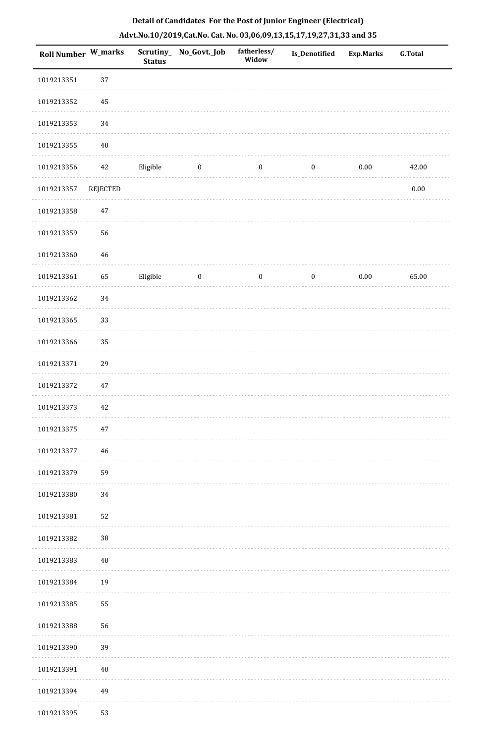| Roll Number W_marks |                 | <b>Status</b> | Scrutiny_No_Govt._Job | fatherless/<br>Widow | Is_Denotified    | <b>Exp.Marks</b> | G.Total  |
|---------------------|-----------------|---------------|-----------------------|----------------------|------------------|------------------|----------|
| 1019213351          | 37              |               |                       |                      |                  |                  |          |
| 1019213352          | 45              |               |                       |                      |                  |                  |          |
| 1019213353          | 34              |               |                       |                      |                  |                  |          |
| 1019213355          | $40\,$          |               |                       |                      |                  |                  |          |
| 1019213356          | 42              | Eligible      | $\bf{0}$              | $\boldsymbol{0}$     | $\boldsymbol{0}$ | $0.00\,$         | 42.00    |
| 1019213357          | <b>REJECTED</b> |               |                       |                      |                  |                  | $0.00\,$ |
| 1019213358          | $47\,$          |               |                       |                      |                  |                  |          |
| 1019213359          | 56              |               |                       |                      |                  |                  |          |
| 1019213360          | 46              |               |                       |                      |                  |                  |          |
| 1019213361          | 65              | Eligible      | $\boldsymbol{0}$      | $\boldsymbol{0}$     | $\boldsymbol{0}$ | $0.00\,$         | 65.00    |
| 1019213362          | 34              |               |                       |                      |                  |                  |          |
| 1019213365          | 33              |               |                       |                      |                  |                  |          |
| 1019213366          | 35              |               |                       |                      |                  |                  |          |
| 1019213371          | 29              |               |                       |                      |                  |                  |          |
| 1019213372          | 47              |               |                       |                      |                  |                  |          |
| 1019213373          | 42              |               |                       |                      |                  |                  |          |
| 1019213375          | 47              |               |                       |                      |                  |                  |          |
| 1019213377          | 46              |               |                       |                      |                  |                  |          |
| 1019213379          | 59              |               |                       |                      |                  |                  |          |
| 1019213380          | 34              |               |                       |                      |                  |                  |          |
| 1019213381          | 52              |               |                       |                      |                  |                  |          |
| 1019213382          | $38\,$          |               |                       |                      |                  |                  |          |
| 1019213383          | $40\,$          |               |                       |                      |                  |                  |          |
| 1019213384          | 19              |               |                       |                      |                  |                  |          |
| 1019213385          | 55              |               |                       |                      |                  |                  |          |
| 1019213388          | 56              |               |                       |                      |                  |                  |          |
| 1019213390          | 39              |               |                       |                      |                  |                  |          |
| 1019213391          | 40              |               |                       |                      |                  |                  |          |
| 1019213394          | 49              |               |                       |                      |                  |                  |          |
| 1019213395          | 53              |               |                       |                      |                  |                  |          |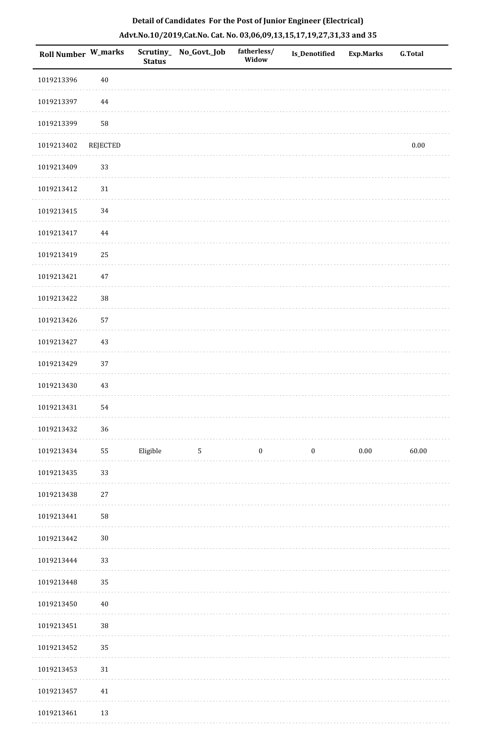| Roll Number W_marks |          | <b>Status</b> | Scrutiny_ No_Govt._Job | fatherless/<br>Widow | <b>Is_Denotified</b> | <b>Exp.Marks</b> | <b>G.Total</b> |
|---------------------|----------|---------------|------------------------|----------------------|----------------------|------------------|----------------|
| 1019213396          | $40\,$   |               |                        |                      |                      |                  |                |
| 1019213397          | 44       |               |                        |                      |                      |                  |                |
| 1019213399          | 58       |               |                        |                      |                      |                  |                |
| 1019213402          | REJECTED |               |                        |                      |                      |                  | $0.00\,$       |
| 1019213409          | 33       |               |                        |                      |                      |                  |                |
| 1019213412          | $31\,$   |               |                        |                      |                      |                  |                |
| 1019213415          | 34       |               |                        |                      |                      |                  |                |
| 1019213417          | 44       |               |                        |                      |                      |                  |                |
| 1019213419          | 25       |               |                        |                      |                      |                  |                |
| 1019213421          | $47\,$   |               |                        |                      |                      |                  |                |
| 1019213422          | $38\,$   |               |                        |                      |                      |                  |                |
| 1019213426          | 57       |               |                        |                      |                      |                  |                |
| 1019213427          | 43       |               |                        |                      |                      |                  |                |
| 1019213429          | 37       |               |                        |                      |                      |                  |                |
| 1019213430          | 43       |               |                        |                      |                      |                  |                |
| 1019213431          | 54       |               |                        |                      |                      |                  |                |
| 1019213432          | 36       |               |                        |                      |                      |                  |                |
| 1019213434          | 55       | Eligible      | $\overline{5}$         | $\boldsymbol{0}$     | $\boldsymbol{0}$     | $0.00\,$         | 60.00          |
| 1019213435          | 33       |               |                        |                      |                      |                  |                |
| 1019213438          | $27\,$   |               |                        |                      |                      |                  |                |
| 1019213441          | 58       |               |                        |                      |                      |                  |                |
| 1019213442          | $30\,$   |               |                        |                      |                      |                  |                |
| 1019213444          | 33       |               |                        |                      |                      |                  |                |
| 1019213448          | 35       |               |                        |                      |                      |                  |                |
| 1019213450          | $40\,$   |               |                        |                      |                      |                  |                |
| 1019213451          | 38       |               |                        |                      |                      |                  |                |
| 1019213452          | 35       |               |                        |                      |                      |                  |                |
| 1019213453          | $31\,$   |               |                        |                      |                      |                  |                |
| 1019213457          | $41\,$   |               |                        |                      |                      |                  |                |
| 1019213461          | 13       |               |                        |                      |                      |                  |                |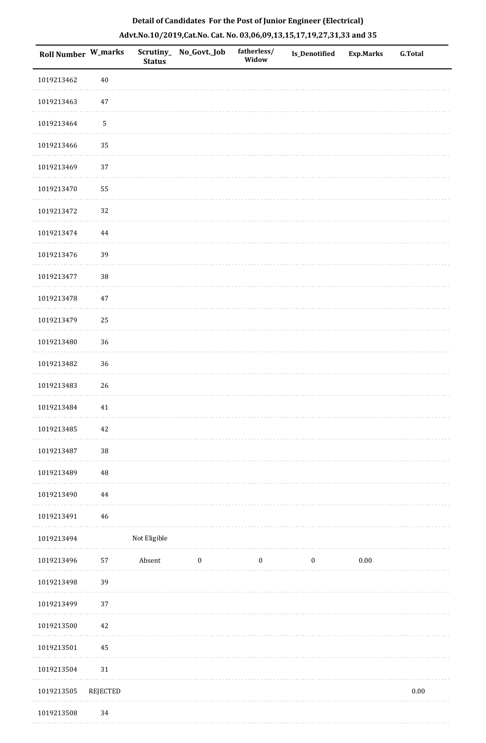| Roll Number W_marks |                 | <b>Status</b> | Scrutiny_No_Govt._Job | fatherless/<br>Widow | <b>Is_Denotified</b> | Exp.Marks | <b>G.Total</b> |
|---------------------|-----------------|---------------|-----------------------|----------------------|----------------------|-----------|----------------|
| 1019213462          | $40\,$          |               |                       |                      |                      |           |                |
| 1019213463          | 47              |               |                       |                      |                      |           |                |
| 1019213464          | $\mathsf S$     |               |                       |                      |                      |           |                |
| 1019213466          | 35              |               |                       |                      |                      |           |                |
| 1019213469          | 37              |               |                       |                      |                      |           |                |
| 1019213470          | 55              |               |                       |                      |                      |           |                |
| 1019213472          | 32              |               |                       |                      |                      |           |                |
| 1019213474          | 44              |               |                       |                      |                      |           |                |
| 1019213476          | 39              |               |                       |                      |                      |           |                |
| 1019213477          | $38\,$          |               |                       |                      |                      |           |                |
| 1019213478          | 47              |               |                       |                      |                      |           |                |
| 1019213479          | 25              |               |                       |                      |                      |           |                |
| 1019213480          | 36              |               |                       |                      |                      |           |                |
| 1019213482          | 36              |               |                       |                      |                      |           |                |
| 1019213483          | 26              |               |                       |                      |                      |           |                |
| 1019213484          | $41\,$          |               |                       |                      |                      |           |                |
| 1019213485          | 42              |               |                       |                      |                      |           |                |
| 1019213487          | $38\,$          |               |                       |                      |                      |           |                |
| 1019213489          | $\rm 48$        |               |                       |                      |                      |           |                |
| 1019213490          | $\bf 44$        |               |                       |                      |                      |           |                |
| 1019213491          | 46              |               |                       |                      |                      |           |                |
| 1019213494          |                 | Not Eligible  |                       |                      |                      |           |                |
| 1019213496          | 57              | Absent        | $\boldsymbol{0}$      | $\boldsymbol{0}$     | $\boldsymbol{0}$     | $0.00\,$  |                |
| 1019213498          | 39              |               |                       |                      |                      |           |                |
| 1019213499          | 37              |               |                       |                      |                      |           |                |
| 1019213500          | 42              |               |                       |                      |                      |           |                |
| 1019213501          | 45              |               |                       |                      |                      |           |                |
| 1019213504          | 31              |               |                       |                      |                      |           |                |
| 1019213505          | <b>REJECTED</b> |               |                       |                      |                      |           | 0.00           |
| 1019213508          | 34              |               |                       |                      |                      |           |                |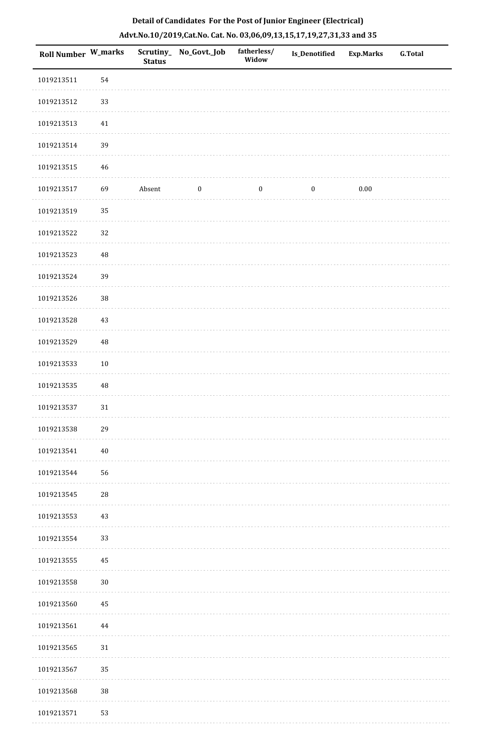| Roll Number W_marks |          | <b>Status</b> | Scrutiny_No_Govt._Job | fatherless/<br>Widow | Is_Denotified    | <b>Exp.Marks</b> | <b>G.Total</b> |
|---------------------|----------|---------------|-----------------------|----------------------|------------------|------------------|----------------|
| 1019213511          | 54       |               |                       |                      |                  |                  |                |
| 1019213512          | 33       |               |                       |                      |                  |                  |                |
| 1019213513          | $41\,$   |               |                       |                      |                  |                  |                |
| 1019213514          | 39       |               |                       |                      |                  |                  |                |
| 1019213515          | 46       |               |                       |                      |                  |                  |                |
| 1019213517          | 69       | Absent        | $\boldsymbol{0}$      | $\boldsymbol{0}$     | $\boldsymbol{0}$ | $0.00\,$         |                |
| 1019213519          | 35       |               |                       |                      |                  |                  |                |
| 1019213522          | 32       |               |                       |                      |                  |                  |                |
| 1019213523          | $\rm 48$ |               |                       |                      |                  |                  |                |
| 1019213524          | 39       |               |                       |                      |                  |                  |                |
| 1019213526          | $38\,$   |               |                       |                      |                  |                  |                |
| 1019213528          | 43       |               |                       |                      |                  |                  |                |
| 1019213529          | 48       |               |                       |                      |                  |                  |                |
| 1019213533          | $10\,$   |               |                       |                      |                  |                  |                |
| 1019213535          | $\rm 48$ |               |                       |                      |                  |                  |                |
| 1019213537          | 31       |               |                       |                      |                  |                  |                |
| 1019213538          | 29       |               |                       |                      |                  |                  |                |
| 1019213541          | $40\,$   |               |                       |                      |                  |                  |                |
| 1019213544          | 56       |               |                       |                      |                  |                  |                |
| 1019213545          | 28       |               |                       |                      |                  |                  |                |
| 1019213553          | 43       |               |                       |                      |                  |                  |                |
| 1019213554          | 33       |               |                       |                      |                  |                  |                |
| 1019213555          | 45       |               |                       |                      |                  |                  |                |
| 1019213558          | $30\,$   |               |                       |                      |                  |                  |                |
| 1019213560          | 45       |               |                       |                      |                  |                  |                |
| 1019213561          | 44       |               |                       |                      |                  |                  |                |
| 1019213565          | 31       |               |                       |                      |                  |                  |                |
| 1019213567          | 35       |               |                       |                      |                  |                  |                |
| 1019213568          | $38\,$   |               |                       |                      |                  |                  |                |
| 1019213571          | 53       |               |                       |                      |                  |                  |                |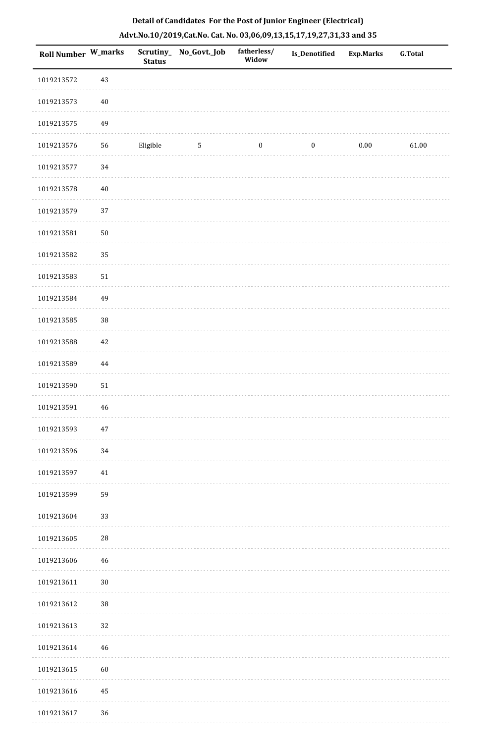| <b>Roll Number W_marks</b> |          | <b>Status</b> | Scrutiny_ No_Govt._Job | fatherless/<br>Widow | Is_Denotified    | <b>Exp.Marks</b> | <b>G.Total</b> |
|----------------------------|----------|---------------|------------------------|----------------------|------------------|------------------|----------------|
| 1019213572                 | 43       |               |                        |                      |                  |                  |                |
| 1019213573                 | $40\,$   |               |                        |                      |                  |                  |                |
| 1019213575                 | 49       |               |                        |                      |                  |                  |                |
| 1019213576                 | 56       | Eligible      | $\sqrt{5}$             | $\boldsymbol{0}$     | $\boldsymbol{0}$ | $0.00\,$         | 61.00          |
| 1019213577                 | 34       |               |                        |                      |                  |                  |                |
| 1019213578                 | $40\,$   |               |                        |                      |                  |                  |                |
| 1019213579                 | 37       |               |                        |                      |                  |                  |                |
| 1019213581                 | $50\,$   |               |                        |                      |                  |                  |                |
| 1019213582                 | 35       |               |                        |                      |                  |                  |                |
| 1019213583                 | 51       |               |                        |                      |                  |                  |                |
| 1019213584                 | 49       |               |                        |                      |                  |                  |                |
| 1019213585                 | $38\,$   |               |                        |                      |                  |                  |                |
| 1019213588                 | 42       |               |                        |                      |                  |                  |                |
| 1019213589                 | $\bf 44$ |               |                        |                      |                  |                  |                |
| 1019213590                 | 51       |               |                        |                      |                  |                  |                |
| 1019213591                 | $46\,$   |               |                        |                      |                  |                  |                |
| 1019213593                 | $47\,$   |               |                        |                      |                  |                  |                |
| 1019213596                 | 34       |               |                        |                      |                  |                  |                |
| 1019213597                 | $41\,$   |               |                        |                      |                  |                  |                |
| 1019213599                 | 59       |               |                        |                      |                  |                  |                |
| 1019213604                 | 33       |               |                        |                      |                  |                  |                |
| 1019213605                 | 28       |               |                        |                      |                  |                  |                |
| 1019213606                 | 46       |               |                        |                      |                  |                  |                |
| 1019213611                 | $30\,$   |               |                        |                      |                  |                  |                |
| 1019213612                 | $38\,$   |               |                        |                      |                  |                  |                |
| 1019213613                 | 32       |               |                        |                      |                  |                  |                |
| 1019213614                 | 46       |               |                        |                      |                  |                  |                |
| 1019213615                 | 60       |               |                        |                      |                  |                  |                |
| 1019213616                 | 45       |               |                        |                      |                  |                  |                |
| 1019213617                 | 36       |               |                        |                      |                  |                  |                |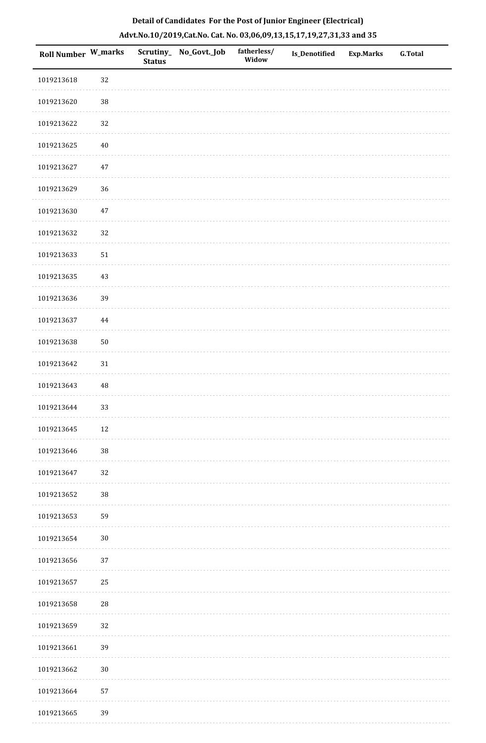| Roll Number W_marks |          | <b>Status</b> | Scrutiny_ No_Govt._Job | fatherless/<br>Widow | <b>Is_Denotified</b> | <b>Exp.Marks</b> | <b>G.Total</b> |
|---------------------|----------|---------------|------------------------|----------------------|----------------------|------------------|----------------|
| 1019213618          | 32       |               |                        |                      |                      |                  |                |
| 1019213620          | $38\,$   |               |                        |                      |                      |                  |                |
| 1019213622          | 32       |               |                        |                      |                      |                  |                |
| 1019213625          | $40\,$   |               |                        |                      |                      |                  |                |
| 1019213627          | $47\,$   |               |                        |                      |                      |                  |                |
| 1019213629          | 36       |               |                        |                      |                      |                  |                |
| 1019213630          | 47       |               |                        |                      |                      |                  |                |
| 1019213632          | 32       |               |                        |                      |                      |                  |                |
| 1019213633          | $51\,$   |               |                        |                      |                      |                  |                |
| 1019213635          | $43\,$   |               |                        |                      |                      |                  |                |
| 1019213636          | 39       |               |                        |                      |                      |                  |                |
| 1019213637          | 44       |               |                        |                      |                      |                  |                |
| 1019213638          | $50\,$   |               |                        |                      |                      |                  |                |
| 1019213642          | $31\,$   |               |                        |                      |                      |                  |                |
| 1019213643          | $\rm 48$ |               |                        |                      |                      |                  |                |
| 1019213644          | 33       |               |                        |                      |                      |                  |                |
| 1019213645          | $12\,$   |               |                        |                      |                      |                  |                |
| 1019213646          | $38\,$   |               |                        |                      |                      |                  |                |
| 1019213647          | 32       |               |                        |                      |                      |                  |                |
| 1019213652          | 38       |               |                        |                      |                      |                  |                |
| 1019213653          | 59       |               |                        |                      |                      |                  |                |
| 1019213654          | $30\,$   |               |                        |                      |                      |                  |                |
| 1019213656          | $37\,$   |               |                        |                      |                      |                  |                |
| 1019213657          | 25       |               |                        |                      |                      |                  |                |
| 1019213658          | 28       |               |                        |                      |                      |                  |                |
| 1019213659          | $32\,$   |               |                        |                      |                      |                  |                |
| 1019213661          | 39       |               |                        |                      |                      |                  |                |
| 1019213662          | $30\,$   |               |                        |                      |                      |                  |                |
| 1019213664          | 57       |               |                        |                      |                      |                  |                |
| 1019213665          | 39       |               |                        |                      |                      |                  |                |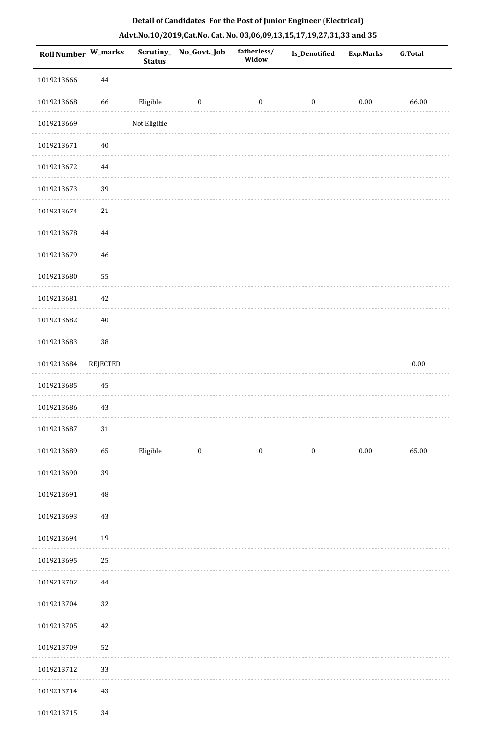|  | Detail of Candidates For the Post of Junior Engineer (Electrical)     |  |
|--|-----------------------------------------------------------------------|--|
|  | Advt.No.10/2019,Cat.No. Cat. No. 03,06,09,13,15,17,19,27,31,33 and 35 |  |

| <b>Roll Number W_marks</b> |                 | <b>Status</b> | Scrutiny_No_Govt._Job   | fatherless/<br>Widow | <b>Is_Denotified</b> | <b>Exp.Marks</b> | <b>G.Total</b> |
|----------------------------|-----------------|---------------|-------------------------|----------------------|----------------------|------------------|----------------|
| 1019213666                 | 44              |               |                         |                      |                      |                  |                |
| 1019213668                 | 66              | Eligible      | $\boldsymbol{0}$        | $\boldsymbol{0}$     | $\boldsymbol{0}$     | $0.00\,$         | 66.00          |
| 1019213669                 |                 | Not Eligible  |                         |                      |                      |                  |                |
| 1019213671                 | 40              |               |                         |                      |                      |                  |                |
| 1019213672                 | $\bf 44$        |               |                         |                      |                      |                  |                |
| 1019213673                 | 39              |               |                         |                      |                      |                  |                |
| 1019213674                 | $21\,$          |               |                         |                      |                      |                  |                |
| 1019213678                 | $\bf 44$        |               |                         |                      |                      |                  |                |
| 1019213679                 | 46              |               |                         |                      |                      |                  |                |
| 1019213680                 | 55              |               |                         |                      |                      |                  |                |
| 1019213681                 | 42              |               |                         |                      |                      |                  |                |
| 1019213682                 | $40\,$          |               |                         |                      |                      |                  |                |
| 1019213683                 | $38\,$          |               |                         |                      |                      |                  |                |
| 1019213684                 | <b>REJECTED</b> |               |                         |                      |                      |                  | $0.00\,$       |
| 1019213685                 | 45              |               |                         |                      |                      |                  |                |
| 1019213686                 | 43              |               |                         |                      |                      |                  |                |
| 1019213687                 | 31              |               |                         |                      |                      |                  |                |
| 1019213689                 | 65              | Eligible      | $\overline{\mathbf{0}}$ | $\boldsymbol{0}$     | $\boldsymbol{0}$     | 0.00             | 65.00          |
| 1019213690                 | 39              |               |                         |                      |                      |                  |                |
| 1019213691                 | $\rm 48$        |               |                         |                      |                      |                  |                |
| 1019213693                 | 43              |               |                         |                      |                      |                  |                |
| 1019213694                 | 19              |               |                         |                      |                      |                  |                |
| 1019213695                 | $25\,$          |               |                         |                      |                      |                  |                |
| 1019213702                 | 44              |               |                         |                      |                      |                  |                |
| 1019213704                 | 32              |               |                         |                      |                      |                  |                |
| 1019213705                 | 42              |               |                         |                      |                      |                  |                |
| 1019213709                 | 52              |               |                         |                      |                      |                  |                |
| 1019213712                 | 33              |               |                         |                      |                      |                  |                |
| 1019213714                 | 43              |               |                         |                      |                      |                  |                |
| 1019213715                 | 34              |               |                         |                      |                      |                  |                |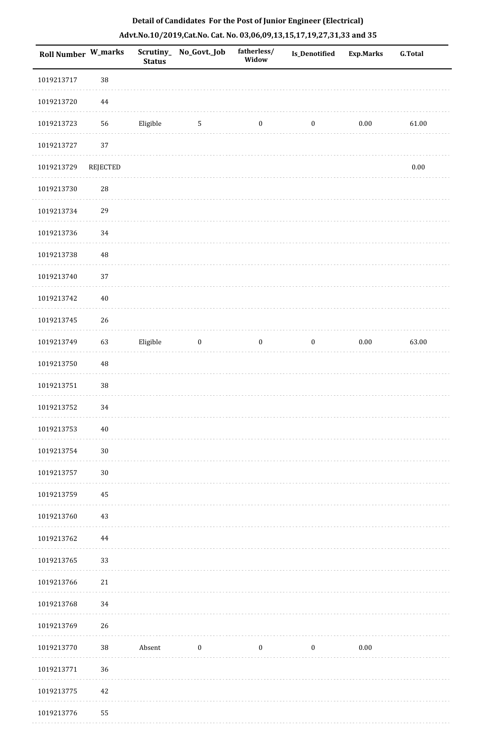| <b>Roll Number W_marks</b> |             | <b>Status</b> | Scrutiny_ No_Govt._Job | fatherless/<br>Widow | Is_Denotified    | <b>Exp.Marks</b> | <b>G.Total</b> |
|----------------------------|-------------|---------------|------------------------|----------------------|------------------|------------------|----------------|
| 1019213717                 | 38          |               |                        |                      |                  |                  |                |
| 1019213720                 | 44          |               |                        |                      |                  |                  |                |
| 1019213723                 | 56          | Eligible      | 5                      | $\boldsymbol{0}$     | $\boldsymbol{0}$ | $0.00\,$         | 61.00          |
| 1019213727                 | 37          |               |                        |                      |                  |                  |                |
| 1019213729                 | REJECTED    |               |                        |                      |                  |                  | $0.00\,$       |
| 1019213730                 | 28          |               |                        |                      |                  |                  |                |
| 1019213734                 | 29          |               |                        |                      |                  |                  |                |
| 1019213736                 | 34          |               |                        |                      |                  |                  |                |
| 1019213738                 | $\sqrt{48}$ |               |                        |                      |                  |                  |                |
| 1019213740                 | 37          |               |                        |                      |                  |                  |                |
| 1019213742                 | $40\,$      |               |                        |                      |                  |                  |                |
| 1019213745                 | 26          |               |                        |                      |                  |                  |                |
| 1019213749                 | 63          | Eligible      | $\boldsymbol{0}$       | $\boldsymbol{0}$     | $\boldsymbol{0}$ | $0.00\,$         | 63.00          |
| 1019213750                 | $\sqrt{48}$ |               |                        |                      |                  |                  |                |
| 1019213751                 | 38          |               |                        |                      |                  |                  |                |
| 1019213752                 | 34          |               |                        |                      |                  |                  |                |
| 1019213753                 | $40\,$      |               |                        |                      |                  |                  |                |
| 1019213754                 | $30\,$      |               |                        |                      |                  |                  |                |
| 1019213757                 | $30\,$      |               |                        |                      |                  |                  |                |
| 1019213759                 | 45          |               |                        |                      |                  |                  |                |
| 1019213760                 | 43          |               |                        |                      |                  |                  |                |
| 1019213762                 | 44          |               |                        |                      |                  |                  |                |
| 1019213765                 | 33          |               |                        |                      |                  |                  |                |
| 1019213766                 | $21\,$      |               |                        |                      |                  |                  |                |
| 1019213768                 | 34          |               |                        |                      |                  |                  |                |
| 1019213769                 | 26          |               |                        |                      |                  |                  |                |
| 1019213770                 | $38\,$      | Absent        | $\boldsymbol{0}$       | $\boldsymbol{0}$     | $\bf{0}$         | $0.00\,$         |                |
| 1019213771                 | 36          |               |                        |                      |                  |                  |                |
| 1019213775                 | 42          |               |                        |                      |                  |                  |                |
| 1019213776                 | 55          |               |                        |                      |                  |                  |                |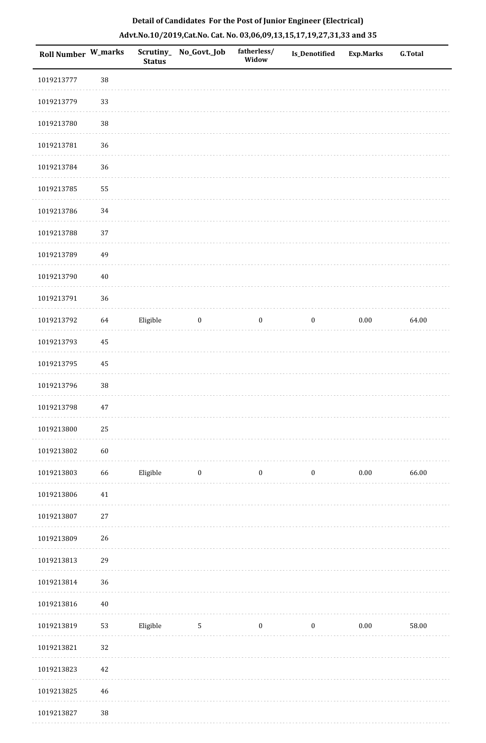| Roll Number W_marks |        | Scrutiny_<br><b>Status</b> | No_Govt._Job     | fatherless/<br>Widow | <b>Is_Denotified</b> | <b>Exp.Marks</b> | <b>G.Total</b> |
|---------------------|--------|----------------------------|------------------|----------------------|----------------------|------------------|----------------|
| 1019213777          | 38     |                            |                  |                      |                      |                  |                |
| 1019213779          | 33     |                            |                  |                      |                      |                  |                |
| 1019213780          | 38     |                            |                  |                      |                      |                  |                |
| 1019213781          | 36     |                            |                  |                      |                      |                  |                |
| 1019213784          | 36     |                            |                  |                      |                      |                  |                |
| 1019213785          | 55     |                            |                  |                      |                      |                  |                |
| 1019213786          | 34     |                            |                  |                      |                      |                  |                |
| 1019213788          | 37     |                            |                  |                      |                      |                  |                |
| 1019213789          | 49     |                            |                  |                      |                      |                  |                |
| 1019213790          | $40\,$ |                            |                  |                      |                      |                  |                |
| 1019213791          | 36     |                            |                  |                      |                      |                  |                |
| 1019213792          | 64     | Eligible                   | $\boldsymbol{0}$ | $\boldsymbol{0}$     | $\boldsymbol{0}$     | $0.00\,$         | 64.00          |
| 1019213793          | 45     |                            |                  |                      |                      |                  |                |
| 1019213795          | 45     |                            |                  |                      |                      |                  |                |
| 1019213796          | 38     |                            |                  |                      |                      |                  |                |
| 1019213798          | $47\,$ |                            |                  |                      |                      |                  |                |
| 1019213800          | $25\,$ |                            |                  |                      |                      |                  |                |
| 1019213802          | 60     |                            |                  |                      |                      |                  |                |
| 1019213803          | 66     | Eligible                   | $\boldsymbol{0}$ | $\boldsymbol{0}$     | $\boldsymbol{0}$     | $0.00\,$         | 66.00          |
| 1019213806          | $41\,$ |                            |                  |                      |                      |                  |                |
| 1019213807          | $27\,$ |                            |                  |                      |                      |                  |                |
| 1019213809          | 26     |                            |                  |                      |                      |                  |                |
| 1019213813          | 29     |                            |                  |                      |                      |                  |                |
| 1019213814          | 36     |                            |                  |                      |                      |                  |                |
| 1019213816          | $40\,$ |                            |                  |                      |                      |                  |                |
| 1019213819          | 53     | Eligible                   | $\sqrt{5}$       | $\boldsymbol{0}$     | $\boldsymbol{0}$     | $0.00\,$         | 58.00          |
| 1019213821          | 32     |                            |                  |                      |                      |                  |                |
| 1019213823          | $42\,$ |                            |                  |                      |                      |                  |                |
| 1019213825          | $46\,$ |                            |                  |                      |                      |                  |                |
|                     |        |                            |                  |                      |                      |                  |                |

 1019213827 38. . . . . . . . . . .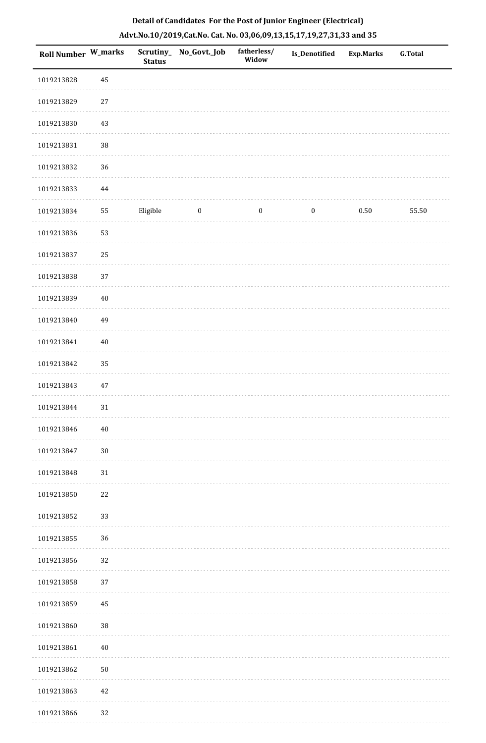| Roll Number W_marks |          | <b>Status</b> | Scrutiny_No_Govt._Job | fatherless/<br>Widow | Is_Denotified    | <b>Exp.Marks</b> | <b>G.Total</b> |
|---------------------|----------|---------------|-----------------------|----------------------|------------------|------------------|----------------|
| 1019213828          | 45       |               |                       |                      |                  |                  |                |
| 1019213829          | 27       |               |                       |                      |                  |                  |                |
| 1019213830          | 43       |               |                       |                      |                  |                  |                |
| 1019213831          | $38\,$   |               |                       |                      |                  |                  |                |
| 1019213832          | 36       |               |                       |                      |                  |                  |                |
| 1019213833          | $\bf 44$ |               |                       |                      |                  |                  |                |
| 1019213834          | 55       | Eligible      | $\boldsymbol{0}$      | $\boldsymbol{0}$     | $\boldsymbol{0}$ | $0.50\,$         | 55.50          |
| 1019213836          | 53       |               |                       |                      |                  |                  |                |
| 1019213837          | 25       |               |                       |                      |                  |                  |                |
| 1019213838          | $37\,$   |               |                       |                      |                  |                  |                |
| 1019213839          | $40\,$   |               |                       |                      |                  |                  |                |
| 1019213840          | 49       |               |                       |                      |                  |                  |                |
| 1019213841          | $40\,$   |               |                       |                      |                  |                  |                |
| 1019213842          | 35       |               |                       |                      |                  |                  |                |
| 1019213843          | $47\,$   |               |                       |                      |                  |                  |                |
| 1019213844          | $31\,$   |               |                       |                      |                  |                  |                |
| 1019213846          | $40\,$   |               |                       |                      |                  |                  |                |
| 1019213847          | $30\,$   |               |                       |                      |                  |                  |                |
| 1019213848          | 31       |               |                       |                      |                  |                  |                |
| 1019213850          | 22       |               |                       |                      |                  |                  |                |
| 1019213852          | 33       |               |                       |                      |                  |                  |                |
| 1019213855          | 36       |               |                       |                      |                  |                  |                |
| 1019213856          | 32       |               |                       |                      |                  |                  |                |
| 1019213858          | 37       |               |                       |                      |                  |                  |                |
| 1019213859          | 45       |               |                       |                      |                  |                  |                |
| 1019213860          | 38       |               |                       |                      |                  |                  |                |
| 1019213861          | $40\,$   |               |                       |                      |                  |                  |                |
| 1019213862          | $50\,$   |               |                       |                      |                  |                  |                |
| 1019213863          | $42\,$   |               |                       |                      |                  |                  |                |
| 1019213866          | 32       |               |                       |                      |                  |                  |                |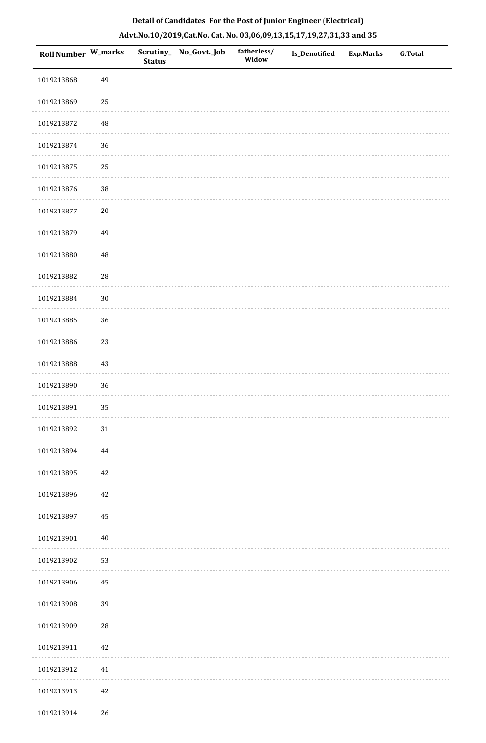|  | Detail of Candidates For the Post of Junior Engineer (Electrical)     |  |
|--|-----------------------------------------------------------------------|--|
|  | Advt.No.10/2019,Cat.No. Cat. No. 03,06,09,13,15,17,19,27,31,33 and 35 |  |

| Roll Number W_marks |             | <b>Status</b> | Scrutiny_ No_Govt._Job | fatherless/<br>Widow | Is_Denotified | <b>Exp.Marks</b> | <b>G.Total</b> |
|---------------------|-------------|---------------|------------------------|----------------------|---------------|------------------|----------------|
| 1019213868          | 49          |               |                        |                      |               |                  |                |
| 1019213869          | 25          |               |                        |                      |               |                  |                |
| 1019213872          | $\sqrt{48}$ |               |                        |                      |               |                  |                |
| 1019213874          | 36          |               |                        |                      |               |                  |                |
| 1019213875          | 25          |               |                        |                      |               |                  |                |
| 1019213876          | 38          |               |                        |                      |               |                  |                |
| 1019213877          | $20\,$      |               |                        |                      |               |                  |                |
| 1019213879          | 49          |               |                        |                      |               |                  |                |
| 1019213880          | $\sqrt{48}$ |               |                        |                      |               |                  |                |
| 1019213882          | ${\bf 28}$  |               |                        |                      |               |                  |                |
| 1019213884          | $30\,$      |               |                        |                      |               |                  |                |
| 1019213885          | 36          |               |                        |                      |               |                  |                |
| 1019213886          | 23          |               |                        |                      |               |                  |                |
| 1019213888          | 43          |               |                        |                      |               |                  |                |
| 1019213890          | 36          |               |                        |                      |               |                  |                |
| 1019213891          | 35          |               |                        |                      |               |                  |                |
| 1019213892          | $31\,$      |               |                        |                      |               |                  |                |
| 1019213894          | 44          |               |                        |                      |               |                  |                |
| 1019213895          | $42\,$      |               |                        |                      |               |                  |                |
| 1019213896          | $42\,$      |               |                        |                      |               |                  |                |
| 1019213897          | $\bf 45$    |               |                        |                      |               |                  |                |
| 1019213901          | $40\,$      |               |                        |                      |               |                  |                |
| 1019213902          | 53          |               |                        |                      |               |                  |                |
| 1019213906          | 45          |               |                        |                      |               |                  |                |
| 1019213908          | 39          |               |                        |                      |               |                  |                |
| 1019213909          | $\sqrt{28}$ |               |                        |                      |               |                  |                |
| 1019213911          | $42\,$      |               |                        |                      |               |                  |                |
| 1019213912          | 41          |               |                        |                      |               |                  |                |
| 1019213913          | 42          |               |                        |                      |               |                  |                |
| 1019213914          | $26\,$      |               |                        |                      |               |                  |                |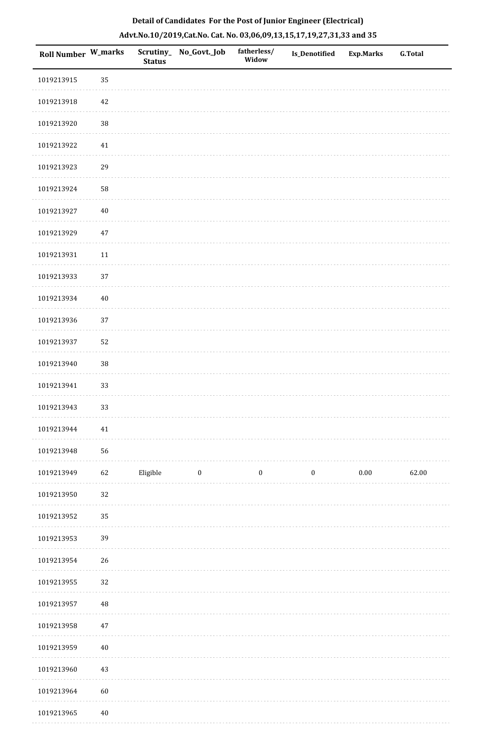| <b>Roll Number W_marks</b> |        | <b>Status</b> | Scrutiny_ No_Govt._Job | fatherless/<br>Widow | <b>Is_Denotified</b> | <b>Exp.Marks</b> | <b>G.Total</b> |
|----------------------------|--------|---------------|------------------------|----------------------|----------------------|------------------|----------------|
| 1019213915                 | 35     |               |                        |                      |                      |                  |                |
| 1019213918                 | 42     |               |                        |                      |                      |                  |                |
| 1019213920                 | $38\,$ |               |                        |                      |                      |                  |                |
| 1019213922                 | 41     |               |                        |                      |                      |                  |                |
| 1019213923                 | 29     |               |                        |                      |                      |                  |                |
| 1019213924                 | 58     |               |                        |                      |                      |                  |                |
| 1019213927                 | $40\,$ |               |                        |                      |                      |                  |                |
| 1019213929                 | 47     |               |                        |                      |                      |                  |                |
| 1019213931                 | $11\,$ |               |                        |                      |                      |                  |                |
| 1019213933                 | 37     |               |                        |                      |                      |                  |                |
| 1019213934                 | $40\,$ |               |                        |                      |                      |                  |                |
| 1019213936                 | 37     |               |                        |                      |                      |                  |                |
| 1019213937                 | 52     |               |                        |                      |                      |                  |                |
| 1019213940                 | $38\,$ |               |                        |                      |                      |                  |                |
| 1019213941                 | 33     |               |                        |                      |                      |                  |                |
| 1019213943                 | 33     |               |                        |                      |                      |                  |                |
| 1019213944                 | 41     |               |                        |                      |                      |                  |                |
| 1019213948                 | 56     |               |                        |                      |                      |                  |                |
| 1019213949                 | 62     | Eligible      | $\boldsymbol{0}$       | $\boldsymbol{0}$     | $\boldsymbol{0}$     | $0.00\,$         | 62.00          |
| 1019213950                 | 32     |               |                        |                      |                      |                  |                |
| 1019213952                 | 35     |               |                        |                      |                      |                  |                |
| 1019213953                 | 39     |               |                        |                      |                      |                  |                |
| 1019213954                 | 26     |               |                        |                      |                      |                  |                |
| 1019213955                 | 32     |               |                        |                      |                      |                  |                |
| 1019213957                 | 48     |               |                        |                      |                      |                  |                |
| 1019213958                 | $47\,$ |               |                        |                      |                      |                  |                |
| 1019213959                 | $40\,$ |               |                        |                      |                      |                  |                |
| 1019213960                 | 43     |               |                        |                      |                      |                  |                |
| 1019213964                 | 60     |               |                        |                      |                      |                  |                |
| 1019213965                 | $40\,$ |               |                        |                      |                      |                  |                |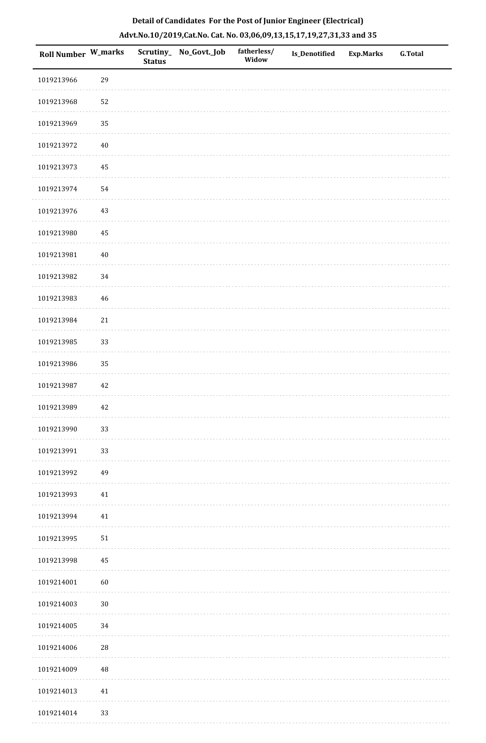| Roll Number W_marks |        | <b>Status</b> | Scrutiny_ No_Govt._Job | fatherless/<br>Widow | <b>Is_Denotified</b> | <b>Exp.Marks</b> | <b>G.Total</b> |
|---------------------|--------|---------------|------------------------|----------------------|----------------------|------------------|----------------|
| 1019213966          | 29     |               |                        |                      |                      |                  |                |
| 1019213968          | 52     |               |                        |                      |                      |                  |                |
| 1019213969          | 35     |               |                        |                      |                      |                  |                |
| 1019213972          | $40\,$ |               |                        |                      |                      |                  |                |
| 1019213973          | 45     |               |                        |                      |                      |                  |                |
| 1019213974          | 54     |               |                        |                      |                      |                  |                |
| 1019213976          | 43     |               |                        |                      |                      |                  |                |
| 1019213980          | 45     |               |                        |                      |                      |                  |                |
| 1019213981          | $40\,$ |               |                        |                      |                      |                  |                |
| 1019213982          | 34     |               |                        |                      |                      |                  |                |
| 1019213983          | 46     |               |                        |                      |                      |                  |                |
| 1019213984          | 21     |               |                        |                      |                      |                  |                |
| 1019213985          | 33     |               |                        |                      |                      |                  |                |
| 1019213986          | 35     |               |                        |                      |                      |                  |                |
| 1019213987          | 42     |               |                        |                      |                      |                  |                |
| 1019213989          | $42\,$ |               |                        |                      |                      |                  |                |
| 1019213990          | 33     |               |                        |                      |                      |                  |                |
| 1019213991          | 33     |               |                        |                      |                      |                  |                |
| 1019213992          | 49     |               |                        |                      |                      |                  |                |
| 1019213993          | 41     |               |                        |                      |                      |                  |                |
| 1019213994          | 41     |               |                        |                      |                      |                  |                |
| 1019213995          | 51     |               |                        |                      |                      |                  |                |
| 1019213998          | 45     |               |                        |                      |                      |                  |                |
| 1019214001          | 60     |               |                        |                      |                      |                  |                |
| 1019214003          | $30\,$ |               |                        |                      |                      |                  |                |
| 1019214005          | 34     |               |                        |                      |                      |                  |                |
| 1019214006          | 28     |               |                        |                      |                      |                  |                |
| 1019214009          | 48     |               |                        |                      |                      |                  |                |
| 1019214013          | 41     |               |                        |                      |                      |                  |                |
| 1019214014          | 33     |               |                        |                      |                      |                  |                |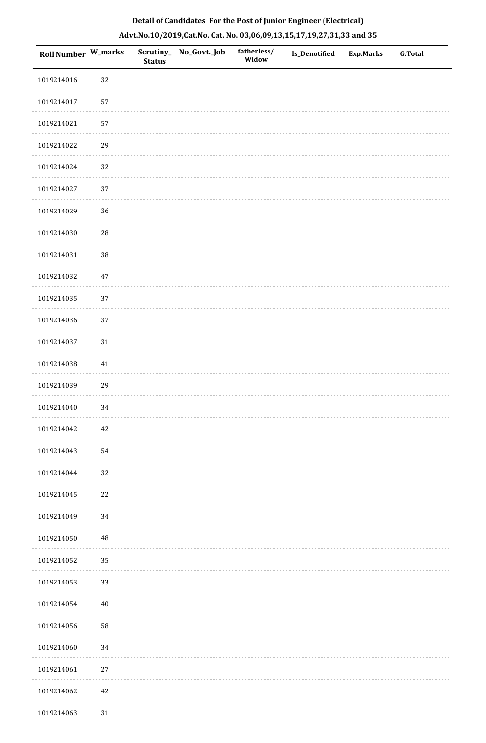| Roll Number W_marks |            | <b>Status</b> | Scrutiny_ No_Govt._Job | fatherless/<br>Widow | Is_Denotified | Exp.Marks | G.Total |
|---------------------|------------|---------------|------------------------|----------------------|---------------|-----------|---------|
| 1019214016          | 32         |               |                        |                      |               |           |         |
| 1019214017          | 57         |               |                        |                      |               |           |         |
| 1019214021          | 57         |               |                        |                      |               |           |         |
| 1019214022          | 29         |               |                        |                      |               |           |         |
| 1019214024          | 32         |               |                        |                      |               |           |         |
| 1019214027          | 37         |               |                        |                      |               |           |         |
| 1019214029          | 36         |               |                        |                      |               |           |         |
| 1019214030          | ${\bf 28}$ |               |                        |                      |               |           |         |
| 1019214031          | 38         |               |                        |                      |               |           |         |
| 1019214032          | $47\,$     |               |                        |                      |               |           |         |
| 1019214035          | $37\,$     |               |                        |                      |               |           |         |
| 1019214036          | 37         |               |                        |                      |               |           |         |
| 1019214037          | $31\,$     |               |                        |                      |               |           |         |
| 1019214038          | $41\,$     |               |                        |                      |               |           |         |
| 1019214039          | 29         |               |                        |                      |               |           |         |
| 1019214040          | 34         |               |                        |                      |               |           |         |
| 1019214042          | $42\,$     |               |                        |                      |               |           |         |
| 1019214043          | 54         |               |                        |                      |               |           |         |
| 1019214044          | 32         |               |                        |                      |               |           |         |
| 1019214045          | 22         |               |                        |                      |               |           |         |
| 1019214049          | 34         |               |                        |                      |               |           |         |
| 1019214050          | 48         |               |                        |                      |               |           |         |
| 1019214052          | 35         |               |                        |                      |               |           |         |
| 1019214053          | 33         |               |                        |                      |               |           |         |
| 1019214054          | $40\,$     |               |                        |                      |               |           |         |
| 1019214056          | 58         |               |                        |                      |               |           |         |
| 1019214060          | 34         |               |                        |                      |               |           |         |
| 1019214061          | $27\,$     |               |                        |                      |               |           |         |
| 1019214062          | 42         |               |                        |                      |               |           |         |
| 1019214063          | $31\,$     |               |                        |                      |               |           |         |

a sala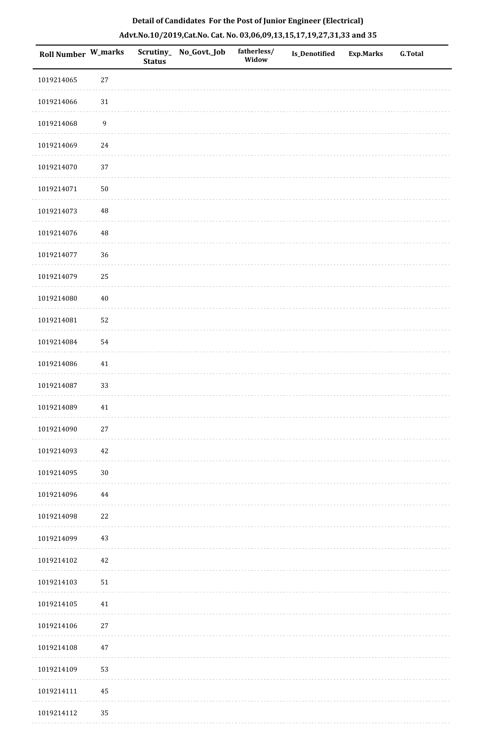| <b>Roll Number W_marks</b> |                  | <b>Status</b> | Scrutiny_ No_Govt._Job | fatherless/<br>Widow | Is_Denotified | <b>Exp.Marks</b> | <b>G.Total</b> |
|----------------------------|------------------|---------------|------------------------|----------------------|---------------|------------------|----------------|
| 1019214065                 | $27\,$           |               |                        |                      |               |                  |                |
| 1019214066                 | $31\,$           |               |                        |                      |               |                  |                |
| 1019214068                 | $\boldsymbol{9}$ |               |                        |                      |               |                  |                |
| 1019214069                 | 24               |               |                        |                      |               |                  |                |
| 1019214070                 | 37               |               |                        |                      |               |                  |                |
| 1019214071                 | $50\,$           |               |                        |                      |               |                  |                |
| 1019214073                 | $\rm 48$         |               |                        |                      |               |                  |                |
| 1019214076                 | $\rm 48$         |               |                        |                      |               |                  |                |
| 1019214077                 | 36               |               |                        |                      |               |                  |                |
| 1019214079                 | 25               |               |                        |                      |               |                  |                |
| 1019214080                 | $40\,$           |               |                        |                      |               |                  |                |
| 1019214081                 | 52               |               |                        |                      |               |                  |                |
| 1019214084                 | 54               |               |                        |                      |               |                  |                |
| 1019214086                 | 41               |               |                        |                      |               |                  |                |
| 1019214087                 | 33               |               |                        |                      |               |                  |                |
| 1019214089                 | 41               |               |                        |                      |               |                  |                |
| 1019214090                 | $27\,$           |               |                        |                      |               |                  |                |
| 1019214093                 | $42\,$           |               |                        |                      |               |                  |                |
| 1019214095                 | $30\,$           |               |                        |                      |               |                  |                |
| 1019214096                 | 44               |               |                        |                      |               |                  |                |
| 1019214098                 | 22               |               |                        |                      |               |                  |                |
| 1019214099                 | 43               |               |                        |                      |               |                  |                |
| 1019214102                 | 42               |               |                        |                      |               |                  |                |
| 1019214103                 | $51\,$           |               |                        |                      |               |                  |                |
| 1019214105                 | 41               |               |                        |                      |               |                  |                |
| 1019214106                 | 27               |               |                        |                      |               |                  |                |
| 1019214108                 | $47\,$           |               |                        |                      |               |                  |                |
| 1019214109                 | 53               |               |                        |                      |               |                  |                |
| 1019214111                 | 45               |               |                        |                      |               |                  |                |
| 1019214112                 | 35               |               |                        |                      |               |                  |                |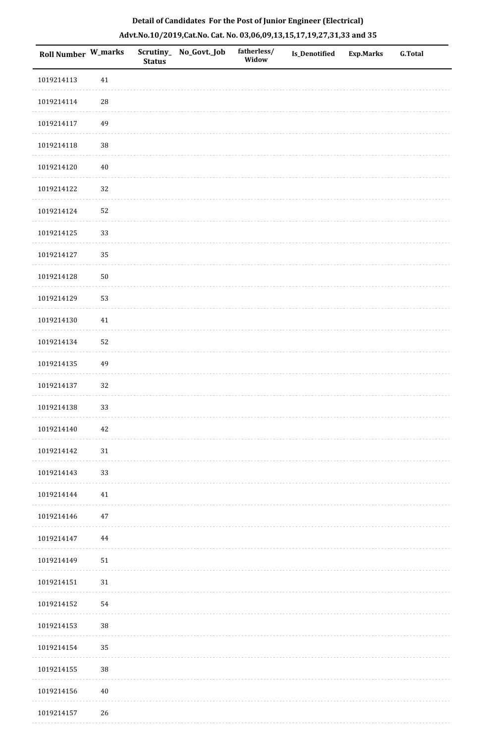| Roll Number W_marks |          | <b>Status</b> | Scrutiny_No_Govt._Job | fatherless/<br>Widow | <b>Is_Denotified</b> | <b>Exp.Marks</b> | <b>G.Total</b> |
|---------------------|----------|---------------|-----------------------|----------------------|----------------------|------------------|----------------|
| 1019214113          | $41\,$   |               |                       |                      |                      |                  |                |
| 1019214114          | $\rm 28$ |               |                       |                      |                      |                  |                |
| 1019214117          | 49       |               |                       |                      |                      |                  |                |
| 1019214118          | $38\,$   |               |                       |                      |                      |                  |                |
| 1019214120          | $40\,$   |               |                       |                      |                      |                  |                |
| 1019214122          | 32       |               |                       |                      |                      |                  |                |
| 1019214124          | 52       |               |                       |                      |                      |                  |                |
| 1019214125          | 33       |               |                       |                      |                      |                  |                |
| 1019214127          | 35       |               |                       |                      |                      |                  |                |
| 1019214128          | $50\,$   |               |                       |                      |                      |                  |                |
| 1019214129          | 53       |               |                       |                      |                      |                  |                |
| 1019214130          | $41\,$   |               |                       |                      |                      |                  |                |
| 1019214134          | 52       |               |                       |                      |                      |                  |                |
| 1019214135          | 49       |               |                       |                      |                      |                  |                |
| 1019214137          | 32       |               |                       |                      |                      |                  |                |
| 1019214138          | 33       |               |                       |                      |                      |                  |                |
| 1019214140          | 42       |               |                       |                      |                      |                  |                |
| 1019214142          | 31       |               |                       |                      |                      |                  |                |
| 1019214143          | 33       |               |                       |                      |                      |                  |                |
| 1019214144          | 41       |               |                       |                      |                      |                  |                |
| 1019214146          | 47       |               |                       |                      |                      |                  |                |
| 1019214147          | 44       |               |                       |                      |                      |                  |                |
| 1019214149          | 51       |               |                       |                      |                      |                  |                |
| 1019214151          | 31       |               |                       |                      |                      |                  |                |
| 1019214152          | 54       |               |                       |                      |                      |                  |                |
| 1019214153          | $38\,$   |               |                       |                      |                      |                  |                |
| 1019214154          | 35       |               |                       |                      |                      |                  |                |
| 1019214155          | $38\,$   |               |                       |                      |                      |                  |                |
| 1019214156          | $40\,$   |               |                       |                      |                      |                  |                |
| 1019214157          | 26       |               |                       |                      |                      |                  |                |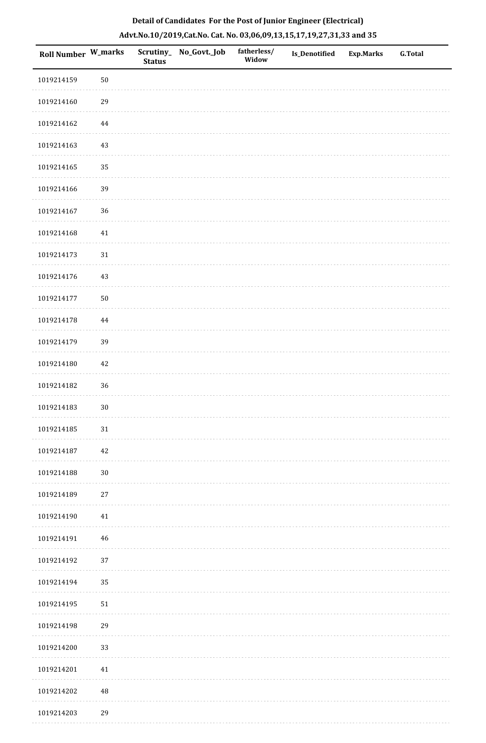| Roll Number W_marks |             | <b>Status</b> | Scrutiny_ No_Govt._Job | fatherless/<br>Widow | Is_Denotified | <b>Exp.Marks</b> | G.Total |
|---------------------|-------------|---------------|------------------------|----------------------|---------------|------------------|---------|
| 1019214159          | $50\,$      |               |                        |                      |               |                  |         |
| 1019214160          | 29          |               |                        |                      |               |                  |         |
| 1019214162          | $\bf 44$    |               |                        |                      |               |                  |         |
| 1019214163          | $43\,$      |               |                        |                      |               |                  |         |
| 1019214165          | 35          |               |                        |                      |               |                  |         |
| 1019214166          | 39          |               |                        |                      |               |                  |         |
| 1019214167          | 36          |               |                        |                      |               |                  |         |
| 1019214168          | 41          |               |                        |                      |               |                  |         |
| 1019214173          | 31          |               |                        |                      |               |                  |         |
| 1019214176          | 43          |               |                        |                      |               |                  |         |
| 1019214177          | $50\,$      |               |                        |                      |               |                  |         |
| 1019214178          | $\bf 44$    |               |                        |                      |               |                  |         |
| 1019214179          | 39          |               |                        |                      |               |                  |         |
| 1019214180          | $42\,$      |               |                        |                      |               |                  |         |
| 1019214182          | 36          |               |                        |                      |               |                  |         |
| 1019214183          | $30\,$      |               |                        |                      |               |                  |         |
| 1019214185          | $31\,$      |               |                        |                      |               |                  |         |
| 1019214187          | 42          |               |                        |                      |               |                  |         |
| 1019214188          | $30\,$      |               |                        |                      |               |                  |         |
| 1019214189          | 27          |               |                        |                      |               |                  |         |
| 1019214190          | $41\,$      |               |                        |                      |               |                  |         |
| 1019214191          | 46          |               |                        |                      |               |                  |         |
| 1019214192          | 37          |               |                        |                      |               |                  |         |
| 1019214194          | 35          |               |                        |                      |               |                  |         |
| 1019214195          | 51          |               |                        |                      |               |                  |         |
| 1019214198          | 29          |               |                        |                      |               |                  |         |
| 1019214200          | 33          |               |                        |                      |               |                  |         |
| 1019214201          | $41\,$      |               |                        |                      |               |                  |         |
| 1019214202          | $\sqrt{48}$ |               |                        |                      |               |                  |         |
| 1019214203          | 29          |               |                        |                      |               |                  |         |

a sala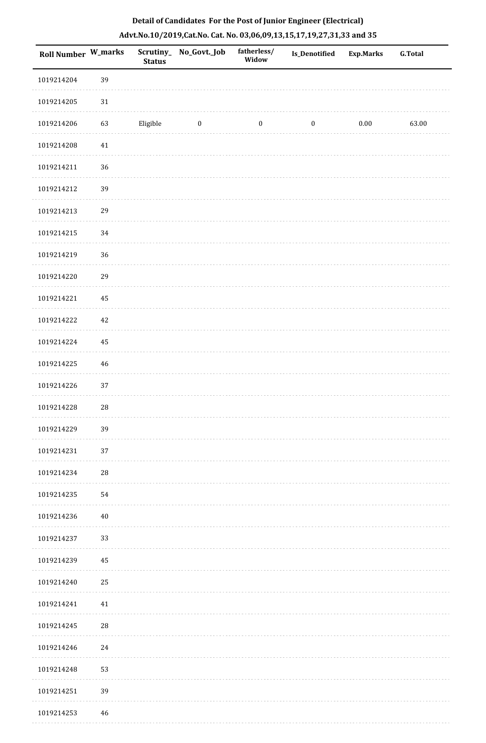| <b>Roll Number W_marks</b> |             | <b>Status</b> | Scrutiny_ No_Govt._Job  | fatherless/<br>Widow | <b>Is_Denotified</b> | <b>Exp.Marks</b> | <b>G.Total</b> |
|----------------------------|-------------|---------------|-------------------------|----------------------|----------------------|------------------|----------------|
| 1019214204                 | 39          |               |                         |                      |                      |                  |                |
| 1019214205                 | $31\,$      |               |                         |                      |                      |                  |                |
| 1019214206                 | 63          | Eligible      | $\overline{\mathbf{0}}$ | $\bf{0}$             | $\bf{0}$             | 0.00             | 63.00          |
| 1019214208                 | $41\,$      |               |                         |                      |                      |                  |                |
| 1019214211                 | 36          |               |                         |                      |                      |                  |                |
| 1019214212                 | 39          |               |                         |                      |                      |                  |                |
| 1019214213                 | 29          |               |                         |                      |                      |                  |                |
| 1019214215                 | $34\,$      |               |                         |                      |                      |                  |                |
| 1019214219                 | 36          |               |                         |                      |                      |                  |                |
| 1019214220                 | 29          |               |                         |                      |                      |                  |                |
| 1019214221                 | 45          |               |                         |                      |                      |                  |                |
| 1019214222                 | 42          |               |                         |                      |                      |                  |                |
| 1019214224                 | 45          |               |                         |                      |                      |                  |                |
| 1019214225                 | 46          |               |                         |                      |                      |                  |                |
| 1019214226                 | 37          |               |                         |                      |                      |                  |                |
| 1019214228                 | $\sqrt{28}$ |               |                         |                      |                      |                  |                |
| 1019214229                 | 39          |               |                         |                      |                      |                  |                |
| 1019214231                 | 37          |               |                         |                      |                      |                  |                |
| 1019214234                 | $\sqrt{28}$ |               |                         |                      |                      |                  |                |
| 1019214235                 | 54          |               |                         |                      |                      |                  |                |
| 1019214236                 | 40          |               |                         |                      |                      |                  |                |
| 1019214237                 | 33          |               |                         |                      |                      |                  |                |
| 1019214239                 | 45          |               |                         |                      |                      |                  |                |
| 1019214240                 | 25          |               |                         |                      |                      |                  |                |
| 1019214241                 | 41          |               |                         |                      |                      |                  |                |
| 1019214245                 | 28          |               |                         |                      |                      |                  |                |
| 1019214246                 | 24          |               |                         |                      |                      |                  |                |
| 1019214248                 | 53          |               |                         |                      |                      |                  |                |
| 1019214251                 | 39          |               |                         |                      |                      |                  |                |
| 1019214253                 | 46          |               |                         |                      |                      |                  |                |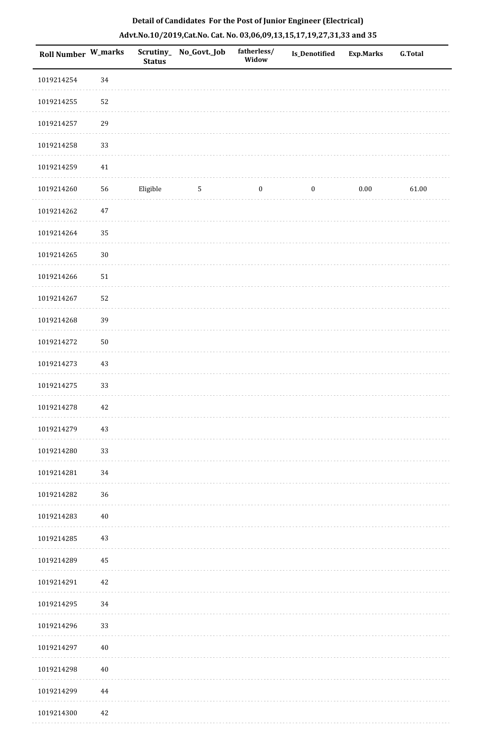| Roll Number W_marks |            | <b>Status</b> | Scrutiny_No_Govt._Job | fatherless/<br>Widow | Is_Denotified    | <b>Exp.Marks</b> | <b>G.Total</b> |
|---------------------|------------|---------------|-----------------------|----------------------|------------------|------------------|----------------|
| 1019214254          | 34         |               |                       |                      |                  |                  |                |
| 1019214255          | 52         |               |                       |                      |                  |                  |                |
| 1019214257          | 29         |               |                       |                      |                  |                  |                |
| 1019214258          | 33         |               |                       |                      |                  |                  |                |
| 1019214259          | $41\,$     |               |                       |                      |                  |                  |                |
| 1019214260          | 56         | Eligible      | $\overline{5}$        | $\boldsymbol{0}$     | $\boldsymbol{0}$ | $0.00\,$         | 61.00          |
| 1019214262          | 47         |               |                       |                      |                  |                  |                |
| 1019214264          | 35         |               |                       |                      |                  |                  |                |
| 1019214265          | $30\,$     |               |                       |                      |                  |                  |                |
| 1019214266          | 51         |               |                       |                      |                  |                  |                |
| 1019214267          | 52         |               |                       |                      |                  |                  |                |
| 1019214268          | 39         |               |                       |                      |                  |                  |                |
| 1019214272          | ${\bf 50}$ |               |                       |                      |                  |                  |                |
| 1019214273          | 43         |               |                       |                      |                  |                  |                |
| 1019214275          | 33         |               |                       |                      |                  |                  |                |
| 1019214278          | 42         |               |                       |                      |                  |                  |                |
| 1019214279          | 43         |               |                       |                      |                  |                  |                |
| 1019214280          | 33         |               |                       |                      |                  |                  |                |
| 1019214281          | 34         |               |                       |                      |                  |                  |                |
| 1019214282          | 36         |               |                       |                      |                  |                  |                |
| 1019214283          | $40\,$     |               |                       |                      |                  |                  |                |
| 1019214285          | 43         |               |                       |                      |                  |                  |                |
| 1019214289          | 45         |               |                       |                      |                  |                  |                |
| 1019214291          | 42         |               |                       |                      |                  |                  |                |
| 1019214295          | 34         |               |                       |                      |                  |                  |                |
| 1019214296          | 33         |               |                       |                      |                  |                  |                |
| 1019214297          | 40         |               |                       |                      |                  |                  |                |
| 1019214298          | 40         |               |                       |                      |                  |                  |                |
| 1019214299          | 44         |               |                       |                      |                  |                  |                |
| 1019214300          | 42         |               |                       |                      |                  |                  |                |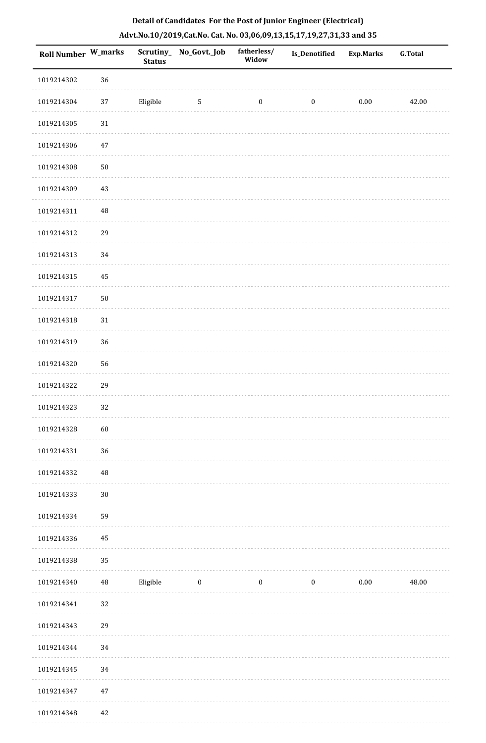| Roll Number W_marks |          | <b>Status</b> | Scrutiny_No_Govt._Job | fatherless/<br>Widow | Is_Denotified    | <b>Exp.Marks</b> | <b>G.Total</b> |
|---------------------|----------|---------------|-----------------------|----------------------|------------------|------------------|----------------|
| 1019214302          | 36       |               |                       |                      |                  |                  |                |
| 1019214304          | $37\,$   | Eligible      | $\sqrt{5}$            | $\boldsymbol{0}$     | $\boldsymbol{0}$ | $0.00\,$         | 42.00          |
| 1019214305          | $31\,$   |               |                       |                      |                  |                  |                |
| 1019214306          | 47       |               |                       |                      |                  |                  |                |
| 1019214308          | $50\,$   |               |                       |                      |                  |                  |                |
| 1019214309          | 43       |               |                       |                      |                  |                  |                |
| 1019214311          | $\rm 48$ |               |                       |                      |                  |                  |                |
| 1019214312          | 29       |               |                       |                      |                  |                  |                |
| 1019214313          | 34       |               |                       |                      |                  |                  |                |
| 1019214315          | 45       |               |                       |                      |                  |                  |                |
| 1019214317          | $50\,$   |               |                       |                      |                  |                  |                |
| 1019214318          | $31\,$   |               |                       |                      |                  |                  |                |
| 1019214319          | 36       |               |                       |                      |                  |                  |                |
| 1019214320          | 56       |               |                       |                      |                  |                  |                |
| 1019214322          | 29       |               |                       |                      |                  |                  |                |
| 1019214323          | 32       |               |                       |                      |                  |                  |                |
| 1019214328          | 60       |               |                       |                      |                  |                  |                |
| 1019214331          | 36       |               |                       |                      |                  |                  |                |
| 1019214332          | $\rm 48$ |               |                       |                      |                  |                  |                |
| 1019214333          | $30\,$   |               |                       |                      |                  |                  |                |
| 1019214334          | 59       |               |                       |                      |                  |                  |                |
| 1019214336          | 45       |               |                       |                      |                  |                  |                |
| 1019214338          | 35       |               |                       |                      |                  |                  |                |
| 1019214340          | $\rm 48$ | Eligible      | $\bf{0}$              | $\boldsymbol{0}$     | $\boldsymbol{0}$ | $0.00\,$         | 48.00          |
| 1019214341          | 32       |               |                       |                      |                  |                  |                |
| 1019214343          | 29       |               |                       |                      |                  |                  |                |
| 1019214344          | 34       |               |                       |                      |                  |                  |                |
| 1019214345          | 34       |               |                       |                      |                  |                  |                |
| 1019214347          | $47\,$   |               |                       |                      |                  |                  |                |
| 1019214348          | 42       |               |                       |                      |                  |                  |                |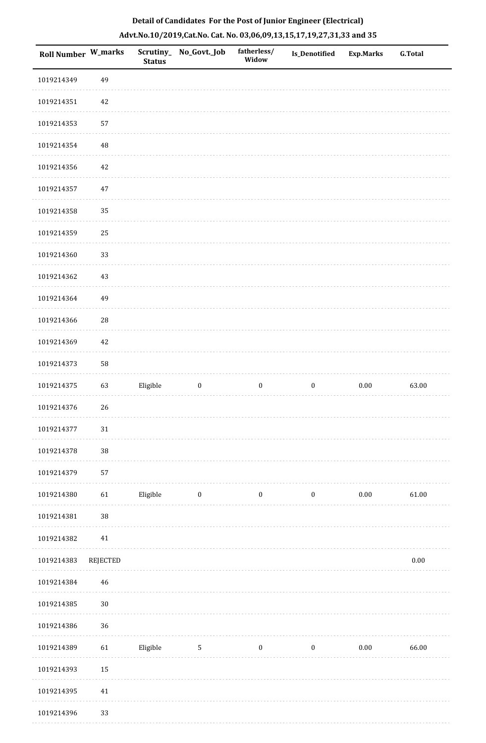| <b>Roll Number W_marks</b> |             | <b>Status</b> | Scrutiny_No_Govt._Job | fatherless/<br>Widow | <b>Is_Denotified</b> | <b>Exp.Marks</b> | <b>G.Total</b> |
|----------------------------|-------------|---------------|-----------------------|----------------------|----------------------|------------------|----------------|
| 1019214349                 | 49          |               |                       |                      |                      |                  |                |
| 1019214351                 | 42          |               |                       |                      |                      |                  |                |
| 1019214353                 | 57          |               |                       |                      |                      |                  |                |
| 1019214354                 | $\rm 48$    |               |                       |                      |                      |                  |                |
| 1019214356                 | 42          |               |                       |                      |                      |                  |                |
| 1019214357                 | 47          |               |                       |                      |                      |                  |                |
| 1019214358                 | 35          |               |                       |                      |                      |                  |                |
| 1019214359                 | 25          |               |                       |                      |                      |                  |                |
| 1019214360                 | 33          |               |                       |                      |                      |                  |                |
| 1019214362                 | $43\,$      |               |                       |                      |                      |                  |                |
| 1019214364                 | 49          |               |                       |                      |                      |                  |                |
| 1019214366                 | $\sqrt{28}$ |               |                       |                      |                      |                  |                |
| 1019214369                 | 42          |               |                       |                      |                      |                  |                |
| 1019214373                 | 58          |               |                       |                      |                      |                  |                |
| 1019214375                 | 63          | Eligible      | $\boldsymbol{0}$      | $\boldsymbol{0}$     | $\boldsymbol{0}$     | $0.00\,$         | 63.00          |
| 1019214376                 | 26          |               |                       |                      |                      |                  |                |
| 1019214377                 | $31\,$      |               |                       |                      |                      |                  |                |
| 1019214378                 | $38\,$      |               |                       |                      |                      |                  |                |
| 1019214379                 | 57          |               |                       |                      |                      |                  |                |
| 1019214380                 | 61          | Eligible      | $\boldsymbol{0}$      | $\boldsymbol{0}$     | $\boldsymbol{0}$     | $0.00\,$         | 61.00          |
| 1019214381                 | $38\,$      |               |                       |                      |                      |                  |                |
| 1019214382                 | $41\,$      |               |                       |                      |                      |                  |                |
| 1019214383                 | REJECTED    |               |                       |                      |                      |                  | $0.00\,$       |
| 1019214384                 | 46          |               |                       |                      |                      |                  |                |
| 1019214385                 | $30\,$      |               |                       |                      |                      |                  |                |
| 1019214386                 | 36          |               |                       |                      |                      |                  |                |
| 1019214389                 | 61          | Eligible      | $5\phantom{.0}$       | $\boldsymbol{0}$     | $\boldsymbol{0}$     | $0.00\,$         | 66.00          |
| 1019214393                 | 15          |               |                       |                      |                      |                  |                |
| 1019214395                 | $41\,$      |               |                       |                      |                      |                  |                |
| 1019214396                 | 33          |               |                       |                      |                      |                  |                |

1019214396 33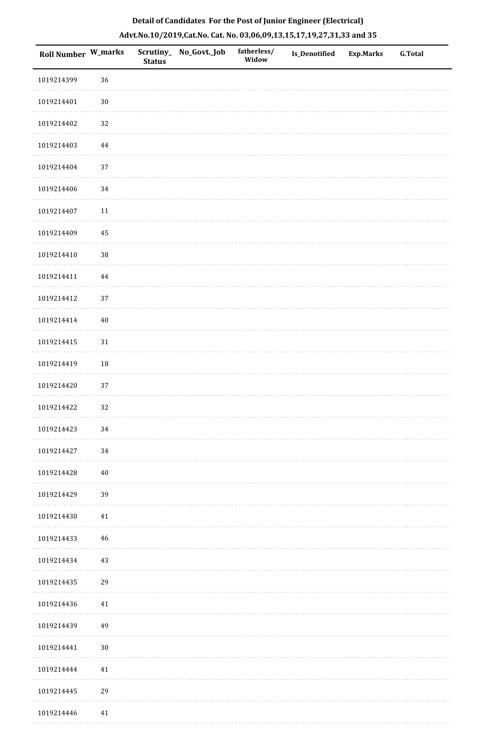| Roll Number W_marks |             | Scrutiny_<br><b>Status</b> | No_Govt._Job | fatherless/<br>Widow | Is_Denotified | <b>Exp.Marks</b> | G.Total |
|---------------------|-------------|----------------------------|--------------|----------------------|---------------|------------------|---------|
| 1019214399          | 36          |                            |              |                      |               |                  |         |
| 1019214401          | $30\,$      |                            |              |                      |               |                  |         |
| 1019214402          | 32          |                            |              |                      |               |                  |         |
| 1019214403          | $\bf 44$    |                            |              |                      |               |                  |         |
| 1019214404          | $37\,$      |                            |              |                      |               |                  |         |
| 1019214406          | 34          |                            |              |                      |               |                  |         |
| 1019214407          | $11\,$      |                            |              |                      |               |                  |         |
| 1019214409          | 45          |                            |              |                      |               |                  |         |
| 1019214410          | 38          |                            |              |                      |               |                  |         |
| 1019214411          | $\bf 44$    |                            |              |                      |               |                  |         |
| 1019214412          | 37          |                            |              |                      |               |                  |         |
| 1019214414          | $40\,$      |                            |              |                      |               |                  |         |
| 1019214415          | $31\,$      |                            |              |                      |               |                  |         |
| 1019214419          | 18          |                            |              |                      |               |                  |         |
| 1019214420          | 37          |                            |              |                      |               |                  |         |
| 1019214422          | 32          |                            |              |                      |               |                  |         |
| 1019214423          | $34\,$      |                            |              |                      |               |                  |         |
| 1019214427          | 34          |                            |              |                      |               |                  |         |
| 1019214428          | $40\,$      |                            |              |                      |               |                  |         |
| 1019214429          | 39          |                            |              |                      |               |                  |         |
| 1019214430          | 41          |                            |              |                      |               |                  |         |
| 1019214433          | $\sqrt{46}$ |                            |              |                      |               |                  |         |
| 1019214434          | 43          |                            |              |                      |               |                  |         |
| 1019214435          | 29          |                            |              |                      |               |                  |         |
| 1019214436          | 41          |                            |              |                      |               |                  |         |
| 1019214439          | 49          |                            |              |                      |               |                  |         |
| 1019214441          | $30\,$      |                            |              |                      |               |                  |         |
| 1019214444          | 41          |                            |              |                      |               |                  |         |
| 1019214445          | 29          |                            |              |                      |               |                  |         |
| 1019214446          | 41          |                            |              |                      |               |                  |         |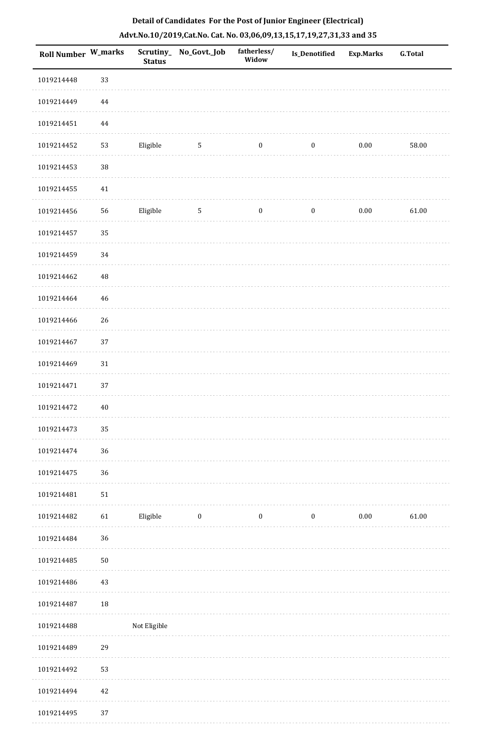| <b>Roll Number W_marks</b> |          | <b>Status</b> | Scrutiny_No_Govt._Job | fatherless/<br>Widow | Is_Denotified    | <b>Exp.Marks</b> | <b>G.Total</b> |
|----------------------------|----------|---------------|-----------------------|----------------------|------------------|------------------|----------------|
| 1019214448                 | 33       |               |                       |                      |                  |                  |                |
| 1019214449                 | $\bf 44$ |               |                       |                      |                  |                  |                |
| 1019214451                 | $\bf 44$ |               |                       |                      |                  |                  |                |
| 1019214452                 | 53       | Eligible      | $\sqrt{5}$            | $\boldsymbol{0}$     | $\boldsymbol{0}$ | 0.00             | 58.00          |
| 1019214453                 | $38\,$   |               |                       |                      |                  |                  |                |
| 1019214455                 | $41\,$   |               |                       |                      |                  |                  |                |
| 1019214456                 | 56       | Eligible      | 5                     | $\boldsymbol{0}$     | $\boldsymbol{0}$ | $0.00\,$         | 61.00          |
| 1019214457                 | 35       |               |                       |                      |                  |                  |                |
| 1019214459                 | 34       |               |                       |                      |                  |                  |                |
| 1019214462                 | $\rm 48$ |               |                       |                      |                  |                  |                |
| 1019214464                 | 46       |               |                       |                      |                  |                  |                |
| 1019214466                 | 26       |               |                       |                      |                  |                  |                |
| 1019214467                 | 37       |               |                       |                      |                  |                  |                |
| 1019214469                 | 31       |               |                       |                      |                  |                  |                |
| 1019214471                 | 37       |               |                       |                      |                  |                  |                |
| 1019214472                 | $40\,$   |               |                       |                      |                  |                  |                |
| 1019214473                 | 35       |               |                       |                      |                  |                  |                |
| 1019214474                 | 36       |               |                       |                      |                  |                  |                |
| 1019214475                 | 36       |               |                       |                      |                  |                  |                |
| 1019214481                 | 51       |               |                       |                      |                  |                  |                |
| 1019214482                 | 61       | Eligible      | $\boldsymbol{0}$      | $\boldsymbol{0}$     | $\boldsymbol{0}$ | $0.00\,$         | 61.00          |
| 1019214484                 | 36       |               |                       |                      |                  |                  |                |
| 1019214485                 | $50\,$   |               |                       |                      |                  |                  |                |
| 1019214486                 | 43       |               |                       |                      |                  |                  |                |
| 1019214487                 | $18\,$   |               |                       |                      |                  |                  |                |
| 1019214488                 |          | Not Eligible  |                       |                      |                  |                  |                |
| 1019214489                 | 29       |               |                       |                      |                  |                  |                |
| 1019214492                 | 53       |               |                       |                      |                  |                  |                |
| 1019214494                 | 42       |               |                       |                      |                  |                  |                |
| 1019214495                 | 37       |               |                       |                      |                  |                  |                |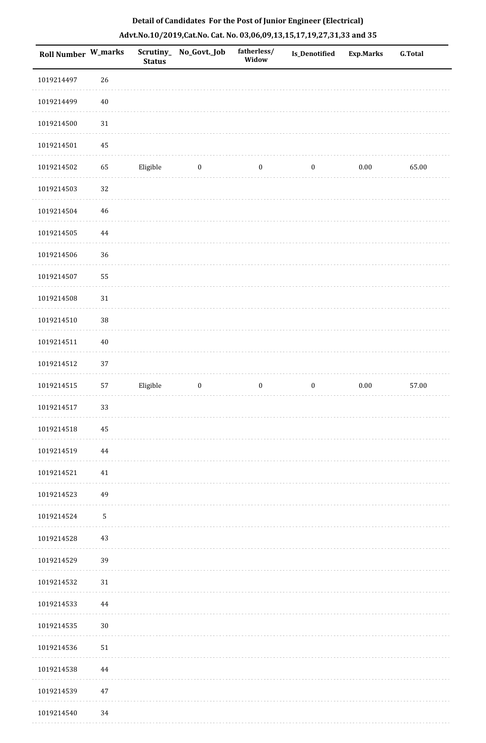| Roll Number W_marks |             | <b>Status</b> | Scrutiny_No_Govt._Job | fatherless/<br>Widow | Is_Denotified    | <b>Exp.Marks</b> | <b>G.Total</b> |
|---------------------|-------------|---------------|-----------------------|----------------------|------------------|------------------|----------------|
| 1019214497          | 26          |               |                       |                      |                  |                  |                |
| 1019214499          | $40\,$      |               |                       |                      |                  |                  |                |
| 1019214500          | $31\,$      |               |                       |                      |                  |                  |                |
| 1019214501          | 45          |               |                       |                      |                  |                  |                |
| 1019214502          | 65          | Eligible      | $\bf{0}$              | $\boldsymbol{0}$     | $\boldsymbol{0}$ | $0.00\,$         | 65.00          |
| 1019214503          | 32          |               |                       |                      |                  |                  |                |
| 1019214504          | 46          |               |                       |                      |                  |                  |                |
| 1019214505          | 44          |               |                       |                      |                  |                  |                |
| 1019214506          | 36          |               |                       |                      |                  |                  |                |
| 1019214507          | 55          |               |                       |                      |                  |                  |                |
| 1019214508          | $31\,$      |               |                       |                      |                  |                  |                |
| 1019214510          | $38\,$      |               |                       |                      |                  |                  |                |
| 1019214511          | $40\,$      |               |                       |                      |                  |                  |                |
| 1019214512          | 37          |               |                       |                      |                  |                  |                |
| 1019214515          | 57          | Eligible      | $\boldsymbol{0}$      | $\boldsymbol{0}$     | $\boldsymbol{0}$ | $0.00\,$         | 57.00          |
| 1019214517          | 33          |               |                       |                      |                  |                  |                |
| 1019214518          | 45          |               |                       |                      |                  |                  |                |
| 1019214519          | 44          |               |                       |                      |                  |                  |                |
| 1019214521          | 41          |               |                       |                      |                  |                  |                |
| 1019214523          | 49          |               |                       |                      |                  |                  |                |
| 1019214524          | $\mathbf 5$ |               |                       |                      |                  |                  |                |
| 1019214528          | 43          |               |                       |                      |                  |                  |                |
| 1019214529          | 39          |               |                       |                      |                  |                  |                |
| 1019214532          | 31          |               |                       |                      |                  |                  |                |
| 1019214533          | 44          |               |                       |                      |                  |                  |                |
| 1019214535          | $30\,$      |               |                       |                      |                  |                  |                |
| 1019214536          | 51          |               |                       |                      |                  |                  |                |
| 1019214538          | 44          |               |                       |                      |                  |                  |                |
| 1019214539          | 47          |               |                       |                      |                  |                  |                |
| 1019214540          | 34          |               |                       |                      |                  |                  |                |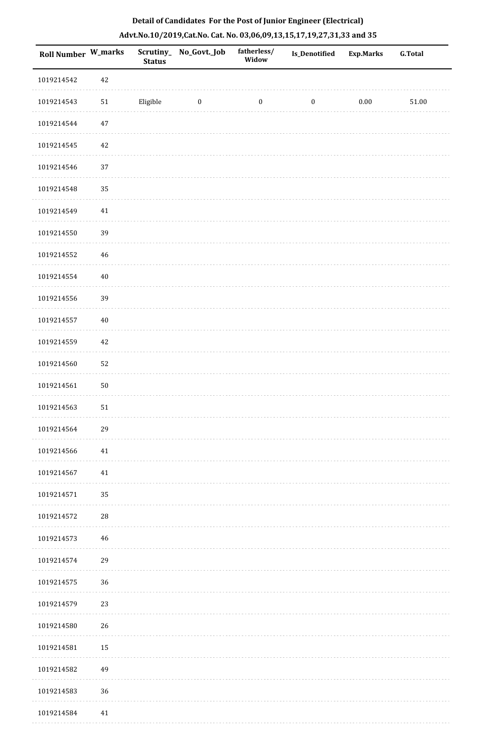| <b>Roll Number W_marks</b> |        | <b>Status</b> | Scrutiny_ No_Govt._Job | fatherless/<br>Widow | Is_Denotified    | <b>Exp.Marks</b> | <b>G.Total</b> |
|----------------------------|--------|---------------|------------------------|----------------------|------------------|------------------|----------------|
| 1019214542                 | 42     |               |                        |                      |                  |                  |                |
| 1019214543                 | 51     | Eligible      | $\bf{0}$               | $\boldsymbol{0}$     | $\boldsymbol{0}$ | $0.00\,$         | $51.00\,$      |
| 1019214544                 | $47\,$ |               |                        |                      |                  |                  |                |
| 1019214545                 | 42     |               |                        |                      |                  |                  |                |
| 1019214546                 | 37     |               |                        |                      |                  |                  |                |
| 1019214548                 | 35     |               |                        |                      |                  |                  |                |
| 1019214549                 | $41\,$ |               |                        |                      |                  |                  |                |
| 1019214550                 | 39     |               |                        |                      |                  |                  |                |
| 1019214552                 | 46     |               |                        |                      |                  |                  |                |
| 1019214554                 | $40\,$ |               |                        |                      |                  |                  |                |
| 1019214556                 | 39     |               |                        |                      |                  |                  |                |
| 1019214557                 | $40\,$ |               |                        |                      |                  |                  |                |
| 1019214559                 | 42     |               |                        |                      |                  |                  |                |
| 1019214560                 | 52     |               |                        |                      |                  |                  |                |
| 1019214561                 | $50\,$ |               |                        |                      |                  |                  |                |
| 1019214563                 | $51\,$ |               |                        |                      |                  |                  |                |
| 1019214564                 | 29     |               |                        |                      |                  |                  |                |
| 1019214566                 | $41\,$ |               |                        |                      |                  |                  |                |
| 1019214567                 | 41     |               |                        |                      |                  |                  |                |
| 1019214571                 | 35     |               |                        |                      |                  |                  |                |
| 1019214572                 | 28     |               |                        |                      |                  |                  |                |
| 1019214573                 | 46     |               |                        |                      |                  |                  |                |
| 1019214574                 | 29     |               |                        |                      |                  |                  |                |
| 1019214575                 | 36     |               |                        |                      |                  |                  |                |
| 1019214579                 | 23     |               |                        |                      |                  |                  |                |
| 1019214580                 | 26     |               |                        |                      |                  |                  |                |
| 1019214581                 | 15     |               |                        |                      |                  |                  |                |
| 1019214582                 | 49     |               |                        |                      |                  |                  |                |
| 1019214583                 | 36     |               |                        |                      |                  |                  |                |
| 1019214584                 | $41\,$ |               |                        |                      |                  |                  |                |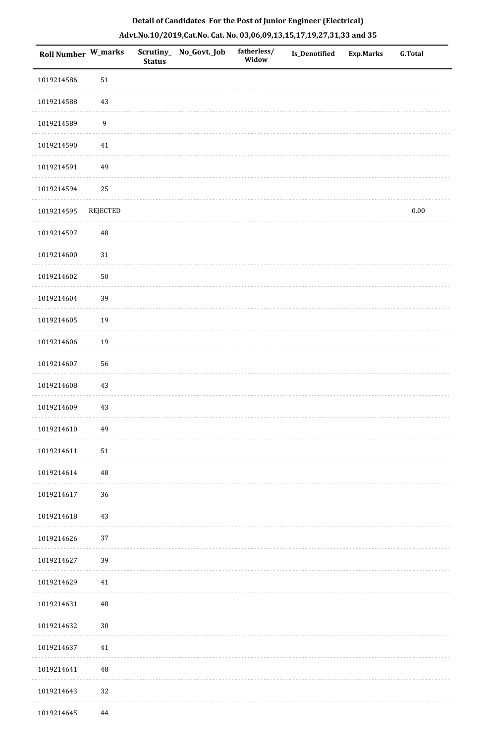|  | Detail of Candidates For the Post of Junior Engineer (Electrical)     |  |
|--|-----------------------------------------------------------------------|--|
|  | Advt.No.10/2019,Cat.No. Cat. No. 03,06,09,13,15,17,19,27,31,33 and 35 |  |

| Roll Number W_marks |                  | <b>Status</b> | Scrutiny_ No_Govt._Job | fatherless/<br>Widow | Is_Denotified | <b>Exp.Marks</b> | <b>G.Total</b> |
|---------------------|------------------|---------------|------------------------|----------------------|---------------|------------------|----------------|
| 1019214586          | $51\,$           |               |                        |                      |               |                  |                |
| 1019214588          | $43\,$           |               |                        |                      |               |                  |                |
| 1019214589          | $\boldsymbol{9}$ |               |                        |                      |               |                  |                |
| 1019214590          | $41\,$           |               |                        |                      |               |                  |                |
| 1019214591          | 49               |               |                        |                      |               |                  |                |
| 1019214594          | 25               |               |                        |                      |               |                  |                |
| 1019214595          | <b>REJECTED</b>  |               |                        |                      |               |                  | 0.00           |
| 1019214597          | $\rm 48$         |               |                        |                      |               |                  |                |
| 1019214600          | $31\,$           |               |                        |                      |               |                  |                |
| 1019214602          | $50\,$           |               |                        |                      |               |                  |                |
| 1019214604          | 39               |               |                        |                      |               |                  |                |
| 1019214605          | 19               |               |                        |                      |               |                  |                |
| 1019214606          | 19               |               |                        |                      |               |                  |                |
| 1019214607          | 56               |               |                        |                      |               |                  |                |
| 1019214608          | 43               |               |                        |                      |               |                  |                |
| 1019214609          | 43               |               |                        |                      |               |                  |                |
| 1019214610          | 49               |               |                        |                      |               |                  |                |
| 1019214611          | $51\,$           |               |                        |                      |               |                  |                |
| 1019214614          | $\rm 48$         |               |                        |                      |               |                  |                |
| 1019214617          | 36               |               |                        |                      |               |                  |                |
| 1019214618          | 43               |               |                        |                      |               |                  |                |
| 1019214626          | 37               |               |                        |                      |               |                  |                |
| 1019214627          | 39               |               |                        |                      |               |                  |                |
| 1019214629          | 41               |               |                        |                      |               |                  |                |
| 1019214631          | $\rm 48$         |               |                        |                      |               |                  |                |
| 1019214632          | $30\,$           |               |                        |                      |               |                  |                |
| 1019214637          | $41\,$           |               |                        |                      |               |                  |                |
| 1019214641          | $\rm 48$         |               |                        |                      |               |                  |                |
| 1019214643          | 32               |               |                        |                      |               |                  |                |
| 1019214645          | 44               |               |                        |                      |               |                  |                |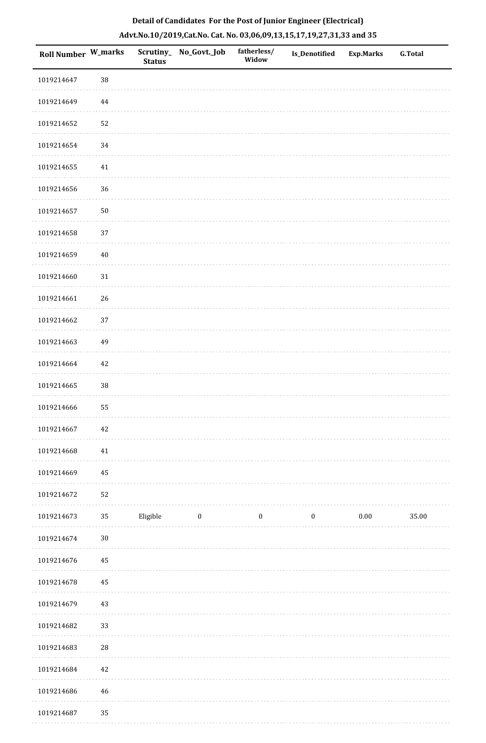| Roll Number W_marks |            | <b>Status</b> | Scrutiny_No_Govt._Job | fatherless/<br>Widow | Is_Denotified    | <b>Exp.Marks</b> | <b>G.Total</b> |
|---------------------|------------|---------------|-----------------------|----------------------|------------------|------------------|----------------|
| 1019214647          | 38         |               |                       |                      |                  |                  |                |
| 1019214649          | $\bf 44$   |               |                       |                      |                  |                  |                |
| 1019214652          | 52         |               |                       |                      |                  |                  |                |
| 1019214654          | 34         |               |                       |                      |                  |                  |                |
| 1019214655          | 41         |               |                       |                      |                  |                  |                |
| 1019214656          | 36         |               |                       |                      |                  |                  |                |
| 1019214657          | $50\,$     |               |                       |                      |                  |                  |                |
| 1019214658          | 37         |               |                       |                      |                  |                  |                |
| 1019214659          | $40\,$     |               |                       |                      |                  |                  |                |
| 1019214660          | $31\,$     |               |                       |                      |                  |                  |                |
| 1019214661          | 26         |               |                       |                      |                  |                  |                |
| 1019214662          | $37\,$     |               |                       |                      |                  |                  |                |
| 1019214663          | 49         |               |                       |                      |                  |                  |                |
| 1019214664          | $42\,$     |               |                       |                      |                  |                  |                |
| 1019214665          | 38         |               |                       |                      |                  |                  |                |
| 1019214666          | 55         |               |                       |                      |                  |                  |                |
| 1019214667          | $42\,$     |               |                       |                      |                  |                  |                |
| 1019214668          | $41\,$     |               |                       |                      |                  |                  |                |
| 1019214669          | 45         |               |                       |                      |                  |                  |                |
| 1019214672          | 52         |               |                       |                      |                  |                  |                |
| 1019214673          | 35         | Eligible      | $\bf{0}$              | $\bf{0}$             | $\boldsymbol{0}$ | $0.00\,$         | 35.00          |
| 1019214674          | $30\,$     |               |                       |                      |                  |                  |                |
| 1019214676          | 45         |               |                       |                      |                  |                  |                |
| 1019214678          | 45         |               |                       |                      |                  |                  |                |
| 1019214679          | 43         |               |                       |                      |                  |                  |                |
| 1019214682          | 33         |               |                       |                      |                  |                  |                |
| 1019214683          | ${\bf 28}$ |               |                       |                      |                  |                  |                |
| 1019214684          | $42\,$     |               |                       |                      |                  |                  |                |
| 1019214686          | 46         |               |                       |                      |                  |                  |                |
| 1019214687          | 35         |               |                       |                      |                  |                  |                |

 $1.1.1.1$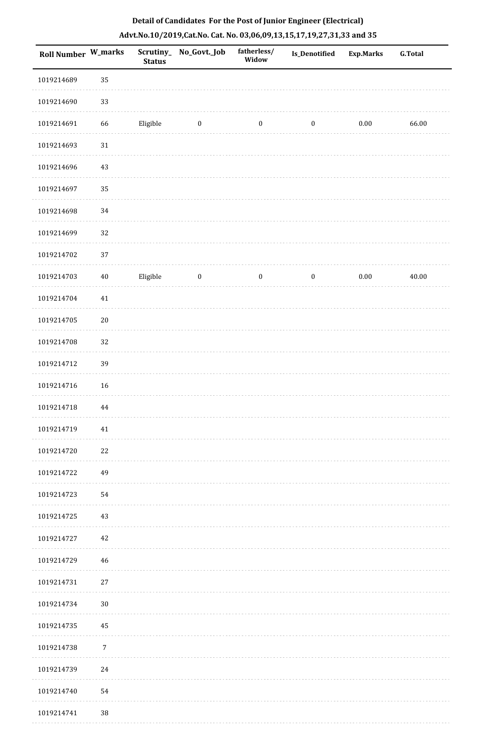|  |  | Detail of Candidates For the Post of Junior Engineer (Electrical)     |  |
|--|--|-----------------------------------------------------------------------|--|
|  |  | Advt.No.10/2019,Cat.No. Cat. No. 03,06,09,13,15,17,19,27,31,33 and 35 |  |

| <b>Roll Number W_marks</b> |            | <b>Status</b> | Scrutiny_ No_Govt._Job | fatherless/<br>Widow | Is_Denotified    | <b>Exp.Marks</b> | <b>G.Total</b> |
|----------------------------|------------|---------------|------------------------|----------------------|------------------|------------------|----------------|
| 1019214689                 | 35         |               |                        |                      |                  |                  |                |
| 1019214690                 | 33         |               |                        |                      |                  |                  |                |
| 1019214691                 | 66         | Eligible      | $\bf{0}$               | $\boldsymbol{0}$     | $\boldsymbol{0}$ | $0.00\,$         | 66.00          |
| 1019214693                 | $31\,$     |               |                        |                      |                  |                  |                |
| 1019214696                 | 43         |               |                        |                      |                  |                  |                |
| 1019214697                 | 35         |               |                        |                      |                  |                  |                |
| 1019214698                 | 34         |               |                        |                      |                  |                  |                |
| 1019214699                 | 32         |               |                        |                      |                  |                  |                |
| 1019214702                 | 37         |               |                        |                      |                  |                  |                |
| 1019214703                 | $40\,$     | Eligible      | $\boldsymbol{0}$       | $\boldsymbol{0}$     | $\boldsymbol{0}$ | $0.00\,$         | 40.00          |
| 1019214704                 | $41\,$     |               |                        |                      |                  |                  |                |
| 1019214705                 | $20\,$     |               |                        |                      |                  |                  |                |
| 1019214708                 | 32         |               |                        |                      |                  |                  |                |
| 1019214712                 | 39         |               |                        |                      |                  |                  |                |
| 1019214716                 | 16         |               |                        |                      |                  |                  |                |
| 1019214718                 | 44         |               |                        |                      |                  |                  |                |
| 1019214719                 | 41         |               |                        |                      |                  |                  |                |
| 1019214720                 | 22         |               |                        |                      |                  |                  |                |
| 1019214722                 | 49         |               |                        |                      |                  |                  |                |
| 1019214723                 | 54         |               |                        |                      |                  |                  |                |
| 1019214725                 | 43         |               |                        |                      |                  |                  |                |
| 1019214727                 | 42         |               |                        |                      |                  |                  |                |
| 1019214729                 | 46         |               |                        |                      |                  |                  |                |
| 1019214731                 | $27\,$     |               |                        |                      |                  |                  |                |
| 1019214734                 | $30\,$     |               |                        |                      |                  |                  |                |
| 1019214735                 | 45         |               |                        |                      |                  |                  |                |
| 1019214738                 | $\sqrt{7}$ |               |                        |                      |                  |                  |                |
| 1019214739                 | 24         |               |                        |                      |                  |                  |                |
| 1019214740                 | 54         |               |                        |                      |                  |                  |                |
| 1019214741                 | 38         |               |                        |                      |                  |                  |                |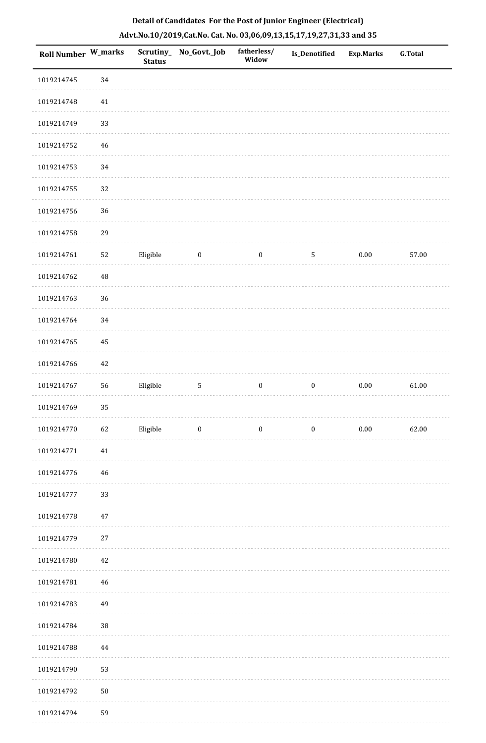| <b>Roll Number W_marks</b> |             | <b>Status</b> | Scrutiny_No_Govt._Job | fatherless/<br>Widow | Is_Denotified    | <b>Exp.Marks</b> | <b>G.Total</b> |
|----------------------------|-------------|---------------|-----------------------|----------------------|------------------|------------------|----------------|
| 1019214745                 | 34          |               |                       |                      |                  |                  |                |
| 1019214748                 | 41          |               |                       |                      |                  |                  |                |
| 1019214749                 | 33          |               |                       |                      |                  |                  |                |
| 1019214752                 | 46          |               |                       |                      |                  |                  |                |
| 1019214753                 | 34          |               |                       |                      |                  |                  |                |
| 1019214755                 | 32          |               |                       |                      |                  |                  |                |
| 1019214756                 | 36          |               |                       |                      |                  |                  |                |
| 1019214758                 | 29          |               |                       |                      |                  |                  |                |
| 1019214761                 | 52          | Eligible      | $\boldsymbol{0}$      | $\boldsymbol{0}$     | $\mathsf S$      | $0.00\,$         | 57.00          |
| 1019214762                 | $\rm 48$    |               |                       |                      |                  |                  |                |
| 1019214763                 | 36          |               |                       |                      |                  |                  |                |
| 1019214764                 | 34          |               |                       |                      |                  |                  |                |
| 1019214765                 | 45          |               |                       |                      |                  |                  |                |
| 1019214766                 | 42          |               |                       |                      |                  |                  |                |
| 1019214767                 | 56          | Eligible      | $5\phantom{.0}$       | $\boldsymbol{0}$     | $\boldsymbol{0}$ | 0.00             | 61.00          |
| 1019214769                 | 35          |               |                       |                      |                  |                  |                |
| 1019214770                 | 62          | Eligible      | $\boldsymbol{0}$      | $\boldsymbol{0}$     | $\boldsymbol{0}$ | $0.00\,$         | 62.00          |
| 1019214771                 | $41\,$      |               |                       |                      |                  |                  |                |
| 1019214776                 | $\sqrt{46}$ |               |                       |                      |                  |                  |                |
| 1019214777                 | 33          |               |                       |                      |                  |                  |                |
| 1019214778                 | 47          |               |                       |                      |                  |                  |                |
| 1019214779                 | 27          |               |                       |                      |                  |                  |                |
| 1019214780                 | 42          |               |                       |                      |                  |                  |                |
| 1019214781                 | $\sqrt{46}$ |               |                       |                      |                  |                  |                |
| 1019214783                 | 49          |               |                       |                      |                  |                  |                |
| 1019214784                 | $38\,$      |               |                       |                      |                  |                  |                |
| 1019214788                 | 44          |               |                       |                      |                  |                  |                |
| 1019214790                 | 53          |               |                       |                      |                  |                  |                |
| 1019214792                 | $50\,$      |               |                       |                      |                  |                  |                |
| 1019214794                 | 59          |               |                       |                      |                  |                  |                |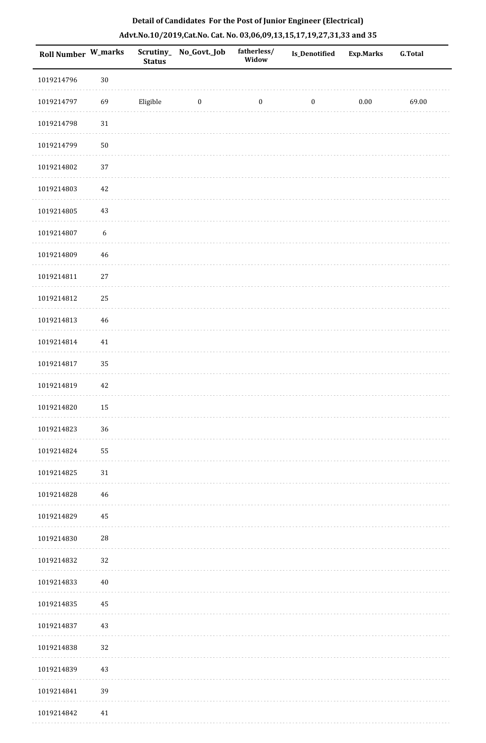| Roll Number W_marks |                  | <b>Status</b> | Scrutiny_ No_Govt._Job | fatherless/<br>Widow | Is_Denotified    | <b>Exp.Marks</b> | G.Total |
|---------------------|------------------|---------------|------------------------|----------------------|------------------|------------------|---------|
| 1019214796          | $30\,$           |               |                        |                      |                  |                  |         |
| 1019214797          | 69               | Eligible      | $\bf{0}$               | $\boldsymbol{0}$     | $\boldsymbol{0}$ | $0.00\,$         | 69.00   |
| 1019214798          | $31\,$           |               |                        |                      |                  |                  |         |
| 1019214799          | $50\,$           |               |                        |                      |                  |                  |         |
| 1019214802          | 37               |               |                        |                      |                  |                  |         |
| 1019214803          | 42               |               |                        |                      |                  |                  |         |
| 1019214805          | 43               |               |                        |                      |                  |                  |         |
| 1019214807          | $\boldsymbol{6}$ |               |                        |                      |                  |                  |         |
| 1019214809          | 46               |               |                        |                      |                  |                  |         |
| 1019214811          | $27\,$           |               |                        |                      |                  |                  |         |
| 1019214812          | 25               |               |                        |                      |                  |                  |         |
| 1019214813          | 46               |               |                        |                      |                  |                  |         |
| 1019214814          | $41\,$           |               |                        |                      |                  |                  |         |
| 1019214817          | 35               |               |                        |                      |                  |                  |         |
| 1019214819          | 42               |               |                        |                      |                  |                  |         |
| 1019214820          | 15               |               |                        |                      |                  |                  |         |
| 1019214823          | 36               |               |                        |                      |                  |                  |         |
| 1019214824          | 55               |               |                        |                      |                  |                  |         |
| 1019214825          | 31               |               |                        |                      |                  |                  |         |
| 1019214828          | 46               |               |                        |                      |                  |                  |         |
| 1019214829          | 45               |               |                        |                      |                  |                  |         |
| 1019214830          | 28               |               |                        |                      |                  |                  |         |
| 1019214832          | 32               |               |                        |                      |                  |                  |         |
| 1019214833          | $40\,$           |               |                        |                      |                  |                  |         |
| 1019214835          | 45               |               |                        |                      |                  |                  |         |
| 1019214837          | 43               |               |                        |                      |                  |                  |         |
| 1019214838          | 32               |               |                        |                      |                  |                  |         |
| 1019214839          | 43               |               |                        |                      |                  |                  |         |
| 1019214841          | 39               |               |                        |                      |                  |                  |         |
| 1019214842          | 41               |               |                        |                      |                  |                  |         |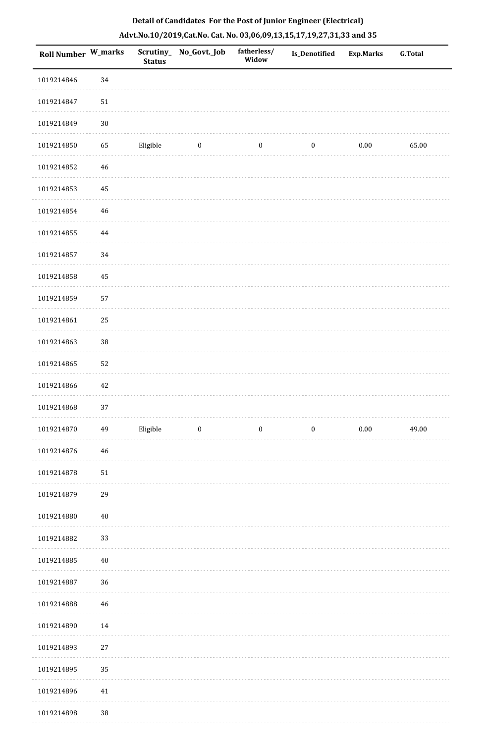| <b>Roll Number W_marks</b> |        | <b>Status</b> | Scrutiny_ No_Govt._Job  | fatherless/<br>Widow | Is_Denotified    | <b>Exp.Marks</b> | <b>G.Total</b> |
|----------------------------|--------|---------------|-------------------------|----------------------|------------------|------------------|----------------|
| 1019214846                 | 34     |               |                         |                      |                  |                  |                |
| 1019214847                 | 51     |               |                         |                      |                  |                  |                |
| 1019214849                 | $30\,$ |               |                         |                      |                  |                  |                |
| 1019214850                 | 65     | Eligible      | $\boldsymbol{0}$        | $\boldsymbol{0}$     | $\boldsymbol{0}$ | $0.00\,$         | 65.00          |
| 1019214852                 | 46     |               |                         |                      |                  |                  |                |
| 1019214853                 | 45     |               |                         |                      |                  |                  |                |
| 1019214854                 | 46     |               |                         |                      |                  |                  |                |
| 1019214855                 | 44     |               |                         |                      |                  |                  |                |
| 1019214857                 | 34     |               |                         |                      |                  |                  |                |
| 1019214858                 | 45     |               |                         |                      |                  |                  |                |
| 1019214859                 | 57     |               |                         |                      |                  |                  |                |
| 1019214861                 | 25     |               |                         |                      |                  |                  |                |
| 1019214863                 | $38\,$ |               |                         |                      |                  |                  |                |
| 1019214865                 | 52     |               |                         |                      |                  |                  |                |
| 1019214866                 | 42     |               |                         |                      |                  |                  |                |
| 1019214868                 | 37     |               |                         |                      |                  |                  |                |
| 1019214870                 | 49     | Eligible      | $\overline{\mathbf{0}}$ | $\boldsymbol{0}$     | $\bf{0}$         | 0.00             | 49.00          |
| 1019214876                 | 46     |               |                         |                      |                  |                  |                |
| 1019214878                 | 51     |               |                         |                      |                  |                  |                |
| 1019214879                 | 29     |               |                         |                      |                  |                  |                |
| 1019214880                 | 40     |               |                         |                      |                  |                  |                |
| 1019214882                 | 33     |               |                         |                      |                  |                  |                |
| 1019214885                 | 40     |               |                         |                      |                  |                  |                |
| 1019214887                 | 36     |               |                         |                      |                  |                  |                |
| 1019214888                 | 46     |               |                         |                      |                  |                  |                |
| 1019214890                 | 14     |               |                         |                      |                  |                  |                |
| 1019214893                 | 27     |               |                         |                      |                  |                  |                |
| 1019214895                 | 35     |               |                         |                      |                  |                  |                |
| 1019214896                 | 41     |               |                         |                      |                  |                  |                |
| 1019214898                 | 38     |               |                         |                      |                  |                  |                |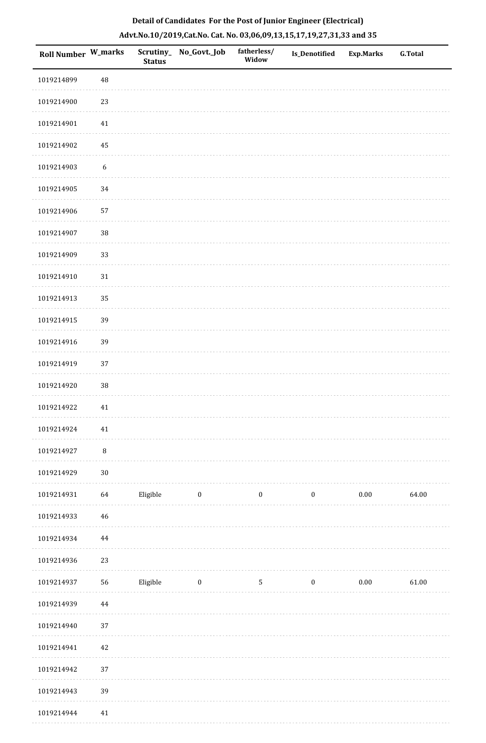|  |  | Detail of Candidates For the Post of Junior Engineer (Electrical)     |  |
|--|--|-----------------------------------------------------------------------|--|
|  |  | Advt.No.10/2019,Cat.No. Cat. No. 03,06,09,13,15,17,19,27,31,33 and 35 |  |

| Roll Number W_marks |                  | <b>Status</b> | Scrutiny_ No_Govt._Job  | fatherless/<br>Widow | <b>Is_Denotified</b> | <b>Exp.Marks</b> | <b>G.Total</b> |
|---------------------|------------------|---------------|-------------------------|----------------------|----------------------|------------------|----------------|
| 1019214899          | $\rm 48$         |               |                         |                      |                      |                  |                |
| 1019214900          | 23               |               |                         |                      |                      |                  |                |
| 1019214901          | $41\,$           |               |                         |                      |                      |                  |                |
| 1019214902          | 45               |               |                         |                      |                      |                  |                |
| 1019214903          | $\boldsymbol{6}$ |               |                         |                      |                      |                  |                |
| 1019214905          | 34               |               |                         |                      |                      |                  |                |
| 1019214906          | 57               |               |                         |                      |                      |                  |                |
| 1019214907          | 38               |               |                         |                      |                      |                  |                |
| 1019214909          | 33               |               |                         |                      |                      |                  |                |
| 1019214910          | 31               |               |                         |                      |                      |                  |                |
| 1019214913          | 35               |               |                         |                      |                      |                  |                |
| 1019214915          | 39               |               |                         |                      |                      |                  |                |
| 1019214916          | 39               |               |                         |                      |                      |                  |                |
| 1019214919          | 37               |               |                         |                      |                      |                  |                |
| 1019214920          | 38               |               |                         |                      |                      |                  |                |
| 1019214922          | 41               |               |                         |                      |                      |                  |                |
| 1019214924          | $41\,$           |               |                         |                      |                      |                  |                |
| 1019214927          | $\, 8$           |               |                         |                      |                      |                  |                |
| 1019214929          | $30\,$           |               |                         |                      |                      |                  |                |
| 1019214931          | 64               | Eligible      | $\boldsymbol{0}$        | $\boldsymbol{0}$     | $\boldsymbol{0}$     | $0.00\,$         | 64.00          |
| 1019214933          | $\sqrt{46}$      |               |                         |                      |                      |                  |                |
| 1019214934          | 44               |               |                         |                      |                      |                  |                |
| 1019214936          | 23               |               |                         |                      |                      |                  |                |
| 1019214937          | 56               | Eligible      | $\overline{\mathbf{0}}$ | $5\phantom{.0}$      | $\bf{0}$             | 0.00             | 61.00          |
| 1019214939          | $\bf 44$         |               |                         |                      |                      |                  |                |
| 1019214940          | 37               |               |                         |                      |                      |                  |                |
| 1019214941          | $42\,$           |               |                         |                      |                      |                  |                |
| 1019214942          | 37               |               |                         |                      |                      |                  |                |
| 1019214943          | 39               |               |                         |                      |                      |                  |                |
| 1019214944          | 41               |               |                         |                      |                      |                  |                |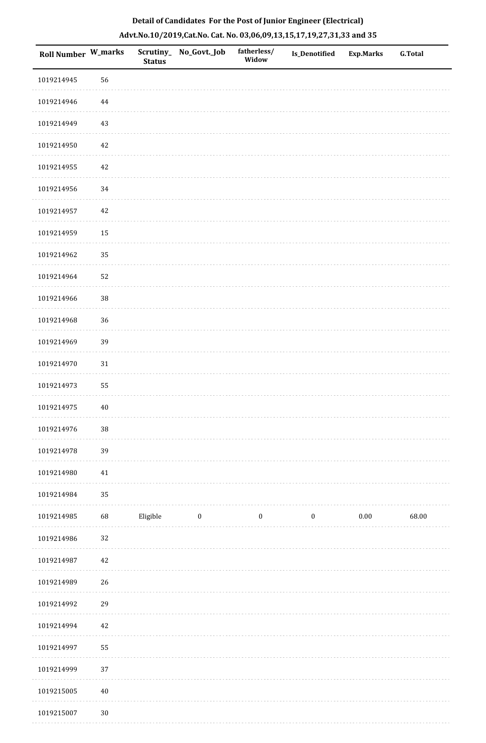| Roll Number W_marks |          | <b>Status</b> | Scrutiny_ No_Govt._Job | fatherless/<br>Widow | Is_Denotified    | <b>Exp.Marks</b> | <b>G.Total</b> |
|---------------------|----------|---------------|------------------------|----------------------|------------------|------------------|----------------|
| 1019214945          | 56       |               |                        |                      |                  |                  |                |
| 1019214946          | $\bf 44$ |               |                        |                      |                  |                  |                |
| 1019214949          | 43       |               |                        |                      |                  |                  |                |
| 1019214950          | $42\,$   |               |                        |                      |                  |                  |                |
| 1019214955          | 42       |               |                        |                      |                  |                  |                |
| 1019214956          | 34       |               |                        |                      |                  |                  |                |
| 1019214957          | $42\,$   |               |                        |                      |                  |                  |                |
| 1019214959          | 15       |               |                        |                      |                  |                  |                |
| 1019214962          | 35       |               |                        |                      |                  |                  |                |
| 1019214964          | 52       |               |                        |                      |                  |                  |                |
| 1019214966          | 38       |               |                        |                      |                  |                  |                |
| 1019214968          | 36       |               |                        |                      |                  |                  |                |
| 1019214969          | 39       |               |                        |                      |                  |                  |                |
| 1019214970          | $31\,$   |               |                        |                      |                  |                  |                |
| 1019214973          | 55       |               |                        |                      |                  |                  |                |
| 1019214975          | $40\,$   |               |                        |                      |                  |                  |                |
| 1019214976          | $38\,$   |               |                        |                      |                  |                  |                |
| 1019214978          | 39       |               |                        |                      |                  |                  |                |
| 1019214980          | 41       |               |                        |                      |                  |                  |                |
| 1019214984          | 35       |               |                        |                      |                  |                  |                |
| 1019214985          | 68       | Eligible      | $\bf{0}$               | $\boldsymbol{0}$     | $\boldsymbol{0}$ | $0.00\,$         | 68.00          |
| 1019214986          | $32\,$   |               |                        |                      |                  |                  |                |
| 1019214987          | 42       |               |                        |                      |                  |                  |                |
| 1019214989          | 26       |               |                        |                      |                  |                  |                |
| 1019214992          | 29       |               |                        |                      |                  |                  |                |
| 1019214994          | 42       |               |                        |                      |                  |                  |                |
| 1019214997          | 55       |               |                        |                      |                  |                  |                |
| 1019214999          | 37       |               |                        |                      |                  |                  |                |
| 1019215005          | $40\,$   |               |                        |                      |                  |                  |                |
| 1019215007          | $30\,$   |               |                        |                      |                  |                  |                |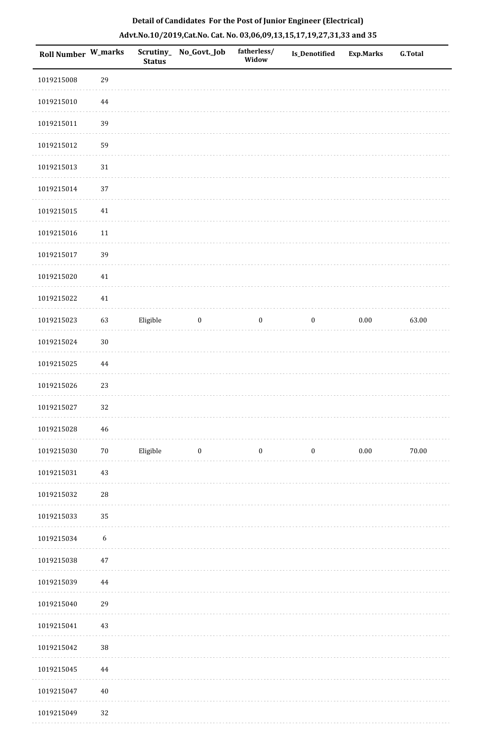| Roll Number W_marks |                  | <b>Status</b> | Scrutiny_No_Govt._Job | fatherless/<br>Widow | Is_Denotified    | <b>Exp.Marks</b> | <b>G.Total</b> |
|---------------------|------------------|---------------|-----------------------|----------------------|------------------|------------------|----------------|
| 1019215008          | 29               |               |                       |                      |                  |                  |                |
| 1019215010          | 44               |               |                       |                      |                  |                  |                |
| 1019215011          | 39               |               |                       |                      |                  |                  |                |
| 1019215012          | 59               |               |                       |                      |                  |                  |                |
| 1019215013          | $31\,$           |               |                       |                      |                  |                  |                |
| 1019215014          | 37               |               |                       |                      |                  |                  |                |
| 1019215015          | $41\,$           |               |                       |                      |                  |                  |                |
| 1019215016          | 11               |               |                       |                      |                  |                  |                |
| 1019215017          | 39               |               |                       |                      |                  |                  |                |
| 1019215020          | 41               |               |                       |                      |                  |                  |                |
| 1019215022          | $41\,$           |               |                       |                      |                  |                  |                |
| 1019215023          | 63               | Eligible      | $\boldsymbol{0}$      | $\boldsymbol{0}$     | $\boldsymbol{0}$ | $0.00\,$         | 63.00          |
| 1019215024          | $30\,$           |               |                       |                      |                  |                  |                |
| 1019215025          | 44               |               |                       |                      |                  |                  |                |
| 1019215026          | 23               |               |                       |                      |                  |                  |                |
| 1019215027          | 32               |               |                       |                      |                  |                  |                |
| 1019215028          | 46               |               |                       |                      |                  |                  |                |
| 1019215030          | $70\,$           | Eligible      | $\boldsymbol{0}$      | $\boldsymbol{0}$     | $\boldsymbol{0}$ | 0.00             | 70.00          |
| 1019215031          | 43               |               |                       |                      |                  |                  |                |
| 1019215032          | $\sqrt{28}$      |               |                       |                      |                  |                  |                |
| 1019215033          | 35               |               |                       |                      |                  |                  |                |
| 1019215034          | $\boldsymbol{6}$ |               |                       |                      |                  |                  |                |
| 1019215038          | 47               |               |                       |                      |                  |                  |                |
| 1019215039          | 44               |               |                       |                      |                  |                  |                |
| 1019215040          | 29               |               |                       |                      |                  |                  |                |
| 1019215041          | 43               |               |                       |                      |                  |                  |                |
| 1019215042          | $38\,$           |               |                       |                      |                  |                  |                |
| 1019215045          | 44               |               |                       |                      |                  |                  |                |
| 1019215047          | $40\,$           |               |                       |                      |                  |                  |                |
| 1019215049          | 32               |               |                       |                      |                  |                  |                |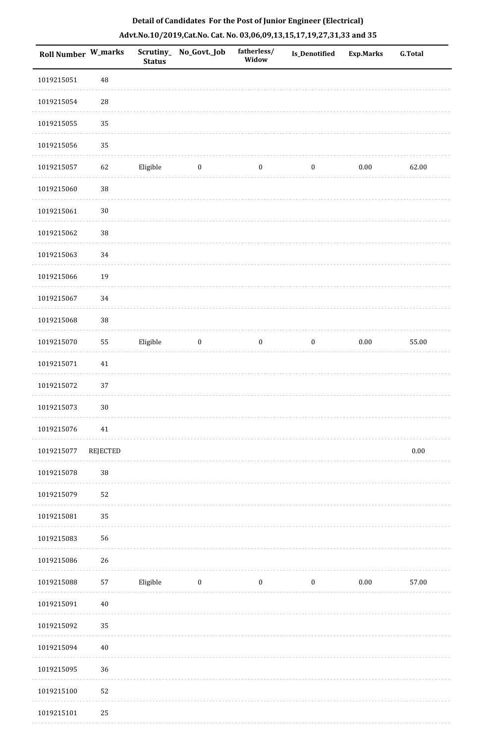| <b>Roll Number W_marks</b> |                 | <b>Status</b> | Scrutiny_No_Govt._Job | fatherless/<br>Widow | Is_Denotified    | <b>Exp.Marks</b> | <b>G.Total</b> |
|----------------------------|-----------------|---------------|-----------------------|----------------------|------------------|------------------|----------------|
| 1019215051                 | 48              |               |                       |                      |                  |                  |                |
| 1019215054                 | ${\bf 28}$      |               |                       |                      |                  |                  |                |
| 1019215055                 | 35              |               |                       |                      |                  |                  |                |
| 1019215056                 | 35              |               |                       |                      |                  |                  |                |
| 1019215057                 | 62              | Eligible      | $\bf{0}$              | $\bf{0}$             | $\boldsymbol{0}$ | 0.00             | 62.00          |
| 1019215060                 | 38              |               |                       |                      |                  |                  |                |
| 1019215061                 | $30\,$          |               |                       |                      |                  |                  |                |
| 1019215062                 | 38              |               |                       |                      |                  |                  |                |
| 1019215063                 | 34              |               |                       |                      |                  |                  |                |
| 1019215066                 | 19              |               |                       |                      |                  |                  |                |
| 1019215067                 | 34              |               |                       |                      |                  |                  |                |
| 1019215068                 | 38              |               |                       |                      |                  |                  |                |
| 1019215070                 | 55              | Eligible      | $\boldsymbol{0}$      | $\boldsymbol{0}$     | $\boldsymbol{0}$ | $0.00\,$         | 55.00          |
| 1019215071                 | 41              |               |                       |                      |                  |                  |                |
| 1019215072                 | 37              |               |                       |                      |                  |                  |                |
| 1019215073                 | $30\,$          |               |                       |                      |                  |                  |                |
| 1019215076                 | 41              |               |                       |                      |                  |                  |                |
| 1019215077                 | <b>REJECTED</b> |               |                       |                      |                  |                  | $0.00\,$       |
| 1019215078                 | $38\,$          |               |                       |                      |                  |                  |                |
| 1019215079                 | 52              |               |                       |                      |                  |                  |                |
| 1019215081                 | 35              |               |                       |                      |                  |                  |                |
| 1019215083                 | 56              |               |                       |                      |                  |                  |                |
| 1019215086                 | 26              |               |                       |                      |                  |                  |                |
| 1019215088                 | 57              | Eligible      | $\bf{0}$              | $\boldsymbol{0}$     | $\boldsymbol{0}$ | $0.00\,$         | 57.00          |
| 1019215091                 | $40\,$          |               |                       |                      |                  |                  |                |
| 1019215092                 | 35              |               |                       |                      |                  |                  |                |
| 1019215094                 | $40\,$          |               |                       |                      |                  |                  |                |
| 1019215095                 | 36              |               |                       |                      |                  |                  |                |
| 1019215100                 | 52              |               |                       |                      |                  |                  |                |
| 1019215101                 | 25              |               |                       |                      |                  |                  |                |

 1019215101 25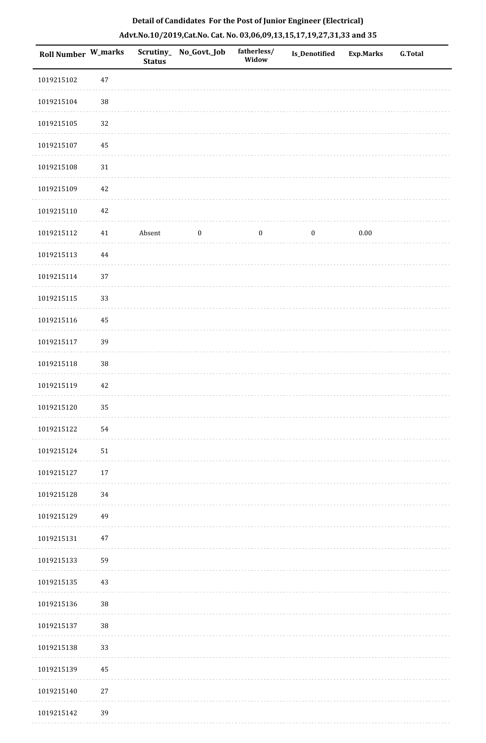| Roll Number W_marks |        | <b>Status</b> | Scrutiny_ No_Govt._Job | fatherless/<br>Widow | Is_Denotified    | <b>Exp.Marks</b> | G.Total |
|---------------------|--------|---------------|------------------------|----------------------|------------------|------------------|---------|
| 1019215102          | 47     |               |                        |                      |                  |                  |         |
| 1019215104          | $38\,$ |               |                        |                      |                  |                  |         |
| 1019215105          | 32     |               |                        |                      |                  |                  |         |
| 1019215107          | 45     |               |                        |                      |                  |                  |         |
| 1019215108          | $31\,$ |               |                        |                      |                  |                  |         |
| 1019215109          | 42     |               |                        |                      |                  |                  |         |
| 1019215110          | 42     |               |                        |                      |                  |                  |         |
| 1019215112          | $41\,$ | Absent        | $\boldsymbol{0}$       | $\boldsymbol{0}$     | $\boldsymbol{0}$ | $0.00\,$         |         |
| 1019215113          | 44     |               |                        |                      |                  |                  |         |
| 1019215114          | 37     |               |                        |                      |                  |                  |         |
| 1019215115          | 33     |               |                        |                      |                  |                  |         |
| 1019215116          | 45     |               |                        |                      |                  |                  |         |
| 1019215117          | 39     |               |                        |                      |                  |                  |         |
| 1019215118          | $38\,$ |               |                        |                      |                  |                  |         |
| 1019215119          | 42     |               |                        |                      |                  |                  |         |
| 1019215120          | 35     |               |                        |                      |                  |                  |         |
| 1019215122          | 54     |               |                        |                      |                  |                  |         |
| 1019215124          | 51     |               |                        |                      |                  |                  |         |
| 1019215127          | 17     |               |                        |                      |                  |                  |         |
| 1019215128          | 34     |               |                        |                      |                  |                  |         |
| 1019215129          | 49     |               |                        |                      |                  |                  |         |
| 1019215131          | 47     |               |                        |                      |                  |                  |         |
| 1019215133          | 59     |               |                        |                      |                  |                  |         |
| 1019215135          | 43     |               |                        |                      |                  |                  |         |
| 1019215136          | 38     |               |                        |                      |                  |                  |         |
| 1019215137          | $38\,$ |               |                        |                      |                  |                  |         |
| 1019215138          | 33     |               |                        |                      |                  |                  |         |
| 1019215139          | 45     |               |                        |                      |                  |                  |         |
| 1019215140          | $27\,$ |               |                        |                      |                  |                  |         |
| 1019215142          | 39     |               |                        |                      |                  |                  |         |

. . . . . . . . . . .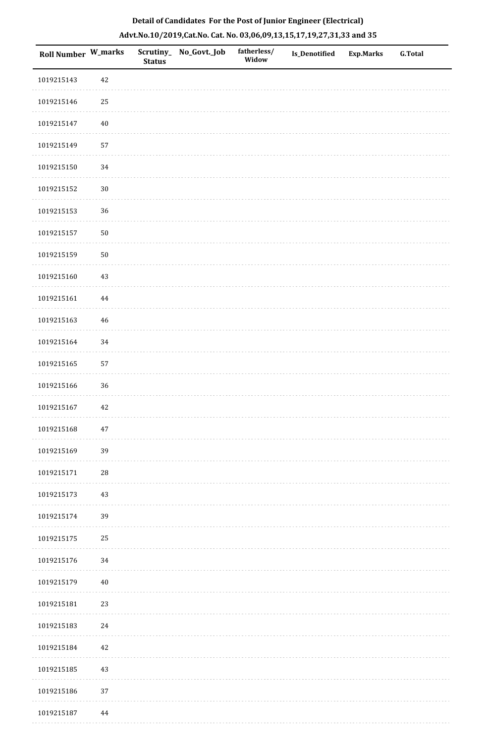| Roll Number W_marks |        | <b>Status</b> | Scrutiny_ No_Govt._Job | fatherless/<br>Widow | Is_Denotified | <b>Exp.Marks</b> | <b>G.Total</b> |
|---------------------|--------|---------------|------------------------|----------------------|---------------|------------------|----------------|
| 1019215143          | 42     |               |                        |                      |               |                  |                |
| 1019215146          | $25\,$ |               |                        |                      |               |                  |                |
| 1019215147          | $40\,$ |               |                        |                      |               |                  |                |
| 1019215149          | 57     |               |                        |                      |               |                  |                |
| 1019215150          | 34     |               |                        |                      |               |                  |                |
| 1019215152          | $30\,$ |               |                        |                      |               |                  |                |
| 1019215153          | 36     |               |                        |                      |               |                  |                |
| 1019215157          | $50\,$ |               |                        |                      |               |                  |                |
| 1019215159          | $50\,$ |               |                        |                      |               |                  |                |
| 1019215160          | 43     |               |                        |                      |               |                  |                |
| 1019215161          | 44     |               |                        |                      |               |                  |                |
| 1019215163          | 46     |               |                        |                      |               |                  |                |
| 1019215164          | 34     |               |                        |                      |               |                  |                |
| 1019215165          | 57     |               |                        |                      |               |                  |                |
| 1019215166          | 36     |               |                        |                      |               |                  |                |
| 1019215167          | 42     |               |                        |                      |               |                  |                |
| 1019215168          | 47     |               |                        |                      |               |                  |                |
| 1019215169          | 39     |               |                        |                      |               |                  |                |
| 1019215171          | 28     |               |                        |                      |               |                  |                |
| 1019215173          | 43     |               |                        |                      |               |                  |                |
| 1019215174          | 39     |               |                        |                      |               |                  |                |
| 1019215175          | 25     |               |                        |                      |               |                  |                |
| 1019215176          | 34     |               |                        |                      |               |                  |                |
| 1019215179          | $40\,$ |               |                        |                      |               |                  |                |
| 1019215181          | 23     |               |                        |                      |               |                  |                |
| 1019215183          | 24     |               |                        |                      |               |                  |                |
| 1019215184          | 42     |               |                        |                      |               |                  |                |
| 1019215185          | 43     |               |                        |                      |               |                  |                |
| 1019215186          | 37     |               |                        |                      |               |                  |                |
| 1019215187          | 44     |               |                        |                      |               |                  |                |

. . . . . . . . . .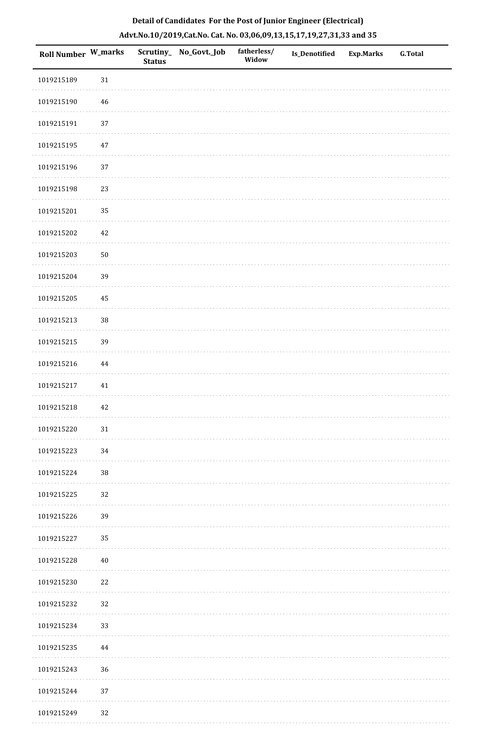| Roll Number W_marks |          | <b>Status</b> | Scrutiny_ No_Govt._Job | fatherless/<br>Widow | Is_Denotified | <b>Exp.Marks</b> | G.Total |
|---------------------|----------|---------------|------------------------|----------------------|---------------|------------------|---------|
| 1019215189          | $31\,$   |               |                        |                      |               |                  |         |
| 1019215190          | 46       |               |                        |                      |               |                  |         |
| 1019215191          | 37       |               |                        |                      |               |                  |         |
| 1019215195          | $47\,$   |               |                        |                      |               |                  |         |
| 1019215196          | 37       |               |                        |                      |               |                  |         |
| 1019215198          | 23       |               |                        |                      |               |                  |         |
| 1019215201          | 35       |               |                        |                      |               |                  |         |
| 1019215202          | $42\,$   |               |                        |                      |               |                  |         |
| 1019215203          | $50\,$   |               |                        |                      |               |                  |         |
| 1019215204          | 39       |               |                        |                      |               |                  |         |
| 1019215205          | 45       |               |                        |                      |               |                  |         |
| 1019215213          | 38       |               |                        |                      |               |                  |         |
| 1019215215          | 39       |               |                        |                      |               |                  |         |
| 1019215216          | $\bf 44$ |               |                        |                      |               |                  |         |
| 1019215217          | $41\,$   |               |                        |                      |               |                  |         |
| 1019215218          | 42       |               |                        |                      |               |                  |         |
| 1019215220          | 31       |               |                        |                      |               |                  |         |
| 1019215223          | 34       |               |                        |                      |               |                  |         |
| 1019215224          | $38\,$   |               |                        |                      |               |                  |         |
| 1019215225          | 32       |               |                        |                      |               |                  |         |
| 1019215226          | 39       |               |                        |                      |               |                  |         |
| 1019215227          | 35       |               |                        |                      |               |                  |         |
| 1019215228          | $40\,$   |               |                        |                      |               |                  |         |
| 1019215230          | 22       |               |                        |                      |               |                  |         |
| 1019215232          | 32       |               |                        |                      |               |                  |         |
| 1019215234          | 33       |               |                        |                      |               |                  |         |
| 1019215235          | 44       |               |                        |                      |               |                  |         |
| 1019215243          | 36       |               |                        |                      |               |                  |         |
| 1019215244          | 37       |               |                        |                      |               |                  |         |
| 1019215249          | 32       |               |                        |                      |               |                  |         |

. . . . . . .

. . . . . . . . . . .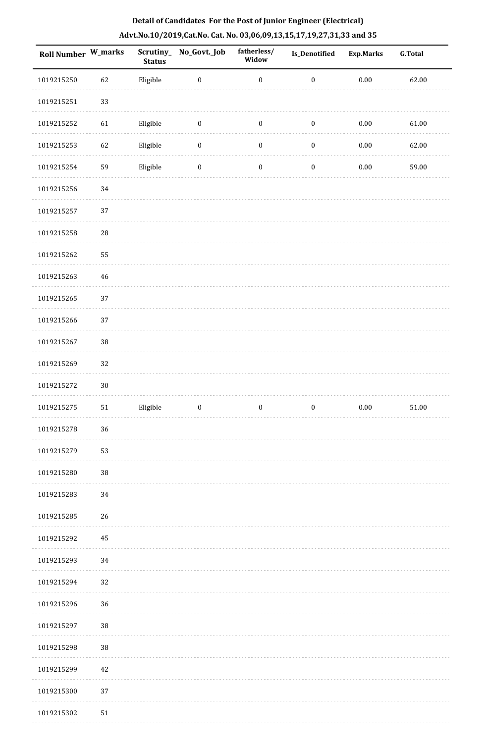| Roll Number W_marks |            | <b>Status</b> | Scrutiny_No_Govt._Job | fatherless/<br>Widow | <b>Is_Denotified</b> | <b>Exp.Marks</b> | <b>G.Total</b> |
|---------------------|------------|---------------|-----------------------|----------------------|----------------------|------------------|----------------|
| 1019215250          | 62         | Eligible      | $\boldsymbol{0}$      | $\boldsymbol{0}$     | $\boldsymbol{0}$     | $0.00\,$         | 62.00          |
| 1019215251          | 33         |               |                       |                      |                      |                  |                |
| 1019215252          | 61         | Eligible      | $\boldsymbol{0}$      | $\boldsymbol{0}$     | $\boldsymbol{0}$     | $0.00\,$         | 61.00          |
| 1019215253          | 62         | Eligible      | $\boldsymbol{0}$      | $\boldsymbol{0}$     | $\boldsymbol{0}$     | $0.00\,$         | 62.00          |
| 1019215254          | 59         | Eligible      | $\boldsymbol{0}$      | $\boldsymbol{0}$     | $\boldsymbol{0}$     | $0.00\,$         | 59.00          |
| 1019215256          | $34\,$     |               |                       |                      |                      |                  |                |
| 1019215257          | 37         |               |                       |                      |                      |                  |                |
| 1019215258          | $28\,$     |               |                       |                      |                      |                  |                |
| 1019215262          | 55         |               |                       |                      |                      |                  |                |
| 1019215263          | 46         |               |                       |                      |                      |                  |                |
| 1019215265          | 37         |               |                       |                      |                      |                  |                |
| 1019215266          | 37         |               |                       |                      |                      |                  |                |
| 1019215267          | $38\,$     |               |                       |                      |                      |                  |                |
| 1019215269          | 32         |               |                       |                      |                      |                  |                |
| 1019215272          | $30\,$     |               |                       |                      |                      |                  |                |
| 1019215275          | 51         | Eligible      | $\boldsymbol{0}$      | $\boldsymbol{0}$     | $\boldsymbol{0}$     | $0.00\,$         | 51.00          |
| 1019215278          | 36         |               |                       |                      |                      |                  |                |
| 1019215279          | 53         |               |                       |                      |                      |                  |                |
| 1019215280          | $38\,$     |               |                       |                      |                      |                  |                |
| 1019215283          | 34         |               |                       |                      |                      |                  |                |
| 1019215285          | 26         |               |                       |                      |                      |                  |                |
| 1019215292          | 45         |               |                       |                      |                      |                  |                |
| 1019215293          | 34         |               |                       |                      |                      |                  |                |
| 1019215294          | 32         |               |                       |                      |                      |                  |                |
| 1019215296          | 36         |               |                       |                      |                      |                  |                |
| 1019215297          | $38\,$     |               |                       |                      |                      |                  |                |
| 1019215298          | 38         |               |                       |                      |                      |                  |                |
| 1019215299          | 42         |               |                       |                      |                      |                  |                |
| 1019215300          | 37         |               |                       |                      |                      |                  |                |
| 1019215302          | ${\bf 51}$ |               |                       |                      |                      |                  |                |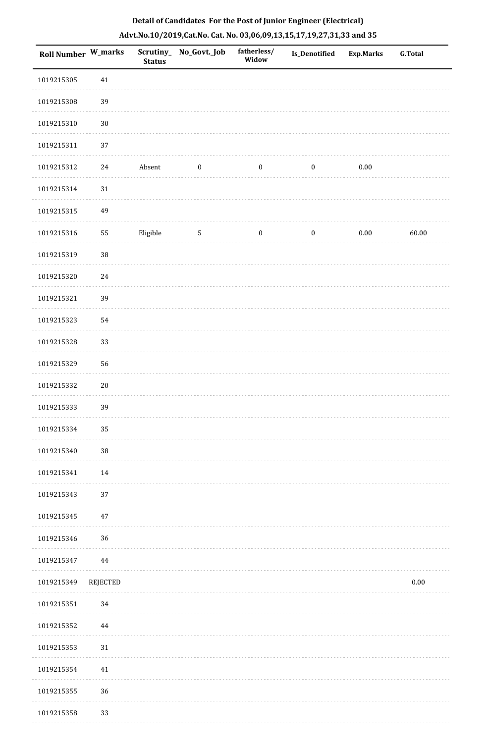| <b>Roll Number W_marks</b> |          | <b>Status</b> | Scrutiny_ No_Govt._Job | fatherless/<br>Widow | <b>Is_Denotified</b> | <b>Exp.Marks</b> | <b>G.Total</b> |
|----------------------------|----------|---------------|------------------------|----------------------|----------------------|------------------|----------------|
| 1019215305                 | $41\,$   |               |                        |                      |                      |                  |                |
| 1019215308                 | 39       |               |                        |                      |                      |                  |                |
| 1019215310                 | $30\,$   |               |                        |                      |                      |                  |                |
| 1019215311                 | 37       |               |                        |                      |                      |                  |                |
| 1019215312                 | 24       | Absent        | $\boldsymbol{0}$       | $\bf{0}$             | $\boldsymbol{0}$     | 0.00             |                |
| 1019215314                 | $31\,$   |               |                        |                      |                      |                  |                |
| 1019215315                 | 49       |               |                        |                      |                      |                  |                |
| 1019215316                 | 55       | Eligible      | $\overline{5}$         | $\boldsymbol{0}$     | $\boldsymbol{0}$     | $0.00\,$         | 60.00          |
| 1019215319                 | $38\,$   |               |                        |                      |                      |                  |                |
| 1019215320                 | 24       |               |                        |                      |                      |                  |                |
| 1019215321                 | 39       |               |                        |                      |                      |                  |                |
| 1019215323                 | 54       |               |                        |                      |                      |                  |                |
| 1019215328                 | 33       |               |                        |                      |                      |                  |                |
| 1019215329                 | 56       |               |                        |                      |                      |                  |                |
| 1019215332                 | $20\,$   |               |                        |                      |                      |                  |                |
| 1019215333                 | 39       |               |                        |                      |                      |                  |                |
| 1019215334                 | 35       |               |                        |                      |                      |                  |                |
| 1019215340                 | 38       |               |                        |                      |                      |                  |                |
| 1019215341                 | 14       |               |                        |                      |                      |                  |                |
| 1019215343                 | 37       |               |                        |                      |                      |                  |                |
| 1019215345                 | $47\,$   |               |                        |                      |                      |                  |                |
| 1019215346                 | 36       |               |                        |                      |                      |                  |                |
| 1019215347                 | 44       |               |                        |                      |                      |                  |                |
| 1019215349                 | REJECTED |               |                        |                      |                      |                  | $0.00\,$       |
| 1019215351                 | 34       |               |                        |                      |                      |                  |                |
| 1019215352                 | 44       |               |                        |                      |                      |                  |                |
| 1019215353                 | $31\,$   |               |                        |                      |                      |                  |                |
| 1019215354                 | $41\,$   |               |                        |                      |                      |                  |                |
| 1019215355                 | 36       |               |                        |                      |                      |                  |                |
| 1019215358                 | 33       |               |                        |                      |                      |                  |                |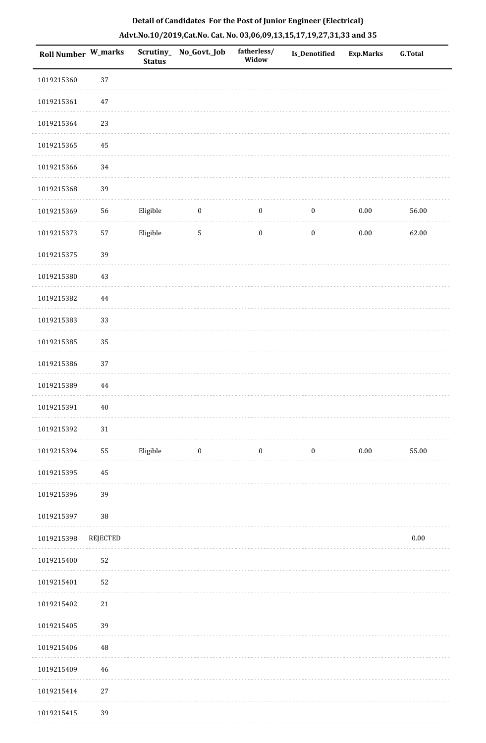| Roll Number W_marks |                 | <b>Status</b> | Scrutiny_No_Govt._Job | fatherless/<br>Widow | Is_Denotified    | <b>Exp.Marks</b> | <b>G.Total</b> |
|---------------------|-----------------|---------------|-----------------------|----------------------|------------------|------------------|----------------|
| 1019215360          | 37              |               |                       |                      |                  |                  |                |
| 1019215361          | $47\,$          |               |                       |                      |                  |                  |                |
| 1019215364          | 23              |               |                       |                      |                  |                  |                |
| 1019215365          | 45              |               |                       |                      |                  |                  |                |
| 1019215366          | 34              |               |                       |                      |                  |                  |                |
| 1019215368          | 39              |               |                       |                      |                  |                  |                |
| 1019215369          | 56              | Eligible      | $\boldsymbol{0}$      | $\boldsymbol{0}$     | $\boldsymbol{0}$ | $0.00\,$         | 56.00          |
| 1019215373          | 57              | Eligible      | $\sqrt{5}$            | $\boldsymbol{0}$     | $\boldsymbol{0}$ | $0.00\,$         | 62.00          |
| 1019215375          | 39              |               |                       |                      |                  |                  |                |
| 1019215380          | 43              |               |                       |                      |                  |                  |                |
| 1019215382          | 44              |               |                       |                      |                  |                  |                |
| 1019215383          | 33              |               |                       |                      |                  |                  |                |
| 1019215385          | 35              |               |                       |                      |                  |                  |                |
| 1019215386          | 37              |               |                       |                      |                  |                  |                |
| 1019215389          | $\bf 44$        |               |                       |                      |                  |                  |                |
| 1019215391          | 40              |               |                       |                      |                  |                  |                |
| 1019215392          | $31\,$          |               |                       |                      |                  |                  |                |
| 1019215394          | 55              | Eligible      | $\bf{0}$              | $\boldsymbol{0}$     | $\boldsymbol{0}$ | $0.00\,$         | 55.00          |
| 1019215395          | 45              |               |                       |                      |                  |                  |                |
| 1019215396          | 39              |               |                       |                      |                  |                  |                |
| 1019215397          | 38              |               |                       |                      |                  |                  |                |
| 1019215398          | <b>REJECTED</b> |               |                       |                      |                  |                  | $0.00\,$       |
| 1019215400          | 52              |               |                       |                      |                  |                  |                |
| 1019215401          | 52              |               |                       |                      |                  |                  |                |
| 1019215402          | $21\,$          |               |                       |                      |                  |                  |                |
| 1019215405          | 39              |               |                       |                      |                  |                  |                |
| 1019215406          | 48              |               |                       |                      |                  |                  |                |
| 1019215409          | 46              |               |                       |                      |                  |                  |                |
| 1019215414          | $27\,$          |               |                       |                      |                  |                  |                |
| 1019215415          | 39              |               |                       |                      |                  |                  |                |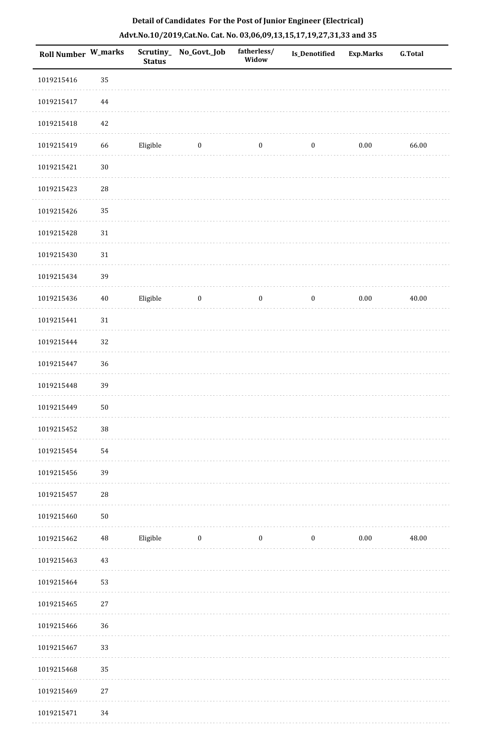| Roll Number W_marks |             | <b>Status</b> | Scrutiny_No_Govt._Job | fatherless/<br>Widow | Is_Denotified    | <b>Exp.Marks</b> | <b>G.Total</b> |
|---------------------|-------------|---------------|-----------------------|----------------------|------------------|------------------|----------------|
| 1019215416          | 35          |               |                       |                      |                  |                  |                |
| 1019215417          | 44          |               |                       |                      |                  |                  |                |
| 1019215418          | 42          |               |                       |                      |                  |                  |                |
| 1019215419          | 66          | Eligible      | $\boldsymbol{0}$      | $\boldsymbol{0}$     | $\boldsymbol{0}$ | $0.00\,$         | 66.00          |
| 1019215421          | $30\,$      |               |                       |                      |                  |                  |                |
| 1019215423          | $\sqrt{28}$ |               |                       |                      |                  |                  |                |
| 1019215426          | 35          |               |                       |                      |                  |                  |                |
| 1019215428          | $31\,$      |               |                       |                      |                  |                  |                |
| 1019215430          | 31          |               |                       |                      |                  |                  |                |
| 1019215434          | 39          |               |                       |                      |                  |                  |                |
| 1019215436          | 40          | Eligible      | $\boldsymbol{0}$      | $\boldsymbol{0}$     | $\boldsymbol{0}$ | $0.00\,$         | 40.00          |
| 1019215441          | 31          |               |                       |                      |                  |                  |                |
| 1019215444          | 32          |               |                       |                      |                  |                  |                |
| 1019215447          | 36          |               |                       |                      |                  |                  |                |
| 1019215448          | 39          |               |                       |                      |                  |                  |                |
| 1019215449          | ${\bf 50}$  |               |                       |                      |                  |                  |                |
| 1019215452          | $38\,$      |               |                       |                      |                  |                  |                |
| 1019215454          | 54          |               |                       |                      |                  |                  |                |
| 1019215456          | 39          |               |                       |                      |                  |                  |                |
| 1019215457          | 28          |               |                       |                      |                  |                  |                |
| 1019215460          | $50\,$      |               |                       |                      |                  |                  |                |
| 1019215462          | $\rm 48$    | Eligible      | $\boldsymbol{0}$      | $\boldsymbol{0}$     | $\boldsymbol{0}$ | $0.00\,$         | 48.00          |
| 1019215463          | 43          |               |                       |                      |                  |                  |                |
| 1019215464          | 53          |               |                       |                      |                  |                  |                |
| 1019215465          | 27          |               |                       |                      |                  |                  |                |
| 1019215466          | 36          |               |                       |                      |                  |                  |                |
| 1019215467          | 33          |               |                       |                      |                  |                  |                |
| 1019215468          | 35          |               |                       |                      |                  |                  |                |
| 1019215469          | 27          |               |                       |                      |                  |                  |                |
| 1019215471          | 34          |               |                       |                      |                  |                  |                |

1019215471 34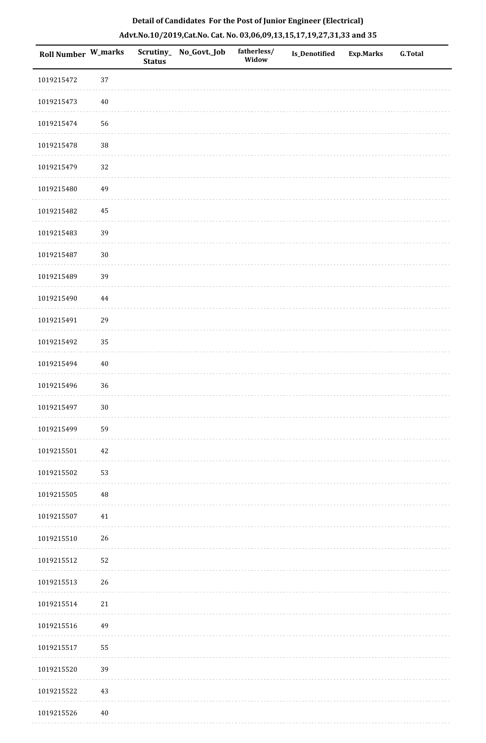| Roll Number W_marks |          | <b>Status</b> | Scrutiny_ No_Govt._Job | fatherless/<br>Widow | <b>Is_Denotified</b> | <b>Exp.Marks</b> | <b>G.Total</b> |
|---------------------|----------|---------------|------------------------|----------------------|----------------------|------------------|----------------|
| 1019215472          | 37       |               |                        |                      |                      |                  |                |
| 1019215473          | $40\,$   |               |                        |                      |                      |                  |                |
| 1019215474          | 56       |               |                        |                      |                      |                  |                |
| 1019215478          | 38       |               |                        |                      |                      |                  |                |
| 1019215479          | 32       |               |                        |                      |                      |                  |                |
| 1019215480          | 49       |               |                        |                      |                      |                  |                |
| 1019215482          | 45       |               |                        |                      |                      |                  |                |
| 1019215483          | 39       |               |                        |                      |                      |                  |                |
| 1019215487          | $30\,$   |               |                        |                      |                      |                  |                |
| 1019215489          | 39       |               |                        |                      |                      |                  |                |
| 1019215490          | 44       |               |                        |                      |                      |                  |                |
| 1019215491          | 29       |               |                        |                      |                      |                  |                |
| 1019215492          | 35       |               |                        |                      |                      |                  |                |
| 1019215494          | $40\,$   |               |                        |                      |                      |                  |                |
| 1019215496          | 36       |               |                        |                      |                      |                  |                |
| 1019215497          | $30\,$   |               |                        |                      |                      |                  |                |
| 1019215499          | 59       |               |                        |                      |                      |                  |                |
| 1019215501          | 42       |               |                        |                      |                      |                  |                |
| 1019215502          | 53       |               |                        |                      |                      |                  |                |
| 1019215505          | $\rm 48$ |               |                        |                      |                      |                  |                |
| 1019215507          | 41       |               |                        |                      |                      |                  |                |
| 1019215510          | 26       |               |                        |                      |                      |                  |                |
| 1019215512          | 52       |               |                        |                      |                      |                  |                |
| 1019215513          | 26       |               |                        |                      |                      |                  |                |
| 1019215514          | $21\,$   |               |                        |                      |                      |                  |                |
| 1019215516          | 49       |               |                        |                      |                      |                  |                |
| 1019215517          | 55       |               |                        |                      |                      |                  |                |
| 1019215520          | 39       |               |                        |                      |                      |                  |                |
| 1019215522          | 43       |               |                        |                      |                      |                  |                |
| 1019215526          | $40\,$   |               |                        |                      |                      |                  |                |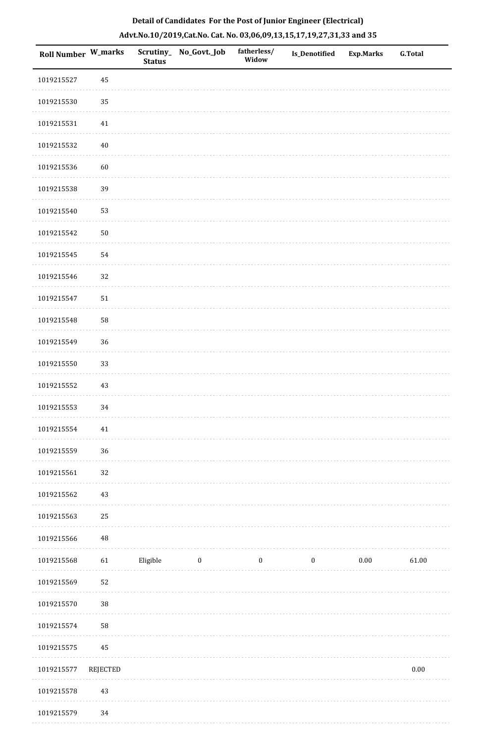| Roll Number W_marks |                 | <b>Status</b> | Scrutiny_ No_Govt._Job | fatherless/<br>Widow | Is_Denotified    | Exp.Marks | <b>G.Total</b> |
|---------------------|-----------------|---------------|------------------------|----------------------|------------------|-----------|----------------|
| 1019215527          | 45              |               |                        |                      |                  |           |                |
| 1019215530          | 35              |               |                        |                      |                  |           |                |
| 1019215531          | $41\,$          |               |                        |                      |                  |           |                |
| 1019215532          | $40\,$          |               |                        |                      |                  |           |                |
| 1019215536          | $60\,$          |               |                        |                      |                  |           |                |
| 1019215538          | 39              |               |                        |                      |                  |           |                |
| 1019215540          | 53              |               |                        |                      |                  |           |                |
| 1019215542          | $50\,$          |               |                        |                      |                  |           |                |
| 1019215545          | 54              |               |                        |                      |                  |           |                |
| 1019215546          | 32              |               |                        |                      |                  |           |                |
| 1019215547          | $51\,$          |               |                        |                      |                  |           |                |
| 1019215548          | 58              |               |                        |                      |                  |           |                |
| 1019215549          | 36              |               |                        |                      |                  |           |                |
| 1019215550          | 33              |               |                        |                      |                  |           |                |
| 1019215552          | $43\,$          |               |                        |                      |                  |           |                |
| 1019215553          | 34              |               |                        |                      |                  |           |                |
| 1019215554          | $41\,$          |               |                        |                      |                  |           |                |
| 1019215559          | 36              |               |                        |                      |                  |           |                |
| 1019215561          | 32              |               |                        |                      |                  |           |                |
| 1019215562          | $43\,$          |               |                        |                      |                  |           |                |
| 1019215563          | 25              |               |                        |                      |                  |           |                |
| 1019215566          | 48              |               |                        |                      |                  |           |                |
| 1019215568          | 61              | Eligible      | $\bf{0}$               | $\boldsymbol{0}$     | $\boldsymbol{0}$ | $0.00\,$  | 61.00          |
| 1019215569          | 52              |               |                        |                      |                  |           |                |
| 1019215570          | 38              |               |                        |                      |                  |           |                |
| 1019215574          | 58              |               |                        |                      |                  |           |                |
| 1019215575          | 45              |               |                        |                      |                  |           |                |
| 1019215577          | <b>REJECTED</b> |               |                        |                      |                  |           | $0.00\,$       |
| 1019215578          | $43\,$          |               |                        |                      |                  |           |                |
|                     |                 |               |                        |                      |                  |           |                |

## **Detail of Candidates For the Post of Junior Engineer (Electrical) Advt.No.10/2019,Cat.No. Cat. No. 03,06,09,13,15,17,19,27,31,33 and 35**

 1019215579 34. . . . . . . . . . .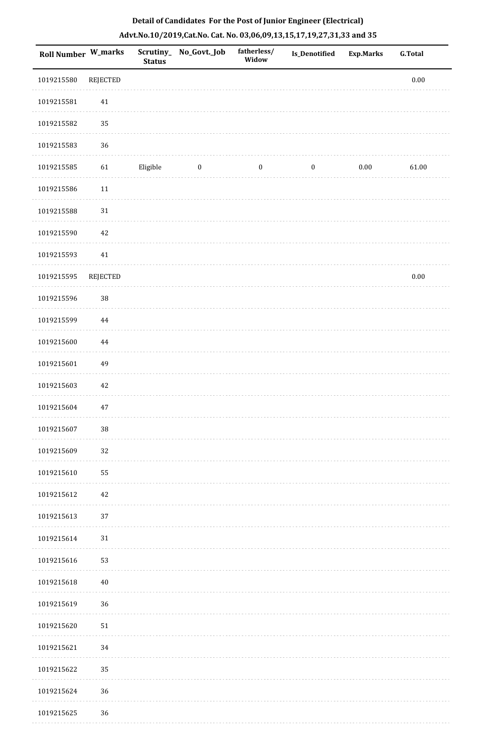| <b>Roll Number W_marks</b> |                 | <b>Status</b> | Scrutiny_ No_Govt._Job | fatherless/<br>Widow | Is_Denotified    | <b>Exp.Marks</b> | <b>G.Total</b> |
|----------------------------|-----------------|---------------|------------------------|----------------------|------------------|------------------|----------------|
| 1019215580                 | <b>REJECTED</b> |               |                        |                      |                  |                  | $0.00\,$       |
| 1019215581                 | $41\,$          |               |                        |                      |                  |                  |                |
| 1019215582                 | 35              |               |                        |                      |                  |                  |                |
| 1019215583                 | 36              |               |                        |                      |                  |                  |                |
| 1019215585                 | 61              | Eligible      | $\bf{0}$               | $\boldsymbol{0}$     | $\boldsymbol{0}$ | $0.00\,$         | 61.00          |
| 1019215586                 | 11              |               |                        |                      |                  |                  |                |
| 1019215588                 | $31\,$          |               |                        |                      |                  |                  |                |
| 1019215590                 | 42              |               |                        |                      |                  |                  |                |
| 1019215593                 | 41              |               |                        |                      |                  |                  |                |
| 1019215595                 | <b>REJECTED</b> |               |                        |                      |                  |                  | $0.00\,$       |
| 1019215596                 | 38              |               |                        |                      |                  |                  |                |
| 1019215599                 | 44              |               |                        |                      |                  |                  |                |
| 1019215600                 | $\bf 44$        |               |                        |                      |                  |                  |                |
| 1019215601                 | 49              |               |                        |                      |                  |                  |                |
| 1019215603                 | 42              |               |                        |                      |                  |                  |                |
| 1019215604                 | $47\,$          |               |                        |                      |                  |                  |                |
| 1019215607                 | $38\,$          |               |                        |                      |                  |                  |                |
| 1019215609                 | 32              |               |                        |                      |                  |                  |                |
| 1019215610                 | 55              |               |                        |                      |                  |                  |                |
| 1019215612                 | 42              |               |                        |                      |                  |                  |                |
| 1019215613                 | 37              |               |                        |                      |                  |                  |                |
| 1019215614                 | 31              |               |                        |                      |                  |                  |                |
| 1019215616                 | 53              |               |                        |                      |                  |                  |                |
| 1019215618                 | $40\,$          |               |                        |                      |                  |                  |                |
| 1019215619                 | 36              |               |                        |                      |                  |                  |                |
| 1019215620                 | 51              |               |                        |                      |                  |                  |                |
| 1019215621                 | 34              |               |                        |                      |                  |                  |                |
| 1019215622                 | 35              |               |                        |                      |                  |                  |                |
| 1019215624                 | 36              |               |                        |                      |                  |                  |                |
| 1019215625                 | 36              |               |                        |                      |                  |                  |                |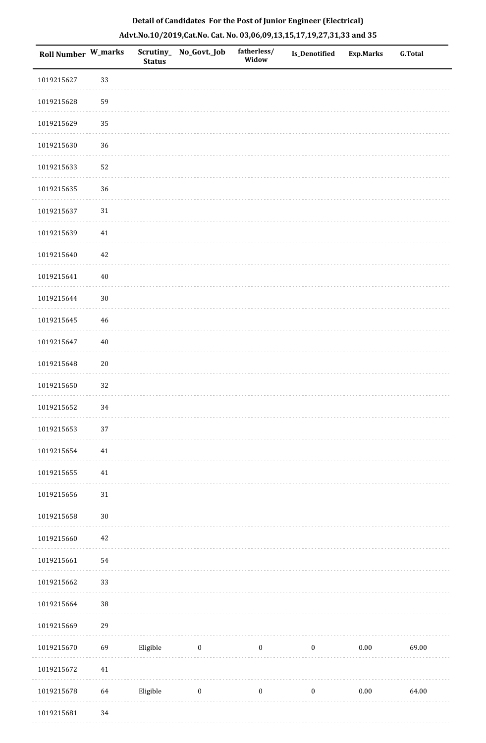| Roll Number W_marks |        | Scrutiny_<br><b>Status</b> | No_Govt._Job     | fatherless/<br>Widow | <b>Is_Denotified</b> | <b>Exp.Marks</b> | <b>G.Total</b> |
|---------------------|--------|----------------------------|------------------|----------------------|----------------------|------------------|----------------|
| 1019215627          | 33     |                            |                  |                      |                      |                  |                |
| 1019215628          | 59     |                            |                  |                      |                      |                  |                |
| 1019215629          | 35     |                            |                  |                      |                      |                  |                |
| 1019215630          | 36     |                            |                  |                      |                      |                  |                |
| 1019215633          | 52     |                            |                  |                      |                      |                  |                |
| 1019215635          | 36     |                            |                  |                      |                      |                  |                |
| 1019215637          | 31     |                            |                  |                      |                      |                  |                |
| 1019215639          | 41     |                            |                  |                      |                      |                  |                |
| 1019215640          | 42     |                            |                  |                      |                      |                  |                |
| 1019215641          | 40     |                            |                  |                      |                      |                  |                |
| 1019215644          | $30\,$ |                            |                  |                      |                      |                  |                |
| 1019215645          | 46     |                            |                  |                      |                      |                  |                |
| 1019215647          | $40\,$ |                            |                  |                      |                      |                  |                |
| 1019215648          | $20\,$ |                            |                  |                      |                      |                  |                |
| 1019215650          | 32     |                            |                  |                      |                      |                  |                |
| 1019215652          | 34     |                            |                  |                      |                      |                  |                |
| 1019215653          | $37\,$ |                            |                  |                      |                      |                  |                |
| 1019215654          | 41     |                            |                  |                      |                      |                  |                |
| 1019215655          | $41\,$ |                            |                  |                      |                      |                  |                |
| 1019215656          | $31\,$ |                            |                  |                      |                      |                  |                |
| 1019215658          | $30\,$ |                            |                  |                      |                      |                  |                |
| 1019215660          | $42\,$ |                            |                  |                      |                      |                  |                |
| 1019215661          | 54     |                            |                  |                      |                      |                  |                |
| 1019215662          | 33     |                            |                  |                      |                      |                  |                |
| 1019215664          | $38\,$ |                            |                  |                      |                      |                  |                |
| 1019215669          | 29     |                            |                  |                      |                      |                  |                |
| 1019215670          | 69     | Eligible                   | $\bf{0}$         | $\boldsymbol{0}$     | $\boldsymbol{0}$     | $0.00\,$         | 69.00          |
| 1019215672          | $41\,$ |                            |                  |                      |                      |                  |                |
| 1019215678          | 64     | Eligible                   | $\boldsymbol{0}$ | $\boldsymbol{0}$     | $\boldsymbol{0}$     | $0.00\,$         | 64.00          |
| 1019215681          | $34\,$ |                            |                  |                      |                      |                  |                |

. . . . . . . . . .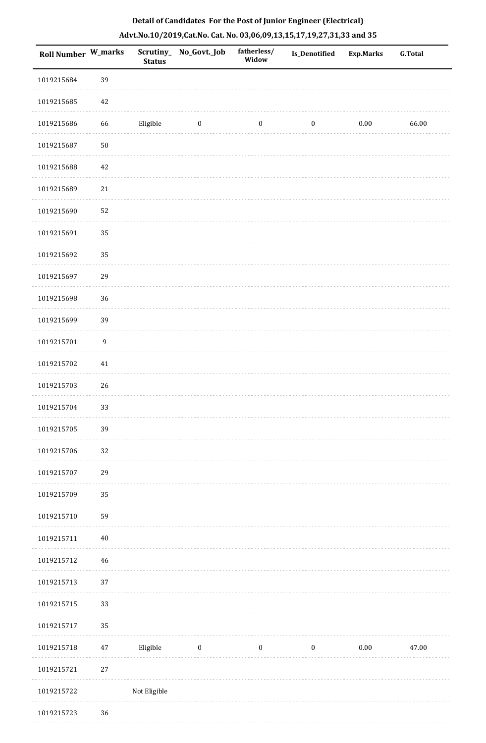| Roll Number W_marks |                  | <b>Status</b> | Scrutiny_No_Govt._Job | fatherless/<br>Widow | Is_Denotified    | <b>Exp.Marks</b> | <b>G.Total</b> |
|---------------------|------------------|---------------|-----------------------|----------------------|------------------|------------------|----------------|
| 1019215684          | 39               |               |                       |                      |                  |                  |                |
| 1019215685          | 42               |               |                       |                      |                  |                  |                |
| 1019215686          | 66               | Eligible      | $\bf{0}$              | $\boldsymbol{0}$     | $\boldsymbol{0}$ | 0.00             | 66.00          |
| 1019215687          | $50\,$           |               |                       |                      |                  |                  |                |
| 1019215688          | $42\,$           |               |                       |                      |                  |                  |                |
| 1019215689          | $21\,$           |               |                       |                      |                  |                  |                |
| 1019215690          | 52               |               |                       |                      |                  |                  |                |
| 1019215691          | 35               |               |                       |                      |                  |                  |                |
| 1019215692          | 35               |               |                       |                      |                  |                  |                |
| 1019215697          | 29               |               |                       |                      |                  |                  |                |
| 1019215698          | 36               |               |                       |                      |                  |                  |                |
| 1019215699          | 39               |               |                       |                      |                  |                  |                |
| 1019215701          | $\boldsymbol{9}$ |               |                       |                      |                  |                  |                |
| 1019215702          | $41\,$           |               |                       |                      |                  |                  |                |
| 1019215703          | 26               |               |                       |                      |                  |                  |                |
| 1019215704          | 33               |               |                       |                      |                  |                  |                |
| 1019215705          | 39               |               |                       |                      |                  |                  |                |
| 1019215706          | $32\,$           |               |                       |                      |                  |                  |                |
| 1019215707          | 29               |               |                       |                      |                  |                  |                |
| 1019215709          | 35               |               |                       |                      |                  |                  |                |
| 1019215710          | 59               |               |                       |                      |                  |                  |                |
| 1019215711          | $40\,$           |               |                       |                      |                  |                  |                |
| 1019215712          | $46\,$           |               |                       |                      |                  |                  |                |
| 1019215713          | 37               |               |                       |                      |                  |                  |                |
| 1019215715          | 33               |               |                       |                      |                  |                  |                |
| 1019215717          | 35               |               |                       |                      |                  |                  |                |
| 1019215718          | 47               | Eligible      | $\boldsymbol{0}$      | $\boldsymbol{0}$     | $\boldsymbol{0}$ | $0.00\,$         | 47.00          |
| 1019215721          | $27\,$           |               |                       |                      |                  |                  |                |
| 1019215722          |                  | Not Eligible  |                       |                      |                  |                  |                |
| 1019215723          | 36               |               |                       |                      |                  |                  |                |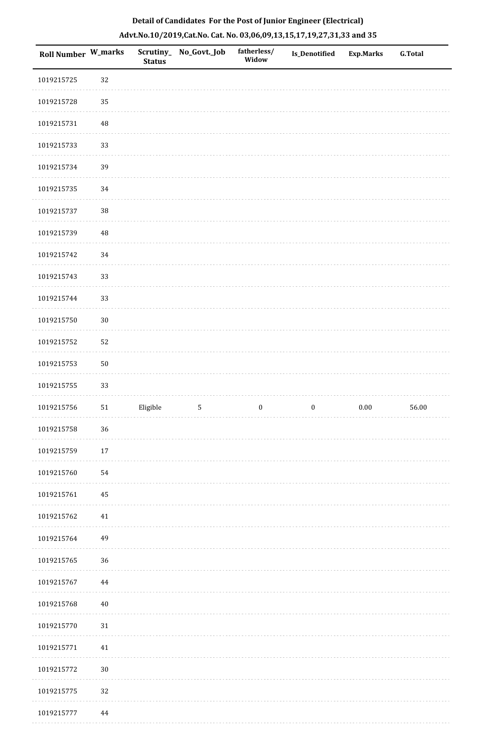| <b>Roll Number W_marks</b> |            | <b>Status</b> | Scrutiny_ No_Govt._Job | fatherless/<br>Widow | Is_Denotified    | <b>Exp.Marks</b> | <b>G.Total</b> |
|----------------------------|------------|---------------|------------------------|----------------------|------------------|------------------|----------------|
| 1019215725                 | 32         |               |                        |                      |                  |                  |                |
| 1019215728                 | 35         |               |                        |                      |                  |                  |                |
| 1019215731                 | 48         |               |                        |                      |                  |                  |                |
| 1019215733                 | 33         |               |                        |                      |                  |                  |                |
| 1019215734                 | 39         |               |                        |                      |                  |                  |                |
| 1019215735                 | 34         |               |                        |                      |                  |                  |                |
| 1019215737                 | $38\,$     |               |                        |                      |                  |                  |                |
| 1019215739                 | 48         |               |                        |                      |                  |                  |                |
| 1019215742                 | 34         |               |                        |                      |                  |                  |                |
| 1019215743                 | 33         |               |                        |                      |                  |                  |                |
| 1019215744                 | 33         |               |                        |                      |                  |                  |                |
| 1019215750                 | $30\,$     |               |                        |                      |                  |                  |                |
| 1019215752                 | 52         |               |                        |                      |                  |                  |                |
| 1019215753                 | ${\bf 50}$ |               |                        |                      |                  |                  |                |
| 1019215755                 | 33         |               |                        |                      |                  |                  |                |
| 1019215756                 | 51         | Eligible      | $\mathbf 5$            | $\boldsymbol{0}$     | $\boldsymbol{0}$ | $0.00\,$         | 56.00          |
| 1019215758                 | 36         |               |                        |                      |                  |                  |                |
| 1019215759                 | $17\,$     |               |                        |                      |                  |                  |                |
| 1019215760                 | 54         |               |                        |                      |                  |                  |                |
| 1019215761                 | $\bf 45$   |               |                        |                      |                  |                  |                |
| 1019215762                 | $41\,$     |               |                        |                      |                  |                  |                |
| 1019215764                 | 49         |               |                        |                      |                  |                  |                |
| 1019215765                 | 36         |               |                        |                      |                  |                  |                |
| 1019215767                 | 44         |               |                        |                      |                  |                  |                |
| 1019215768                 | $40\,$     |               |                        |                      |                  |                  |                |
| 1019215770                 | 31         |               |                        |                      |                  |                  |                |
| 1019215771                 | $41\,$     |               |                        |                      |                  |                  |                |
| 1019215772                 | $30\,$     |               |                        |                      |                  |                  |                |
| 1019215775                 | $32\,$     |               |                        |                      |                  |                  |                |
| 1019215777                 | 44         |               |                        |                      |                  |                  |                |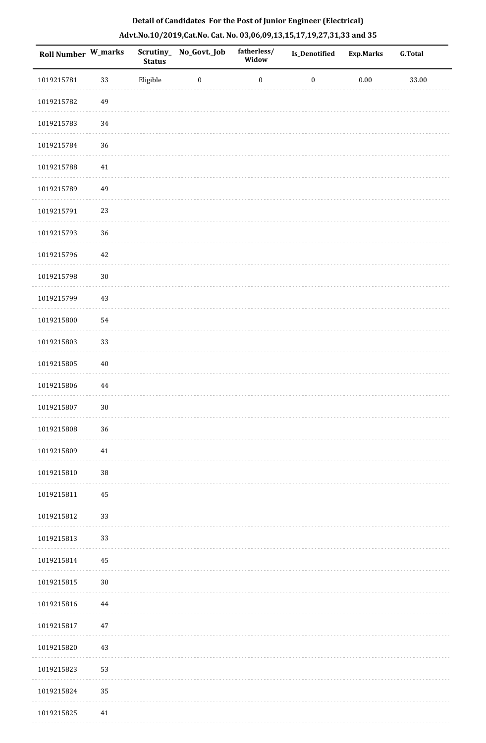| <b>Roll Number W_marks</b> |          | <b>Status</b> | Scrutiny_ No_Govt._Job | fatherless/<br>Widow | Is_Denotified    | <b>Exp.Marks</b> | <b>G.Total</b> |
|----------------------------|----------|---------------|------------------------|----------------------|------------------|------------------|----------------|
| 1019215781                 | 33       | Eligible      | $\boldsymbol{0}$       | $\boldsymbol{0}$     | $\boldsymbol{0}$ | $0.00\,$         | 33.00          |
| 1019215782                 | 49       |               |                        |                      |                  |                  |                |
| 1019215783                 | 34       |               |                        |                      |                  |                  |                |
| 1019215784                 | 36       |               |                        |                      |                  |                  |                |
| 1019215788                 | 41       |               |                        |                      |                  |                  |                |
| 1019215789                 | 49       |               |                        |                      |                  |                  |                |
| 1019215791                 | 23       |               |                        |                      |                  |                  |                |
| 1019215793                 | 36       |               |                        |                      |                  |                  |                |
| 1019215796                 | $42\,$   |               |                        |                      |                  |                  |                |
| 1019215798                 | $30\,$   |               |                        |                      |                  |                  |                |
| 1019215799                 | 43       |               |                        |                      |                  |                  |                |
| 1019215800                 | 54       |               |                        |                      |                  |                  |                |
| 1019215803                 | 33       |               |                        |                      |                  |                  |                |
| 1019215805                 | $40\,$   |               |                        |                      |                  |                  |                |
| 1019215806                 | $\bf 44$ |               |                        |                      |                  |                  |                |
| 1019215807                 | $30\,$   |               |                        |                      |                  |                  |                |
| 1019215808                 | 36       |               |                        |                      |                  |                  |                |
| 1019215809                 | $41\,$   |               |                        |                      |                  |                  |                |
| 1019215810                 | $38\,$   |               |                        |                      |                  |                  |                |
| 1019215811                 | 45       |               |                        |                      |                  |                  |                |
| 1019215812                 | 33       |               |                        |                      |                  |                  |                |
| 1019215813                 | 33       |               |                        |                      |                  |                  |                |
| 1019215814                 | 45       |               |                        |                      |                  |                  |                |
| 1019215815                 | 30       |               |                        |                      |                  |                  |                |
| 1019215816                 | 44       |               |                        |                      |                  |                  |                |
| 1019215817                 | 47       |               |                        |                      |                  |                  |                |
| 1019215820                 | 43       |               |                        |                      |                  |                  |                |
| 1019215823                 | 53       |               |                        |                      |                  |                  |                |
| 1019215824                 | 35       |               |                        |                      |                  |                  |                |
| 1019215825                 | $41\,$   |               |                        |                      |                  |                  |                |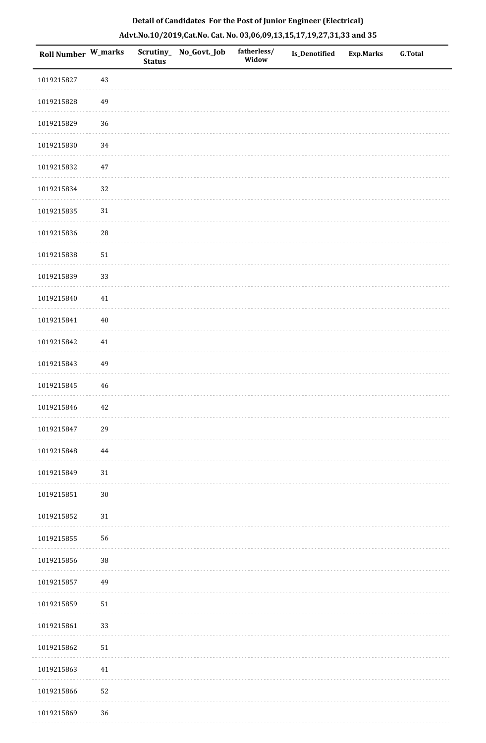| Roll Number W_marks |             | <b>Status</b> | Scrutiny_ No_Govt._Job | fatherless/<br>Widow | Is_Denotified | <b>Exp.Marks</b> | G.Total |
|---------------------|-------------|---------------|------------------------|----------------------|---------------|------------------|---------|
| 1019215827          | $43\,$      |               |                        |                      |               |                  |         |
| 1019215828          | 49          |               |                        |                      |               |                  |         |
| 1019215829          | 36          |               |                        |                      |               |                  |         |
| 1019215830          | 34          |               |                        |                      |               |                  |         |
| 1019215832          | $47\,$      |               |                        |                      |               |                  |         |
| 1019215834          | 32          |               |                        |                      |               |                  |         |
| 1019215835          | $31\,$      |               |                        |                      |               |                  |         |
| 1019215836          | $\sqrt{28}$ |               |                        |                      |               |                  |         |
| 1019215838          | $51\,$      |               |                        |                      |               |                  |         |
| 1019215839          | 33          |               |                        |                      |               |                  |         |
| 1019215840          | $41\,$      |               |                        |                      |               |                  |         |
| 1019215841          | $40\,$      |               |                        |                      |               |                  |         |
| 1019215842          | 41          |               |                        |                      |               |                  |         |
| 1019215843          | 49          |               |                        |                      |               |                  |         |
| 1019215845          | 46          |               |                        |                      |               |                  |         |
| 1019215846          | 42          |               |                        |                      |               |                  |         |
| 1019215847          | 29          |               |                        |                      |               |                  |         |
| 1019215848          | $\bf 44$    |               |                        |                      |               |                  |         |
| 1019215849          | $31\,$      |               |                        |                      |               |                  |         |
| 1019215851          | $30\,$      |               |                        |                      |               |                  |         |
| 1019215852          | $31\,$      |               |                        |                      |               |                  |         |
| 1019215855          | 56          |               |                        |                      |               |                  |         |
| 1019215856          | $38\,$      |               |                        |                      |               |                  |         |
| 1019215857          | 49          |               |                        |                      |               |                  |         |
| 1019215859          | $51\,$      |               |                        |                      |               |                  |         |
| 1019215861          | 33          |               |                        |                      |               |                  |         |
| 1019215862          | $51\,$      |               |                        |                      |               |                  |         |
| 1019215863          | 41          |               |                        |                      |               |                  |         |
| 1019215866          | 52          |               |                        |                      |               |                  |         |
| 1019215869          | 36          |               |                        |                      |               |                  |         |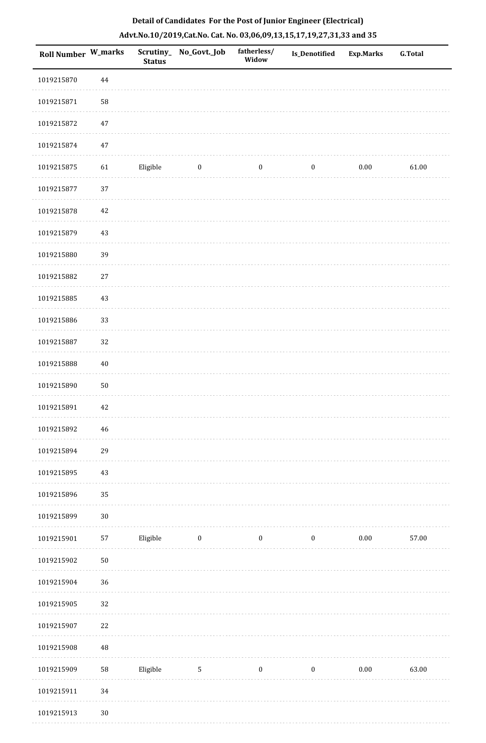| <b>Roll Number W_marks</b> |              | <b>Status</b> | Scrutiny_ No_Govt._Job | fatherless/<br>Widow | <b>Is_Denotified</b> | <b>Exp.Marks</b> | <b>G.Total</b> |
|----------------------------|--------------|---------------|------------------------|----------------------|----------------------|------------------|----------------|
| 1019215870                 | 44           |               |                        |                      |                      |                  |                |
| 1019215871                 | 58           |               |                        |                      |                      |                  |                |
| 1019215872                 | $47\,$       |               |                        |                      |                      |                  |                |
| 1019215874                 | $47\,$       |               |                        |                      |                      |                  |                |
| 1019215875                 | 61           | Eligible      | $\bf{0}$               | $\boldsymbol{0}$     | $\boldsymbol{0}$     | 0.00             | 61.00          |
| 1019215877                 | 37           |               |                        |                      |                      |                  |                |
| 1019215878                 | 42           |               |                        |                      |                      |                  |                |
| 1019215879                 | 43           |               |                        |                      |                      |                  |                |
| 1019215880                 | 39           |               |                        |                      |                      |                  |                |
| 1019215882                 | 27           |               |                        |                      |                      |                  |                |
| 1019215885                 | 43           |               |                        |                      |                      |                  |                |
| 1019215886                 | 33           |               |                        |                      |                      |                  |                |
| 1019215887                 | 32           |               |                        |                      |                      |                  |                |
| 1019215888                 | $40\,$       |               |                        |                      |                      |                  |                |
| 1019215890                 | $50\,$       |               |                        |                      |                      |                  |                |
| 1019215891                 | $42\,$       |               |                        |                      |                      |                  |                |
| 1019215892                 | 46           |               |                        |                      |                      |                  |                |
| 1019215894                 | 29           |               |                        |                      |                      |                  |                |
| 1019215895                 | 43           |               |                        |                      |                      |                  |                |
| 1019215896                 | 35           |               |                        |                      |                      |                  |                |
| 1019215899                 | $30\,$       |               |                        |                      |                      |                  |                |
| 1019215901                 | 57           | Eligible      | $\bf{0}$               | $\boldsymbol{0}$     | $\boldsymbol{0}$     | $0.00\,$         | 57.00          |
| 1019215902                 | $50\,$       |               |                        |                      |                      |                  |                |
| 1019215904                 | 36           |               |                        |                      |                      |                  |                |
| 1019215905                 | 32           |               |                        |                      |                      |                  |                |
| 1019215907                 | 22           |               |                        |                      |                      |                  |                |
| 1019215908                 | $\rm 48$     |               |                        |                      |                      |                  |                |
| 1019215909                 | 58           | Eligible      | $\sqrt{5}$             | $\boldsymbol{0}$     | $\boldsymbol{0}$     | $0.00\,$         | 63.00          |
| 1019215911                 | $34\,$       |               |                        |                      |                      |                  |                |
| 1019215913                 | $30^{\circ}$ |               |                        |                      |                      |                  |                |

1019215913 30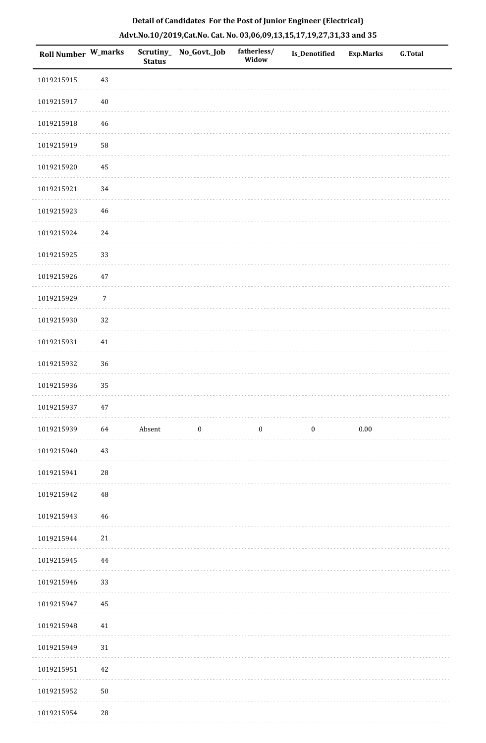| <b>Roll Number W_marks</b> |            | <b>Status</b> | Scrutiny_No_Govt._Job | fatherless/<br>Widow | Is_Denotified | <b>Exp.Marks</b> | <b>G.Total</b> |
|----------------------------|------------|---------------|-----------------------|----------------------|---------------|------------------|----------------|
| 1019215915                 | 43         |               |                       |                      |               |                  |                |
| 1019215917                 | $40\,$     |               |                       |                      |               |                  |                |
| 1019215918                 | 46         |               |                       |                      |               |                  |                |
| 1019215919                 | 58         |               |                       |                      |               |                  |                |
| 1019215920                 | 45         |               |                       |                      |               |                  |                |
| 1019215921                 | 34         |               |                       |                      |               |                  |                |
| 1019215923                 | 46         |               |                       |                      |               |                  |                |
| 1019215924                 | 24         |               |                       |                      |               |                  |                |
| 1019215925                 | 33         |               |                       |                      |               |                  |                |
| 1019215926                 | 47         |               |                       |                      |               |                  |                |
| 1019215929                 | $\sqrt{7}$ |               |                       |                      |               |                  |                |
| 1019215930                 | 32         |               |                       |                      |               |                  |                |
| 1019215931                 | $41\,$     |               |                       |                      |               |                  |                |
| 1019215932                 | 36         |               |                       |                      |               |                  |                |
| 1019215936                 | 35         |               |                       |                      |               |                  |                |
| 1019215937                 | 47         |               |                       |                      |               |                  |                |
| 1019215939                 | 64         | Absent        | $\bf{0}$              | $\bf{0}$             | $\bf{0}$      | 0.00             |                |
| 1019215940                 | 43         |               |                       |                      |               |                  |                |
| 1019215941                 | 28         |               |                       |                      |               |                  |                |
| 1019215942                 | 48         |               |                       |                      |               |                  |                |
| 1019215943                 | 46         |               |                       |                      |               |                  |                |
| 1019215944                 | 21         |               |                       |                      |               |                  |                |
| 1019215945                 | 44         |               |                       |                      |               |                  |                |
| 1019215946                 | 33         |               |                       |                      |               |                  |                |
| 1019215947                 | $45\,$     |               |                       |                      |               |                  |                |
| 1019215948                 | 41         |               |                       |                      |               |                  |                |
| 1019215949                 | 31         |               |                       |                      |               |                  |                |
| 1019215951                 | $42\,$     |               |                       |                      |               |                  |                |
| 1019215952                 | $50\,$     |               |                       |                      |               |                  |                |
| 1019215954                 | 28         |               |                       |                      |               |                  |                |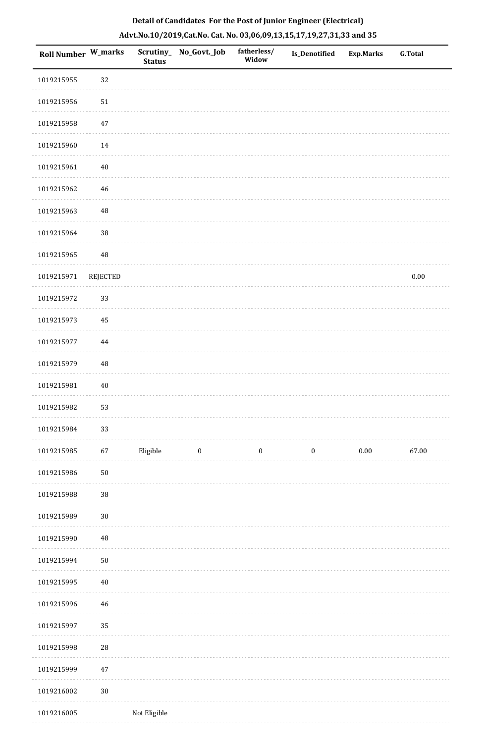| Roll Number W_marks |                 | Scrutiny_<br><b>Status</b> | No_Govt._Job     | fatherless/<br>Widow | <b>Is_Denotified</b> | <b>Exp.Marks</b> | <b>G.Total</b> |
|---------------------|-----------------|----------------------------|------------------|----------------------|----------------------|------------------|----------------|
| 1019215955          | 32              |                            |                  |                      |                      |                  |                |
| 1019215956          | 51              |                            |                  |                      |                      |                  |                |
| 1019215958          | $47\,$          |                            |                  |                      |                      |                  |                |
| 1019215960          | $14\,$          |                            |                  |                      |                      |                  |                |
| 1019215961          | $40\,$          |                            |                  |                      |                      |                  |                |
| 1019215962          | $\sqrt{46}$     |                            |                  |                      |                      |                  |                |
| 1019215963          | 48              |                            |                  |                      |                      |                  |                |
| 1019215964          | 38              |                            |                  |                      |                      |                  |                |
| 1019215965          | 48              |                            |                  |                      |                      |                  |                |
| 1019215971          | <b>REJECTED</b> |                            |                  |                      |                      |                  | $0.00\,$       |
| 1019215972          | 33              |                            |                  |                      |                      |                  |                |
| 1019215973          | 45              |                            |                  |                      |                      |                  |                |
| 1019215977          | $\bf 44$        |                            |                  |                      |                      |                  |                |
| 1019215979          | 48              |                            |                  |                      |                      |                  |                |
| 1019215981          | $40\,$          |                            |                  |                      |                      |                  |                |
| 1019215982          | 53              |                            |                  |                      |                      |                  |                |
| 1019215984          | 33              |                            |                  |                      |                      |                  |                |
| 1019215985          | 67              | Eligible                   | $\boldsymbol{0}$ | $\bf{0}$             | $\boldsymbol{0}$     | $0.00\,$         | 67.00          |
| 1019215986          | $50\,$          |                            |                  |                      |                      |                  |                |
| 1019215988          | 38              |                            |                  |                      |                      |                  |                |
| 1019215989          | $30\,$          |                            |                  |                      |                      |                  |                |
| 1019215990          | 48              |                            |                  |                      |                      |                  |                |
| 1019215994          | ${\bf 50}$      |                            |                  |                      |                      |                  |                |
| 1019215995          | $40\,$          |                            |                  |                      |                      |                  |                |
| 1019215996          | 46              |                            |                  |                      |                      |                  |                |
| 1019215997          | 35              |                            |                  |                      |                      |                  |                |
| 1019215998          | 28              |                            |                  |                      |                      |                  |                |
| 1019215999          | $47\,$          |                            |                  |                      |                      |                  |                |
| 1019216002          | $30\,$          |                            |                  |                      |                      |                  |                |
| 1019216005          |                 | Not Eligible               |                  |                      |                      |                  |                |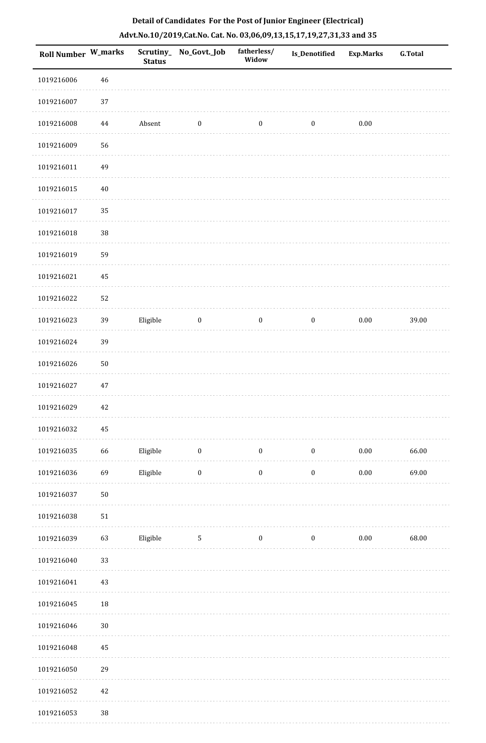|  |  | Detail of Candidates For the Post of Junior Engineer (Electrical)     |  |
|--|--|-----------------------------------------------------------------------|--|
|  |  | Advt.No.10/2019,Cat.No. Cat. No. 03,06,09,13,15,17,19,27,31,33 and 35 |  |

| <b>Roll Number W_marks</b> |        | <b>Status</b> | Scrutiny_No_Govt._Job | fatherless/<br>Widow | Is_Denotified    | <b>Exp.Marks</b> | <b>G.Total</b> |
|----------------------------|--------|---------------|-----------------------|----------------------|------------------|------------------|----------------|
| 1019216006                 | 46     |               |                       |                      |                  |                  |                |
| 1019216007                 | 37     |               |                       |                      |                  |                  |                |
| 1019216008                 | 44     | Absent        | $\bf{0}$              | $\boldsymbol{0}$     | $\boldsymbol{0}$ | $0.00\,$         |                |
| 1019216009                 | 56     |               |                       |                      |                  |                  |                |
| 1019216011                 | 49     |               |                       |                      |                  |                  |                |
| 1019216015                 | $40\,$ |               |                       |                      |                  |                  |                |
| 1019216017                 | 35     |               |                       |                      |                  |                  |                |
| 1019216018                 | 38     |               |                       |                      |                  |                  |                |
| 1019216019                 | 59     |               |                       |                      |                  |                  |                |
| 1019216021                 | 45     |               |                       |                      |                  |                  |                |
| 1019216022                 | 52     |               |                       |                      |                  |                  |                |
| 1019216023                 | 39     | Eligible      | $\bf{0}$              | $\boldsymbol{0}$     | $\boldsymbol{0}$ | $0.00\,$         | 39.00          |
| 1019216024                 | 39     |               |                       |                      |                  |                  |                |
| 1019216026                 | $50\,$ |               |                       |                      |                  |                  |                |
| 1019216027                 | 47     |               |                       |                      |                  |                  |                |
| 1019216029                 | $42\,$ |               |                       |                      |                  |                  |                |
| 1019216032                 | 45     |               |                       |                      |                  |                  |                |
| 1019216035                 | 66     | Eligible      | $\bf{0}$              | $\boldsymbol{0}$     | $\boldsymbol{0}$ | $0.00\,$         | 66.00          |
| 1019216036                 | 69     | Eligible      | $\boldsymbol{0}$      | $\boldsymbol{0}$     | $\boldsymbol{0}$ | $0.00\,$         | 69.00          |
| 1019216037                 | $50\,$ |               |                       |                      |                  |                  |                |
| 1019216038                 | 51     |               |                       |                      |                  |                  |                |
| 1019216039                 | 63     | Eligible      | $5\phantom{.0}$       | $\boldsymbol{0}$     | $\boldsymbol{0}$ | $0.00\,$         | 68.00          |
| 1019216040                 | 33     |               |                       |                      |                  |                  |                |
| 1019216041                 | 43     |               |                       |                      |                  |                  |                |
| 1019216045                 | 18     |               |                       |                      |                  |                  |                |
| 1019216046                 | $30\,$ |               |                       |                      |                  |                  |                |
| 1019216048                 | 45     |               |                       |                      |                  |                  |                |
| 1019216050                 | 29     |               |                       |                      |                  |                  |                |
| 1019216052                 | $42\,$ |               |                       |                      |                  |                  |                |
| 1019216053                 | $38\,$ |               |                       |                      |                  |                  |                |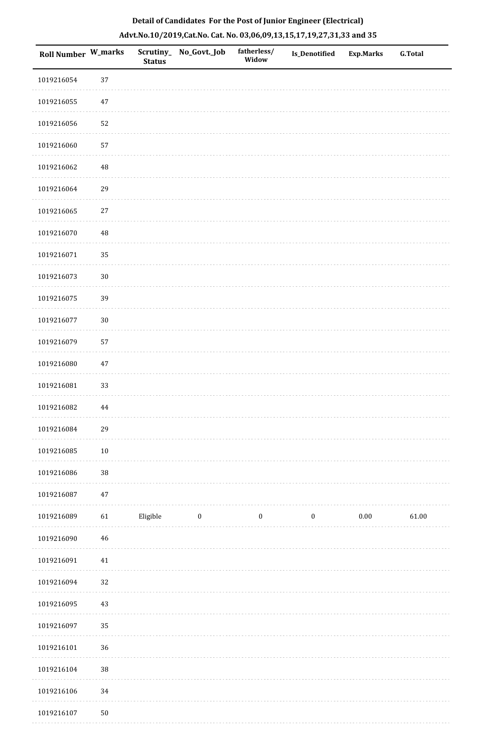| Roll Number W_marks |             | Scrutiny_<br><b>Status</b> | No_Govt._Job | fatherless/<br>Widow | <b>Is_Denotified</b> | <b>Exp.Marks</b> | <b>G.Total</b> |
|---------------------|-------------|----------------------------|--------------|----------------------|----------------------|------------------|----------------|
| 1019216054          | 37          |                            |              |                      |                      |                  |                |
| 1019216055          | $47\,$      |                            |              |                      |                      |                  |                |
| 1019216056          | 52          |                            |              |                      |                      |                  |                |
| 1019216060          | 57          |                            |              |                      |                      |                  |                |
| 1019216062          | $\rm 48$    |                            |              |                      |                      |                  |                |
| 1019216064          | 29          |                            |              |                      |                      |                  |                |
| 1019216065          | $27\,$      |                            |              |                      |                      |                  |                |
| 1019216070          | $\rm 48$    |                            |              |                      |                      |                  |                |
| 1019216071          | 35          |                            |              |                      |                      |                  |                |
| 1019216073          | $30\,$      |                            |              |                      |                      |                  |                |
| 1019216075          | 39          |                            |              |                      |                      |                  |                |
| 1019216077          | $30\,$      |                            |              |                      |                      |                  |                |
| 1019216079          | 57          |                            |              |                      |                      |                  |                |
| 1019216080          | $47\,$      |                            |              |                      |                      |                  |                |
| 1019216081          | 33          |                            |              |                      |                      |                  |                |
| 1019216082          | 44          |                            |              |                      |                      |                  |                |
| 1019216084          | 29          |                            |              |                      |                      |                  |                |
| 1019216085          | $10\,$      |                            |              |                      |                      |                  |                |
| 1019216086          | $38\,$      |                            |              |                      |                      |                  |                |
| 1019216087          | 47          |                            |              |                      |                      |                  |                |
| 1019216089          | 61          | Eligible                   | $\bf{0}$     | $\bf{0}$             | $\boldsymbol{0}$     | $0.00\,$         | 61.00          |
| 1019216090          | $\sqrt{46}$ |                            |              |                      |                      |                  |                |
| 1019216091          | $41\,$      |                            |              |                      |                      |                  |                |
| 1019216094          | 32          |                            |              |                      |                      |                  |                |
| 1019216095          | $43\,$      |                            |              |                      |                      |                  |                |
| 1019216097          | 35          |                            |              |                      |                      |                  |                |
| 1019216101          | 36          |                            |              |                      |                      |                  |                |
| 1019216104          | $38\,$      |                            |              |                      |                      |                  |                |
| 1019216106          | 34          |                            |              |                      |                      |                  |                |
| 1019216107          | $50\,$      |                            |              |                      |                      |                  |                |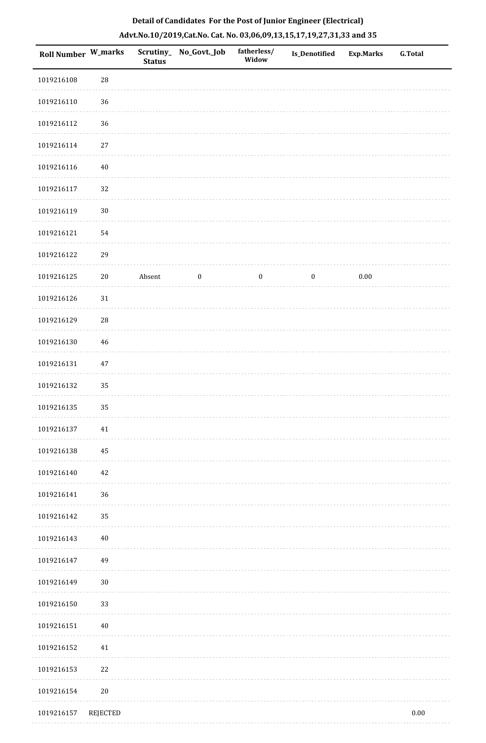| Roll Number W_marks |             | <b>Status</b> | Scrutiny_ No_Govt._Job | fatherless/<br>Widow | <b>Is_Denotified</b> | <b>Exp.Marks</b> | <b>G.Total</b> |
|---------------------|-------------|---------------|------------------------|----------------------|----------------------|------------------|----------------|
| 1019216108          | $\sqrt{28}$ |               |                        |                      |                      |                  |                |
| 1019216110          | $36\,$      |               |                        |                      |                      |                  |                |
| 1019216112          | 36          |               |                        |                      |                      |                  |                |
| 1019216114          | $27\,$      |               |                        |                      |                      |                  |                |
| 1019216116          | 40          |               |                        |                      |                      |                  |                |
| 1019216117          | 32          |               |                        |                      |                      |                  |                |
| 1019216119          | $30\,$      |               |                        |                      |                      |                  |                |
| 1019216121          | 54          |               |                        |                      |                      |                  |                |
| 1019216122          | 29          |               |                        |                      |                      |                  |                |
| 1019216125          | $20\,$      | Absent        | $\boldsymbol{0}$       | $\bf{0}$             | $\boldsymbol{0}$     | $0.00\,$         |                |
| 1019216126          | $31\,$      |               |                        |                      |                      |                  |                |
| 1019216129          | 28          |               |                        |                      |                      |                  |                |
| 1019216130          | 46          |               |                        |                      |                      |                  |                |
| 1019216131          | 47          |               |                        |                      |                      |                  |                |
| 1019216132          | 35          |               |                        |                      |                      |                  |                |
| 1019216135          | 35          |               |                        |                      |                      |                  |                |
| 1019216137          | $41\,$      |               |                        |                      |                      |                  |                |
| 1019216138          | 45          |               |                        |                      |                      |                  |                |
| 1019216140          | 42          |               |                        |                      |                      |                  |                |
| 1019216141          | 36          |               |                        |                      |                      |                  |                |
| 1019216142          | 35          |               |                        |                      |                      |                  |                |
| 1019216143          | $40\,$      |               |                        |                      |                      |                  |                |
| 1019216147          | 49          |               |                        |                      |                      |                  |                |
| 1019216149          | $30\,$      |               |                        |                      |                      |                  |                |
| 1019216150          | 33          |               |                        |                      |                      |                  |                |
| 1019216151          | 40          |               |                        |                      |                      |                  |                |
| 1019216152          | 41          |               |                        |                      |                      |                  |                |
| 1019216153          | 22          |               |                        |                      |                      |                  |                |
| 1019216154          | $20\,$      |               |                        |                      |                      |                  |                |
| 1019216157          | REJECTED    |               |                        |                      |                      |                  | $0.00\,$       |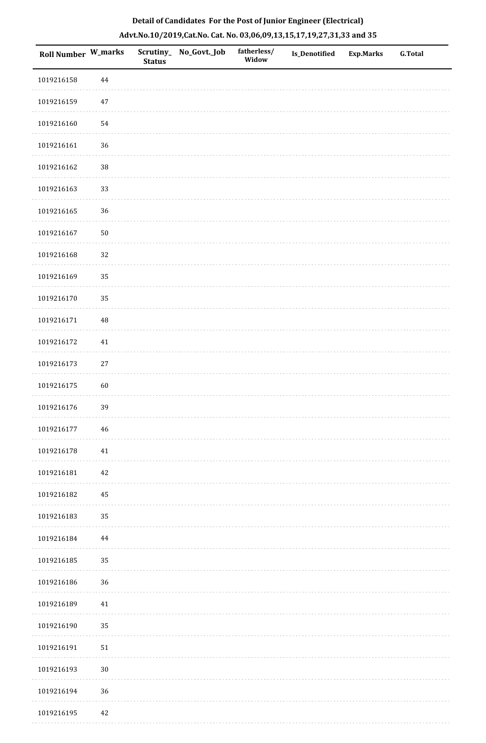| Roll Number W_marks |          | <b>Status</b> | Scrutiny_ No_Govt._Job | fatherless/<br>Widow | Is_Denotified | Exp.Marks | G.Total |
|---------------------|----------|---------------|------------------------|----------------------|---------------|-----------|---------|
| 1019216158          | 44       |               |                        |                      |               |           |         |
| 1019216159          | $47\,$   |               |                        |                      |               |           |         |
| 1019216160          | 54       |               |                        |                      |               |           |         |
| 1019216161          | 36       |               |                        |                      |               |           |         |
| 1019216162          | $38\,$   |               |                        |                      |               |           |         |
| 1019216163          | 33       |               |                        |                      |               |           |         |
| 1019216165          | 36       |               |                        |                      |               |           |         |
| 1019216167          | $50\,$   |               |                        |                      |               |           |         |
| 1019216168          | 32       |               |                        |                      |               |           |         |
| 1019216169          | 35       |               |                        |                      |               |           |         |
| 1019216170          | 35       |               |                        |                      |               |           |         |
| 1019216171          | $\rm 48$ |               |                        |                      |               |           |         |
| 1019216172          | $41\,$   |               |                        |                      |               |           |         |
| 1019216173          | $27\,$   |               |                        |                      |               |           |         |
| 1019216175          | 60       |               |                        |                      |               |           |         |
| 1019216176          | 39       |               |                        |                      |               |           |         |
| 1019216177          | $46\,$   |               |                        |                      |               |           |         |
| 1019216178          | $41\,$   |               |                        |                      |               |           |         |
| 1019216181          | 42       |               |                        |                      |               |           |         |
| 1019216182          | 45       |               |                        |                      |               |           |         |
| 1019216183          | 35       |               |                        |                      |               |           |         |
| 1019216184          | $\bf 44$ |               |                        |                      |               |           |         |
| 1019216185          | 35       |               |                        |                      |               |           |         |
| 1019216186          | 36       |               |                        |                      |               |           |         |
| 1019216189          | $41\,$   |               |                        |                      |               |           |         |
| 1019216190          | 35       |               |                        |                      |               |           |         |
| 1019216191          | $51\,$   |               |                        |                      |               |           |         |
| 1019216193          | $30\,$   |               |                        |                      |               |           |         |
| 1019216194          | 36       |               |                        |                      |               |           |         |
| 1019216195          | $42\,$   |               |                        |                      |               |           |         |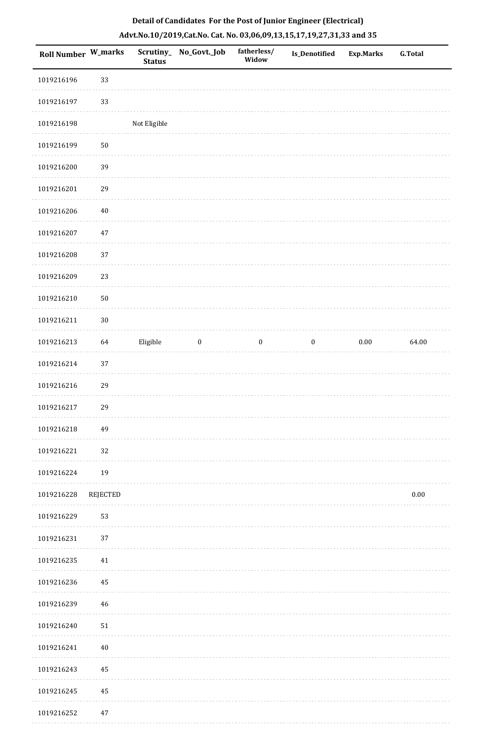| <b>Roll Number W_marks</b> |                 | Scrutiny_<br><b>Status</b> | No_Govt._Job     | fatherless/<br>Widow | Is_Denotified    | <b>Exp.Marks</b> | <b>G.Total</b> |
|----------------------------|-----------------|----------------------------|------------------|----------------------|------------------|------------------|----------------|
| 1019216196                 | 33              |                            |                  |                      |                  |                  |                |
| 1019216197                 | 33              |                            |                  |                      |                  |                  |                |
| 1019216198                 |                 | Not Eligible               |                  |                      |                  |                  |                |
| 1019216199                 | $50\,$          |                            |                  |                      |                  |                  |                |
| 1019216200                 | 39              |                            |                  |                      |                  |                  |                |
| 1019216201                 | 29              |                            |                  |                      |                  |                  |                |
| 1019216206                 | $40\,$          |                            |                  |                      |                  |                  |                |
| 1019216207                 | $47\,$          |                            |                  |                      |                  |                  |                |
| 1019216208                 | 37              |                            |                  |                      |                  |                  |                |
| 1019216209                 | 23              |                            |                  |                      |                  |                  |                |
| 1019216210                 | $50\,$          |                            |                  |                      |                  |                  |                |
| 1019216211                 | $30\,$          |                            |                  |                      |                  |                  |                |
| 1019216213                 | 64              | Eligible                   | $\boldsymbol{0}$ | $\boldsymbol{0}$     | $\boldsymbol{0}$ | $0.00\,$         | 64.00          |
| 1019216214                 | 37              |                            |                  |                      |                  |                  |                |
| 1019216216                 | 29              |                            |                  |                      |                  |                  |                |
| 1019216217                 | 29              |                            |                  |                      |                  |                  |                |
| 1019216218                 | 49              |                            |                  |                      |                  |                  |                |
| 1019216221                 | $32\,$          |                            |                  |                      |                  |                  |                |
| 1019216224                 | 19              |                            |                  |                      |                  |                  |                |
| 1019216228                 | <b>REJECTED</b> |                            |                  |                      |                  |                  | $0.00\,$       |
| 1019216229                 | 53              |                            |                  |                      |                  |                  |                |
| 1019216231                 | 37              |                            |                  |                      |                  |                  |                |
| 1019216235                 | 41              |                            |                  |                      |                  |                  |                |
| 1019216236                 | 45              |                            |                  |                      |                  |                  |                |
| 1019216239                 | 46              |                            |                  |                      |                  |                  |                |
| 1019216240                 | $51\,$          |                            |                  |                      |                  |                  |                |
| 1019216241                 | $40\,$          |                            |                  |                      |                  |                  |                |
| 1019216243                 | 45              |                            |                  |                      |                  |                  |                |
| 1019216245                 | 45              |                            |                  |                      |                  |                  |                |
| 1019216252                 | 47              |                            |                  |                      |                  |                  |                |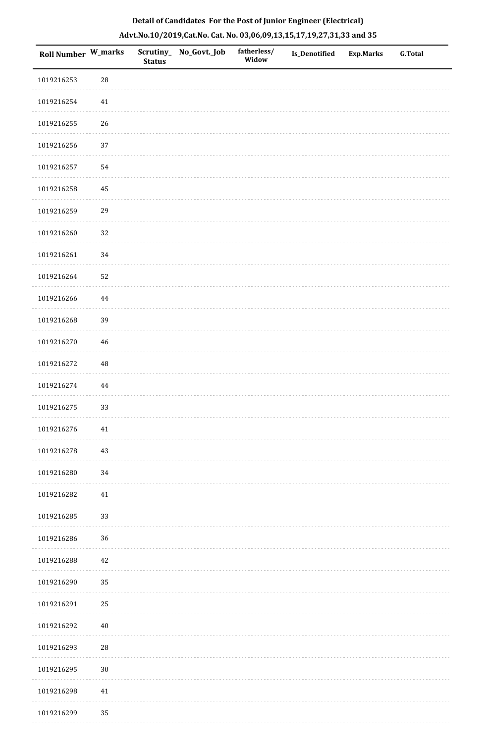| Roll Number W_marks |             | <b>Status</b> | Scrutiny_No_Govt._Job | fatherless/<br>Widow | Is_Denotified | <b>Exp.Marks</b> | <b>G.Total</b> |
|---------------------|-------------|---------------|-----------------------|----------------------|---------------|------------------|----------------|
| 1019216253          | ${\bf 28}$  |               |                       |                      |               |                  |                |
| 1019216254          | $41\,$      |               |                       |                      |               |                  |                |
| 1019216255          | 26          |               |                       |                      |               |                  |                |
| 1019216256          | 37          |               |                       |                      |               |                  |                |
| 1019216257          | 54          |               |                       |                      |               |                  |                |
| 1019216258          | 45          |               |                       |                      |               |                  |                |
| 1019216259          | 29          |               |                       |                      |               |                  |                |
| 1019216260          | 32          |               |                       |                      |               |                  |                |
| 1019216261          | 34          |               |                       |                      |               |                  |                |
| 1019216264          | 52          |               |                       |                      |               |                  |                |
| 1019216266          | $\bf 44$    |               |                       |                      |               |                  |                |
| 1019216268          | 39          |               |                       |                      |               |                  |                |
| 1019216270          | $\sqrt{46}$ |               |                       |                      |               |                  |                |
| 1019216272          | $\rm 48$    |               |                       |                      |               |                  |                |
| 1019216274          | $\bf 44$    |               |                       |                      |               |                  |                |
| 1019216275          | 33          |               |                       |                      |               |                  |                |
| 1019216276          | $41\,$      |               |                       |                      |               |                  |                |
| 1019216278          | $43\,$      |               |                       |                      |               |                  |                |
| 1019216280          | 34          |               |                       |                      |               |                  |                |
| 1019216282          | $41\,$      |               |                       |                      |               |                  |                |
| 1019216285          | 33          |               |                       |                      |               |                  |                |
| 1019216286          | 36          |               |                       |                      |               |                  |                |
| 1019216288          | 42          |               |                       |                      |               |                  |                |
| 1019216290          | 35          |               |                       |                      |               |                  |                |
| 1019216291          | 25          |               |                       |                      |               |                  |                |
| 1019216292          | $40\,$      |               |                       |                      |               |                  |                |
| 1019216293          | $28\,$      |               |                       |                      |               |                  |                |
| 1019216295          | $30\,$      |               |                       |                      |               |                  |                |
| 1019216298          | $41\,$      |               |                       |                      |               |                  |                |
| 1019216299          | 35          |               |                       |                      |               |                  |                |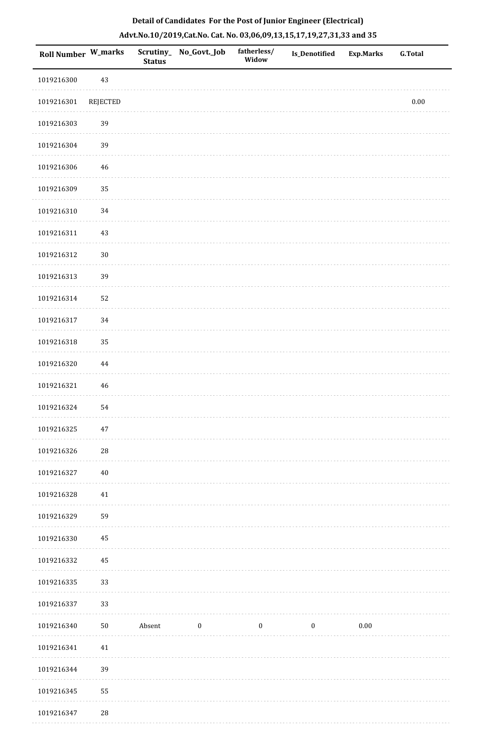|  | Detail of Candidates For the Post of Junior Engineer (Electrical)     |  |
|--|-----------------------------------------------------------------------|--|
|  | Advt.No.10/2019,Cat.No. Cat. No. 03,06,09,13,15,17,19,27,31,33 and 35 |  |

| <b>Roll Number W_marks</b> |             | Scrutiny_<br><b>Status</b> | No_Govt._Job     | fatherless/<br>Widow | Is_Denotified    | <b>Exp.Marks</b> | <b>G.Total</b> |
|----------------------------|-------------|----------------------------|------------------|----------------------|------------------|------------------|----------------|
| 1019216300                 | 43          |                            |                  |                      |                  |                  |                |
| 1019216301                 | REJECTED    |                            |                  |                      |                  |                  | $0.00\,$       |
| 1019216303                 | 39          |                            |                  |                      |                  |                  |                |
| 1019216304                 | 39          |                            |                  |                      |                  |                  |                |
| 1019216306                 | 46          |                            |                  |                      |                  |                  |                |
| 1019216309                 | 35          |                            |                  |                      |                  |                  |                |
| 1019216310                 | $34\,$      |                            |                  |                      |                  |                  |                |
| 1019216311                 | 43          |                            |                  |                      |                  |                  |                |
| 1019216312                 | $30\,$      |                            |                  |                      |                  |                  |                |
| 1019216313                 | 39          |                            |                  |                      |                  |                  |                |
| 1019216314                 | 52          |                            |                  |                      |                  |                  |                |
| 1019216317                 | 34          |                            |                  |                      |                  |                  |                |
| 1019216318                 | 35          |                            |                  |                      |                  |                  |                |
| 1019216320                 | $\bf 44$    |                            |                  |                      |                  |                  |                |
| 1019216321                 | 46          |                            |                  |                      |                  |                  |                |
| 1019216324                 | 54          |                            |                  |                      |                  |                  |                |
| 1019216325                 | $47\,$      |                            |                  |                      |                  |                  |                |
| 1019216326                 | 28          |                            |                  |                      |                  |                  |                |
| 1019216327                 | $40\,$      |                            |                  |                      |                  |                  |                |
| 1019216328                 | 41          |                            |                  |                      |                  |                  |                |
| 1019216329                 | 59          |                            |                  |                      |                  |                  |                |
| 1019216330                 | 45          |                            |                  |                      |                  |                  |                |
| 1019216332                 | 45          |                            |                  |                      |                  |                  |                |
| 1019216335                 | 33          |                            |                  |                      |                  |                  |                |
| 1019216337                 | 33          |                            |                  |                      |                  |                  |                |
| 1019216340                 | $50\,$      | Absent                     | $\boldsymbol{0}$ | $\boldsymbol{0}$     | $\boldsymbol{0}$ | $0.00\,$         |                |
| 1019216341                 | 41          |                            |                  |                      |                  |                  |                |
| 1019216344                 | 39          |                            |                  |                      |                  |                  |                |
| 1019216345                 | 55          |                            |                  |                      |                  |                  |                |
| 1019216347                 | $\sqrt{28}$ |                            |                  |                      |                  |                  |                |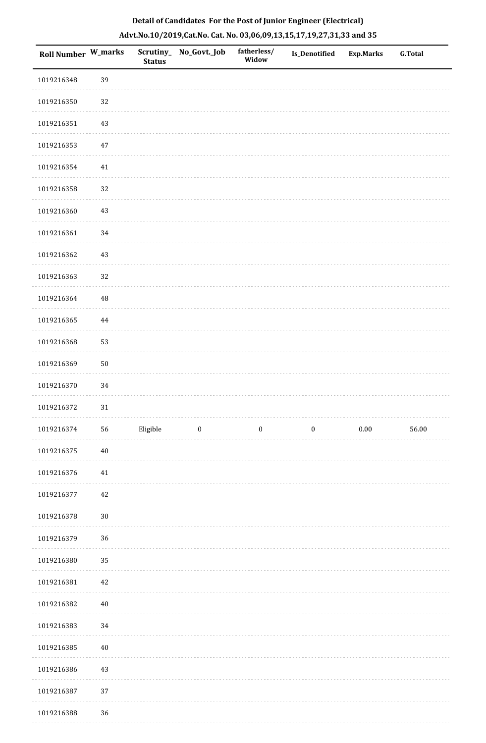| Roll Number W_marks |          | <b>Status</b> | Scrutiny_ No_Govt._Job | fatherless/<br>Widow | Is_Denotified    | <b>Exp.Marks</b> | <b>G.Total</b> |
|---------------------|----------|---------------|------------------------|----------------------|------------------|------------------|----------------|
| 1019216348          | 39       |               |                        |                      |                  |                  |                |
| 1019216350          | 32       |               |                        |                      |                  |                  |                |
| 1019216351          | 43       |               |                        |                      |                  |                  |                |
| 1019216353          | 47       |               |                        |                      |                  |                  |                |
| 1019216354          | $41\,$   |               |                        |                      |                  |                  |                |
| 1019216358          | 32       |               |                        |                      |                  |                  |                |
| 1019216360          | 43       |               |                        |                      |                  |                  |                |
| 1019216361          | 34       |               |                        |                      |                  |                  |                |
| 1019216362          | 43       |               |                        |                      |                  |                  |                |
| 1019216363          | 32       |               |                        |                      |                  |                  |                |
| 1019216364          | 48       |               |                        |                      |                  |                  |                |
| 1019216365          | $\bf 44$ |               |                        |                      |                  |                  |                |
| 1019216368          | 53       |               |                        |                      |                  |                  |                |
| 1019216369          | $50\,$   |               |                        |                      |                  |                  |                |
| 1019216370          | 34       |               |                        |                      |                  |                  |                |
| 1019216372          | $31\,$   |               |                        |                      |                  |                  |                |
| 1019216374          | 56       | Eligible      | $\bf{0}$               | $\boldsymbol{0}$     | $\boldsymbol{0}$ | 0.00             | 56.00          |
| 1019216375          | $40\,$   |               |                        |                      |                  |                  |                |
| 1019216376          | 41       |               |                        |                      |                  |                  |                |
| 1019216377          | 42       |               |                        |                      |                  |                  |                |
| 1019216378          | $30\,$   |               |                        |                      |                  |                  |                |
| 1019216379          | 36       |               |                        |                      |                  |                  |                |
| 1019216380          | 35       |               |                        |                      |                  |                  |                |
| 1019216381          | 42       |               |                        |                      |                  |                  |                |
| 1019216382          | $40\,$   |               |                        |                      |                  |                  |                |
| 1019216383          | 34       |               |                        |                      |                  |                  |                |
| 1019216385          | $40\,$   |               |                        |                      |                  |                  |                |
| 1019216386          | 43       |               |                        |                      |                  |                  |                |
| 1019216387          | 37       |               |                        |                      |                  |                  |                |
| 1019216388          | $36\,$   |               |                        |                      |                  |                  |                |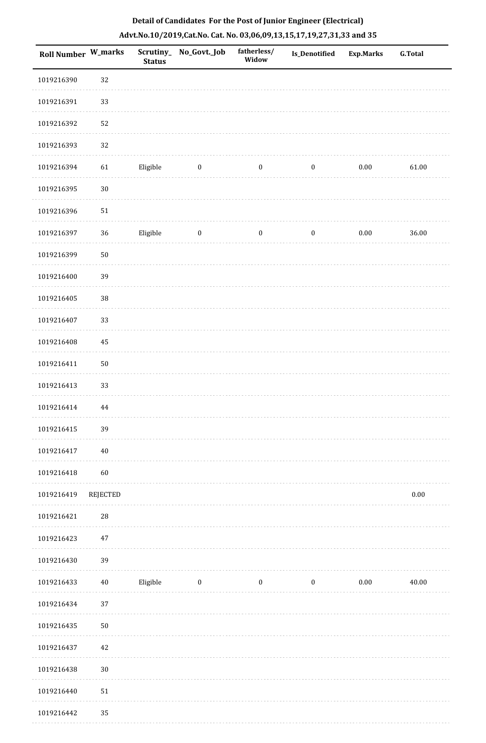| <b>Roll Number W_marks</b> |                 | <b>Status</b> | Scrutiny_No_Govt._Job | fatherless/<br>Widow | Is_Denotified    | <b>Exp.Marks</b> | G.Total  |
|----------------------------|-----------------|---------------|-----------------------|----------------------|------------------|------------------|----------|
| 1019216390                 | 32              |               |                       |                      |                  |                  |          |
| 1019216391                 | 33              |               |                       |                      |                  |                  |          |
| 1019216392                 | 52              |               |                       |                      |                  |                  |          |
| 1019216393                 | 32              |               |                       |                      |                  |                  |          |
| 1019216394                 | 61              | Eligible      | $\bf{0}$              | $\bf{0}$             | $\boldsymbol{0}$ | 0.00             | 61.00    |
| 1019216395                 | $30\,$          |               |                       |                      |                  |                  |          |
| 1019216396                 | $51\,$          |               |                       |                      |                  |                  |          |
| 1019216397                 | $36\,$          | Eligible      | $\bf{0}$              | $\boldsymbol{0}$     | $\boldsymbol{0}$ | $0.00\,$         | 36.00    |
| 1019216399                 | $50\,$          |               |                       |                      |                  |                  |          |
| 1019216400                 | 39              |               |                       |                      |                  |                  |          |
| 1019216405                 | 38              |               |                       |                      |                  |                  |          |
| 1019216407                 | 33              |               |                       |                      |                  |                  |          |
| 1019216408                 | 45              |               |                       |                      |                  |                  |          |
| 1019216411                 | $50\,$          |               |                       |                      |                  |                  |          |
| 1019216413                 | 33              |               |                       |                      |                  |                  |          |
| 1019216414                 | 44              |               |                       |                      |                  |                  |          |
| 1019216415                 | 39              |               |                       |                      |                  |                  |          |
| 1019216417                 | $40\,$          |               |                       |                      |                  |                  |          |
| 1019216418                 | 60              |               |                       |                      |                  |                  |          |
| 1019216419                 | <b>REJECTED</b> |               |                       |                      |                  |                  | $0.00\,$ |
| 1019216421                 | ${\bf 28}$      |               |                       |                      |                  |                  |          |
| 1019216423                 | 47              |               |                       |                      |                  |                  |          |
| 1019216430                 | 39              |               |                       |                      |                  |                  |          |
| 1019216433                 | $40\,$          | Eligible      | $\bf{0}$              | $\boldsymbol{0}$     | $\boldsymbol{0}$ | $0.00\,$         | 40.00    |
| 1019216434                 | 37              |               |                       |                      |                  |                  |          |
| 1019216435                 | $50\,$          |               |                       |                      |                  |                  |          |
| 1019216437                 | 42              |               |                       |                      |                  |                  |          |
| 1019216438                 | $30\,$          |               |                       |                      |                  |                  |          |
| 1019216440                 | $51\,$          |               |                       |                      |                  |                  |          |
| 1019216442                 | 35              |               |                       |                      |                  |                  |          |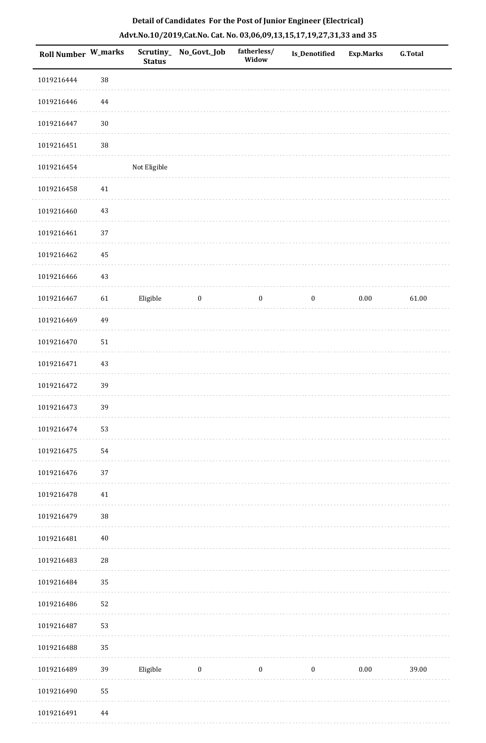| <b>Roll Number W_marks</b> |            | <b>Status</b> | Scrutiny_ No_Govt._Job | fatherless/<br>Widow | <b>Is_Denotified</b> | Exp.Marks | <b>G.Total</b> |
|----------------------------|------------|---------------|------------------------|----------------------|----------------------|-----------|----------------|
| 1019216444                 | 38         |               |                        |                      |                      |           |                |
| 1019216446                 | $\bf 44$   |               |                        |                      |                      |           |                |
| 1019216447                 | $30\,$     |               |                        |                      |                      |           |                |
| 1019216451                 | 38         |               |                        |                      |                      |           |                |
| 1019216454                 |            | Not Eligible  |                        |                      |                      |           |                |
| 1019216458                 | $41\,$     |               |                        |                      |                      |           |                |
| 1019216460                 | 43         |               |                        |                      |                      |           |                |
| 1019216461                 | $37\,$     |               |                        |                      |                      |           |                |
| 1019216462                 | 45         |               |                        |                      |                      |           |                |
| 1019216466                 | 43         |               |                        |                      |                      |           |                |
| 1019216467                 | 61         | Eligible      | $\boldsymbol{0}$       | $\boldsymbol{0}$     | $\boldsymbol{0}$     | $0.00\,$  | 61.00          |
| 1019216469                 | 49         |               |                        |                      |                      |           |                |
| 1019216470                 | $51\,$     |               |                        |                      |                      |           |                |
| 1019216471                 | 43         |               |                        |                      |                      |           |                |
| 1019216472                 | 39         |               |                        |                      |                      |           |                |
| 1019216473                 | 39         |               |                        |                      |                      |           |                |
| 1019216474                 | 53         |               |                        |                      |                      |           |                |
| 1019216475                 | 54         |               |                        |                      |                      |           |                |
| 1019216476                 | 37         |               |                        |                      |                      |           |                |
| 1019216478                 | 41         |               |                        |                      |                      |           |                |
| 1019216479                 | 38         |               |                        |                      |                      |           |                |
| 1019216481                 | $40\,$     |               |                        |                      |                      |           |                |
| 1019216483                 | ${\bf 28}$ |               |                        |                      |                      |           |                |
| 1019216484                 | 35         |               |                        |                      |                      |           |                |
| 1019216486                 | 52         |               |                        |                      |                      |           |                |
| 1019216487                 | 53         |               |                        |                      |                      |           |                |
| 1019216488                 | 35         |               |                        |                      |                      |           |                |
| 1019216489                 | 39         | Eligible      | $\boldsymbol{0}$       | $\boldsymbol{0}$     | $\boldsymbol{0}$     | $0.00\,$  | 39.00          |
| 1019216490                 | 55         |               |                        |                      |                      |           |                |
| 1019216491                 | 44         |               |                        |                      |                      |           |                |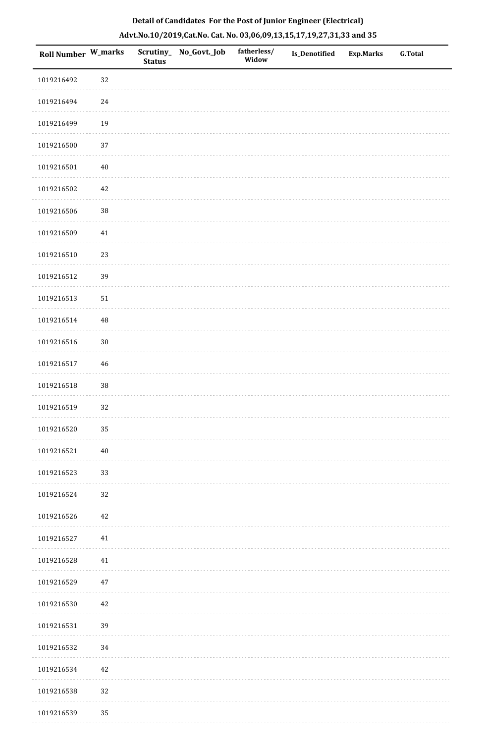| Roll Number W_marks |          | <b>Status</b> | Scrutiny_ No_Govt._Job | fatherless/<br>Widow | Is_Denotified | Exp.Marks | G.Total |
|---------------------|----------|---------------|------------------------|----------------------|---------------|-----------|---------|
| 1019216492          | 32       |               |                        |                      |               |           |         |
| 1019216494          | $24\,$   |               |                        |                      |               |           |         |
| 1019216499          | 19       |               |                        |                      |               |           |         |
| 1019216500          | 37       |               |                        |                      |               |           |         |
| 1019216501          | $40\,$   |               |                        |                      |               |           |         |
| 1019216502          | $42\,$   |               |                        |                      |               |           |         |
| 1019216506          | $38\,$   |               |                        |                      |               |           |         |
| 1019216509          | 41       |               |                        |                      |               |           |         |
| 1019216510          | 23       |               |                        |                      |               |           |         |
| 1019216512          | 39       |               |                        |                      |               |           |         |
| 1019216513          | $51\,$   |               |                        |                      |               |           |         |
| 1019216514          | $\rm 48$ |               |                        |                      |               |           |         |
| 1019216516          | $30\,$   |               |                        |                      |               |           |         |
| 1019216517          | $46\,$   |               |                        |                      |               |           |         |
| 1019216518          | 38       |               |                        |                      |               |           |         |
| 1019216519          | 32       |               |                        |                      |               |           |         |
| 1019216520          | 35       |               |                        |                      |               |           |         |
| 1019216521          | $40\,$   |               |                        |                      |               |           |         |
| 1019216523          | 33       |               |                        |                      |               |           |         |
| 1019216524          | 32       |               |                        |                      |               |           |         |
| 1019216526          | 42       |               |                        |                      |               |           |         |
| 1019216527          | 41       |               |                        |                      |               |           |         |
| 1019216528          | 41       |               |                        |                      |               |           |         |
| 1019216529          | $47\,$   |               |                        |                      |               |           |         |
| 1019216530          | 42       |               |                        |                      |               |           |         |
| 1019216531          | 39       |               |                        |                      |               |           |         |
| 1019216532          | 34       |               |                        |                      |               |           |         |
| 1019216534          | 42       |               |                        |                      |               |           |         |
| 1019216538          | 32       |               |                        |                      |               |           |         |
| 1019216539          | 35       |               |                        |                      |               |           |         |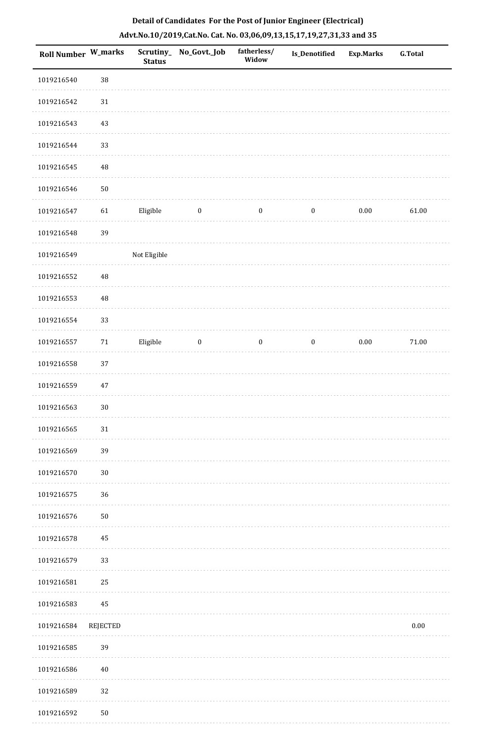|  | Detail of Candidates For the Post of Junior Engineer (Electrical)     |  |
|--|-----------------------------------------------------------------------|--|
|  | Advt.No.10/2019,Cat.No. Cat. No. 03,06,09,13,15,17,19,27,31,33 and 35 |  |

| <b>Roll Number W_marks</b> |                 | <b>Status</b> | Scrutiny_ No_Govt._Job | fatherless/<br>Widow | <b>Is_Denotified</b> | <b>Exp.Marks</b> | <b>G.Total</b> |
|----------------------------|-----------------|---------------|------------------------|----------------------|----------------------|------------------|----------------|
| 1019216540                 | $38\,$          |               |                        |                      |                      |                  |                |
| 1019216542                 | $31\,$          |               |                        |                      |                      |                  |                |
| 1019216543                 | 43              |               |                        |                      |                      |                  |                |
| 1019216544                 | 33              |               |                        |                      |                      |                  |                |
| 1019216545                 | $\rm 48$        |               |                        |                      |                      |                  |                |
| 1019216546                 | ${\bf 50}$      |               |                        |                      |                      |                  |                |
| 1019216547                 | 61              | Eligible      | $\boldsymbol{0}$       | $\boldsymbol{0}$     | $\boldsymbol{0}$     | $0.00\,$         | 61.00          |
| 1019216548                 | 39              |               |                        |                      |                      |                  |                |
| 1019216549                 |                 | Not Eligible  |                        |                      |                      |                  |                |
| 1019216552                 | 48              |               |                        |                      |                      |                  |                |
| 1019216553                 | $\rm 48$        |               |                        |                      |                      |                  |                |
| 1019216554                 | 33              |               |                        |                      |                      |                  |                |
| 1019216557                 | $71\,$          | Eligible      | $\boldsymbol{0}$       | $\boldsymbol{0}$     | $\boldsymbol{0}$     | $0.00\,$         | $71.00\,$      |
| 1019216558                 | 37              |               |                        |                      |                      |                  |                |
| 1019216559                 | $47\,$          |               |                        |                      |                      |                  |                |
| 1019216563                 | $30\,$          |               |                        |                      |                      |                  |                |
| 1019216565                 | 31              |               |                        |                      |                      |                  |                |
| 1019216569                 | 39              |               |                        |                      |                      |                  |                |
| 1019216570                 | $30\,$          |               |                        |                      |                      |                  |                |
| 1019216575                 | 36              |               |                        |                      |                      |                  |                |
| 1019216576                 | ${\bf 50}$      |               |                        |                      |                      |                  |                |
| 1019216578                 | 45              |               |                        |                      |                      |                  |                |
| 1019216579                 | 33              |               |                        |                      |                      |                  |                |
| 1019216581                 | 25              |               |                        |                      |                      |                  |                |
| 1019216583                 | 45              |               |                        |                      |                      |                  |                |
| 1019216584                 | <b>REJECTED</b> |               |                        |                      |                      |                  | $0.00\,$       |
| 1019216585                 | 39              |               |                        |                      |                      |                  |                |
| 1019216586                 | 40              |               |                        |                      |                      |                  |                |
| 1019216589                 | 32              |               |                        |                      |                      |                  |                |
| 1019216592                 | $50\,$          |               |                        |                      |                      |                  |                |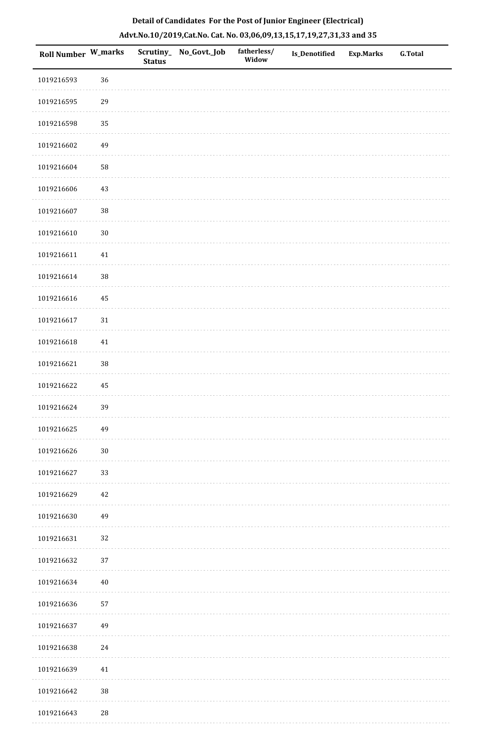| <b>Roll Number W_marks</b> |             | <b>Status</b> | Scrutiny_ No_Govt._Job | fatherless/<br>Widow | Is_Denotified | <b>Exp.Marks</b> | <b>G.Total</b> |
|----------------------------|-------------|---------------|------------------------|----------------------|---------------|------------------|----------------|
| 1019216593                 | 36          |               |                        |                      |               |                  |                |
| 1019216595                 | 29          |               |                        |                      |               |                  |                |
| 1019216598                 | 35          |               |                        |                      |               |                  |                |
| 1019216602                 | 49          |               |                        |                      |               |                  |                |
| 1019216604                 | 58          |               |                        |                      |               |                  |                |
| 1019216606                 | 43          |               |                        |                      |               |                  |                |
| 1019216607                 | $38\,$      |               |                        |                      |               |                  |                |
| 1019216610                 | $30\,$      |               |                        |                      |               |                  |                |
| 1019216611                 | $41\,$      |               |                        |                      |               |                  |                |
| 1019216614                 | $38\,$      |               |                        |                      |               |                  |                |
| 1019216616                 | 45          |               |                        |                      |               |                  |                |
| 1019216617                 | 31          |               |                        |                      |               |                  |                |
| 1019216618                 | $41\,$      |               |                        |                      |               |                  |                |
| 1019216621                 | $38\,$      |               |                        |                      |               |                  |                |
| 1019216622                 | 45          |               |                        |                      |               |                  |                |
| 1019216624                 | 39          |               |                        |                      |               |                  |                |
| 1019216625                 | 49          |               |                        |                      |               |                  |                |
| 1019216626                 | $30\,$      |               |                        |                      |               |                  |                |
| 1019216627                 | 33          |               |                        |                      |               |                  |                |
| 1019216629                 | 42          |               |                        |                      |               |                  |                |
| 1019216630                 | 49          |               |                        |                      |               |                  |                |
| 1019216631                 | 32          |               |                        |                      |               |                  |                |
| 1019216632                 | $37\,$      |               |                        |                      |               |                  |                |
| 1019216634                 | 40          |               |                        |                      |               |                  |                |
| 1019216636                 | 57          |               |                        |                      |               |                  |                |
| 1019216637                 | 49          |               |                        |                      |               |                  |                |
| 1019216638                 | 24          |               |                        |                      |               |                  |                |
| 1019216639                 | 41          |               |                        |                      |               |                  |                |
| 1019216642                 | $38\,$      |               |                        |                      |               |                  |                |
| 1019216643                 | $\sqrt{28}$ |               |                        |                      |               |                  |                |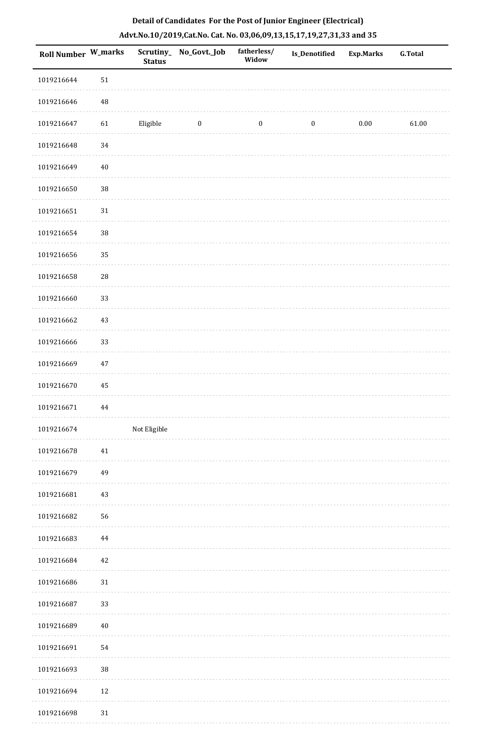| <b>Roll Number W_marks</b> |            | <b>Status</b> | Scrutiny_ No_Govt._Job | fatherless/<br>Widow | Is_Denotified    | <b>Exp.Marks</b> | <b>G.Total</b> |
|----------------------------|------------|---------------|------------------------|----------------------|------------------|------------------|----------------|
| 1019216644                 | $51\,$     |               |                        |                      |                  |                  |                |
| 1019216646                 | $\rm 48$   |               |                        |                      |                  |                  |                |
| 1019216647                 | 61         | Eligible      | $\bf{0}$               | $\boldsymbol{0}$     | $\boldsymbol{0}$ | $0.00\,$         | 61.00          |
| 1019216648                 | 34         |               |                        |                      |                  |                  |                |
| 1019216649                 | $40\,$     |               |                        |                      |                  |                  |                |
| 1019216650                 | 38         |               |                        |                      |                  |                  |                |
| 1019216651                 | $31\,$     |               |                        |                      |                  |                  |                |
| 1019216654                 | $38\,$     |               |                        |                      |                  |                  |                |
| 1019216656                 | 35         |               |                        |                      |                  |                  |                |
| 1019216658                 | ${\bf 28}$ |               |                        |                      |                  |                  |                |
| 1019216660                 | 33         |               |                        |                      |                  |                  |                |
| 1019216662                 | $43\,$     |               |                        |                      |                  |                  |                |
| 1019216666                 | 33         |               |                        |                      |                  |                  |                |
| 1019216669                 | $47\,$     |               |                        |                      |                  |                  |                |
| 1019216670                 | 45         |               |                        |                      |                  |                  |                |
| 1019216671                 | 44         |               |                        |                      |                  |                  |                |
| 1019216674                 |            | Not Eligible  |                        |                      |                  |                  |                |
| 1019216678                 | $41\,$     |               |                        |                      |                  |                  |                |
| 1019216679                 | 49         |               |                        |                      |                  |                  |                |
| 1019216681                 | $43\,$     |               |                        |                      |                  |                  |                |
| 1019216682                 | 56         |               |                        |                      |                  |                  |                |
| 1019216683                 | 44         |               |                        |                      |                  |                  |                |
| 1019216684                 | 42         |               |                        |                      |                  |                  |                |
| 1019216686                 | $31\,$     |               |                        |                      |                  |                  |                |
| 1019216687                 | 33         |               |                        |                      |                  |                  |                |
| 1019216689                 | $40\,$     |               |                        |                      |                  |                  |                |
| 1019216691                 | 54         |               |                        |                      |                  |                  |                |
| 1019216693                 | 38         |               |                        |                      |                  |                  |                |
| 1019216694                 | $12\,$     |               |                        |                      |                  |                  |                |
| 1019216698                 | $31\,$     |               |                        |                      |                  |                  |                |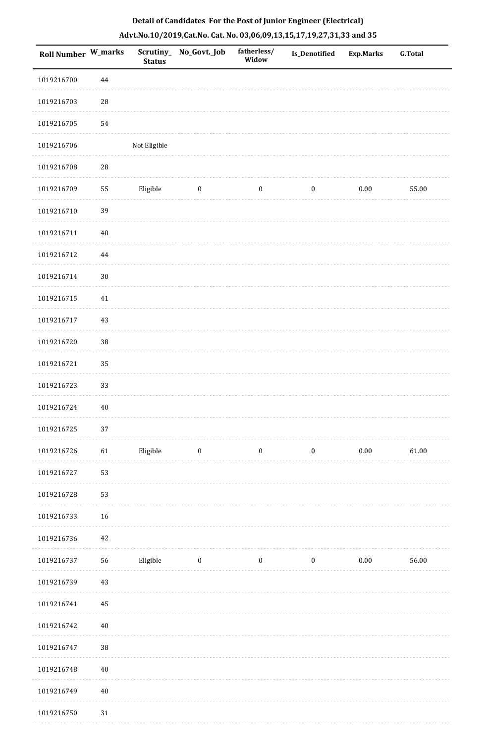| <b>Roll Number W_marks</b> |            | Scrutiny_<br><b>Status</b> | No_Govt._Job     | fatherless/<br>Widow | Is_Denotified    | <b>Exp.Marks</b> | <b>G.Total</b> |
|----------------------------|------------|----------------------------|------------------|----------------------|------------------|------------------|----------------|
| 1019216700                 | 44         |                            |                  |                      |                  |                  |                |
| 1019216703                 | ${\bf 28}$ |                            |                  |                      |                  |                  |                |
| 1019216705                 | 54         |                            |                  |                      |                  |                  |                |
| 1019216706                 |            | Not Eligible               |                  |                      |                  |                  |                |
| 1019216708                 | ${\bf 28}$ |                            |                  |                      |                  |                  |                |
| 1019216709                 | 55         | Eligible                   | $\bf{0}$         | $\boldsymbol{0}$     | $\boldsymbol{0}$ | 0.00             | 55.00          |
| 1019216710                 | 39         |                            |                  |                      |                  |                  |                |
| 1019216711                 | $40\,$     |                            |                  |                      |                  |                  |                |
| 1019216712                 | 44         |                            |                  |                      |                  |                  |                |
| 1019216714                 | $30\,$     |                            |                  |                      |                  |                  |                |
| 1019216715                 | $41\,$     |                            |                  |                      |                  |                  |                |
| 1019216717                 | 43         |                            |                  |                      |                  |                  |                |
| 1019216720                 | 38         |                            |                  |                      |                  |                  |                |
| 1019216721                 | 35         |                            |                  |                      |                  |                  |                |
| 1019216723                 | 33         |                            |                  |                      |                  |                  |                |
| 1019216724                 | $40\,$     |                            |                  |                      |                  |                  |                |
| 1019216725                 | 37         |                            |                  |                      |                  |                  |                |
| 1019216726                 | 61         | Eligible                   | $\bf{0}$         | $\boldsymbol{0}$     | $\boldsymbol{0}$ | 0.00             | 61.00          |
| 1019216727                 | 53         |                            |                  |                      |                  |                  |                |
| 1019216728                 | 53         |                            |                  |                      |                  |                  |                |
| 1019216733                 | 16         |                            |                  |                      |                  |                  |                |
| 1019216736                 | 42         |                            |                  |                      |                  |                  |                |
| 1019216737                 | 56         | Eligible                   | $\boldsymbol{0}$ | $\boldsymbol{0}$     | $\boldsymbol{0}$ | $0.00\,$         | 56.00          |
| 1019216739                 | $43\,$     |                            |                  |                      |                  |                  |                |
| 1019216741                 | 45         |                            |                  |                      |                  |                  |                |
| 1019216742                 | $40\,$     |                            |                  |                      |                  |                  |                |
| 1019216747                 | 38         |                            |                  |                      |                  |                  |                |
| 1019216748                 | $40\,$     |                            |                  |                      |                  |                  |                |
| 1019216749                 | $40\,$     |                            |                  |                      |                  |                  |                |
| 1019216750                 | 31         |                            |                  |                      |                  |                  |                |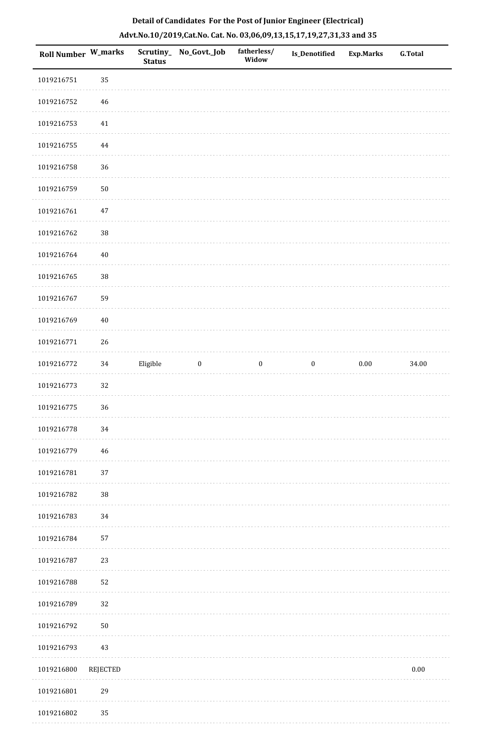| Roll Number W_marks |            | <b>Status</b> | Scrutiny_No_Govt._Job | fatherless/<br>Widow | Is_Denotified    | <b>Exp.Marks</b> | <b>G.Total</b> |
|---------------------|------------|---------------|-----------------------|----------------------|------------------|------------------|----------------|
| 1019216751          | 35         |               |                       |                      |                  |                  |                |
| 1019216752          | 46         |               |                       |                      |                  |                  |                |
| 1019216753          | $41\,$     |               |                       |                      |                  |                  |                |
| 1019216755          | 44         |               |                       |                      |                  |                  |                |
| 1019216758          | 36         |               |                       |                      |                  |                  |                |
| 1019216759          | $50\,$     |               |                       |                      |                  |                  |                |
| 1019216761          | 47         |               |                       |                      |                  |                  |                |
| 1019216762          | $38\,$     |               |                       |                      |                  |                  |                |
| 1019216764          | $40\,$     |               |                       |                      |                  |                  |                |
| 1019216765          | $38\,$     |               |                       |                      |                  |                  |                |
| 1019216767          | 59         |               |                       |                      |                  |                  |                |
| 1019216769          | $40\,$     |               |                       |                      |                  |                  |                |
| 1019216771          | 26         |               |                       |                      |                  |                  |                |
| 1019216772          | 34         | Eligible      | $\boldsymbol{0}$      | $\boldsymbol{0}$     | $\boldsymbol{0}$ | $0.00\,$         | 34.00          |
| 1019216773          | $32\,$     |               |                       |                      |                  |                  |                |
| 1019216775          | 36         |               |                       |                      |                  |                  |                |
| 1019216778          | 34         |               |                       |                      |                  |                  |                |
| 1019216779          | 46         |               |                       |                      |                  |                  |                |
| 1019216781          | 37         |               |                       |                      |                  |                  |                |
| 1019216782          | $38\,$     |               |                       |                      |                  |                  |                |
| 1019216783          | 34         |               |                       |                      |                  |                  |                |
| 1019216784          | 57         |               |                       |                      |                  |                  |                |
| 1019216787          | 23         |               |                       |                      |                  |                  |                |
| 1019216788          | 52         |               |                       |                      |                  |                  |                |
| 1019216789          | 32         |               |                       |                      |                  |                  |                |
| 1019216792          | ${\bf 50}$ |               |                       |                      |                  |                  |                |
| 1019216793          | 43         |               |                       |                      |                  |                  |                |
| 1019216800          | REJECTED   |               |                       |                      |                  |                  | 0.00           |
| 1019216801          | 29         |               |                       |                      |                  |                  |                |
| 1010216802          | 25         |               |                       |                      |                  |                  |                |

# **Detail of Candidates For the Post of Junior Engineer (Electrical) Advt.No.10/2019,Cat.No. Cat. No. 03,06,09,13,15,17,19,27,31,33 and 35**

 1019216802 35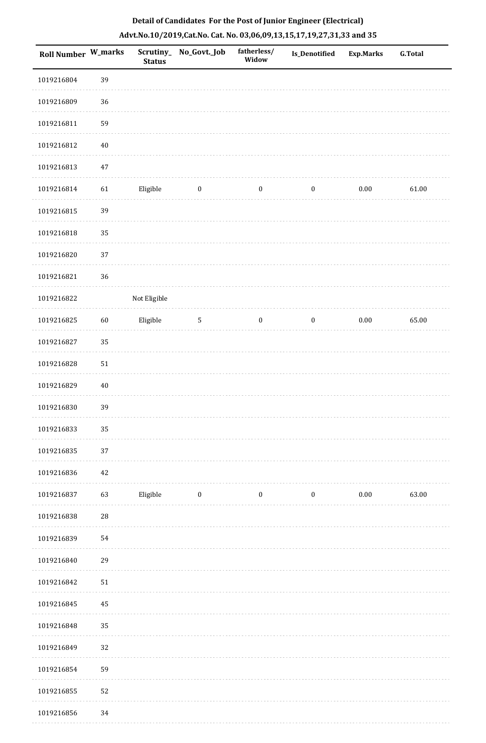| <b>Roll Number W_marks</b> |             | <b>Status</b> | Scrutiny_No_Govt._Job | fatherless/<br>Widow | <b>Is_Denotified</b> | <b>Exp.Marks</b> | <b>G.Total</b> |
|----------------------------|-------------|---------------|-----------------------|----------------------|----------------------|------------------|----------------|
| 1019216804                 | 39          |               |                       |                      |                      |                  |                |
| 1019216809                 | 36          |               |                       |                      |                      |                  |                |
| 1019216811                 | 59          |               |                       |                      |                      |                  |                |
| 1019216812                 | $40\,$      |               |                       |                      |                      |                  |                |
| 1019216813                 | $47\,$      |               |                       |                      |                      |                  |                |
| 1019216814                 | 61          | Eligible      | $\boldsymbol{0}$      | $\boldsymbol{0}$     | $\boldsymbol{0}$     | $0.00\,$         | 61.00          |
| 1019216815                 | 39          |               |                       |                      |                      |                  |                |
| 1019216818                 | 35          |               |                       |                      |                      |                  |                |
| 1019216820                 | 37          |               |                       |                      |                      |                  |                |
| 1019216821                 | 36          |               |                       |                      |                      |                  |                |
| 1019216822                 |             | Not Eligible  |                       |                      |                      |                  |                |
| 1019216825                 | 60          | Eligible      | $5\phantom{.0}$       | $\boldsymbol{0}$     | $\boldsymbol{0}$     | $0.00\,$         | 65.00          |
| 1019216827                 | 35          |               |                       |                      |                      |                  |                |
| 1019216828                 | 51          |               |                       |                      |                      |                  |                |
| 1019216829                 | $40\,$      |               |                       |                      |                      |                  |                |
| 1019216830                 | 39          |               |                       |                      |                      |                  |                |
| 1019216833                 | 35          |               |                       |                      |                      |                  |                |
| 1019216835                 | 37          |               |                       |                      |                      |                  |                |
| 1019216836                 | 42          |               |                       |                      |                      |                  |                |
| 1019216837                 | 63          | Eligible      | $\bf{0}$              | $\boldsymbol{0}$     | $\bf{0}$             | 0.00             | 63.00          |
| 1019216838                 | $\sqrt{28}$ |               |                       |                      |                      |                  |                |
| 1019216839                 | 54          |               |                       |                      |                      |                  |                |
| 1019216840                 | 29          |               |                       |                      |                      |                  |                |
| 1019216842                 | ${\bf 51}$  |               |                       |                      |                      |                  |                |
| 1019216845                 | 45          |               |                       |                      |                      |                  |                |
| 1019216848                 | 35          |               |                       |                      |                      |                  |                |
| 1019216849                 | 32          |               |                       |                      |                      |                  |                |
| 1019216854                 | 59          |               |                       |                      |                      |                  |                |
| 1019216855                 | 52          |               |                       |                      |                      |                  |                |
| 1019216856                 | 34          |               |                       |                      |                      |                  |                |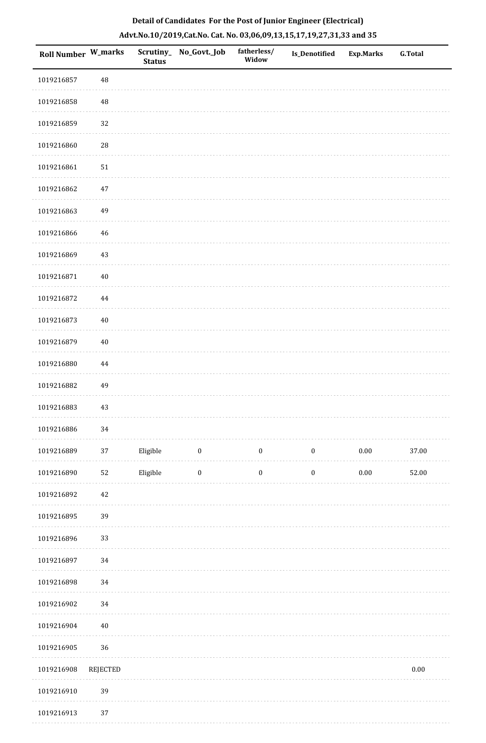| Roll Number W_marks |             | Scrutiny_<br><b>Status</b> | No_Govt._Job     | fatherless/<br>Widow | <b>Is_Denotified</b> | <b>Exp.Marks</b> | <b>G.Total</b> |
|---------------------|-------------|----------------------------|------------------|----------------------|----------------------|------------------|----------------|
| 1019216857          | 48          |                            |                  |                      |                      |                  |                |
| 1019216858          | $\sqrt{48}$ |                            |                  |                      |                      |                  |                |
| 1019216859          | 32          |                            |                  |                      |                      |                  |                |
| 1019216860          | ${\bf 28}$  |                            |                  |                      |                      |                  |                |
| 1019216861          | $51\,$      |                            |                  |                      |                      |                  |                |
| 1019216862          | $47\,$      |                            |                  |                      |                      |                  |                |
| 1019216863          | 49          |                            |                  |                      |                      |                  |                |
| 1019216866          | $\sqrt{46}$ |                            |                  |                      |                      |                  |                |
| 1019216869          | $43\,$      |                            |                  |                      |                      |                  |                |
| 1019216871          | $40\,$      |                            |                  |                      |                      |                  |                |
| 1019216872          | $\bf 44$    |                            |                  |                      |                      |                  |                |
| 1019216873          | $40\,$      |                            |                  |                      |                      |                  |                |
| 1019216879          | $40\,$      |                            |                  |                      |                      |                  |                |
| 1019216880          | 44          |                            |                  |                      |                      |                  |                |
| 1019216882          | 49          |                            |                  |                      |                      |                  |                |
| 1019216883          | $43\,$      |                            |                  |                      |                      |                  |                |
| 1019216886          | 34          |                            |                  |                      |                      |                  |                |
| 1019216889          | 37          | Eligible                   | $\bf{0}$         | $\boldsymbol{0}$     | $\boldsymbol{0}$     | $0.00\,$         | 37.00          |
| 1019216890          | 52          | Eligible                   | $\boldsymbol{0}$ | $\boldsymbol{0}$     | $\boldsymbol{0}$     | $0.00\,$         | 52.00          |
| 1019216892          | $42\,$      |                            |                  |                      |                      |                  |                |
| 1019216895          | 39          |                            |                  |                      |                      |                  |                |
| 1019216896          | 33          |                            |                  |                      |                      |                  |                |
| 1019216897          | 34          |                            |                  |                      |                      |                  |                |
| 1019216898          | 34          |                            |                  |                      |                      |                  |                |
| 1019216902          | $34\,$      |                            |                  |                      |                      |                  |                |
| 1019216904          | $40\,$      |                            |                  |                      |                      |                  |                |
| 1019216905          | $36\,$      |                            |                  |                      |                      |                  |                |
| 1019216908          | REJECTED    |                            |                  |                      |                      |                  | $0.00\,$       |
| 1019216910          | 39          |                            |                  |                      |                      |                  |                |
|                     |             |                            |                  |                      |                      |                  |                |

# **Detail of Candidates For the Post of Junior Engineer (Electrical) Advt.No.10/2019,Cat.No. Cat. No. 03,06,09,13,15,17,19,27,31,33 and 35**

1019216913 37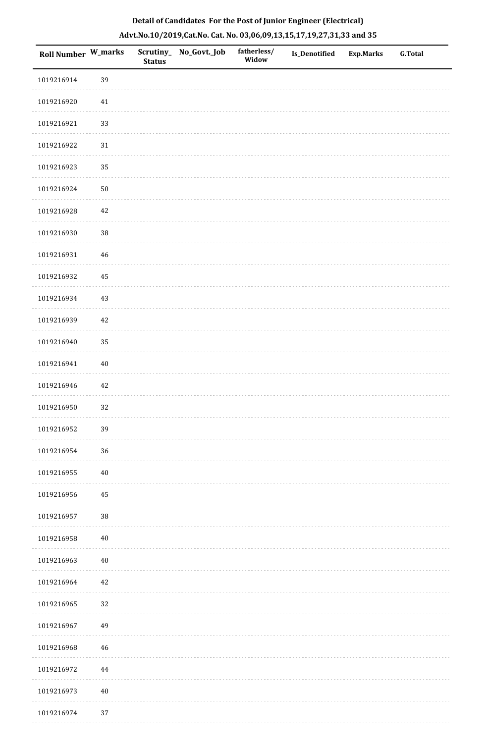| Roll Number W_marks |        | <b>Status</b> | Scrutiny_No_Govt._Job | fatherless/<br>Widow | Is_Denotified | <b>Exp.Marks</b> | <b>G.Total</b> |
|---------------------|--------|---------------|-----------------------|----------------------|---------------|------------------|----------------|
| 1019216914          | 39     |               |                       |                      |               |                  |                |
| 1019216920          | $41\,$ |               |                       |                      |               |                  |                |
| 1019216921          | 33     |               |                       |                      |               |                  |                |
| 1019216922          | $31\,$ |               |                       |                      |               |                  |                |
| 1019216923          | 35     |               |                       |                      |               |                  |                |
| 1019216924          | $50\,$ |               |                       |                      |               |                  |                |
| 1019216928          | $42\,$ |               |                       |                      |               |                  |                |
| 1019216930          | 38     |               |                       |                      |               |                  |                |
| 1019216931          | 46     |               |                       |                      |               |                  |                |
| 1019216932          | 45     |               |                       |                      |               |                  |                |
| 1019216934          | 43     |               |                       |                      |               |                  |                |
| 1019216939          | $42\,$ |               |                       |                      |               |                  |                |
| 1019216940          | 35     |               |                       |                      |               |                  |                |
| 1019216941          | $40\,$ |               |                       |                      |               |                  |                |
| 1019216946          | 42     |               |                       |                      |               |                  |                |
| 1019216950          | 32     |               |                       |                      |               |                  |                |
| 1019216952          | 39     |               |                       |                      |               |                  |                |
| 1019216954          | $36\,$ |               |                       |                      |               |                  |                |
| 1019216955          | $40\,$ |               |                       |                      |               |                  |                |
| 1019216956          | 45     |               |                       |                      |               |                  |                |
| 1019216957          | $38\,$ |               |                       |                      |               |                  |                |
| 1019216958          | $40\,$ |               |                       |                      |               |                  |                |
| 1019216963          | $40\,$ |               |                       |                      |               |                  |                |
| 1019216964          | 42     |               |                       |                      |               |                  |                |
| 1019216965          | 32     |               |                       |                      |               |                  |                |
| 1019216967          | 49     |               |                       |                      |               |                  |                |
| 1019216968          | 46     |               |                       |                      |               |                  |                |
| 1019216972          | 44     |               |                       |                      |               |                  |                |
| 1019216973          | $40\,$ |               |                       |                      |               |                  |                |
| 1019216974          | $37\,$ |               |                       |                      |               |                  |                |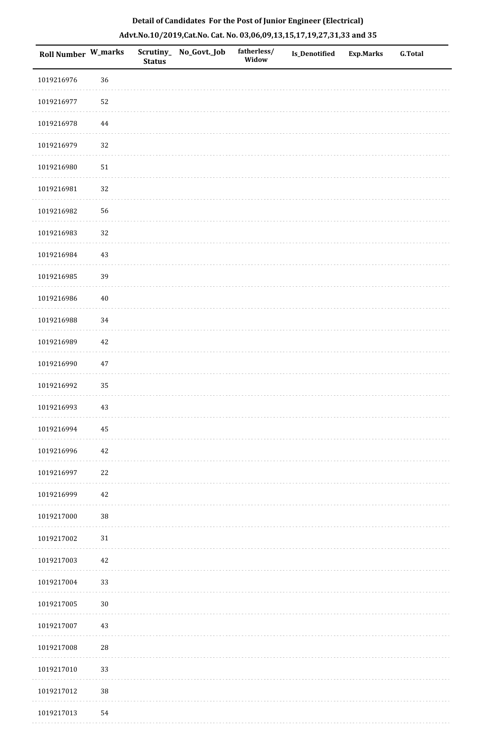| Roll Number W_marks |            | <b>Status</b> | Scrutiny_ No_Govt._Job | fatherless/<br>Widow | <b>Is_Denotified</b> | <b>Exp.Marks</b> | <b>G.Total</b> |
|---------------------|------------|---------------|------------------------|----------------------|----------------------|------------------|----------------|
| 1019216976          | 36         |               |                        |                      |                      |                  |                |
| 1019216977          | 52         |               |                        |                      |                      |                  |                |
| 1019216978          | $\bf 44$   |               |                        |                      |                      |                  |                |
| 1019216979          | $32\,$     |               |                        |                      |                      |                  |                |
| 1019216980          | $51\,$     |               |                        |                      |                      |                  |                |
| 1019216981          | 32         |               |                        |                      |                      |                  |                |
| 1019216982          | 56         |               |                        |                      |                      |                  |                |
| 1019216983          | 32         |               |                        |                      |                      |                  |                |
| 1019216984          | $43\,$     |               |                        |                      |                      |                  |                |
| 1019216985          | 39         |               |                        |                      |                      |                  |                |
| 1019216986          | $40\,$     |               |                        |                      |                      |                  |                |
| 1019216988          | 34         |               |                        |                      |                      |                  |                |
| 1019216989          | $42\,$     |               |                        |                      |                      |                  |                |
| 1019216990          | $47\,$     |               |                        |                      |                      |                  |                |
| 1019216992          | 35         |               |                        |                      |                      |                  |                |
| 1019216993          | $43\,$     |               |                        |                      |                      |                  |                |
| 1019216994          | $\bf 45$   |               |                        |                      |                      |                  |                |
| 1019216996          | 42         |               |                        |                      |                      |                  |                |
| 1019216997          | 22         |               |                        |                      |                      |                  |                |
| 1019216999          | 42         |               |                        |                      |                      |                  |                |
| 1019217000          | $38\,$     |               |                        |                      |                      |                  |                |
| 1019217002          | $31\,$     |               |                        |                      |                      |                  |                |
| 1019217003          | $42\,$     |               |                        |                      |                      |                  |                |
| 1019217004          | 33         |               |                        |                      |                      |                  |                |
| 1019217005          | $30\,$     |               |                        |                      |                      |                  |                |
| 1019217007          | $43\,$     |               |                        |                      |                      |                  |                |
| 1019217008          | ${\bf 28}$ |               |                        |                      |                      |                  |                |
| 1019217010          | 33         |               |                        |                      |                      |                  |                |
| 1019217012          | $38\,$     |               |                        |                      |                      |                  |                |
| 1019217013          | 54         |               |                        |                      |                      |                  |                |

 $1.1.1.1$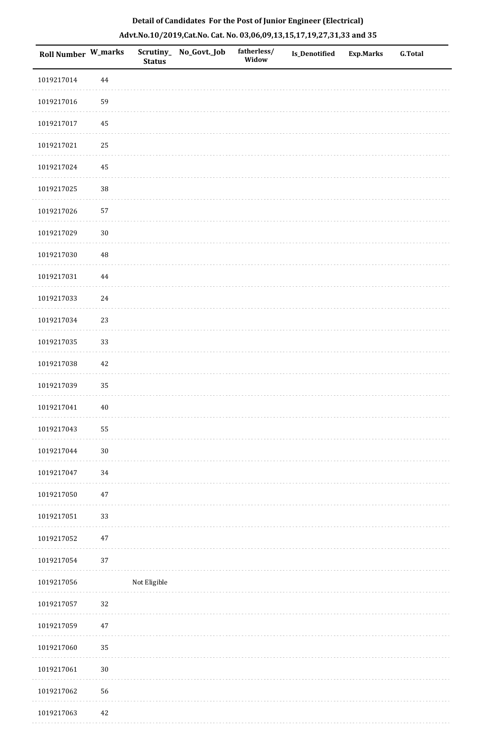| <b>Roll Number W_marks</b> |          | <b>Status</b> | Scrutiny_ No_Govt._Job | fatherless/<br>Widow | Is_Denotified | <b>Exp.Marks</b> | <b>G.Total</b> |
|----------------------------|----------|---------------|------------------------|----------------------|---------------|------------------|----------------|
| 1019217014                 | $\bf 44$ |               |                        |                      |               |                  |                |
| 1019217016                 | 59       |               |                        |                      |               |                  |                |
| 1019217017                 | 45       |               |                        |                      |               |                  |                |
| 1019217021                 | 25       |               |                        |                      |               |                  |                |
| 1019217024                 | $\bf 45$ |               |                        |                      |               |                  |                |
| 1019217025                 | 38       |               |                        |                      |               |                  |                |
| 1019217026                 | 57       |               |                        |                      |               |                  |                |
| 1019217029                 | $30\,$   |               |                        |                      |               |                  |                |
| 1019217030                 | $\rm 48$ |               |                        |                      |               |                  |                |
| 1019217031                 | $\bf 44$ |               |                        |                      |               |                  |                |
| 1019217033                 | $24\,$   |               |                        |                      |               |                  |                |
| 1019217034                 | 23       |               |                        |                      |               |                  |                |
| 1019217035                 | 33       |               |                        |                      |               |                  |                |
| 1019217038                 | $42\,$   |               |                        |                      |               |                  |                |
| 1019217039                 | 35       |               |                        |                      |               |                  |                |
| 1019217041                 | $40\,$   |               |                        |                      |               |                  |                |
| 1019217043                 | 55       |               |                        |                      |               |                  |                |
| 1019217044                 | $30\,$   |               |                        |                      |               |                  |                |
| 1019217047                 | 34       |               |                        |                      |               |                  |                |
| 1019217050                 | $47\,$   |               |                        |                      |               |                  |                |
| 1019217051                 | 33       |               |                        |                      |               |                  |                |
| 1019217052                 | $47\,$   |               |                        |                      |               |                  |                |
| 1019217054                 | $37\,$   |               |                        |                      |               |                  |                |
| 1019217056                 |          | Not Eligible  |                        |                      |               |                  |                |
| 1019217057                 | 32       |               |                        |                      |               |                  |                |
| 1019217059                 | $47\,$   |               |                        |                      |               |                  |                |
| 1019217060                 | 35       |               |                        |                      |               |                  |                |
| 1019217061                 | $30\,$   |               |                        |                      |               |                  |                |
| 1019217062                 | 56       |               |                        |                      |               |                  |                |
| 1019217063                 | $42\,$   |               |                        |                      |               |                  |                |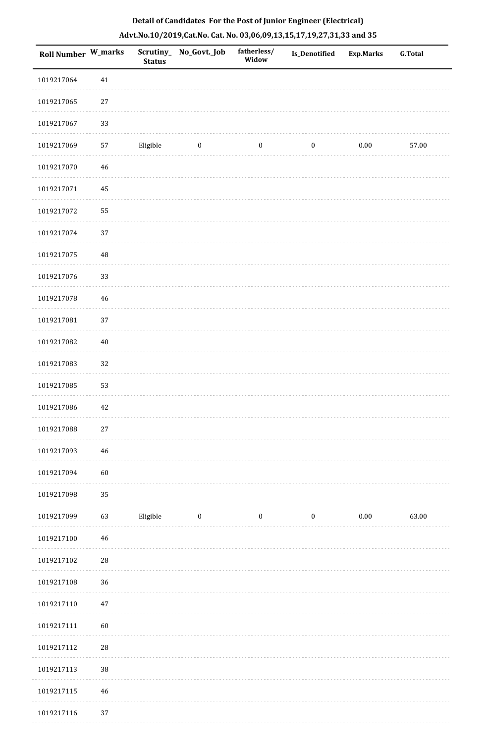| <b>Roll Number W_marks</b> |          | <b>Status</b> | Scrutiny_No_Govt._Job | fatherless/<br>Widow | <b>Is_Denotified</b> | <b>Exp.Marks</b> | <b>G.Total</b> |
|----------------------------|----------|---------------|-----------------------|----------------------|----------------------|------------------|----------------|
| 1019217064                 | $41\,$   |               |                       |                      |                      |                  |                |
| 1019217065                 | $27\,$   |               |                       |                      |                      |                  |                |
| 1019217067                 | 33       |               |                       |                      |                      |                  |                |
| 1019217069                 | 57       | Eligible      | $\boldsymbol{0}$      | $\boldsymbol{0}$     | $\boldsymbol{0}$     | $0.00\,$         | 57.00          |
| 1019217070                 | 46       |               |                       |                      |                      |                  |                |
| 1019217071                 | 45       |               |                       |                      |                      |                  |                |
| 1019217072                 | 55       |               |                       |                      |                      |                  |                |
| 1019217074                 | 37       |               |                       |                      |                      |                  |                |
| 1019217075                 | $\rm 48$ |               |                       |                      |                      |                  |                |
| 1019217076                 | 33       |               |                       |                      |                      |                  |                |
| 1019217078                 | $46\,$   |               |                       |                      |                      |                  |                |
| 1019217081                 | 37       |               |                       |                      |                      |                  |                |
| 1019217082                 | $40\,$   |               |                       |                      |                      |                  |                |
| 1019217083                 | 32       |               |                       |                      |                      |                  |                |
| 1019217085                 | 53       |               |                       |                      |                      |                  |                |
| 1019217086                 | $42\,$   |               |                       |                      |                      |                  |                |
| 1019217088                 | $27\,$   |               |                       |                      |                      |                  |                |
| 1019217093                 | 46       |               |                       |                      |                      |                  |                |
| 1019217094                 | 60       |               |                       |                      |                      |                  |                |
| 1019217098                 | 35       |               |                       |                      |                      |                  |                |
| 1019217099                 | 63       | Eligible      | $\bf{0}$              | $\boldsymbol{0}$     | $\boldsymbol{0}$     | 0.00             | 63.00          |
| 1019217100                 | $46\,$   |               |                       |                      |                      |                  |                |
| 1019217102                 | $28\,$   |               |                       |                      |                      |                  |                |
| 1019217108                 | 36       |               |                       |                      |                      |                  |                |
| 1019217110                 | $47\,$   |               |                       |                      |                      |                  |                |
| 1019217111                 | 60       |               |                       |                      |                      |                  |                |
| 1019217112                 | $28\,$   |               |                       |                      |                      |                  |                |
| 1019217113                 | $38\,$   |               |                       |                      |                      |                  |                |
| 1019217115                 | $46\,$   |               |                       |                      |                      |                  |                |
| 1019217116                 | 37       |               |                       |                      |                      |                  |                |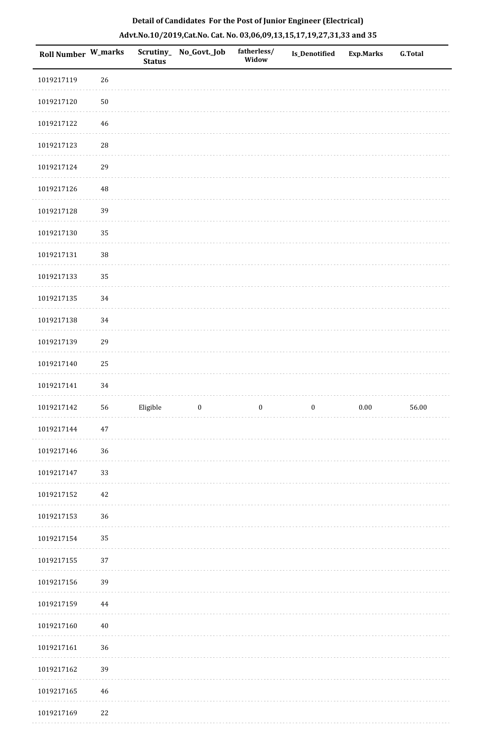| Roll Number W_marks |             | Scrutiny_<br><b>Status</b> | No_Govt._Job     | fatherless/<br>Widow | <b>Is_Denotified</b> | Exp.Marks | <b>G.Total</b> |
|---------------------|-------------|----------------------------|------------------|----------------------|----------------------|-----------|----------------|
| 1019217119          | 26          |                            |                  |                      |                      |           |                |
| 1019217120          | $50\,$      |                            |                  |                      |                      |           |                |
| 1019217122          | 46          |                            |                  |                      |                      |           |                |
| 1019217123          | ${\bf 28}$  |                            |                  |                      |                      |           |                |
| 1019217124          | 29          |                            |                  |                      |                      |           |                |
| 1019217126          | $\rm 48$    |                            |                  |                      |                      |           |                |
| 1019217128          | 39          |                            |                  |                      |                      |           |                |
| 1019217130          | 35          |                            |                  |                      |                      |           |                |
| 1019217131          | 38          |                            |                  |                      |                      |           |                |
| 1019217133          | 35          |                            |                  |                      |                      |           |                |
| 1019217135          | 34          |                            |                  |                      |                      |           |                |
| 1019217138          | 34          |                            |                  |                      |                      |           |                |
| 1019217139          | 29          |                            |                  |                      |                      |           |                |
| 1019217140          | $25\,$      |                            |                  |                      |                      |           |                |
| 1019217141          | 34          |                            |                  |                      |                      |           |                |
| 1019217142          | 56          | Eligible                   | $\boldsymbol{0}$ | $\boldsymbol{0}$     | $\boldsymbol{0}$     | $0.00\,$  | 56.00          |
| 1019217144          | $47\,$      |                            |                  |                      |                      |           |                |
| 1019217146          | 36          |                            |                  |                      |                      |           |                |
| 1019217147          | 33          |                            |                  |                      |                      |           |                |
| 1019217152          | $42\,$      |                            |                  |                      |                      |           |                |
| 1019217153          | 36          |                            |                  |                      |                      |           |                |
| 1019217154          | 35          |                            |                  |                      |                      |           |                |
| 1019217155          | 37          |                            |                  |                      |                      |           |                |
| 1019217156          | 39          |                            |                  |                      |                      |           |                |
| 1019217159          | $\bf 44$    |                            |                  |                      |                      |           |                |
| 1019217160          | $40\,$      |                            |                  |                      |                      |           |                |
| 1019217161          | 36          |                            |                  |                      |                      |           |                |
| 1019217162          | 39          |                            |                  |                      |                      |           |                |
| 1019217165          | $\sqrt{46}$ |                            |                  |                      |                      |           |                |
| 1019217169          | $22\,$      |                            |                  |                      |                      |           |                |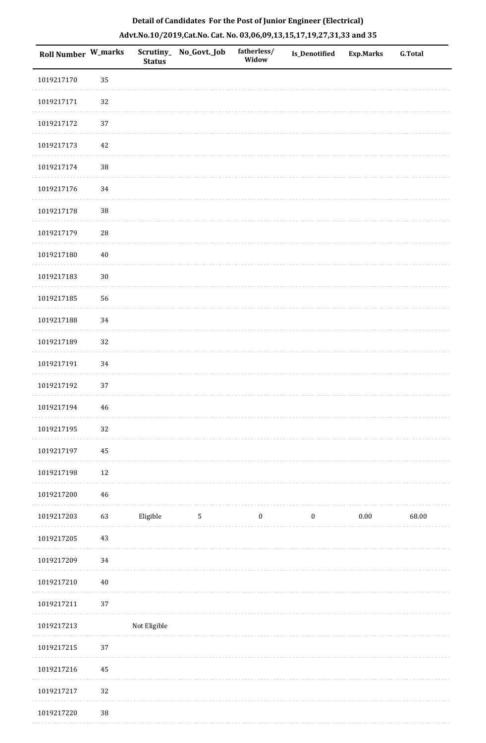| Roll Number W_marks |        | <b>Status</b> | Scrutiny_ No_Govt._Job | fatherless/<br>Widow | Is_Denotified    | <b>Exp.Marks</b> | <b>G.Total</b> |
|---------------------|--------|---------------|------------------------|----------------------|------------------|------------------|----------------|
| 1019217170          | 35     |               |                        |                      |                  |                  |                |
| 1019217171          | 32     |               |                        |                      |                  |                  |                |
| 1019217172          | 37     |               |                        |                      |                  |                  |                |
| 1019217173          | 42     |               |                        |                      |                  |                  |                |
| 1019217174          | 38     |               |                        |                      |                  |                  |                |
| 1019217176          | 34     |               |                        |                      |                  |                  |                |
| 1019217178          | $38\,$ |               |                        |                      |                  |                  |                |
| 1019217179          | 28     |               |                        |                      |                  |                  |                |
| 1019217180          | $40\,$ |               |                        |                      |                  |                  |                |
| 1019217183          | $30\,$ |               |                        |                      |                  |                  |                |
| 1019217185          | 56     |               |                        |                      |                  |                  |                |
| 1019217188          | 34     |               |                        |                      |                  |                  |                |
| 1019217189          | 32     |               |                        |                      |                  |                  |                |
| 1019217191          | 34     |               |                        |                      |                  |                  |                |
| 1019217192          | 37     |               |                        |                      |                  |                  |                |
| 1019217194          | 46     |               |                        |                      |                  |                  |                |
| 1019217195          | 32     |               |                        |                      |                  |                  |                |
| 1019217197          | 45     |               |                        |                      |                  |                  |                |
| 1019217198          | 12     |               |                        |                      |                  |                  |                |
| 1019217200          | 46     |               |                        |                      |                  |                  |                |
| 1019217203          | 63     | Eligible      | $\mathbf{5}$           | $\boldsymbol{0}$     | $\boldsymbol{0}$ | $0.00\,$         | 68.00          |
| 1019217205          | 43     |               |                        |                      |                  |                  |                |
| 1019217209          | 34     |               |                        |                      |                  |                  |                |
| 1019217210          | $40\,$ |               |                        |                      |                  |                  |                |
| 1019217211          | 37     |               |                        |                      |                  |                  |                |
| 1019217213          |        | Not Eligible  |                        |                      |                  |                  |                |
| 1019217215          | 37     |               |                        |                      |                  |                  |                |
| 1019217216          | 45     |               |                        |                      |                  |                  |                |
| 1019217217          | 32     |               |                        |                      |                  |                  |                |
| 1019217220          | $38\,$ |               |                        |                      |                  |                  |                |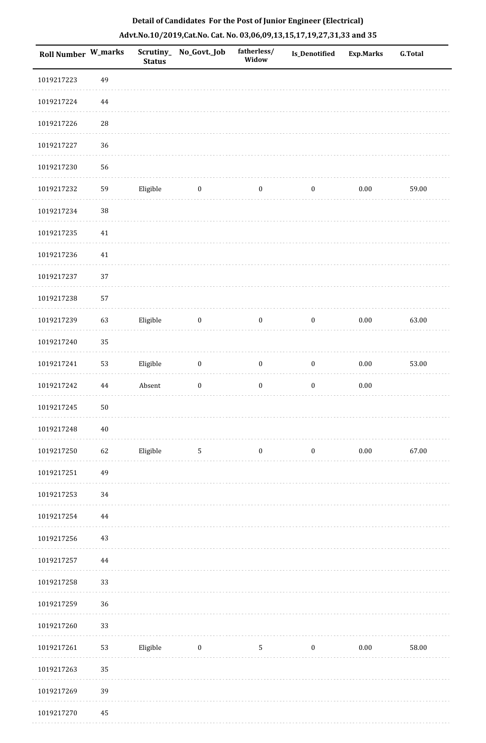| <b>Roll Number W_marks</b> |        | <b>Status</b> | Scrutiny_No_Govt._Job | fatherless/<br>Widow | <b>Is_Denotified</b> | <b>Exp.Marks</b> | <b>G.Total</b> |
|----------------------------|--------|---------------|-----------------------|----------------------|----------------------|------------------|----------------|
| 1019217223                 | 49     |               |                       |                      |                      |                  |                |
| 1019217224                 | 44     |               |                       |                      |                      |                  |                |
| 1019217226                 | 28     |               |                       |                      |                      |                  |                |
| 1019217227                 | 36     |               |                       |                      |                      |                  |                |
| 1019217230                 | 56     |               |                       |                      |                      |                  |                |
| 1019217232                 | 59     | Eligible      | $\bf{0}$              | $\boldsymbol{0}$     | $\boldsymbol{0}$     | 0.00             | 59.00          |
| 1019217234                 | $38\,$ |               |                       |                      |                      |                  |                |
| 1019217235                 | $41\,$ |               |                       |                      |                      |                  |                |
| 1019217236                 | $41\,$ |               |                       |                      |                      |                  |                |
| 1019217237                 | 37     |               |                       |                      |                      |                  |                |
| 1019217238                 | 57     |               |                       |                      |                      |                  |                |
| 1019217239                 | 63     | Eligible      | $\bf{0}$              | $\bf{0}$             | $\boldsymbol{0}$     | 0.00             | 63.00          |
| 1019217240                 | 35     |               |                       |                      |                      |                  |                |
| 1019217241                 | 53     | Eligible      | $\boldsymbol{0}$      | $\boldsymbol{0}$     | $\boldsymbol{0}$     | $0.00\,$         | 53.00          |
| 1019217242                 | 44     | Absent        | $\boldsymbol{0}$      | $\boldsymbol{0}$     | $\boldsymbol{0}$     | $0.00\,$         |                |
| 1019217245                 | $50\,$ |               |                       |                      |                      |                  |                |
| 1019217248                 | $40\,$ |               |                       |                      |                      |                  |                |
| 1019217250                 | 62     | Eligible      | $5\phantom{.0}$       | $\boldsymbol{0}$     | $\boldsymbol{0}$     | $0.00\,$         | 67.00          |
| 1019217251                 | 49     |               |                       |                      |                      |                  |                |
| 1019217253                 | 34     |               |                       |                      |                      |                  |                |
| 1019217254                 | 44     |               |                       |                      |                      |                  |                |
| 1019217256                 | 43     |               |                       |                      |                      |                  |                |
| 1019217257                 | 44     |               |                       |                      |                      |                  |                |
| 1019217258                 | 33     |               |                       |                      |                      |                  |                |
| 1019217259                 | 36     |               |                       |                      |                      |                  |                |
| 1019217260                 | 33     |               |                       |                      |                      |                  |                |
| 1019217261                 | 53     | Eligible      | $\bf{0}$              | $\mathbf{5}$         | $\boldsymbol{0}$     | $0.00\,$         | 58.00          |
| 1019217263                 | 35     |               |                       |                      |                      |                  |                |
| 1019217269                 | 39     |               |                       |                      |                      |                  |                |
| 1019217270                 | 45     |               |                       |                      |                      |                  |                |

1019217270 45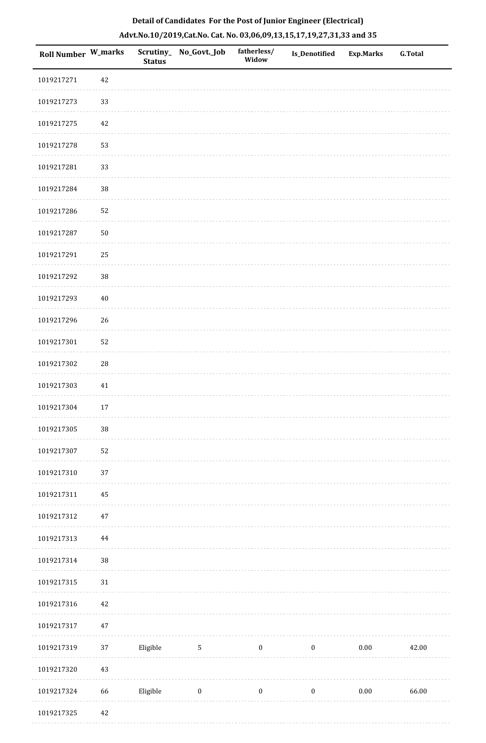| <b>Roll Number W_marks</b> |            | <b>Status</b> | Scrutiny_ No_Govt._Job | fatherless/<br>Widow | <b>Is_Denotified</b> | Exp.Marks | <b>G.Total</b> |
|----------------------------|------------|---------------|------------------------|----------------------|----------------------|-----------|----------------|
| 1019217271                 | 42         |               |                        |                      |                      |           |                |
| 1019217273                 | 33         |               |                        |                      |                      |           |                |
| 1019217275                 | $42\,$     |               |                        |                      |                      |           |                |
| 1019217278                 | 53         |               |                        |                      |                      |           |                |
| 1019217281                 | 33         |               |                        |                      |                      |           |                |
| 1019217284                 | 38         |               |                        |                      |                      |           |                |
| 1019217286                 | 52         |               |                        |                      |                      |           |                |
| 1019217287                 | $50\,$     |               |                        |                      |                      |           |                |
| 1019217291                 | 25         |               |                        |                      |                      |           |                |
| 1019217292                 | 38         |               |                        |                      |                      |           |                |
| 1019217293                 | $40\,$     |               |                        |                      |                      |           |                |
| 1019217296                 | 26         |               |                        |                      |                      |           |                |
| 1019217301                 | 52         |               |                        |                      |                      |           |                |
| 1019217302                 | ${\bf 28}$ |               |                        |                      |                      |           |                |
| 1019217303                 | $41\,$     |               |                        |                      |                      |           |                |
| 1019217304                 | $17\,$     |               |                        |                      |                      |           |                |
| 1019217305                 | $38\,$     |               |                        |                      |                      |           |                |
| 1019217307                 | 52         |               |                        |                      |                      |           |                |
| 1019217310                 | 37         |               |                        |                      |                      |           |                |
| 1019217311                 | 45         |               |                        |                      |                      |           |                |
| 1019217312                 | $47\,$     |               |                        |                      |                      |           |                |
| 1019217313                 | 44         |               |                        |                      |                      |           |                |
| 1019217314                 | 38         |               |                        |                      |                      |           |                |
| 1019217315                 | $31\,$     |               |                        |                      |                      |           |                |
| 1019217316                 | $42\,$     |               |                        |                      |                      |           |                |
| 1019217317                 | $47\,$     |               |                        |                      |                      |           |                |
| 1019217319                 | 37         | Eligible      | $\mathbf{5}$           | $\boldsymbol{0}$     | $\boldsymbol{0}$     | $0.00\,$  | 42.00          |
| 1019217320                 | 43         |               |                        |                      |                      |           |                |
| 1019217324                 | 66         | Eligible      | $\boldsymbol{0}$       | $\boldsymbol{0}$     | $\boldsymbol{0}$     | $0.00\,$  | 66.00          |
| 1019217325                 | 42         |               |                        |                      |                      |           |                |

1019217325 42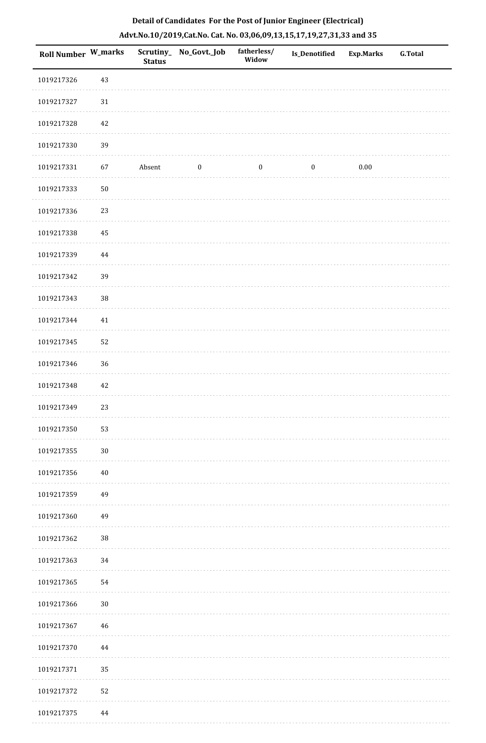| <b>Roll Number W_marks</b> |        | <b>Status</b> | Scrutiny_ No_Govt._Job | fatherless/<br>Widow | <b>Is_Denotified</b> | <b>Exp.Marks</b> | <b>G.Total</b> |
|----------------------------|--------|---------------|------------------------|----------------------|----------------------|------------------|----------------|
| 1019217326                 | $43\,$ |               |                        |                      |                      |                  |                |
| 1019217327                 | $31\,$ |               |                        |                      |                      |                  |                |
| 1019217328                 | 42     |               |                        |                      |                      |                  |                |
| 1019217330                 | 39     |               |                        |                      |                      |                  |                |
| 1019217331                 | 67     | Absent        | $\bf{0}$               | $\bf{0}$             | $\boldsymbol{0}$     | 0.00             |                |
| 1019217333                 | $50\,$ |               |                        |                      |                      |                  |                |
| 1019217336                 | 23     |               |                        |                      |                      |                  |                |
| 1019217338                 | 45     |               |                        |                      |                      |                  |                |
| 1019217339                 | 44     |               |                        |                      |                      |                  |                |
| 1019217342                 | 39     |               |                        |                      |                      |                  |                |
| 1019217343                 | $38\,$ |               |                        |                      |                      |                  |                |
| 1019217344                 | $41\,$ |               |                        |                      |                      |                  |                |
| 1019217345                 | 52     |               |                        |                      |                      |                  |                |
| 1019217346                 | $36\,$ |               |                        |                      |                      |                  |                |
| 1019217348                 | 42     |               |                        |                      |                      |                  |                |
| 1019217349                 | 23     |               |                        |                      |                      |                  |                |
| 1019217350                 | 53     |               |                        |                      |                      |                  |                |
| 1019217355                 | 30     |               |                        |                      |                      |                  |                |
| 1019217356                 | $40\,$ |               |                        |                      |                      |                  |                |
| 1019217359                 | 49     |               |                        |                      |                      |                  |                |
| 1019217360                 | 49     |               |                        |                      |                      |                  |                |
| 1019217362                 | $38\,$ |               |                        |                      |                      |                  |                |
| 1019217363                 | 34     |               |                        |                      |                      |                  |                |
| 1019217365                 | 54     |               |                        |                      |                      |                  |                |
| 1019217366                 | $30\,$ |               |                        |                      |                      |                  |                |
| 1019217367                 | 46     |               |                        |                      |                      |                  |                |
| 1019217370                 | 44     |               |                        |                      |                      |                  |                |
| 1019217371                 | 35     |               |                        |                      |                      |                  |                |
| 1019217372                 | 52     |               |                        |                      |                      |                  |                |
| 1019217375                 | 44     |               |                        |                      |                      |                  |                |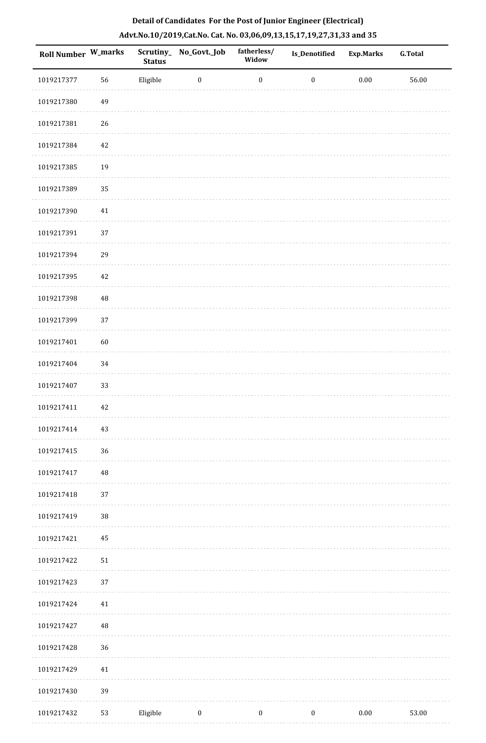| Roll Number W_marks |          | <b>Status</b> | Scrutiny_No_Govt._Job | fatherless/<br>Widow | Is_Denotified    | <b>Exp.Marks</b> | <b>G.Total</b> |
|---------------------|----------|---------------|-----------------------|----------------------|------------------|------------------|----------------|
| 1019217377          | 56       | Eligible      | $\boldsymbol{0}$      | $\boldsymbol{0}$     | $\boldsymbol{0}$ | $0.00\,$         | $56.00\,$      |
| 1019217380          | 49       |               |                       |                      |                  |                  |                |
| 1019217381          | 26       |               |                       |                      |                  |                  |                |
| 1019217384          | $42\,$   |               |                       |                      |                  |                  |                |
| 1019217385          | 19       |               |                       |                      |                  |                  |                |
| 1019217389          | 35       |               |                       |                      |                  |                  |                |
| 1019217390          | $41\,$   |               |                       |                      |                  |                  |                |
| 1019217391          | 37       |               |                       |                      |                  |                  |                |
| 1019217394          | 29       |               |                       |                      |                  |                  |                |
| 1019217395          | 42       |               |                       |                      |                  |                  |                |
| 1019217398          | $\rm 48$ |               |                       |                      |                  |                  |                |
| 1019217399          | 37       |               |                       |                      |                  |                  |                |
| 1019217401          | 60       |               |                       |                      |                  |                  |                |
| 1019217404          | 34       |               |                       |                      |                  |                  |                |
| 1019217407          | 33       |               |                       |                      |                  |                  |                |
| 1019217411          | 42       |               |                       |                      |                  |                  |                |
| 1019217414          | 43       |               |                       |                      |                  |                  |                |
| 1019217415          | 36       |               |                       |                      |                  |                  |                |
| 1019217417          | $\rm 48$ |               |                       |                      |                  |                  |                |
| 1019217418          | 37       |               |                       |                      |                  |                  |                |
| 1019217419          | $38\,$   |               |                       |                      |                  |                  |                |
| 1019217421          | 45       |               |                       |                      |                  |                  |                |
| 1019217422          | 51       |               |                       |                      |                  |                  |                |
| 1019217423          | 37       |               |                       |                      |                  |                  |                |
| 1019217424          | 41       |               |                       |                      |                  |                  |                |
| 1019217427          | $\rm 48$ |               |                       |                      |                  |                  |                |
| 1019217428          | 36       |               |                       |                      |                  |                  |                |
| 1019217429          | 41       |               |                       |                      |                  |                  |                |
| 1019217430          | 39       |               |                       |                      |                  |                  |                |
| 1019217432          | 53       | Eligible      | $\boldsymbol{0}$      | $\boldsymbol{0}$     | $\bf{0}$         | $0.00\,$         | 53.00          |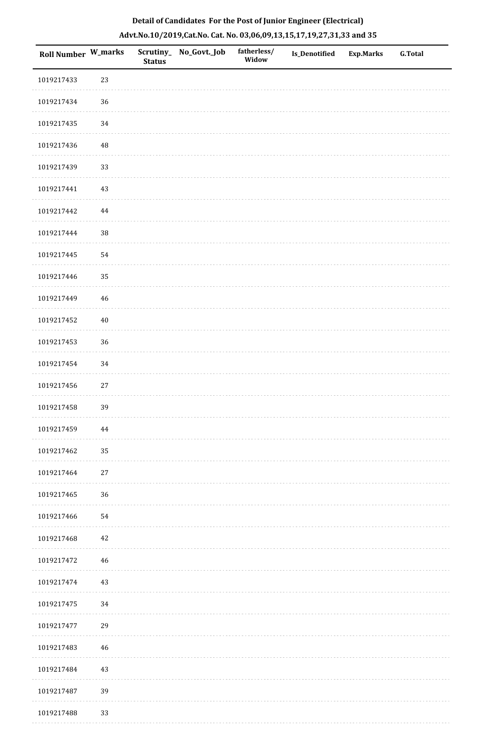| Roll Number W_marks |        | <b>Status</b> | Scrutiny_No_Govt._Job | fatherless/<br>Widow | Is_Denotified | <b>Exp.Marks</b> | <b>G.Total</b> |
|---------------------|--------|---------------|-----------------------|----------------------|---------------|------------------|----------------|
| 1019217433          | 23     |               |                       |                      |               |                  |                |
| 1019217434          | 36     |               |                       |                      |               |                  |                |
| 1019217435          | 34     |               |                       |                      |               |                  |                |
| 1019217436          | 48     |               |                       |                      |               |                  |                |
| 1019217439          | 33     |               |                       |                      |               |                  |                |
| 1019217441          | 43     |               |                       |                      |               |                  |                |
| 1019217442          | 44     |               |                       |                      |               |                  |                |
| 1019217444          | $38\,$ |               |                       |                      |               |                  |                |
| 1019217445          | 54     |               |                       |                      |               |                  |                |
| 1019217446          | 35     |               |                       |                      |               |                  |                |
| 1019217449          | 46     |               |                       |                      |               |                  |                |
| 1019217452          | $40\,$ |               |                       |                      |               |                  |                |
| 1019217453          | 36     |               |                       |                      |               |                  |                |
| 1019217454          | 34     |               |                       |                      |               |                  |                |
| 1019217456          | $27\,$ |               |                       |                      |               |                  |                |
| 1019217458          | 39     |               |                       |                      |               |                  |                |
| 1019217459          | 44     |               |                       |                      |               |                  |                |
| 1019217462          | 35     |               |                       |                      |               |                  |                |
| 1019217464          | 27     |               |                       |                      |               |                  |                |
| 1019217465          | 36     |               |                       |                      |               |                  |                |
| 1019217466          | 54     |               |                       |                      |               |                  |                |
| 1019217468          | 42     |               |                       |                      |               |                  |                |
| 1019217472          | 46     |               |                       |                      |               |                  |                |
| 1019217474          | 43     |               |                       |                      |               |                  |                |
| 1019217475          | 34     |               |                       |                      |               |                  |                |
| 1019217477          | 29     |               |                       |                      |               |                  |                |
| 1019217483          | 46     |               |                       |                      |               |                  |                |
| 1019217484          | $43\,$ |               |                       |                      |               |                  |                |
| 1019217487          | 39     |               |                       |                      |               |                  |                |
| 1019217488          | 33     |               |                       |                      |               |                  |                |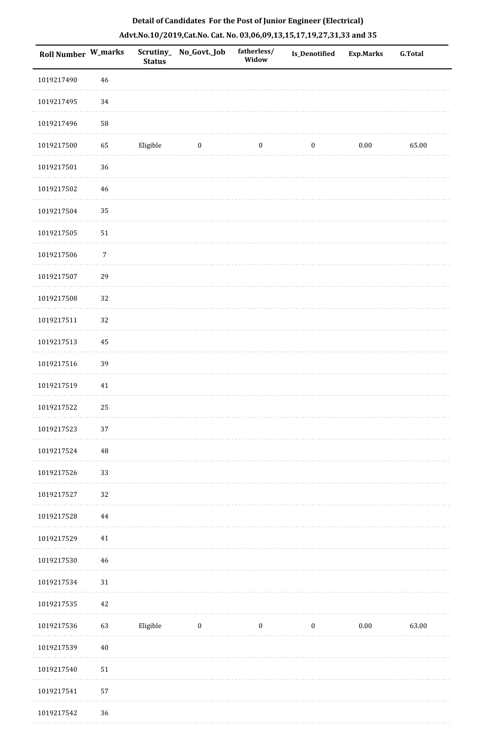| <b>Roll Number W_marks</b> |                  | <b>Status</b> | Scrutiny_ No_Govt._Job | fatherless/<br>Widow | <b>Is_Denotified</b> | <b>Exp.Marks</b> | <b>G.Total</b> |
|----------------------------|------------------|---------------|------------------------|----------------------|----------------------|------------------|----------------|
| 1019217490                 | 46               |               |                        |                      |                      |                  |                |
| 1019217495                 | 34               |               |                        |                      |                      |                  |                |
| 1019217496                 | 58               |               |                        |                      |                      |                  |                |
| 1019217500                 | 65               | Eligible      | $\boldsymbol{0}$       | $\boldsymbol{0}$     | $\boldsymbol{0}$     | $0.00\,$         | 65.00          |
| 1019217501                 | $36\,$           |               |                        |                      |                      |                  |                |
| 1019217502                 | 46               |               |                        |                      |                      |                  |                |
| 1019217504                 | 35               |               |                        |                      |                      |                  |                |
| 1019217505                 | $51\,$           |               |                        |                      |                      |                  |                |
| 1019217506                 | $\boldsymbol{7}$ |               |                        |                      |                      |                  |                |
| 1019217507                 | 29               |               |                        |                      |                      |                  |                |
| 1019217508                 | 32               |               |                        |                      |                      |                  |                |
| 1019217511                 | 32               |               |                        |                      |                      |                  |                |
| 1019217513                 | 45               |               |                        |                      |                      |                  |                |
| 1019217516                 | 39               |               |                        |                      |                      |                  |                |
| 1019217519                 | 41               |               |                        |                      |                      |                  |                |
| 1019217522                 | 25               |               |                        |                      |                      |                  |                |
| 1019217523                 | $37\,$           |               |                        |                      |                      |                  |                |
| 1019217524                 | 48               |               |                        |                      |                      |                  |                |
| 1019217526                 | 33               |               |                        |                      |                      |                  |                |
| 1019217527                 | 32               |               |                        |                      |                      |                  |                |
| 1019217528                 | 44               |               |                        |                      |                      |                  |                |
| 1019217529                 | $41\,$           |               |                        |                      |                      |                  |                |
| 1019217530                 | 46               |               |                        |                      |                      |                  |                |
| 1019217534                 | 31               |               |                        |                      |                      |                  |                |
| 1019217535                 | 42               |               |                        |                      |                      |                  |                |
| 1019217536                 | 63               | Eligible      | $\boldsymbol{0}$       | $\boldsymbol{0}$     | $\boldsymbol{0}$     | $0.00\,$         | 63.00          |
| 1019217539                 | 40               |               |                        |                      |                      |                  |                |
| 1019217540                 | 51               |               |                        |                      |                      |                  |                |
| 1019217541                 | 57               |               |                        |                      |                      |                  |                |
| 1019217542                 | 36               |               |                        |                      |                      |                  |                |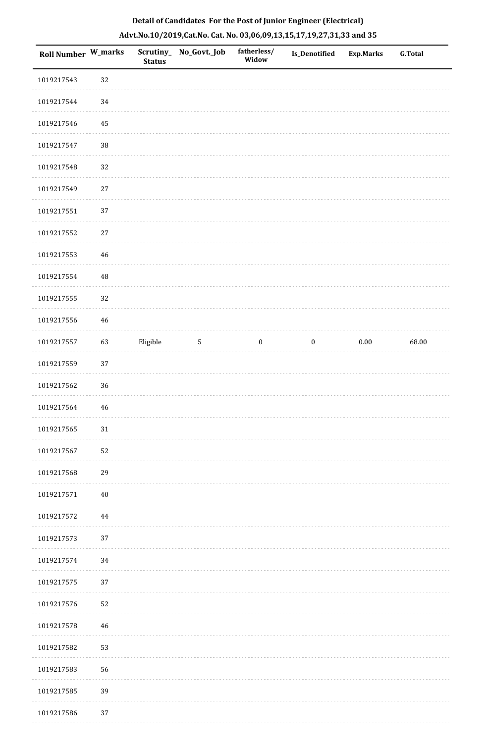| Roll Number W_marks |        | <b>Status</b> | Scrutiny_ No_Govt._Job | fatherless/<br>Widow | Is_Denotified    | <b>Exp.Marks</b> | G.Total |
|---------------------|--------|---------------|------------------------|----------------------|------------------|------------------|---------|
| 1019217543          | $32\,$ |               |                        |                      |                  |                  |         |
| 1019217544          | 34     |               |                        |                      |                  |                  |         |
| 1019217546          | 45     |               |                        |                      |                  |                  |         |
| 1019217547          | 38     |               |                        |                      |                  |                  |         |
| 1019217548          | 32     |               |                        |                      |                  |                  |         |
| 1019217549          | $27\,$ |               |                        |                      |                  |                  |         |
| 1019217551          | 37     |               |                        |                      |                  |                  |         |
| 1019217552          | $27\,$ |               |                        |                      |                  |                  |         |
| 1019217553          | $46\,$ |               |                        |                      |                  |                  |         |
| 1019217554          | 48     |               |                        |                      |                  |                  |         |
| 1019217555          | 32     |               |                        |                      |                  |                  |         |
| 1019217556          | $46\,$ |               |                        |                      |                  |                  |         |
| 1019217557          | 63     | Eligible      | $\sqrt{5}$             | $\bf{0}$             | $\boldsymbol{0}$ | $0.00\,$         | 68.00   |
| 1019217559          | 37     |               |                        |                      |                  |                  |         |
| 1019217562          | 36     |               |                        |                      |                  |                  |         |
| 1019217564          | $46\,$ |               |                        |                      |                  |                  |         |
| 1019217565          | $31\,$ |               |                        |                      |                  |                  |         |
| 1019217567          | 52     |               |                        |                      |                  |                  |         |
| 1019217568          | 29     |               |                        |                      |                  |                  |         |
| 1019217571          | $40\,$ |               |                        |                      |                  |                  |         |
| 1019217572          | 44     |               |                        |                      |                  |                  |         |
| 1019217573          | 37     |               |                        |                      |                  |                  |         |
| 1019217574          | 34     |               |                        |                      |                  |                  |         |
| 1019217575          | 37     |               |                        |                      |                  |                  |         |
| 1019217576          | 52     |               |                        |                      |                  |                  |         |
| 1019217578          | 46     |               |                        |                      |                  |                  |         |
| 1019217582          | 53     |               |                        |                      |                  |                  |         |
| 1019217583          | 56     |               |                        |                      |                  |                  |         |
| 1019217585          | 39     |               |                        |                      |                  |                  |         |
| 1019217586          | 37     |               |                        |                      |                  |                  |         |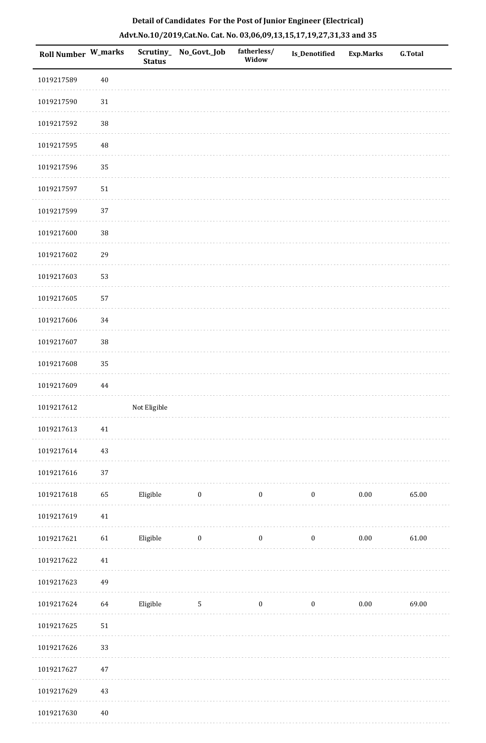| Roll Number W_marks |        | Scrutiny_<br><b>Status</b> | No_Govt._Job     | fatherless/<br>Widow | <b>Is_Denotified</b> | <b>Exp.Marks</b> | <b>G.Total</b> |
|---------------------|--------|----------------------------|------------------|----------------------|----------------------|------------------|----------------|
| 1019217589          | $40\,$ |                            |                  |                      |                      |                  |                |
| 1019217590          | $31\,$ |                            |                  |                      |                      |                  |                |
| 1019217592          | 38     |                            |                  |                      |                      |                  |                |
| 1019217595          | 48     |                            |                  |                      |                      |                  |                |
| 1019217596          | 35     |                            |                  |                      |                      |                  |                |
| 1019217597          | $51\,$ |                            |                  |                      |                      |                  |                |
| 1019217599          | 37     |                            |                  |                      |                      |                  |                |
| 1019217600          | 38     |                            |                  |                      |                      |                  |                |
| 1019217602          | 29     |                            |                  |                      |                      |                  |                |
| 1019217603          | 53     |                            |                  |                      |                      |                  |                |
| 1019217605          | 57     |                            |                  |                      |                      |                  |                |
| 1019217606          | 34     |                            |                  |                      |                      |                  |                |
| 1019217607          | 38     |                            |                  |                      |                      |                  |                |
| 1019217608          | 35     |                            |                  |                      |                      |                  |                |
| 1019217609          | 44     |                            |                  |                      |                      |                  |                |
| 1019217612          |        | Not Eligible               |                  |                      |                      |                  |                |
| 1019217613          | 41     |                            |                  |                      |                      |                  |                |
| 1019217614          | 43     |                            |                  |                      |                      |                  |                |
| 1019217616          | 37     |                            |                  |                      |                      |                  |                |
| 1019217618          | 65     | Eligible                   | $\bf{0}$         | $\boldsymbol{0}$     | $\boldsymbol{0}$     | $0.00\,$         | 65.00          |
| 1019217619          | $41\,$ |                            |                  |                      |                      |                  |                |
| 1019217621          | 61     | Eligible                   | $\boldsymbol{0}$ | $\boldsymbol{0}$     | $\boldsymbol{0}$     | $0.00\,$         | 61.00          |
| 1019217622          | 41     |                            |                  |                      |                      |                  |                |
| 1019217623          | 49     |                            |                  |                      |                      |                  |                |
| 1019217624          | 64     | Eligible                   | $\mathbf 5$      | $\boldsymbol{0}$     | $\boldsymbol{0}$     | $0.00\,$         | 69.00          |
| 1019217625          | $51\,$ |                            |                  |                      |                      |                  |                |
| 1019217626          | 33     |                            |                  |                      |                      |                  |                |
| 1019217627          | $47\,$ |                            |                  |                      |                      |                  |                |
| 1019217629          | $43\,$ |                            |                  |                      |                      |                  |                |
| 1019217630          | $40\,$ |                            |                  |                      |                      |                  |                |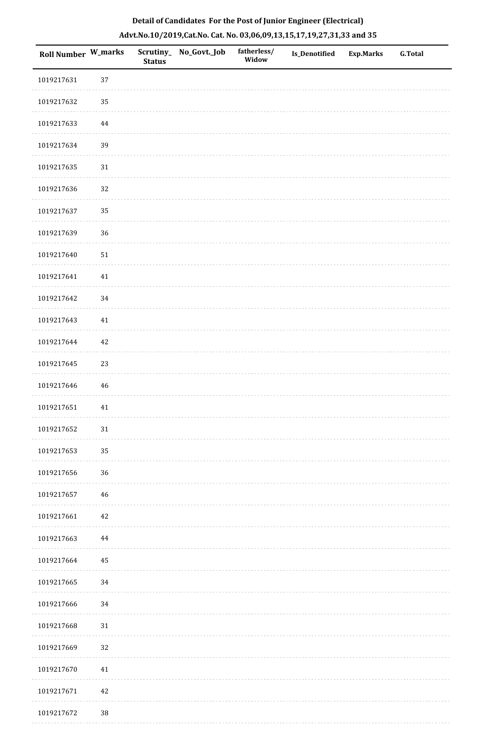| Roll Number W_marks |          | <b>Status</b> | Scrutiny_ No_Govt._Job | fatherless/<br>Widow | Is_Denotified | <b>Exp.Marks</b> | G.Total |
|---------------------|----------|---------------|------------------------|----------------------|---------------|------------------|---------|
| 1019217631          | 37       |               |                        |                      |               |                  |         |
| 1019217632          | 35       |               |                        |                      |               |                  |         |
| 1019217633          | $\bf 44$ |               |                        |                      |               |                  |         |
| 1019217634          | 39       |               |                        |                      |               |                  |         |
| 1019217635          | $31\,$   |               |                        |                      |               |                  |         |
| 1019217636          | 32       |               |                        |                      |               |                  |         |
| 1019217637          | 35       |               |                        |                      |               |                  |         |
| 1019217639          | 36       |               |                        |                      |               |                  |         |
| 1019217640          | $51\,$   |               |                        |                      |               |                  |         |
| 1019217641          | 41       |               |                        |                      |               |                  |         |
| 1019217642          | 34       |               |                        |                      |               |                  |         |
| 1019217643          | $41\,$   |               |                        |                      |               |                  |         |
| 1019217644          | $42\,$   |               |                        |                      |               |                  |         |
| 1019217645          | 23       |               |                        |                      |               |                  |         |
| 1019217646          | 46       |               |                        |                      |               |                  |         |
| 1019217651          | 41       |               |                        |                      |               |                  |         |
| 1019217652          | $31\,$   |               |                        |                      |               |                  |         |
| 1019217653          | 35       |               |                        |                      |               |                  |         |
| 1019217656          | 36       |               |                        |                      |               |                  |         |
| 1019217657          | $46\,$   |               |                        |                      |               |                  |         |
| 1019217661          | $42\,$   |               |                        |                      |               |                  |         |
| 1019217663          | 44       |               |                        |                      |               |                  |         |
| 1019217664          | 45       |               |                        |                      |               |                  |         |
| 1019217665          | 34       |               |                        |                      |               |                  |         |
| 1019217666          | 34       |               |                        |                      |               |                  |         |
| 1019217668          | $31\,$   |               |                        |                      |               |                  |         |
| 1019217669          | 32       |               |                        |                      |               |                  |         |
| 1019217670          | 41       |               |                        |                      |               |                  |         |
| 1019217671          | $42\,$   |               |                        |                      |               |                  |         |
| 1019217672          | $38\,$   |               |                        |                      |               |                  |         |

 $1.1.1.1$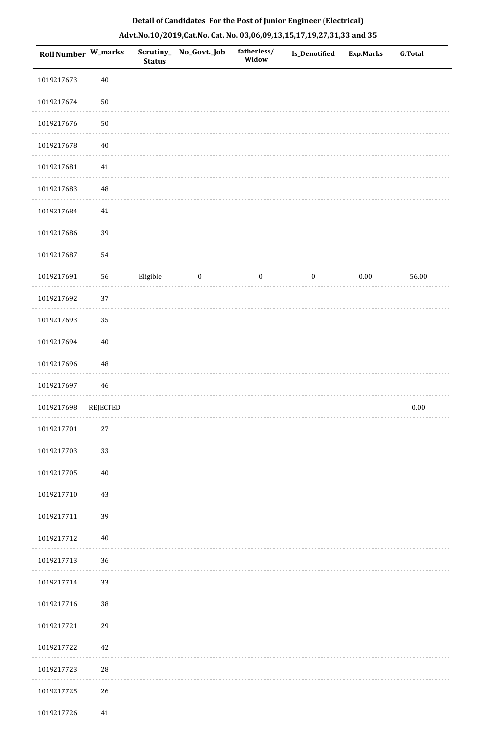| Roll Number W_marks |             | <b>Status</b> | Scrutiny_No_Govt._Job | fatherless/<br>Widow | <b>Is_Denotified</b> | <b>Exp.Marks</b> | <b>G.Total</b> |
|---------------------|-------------|---------------|-----------------------|----------------------|----------------------|------------------|----------------|
| 1019217673          | $40\,$      |               |                       |                      |                      |                  |                |
| 1019217674          | ${\bf 50}$  |               |                       |                      |                      |                  |                |
| 1019217676          | $50\,$      |               |                       |                      |                      |                  |                |
| 1019217678          | $40\,$      |               |                       |                      |                      |                  |                |
| 1019217681          | 41          |               |                       |                      |                      |                  |                |
| 1019217683          | $\rm 48$    |               |                       |                      |                      |                  |                |
| 1019217684          | $41\,$      |               |                       |                      |                      |                  |                |
| 1019217686          | 39          |               |                       |                      |                      |                  |                |
| 1019217687          | 54          |               |                       |                      |                      |                  |                |
| 1019217691          | 56          | Eligible      | $\boldsymbol{0}$      | $\boldsymbol{0}$     | $\boldsymbol{0}$     | $0.00\,$         | 56.00          |
| 1019217692          | 37          |               |                       |                      |                      |                  |                |
| 1019217693          | 35          |               |                       |                      |                      |                  |                |
| 1019217694          | 40          |               |                       |                      |                      |                  |                |
| 1019217696          | 48          |               |                       |                      |                      |                  |                |
| 1019217697          | $\sqrt{46}$ |               |                       |                      |                      |                  |                |
| 1019217698          | REJECTED    |               |                       |                      |                      |                  | $0.00\,$       |
| 1019217701          | 27          |               |                       |                      |                      |                  |                |
| 1019217703          | 33          |               |                       |                      |                      |                  |                |
| 1019217705          | $40\,$      |               |                       |                      |                      |                  |                |
| 1019217710          | 43          |               |                       |                      |                      |                  |                |
| 1019217711          | 39          |               |                       |                      |                      |                  |                |
| 1019217712          | $40\,$      |               |                       |                      |                      |                  |                |
| 1019217713          | 36          |               |                       |                      |                      |                  |                |
| 1019217714          | 33          |               |                       |                      |                      |                  |                |
| 1019217716          | $38\,$      |               |                       |                      |                      |                  |                |
| 1019217721          | 29          |               |                       |                      |                      |                  |                |
| 1019217722          | 42          |               |                       |                      |                      |                  |                |
| 1019217723          | $28\,$      |               |                       |                      |                      |                  |                |
| 1019217725          | 26          |               |                       |                      |                      |                  |                |
| 1019217726          | $41\,$      |               |                       |                      |                      |                  |                |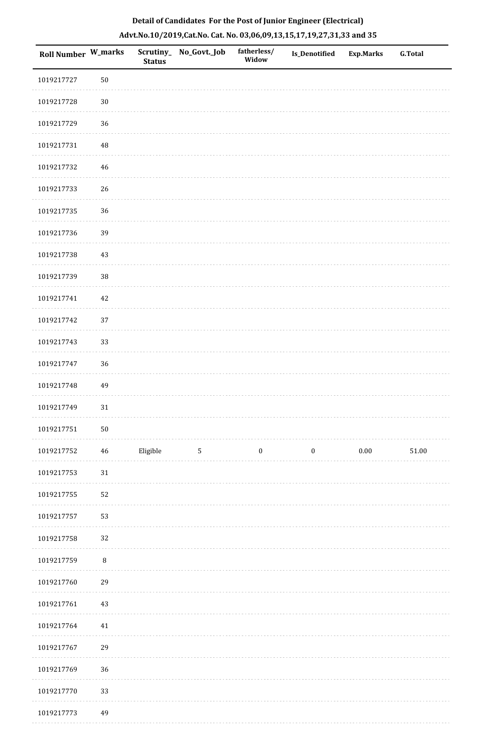| Roll Number W_marks |          | <b>Status</b> | Scrutiny_ No_Govt._Job | fatherless/<br>Widow | <b>Is_Denotified</b> | <b>Exp.Marks</b> | <b>G.Total</b> |
|---------------------|----------|---------------|------------------------|----------------------|----------------------|------------------|----------------|
| 1019217727          | $50\,$   |               |                        |                      |                      |                  |                |
| 1019217728          | $30\,$   |               |                        |                      |                      |                  |                |
| 1019217729          | 36       |               |                        |                      |                      |                  |                |
| 1019217731          | $\rm 48$ |               |                        |                      |                      |                  |                |
| 1019217732          | 46       |               |                        |                      |                      |                  |                |
| 1019217733          | 26       |               |                        |                      |                      |                  |                |
| 1019217735          | 36       |               |                        |                      |                      |                  |                |
| 1019217736          | 39       |               |                        |                      |                      |                  |                |
| 1019217738          | 43       |               |                        |                      |                      |                  |                |
| 1019217739          | 38       |               |                        |                      |                      |                  |                |
| 1019217741          | 42       |               |                        |                      |                      |                  |                |
| 1019217742          | 37       |               |                        |                      |                      |                  |                |
| 1019217743          | 33       |               |                        |                      |                      |                  |                |
| 1019217747          | 36       |               |                        |                      |                      |                  |                |
| 1019217748          | 49       |               |                        |                      |                      |                  |                |
| 1019217749          | $31\,$   |               |                        |                      |                      |                  |                |
| 1019217751          | $50\,$   |               |                        |                      |                      |                  |                |
| 1019217752          | $\bf 46$ | Eligible      | $\sqrt{5}$             | $\boldsymbol{0}$     | $\boldsymbol{0}$     | $0.00\,$         | $51.00\,$      |
| 1019217753          | $31\,$   |               |                        |                      |                      |                  |                |
| 1019217755          | 52       |               |                        |                      |                      |                  |                |
| 1019217757          | 53       |               |                        |                      |                      |                  |                |
| 1019217758          | 32       |               |                        |                      |                      |                  |                |
| 1019217759          | $\, 8$   |               |                        |                      |                      |                  |                |
| 1019217760          | 29       |               |                        |                      |                      |                  |                |
| 1019217761          | 43       |               |                        |                      |                      |                  |                |
| 1019217764          | 41       |               |                        |                      |                      |                  |                |
| 1019217767          | 29       |               |                        |                      |                      |                  |                |
| 1019217769          | 36       |               |                        |                      |                      |                  |                |
| 1019217770          | 33       |               |                        |                      |                      |                  |                |
|                     |          |               |                        |                      |                      |                  |                |

# **Detail of Candidates For the Post of Junior Engineer (Electrical) Advt.No.10/2019,Cat.No. Cat. No. 03,06,09,13,15,17,19,27,31,33 and 35**

 1019217773 49. . . . . . . . . . . .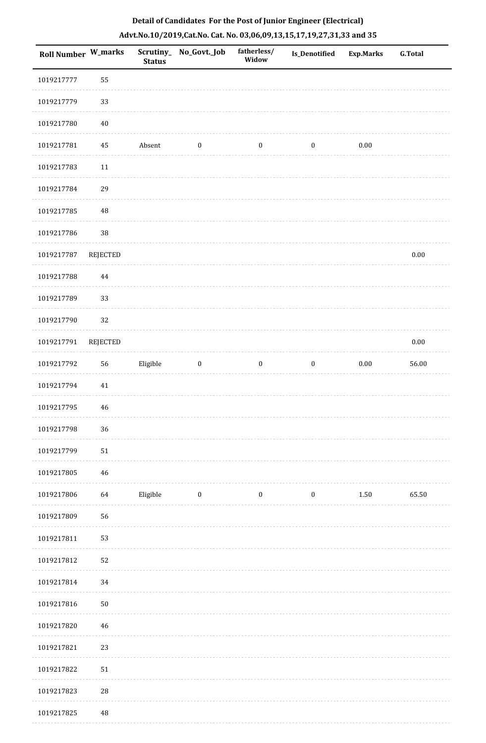| Roll Number W_marks |                 | <b>Status</b> | Scrutiny_No_Govt._Job   | fatherless/<br>Widow | Is_Denotified    | <b>Exp.Marks</b> | <b>G.Total</b> |
|---------------------|-----------------|---------------|-------------------------|----------------------|------------------|------------------|----------------|
| 1019217777          | 55              |               |                         |                      |                  |                  |                |
| 1019217779          | 33              |               |                         |                      |                  |                  |                |
| 1019217780          | $40\,$          |               |                         |                      |                  |                  |                |
| 1019217781          | 45              | Absent        | $\boldsymbol{0}$        | $\boldsymbol{0}$     | $\boldsymbol{0}$ | $0.00\,$         |                |
| 1019217783          | $11\,$          |               |                         |                      |                  |                  |                |
| 1019217784          | 29              |               |                         |                      |                  |                  |                |
| 1019217785          | $\rm 48$        |               |                         |                      |                  |                  |                |
| 1019217786          | $38\,$          |               |                         |                      |                  |                  |                |
| 1019217787          | <b>REJECTED</b> |               |                         |                      |                  |                  | $0.00\,$       |
| 1019217788          | 44              |               |                         |                      |                  |                  |                |
| 1019217789          | 33              |               |                         |                      |                  |                  |                |
| 1019217790          | 32              |               |                         |                      |                  |                  |                |
| 1019217791          | <b>REJECTED</b> |               |                         |                      |                  |                  | $0.00\,$       |
| 1019217792          | 56              | Eligible      | $\boldsymbol{0}$        | $\boldsymbol{0}$     | $\boldsymbol{0}$ | $0.00\,$         | 56.00          |
| 1019217794          | $41\,$          |               |                         |                      |                  |                  |                |
| 1019217795          | 46              |               |                         |                      |                  |                  |                |
| 1019217798          | 36              |               |                         |                      |                  |                  |                |
| 1019217799          | 51              |               |                         |                      |                  |                  |                |
| 1019217805          | $\sqrt{46}$     |               |                         |                      |                  |                  |                |
| 1019217806          | 64              | Eligible      | $\overline{\mathbf{0}}$ | $\bf{0}$             | $\bf{0}$         | 1.50             | 65.50          |
| 1019217809          | 56              |               |                         |                      |                  |                  |                |
| 1019217811          | 53              |               |                         |                      |                  |                  |                |
| 1019217812          | 52              |               |                         |                      |                  |                  |                |
| 1019217814          | 34              |               |                         |                      |                  |                  |                |
| 1019217816          | ${\bf 50}$      |               |                         |                      |                  |                  |                |
| 1019217820          | 46              |               |                         |                      |                  |                  |                |
| 1019217821          | 23              |               |                         |                      |                  |                  |                |
| 1019217822          | 51              |               |                         |                      |                  |                  |                |
| 1019217823          | $\sqrt{28}$     |               |                         |                      |                  |                  |                |
| 1019217825          | 48              |               |                         |                      |                  |                  |                |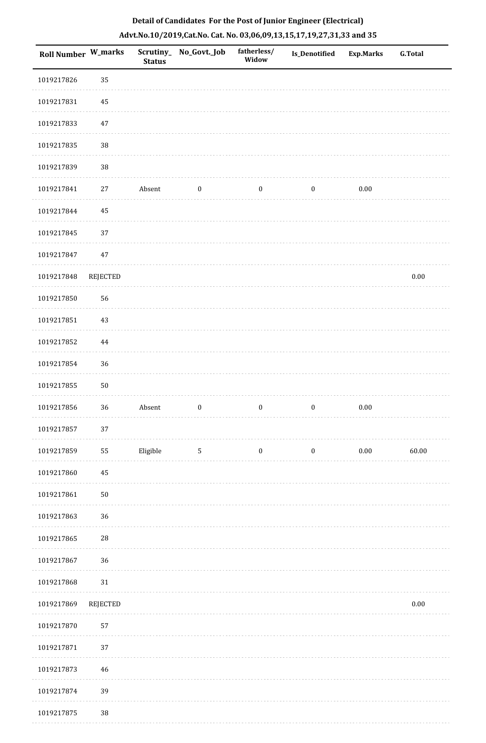| 1019217826<br>1019217831<br>1019217833<br>1019217835<br>1019217839<br>1019217841<br>1019217844<br>1019217845<br>1019217847<br>1019217848<br>1019217850<br>1019217851<br>1019217852<br>1019217854<br>1019217855<br>1019217856 | 35<br>45<br>47<br>$38\,$<br>$38\,$<br>$27\,$<br>45<br>37 | Absent   | $\boldsymbol{0}$ |                  |                  |          |          |
|------------------------------------------------------------------------------------------------------------------------------------------------------------------------------------------------------------------------------|----------------------------------------------------------|----------|------------------|------------------|------------------|----------|----------|
|                                                                                                                                                                                                                              |                                                          |          |                  |                  |                  |          |          |
|                                                                                                                                                                                                                              |                                                          |          |                  |                  |                  |          |          |
|                                                                                                                                                                                                                              |                                                          |          |                  |                  |                  |          |          |
|                                                                                                                                                                                                                              |                                                          |          |                  |                  |                  |          |          |
|                                                                                                                                                                                                                              |                                                          |          |                  |                  |                  |          |          |
|                                                                                                                                                                                                                              |                                                          |          |                  | $\boldsymbol{0}$ | $\boldsymbol{0}$ | 0.00     |          |
|                                                                                                                                                                                                                              |                                                          |          |                  |                  |                  |          |          |
|                                                                                                                                                                                                                              |                                                          |          |                  |                  |                  |          |          |
|                                                                                                                                                                                                                              | 47                                                       |          |                  |                  |                  |          |          |
|                                                                                                                                                                                                                              | <b>REJECTED</b>                                          |          |                  |                  |                  |          | $0.00\,$ |
|                                                                                                                                                                                                                              | 56                                                       |          |                  |                  |                  |          |          |
|                                                                                                                                                                                                                              | $43\,$                                                   |          |                  |                  |                  |          |          |
|                                                                                                                                                                                                                              | 44                                                       |          |                  |                  |                  |          |          |
|                                                                                                                                                                                                                              | 36                                                       |          |                  |                  |                  |          |          |
|                                                                                                                                                                                                                              | $50\,$                                                   |          |                  |                  |                  |          |          |
|                                                                                                                                                                                                                              | 36                                                       | Absent   | $\boldsymbol{0}$ | $\boldsymbol{0}$ | $\boldsymbol{0}$ | $0.00\,$ |          |
| 1019217857                                                                                                                                                                                                                   | $37\,$                                                   |          |                  |                  |                  |          |          |
| 1019217859                                                                                                                                                                                                                   | 55                                                       | Eligible | $5\phantom{.0}$  | $\boldsymbol{0}$ | $\boldsymbol{0}$ | $0.00\,$ | 60.00    |
| 1019217860                                                                                                                                                                                                                   | $45\,$                                                   |          |                  |                  |                  |          |          |
| 1019217861                                                                                                                                                                                                                   | $50\,$                                                   |          |                  |                  |                  |          |          |
| 1019217863                                                                                                                                                                                                                   | 36                                                       |          |                  |                  |                  |          |          |
| 1019217865                                                                                                                                                                                                                   | $28\,$                                                   |          |                  |                  |                  |          |          |
| 1019217867                                                                                                                                                                                                                   | 36                                                       |          |                  |                  |                  |          |          |
| 1019217868                                                                                                                                                                                                                   | $31\,$                                                   |          |                  |                  |                  |          |          |
| 1019217869                                                                                                                                                                                                                   | <b>REJECTED</b>                                          |          |                  |                  |                  |          | $0.00\,$ |
| 1019217870                                                                                                                                                                                                                   | 57                                                       |          |                  |                  |                  |          |          |
| 1019217871                                                                                                                                                                                                                   | 37                                                       |          |                  |                  |                  |          |          |
| 1019217873                                                                                                                                                                                                                   | 46                                                       |          |                  |                  |                  |          |          |
| 1019217874                                                                                                                                                                                                                   | 39                                                       |          |                  |                  |                  |          |          |
| 1019217875                                                                                                                                                                                                                   |                                                          |          |                  |                  |                  |          |          |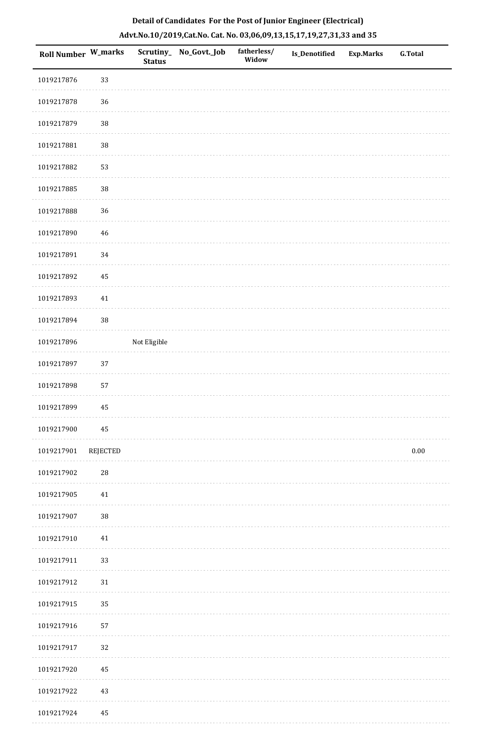| Roll Number W_marks |          | <b>Status</b> | Scrutiny_ No_Govt._Job | fatherless/<br>Widow | Is_Denotified | Exp.Marks | <b>G.Total</b> |
|---------------------|----------|---------------|------------------------|----------------------|---------------|-----------|----------------|
| 1019217876          | 33       |               |                        |                      |               |           |                |
| 1019217878          | 36       |               |                        |                      |               |           |                |
| 1019217879          | $38\,$   |               |                        |                      |               |           |                |
| 1019217881          | $38\,$   |               |                        |                      |               |           |                |
| 1019217882          | 53       |               |                        |                      |               |           |                |
| 1019217885          | $38\,$   |               |                        |                      |               |           |                |
| 1019217888          | 36       |               |                        |                      |               |           |                |
| 1019217890          | 46       |               |                        |                      |               |           |                |
| 1019217891          | 34       |               |                        |                      |               |           |                |
| 1019217892          | 45       |               |                        |                      |               |           |                |
| 1019217893          | 41       |               |                        |                      |               |           |                |
| 1019217894          | $38\,$   |               |                        |                      |               |           |                |
| 1019217896          |          | Not Eligible  |                        |                      |               |           |                |
| 1019217897          | 37       |               |                        |                      |               |           |                |
| 1019217898          | 57       |               |                        |                      |               |           |                |
| 1019217899          | 45       |               |                        |                      |               |           |                |
| 1019217900          | 45       |               |                        |                      |               |           |                |
| 1019217901          | REJECTED |               |                        |                      |               |           | $0.00\,$       |
| 1019217902          | 28       |               |                        |                      |               |           |                |
| 1019217905          | $41\,$   |               |                        |                      |               |           |                |
| 1019217907          | $38\,$   |               |                        |                      |               |           |                |
| 1019217910          | 41       |               |                        |                      |               |           |                |
| 1019217911          | 33       |               |                        |                      |               |           |                |
| 1019217912          | 31       |               |                        |                      |               |           |                |
| 1019217915          | 35       |               |                        |                      |               |           |                |
| 1019217916          | 57       |               |                        |                      |               |           |                |
| 1019217917          | 32       |               |                        |                      |               |           |                |
| 1019217920          | 45       |               |                        |                      |               |           |                |
| 1019217922          | 43       |               |                        |                      |               |           |                |
| 1019217924          | 45       |               |                        |                      |               |           |                |

. . . . . . . . . .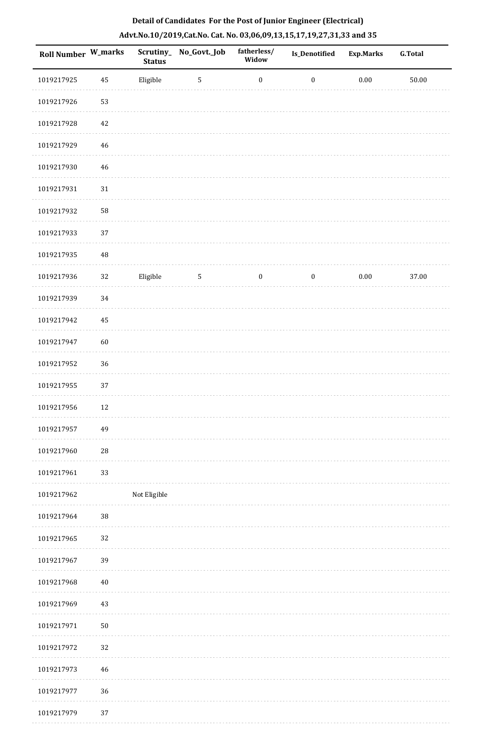| Roll Number W_marks |          | <b>Status</b> | Scrutiny_No_Govt._Job | fatherless/<br>Widow | Is_Denotified    | <b>Exp.Marks</b> | <b>G.Total</b> |
|---------------------|----------|---------------|-----------------------|----------------------|------------------|------------------|----------------|
| 1019217925          | 45       | Eligible      | $\sqrt{5}$            | $\boldsymbol{0}$     | $\boldsymbol{0}$ | $0.00\,$         | 50.00          |
| 1019217926          | 53       |               |                       |                      |                  |                  |                |
| 1019217928          | 42       |               |                       |                      |                  |                  |                |
| 1019217929          | 46       |               |                       |                      |                  |                  |                |
| 1019217930          | 46       |               |                       |                      |                  |                  |                |
| 1019217931          | $31\,$   |               |                       |                      |                  |                  |                |
| 1019217932          | 58       |               |                       |                      |                  |                  |                |
| 1019217933          | 37       |               |                       |                      |                  |                  |                |
| 1019217935          | $\rm 48$ |               |                       |                      |                  |                  |                |
| 1019217936          | 32       | Eligible      | $\sqrt{5}$            | $\boldsymbol{0}$     | $\boldsymbol{0}$ | $0.00\,$         | 37.00          |
| 1019217939          | 34       |               |                       |                      |                  |                  |                |
| 1019217942          | 45       |               |                       |                      |                  |                  |                |
| 1019217947          | 60       |               |                       |                      |                  |                  |                |
| 1019217952          | 36       |               |                       |                      |                  |                  |                |
| 1019217955          | 37       |               |                       |                      |                  |                  |                |
| 1019217956          | 12       |               |                       |                      |                  |                  |                |
| 1019217957          | 49       |               |                       |                      |                  |                  |                |
| 1019217960          | 28       |               |                       |                      |                  |                  |                |
| 1019217961          | 33       |               |                       |                      |                  |                  |                |
| 1019217962          |          | Not Eligible  |                       |                      |                  |                  |                |
| 1019217964          | $38\,$   |               |                       |                      |                  |                  |                |
| 1019217965          | 32       |               |                       |                      |                  |                  |                |
| 1019217967          | 39       |               |                       |                      |                  |                  |                |
| 1019217968          | 40       |               |                       |                      |                  |                  |                |
| 1019217969          | 43       |               |                       |                      |                  |                  |                |
| 1019217971          | $50\,$   |               |                       |                      |                  |                  |                |
| 1019217972          | 32       |               |                       |                      |                  |                  |                |
| 1019217973          | 46       |               |                       |                      |                  |                  |                |
| 1019217977          | 36       |               |                       |                      |                  |                  |                |
| 1019217979          | 37       |               |                       |                      |                  |                  |                |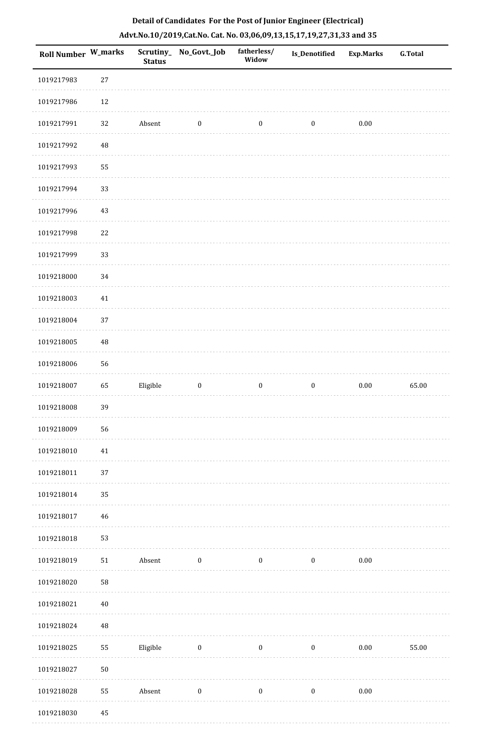| Detail of Candidates For the Post of Junior Engineer (Electrical)     |
|-----------------------------------------------------------------------|
| Advt.No.10/2019,Cat.No. Cat. No. 03,06,09,13,15,17,19,27,31,33 and 35 |

| Roll Number W_marks |            | <b>Status</b> | Scrutiny_ No_Govt._Job | fatherless/<br>Widow | Is_Denotified    | <b>Exp.Marks</b> | <b>G.Total</b> |
|---------------------|------------|---------------|------------------------|----------------------|------------------|------------------|----------------|
| 1019217983          | $27\,$     |               |                        |                      |                  |                  |                |
| 1019217986          | 12         |               |                        |                      |                  |                  |                |
| 1019217991          | 32         | Absent        | $\boldsymbol{0}$       | $\boldsymbol{0}$     | $\boldsymbol{0}$ | $0.00\,$         |                |
| 1019217992          | 48         |               |                        |                      |                  |                  |                |
| 1019217993          | 55         |               |                        |                      |                  |                  |                |
| 1019217994          | 33         |               |                        |                      |                  |                  |                |
| 1019217996          | 43         |               |                        |                      |                  |                  |                |
| 1019217998          | 22         |               |                        |                      |                  |                  |                |
| 1019217999          | 33         |               |                        |                      |                  |                  |                |
| 1019218000          | 34         |               |                        |                      |                  |                  |                |
| 1019218003          | $41\,$     |               |                        |                      |                  |                  |                |
| 1019218004          | 37         |               |                        |                      |                  |                  |                |
| 1019218005          | $\rm 48$   |               |                        |                      |                  |                  |                |
| 1019218006          | 56         |               |                        |                      |                  |                  |                |
| 1019218007          | 65         | Eligible      | $\boldsymbol{0}$       | $\boldsymbol{0}$     | $\boldsymbol{0}$ | $0.00\,$         | 65.00          |
| 1019218008          | 39         |               |                        |                      |                  |                  |                |
| 1019218009          | 56         |               |                        |                      |                  |                  |                |
| 1019218010          | 41         |               |                        |                      |                  |                  |                |
| 1019218011          | 37         |               |                        |                      |                  |                  |                |
| 1019218014          | 35         |               |                        |                      |                  |                  |                |
| 1019218017          | 46         |               |                        |                      |                  |                  |                |
| 1019218018          | 53         |               |                        |                      |                  |                  |                |
| 1019218019          | ${\bf 51}$ | Absent        | $\boldsymbol{0}$       | $\boldsymbol{0}$     | $\boldsymbol{0}$ | $0.00\,$         |                |
| 1019218020          | 58         |               |                        |                      |                  |                  |                |
| 1019218021          | $40\,$     |               |                        |                      |                  |                  |                |
| 1019218024          | $\rm 48$   |               |                        |                      |                  |                  |                |
| 1019218025          | 55         | Eligible      | $\boldsymbol{0}$       | $\boldsymbol{0}$     | $\boldsymbol{0}$ | 0.00             | 55.00          |
| 1019218027          | ${\bf 50}$ |               |                        |                      |                  |                  |                |
| 1019218028          | 55         | Absent        | $\boldsymbol{0}$       | $\boldsymbol{0}$     | $\boldsymbol{0}$ | $0.00\,$         |                |
| 1019218030          | 45         |               |                        |                      |                  |                  |                |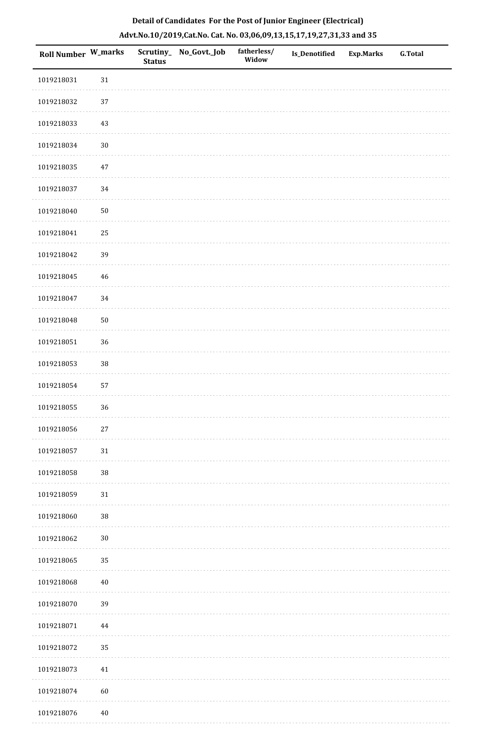| Roll Number W_marks |        | <b>Status</b> | Scrutiny_ No_Govt._Job | fatherless/<br>Widow | <b>Is_Denotified</b> | <b>Exp.Marks</b> | <b>G.Total</b> |
|---------------------|--------|---------------|------------------------|----------------------|----------------------|------------------|----------------|
| 1019218031          | $31\,$ |               |                        |                      |                      |                  |                |
| 1019218032          | 37     |               |                        |                      |                      |                  |                |
| 1019218033          | $43\,$ |               |                        |                      |                      |                  |                |
| 1019218034          | $30\,$ |               |                        |                      |                      |                  |                |
| 1019218035          | $47\,$ |               |                        |                      |                      |                  |                |
| 1019218037          | $34\,$ |               |                        |                      |                      |                  |                |
| 1019218040          | $50\,$ |               |                        |                      |                      |                  |                |
| 1019218041          | $25\,$ |               |                        |                      |                      |                  |                |
| 1019218042          | 39     |               |                        |                      |                      |                  |                |
| 1019218045          | $46\,$ |               |                        |                      |                      |                  |                |
| 1019218047          | 34     |               |                        |                      |                      |                  |                |
| 1019218048          | $50\,$ |               |                        |                      |                      |                  |                |
| 1019218051          | 36     |               |                        |                      |                      |                  |                |
| 1019218053          | $38\,$ |               |                        |                      |                      |                  |                |
| 1019218054          | 57     |               |                        |                      |                      |                  |                |
| 1019218055          | 36     |               |                        |                      |                      |                  |                |
| 1019218056          | $27\,$ |               |                        |                      |                      |                  |                |
| 1019218057          | 31     |               |                        |                      |                      |                  |                |
| 1019218058          | $38\,$ |               |                        |                      |                      |                  |                |
| 1019218059          | 31     |               |                        |                      |                      |                  |                |
| 1019218060          | $38\,$ |               |                        |                      |                      |                  |                |
| 1019218062          | $30\,$ |               |                        |                      |                      |                  |                |
| 1019218065          | 35     |               |                        |                      |                      |                  |                |
| 1019218068          | $40\,$ |               |                        |                      |                      |                  |                |
| 1019218070          | 39     |               |                        |                      |                      |                  |                |
| 1019218071          | 44     |               |                        |                      |                      |                  |                |
| 1019218072          | 35     |               |                        |                      |                      |                  |                |
| 1019218073          | $41\,$ |               |                        |                      |                      |                  |                |
| 1019218074          | 60     |               |                        |                      |                      |                  |                |
| 1019218076          | $40\,$ |               |                        |                      |                      |                  |                |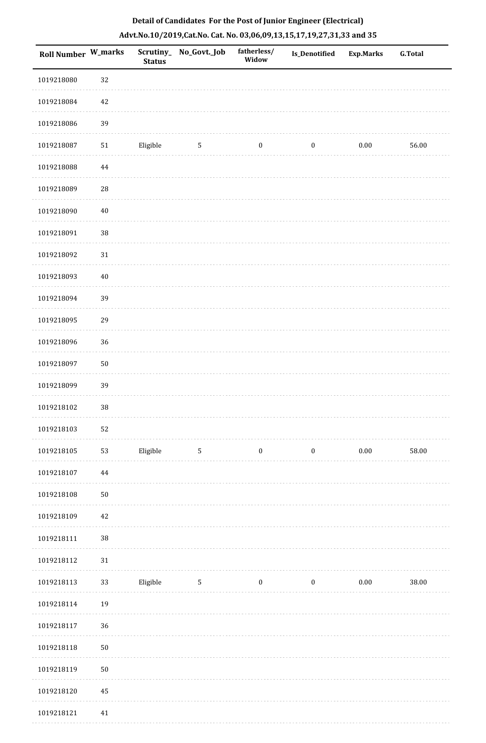| Roll Number W_marks |            | <b>Status</b> | Scrutiny_ No_Govt._Job | fatherless/<br>Widow | <b>Is_Denotified</b> | Exp.Marks | <b>G.Total</b> |
|---------------------|------------|---------------|------------------------|----------------------|----------------------|-----------|----------------|
| 1019218080          | 32         |               |                        |                      |                      |           |                |
| 1019218084          | $42\,$     |               |                        |                      |                      |           |                |
| 1019218086          | 39         |               |                        |                      |                      |           |                |
| 1019218087          | $51\,$     | Eligible      | 5                      | $\boldsymbol{0}$     | $\boldsymbol{0}$     | $0.00\,$  | 56.00          |
| 1019218088          | 44         |               |                        |                      |                      |           |                |
| 1019218089          | ${\bf 28}$ |               |                        |                      |                      |           |                |
| 1019218090          | $40\,$     |               |                        |                      |                      |           |                |
| 1019218091          | $38\,$     |               |                        |                      |                      |           |                |
| 1019218092          | $31\,$     |               |                        |                      |                      |           |                |
| 1019218093          | $40\,$     |               |                        |                      |                      |           |                |
| 1019218094          | 39         |               |                        |                      |                      |           |                |
| 1019218095          | 29         |               |                        |                      |                      |           |                |
| 1019218096          | 36         |               |                        |                      |                      |           |                |
| 1019218097          | $50\,$     |               |                        |                      |                      |           |                |
| 1019218099          | 39         |               |                        |                      |                      |           |                |
| 1019218102          | $38\,$     |               |                        |                      |                      |           |                |
| 1019218103          | 52         |               |                        |                      |                      |           |                |
| 1019218105          | 53         | Eligible      | $5\phantom{.0}$        | $\boldsymbol{0}$     | $\boldsymbol{0}$     | $0.00\,$  | 58.00          |
| 1019218107          | $\bf 44$   |               |                        |                      |                      |           |                |
| 1019218108          | $50\,$     |               |                        |                      |                      |           |                |
| 1019218109          | 42         |               |                        |                      |                      |           |                |
| 1019218111          | $38\,$     |               |                        |                      |                      |           |                |
| 1019218112          | 31         |               |                        |                      |                      |           |                |
| 1019218113          | 33         | Eligible      | $5\phantom{.0}$        | $\boldsymbol{0}$     | $\boldsymbol{0}$     | $0.00\,$  | 38.00          |
| 1019218114          | 19         |               |                        |                      |                      |           |                |
| 1019218117          | 36         |               |                        |                      |                      |           |                |
| 1019218118          | $50\,$     |               |                        |                      |                      |           |                |
| 1019218119          | $50\,$     |               |                        |                      |                      |           |                |
| 1019218120          | 45         |               |                        |                      |                      |           |                |
| 1019218121          | 41         |               |                        |                      |                      |           |                |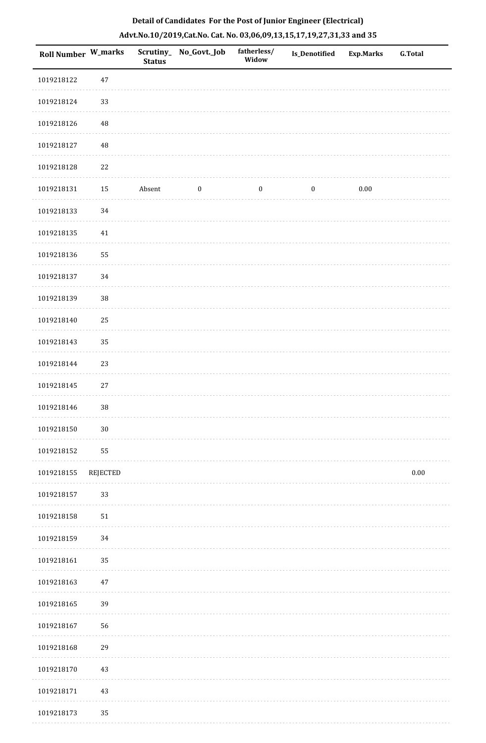| Roll Number W_marks |            | <b>Status</b> | Scrutiny_ No_Govt._Job | fatherless/<br>Widow | Is_Denotified    | <b>Exp.Marks</b> | G.Total  |
|---------------------|------------|---------------|------------------------|----------------------|------------------|------------------|----------|
| 1019218122          | $47\,$     |               |                        |                      |                  |                  |          |
| 1019218124          | 33         |               |                        |                      |                  |                  |          |
| 1019218126          | $\rm 48$   |               |                        |                      |                  |                  |          |
| 1019218127          | 48         |               |                        |                      |                  |                  |          |
| 1019218128          | $22\,$     |               |                        |                      |                  |                  |          |
| 1019218131          | 15         | Absent        | $\boldsymbol{0}$       | $\boldsymbol{0}$     | $\boldsymbol{0}$ | $0.00\,$         |          |
| 1019218133          | 34         |               |                        |                      |                  |                  |          |
| 1019218135          | 41         |               |                        |                      |                  |                  |          |
| 1019218136          | 55         |               |                        |                      |                  |                  |          |
| 1019218137          | 34         |               |                        |                      |                  |                  |          |
| 1019218139          | $38\,$     |               |                        |                      |                  |                  |          |
| 1019218140          | 25         |               |                        |                      |                  |                  |          |
| 1019218143          | 35         |               |                        |                      |                  |                  |          |
| 1019218144          | 23         |               |                        |                      |                  |                  |          |
| 1019218145          | $27\,$     |               |                        |                      |                  |                  |          |
| 1019218146          | $38\,$     |               |                        |                      |                  |                  |          |
| 1019218150          | $30\,$     |               |                        |                      |                  |                  |          |
| 1019218152          | 55         |               |                        |                      |                  |                  |          |
| 1019218155          | REJECTED   |               |                        |                      |                  |                  | $0.00\,$ |
| 1019218157          | 33         |               |                        |                      |                  |                  |          |
| 1019218158          | ${\bf 51}$ |               |                        |                      |                  |                  |          |
| 1019218159          | 34         |               |                        |                      |                  |                  |          |
| 1019218161          | 35         |               |                        |                      |                  |                  |          |
| 1019218163          | $47\,$     |               |                        |                      |                  |                  |          |
| 1019218165          | 39         |               |                        |                      |                  |                  |          |
| 1019218167          | 56         |               |                        |                      |                  |                  |          |
| 1019218168          | 29         |               |                        |                      |                  |                  |          |
| 1019218170          | $43\,$     |               |                        |                      |                  |                  |          |
| 1019218171          | 43         |               |                        |                      |                  |                  |          |
| 1019218173          | 35         |               |                        |                      |                  |                  |          |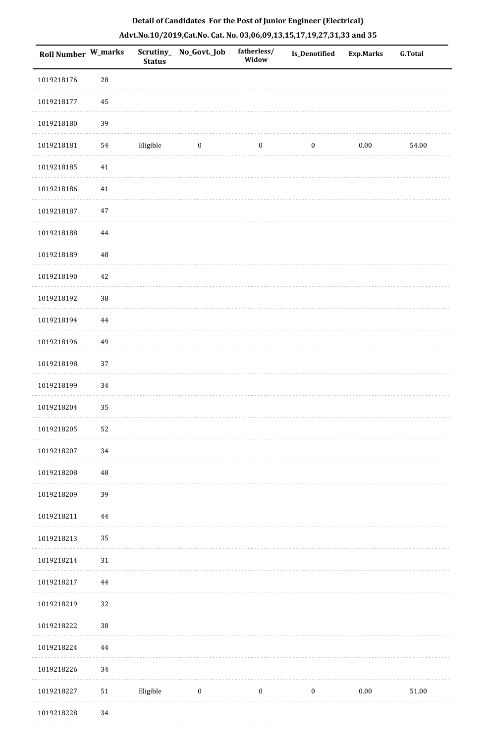| Roll Number W_marks |        | <b>Status</b> | Scrutiny_ No_Govt._Job | fatherless/<br>Widow | Is_Denotified    | <b>Exp.Marks</b> | <b>G.Total</b> |
|---------------------|--------|---------------|------------------------|----------------------|------------------|------------------|----------------|
| 1019218176          | 28     |               |                        |                      |                  |                  |                |
| 1019218177          | 45     |               |                        |                      |                  |                  |                |
| 1019218180          | 39     |               |                        |                      |                  |                  |                |
| 1019218181          | 54     | Eligible      | $\bf{0}$               | $\boldsymbol{0}$     | $\boldsymbol{0}$ | 0.00             | 54.00          |
| 1019218185          | $41\,$ |               |                        |                      |                  |                  |                |
| 1019218186          | $41\,$ |               |                        |                      |                  |                  |                |
| 1019218187          | 47     |               |                        |                      |                  |                  |                |
| 1019218188          | 44     |               |                        |                      |                  |                  |                |
| 1019218189          | 48     |               |                        |                      |                  |                  |                |
| 1019218190          | 42     |               |                        |                      |                  |                  |                |
| 1019218192          | $38\,$ |               |                        |                      |                  |                  |                |
| 1019218194          | 44     |               |                        |                      |                  |                  |                |
| 1019218196          | 49     |               |                        |                      |                  |                  |                |
| 1019218198          | 37     |               |                        |                      |                  |                  |                |
| 1019218199          | 34     |               |                        |                      |                  |                  |                |
| 1019218204          | 35     |               |                        |                      |                  |                  |                |
| 1019218205          | 52     |               |                        |                      |                  |                  |                |
| 1019218207          | 34     |               |                        |                      |                  |                  |                |
| 1019218208          | 48     |               |                        |                      |                  |                  |                |
| 1019218209          | 39     |               |                        |                      |                  |                  |                |
| 1019218211          | 44     |               |                        |                      |                  |                  |                |
| 1019218213          | 35     |               |                        |                      |                  |                  |                |
| 1019218214          | 31     |               |                        |                      |                  |                  |                |
| 1019218217          | 44     |               |                        |                      |                  |                  |                |
| 1019218219          | 32     |               |                        |                      |                  |                  |                |
| 1019218222          | $38\,$ |               |                        |                      |                  |                  |                |
| 1019218224          | 44     |               |                        |                      |                  |                  |                |
| 1019218226          | 34     |               |                        |                      |                  |                  |                |
| 1019218227          | 51     | Eligible      | $\boldsymbol{0}$       | $\boldsymbol{0}$     | $\boldsymbol{0}$ | $0.00\,$         | $51.00\,$      |
| 1019218228          | 34     |               |                        |                      |                  |                  |                |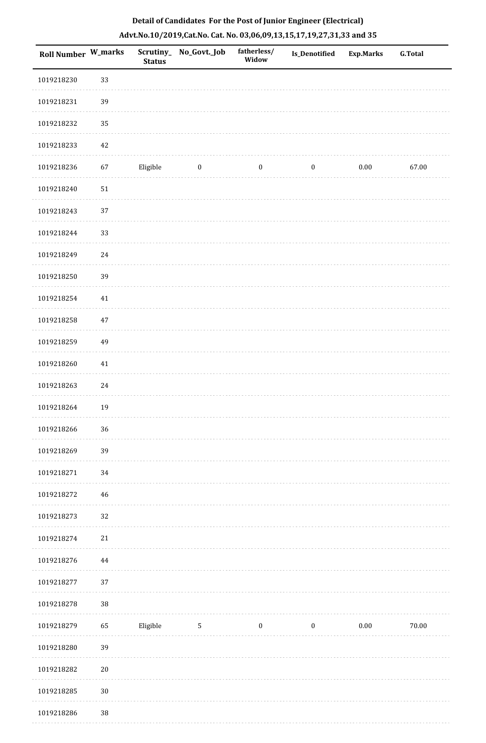| <b>Roll Number W_marks</b> |        | <b>Status</b> | Scrutiny_ No_Govt._Job | fatherless/<br>Widow | <b>Is_Denotified</b> | <b>Exp.Marks</b> | <b>G.Total</b> |
|----------------------------|--------|---------------|------------------------|----------------------|----------------------|------------------|----------------|
| 1019218230                 | 33     |               |                        |                      |                      |                  |                |
| 1019218231                 | 39     |               |                        |                      |                      |                  |                |
| 1019218232                 | 35     |               |                        |                      |                      |                  |                |
| 1019218233                 | 42     |               |                        |                      |                      |                  |                |
| 1019218236                 | 67     | Eligible      | $\bf{0}$               | $\boldsymbol{0}$     | $\boldsymbol{0}$     | $0.00\,$         | 67.00          |
| 1019218240                 | 51     |               |                        |                      |                      |                  |                |
| 1019218243                 | 37     |               |                        |                      |                      |                  |                |
| 1019218244                 | 33     |               |                        |                      |                      |                  |                |
| 1019218249                 | 24     |               |                        |                      |                      |                  |                |
| 1019218250                 | 39     |               |                        |                      |                      |                  |                |
| 1019218254                 | $41\,$ |               |                        |                      |                      |                  |                |
| 1019218258                 | 47     |               |                        |                      |                      |                  |                |
| 1019218259                 | 49     |               |                        |                      |                      |                  |                |
| 1019218260                 | $41\,$ |               |                        |                      |                      |                  |                |
| 1019218263                 | 24     |               |                        |                      |                      |                  |                |
| 1019218264                 | 19     |               |                        |                      |                      |                  |                |
| 1019218266                 | 36     |               |                        |                      |                      |                  |                |
| 1019218269                 | 39     |               |                        |                      |                      |                  |                |
| 1019218271                 | 34     |               |                        |                      |                      |                  |                |
| 1019218272                 | 46     |               |                        |                      |                      |                  |                |
| 1019218273                 | 32     |               |                        |                      |                      |                  |                |
| 1019218274                 | 21     |               |                        |                      |                      |                  |                |
| 1019218276                 | 44     |               |                        |                      |                      |                  |                |
| 1019218277                 | 37     |               |                        |                      |                      |                  |                |
| 1019218278                 | $38\,$ |               |                        |                      |                      |                  |                |
| 1019218279                 | 65     | Eligible      | 5                      | $\boldsymbol{0}$     | $\boldsymbol{0}$     | $0.00\,$         | 70.00          |
| 1019218280                 | 39     |               |                        |                      |                      |                  |                |
| 1019218282                 | $20\,$ |               |                        |                      |                      |                  |                |
| 1019218285                 | $30\,$ |               |                        |                      |                      |                  |                |
| 1019218286                 | $38\,$ |               |                        |                      |                      |                  |                |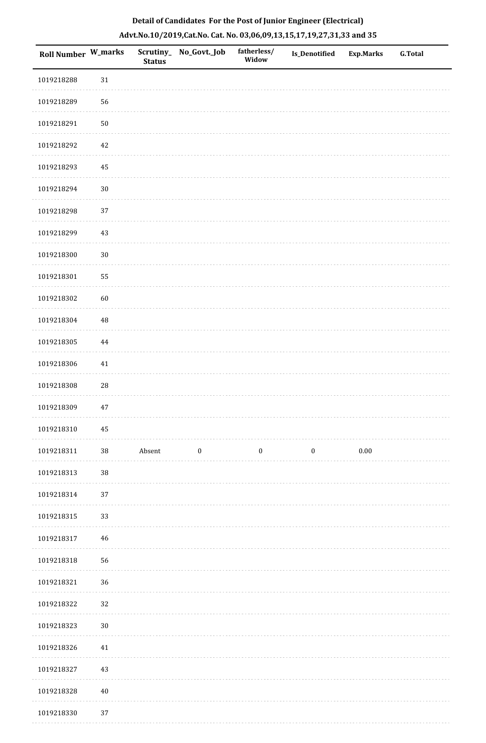| <b>Roll Number W_marks</b> |        | <b>Status</b> | Scrutiny_No_Govt._Job | fatherless/<br>Widow | <b>Is_Denotified</b> | Exp.Marks | <b>G.Total</b> |
|----------------------------|--------|---------------|-----------------------|----------------------|----------------------|-----------|----------------|
| 1019218288                 | $31\,$ |               |                       |                      |                      |           |                |
| 1019218289                 | 56     |               |                       |                      |                      |           |                |
| 1019218291                 | $50\,$ |               |                       |                      |                      |           |                |
| 1019218292                 | 42     |               |                       |                      |                      |           |                |
| 1019218293                 | 45     |               |                       |                      |                      |           |                |
| 1019218294                 | $30\,$ |               |                       |                      |                      |           |                |
| 1019218298                 | 37     |               |                       |                      |                      |           |                |
| 1019218299                 | 43     |               |                       |                      |                      |           |                |
| 1019218300                 | $30\,$ |               |                       |                      |                      |           |                |
| 1019218301                 | 55     |               |                       |                      |                      |           |                |
| 1019218302                 | 60     |               |                       |                      |                      |           |                |
| 1019218304                 | 48     |               |                       |                      |                      |           |                |
| 1019218305                 | 44     |               |                       |                      |                      |           |                |
| 1019218306                 | $41\,$ |               |                       |                      |                      |           |                |
| 1019218308                 | 28     |               |                       |                      |                      |           |                |
| 1019218309                 | $47\,$ |               |                       |                      |                      |           |                |
| 1019218310                 | 45     |               |                       |                      |                      |           |                |
| 1019218311                 | 38     | Absent        | $\bf{0}$              | $\boldsymbol{0}$     | $\boldsymbol{0}$     | $0.00\,$  |                |
| 1019218313                 | 38     |               |                       |                      |                      |           |                |
| 1019218314                 | 37     |               |                       |                      |                      |           |                |
| 1019218315                 | 33     |               |                       |                      |                      |           |                |
| 1019218317                 | $46\,$ |               |                       |                      |                      |           |                |
| 1019218318                 | 56     |               |                       |                      |                      |           |                |
| 1019218321                 | 36     |               |                       |                      |                      |           |                |
| 1019218322                 | 32     |               |                       |                      |                      |           |                |
| 1019218323                 | $30\,$ |               |                       |                      |                      |           |                |
| 1019218326                 | $41\,$ |               |                       |                      |                      |           |                |
| 1019218327                 | 43     |               |                       |                      |                      |           |                |
| 1019218328                 | $40\,$ |               |                       |                      |                      |           |                |
| 1019218330                 | 37     |               |                       |                      |                      |           |                |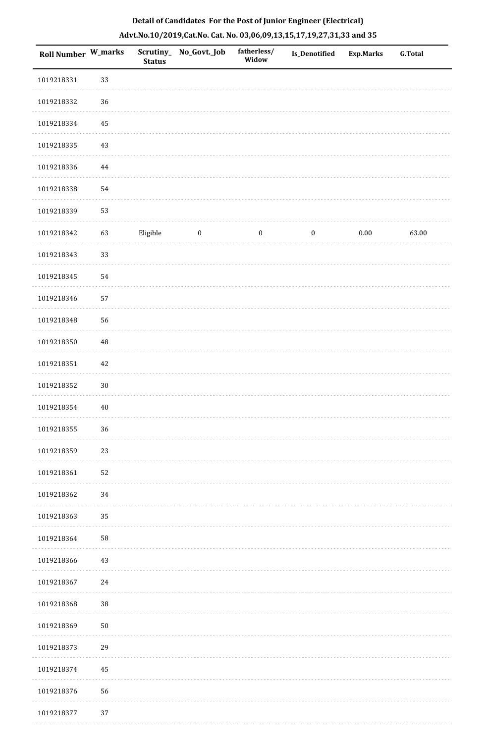| <b>Roll Number W_marks</b> |          | <b>Status</b> | Scrutiny_No_Govt._Job | fatherless/<br>Widow | Is_Denotified    | <b>Exp.Marks</b> | <b>G.Total</b> |
|----------------------------|----------|---------------|-----------------------|----------------------|------------------|------------------|----------------|
| 1019218331                 | 33       |               |                       |                      |                  |                  |                |
| 1019218332                 | $36\,$   |               |                       |                      |                  |                  |                |
| 1019218334                 | 45       |               |                       |                      |                  |                  |                |
| 1019218335                 | 43       |               |                       |                      |                  |                  |                |
| 1019218336                 | 44       |               |                       |                      |                  |                  |                |
| 1019218338                 | 54       |               |                       |                      |                  |                  |                |
| 1019218339                 | 53       |               |                       |                      |                  |                  |                |
| 1019218342                 | 63       | Eligible      | $\bf{0}$              | $\boldsymbol{0}$     | $\boldsymbol{0}$ | $0.00\,$         | 63.00          |
| 1019218343                 | 33       |               |                       |                      |                  |                  |                |
| 1019218345                 | 54       |               |                       |                      |                  |                  |                |
| 1019218346                 | 57       |               |                       |                      |                  |                  |                |
| 1019218348                 | 56       |               |                       |                      |                  |                  |                |
| 1019218350                 | $\rm 48$ |               |                       |                      |                  |                  |                |
| 1019218351                 | $42\,$   |               |                       |                      |                  |                  |                |
| 1019218352                 | $30\,$   |               |                       |                      |                  |                  |                |
| 1019218354                 | $40\,$   |               |                       |                      |                  |                  |                |
| 1019218355                 | $36\,$   |               |                       |                      |                  |                  |                |
| 1019218359                 | 23       |               |                       |                      |                  |                  |                |
| 1019218361                 | 52       |               |                       |                      |                  |                  |                |
| 1019218362                 | 34       |               |                       |                      |                  |                  |                |
| 1019218363                 | 35       |               |                       |                      |                  |                  |                |
| 1019218364                 | 58       |               |                       |                      |                  |                  |                |
| 1019218366                 | 43       |               |                       |                      |                  |                  |                |
| 1019218367                 | $24\,$   |               |                       |                      |                  |                  |                |
| 1019218368                 | $38\,$   |               |                       |                      |                  |                  |                |
| 1019218369                 | $50\,$   |               |                       |                      |                  |                  |                |
| 1019218373                 | 29       |               |                       |                      |                  |                  |                |
| 1019218374                 | 45       |               |                       |                      |                  |                  |                |
| 1019218376                 | 56       |               |                       |                      |                  |                  |                |
| 1019218377                 | $37\,$   |               |                       |                      |                  |                  |                |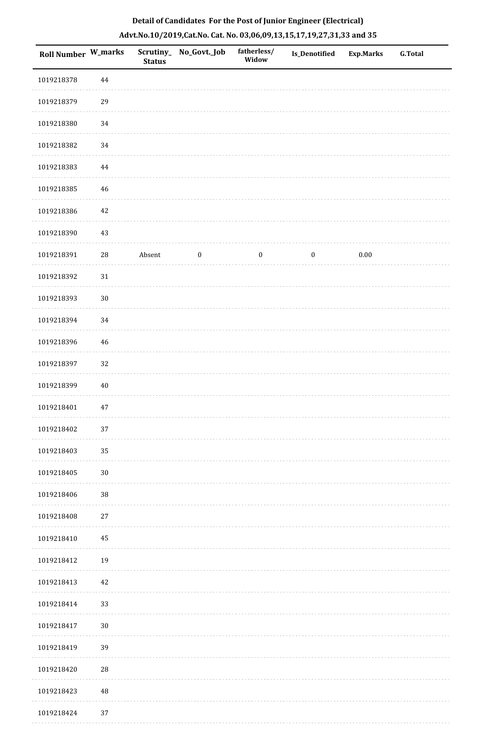| Roll Number W_marks |            | <b>Status</b> | Scrutiny_ No_Govt._Job | fatherless/<br>Widow | Is_Denotified    | <b>Exp.Marks</b> | <b>G.Total</b> |
|---------------------|------------|---------------|------------------------|----------------------|------------------|------------------|----------------|
| 1019218378          | $\bf 44$   |               |                        |                      |                  |                  |                |
| 1019218379          | 29         |               |                        |                      |                  |                  |                |
| 1019218380          | 34         |               |                        |                      |                  |                  |                |
| 1019218382          | 34         |               |                        |                      |                  |                  |                |
| 1019218383          | 44         |               |                        |                      |                  |                  |                |
| 1019218385          | 46         |               |                        |                      |                  |                  |                |
| 1019218386          | 42         |               |                        |                      |                  |                  |                |
| 1019218390          | 43         |               |                        |                      |                  |                  |                |
| 1019218391          | ${\bf 28}$ | Absent        | $\boldsymbol{0}$       | $\boldsymbol{0}$     | $\boldsymbol{0}$ | $0.00\,$         |                |
| 1019218392          | $31\,$     |               |                        |                      |                  |                  |                |
| 1019218393          | $30\,$     |               |                        |                      |                  |                  |                |
| 1019218394          | 34         |               |                        |                      |                  |                  |                |
| 1019218396          | 46         |               |                        |                      |                  |                  |                |
| 1019218397          | 32         |               |                        |                      |                  |                  |                |
| 1019218399          | $40\,$     |               |                        |                      |                  |                  |                |
| 1019218401          | 47         |               |                        |                      |                  |                  |                |
| 1019218402          | $37\,$     |               |                        |                      |                  |                  |                |
| 1019218403          | 35         |               |                        |                      |                  |                  |                |
| 1019218405          | $30\,$     |               |                        |                      |                  |                  |                |
| 1019218406          | 38         |               |                        |                      |                  |                  |                |
| 1019218408          | $27\,$     |               |                        |                      |                  |                  |                |
| 1019218410          | 45         |               |                        |                      |                  |                  |                |
| 1019218412          | 19         |               |                        |                      |                  |                  |                |
| 1019218413          | 42         |               |                        |                      |                  |                  |                |
| 1019218414          | 33         |               |                        |                      |                  |                  |                |
| 1019218417          | $30\,$     |               |                        |                      |                  |                  |                |
| 1019218419          | 39         |               |                        |                      |                  |                  |                |
| 1019218420          | 28         |               |                        |                      |                  |                  |                |
| 1019218423          | 48         |               |                        |                      |                  |                  |                |
| 1019218424          | 37         |               |                        |                      |                  |                  |                |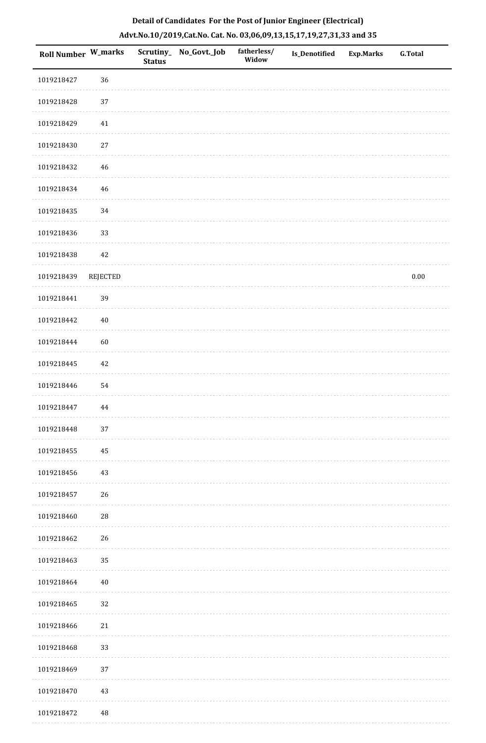| Roll Number W_marks |                 | Scrutiny_<br><b>Status</b> | No_Govt._Job | fatherless/<br>Widow | <b>Is_Denotified</b> | Exp.Marks | <b>G.Total</b> |
|---------------------|-----------------|----------------------------|--------------|----------------------|----------------------|-----------|----------------|
| 1019218427          | 36              |                            |              |                      |                      |           |                |
| 1019218428          | 37              |                            |              |                      |                      |           |                |
| 1019218429          | 41              |                            |              |                      |                      |           |                |
| 1019218430          | 27              |                            |              |                      |                      |           |                |
| 1019218432          | 46              |                            |              |                      |                      |           |                |
| 1019218434          | 46              |                            |              |                      |                      |           |                |
| 1019218435          | 34              |                            |              |                      |                      |           |                |
| 1019218436          | 33              |                            |              |                      |                      |           |                |
| 1019218438          | $42\,$          |                            |              |                      |                      |           |                |
| 1019218439          | <b>REJECTED</b> |                            |              |                      |                      |           | $0.00\,$       |
| 1019218441          | 39              |                            |              |                      |                      |           |                |
| 1019218442          | $40\,$          |                            |              |                      |                      |           |                |
| 1019218444          | 60              |                            |              |                      |                      |           |                |
| 1019218445          | 42              |                            |              |                      |                      |           |                |
| 1019218446          | 54              |                            |              |                      |                      |           |                |
| 1019218447          | 44              |                            |              |                      |                      |           |                |
| 1019218448          | 37              |                            |              |                      |                      |           |                |
| 1019218455          | 45              |                            |              |                      |                      |           |                |
| 1019218456          | 43              |                            |              |                      |                      |           |                |
| 1019218457          | 26              |                            |              |                      |                      |           |                |
| 1019218460          | $\sqrt{28}$     |                            |              |                      |                      |           |                |
| 1019218462          | 26              |                            |              |                      |                      |           |                |
| 1019218463          | 35              |                            |              |                      |                      |           |                |
| 1019218464          | $40\,$          |                            |              |                      |                      |           |                |
| 1019218465          | 32              |                            |              |                      |                      |           |                |
| 1019218466          | 21              |                            |              |                      |                      |           |                |
| 1019218468          | 33              |                            |              |                      |                      |           |                |
| 1019218469          | 37              |                            |              |                      |                      |           |                |
| 1019218470          | 43              |                            |              |                      |                      |           |                |
| 1019218472          | $\rm 48$        |                            |              |                      |                      |           |                |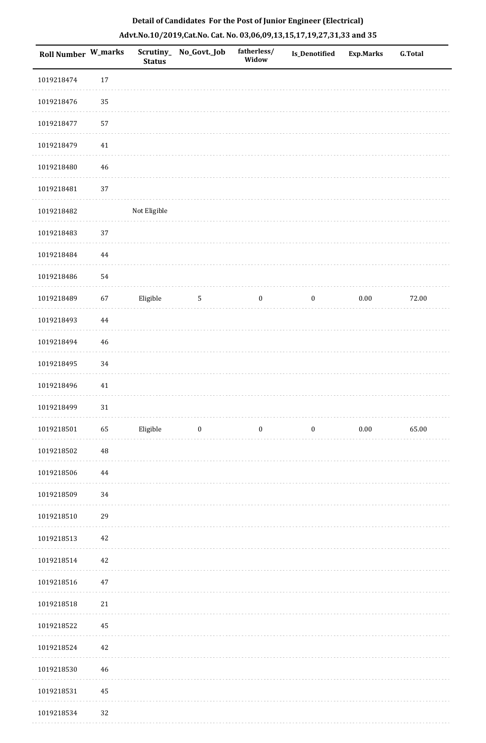| Roll Number W_marks |          | <b>Status</b> | Scrutiny_ No_Govt._Job  | fatherless/<br>Widow | <b>Is_Denotified</b> | <b>Exp.Marks</b> | <b>G.Total</b> |
|---------------------|----------|---------------|-------------------------|----------------------|----------------------|------------------|----------------|
| 1019218474          | $17\,$   |               |                         |                      |                      |                  |                |
| 1019218476          | 35       |               |                         |                      |                      |                  |                |
| 1019218477          | 57       |               |                         |                      |                      |                  |                |
| 1019218479          | $41\,$   |               |                         |                      |                      |                  |                |
| 1019218480          | 46       |               |                         |                      |                      |                  |                |
| 1019218481          | 37       |               |                         |                      |                      |                  |                |
| 1019218482          |          | Not Eligible  |                         |                      |                      |                  |                |
| 1019218483          | 37       |               |                         |                      |                      |                  |                |
| 1019218484          | $\bf 44$ |               |                         |                      |                      |                  |                |
| 1019218486          | 54       |               |                         |                      |                      |                  |                |
| 1019218489          | 67       | Eligible      | $5\phantom{.0}$         | $\boldsymbol{0}$     | $\boldsymbol{0}$     | $0.00\,$         | 72.00          |
| 1019218493          | $\bf 44$ |               |                         |                      |                      |                  |                |
| 1019218494          | 46       |               |                         |                      |                      |                  |                |
| 1019218495          | 34       |               |                         |                      |                      |                  |                |
| 1019218496          | $41\,$   |               |                         |                      |                      |                  |                |
| 1019218499          | $31\,$   |               |                         |                      |                      |                  |                |
| 1019218501          | 65       | Eligible      | $\overline{\mathbf{0}}$ | $\bf{0}$             | $\bf{0}$             | 0.00             | 65.00          |
| 1019218502          | $\rm 48$ |               |                         |                      |                      |                  |                |
| 1019218506          | 44       |               |                         |                      |                      |                  |                |
| 1019218509          | 34       |               |                         |                      |                      |                  |                |
| 1019218510          | 29       |               |                         |                      |                      |                  |                |
| 1019218513          | 42       |               |                         |                      |                      |                  |                |
| 1019218514          | 42       |               |                         |                      |                      |                  |                |
| 1019218516          | 47       |               |                         |                      |                      |                  |                |
| 1019218518          | 21       |               |                         |                      |                      |                  |                |
| 1019218522          | 45       |               |                         |                      |                      |                  |                |
| 1019218524          | 42       |               |                         |                      |                      |                  |                |
| 1019218530          | 46       |               |                         |                      |                      |                  |                |
| 1019218531          | 45       |               |                         |                      |                      |                  |                |
| 1019218534          | 32       |               |                         |                      |                      |                  |                |

 $\sim$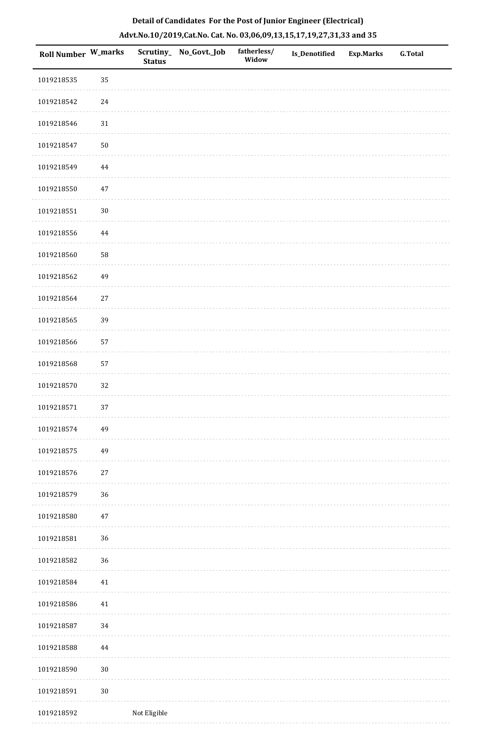| <b>Roll Number W_marks</b> |          | <b>Status</b> | Scrutiny_ No_Govt._Job | fatherless/<br>Widow | <b>Is_Denotified</b> | <b>Exp.Marks</b> | <b>G.Total</b> |
|----------------------------|----------|---------------|------------------------|----------------------|----------------------|------------------|----------------|
| 1019218535                 | 35       |               |                        |                      |                      |                  |                |
| 1019218542                 | $24\,$   |               |                        |                      |                      |                  |                |
| 1019218546                 | $31\,$   |               |                        |                      |                      |                  |                |
| 1019218547                 | $50\,$   |               |                        |                      |                      |                  |                |
| 1019218549                 | $\bf 44$ |               |                        |                      |                      |                  |                |
| 1019218550                 | $47\,$   |               |                        |                      |                      |                  |                |
| 1019218551                 | $30\,$   |               |                        |                      |                      |                  |                |
| 1019218556                 | $\bf 44$ |               |                        |                      |                      |                  |                |
| 1019218560                 | 58       |               |                        |                      |                      |                  |                |
| 1019218562                 | 49       |               |                        |                      |                      |                  |                |
| 1019218564                 | $27\,$   |               |                        |                      |                      |                  |                |
| 1019218565                 | 39       |               |                        |                      |                      |                  |                |
| 1019218566                 | 57       |               |                        |                      |                      |                  |                |
| 1019218568                 | 57       |               |                        |                      |                      |                  |                |
| 1019218570                 | 32       |               |                        |                      |                      |                  |                |
| 1019218571                 | 37       |               |                        |                      |                      |                  |                |
| 1019218574                 | 49       |               |                        |                      |                      |                  |                |
| 1019218575                 | 49       |               |                        |                      |                      |                  |                |
| 1019218576                 | $27\,$   |               |                        |                      |                      |                  |                |
| 1019218579                 | 36       |               |                        |                      |                      |                  |                |
| 1019218580                 | $47\,$   |               |                        |                      |                      |                  |                |
| 1019218581                 | 36       |               |                        |                      |                      |                  |                |
| 1019218582                 | 36       |               |                        |                      |                      |                  |                |
| 1019218584                 | 41       |               |                        |                      |                      |                  |                |
| 1019218586                 | 41       |               |                        |                      |                      |                  |                |
| 1019218587                 | 34       |               |                        |                      |                      |                  |                |
| 1019218588                 | 44       |               |                        |                      |                      |                  |                |
| 1019218590                 | $30\,$   |               |                        |                      |                      |                  |                |
| 1019218591                 | $30\,$   |               |                        |                      |                      |                  |                |
| 1019218592                 |          | Not Eligible  |                        |                      |                      |                  |                |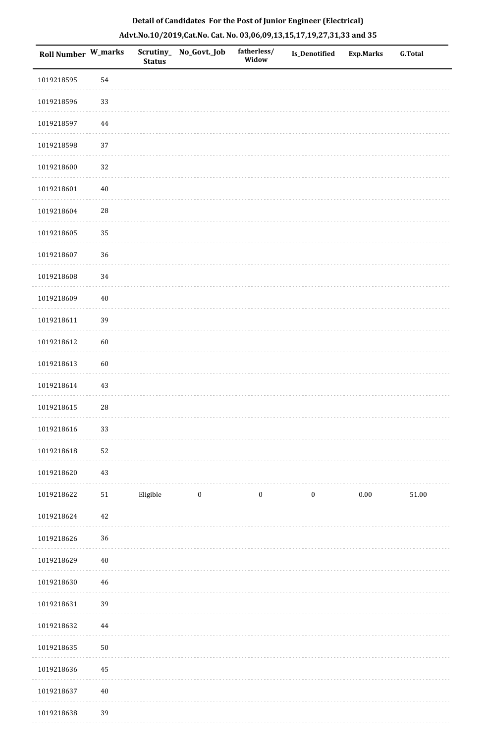| <b>Roll Number W_marks</b> |            | <b>Status</b> | Scrutiny_ No_Govt._Job | fatherless/<br>Widow | <b>Is_Denotified</b> | <b>Exp.Marks</b> | <b>G.Total</b> |
|----------------------------|------------|---------------|------------------------|----------------------|----------------------|------------------|----------------|
| 1019218595                 | 54         |               |                        |                      |                      |                  |                |
| 1019218596                 | 33         |               |                        |                      |                      |                  |                |
| 1019218597                 | $\bf 44$   |               |                        |                      |                      |                  |                |
| 1019218598                 | 37         |               |                        |                      |                      |                  |                |
| 1019218600                 | 32         |               |                        |                      |                      |                  |                |
| 1019218601                 | $40\,$     |               |                        |                      |                      |                  |                |
| 1019218604                 | 28         |               |                        |                      |                      |                  |                |
| 1019218605                 | 35         |               |                        |                      |                      |                  |                |
| 1019218607                 | 36         |               |                        |                      |                      |                  |                |
| 1019218608                 | 34         |               |                        |                      |                      |                  |                |
| 1019218609                 | $40\,$     |               |                        |                      |                      |                  |                |
| 1019218611                 | 39         |               |                        |                      |                      |                  |                |
| 1019218612                 | 60         |               |                        |                      |                      |                  |                |
| 1019218613                 | 60         |               |                        |                      |                      |                  |                |
| 1019218614                 | 43         |               |                        |                      |                      |                  |                |
| 1019218615                 | ${\bf 28}$ |               |                        |                      |                      |                  |                |
| 1019218616                 | 33         |               |                        |                      |                      |                  |                |
| 1019218618                 | 52         |               |                        |                      |                      |                  |                |
| 1019218620                 | 43         |               |                        |                      |                      |                  |                |
| 1019218622                 | 51         | Eligible      | $\boldsymbol{0}$       | $\boldsymbol{0}$     | $\boldsymbol{0}$     | 0.00             | $51.00\,$      |
| 1019218624                 | 42         |               |                        |                      |                      |                  |                |
| 1019218626                 | 36         |               |                        |                      |                      |                  |                |
| 1019218629                 | $40\,$     |               |                        |                      |                      |                  |                |
| 1019218630                 | 46         |               |                        |                      |                      |                  |                |
| 1019218631                 | 39         |               |                        |                      |                      |                  |                |
| 1019218632                 | 44         |               |                        |                      |                      |                  |                |
| 1019218635                 | $50\,$     |               |                        |                      |                      |                  |                |
| 1019218636                 | 45         |               |                        |                      |                      |                  |                |
| 1019218637                 | $40\,$     |               |                        |                      |                      |                  |                |
| 1019218638                 | 39         |               |                        |                      |                      |                  |                |

. . . . . . .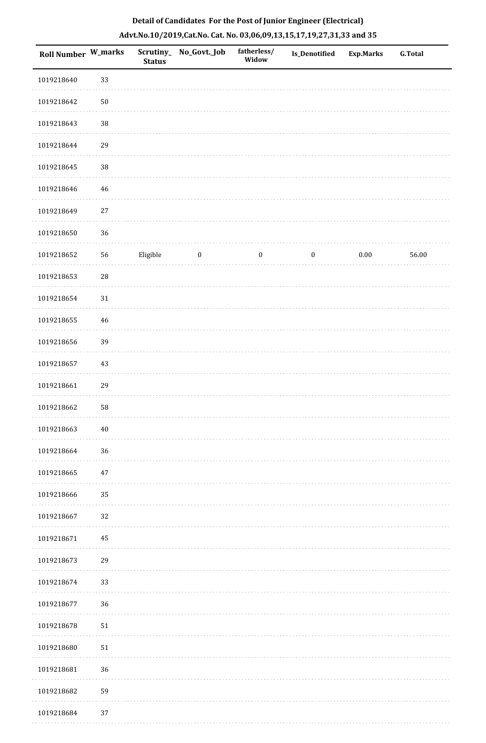| Roll Number W_marks |            | <b>Status</b> | Scrutiny_ No_Govt._Job | fatherless/<br>Widow | <b>Is_Denotified</b> | <b>Exp.Marks</b> | <b>G.Total</b> |
|---------------------|------------|---------------|------------------------|----------------------|----------------------|------------------|----------------|
| 1019218640          | 33         |               |                        |                      |                      |                  |                |
| 1019218642          | $50\,$     |               |                        |                      |                      |                  |                |
| 1019218643          | 38         |               |                        |                      |                      |                  |                |
| 1019218644          | 29         |               |                        |                      |                      |                  |                |
| 1019218645          | 38         |               |                        |                      |                      |                  |                |
| 1019218646          | $46\,$     |               |                        |                      |                      |                  |                |
| 1019218649          | $27\,$     |               |                        |                      |                      |                  |                |
| 1019218650          | 36         |               |                        |                      |                      |                  |                |
| 1019218652          | 56         | Eligible      | $\boldsymbol{0}$       | $\boldsymbol{0}$     | $\boldsymbol{0}$     | $0.00\,$         | 56.00          |
| 1019218653          | ${\bf 28}$ |               |                        |                      |                      |                  |                |
| 1019218654          | $31\,$     |               |                        |                      |                      |                  |                |
| 1019218655          | 46         |               |                        |                      |                      |                  |                |
| 1019218656          | 39         |               |                        |                      |                      |                  |                |
| 1019218657          | $43\,$     |               |                        |                      |                      |                  |                |
| 1019218661          | 29         |               |                        |                      |                      |                  |                |
| 1019218662          | 58         |               |                        |                      |                      |                  |                |
| 1019218663          | $40\,$     |               |                        |                      |                      |                  |                |
| 1019218664          | 36         |               |                        |                      |                      |                  |                |
| 1019218665          | $47\,$     |               |                        |                      |                      |                  |                |
| 1019218666          | 35         |               |                        |                      |                      |                  |                |
| 1019218667          | 32         |               |                        |                      |                      |                  |                |
| 1019218671          | 45         |               |                        |                      |                      |                  |                |
| 1019218673          | 29         |               |                        |                      |                      |                  |                |
| 1019218674          | 33         |               |                        |                      |                      |                  |                |
| 1019218677          | 36         |               |                        |                      |                      |                  |                |
| 1019218678          | ${\bf 51}$ |               |                        |                      |                      |                  |                |
| 1019218680          | $51\,$     |               |                        |                      |                      |                  |                |
| 1019218681          | 36         |               |                        |                      |                      |                  |                |
| 1019218682          | 59         |               |                        |                      |                      |                  |                |
| 1019218684          | 37         |               |                        |                      |                      |                  |                |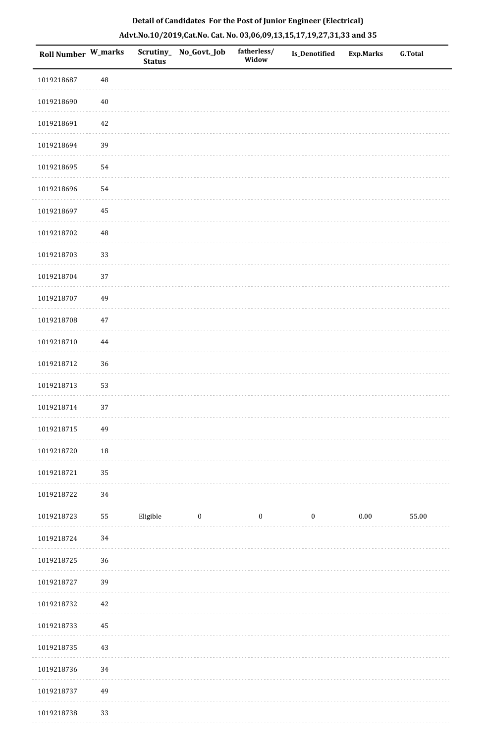|  | Detail of Candidates For the Post of Junior Engineer (Electrical)     |  |
|--|-----------------------------------------------------------------------|--|
|  | Advt.No.10/2019,Cat.No. Cat. No. 03,06,09,13,15,17,19,27,31,33 and 35 |  |

| <b>Roll Number W_marks</b> |          | <b>Status</b> | Scrutiny_No_Govt._Job | fatherless/<br>Widow | <b>Is_Denotified</b> | <b>Exp.Marks</b> | <b>G.Total</b> |
|----------------------------|----------|---------------|-----------------------|----------------------|----------------------|------------------|----------------|
| 1019218687                 | 48       |               |                       |                      |                      |                  |                |
| 1019218690                 | $40\,$   |               |                       |                      |                      |                  |                |
| 1019218691                 | 42       |               |                       |                      |                      |                  |                |
| 1019218694                 | 39       |               |                       |                      |                      |                  |                |
| 1019218695                 | 54       |               |                       |                      |                      |                  |                |
| 1019218696                 | 54       |               |                       |                      |                      |                  |                |
| 1019218697                 | 45       |               |                       |                      |                      |                  |                |
| 1019218702                 | $\rm 48$ |               |                       |                      |                      |                  |                |
| 1019218703                 | 33       |               |                       |                      |                      |                  |                |
| 1019218704                 | 37       |               |                       |                      |                      |                  |                |
| 1019218707                 | 49       |               |                       |                      |                      |                  |                |
| 1019218708                 | 47       |               |                       |                      |                      |                  |                |
| 1019218710                 | 44       |               |                       |                      |                      |                  |                |
| 1019218712                 | 36       |               |                       |                      |                      |                  |                |
| 1019218713                 | 53       |               |                       |                      |                      |                  |                |
| 1019218714                 | 37       |               |                       |                      |                      |                  |                |
| 1019218715                 | 49       |               |                       |                      |                      |                  |                |
| 1019218720                 | 18       |               |                       |                      |                      |                  |                |
| 1019218721                 | 35       |               |                       |                      |                      |                  |                |
| 1019218722                 | 34       |               |                       |                      |                      |                  |                |
| 1019218723                 | 55       | Eligible      | $\boldsymbol{0}$      | $\bf{0}$             | $\boldsymbol{0}$     | 0.00             | 55.00          |
| 1019218724                 | 34       |               |                       |                      |                      |                  |                |
| 1019218725                 | 36       |               |                       |                      |                      |                  |                |
| 1019218727                 | 39       |               |                       |                      |                      |                  |                |
| 1019218732                 | 42       |               |                       |                      |                      |                  |                |
| 1019218733                 | $45\,$   |               |                       |                      |                      |                  |                |
| 1019218735                 | 43       |               |                       |                      |                      |                  |                |
| 1019218736                 | 34       |               |                       |                      |                      |                  |                |
| 1019218737                 | 49       |               |                       |                      |                      |                  |                |
| 1019218738                 | 33       |               |                       |                      |                      |                  |                |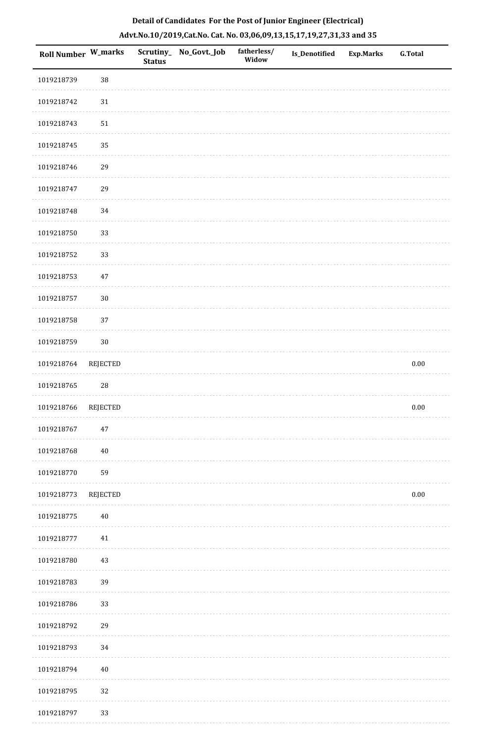| Roll Number W_marks |                 | Scrutiny_<br><b>Status</b> | No_Govt._Job | fatherless/<br>Widow | <b>Is_Denotified</b> | <b>Exp.Marks</b> | G.Total  |
|---------------------|-----------------|----------------------------|--------------|----------------------|----------------------|------------------|----------|
| 1019218739          | $38\,$          |                            |              |                      |                      |                  |          |
| 1019218742          | $31\,$          |                            |              |                      |                      |                  |          |
| 1019218743          | $51\,$          |                            |              |                      |                      |                  |          |
| 1019218745          | 35              |                            |              |                      |                      |                  |          |
| 1019218746          | 29              |                            |              |                      |                      |                  |          |
| 1019218747          | 29              |                            |              |                      |                      |                  |          |
| 1019218748          | 34              |                            |              |                      |                      |                  |          |
| 1019218750          | 33              |                            |              |                      |                      |                  |          |
| 1019218752          | 33              |                            |              |                      |                      |                  |          |
| 1019218753          | $47\,$          |                            |              |                      |                      |                  |          |
| 1019218757          | $30\,$          |                            |              |                      |                      |                  |          |
| 1019218758          | 37              |                            |              |                      |                      |                  |          |
| 1019218759          | $30\,$          |                            |              |                      |                      |                  |          |
| 1019218764          | REJECTED        |                            |              |                      |                      |                  | $0.00\,$ |
| 1019218765          | $\sqrt{28}$     |                            |              |                      |                      |                  |          |
| 1019218766          | <b>REJECTED</b> |                            |              |                      |                      |                  | $0.00\,$ |
| 1019218767          | 47              |                            |              |                      |                      |                  |          |
| 1019218768          | $40\,$          |                            |              |                      |                      |                  |          |
| 1019218770          | 59              |                            |              |                      |                      |                  |          |
| 1019218773          | REJECTED        |                            |              |                      |                      |                  | $0.00\,$ |
| 1019218775          | $40\,$          |                            |              |                      |                      |                  |          |
| 1019218777          | $41\,$          |                            |              |                      |                      |                  |          |
| 1019218780          | $43\,$          |                            |              |                      |                      |                  |          |
| 1019218783          | 39              |                            |              |                      |                      |                  |          |
| 1019218786          | 33              |                            |              |                      |                      |                  |          |
| 1019218792          | 29              |                            |              |                      |                      |                  |          |
| 1019218793          | 34              |                            |              |                      |                      |                  |          |
| 1019218794          | $40\,$          |                            |              |                      |                      |                  |          |
| 1019218795          | 32              |                            |              |                      |                      |                  |          |
| 1019218797          | 33              |                            |              |                      |                      |                  |          |

. . . . . . . . . .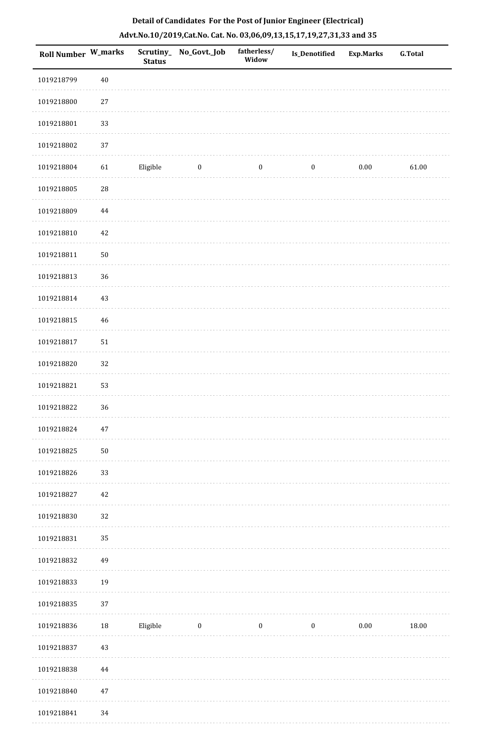| <b>Roll Number W_marks</b> |             | <b>Status</b> | Scrutiny_ No_Govt._Job | fatherless/<br>Widow | <b>Is_Denotified</b> | <b>Exp.Marks</b> | <b>G.Total</b> |
|----------------------------|-------------|---------------|------------------------|----------------------|----------------------|------------------|----------------|
| 1019218799                 | 40          |               |                        |                      |                      |                  |                |
| 1019218800                 | $27\,$      |               |                        |                      |                      |                  |                |
| 1019218801                 | 33          |               |                        |                      |                      |                  |                |
| 1019218802                 | 37          |               |                        |                      |                      |                  |                |
| 1019218804                 | 61          | Eligible      | $\boldsymbol{0}$       | $\boldsymbol{0}$     | $\boldsymbol{0}$     | 0.00             | 61.00          |
| 1019218805                 | $\sqrt{28}$ |               |                        |                      |                      |                  |                |
| 1019218809                 | 44          |               |                        |                      |                      |                  |                |
| 1019218810                 | 42          |               |                        |                      |                      |                  |                |
| 1019218811                 | $50\,$      |               |                        |                      |                      |                  |                |
| 1019218813                 | 36          |               |                        |                      |                      |                  |                |
| 1019218814                 | 43          |               |                        |                      |                      |                  |                |
| 1019218815                 | 46          |               |                        |                      |                      |                  |                |
| 1019218817                 | 51          |               |                        |                      |                      |                  |                |
| 1019218820                 | 32          |               |                        |                      |                      |                  |                |
| 1019218821                 | 53          |               |                        |                      |                      |                  |                |
| 1019218822                 | 36          |               |                        |                      |                      |                  |                |
| 1019218824                 | $47\,$      |               |                        |                      |                      |                  |                |
| 1019218825                 | $50\,$      |               |                        |                      |                      |                  |                |
| 1019218826                 | 33          |               |                        |                      |                      |                  |                |
| 1019218827                 | 42          |               |                        |                      |                      |                  |                |
| 1019218830                 | 32          |               |                        |                      |                      |                  |                |
| 1019218831                 | 35          |               |                        |                      |                      |                  |                |
| 1019218832                 | 49          |               |                        |                      |                      |                  |                |
| 1019218833                 | 19          |               |                        |                      |                      |                  |                |
| 1019218835                 | 37          |               |                        |                      |                      |                  |                |
| 1019218836                 | $18\,$      | Eligible      | $\boldsymbol{0}$       | $\boldsymbol{0}$     | $\boldsymbol{0}$     | $0.00\,$         | 18.00          |
| 1019218837                 | 43          |               |                        |                      |                      |                  |                |
| 1019218838                 | 44          |               |                        |                      |                      |                  |                |
| 1019218840                 | 47          |               |                        |                      |                      |                  |                |
| 1019218841                 | 34          |               |                        |                      |                      |                  |                |

 $1.1.1.1$ 

. . . . . . . . . . .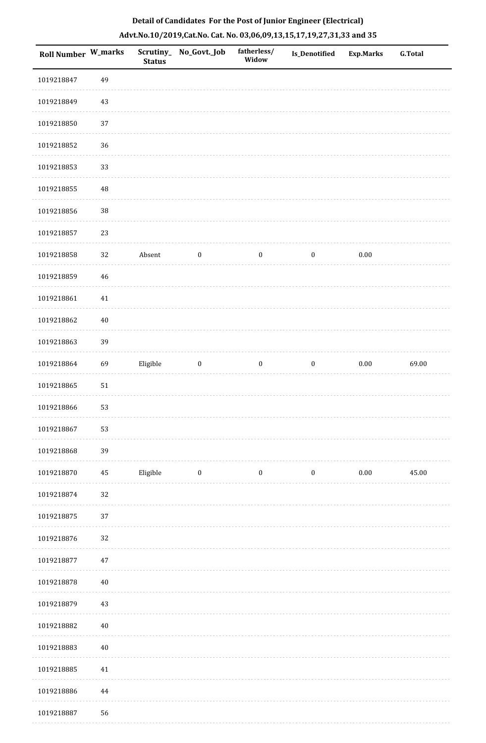| <b>Roll Number W_marks</b> |          | <b>Status</b> | Scrutiny_No_Govt._Job | fatherless/<br>Widow | <b>Is_Denotified</b> | <b>Exp.Marks</b> | <b>G.Total</b> |
|----------------------------|----------|---------------|-----------------------|----------------------|----------------------|------------------|----------------|
| 1019218847                 | 49       |               |                       |                      |                      |                  |                |
| 1019218849                 | $43\,$   |               |                       |                      |                      |                  |                |
| 1019218850                 | 37       |               |                       |                      |                      |                  |                |
| 1019218852                 | 36       |               |                       |                      |                      |                  |                |
| 1019218853                 | 33       |               |                       |                      |                      |                  |                |
| 1019218855                 | 48       |               |                       |                      |                      |                  |                |
| 1019218856                 | $38\,$   |               |                       |                      |                      |                  |                |
| 1019218857                 | 23       |               |                       |                      |                      |                  |                |
| 1019218858                 | 32       | Absent        | $\boldsymbol{0}$      | $\boldsymbol{0}$     | $\boldsymbol{0}$     | $0.00\,$         |                |
| 1019218859                 | 46       |               |                       |                      |                      |                  |                |
| 1019218861                 | $41\,$   |               |                       |                      |                      |                  |                |
| 1019218862                 | $40\,$   |               |                       |                      |                      |                  |                |
| 1019218863                 | 39       |               |                       |                      |                      |                  |                |
| 1019218864                 | 69       | Eligible      | $\boldsymbol{0}$      | $\boldsymbol{0}$     | $\boldsymbol{0}$     | $0.00\,$         | 69.00          |
| 1019218865                 | 51       |               |                       |                      |                      |                  |                |
| 1019218866                 | 53       |               |                       |                      |                      |                  |                |
| 1019218867                 | 53       |               |                       |                      |                      |                  |                |
| 1019218868                 | 39       |               |                       |                      |                      |                  |                |
| 1019218870                 | $\bf 45$ | Eligible      | $\boldsymbol{0}$      | $\boldsymbol{0}$     | $\boldsymbol{0}$     | $0.00\,$         | 45.00          |
| 1019218874                 | $32\,$   |               |                       |                      |                      |                  |                |
| 1019218875                 | 37       |               |                       |                      |                      |                  |                |
| 1019218876                 | 32       |               |                       |                      |                      |                  |                |
| 1019218877                 | $47\,$   |               |                       |                      |                      |                  |                |
| 1019218878                 | $40\,$   |               |                       |                      |                      |                  |                |
| 1019218879                 | 43       |               |                       |                      |                      |                  |                |
| 1019218882                 | $40\,$   |               |                       |                      |                      |                  |                |
| 1019218883                 | 40       |               |                       |                      |                      |                  |                |
| 1019218885                 | $41\,$   |               |                       |                      |                      |                  |                |
| 1019218886                 | 44       |               |                       |                      |                      |                  |                |
| 1019218887                 | 56       |               |                       |                      |                      |                  |                |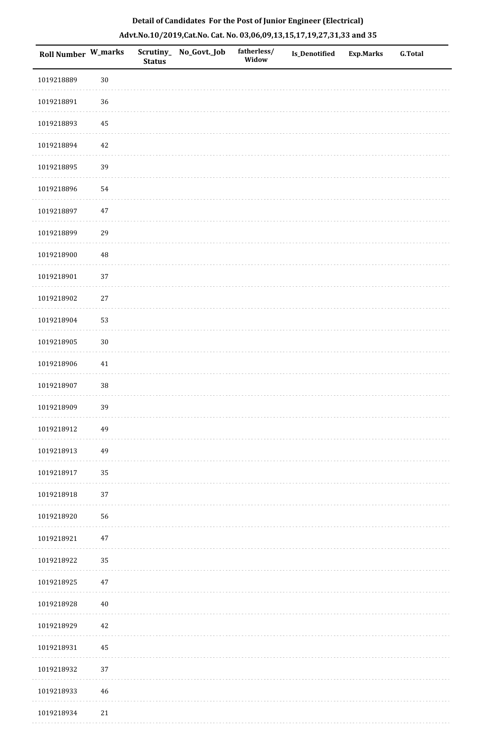|  | Detail of Candidates For the Post of Junior Engineer (Electrical)     |  |
|--|-----------------------------------------------------------------------|--|
|  | Advt.No.10/2019,Cat.No. Cat. No. 03,06,09,13,15,17,19,27,31,33 and 35 |  |

| Roll Number W_marks |          | <b>Status</b> | Scrutiny_ No_Govt._Job | fatherless/<br>Widow | Is_Denotified | <b>Exp.Marks</b> | <b>G.Total</b> |
|---------------------|----------|---------------|------------------------|----------------------|---------------|------------------|----------------|
| 1019218889          | $30\,$   |               |                        |                      |               |                  |                |
| 1019218891          | 36       |               |                        |                      |               |                  |                |
| 1019218893          | $\bf 45$ |               |                        |                      |               |                  |                |
| 1019218894          | $42\,$   |               |                        |                      |               |                  |                |
| 1019218895          | 39       |               |                        |                      |               |                  |                |
| 1019218896          | 54       |               |                        |                      |               |                  |                |
| 1019218897          | $47\,$   |               |                        |                      |               |                  |                |
| 1019218899          | 29       |               |                        |                      |               |                  |                |
| 1019218900          | 48       |               |                        |                      |               |                  |                |
| 1019218901          | 37       |               |                        |                      |               |                  |                |
| 1019218902          | $27\,$   |               |                        |                      |               |                  |                |
| 1019218904          | 53       |               |                        |                      |               |                  |                |
| 1019218905          | $30\,$   |               |                        |                      |               |                  |                |
| 1019218906          | $41\,$   |               |                        |                      |               |                  |                |
| 1019218907          | 38       |               |                        |                      |               |                  |                |
| 1019218909          | 39       |               |                        |                      |               |                  |                |
| 1019218912          | 49       |               |                        |                      |               |                  |                |
| 1019218913          | 49       |               |                        |                      |               |                  |                |
| 1019218917          | 35       |               |                        |                      |               |                  |                |
| 1019218918          | 37       |               |                        |                      |               |                  |                |
| 1019218920          | 56       |               |                        |                      |               |                  |                |
| 1019218921          | $47\,$   |               |                        |                      |               |                  |                |
| 1019218922          | 35       |               |                        |                      |               |                  |                |
| 1019218925          | $47\,$   |               |                        |                      |               |                  |                |
| 1019218928          | $40\,$   |               |                        |                      |               |                  |                |
| 1019218929          | $42\,$   |               |                        |                      |               |                  |                |
| 1019218931          | $\bf 45$ |               |                        |                      |               |                  |                |
| 1019218932          | 37       |               |                        |                      |               |                  |                |
| 1019218933          | $46\,$   |               |                        |                      |               |                  |                |
| 1019218934          | $21\,$   |               |                        |                      |               |                  |                |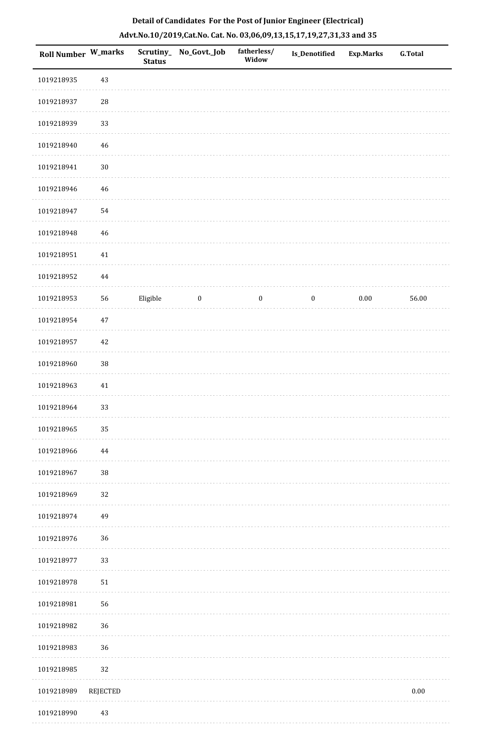| <b>Roll Number W_marks</b> |             | Scrutiny_<br><b>Status</b> | No_Govt._Job     | fatherless/<br>Widow | <b>Is_Denotified</b> | <b>Exp.Marks</b> | <b>G.Total</b> |
|----------------------------|-------------|----------------------------|------------------|----------------------|----------------------|------------------|----------------|
| 1019218935                 | 43          |                            |                  |                      |                      |                  |                |
| 1019218937                 | $\sqrt{28}$ |                            |                  |                      |                      |                  |                |
| 1019218939                 | 33          |                            |                  |                      |                      |                  |                |
| 1019218940                 | 46          |                            |                  |                      |                      |                  |                |
| 1019218941                 | $30\,$      |                            |                  |                      |                      |                  |                |
| 1019218946                 | 46          |                            |                  |                      |                      |                  |                |
| 1019218947                 | 54          |                            |                  |                      |                      |                  |                |
| 1019218948                 | 46          |                            |                  |                      |                      |                  |                |
| 1019218951                 | $41\,$      |                            |                  |                      |                      |                  |                |
| 1019218952                 | $\bf 44$    |                            |                  |                      |                      |                  |                |
| 1019218953                 | 56          | Eligible                   | $\boldsymbol{0}$ | $\boldsymbol{0}$     | $\boldsymbol{0}$     | $0.00\,$         | 56.00          |
| 1019218954                 | 47          |                            |                  |                      |                      |                  |                |
| 1019218957                 | 42          |                            |                  |                      |                      |                  |                |
| 1019218960                 | $38\,$      |                            |                  |                      |                      |                  |                |
| 1019218963                 | 41          |                            |                  |                      |                      |                  |                |
| 1019218964                 | 33          |                            |                  |                      |                      |                  |                |
| 1019218965                 | 35          |                            |                  |                      |                      |                  |                |
| 1019218966                 | 44          |                            |                  |                      |                      |                  |                |
| 1019218967                 | $38\,$      |                            |                  |                      |                      |                  |                |
| 1019218969                 | 32          |                            |                  |                      |                      |                  |                |
| 1019218974                 | 49          |                            |                  |                      |                      |                  |                |
| 1019218976                 | 36          |                            |                  |                      |                      |                  |                |
| 1019218977                 | 33          |                            |                  |                      |                      |                  |                |
| 1019218978                 | 51          |                            |                  |                      |                      |                  |                |
| 1019218981                 | 56          |                            |                  |                      |                      |                  |                |
| 1019218982                 | 36          |                            |                  |                      |                      |                  |                |
| 1019218983                 | 36          |                            |                  |                      |                      |                  |                |
| 1019218985                 | 32          |                            |                  |                      |                      |                  |                |
| 1019218989                 | REJECTED    |                            |                  |                      |                      |                  | $0.00\,$       |
|                            |             |                            |                  |                      |                      |                  |                |

# **Detail of Candidates For the Post of Junior Engineer (Electrical) Advt.No.10/2019,Cat.No. Cat. No. 03,06,09,13,15,17,19,27,31,33 and 35**

1019218990 43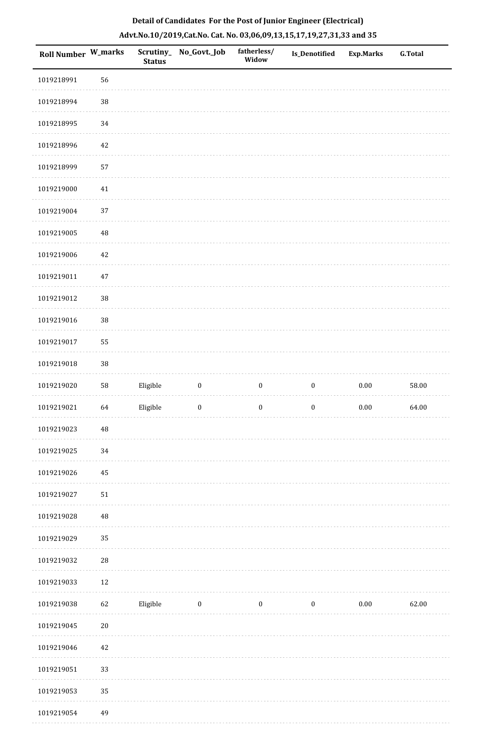| <b>Roll Number W_marks</b> |             | <b>Status</b> | Scrutiny_ No_Govt._Job | fatherless/<br>Widow | Is_Denotified    | <b>Exp.Marks</b> | <b>G.Total</b> |
|----------------------------|-------------|---------------|------------------------|----------------------|------------------|------------------|----------------|
| 1019218991                 | 56          |               |                        |                      |                  |                  |                |
| 1019218994                 | 38          |               |                        |                      |                  |                  |                |
| 1019218995                 | 34          |               |                        |                      |                  |                  |                |
| 1019218996                 | $42\,$      |               |                        |                      |                  |                  |                |
| 1019218999                 | 57          |               |                        |                      |                  |                  |                |
| 1019219000                 | $41\,$      |               |                        |                      |                  |                  |                |
| 1019219004                 | 37          |               |                        |                      |                  |                  |                |
| 1019219005                 | 48          |               |                        |                      |                  |                  |                |
| 1019219006                 | $42\,$      |               |                        |                      |                  |                  |                |
| 1019219011                 | $47\,$      |               |                        |                      |                  |                  |                |
| 1019219012                 | 38          |               |                        |                      |                  |                  |                |
| 1019219016                 | 38          |               |                        |                      |                  |                  |                |
| 1019219017                 | 55          |               |                        |                      |                  |                  |                |
| 1019219018                 | 38          |               |                        |                      |                  |                  |                |
| 1019219020                 | 58          | Eligible      | $\boldsymbol{0}$       | $\boldsymbol{0}$     | $\boldsymbol{0}$ | $0.00\,$         | 58.00          |
| 1019219021                 | 64          | Eligible      | $\boldsymbol{0}$       | $\boldsymbol{0}$     | $\boldsymbol{0}$ | $0.00\,$         | 64.00          |
| 1019219023                 | $\sqrt{48}$ |               |                        |                      |                  |                  |                |
| 1019219025                 | 34          |               |                        |                      |                  |                  |                |
| 1019219026                 | 45          |               |                        |                      |                  |                  |                |
| 1019219027                 | 51          |               |                        |                      |                  |                  |                |
| 1019219028                 | 48          |               |                        |                      |                  |                  |                |
| 1019219029                 | 35          |               |                        |                      |                  |                  |                |
| 1019219032                 | ${\bf 28}$  |               |                        |                      |                  |                  |                |
| 1019219033                 | $12\,$      |               |                        |                      |                  |                  |                |
| 1019219038                 | 62          | Eligible      | $\boldsymbol{0}$       | $\bf{0}$             | $\boldsymbol{0}$ | $0.00\,$         | 62.00          |
| 1019219045                 | $20\,$      |               |                        |                      |                  |                  |                |
| 1019219046                 | $42\,$      |               |                        |                      |                  |                  |                |
| 1019219051                 | 33          |               |                        |                      |                  |                  |                |
| 1019219053                 | 35          |               |                        |                      |                  |                  |                |
| 1019219054                 | 49          |               |                        |                      |                  |                  |                |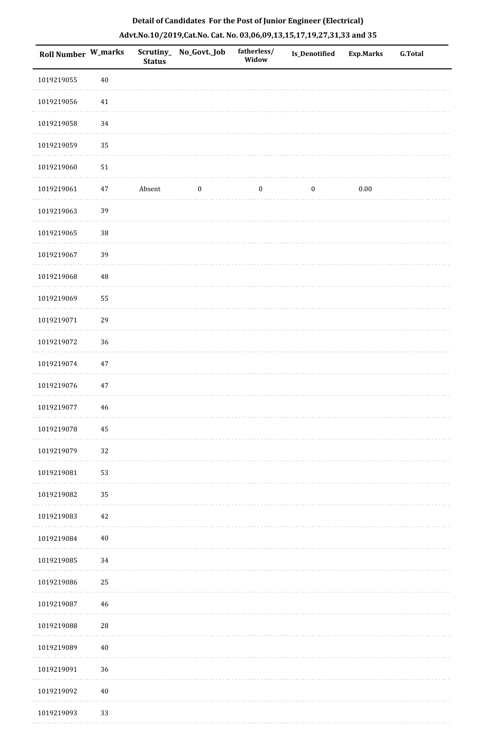| Roll Number W_marks |        | <b>Status</b> | Scrutiny_No_Govt._Job | fatherless/<br>Widow | Is_Denotified    | <b>Exp.Marks</b> | G.Total |
|---------------------|--------|---------------|-----------------------|----------------------|------------------|------------------|---------|
| 1019219055          | $40\,$ |               |                       |                      |                  |                  |         |
| 1019219056          | 41     |               |                       |                      |                  |                  |         |
| 1019219058          | 34     |               |                       |                      |                  |                  |         |
| 1019219059          | 35     |               |                       |                      |                  |                  |         |
| 1019219060          | $51\,$ |               |                       |                      |                  |                  |         |
| 1019219061          | $47\,$ | Absent        | $\boldsymbol{0}$      | $\boldsymbol{0}$     | $\boldsymbol{0}$ | $0.00\,$         |         |
| 1019219063          | 39     |               |                       |                      |                  |                  |         |
| 1019219065          | $38\,$ |               |                       |                      |                  |                  |         |
| 1019219067          | 39     |               |                       |                      |                  |                  |         |
| 1019219068          | 48     |               |                       |                      |                  |                  |         |
| 1019219069          | 55     |               |                       |                      |                  |                  |         |
| 1019219071          | 29     |               |                       |                      |                  |                  |         |
| 1019219072          | 36     |               |                       |                      |                  |                  |         |
| 1019219074          | $47\,$ |               |                       |                      |                  |                  |         |
| 1019219076          | $47\,$ |               |                       |                      |                  |                  |         |
| 1019219077          | $46\,$ |               |                       |                      |                  |                  |         |
| 1019219078          | 45     |               |                       |                      |                  |                  |         |
| 1019219079          | 32     |               |                       |                      |                  |                  |         |
| 1019219081          | 53     |               |                       |                      |                  |                  |         |
| 1019219082          | 35     |               |                       |                      |                  |                  |         |
| 1019219083          | 42     |               |                       |                      |                  |                  |         |
| 1019219084          | $40\,$ |               |                       |                      |                  |                  |         |
| 1019219085          | 34     |               |                       |                      |                  |                  |         |
| 1019219086          | 25     |               |                       |                      |                  |                  |         |
| 1019219087          | 46     |               |                       |                      |                  |                  |         |
| 1019219088          | 28     |               |                       |                      |                  |                  |         |
| 1019219089          | $40\,$ |               |                       |                      |                  |                  |         |
| 1019219091          | 36     |               |                       |                      |                  |                  |         |
| 1019219092          | $40\,$ |               |                       |                      |                  |                  |         |
| 1019219093          | 33     |               |                       |                      |                  |                  |         |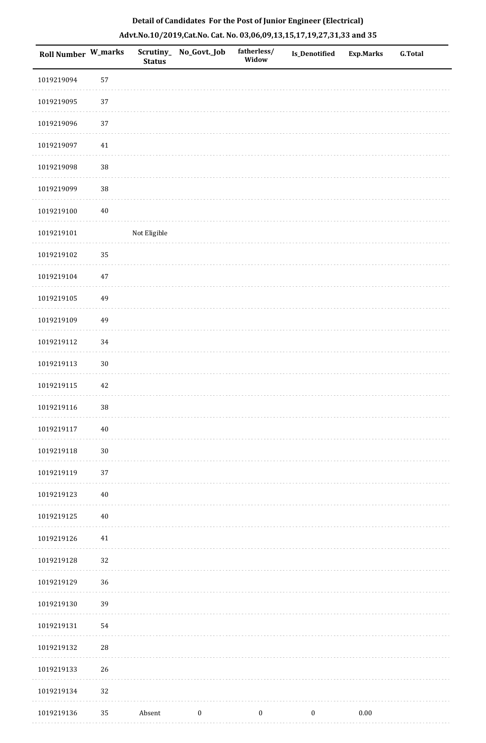|  |  | Detail of Candidates For the Post of Junior Engineer (Electrical)     |  |
|--|--|-----------------------------------------------------------------------|--|
|  |  | Advt.No.10/2019,Cat.No. Cat. No. 03,06,09,13,15,17,19,27,31,33 and 35 |  |

| Roll Number W_marks |            | <b>Status</b> | Scrutiny_ No_Govt._Job | fatherless/<br>Widow | Is_Denotified    | <b>Exp.Marks</b> | <b>G.Total</b> |
|---------------------|------------|---------------|------------------------|----------------------|------------------|------------------|----------------|
| 1019219094          | 57         |               |                        |                      |                  |                  |                |
| 1019219095          | 37         |               |                        |                      |                  |                  |                |
| 1019219096          | 37         |               |                        |                      |                  |                  |                |
| 1019219097          | $41\,$     |               |                        |                      |                  |                  |                |
| 1019219098          | $38\,$     |               |                        |                      |                  |                  |                |
| 1019219099          | 38         |               |                        |                      |                  |                  |                |
| 1019219100          | $40\,$     |               |                        |                      |                  |                  |                |
| 1019219101          |            | Not Eligible  |                        |                      |                  |                  |                |
| 1019219102          | 35         |               |                        |                      |                  |                  |                |
| 1019219104          | $47\,$     |               |                        |                      |                  |                  |                |
| 1019219105          | 49         |               |                        |                      |                  |                  |                |
| 1019219109          | 49         |               |                        |                      |                  |                  |                |
| 1019219112          | 34         |               |                        |                      |                  |                  |                |
| 1019219113          | $30\,$     |               |                        |                      |                  |                  |                |
| 1019219115          | $42\,$     |               |                        |                      |                  |                  |                |
| 1019219116          | 38         |               |                        |                      |                  |                  |                |
| 1019219117          | $40\,$     |               |                        |                      |                  |                  |                |
| 1019219118          | $30\,$     |               |                        |                      |                  |                  |                |
| 1019219119          | 37         |               |                        |                      |                  |                  |                |
| 1019219123          | $40\,$     |               |                        |                      |                  |                  |                |
| 1019219125          | $40\,$     |               |                        |                      |                  |                  |                |
| 1019219126          | 41         |               |                        |                      |                  |                  |                |
| 1019219128          | 32         |               |                        |                      |                  |                  |                |
| 1019219129          | 36         |               |                        |                      |                  |                  |                |
| 1019219130          | 39         |               |                        |                      |                  |                  |                |
| 1019219131          | 54         |               |                        |                      |                  |                  |                |
| 1019219132          | ${\bf 28}$ |               |                        |                      |                  |                  |                |
| 1019219133          | 26         |               |                        |                      |                  |                  |                |
| 1019219134          | 32         |               |                        |                      |                  |                  |                |
| 1019219136          | 35         | Absent        | $\boldsymbol{0}$       | $\boldsymbol{0}$     | $\boldsymbol{0}$ | $0.00\,$         |                |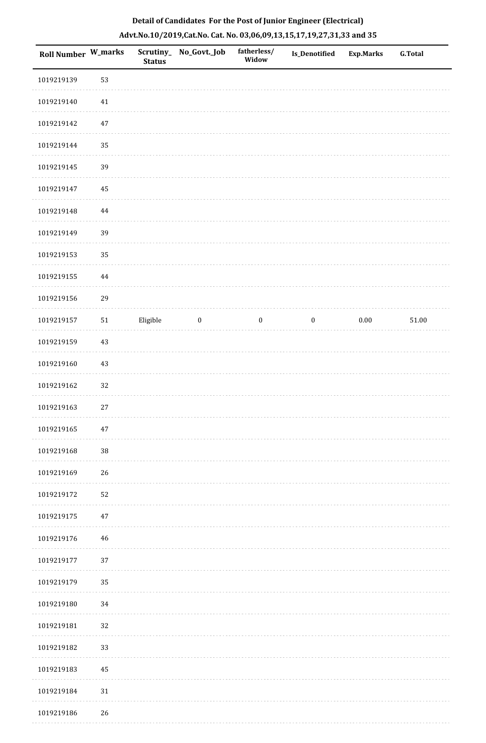| Roll Number W_marks |        | <b>Status</b> | Scrutiny_ No_Govt._Job | fatherless/<br>Widow | Is_Denotified    | <b>Exp.Marks</b> | <b>G.Total</b> |
|---------------------|--------|---------------|------------------------|----------------------|------------------|------------------|----------------|
| 1019219139          | 53     |               |                        |                      |                  |                  |                |
| 1019219140          | $41\,$ |               |                        |                      |                  |                  |                |
| 1019219142          | $47\,$ |               |                        |                      |                  |                  |                |
| 1019219144          | 35     |               |                        |                      |                  |                  |                |
| 1019219145          | 39     |               |                        |                      |                  |                  |                |
| 1019219147          | $45\,$ |               |                        |                      |                  |                  |                |
| 1019219148          | 44     |               |                        |                      |                  |                  |                |
| 1019219149          | 39     |               |                        |                      |                  |                  |                |
| 1019219153          | 35     |               |                        |                      |                  |                  |                |
| 1019219155          | 44     |               |                        |                      |                  |                  |                |
| 1019219156          | 29     |               |                        |                      |                  |                  |                |
| 1019219157          | $51\,$ | Eligible      | $\boldsymbol{0}$       | $\boldsymbol{0}$     | $\boldsymbol{0}$ | $0.00\,$         | $51.00\,$      |
| 1019219159          | 43     |               |                        |                      |                  |                  |                |
| 1019219160          | 43     |               |                        |                      |                  |                  |                |
| 1019219162          | 32     |               |                        |                      |                  |                  |                |
| 1019219163          | 27     |               |                        |                      |                  |                  |                |
| 1019219165          | 47     |               |                        |                      |                  |                  |                |
| 1019219168          | $38\,$ |               |                        |                      |                  |                  |                |
| 1019219169          | 26     |               |                        |                      |                  |                  |                |
| 1019219172          | 52     |               |                        |                      |                  |                  |                |
| 1019219175          | 47     |               |                        |                      |                  |                  |                |
| 1019219176          | 46     |               |                        |                      |                  |                  |                |
| 1019219177          | 37     |               |                        |                      |                  |                  |                |
| 1019219179          | 35     |               |                        |                      |                  |                  |                |
| 1019219180          | 34     |               |                        |                      |                  |                  |                |
| 1019219181          | 32     |               |                        |                      |                  |                  |                |
| 1019219182          | 33     |               |                        |                      |                  |                  |                |
| 1019219183          | 45     |               |                        |                      |                  |                  |                |
| 1019219184          | 31     |               |                        |                      |                  |                  |                |
| 1019219186          | 26     |               |                        |                      |                  |                  |                |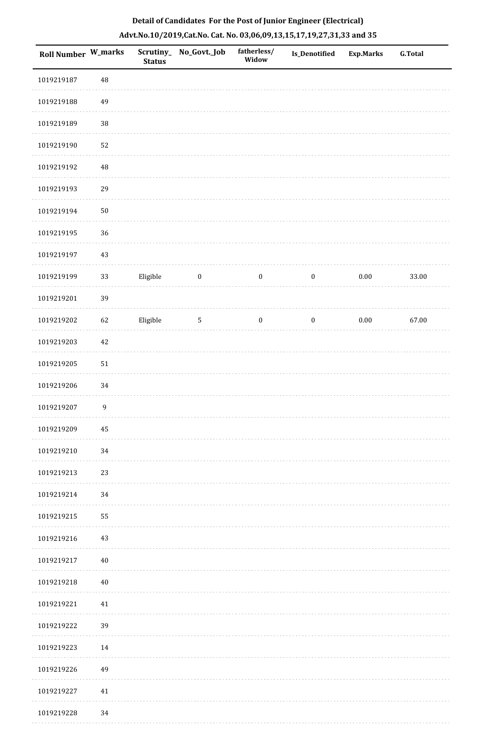| Roll Number W_marks |                  | <b>Status</b> | Scrutiny_ No_Govt._Job | fatherless/<br>Widow | Is_Denotified    | <b>Exp.Marks</b> | <b>G.Total</b> |
|---------------------|------------------|---------------|------------------------|----------------------|------------------|------------------|----------------|
| 1019219187          | $\rm 48$         |               |                        |                      |                  |                  |                |
| 1019219188          | 49               |               |                        |                      |                  |                  |                |
| 1019219189          | 38               |               |                        |                      |                  |                  |                |
| 1019219190          | 52               |               |                        |                      |                  |                  |                |
| 1019219192          | $\rm 48$         |               |                        |                      |                  |                  |                |
| 1019219193          | 29               |               |                        |                      |                  |                  |                |
| 1019219194          | $50\,$           |               |                        |                      |                  |                  |                |
| 1019219195          | 36               |               |                        |                      |                  |                  |                |
| 1019219197          | 43               |               |                        |                      |                  |                  |                |
| 1019219199          | 33               | Eligible      | $\boldsymbol{0}$       | $\boldsymbol{0}$     | $\boldsymbol{0}$ | $0.00\,$         | 33.00          |
| 1019219201          | 39               |               |                        |                      |                  |                  |                |
| 1019219202          | 62               | Eligible      | $5\phantom{.0}$        | $\boldsymbol{0}$     | $\boldsymbol{0}$ | $0.00\,$         | 67.00          |
| 1019219203          | 42               |               |                        |                      |                  |                  |                |
| 1019219205          | 51               |               |                        |                      |                  |                  |                |
| 1019219206          | 34               |               |                        |                      |                  |                  |                |
| 1019219207          | $\boldsymbol{9}$ |               |                        |                      |                  |                  |                |
| 1019219209          | 45               |               |                        |                      |                  |                  |                |
| 1019219210          | 34               |               |                        |                      |                  |                  |                |
| 1019219213          | 23               |               |                        |                      |                  |                  |                |
| 1019219214          | 34               |               |                        |                      |                  |                  |                |
| 1019219215          | 55               |               |                        |                      |                  |                  |                |
| 1019219216          | 43               |               |                        |                      |                  |                  |                |
| 1019219217          | 40               |               |                        |                      |                  |                  |                |
| 1019219218          | 40               |               |                        |                      |                  |                  |                |
| 1019219221          | 41               |               |                        |                      |                  |                  |                |
| 1019219222          | 39               |               |                        |                      |                  |                  |                |
| 1019219223          | 14               |               |                        |                      |                  |                  |                |
| 1019219226          | 49               |               |                        |                      |                  |                  |                |
| 1019219227          | 41               |               |                        |                      |                  |                  |                |
| 1019219228          | 34               |               |                        |                      |                  |                  |                |

. . . . . . .

. . . . . . . . . . .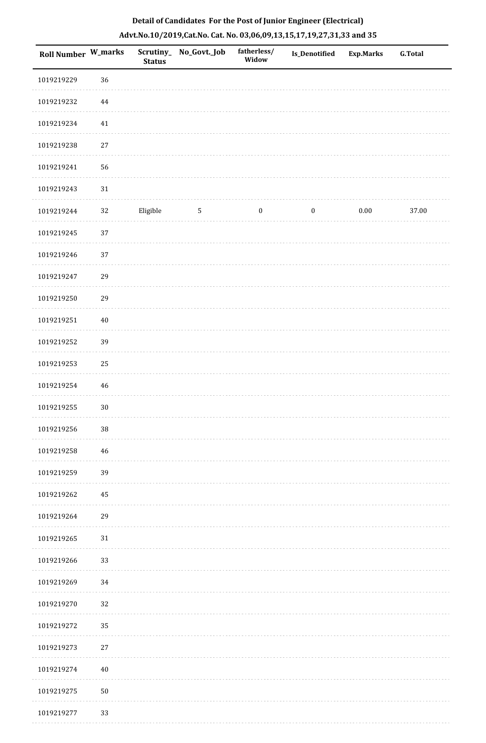| Roll Number W_marks |          | <b>Status</b> | Scrutiny_No_Govt._Job | fatherless/<br>Widow | Is_Denotified    | <b>Exp.Marks</b> | <b>G.Total</b> |
|---------------------|----------|---------------|-----------------------|----------------------|------------------|------------------|----------------|
| 1019219229          | $36\,$   |               |                       |                      |                  |                  |                |
| 1019219232          | $\bf 44$ |               |                       |                      |                  |                  |                |
| 1019219234          | 41       |               |                       |                      |                  |                  |                |
| 1019219238          | 27       |               |                       |                      |                  |                  |                |
| 1019219241          | 56       |               |                       |                      |                  |                  |                |
| 1019219243          | 31       |               |                       |                      |                  |                  |                |
| 1019219244          | 32       | Eligible      | $\mathbf 5$           | $\boldsymbol{0}$     | $\boldsymbol{0}$ | $0.00\,$         | 37.00          |
| 1019219245          | 37       |               |                       |                      |                  |                  |                |
| 1019219246          | 37       |               |                       |                      |                  |                  |                |
| 1019219247          | 29       |               |                       |                      |                  |                  |                |
| 1019219250          | 29       |               |                       |                      |                  |                  |                |
| 1019219251          | $40\,$   |               |                       |                      |                  |                  |                |
| 1019219252          | 39       |               |                       |                      |                  |                  |                |
| 1019219253          | 25       |               |                       |                      |                  |                  |                |
| 1019219254          | 46       |               |                       |                      |                  |                  |                |
| 1019219255          | $30\,$   |               |                       |                      |                  |                  |                |
| 1019219256          | $38\,$   |               |                       |                      |                  |                  |                |
| 1019219258          | 46       |               |                       |                      |                  |                  |                |
| 1019219259          | 39       |               |                       |                      |                  |                  |                |
| 1019219262          | 45       |               |                       |                      |                  |                  |                |
| 1019219264          | 29       |               |                       |                      |                  |                  |                |
| 1019219265          | 31       |               |                       |                      |                  |                  |                |
| 1019219266          | 33       |               |                       |                      |                  |                  |                |
| 1019219269          | 34       |               |                       |                      |                  |                  |                |
| 1019219270          | 32       |               |                       |                      |                  |                  |                |
| 1019219272          | 35       |               |                       |                      |                  |                  |                |
| 1019219273          | $27\,$   |               |                       |                      |                  |                  |                |
| 1019219274          | $40\,$   |               |                       |                      |                  |                  |                |
| 1019219275          | $50\,$   |               |                       |                      |                  |                  |                |
| 1019219277          | 33       |               |                       |                      |                  |                  |                |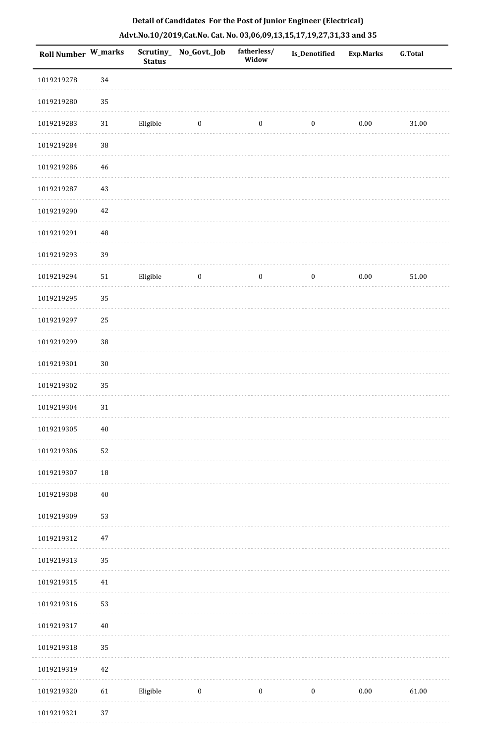|  |  | Detail of Candidates For the Post of Junior Engineer (Electrical)     |  |
|--|--|-----------------------------------------------------------------------|--|
|  |  | Advt.No.10/2019,Cat.No. Cat. No. 03,06,09,13,15,17,19,27,31,33 and 35 |  |

| Roll Number W_marks |             | <b>Status</b> | Scrutiny_ No_Govt._Job | fatherless/<br>Widow | Is_Denotified    | <b>Exp.Marks</b> | <b>G.Total</b> |
|---------------------|-------------|---------------|------------------------|----------------------|------------------|------------------|----------------|
| 1019219278          | 34          |               |                        |                      |                  |                  |                |
| 1019219280          | 35          |               |                        |                      |                  |                  |                |
| 1019219283          | $31\,$      | Eligible      | $\bf{0}$               | $\boldsymbol{0}$     | $\boldsymbol{0}$ | $0.00\,$         | 31.00          |
| 1019219284          | 38          |               |                        |                      |                  |                  |                |
| 1019219286          | $46\,$      |               |                        |                      |                  |                  |                |
| 1019219287          | $43\,$      |               |                        |                      |                  |                  |                |
| 1019219290          | $42\,$      |               |                        |                      |                  |                  |                |
| 1019219291          | $\sqrt{48}$ |               |                        |                      |                  |                  |                |
| 1019219293          | 39          |               |                        |                      |                  |                  |                |
| 1019219294          | ${\bf 51}$  | Eligible      | $\boldsymbol{0}$       | $\boldsymbol{0}$     | $\boldsymbol{0}$ | $0.00\,$         | 51.00          |
| 1019219295          | 35          |               |                        |                      |                  |                  |                |
| 1019219297          | 25          |               |                        |                      |                  |                  |                |
| 1019219299          | 38          |               |                        |                      |                  |                  |                |
| 1019219301          | $30\,$      |               |                        |                      |                  |                  |                |
| 1019219302          | 35          |               |                        |                      |                  |                  |                |
| 1019219304          | $31\,$      |               |                        |                      |                  |                  |                |
| 1019219305          | $40\,$      |               |                        |                      |                  |                  |                |
| 1019219306          | 52          |               |                        |                      |                  |                  |                |
| 1019219307          | 18          |               |                        |                      |                  |                  |                |
| 1019219308          | $40\,$      |               |                        |                      |                  |                  |                |
| 1019219309          | 53          |               |                        |                      |                  |                  |                |
| 1019219312          | $47\,$      |               |                        |                      |                  |                  |                |
| 1019219313          | 35          |               |                        |                      |                  |                  |                |
| 1019219315          | $41\,$      |               |                        |                      |                  |                  |                |
| 1019219316          | 53          |               |                        |                      |                  |                  |                |
| 1019219317          | $40\,$      |               |                        |                      |                  |                  |                |
| 1019219318          | 35          |               |                        |                      |                  |                  |                |
| 1019219319          | 42          |               |                        |                      |                  |                  |                |
| 1019219320          | 61          | Eligible      | $\boldsymbol{0}$       | $\boldsymbol{0}$     | $\boldsymbol{0}$ | $0.00\,$         | 61.00          |
| 1019219321          | 37          |               |                        |                      |                  |                  |                |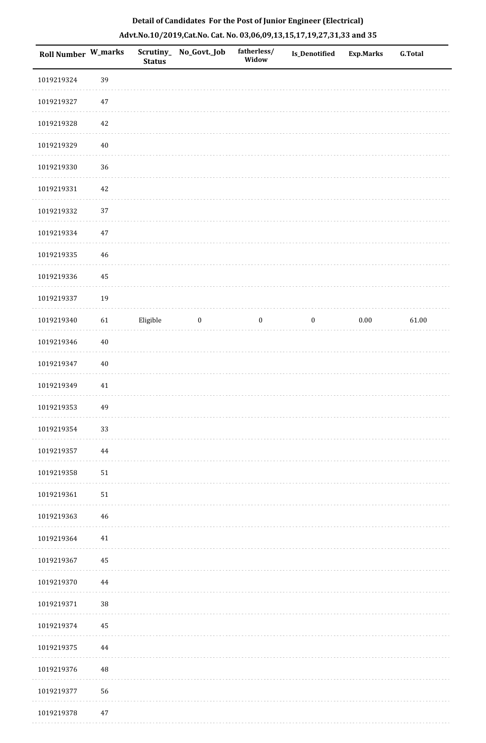| Roll Number W_marks |        | <b>Status</b> | Scrutiny_No_Govt._Job | fatherless/<br>Widow | Is_Denotified    | <b>Exp.Marks</b> | <b>G.Total</b> |
|---------------------|--------|---------------|-----------------------|----------------------|------------------|------------------|----------------|
| 1019219324          | 39     |               |                       |                      |                  |                  |                |
| 1019219327          | $47\,$ |               |                       |                      |                  |                  |                |
| 1019219328          | 42     |               |                       |                      |                  |                  |                |
| 1019219329          | $40\,$ |               |                       |                      |                  |                  |                |
| 1019219330          | $36\,$ |               |                       |                      |                  |                  |                |
| 1019219331          | $42\,$ |               |                       |                      |                  |                  |                |
| 1019219332          | 37     |               |                       |                      |                  |                  |                |
| 1019219334          | $47\,$ |               |                       |                      |                  |                  |                |
| 1019219335          | 46     |               |                       |                      |                  |                  |                |
| 1019219336          | 45     |               |                       |                      |                  |                  |                |
| 1019219337          | 19     |               |                       |                      |                  |                  |                |
| 1019219340          | 61     | Eligible      | $\bf{0}$              | $\boldsymbol{0}$     | $\boldsymbol{0}$ | $0.00\,$         | 61.00          |
| 1019219346          | $40\,$ |               |                       |                      |                  |                  |                |
| 1019219347          | $40\,$ |               |                       |                      |                  |                  |                |
| 1019219349          | $41\,$ |               |                       |                      |                  |                  |                |
| 1019219353          | 49     |               |                       |                      |                  |                  |                |
| 1019219354          | 33     |               |                       |                      |                  |                  |                |
| 1019219357          | 44     |               |                       |                      |                  |                  |                |
| 1019219358          | 51     |               |                       |                      |                  |                  |                |
| 1019219361          | 51     |               |                       |                      |                  |                  |                |
| 1019219363          | 46     |               |                       |                      |                  |                  |                |
| 1019219364          | $41\,$ |               |                       |                      |                  |                  |                |
| 1019219367          | 45     |               |                       |                      |                  |                  |                |
| 1019219370          | 44     |               |                       |                      |                  |                  |                |
| 1019219371          | $38\,$ |               |                       |                      |                  |                  |                |
| 1019219374          | 45     |               |                       |                      |                  |                  |                |
| 1019219375          | 44     |               |                       |                      |                  |                  |                |
| 1019219376          | 48     |               |                       |                      |                  |                  |                |
| 1019219377          | 56     |               |                       |                      |                  |                  |                |
| 1010210270          | A.7    |               |                       |                      |                  |                  |                |

# **Detail of Candidates For the Post of Junior Engineer (Electrical) Advt.No.10/2019,Cat.No. Cat. No. 03,06,09,13,15,17,19,27,31,33 and 35**

 1019219378 47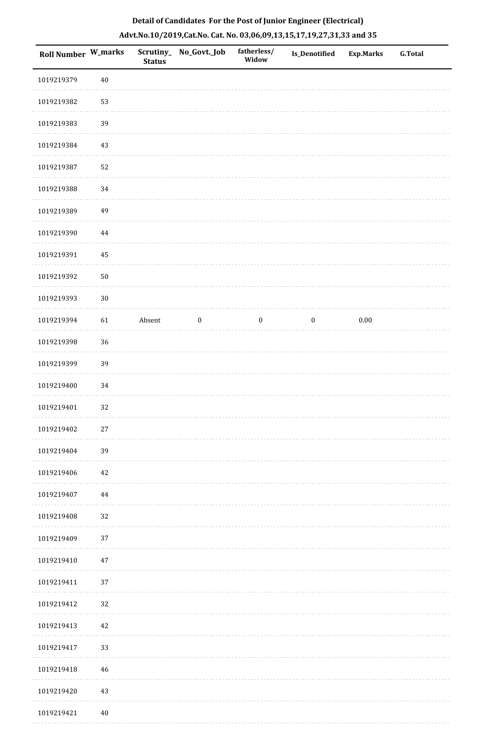| Roll Number W_marks |            | <b>Status</b> | Scrutiny_ No_Govt._Job | fatherless/<br>Widow | Is_Denotified    | <b>Exp.Marks</b> | <b>G.Total</b> |
|---------------------|------------|---------------|------------------------|----------------------|------------------|------------------|----------------|
| 1019219379          | $40\,$     |               |                        |                      |                  |                  |                |
| 1019219382          | 53         |               |                        |                      |                  |                  |                |
| 1019219383          | 39         |               |                        |                      |                  |                  |                |
| 1019219384          | 43         |               |                        |                      |                  |                  |                |
| 1019219387          | 52         |               |                        |                      |                  |                  |                |
| 1019219388          | 34         |               |                        |                      |                  |                  |                |
| 1019219389          | 49         |               |                        |                      |                  |                  |                |
| 1019219390          | $\bf 44$   |               |                        |                      |                  |                  |                |
| 1019219391          | 45         |               |                        |                      |                  |                  |                |
| 1019219392          | ${\bf 50}$ |               |                        |                      |                  |                  |                |
| 1019219393          | $30\,$     |               |                        |                      |                  |                  |                |
| 1019219394          | 61         | Absent        | $\boldsymbol{0}$       | $\boldsymbol{0}$     | $\boldsymbol{0}$ | $0.00\,$         |                |
| 1019219398          | 36         |               |                        |                      |                  |                  |                |
| 1019219399          | 39         |               |                        |                      |                  |                  |                |
| 1019219400          | 34         |               |                        |                      |                  |                  |                |
| 1019219401          | 32         |               |                        |                      |                  |                  |                |
| 1019219402          | $27\,$     |               |                        |                      |                  |                  |                |
| 1019219404          | 39         |               |                        |                      |                  |                  |                |
| 1019219406          | 42         |               |                        |                      |                  |                  |                |
| 1019219407          | 44         |               |                        |                      |                  |                  |                |
| 1019219408          | 32         |               |                        |                      |                  |                  |                |
| 1019219409          | 37         |               |                        |                      |                  |                  |                |
| 1019219410          | $47\,$     |               |                        |                      |                  |                  |                |
| 1019219411          | 37         |               |                        |                      |                  |                  |                |
| 1019219412          | 32         |               |                        |                      |                  |                  |                |
| 1019219413          | 42         |               |                        |                      |                  |                  |                |
| 1019219417          | 33         |               |                        |                      |                  |                  |                |
| 1019219418          | 46         |               |                        |                      |                  |                  |                |
| 1019219420          | 43         |               |                        |                      |                  |                  |                |
| 1019219421          | 40         |               |                        |                      |                  |                  |                |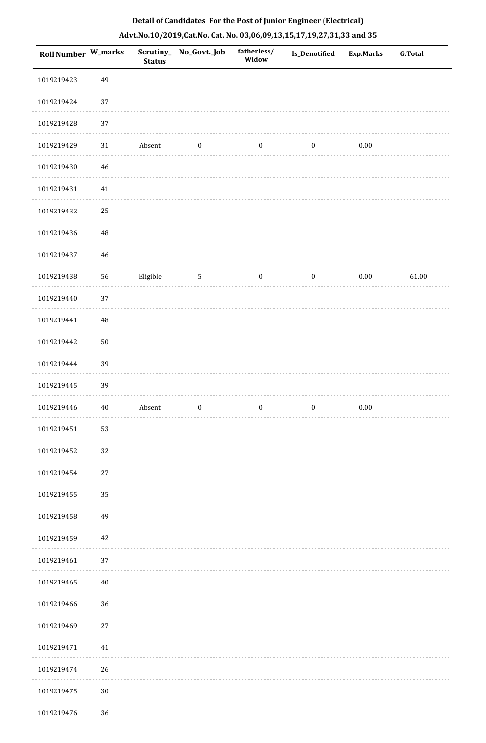| Roll Number W_marks |          | <b>Status</b> | Scrutiny_No_Govt._Job | fatherless/<br>Widow | <b>Is_Denotified</b> | <b>Exp.Marks</b> | <b>G.Total</b> |
|---------------------|----------|---------------|-----------------------|----------------------|----------------------|------------------|----------------|
| 1019219423          | 49       |               |                       |                      |                      |                  |                |
| 1019219424          | 37       |               |                       |                      |                      |                  |                |
| 1019219428          | 37       |               |                       |                      |                      |                  |                |
| 1019219429          | 31       | Absent        | $\boldsymbol{0}$      | $\boldsymbol{0}$     | $\boldsymbol{0}$     | $0.00\,$         |                |
| 1019219430          | 46       |               |                       |                      |                      |                  |                |
| 1019219431          | 41       |               |                       |                      |                      |                  |                |
| 1019219432          | 25       |               |                       |                      |                      |                  |                |
| 1019219436          | $\rm 48$ |               |                       |                      |                      |                  |                |
| 1019219437          | 46       |               |                       |                      |                      |                  |                |
| 1019219438          | 56       | Eligible      | $\sqrt{5}$            | $\boldsymbol{0}$     | $\boldsymbol{0}$     | $0.00\,$         | 61.00          |
| 1019219440          | 37       |               |                       |                      |                      |                  |                |
| 1019219441          | 48       |               |                       |                      |                      |                  |                |
| 1019219442          | $50\,$   |               |                       |                      |                      |                  |                |
| 1019219444          | 39       |               |                       |                      |                      |                  |                |
| 1019219445          | 39       |               |                       |                      |                      |                  |                |
| 1019219446          | 40       | Absent        | $\boldsymbol{0}$      | $\boldsymbol{0}$     | $\boldsymbol{0}$     | $0.00\,$         |                |
| 1019219451          | 53       |               |                       |                      |                      |                  |                |
| 1019219452          | 32       |               |                       |                      |                      |                  |                |
| 1019219454          | $27\,$   |               |                       |                      |                      |                  |                |
| 1019219455          | 35       |               |                       |                      |                      |                  |                |
| 1019219458          | 49       |               |                       |                      |                      |                  |                |
| 1019219459          | 42       |               |                       |                      |                      |                  |                |
| 1019219461          | 37       |               |                       |                      |                      |                  |                |
| 1019219465          | 40       |               |                       |                      |                      |                  |                |
| 1019219466          | 36       |               |                       |                      |                      |                  |                |
| 1019219469          | $27\,$   |               |                       |                      |                      |                  |                |
| 1019219471          | 41       |               |                       |                      |                      |                  |                |
| 1019219474          | 26       |               |                       |                      |                      |                  |                |
| 1019219475          | $30\,$   |               |                       |                      |                      |                  |                |
| 1019219476          | 36       |               |                       |                      |                      |                  |                |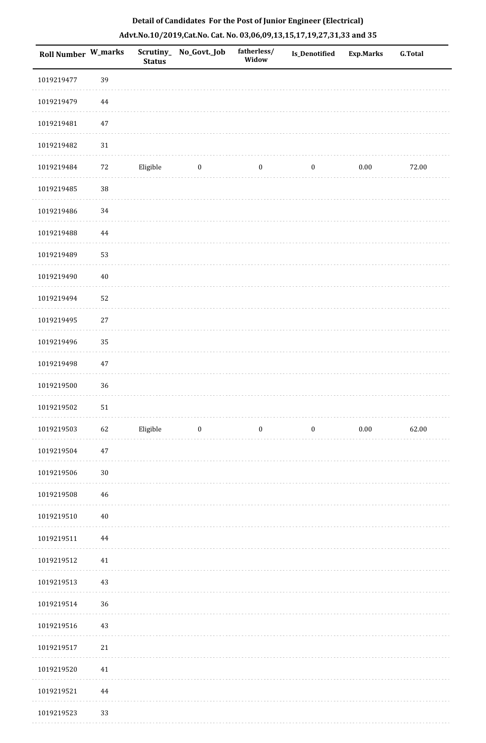| <b>Roll Number W_marks</b> |        | <b>Status</b> | Scrutiny_No_Govt._Job | fatherless/<br>Widow | Is_Denotified    | <b>Exp.Marks</b> | <b>G.Total</b> |
|----------------------------|--------|---------------|-----------------------|----------------------|------------------|------------------|----------------|
| 1019219477                 | 39     |               |                       |                      |                  |                  |                |
| 1019219479                 | 44     |               |                       |                      |                  |                  |                |
| 1019219481                 | $47\,$ |               |                       |                      |                  |                  |                |
| 1019219482                 | 31     |               |                       |                      |                  |                  |                |
| 1019219484                 | 72     | Eligible      | $\bf{0}$              | $\boldsymbol{0}$     | $\boldsymbol{0}$ | 0.00             | 72.00          |
| 1019219485                 | $38\,$ |               |                       |                      |                  |                  |                |
| 1019219486                 | 34     |               |                       |                      |                  |                  |                |
| 1019219488                 | 44     |               |                       |                      |                  |                  |                |
| 1019219489                 | 53     |               |                       |                      |                  |                  |                |
| 1019219490                 | $40\,$ |               |                       |                      |                  |                  |                |
| 1019219494                 | 52     |               |                       |                      |                  |                  |                |
| 1019219495                 | $27\,$ |               |                       |                      |                  |                  |                |
| 1019219496                 | 35     |               |                       |                      |                  |                  |                |
| 1019219498                 | $47\,$ |               |                       |                      |                  |                  |                |
| 1019219500                 | 36     |               |                       |                      |                  |                  |                |
| 1019219502                 | 51     |               |                       |                      |                  |                  |                |
| 1019219503                 | 62     | Eligible      | $\bf{0}$              | $\boldsymbol{0}$     | $\boldsymbol{0}$ | $0.00\,$         | 62.00          |
| 1019219504                 | $47\,$ |               |                       |                      |                  |                  |                |
| 1019219506                 | $30\,$ |               |                       |                      |                  |                  |                |
| 1019219508                 | 46     |               |                       |                      |                  |                  |                |
| 1019219510                 | $40\,$ |               |                       |                      |                  |                  |                |
| 1019219511                 | 44     |               |                       |                      |                  |                  |                |
| 1019219512                 | 41     |               |                       |                      |                  |                  |                |
| 1019219513                 | 43     |               |                       |                      |                  |                  |                |
| 1019219514                 | 36     |               |                       |                      |                  |                  |                |
| 1019219516                 | 43     |               |                       |                      |                  |                  |                |
| 1019219517                 | $21\,$ |               |                       |                      |                  |                  |                |
| 1019219520                 | $41\,$ |               |                       |                      |                  |                  |                |
| 1019219521                 | 44     |               |                       |                      |                  |                  |                |
| 1019219523                 | 33     |               |                       |                      |                  |                  |                |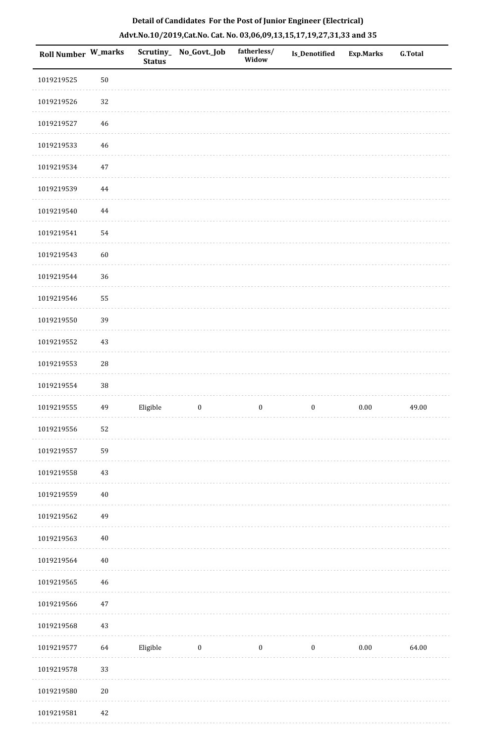| <b>Roll Number W_marks</b> |             | <b>Status</b> | Scrutiny_No_Govt._Job | fatherless/<br>Widow | <b>Is_Denotified</b> | <b>Exp.Marks</b> | <b>G.Total</b> |
|----------------------------|-------------|---------------|-----------------------|----------------------|----------------------|------------------|----------------|
| 1019219525                 | $50\,$      |               |                       |                      |                      |                  |                |
| 1019219526                 | 32          |               |                       |                      |                      |                  |                |
| 1019219527                 | 46          |               |                       |                      |                      |                  |                |
| 1019219533                 | 46          |               |                       |                      |                      |                  |                |
| 1019219534                 | 47          |               |                       |                      |                      |                  |                |
| 1019219539                 | $\bf 44$    |               |                       |                      |                      |                  |                |
| 1019219540                 | 44          |               |                       |                      |                      |                  |                |
| 1019219541                 | 54          |               |                       |                      |                      |                  |                |
| 1019219543                 | 60          |               |                       |                      |                      |                  |                |
| 1019219544                 | 36          |               |                       |                      |                      |                  |                |
| 1019219546                 | 55          |               |                       |                      |                      |                  |                |
| 1019219550                 | 39          |               |                       |                      |                      |                  |                |
| 1019219552                 | 43          |               |                       |                      |                      |                  |                |
| 1019219553                 | $\sqrt{28}$ |               |                       |                      |                      |                  |                |
| 1019219554                 | 38          |               |                       |                      |                      |                  |                |
| 1019219555                 | 49          | Eligible      | $\boldsymbol{0}$      | $\boldsymbol{0}$     | $\boldsymbol{0}$     | $0.00\,$         | 49.00          |
| 1019219556                 | 52          |               |                       |                      |                      |                  |                |
| 1019219557                 | 59          |               |                       |                      |                      |                  |                |
| 1019219558                 | 43          |               |                       |                      |                      |                  |                |
| 1019219559                 | $40\,$      |               |                       |                      |                      |                  |                |
| 1019219562                 | 49          |               |                       |                      |                      |                  |                |
| 1019219563                 | $40\,$      |               |                       |                      |                      |                  |                |
| 1019219564                 | $40\,$      |               |                       |                      |                      |                  |                |
| 1019219565                 | $\sqrt{46}$ |               |                       |                      |                      |                  |                |
| 1019219566                 | $47\,$      |               |                       |                      |                      |                  |                |
| 1019219568                 | 43          |               |                       |                      |                      |                  |                |
| 1019219577                 | 64          | Eligible      | $\bf{0}$              | $\boldsymbol{0}$     | $\boldsymbol{0}$     | $0.00\,$         | 64.00          |
| 1019219578                 | 33          |               |                       |                      |                      |                  |                |
| 1019219580                 | $20\,$      |               |                       |                      |                      |                  |                |
| 1019219581                 | 42          |               |                       |                      |                      |                  |                |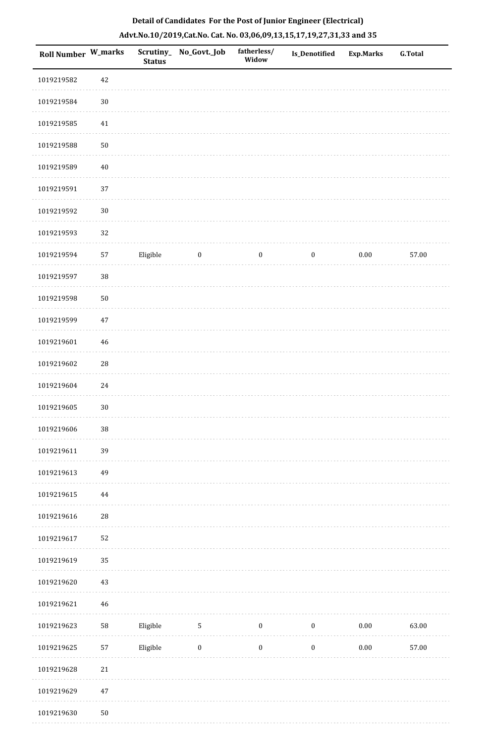| Roll Number W_marks |            | <b>Status</b> | Scrutiny_No_Govt._Job | fatherless/<br>Widow | Is_Denotified    | <b>Exp.Marks</b> | <b>G.Total</b> |
|---------------------|------------|---------------|-----------------------|----------------------|------------------|------------------|----------------|
| 1019219582          | $42\,$     |               |                       |                      |                  |                  |                |
| 1019219584          | $30\,$     |               |                       |                      |                  |                  |                |
| 1019219585          | $41\,$     |               |                       |                      |                  |                  |                |
| 1019219588          | $50\,$     |               |                       |                      |                  |                  |                |
| 1019219589          | $40\,$     |               |                       |                      |                  |                  |                |
| 1019219591          | 37         |               |                       |                      |                  |                  |                |
| 1019219592          | $30\,$     |               |                       |                      |                  |                  |                |
| 1019219593          | 32         |               |                       |                      |                  |                  |                |
| 1019219594          | 57         | Eligible      | $\bf{0}$              | $\boldsymbol{0}$     | $\boldsymbol{0}$ | $0.00\,$         | 57.00          |
| 1019219597          | 38         |               |                       |                      |                  |                  |                |
| 1019219598          | $50\,$     |               |                       |                      |                  |                  |                |
| 1019219599          | $47\,$     |               |                       |                      |                  |                  |                |
| 1019219601          | $46\,$     |               |                       |                      |                  |                  |                |
| 1019219602          | ${\bf 28}$ |               |                       |                      |                  |                  |                |
| 1019219604          | 24         |               |                       |                      |                  |                  |                |
| 1019219605          | $30\,$     |               |                       |                      |                  |                  |                |
| 1019219606          | $38\,$     |               |                       |                      |                  |                  |                |
| 1019219611          | 39         |               |                       |                      |                  |                  |                |
| 1019219613          | 49         |               |                       |                      |                  |                  |                |
| 1019219615          | 44         |               |                       |                      |                  |                  |                |
| 1019219616          | 28         |               |                       |                      |                  |                  |                |
| 1019219617          | 52         |               |                       |                      |                  |                  |                |
| 1019219619          | 35         |               |                       |                      |                  |                  |                |
| 1019219620          | 43         |               |                       |                      |                  |                  |                |
| 1019219621          | $46\,$     |               |                       |                      |                  |                  |                |
| 1019219623          | 58         | Eligible      | $\mathsf S$           | $\boldsymbol{0}$     | $\boldsymbol{0}$ | $0.00\,$         | 63.00          |
| 1019219625          | 57         | Eligible      | $\boldsymbol{0}$      | $\boldsymbol{0}$     | $\boldsymbol{0}$ | $0.00\,$         | 57.00          |
| 1019219628          | $21\,$     |               |                       |                      |                  |                  |                |
| 1019219629          | $47\,$     |               |                       |                      |                  |                  |                |
| 1019219630          | $50\,$     |               |                       |                      |                  |                  |                |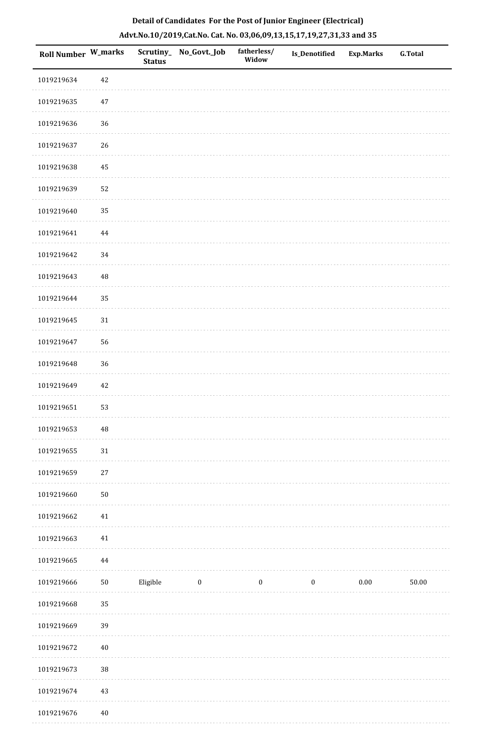| <b>Roll Number W_marks</b> |          | <b>Status</b> | Scrutiny_ No_Govt._Job | fatherless/<br>Widow | Is_Denotified    | <b>Exp.Marks</b> | <b>G.Total</b> |
|----------------------------|----------|---------------|------------------------|----------------------|------------------|------------------|----------------|
| 1019219634                 | 42       |               |                        |                      |                  |                  |                |
| 1019219635                 | $47\,$   |               |                        |                      |                  |                  |                |
| 1019219636                 | 36       |               |                        |                      |                  |                  |                |
| 1019219637                 | 26       |               |                        |                      |                  |                  |                |
| 1019219638                 | 45       |               |                        |                      |                  |                  |                |
| 1019219639                 | 52       |               |                        |                      |                  |                  |                |
| 1019219640                 | 35       |               |                        |                      |                  |                  |                |
| 1019219641                 | 44       |               |                        |                      |                  |                  |                |
| 1019219642                 | 34       |               |                        |                      |                  |                  |                |
| 1019219643                 | $\rm 48$ |               |                        |                      |                  |                  |                |
| 1019219644                 | 35       |               |                        |                      |                  |                  |                |
| 1019219645                 | 31       |               |                        |                      |                  |                  |                |
| 1019219647                 | 56       |               |                        |                      |                  |                  |                |
| 1019219648                 | 36       |               |                        |                      |                  |                  |                |
| 1019219649                 | 42       |               |                        |                      |                  |                  |                |
| 1019219651                 | 53       |               |                        |                      |                  |                  |                |
| 1019219653                 | $\rm 48$ |               |                        |                      |                  |                  |                |
| 1019219655                 | $31\,$   |               |                        |                      |                  |                  |                |
| 1019219659                 | 27       |               |                        |                      |                  |                  |                |
| 1019219660                 | $50\,$   |               |                        |                      |                  |                  |                |
| 1019219662                 | $41\,$   |               |                        |                      |                  |                  |                |
| 1019219663                 | 41       |               |                        |                      |                  |                  |                |
| 1019219665                 | 44       |               |                        |                      |                  |                  |                |
| 1019219666                 | $50\,$   | Eligible      | $\bf{0}$               | $\boldsymbol{0}$     | $\boldsymbol{0}$ | $0.00\,$         | $50.00\,$      |
| 1019219668                 | 35       |               |                        |                      |                  |                  |                |
| 1019219669                 | 39       |               |                        |                      |                  |                  |                |
| 1019219672                 | $40\,$   |               |                        |                      |                  |                  |                |
| 1019219673                 | $38\,$   |               |                        |                      |                  |                  |                |
| 1019219674                 | $43\,$   |               |                        |                      |                  |                  |                |
| 1019219676                 | $40\,$   |               |                        |                      |                  |                  |                |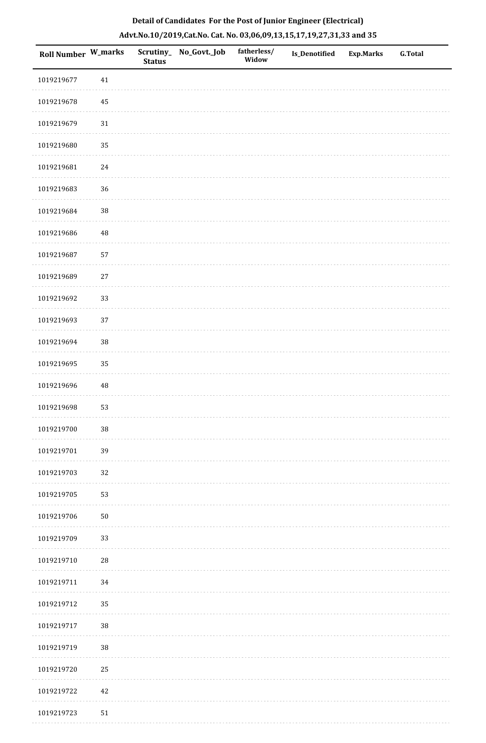| <b>Roll Number W_marks</b> |          | <b>Status</b> | Scrutiny_ No_Govt._Job | fatherless/<br>Widow | <b>Is_Denotified</b> | <b>Exp.Marks</b> | <b>G.Total</b> |
|----------------------------|----------|---------------|------------------------|----------------------|----------------------|------------------|----------------|
| 1019219677                 | $41\,$   |               |                        |                      |                      |                  |                |
| 1019219678                 | 45       |               |                        |                      |                      |                  |                |
| 1019219679                 | 31       |               |                        |                      |                      |                  |                |
| 1019219680                 | 35       |               |                        |                      |                      |                  |                |
| 1019219681                 | 24       |               |                        |                      |                      |                  |                |
| 1019219683                 | $36\,$   |               |                        |                      |                      |                  |                |
| 1019219684                 | 38       |               |                        |                      |                      |                  |                |
| 1019219686                 | $\rm 48$ |               |                        |                      |                      |                  |                |
| 1019219687                 | 57       |               |                        |                      |                      |                  |                |
| 1019219689                 | $27\,$   |               |                        |                      |                      |                  |                |
| 1019219692                 | 33       |               |                        |                      |                      |                  |                |
| 1019219693                 | 37       |               |                        |                      |                      |                  |                |
| 1019219694                 | 38       |               |                        |                      |                      |                  |                |
| 1019219695                 | 35       |               |                        |                      |                      |                  |                |
| 1019219696                 | 48       |               |                        |                      |                      |                  |                |
| 1019219698                 | 53       |               |                        |                      |                      |                  |                |
| 1019219700                 | 38       |               |                        |                      |                      |                  |                |
| 1019219701                 | 39       |               |                        |                      |                      |                  |                |
| 1019219703                 | 32       |               |                        |                      |                      |                  |                |
| 1019219705                 | 53       |               |                        |                      |                      |                  |                |
| 1019219706                 | $50\,$   |               |                        |                      |                      |                  |                |
| 1019219709                 | 33       |               |                        |                      |                      |                  |                |
| 1019219710                 | 28       |               |                        |                      |                      |                  |                |
| 1019219711                 | 34       |               |                        |                      |                      |                  |                |
| 1019219712                 | 35       |               |                        |                      |                      |                  |                |
| 1019219717                 | 38       |               |                        |                      |                      |                  |                |
| 1019219719                 | 38       |               |                        |                      |                      |                  |                |
| 1019219720                 | 25       |               |                        |                      |                      |                  |                |
| 1019219722                 | 42       |               |                        |                      |                      |                  |                |
| 1019219723                 | $51\,$   |               |                        |                      |                      |                  |                |

. . . . . . . . . .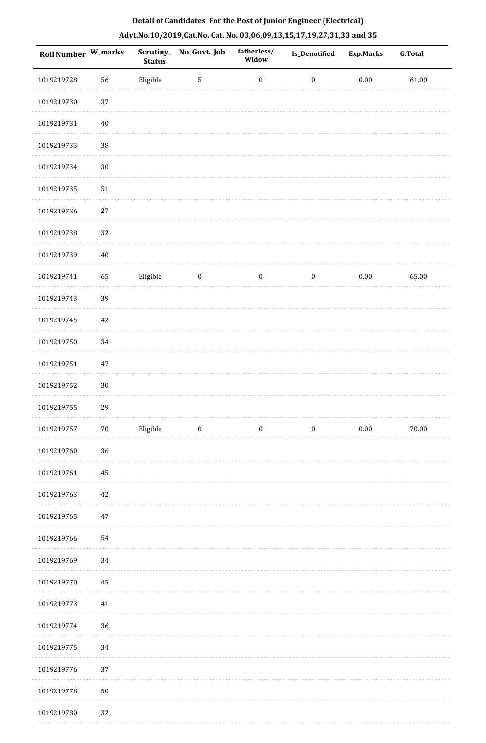| <b>Roll Number W_marks</b> |        | <b>Status</b> | Scrutiny_No_Govt._Job | fatherless/<br>Widow | <b>Is_Denotified</b> | <b>Exp.Marks</b> | <b>G.Total</b> |
|----------------------------|--------|---------------|-----------------------|----------------------|----------------------|------------------|----------------|
| 1019219728                 | 56     | Eligible      | $\sqrt{5}$            | $\boldsymbol{0}$     | $\boldsymbol{0}$     | $0.00\,$         | 61.00          |
| 1019219730                 | 37     |               |                       |                      |                      |                  |                |
| 1019219731                 | $40\,$ |               |                       |                      |                      |                  |                |
| 1019219733                 | 38     |               |                       |                      |                      |                  |                |
| 1019219734                 | $30\,$ |               |                       |                      |                      |                  |                |
| 1019219735                 | 51     |               |                       |                      |                      |                  |                |
| 1019219736                 | 27     |               |                       |                      |                      |                  |                |
| 1019219738                 | 32     |               |                       |                      |                      |                  |                |
| 1019219739                 | $40\,$ |               |                       |                      |                      |                  |                |
| 1019219741                 | 65     | Eligible      | $\bf{0}$              | $\boldsymbol{0}$     | $\boldsymbol{0}$     | $0.00\,$         | 65.00          |
| 1019219743                 | 39     |               |                       |                      |                      |                  |                |
| 1019219745                 | $42\,$ |               |                       |                      |                      |                  |                |
| 1019219750                 | 34     |               |                       |                      |                      |                  |                |
| 1019219751                 | 47     |               |                       |                      |                      |                  |                |
| 1019219752                 | $30\,$ |               |                       |                      |                      |                  |                |
| 1019219755                 | 29     |               |                       |                      |                      |                  |                |
| 1019219757                 | $70\,$ | Eligible      | $\bf{0}$              | $\boldsymbol{0}$     | $\boldsymbol{0}$     | $0.00\,$         | 70.00          |
| 1019219760                 | 36     |               |                       |                      |                      |                  |                |
| 1019219761                 | 45     |               |                       |                      |                      |                  |                |
| 1019219763                 | 42     |               |                       |                      |                      |                  |                |
| 1019219765                 | $47\,$ |               |                       |                      |                      |                  |                |
| 1019219766                 | 54     |               |                       |                      |                      |                  |                |
| 1019219769                 | 34     |               |                       |                      |                      |                  |                |
| 1019219770                 | 45     |               |                       |                      |                      |                  |                |
| 1019219773                 | 41     |               |                       |                      |                      |                  |                |
| 1019219774                 | 36     |               |                       |                      |                      |                  |                |
| 1019219775                 | 34     |               |                       |                      |                      |                  |                |
| 1019219776                 | 37     |               |                       |                      |                      |                  |                |
| 1019219778                 | $50\,$ |               |                       |                      |                      |                  |                |
| 1019219780                 | 32     |               |                       |                      |                      |                  |                |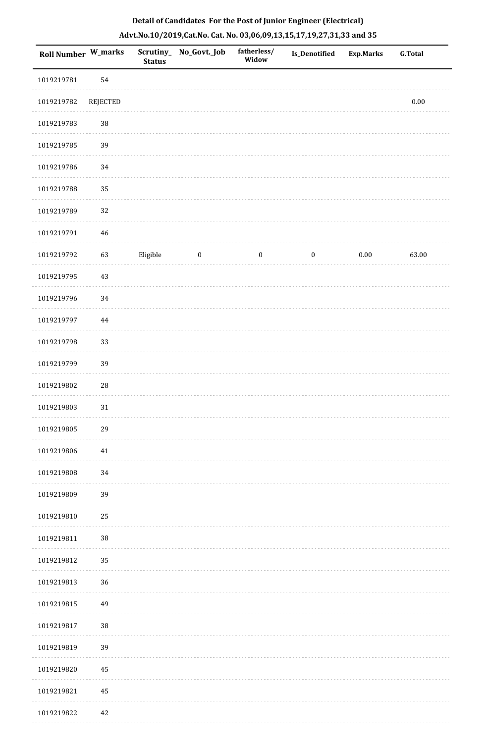| <b>Roll Number W_marks</b> |             | <b>Status</b> | Scrutiny_ No_Govt._Job | fatherless/<br>Widow | Is_Denotified    | <b>Exp.Marks</b> | <b>G.Total</b> |
|----------------------------|-------------|---------------|------------------------|----------------------|------------------|------------------|----------------|
| 1019219781                 | 54          |               |                        |                      |                  |                  |                |
| 1019219782                 | REJECTED    |               |                        |                      |                  |                  | $0.00\,$       |
| 1019219783                 | $38\,$      |               |                        |                      |                  |                  |                |
| 1019219785                 | 39          |               |                        |                      |                  |                  |                |
| 1019219786                 | 34          |               |                        |                      |                  |                  |                |
| 1019219788                 | 35          |               |                        |                      |                  |                  |                |
| 1019219789                 | 32          |               |                        |                      |                  |                  |                |
| 1019219791                 | 46          |               |                        |                      |                  |                  |                |
| 1019219792                 | 63          | Eligible      | $\boldsymbol{0}$       | $\boldsymbol{0}$     | $\boldsymbol{0}$ | $0.00\,$         | 63.00          |
| 1019219795                 | 43          |               |                        |                      |                  |                  |                |
| 1019219796                 | 34          |               |                        |                      |                  |                  |                |
| 1019219797                 | 44          |               |                        |                      |                  |                  |                |
| 1019219798                 | 33          |               |                        |                      |                  |                  |                |
| 1019219799                 | 39          |               |                        |                      |                  |                  |                |
| 1019219802                 | $\sqrt{28}$ |               |                        |                      |                  |                  |                |
| 1019219803                 | 31          |               |                        |                      |                  |                  |                |
| 1019219805                 | 29          |               |                        |                      |                  |                  |                |
| 1019219806                 | $41\,$      |               |                        |                      |                  |                  |                |
| 1019219808                 | 34          |               |                        |                      |                  |                  |                |
| 1019219809                 | 39          |               |                        |                      |                  |                  |                |
| 1019219810                 | 25          |               |                        |                      |                  |                  |                |
| 1019219811                 | $38\,$      |               |                        |                      |                  |                  |                |
| 1019219812                 | 35          |               |                        |                      |                  |                  |                |
| 1019219813                 | 36          |               |                        |                      |                  |                  |                |
| 1019219815                 | 49          |               |                        |                      |                  |                  |                |
| 1019219817                 | $38\,$      |               |                        |                      |                  |                  |                |
| 1019219819                 | 39          |               |                        |                      |                  |                  |                |
| 1019219820                 | 45          |               |                        |                      |                  |                  |                |
| 1019219821                 | 45          |               |                        |                      |                  |                  |                |
| 1019219822                 | 42          |               |                        |                      |                  |                  |                |

. . . . . . .

. . . . . . . . . . . .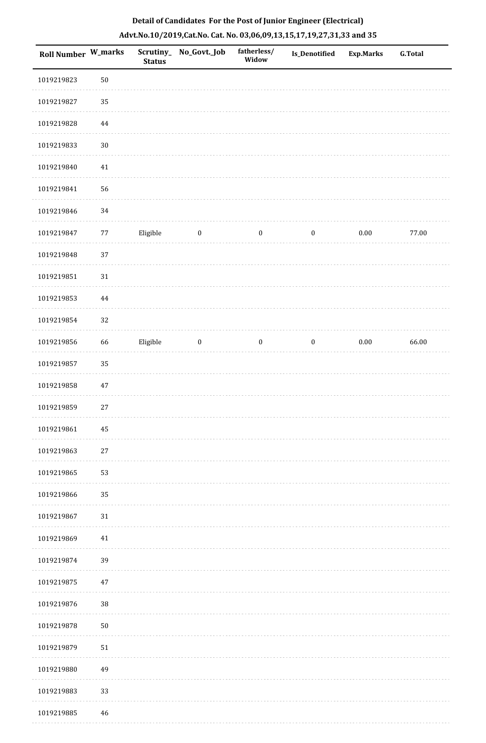|  | Detail of Candidates For the Post of Junior Engineer (Electrical)     |  |
|--|-----------------------------------------------------------------------|--|
|  | Advt.No.10/2019,Cat.No. Cat. No. 03,06,09,13,15,17,19,27,31,33 and 35 |  |

| <b>Roll Number W_marks</b> |          | <b>Status</b> | Scrutiny_No_Govt._Job | fatherless/<br>Widow | Is_Denotified    | <b>Exp.Marks</b> | <b>G.Total</b> |
|----------------------------|----------|---------------|-----------------------|----------------------|------------------|------------------|----------------|
| 1019219823                 | $50\,$   |               |                       |                      |                  |                  |                |
| 1019219827                 | 35       |               |                       |                      |                  |                  |                |
| 1019219828                 | $\bf 44$ |               |                       |                      |                  |                  |                |
| 1019219833                 | $30\,$   |               |                       |                      |                  |                  |                |
| 1019219840                 | 41       |               |                       |                      |                  |                  |                |
| 1019219841                 | 56       |               |                       |                      |                  |                  |                |
| 1019219846                 | 34       |               |                       |                      |                  |                  |                |
| 1019219847                 | 77       | Eligible      | $\boldsymbol{0}$      | $\boldsymbol{0}$     | $\boldsymbol{0}$ | $0.00\,$         | 77.00          |
| 1019219848                 | 37       |               |                       |                      |                  |                  |                |
| 1019219851                 | $31\,$   |               |                       |                      |                  |                  |                |
| 1019219853                 | 44       |               |                       |                      |                  |                  |                |
| 1019219854                 | 32       |               |                       |                      |                  |                  |                |
| 1019219856                 | 66       | Eligible      | $\boldsymbol{0}$      | $\boldsymbol{0}$     | $\boldsymbol{0}$ | $0.00\,$         | 66.00          |
| 1019219857                 | 35       |               |                       |                      |                  |                  |                |
| 1019219858                 | $47\,$   |               |                       |                      |                  |                  |                |
| 1019219859                 | $27\,$   |               |                       |                      |                  |                  |                |
| 1019219861                 | 45       |               |                       |                      |                  |                  |                |
| 1019219863                 | $27\,$   |               |                       |                      |                  |                  |                |
| 1019219865                 | 53       |               |                       |                      |                  |                  |                |
| 1019219866                 | 35       |               |                       |                      |                  |                  |                |
| 1019219867                 | $31\,$   |               |                       |                      |                  |                  |                |
| 1019219869                 | $41\,$   |               |                       |                      |                  |                  |                |
| 1019219874                 | 39       |               |                       |                      |                  |                  |                |
| 1019219875                 | $47\,$   |               |                       |                      |                  |                  |                |
| 1019219876                 | 38       |               |                       |                      |                  |                  |                |
| 1019219878                 | $50\,$   |               |                       |                      |                  |                  |                |
| 1019219879                 | $51\,$   |               |                       |                      |                  |                  |                |
| 1019219880                 | 49       |               |                       |                      |                  |                  |                |
| 1019219883                 | 33       |               |                       |                      |                  |                  |                |
| 1019219885                 | 46       |               |                       |                      |                  |                  |                |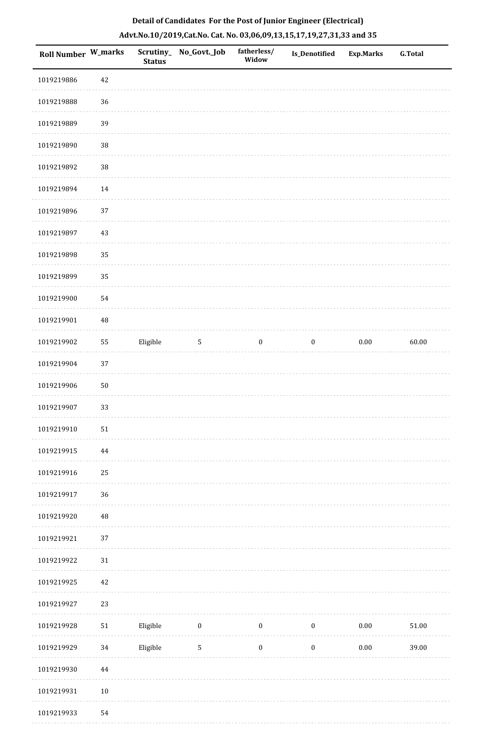|  | Detail of Candidates For the Post of Junior Engineer (Electrical)     |  |
|--|-----------------------------------------------------------------------|--|
|  | Advt.No.10/2019,Cat.No. Cat. No. 03,06,09,13,15,17,19,27,31,33 and 35 |  |

| Roll Number W_marks |            | <b>Status</b> | Scrutiny_ No_Govt._Job | fatherless/<br>Widow | Is_Denotified    | <b>Exp.Marks</b> | <b>G.Total</b> |
|---------------------|------------|---------------|------------------------|----------------------|------------------|------------------|----------------|
| 1019219886          | 42         |               |                        |                      |                  |                  |                |
| 1019219888          | 36         |               |                        |                      |                  |                  |                |
| 1019219889          | 39         |               |                        |                      |                  |                  |                |
| 1019219890          | $38\,$     |               |                        |                      |                  |                  |                |
| 1019219892          | $38\,$     |               |                        |                      |                  |                  |                |
| 1019219894          | 14         |               |                        |                      |                  |                  |                |
| 1019219896          | 37         |               |                        |                      |                  |                  |                |
| 1019219897          | 43         |               |                        |                      |                  |                  |                |
| 1019219898          | 35         |               |                        |                      |                  |                  |                |
| 1019219899          | 35         |               |                        |                      |                  |                  |                |
| 1019219900          | 54         |               |                        |                      |                  |                  |                |
| 1019219901          | 48         |               |                        |                      |                  |                  |                |
| 1019219902          | 55         | Eligible      | $\sqrt{5}$             | $\boldsymbol{0}$     | $\boldsymbol{0}$ | $0.00\,$         | 60.00          |
| 1019219904          | 37         |               |                        |                      |                  |                  |                |
| 1019219906          | $50\,$     |               |                        |                      |                  |                  |                |
| 1019219907          | 33         |               |                        |                      |                  |                  |                |
| 1019219910          | 51         |               |                        |                      |                  |                  |                |
| 1019219915          | $\bf 44$   |               |                        |                      |                  |                  |                |
| 1019219916          | 25         |               |                        |                      |                  |                  |                |
| 1019219917          | 36         |               |                        |                      |                  |                  |                |
| 1019219920          | 48         |               |                        |                      |                  |                  |                |
| 1019219921          | 37         |               |                        |                      |                  |                  |                |
| 1019219922          | $31\,$     |               |                        |                      |                  |                  |                |
| 1019219925          | 42         |               |                        |                      |                  |                  |                |
| 1019219927          | 23         |               |                        |                      |                  |                  |                |
| 1019219928          | ${\bf 51}$ | Eligible      | $\boldsymbol{0}$       | $\boldsymbol{0}$     | $\boldsymbol{0}$ | $0.00\,$         | 51.00          |
| 1019219929          | 34         | Eligible      | $\mathbf 5$            | $\boldsymbol{0}$     | $\boldsymbol{0}$ | $0.00\,$         | 39.00          |
| 1019219930          | $\bf 44$   |               |                        |                      |                  |                  |                |
| 1019219931          | $10\,$     |               |                        |                      |                  |                  |                |
| 1019219933          | 54         |               |                        |                      |                  |                  |                |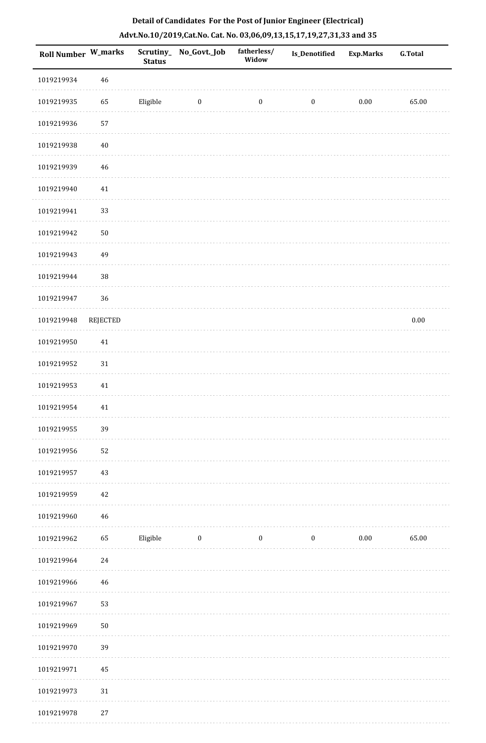| Roll Number W_marks |                 | Scrutiny_<br><b>Status</b> | No_Govt._Job     | fatherless/<br>Widow | Is_Denotified    | <b>Exp.Marks</b> | <b>G.Total</b> |
|---------------------|-----------------|----------------------------|------------------|----------------------|------------------|------------------|----------------|
| 1019219934          | $46\,$          |                            |                  |                      |                  |                  |                |
| 1019219935          | 65              | Eligible                   | $\bf{0}$         | $\boldsymbol{0}$     | $\boldsymbol{0}$ | $0.00\,$         | 65.00          |
| 1019219936          | 57              |                            |                  |                      |                  |                  |                |
| 1019219938          | $40\,$          |                            |                  |                      |                  |                  |                |
| 1019219939          | 46              |                            |                  |                      |                  |                  |                |
| 1019219940          | 41              |                            |                  |                      |                  |                  |                |
| 1019219941          | 33              |                            |                  |                      |                  |                  |                |
| 1019219942          | $50\,$          |                            |                  |                      |                  |                  |                |
| 1019219943          | 49              |                            |                  |                      |                  |                  |                |
| 1019219944          | 38              |                            |                  |                      |                  |                  |                |
| 1019219947          | 36              |                            |                  |                      |                  |                  |                |
| 1019219948          | <b>REJECTED</b> |                            |                  |                      |                  |                  | $0.00\,$       |
| 1019219950          | $41\,$          |                            |                  |                      |                  |                  |                |
| 1019219952          | $31\,$          |                            |                  |                      |                  |                  |                |
| 1019219953          | $41\,$          |                            |                  |                      |                  |                  |                |
| 1019219954          | 41              |                            |                  |                      |                  |                  |                |
| 1019219955          | 39              |                            |                  |                      |                  |                  |                |
| 1019219956          | 52              |                            |                  |                      |                  |                  |                |
| 1019219957          | 43              |                            |                  |                      |                  |                  |                |
| 1019219959          | $42\,$          |                            |                  |                      |                  |                  |                |
| 1019219960          | 46              |                            |                  |                      |                  |                  |                |
| 1019219962          | 65              | Eligible                   | $\boldsymbol{0}$ | $\boldsymbol{0}$     | $\boldsymbol{0}$ | $0.00\,$         | 65.00          |
| 1019219964          | $24\,$          |                            |                  |                      |                  |                  |                |
| 1019219966          | $46\,$          |                            |                  |                      |                  |                  |                |
| 1019219967          | 53              |                            |                  |                      |                  |                  |                |
| 1019219969          | ${\bf 50}$      |                            |                  |                      |                  |                  |                |
| 1019219970          | 39              |                            |                  |                      |                  |                  |                |
| 1019219971          | 45              |                            |                  |                      |                  |                  |                |
| 1019219973          | $31\,$          |                            |                  |                      |                  |                  |                |
| 1019219978          | $27\,$          |                            |                  |                      |                  |                  |                |

. . . . . . . . . . . .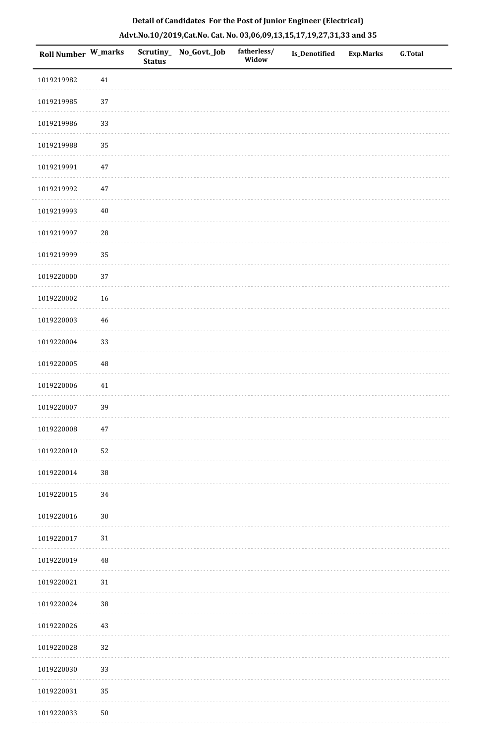| Roll Number W_marks |             | <b>Status</b> | Scrutiny_ No_Govt._Job | fatherless/<br>Widow | Is_Denotified | <b>Exp.Marks</b> | G.Total |
|---------------------|-------------|---------------|------------------------|----------------------|---------------|------------------|---------|
| 1019219982          | $41\,$      |               |                        |                      |               |                  |         |
| 1019219985          | 37          |               |                        |                      |               |                  |         |
| 1019219986          | 33          |               |                        |                      |               |                  |         |
| 1019219988          | 35          |               |                        |                      |               |                  |         |
| 1019219991          | $47\,$      |               |                        |                      |               |                  |         |
| 1019219992          | $47\,$      |               |                        |                      |               |                  |         |
| 1019219993          | $40\,$      |               |                        |                      |               |                  |         |
| 1019219997          | ${\bf 28}$  |               |                        |                      |               |                  |         |
| 1019219999          | 35          |               |                        |                      |               |                  |         |
| 1019220000          | 37          |               |                        |                      |               |                  |         |
| 1019220002          | 16          |               |                        |                      |               |                  |         |
| 1019220003          | $\sqrt{46}$ |               |                        |                      |               |                  |         |
| 1019220004          | 33          |               |                        |                      |               |                  |         |
| 1019220005          | $\rm 48$    |               |                        |                      |               |                  |         |
| 1019220006          | 41          |               |                        |                      |               |                  |         |
| 1019220007          | 39          |               |                        |                      |               |                  |         |
| 1019220008          | $47\,$      |               |                        |                      |               |                  |         |
| 1019220010          | 52          |               |                        |                      |               |                  |         |
| 1019220014          | 38          |               |                        |                      |               |                  |         |
| 1019220015          | 34          |               |                        |                      |               |                  |         |
| 1019220016          | $30\,$      |               |                        |                      |               |                  |         |
| 1019220017          | $31\,$      |               |                        |                      |               |                  |         |
| 1019220019          | 48          |               |                        |                      |               |                  |         |
| 1019220021          | $31\,$      |               |                        |                      |               |                  |         |
| 1019220024          | 38          |               |                        |                      |               |                  |         |
| 1019220026          | 43          |               |                        |                      |               |                  |         |
| 1019220028          | 32          |               |                        |                      |               |                  |         |
| 1019220030          | 33          |               |                        |                      |               |                  |         |
| 1019220031          | 35          |               |                        |                      |               |                  |         |
| 1019220033          | $50\,$      |               |                        |                      |               |                  |         |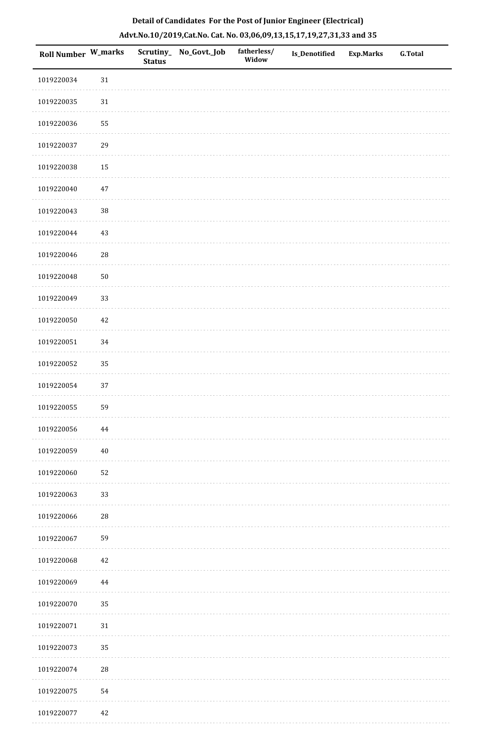| <b>Roll Number W_marks</b> |             | <b>Status</b> | Scrutiny_ No_Govt._Job | fatherless/<br>Widow | <b>Is_Denotified</b> | <b>Exp.Marks</b> | <b>G.Total</b> |
|----------------------------|-------------|---------------|------------------------|----------------------|----------------------|------------------|----------------|
| 1019220034                 | 31          |               |                        |                      |                      |                  |                |
| 1019220035                 | $31\,$      |               |                        |                      |                      |                  |                |
| 1019220036                 | 55          |               |                        |                      |                      |                  |                |
| 1019220037                 | 29          |               |                        |                      |                      |                  |                |
| 1019220038                 | 15          |               |                        |                      |                      |                  |                |
| 1019220040                 | $47\,$      |               |                        |                      |                      |                  |                |
| 1019220043                 | $38\,$      |               |                        |                      |                      |                  |                |
| 1019220044                 | 43          |               |                        |                      |                      |                  |                |
| 1019220046                 | $\sqrt{28}$ |               |                        |                      |                      |                  |                |
| 1019220048                 | ${\bf 50}$  |               |                        |                      |                      |                  |                |
| 1019220049                 | 33          |               |                        |                      |                      |                  |                |
| 1019220050                 | 42          |               |                        |                      |                      |                  |                |
| 1019220051                 | 34          |               |                        |                      |                      |                  |                |
| 1019220052                 | 35          |               |                        |                      |                      |                  |                |
| 1019220054                 | 37          |               |                        |                      |                      |                  |                |
| 1019220055                 | 59          |               |                        |                      |                      |                  |                |
| 1019220056                 | $44\,$      |               |                        |                      |                      |                  |                |
| 1019220059                 | $40\,$      |               |                        |                      |                      |                  |                |
| 1019220060                 | 52          |               |                        |                      |                      |                  |                |
| 1019220063                 | 33          |               |                        |                      |                      |                  |                |
| 1019220066                 | $\sqrt{28}$ |               |                        |                      |                      |                  |                |
| 1019220067                 | 59          |               |                        |                      |                      |                  |                |
| 1019220068                 | $42\,$      |               |                        |                      |                      |                  |                |
| 1019220069                 | 44          |               |                        |                      |                      |                  |                |
| 1019220070                 | 35          |               |                        |                      |                      |                  |                |
| 1019220071                 | $31\,$      |               |                        |                      |                      |                  |                |
| 1019220073                 | 35          |               |                        |                      |                      |                  |                |
| 1019220074                 | ${\bf 28}$  |               |                        |                      |                      |                  |                |
| 1019220075                 | 54          |               |                        |                      |                      |                  |                |
| 1019220077                 | 42          |               |                        |                      |                      |                  |                |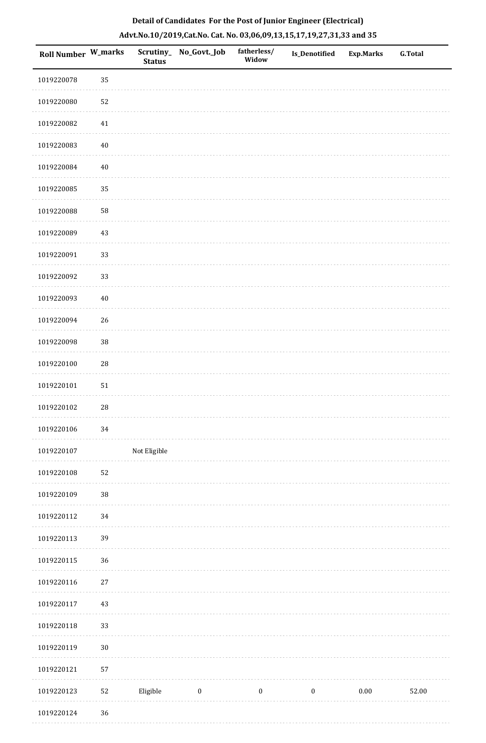| Detail of Candidates For the Post of Junior Engineer (Electrical)     |
|-----------------------------------------------------------------------|
| Advt.No.10/2019,Cat.No. Cat. No. 03,06,09,13,15,17,19,27,31,33 and 35 |

| <b>Roll Number W_marks</b> |             | <b>Status</b> | Scrutiny_ No_Govt._Job | fatherless/<br>Widow | <b>Is_Denotified</b> | <b>Exp.Marks</b> | <b>G.Total</b> |
|----------------------------|-------------|---------------|------------------------|----------------------|----------------------|------------------|----------------|
| 1019220078                 | 35          |               |                        |                      |                      |                  |                |
| 1019220080                 | 52          |               |                        |                      |                      |                  |                |
| 1019220082                 | 41          |               |                        |                      |                      |                  |                |
| 1019220083                 | 40          |               |                        |                      |                      |                  |                |
| 1019220084                 | $40\,$      |               |                        |                      |                      |                  |                |
| 1019220085                 | 35          |               |                        |                      |                      |                  |                |
| 1019220088                 | 58          |               |                        |                      |                      |                  |                |
| 1019220089                 | 43          |               |                        |                      |                      |                  |                |
| 1019220091                 | 33          |               |                        |                      |                      |                  |                |
| 1019220092                 | 33          |               |                        |                      |                      |                  |                |
| 1019220093                 | $40\,$      |               |                        |                      |                      |                  |                |
| 1019220094                 | 26          |               |                        |                      |                      |                  |                |
| 1019220098                 | $38\,$      |               |                        |                      |                      |                  |                |
| 1019220100                 | $28\,$      |               |                        |                      |                      |                  |                |
| 1019220101                 | 51          |               |                        |                      |                      |                  |                |
| 1019220102                 | $\sqrt{28}$ |               |                        |                      |                      |                  |                |
| 1019220106                 | $34\,$      |               |                        |                      |                      |                  |                |
| 1019220107                 |             | Not Eligible  |                        |                      |                      |                  |                |
| 1019220108                 | 52          |               |                        |                      |                      |                  |                |
| 1019220109                 | $38\,$      |               |                        |                      |                      |                  |                |
| 1019220112                 | $34\,$      |               |                        |                      |                      |                  |                |
| 1019220113                 | 39          |               |                        |                      |                      |                  |                |
| 1019220115                 | 36          |               |                        |                      |                      |                  |                |
| 1019220116                 | $27\,$      |               |                        |                      |                      |                  |                |
| 1019220117                 | 43          |               |                        |                      |                      |                  |                |
| 1019220118                 | 33          |               |                        |                      |                      |                  |                |
| 1019220119                 | $30\,$      |               |                        |                      |                      |                  |                |
| 1019220121                 | 57          |               |                        |                      |                      |                  |                |
| 1019220123                 | 52          | Eligible      | $\bf{0}$               | $\boldsymbol{0}$     | $\boldsymbol{0}$     | $0.00\,$         | 52.00          |
| 1019220124                 | 36          |               |                        |                      |                      |                  |                |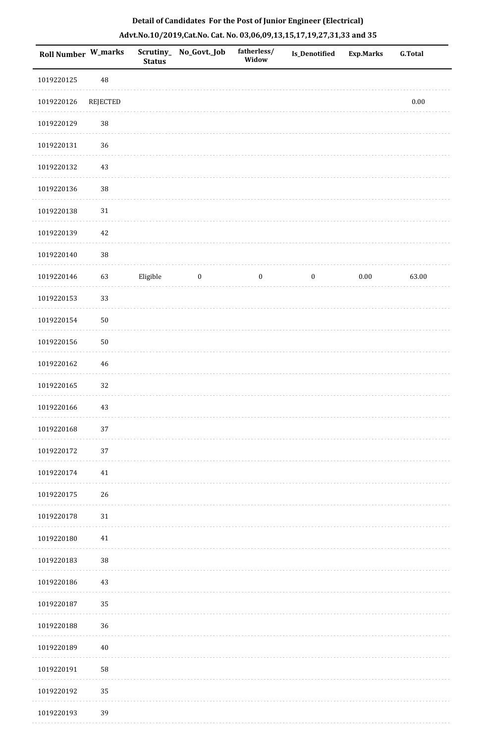|  | Detail of Candidates For the Post of Junior Engineer (Electrical)     |  |
|--|-----------------------------------------------------------------------|--|
|  | Advt.No.10/2019,Cat.No. Cat. No. 03,06,09,13,15,17,19,27,31,33 and 35 |  |

| <b>Roll Number W_marks</b> |          | <b>Status</b> | Scrutiny_ No_Govt._Job | fatherless/<br>Widow | <b>Is_Denotified</b> | <b>Exp.Marks</b> | <b>G.Total</b> |
|----------------------------|----------|---------------|------------------------|----------------------|----------------------|------------------|----------------|
| 1019220125                 | 48       |               |                        |                      |                      |                  |                |
| 1019220126                 | REJECTED |               |                        |                      |                      |                  | $0.00\,$       |
| 1019220129                 | 38       |               |                        |                      |                      |                  |                |
| 1019220131                 | 36       |               |                        |                      |                      |                  |                |
| 1019220132                 | 43       |               |                        |                      |                      |                  |                |
| 1019220136                 | $38\,$   |               |                        |                      |                      |                  |                |
| 1019220138                 | $31\,$   |               |                        |                      |                      |                  |                |
| 1019220139                 | 42       |               |                        |                      |                      |                  |                |
| 1019220140                 | 38       |               |                        |                      |                      |                  |                |
| 1019220146                 | 63       | Eligible      | $\boldsymbol{0}$       | $\boldsymbol{0}$     | $\boldsymbol{0}$     | $0.00\,$         | 63.00          |
| 1019220153                 | 33       |               |                        |                      |                      |                  |                |
| 1019220154                 | $50\,$   |               |                        |                      |                      |                  |                |
| 1019220156                 | $50\,$   |               |                        |                      |                      |                  |                |
| 1019220162                 | $46\,$   |               |                        |                      |                      |                  |                |
| 1019220165                 | 32       |               |                        |                      |                      |                  |                |
| 1019220166                 | 43       |               |                        |                      |                      |                  |                |
| 1019220168                 | 37       |               |                        |                      |                      |                  |                |
| 1019220172                 | 37       |               |                        |                      |                      |                  |                |
| 1019220174                 | $41\,$   |               |                        |                      |                      |                  |                |
| 1019220175                 | 26       |               |                        |                      |                      |                  |                |
| 1019220178                 | $31\,$   |               |                        |                      |                      |                  |                |
| 1019220180                 | $41\,$   |               |                        |                      |                      |                  |                |
| 1019220183                 | 38       |               |                        |                      |                      |                  |                |
| 1019220186                 | 43       |               |                        |                      |                      |                  |                |
| 1019220187                 | 35       |               |                        |                      |                      |                  |                |
| 1019220188                 | 36       |               |                        |                      |                      |                  |                |
| 1019220189                 | $40\,$   |               |                        |                      |                      |                  |                |
| 1019220191                 | 58       |               |                        |                      |                      |                  |                |
| 1019220192                 | 35       |               |                        |                      |                      |                  |                |
| 1019220193                 | 39       |               |                        |                      |                      |                  |                |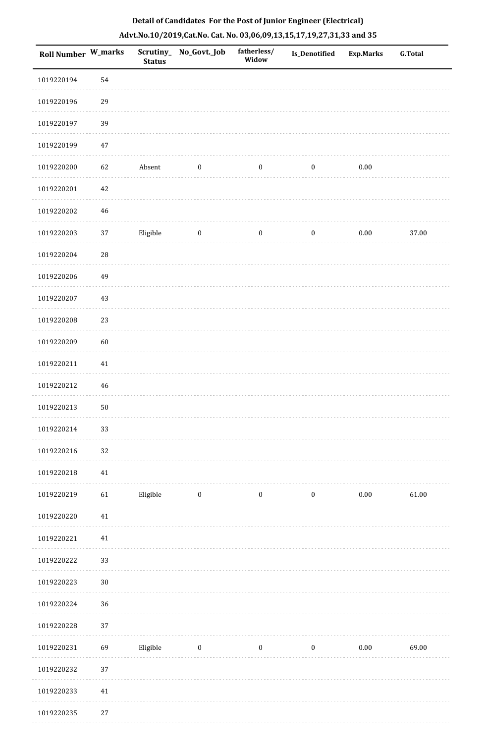| Roll Number W_marks |             | <b>Status</b> | Scrutiny_No_Govt._Job | fatherless/<br>Widow | Is_Denotified    | Exp.Marks | <b>G.Total</b> |
|---------------------|-------------|---------------|-----------------------|----------------------|------------------|-----------|----------------|
| 1019220194          | 54          |               |                       |                      |                  |           |                |
| 1019220196          | 29          |               |                       |                      |                  |           |                |
| 1019220197          | 39          |               |                       |                      |                  |           |                |
| 1019220199          | $47\,$      |               |                       |                      |                  |           |                |
| 1019220200          | 62          | Absent        | $\boldsymbol{0}$      | $\bf{0}$             | $\boldsymbol{0}$ | 0.00      |                |
| 1019220201          | $42\,$      |               |                       |                      |                  |           |                |
| 1019220202          | $\sqrt{46}$ |               |                       |                      |                  |           |                |
| 1019220203          | 37          | Eligible      | $\bf{0}$              | $\boldsymbol{0}$     | $\bf{0}$         | 0.00      | 37.00          |
| 1019220204          | ${\bf 28}$  |               |                       |                      |                  |           |                |
| 1019220206          | 49          |               |                       |                      |                  |           |                |
| 1019220207          | 43          |               |                       |                      |                  |           |                |
| 1019220208          | 23          |               |                       |                      |                  |           |                |
| 1019220209          | 60          |               |                       |                      |                  |           |                |
| 1019220211          | $41\,$      |               |                       |                      |                  |           |                |
| 1019220212          | $\sqrt{46}$ |               |                       |                      |                  |           |                |
| 1019220213          | $50\,$      |               |                       |                      |                  |           |                |
| 1019220214          | 33          |               |                       |                      |                  |           |                |
| 1019220216          | 32          |               |                       |                      |                  |           |                |
| 1019220218          | $41\,$      |               |                       |                      |                  |           |                |
| 1019220219          | 61          | Eligible      | $\bf{0}$              | $\bf{0}$             | $\boldsymbol{0}$ | 0.00      | 61.00          |
| 1019220220          | $41\,$      |               |                       |                      |                  |           |                |
| 1019220221          | 41          |               |                       |                      |                  |           |                |
| 1019220222          | 33          |               |                       |                      |                  |           |                |
| 1019220223          | $30\,$      |               |                       |                      |                  |           |                |
| 1019220224          | 36          |               |                       |                      |                  |           |                |
| 1019220228          | $37\,$      |               |                       |                      |                  |           |                |
| 1019220231          | 69          | Eligible      | $\bf{0}$              | $\bf{0}$             | $\bf{0}$         | 0.00      | 69.00          |
| 1019220232          | 37          |               |                       |                      |                  |           |                |
| 1019220233          | 41          |               |                       |                      |                  |           |                |
| 1019220235          | 27          |               |                       |                      |                  |           |                |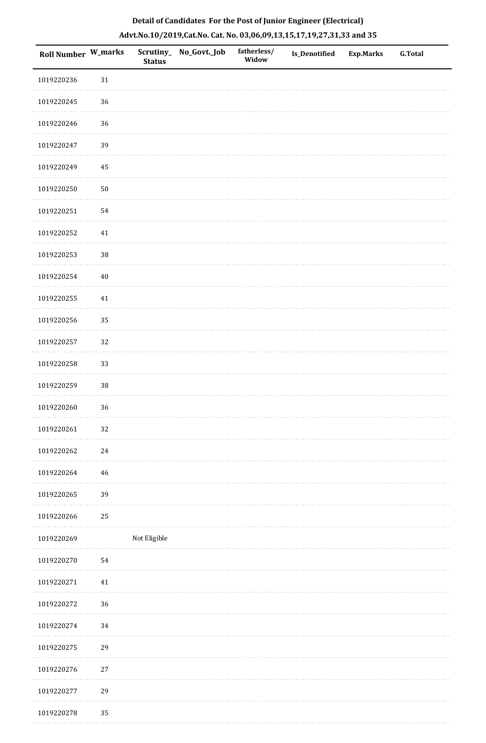| <b>Roll Number W_marks</b> |        | <b>Status</b> | Scrutiny_ No_Govt._Job | fatherless/<br>Widow | Is_Denotified | <b>Exp.Marks</b> | <b>G.Total</b> |
|----------------------------|--------|---------------|------------------------|----------------------|---------------|------------------|----------------|
| 1019220236                 | 31     |               |                        |                      |               |                  |                |
| 1019220245                 | $36\,$ |               |                        |                      |               |                  |                |
| 1019220246                 | 36     |               |                        |                      |               |                  |                |
| 1019220247                 | 39     |               |                        |                      |               |                  |                |
| 1019220249                 | 45     |               |                        |                      |               |                  |                |
| 1019220250                 | $50\,$ |               |                        |                      |               |                  |                |
| 1019220251                 | 54     |               |                        |                      |               |                  |                |
| 1019220252                 | 41     |               |                        |                      |               |                  |                |
| 1019220253                 | 38     |               |                        |                      |               |                  |                |
| 1019220254                 | $40\,$ |               |                        |                      |               |                  |                |
| 1019220255                 | $41\,$ |               |                        |                      |               |                  |                |
| 1019220256                 | 35     |               |                        |                      |               |                  |                |
| 1019220257                 | 32     |               |                        |                      |               |                  |                |
| 1019220258                 | 33     |               |                        |                      |               |                  |                |
| 1019220259                 | $38\,$ |               |                        |                      |               |                  |                |
| 1019220260                 | 36     |               |                        |                      |               |                  |                |
| 1019220261                 | $32\,$ |               |                        |                      |               |                  |                |
| 1019220262                 | 24     |               |                        |                      |               |                  |                |
| 1019220264                 | 46     |               |                        |                      |               |                  |                |
| 1019220265                 | 39     |               |                        |                      |               |                  |                |
| 1019220266                 | 25     |               |                        |                      |               |                  |                |
| 1019220269                 |        | Not Eligible  |                        |                      |               |                  |                |
| 1019220270                 | 54     |               |                        |                      |               |                  |                |
| 1019220271                 | 41     |               |                        |                      |               |                  |                |
| 1019220272                 | 36     |               |                        |                      |               |                  |                |
| 1019220274                 | 34     |               |                        |                      |               |                  |                |
| 1019220275                 | 29     |               |                        |                      |               |                  |                |
| 1019220276                 | 27     |               |                        |                      |               |                  |                |
| 1019220277                 | 29     |               |                        |                      |               |                  |                |
|                            |        |               |                        |                      |               |                  |                |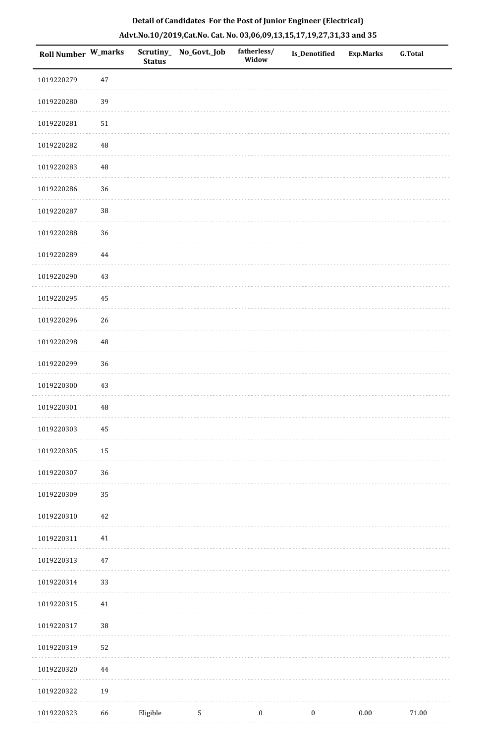|  | Detail of Candidates For the Post of Junior Engineer (Electrical)     |  |
|--|-----------------------------------------------------------------------|--|
|  | Advt.No.10/2019,Cat.No. Cat. No. 03,06,09,13,15,17,19,27,31,33 and 35 |  |

| <b>Roll Number W_marks</b> |             | <b>Status</b> | Scrutiny_ No_Govt._Job | fatherless/<br>Widow | Is_Denotified    | <b>Exp.Marks</b> | <b>G.Total</b> |
|----------------------------|-------------|---------------|------------------------|----------------------|------------------|------------------|----------------|
| 1019220279                 | $47\,$      |               |                        |                      |                  |                  |                |
| 1019220280                 | 39          |               |                        |                      |                  |                  |                |
| 1019220281                 | $51\,$      |               |                        |                      |                  |                  |                |
| 1019220282                 | $\sqrt{48}$ |               |                        |                      |                  |                  |                |
| 1019220283                 | $\sqrt{48}$ |               |                        |                      |                  |                  |                |
| 1019220286                 | 36          |               |                        |                      |                  |                  |                |
| 1019220287                 | 38          |               |                        |                      |                  |                  |                |
| 1019220288                 | 36          |               |                        |                      |                  |                  |                |
| 1019220289                 | $\bf 44$    |               |                        |                      |                  |                  |                |
| 1019220290                 | $43\,$      |               |                        |                      |                  |                  |                |
| 1019220295                 | 45          |               |                        |                      |                  |                  |                |
| 1019220296                 | 26          |               |                        |                      |                  |                  |                |
| 1019220298                 | $\sqrt{48}$ |               |                        |                      |                  |                  |                |
| 1019220299                 | 36          |               |                        |                      |                  |                  |                |
| 1019220300                 | 43          |               |                        |                      |                  |                  |                |
| 1019220301                 | $\sqrt{48}$ |               |                        |                      |                  |                  |                |
| 1019220303                 | 45          |               |                        |                      |                  |                  |                |
| 1019220305                 | $15\,$      |               |                        |                      |                  |                  |                |
| 1019220307                 | 36          |               |                        |                      |                  |                  |                |
| 1019220309                 | 35          |               |                        |                      |                  |                  |                |
| 1019220310                 | $42\,$      |               |                        |                      |                  |                  |                |
| 1019220311                 | $41\,$      |               |                        |                      |                  |                  |                |
| 1019220313                 | $47\,$      |               |                        |                      |                  |                  |                |
| 1019220314                 | 33          |               |                        |                      |                  |                  |                |
| 1019220315                 | 41          |               |                        |                      |                  |                  |                |
| 1019220317                 | 38          |               |                        |                      |                  |                  |                |
| 1019220319                 | 52          |               |                        |                      |                  |                  |                |
| 1019220320                 | 44          |               |                        |                      |                  |                  |                |
| 1019220322                 | 19          |               |                        |                      |                  |                  |                |
| 1019220323                 | 66          | Eligible      | $\sqrt{5}$             | $\boldsymbol{0}$     | $\boldsymbol{0}$ | $0.00\,$         | $71.00\,$      |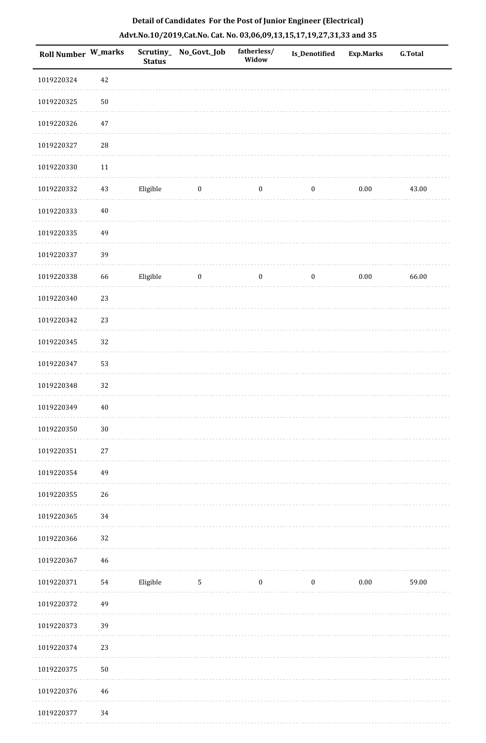| Roll Number W_marks |            | <b>Status</b> | Scrutiny_No_Govt._Job | fatherless/<br>Widow | Is_Denotified    | <b>Exp.Marks</b> | <b>G.Total</b> |
|---------------------|------------|---------------|-----------------------|----------------------|------------------|------------------|----------------|
| 1019220324          | $42\,$     |               |                       |                      |                  |                  |                |
| 1019220325          | $50\,$     |               |                       |                      |                  |                  |                |
| 1019220326          | $47\,$     |               |                       |                      |                  |                  |                |
| 1019220327          | ${\bf 28}$ |               |                       |                      |                  |                  |                |
| 1019220330          | 11         |               |                       |                      |                  |                  |                |
| 1019220332          | $43\,$     | Eligible      | $\boldsymbol{0}$      | $\boldsymbol{0}$     | $\boldsymbol{0}$ | $0.00\,$         | 43.00          |
| 1019220333          | $40\,$     |               |                       |                      |                  |                  |                |
| 1019220335          | 49         |               |                       |                      |                  |                  |                |
| 1019220337          | 39         |               |                       |                      |                  |                  |                |
| 1019220338          | 66         | Eligible      | $\boldsymbol{0}$      | $\boldsymbol{0}$     | $\boldsymbol{0}$ | $0.00\,$         | 66.00          |
| 1019220340          | 23         |               |                       |                      |                  |                  |                |
| 1019220342          | 23         |               |                       |                      |                  |                  |                |
| 1019220345          | 32         |               |                       |                      |                  |                  |                |
| 1019220347          | 53         |               |                       |                      |                  |                  |                |
| 1019220348          | 32         |               |                       |                      |                  |                  |                |
| 1019220349          | $40\,$     |               |                       |                      |                  |                  |                |
| 1019220350          | $30\,$     |               |                       |                      |                  |                  |                |
| 1019220351          | $27\,$     |               |                       |                      |                  |                  |                |
| 1019220354          | 49         |               |                       |                      |                  |                  |                |
| 1019220355          | 26         |               |                       |                      |                  |                  |                |
| 1019220365          | 34         |               |                       |                      |                  |                  |                |
| 1019220366          | 32         |               |                       |                      |                  |                  |                |
| 1019220367          | 46         |               |                       |                      |                  |                  |                |
| 1019220371          | 54         | Eligible      | $\mathbf{5}$          | $\boldsymbol{0}$     | $\boldsymbol{0}$ | $0.00\,$         | 59.00          |
| 1019220372          | 49         |               |                       |                      |                  |                  |                |
| 1019220373          | 39         |               |                       |                      |                  |                  |                |
| 1019220374          | 23         |               |                       |                      |                  |                  |                |
| 1019220375          | $50\,$     |               |                       |                      |                  |                  |                |
| 1019220376          | $46\,$     |               |                       |                      |                  |                  |                |
| 1019220377          | 34         |               |                       |                      |                  |                  |                |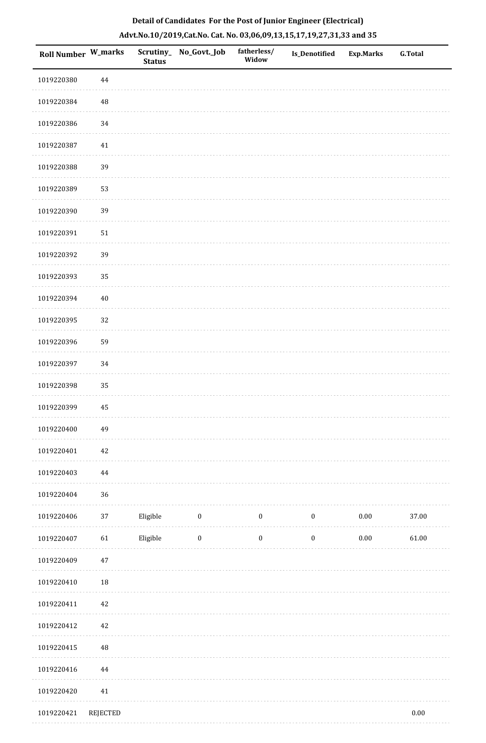| <b>Roll Number W_marks</b> |                 | <b>Status</b> | Scrutiny_No_Govt._Job | fatherless/<br>Widow | <b>Is_Denotified</b> | Exp.Marks | <b>G.Total</b> |
|----------------------------|-----------------|---------------|-----------------------|----------------------|----------------------|-----------|----------------|
| 1019220380                 | $\bf 44$        |               |                       |                      |                      |           |                |
| 1019220384                 | $\rm 48$        |               |                       |                      |                      |           |                |
| 1019220386                 | 34              |               |                       |                      |                      |           |                |
| 1019220387                 | 41              |               |                       |                      |                      |           |                |
| 1019220388                 | 39              |               |                       |                      |                      |           |                |
| 1019220389                 | 53              |               |                       |                      |                      |           |                |
| 1019220390                 | 39              |               |                       |                      |                      |           |                |
| 1019220391                 | $51\,$          |               |                       |                      |                      |           |                |
| 1019220392                 | 39              |               |                       |                      |                      |           |                |
| 1019220393                 | 35              |               |                       |                      |                      |           |                |
| 1019220394                 | $40\,$          |               |                       |                      |                      |           |                |
| 1019220395                 | 32              |               |                       |                      |                      |           |                |
| 1019220396                 | 59              |               |                       |                      |                      |           |                |
| 1019220397                 | 34              |               |                       |                      |                      |           |                |
| 1019220398                 | 35              |               |                       |                      |                      |           |                |
| 1019220399                 | $\rm 45$        |               |                       |                      |                      |           |                |
| 1019220400                 | 49              |               |                       |                      |                      |           |                |
| 1019220401                 | $42\,$          |               |                       |                      |                      |           |                |
| 1019220403                 | $\bf 44$        |               |                       |                      |                      |           |                |
| 1019220404                 | 36              |               |                       |                      |                      |           |                |
| 1019220406                 | $37\,$          | Eligible      | $\boldsymbol{0}$      | $\boldsymbol{0}$     | $\boldsymbol{0}$     | $0.00\,$  | 37.00          |
| 1019220407                 | 61              | Eligible      | $\boldsymbol{0}$      | $\boldsymbol{0}$     | $\boldsymbol{0}$     | $0.00\,$  | $61.00\,$      |
| 1019220409                 | $47\,$          |               |                       |                      |                      |           |                |
| 1019220410                 | $18\,$          |               |                       |                      |                      |           |                |
| 1019220411                 | $42\,$          |               |                       |                      |                      |           |                |
| 1019220412                 | 42              |               |                       |                      |                      |           |                |
| 1019220415                 | $\rm 48$        |               |                       |                      |                      |           |                |
| 1019220416                 | $\bf 44$        |               |                       |                      |                      |           |                |
| 1019220420                 | 41              |               |                       |                      |                      |           |                |
| 1019220421                 | <b>REJECTED</b> |               |                       |                      |                      |           | $0.00\,$       |

# **Detail of Candidates For the Post of Junior Engineer (Electrical) Advt.No.10/2019,Cat.No. Cat. No. 03,06,09,13,15,17,19,27,31,33 and 35**

. . . . . . . .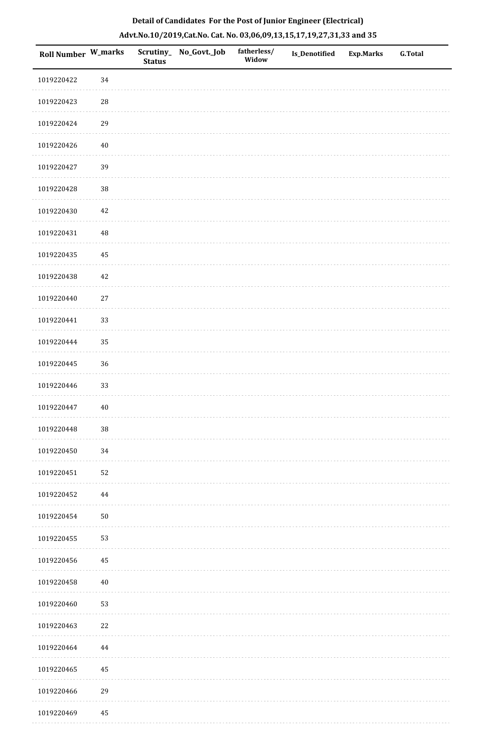| <b>Roll Number W_marks</b> |            | <b>Status</b> | Scrutiny_ No_Govt._Job | fatherless/<br>Widow | Is_Denotified | <b>Exp.Marks</b> | <b>G.Total</b> |
|----------------------------|------------|---------------|------------------------|----------------------|---------------|------------------|----------------|
| 1019220422                 | 34         |               |                        |                      |               |                  |                |
| 1019220423                 | $28\,$     |               |                        |                      |               |                  |                |
| 1019220424                 | 29         |               |                        |                      |               |                  |                |
| 1019220426                 | $40\,$     |               |                        |                      |               |                  |                |
| 1019220427                 | 39         |               |                        |                      |               |                  |                |
| 1019220428                 | $38\,$     |               |                        |                      |               |                  |                |
| 1019220430                 | 42         |               |                        |                      |               |                  |                |
| 1019220431                 | $\rm 48$   |               |                        |                      |               |                  |                |
| 1019220435                 | 45         |               |                        |                      |               |                  |                |
| 1019220438                 | 42         |               |                        |                      |               |                  |                |
| 1019220440                 | $27\,$     |               |                        |                      |               |                  |                |
| 1019220441                 | 33         |               |                        |                      |               |                  |                |
| 1019220444                 | 35         |               |                        |                      |               |                  |                |
| 1019220445                 | 36         |               |                        |                      |               |                  |                |
| 1019220446                 | 33         |               |                        |                      |               |                  |                |
| 1019220447                 | 40         |               |                        |                      |               |                  |                |
| 1019220448                 | $38\,$     |               |                        |                      |               |                  |                |
| 1019220450                 | 34         |               |                        |                      |               |                  |                |
| 1019220451                 | 52         |               |                        |                      |               |                  |                |
| 1019220452                 | 44         |               |                        |                      |               |                  |                |
| 1019220454                 | ${\bf 50}$ |               |                        |                      |               |                  |                |
| 1019220455                 | 53         |               |                        |                      |               |                  |                |
| 1019220456                 | 45         |               |                        |                      |               |                  |                |
| 1019220458                 | 40         |               |                        |                      |               |                  |                |
| 1019220460                 | 53         |               |                        |                      |               |                  |                |
| 1019220463                 | 22         |               |                        |                      |               |                  |                |
| 1019220464                 | 44         |               |                        |                      |               |                  |                |
| 1019220465                 | 45         |               |                        |                      |               |                  |                |
| 1019220466                 | 29         |               |                        |                      |               |                  |                |
| 1019220469                 | 45         |               |                        |                      |               |                  |                |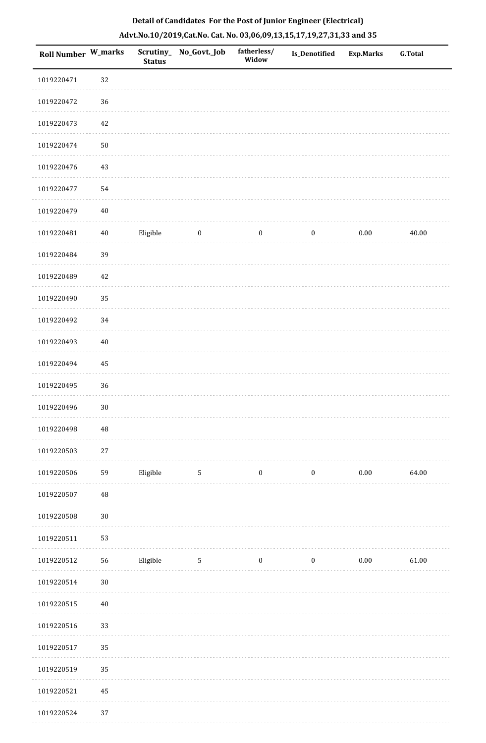| <b>Roll Number W_marks</b> |          | Scrutiny_<br><b>Status</b> | No_Govt._Job     | fatherless/<br>Widow | Is_Denotified    | <b>Exp.Marks</b> | <b>G.Total</b> |
|----------------------------|----------|----------------------------|------------------|----------------------|------------------|------------------|----------------|
| 1019220471                 | 32       |                            |                  |                      |                  |                  |                |
| 1019220472                 | 36       |                            |                  |                      |                  |                  |                |
| 1019220473                 | 42       |                            |                  |                      |                  |                  |                |
| 1019220474                 | $50\,$   |                            |                  |                      |                  |                  |                |
| 1019220476                 | 43       |                            |                  |                      |                  |                  |                |
| 1019220477                 | 54       |                            |                  |                      |                  |                  |                |
| 1019220479                 | $40\,$   |                            |                  |                      |                  |                  |                |
| 1019220481                 | $40\,$   | Eligible                   | $\boldsymbol{0}$ | $\boldsymbol{0}$     | $\boldsymbol{0}$ | $0.00\,$         | 40.00          |
| 1019220484                 | 39       |                            |                  |                      |                  |                  |                |
| 1019220489                 | 42       |                            |                  |                      |                  |                  |                |
| 1019220490                 | 35       |                            |                  |                      |                  |                  |                |
| 1019220492                 | 34       |                            |                  |                      |                  |                  |                |
| 1019220493                 | $40\,$   |                            |                  |                      |                  |                  |                |
| 1019220494                 | 45       |                            |                  |                      |                  |                  |                |
| 1019220495                 | 36       |                            |                  |                      |                  |                  |                |
| 1019220496                 | $30\,$   |                            |                  |                      |                  |                  |                |
| 1019220498                 | $\rm 48$ |                            |                  |                      |                  |                  |                |
| 1019220503                 | $27\,$   |                            |                  |                      |                  |                  |                |
| 1019220506                 | 59       | Eligible                   | $\mathbf 5$      | 0                    | $\boldsymbol{0}$ | $0.00\,$         | 64.00          |
| 1019220507                 | $\rm 48$ |                            |                  |                      |                  |                  |                |
| 1019220508                 | $30\,$   |                            |                  |                      |                  |                  |                |
| 1019220511                 | 53       |                            |                  |                      |                  |                  |                |
| 1019220512                 | 56       | Eligible                   | $\sqrt{5}$       | $\boldsymbol{0}$     | $\boldsymbol{0}$ | $0.00\,$         | 61.00          |
| 1019220514                 | $30\,$   |                            |                  |                      |                  |                  |                |
| 1019220515                 | $40\,$   |                            |                  |                      |                  |                  |                |
| 1019220516                 | 33       |                            |                  |                      |                  |                  |                |
| 1019220517                 | 35       |                            |                  |                      |                  |                  |                |
| 1019220519                 | 35       |                            |                  |                      |                  |                  |                |

1019220524 37

#### **Detail of Candidates For the Post of Junior Engineer (Electrical) Advt.No.10/2019,Cat.No. Cat. No. 03,06,09,13,15,17,19,27,31,33 and 35**

 $\sim$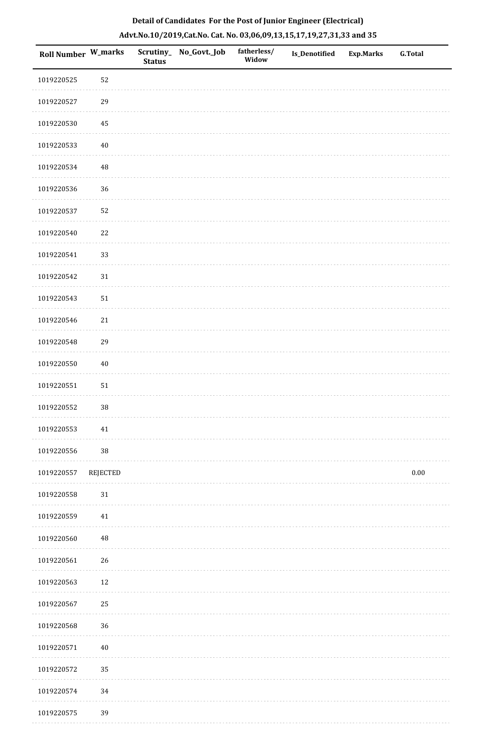| Roll Number W_marks |                 | <b>Status</b> | Scrutiny_ No_Govt._Job | fatherless/<br>Widow | Is_Denotified | <b>Exp.Marks</b> | G.Total  |
|---------------------|-----------------|---------------|------------------------|----------------------|---------------|------------------|----------|
| 1019220525          | 52              |               |                        |                      |               |                  |          |
| 1019220527          | 29              |               |                        |                      |               |                  |          |
| 1019220530          | 45              |               |                        |                      |               |                  |          |
| 1019220533          | $40\,$          |               |                        |                      |               |                  |          |
| 1019220534          | $\rm 48$        |               |                        |                      |               |                  |          |
| 1019220536          | 36              |               |                        |                      |               |                  |          |
| 1019220537          | 52              |               |                        |                      |               |                  |          |
| 1019220540          | 22              |               |                        |                      |               |                  |          |
| 1019220541          | 33              |               |                        |                      |               |                  |          |
| 1019220542          | 31              |               |                        |                      |               |                  |          |
| 1019220543          | $51\,$          |               |                        |                      |               |                  |          |
| 1019220546          | 21              |               |                        |                      |               |                  |          |
| 1019220548          | 29              |               |                        |                      |               |                  |          |
| 1019220550          | $40\,$          |               |                        |                      |               |                  |          |
| 1019220551          | 51              |               |                        |                      |               |                  |          |
| 1019220552          | $38\,$          |               |                        |                      |               |                  |          |
| 1019220553          | 41              |               |                        |                      |               |                  |          |
| 1019220556          | $38\,$          |               |                        |                      |               |                  |          |
| 1019220557          | <b>REJECTED</b> |               |                        |                      |               |                  | $0.00\,$ |
| 1019220558          | 31              |               |                        |                      |               |                  |          |
| 1019220559          | 41              |               |                        |                      |               |                  |          |
| 1019220560          | $\rm 48$        |               |                        |                      |               |                  |          |
| 1019220561          | 26              |               |                        |                      |               |                  |          |
| 1019220563          | 12              |               |                        |                      |               |                  |          |
| 1019220567          | 25              |               |                        |                      |               |                  |          |
| 1019220568          | 36              |               |                        |                      |               |                  |          |
| 1019220571          | $40\,$          |               |                        |                      |               |                  |          |
| 1019220572          | 35              |               |                        |                      |               |                  |          |
| 1019220574          | 34              |               |                        |                      |               |                  |          |
| 1019220575          | 39              |               |                        |                      |               |                  |          |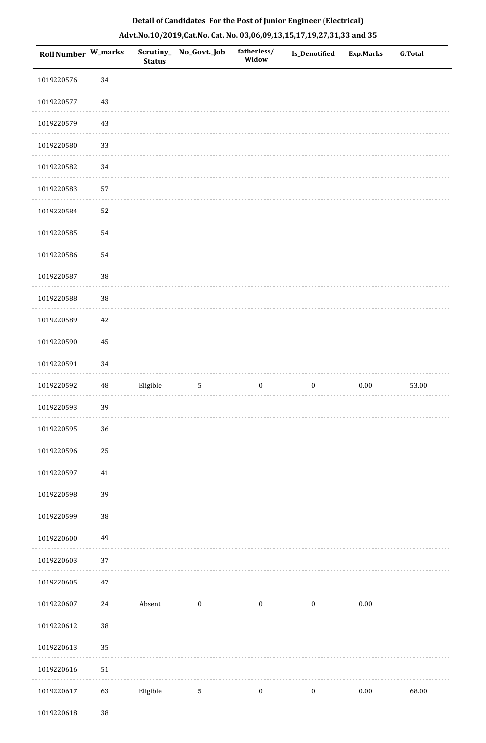| Roll Number W_marks |          | <b>Status</b> | Scrutiny_No_Govt._Job | fatherless/<br>Widow | <b>Is_Denotified</b> | <b>Exp.Marks</b> | <b>G.Total</b> |
|---------------------|----------|---------------|-----------------------|----------------------|----------------------|------------------|----------------|
| 1019220576          | 34       |               |                       |                      |                      |                  |                |
| 1019220577          | $43\,$   |               |                       |                      |                      |                  |                |
| 1019220579          | 43       |               |                       |                      |                      |                  |                |
| 1019220580          | 33       |               |                       |                      |                      |                  |                |
| 1019220582          | 34       |               |                       |                      |                      |                  |                |
| 1019220583          | 57       |               |                       |                      |                      |                  |                |
| 1019220584          | 52       |               |                       |                      |                      |                  |                |
| 1019220585          | 54       |               |                       |                      |                      |                  |                |
| 1019220586          | 54       |               |                       |                      |                      |                  |                |
| 1019220587          | 38       |               |                       |                      |                      |                  |                |
| 1019220588          | $38\,$   |               |                       |                      |                      |                  |                |
| 1019220589          | $42\,$   |               |                       |                      |                      |                  |                |
| 1019220590          | 45       |               |                       |                      |                      |                  |                |
| 1019220591          | 34       |               |                       |                      |                      |                  |                |
| 1019220592          | $\rm 48$ | Eligible      | $\mathbf{5}$          | $\boldsymbol{0}$     | $\boldsymbol{0}$     | $0.00\,$         | 53.00          |
| 1019220593          | 39       |               |                       |                      |                      |                  |                |
| 1019220595          | 36       |               |                       |                      |                      |                  |                |
| 1019220596          | 25       |               |                       |                      |                      |                  |                |
| 1019220597          | $41\,$   |               |                       |                      |                      |                  |                |
| 1019220598          | 39       |               |                       |                      |                      |                  |                |
| 1019220599          | 38       |               |                       |                      |                      |                  |                |
| 1019220600          | 49       |               |                       |                      |                      |                  |                |
| 1019220603          | $37\,$   |               |                       |                      |                      |                  |                |
| 1019220605          | $47\,$   |               |                       |                      |                      |                  |                |
| 1019220607          | $24\,$   | Absent        | $\boldsymbol{0}$      | $\boldsymbol{0}$     | $\boldsymbol{0}$     | $0.00\,$         |                |
| 1019220612          | $38\,$   |               |                       |                      |                      |                  |                |
| 1019220613          | 35       |               |                       |                      |                      |                  |                |
| 1019220616          | 51       |               |                       |                      |                      |                  |                |
| 1019220617          | 63       | Eligible      | 5                     | $\boldsymbol{0}$     | $\bf{0}$             | $0.00\,$         | 68.00          |
| 1019220618          | $38\,$   |               |                       |                      |                      |                  |                |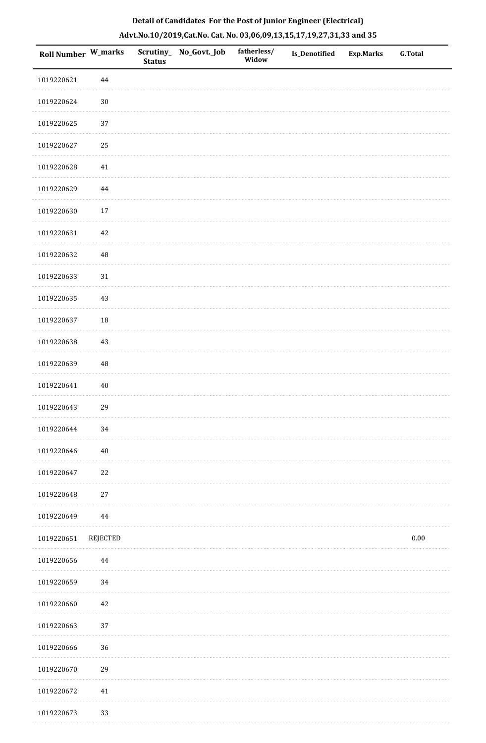| Roll Number W_marks |                 | <b>Status</b> | Scrutiny_ No_Govt._Job | fatherless/<br>Widow | Is_Denotified | <b>Exp.Marks</b> | G.Total  |
|---------------------|-----------------|---------------|------------------------|----------------------|---------------|------------------|----------|
| 1019220621          | $\bf 44$        |               |                        |                      |               |                  |          |
| 1019220624          | $30\,$          |               |                        |                      |               |                  |          |
| 1019220625          | 37              |               |                        |                      |               |                  |          |
| 1019220627          | 25              |               |                        |                      |               |                  |          |
| 1019220628          | 41              |               |                        |                      |               |                  |          |
| 1019220629          | 44              |               |                        |                      |               |                  |          |
| 1019220630          | $17\,$          |               |                        |                      |               |                  |          |
| 1019220631          | 42              |               |                        |                      |               |                  |          |
| 1019220632          | $\rm 48$        |               |                        |                      |               |                  |          |
| 1019220633          | 31              |               |                        |                      |               |                  |          |
| 1019220635          | 43              |               |                        |                      |               |                  |          |
| 1019220637          | $18\,$          |               |                        |                      |               |                  |          |
| 1019220638          | 43              |               |                        |                      |               |                  |          |
| 1019220639          | $\rm 48$        |               |                        |                      |               |                  |          |
| 1019220641          | $40\,$          |               |                        |                      |               |                  |          |
| 1019220643          | 29              |               |                        |                      |               |                  |          |
| 1019220644          | $34\,$          |               |                        |                      |               |                  |          |
| 1019220646          | 40              |               |                        |                      |               |                  |          |
| 1019220647          | 22              |               |                        |                      |               |                  |          |
| 1019220648          | 27              |               |                        |                      |               |                  |          |
| 1019220649          | 44              |               |                        |                      |               |                  |          |
| 1019220651          | <b>REJECTED</b> |               |                        |                      |               |                  | $0.00\,$ |
| 1019220656          | 44              |               |                        |                      |               |                  |          |
| 1019220659          | 34              |               |                        |                      |               |                  |          |
| 1019220660          | 42              |               |                        |                      |               |                  |          |
| 1019220663          | $37\,$          |               |                        |                      |               |                  |          |
| 1019220666          | 36              |               |                        |                      |               |                  |          |
| 1019220670          | 29              |               |                        |                      |               |                  |          |
| 1019220672          | 41              |               |                        |                      |               |                  |          |
| 1019220673          | 33              |               |                        |                      |               |                  |          |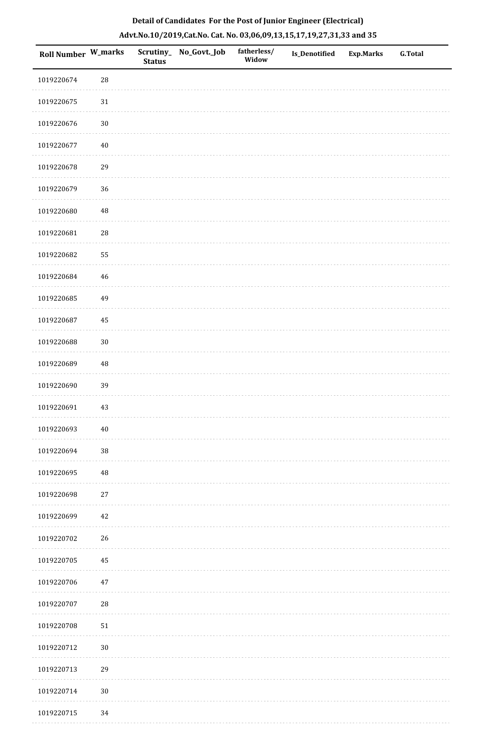| <b>Roll Number W_marks</b> |             | Scrutiny_<br><b>Status</b> | No_Govt._Job | fatherless/<br>Widow | Is_Denotified | <b>Exp.Marks</b> | <b>G.Total</b> |
|----------------------------|-------------|----------------------------|--------------|----------------------|---------------|------------------|----------------|
| 1019220674                 | ${\bf 28}$  |                            |              |                      |               |                  |                |
| 1019220675                 | $31\,$      |                            |              |                      |               |                  |                |
| 1019220676                 | $30\,$      |                            |              |                      |               |                  |                |
| 1019220677                 | $40\,$      |                            |              |                      |               |                  |                |
| 1019220678                 | 29          |                            |              |                      |               |                  |                |
| 1019220679                 | 36          |                            |              |                      |               |                  |                |
| 1019220680                 | $\rm 48$    |                            |              |                      |               |                  |                |
| 1019220681                 | ${\bf 28}$  |                            |              |                      |               |                  |                |
| 1019220682                 | 55          |                            |              |                      |               |                  |                |
| 1019220684                 | $\sqrt{46}$ |                            |              |                      |               |                  |                |
| 1019220685                 | 49          |                            |              |                      |               |                  |                |
| 1019220687                 | 45          |                            |              |                      |               |                  |                |
| 1019220688                 | $30\,$      |                            |              |                      |               |                  |                |
| 1019220689                 | 48          |                            |              |                      |               |                  |                |
| 1019220690                 | 39          |                            |              |                      |               |                  |                |
| 1019220691                 | $43\,$      |                            |              |                      |               |                  |                |
| 1019220693                 | $40\,$      |                            |              |                      |               |                  |                |
| 1019220694                 | 38          |                            |              |                      |               |                  |                |
| 1019220695                 | 48          |                            |              |                      |               |                  |                |
| 1019220698                 | $27\,$      |                            |              |                      |               |                  |                |
| 1019220699                 | 42          |                            |              |                      |               |                  |                |
| 1019220702                 | 26          |                            |              |                      |               |                  |                |
| 1019220705                 | 45          |                            |              |                      |               |                  |                |
| 1019220706                 | $47\,$      |                            |              |                      |               |                  |                |
| 1019220707                 | ${\bf 28}$  |                            |              |                      |               |                  |                |
| 1019220708                 | $51\,$      |                            |              |                      |               |                  |                |
| 1019220712                 | $30\,$      |                            |              |                      |               |                  |                |
| 1019220713                 | 29          |                            |              |                      |               |                  |                |

1019220714 30

#### **Detail of Candidates For the Post of Junior Engineer (Electrical) Advt.No.10/2019,Cat.No. Cat. No. 03,06,09,13,15,17,19,27,31,33 and 35**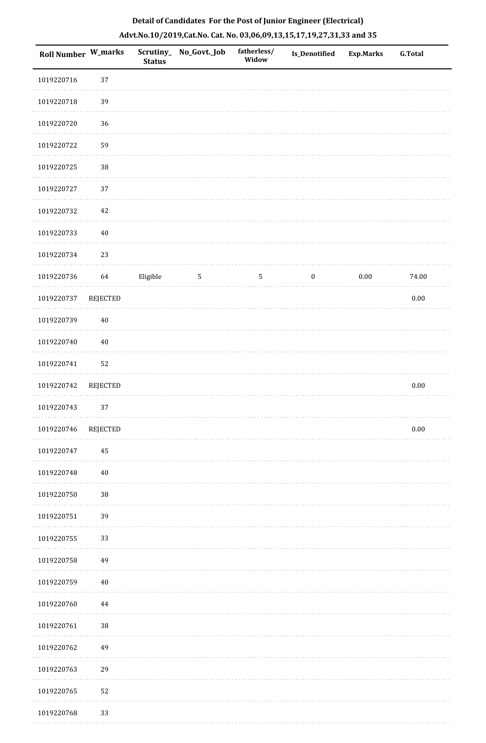| Roll Number W_marks |                 | <b>Status</b> | Scrutiny_No_Govt._Job | fatherless/<br>Widow | Is_Denotified    | <b>Exp.Marks</b> | <b>G.Total</b> |
|---------------------|-----------------|---------------|-----------------------|----------------------|------------------|------------------|----------------|
| 1019220716          | 37              |               |                       |                      |                  |                  |                |
| 1019220718          | 39              |               |                       |                      |                  |                  |                |
| 1019220720          | 36              |               |                       |                      |                  |                  |                |
| 1019220722          | 59              |               |                       |                      |                  |                  |                |
| 1019220725          | 38              |               |                       |                      |                  |                  |                |
| 1019220727          | 37              |               |                       |                      |                  |                  |                |
| 1019220732          | 42              |               |                       |                      |                  |                  |                |
| 1019220733          | $40\,$          |               |                       |                      |                  |                  |                |
| 1019220734          | 23              |               |                       |                      |                  |                  |                |
| 1019220736          | 64              | Eligible      | $\sqrt{5}$            | $\mathsf S$          | $\boldsymbol{0}$ | $0.00\,$         | 74.00          |
| 1019220737          | <b>REJECTED</b> |               |                       |                      |                  |                  | $0.00\,$       |
| 1019220739          | $40\,$          |               |                       |                      |                  |                  |                |
| 1019220740          | $40\,$          |               |                       |                      |                  |                  |                |
| 1019220741          | 52              |               |                       |                      |                  |                  |                |
| 1019220742          | <b>REJECTED</b> |               |                       |                      |                  |                  | $0.00\,$       |
| 1019220743          | 37              |               |                       |                      |                  |                  |                |
| 1019220746          | <b>REJECTED</b> |               |                       |                      |                  |                  | $0.00\,$       |
| 1019220747          | 45              |               |                       |                      |                  |                  |                |
| 1019220748          | $40\,$          |               |                       |                      |                  |                  |                |
| 1019220750          | $38\,$          |               |                       |                      |                  |                  |                |
| 1019220751          | 39              |               |                       |                      |                  |                  |                |
| 1019220755          | 33              |               |                       |                      |                  |                  |                |
| 1019220758          | 49              |               |                       |                      |                  |                  |                |
| 1019220759          | $40\,$          |               |                       |                      |                  |                  |                |
| 1019220760          | 44              |               |                       |                      |                  |                  |                |
| 1019220761          | 38              |               |                       |                      |                  |                  |                |
| 1019220762          | 49              |               |                       |                      |                  |                  |                |
| 1019220763          | 29              |               |                       |                      |                  |                  |                |
| 1019220765          | 52              |               |                       |                      |                  |                  |                |
| 1019220768          | 33              |               |                       |                      |                  |                  |                |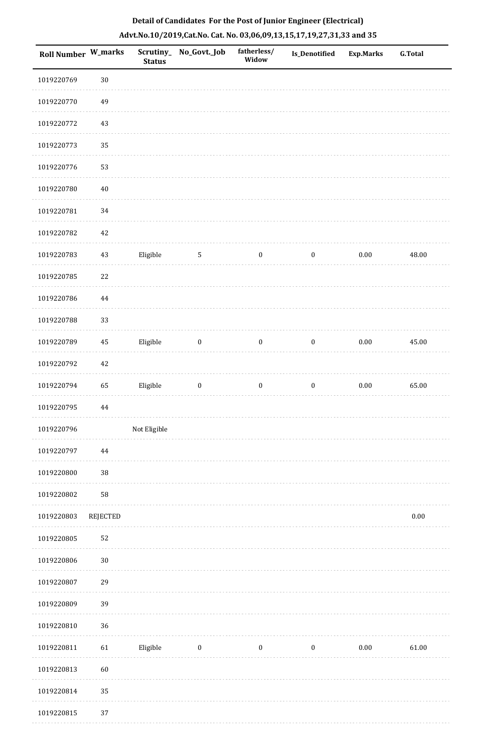| <b>Roll Number W_marks</b> |          | <b>Status</b> | Scrutiny_No_Govt._Job | fatherless/<br>Widow | <b>Is_Denotified</b> | <b>Exp.Marks</b> | <b>G.Total</b> |
|----------------------------|----------|---------------|-----------------------|----------------------|----------------------|------------------|----------------|
| 1019220769                 | $30\,$   |               |                       |                      |                      |                  |                |
| 1019220770                 | 49       |               |                       |                      |                      |                  |                |
| 1019220772                 | $43\,$   |               |                       |                      |                      |                  |                |
| 1019220773                 | 35       |               |                       |                      |                      |                  |                |
| 1019220776                 | 53       |               |                       |                      |                      |                  |                |
| 1019220780                 | $40\,$   |               |                       |                      |                      |                  |                |
| 1019220781                 | 34       |               |                       |                      |                      |                  |                |
| 1019220782                 | $42\,$   |               |                       |                      |                      |                  |                |
| 1019220783                 | $43\,$   | Eligible      | $\overline{5}$        | $\boldsymbol{0}$     | $\boldsymbol{0}$     | $0.00\,$         | 48.00          |
| 1019220785                 | 22       |               |                       |                      |                      |                  |                |
| 1019220786                 | 44       |               |                       |                      |                      |                  |                |
| 1019220788                 | 33       |               |                       |                      |                      |                  |                |
| 1019220789                 | 45       | Eligible      | $\boldsymbol{0}$      | $\mathbf{0}$         | $\boldsymbol{0}$     | $0.00\,$         | 45.00          |
| 1019220792                 | $42\,$   |               |                       |                      |                      |                  |                |
| 1019220794                 | 65       | Eligible      | $\boldsymbol{0}$      | $\boldsymbol{0}$     | $\boldsymbol{0}$     | $0.00\,$         | 65.00          |
| 1019220795                 | $\bf 44$ |               |                       |                      |                      |                  |                |
| 1019220796                 |          | Not Eligible  |                       |                      |                      |                  |                |
| 1019220797                 | 44       |               |                       |                      |                      |                  |                |
| 1019220800                 | $38\,$   |               |                       |                      |                      |                  |                |
| 1019220802                 | 58       |               |                       |                      |                      |                  |                |
| 1019220803                 | REJECTED |               |                       |                      |                      |                  | $0.00\,$       |
| 1019220805                 | 52       |               |                       |                      |                      |                  |                |
| 1019220806                 | $30\,$   |               |                       |                      |                      |                  |                |
| 1019220807                 | 29       |               |                       |                      |                      |                  |                |
| 1019220809                 | 39       |               |                       |                      |                      |                  |                |
| 1019220810                 | 36       |               |                       |                      |                      |                  |                |
| 1019220811                 | 61       | Eligible      | $\boldsymbol{0}$      | $\boldsymbol{0}$     | $\boldsymbol{0}$     | $0.00\,$         | 61.00          |
| 1019220813                 | 60       |               |                       |                      |                      |                  |                |
| 1019220814                 | 35       |               |                       |                      |                      |                  |                |
| 1019220815                 | 37       |               |                       |                      |                      |                  |                |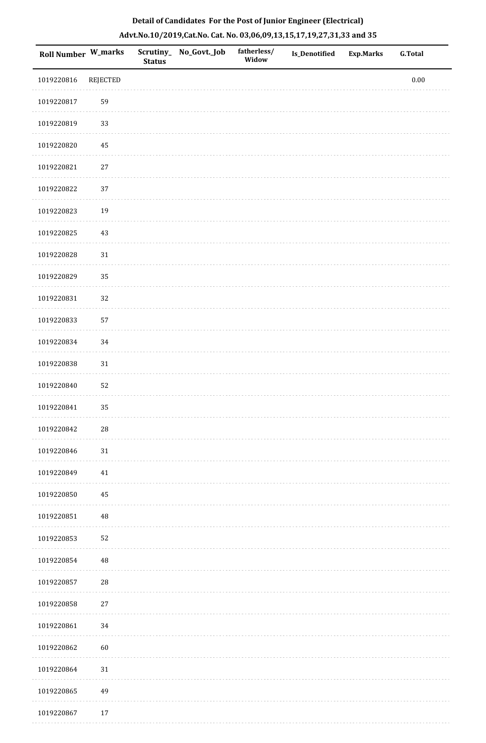| <b>Roll Number W_marks</b> |                 | <b>Status</b> | Scrutiny_ No_Govt._Job | fatherless/<br>Widow | <b>Is_Denotified</b> | Exp.Marks | <b>G.Total</b> |
|----------------------------|-----------------|---------------|------------------------|----------------------|----------------------|-----------|----------------|
| 1019220816                 | <b>REJECTED</b> |               |                        |                      |                      |           | $0.00\,$       |
| 1019220817                 | 59              |               |                        |                      |                      |           |                |
| 1019220819                 | 33              |               |                        |                      |                      |           |                |
| 1019220820                 | $\rm 45$        |               |                        |                      |                      |           |                |
| 1019220821                 | $27\,$          |               |                        |                      |                      |           |                |
| 1019220822                 | 37              |               |                        |                      |                      |           |                |
| 1019220823                 | 19              |               |                        |                      |                      |           |                |
| 1019220825                 | 43              |               |                        |                      |                      |           |                |
| 1019220828                 | 31              |               |                        |                      |                      |           |                |
| 1019220829                 | 35              |               |                        |                      |                      |           |                |
| 1019220831                 | 32              |               |                        |                      |                      |           |                |
| 1019220833                 | 57              |               |                        |                      |                      |           |                |
| 1019220834                 | 34              |               |                        |                      |                      |           |                |
| 1019220838                 | $31\,$          |               |                        |                      |                      |           |                |
| 1019220840                 | 52              |               |                        |                      |                      |           |                |
| 1019220841                 | 35              |               |                        |                      |                      |           |                |
| 1019220842                 | $28\,$          |               |                        |                      |                      |           |                |
| 1019220846                 | 31              |               |                        |                      |                      |           |                |
| 1019220849                 | 41              |               |                        |                      |                      |           |                |
| 1019220850                 | 45              |               |                        |                      |                      |           |                |
| 1019220851                 | $\rm 48$        |               |                        |                      |                      |           |                |
| 1019220853                 | 52              |               |                        |                      |                      |           |                |
| 1019220854                 | $\rm 48$        |               |                        |                      |                      |           |                |
| 1019220857                 | $28\,$          |               |                        |                      |                      |           |                |
| 1019220858                 | $27\,$          |               |                        |                      |                      |           |                |
| 1019220861                 | 34              |               |                        |                      |                      |           |                |
| 1019220862                 | 60              |               |                        |                      |                      |           |                |
| 1019220864                 | 31              |               |                        |                      |                      |           |                |
| 1019220865                 | 49              |               |                        |                      |                      |           |                |
| 1019220867                 | 17              |               |                        |                      |                      |           |                |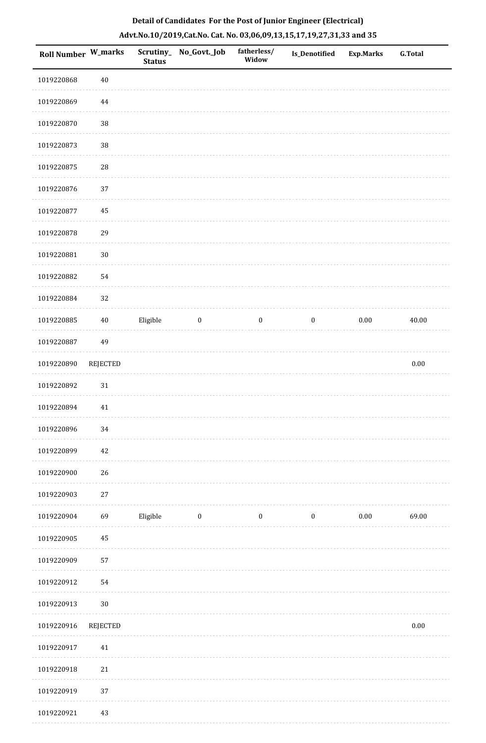| <b>Roll Number W_marks</b> |                 | <b>Status</b> | Scrutiny_No_Govt._Job | fatherless/<br>Widow | Is_Denotified    | <b>Exp.Marks</b> | G.Total  |
|----------------------------|-----------------|---------------|-----------------------|----------------------|------------------|------------------|----------|
| 1019220868                 | $40\,$          |               |                       |                      |                  |                  |          |
| 1019220869                 | 44              |               |                       |                      |                  |                  |          |
| 1019220870                 | $38\,$          |               |                       |                      |                  |                  |          |
| 1019220873                 | $38\,$          |               |                       |                      |                  |                  |          |
| 1019220875                 | ${\bf 28}$      |               |                       |                      |                  |                  |          |
| 1019220876                 | 37              |               |                       |                      |                  |                  |          |
| 1019220877                 | 45              |               |                       |                      |                  |                  |          |
| 1019220878                 | 29              |               |                       |                      |                  |                  |          |
| 1019220881                 | $30\,$          |               |                       |                      |                  |                  |          |
| 1019220882                 | 54              |               |                       |                      |                  |                  |          |
| 1019220884                 | 32              |               |                       |                      |                  |                  |          |
| 1019220885                 | $40\,$          | Eligible      | $\boldsymbol{0}$      | $\boldsymbol{0}$     | $\boldsymbol{0}$ | 0.00             | 40.00    |
| 1019220887                 | 49              |               |                       |                      |                  |                  |          |
| 1019220890                 | <b>REJECTED</b> |               |                       |                      |                  |                  | $0.00\,$ |
| 1019220892                 | $31\,$          |               |                       |                      |                  |                  |          |
| 1019220894                 | 41              |               |                       |                      |                  |                  |          |
| 1019220896                 | $34\,$          |               |                       |                      |                  |                  |          |
| 1019220899                 | 42              |               |                       |                      |                  |                  |          |
| 1019220900                 | 26              |               |                       |                      |                  |                  |          |
| 1019220903                 | $27\,$          |               |                       |                      |                  |                  |          |
| 1019220904                 | 69              | Eligible      | $\bf{0}$              | $\boldsymbol{0}$     | $\boldsymbol{0}$ | $0.00\,$         | 69.00    |
| 1019220905                 | 45              |               |                       |                      |                  |                  |          |
| 1019220909                 | 57              |               |                       |                      |                  |                  |          |
| 1019220912                 | 54              |               |                       |                      |                  |                  |          |
| 1019220913                 | $30\,$          |               |                       |                      |                  |                  |          |
| 1019220916                 | <b>REJECTED</b> |               |                       |                      |                  |                  | $0.00\,$ |
| 1019220917                 | $41\,$          |               |                       |                      |                  |                  |          |
| 1019220918                 | $21\,$          |               |                       |                      |                  |                  |          |
| 1019220919                 | $37\,$          |               |                       |                      |                  |                  |          |
|                            |                 |               |                       |                      |                  |                  |          |

# **Detail of Candidates For the Post of Junior Engineer (Electrical) Advt.No.10/2019,Cat.No. Cat. No. 03,06,09,13,15,17,19,27,31,33 and 35**

 1019220921 43 $\sim 100$ . . . . . . . . . .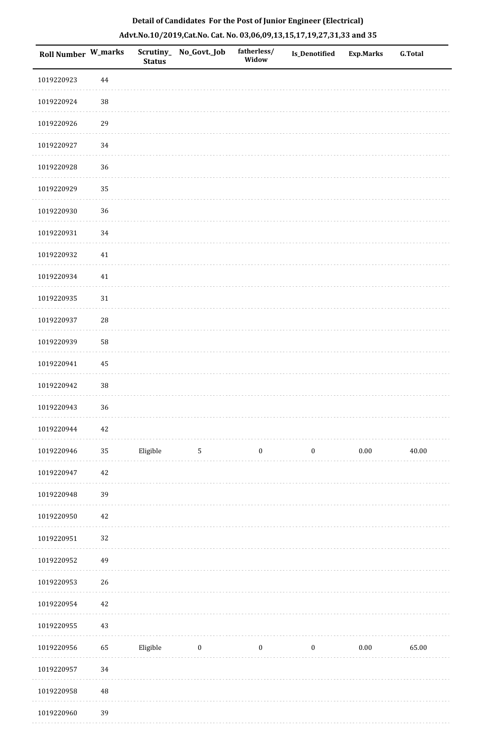| Roll Number W_marks |          | <b>Status</b> | Scrutiny_ No_Govt._Job  | fatherless/<br>Widow | <b>Is_Denotified</b> | Exp.Marks | <b>G.Total</b> |
|---------------------|----------|---------------|-------------------------|----------------------|----------------------|-----------|----------------|
| 1019220923          | $\bf 44$ |               |                         |                      |                      |           |                |
| 1019220924          | $38\,$   |               |                         |                      |                      |           |                |
| 1019220926          | 29       |               |                         |                      |                      |           |                |
| 1019220927          | $34\,$   |               |                         |                      |                      |           |                |
| 1019220928          | 36       |               |                         |                      |                      |           |                |
| 1019220929          | 35       |               |                         |                      |                      |           |                |
| 1019220930          | 36       |               |                         |                      |                      |           |                |
| 1019220931          | $34\,$   |               |                         |                      |                      |           |                |
| 1019220932          | 41       |               |                         |                      |                      |           |                |
| 1019220934          | 41       |               |                         |                      |                      |           |                |
| 1019220935          | $31\,$   |               |                         |                      |                      |           |                |
| 1019220937          | $28\,$   |               |                         |                      |                      |           |                |
| 1019220939          | 58       |               |                         |                      |                      |           |                |
| 1019220941          | $\bf 45$ |               |                         |                      |                      |           |                |
| 1019220942          | 38       |               |                         |                      |                      |           |                |
| 1019220943          | 36       |               |                         |                      |                      |           |                |
| 1019220944          | 42       |               |                         |                      |                      |           |                |
| 1019220946          | $35\,$   | Eligible      | $5\phantom{.0}$         | $\boldsymbol{0}$     | $\boldsymbol{0}$     | $0.00\,$  | 40.00          |
| 1019220947          | $42\,$   |               |                         |                      |                      |           |                |
| 1019220948          | 39       |               |                         |                      |                      |           |                |
| 1019220950          | $42\,$   |               |                         |                      |                      |           |                |
| 1019220951          | 32       |               |                         |                      |                      |           |                |
| 1019220952          | 49       |               |                         |                      |                      |           |                |
| 1019220953          | $26\,$   |               |                         |                      |                      |           |                |
| 1019220954          | $42\,$   |               |                         |                      |                      |           |                |
| 1019220955          | $43\,$   |               |                         |                      |                      |           |                |
| 1019220956          | 65       | Eligible      | $\overline{\mathbf{0}}$ | $\bf{0}$             | $\boldsymbol{0}$     | $0.00\,$  | 65.00          |
| 1019220957          | 34       |               |                         |                      |                      |           |                |
| 1019220958          | $\rm 48$ |               |                         |                      |                      |           |                |
|                     |          |               |                         |                      |                      |           |                |

# **Detail of Candidates For the Post of Junior Engineer (Electrical) Advt.No.10/2019,Cat.No. Cat. No. 03,06,09,13,15,17,19,27,31,33 and 35**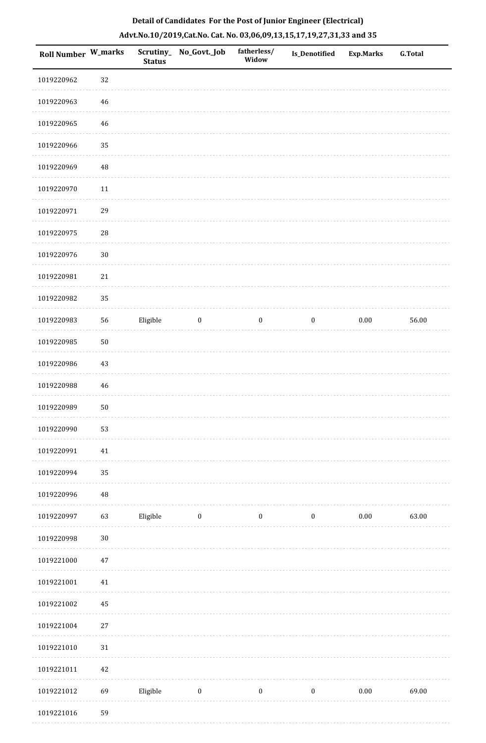| Roll Number W_marks |             | <b>Status</b> | Scrutiny_ No_Govt._Job | fatherless/<br>Widow | <b>Is_Denotified</b> | <b>Exp.Marks</b> | <b>G.Total</b> |
|---------------------|-------------|---------------|------------------------|----------------------|----------------------|------------------|----------------|
| 1019220962          | 32          |               |                        |                      |                      |                  |                |
| 1019220963          | 46          |               |                        |                      |                      |                  |                |
| 1019220965          | 46          |               |                        |                      |                      |                  |                |
| 1019220966          | 35          |               |                        |                      |                      |                  |                |
| 1019220969          | $\rm 48$    |               |                        |                      |                      |                  |                |
| 1019220970          | $11\,$      |               |                        |                      |                      |                  |                |
| 1019220971          | 29          |               |                        |                      |                      |                  |                |
| 1019220975          | ${\bf 28}$  |               |                        |                      |                      |                  |                |
| 1019220976          | $30\,$      |               |                        |                      |                      |                  |                |
| 1019220981          | 21          |               |                        |                      |                      |                  |                |
| 1019220982          | 35          |               |                        |                      |                      |                  |                |
| 1019220983          | 56          | Eligible      | $\boldsymbol{0}$       | $\boldsymbol{0}$     | $\boldsymbol{0}$     | $0.00\,$         | 56.00          |
| 1019220985          | $50\,$      |               |                        |                      |                      |                  |                |
| 1019220986          | 43          |               |                        |                      |                      |                  |                |
| 1019220988          | 46          |               |                        |                      |                      |                  |                |
| 1019220989          | $50\,$      |               |                        |                      |                      |                  |                |
| 1019220990          | 53          |               |                        |                      |                      |                  |                |
| 1019220991          | $41\,$      |               |                        |                      |                      |                  |                |
| 1019220994          | 35          |               |                        |                      |                      |                  |                |
| 1019220996          | $\sqrt{48}$ |               |                        |                      |                      |                  |                |
| 1019220997          | 63          | Eligible      | $\bf{0}$               | $\boldsymbol{0}$     | $\boldsymbol{0}$     | $0.00\,$         | 63.00          |
| 1019220998          | $30\,$      |               |                        |                      |                      |                  |                |
| 1019221000          | $47\,$      |               |                        |                      |                      |                  |                |
| 1019221001          | $41\,$      |               |                        |                      |                      |                  |                |
| 1019221002          | 45          |               |                        |                      |                      |                  |                |
| 1019221004          | $27\,$      |               |                        |                      |                      |                  |                |
| 1019221010          | $31\,$      |               |                        |                      |                      |                  |                |
| 1019221011          | 42          |               |                        |                      |                      |                  |                |
| 1019221012          | 69          | Eligible      | $\boldsymbol{0}$       | $\boldsymbol{0}$     | $\boldsymbol{0}$     | $0.00\,$         | 69.00          |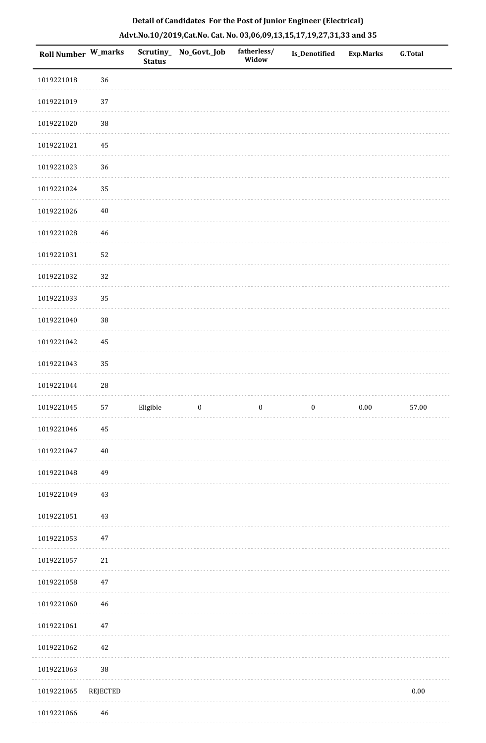| Roll Number W_marks |             | <b>Status</b> | Scrutiny_ No_Govt._Job | fatherless/<br>Widow | <b>Is_Denotified</b> | <b>Exp.Marks</b> | <b>G.Total</b> |
|---------------------|-------------|---------------|------------------------|----------------------|----------------------|------------------|----------------|
| 1019221018          | 36          |               |                        |                      |                      |                  |                |
| 1019221019          | 37          |               |                        |                      |                      |                  |                |
| 1019221020          | $38\,$      |               |                        |                      |                      |                  |                |
| 1019221021          | 45          |               |                        |                      |                      |                  |                |
| 1019221023          | 36          |               |                        |                      |                      |                  |                |
| 1019221024          | 35          |               |                        |                      |                      |                  |                |
| 1019221026          | $40\,$      |               |                        |                      |                      |                  |                |
| 1019221028          | 46          |               |                        |                      |                      |                  |                |
| 1019221031          | 52          |               |                        |                      |                      |                  |                |
| 1019221032          | 32          |               |                        |                      |                      |                  |                |
| 1019221033          | 35          |               |                        |                      |                      |                  |                |
| 1019221040          | $38\,$      |               |                        |                      |                      |                  |                |
| 1019221042          | 45          |               |                        |                      |                      |                  |                |
| 1019221043          | 35          |               |                        |                      |                      |                  |                |
| 1019221044          | $\sqrt{28}$ |               |                        |                      |                      |                  |                |
| 1019221045          | 57          | Eligible      | $\boldsymbol{0}$       | $\boldsymbol{0}$     | $\boldsymbol{0}$     | $0.00\,$         | 57.00          |
| 1019221046          | 45          |               |                        |                      |                      |                  |                |
| 1019221047          | $40\,$      |               |                        |                      |                      |                  |                |
| 1019221048          | 49          |               |                        |                      |                      |                  |                |
| 1019221049          | 43          |               |                        |                      |                      |                  |                |
| 1019221051          | 43          |               |                        |                      |                      |                  |                |
| 1019221053          | $47\,$      |               |                        |                      |                      |                  |                |
| 1019221057          | 21          |               |                        |                      |                      |                  |                |
| 1019221058          | 47          |               |                        |                      |                      |                  |                |
| 1019221060          | 46          |               |                        |                      |                      |                  |                |
| 1019221061          | 47          |               |                        |                      |                      |                  |                |
| 1019221062          | 42          |               |                        |                      |                      |                  |                |
| 1019221063          | $38\,$      |               |                        |                      |                      |                  |                |
| 1019221065          | REJECTED    |               |                        |                      |                      |                  | $0.00\,$       |
| 1010221066          |             |               |                        |                      |                      |                  |                |

# **Detail of Candidates For the Post of Junior Engineer (Electrical) Advt.No.10/2019,Cat.No. Cat. No. 03,06,09,13,15,17,19,27,31,33 and 35**

 1019221066 46. . . . . . . . .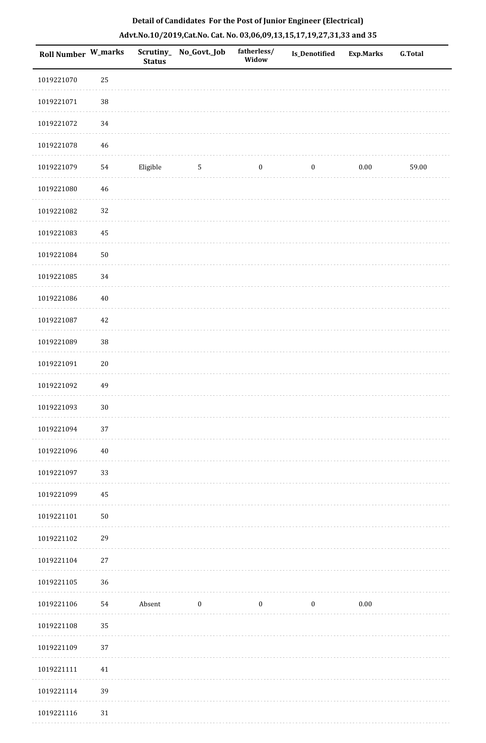| Roll Number W_marks |             | <b>Status</b> | Scrutiny_ No_Govt._Job | fatherless/<br>Widow | <b>Is_Denotified</b> | Exp.Marks | <b>G.Total</b> |
|---------------------|-------------|---------------|------------------------|----------------------|----------------------|-----------|----------------|
| 1019221070          | 25          |               |                        |                      |                      |           |                |
| 1019221071          | $38\,$      |               |                        |                      |                      |           |                |
| 1019221072          | 34          |               |                        |                      |                      |           |                |
| 1019221078          | $\sqrt{46}$ |               |                        |                      |                      |           |                |
| 1019221079          | 54          | Eligible      | 5                      | $\boldsymbol{0}$     | $\boldsymbol{0}$     | 0.00      | 59.00          |
| 1019221080          | $\sqrt{46}$ |               |                        |                      |                      |           |                |
| 1019221082          | 32          |               |                        |                      |                      |           |                |
| 1019221083          | 45          |               |                        |                      |                      |           |                |
| 1019221084          | $50\,$      |               |                        |                      |                      |           |                |
| 1019221085          | 34          |               |                        |                      |                      |           |                |
| 1019221086          | $40\,$      |               |                        |                      |                      |           |                |
| 1019221087          | $42\,$      |               |                        |                      |                      |           |                |
| 1019221089          | 38          |               |                        |                      |                      |           |                |
| 1019221091          | $20\,$      |               |                        |                      |                      |           |                |
| 1019221092          | 49          |               |                        |                      |                      |           |                |
| 1019221093          | $30\,$      |               |                        |                      |                      |           |                |
| 1019221094          | 37          |               |                        |                      |                      |           |                |
| 1019221096          | $40\,$      |               |                        |                      |                      |           |                |
| 1019221097          | 33          |               |                        |                      |                      |           |                |
| 1019221099          | 45          |               |                        |                      |                      |           |                |
| 1019221101          | $50\,$      |               |                        |                      |                      |           |                |
| 1019221102          | 29          |               |                        |                      |                      |           |                |
| 1019221104          | $27\,$      |               |                        |                      |                      |           |                |
| 1019221105          | 36          |               |                        |                      |                      |           |                |
| 1019221106          | 54          | Absent        | $\boldsymbol{0}$       | $\boldsymbol{0}$     | $\boldsymbol{0}$     | $0.00\,$  |                |
| 1019221108          | 35          |               |                        |                      |                      |           |                |
| 1019221109          | 37          |               |                        |                      |                      |           |                |
| 1019221111          | 41          |               |                        |                      |                      |           |                |
| 1019221114          | 39          |               |                        |                      |                      |           |                |
| 1019221116          | $31\,$      |               |                        |                      |                      |           |                |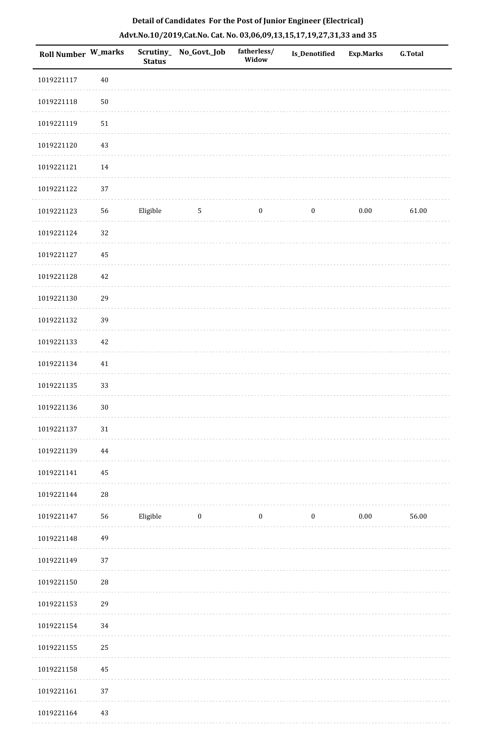| <b>Roll Number W_marks</b> |             | <b>Status</b> | Scrutiny_ No_Govt._Job | fatherless/<br>Widow | Is_Denotified    | <b>Exp.Marks</b> | <b>G.Total</b> |
|----------------------------|-------------|---------------|------------------------|----------------------|------------------|------------------|----------------|
| 1019221117                 | $40\,$      |               |                        |                      |                  |                  |                |
| 1019221118                 | $50\,$      |               |                        |                      |                  |                  |                |
| 1019221119                 | $51\,$      |               |                        |                      |                  |                  |                |
| 1019221120                 | 43          |               |                        |                      |                  |                  |                |
| 1019221121                 | 14          |               |                        |                      |                  |                  |                |
| 1019221122                 | 37          |               |                        |                      |                  |                  |                |
| 1019221123                 | 56          | Eligible      | 5                      | $\boldsymbol{0}$     | $\boldsymbol{0}$ | $0.00\,$         | 61.00          |
| 1019221124                 | 32          |               |                        |                      |                  |                  |                |
| 1019221127                 | 45          |               |                        |                      |                  |                  |                |
| 1019221128                 | $42\,$      |               |                        |                      |                  |                  |                |
| 1019221130                 | 29          |               |                        |                      |                  |                  |                |
| 1019221132                 | 39          |               |                        |                      |                  |                  |                |
| 1019221133                 | 42          |               |                        |                      |                  |                  |                |
| 1019221134                 | 41          |               |                        |                      |                  |                  |                |
| 1019221135                 | 33          |               |                        |                      |                  |                  |                |
| 1019221136                 | $30\,$      |               |                        |                      |                  |                  |                |
| 1019221137                 | 31          |               |                        |                      |                  |                  |                |
| 1019221139                 | 44          |               |                        |                      |                  |                  |                |
| 1019221141                 | 45          |               |                        |                      |                  |                  |                |
| 1019221144                 | ${\bf 28}$  |               |                        |                      |                  |                  |                |
| 1019221147                 | 56          | Eligible      | $\boldsymbol{0}$       | $\boldsymbol{0}$     | $\boldsymbol{0}$ | $0.00\,$         | 56.00          |
| 1019221148                 | 49          |               |                        |                      |                  |                  |                |
| 1019221149                 | 37          |               |                        |                      |                  |                  |                |
| 1019221150                 | $\sqrt{28}$ |               |                        |                      |                  |                  |                |
| 1019221153                 | 29          |               |                        |                      |                  |                  |                |
| 1019221154                 | 34          |               |                        |                      |                  |                  |                |
| 1019221155                 | 25          |               |                        |                      |                  |                  |                |
| 1019221158                 | 45          |               |                        |                      |                  |                  |                |
| 1019221161                 | 37          |               |                        |                      |                  |                  |                |
| 1019221164                 | 43          |               |                        |                      |                  |                  |                |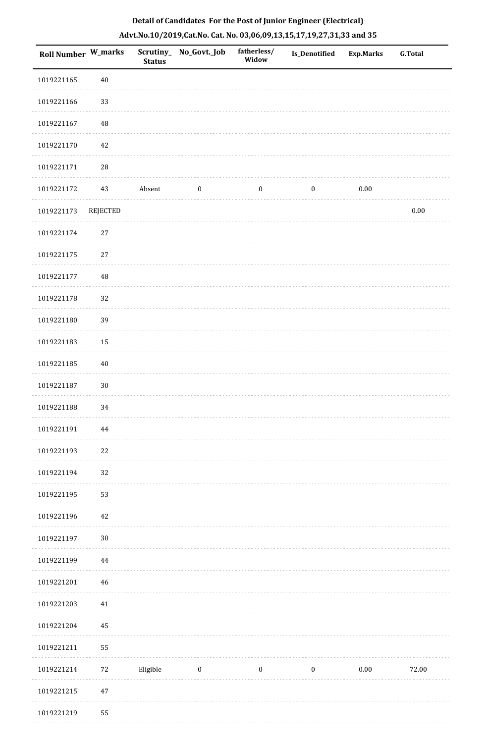| Roll Number W_marks |             | <b>Status</b> | Scrutiny_No_Govt._Job | fatherless/<br>Widow | Is_Denotified    | <b>Exp.Marks</b> | G.Total  |
|---------------------|-------------|---------------|-----------------------|----------------------|------------------|------------------|----------|
| 1019221165          | $40\,$      |               |                       |                      |                  |                  |          |
| 1019221166          | 33          |               |                       |                      |                  |                  |          |
| 1019221167          | 48          |               |                       |                      |                  |                  |          |
| 1019221170          | $42\,$      |               |                       |                      |                  |                  |          |
| 1019221171          | ${\bf 28}$  |               |                       |                      |                  |                  |          |
| 1019221172          | 43          | Absent        | $\boldsymbol{0}$      | $\boldsymbol{0}$     | $\boldsymbol{0}$ | $0.00\,$         |          |
| 1019221173          | REJECTED    |               |                       |                      |                  |                  | $0.00\,$ |
| 1019221174          | $27\,$      |               |                       |                      |                  |                  |          |
| 1019221175          | $27\,$      |               |                       |                      |                  |                  |          |
| 1019221177          | $\rm 48$    |               |                       |                      |                  |                  |          |
| 1019221178          | 32          |               |                       |                      |                  |                  |          |
| 1019221180          | 39          |               |                       |                      |                  |                  |          |
| 1019221183          | 15          |               |                       |                      |                  |                  |          |
| 1019221185          | $40\,$      |               |                       |                      |                  |                  |          |
| 1019221187          | $30\,$      |               |                       |                      |                  |                  |          |
| 1019221188          | 34          |               |                       |                      |                  |                  |          |
| 1019221191          | 44          |               |                       |                      |                  |                  |          |
| 1019221193          | 22          |               |                       |                      |                  |                  |          |
| 1019221194          | 32          |               |                       |                      |                  |                  |          |
| 1019221195          | 53          |               |                       |                      |                  |                  |          |
| 1019221196          | 42          |               |                       |                      |                  |                  |          |
| 1019221197          | $30\,$      |               |                       |                      |                  |                  |          |
| 1019221199          | 44          |               |                       |                      |                  |                  |          |
| 1019221201          | $\sqrt{46}$ |               |                       |                      |                  |                  |          |
| 1019221203          | $41\,$      |               |                       |                      |                  |                  |          |
| 1019221204          | 45          |               |                       |                      |                  |                  |          |
| 1019221211          | 55          |               |                       |                      |                  |                  |          |
| 1019221214          | $72\,$      | Eligible      | $\bf{0}$              | $\boldsymbol{0}$     | $\boldsymbol{0}$ | $0.00\,$         | 72.00    |
| 1019221215          | $47\,$      |               |                       |                      |                  |                  |          |
| 1019221219          | 55          |               |                       |                      |                  |                  |          |

. . . . . . . . . . .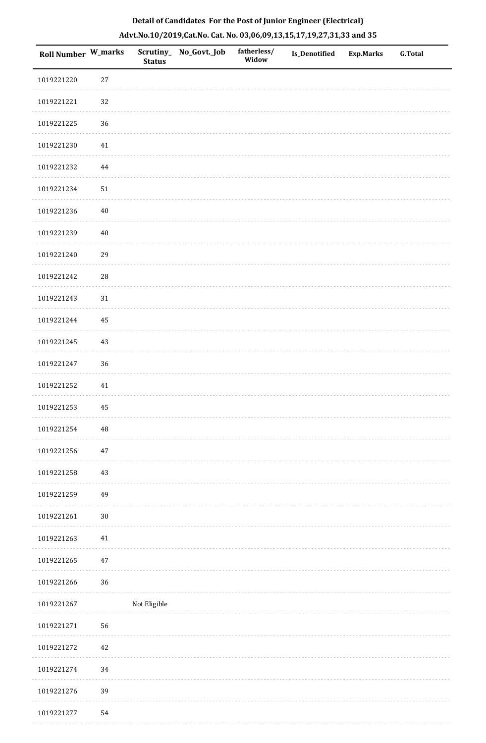| Roll Number W_marks |            | <b>Status</b> | Scrutiny_No_Govt._Job | fatherless/<br>Widow | Is_Denotified | <b>Exp.Marks</b> | G.Total |
|---------------------|------------|---------------|-----------------------|----------------------|---------------|------------------|---------|
| 1019221220          | 27         |               |                       |                      |               |                  |         |
| 1019221221          | 32         |               |                       |                      |               |                  |         |
| 1019221225          | 36         |               |                       |                      |               |                  |         |
| 1019221230          | $41\,$     |               |                       |                      |               |                  |         |
| 1019221232          | 44         |               |                       |                      |               |                  |         |
| 1019221234          | $51\,$     |               |                       |                      |               |                  |         |
| 1019221236          | $40\,$     |               |                       |                      |               |                  |         |
| 1019221239          | $40\,$     |               |                       |                      |               |                  |         |
| 1019221240          | 29         |               |                       |                      |               |                  |         |
| 1019221242          | ${\bf 28}$ |               |                       |                      |               |                  |         |
| 1019221243          | 31         |               |                       |                      |               |                  |         |
| 1019221244          | 45         |               |                       |                      |               |                  |         |
| 1019221245          | $43\,$     |               |                       |                      |               |                  |         |
| 1019221247          | 36         |               |                       |                      |               |                  |         |
| 1019221252          | 41         |               |                       |                      |               |                  |         |
| 1019221253          | 45         |               |                       |                      |               |                  |         |
| 1019221254          | $\rm 48$   |               |                       |                      |               |                  |         |
| 1019221256          | 47         |               |                       |                      |               |                  |         |
| 1019221258          | 43         |               |                       |                      |               |                  |         |
| 1019221259          | 49         |               |                       |                      |               |                  |         |
| 1019221261          | $30\,$     |               |                       |                      |               |                  |         |
| 1019221263          | 41         |               |                       |                      |               |                  |         |
| 1019221265          | 47         |               |                       |                      |               |                  |         |
| 1019221266          | 36         |               |                       |                      |               |                  |         |
| 1019221267          |            | Not Eligible  |                       |                      |               |                  |         |
| 1019221271          | 56         |               |                       |                      |               |                  |         |
| 1019221272          | 42         |               |                       |                      |               |                  |         |
| 1019221274          | 34         |               |                       |                      |               |                  |         |
| 1019221276          | 39         |               |                       |                      |               |                  |         |
| 1019221277          | 54         |               |                       |                      |               |                  |         |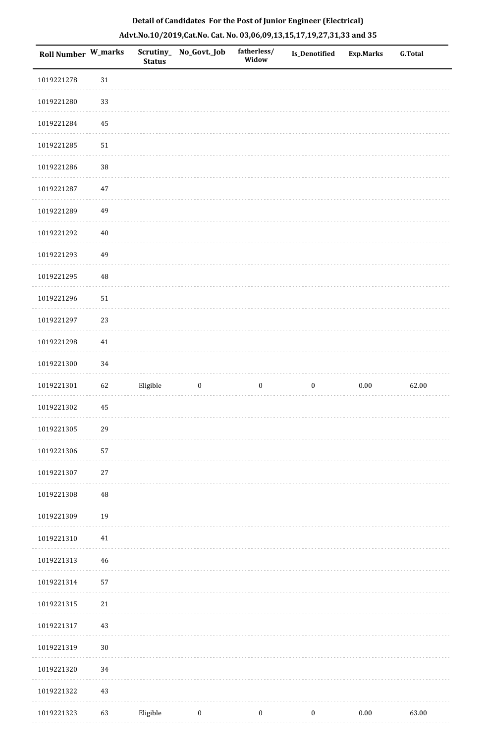| Roll Number W_marks |          | <b>Status</b> | Scrutiny_No_Govt._Job | fatherless/<br>Widow | Is_Denotified    | <b>Exp.Marks</b> | <b>G.Total</b> |
|---------------------|----------|---------------|-----------------------|----------------------|------------------|------------------|----------------|
| 1019221278          | 31       |               |                       |                      |                  |                  |                |
| 1019221280          | 33       |               |                       |                      |                  |                  |                |
| 1019221284          | 45       |               |                       |                      |                  |                  |                |
| 1019221285          | 51       |               |                       |                      |                  |                  |                |
| 1019221286          | $38\,$   |               |                       |                      |                  |                  |                |
| 1019221287          | 47       |               |                       |                      |                  |                  |                |
| 1019221289          | 49       |               |                       |                      |                  |                  |                |
| 1019221292          | $40\,$   |               |                       |                      |                  |                  |                |
| 1019221293          | 49       |               |                       |                      |                  |                  |                |
| 1019221295          | $\rm 48$ |               |                       |                      |                  |                  |                |
| 1019221296          | 51       |               |                       |                      |                  |                  |                |
| 1019221297          | 23       |               |                       |                      |                  |                  |                |
| 1019221298          | $41\,$   |               |                       |                      |                  |                  |                |
| 1019221300          | 34       |               |                       |                      |                  |                  |                |
| 1019221301          | 62       | Eligible      | $\boldsymbol{0}$      | $\boldsymbol{0}$     | $\boldsymbol{0}$ | $0.00\,$         | 62.00          |
| 1019221302          | 45       |               |                       |                      |                  |                  |                |
| 1019221305          | 29       |               |                       |                      |                  |                  |                |
| 1019221306          | 57       |               |                       |                      |                  |                  |                |
| 1019221307          | $27\,$   |               |                       |                      |                  |                  |                |
| 1019221308          | 48       |               |                       |                      |                  |                  |                |
| 1019221309          | 19       |               |                       |                      |                  |                  |                |
| 1019221310          | $41\,$   |               |                       |                      |                  |                  |                |
| 1019221313          | 46       |               |                       |                      |                  |                  |                |
| 1019221314          | 57       |               |                       |                      |                  |                  |                |
| 1019221315          | $21\,$   |               |                       |                      |                  |                  |                |
| 1019221317          | 43       |               |                       |                      |                  |                  |                |
| 1019221319          | 30       |               |                       |                      |                  |                  |                |
| 1019221320          | 34       |               |                       |                      |                  |                  |                |
| 1019221322          | 43       |               |                       |                      |                  |                  |                |
| 1019221323          | 63       | Eligible      | $\bf{0}$              | $\boldsymbol{0}$     | $\boldsymbol{0}$ | $0.00\,$         | 63.00          |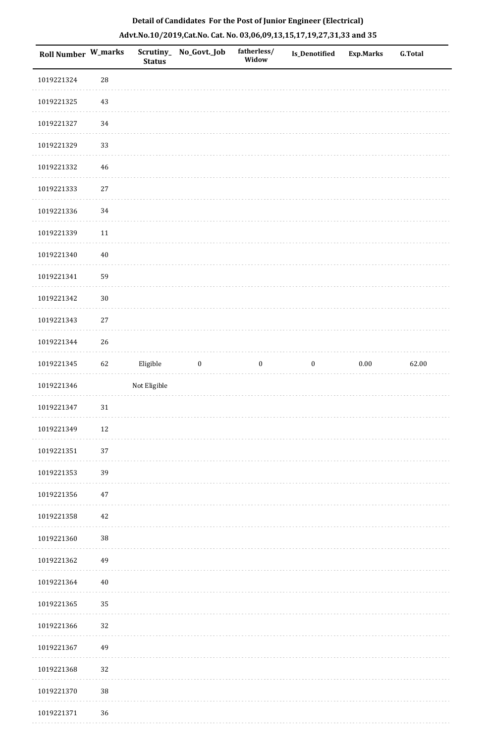| Roll Number W_marks |             | <b>Status</b> | Scrutiny_ No_Govt._Job | fatherless/<br>Widow | <b>Is_Denotified</b> | <b>Exp.Marks</b> | <b>G.Total</b> |
|---------------------|-------------|---------------|------------------------|----------------------|----------------------|------------------|----------------|
| 1019221324          | $28\,$      |               |                        |                      |                      |                  |                |
| 1019221325          | 43          |               |                        |                      |                      |                  |                |
| 1019221327          | 34          |               |                        |                      |                      |                  |                |
| 1019221329          | 33          |               |                        |                      |                      |                  |                |
| 1019221332          | $\sqrt{46}$ |               |                        |                      |                      |                  |                |
| 1019221333          | 27          |               |                        |                      |                      |                  |                |
| 1019221336          | $34\,$      |               |                        |                      |                      |                  |                |
| 1019221339          | $11\,$      |               |                        |                      |                      |                  |                |
| 1019221340          | $40\,$      |               |                        |                      |                      |                  |                |
| 1019221341          | 59          |               |                        |                      |                      |                  |                |
| 1019221342          | $30\,$      |               |                        |                      |                      |                  |                |
| 1019221343          | $27\,$      |               |                        |                      |                      |                  |                |
| 1019221344          | 26          |               |                        |                      |                      |                  |                |
| 1019221345          | 62          | Eligible      | $\boldsymbol{0}$       | $\boldsymbol{0}$     | $\boldsymbol{0}$     | $0.00\,$         | 62.00          |
| 1019221346          |             | Not Eligible  |                        |                      |                      |                  |                |
| 1019221347          | $31\,$      |               |                        |                      |                      |                  |                |
| 1019221349          | 12          |               |                        |                      |                      |                  |                |
| 1019221351          | 37          |               |                        |                      |                      |                  |                |
| 1019221353          | 39          |               |                        |                      |                      |                  |                |
| 1019221356          | 47          |               |                        |                      |                      |                  |                |
| 1019221358          | 42          |               |                        |                      |                      |                  |                |
| 1019221360          | $38\,$      |               |                        |                      |                      |                  |                |
| 1019221362          | 49          |               |                        |                      |                      |                  |                |
| 1019221364          | 40          |               |                        |                      |                      |                  |                |
| 1019221365          | 35          |               |                        |                      |                      |                  |                |
| 1019221366          | 32          |               |                        |                      |                      |                  |                |
| 1019221367          | 49          |               |                        |                      |                      |                  |                |
| 1019221368          | 32          |               |                        |                      |                      |                  |                |
| 1019221370          | 38          |               |                        |                      |                      |                  |                |
| 1019221371          | 36          |               |                        |                      |                      |                  |                |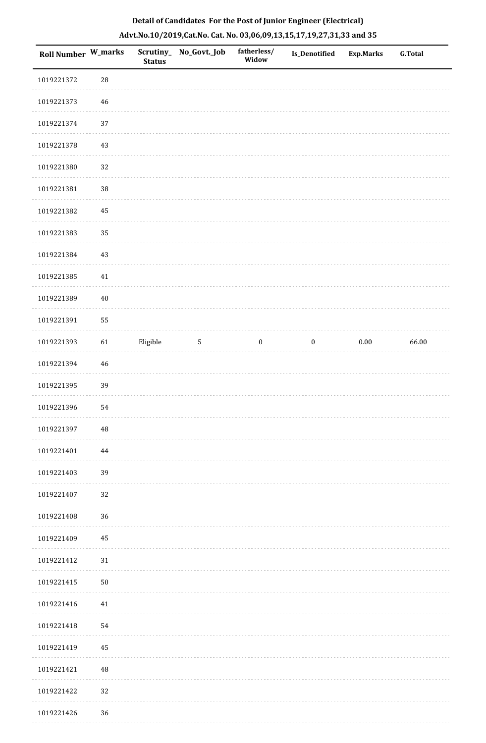| <b>Roll Number W_marks</b> |             | <b>Status</b> | Scrutiny_No_Govt._Job | fatherless/<br>Widow | Is_Denotified    | <b>Exp.Marks</b> | <b>G.Total</b> |
|----------------------------|-------------|---------------|-----------------------|----------------------|------------------|------------------|----------------|
| 1019221372                 | $\sqrt{28}$ |               |                       |                      |                  |                  |                |
| 1019221373                 | 46          |               |                       |                      |                  |                  |                |
| 1019221374                 | 37          |               |                       |                      |                  |                  |                |
| 1019221378                 | 43          |               |                       |                      |                  |                  |                |
| 1019221380                 | 32          |               |                       |                      |                  |                  |                |
| 1019221381                 | $38\,$      |               |                       |                      |                  |                  |                |
| 1019221382                 | 45          |               |                       |                      |                  |                  |                |
| 1019221383                 | 35          |               |                       |                      |                  |                  |                |
| 1019221384                 | 43          |               |                       |                      |                  |                  |                |
| 1019221385                 | $41\,$      |               |                       |                      |                  |                  |                |
| 1019221389                 | $40\,$      |               |                       |                      |                  |                  |                |
| 1019221391                 | 55          |               |                       |                      |                  |                  |                |
| 1019221393                 | 61          | Eligible      | $5\,$                 | $\boldsymbol{0}$     | $\boldsymbol{0}$ | $0.00\,$         | 66.00          |
| 1019221394                 | 46          |               |                       |                      |                  |                  |                |
| 1019221395                 | 39          |               |                       |                      |                  |                  |                |
| 1019221396                 | 54          |               |                       |                      |                  |                  |                |
| 1019221397                 | 48          |               |                       |                      |                  |                  |                |
| 1019221401                 | 44          |               |                       |                      |                  |                  |                |
| 1019221403                 | 39          |               |                       |                      |                  |                  |                |
| 1019221407                 | 32          |               |                       |                      |                  |                  |                |
| 1019221408                 | 36          |               |                       |                      |                  |                  |                |
| 1019221409                 | 45          |               |                       |                      |                  |                  |                |
| 1019221412                 | 31          |               |                       |                      |                  |                  |                |
| 1019221415                 | $50\,$      |               |                       |                      |                  |                  |                |
| 1019221416                 | $41\,$      |               |                       |                      |                  |                  |                |
| 1019221418                 | 54          |               |                       |                      |                  |                  |                |
| 1019221419                 | 45          |               |                       |                      |                  |                  |                |
| 1019221421                 | 48          |               |                       |                      |                  |                  |                |
| 1019221422                 | 32          |               |                       |                      |                  |                  |                |
| 1019221426                 | 36          |               |                       |                      |                  |                  |                |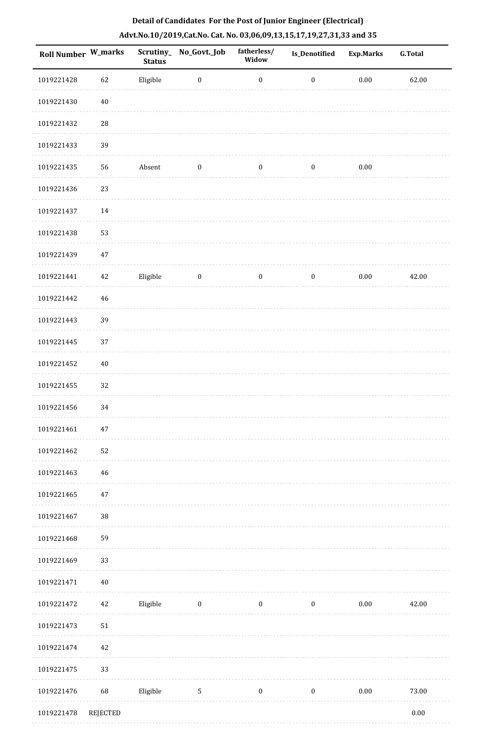| <b>Roll Number W_marks</b> |             | <b>Status</b> | Scrutiny_No_Govt._Job | fatherless/<br>Widow | Is_Denotified    | <b>Exp.Marks</b> | <b>G.Total</b> |
|----------------------------|-------------|---------------|-----------------------|----------------------|------------------|------------------|----------------|
| 1019221428                 | 62          | Eligible      | $\boldsymbol{0}$      | $\boldsymbol{0}$     | $\boldsymbol{0}$ | $0.00\,$         | 62.00          |
| 1019221430                 | $40\,$      |               |                       |                      |                  |                  |                |
| 1019221432                 | ${\bf 28}$  |               |                       |                      |                  |                  |                |
| 1019221433                 | 39          |               |                       |                      |                  |                  |                |
| 1019221435                 | 56          | Absent        | $\boldsymbol{0}$      | $\bf{0}$             | $\boldsymbol{0}$ | 0.00             |                |
| 1019221436                 | 23          |               |                       |                      |                  |                  |                |
| 1019221437                 | $14\,$      |               |                       |                      |                  |                  |                |
| 1019221438                 | 53          |               |                       |                      |                  |                  |                |
| 1019221439                 | 47          |               |                       |                      |                  |                  |                |
| 1019221441                 | 42          | Eligible      | $\boldsymbol{0}$      | $\boldsymbol{0}$     | $\boldsymbol{0}$ | $0.00\,$         | 42.00          |
| 1019221442                 | 46          |               |                       |                      |                  |                  |                |
| 1019221443                 | 39          |               |                       |                      |                  |                  |                |
| 1019221445                 | 37          |               |                       |                      |                  |                  |                |
| 1019221452                 | $40\,$      |               |                       |                      |                  |                  |                |
| 1019221455                 | 32          |               |                       |                      |                  |                  |                |
| 1019221456                 | 34          |               |                       |                      |                  |                  |                |
| 1019221461                 | $47\,$      |               |                       |                      |                  |                  |                |
| 1019221462                 | 52          |               |                       |                      |                  |                  |                |
| 1019221463                 | $\sqrt{46}$ |               |                       |                      |                  |                  |                |
| 1019221465                 | $47\,$      |               |                       |                      |                  |                  |                |
| 1019221467                 | $38\,$      |               |                       |                      |                  |                  |                |
| 1019221468                 | 59          |               |                       |                      |                  |                  |                |
| 1019221469                 | 33          |               |                       |                      |                  |                  |                |
| 1019221471                 | 40          |               |                       |                      |                  |                  |                |
| 1019221472                 | $42\,$      | Eligible      | $\boldsymbol{0}$      | $\boldsymbol{0}$     | $\boldsymbol{0}$ | $0.00\,$         | 42.00          |
| 1019221473                 | 51          |               |                       |                      |                  |                  |                |
| 1019221474                 | 42          |               |                       |                      |                  |                  |                |
| 1019221475                 | 33          |               |                       |                      |                  |                  |                |
| 1019221476                 | 68          | Eligible      | $\sqrt{5}$            | $\boldsymbol{0}$     | $\bf{0}$         | $0.00\,$         | 73.00          |
| 1019221478                 | REJECTED    |               |                       |                      |                  |                  | $0.00\,$       |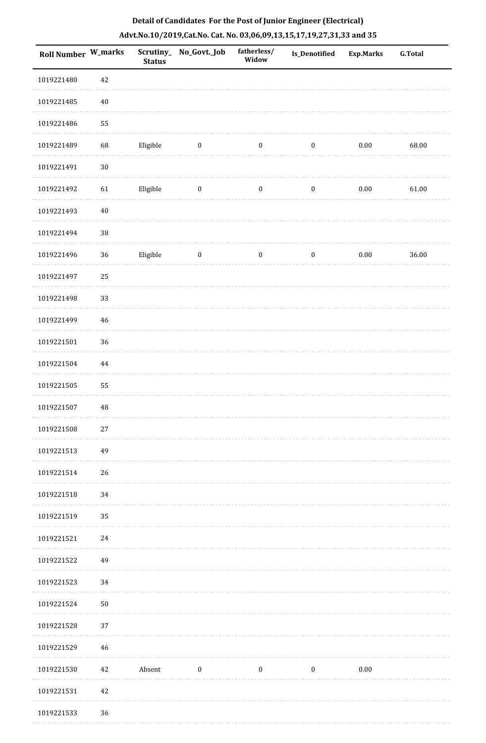| <b>Roll Number W_marks</b> |        | <b>Status</b> | Scrutiny_No_Govt._Job | fatherless/<br>Widow | Is_Denotified    | <b>Exp.Marks</b> | <b>G.Total</b> |
|----------------------------|--------|---------------|-----------------------|----------------------|------------------|------------------|----------------|
| 1019221480                 | 42     |               |                       |                      |                  |                  |                |
| 1019221485                 | $40\,$ |               |                       |                      |                  |                  |                |
| 1019221486                 | 55     |               |                       |                      |                  |                  |                |
| 1019221489                 | 68     | Eligible      | $\boldsymbol{0}$      | $\boldsymbol{0}$     | $\boldsymbol{0}$ | $0.00\,$         | 68.00          |
| 1019221491                 | $30\,$ |               |                       |                      |                  |                  |                |
| 1019221492                 | 61     | Eligible      | $\boldsymbol{0}$      | $\boldsymbol{0}$     | $\boldsymbol{0}$ | $0.00\,$         | 61.00          |
| 1019221493                 | $40\,$ |               |                       |                      |                  |                  |                |
| 1019221494                 | $38\,$ |               |                       |                      |                  |                  |                |
| 1019221496                 | 36     | Eligible      | $\boldsymbol{0}$      | $\bf{0}$             | $\boldsymbol{0}$ | $0.00\,$         | 36.00          |
| 1019221497                 | 25     |               |                       |                      |                  |                  |                |
| 1019221498                 | 33     |               |                       |                      |                  |                  |                |
| 1019221499                 | 46     |               |                       |                      |                  |                  |                |
| 1019221501                 | 36     |               |                       |                      |                  |                  |                |
| 1019221504                 | 44     |               |                       |                      |                  |                  |                |
| 1019221505                 | 55     |               |                       |                      |                  |                  |                |
| 1019221507                 | 48     |               |                       |                      |                  |                  |                |
| 1019221508                 | 27     |               |                       |                      |                  |                  |                |
| 1019221513                 | 49     |               |                       |                      |                  |                  |                |
| 1019221514                 | 26     |               |                       |                      |                  |                  |                |
| 1019221518                 | 34     |               |                       |                      |                  |                  |                |
| 1019221519                 | 35     |               |                       |                      |                  |                  |                |
| 1019221521                 | 24     |               |                       |                      |                  |                  |                |
| 1019221522                 | 49     |               |                       |                      |                  |                  |                |
| 1019221523                 | 34     |               |                       |                      |                  |                  |                |
| 1019221524                 | 50     |               |                       |                      |                  |                  |                |
| 1019221528                 | 37     |               |                       |                      |                  |                  |                |
| 1019221529                 | 46     |               |                       |                      |                  |                  |                |
| 1019221530                 | 42     | Absent        | $\boldsymbol{0}$      | $\boldsymbol{0}$     | $\boldsymbol{0}$ | $0.00\,$         |                |
| 1019221531                 | 42     |               |                       |                      |                  |                  |                |
| 1019221533                 | 36     |               |                       |                      |                  |                  |                |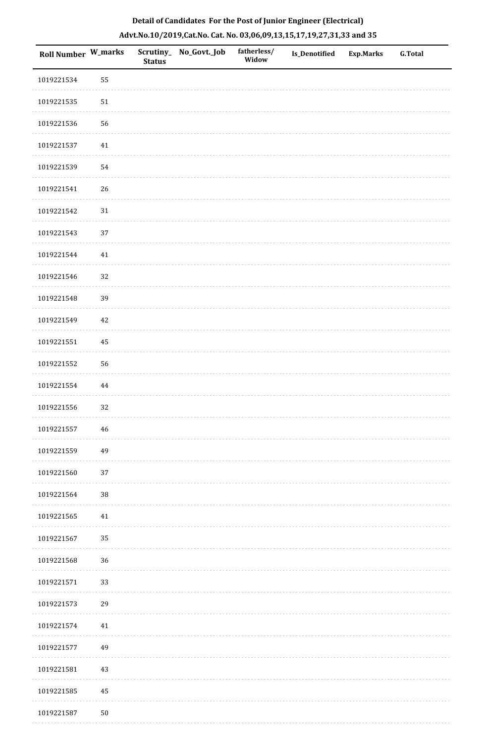| Roll Number W_marks |                      | <b>Status</b> | Scrutiny_No_Govt._Job | fatherless/<br>Widow | Is_Denotified | <b>Exp.Marks</b> | <b>G.Total</b> |
|---------------------|----------------------|---------------|-----------------------|----------------------|---------------|------------------|----------------|
| 1019221534          | 55                   |               |                       |                      |               |                  |                |
| 1019221535          | $51\,$               |               |                       |                      |               |                  |                |
| 1019221536          | 56                   |               |                       |                      |               |                  |                |
| 1019221537          | 41                   |               |                       |                      |               |                  |                |
| 1019221539          | 54                   |               |                       |                      |               |                  |                |
| 1019221541          | 26                   |               |                       |                      |               |                  |                |
| 1019221542          | $31\,$               |               |                       |                      |               |                  |                |
| 1019221543          | 37                   |               |                       |                      |               |                  |                |
| 1019221544          | $41\,$               |               |                       |                      |               |                  |                |
| 1019221546          | 32                   |               |                       |                      |               |                  |                |
| 1019221548          | 39                   |               |                       |                      |               |                  |                |
| 1019221549          | $42\,$               |               |                       |                      |               |                  |                |
| 1019221551          | 45                   |               |                       |                      |               |                  |                |
| 1019221552          | 56                   |               |                       |                      |               |                  |                |
| 1019221554          | 44                   |               |                       |                      |               |                  |                |
| 1019221556          | 32                   |               |                       |                      |               |                  |                |
| 1019221557          | 46                   |               |                       |                      |               |                  |                |
| 1019221559          | 49                   |               |                       |                      |               |                  |                |
| 1019221560          | 37                   |               |                       |                      |               |                  |                |
| 1019221564          | $38\,$               |               |                       |                      |               |                  |                |
| 1019221565          | 41                   |               |                       |                      |               |                  |                |
| 1019221567          | 35                   |               |                       |                      |               |                  |                |
| 1019221568          | 36                   |               |                       |                      |               |                  |                |
| 1019221571          | 33                   |               |                       |                      |               |                  |                |
| 1019221573          | 29                   |               |                       |                      |               |                  |                |
| 1019221574          | 41                   |               |                       |                      |               |                  |                |
| 1019221577          | 49                   |               |                       |                      |               |                  |                |
| 1019221581          | $43\,$               |               |                       |                      |               |                  |                |
| 1019221585          | $\rm 45$             |               |                       |                      |               |                  |                |
| 1010221507          | $\mathsf{r}\,\alpha$ |               |                       |                      |               |                  |                |

# **Detail of Candidates For the Post of Junior Engineer (Electrical) Advt.No.10/2019,Cat.No. Cat. No. 03,06,09,13,15,17,19,27,31,33 and 35**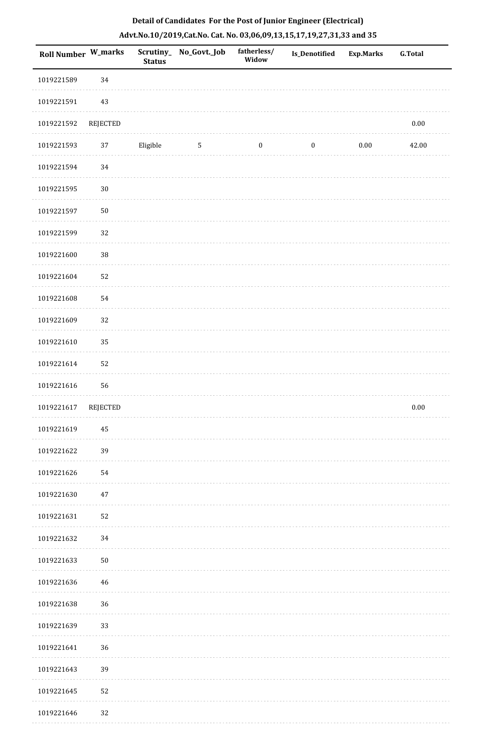| <b>Roll Number W_marks</b> |                 | <b>Status</b> | Scrutiny_No_Govt._Job | fatherless/<br>Widow | Is_Denotified    | <b>Exp.Marks</b> | <b>G.Total</b> |
|----------------------------|-----------------|---------------|-----------------------|----------------------|------------------|------------------|----------------|
| 1019221589                 | 34              |               |                       |                      |                  |                  |                |
| 1019221591                 | 43              |               |                       |                      |                  |                  |                |
| 1019221592                 | <b>REJECTED</b> |               |                       |                      |                  |                  | $0.00\,$       |
| 1019221593                 | 37              | Eligible      | $\sqrt{5}$            | $\boldsymbol{0}$     | $\boldsymbol{0}$ | $0.00\,$         | 42.00          |
| 1019221594                 | 34              |               |                       |                      |                  |                  |                |
| 1019221595                 | $30\,$          |               |                       |                      |                  |                  |                |
| 1019221597                 | $50\,$          |               |                       |                      |                  |                  |                |
| 1019221599                 | 32              |               |                       |                      |                  |                  |                |
| 1019221600                 | $38\,$          |               |                       |                      |                  |                  |                |
| 1019221604                 | 52              |               |                       |                      |                  |                  |                |
| 1019221608                 | 54              |               |                       |                      |                  |                  |                |
| 1019221609                 | 32              |               |                       |                      |                  |                  |                |
| 1019221610                 | 35              |               |                       |                      |                  |                  |                |
| 1019221614                 | 52              |               |                       |                      |                  |                  |                |
| 1019221616                 | 56              |               |                       |                      |                  |                  |                |
| 1019221617                 | <b>REJECTED</b> |               |                       |                      |                  |                  | $0.00\,$       |
| 1019221619                 | 45              |               |                       |                      |                  |                  |                |
| 1019221622                 | 39              |               |                       |                      |                  |                  |                |
| 1019221626                 | 54              |               |                       |                      |                  |                  |                |
| 1019221630                 | 47              |               |                       |                      |                  |                  |                |
| 1019221631                 | 52              |               |                       |                      |                  |                  |                |
| 1019221632                 | 34              |               |                       |                      |                  |                  |                |
| 1019221633                 | ${\bf 50}$      |               |                       |                      |                  |                  |                |
| 1019221636                 | 46              |               |                       |                      |                  |                  |                |
| 1019221638                 | 36              |               |                       |                      |                  |                  |                |
| 1019221639                 | 33              |               |                       |                      |                  |                  |                |
| 1019221641                 | 36              |               |                       |                      |                  |                  |                |
| 1019221643                 | 39              |               |                       |                      |                  |                  |                |
| 1019221645                 | 52              |               |                       |                      |                  |                  |                |
| 1019221646                 | 32              |               |                       |                      |                  |                  |                |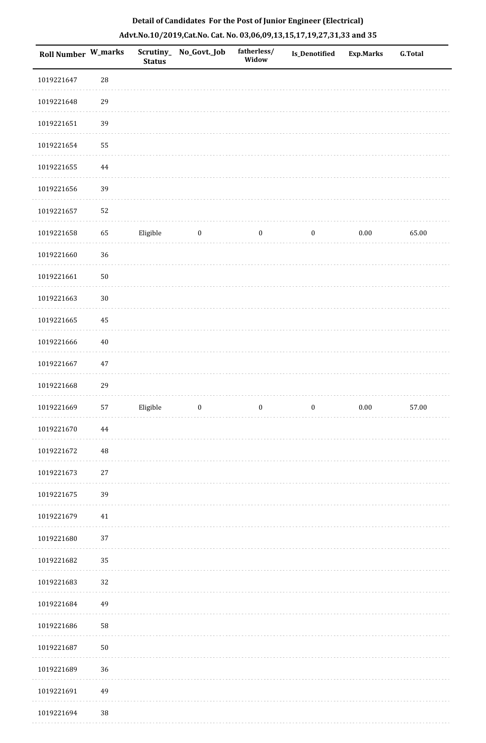| <b>Roll Number W_marks</b> |            | <b>Status</b> | Scrutiny_ No_Govt._Job | fatherless/<br>Widow | Is_Denotified    | <b>Exp.Marks</b> | G.Total |
|----------------------------|------------|---------------|------------------------|----------------------|------------------|------------------|---------|
| 1019221647                 | ${\bf 28}$ |               |                        |                      |                  |                  |         |
| 1019221648                 | 29         |               |                        |                      |                  |                  |         |
| 1019221651                 | 39         |               |                        |                      |                  |                  |         |
| 1019221654                 | 55         |               |                        |                      |                  |                  |         |
| 1019221655                 | 44         |               |                        |                      |                  |                  |         |
| 1019221656                 | 39         |               |                        |                      |                  |                  |         |
| 1019221657                 | 52         |               |                        |                      |                  |                  |         |
| 1019221658                 | 65         | Eligible      | $\bf{0}$               | $\boldsymbol{0}$     | $\boldsymbol{0}$ | $0.00\,$         | 65.00   |
| 1019221660                 | 36         |               |                        |                      |                  |                  |         |
| 1019221661                 | $50\,$     |               |                        |                      |                  |                  |         |
| 1019221663                 | $30\,$     |               |                        |                      |                  |                  |         |
| 1019221665                 | 45         |               |                        |                      |                  |                  |         |
| 1019221666                 | $40\,$     |               |                        |                      |                  |                  |         |
| 1019221667                 | $47\,$     |               |                        |                      |                  |                  |         |
| 1019221668                 | 29         |               |                        |                      |                  |                  |         |
| 1019221669                 | 57         | Eligible      | $\boldsymbol{0}$       | $\boldsymbol{0}$     | $\boldsymbol{0}$ | $0.00\,$         | 57.00   |
| 1019221670                 | $\bf 44$   |               |                        |                      |                  |                  |         |
| 1019221672                 | 48         |               |                        |                      |                  |                  |         |
| 1019221673                 | $27\,$     |               |                        |                      |                  |                  |         |
| 1019221675                 | 39         |               |                        |                      |                  |                  |         |
| 1019221679                 | $41\,$     |               |                        |                      |                  |                  |         |
| 1019221680                 | 37         |               |                        |                      |                  |                  |         |
| 1019221682                 | 35         |               |                        |                      |                  |                  |         |
| 1019221683                 | 32         |               |                        |                      |                  |                  |         |
| 1019221684                 | 49         |               |                        |                      |                  |                  |         |
| 1019221686                 | 58         |               |                        |                      |                  |                  |         |
| 1019221687                 | $50\,$     |               |                        |                      |                  |                  |         |
| 1019221689                 | 36         |               |                        |                      |                  |                  |         |
| 1019221691                 | 49         |               |                        |                      |                  |                  |         |
| 1019221694                 | $38\,$     |               |                        |                      |                  |                  |         |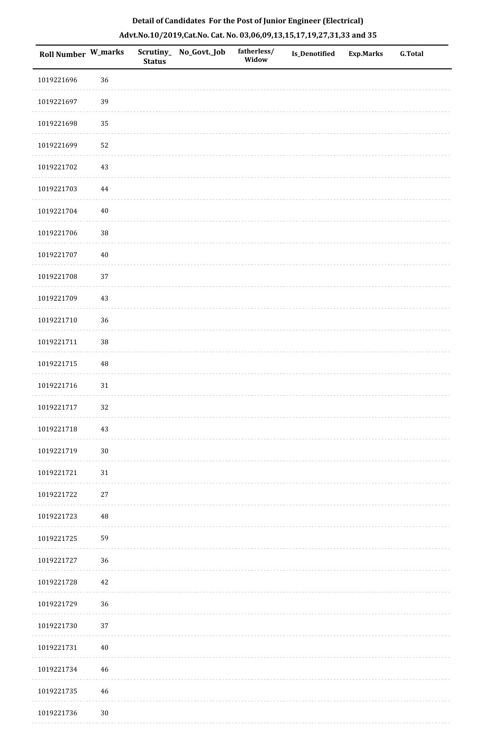| Roll Number W_marks |          | <b>Status</b> | Scrutiny_ No_Govt._Job | fatherless/<br>Widow | <b>Is_Denotified</b> | Exp.Marks | <b>G.Total</b> |
|---------------------|----------|---------------|------------------------|----------------------|----------------------|-----------|----------------|
| 1019221696          | 36       |               |                        |                      |                      |           |                |
| 1019221697          | 39       |               |                        |                      |                      |           |                |
| 1019221698          | 35       |               |                        |                      |                      |           |                |
| 1019221699          | 52       |               |                        |                      |                      |           |                |
| 1019221702          | $43\,$   |               |                        |                      |                      |           |                |
| 1019221703          | $\bf 44$ |               |                        |                      |                      |           |                |
| 1019221704          | $40\,$   |               |                        |                      |                      |           |                |
| 1019221706          | $38\,$   |               |                        |                      |                      |           |                |
| 1019221707          | $40\,$   |               |                        |                      |                      |           |                |
| 1019221708          | 37       |               |                        |                      |                      |           |                |
| 1019221709          | $43\,$   |               |                        |                      |                      |           |                |
| 1019221710          | 36       |               |                        |                      |                      |           |                |
| 1019221711          | 38       |               |                        |                      |                      |           |                |
| 1019221715          | $\rm 48$ |               |                        |                      |                      |           |                |
| 1019221716          | $31\,$   |               |                        |                      |                      |           |                |
| 1019221717          | 32       |               |                        |                      |                      |           |                |
| 1019221718          | $43\,$   |               |                        |                      |                      |           |                |
| 1019221719          | $30\,$   |               |                        |                      |                      |           |                |
| 1019221721          | $31\,$   |               |                        |                      |                      |           |                |
| 1019221722          | 27       |               |                        |                      |                      |           |                |
| 1019221723          | $\rm 48$ |               |                        |                      |                      |           |                |
| 1019221725          | 59       |               |                        |                      |                      |           |                |
| 1019221727          | 36       |               |                        |                      |                      |           |                |
| 1019221728          | 42       |               |                        |                      |                      |           |                |
| 1019221729          | 36       |               |                        |                      |                      |           |                |
| 1019221730          | $37\,$   |               |                        |                      |                      |           |                |
| 1019221731          | 40       |               |                        |                      |                      |           |                |
| 1019221734          | 46       |               |                        |                      |                      |           |                |
| 1019221735          | 46       |               |                        |                      |                      |           |                |
|                     |          |               |                        |                      |                      |           |                |

1019221736 30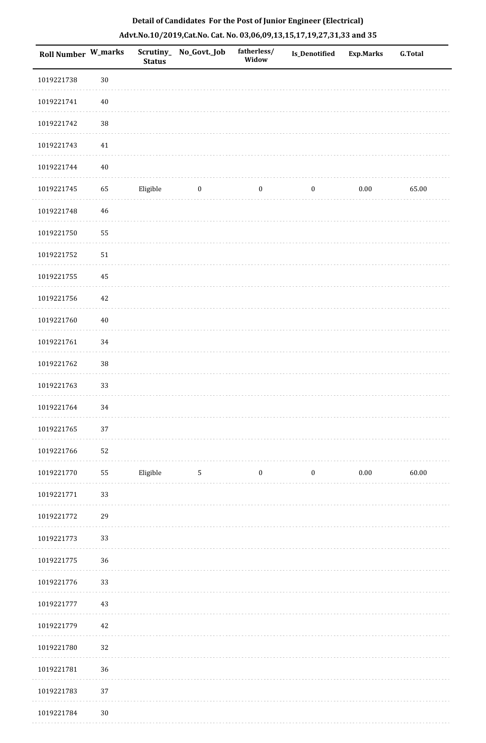| Roll Number W_marks |        | <b>Status</b> | Scrutiny_No_Govt._Job | fatherless/<br>Widow | Is_Denotified    | <b>Exp.Marks</b> | <b>G.Total</b> |
|---------------------|--------|---------------|-----------------------|----------------------|------------------|------------------|----------------|
| 1019221738          | $30\,$ |               |                       |                      |                  |                  |                |
| 1019221741          | $40\,$ |               |                       |                      |                  |                  |                |
| 1019221742          | $38\,$ |               |                       |                      |                  |                  |                |
| 1019221743          | $41\,$ |               |                       |                      |                  |                  |                |
| 1019221744          | $40\,$ |               |                       |                      |                  |                  |                |
| 1019221745          | 65     | Eligible      | $\boldsymbol{0}$      | $\boldsymbol{0}$     | $\boldsymbol{0}$ | $0.00\,$         | 65.00          |
| 1019221748          | 46     |               |                       |                      |                  |                  |                |
| 1019221750          | 55     |               |                       |                      |                  |                  |                |
| 1019221752          | 51     |               |                       |                      |                  |                  |                |
| 1019221755          | 45     |               |                       |                      |                  |                  |                |
| 1019221756          | 42     |               |                       |                      |                  |                  |                |
| 1019221760          | $40\,$ |               |                       |                      |                  |                  |                |
| 1019221761          | 34     |               |                       |                      |                  |                  |                |
| 1019221762          | $38\,$ |               |                       |                      |                  |                  |                |
| 1019221763          | 33     |               |                       |                      |                  |                  |                |
| 1019221764          | 34     |               |                       |                      |                  |                  |                |
| 1019221765          | 37     |               |                       |                      |                  |                  |                |
| 1019221766          | 52     |               |                       |                      |                  |                  |                |
| 1019221770          | 55     | Eligible      | 5                     | $\boldsymbol{0}$     | $\bf{0}$         | $0.00\,$         | 60.00          |
| 1019221771          | 33     |               |                       |                      |                  |                  |                |
| 1019221772          | 29     |               |                       |                      |                  |                  |                |
| 1019221773          | 33     |               |                       |                      |                  |                  |                |
| 1019221775          | 36     |               |                       |                      |                  |                  |                |
| 1019221776          | 33     |               |                       |                      |                  |                  |                |
| 1019221777          | 43     |               |                       |                      |                  |                  |                |
| 1019221779          | 42     |               |                       |                      |                  |                  |                |
| 1019221780          | 32     |               |                       |                      |                  |                  |                |
| 1019221781          | 36     |               |                       |                      |                  |                  |                |
| 1019221783          | 37     |               |                       |                      |                  |                  |                |
| 1019221784          | $30\,$ |               |                       |                      |                  |                  |                |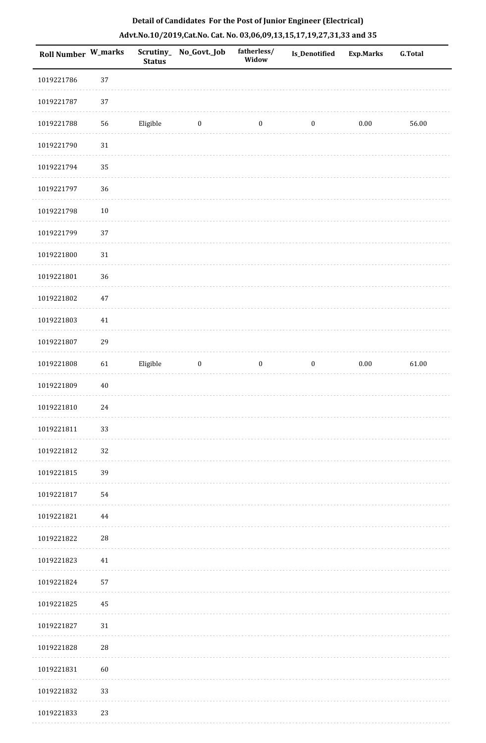| Roll Number W_marks |             | <b>Status</b> | Scrutiny_ No_Govt._Job | fatherless/<br>Widow | Is_Denotified    | <b>Exp.Marks</b> | G.Total |
|---------------------|-------------|---------------|------------------------|----------------------|------------------|------------------|---------|
| 1019221786          | 37          |               |                        |                      |                  |                  |         |
| 1019221787          | 37          |               |                        |                      |                  |                  |         |
| 1019221788          | 56          | Eligible      | $\boldsymbol{0}$       | $\boldsymbol{0}$     | $\boldsymbol{0}$ | $0.00\,$         | 56.00   |
| 1019221790          | $31\,$      |               |                        |                      |                  |                  |         |
| 1019221794          | 35          |               |                        |                      |                  |                  |         |
| 1019221797          | 36          |               |                        |                      |                  |                  |         |
| 1019221798          | $10\,$      |               |                        |                      |                  |                  |         |
| 1019221799          | 37          |               |                        |                      |                  |                  |         |
| 1019221800          | $31\,$      |               |                        |                      |                  |                  |         |
| 1019221801          | 36          |               |                        |                      |                  |                  |         |
| 1019221802          | $47\,$      |               |                        |                      |                  |                  |         |
| 1019221803          | $41\,$      |               |                        |                      |                  |                  |         |
| 1019221807          | 29          |               |                        |                      |                  |                  |         |
| 1019221808          | 61          | Eligible      | $\boldsymbol{0}$       | $\boldsymbol{0}$     | $\boldsymbol{0}$ | $0.00\,$         | 61.00   |
| 1019221809          | $40\,$      |               |                        |                      |                  |                  |         |
| 1019221810          | 24          |               |                        |                      |                  |                  |         |
| 1019221811          | 33          |               |                        |                      |                  |                  |         |
| 1019221812          | 32          |               |                        |                      |                  |                  |         |
| 1019221815          | 39          |               |                        |                      |                  |                  |         |
| 1019221817          | 54          |               |                        |                      |                  |                  |         |
| 1019221821          | 44          |               |                        |                      |                  |                  |         |
| 1019221822          | ${\bf 28}$  |               |                        |                      |                  |                  |         |
| 1019221823          | 41          |               |                        |                      |                  |                  |         |
| 1019221824          | 57          |               |                        |                      |                  |                  |         |
| 1019221825          | 45          |               |                        |                      |                  |                  |         |
| 1019221827          | $31\,$      |               |                        |                      |                  |                  |         |
| 1019221828          | $\sqrt{28}$ |               |                        |                      |                  |                  |         |
| 1019221831          | 60          |               |                        |                      |                  |                  |         |
| 1019221832          | 33          |               |                        |                      |                  |                  |         |
| 1019221833          | 23          |               |                        |                      |                  |                  |         |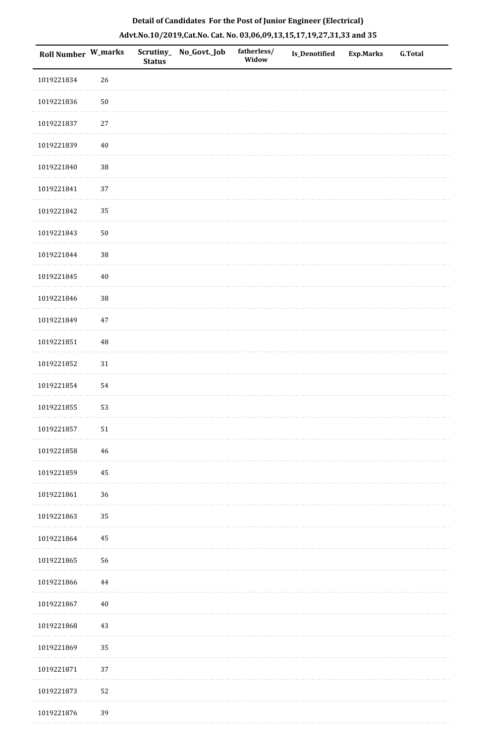| Roll Number W_marks |          | <b>Status</b> | Scrutiny_No_Govt._Job | fatherless/<br>Widow | Is_Denotified | <b>Exp.Marks</b> | <b>G.Total</b> |
|---------------------|----------|---------------|-----------------------|----------------------|---------------|------------------|----------------|
| 1019221834          | 26       |               |                       |                      |               |                  |                |
| 1019221836          | $50\,$   |               |                       |                      |               |                  |                |
| 1019221837          | $27\,$   |               |                       |                      |               |                  |                |
| 1019221839          | $40\,$   |               |                       |                      |               |                  |                |
| 1019221840          | 38       |               |                       |                      |               |                  |                |
| 1019221841          | 37       |               |                       |                      |               |                  |                |
| 1019221842          | 35       |               |                       |                      |               |                  |                |
| 1019221843          | $50\,$   |               |                       |                      |               |                  |                |
| 1019221844          | 38       |               |                       |                      |               |                  |                |
| 1019221845          | $40\,$   |               |                       |                      |               |                  |                |
| 1019221846          | 38       |               |                       |                      |               |                  |                |
| 1019221849          | $47\,$   |               |                       |                      |               |                  |                |
| 1019221851          | 48       |               |                       |                      |               |                  |                |
| 1019221852          | $31\,$   |               |                       |                      |               |                  |                |
| 1019221854          | 54       |               |                       |                      |               |                  |                |
| 1019221855          | 53       |               |                       |                      |               |                  |                |
| 1019221857          | $51\,$   |               |                       |                      |               |                  |                |
| 1019221858          | 46       |               |                       |                      |               |                  |                |
| 1019221859          | $\rm 45$ |               |                       |                      |               |                  |                |
| 1019221861          | 36       |               |                       |                      |               |                  |                |
| 1019221863          | 35       |               |                       |                      |               |                  |                |
| 1019221864          | 45       |               |                       |                      |               |                  |                |
| 1019221865          | 56       |               |                       |                      |               |                  |                |
| 1019221866          | $\bf 44$ |               |                       |                      |               |                  |                |
| 1019221867          | $40\,$   |               |                       |                      |               |                  |                |
| 1019221868          | $43\,$   |               |                       |                      |               |                  |                |
| 1019221869          | 35       |               |                       |                      |               |                  |                |
| 1019221871          | 37       |               |                       |                      |               |                  |                |
| 1019221873          | 52       |               |                       |                      |               |                  |                |
| 1019221876          | 39       |               |                       |                      |               |                  |                |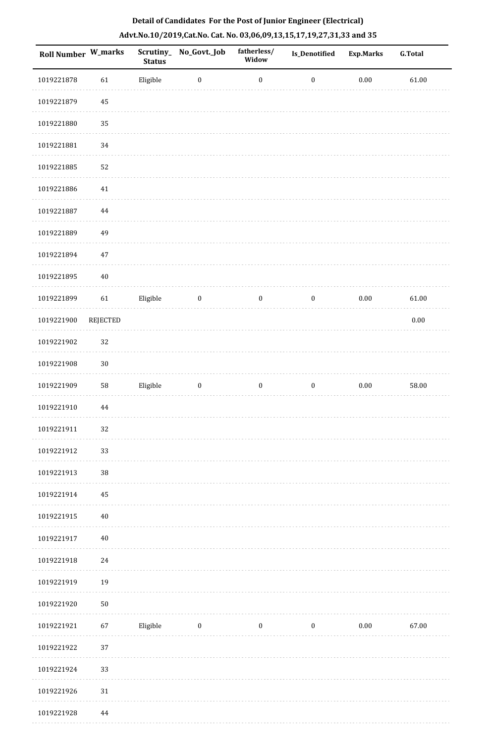| Roll Number W_marks |                 | <b>Status</b> | Scrutiny_No_Govt._Job | fatherless/<br>Widow | <b>Is_Denotified</b> | <b>Exp.Marks</b> | <b>G.Total</b> |
|---------------------|-----------------|---------------|-----------------------|----------------------|----------------------|------------------|----------------|
| 1019221878          | 61              | Eligible      | $\boldsymbol{0}$      | $\boldsymbol{0}$     | $\boldsymbol{0}$     | $0.00\,$         | 61.00          |
| 1019221879          | 45              |               |                       |                      |                      |                  |                |
| 1019221880          | 35              |               |                       |                      |                      |                  |                |
| 1019221881          | 34              |               |                       |                      |                      |                  |                |
| 1019221885          | 52              |               |                       |                      |                      |                  |                |
| 1019221886          | $41\,$          |               |                       |                      |                      |                  |                |
| 1019221887          | $\bf 44$        |               |                       |                      |                      |                  |                |
| 1019221889          | 49              |               |                       |                      |                      |                  |                |
| 1019221894          | 47              |               |                       |                      |                      |                  |                |
| 1019221895          | $40\,$          |               |                       |                      |                      |                  |                |
| 1019221899          | 61              | Eligible      | $\boldsymbol{0}$      | $\boldsymbol{0}$     | $\boldsymbol{0}$     | $0.00\,$         | 61.00          |
| 1019221900          | <b>REJECTED</b> |               |                       |                      |                      |                  | $0.00\,$       |
| 1019221902          | 32              |               |                       |                      |                      |                  |                |
| 1019221908          | $30\,$          |               |                       |                      |                      |                  |                |
| 1019221909          | 58              | Eligible      | $\boldsymbol{0}$      | $\boldsymbol{0}$     | $\boldsymbol{0}$     | $0.00\,$         | 58.00          |
| 1019221910          | 44              |               |                       |                      |                      |                  |                |
| 1019221911          | 32              |               |                       |                      |                      |                  |                |
| 1019221912          | 33              |               |                       |                      |                      |                  |                |
| 1019221913          | 38              |               |                       |                      |                      |                  |                |
| 1019221914          | 45              |               |                       |                      |                      |                  |                |
| 1019221915          | 40              |               |                       |                      |                      |                  |                |
| 1019221917          | $40\,$          |               |                       |                      |                      |                  |                |
| 1019221918          | 24              |               |                       |                      |                      |                  |                |
| 1019221919          | 19              |               |                       |                      |                      |                  |                |
| 1019221920          | ${\bf 50}$      |               |                       |                      |                      |                  |                |
| 1019221921          | 67              | Eligible      | $\boldsymbol{0}$      | $\boldsymbol{0}$     | $\boldsymbol{0}$     | $0.00\,$         | 67.00          |
| 1019221922          | 37              |               |                       |                      |                      |                  |                |
| 1019221924          | 33              |               |                       |                      |                      |                  |                |
| 1019221926          | 31              |               |                       |                      |                      |                  |                |
| 1019221928          | 44              |               |                       |                      |                      |                  |                |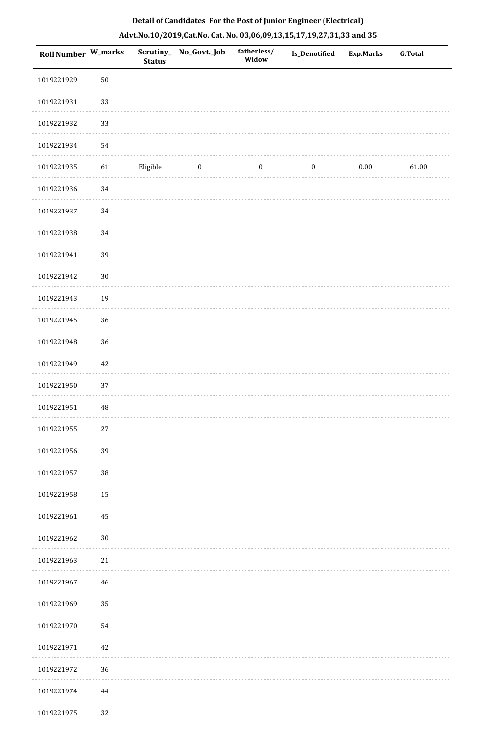| Roll Number W_marks |        | <b>Status</b> | Scrutiny_ No_Govt._Job | fatherless/<br>Widow | <b>Is_Denotified</b> | Exp.Marks | <b>G.Total</b> |
|---------------------|--------|---------------|------------------------|----------------------|----------------------|-----------|----------------|
| 1019221929          | $50\,$ |               |                        |                      |                      |           |                |
| 1019221931          | 33     |               |                        |                      |                      |           |                |
| 1019221932          | 33     |               |                        |                      |                      |           |                |
| 1019221934          | 54     |               |                        |                      |                      |           |                |
| 1019221935          | 61     | Eligible      | $\bf{0}$               | $\boldsymbol{0}$     | $\boldsymbol{0}$     | 0.00      | 61.00          |
| 1019221936          | 34     |               |                        |                      |                      |           |                |
| 1019221937          | 34     |               |                        |                      |                      |           |                |
| 1019221938          | $34\,$ |               |                        |                      |                      |           |                |
| 1019221941          | 39     |               |                        |                      |                      |           |                |
| 1019221942          | $30\,$ |               |                        |                      |                      |           |                |
| 1019221943          | 19     |               |                        |                      |                      |           |                |
| 1019221945          | 36     |               |                        |                      |                      |           |                |
| 1019221948          | 36     |               |                        |                      |                      |           |                |
| 1019221949          | 42     |               |                        |                      |                      |           |                |
| 1019221950          | 37     |               |                        |                      |                      |           |                |
| 1019221951          | 48     |               |                        |                      |                      |           |                |
| 1019221955          | $27\,$ |               |                        |                      |                      |           |                |
| 1019221956          | 39     |               |                        |                      |                      |           |                |
| 1019221957          | 38     |               |                        |                      |                      |           |                |
| 1019221958          | 15     |               |                        |                      |                      |           |                |
| 1019221961          | 45     |               |                        |                      |                      |           |                |
| 1019221962          | $30\,$ |               |                        |                      |                      |           |                |
| 1019221963          | $21\,$ |               |                        |                      |                      |           |                |
| 1019221967          | 46     |               |                        |                      |                      |           |                |
| 1019221969          | 35     |               |                        |                      |                      |           |                |
| 1019221970          | 54     |               |                        |                      |                      |           |                |
| 1019221971          | $42\,$ |               |                        |                      |                      |           |                |
| 1019221972          | 36     |               |                        |                      |                      |           |                |
| 1019221974          | 44     |               |                        |                      |                      |           |                |
| 1019221975          | 32     |               |                        |                      |                      |           |                |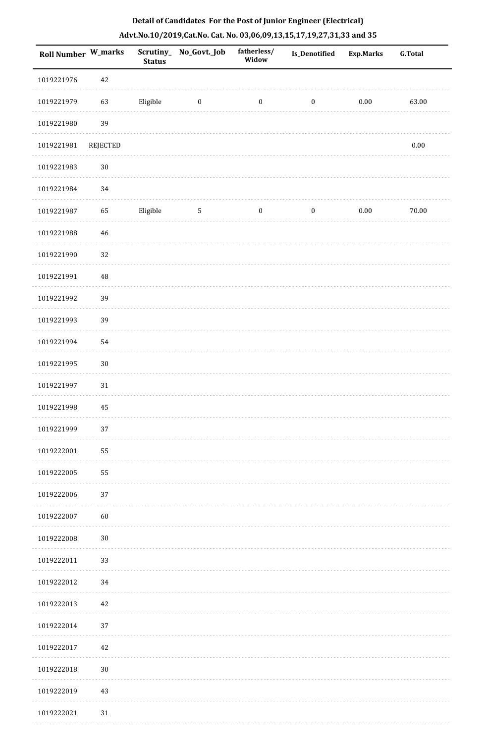| Detail of Candidates For the Post of Junior Engineer (Electrical)     |
|-----------------------------------------------------------------------|
| Advt.No.10/2019,Cat.No. Cat. No. 03,06,09,13,15,17,19,27,31,33 and 35 |

| <b>Roll Number W_marks</b> |                 | <b>Status</b> | Scrutiny_No_Govt._Job | fatherless/<br>Widow | <b>Is_Denotified</b> | <b>Exp.Marks</b> | <b>G.Total</b> |
|----------------------------|-----------------|---------------|-----------------------|----------------------|----------------------|------------------|----------------|
| 1019221976                 | 42              |               |                       |                      |                      |                  |                |
| 1019221979                 | 63              | Eligible      | $\boldsymbol{0}$      | $\boldsymbol{0}$     | $\boldsymbol{0}$     | $0.00\,$         | 63.00          |
| 1019221980                 | 39              |               |                       |                      |                      |                  |                |
| 1019221981                 | <b>REJECTED</b> |               |                       |                      |                      |                  | $0.00\,$       |
| 1019221983                 | $30\,$          |               |                       |                      |                      |                  |                |
| 1019221984                 | 34              |               |                       |                      |                      |                  |                |
| 1019221987                 | 65              | Eligible      | $5\phantom{.0}$       | $\boldsymbol{0}$     | $\boldsymbol{0}$     | $0.00\,$         | 70.00          |
| 1019221988                 | $46\,$          |               |                       |                      |                      |                  |                |
| 1019221990                 | 32              |               |                       |                      |                      |                  |                |
| 1019221991                 | 48              |               |                       |                      |                      |                  |                |
| 1019221992                 | 39              |               |                       |                      |                      |                  |                |
| 1019221993                 | 39              |               |                       |                      |                      |                  |                |
| 1019221994                 | 54              |               |                       |                      |                      |                  |                |
| 1019221995                 | $30\,$          |               |                       |                      |                      |                  |                |
| 1019221997                 | $31\,$          |               |                       |                      |                      |                  |                |
| 1019221998                 | 45              |               |                       |                      |                      |                  |                |
| 1019221999                 | 37              |               |                       |                      |                      |                  |                |
| 1019222001                 | 55              |               |                       |                      |                      |                  |                |
| 1019222005                 | 55              |               |                       |                      |                      |                  |                |
| 1019222006                 | 37              |               |                       |                      |                      |                  |                |
| 1019222007                 | 60              |               |                       |                      |                      |                  |                |
| 1019222008                 | $30\,$          |               |                       |                      |                      |                  |                |
| 1019222011                 | 33              |               |                       |                      |                      |                  |                |
| 1019222012                 | 34              |               |                       |                      |                      |                  |                |
| 1019222013                 | 42              |               |                       |                      |                      |                  |                |
| 1019222014                 | 37              |               |                       |                      |                      |                  |                |
| 1019222017                 | 42              |               |                       |                      |                      |                  |                |
| 1019222018                 | $30\,$          |               |                       |                      |                      |                  |                |
| 1019222019                 | 43              |               |                       |                      |                      |                  |                |
| 1019222021                 | $31\,$          |               |                       |                      |                      |                  |                |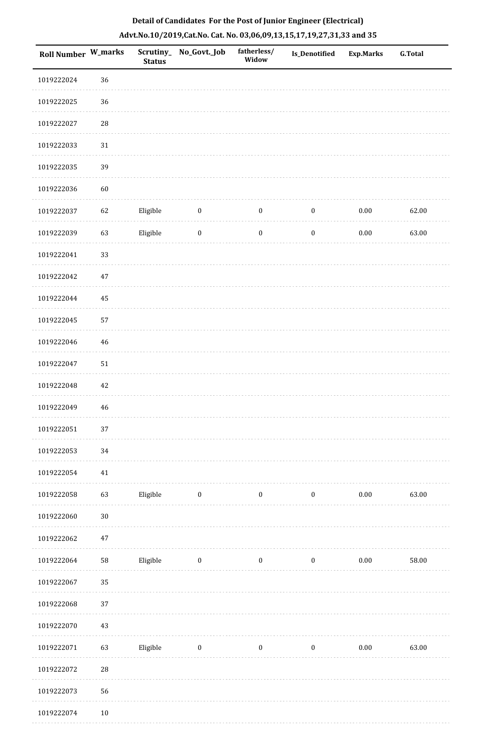| 1019222024<br>36<br>36<br>1019222025<br>$28\,$<br>1019222027<br>1019222033<br>31<br>39<br>1019222035<br>1019222036<br>60<br>Eligible<br>1019222037<br>62<br>$\boldsymbol{0}$<br>$0.00\,$<br>62.00<br>$\boldsymbol{0}$<br>$\boldsymbol{0}$<br>63<br>Eligible<br>$\boldsymbol{0}$<br>$0.00\,$<br>63.00<br>1019222039<br>$\boldsymbol{0}$<br>$\boldsymbol{0}$<br>33<br>1019222041<br>1019222042<br>$47\,$<br>1019222044<br>45<br>1019222045<br>57<br>1019222046<br>46<br>51<br>1019222047<br>1019222048<br>42<br>1019222049<br>46<br>$37\,$<br>1019222051<br>1019222053<br>34<br>1019222054<br>41<br>Eligible<br>63.00<br>1019222058<br>63<br>$\overline{\mathbf{0}}$<br>$\bf{0}$<br>$\boldsymbol{0}$<br>$0.00\,$<br>$30\,$<br>1019222060<br>$47\,$<br>1019222062<br>Eligible<br>$\overline{\mathbf{0}}$<br>$\mathbf{0}$<br>$\boldsymbol{0}$<br>$0.00\,$<br>1019222064<br>58<br>58.00<br>1019222067<br>35<br>1019222068<br>37<br>43<br>1019222070<br>1019222071<br>63<br>Eligible<br>$\overline{\mathbf{0}}$<br>$\boldsymbol{0}$<br>0.00<br>63.00<br>$\boldsymbol{0}$<br>$28\,$<br>1019222072<br>56<br>1019222073 | Roll Number W_marks | <b>Status</b> | Scrutiny_No_Govt._Job | fatherless/<br>Widow | Is_Denotified | <b>Exp.Marks</b> | <b>G.Total</b> |
|----------------------------------------------------------------------------------------------------------------------------------------------------------------------------------------------------------------------------------------------------------------------------------------------------------------------------------------------------------------------------------------------------------------------------------------------------------------------------------------------------------------------------------------------------------------------------------------------------------------------------------------------------------------------------------------------------------------------------------------------------------------------------------------------------------------------------------------------------------------------------------------------------------------------------------------------------------------------------------------------------------------------------------------------------------------------------------------------------------------|---------------------|---------------|-----------------------|----------------------|---------------|------------------|----------------|
|                                                                                                                                                                                                                                                                                                                                                                                                                                                                                                                                                                                                                                                                                                                                                                                                                                                                                                                                                                                                                                                                                                                |                     |               |                       |                      |               |                  |                |
|                                                                                                                                                                                                                                                                                                                                                                                                                                                                                                                                                                                                                                                                                                                                                                                                                                                                                                                                                                                                                                                                                                                |                     |               |                       |                      |               |                  |                |
|                                                                                                                                                                                                                                                                                                                                                                                                                                                                                                                                                                                                                                                                                                                                                                                                                                                                                                                                                                                                                                                                                                                |                     |               |                       |                      |               |                  |                |
|                                                                                                                                                                                                                                                                                                                                                                                                                                                                                                                                                                                                                                                                                                                                                                                                                                                                                                                                                                                                                                                                                                                |                     |               |                       |                      |               |                  |                |
|                                                                                                                                                                                                                                                                                                                                                                                                                                                                                                                                                                                                                                                                                                                                                                                                                                                                                                                                                                                                                                                                                                                |                     |               |                       |                      |               |                  |                |
|                                                                                                                                                                                                                                                                                                                                                                                                                                                                                                                                                                                                                                                                                                                                                                                                                                                                                                                                                                                                                                                                                                                |                     |               |                       |                      |               |                  |                |
|                                                                                                                                                                                                                                                                                                                                                                                                                                                                                                                                                                                                                                                                                                                                                                                                                                                                                                                                                                                                                                                                                                                |                     |               |                       |                      |               |                  |                |
|                                                                                                                                                                                                                                                                                                                                                                                                                                                                                                                                                                                                                                                                                                                                                                                                                                                                                                                                                                                                                                                                                                                |                     |               |                       |                      |               |                  |                |
|                                                                                                                                                                                                                                                                                                                                                                                                                                                                                                                                                                                                                                                                                                                                                                                                                                                                                                                                                                                                                                                                                                                |                     |               |                       |                      |               |                  |                |
|                                                                                                                                                                                                                                                                                                                                                                                                                                                                                                                                                                                                                                                                                                                                                                                                                                                                                                                                                                                                                                                                                                                |                     |               |                       |                      |               |                  |                |
|                                                                                                                                                                                                                                                                                                                                                                                                                                                                                                                                                                                                                                                                                                                                                                                                                                                                                                                                                                                                                                                                                                                |                     |               |                       |                      |               |                  |                |
|                                                                                                                                                                                                                                                                                                                                                                                                                                                                                                                                                                                                                                                                                                                                                                                                                                                                                                                                                                                                                                                                                                                |                     |               |                       |                      |               |                  |                |
|                                                                                                                                                                                                                                                                                                                                                                                                                                                                                                                                                                                                                                                                                                                                                                                                                                                                                                                                                                                                                                                                                                                |                     |               |                       |                      |               |                  |                |
|                                                                                                                                                                                                                                                                                                                                                                                                                                                                                                                                                                                                                                                                                                                                                                                                                                                                                                                                                                                                                                                                                                                |                     |               |                       |                      |               |                  |                |
|                                                                                                                                                                                                                                                                                                                                                                                                                                                                                                                                                                                                                                                                                                                                                                                                                                                                                                                                                                                                                                                                                                                |                     |               |                       |                      |               |                  |                |
|                                                                                                                                                                                                                                                                                                                                                                                                                                                                                                                                                                                                                                                                                                                                                                                                                                                                                                                                                                                                                                                                                                                |                     |               |                       |                      |               |                  |                |
|                                                                                                                                                                                                                                                                                                                                                                                                                                                                                                                                                                                                                                                                                                                                                                                                                                                                                                                                                                                                                                                                                                                |                     |               |                       |                      |               |                  |                |
|                                                                                                                                                                                                                                                                                                                                                                                                                                                                                                                                                                                                                                                                                                                                                                                                                                                                                                                                                                                                                                                                                                                |                     |               |                       |                      |               |                  |                |
|                                                                                                                                                                                                                                                                                                                                                                                                                                                                                                                                                                                                                                                                                                                                                                                                                                                                                                                                                                                                                                                                                                                |                     |               |                       |                      |               |                  |                |
|                                                                                                                                                                                                                                                                                                                                                                                                                                                                                                                                                                                                                                                                                                                                                                                                                                                                                                                                                                                                                                                                                                                |                     |               |                       |                      |               |                  |                |
|                                                                                                                                                                                                                                                                                                                                                                                                                                                                                                                                                                                                                                                                                                                                                                                                                                                                                                                                                                                                                                                                                                                |                     |               |                       |                      |               |                  |                |
|                                                                                                                                                                                                                                                                                                                                                                                                                                                                                                                                                                                                                                                                                                                                                                                                                                                                                                                                                                                                                                                                                                                |                     |               |                       |                      |               |                  |                |
|                                                                                                                                                                                                                                                                                                                                                                                                                                                                                                                                                                                                                                                                                                                                                                                                                                                                                                                                                                                                                                                                                                                |                     |               |                       |                      |               |                  |                |
|                                                                                                                                                                                                                                                                                                                                                                                                                                                                                                                                                                                                                                                                                                                                                                                                                                                                                                                                                                                                                                                                                                                |                     |               |                       |                      |               |                  |                |
|                                                                                                                                                                                                                                                                                                                                                                                                                                                                                                                                                                                                                                                                                                                                                                                                                                                                                                                                                                                                                                                                                                                |                     |               |                       |                      |               |                  |                |
|                                                                                                                                                                                                                                                                                                                                                                                                                                                                                                                                                                                                                                                                                                                                                                                                                                                                                                                                                                                                                                                                                                                |                     |               |                       |                      |               |                  |                |
|                                                                                                                                                                                                                                                                                                                                                                                                                                                                                                                                                                                                                                                                                                                                                                                                                                                                                                                                                                                                                                                                                                                |                     |               |                       |                      |               |                  |                |
|                                                                                                                                                                                                                                                                                                                                                                                                                                                                                                                                                                                                                                                                                                                                                                                                                                                                                                                                                                                                                                                                                                                |                     |               |                       |                      |               |                  |                |
|                                                                                                                                                                                                                                                                                                                                                                                                                                                                                                                                                                                                                                                                                                                                                                                                                                                                                                                                                                                                                                                                                                                |                     |               |                       |                      |               |                  |                |

1019222074 10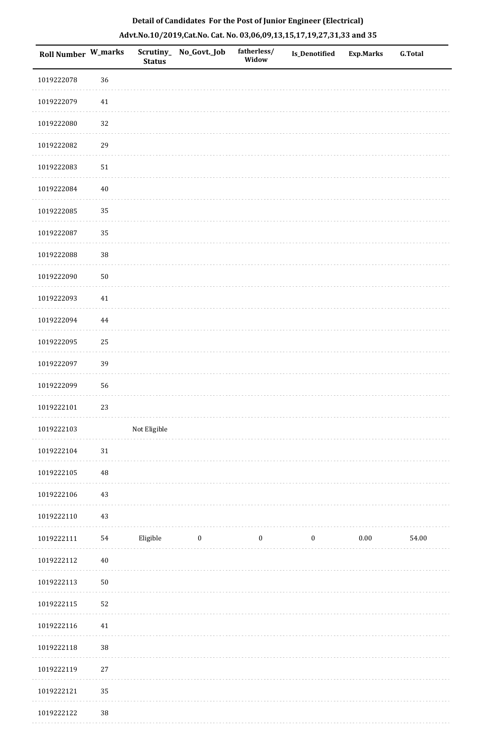| Roll Number W_marks |            | <b>Status</b> | Scrutiny_ No_Govt._Job | fatherless/<br>Widow | Is_Denotified    | <b>Exp.Marks</b> | <b>G.Total</b> |
|---------------------|------------|---------------|------------------------|----------------------|------------------|------------------|----------------|
| 1019222078          | 36         |               |                        |                      |                  |                  |                |
| 1019222079          | $41\,$     |               |                        |                      |                  |                  |                |
| 1019222080          | 32         |               |                        |                      |                  |                  |                |
| 1019222082          | 29         |               |                        |                      |                  |                  |                |
| 1019222083          | ${\bf 51}$ |               |                        |                      |                  |                  |                |
| 1019222084          | $40\,$     |               |                        |                      |                  |                  |                |
| 1019222085          | 35         |               |                        |                      |                  |                  |                |
| 1019222087          | 35         |               |                        |                      |                  |                  |                |
| 1019222088          | 38         |               |                        |                      |                  |                  |                |
| 1019222090          | $50\,$     |               |                        |                      |                  |                  |                |
| 1019222093          | $41\,$     |               |                        |                      |                  |                  |                |
| 1019222094          | $\bf 44$   |               |                        |                      |                  |                  |                |
| 1019222095          | 25         |               |                        |                      |                  |                  |                |
| 1019222097          | 39         |               |                        |                      |                  |                  |                |
| 1019222099          | 56         |               |                        |                      |                  |                  |                |
| 1019222101          | 23         |               |                        |                      |                  |                  |                |
| 1019222103          |            | Not Eligible  |                        |                      |                  |                  |                |
| 1019222104          | $31\,$     |               |                        |                      |                  |                  |                |
| 1019222105          | 48         |               |                        |                      |                  |                  |                |
| 1019222106          | $43\,$     |               |                        |                      |                  |                  |                |
| 1019222110          | $43\,$     |               |                        |                      |                  |                  |                |
| 1019222111          | 54         | Eligible      | $\boldsymbol{0}$       | $\boldsymbol{0}$     | $\boldsymbol{0}$ | 0.00             | 54.00          |
| 1019222112          | $40\,$     |               |                        |                      |                  |                  |                |
| 1019222113          | $50\,$     |               |                        |                      |                  |                  |                |
| 1019222115          | 52         |               |                        |                      |                  |                  |                |
| 1019222116          | $41\,$     |               |                        |                      |                  |                  |                |
| 1019222118          | 38         |               |                        |                      |                  |                  |                |
| 1019222119          | $27\,$     |               |                        |                      |                  |                  |                |
| 1019222121          | $35\,$     |               |                        |                      |                  |                  |                |
| 101022112           | 20         |               |                        |                      |                  |                  |                |

 1019222122 38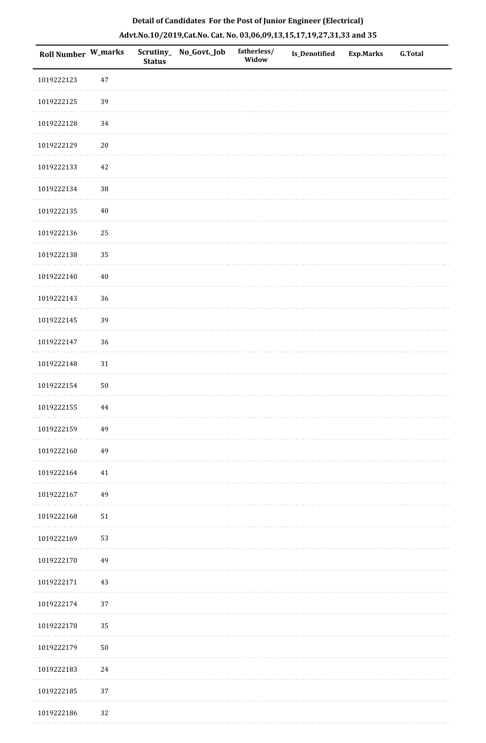| Roll Number W_marks |            | <b>Status</b> | Scrutiny_ No_Govt._Job | fatherless/<br>Widow | Is_Denotified | <b>Exp.Marks</b> | <b>G.Total</b> |
|---------------------|------------|---------------|------------------------|----------------------|---------------|------------------|----------------|
| 1019222123          | $47\,$     |               |                        |                      |               |                  |                |
| 1019222125          | 39         |               |                        |                      |               |                  |                |
| 1019222128          | 34         |               |                        |                      |               |                  |                |
| 1019222129          | $20\,$     |               |                        |                      |               |                  |                |
| 1019222133          | $42\,$     |               |                        |                      |               |                  |                |
| 1019222134          | 38         |               |                        |                      |               |                  |                |
| 1019222135          | $40\,$     |               |                        |                      |               |                  |                |
| 1019222136          | 25         |               |                        |                      |               |                  |                |
| 1019222138          | 35         |               |                        |                      |               |                  |                |
| 1019222140          | $40\,$     |               |                        |                      |               |                  |                |
| 1019222143          | 36         |               |                        |                      |               |                  |                |
| 1019222145          | 39         |               |                        |                      |               |                  |                |
| 1019222147          | 36         |               |                        |                      |               |                  |                |
| 1019222148          | $31\,$     |               |                        |                      |               |                  |                |
| 1019222154          | $50\,$     |               |                        |                      |               |                  |                |
| 1019222155          | 44         |               |                        |                      |               |                  |                |
| 1019222159          | 49         |               |                        |                      |               |                  |                |
| 1019222160          | 49         |               |                        |                      |               |                  |                |
| 1019222164          | 41         |               |                        |                      |               |                  |                |
| 1019222167          | 49         |               |                        |                      |               |                  |                |
| 1019222168          | ${\bf 51}$ |               |                        |                      |               |                  |                |
| 1019222169          | 53         |               |                        |                      |               |                  |                |
| 1019222170          | 49         |               |                        |                      |               |                  |                |
| 1019222171          | 43         |               |                        |                      |               |                  |                |
| 1019222174          | 37         |               |                        |                      |               |                  |                |
| 1019222178          | 35         |               |                        |                      |               |                  |                |
| 1019222179          | ${\bf 50}$ |               |                        |                      |               |                  |                |
| 1019222183          | $24\,$     |               |                        |                      |               |                  |                |
| 1019222185          | 37         |               |                        |                      |               |                  |                |
| 1019222186          | 32         |               |                        |                      |               |                  |                |

. . . . . . .

. . . . . . . . . . .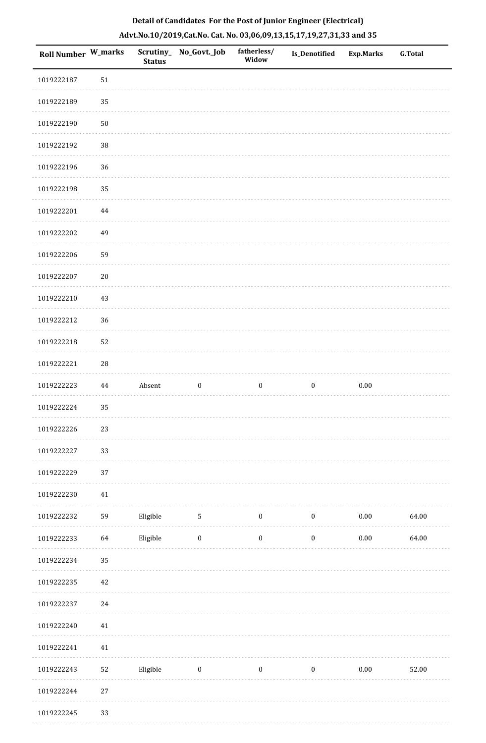| Roll Number W_marks |            | <b>Status</b> | Scrutiny_No_Govt._Job | fatherless/<br>Widow | Is_Denotified    | <b>Exp.Marks</b> | <b>G.Total</b> |
|---------------------|------------|---------------|-----------------------|----------------------|------------------|------------------|----------------|
| 1019222187          | 51         |               |                       |                      |                  |                  |                |
| 1019222189          | 35         |               |                       |                      |                  |                  |                |
| 1019222190          | $50\,$     |               |                       |                      |                  |                  |                |
| 1019222192          | 38         |               |                       |                      |                  |                  |                |
| 1019222196          | 36         |               |                       |                      |                  |                  |                |
| 1019222198          | 35         |               |                       |                      |                  |                  |                |
| 1019222201          | $\bf 44$   |               |                       |                      |                  |                  |                |
| 1019222202          | 49         |               |                       |                      |                  |                  |                |
| 1019222206          | 59         |               |                       |                      |                  |                  |                |
| 1019222207          | $20\,$     |               |                       |                      |                  |                  |                |
| 1019222210          | 43         |               |                       |                      |                  |                  |                |
| 1019222212          | 36         |               |                       |                      |                  |                  |                |
| 1019222218          | 52         |               |                       |                      |                  |                  |                |
| 1019222221          | ${\bf 28}$ |               |                       |                      |                  |                  |                |
| 1019222223          | 44         | Absent        | $\boldsymbol{0}$      | $\boldsymbol{0}$     | $\boldsymbol{0}$ | $0.00\,$         |                |
| 1019222224          | 35         |               |                       |                      |                  |                  |                |
| 1019222226          | $23\,$     |               |                       |                      |                  |                  |                |
| 1019222227          | 33         |               |                       |                      |                  |                  |                |
| 1019222229          | 37         |               |                       |                      |                  |                  |                |
| 1019222230          | $41\,$     |               |                       |                      |                  |                  |                |
| 1019222232          | 59         | Eligible      | $5\phantom{.0}$       | $\bf{0}$             | $\bf{0}$         | $0.00\,$         | 64.00          |
| 1019222233          | 64         | Eligible      | $\boldsymbol{0}$      | $\boldsymbol{0}$     | $\boldsymbol{0}$ | $0.00\,$         | 64.00          |
| 1019222234          | 35         |               |                       |                      |                  |                  |                |
| 1019222235          | $42\,$     |               |                       |                      |                  |                  |                |
| 1019222237          | 24         |               |                       |                      |                  |                  |                |
| 1019222240          | $41\,$     |               |                       |                      |                  |                  |                |
| 1019222241          | $41\,$     |               |                       |                      |                  |                  |                |
| 1019222243          | 52         | Eligible      | $\bf{0}$              | $\boldsymbol{0}$     | $\mathbf{0}$     | $0.00\,$         | 52.00          |
| 1019222244          | $27\,$     |               |                       |                      |                  |                  |                |
| 1010222245          | 33         |               |                       |                      |                  |                  |                |

 1019222245 33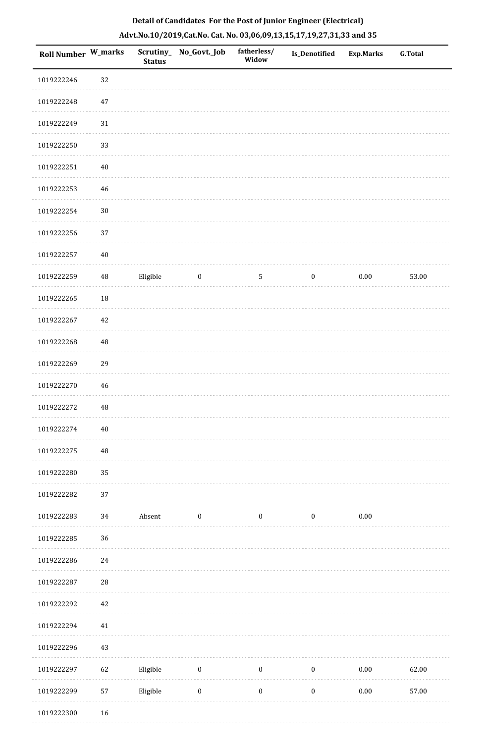| Roll Number W_marks |          | <b>Status</b> | Scrutiny_No_Govt._Job | fatherless/<br>Widow | Is_Denotified    | <b>Exp.Marks</b> | <b>G.Total</b> |
|---------------------|----------|---------------|-----------------------|----------------------|------------------|------------------|----------------|
| 1019222246          | 32       |               |                       |                      |                  |                  |                |
| 1019222248          | $47\,$   |               |                       |                      |                  |                  |                |
| 1019222249          | $31\,$   |               |                       |                      |                  |                  |                |
| 1019222250          | 33       |               |                       |                      |                  |                  |                |
| 1019222251          | $40\,$   |               |                       |                      |                  |                  |                |
| 1019222253          | 46       |               |                       |                      |                  |                  |                |
| 1019222254          | $30\,$   |               |                       |                      |                  |                  |                |
| 1019222256          | 37       |               |                       |                      |                  |                  |                |
| 1019222257          | $40\,$   |               |                       |                      |                  |                  |                |
| 1019222259          | $\rm 48$ | Eligible      | $\boldsymbol{0}$      | 5                    | $\boldsymbol{0}$ | $0.00\,$         | 53.00          |
| 1019222265          | 18       |               |                       |                      |                  |                  |                |
| 1019222267          | 42       |               |                       |                      |                  |                  |                |
| 1019222268          | 48       |               |                       |                      |                  |                  |                |
| 1019222269          | 29       |               |                       |                      |                  |                  |                |
| 1019222270          | 46       |               |                       |                      |                  |                  |                |
| 1019222272          | $\rm 48$ |               |                       |                      |                  |                  |                |
| 1019222274          | $40\,$   |               |                       |                      |                  |                  |                |
| 1019222275          | $\rm 48$ |               |                       |                      |                  |                  |                |
| 1019222280          | 35       |               |                       |                      |                  |                  |                |
| 1019222282          | 37       |               |                       |                      |                  |                  |                |
| 1019222283          | 34       | Absent        | $\bf{0}$              | $\boldsymbol{0}$     | $\bf{0}$         | $0.00\,$         |                |
| 1019222285          | 36       |               |                       |                      |                  |                  |                |
| 1019222286          | $24\,$   |               |                       |                      |                  |                  |                |
| 1019222287          | 28       |               |                       |                      |                  |                  |                |
| 1019222292          | 42       |               |                       |                      |                  |                  |                |
| 1019222294          | 41       |               |                       |                      |                  |                  |                |
| 1019222296          | 43       |               |                       |                      |                  |                  |                |
| 1019222297          | 62       | Eligible      | $\boldsymbol{0}$      | $\boldsymbol{0}$     | $\boldsymbol{0}$ | $0.00\,$         | 62.00          |
| 1019222299          | 57       | Eligible      | $\boldsymbol{0}$      | $\boldsymbol{0}$     | $\boldsymbol{0}$ | $0.00\,$         | 57.00          |
| 1019222300          | 16       |               |                       |                      |                  |                  |                |

1019222300 16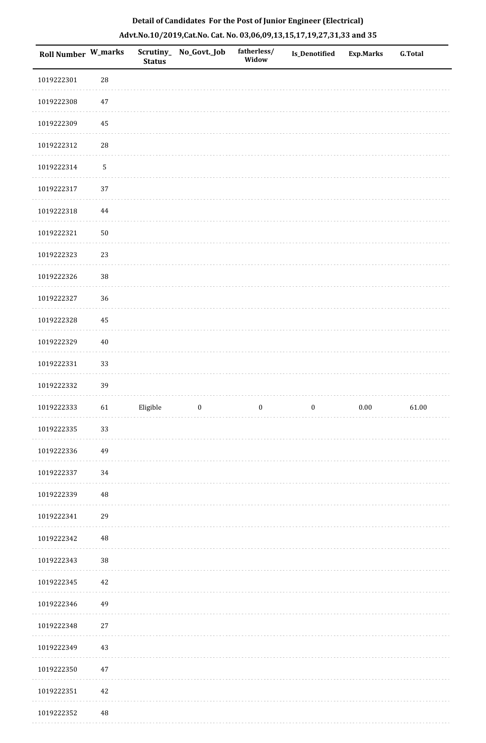| Roll Number W_marks |          | <b>Status</b> | Scrutiny_No_Govt._Job | fatherless/<br>Widow | Is_Denotified    | <b>Exp.Marks</b> | <b>G.Total</b> |
|---------------------|----------|---------------|-----------------------|----------------------|------------------|------------------|----------------|
| 1019222301          | 28       |               |                       |                      |                  |                  |                |
| 1019222308          | 47       |               |                       |                      |                  |                  |                |
| 1019222309          | 45       |               |                       |                      |                  |                  |                |
| 1019222312          | 28       |               |                       |                      |                  |                  |                |
| 1019222314          | 5        |               |                       |                      |                  |                  |                |
| 1019222317          | 37       |               |                       |                      |                  |                  |                |
| 1019222318          | 44       |               |                       |                      |                  |                  |                |
| 1019222321          | 50       |               |                       |                      |                  |                  |                |
| 1019222323          | 23       |               |                       |                      |                  |                  |                |
| 1019222326          | $38\,$   |               |                       |                      |                  |                  |                |
| 1019222327          | 36       |               |                       |                      |                  |                  |                |
| 1019222328          | 45       |               |                       |                      |                  |                  |                |
| 1019222329          | $40\,$   |               |                       |                      |                  |                  |                |
| 1019222331          | 33       |               |                       |                      |                  |                  |                |
| 1019222332          | 39       |               |                       |                      |                  |                  |                |
| 1019222333          | 61       | Eligible      | $\boldsymbol{0}$      | $\boldsymbol{0}$     | $\boldsymbol{0}$ | $0.00\,$         | 61.00          |
| 1019222335          | 33       |               |                       |                      |                  |                  |                |
| 1019222336          | 49       |               |                       |                      |                  |                  |                |
| 1019222337          | 34       |               |                       |                      |                  |                  |                |
| 1019222339          | $\rm 48$ |               |                       |                      |                  |                  |                |
| 1019222341          | 29       |               |                       |                      |                  |                  |                |
| 1019222342          | $\rm 48$ |               |                       |                      |                  |                  |                |
| 1019222343          | $38\,$   |               |                       |                      |                  |                  |                |
| 1019222345          | 42       |               |                       |                      |                  |                  |                |
| 1019222346          | 49       |               |                       |                      |                  |                  |                |
| 1019222348          | $27\,$   |               |                       |                      |                  |                  |                |
| 1019222349          | 43       |               |                       |                      |                  |                  |                |
| 1019222350          | 47       |               |                       |                      |                  |                  |                |
| 1019222351          | 42       |               |                       |                      |                  |                  |                |
| 1019222352          | 48       |               |                       |                      |                  |                  |                |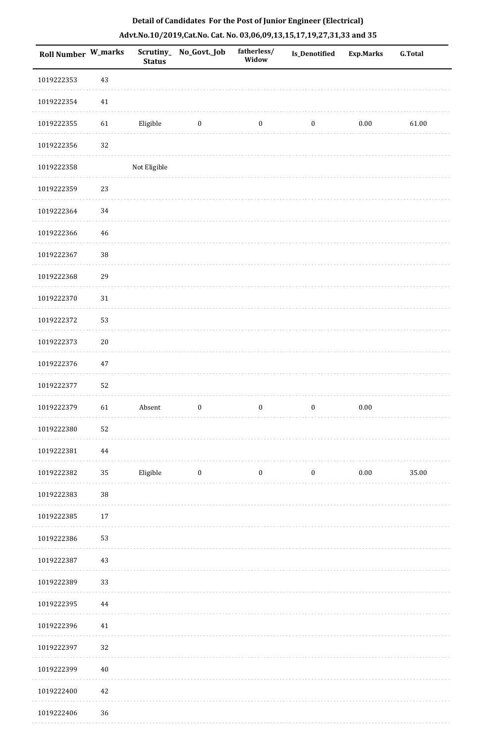| <b>Roll Number W_marks</b> |          | <b>Status</b> | Scrutiny_ No_Govt._Job | fatherless/<br>Widow | Is_Denotified    | <b>Exp.Marks</b> | <b>G.Total</b> |
|----------------------------|----------|---------------|------------------------|----------------------|------------------|------------------|----------------|
| 1019222353                 | 43       |               |                        |                      |                  |                  |                |
| 1019222354                 | 41       |               |                        |                      |                  |                  |                |
| 1019222355                 | 61       | Eligible      | $\bf{0}$               | $\boldsymbol{0}$     | $\boldsymbol{0}$ | $0.00\,$         | 61.00          |
| 1019222356                 | 32       |               |                        |                      |                  |                  |                |
| 1019222358                 |          | Not Eligible  |                        |                      |                  |                  |                |
| 1019222359                 | 23       |               |                        |                      |                  |                  |                |
| 1019222364                 | $34\,$   |               |                        |                      |                  |                  |                |
| 1019222366                 | 46       |               |                        |                      |                  |                  |                |
| 1019222367                 | 38       |               |                        |                      |                  |                  |                |
| 1019222368                 | 29       |               |                        |                      |                  |                  |                |
| 1019222370                 | 31       |               |                        |                      |                  |                  |                |
| 1019222372                 | 53       |               |                        |                      |                  |                  |                |
| 1019222373                 | $20\,$   |               |                        |                      |                  |                  |                |
| 1019222376                 | 47       |               |                        |                      |                  |                  |                |
| 1019222377                 | 52       |               |                        |                      |                  |                  |                |
| 1019222379                 | 61       | Absent        | $\boldsymbol{0}$       | $\bf{0}$             | $\boldsymbol{0}$ | $0.00\,$         |                |
| 1019222380                 | 52       |               |                        |                      |                  |                  |                |
| 1019222381                 | $\bf 44$ |               |                        |                      |                  |                  |                |
| 1019222382                 | 35       | Eligible      | $\boldsymbol{0}$       | $\boldsymbol{0}$     | $\boldsymbol{0}$ | $0.00\,$         | 35.00          |
| 1019222383                 | $38\,$   |               |                        |                      |                  |                  |                |
| 1019222385                 | $17\,$   |               |                        |                      |                  |                  |                |
| 1019222386                 | 53       |               |                        |                      |                  |                  |                |
| 1019222387                 | 43       |               |                        |                      |                  |                  |                |
| 1019222389                 | 33       |               |                        |                      |                  |                  |                |
| 1019222395                 | 44       |               |                        |                      |                  |                  |                |
| 1019222396                 | 41       |               |                        |                      |                  |                  |                |
| 1019222397                 | 32       |               |                        |                      |                  |                  |                |
| 1019222399                 | $40\,$   |               |                        |                      |                  |                  |                |
| 1019222400                 | 42       |               |                        |                      |                  |                  |                |
| 1019222406                 | 36       |               |                        |                      |                  |                  |                |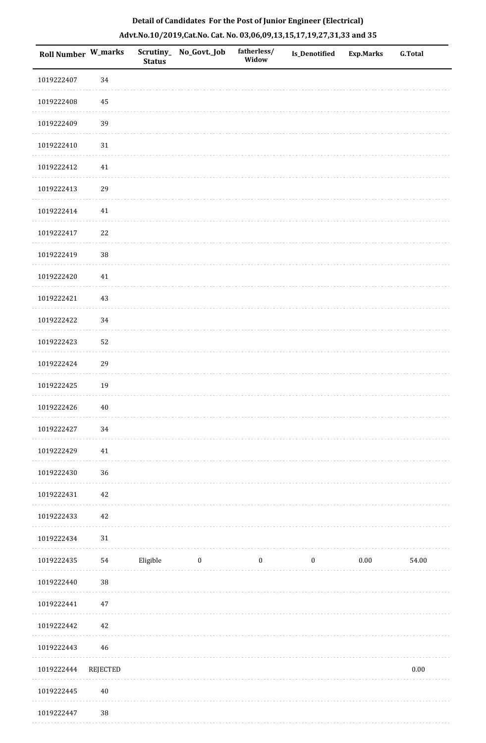| <b>Roll Number W_marks</b> |          | <b>Status</b> | Scrutiny_ No_Govt._Job | fatherless/<br>Widow | <b>Is_Denotified</b> | <b>Exp.Marks</b> | <b>G.Total</b> |
|----------------------------|----------|---------------|------------------------|----------------------|----------------------|------------------|----------------|
| 1019222407                 | 34       |               |                        |                      |                      |                  |                |
| 1019222408                 | $\bf 45$ |               |                        |                      |                      |                  |                |
| 1019222409                 | 39       |               |                        |                      |                      |                  |                |
| 1019222410                 | $31\,$   |               |                        |                      |                      |                  |                |
| 1019222412                 | 41       |               |                        |                      |                      |                  |                |
| 1019222413                 | 29       |               |                        |                      |                      |                  |                |
| 1019222414                 | $41\,$   |               |                        |                      |                      |                  |                |
| 1019222417                 | $22\,$   |               |                        |                      |                      |                  |                |
| 1019222419                 | 38       |               |                        |                      |                      |                  |                |
| 1019222420                 | $41\,$   |               |                        |                      |                      |                  |                |
| 1019222421                 | $43\,$   |               |                        |                      |                      |                  |                |
| 1019222422                 | 34       |               |                        |                      |                      |                  |                |
| 1019222423                 | 52       |               |                        |                      |                      |                  |                |
| 1019222424                 | 29       |               |                        |                      |                      |                  |                |
| 1019222425                 | 19       |               |                        |                      |                      |                  |                |
| 1019222426                 | $40\,$   |               |                        |                      |                      |                  |                |
| 1019222427                 | 34       |               |                        |                      |                      |                  |                |
| 1019222429                 | $41\,$   |               |                        |                      |                      |                  |                |
| 1019222430                 | 36       |               |                        |                      |                      |                  |                |
| 1019222431                 | $42\,$   |               |                        |                      |                      |                  |                |
| 1019222433                 | $42\,$   |               |                        |                      |                      |                  |                |
| 1019222434                 | 31       |               |                        |                      |                      |                  |                |
| 1019222435                 | 54       | Eligible      | $\boldsymbol{0}$       | $\boldsymbol{0}$     | $\boldsymbol{0}$     | $0.00\,$         | 54.00          |
| 1019222440                 | $38\,$   |               |                        |                      |                      |                  |                |
| 1019222441                 | 47       |               |                        |                      |                      |                  |                |
| 1019222442                 | $42\,$   |               |                        |                      |                      |                  |                |
| 1019222443                 | 46       |               |                        |                      |                      |                  |                |
| 1019222444                 | REJECTED |               |                        |                      |                      |                  | $0.00\,$       |
| 1019222445                 | $40\,$   |               |                        |                      |                      |                  |                |
| 1019222447                 | 38       |               |                        |                      |                      |                  |                |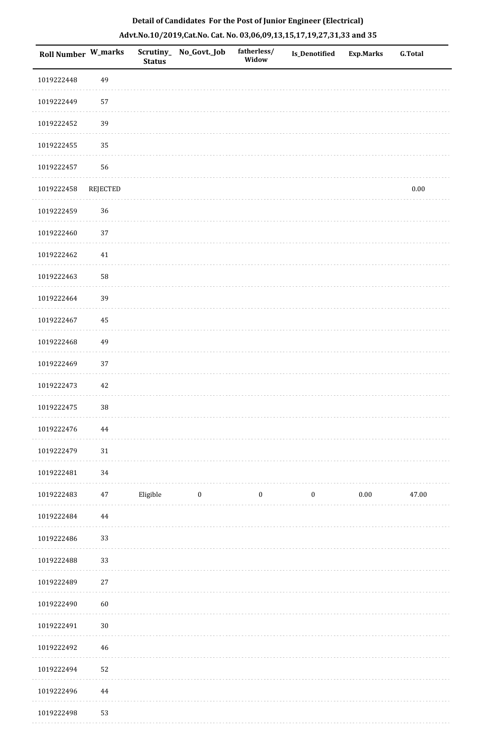|  | Detail of Candidates For the Post of Junior Engineer (Electrical)     |  |
|--|-----------------------------------------------------------------------|--|
|  | Advt.No.10/2019,Cat.No. Cat. No. 03,06,09,13,15,17,19,27,31,33 and 35 |  |

| <b>Roll Number W_marks</b> |          | <b>Status</b> | Scrutiny_ No_Govt._Job | fatherless/<br>Widow | Is_Denotified    | <b>Exp.Marks</b> | <b>G.Total</b> |
|----------------------------|----------|---------------|------------------------|----------------------|------------------|------------------|----------------|
| 1019222448                 | 49       |               |                        |                      |                  |                  |                |
| 1019222449                 | 57       |               |                        |                      |                  |                  |                |
| 1019222452                 | 39       |               |                        |                      |                  |                  |                |
| 1019222455                 | 35       |               |                        |                      |                  |                  |                |
| 1019222457                 | 56       |               |                        |                      |                  |                  |                |
| 1019222458                 | REJECTED |               |                        |                      |                  |                  | $0.00\,$       |
| 1019222459                 | 36       |               |                        |                      |                  |                  |                |
| 1019222460                 | 37       |               |                        |                      |                  |                  |                |
| 1019222462                 | $41\,$   |               |                        |                      |                  |                  |                |
| 1019222463                 | 58       |               |                        |                      |                  |                  |                |
| 1019222464                 | 39       |               |                        |                      |                  |                  |                |
| 1019222467                 | 45       |               |                        |                      |                  |                  |                |
| 1019222468                 | 49       |               |                        |                      |                  |                  |                |
| 1019222469                 | 37       |               |                        |                      |                  |                  |                |
| 1019222473                 | 42       |               |                        |                      |                  |                  |                |
| 1019222475                 | 38       |               |                        |                      |                  |                  |                |
| 1019222476                 | 44       |               |                        |                      |                  |                  |                |
| 1019222479                 | 31       |               |                        |                      |                  |                  |                |
| 1019222481                 | 34       |               |                        |                      |                  |                  |                |
| 1019222483                 | 47       | Eligible      | $\boldsymbol{0}$       | $\boldsymbol{0}$     | $\boldsymbol{0}$ | 0.00             | 47.00          |
| 1019222484                 | 44       |               |                        |                      |                  |                  |                |
| 1019222486                 | 33       |               |                        |                      |                  |                  |                |
| 1019222488                 | 33       |               |                        |                      |                  |                  |                |
| 1019222489                 | $27\,$   |               |                        |                      |                  |                  |                |
| 1019222490                 | 60       |               |                        |                      |                  |                  |                |
| 1019222491                 | $30\,$   |               |                        |                      |                  |                  |                |
| 1019222492                 | 46       |               |                        |                      |                  |                  |                |
| 1019222494                 | 52       |               |                        |                      |                  |                  |                |
| 1019222496                 | 44       |               |                        |                      |                  |                  |                |
| 1019222498                 | 53       |               |                        |                      |                  |                  |                |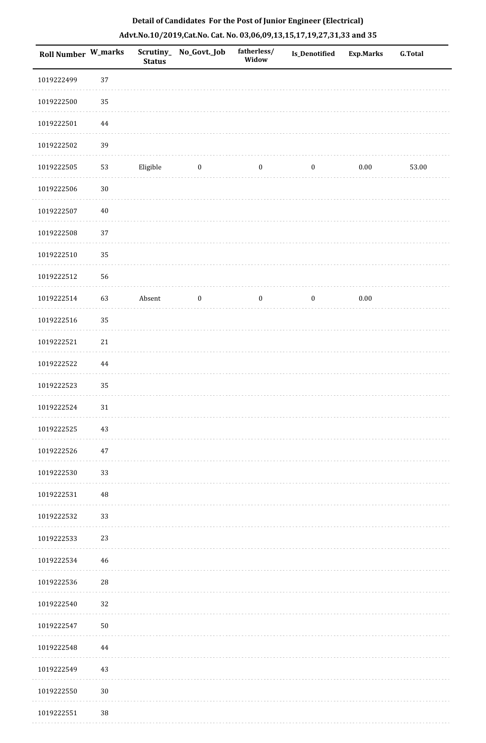| Roll Number W_marks |          | <b>Status</b> | Scrutiny_No_Govt._Job   | fatherless/<br>Widow | Is_Denotified    | <b>Exp.Marks</b> | <b>G.Total</b> |
|---------------------|----------|---------------|-------------------------|----------------------|------------------|------------------|----------------|
| 1019222499          | 37       |               |                         |                      |                  |                  |                |
| 1019222500          | 35       |               |                         |                      |                  |                  |                |
| 1019222501          | $\bf 44$ |               |                         |                      |                  |                  |                |
| 1019222502          | 39       |               |                         |                      |                  |                  |                |
| 1019222505          | 53       | Eligible      | $\overline{\mathbf{0}}$ | $\boldsymbol{0}$     | $\bf{0}$         | $0.00\,$         | 53.00          |
| 1019222506          | $30\,$   |               |                         |                      |                  |                  |                |
| 1019222507          | $40\,$   |               |                         |                      |                  |                  |                |
| 1019222508          | 37       |               |                         |                      |                  |                  |                |
| 1019222510          | 35       |               |                         |                      |                  |                  |                |
| 1019222512          | 56       |               |                         |                      |                  |                  |                |
| 1019222514          | 63       | Absent        | $\boldsymbol{0}$        | $\boldsymbol{0}$     | $\boldsymbol{0}$ | $0.00\,$         |                |
| 1019222516          | 35       |               |                         |                      |                  |                  |                |
| 1019222521          | $21\,$   |               |                         |                      |                  |                  |                |
| 1019222522          | $\bf 44$ |               |                         |                      |                  |                  |                |
| 1019222523          | 35       |               |                         |                      |                  |                  |                |
| 1019222524          | $31\,$   |               |                         |                      |                  |                  |                |
| 1019222525          | 43       |               |                         |                      |                  |                  |                |
| 1019222526          | 47       |               |                         |                      |                  |                  |                |
| 1019222530          | 33       |               |                         |                      |                  |                  |                |
| 1019222531          | $\rm 48$ |               |                         |                      |                  |                  |                |
| 1019222532          | 33       |               |                         |                      |                  |                  |                |
| 1019222533          | 23       |               |                         |                      |                  |                  |                |
| 1019222534          | 46       |               |                         |                      |                  |                  |                |
| 1019222536          | $28\,$   |               |                         |                      |                  |                  |                |
| 1019222540          | 32       |               |                         |                      |                  |                  |                |
| 1019222547          | $50\,$   |               |                         |                      |                  |                  |                |
| 1019222548          | 44       |               |                         |                      |                  |                  |                |
| 1019222549          | 43       |               |                         |                      |                  |                  |                |
| 1019222550          | $30\,$   |               |                         |                      |                  |                  |                |
| 1019222551          | 38       |               |                         |                      |                  |                  |                |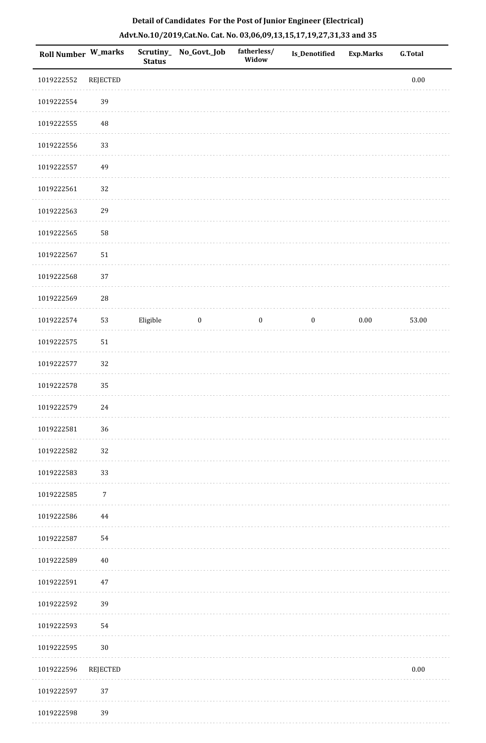| Roll Number W_marks |                 | <b>Status</b> | Scrutiny_ No_Govt._Job | fatherless/<br>Widow | Is_Denotified    | <b>Exp.Marks</b> | <b>G.Total</b> |
|---------------------|-----------------|---------------|------------------------|----------------------|------------------|------------------|----------------|
| 1019222552          | REJECTED        |               |                        |                      |                  |                  | $0.00\,$       |
| 1019222554          | 39              |               |                        |                      |                  |                  |                |
| 1019222555          | 48              |               |                        |                      |                  |                  |                |
| 1019222556          | 33              |               |                        |                      |                  |                  |                |
| 1019222557          | 49              |               |                        |                      |                  |                  |                |
| 1019222561          | 32              |               |                        |                      |                  |                  |                |
| 1019222563          | 29              |               |                        |                      |                  |                  |                |
| 1019222565          | 58              |               |                        |                      |                  |                  |                |
| 1019222567          | $51\,$          |               |                        |                      |                  |                  |                |
| 1019222568          | 37              |               |                        |                      |                  |                  |                |
| 1019222569          | ${\bf 28}$      |               |                        |                      |                  |                  |                |
| 1019222574          | 53              | Eligible      | $\boldsymbol{0}$       | $\boldsymbol{0}$     | $\boldsymbol{0}$ | $0.00\,$         | 53.00          |
| 1019222575          | $51\,$          |               |                        |                      |                  |                  |                |
| 1019222577          | 32              |               |                        |                      |                  |                  |                |
| 1019222578          | 35              |               |                        |                      |                  |                  |                |
| 1019222579          | 24              |               |                        |                      |                  |                  |                |
| 1019222581          | 36              |               |                        |                      |                  |                  |                |
| 1019222582          | 32              |               |                        |                      |                  |                  |                |
| 1019222583          | 33              |               |                        |                      |                  |                  |                |
| 1019222585          | $\sqrt{7}$      |               |                        |                      |                  |                  |                |
| 1019222586          | 44              |               |                        |                      |                  |                  |                |
| 1019222587          | 54              |               |                        |                      |                  |                  |                |
| 1019222589          | $40\,$          |               |                        |                      |                  |                  |                |
| 1019222591          | $47\,$          |               |                        |                      |                  |                  |                |
| 1019222592          | 39              |               |                        |                      |                  |                  |                |
| 1019222593          | 54              |               |                        |                      |                  |                  |                |
| 1019222595          | $30\,$          |               |                        |                      |                  |                  |                |
| 1019222596          | <b>REJECTED</b> |               |                        |                      |                  |                  | $0.00\,$       |
| 1019222597          | 37              |               |                        |                      |                  |                  |                |
| 1019222598          | 39              |               |                        |                      |                  |                  |                |

. . . . . . . . . . .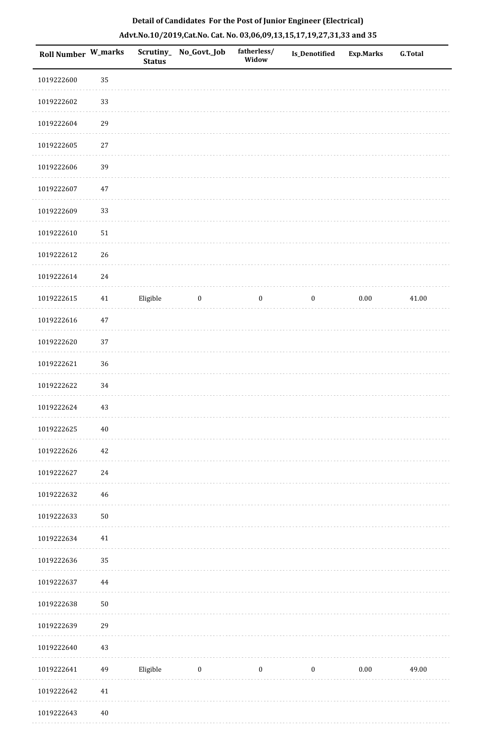| Roll Number W_marks |        | <b>Status</b> | Scrutiny_No_Govt._Job | fatherless/<br>Widow | Is_Denotified    | <b>Exp.Marks</b> | G.Total |
|---------------------|--------|---------------|-----------------------|----------------------|------------------|------------------|---------|
| 1019222600          | 35     |               |                       |                      |                  |                  |         |
| 1019222602          | 33     |               |                       |                      |                  |                  |         |
| 1019222604          | 29     |               |                       |                      |                  |                  |         |
| 1019222605          | $27\,$ |               |                       |                      |                  |                  |         |
| 1019222606          | 39     |               |                       |                      |                  |                  |         |
| 1019222607          | 47     |               |                       |                      |                  |                  |         |
| 1019222609          | 33     |               |                       |                      |                  |                  |         |
| 1019222610          | $51\,$ |               |                       |                      |                  |                  |         |
| 1019222612          | 26     |               |                       |                      |                  |                  |         |
| 1019222614          | 24     |               |                       |                      |                  |                  |         |
| 1019222615          | 41     | Eligible      | $\bf{0}$              | $\boldsymbol{0}$     | $\boldsymbol{0}$ | $0.00\,$         | 41.00   |
| 1019222616          | $47\,$ |               |                       |                      |                  |                  |         |
| 1019222620          | 37     |               |                       |                      |                  |                  |         |
| 1019222621          | 36     |               |                       |                      |                  |                  |         |
| 1019222622          | 34     |               |                       |                      |                  |                  |         |
| 1019222624          | $43\,$ |               |                       |                      |                  |                  |         |
| 1019222625          | $40\,$ |               |                       |                      |                  |                  |         |
| 1019222626          | 42     |               |                       |                      |                  |                  |         |
| 1019222627          | 24     |               |                       |                      |                  |                  |         |
| 1019222632          | 46     |               |                       |                      |                  |                  |         |
| 1019222633          | $50\,$ |               |                       |                      |                  |                  |         |
| 1019222634          | $41\,$ |               |                       |                      |                  |                  |         |
| 1019222636          | 35     |               |                       |                      |                  |                  |         |
| 1019222637          | 44     |               |                       |                      |                  |                  |         |
| 1019222638          | $50\,$ |               |                       |                      |                  |                  |         |
| 1019222639          | 29     |               |                       |                      |                  |                  |         |
| 1019222640          | $43\,$ |               |                       |                      |                  |                  |         |
| 1019222641          | 49     | Eligible      | $\bf{0}$              | $\boldsymbol{0}$     | $\boldsymbol{0}$ | $0.00\,$         | 49.00   |
| 1019222642          | $41\,$ |               |                       |                      |                  |                  |         |
| 1019222643          | $40\,$ |               |                       |                      |                  |                  |         |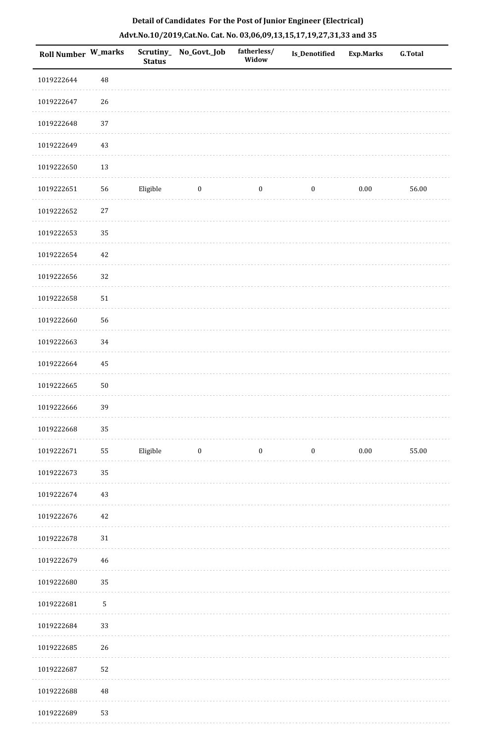| <b>Roll Number W_marks</b> |            | <b>Status</b> | Scrutiny_No_Govt._Job | fatherless/<br>Widow | Is_Denotified    | <b>Exp.Marks</b> | <b>G.Total</b> |
|----------------------------|------------|---------------|-----------------------|----------------------|------------------|------------------|----------------|
| 1019222644                 | $\rm 48$   |               |                       |                      |                  |                  |                |
| 1019222647                 | 26         |               |                       |                      |                  |                  |                |
| 1019222648                 | 37         |               |                       |                      |                  |                  |                |
| 1019222649                 | 43         |               |                       |                      |                  |                  |                |
| 1019222650                 | 13         |               |                       |                      |                  |                  |                |
| 1019222651                 | 56         | Eligible      | $\bf{0}$              | $\boldsymbol{0}$     | $\boldsymbol{0}$ | $0.00\,$         | 56.00          |
| 1019222652                 | $27\,$     |               |                       |                      |                  |                  |                |
| 1019222653                 | 35         |               |                       |                      |                  |                  |                |
| 1019222654                 | 42         |               |                       |                      |                  |                  |                |
| 1019222656                 | 32         |               |                       |                      |                  |                  |                |
| 1019222658                 | 51         |               |                       |                      |                  |                  |                |
| 1019222660                 | 56         |               |                       |                      |                  |                  |                |
| 1019222663                 | 34         |               |                       |                      |                  |                  |                |
| 1019222664                 | 45         |               |                       |                      |                  |                  |                |
| 1019222665                 | $50\,$     |               |                       |                      |                  |                  |                |
| 1019222666                 | 39         |               |                       |                      |                  |                  |                |
| 1019222668                 | 35         |               |                       |                      |                  |                  |                |
| 1019222671                 | 55         | Eligible      | $\boldsymbol{0}$      | $\boldsymbol{0}$     | $\boldsymbol{0}$ | $0.00\,$         | 55.00          |
| 1019222673                 | 35         |               |                       |                      |                  |                  |                |
| 1019222674                 | 43         |               |                       |                      |                  |                  |                |
| 1019222676                 | 42         |               |                       |                      |                  |                  |                |
| 1019222678                 | 31         |               |                       |                      |                  |                  |                |
| 1019222679                 | 46         |               |                       |                      |                  |                  |                |
| 1019222680                 | 35         |               |                       |                      |                  |                  |                |
| 1019222681                 | $\sqrt{5}$ |               |                       |                      |                  |                  |                |
| 1019222684                 | 33         |               |                       |                      |                  |                  |                |
| 1019222685                 | 26         |               |                       |                      |                  |                  |                |
| 1019222687                 | 52         |               |                       |                      |                  |                  |                |
| 1019222688                 | $\rm 48$   |               |                       |                      |                  |                  |                |
| 1019222689                 | 53         |               |                       |                      |                  |                  |                |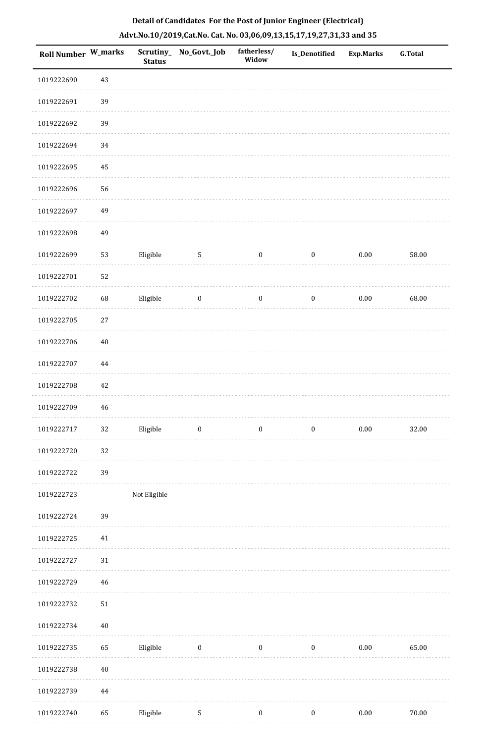| <b>Roll Number W_marks</b> |            | <b>Status</b> | Scrutiny_No_Govt._Job   | fatherless/<br>Widow | Is_Denotified    | <b>Exp.Marks</b> | <b>G.Total</b> |
|----------------------------|------------|---------------|-------------------------|----------------------|------------------|------------------|----------------|
| 1019222690                 | 43         |               |                         |                      |                  |                  |                |
| 1019222691                 | 39         |               |                         |                      |                  |                  |                |
| 1019222692                 | 39         |               |                         |                      |                  |                  |                |
| 1019222694                 | 34         |               |                         |                      |                  |                  |                |
| 1019222695                 | 45         |               |                         |                      |                  |                  |                |
| 1019222696                 | 56         |               |                         |                      |                  |                  |                |
| 1019222697                 | 49         |               |                         |                      |                  |                  |                |
| 1019222698                 | 49         |               |                         |                      |                  |                  |                |
| 1019222699                 | 53         | Eligible      | $5\phantom{.0}$         | $\boldsymbol{0}$     | $\boldsymbol{0}$ | $0.00\,$         | 58.00          |
| 1019222701                 | 52         |               |                         |                      |                  |                  |                |
| 1019222702                 | 68         | Eligible      | $\bf{0}$                | $\boldsymbol{0}$     | $\boldsymbol{0}$ | $0.00\,$         | 68.00          |
| 1019222705                 | $27\,$     |               |                         |                      |                  |                  |                |
| 1019222706                 | $40\,$     |               |                         |                      |                  |                  |                |
| 1019222707                 | 44         |               |                         |                      |                  |                  |                |
| 1019222708                 | $42\,$     |               |                         |                      |                  |                  |                |
| 1019222709                 | 46         |               |                         |                      |                  |                  |                |
| 1019222717                 | 32         | Eligible      | $\overline{\mathbf{0}}$ | $\boldsymbol{0}$     | $\boldsymbol{0}$ | $0.00\,$         | 32.00          |
| 1019222720                 | 32         |               |                         |                      |                  |                  |                |
| 1019222722                 | 39         |               |                         |                      |                  |                  |                |
| 1019222723                 |            | Not Eligible  |                         |                      |                  |                  |                |
| 1019222724                 | 39         |               |                         |                      |                  |                  |                |
| 1019222725                 | $41\,$     |               |                         |                      |                  |                  |                |
| 1019222727                 | $31\,$     |               |                         |                      |                  |                  |                |
| 1019222729                 | 46         |               |                         |                      |                  |                  |                |
| 1019222732                 | ${\bf 51}$ |               |                         |                      |                  |                  |                |
| 1019222734                 | $40\,$     |               |                         |                      |                  |                  |                |
| 1019222735                 | 65         | Eligible      | $\overline{\mathbf{0}}$ | $\boldsymbol{0}$     | $\bf{0}$         | $0.00\,$         | 65.00          |
| 1019222738                 | $40\,$     |               |                         |                      |                  |                  |                |
| 1019222739                 | 44         |               |                         |                      |                  |                  |                |
| 1019222740                 | 65         | Eligible      | $\sqrt{5}$              | $\boldsymbol{0}$     | $\boldsymbol{0}$ | $0.00\,$         | $70.00\,$      |
|                            |            |               |                         |                      |                  |                  |                |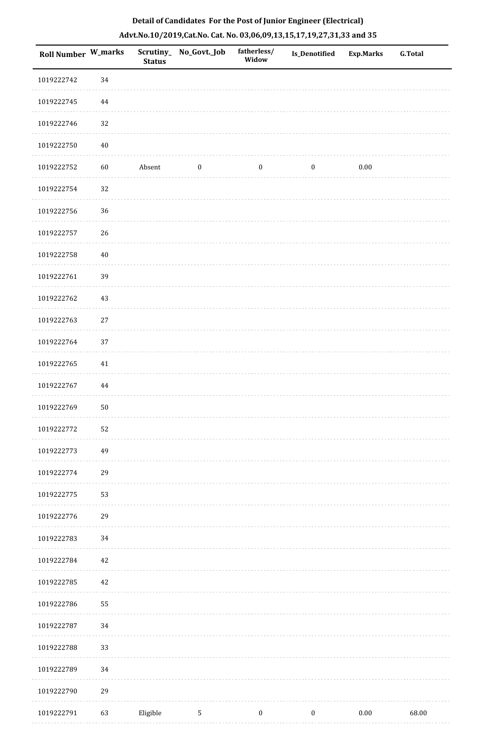| Roll Number W_marks |        | <b>Status</b> | Scrutiny_ No_Govt._Job | fatherless/<br>Widow | <b>Is_Denotified</b> | <b>Exp.Marks</b> | <b>G.Total</b> |
|---------------------|--------|---------------|------------------------|----------------------|----------------------|------------------|----------------|
| 1019222742          | 34     |               |                        |                      |                      |                  |                |
| 1019222745          | 44     |               |                        |                      |                      |                  |                |
| 1019222746          | 32     |               |                        |                      |                      |                  |                |
| 1019222750          | $40\,$ |               |                        |                      |                      |                  |                |
| 1019222752          | 60     | Absent        | $\boldsymbol{0}$       | $\boldsymbol{0}$     | $\boldsymbol{0}$     | 0.00             |                |
| 1019222754          | 32     |               |                        |                      |                      |                  |                |
| 1019222756          | 36     |               |                        |                      |                      |                  |                |
| 1019222757          | 26     |               |                        |                      |                      |                  |                |
| 1019222758          | $40\,$ |               |                        |                      |                      |                  |                |
| 1019222761          | 39     |               |                        |                      |                      |                  |                |
| 1019222762          | $43\,$ |               |                        |                      |                      |                  |                |
| 1019222763          | $27\,$ |               |                        |                      |                      |                  |                |
| 1019222764          | 37     |               |                        |                      |                      |                  |                |
| 1019222765          | $41\,$ |               |                        |                      |                      |                  |                |
| 1019222767          | 44     |               |                        |                      |                      |                  |                |
| 1019222769          | $50\,$ |               |                        |                      |                      |                  |                |
| 1019222772          | 52     |               |                        |                      |                      |                  |                |
| 1019222773          | 49     |               |                        |                      |                      |                  |                |
| 1019222774          | 29     |               |                        |                      |                      |                  |                |
| 1019222775          | 53     |               |                        |                      |                      |                  |                |
| 1019222776          | 29     |               |                        |                      |                      |                  |                |
| 1019222783          | 34     |               |                        |                      |                      |                  |                |
| 1019222784          | 42     |               |                        |                      |                      |                  |                |
| 1019222785          | 42     |               |                        |                      |                      |                  |                |
| 1019222786          | 55     |               |                        |                      |                      |                  |                |
| 1019222787          | 34     |               |                        |                      |                      |                  |                |
| 1019222788          | 33     |               |                        |                      |                      |                  |                |
| 1019222789          | 34     |               |                        |                      |                      |                  |                |
| 1019222790          | 29     |               |                        |                      |                      |                  |                |
| 1019222791          | 63     | Eligible      | $5\phantom{.0}$        | $\boldsymbol{0}$     | $\boldsymbol{0}$     | $0.00\,$         | 68.00          |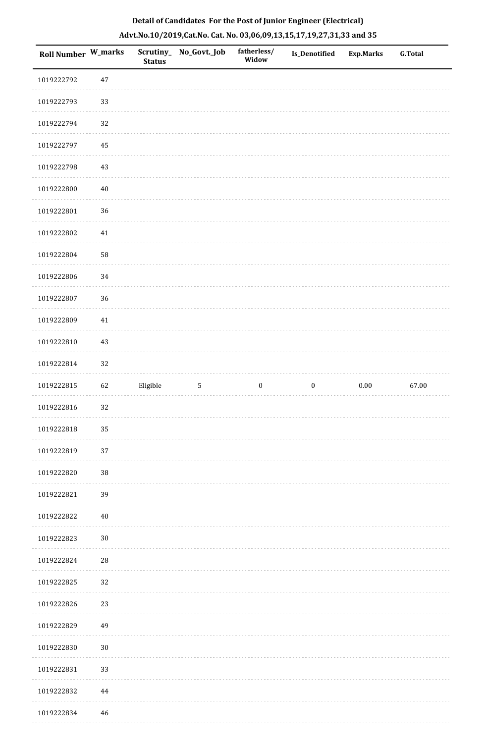| Roll Number W_marks |            | <b>Status</b> | Scrutiny_No_Govt._Job | fatherless/<br>Widow | Is_Denotified    | <b>Exp.Marks</b> | <b>G.Total</b> |
|---------------------|------------|---------------|-----------------------|----------------------|------------------|------------------|----------------|
| 1019222792          | $47\,$     |               |                       |                      |                  |                  |                |
| 1019222793          | 33         |               |                       |                      |                  |                  |                |
| 1019222794          | 32         |               |                       |                      |                  |                  |                |
| 1019222797          | 45         |               |                       |                      |                  |                  |                |
| 1019222798          | $43\,$     |               |                       |                      |                  |                  |                |
| 1019222800          | $40\,$     |               |                       |                      |                  |                  |                |
| 1019222801          | 36         |               |                       |                      |                  |                  |                |
| 1019222802          | $41\,$     |               |                       |                      |                  |                  |                |
| 1019222804          | 58         |               |                       |                      |                  |                  |                |
| 1019222806          | 34         |               |                       |                      |                  |                  |                |
| 1019222807          | 36         |               |                       |                      |                  |                  |                |
| 1019222809          | $41\,$     |               |                       |                      |                  |                  |                |
| 1019222810          | 43         |               |                       |                      |                  |                  |                |
| 1019222814          | 32         |               |                       |                      |                  |                  |                |
| 1019222815          | 62         | Eligible      | $\sqrt{5}$            | $\boldsymbol{0}$     | $\boldsymbol{0}$ | $0.00\,$         | 67.00          |
| 1019222816          | 32         |               |                       |                      |                  |                  |                |
| 1019222818          | 35         |               |                       |                      |                  |                  |                |
| 1019222819          | 37         |               |                       |                      |                  |                  |                |
| 1019222820          | $38\,$     |               |                       |                      |                  |                  |                |
| 1019222821          | 39         |               |                       |                      |                  |                  |                |
| 1019222822          | $40\,$     |               |                       |                      |                  |                  |                |
| 1019222823          | $30\,$     |               |                       |                      |                  |                  |                |
| 1019222824          | ${\bf 28}$ |               |                       |                      |                  |                  |                |
| 1019222825          | 32         |               |                       |                      |                  |                  |                |
| 1019222826          | 23         |               |                       |                      |                  |                  |                |
| 1019222829          | 49         |               |                       |                      |                  |                  |                |
| 1019222830          | $30\,$     |               |                       |                      |                  |                  |                |
| 1019222831          | 33         |               |                       |                      |                  |                  |                |
| 1019222832          | $\bf 44$   |               |                       |                      |                  |                  |                |
| 1019222834          | 46         |               |                       |                      |                  |                  |                |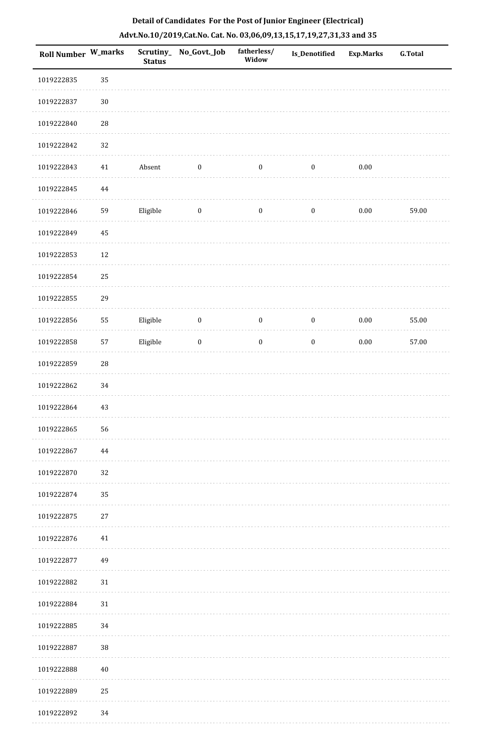| <b>Roll Number W_marks</b> |             | <b>Status</b> | Scrutiny_No_Govt._Job | fatherless/<br>Widow | Is_Denotified    | <b>Exp.Marks</b> | <b>G.Total</b> |
|----------------------------|-------------|---------------|-----------------------|----------------------|------------------|------------------|----------------|
| 1019222835                 | 35          |               |                       |                      |                  |                  |                |
| 1019222837                 | $30\,$      |               |                       |                      |                  |                  |                |
| 1019222840                 | 28          |               |                       |                      |                  |                  |                |
| 1019222842                 | 32          |               |                       |                      |                  |                  |                |
| 1019222843                 | $41\,$      | Absent        | $\bf{0}$              | $\boldsymbol{0}$     | $\boldsymbol{0}$ | $0.00\,$         |                |
| 1019222845                 | $\bf 44$    |               |                       |                      |                  |                  |                |
| 1019222846                 | 59          | Eligible      | $\boldsymbol{0}$      | $\boldsymbol{0}$     | $\boldsymbol{0}$ | $0.00\,$         | 59.00          |
| 1019222849                 | 45          |               |                       |                      |                  |                  |                |
| 1019222853                 | 12          |               |                       |                      |                  |                  |                |
| 1019222854                 | 25          |               |                       |                      |                  |                  |                |
| 1019222855                 | 29          |               |                       |                      |                  |                  |                |
| 1019222856                 | 55          | Eligible      | $\boldsymbol{0}$      | $\boldsymbol{0}$     | $\boldsymbol{0}$ | $0.00\,$         | 55.00          |
| 1019222858                 | 57          | Eligible      | $\boldsymbol{0}$      | $\boldsymbol{0}$     | $\boldsymbol{0}$ | $0.00\,$         | 57.00          |
| 1019222859                 | $\sqrt{28}$ |               |                       |                      |                  |                  |                |
| 1019222862                 | 34          |               |                       |                      |                  |                  |                |
| 1019222864                 | 43          |               |                       |                      |                  |                  |                |
| 1019222865                 | 56          |               |                       |                      |                  |                  |                |
| 1019222867                 | 44          |               |                       |                      |                  |                  |                |
| 1019222870                 | 32          |               |                       |                      |                  |                  |                |
| 1019222874                 | 35          |               |                       |                      |                  |                  |                |
| 1019222875                 | $27\,$      |               |                       |                      |                  |                  |                |
| 1019222876                 | 41          |               |                       |                      |                  |                  |                |
| 1019222877                 | 49          |               |                       |                      |                  |                  |                |
| 1019222882                 | $31\,$      |               |                       |                      |                  |                  |                |
| 1019222884                 | $31\,$      |               |                       |                      |                  |                  |                |
| 1019222885                 | 34          |               |                       |                      |                  |                  |                |
| 1019222887                 | 38          |               |                       |                      |                  |                  |                |
| 1019222888                 | 40          |               |                       |                      |                  |                  |                |
| 1019222889                 | 25          |               |                       |                      |                  |                  |                |
| 1019222892                 | 34          |               |                       |                      |                  |                  |                |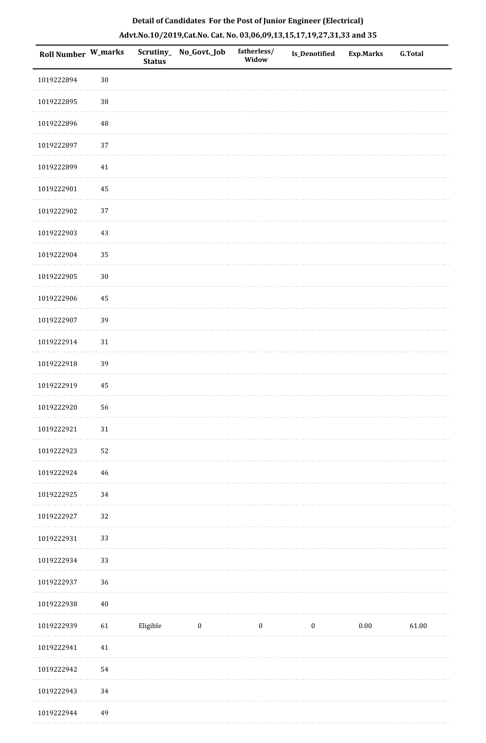| <b>Roll Number W_marks</b> |          | <b>Status</b> | Scrutiny_ No_Govt._Job | fatherless/<br>Widow | <b>Is_Denotified</b> | <b>Exp.Marks</b> | <b>G.Total</b> |
|----------------------------|----------|---------------|------------------------|----------------------|----------------------|------------------|----------------|
| 1019222894                 | $30\,$   |               |                        |                      |                      |                  |                |
| 1019222895                 | $38\,$   |               |                        |                      |                      |                  |                |
| 1019222896                 | $\rm 48$ |               |                        |                      |                      |                  |                |
| 1019222897                 | 37       |               |                        |                      |                      |                  |                |
| 1019222899                 | $41\,$   |               |                        |                      |                      |                  |                |
| 1019222901                 | 45       |               |                        |                      |                      |                  |                |
| 1019222902                 | 37       |               |                        |                      |                      |                  |                |
| 1019222903                 | 43       |               |                        |                      |                      |                  |                |
| 1019222904                 | 35       |               |                        |                      |                      |                  |                |
| 1019222905                 | $30\,$   |               |                        |                      |                      |                  |                |
| 1019222906                 | 45       |               |                        |                      |                      |                  |                |
| 1019222907                 | 39       |               |                        |                      |                      |                  |                |
| 1019222914                 | 31       |               |                        |                      |                      |                  |                |
| 1019222918                 | 39       |               |                        |                      |                      |                  |                |
| 1019222919                 | 45       |               |                        |                      |                      |                  |                |
| 1019222920                 | 56       |               |                        |                      |                      |                  |                |
| 1019222921                 | $31\,$   |               |                        |                      |                      |                  |                |
| 1019222923                 | 52       |               |                        |                      |                      |                  |                |
| 1019222924                 | 46       |               |                        |                      |                      |                  |                |
| 1019222925                 | 34       |               |                        |                      |                      |                  |                |
| 1019222927                 | 32       |               |                        |                      |                      |                  |                |
| 1019222931                 | 33       |               |                        |                      |                      |                  |                |
| 1019222934                 | 33       |               |                        |                      |                      |                  |                |
| 1019222937                 | 36       |               |                        |                      |                      |                  |                |
| 1019222938                 | $40\,$   |               |                        |                      |                      |                  |                |
| 1019222939                 | 61       | Eligible      | $\bf{0}$               | $\bf{0}$             | $\boldsymbol{0}$     | $0.00\,$         | 61.00          |
| 1019222941                 | $41\,$   |               |                        |                      |                      |                  |                |
| 1019222942                 | 54       |               |                        |                      |                      |                  |                |
| 1019222943                 | 34       |               |                        |                      |                      |                  |                |

## **Detail of Candidates For the Post of Junior Engineer (Electrical) Advt.No.10/2019,Cat.No. Cat. No. 03,06,09,13,15,17,19,27,31,33 and 35**

ò,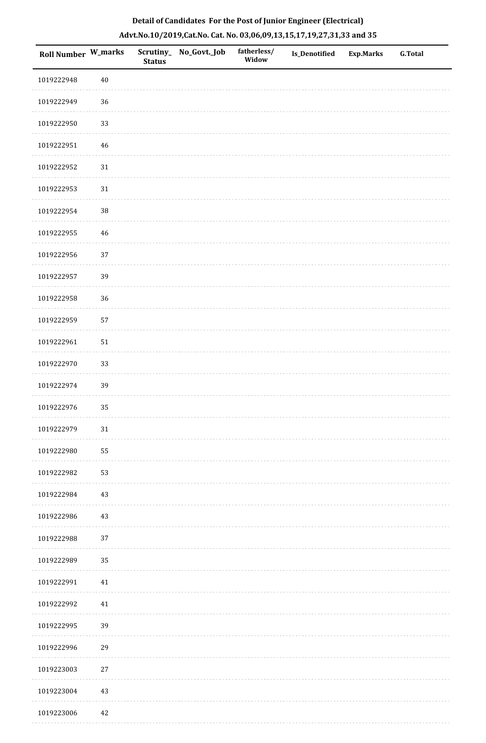| Roll Number W_marks |        | <b>Status</b> | Scrutiny_ No_Govt._Job | fatherless/<br>Widow | Is_Denotified | <b>Exp.Marks</b> | <b>G.Total</b> |
|---------------------|--------|---------------|------------------------|----------------------|---------------|------------------|----------------|
| 1019222948          | $40\,$ |               |                        |                      |               |                  |                |
| 1019222949          | 36     |               |                        |                      |               |                  |                |
| 1019222950          | 33     |               |                        |                      |               |                  |                |
| 1019222951          | 46     |               |                        |                      |               |                  |                |
| 1019222952          | $31\,$ |               |                        |                      |               |                  |                |
| 1019222953          | $31\,$ |               |                        |                      |               |                  |                |
| 1019222954          | $38\,$ |               |                        |                      |               |                  |                |
| 1019222955          | 46     |               |                        |                      |               |                  |                |
| 1019222956          | 37     |               |                        |                      |               |                  |                |
| 1019222957          | 39     |               |                        |                      |               |                  |                |
| 1019222958          | $36\,$ |               |                        |                      |               |                  |                |
| 1019222959          | 57     |               |                        |                      |               |                  |                |
| 1019222961          | 51     |               |                        |                      |               |                  |                |
| 1019222970          | 33     |               |                        |                      |               |                  |                |
| 1019222974          | 39     |               |                        |                      |               |                  |                |
| 1019222976          | 35     |               |                        |                      |               |                  |                |
| 1019222979          | $31\,$ |               |                        |                      |               |                  |                |
| 1019222980          | 55     |               |                        |                      |               |                  |                |
| 1019222982          | 53     |               |                        |                      |               |                  |                |
| 1019222984          | 43     |               |                        |                      |               |                  |                |
| 1019222986          | 43     |               |                        |                      |               |                  |                |
| 1019222988          | 37     |               |                        |                      |               |                  |                |
| 1019222989          | 35     |               |                        |                      |               |                  |                |
| 1019222991          | 41     |               |                        |                      |               |                  |                |
| 1019222992          | $41\,$ |               |                        |                      |               |                  |                |
| 1019222995          | 39     |               |                        |                      |               |                  |                |
| 1019222996          | 29     |               |                        |                      |               |                  |                |
| 1019223003          | 27     |               |                        |                      |               |                  |                |
| 1019223004          | $43\,$ |               |                        |                      |               |                  |                |
| 1019223006          | 42     |               |                        |                      |               |                  |                |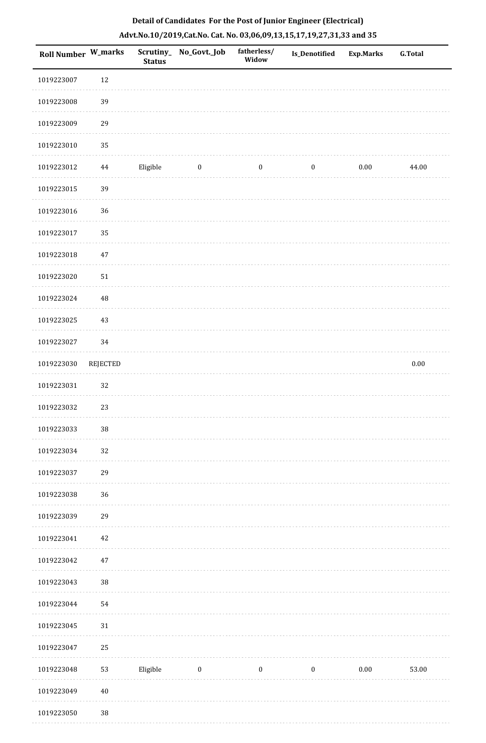| <b>Roll Number W_marks</b> |                 | <b>Status</b> | Scrutiny_ No_Govt._Job | fatherless/<br>Widow | Is_Denotified    | <b>Exp.Marks</b> | <b>G.Total</b> |
|----------------------------|-----------------|---------------|------------------------|----------------------|------------------|------------------|----------------|
| 1019223007                 | 12              |               |                        |                      |                  |                  |                |
| 1019223008                 | 39              |               |                        |                      |                  |                  |                |
| 1019223009                 | 29              |               |                        |                      |                  |                  |                |
| 1019223010                 | 35              |               |                        |                      |                  |                  |                |
| 1019223012                 | $44\,$          | Eligible      | $\bf{0}$               | $\bf{0}$             | $\boldsymbol{0}$ | 0.00             | 44.00          |
| 1019223015                 | 39              |               |                        |                      |                  |                  |                |
| 1019223016                 | 36              |               |                        |                      |                  |                  |                |
| 1019223017                 | 35              |               |                        |                      |                  |                  |                |
| 1019223018                 | 47              |               |                        |                      |                  |                  |                |
| 1019223020                 | $51\,$          |               |                        |                      |                  |                  |                |
| 1019223024                 | 48              |               |                        |                      |                  |                  |                |
| 1019223025                 | 43              |               |                        |                      |                  |                  |                |
| 1019223027                 | 34              |               |                        |                      |                  |                  |                |
| 1019223030                 | <b>REJECTED</b> |               |                        |                      |                  |                  | $0.00\,$       |
| 1019223031                 | 32              |               |                        |                      |                  |                  |                |
| 1019223032                 | 23              |               |                        |                      |                  |                  |                |
| 1019223033                 | $38\,$          |               |                        |                      |                  |                  |                |
| 1019223034                 | 32              |               |                        |                      |                  |                  |                |
| 1019223037                 | 29              |               |                        |                      |                  |                  |                |
| 1019223038                 | 36              |               |                        |                      |                  |                  |                |
| 1019223039                 | 29              |               |                        |                      |                  |                  |                |
| 1019223041                 | 42              |               |                        |                      |                  |                  |                |
| 1019223042                 | 47              |               |                        |                      |                  |                  |                |
| 1019223043                 | $38\,$          |               |                        |                      |                  |                  |                |
| 1019223044                 | 54              |               |                        |                      |                  |                  |                |
| 1019223045                 | $31\,$          |               |                        |                      |                  |                  |                |
| 1019223047                 | 25              |               |                        |                      |                  |                  |                |
| 1019223048                 | 53              | Eligible      | $\boldsymbol{0}$       | $\boldsymbol{0}$     | $\boldsymbol{0}$ | $0.00\,$         | 53.00          |
| 1019223049                 | $40\,$          |               |                        |                      |                  |                  |                |
| 1019223050                 | 38              |               |                        |                      |                  |                  |                |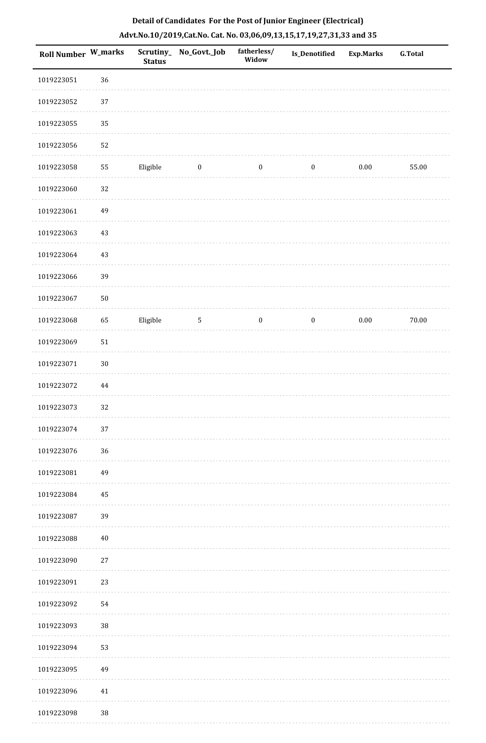| Roll Number W_marks |            | <b>Status</b> | Scrutiny_No_Govt._Job | fatherless/<br>Widow | Is_Denotified    | <b>Exp.Marks</b> | <b>G.Total</b> |
|---------------------|------------|---------------|-----------------------|----------------------|------------------|------------------|----------------|
| 1019223051          | 36         |               |                       |                      |                  |                  |                |
| 1019223052          | 37         |               |                       |                      |                  |                  |                |
| 1019223055          | 35         |               |                       |                      |                  |                  |                |
| 1019223056          | 52         |               |                       |                      |                  |                  |                |
| 1019223058          | 55         | Eligible      | $\bf{0}$              | $\boldsymbol{0}$     | $\boldsymbol{0}$ | $0.00\,$         | 55.00          |
| 1019223060          | 32         |               |                       |                      |                  |                  |                |
| 1019223061          | 49         |               |                       |                      |                  |                  |                |
| 1019223063          | 43         |               |                       |                      |                  |                  |                |
| 1019223064          | 43         |               |                       |                      |                  |                  |                |
| 1019223066          | 39         |               |                       |                      |                  |                  |                |
| 1019223067          | ${\bf 50}$ |               |                       |                      |                  |                  |                |
| 1019223068          | 65         | Eligible      | $\sqrt{5}$            | $\boldsymbol{0}$     | $\boldsymbol{0}$ | $0.00\,$         | 70.00          |
| 1019223069          | 51         |               |                       |                      |                  |                  |                |
| 1019223071          | $30\,$     |               |                       |                      |                  |                  |                |
| 1019223072          | 44         |               |                       |                      |                  |                  |                |
| 1019223073          | 32         |               |                       |                      |                  |                  |                |
| 1019223074          | 37         |               |                       |                      |                  |                  |                |
| 1019223076          | 36         |               |                       |                      |                  |                  |                |
| 1019223081          | 49         |               |                       |                      |                  |                  |                |
| 1019223084          | 45         |               |                       |                      |                  |                  |                |
| 1019223087          | 39         |               |                       |                      |                  |                  |                |
| 1019223088          | 40         |               |                       |                      |                  |                  |                |
| 1019223090          | 27         |               |                       |                      |                  |                  |                |
| 1019223091          | 23         |               |                       |                      |                  |                  |                |
| 1019223092          | 54         |               |                       |                      |                  |                  |                |
| 1019223093          | $38\,$     |               |                       |                      |                  |                  |                |
| 1019223094          | 53         |               |                       |                      |                  |                  |                |
| 1019223095          | 49         |               |                       |                      |                  |                  |                |
| 1019223096          | 41         |               |                       |                      |                  |                  |                |
| 1019223098          | $38\,$     |               |                       |                      |                  |                  |                |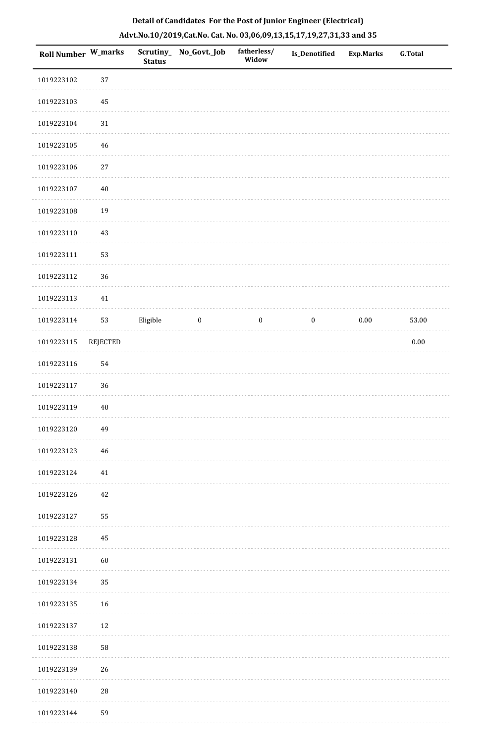| <b>Roll Number W_marks</b> |                 | <b>Status</b> | Scrutiny_No_Govt._Job | fatherless/<br>Widow | Is_Denotified    | <b>Exp.Marks</b> | <b>G.Total</b> |
|----------------------------|-----------------|---------------|-----------------------|----------------------|------------------|------------------|----------------|
| 1019223102                 | $37\,$          |               |                       |                      |                  |                  |                |
| 1019223103                 | 45              |               |                       |                      |                  |                  |                |
| 1019223104                 | 31              |               |                       |                      |                  |                  |                |
| 1019223105                 | 46              |               |                       |                      |                  |                  |                |
| 1019223106                 | $27\,$          |               |                       |                      |                  |                  |                |
| 1019223107                 | 40              |               |                       |                      |                  |                  |                |
| 1019223108                 | 19              |               |                       |                      |                  |                  |                |
| 1019223110                 | 43              |               |                       |                      |                  |                  |                |
| 1019223111                 | 53              |               |                       |                      |                  |                  |                |
| 1019223112                 | 36              |               |                       |                      |                  |                  |                |
| 1019223113                 | $41\,$          |               |                       |                      |                  |                  |                |
| 1019223114                 | 53              | Eligible      | $\boldsymbol{0}$      | $\boldsymbol{0}$     | $\boldsymbol{0}$ | $0.00\,$         | 53.00          |
| 1019223115                 | <b>REJECTED</b> |               |                       |                      |                  |                  | 0.00           |
| 1019223116                 | 54              |               |                       |                      |                  |                  |                |
| 1019223117                 | 36              |               |                       |                      |                  |                  |                |
| 1019223119                 | $40\,$          |               |                       |                      |                  |                  |                |
| 1019223120                 | 49              |               |                       |                      |                  |                  |                |
| 1019223123                 | 46              |               |                       |                      |                  |                  |                |
| 1019223124                 | $41\,$          |               |                       |                      |                  |                  |                |
| 1019223126                 | 42              |               |                       |                      |                  |                  |                |
| 1019223127                 | 55              |               |                       |                      |                  |                  |                |
| 1019223128                 | 45              |               |                       |                      |                  |                  |                |
| 1019223131                 | 60              |               |                       |                      |                  |                  |                |
| 1019223134                 | 35              |               |                       |                      |                  |                  |                |
| 1019223135                 | 16              |               |                       |                      |                  |                  |                |
| 1019223137                 | 12              |               |                       |                      |                  |                  |                |
| 1019223138                 | 58              |               |                       |                      |                  |                  |                |
| 1019223139                 | 26              |               |                       |                      |                  |                  |                |
| 1019223140                 | $\sqrt{28}$     |               |                       |                      |                  |                  |                |
| 1019223144                 | 59              |               |                       |                      |                  |                  |                |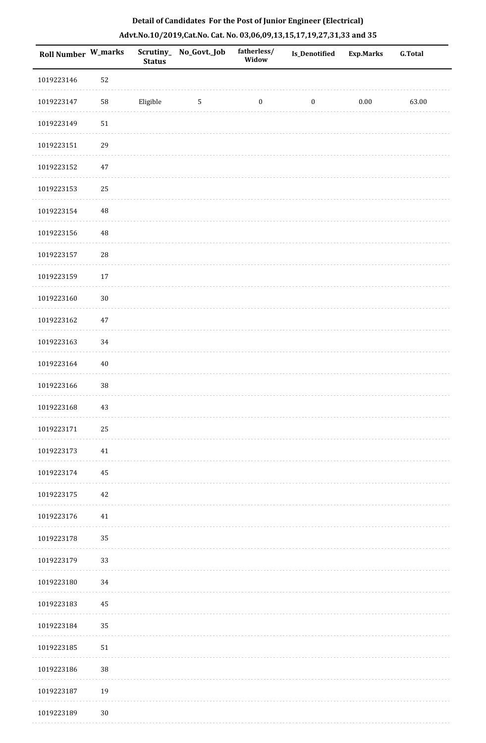| Roll Number W_marks |          | <b>Status</b> | Scrutiny_ No_Govt._Job | fatherless/<br>Widow | <b>Is_Denotified</b> | <b>Exp.Marks</b> | <b>G.Total</b> |
|---------------------|----------|---------------|------------------------|----------------------|----------------------|------------------|----------------|
| 1019223146          | 52       |               |                        |                      |                      |                  |                |
| 1019223147          | 58       | Eligible      | $5\phantom{.0}$        | $\boldsymbol{0}$     | $\boldsymbol{0}$     | $0.00\,$         | 63.00          |
| 1019223149          | $51\,$   |               |                        |                      |                      |                  |                |
| 1019223151          | 29       |               |                        |                      |                      |                  |                |
| 1019223152          | 47       |               |                        |                      |                      |                  |                |
| 1019223153          | 25       |               |                        |                      |                      |                  |                |
| 1019223154          | $\rm 48$ |               |                        |                      |                      |                  |                |
| 1019223156          | $\rm 48$ |               |                        |                      |                      |                  |                |
| 1019223157          | 28       |               |                        |                      |                      |                  |                |
| 1019223159          | $17\,$   |               |                        |                      |                      |                  |                |
| 1019223160          | $30\,$   |               |                        |                      |                      |                  |                |
| 1019223162          | $47\,$   |               |                        |                      |                      |                  |                |
| 1019223163          | 34       |               |                        |                      |                      |                  |                |
| 1019223164          | 40       |               |                        |                      |                      |                  |                |
| 1019223166          | 38       |               |                        |                      |                      |                  |                |
| 1019223168          | 43       |               |                        |                      |                      |                  |                |
| 1019223171          | 25       |               |                        |                      |                      |                  |                |
| 1019223173          | $41\,$   |               |                        |                      |                      |                  |                |
| 1019223174          | 45       |               |                        |                      |                      |                  |                |
| 1019223175          | 42       |               |                        |                      |                      |                  |                |
| 1019223176          | 41       |               |                        |                      |                      |                  |                |
| 1019223178          | 35       |               |                        |                      |                      |                  |                |
| 1019223179          | 33       |               |                        |                      |                      |                  |                |
| 1019223180          | 34       |               |                        |                      |                      |                  |                |
| 1019223183          | 45       |               |                        |                      |                      |                  |                |
| 1019223184          | 35       |               |                        |                      |                      |                  |                |
| 1019223185          | 51       |               |                        |                      |                      |                  |                |
| 1019223186          | 38       |               |                        |                      |                      |                  |                |
| 1019223187          | 19       |               |                        |                      |                      |                  |                |
| 1019223189          | $30\,$   |               |                        |                      |                      |                  |                |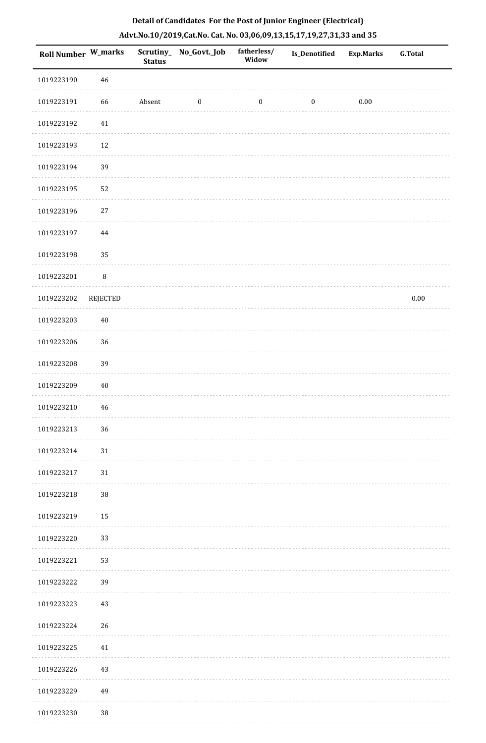| Roll Number W_marks |             | <b>Status</b> | Scrutiny_No_Govt._Job | fatherless/<br>Widow | Is_Denotified    | <b>Exp.Marks</b> | <b>G.Total</b> |
|---------------------|-------------|---------------|-----------------------|----------------------|------------------|------------------|----------------|
| 1019223190          | $\sqrt{46}$ |               |                       |                      |                  |                  |                |
| 1019223191          | 66          | Absent        | $\boldsymbol{0}$      | $\boldsymbol{0}$     | $\boldsymbol{0}$ | $0.00\,$         |                |
| 1019223192          | $41\,$      |               |                       |                      |                  |                  |                |
| 1019223193          | $12\,$      |               |                       |                      |                  |                  |                |
| 1019223194          | 39          |               |                       |                      |                  |                  |                |
| 1019223195          | 52          |               |                       |                      |                  |                  |                |
| 1019223196          | $27\,$      |               |                       |                      |                  |                  |                |
| 1019223197          | 44          |               |                       |                      |                  |                  |                |
| 1019223198          | 35          |               |                       |                      |                  |                  |                |
| 1019223201          | $\, 8$      |               |                       |                      |                  |                  |                |
| 1019223202          | REJECTED    |               |                       |                      |                  |                  | $0.00\,$       |
| 1019223203          | $40\,$      |               |                       |                      |                  |                  |                |
| 1019223206          | 36          |               |                       |                      |                  |                  |                |
| 1019223208          | 39          |               |                       |                      |                  |                  |                |
| 1019223209          | $40\,$      |               |                       |                      |                  |                  |                |
| 1019223210          | 46          |               |                       |                      |                  |                  |                |
| 1019223213          | 36          |               |                       |                      |                  |                  |                |
| 1019223214          | 31          |               |                       |                      |                  |                  |                |
| 1019223217          | 31          |               |                       |                      |                  |                  |                |
| 1019223218          | 38          |               |                       |                      |                  |                  |                |
| 1019223219          | 15          |               |                       |                      |                  |                  |                |
| 1019223220          | 33          |               |                       |                      |                  |                  |                |
| 1019223221          | 53          |               |                       |                      |                  |                  |                |
| 1019223222          | 39          |               |                       |                      |                  |                  |                |
| 1019223223          | 43          |               |                       |                      |                  |                  |                |
| 1019223224          | 26          |               |                       |                      |                  |                  |                |
| 1019223225          | 41          |               |                       |                      |                  |                  |                |
| 1019223226          | 43          |               |                       |                      |                  |                  |                |
| 1019223229          | 49          |               |                       |                      |                  |                  |                |
| 1019223230          | $38\,$      |               |                       |                      |                  |                  |                |

. . . . . . .

. . . . . . . . . . .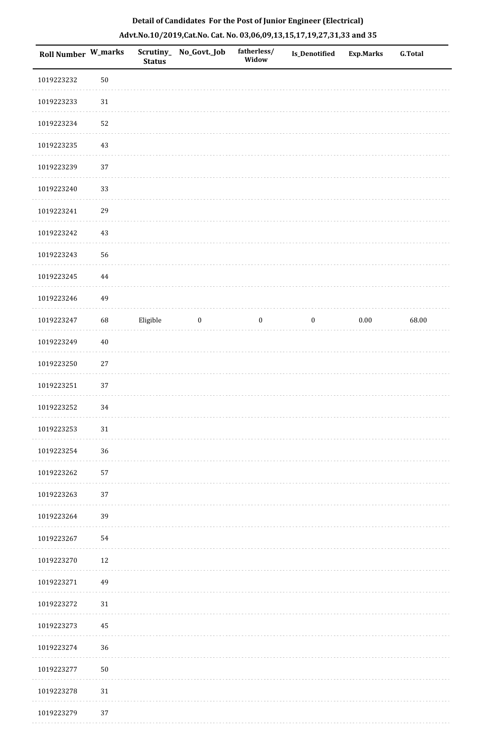| <b>Roll Number W_marks</b> |        | <b>Status</b> | Scrutiny_ No_Govt._Job | fatherless/<br>Widow | Is_Denotified    | Exp.Marks | <b>G.Total</b> |
|----------------------------|--------|---------------|------------------------|----------------------|------------------|-----------|----------------|
| 1019223232                 | $50\,$ |               |                        |                      |                  |           |                |
| 1019223233                 | $31\,$ |               |                        |                      |                  |           |                |
| 1019223234                 | 52     |               |                        |                      |                  |           |                |
| 1019223235                 | $43\,$ |               |                        |                      |                  |           |                |
| 1019223239                 | 37     |               |                        |                      |                  |           |                |
| 1019223240                 | 33     |               |                        |                      |                  |           |                |
| 1019223241                 | 29     |               |                        |                      |                  |           |                |
| 1019223242                 | $43\,$ |               |                        |                      |                  |           |                |
| 1019223243                 | 56     |               |                        |                      |                  |           |                |
| 1019223245                 | 44     |               |                        |                      |                  |           |                |
| 1019223246                 | 49     |               |                        |                      |                  |           |                |
| 1019223247                 | 68     | Eligible      | $\boldsymbol{0}$       | $\boldsymbol{0}$     | $\boldsymbol{0}$ | $0.00\,$  | 68.00          |
| 1019223249                 | $40\,$ |               |                        |                      |                  |           |                |
| 1019223250                 | $27\,$ |               |                        |                      |                  |           |                |
| 1019223251                 | 37     |               |                        |                      |                  |           |                |
| 1019223252                 | 34     |               |                        |                      |                  |           |                |
| 1019223253                 | 31     |               |                        |                      |                  |           |                |
| 1019223254                 | 36     |               |                        |                      |                  |           |                |
| 1019223262                 | 57     |               |                        |                      |                  |           |                |
| 1019223263                 | 37     |               |                        |                      |                  |           |                |
| 1019223264                 | 39     |               |                        |                      |                  |           |                |
| 1019223267                 | 54     |               |                        |                      |                  |           |                |
| 1019223270                 | 12     |               |                        |                      |                  |           |                |
| 1019223271                 | 49     |               |                        |                      |                  |           |                |
| 1019223272                 | $31\,$ |               |                        |                      |                  |           |                |
| 1019223273                 | 45     |               |                        |                      |                  |           |                |
| 1019223274                 | 36     |               |                        |                      |                  |           |                |
| 1019223277                 | 50     |               |                        |                      |                  |           |                |
| 1019223278                 | $31\,$ |               |                        |                      |                  |           |                |
| 1019223279                 | 37     |               |                        |                      |                  |           |                |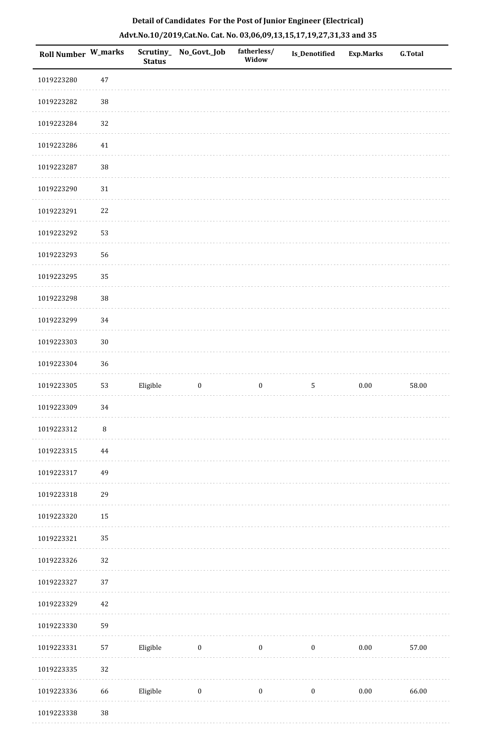| Roll Number W_marks |        | <b>Status</b> | Scrutiny_No_Govt._Job | fatherless/<br>Widow | <b>Is_Denotified</b> | Exp.Marks | <b>G.Total</b> |
|---------------------|--------|---------------|-----------------------|----------------------|----------------------|-----------|----------------|
| 1019223280          | $47\,$ |               |                       |                      |                      |           |                |
| 1019223282          | $38\,$ |               |                       |                      |                      |           |                |
| 1019223284          | 32     |               |                       |                      |                      |           |                |
| 1019223286          | $41\,$ |               |                       |                      |                      |           |                |
| 1019223287          | 38     |               |                       |                      |                      |           |                |
| 1019223290          | $31\,$ |               |                       |                      |                      |           |                |
| 1019223291          | $22\,$ |               |                       |                      |                      |           |                |
| 1019223292          | 53     |               |                       |                      |                      |           |                |
| 1019223293          | 56     |               |                       |                      |                      |           |                |
| 1019223295          | 35     |               |                       |                      |                      |           |                |
| 1019223298          | 38     |               |                       |                      |                      |           |                |
| 1019223299          | 34     |               |                       |                      |                      |           |                |
| 1019223303          | $30\,$ |               |                       |                      |                      |           |                |
| 1019223304          | 36     |               |                       |                      |                      |           |                |
| 1019223305          | 53     | Eligible      | $\boldsymbol{0}$      | $\boldsymbol{0}$     | $5\phantom{.0}$      | $0.00\,$  | 58.00          |
| 1019223309          | 34     |               |                       |                      |                      |           |                |
| 1019223312          | $\, 8$ |               |                       |                      |                      |           |                |
| 1019223315          | 44     |               |                       |                      |                      |           |                |
| 1019223317          | 49     |               |                       |                      |                      |           |                |
| 1019223318          | 29     |               |                       |                      |                      |           |                |
| 1019223320          | 15     |               |                       |                      |                      |           |                |
| 1019223321          | 35     |               |                       |                      |                      |           |                |
| 1019223326          | 32     |               |                       |                      |                      |           |                |
| 1019223327          | 37     |               |                       |                      |                      |           |                |
| 1019223329          | 42     |               |                       |                      |                      |           |                |
| 1019223330          | 59     |               |                       |                      |                      |           |                |
| 1019223331          | 57     | Eligible      | $\bf{0}$              | $\boldsymbol{0}$     | $\boldsymbol{0}$     | $0.00\,$  | 57.00          |
| 1019223335          | 32     |               |                       |                      |                      |           |                |
| 1019223336          | 66     | Eligible      | $\boldsymbol{0}$      | $\boldsymbol{0}$     | $\boldsymbol{0}$     | $0.00\,$  | 66.00          |
| 1019223338          | $38\,$ |               |                       |                      |                      |           |                |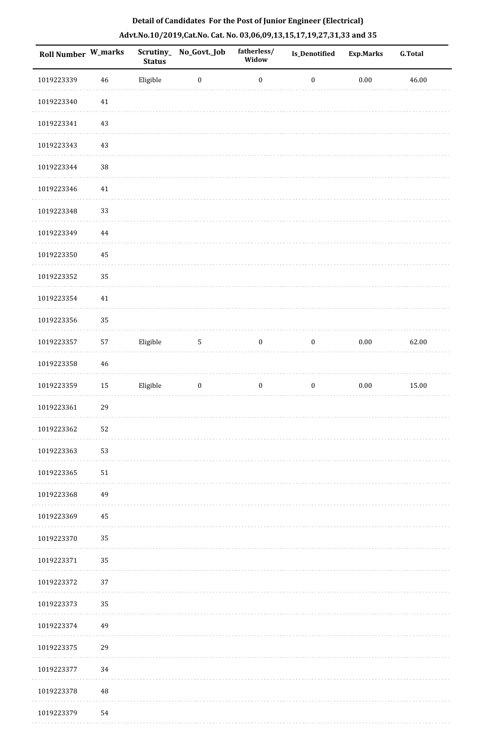| Roll Number W_marks |        | <b>Status</b> | Scrutiny_No_Govt._Job | fatherless/<br>Widow | Is_Denotified    | <b>Exp.Marks</b> | <b>G.Total</b> |
|---------------------|--------|---------------|-----------------------|----------------------|------------------|------------------|----------------|
| 1019223339          | 46     | Eligible      | $\boldsymbol{0}$      | $\boldsymbol{0}$     | $\boldsymbol{0}$ | $0.00\,$         | 46.00          |
| 1019223340          | $41\,$ |               |                       |                      |                  |                  |                |
| 1019223341          | 43     |               |                       |                      |                  |                  |                |
| 1019223343          | 43     |               |                       |                      |                  |                  |                |
| 1019223344          | $38\,$ |               |                       |                      |                  |                  |                |
| 1019223346          | $41\,$ |               |                       |                      |                  |                  |                |
| 1019223348          | 33     |               |                       |                      |                  |                  |                |
| 1019223349          | 44     |               |                       |                      |                  |                  |                |
| 1019223350          | 45     |               |                       |                      |                  |                  |                |
| 1019223352          | 35     |               |                       |                      |                  |                  |                |
| 1019223354          | $41\,$ |               |                       |                      |                  |                  |                |
| 1019223356          | 35     |               |                       |                      |                  |                  |                |
| 1019223357          | 57     | Eligible      | $\mathbf 5$           | $\boldsymbol{0}$     | $\bf{0}$         | $0.00\,$         | 62.00          |
| 1019223358          | 46     |               |                       |                      |                  |                  |                |
| 1019223359          | 15     | Eligible      | $\boldsymbol{0}$      | $\boldsymbol{0}$     | $\boldsymbol{0}$ | $0.00\,$         | 15.00          |
| 1019223361          | 29     |               |                       |                      |                  |                  |                |
| 1019223362          | 52     |               |                       |                      |                  |                  |                |
| 1019223363          | 53     |               |                       |                      |                  |                  |                |
| 1019223365          | 51     |               |                       |                      |                  |                  |                |
| 1019223368          | 49     |               |                       |                      |                  |                  |                |
| 1019223369          | 45     |               |                       |                      |                  |                  |                |
| 1019223370          | 35     |               |                       |                      |                  |                  |                |
| 1019223371          | 35     |               |                       |                      |                  |                  |                |
| 1019223372          | 37     |               |                       |                      |                  |                  |                |
| 1019223373          | 35     |               |                       |                      |                  |                  |                |
| 1019223374          | 49     |               |                       |                      |                  |                  |                |
| 1019223375          | 29     |               |                       |                      |                  |                  |                |
| 1019223377          | 34     |               |                       |                      |                  |                  |                |
| 1019223378          | 48     |               |                       |                      |                  |                  |                |
| 1019223379          | 54     |               |                       |                      |                  |                  |                |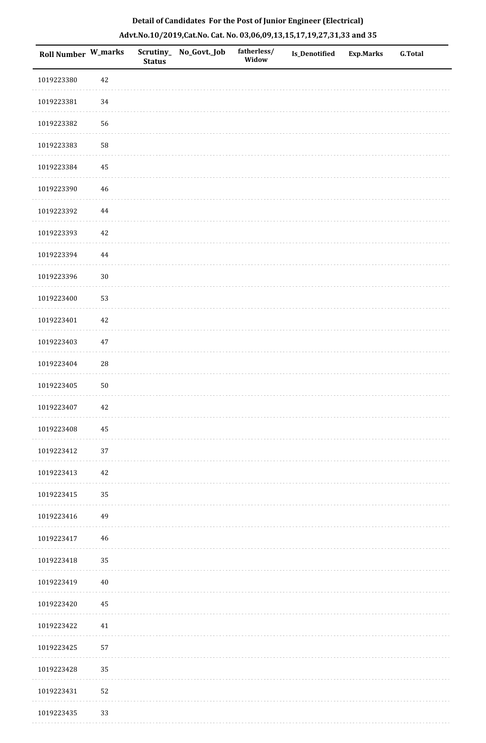| <b>Roll Number W_marks</b> |             | <b>Status</b> | Scrutiny_ No_Govt._Job | fatherless/<br>Widow | Is_Denotified | <b>Exp.Marks</b> | <b>G.Total</b> |
|----------------------------|-------------|---------------|------------------------|----------------------|---------------|------------------|----------------|
| 1019223380                 | 42          |               |                        |                      |               |                  |                |
| 1019223381                 | 34          |               |                        |                      |               |                  |                |
| 1019223382                 | 56          |               |                        |                      |               |                  |                |
| 1019223383                 | 58          |               |                        |                      |               |                  |                |
| 1019223384                 | $\bf 45$    |               |                        |                      |               |                  |                |
| 1019223390                 | 46          |               |                        |                      |               |                  |                |
| 1019223392                 | $\bf 44$    |               |                        |                      |               |                  |                |
| 1019223393                 | 42          |               |                        |                      |               |                  |                |
| 1019223394                 | $\bf 44$    |               |                        |                      |               |                  |                |
| 1019223396                 | $30\,$      |               |                        |                      |               |                  |                |
| 1019223400                 | 53          |               |                        |                      |               |                  |                |
| 1019223401                 | 42          |               |                        |                      |               |                  |                |
| 1019223403                 | $47\,$      |               |                        |                      |               |                  |                |
| 1019223404                 | $\sqrt{28}$ |               |                        |                      |               |                  |                |
| 1019223405                 | ${\bf 50}$  |               |                        |                      |               |                  |                |
| 1019223407                 | 42          |               |                        |                      |               |                  |                |
| 1019223408                 | $\bf 45$    |               |                        |                      |               |                  |                |
| 1019223412                 | 37          |               |                        |                      |               |                  |                |
| 1019223413                 | 42          |               |                        |                      |               |                  |                |
| 1019223415                 | 35          |               |                        |                      |               |                  |                |
| 1019223416                 | 49          |               |                        |                      |               |                  |                |
| 1019223417                 | 46          |               |                        |                      |               |                  |                |
| 1019223418                 | 35          |               |                        |                      |               |                  |                |
| 1019223419                 | $40\,$      |               |                        |                      |               |                  |                |
| 1019223420                 | 45          |               |                        |                      |               |                  |                |
| 1019223422                 | 41          |               |                        |                      |               |                  |                |
| 1019223425                 | 57          |               |                        |                      |               |                  |                |
| 1019223428                 | 35          |               |                        |                      |               |                  |                |
| 1019223431                 | 52          |               |                        |                      |               |                  |                |
| 1019223435                 | 33          |               |                        |                      |               |                  |                |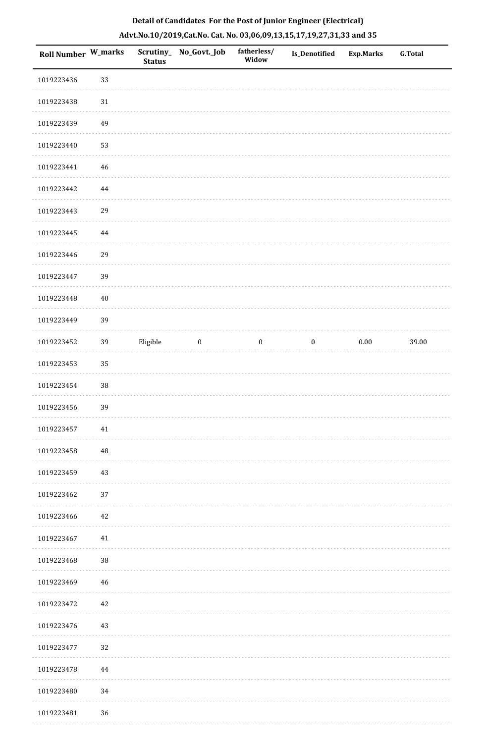| Roll Number W_marks |          | <b>Status</b> | Scrutiny_ No_Govt._Job | fatherless/<br>Widow | Is_Denotified    | <b>Exp.Marks</b> | <b>G.Total</b> |
|---------------------|----------|---------------|------------------------|----------------------|------------------|------------------|----------------|
| 1019223436          | 33       |               |                        |                      |                  |                  |                |
| 1019223438          | $31\,$   |               |                        |                      |                  |                  |                |
| 1019223439          | 49       |               |                        |                      |                  |                  |                |
| 1019223440          | 53       |               |                        |                      |                  |                  |                |
| 1019223441          | 46       |               |                        |                      |                  |                  |                |
| 1019223442          | 44       |               |                        |                      |                  |                  |                |
| 1019223443          | 29       |               |                        |                      |                  |                  |                |
| 1019223445          | 44       |               |                        |                      |                  |                  |                |
| 1019223446          | 29       |               |                        |                      |                  |                  |                |
| 1019223447          | 39       |               |                        |                      |                  |                  |                |
| 1019223448          | $40\,$   |               |                        |                      |                  |                  |                |
| 1019223449          | 39       |               |                        |                      |                  |                  |                |
| 1019223452          | 39       | Eligible      | $\boldsymbol{0}$       | $\boldsymbol{0}$     | $\boldsymbol{0}$ | $0.00\,$         | 39.00          |
| 1019223453          | 35       |               |                        |                      |                  |                  |                |
| 1019223454          | 38       |               |                        |                      |                  |                  |                |
| 1019223456          | 39       |               |                        |                      |                  |                  |                |
| 1019223457          | 41       |               |                        |                      |                  |                  |                |
| 1019223458          | $\rm 48$ |               |                        |                      |                  |                  |                |
| 1019223459          | 43       |               |                        |                      |                  |                  |                |
| 1019223462          | 37       |               |                        |                      |                  |                  |                |
| 1019223466          | 42       |               |                        |                      |                  |                  |                |
| 1019223467          | 41       |               |                        |                      |                  |                  |                |
| 1019223468          | 38       |               |                        |                      |                  |                  |                |
| 1019223469          | 46       |               |                        |                      |                  |                  |                |
| 1019223472          | 42       |               |                        |                      |                  |                  |                |
| 1019223476          | 43       |               |                        |                      |                  |                  |                |
| 1019223477          | 32       |               |                        |                      |                  |                  |                |
| 1019223478          | 44       |               |                        |                      |                  |                  |                |
| 1019223480          | 34       |               |                        |                      |                  |                  |                |
| 1019223481          | $36\,$   |               |                        |                      |                  |                  |                |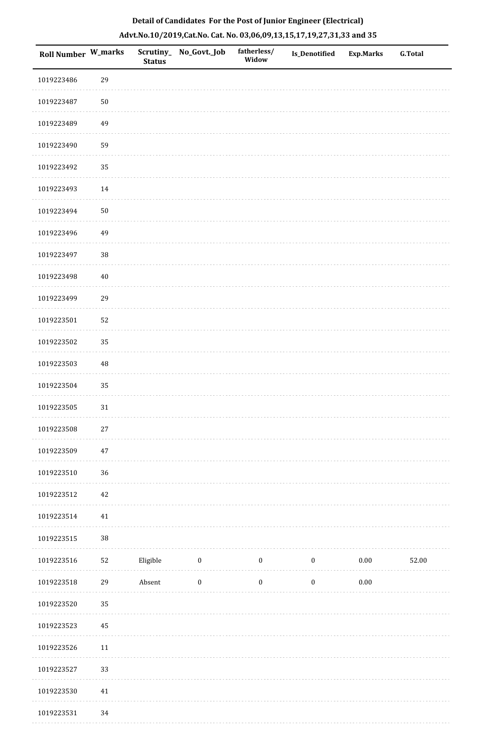| Roll Number W_marks |          | <b>Status</b> | Scrutiny_No_Govt._Job | fatherless/<br>Widow | Is_Denotified    | <b>Exp.Marks</b> | G.Total |
|---------------------|----------|---------------|-----------------------|----------------------|------------------|------------------|---------|
| 1019223486          | 29       |               |                       |                      |                  |                  |         |
| 1019223487          | $50\,$   |               |                       |                      |                  |                  |         |
| 1019223489          | 49       |               |                       |                      |                  |                  |         |
| 1019223490          | 59       |               |                       |                      |                  |                  |         |
| 1019223492          | 35       |               |                       |                      |                  |                  |         |
| 1019223493          | 14       |               |                       |                      |                  |                  |         |
| 1019223494          | $50\,$   |               |                       |                      |                  |                  |         |
| 1019223496          | 49       |               |                       |                      |                  |                  |         |
| 1019223497          | $38\,$   |               |                       |                      |                  |                  |         |
| 1019223498          | $40\,$   |               |                       |                      |                  |                  |         |
| 1019223499          | 29       |               |                       |                      |                  |                  |         |
| 1019223501          | 52       |               |                       |                      |                  |                  |         |
| 1019223502          | 35       |               |                       |                      |                  |                  |         |
| 1019223503          | $\rm 48$ |               |                       |                      |                  |                  |         |
| 1019223504          | 35       |               |                       |                      |                  |                  |         |
| 1019223505          | $31\,$   |               |                       |                      |                  |                  |         |
| 1019223508          | $27\,$   |               |                       |                      |                  |                  |         |
| 1019223509          | 47       |               |                       |                      |                  |                  |         |
| 1019223510          | 36       |               |                       |                      |                  |                  |         |
| 1019223512          | 42       |               |                       |                      |                  |                  |         |
| 1019223514          | 41       |               |                       |                      |                  |                  |         |
| 1019223515          | $38\,$   |               |                       |                      |                  |                  |         |
| 1019223516          | 52       | Eligible      | $\bf{0}$              | $\boldsymbol{0}$     | $\boldsymbol{0}$ | 0.00             | 52.00   |
| 1019223518          | 29       | Absent        | $\boldsymbol{0}$      | $\boldsymbol{0}$     | $\boldsymbol{0}$ | $0.00\,$         |         |
| 1019223520          | 35       |               |                       |                      |                  |                  |         |
| 1019223523          | 45       |               |                       |                      |                  |                  |         |
| 1019223526          | $11\,$   |               |                       |                      |                  |                  |         |
| 1019223527          | 33       |               |                       |                      |                  |                  |         |
| 1019223530          | 41       |               |                       |                      |                  |                  |         |
| 1019223531          | 34       |               |                       |                      |                  |                  |         |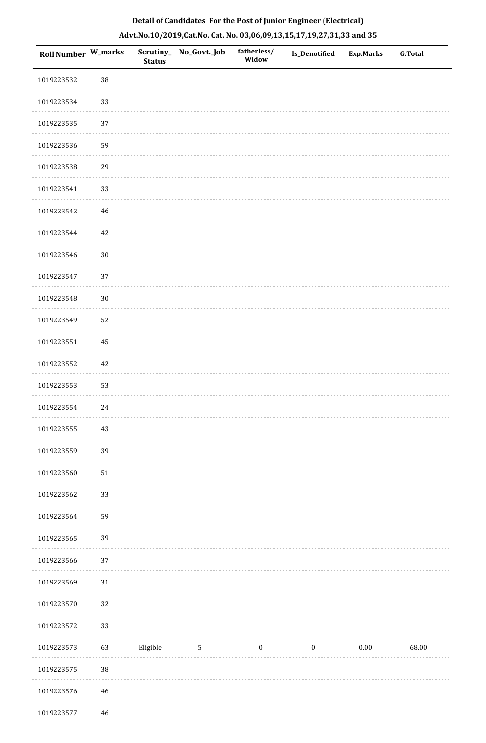| Roll Number W_marks |             | <b>Status</b> | Scrutiny_No_Govt._Job | fatherless/<br>Widow | Is_Denotified    | Exp.Marks | <b>G.Total</b> |
|---------------------|-------------|---------------|-----------------------|----------------------|------------------|-----------|----------------|
| 1019223532          | $38\,$      |               |                       |                      |                  |           |                |
| 1019223534          | 33          |               |                       |                      |                  |           |                |
| 1019223535          | 37          |               |                       |                      |                  |           |                |
| 1019223536          | 59          |               |                       |                      |                  |           |                |
| 1019223538          | 29          |               |                       |                      |                  |           |                |
| 1019223541          | 33          |               |                       |                      |                  |           |                |
| 1019223542          | 46          |               |                       |                      |                  |           |                |
| 1019223544          | 42          |               |                       |                      |                  |           |                |
| 1019223546          | $30\,$      |               |                       |                      |                  |           |                |
| 1019223547          | 37          |               |                       |                      |                  |           |                |
| 1019223548          | $30\,$      |               |                       |                      |                  |           |                |
| 1019223549          | 52          |               |                       |                      |                  |           |                |
| 1019223551          | 45          |               |                       |                      |                  |           |                |
| 1019223552          | 42          |               |                       |                      |                  |           |                |
| 1019223553          | 53          |               |                       |                      |                  |           |                |
| 1019223554          | 24          |               |                       |                      |                  |           |                |
| 1019223555          | 43          |               |                       |                      |                  |           |                |
| 1019223559          | 39          |               |                       |                      |                  |           |                |
| 1019223560          | $51\,$      |               |                       |                      |                  |           |                |
| 1019223562          | 33          |               |                       |                      |                  |           |                |
| 1019223564          | 59          |               |                       |                      |                  |           |                |
| 1019223565          | 39          |               |                       |                      |                  |           |                |
| 1019223566          | $37\,$      |               |                       |                      |                  |           |                |
| 1019223569          | $31\,$      |               |                       |                      |                  |           |                |
| 1019223570          | 32          |               |                       |                      |                  |           |                |
| 1019223572          | 33          |               |                       |                      |                  |           |                |
| 1019223573          | 63          | Eligible      | $5\phantom{.0}$       | $\boldsymbol{0}$     | $\boldsymbol{0}$ | $0.00\,$  | 68.00          |
| 1019223575          | $38\,$      |               |                       |                      |                  |           |                |
| 1019223576          | 46          |               |                       |                      |                  |           |                |
| 1019223577          | $\sqrt{46}$ |               |                       |                      |                  |           |                |

. . . . . . . . . .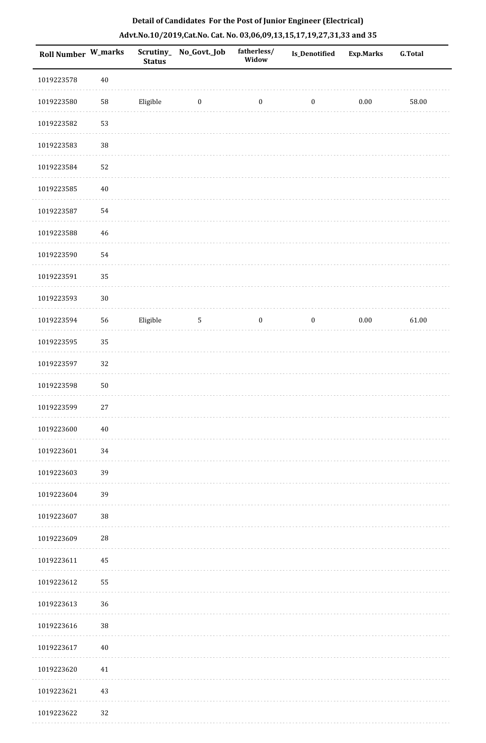| Roll Number W_marks |             | <b>Status</b> | Scrutiny_No_Govt._Job | fatherless/<br>Widow | <b>Is_Denotified</b> | <b>Exp.Marks</b> | <b>G.Total</b> |
|---------------------|-------------|---------------|-----------------------|----------------------|----------------------|------------------|----------------|
| 1019223578          | $40\,$      |               |                       |                      |                      |                  |                |
| 1019223580          | ${\bf 58}$  | Eligible      | $\bf{0}$              | $\boldsymbol{0}$     | $\boldsymbol{0}$     | $0.00\,$         | 58.00          |
| 1019223582          | 53          |               |                       |                      |                      |                  |                |
| 1019223583          | 38          |               |                       |                      |                      |                  |                |
| 1019223584          | 52          |               |                       |                      |                      |                  |                |
| 1019223585          | $40\,$      |               |                       |                      |                      |                  |                |
| 1019223587          | 54          |               |                       |                      |                      |                  |                |
| 1019223588          | $\sqrt{46}$ |               |                       |                      |                      |                  |                |
| 1019223590          | 54          |               |                       |                      |                      |                  |                |
| 1019223591          | 35          |               |                       |                      |                      |                  |                |
| 1019223593          | $30\,$      |               |                       |                      |                      |                  |                |
| 1019223594          | 56          | Eligible      | $\mathbf{5}$          | $\boldsymbol{0}$     | $\mathbf{0}$         | $0.00\,$         | 61.00          |
| 1019223595          | 35          |               |                       |                      |                      |                  |                |
| 1019223597          | 32          |               |                       |                      |                      |                  |                |
| 1019223598          | $50\,$      |               |                       |                      |                      |                  |                |
| 1019223599          | $27\,$      |               |                       |                      |                      |                  |                |
| 1019223600          | $40\,$      |               |                       |                      |                      |                  |                |
| 1019223601          | 34          |               |                       |                      |                      |                  |                |
| 1019223603          | 39          |               |                       |                      |                      |                  |                |
| 1019223604          | 39          |               |                       |                      |                      |                  |                |
| 1019223607          | 38          |               |                       |                      |                      |                  |                |
| 1019223609          | ${\bf 28}$  |               |                       |                      |                      |                  |                |
| 1019223611          | 45          |               |                       |                      |                      |                  |                |
| 1019223612          | 55          |               |                       |                      |                      |                  |                |
| 1019223613          | 36          |               |                       |                      |                      |                  |                |
| 1019223616          | 38          |               |                       |                      |                      |                  |                |
| 1019223617          | $40\,$      |               |                       |                      |                      |                  |                |
| 1019223620          | 41          |               |                       |                      |                      |                  |                |
| 1019223621          | 43          |               |                       |                      |                      |                  |                |
| 1019223622          | 32          |               |                       |                      |                      |                  |                |

. . . . . . .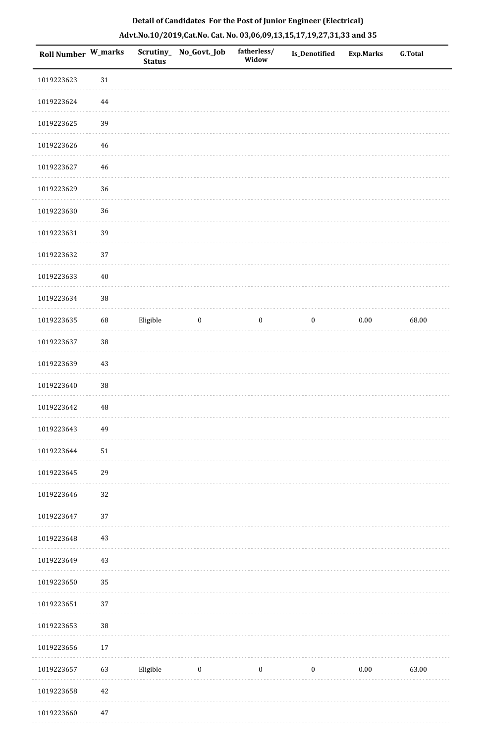| Roll Number W_marks |             | <b>Status</b> | Scrutiny_ No_Govt._Job | fatherless/<br>Widow | Is_Denotified    | <b>Exp.Marks</b> | G.Total |
|---------------------|-------------|---------------|------------------------|----------------------|------------------|------------------|---------|
| 1019223623          | $31\,$      |               |                        |                      |                  |                  |         |
| 1019223624          | 44          |               |                        |                      |                  |                  |         |
| 1019223625          | 39          |               |                        |                      |                  |                  |         |
| 1019223626          | $46\,$      |               |                        |                      |                  |                  |         |
| 1019223627          | $\sqrt{46}$ |               |                        |                      |                  |                  |         |
| 1019223629          | 36          |               |                        |                      |                  |                  |         |
| 1019223630          | 36          |               |                        |                      |                  |                  |         |
| 1019223631          | 39          |               |                        |                      |                  |                  |         |
| 1019223632          | 37          |               |                        |                      |                  |                  |         |
| 1019223633          | $40\,$      |               |                        |                      |                  |                  |         |
| 1019223634          | $38\,$      |               |                        |                      |                  |                  |         |
| 1019223635          | 68          | Eligible      | $\bf{0}$               | $\boldsymbol{0}$     | $\boldsymbol{0}$ | $0.00\,$         | 68.00   |
| 1019223637          | 38          |               |                        |                      |                  |                  |         |
| 1019223639          | 43          |               |                        |                      |                  |                  |         |
| 1019223640          | 38          |               |                        |                      |                  |                  |         |
| 1019223642          | $\sqrt{48}$ |               |                        |                      |                  |                  |         |
| 1019223643          | 49          |               |                        |                      |                  |                  |         |
| 1019223644          | $51\,$      |               |                        |                      |                  |                  |         |
| 1019223645          | 29          |               |                        |                      |                  |                  |         |
| 1019223646          | 32          |               |                        |                      |                  |                  |         |
| 1019223647          | 37          |               |                        |                      |                  |                  |         |
| 1019223648          | $43\,$      |               |                        |                      |                  |                  |         |
| 1019223649          | 43          |               |                        |                      |                  |                  |         |
| 1019223650          | 35          |               |                        |                      |                  |                  |         |
| 1019223651          | 37          |               |                        |                      |                  |                  |         |
| 1019223653          | 38          |               |                        |                      |                  |                  |         |
| 1019223656          | 17          |               |                        |                      |                  |                  |         |
| 1019223657          | 63          | Eligible      | $\bf{0}$               | $\boldsymbol{0}$     | $\boldsymbol{0}$ | $0.00\,$         | 63.00   |
| 1019223658          | $42\,$      |               |                        |                      |                  |                  |         |
|                     |             |               |                        |                      |                  |                  |         |

 1019223660 47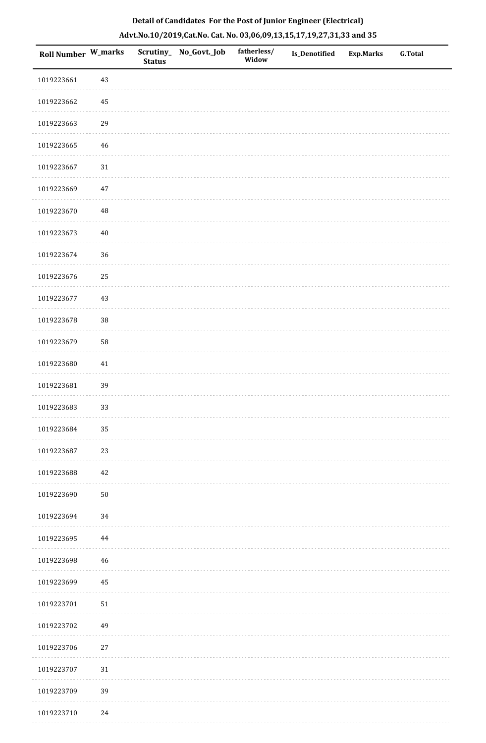| Roll Number W_marks |          | <b>Status</b> | Scrutiny_No_Govt._Job | fatherless/<br>Widow | Is_Denotified | Exp.Marks | G.Total |
|---------------------|----------|---------------|-----------------------|----------------------|---------------|-----------|---------|
| 1019223661          | 43       |               |                       |                      |               |           |         |
| 1019223662          | 45       |               |                       |                      |               |           |         |
| 1019223663          | 29       |               |                       |                      |               |           |         |
| 1019223665          | 46       |               |                       |                      |               |           |         |
| 1019223667          | $31\,$   |               |                       |                      |               |           |         |
| 1019223669          | 47       |               |                       |                      |               |           |         |
| 1019223670          | $\rm 48$ |               |                       |                      |               |           |         |
| 1019223673          | $40\,$   |               |                       |                      |               |           |         |
| 1019223674          | 36       |               |                       |                      |               |           |         |
| 1019223676          | 25       |               |                       |                      |               |           |         |
| 1019223677          | 43       |               |                       |                      |               |           |         |
| 1019223678          | $38\,$   |               |                       |                      |               |           |         |
| 1019223679          | 58       |               |                       |                      |               |           |         |
| 1019223680          | 41       |               |                       |                      |               |           |         |
| 1019223681          | 39       |               |                       |                      |               |           |         |
| 1019223683          | 33       |               |                       |                      |               |           |         |
| 1019223684          | 35       |               |                       |                      |               |           |         |
| 1019223687          | 23       |               |                       |                      |               |           |         |
| 1019223688          | 42       |               |                       |                      |               |           |         |
| 1019223690          | $50\,$   |               |                       |                      |               |           |         |
| 1019223694          | 34       |               |                       |                      |               |           |         |
| 1019223695          | $\bf 44$ |               |                       |                      |               |           |         |
| 1019223698          | 46       |               |                       |                      |               |           |         |
| 1019223699          | 45       |               |                       |                      |               |           |         |
| 1019223701          | $51\,$   |               |                       |                      |               |           |         |
| 1019223702          | 49       |               |                       |                      |               |           |         |
| 1019223706          | 27       |               |                       |                      |               |           |         |
| 1019223707          | $31\,$   |               |                       |                      |               |           |         |
| 1019223709          | 39       |               |                       |                      |               |           |         |
| 1019223710          | 24       |               |                       |                      |               |           |         |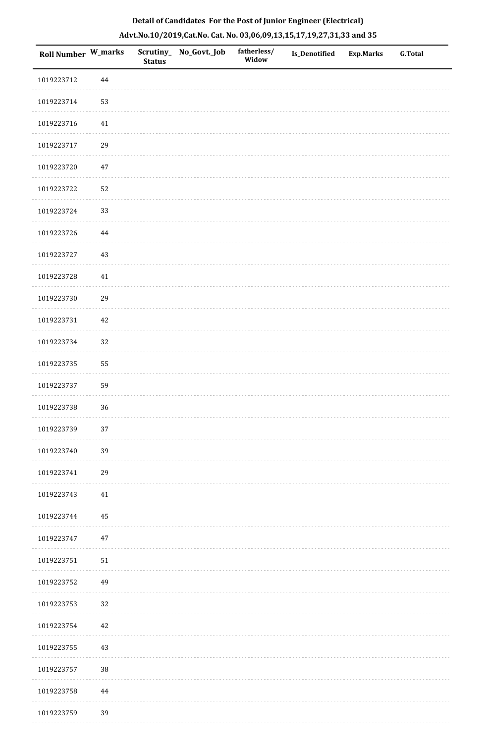| Roll Number W_marks |          | <b>Status</b> | Scrutiny_ No_Govt._Job | fatherless/<br>Widow | <b>Is_Denotified</b> | <b>Exp.Marks</b> | <b>G.Total</b> |
|---------------------|----------|---------------|------------------------|----------------------|----------------------|------------------|----------------|
| 1019223712          | 44       |               |                        |                      |                      |                  |                |
| 1019223714          | 53       |               |                        |                      |                      |                  |                |
| 1019223716          | $41\,$   |               |                        |                      |                      |                  |                |
| 1019223717          | 29       |               |                        |                      |                      |                  |                |
| 1019223720          | $47\,$   |               |                        |                      |                      |                  |                |
| 1019223722          | 52       |               |                        |                      |                      |                  |                |
| 1019223724          | 33       |               |                        |                      |                      |                  |                |
| 1019223726          | $\bf 44$ |               |                        |                      |                      |                  |                |
| 1019223727          | 43       |               |                        |                      |                      |                  |                |
| 1019223728          | $41\,$   |               |                        |                      |                      |                  |                |
| 1019223730          | 29       |               |                        |                      |                      |                  |                |
| 1019223731          | 42       |               |                        |                      |                      |                  |                |
| 1019223734          | 32       |               |                        |                      |                      |                  |                |
| 1019223735          | 55       |               |                        |                      |                      |                  |                |
| 1019223737          | 59       |               |                        |                      |                      |                  |                |
| 1019223738          | 36       |               |                        |                      |                      |                  |                |
| 1019223739          | 37       |               |                        |                      |                      |                  |                |
| 1019223740          | 39       |               |                        |                      |                      |                  |                |
| 1019223741          | 29       |               |                        |                      |                      |                  |                |
| 1019223743          | 41       |               |                        |                      |                      |                  |                |
| 1019223744          | 45       |               |                        |                      |                      |                  |                |
| 1019223747          | $47\,$   |               |                        |                      |                      |                  |                |
| 1019223751          | 51       |               |                        |                      |                      |                  |                |
| 1019223752          | 49       |               |                        |                      |                      |                  |                |
| 1019223753          | 32       |               |                        |                      |                      |                  |                |
| 1019223754          | 42       |               |                        |                      |                      |                  |                |
| 1019223755          | 43       |               |                        |                      |                      |                  |                |
| 1019223757          | $38\,$   |               |                        |                      |                      |                  |                |
| 1019223758          | 44       |               |                        |                      |                      |                  |                |
| 1019223759          | 39       |               |                        |                      |                      |                  |                |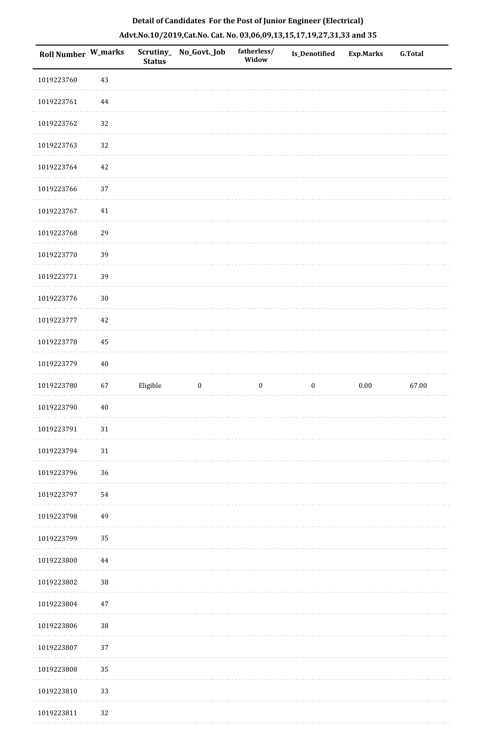| <b>Roll Number W_marks</b> |        | <b>Status</b> | Scrutiny_ No_Govt._Job | fatherless/<br>Widow | Is_Denotified    | <b>Exp.Marks</b> | <b>G.Total</b> |
|----------------------------|--------|---------------|------------------------|----------------------|------------------|------------------|----------------|
| 1019223760                 | $43\,$ |               |                        |                      |                  |                  |                |
| 1019223761                 | 44     |               |                        |                      |                  |                  |                |
| 1019223762                 | 32     |               |                        |                      |                  |                  |                |
| 1019223763                 | 32     |               |                        |                      |                  |                  |                |
| 1019223764                 | 42     |               |                        |                      |                  |                  |                |
| 1019223766                 | 37     |               |                        |                      |                  |                  |                |
| 1019223767                 | $41\,$ |               |                        |                      |                  |                  |                |
| 1019223768                 | 29     |               |                        |                      |                  |                  |                |
| 1019223770                 | 39     |               |                        |                      |                  |                  |                |
| 1019223771                 | 39     |               |                        |                      |                  |                  |                |
| 1019223776                 | $30\,$ |               |                        |                      |                  |                  |                |
| 1019223777                 | 42     |               |                        |                      |                  |                  |                |
| 1019223778                 | 45     |               |                        |                      |                  |                  |                |
| 1019223779                 | $40\,$ |               |                        |                      |                  |                  |                |
| 1019223780                 | 67     | Eligible      | $\boldsymbol{0}$       | $\boldsymbol{0}$     | $\boldsymbol{0}$ | $0.00\,$         | 67.00          |
| 1019223790                 | $40\,$ |               |                        |                      |                  |                  |                |
| 1019223791                 | $31\,$ |               |                        |                      |                  |                  |                |
| 1019223794                 | $31\,$ |               |                        |                      |                  |                  |                |
| 1019223796                 | 36     |               |                        |                      |                  |                  |                |
| 1019223797                 | 54     |               |                        |                      |                  |                  |                |
| 1019223798                 | 49     |               |                        |                      |                  |                  |                |
| 1019223799                 | 35     |               |                        |                      |                  |                  |                |
| 1019223800                 | 44     |               |                        |                      |                  |                  |                |
| 1019223802                 | 38     |               |                        |                      |                  |                  |                |
| 1019223804                 | $47\,$ |               |                        |                      |                  |                  |                |
| 1019223806                 | $38\,$ |               |                        |                      |                  |                  |                |
| 1019223807                 | 37     |               |                        |                      |                  |                  |                |
| 1019223808                 | 35     |               |                        |                      |                  |                  |                |
| 1019223810                 | 33     |               |                        |                      |                  |                  |                |
| 1019223811                 | 32     |               |                        |                      |                  |                  |                |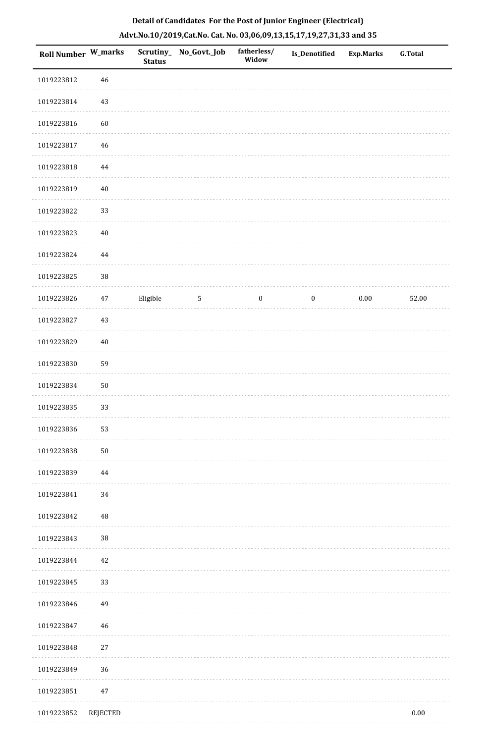| Roll Number W_marks |          | <b>Status</b> | Scrutiny_No_Govt._Job | fatherless/<br>Widow | <b>Is_Denotified</b> | Exp.Marks | <b>G.Total</b> |
|---------------------|----------|---------------|-----------------------|----------------------|----------------------|-----------|----------------|
| 1019223812          | 46       |               |                       |                      |                      |           |                |
| 1019223814          | 43       |               |                       |                      |                      |           |                |
| 1019223816          | 60       |               |                       |                      |                      |           |                |
| 1019223817          | 46       |               |                       |                      |                      |           |                |
| 1019223818          | 44       |               |                       |                      |                      |           |                |
| 1019223819          | $40\,$   |               |                       |                      |                      |           |                |
| 1019223822          | 33       |               |                       |                      |                      |           |                |
| 1019223823          | $40\,$   |               |                       |                      |                      |           |                |
| 1019223824          | $\bf 44$ |               |                       |                      |                      |           |                |
| 1019223825          | $38\,$   |               |                       |                      |                      |           |                |
| 1019223826          | 47       | Eligible      | $\sqrt{5}$            | $\boldsymbol{0}$     | $\boldsymbol{0}$     | $0.00\,$  | 52.00          |
| 1019223827          | 43       |               |                       |                      |                      |           |                |
| 1019223829          | 40       |               |                       |                      |                      |           |                |
| 1019223830          | 59       |               |                       |                      |                      |           |                |
| 1019223834          | 50       |               |                       |                      |                      |           |                |
| 1019223835          | 33       |               |                       |                      |                      |           |                |
| 1019223836          | 53       |               |                       |                      |                      |           |                |
| 1019223838          | $50\,$   |               |                       |                      |                      |           |                |
| 1019223839          | 44       |               |                       |                      |                      |           |                |
| 1019223841          | 34       |               |                       |                      |                      |           |                |
| 1019223842          | 48       |               |                       |                      |                      |           |                |
| 1019223843          | $38\,$   |               |                       |                      |                      |           |                |
| 1019223844          | 42       |               |                       |                      |                      |           |                |
| 1019223845          | 33       |               |                       |                      |                      |           |                |
| 1019223846          | 49       |               |                       |                      |                      |           |                |
| 1019223847          | 46       |               |                       |                      |                      |           |                |
| 1019223848          | 27       |               |                       |                      |                      |           |                |
| 1019223849          | 36       |               |                       |                      |                      |           |                |
| 1019223851          | $47\,$   |               |                       |                      |                      |           |                |
| 1019223852          | REJECTED |               |                       |                      |                      |           | $0.00\,$       |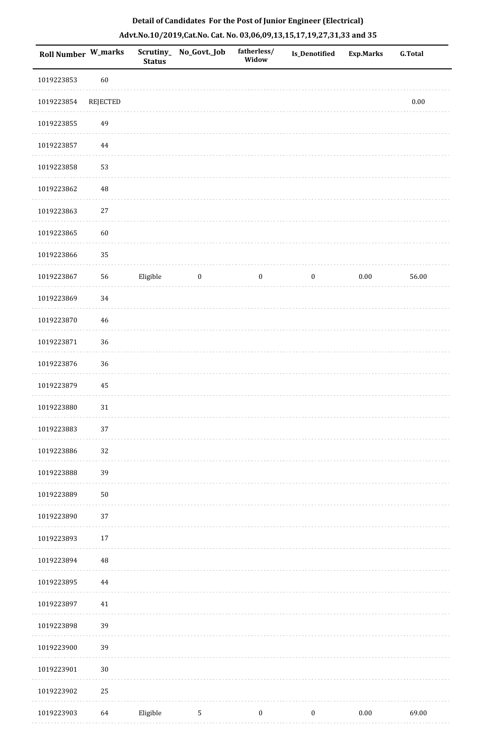| <b>Roll Number W_marks</b> |             | <b>Status</b> | Scrutiny_No_Govt._Job | fatherless/<br>Widow | Is_Denotified    | <b>Exp.Marks</b> | <b>G.Total</b> |
|----------------------------|-------------|---------------|-----------------------|----------------------|------------------|------------------|----------------|
| 1019223853                 | 60          |               |                       |                      |                  |                  |                |
| 1019223854                 | REJECTED    |               |                       |                      |                  |                  | $0.00\,$       |
| 1019223855                 | 49          |               |                       |                      |                  |                  |                |
| 1019223857                 | 44          |               |                       |                      |                  |                  |                |
| 1019223858                 | 53          |               |                       |                      |                  |                  |                |
| 1019223862                 | $\sqrt{48}$ |               |                       |                      |                  |                  |                |
| 1019223863                 | $27\,$      |               |                       |                      |                  |                  |                |
| 1019223865                 | 60          |               |                       |                      |                  |                  |                |
| 1019223866                 | 35          |               |                       |                      |                  |                  |                |
| 1019223867                 | 56          | Eligible      | $\boldsymbol{0}$      | $\boldsymbol{0}$     | $\boldsymbol{0}$ | $0.00\,$         | 56.00          |
| 1019223869                 | 34          |               |                       |                      |                  |                  |                |
| 1019223870                 | $46\,$      |               |                       |                      |                  |                  |                |
| 1019223871                 | 36          |               |                       |                      |                  |                  |                |
| 1019223876                 | 36          |               |                       |                      |                  |                  |                |
| 1019223879                 | 45          |               |                       |                      |                  |                  |                |
| 1019223880                 | $31\,$      |               |                       |                      |                  |                  |                |
| 1019223883                 | 37          |               |                       |                      |                  |                  |                |
| 1019223886                 | 32          |               |                       |                      |                  |                  |                |
| 1019223888                 | 39          |               |                       |                      |                  |                  |                |
| 1019223889                 | $50\,$      |               |                       |                      |                  |                  |                |
| 1019223890                 | 37          |               |                       |                      |                  |                  |                |
| 1019223893                 | $17\,$      |               |                       |                      |                  |                  |                |
| 1019223894                 | 48          |               |                       |                      |                  |                  |                |
| 1019223895                 | 44          |               |                       |                      |                  |                  |                |
| 1019223897                 | 41          |               |                       |                      |                  |                  |                |
| 1019223898                 | 39          |               |                       |                      |                  |                  |                |
| 1019223900                 | 39          |               |                       |                      |                  |                  |                |
| 1019223901                 | $30\,$      |               |                       |                      |                  |                  |                |
| 1019223902                 | 25          |               |                       |                      |                  |                  |                |
| 1019223903                 | 64          | Eligible      | $5\phantom{.0}$       | $\boldsymbol{0}$     | $\boldsymbol{0}$ | $0.00\,$         | 69.00          |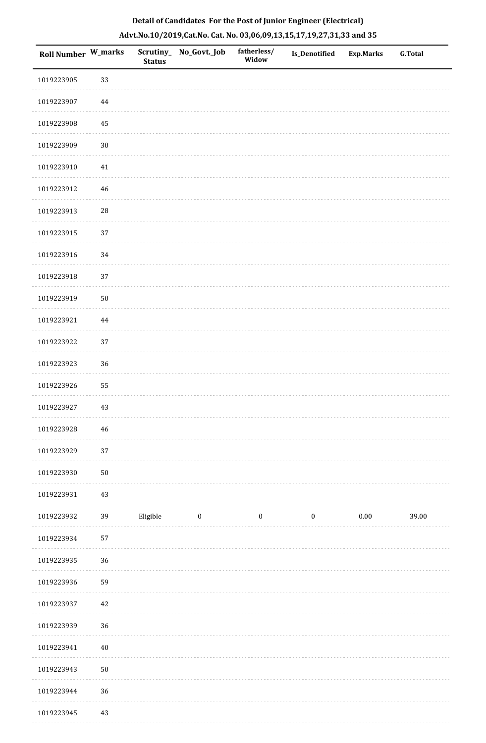| Roll Number W_marks |            | <b>Status</b> | Scrutiny_ No_Govt._Job | fatherless/<br>Widow | Is_Denotified    | Exp.Marks | <b>G.Total</b> |
|---------------------|------------|---------------|------------------------|----------------------|------------------|-----------|----------------|
| 1019223905          | 33         |               |                        |                      |                  |           |                |
| 1019223907          | 44         |               |                        |                      |                  |           |                |
| 1019223908          | 45         |               |                        |                      |                  |           |                |
| 1019223909          | $30\,$     |               |                        |                      |                  |           |                |
| 1019223910          | 41         |               |                        |                      |                  |           |                |
| 1019223912          | 46         |               |                        |                      |                  |           |                |
| 1019223913          | ${\bf 28}$ |               |                        |                      |                  |           |                |
| 1019223915          | 37         |               |                        |                      |                  |           |                |
| 1019223916          | 34         |               |                        |                      |                  |           |                |
| 1019223918          | 37         |               |                        |                      |                  |           |                |
| 1019223919          | $50\,$     |               |                        |                      |                  |           |                |
| 1019223921          | $\bf 44$   |               |                        |                      |                  |           |                |
| 1019223922          | 37         |               |                        |                      |                  |           |                |
| 1019223923          | 36         |               |                        |                      |                  |           |                |
| 1019223926          | 55         |               |                        |                      |                  |           |                |
| 1019223927          | $43\,$     |               |                        |                      |                  |           |                |
| 1019223928          | 46         |               |                        |                      |                  |           |                |
| 1019223929          | 37         |               |                        |                      |                  |           |                |
| 1019223930          | $50\,$     |               |                        |                      |                  |           |                |
| 1019223931          | $43\,$     |               |                        |                      |                  |           |                |
| 1019223932          | 39         | Eligible      | $\bf{0}$               | $\boldsymbol{0}$     | $\boldsymbol{0}$ | $0.00\,$  | 39.00          |
| 1019223934          | 57         |               |                        |                      |                  |           |                |
| 1019223935          | 36         |               |                        |                      |                  |           |                |
| 1019223936          | 59         |               |                        |                      |                  |           |                |
| 1019223937          | 42         |               |                        |                      |                  |           |                |
| 1019223939          | 36         |               |                        |                      |                  |           |                |
| 1019223941          | $40\,$     |               |                        |                      |                  |           |                |
| 1019223943          | $50\,$     |               |                        |                      |                  |           |                |
| 1019223944          | 36         |               |                        |                      |                  |           |                |
| 1019223945          | 43         |               |                        |                      |                  |           |                |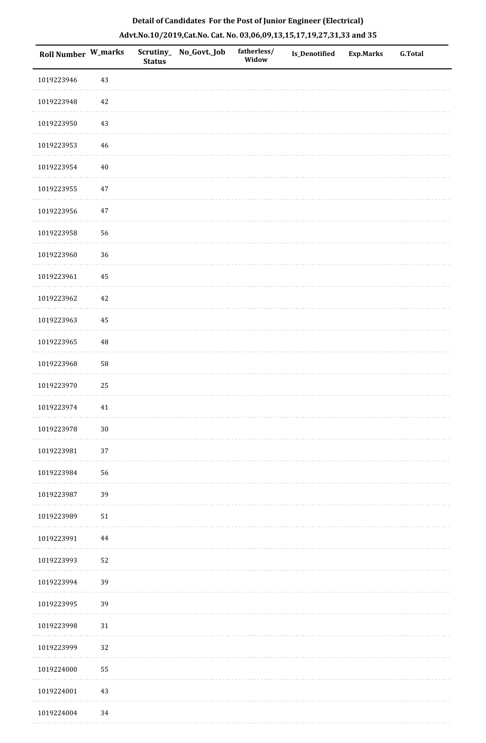| Roll Number W_marks |        | <b>Status</b> | Scrutiny_No_Govt._Job | fatherless/<br>Widow | Is_Denotified | <b>Exp.Marks</b> | G.Total |
|---------------------|--------|---------------|-----------------------|----------------------|---------------|------------------|---------|
| 1019223946          | 43     |               |                       |                      |               |                  |         |
| 1019223948          | $42\,$ |               |                       |                      |               |                  |         |
| 1019223950          | $43\,$ |               |                       |                      |               |                  |         |
| 1019223953          | 46     |               |                       |                      |               |                  |         |
| 1019223954          | $40\,$ |               |                       |                      |               |                  |         |
| 1019223955          | 47     |               |                       |                      |               |                  |         |
| 1019223956          | $47\,$ |               |                       |                      |               |                  |         |
| 1019223958          | 56     |               |                       |                      |               |                  |         |
| 1019223960          | 36     |               |                       |                      |               |                  |         |
| 1019223961          | 45     |               |                       |                      |               |                  |         |
| 1019223962          | $42\,$ |               |                       |                      |               |                  |         |
| 1019223963          | 45     |               |                       |                      |               |                  |         |
| 1019223965          | 48     |               |                       |                      |               |                  |         |
| 1019223968          | 58     |               |                       |                      |               |                  |         |
| 1019223970          | 25     |               |                       |                      |               |                  |         |
| 1019223974          | 41     |               |                       |                      |               |                  |         |
| 1019223978          | $30\,$ |               |                       |                      |               |                  |         |
| 1019223981          | 37     |               |                       |                      |               |                  |         |
| 1019223984          | 56     |               |                       |                      |               |                  |         |
| 1019223987          | 39     |               |                       |                      |               |                  |         |
| 1019223989          | $51\,$ |               |                       |                      |               |                  |         |
| 1019223991          | 44     |               |                       |                      |               |                  |         |
| 1019223993          | 52     |               |                       |                      |               |                  |         |
| 1019223994          | 39     |               |                       |                      |               |                  |         |
| 1019223995          | 39     |               |                       |                      |               |                  |         |
| 1019223998          | $31\,$ |               |                       |                      |               |                  |         |
| 1019223999          | 32     |               |                       |                      |               |                  |         |
| 1019224000          | 55     |               |                       |                      |               |                  |         |
| 1019224001          | $43\,$ |               |                       |                      |               |                  |         |
| 1019224004          | 34     |               |                       |                      |               |                  |         |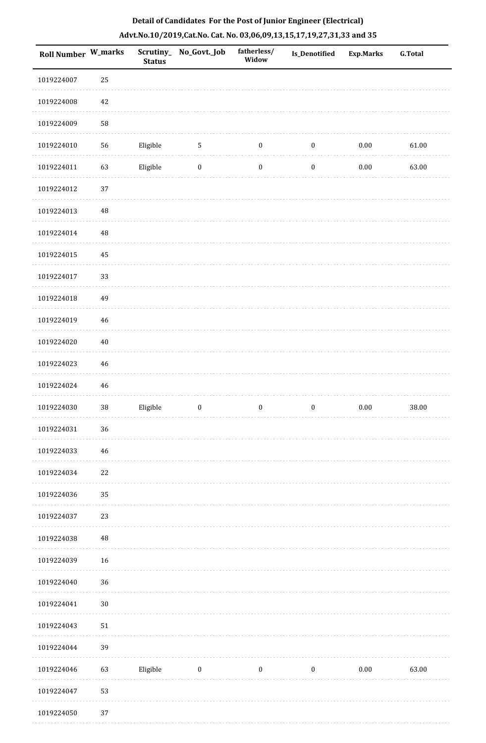| Roll Number W_marks |          | <b>Status</b> | Scrutiny_No_Govt._Job | fatherless/<br>Widow | Is_Denotified    | <b>Exp.Marks</b> | <b>G.Total</b> |
|---------------------|----------|---------------|-----------------------|----------------------|------------------|------------------|----------------|
| 1019224007          | 25       |               |                       |                      |                  |                  |                |
| 1019224008          | 42       |               |                       |                      |                  |                  |                |
| 1019224009          | 58       |               |                       |                      |                  |                  |                |
| 1019224010          | 56       | Eligible      | $\sqrt{5}$            | $\boldsymbol{0}$     | $\boldsymbol{0}$ | $0.00\,$         | 61.00          |
| 1019224011          | 63       | Eligible      | $\bf{0}$              | $\boldsymbol{0}$     | $\boldsymbol{0}$ | $0.00\,$         | 63.00          |
| 1019224012          | 37       |               |                       |                      |                  |                  |                |
| 1019224013          | $\rm 48$ |               |                       |                      |                  |                  |                |
| 1019224014          | $\rm 48$ |               |                       |                      |                  |                  |                |
| 1019224015          | 45       |               |                       |                      |                  |                  |                |
| 1019224017          | 33       |               |                       |                      |                  |                  |                |
| 1019224018          | 49       |               |                       |                      |                  |                  |                |
| 1019224019          | $46\,$   |               |                       |                      |                  |                  |                |
| 1019224020          | $40\,$   |               |                       |                      |                  |                  |                |
| 1019224023          | 46       |               |                       |                      |                  |                  |                |
| 1019224024          | 46       |               |                       |                      |                  |                  |                |
| 1019224030          | $38\,$   | Eligible      | $\boldsymbol{0}$      | $\boldsymbol{0}$     | $\boldsymbol{0}$ | $0.00\,$         | 38.00          |
| 1019224031          | $36\,$   |               |                       |                      |                  |                  |                |
| 1019224033          | 46       |               |                       |                      |                  |                  |                |
| 1019224034          | $22\,$   |               |                       |                      |                  |                  |                |
| 1019224036          | 35       |               |                       |                      |                  |                  |                |
| 1019224037          | 23       |               |                       |                      |                  |                  |                |
| 1019224038          | $\rm 48$ |               |                       |                      |                  |                  |                |
| 1019224039          | 16       |               |                       |                      |                  |                  |                |
| 1019224040          | 36       |               |                       |                      |                  |                  |                |
| 1019224041          | $30\,$   |               |                       |                      |                  |                  |                |
| 1019224043          | 51       |               |                       |                      |                  |                  |                |
| 1019224044          | 39       |               |                       |                      |                  |                  |                |
| 1019224046          | 63       | Eligible      | $\bf{0}$              | $\boldsymbol{0}$     | $\boldsymbol{0}$ | $0.00\,$         | 63.00          |
| 1019224047          | 53       |               |                       |                      |                  |                  |                |
| 1019224050          | 37       |               |                       |                      |                  |                  |                |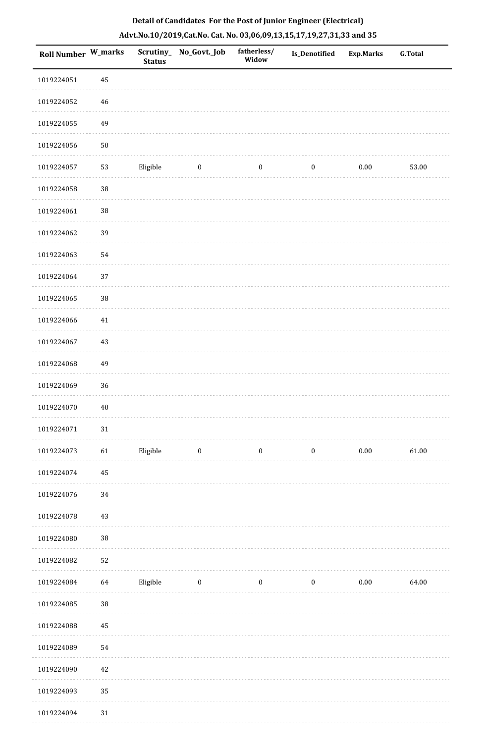| Roll Number W_marks |        | <b>Status</b> | Scrutiny_No_Govt._Job | fatherless/<br>Widow | Is_Denotified    | <b>Exp.Marks</b> | G.Total |
|---------------------|--------|---------------|-----------------------|----------------------|------------------|------------------|---------|
| 1019224051          | 45     |               |                       |                      |                  |                  |         |
| 1019224052          | 46     |               |                       |                      |                  |                  |         |
| 1019224055          | 49     |               |                       |                      |                  |                  |         |
| 1019224056          | $50\,$ |               |                       |                      |                  |                  |         |
| 1019224057          | 53     | Eligible      | $\bf{0}$              | $\bf{0}$             | $\boldsymbol{0}$ | 0.00             | 53.00   |
| 1019224058          | 38     |               |                       |                      |                  |                  |         |
| 1019224061          | $38\,$ |               |                       |                      |                  |                  |         |
| 1019224062          | 39     |               |                       |                      |                  |                  |         |
| 1019224063          | 54     |               |                       |                      |                  |                  |         |
| 1019224064          | 37     |               |                       |                      |                  |                  |         |
| 1019224065          | $38\,$ |               |                       |                      |                  |                  |         |
| 1019224066          | $41\,$ |               |                       |                      |                  |                  |         |
| 1019224067          | 43     |               |                       |                      |                  |                  |         |
| 1019224068          | 49     |               |                       |                      |                  |                  |         |
| 1019224069          | 36     |               |                       |                      |                  |                  |         |
| 1019224070          | $40\,$ |               |                       |                      |                  |                  |         |
| 1019224071          | $31\,$ |               |                       |                      |                  |                  |         |
| 1019224073          | 61     | Eligible      | $\bf{0}$              | $\boldsymbol{0}$     | $\boldsymbol{0}$ | $0.00\,$         | 61.00   |
| 1019224074          | 45     |               |                       |                      |                  |                  |         |
| 1019224076          | 34     |               |                       |                      |                  |                  |         |
| 1019224078          | 43     |               |                       |                      |                  |                  |         |
| 1019224080          | $38\,$ |               |                       |                      |                  |                  |         |
| 1019224082          | 52     |               |                       |                      |                  |                  |         |
| 1019224084          | 64     | Eligible      | $\bf{0}$              | $\boldsymbol{0}$     | $\boldsymbol{0}$ | $0.00\,$         | 64.00   |
| 1019224085          | $38\,$ |               |                       |                      |                  |                  |         |
| 1019224088          | 45     |               |                       |                      |                  |                  |         |
| 1019224089          | 54     |               |                       |                      |                  |                  |         |
| 1019224090          | 42     |               |                       |                      |                  |                  |         |
| 1019224093          | 35     |               |                       |                      |                  |                  |         |
| 1019224094          | 31     |               |                       |                      |                  |                  |         |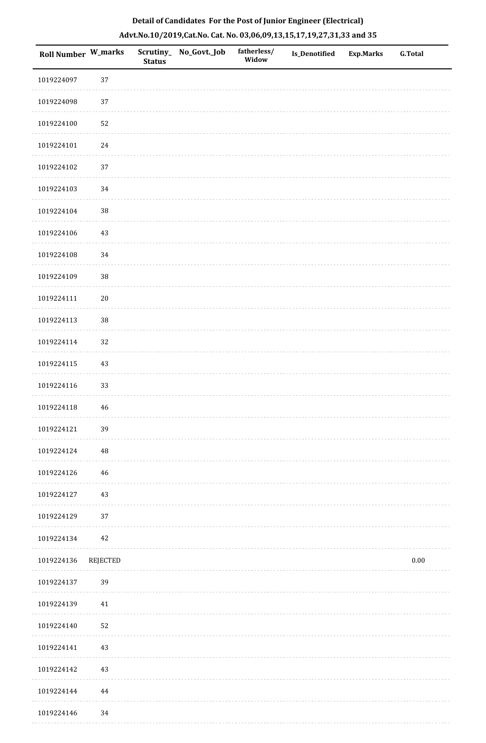| Roll Number W_marks |          | <b>Status</b> | Scrutiny_No_Govt._Job | fatherless/<br>Widow | Is_Denotified | Exp.Marks | G.Total  |
|---------------------|----------|---------------|-----------------------|----------------------|---------------|-----------|----------|
| 1019224097          | 37       |               |                       |                      |               |           |          |
| 1019224098          | $37\,$   |               |                       |                      |               |           |          |
| 1019224100          | 52       |               |                       |                      |               |           |          |
| 1019224101          | 24       |               |                       |                      |               |           |          |
| 1019224102          | $37\,$   |               |                       |                      |               |           |          |
| 1019224103          | 34       |               |                       |                      |               |           |          |
| 1019224104          | $38\,$   |               |                       |                      |               |           |          |
| 1019224106          | $43\,$   |               |                       |                      |               |           |          |
| 1019224108          | 34       |               |                       |                      |               |           |          |
| 1019224109          | $38\,$   |               |                       |                      |               |           |          |
| 1019224111          | $20\,$   |               |                       |                      |               |           |          |
| 1019224113          | $38\,$   |               |                       |                      |               |           |          |
| 1019224114          | 32       |               |                       |                      |               |           |          |
| 1019224115          | 43       |               |                       |                      |               |           |          |
| 1019224116          | 33       |               |                       |                      |               |           |          |
| 1019224118          | 46       |               |                       |                      |               |           |          |
| 1019224121          | 39       |               |                       |                      |               |           |          |
| 1019224124          | $\rm 48$ |               |                       |                      |               |           |          |
| 1019224126          | 46       |               |                       |                      |               |           |          |
| 1019224127          | 43       |               |                       |                      |               |           |          |
| 1019224129          | 37       |               |                       |                      |               |           |          |
| 1019224134          | 42       |               |                       |                      |               |           |          |
| 1019224136          | REJECTED |               |                       |                      |               |           | $0.00\,$ |
| 1019224137          | 39       |               |                       |                      |               |           |          |
| 1019224139          | 41       |               |                       |                      |               |           |          |
| 1019224140          | 52       |               |                       |                      |               |           |          |
| 1019224141          | 43       |               |                       |                      |               |           |          |
| 1019224142          | 43       |               |                       |                      |               |           |          |
| 1019224144          | 44       |               |                       |                      |               |           |          |
| 1019224146          | 34       |               |                       |                      |               |           |          |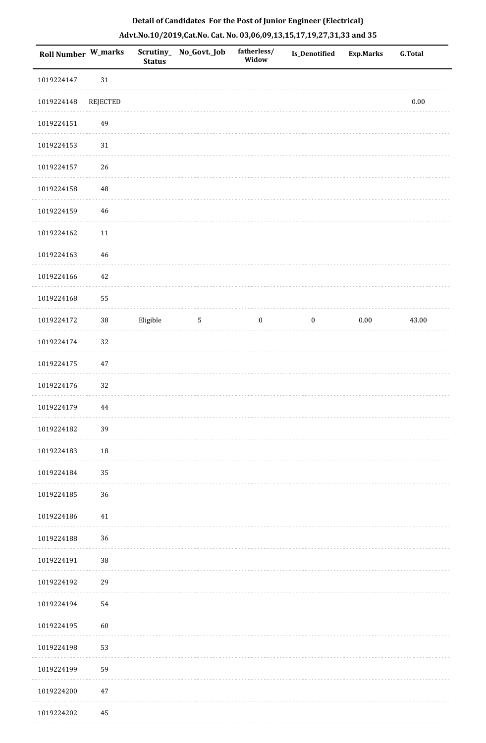| Roll Number W_marks |          | <b>Status</b> | Scrutiny_ No_Govt._Job | fatherless/<br>Widow | Is_Denotified    | <b>Exp.Marks</b> | G.Total  |
|---------------------|----------|---------------|------------------------|----------------------|------------------|------------------|----------|
| 1019224147          | $31\,$   |               |                        |                      |                  |                  |          |
| 1019224148          | REJECTED |               |                        |                      |                  |                  | $0.00\,$ |
| 1019224151          | 49       |               |                        |                      |                  |                  |          |
| 1019224153          | $31\,$   |               |                        |                      |                  |                  |          |
| 1019224157          | 26       |               |                        |                      |                  |                  |          |
| 1019224158          | 48       |               |                        |                      |                  |                  |          |
| 1019224159          | 46       |               |                        |                      |                  |                  |          |
| 1019224162          | $11\,$   |               |                        |                      |                  |                  |          |
| 1019224163          | $46\,$   |               |                        |                      |                  |                  |          |
| 1019224166          | $42\,$   |               |                        |                      |                  |                  |          |
| 1019224168          | 55       |               |                        |                      |                  |                  |          |
| 1019224172          | $38\,$   | Eligible      | $\mathbf 5$            | $\boldsymbol{0}$     | $\boldsymbol{0}$ | $0.00\,$         | 43.00    |
| 1019224174          | 32       |               |                        |                      |                  |                  |          |
| 1019224175          | $47\,$   |               |                        |                      |                  |                  |          |
| 1019224176          | 32       |               |                        |                      |                  |                  |          |
| 1019224179          | 44       |               |                        |                      |                  |                  |          |
| 1019224182          | 39       |               |                        |                      |                  |                  |          |
| 1019224183          | $18\,$   |               |                        |                      |                  |                  |          |
| 1019224184          | 35       |               |                        |                      |                  |                  |          |
| 1019224185          | 36       |               |                        |                      |                  |                  |          |
| 1019224186          | $41\,$   |               |                        |                      |                  |                  |          |
| 1019224188          | 36       |               |                        |                      |                  |                  |          |
| 1019224191          | $38\,$   |               |                        |                      |                  |                  |          |
| 1019224192          | 29       |               |                        |                      |                  |                  |          |
| 1019224194          | 54       |               |                        |                      |                  |                  |          |
| 1019224195          | 60       |               |                        |                      |                  |                  |          |
| 1019224198          | 53       |               |                        |                      |                  |                  |          |
| 1019224199          | 59       |               |                        |                      |                  |                  |          |
| 1019224200          | 47       |               |                        |                      |                  |                  |          |
| 1019224202          | 45       |               |                        |                      |                  |                  |          |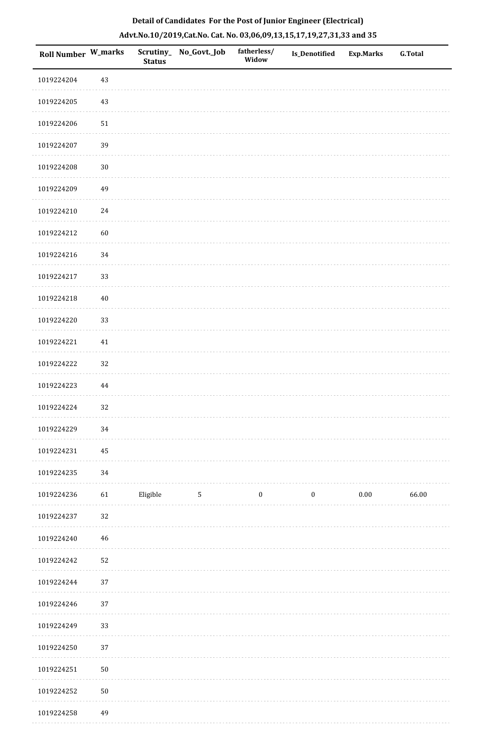| Roll Number W_marks |          | <b>Status</b> | Scrutiny_ No_Govt._Job | fatherless/<br>Widow | Is_Denotified    | Exp.Marks | <b>G.Total</b> |
|---------------------|----------|---------------|------------------------|----------------------|------------------|-----------|----------------|
| 1019224204          | $43\,$   |               |                        |                      |                  |           |                |
| 1019224205          | $43\,$   |               |                        |                      |                  |           |                |
| 1019224206          | $51\,$   |               |                        |                      |                  |           |                |
| 1019224207          | 39       |               |                        |                      |                  |           |                |
| 1019224208          | $30\,$   |               |                        |                      |                  |           |                |
| 1019224209          | 49       |               |                        |                      |                  |           |                |
| 1019224210          | $24\,$   |               |                        |                      |                  |           |                |
| 1019224212          | 60       |               |                        |                      |                  |           |                |
| 1019224216          | $34\,$   |               |                        |                      |                  |           |                |
| 1019224217          | 33       |               |                        |                      |                  |           |                |
| 1019224218          | $40\,$   |               |                        |                      |                  |           |                |
| 1019224220          | 33       |               |                        |                      |                  |           |                |
| 1019224221          | $41\,$   |               |                        |                      |                  |           |                |
| 1019224222          | 32       |               |                        |                      |                  |           |                |
| 1019224223          | $\bf 44$ |               |                        |                      |                  |           |                |
| 1019224224          | 32       |               |                        |                      |                  |           |                |
| 1019224229          | 34       |               |                        |                      |                  |           |                |
| 1019224231          | 45       |               |                        |                      |                  |           |                |
| 1019224235          | 34       |               |                        |                      |                  |           |                |
| 1019224236          | 61       | Eligible      | $5\phantom{.0}$        | $\bf{0}$             | $\boldsymbol{0}$ | $0.00\,$  | 66.00          |
| 1019224237          | 32       |               |                        |                      |                  |           |                |
| 1019224240          | 46       |               |                        |                      |                  |           |                |
| 1019224242          | 52       |               |                        |                      |                  |           |                |
| 1019224244          | 37       |               |                        |                      |                  |           |                |
| 1019224246          | 37       |               |                        |                      |                  |           |                |
| 1019224249          | 33       |               |                        |                      |                  |           |                |
| 1019224250          | 37       |               |                        |                      |                  |           |                |
| 1019224251          | $50\,$   |               |                        |                      |                  |           |                |
| 1019224252          | $50\,$   |               |                        |                      |                  |           |                |
| 1019224258          | 49       |               |                        |                      |                  |           |                |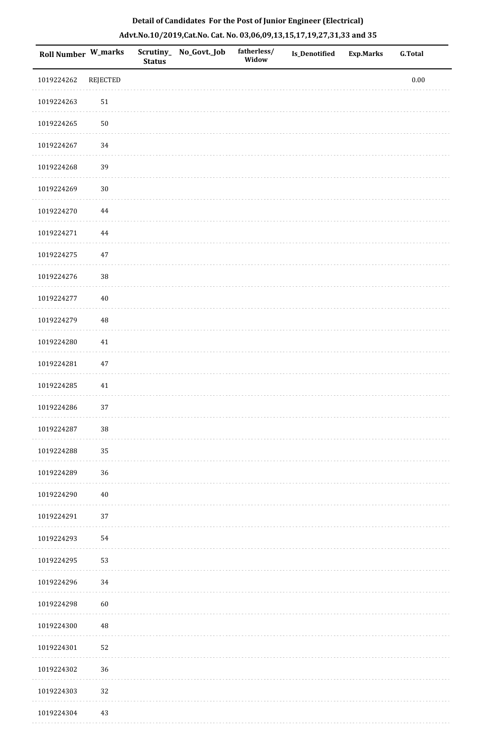|                    | Detail of Candidates For the Post of Junior Engineer (Electrical)<br>Advt.No.10/2019,Cat.No. Cat. No. 03,06,09,13,15,17,19,27,31,33 and 35 |                            |              |                      |                      |                  |                |  |  |  |  |  |
|--------------------|--------------------------------------------------------------------------------------------------------------------------------------------|----------------------------|--------------|----------------------|----------------------|------------------|----------------|--|--|--|--|--|
| <b>Roll Number</b> | W_marks                                                                                                                                    | Scrutiny_<br><b>Status</b> | No_Govt._Job | fatherless/<br>Widow | <b>Is_Denotified</b> | <b>Exp.Marks</b> | <b>G.Total</b> |  |  |  |  |  |
| 1019224262         | REJECTED                                                                                                                                   |                            |              |                      |                      |                  | 0.00           |  |  |  |  |  |
| 1019224263         | 51                                                                                                                                         |                            |              |                      |                      |                  |                |  |  |  |  |  |
| 1019224265         | 50                                                                                                                                         |                            |              |                      |                      |                  |                |  |  |  |  |  |
| 1019224267         | 34                                                                                                                                         |                            |              |                      |                      |                  |                |  |  |  |  |  |
| 1019224268         | 39                                                                                                                                         |                            |              |                      |                      |                  |                |  |  |  |  |  |
| 1019224269         | 30                                                                                                                                         |                            |              |                      |                      |                  |                |  |  |  |  |  |
| 1019224270         | 44                                                                                                                                         |                            |              |                      |                      |                  |                |  |  |  |  |  |
| 1019224271         | 44                                                                                                                                         |                            |              |                      |                      |                  |                |  |  |  |  |  |

1019224276 38

1019224275 47

 $\mathbb{R}^2$  ,  $\mathbb{R}^2$  ,  $\mathbb{R}^2$  ,  $\mathbb{R}^2$  ,  $\mathbb{R}^2$ 

 $\mathbb{Z}$  . The set of the set

 $\alpha$  is a second contract of

 $\cdots\cdots\cdots\cdots$ 

1019224277 40

| 1019224279 | $\sqrt{48}$ |
|------------|-------------|
| 1019224280 | $41\,$      |
| 1019224281 | $47\,$      |
| 1019224285 | 41          |
| 1019224286 | 37          |
| 1019224287 | $38\,$      |
| 1019224288 | 35          |
| 1019224289 | 36          |
| 1019224290 | $40\,$      |
| 1019224291 | 37          |
| 1019224293 | 54          |
| 1019224295 | 53          |
| 1019224296 | 34          |
| 1019224298 | 60          |
| 1019224300 | 48          |
| 1019224301 | 52          |
| 1019224302 | 36          |
| 1019224303 | 32          |
| 1019224304 | $43\,$      |
|            |             |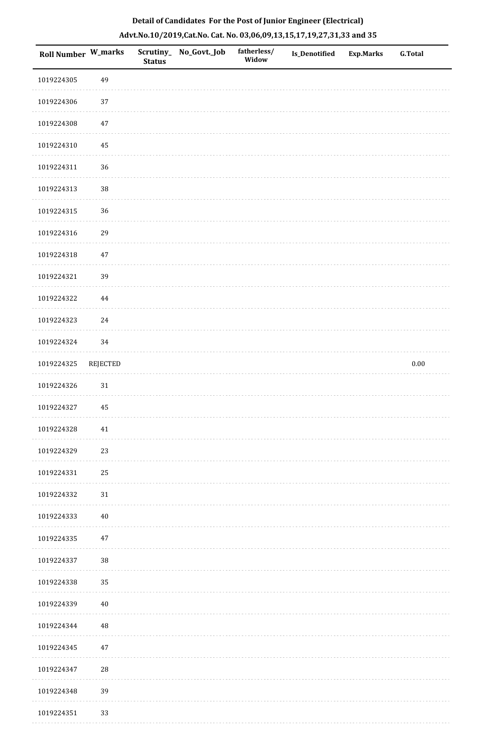| Roll Number W_marks |          | <b>Status</b> | Scrutiny_ No_Govt._Job | fatherless/<br>Widow | Is_Denotified | <b>Exp.Marks</b> | <b>G.Total</b> |
|---------------------|----------|---------------|------------------------|----------------------|---------------|------------------|----------------|
| 1019224305          | 49       |               |                        |                      |               |                  |                |
| 1019224306          | 37       |               |                        |                      |               |                  |                |
| 1019224308          | 47       |               |                        |                      |               |                  |                |
| 1019224310          | 45       |               |                        |                      |               |                  |                |
| 1019224311          | 36       |               |                        |                      |               |                  |                |
| 1019224313          | 38       |               |                        |                      |               |                  |                |
| 1019224315          | 36       |               |                        |                      |               |                  |                |
| 1019224316          | 29       |               |                        |                      |               |                  |                |
| 1019224318          | $47\,$   |               |                        |                      |               |                  |                |
| 1019224321          | 39       |               |                        |                      |               |                  |                |
| 1019224322          | 44       |               |                        |                      |               |                  |                |
| 1019224323          | 24       |               |                        |                      |               |                  |                |
| 1019224324          | 34       |               |                        |                      |               |                  |                |
| 1019224325          | REJECTED |               |                        |                      |               |                  | $0.00\,$       |
| 1019224326          | $31\,$   |               |                        |                      |               |                  |                |
| 1019224327          | 45       |               |                        |                      |               |                  |                |
| 1019224328          | 41       |               |                        |                      |               |                  |                |
| 1019224329          | 23       |               |                        |                      |               |                  |                |
| 1019224331          | 25       |               |                        |                      |               |                  |                |
| 1019224332          | 31       |               |                        |                      |               |                  |                |
| 1019224333          | $40\,$   |               |                        |                      |               |                  |                |
| 1019224335          | 47       |               |                        |                      |               |                  |                |
| 1019224337          | 38       |               |                        |                      |               |                  |                |
| 1019224338          | 35       |               |                        |                      |               |                  |                |
| 1019224339          | $40\,$   |               |                        |                      |               |                  |                |
| 1019224344          | 48       |               |                        |                      |               |                  |                |
| 1019224345          | 47       |               |                        |                      |               |                  |                |
| 1019224347          | 28       |               |                        |                      |               |                  |                |
| 1019224348          | 39       |               |                        |                      |               |                  |                |
| 1019224351          | 33       |               |                        |                      |               |                  |                |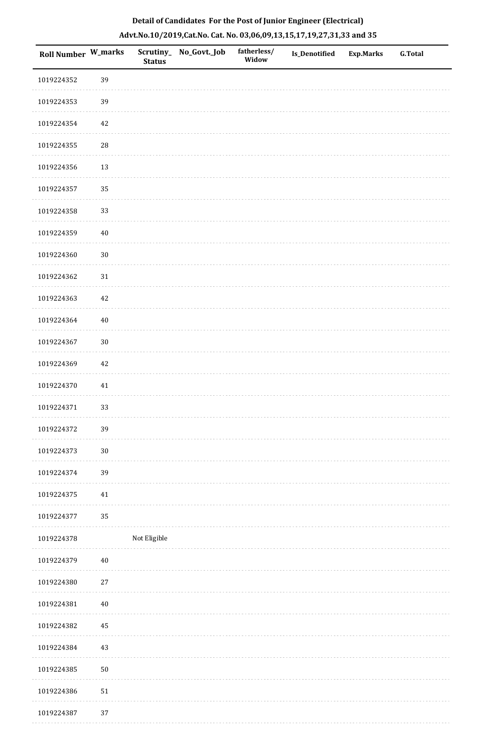| Roll Number W_marks |            | <b>Status</b> | Scrutiny_No_Govt._Job | fatherless/<br>Widow | Is_Denotified | <b>Exp.Marks</b> | <b>G.Total</b> |
|---------------------|------------|---------------|-----------------------|----------------------|---------------|------------------|----------------|
| 1019224352          | 39         |               |                       |                      |               |                  |                |
| 1019224353          | 39         |               |                       |                      |               |                  |                |
| 1019224354          | 42         |               |                       |                      |               |                  |                |
| 1019224355          | 28         |               |                       |                      |               |                  |                |
| 1019224356          | $13\,$     |               |                       |                      |               |                  |                |
| 1019224357          | 35         |               |                       |                      |               |                  |                |
| 1019224358          | 33         |               |                       |                      |               |                  |                |
| 1019224359          | $40\,$     |               |                       |                      |               |                  |                |
| 1019224360          | $30\,$     |               |                       |                      |               |                  |                |
| 1019224362          | 31         |               |                       |                      |               |                  |                |
| 1019224363          | 42         |               |                       |                      |               |                  |                |
| 1019224364          | $40\,$     |               |                       |                      |               |                  |                |
| 1019224367          | $30\,$     |               |                       |                      |               |                  |                |
| 1019224369          | 42         |               |                       |                      |               |                  |                |
| 1019224370          | 41         |               |                       |                      |               |                  |                |
| 1019224371          | 33         |               |                       |                      |               |                  |                |
| 1019224372          | 39         |               |                       |                      |               |                  |                |
| 1019224373          | $30\,$     |               |                       |                      |               |                  |                |
| 1019224374          | 39         |               |                       |                      |               |                  |                |
| 1019224375          | 41         |               |                       |                      |               |                  |                |
| 1019224377          | 35         |               |                       |                      |               |                  |                |
| 1019224378          |            | Not Eligible  |                       |                      |               |                  |                |
| 1019224379          | 40         |               |                       |                      |               |                  |                |
| 1019224380          | 27         |               |                       |                      |               |                  |                |
| 1019224381          | $40\,$     |               |                       |                      |               |                  |                |
| 1019224382          | $\rm 45$   |               |                       |                      |               |                  |                |
| 1019224384          | 43         |               |                       |                      |               |                  |                |
| 1019224385          | $50\,$     |               |                       |                      |               |                  |                |
| 1019224386          | ${\bf 51}$ |               |                       |                      |               |                  |                |
|                     |            |               |                       |                      |               |                  |                |

# **Detail of Candidates For the Post of Junior Engineer (Electrical) Advt.No.10/2019,Cat.No. Cat. No. 03,06,09,13,15,17,19,27,31,33 and 35**

1019224387 37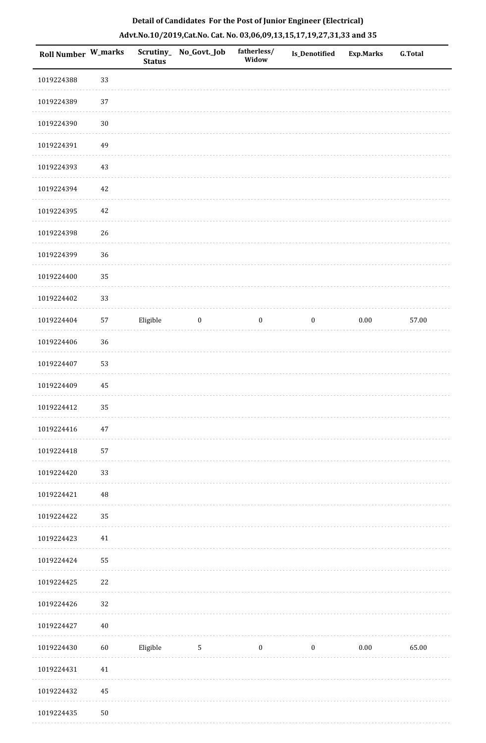| Roll Number W_marks |            | <b>Status</b> | Scrutiny_ No_Govt._Job | fatherless/<br>Widow | Is_Denotified    | <b>Exp.Marks</b> | <b>G.Total</b> |
|---------------------|------------|---------------|------------------------|----------------------|------------------|------------------|----------------|
| 1019224388          | 33         |               |                        |                      |                  |                  |                |
| 1019224389          | 37         |               |                        |                      |                  |                  |                |
| 1019224390          | $30\,$     |               |                        |                      |                  |                  |                |
| 1019224391          | 49         |               |                        |                      |                  |                  |                |
| 1019224393          | $43\,$     |               |                        |                      |                  |                  |                |
| 1019224394          | $42\,$     |               |                        |                      |                  |                  |                |
| 1019224395          | 42         |               |                        |                      |                  |                  |                |
| 1019224398          | 26         |               |                        |                      |                  |                  |                |
| 1019224399          | 36         |               |                        |                      |                  |                  |                |
| 1019224400          | 35         |               |                        |                      |                  |                  |                |
| 1019224402          | 33         |               |                        |                      |                  |                  |                |
| 1019224404          | 57         | Eligible      | $\boldsymbol{0}$       | $\boldsymbol{0}$     | $\boldsymbol{0}$ | $0.00\,$         | 57.00          |
| 1019224406          | 36         |               |                        |                      |                  |                  |                |
| 1019224407          | 53         |               |                        |                      |                  |                  |                |
| 1019224409          | 45         |               |                        |                      |                  |                  |                |
| 1019224412          | 35         |               |                        |                      |                  |                  |                |
| 1019224416          | 47         |               |                        |                      |                  |                  |                |
| 1019224418          | 57         |               |                        |                      |                  |                  |                |
| 1019224420          | 33         |               |                        |                      |                  |                  |                |
| 1019224421          | $\rm 48$   |               |                        |                      |                  |                  |                |
| 1019224422          | 35         |               |                        |                      |                  |                  |                |
| 1019224423          | 41         |               |                        |                      |                  |                  |                |
| 1019224424          | 55         |               |                        |                      |                  |                  |                |
| 1019224425          | 22         |               |                        |                      |                  |                  |                |
| 1019224426          | 32         |               |                        |                      |                  |                  |                |
| 1019224427          | $40\,$     |               |                        |                      |                  |                  |                |
| 1019224430          | $60\,$     | Eligible      | $5\phantom{.0}$        | $\bf{0}$             | $\bf{0}$         | 0.00             | 65.00          |
| 1019224431          | $41\,$     |               |                        |                      |                  |                  |                |
| 1019224432          | 45         |               |                        |                      |                  |                  |                |
| 1019224435          | ${\bf 50}$ |               |                        |                      |                  |                  |                |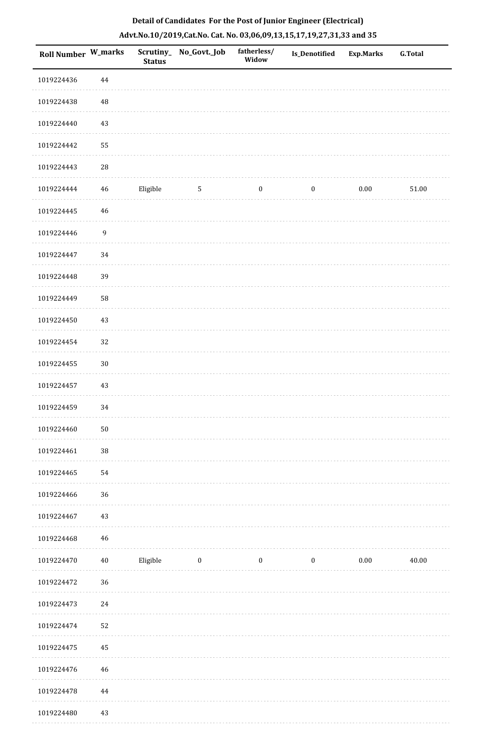| <b>Roll Number W_marks</b> |                  | <b>Status</b> | Scrutiny_No_Govt._Job | fatherless/<br>Widow | <b>Is_Denotified</b> | <b>Exp.Marks</b> | <b>G.Total</b> |
|----------------------------|------------------|---------------|-----------------------|----------------------|----------------------|------------------|----------------|
| 1019224436                 | 44               |               |                       |                      |                      |                  |                |
| 1019224438                 | 48               |               |                       |                      |                      |                  |                |
| 1019224440                 | 43               |               |                       |                      |                      |                  |                |
| 1019224442                 | 55               |               |                       |                      |                      |                  |                |
| 1019224443                 | $\sqrt{28}$      |               |                       |                      |                      |                  |                |
| 1019224444                 | $\bf 46$         | Eligible      | $5\phantom{.0}$       | $\boldsymbol{0}$     | $\boldsymbol{0}$     | $0.00\,$         | $51.00\,$      |
| 1019224445                 | $\sqrt{46}$      |               |                       |                      |                      |                  |                |
| 1019224446                 | $\boldsymbol{9}$ |               |                       |                      |                      |                  |                |
| 1019224447                 | 34               |               |                       |                      |                      |                  |                |
| 1019224448                 | 39               |               |                       |                      |                      |                  |                |
| 1019224449                 | 58               |               |                       |                      |                      |                  |                |
| 1019224450                 | 43               |               |                       |                      |                      |                  |                |
| 1019224454                 | 32               |               |                       |                      |                      |                  |                |
| 1019224455                 | $30\,$           |               |                       |                      |                      |                  |                |
| 1019224457                 | 43               |               |                       |                      |                      |                  |                |
| 1019224459                 | 34               |               |                       |                      |                      |                  |                |
| 1019224460                 | $50\,$           |               |                       |                      |                      |                  |                |
| 1019224461                 | $38\,$           |               |                       |                      |                      |                  |                |
| 1019224465                 | 54               |               |                       |                      |                      |                  |                |
| 1019224466                 | 36               |               |                       |                      |                      |                  |                |
| 1019224467                 | 43               |               |                       |                      |                      |                  |                |
| 1019224468                 | 46               |               |                       |                      |                      |                  |                |
| 1019224470                 | 40               | Eligible      | $\bf{0}$              | $\boldsymbol{0}$     | $\boldsymbol{0}$     | $0.00\,$         | 40.00          |
| 1019224472                 | 36               |               |                       |                      |                      |                  |                |
| 1019224473                 | 24               |               |                       |                      |                      |                  |                |
| 1019224474                 | 52               |               |                       |                      |                      |                  |                |
| 1019224475                 | 45               |               |                       |                      |                      |                  |                |
| 1019224476                 | 46               |               |                       |                      |                      |                  |                |
| 1019224478                 | 44               |               |                       |                      |                      |                  |                |
| 1019224480                 | 43               |               |                       |                      |                      |                  |                |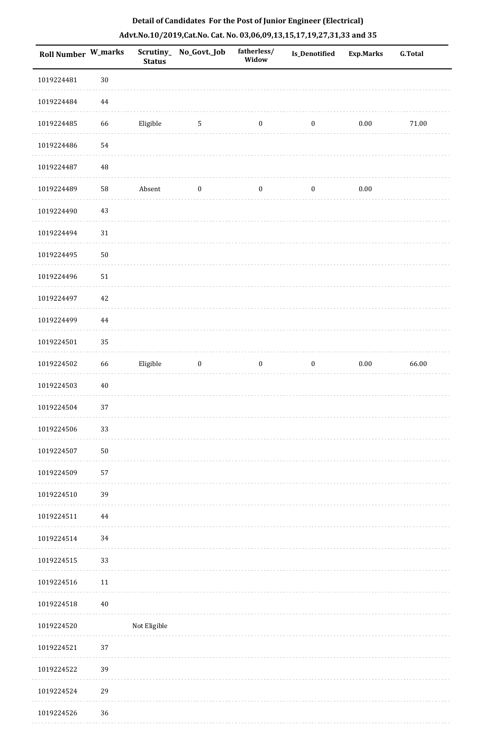| <b>Roll Number W_marks</b> |          | <b>Status</b> | Scrutiny_No_Govt._Job | fatherless/<br>Widow | Is_Denotified    | <b>Exp.Marks</b> | <b>G.Total</b> |
|----------------------------|----------|---------------|-----------------------|----------------------|------------------|------------------|----------------|
| 1019224481                 | $30\,$   |               |                       |                      |                  |                  |                |
| 1019224484                 | $\bf 44$ |               |                       |                      |                  |                  |                |
| 1019224485                 | 66       | Eligible      | $\mathbf 5$           | $\boldsymbol{0}$     | $\boldsymbol{0}$ | $0.00\,$         | $71.00\,$      |
| 1019224486                 | 54       |               |                       |                      |                  |                  |                |
| 1019224487                 | $\rm 48$ |               |                       |                      |                  |                  |                |
| 1019224489                 | 58       | Absent        | $\boldsymbol{0}$      | $\boldsymbol{0}$     | $\boldsymbol{0}$ | $0.00\,$         |                |
| 1019224490                 | $43\,$   |               |                       |                      |                  |                  |                |
| 1019224494                 | $31\,$   |               |                       |                      |                  |                  |                |
| 1019224495                 | $50\,$   |               |                       |                      |                  |                  |                |
| 1019224496                 | $51\,$   |               |                       |                      |                  |                  |                |
| 1019224497                 | $42\,$   |               |                       |                      |                  |                  |                |
| 1019224499                 | 44       |               |                       |                      |                  |                  |                |
| 1019224501                 | 35       |               |                       |                      |                  |                  |                |
| 1019224502                 | 66       | Eligible      | $\bf{0}$              | $\boldsymbol{0}$     | $\boldsymbol{0}$ | $0.00\,$         | 66.00          |
| 1019224503                 | $40\,$   |               |                       |                      |                  |                  |                |
| 1019224504                 | 37       |               |                       |                      |                  |                  |                |
| 1019224506                 | 33       |               |                       |                      |                  |                  |                |
| 1019224507                 | $50\,$   |               |                       |                      |                  |                  |                |
| 1019224509                 | 57       |               |                       |                      |                  |                  |                |
| 1019224510                 | 39       |               |                       |                      |                  |                  |                |
| 1019224511                 | 44       |               |                       |                      |                  |                  |                |
| 1019224514                 | 34       |               |                       |                      |                  |                  |                |
| 1019224515                 | 33       |               |                       |                      |                  |                  |                |
| 1019224516                 | $11\,$   |               |                       |                      |                  |                  |                |
| 1019224518                 | $40\,$   |               |                       |                      |                  |                  |                |
| 1019224520                 |          | Not Eligible  |                       |                      |                  |                  |                |
| 1019224521                 | 37       |               |                       |                      |                  |                  |                |
| 1019224522                 | 39       |               |                       |                      |                  |                  |                |
| 1019224524                 | 29       |               |                       |                      |                  |                  |                |
| 1019224526                 | 36       |               |                       |                      |                  |                  |                |

 $1.1.1.1$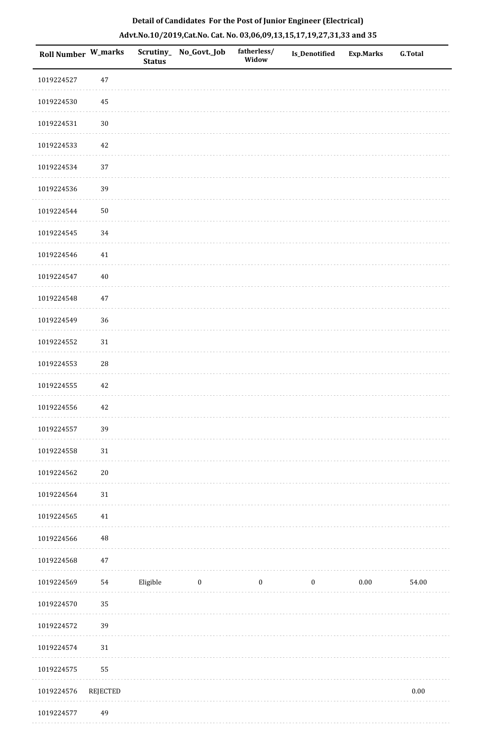| <b>Roll Number W_marks</b> |            | <b>Status</b> | Scrutiny_No_Govt._Job | fatherless/<br>Widow | <b>Is_Denotified</b> | <b>Exp.Marks</b> | <b>G.Total</b> |
|----------------------------|------------|---------------|-----------------------|----------------------|----------------------|------------------|----------------|
| 1019224527                 | $47\,$     |               |                       |                      |                      |                  |                |
| 1019224530                 | $\rm 45$   |               |                       |                      |                      |                  |                |
| 1019224531                 | $30\,$     |               |                       |                      |                      |                  |                |
| 1019224533                 | $42\,$     |               |                       |                      |                      |                  |                |
| 1019224534                 | 37         |               |                       |                      |                      |                  |                |
| 1019224536                 | 39         |               |                       |                      |                      |                  |                |
| 1019224544                 | $50\,$     |               |                       |                      |                      |                  |                |
| 1019224545                 | 34         |               |                       |                      |                      |                  |                |
| 1019224546                 | $41\,$     |               |                       |                      |                      |                  |                |
| 1019224547                 | $40\,$     |               |                       |                      |                      |                  |                |
| 1019224548                 | $47\,$     |               |                       |                      |                      |                  |                |
| 1019224549                 | 36         |               |                       |                      |                      |                  |                |
| 1019224552                 | $31\,$     |               |                       |                      |                      |                  |                |
| 1019224553                 | ${\bf 28}$ |               |                       |                      |                      |                  |                |
| 1019224555                 | 42         |               |                       |                      |                      |                  |                |
| 1019224556                 | $42\,$     |               |                       |                      |                      |                  |                |
| 1019224557                 | 39         |               |                       |                      |                      |                  |                |
| 1019224558                 | 31         |               |                       |                      |                      |                  |                |
| 1019224562                 | $20\,$     |               |                       |                      |                      |                  |                |
| 1019224564                 | 31         |               |                       |                      |                      |                  |                |
| 1019224565                 | $41\,$     |               |                       |                      |                      |                  |                |
| 1019224566                 | $\rm 48$   |               |                       |                      |                      |                  |                |
| 1019224568                 | $47\,$     |               |                       |                      |                      |                  |                |
| 1019224569                 | 54         | Eligible      | $\bf{0}$              | $\boldsymbol{0}$     | $\boldsymbol{0}$     | $0.00\,$         | 54.00          |
| 1019224570                 | 35         |               |                       |                      |                      |                  |                |
| 1019224572                 | 39         |               |                       |                      |                      |                  |                |
| 1019224574                 | 31         |               |                       |                      |                      |                  |                |
| 1019224575                 | 55         |               |                       |                      |                      |                  |                |
| 1019224576                 | REJECTED   |               |                       |                      |                      |                  | $0.00\,$       |
| 1019224577                 | 49         |               |                       |                      |                      |                  |                |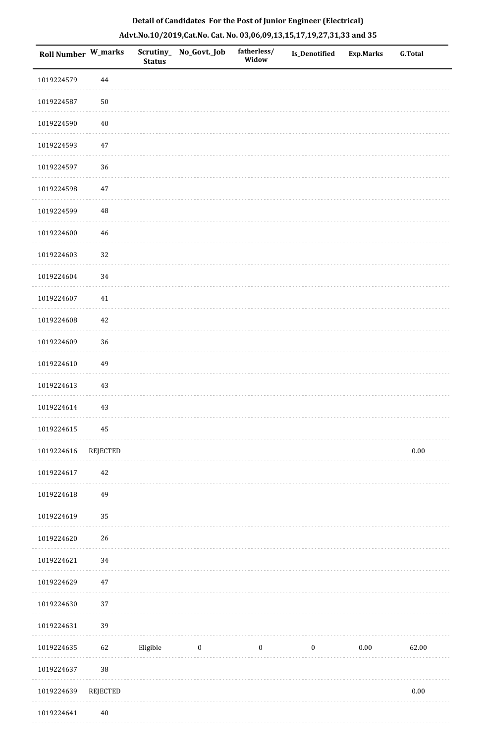| Roll Number W_marks |                 | Scrutiny_<br><b>Status</b> | No_Govt._Job | fatherless/<br>Widow | <b>Is_Denotified</b> | <b>Exp.Marks</b> | <b>G.Total</b> |
|---------------------|-----------------|----------------------------|--------------|----------------------|----------------------|------------------|----------------|
| 1019224579          | $\bf 44$        |                            |              |                      |                      |                  |                |
| 1019224587          | $50\,$          |                            |              |                      |                      |                  |                |
| 1019224590          | 40              |                            |              |                      |                      |                  |                |
| 1019224593          | $47\,$          |                            |              |                      |                      |                  |                |
| 1019224597          | 36              |                            |              |                      |                      |                  |                |
| 1019224598          | $47\,$          |                            |              |                      |                      |                  |                |
| 1019224599          | $\rm 48$        |                            |              |                      |                      |                  |                |
| 1019224600          | 46              |                            |              |                      |                      |                  |                |
| 1019224603          | 32              |                            |              |                      |                      |                  |                |
| 1019224604          | 34              |                            |              |                      |                      |                  |                |
| 1019224607          | $41\,$          |                            |              |                      |                      |                  |                |
| 1019224608          | 42              |                            |              |                      |                      |                  |                |
| 1019224609          | 36              |                            |              |                      |                      |                  |                |
| 1019224610          | 49              |                            |              |                      |                      |                  |                |
| 1019224613          | 43              |                            |              |                      |                      |                  |                |
| 1019224614          | 43              |                            |              |                      |                      |                  |                |
| 1019224615          | 45              |                            |              |                      |                      |                  |                |
| 1019224616          | <b>REJECTED</b> |                            |              |                      |                      |                  | $0.00\,$       |
| 1019224617          | $42\,$          |                            |              |                      |                      |                  |                |
| 1019224618          | 49              |                            |              |                      |                      |                  |                |
| 1019224619          | 35              |                            |              |                      |                      |                  |                |
| 1019224620          | 26              |                            |              |                      |                      |                  |                |
| 1019224621          | $34\,$          |                            |              |                      |                      |                  |                |
| 1019224629          | 47              |                            |              |                      |                      |                  |                |
| 1019224630          | 37              |                            |              |                      |                      |                  |                |
| 1019224631          | 39              |                            |              |                      |                      |                  |                |
| 1019224635          | 62              | Eligible                   | $\bf{0}$     | $\boldsymbol{0}$     | $\boldsymbol{0}$     | $0.00\,$         | 62.00          |
| 1019224637          | $38\,$          |                            |              |                      |                      |                  |                |
| 1019224639          | REJECTED        |                            |              |                      |                      |                  | $0.00\,$       |
|                     |                 |                            |              |                      |                      |                  |                |

1019224641 40

**Sala**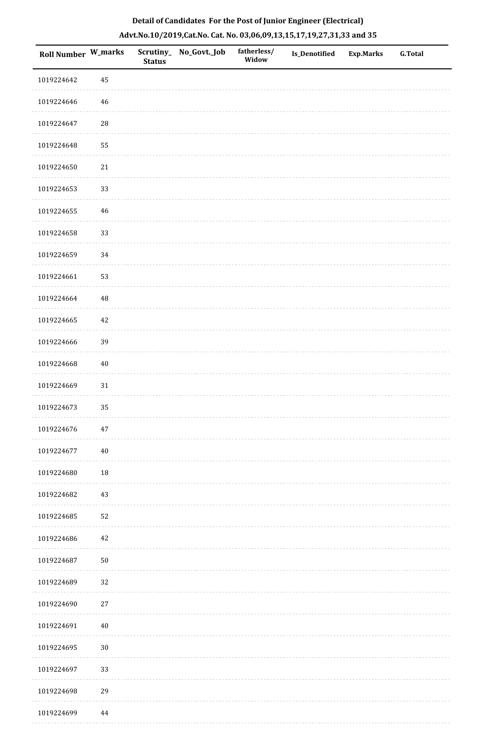| Roll Number W_marks |             | <b>Status</b> | Scrutiny_ No_Govt._Job | fatherless/<br>Widow | Is_Denotified | <b>Exp.Marks</b> | <b>G.Total</b> |
|---------------------|-------------|---------------|------------------------|----------------------|---------------|------------------|----------------|
| 1019224642          | $\bf 45$    |               |                        |                      |               |                  |                |
| 1019224646          | 46          |               |                        |                      |               |                  |                |
| 1019224647          | $\sqrt{28}$ |               |                        |                      |               |                  |                |
| 1019224648          | 55          |               |                        |                      |               |                  |                |
| 1019224650          | 21          |               |                        |                      |               |                  |                |
| 1019224653          | 33          |               |                        |                      |               |                  |                |
| 1019224655          | 46          |               |                        |                      |               |                  |                |
| 1019224658          | 33          |               |                        |                      |               |                  |                |
| 1019224659          | 34          |               |                        |                      |               |                  |                |
| 1019224661          | 53          |               |                        |                      |               |                  |                |
| 1019224664          | $\rm 48$    |               |                        |                      |               |                  |                |
| 1019224665          | 42          |               |                        |                      |               |                  |                |
| 1019224666          | 39          |               |                        |                      |               |                  |                |
| 1019224668          | $40\,$      |               |                        |                      |               |                  |                |
| 1019224669          | $31\,$      |               |                        |                      |               |                  |                |
| 1019224673          | 35          |               |                        |                      |               |                  |                |
| 1019224676          | 47          |               |                        |                      |               |                  |                |
| 1019224677          | $40\,$      |               |                        |                      |               |                  |                |
| 1019224680          | $18\,$      |               |                        |                      |               |                  |                |
| 1019224682          | 43          |               |                        |                      |               |                  |                |
| 1019224685          | 52          |               |                        |                      |               |                  |                |
| 1019224686          | 42          |               |                        |                      |               |                  |                |
| 1019224687          | $50\,$      |               |                        |                      |               |                  |                |
| 1019224689          | 32          |               |                        |                      |               |                  |                |
| 1019224690          | $27\,$      |               |                        |                      |               |                  |                |
| 1019224691          | $40\,$      |               |                        |                      |               |                  |                |
| 1019224695          | $30\,$      |               |                        |                      |               |                  |                |
| 1019224697          | 33          |               |                        |                      |               |                  |                |
| 1019224698          | 29          |               |                        |                      |               |                  |                |
| 1019224699          | 44          |               |                        |                      |               |                  |                |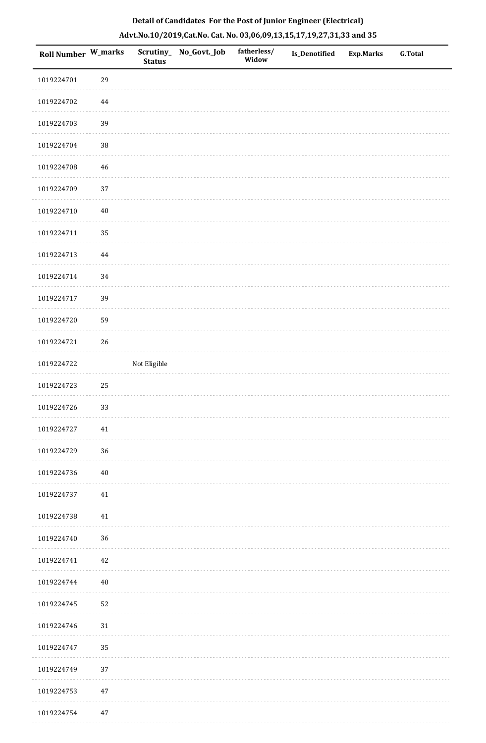| Roll Number W_marks |        | <b>Status</b> | Scrutiny_ No_Govt._Job | fatherless/<br>Widow | Is_Denotified | <b>Exp.Marks</b> | G.Total |
|---------------------|--------|---------------|------------------------|----------------------|---------------|------------------|---------|
| 1019224701          | 29     |               |                        |                      |               |                  |         |
| 1019224702          | 44     |               |                        |                      |               |                  |         |
| 1019224703          | 39     |               |                        |                      |               |                  |         |
| 1019224704          | $38\,$ |               |                        |                      |               |                  |         |
| 1019224708          | 46     |               |                        |                      |               |                  |         |
| 1019224709          | 37     |               |                        |                      |               |                  |         |
| 1019224710          | $40\,$ |               |                        |                      |               |                  |         |
| 1019224711          | 35     |               |                        |                      |               |                  |         |
| 1019224713          | 44     |               |                        |                      |               |                  |         |
| 1019224714          | 34     |               |                        |                      |               |                  |         |
| 1019224717          | 39     |               |                        |                      |               |                  |         |
| 1019224720          | 59     |               |                        |                      |               |                  |         |
| 1019224721          | 26     |               |                        |                      |               |                  |         |
| 1019224722          |        | Not Eligible  |                        |                      |               |                  |         |
| 1019224723          | $25\,$ |               |                        |                      |               |                  |         |
| 1019224726          | 33     |               |                        |                      |               |                  |         |
| 1019224727          | 41     |               |                        |                      |               |                  |         |
| 1019224729          | 36     |               |                        |                      |               |                  |         |
| 1019224736          | $40\,$ |               |                        |                      |               |                  |         |
| 1019224737          | 41     |               |                        |                      |               |                  |         |
| 1019224738          | $41\,$ |               |                        |                      |               |                  |         |
| 1019224740          | 36     |               |                        |                      |               |                  |         |
| 1019224741          | 42     |               |                        |                      |               |                  |         |
| 1019224744          | $40\,$ |               |                        |                      |               |                  |         |
| 1019224745          | 52     |               |                        |                      |               |                  |         |
| 1019224746          | 31     |               |                        |                      |               |                  |         |
| 1019224747          | 35     |               |                        |                      |               |                  |         |
| 1019224749          | 37     |               |                        |                      |               |                  |         |
| 1019224753          | $47\,$ |               |                        |                      |               |                  |         |
| 1019224754          | 47     |               |                        |                      |               |                  |         |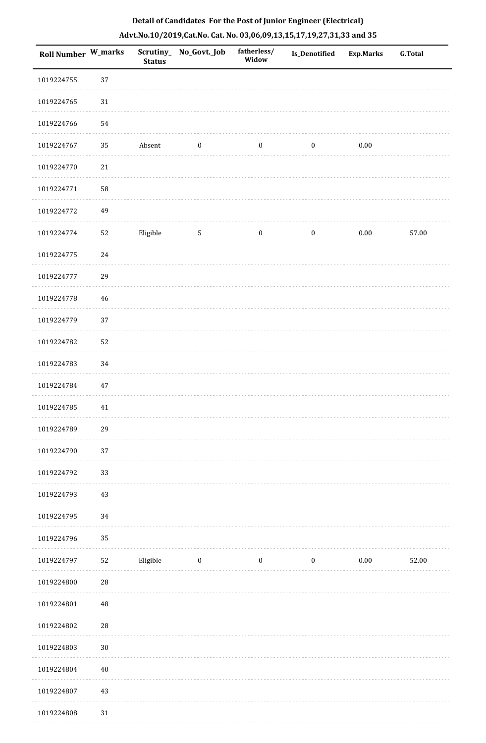| <b>Roll Number W_marks</b> |            | <b>Status</b> | Scrutiny_No_Govt._Job | fatherless/<br>Widow | Is_Denotified    | <b>Exp.Marks</b> | <b>G.Total</b> |
|----------------------------|------------|---------------|-----------------------|----------------------|------------------|------------------|----------------|
| 1019224755                 | 37         |               |                       |                      |                  |                  |                |
| 1019224765                 | 31         |               |                       |                      |                  |                  |                |
| 1019224766                 | 54         |               |                       |                      |                  |                  |                |
| 1019224767                 | 35         | Absent        | $\boldsymbol{0}$      | $\boldsymbol{0}$     | $\boldsymbol{0}$ | $0.00\,$         |                |
| 1019224770                 | $21\,$     |               |                       |                      |                  |                  |                |
| 1019224771                 | 58         |               |                       |                      |                  |                  |                |
| 1019224772                 | 49         |               |                       |                      |                  |                  |                |
| 1019224774                 | 52         | Eligible      | $\overline{5}$        | $\boldsymbol{0}$     | $\boldsymbol{0}$ | $0.00\,$         | 57.00          |
| 1019224775                 | 24         |               |                       |                      |                  |                  |                |
| 1019224777                 | 29         |               |                       |                      |                  |                  |                |
| 1019224778                 | 46         |               |                       |                      |                  |                  |                |
| 1019224779                 | 37         |               |                       |                      |                  |                  |                |
| 1019224782                 | 52         |               |                       |                      |                  |                  |                |
| 1019224783                 | 34         |               |                       |                      |                  |                  |                |
| 1019224784                 | 47         |               |                       |                      |                  |                  |                |
| 1019224785                 | $41\,$     |               |                       |                      |                  |                  |                |
| 1019224789                 | 29         |               |                       |                      |                  |                  |                |
| 1019224790                 | 37         |               |                       |                      |                  |                  |                |
| 1019224792                 | 33         |               |                       |                      |                  |                  |                |
| 1019224793                 | 43         |               |                       |                      |                  |                  |                |
| 1019224795                 | 34         |               |                       |                      |                  |                  |                |
| 1019224796                 | 35         |               |                       |                      |                  |                  |                |
| 1019224797                 | 52         | Eligible      | $\bf{0}$              | $\boldsymbol{0}$     | $\boldsymbol{0}$ | $0.00\,$         | 52.00          |
| 1019224800                 | ${\bf 28}$ |               |                       |                      |                  |                  |                |
| 1019224801                 | $\rm 48$   |               |                       |                      |                  |                  |                |
| 1019224802                 | $28\,$     |               |                       |                      |                  |                  |                |
| 1019224803                 | $30\,$     |               |                       |                      |                  |                  |                |
| 1019224804                 | 40         |               |                       |                      |                  |                  |                |
| 1019224807                 | $43\,$     |               |                       |                      |                  |                  |                |
| 1019224808                 | 31         |               |                       |                      |                  |                  |                |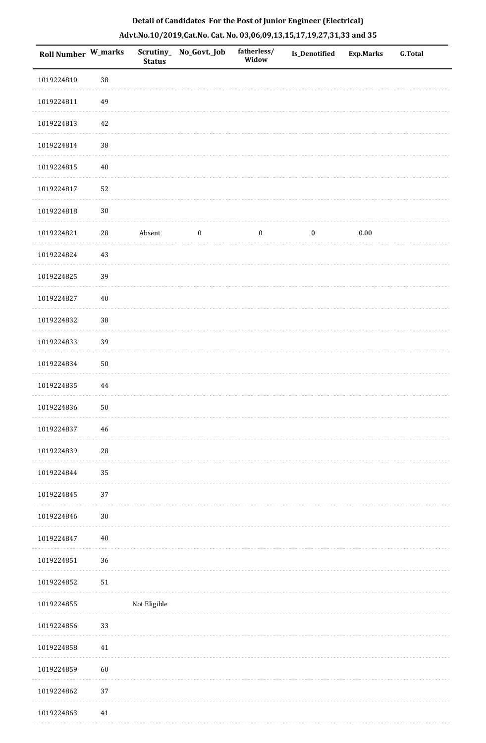|  | Detail of Candidates For the Post of Junior Engineer (Electrical)     |  |
|--|-----------------------------------------------------------------------|--|
|  | Advt.No.10/2019,Cat.No. Cat. No. 03,06,09,13,15,17,19,27,31,33 and 35 |  |

| <b>Roll Number W_marks</b> |            | <b>Status</b> | Scrutiny_ No_Govt._Job | fatherless/<br>Widow | Is_Denotified    | <b>Exp.Marks</b> | <b>G.Total</b> |
|----------------------------|------------|---------------|------------------------|----------------------|------------------|------------------|----------------|
| 1019224810                 | $38\,$     |               |                        |                      |                  |                  |                |
| 1019224811                 | 49         |               |                        |                      |                  |                  |                |
| 1019224813                 | 42         |               |                        |                      |                  |                  |                |
| 1019224814                 | $38\,$     |               |                        |                      |                  |                  |                |
| 1019224815                 | $40\,$     |               |                        |                      |                  |                  |                |
| 1019224817                 | 52         |               |                        |                      |                  |                  |                |
| 1019224818                 | $30\,$     |               |                        |                      |                  |                  |                |
| 1019224821                 | ${\bf 28}$ | Absent        | $\boldsymbol{0}$       | $\boldsymbol{0}$     | $\boldsymbol{0}$ | $0.00\,$         |                |
| 1019224824                 | 43         |               |                        |                      |                  |                  |                |
| 1019224825                 | 39         |               |                        |                      |                  |                  |                |
| 1019224827                 | $40\,$     |               |                        |                      |                  |                  |                |
| 1019224832                 | 38         |               |                        |                      |                  |                  |                |
| 1019224833                 | 39         |               |                        |                      |                  |                  |                |
| 1019224834                 | 50         |               |                        |                      |                  |                  |                |
| 1019224835                 | 44         |               |                        |                      |                  |                  |                |
| 1019224836                 | 50         |               |                        |                      |                  |                  |                |
| 1019224837                 | 46         |               |                        |                      |                  |                  |                |
| 1019224839                 | 28         |               |                        |                      |                  |                  |                |
| 1019224844                 | 35         |               |                        |                      |                  |                  |                |
| 1019224845                 | 37         |               |                        |                      |                  |                  |                |
| 1019224846                 | $30\,$     |               |                        |                      |                  |                  |                |
| 1019224847                 | $40\,$     |               |                        |                      |                  |                  |                |
| 1019224851                 | 36         |               |                        |                      |                  |                  |                |
| 1019224852                 | 51         |               |                        |                      |                  |                  |                |
| 1019224855                 |            | Not Eligible  |                        |                      |                  |                  |                |
| 1019224856                 | 33         |               |                        |                      |                  |                  |                |
| 1019224858                 | $41\,$     |               |                        |                      |                  |                  |                |
| 1019224859                 | 60         |               |                        |                      |                  |                  |                |
| 1019224862                 | 37         |               |                        |                      |                  |                  |                |
| 1019224863                 | 41         |               |                        |                      |                  |                  |                |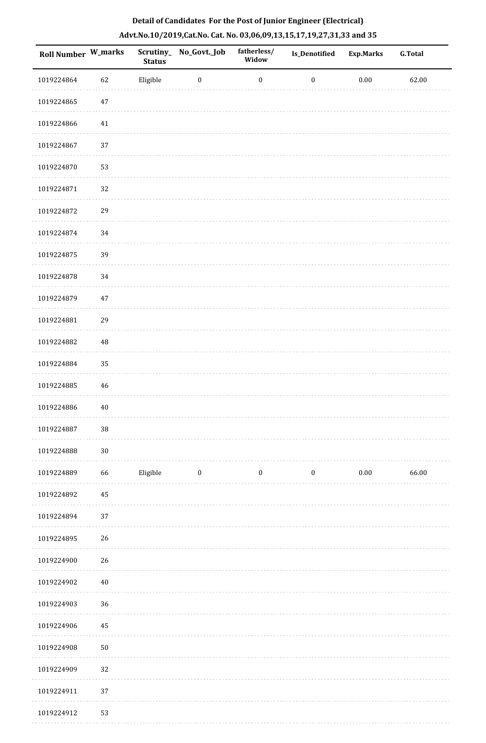| Roll Number W_marks |          | <b>Status</b> | Scrutiny_ No_Govt._Job | fatherless/<br>Widow | Is_Denotified    | <b>Exp.Marks</b> | <b>G.Total</b> |
|---------------------|----------|---------------|------------------------|----------------------|------------------|------------------|----------------|
| 1019224864          | 62       | Eligible      | $\boldsymbol{0}$       | $\boldsymbol{0}$     | $\boldsymbol{0}$ | $0.00\,$         | 62.00          |
| 1019224865          | $47\,$   |               |                        |                      |                  |                  |                |
| 1019224866          | 41       |               |                        |                      |                  |                  |                |
| 1019224867          | 37       |               |                        |                      |                  |                  |                |
| 1019224870          | 53       |               |                        |                      |                  |                  |                |
| 1019224871          | 32       |               |                        |                      |                  |                  |                |
| 1019224872          | 29       |               |                        |                      |                  |                  |                |
| 1019224874          | 34       |               |                        |                      |                  |                  |                |
| 1019224875          | 39       |               |                        |                      |                  |                  |                |
| 1019224878          | 34       |               |                        |                      |                  |                  |                |
| 1019224879          | $47\,$   |               |                        |                      |                  |                  |                |
| 1019224881          | 29       |               |                        |                      |                  |                  |                |
| 1019224882          | 48       |               |                        |                      |                  |                  |                |
| 1019224884          | 35       |               |                        |                      |                  |                  |                |
| 1019224885          | 46       |               |                        |                      |                  |                  |                |
| 1019224886          | $40\,$   |               |                        |                      |                  |                  |                |
| 1019224887          | $38\,$   |               |                        |                      |                  |                  |                |
| 1019224888          | $30\,$   |               |                        |                      |                  |                  |                |
| 1019224889          | 66       | Eligible      | $\bf{0}$               | $\boldsymbol{0}$     | $\boldsymbol{0}$ | $0.00\,$         | 66.00          |
| 1019224892          | $\bf 45$ |               |                        |                      |                  |                  |                |
| 1019224894          | 37       |               |                        |                      |                  |                  |                |
| 1019224895          | 26       |               |                        |                      |                  |                  |                |
| 1019224900          | 26       |               |                        |                      |                  |                  |                |
| 1019224902          | $40\,$   |               |                        |                      |                  |                  |                |
| 1019224903          | 36       |               |                        |                      |                  |                  |                |
| 1019224906          | 45       |               |                        |                      |                  |                  |                |
| 1019224908          | $50\,$   |               |                        |                      |                  |                  |                |
| 1019224909          | 32       |               |                        |                      |                  |                  |                |
| 1019224911          | 37       |               |                        |                      |                  |                  |                |
| 1019224912          | 53       |               |                        |                      |                  |                  |                |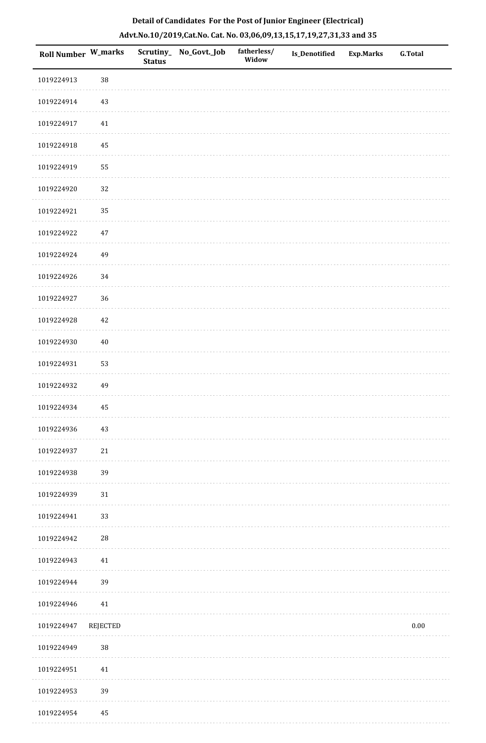| Roll Number W_marks |            | <b>Status</b> | Scrutiny_No_Govt._Job | fatherless/<br>Widow | Is_Denotified | <b>Exp.Marks</b> | <b>G.Total</b> |
|---------------------|------------|---------------|-----------------------|----------------------|---------------|------------------|----------------|
| 1019224913          | 38         |               |                       |                      |               |                  |                |
| 1019224914          | $43\,$     |               |                       |                      |               |                  |                |
| 1019224917          | $41\,$     |               |                       |                      |               |                  |                |
| 1019224918          | 45         |               |                       |                      |               |                  |                |
| 1019224919          | 55         |               |                       |                      |               |                  |                |
| 1019224920          | $32\,$     |               |                       |                      |               |                  |                |
| 1019224921          | 35         |               |                       |                      |               |                  |                |
| 1019224922          | $47\,$     |               |                       |                      |               |                  |                |
| 1019224924          | 49         |               |                       |                      |               |                  |                |
| 1019224926          | 34         |               |                       |                      |               |                  |                |
| 1019224927          | 36         |               |                       |                      |               |                  |                |
| 1019224928          | $42\,$     |               |                       |                      |               |                  |                |
| 1019224930          | $40\,$     |               |                       |                      |               |                  |                |
| 1019224931          | 53         |               |                       |                      |               |                  |                |
| 1019224932          | 49         |               |                       |                      |               |                  |                |
| 1019224934          | 45         |               |                       |                      |               |                  |                |
| 1019224936          | $43\,$     |               |                       |                      |               |                  |                |
| 1019224937          | $21\,$     |               |                       |                      |               |                  |                |
| 1019224938          | 39         |               |                       |                      |               |                  |                |
| 1019224939          | 31         |               |                       |                      |               |                  |                |
| 1019224941          | 33         |               |                       |                      |               |                  |                |
| 1019224942          | ${\bf 28}$ |               |                       |                      |               |                  |                |
| 1019224943          | 41         |               |                       |                      |               |                  |                |
| 1019224944          | 39         |               |                       |                      |               |                  |                |
| 1019224946          | $41\,$     |               |                       |                      |               |                  |                |
| 1019224947          | REJECTED   |               |                       |                      |               |                  | $0.00\,$       |
| 1019224949          | $38\,$     |               |                       |                      |               |                  |                |
| 1019224951          | $41\,$     |               |                       |                      |               |                  |                |
| 1019224953          | 39         |               |                       |                      |               |                  |                |
| 1019224954          | 45         |               |                       |                      |               |                  |                |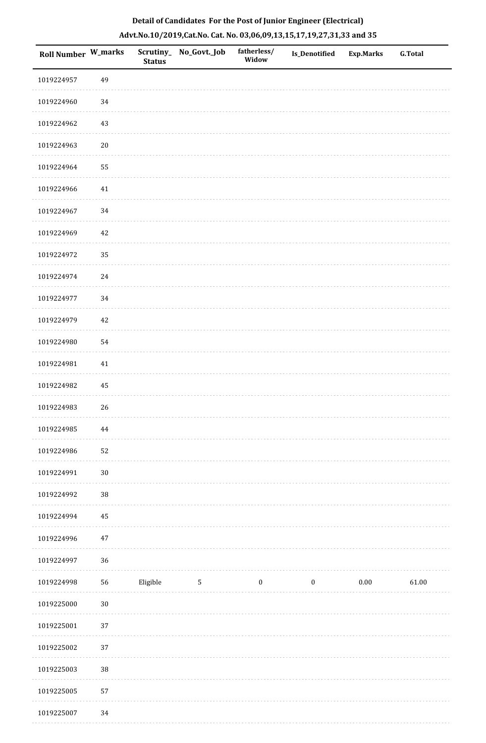| <b>Roll Number W_marks</b> |          | <b>Status</b> | Scrutiny_ No_Govt._Job | fatherless/<br>Widow | Is_Denotified    | <b>Exp.Marks</b> | <b>G.Total</b> |
|----------------------------|----------|---------------|------------------------|----------------------|------------------|------------------|----------------|
| 1019224957                 | 49       |               |                        |                      |                  |                  |                |
| 1019224960                 | 34       |               |                        |                      |                  |                  |                |
| 1019224962                 | $43\,$   |               |                        |                      |                  |                  |                |
| 1019224963                 | $20\,$   |               |                        |                      |                  |                  |                |
| 1019224964                 | 55       |               |                        |                      |                  |                  |                |
| 1019224966                 | $41\,$   |               |                        |                      |                  |                  |                |
| 1019224967                 | 34       |               |                        |                      |                  |                  |                |
| 1019224969                 | $42\,$   |               |                        |                      |                  |                  |                |
| 1019224972                 | 35       |               |                        |                      |                  |                  |                |
| 1019224974                 | $24\,$   |               |                        |                      |                  |                  |                |
| 1019224977                 | 34       |               |                        |                      |                  |                  |                |
| 1019224979                 | $42\,$   |               |                        |                      |                  |                  |                |
| 1019224980                 | 54       |               |                        |                      |                  |                  |                |
| 1019224981                 | $41\,$   |               |                        |                      |                  |                  |                |
| 1019224982                 | 45       |               |                        |                      |                  |                  |                |
| 1019224983                 | $26\,$   |               |                        |                      |                  |                  |                |
| 1019224985                 | $\bf 44$ |               |                        |                      |                  |                  |                |
| 1019224986                 | 52       |               |                        |                      |                  |                  |                |
| 1019224991                 | $30\,$   |               |                        |                      |                  |                  |                |
| 1019224992                 | $38\,$   |               |                        |                      |                  |                  |                |
| 1019224994                 | $\bf 45$ |               |                        |                      |                  |                  |                |
| 1019224996                 | $47\,$   |               |                        |                      |                  |                  |                |
| 1019224997                 | 36       |               |                        |                      |                  |                  |                |
| 1019224998                 | 56       | Eligible      | 5                      | $\boldsymbol{0}$     | $\boldsymbol{0}$ | $0.00\,$         | 61.00          |
| 1019225000                 | $30\,$   |               |                        |                      |                  |                  |                |
| 1019225001                 | 37       |               |                        |                      |                  |                  |                |
| 1019225002                 | 37       |               |                        |                      |                  |                  |                |
| 1019225003                 | $38\,$   |               |                        |                      |                  |                  |                |
| 1019225005                 | 57       |               |                        |                      |                  |                  |                |
|                            |          |               |                        |                      |                  |                  |                |

 1019225007 34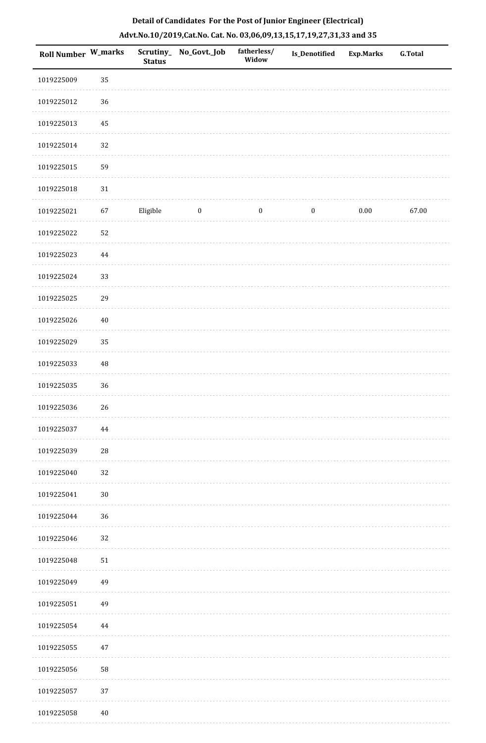| Roll Number W_marks |          | <b>Status</b> | Scrutiny_ No_Govt._Job | fatherless/<br>Widow | Is_Denotified    | <b>Exp.Marks</b> | <b>G.Total</b> |
|---------------------|----------|---------------|------------------------|----------------------|------------------|------------------|----------------|
| 1019225009          | 35       |               |                        |                      |                  |                  |                |
| 1019225012          | 36       |               |                        |                      |                  |                  |                |
| 1019225013          | 45       |               |                        |                      |                  |                  |                |
| 1019225014          | 32       |               |                        |                      |                  |                  |                |
| 1019225015          | 59       |               |                        |                      |                  |                  |                |
| 1019225018          | 31       |               |                        |                      |                  |                  |                |
| 1019225021          | 67       | Eligible      | $\bf{0}$               | $\boldsymbol{0}$     | $\boldsymbol{0}$ | 0.00             | 67.00          |
| 1019225022          | 52       |               |                        |                      |                  |                  |                |
| 1019225023          | 44       |               |                        |                      |                  |                  |                |
| 1019225024          | 33       |               |                        |                      |                  |                  |                |
| 1019225025          | 29       |               |                        |                      |                  |                  |                |
| 1019225026          | $40\,$   |               |                        |                      |                  |                  |                |
| 1019225029          | 35       |               |                        |                      |                  |                  |                |
| 1019225033          | $\rm 48$ |               |                        |                      |                  |                  |                |
| 1019225035          | 36       |               |                        |                      |                  |                  |                |
| 1019225036          | 26       |               |                        |                      |                  |                  |                |
| 1019225037          | 44       |               |                        |                      |                  |                  |                |
| 1019225039          | 28       |               |                        |                      |                  |                  |                |
| 1019225040          | 32       |               |                        |                      |                  |                  |                |
| 1019225041          | $30\,$   |               |                        |                      |                  |                  |                |
| 1019225044          | 36       |               |                        |                      |                  |                  |                |
| 1019225046          | $32\,$   |               |                        |                      |                  |                  |                |
| 1019225048          | 51       |               |                        |                      |                  |                  |                |
| 1019225049          | 49       |               |                        |                      |                  |                  |                |
| 1019225051          | 49       |               |                        |                      |                  |                  |                |
| 1019225054          | $\bf 44$ |               |                        |                      |                  |                  |                |
| 1019225055          | 47       |               |                        |                      |                  |                  |                |
| 1019225056          | 58       |               |                        |                      |                  |                  |                |
| 1019225057          | 37       |               |                        |                      |                  |                  |                |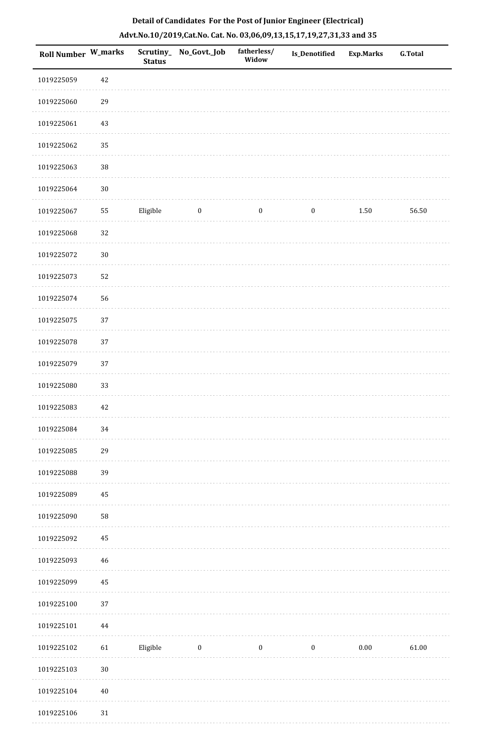|  | Detail of Candidates For the Post of Junior Engineer (Electrical)     |  |
|--|-----------------------------------------------------------------------|--|
|  | Advt.No.10/2019,Cat.No. Cat. No. 03,06,09,13,15,17,19,27,31,33 and 35 |  |

| <b>Roll Number W_marks</b> |        | <b>Status</b> | Scrutiny_ No_Govt._Job | fatherless/<br>Widow | Is_Denotified    | <b>Exp.Marks</b> | <b>G.Total</b> |
|----------------------------|--------|---------------|------------------------|----------------------|------------------|------------------|----------------|
| 1019225059                 | 42     |               |                        |                      |                  |                  |                |
| 1019225060                 | 29     |               |                        |                      |                  |                  |                |
| 1019225061                 | $43\,$ |               |                        |                      |                  |                  |                |
| 1019225062                 | 35     |               |                        |                      |                  |                  |                |
| 1019225063                 | $38\,$ |               |                        |                      |                  |                  |                |
| 1019225064                 | $30\,$ |               |                        |                      |                  |                  |                |
| 1019225067                 | 55     | Eligible      | $\boldsymbol{0}$       | $\boldsymbol{0}$     | $\boldsymbol{0}$ | 1.50             | 56.50          |
| 1019225068                 | 32     |               |                        |                      |                  |                  |                |
| 1019225072                 | $30\,$ |               |                        |                      |                  |                  |                |
| 1019225073                 | 52     |               |                        |                      |                  |                  |                |
| 1019225074                 | 56     |               |                        |                      |                  |                  |                |
| 1019225075                 | 37     |               |                        |                      |                  |                  |                |
| 1019225078                 | 37     |               |                        |                      |                  |                  |                |
| 1019225079                 | 37     |               |                        |                      |                  |                  |                |
| 1019225080                 | 33     |               |                        |                      |                  |                  |                |
| 1019225083                 | 42     |               |                        |                      |                  |                  |                |
| 1019225084                 | 34     |               |                        |                      |                  |                  |                |
| 1019225085                 | 29     |               |                        |                      |                  |                  |                |
| 1019225088                 | 39     |               |                        |                      |                  |                  |                |
| 1019225089                 | 45     |               |                        |                      |                  |                  |                |
| 1019225090                 | 58     |               |                        |                      |                  |                  |                |
| 1019225092                 | 45     |               |                        |                      |                  |                  |                |
| 1019225093                 | $46\,$ |               |                        |                      |                  |                  |                |
| 1019225099                 | 45     |               |                        |                      |                  |                  |                |
| 1019225100                 | 37     |               |                        |                      |                  |                  |                |
| 1019225101                 | 44     |               |                        |                      |                  |                  |                |
| 1019225102                 | 61     | Eligible      | $\bf{0}$               | $\boldsymbol{0}$     | $\boldsymbol{0}$ | 0.00             | 61.00          |
| 1019225103                 | $30\,$ |               |                        |                      |                  |                  |                |
| 1019225104                 | $40\,$ |               |                        |                      |                  |                  |                |
| 1019225106                 | $31\,$ |               |                        |                      |                  |                  |                |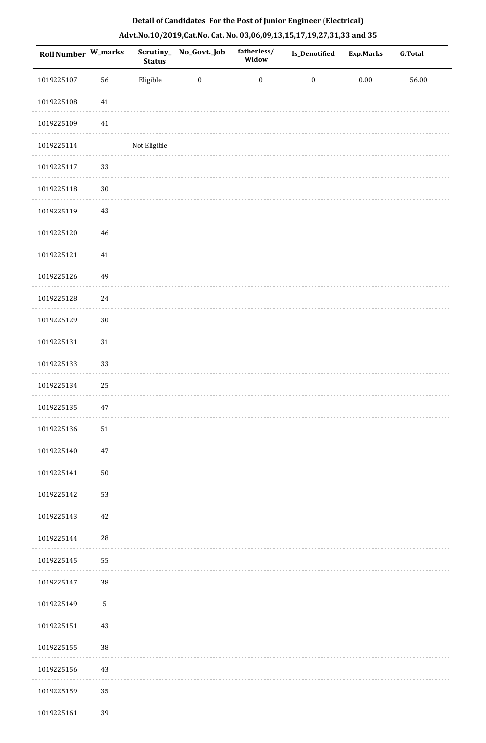| Roll Number W_marks |        | <b>Status</b> | Scrutiny_ No_Govt._Job | fatherless/<br>Widow | Is_Denotified    | <b>Exp.Marks</b> | G.Total   |
|---------------------|--------|---------------|------------------------|----------------------|------------------|------------------|-----------|
| 1019225107          | 56     | Eligible      | $\bf{0}$               | $\boldsymbol{0}$     | $\boldsymbol{0}$ | $0.00\,$         | $56.00\,$ |
| 1019225108          | $41\,$ |               |                        |                      |                  |                  |           |
| 1019225109          | $41\,$ |               |                        |                      |                  |                  |           |
| 1019225114          |        | Not Eligible  |                        |                      |                  |                  |           |
| 1019225117          | 33     |               |                        |                      |                  |                  |           |
| 1019225118          | $30\,$ |               |                        |                      |                  |                  |           |
| 1019225119          | 43     |               |                        |                      |                  |                  |           |
| 1019225120          | 46     |               |                        |                      |                  |                  |           |
| 1019225121          | 41     |               |                        |                      |                  |                  |           |
| 1019225126          | 49     |               |                        |                      |                  |                  |           |
| 1019225128          | 24     |               |                        |                      |                  |                  |           |
| 1019225129          | $30\,$ |               |                        |                      |                  |                  |           |
| 1019225131          | $31\,$ |               |                        |                      |                  |                  |           |
| 1019225133          | 33     |               |                        |                      |                  |                  |           |
| 1019225134          | 25     |               |                        |                      |                  |                  |           |
| 1019225135          | 47     |               |                        |                      |                  |                  |           |
| 1019225136          | 51     |               |                        |                      |                  |                  |           |
| 1019225140          | 47     |               |                        |                      |                  |                  |           |
| 1019225141          | 50     |               |                        |                      |                  |                  |           |
| 1019225142          | 53     |               |                        |                      |                  |                  |           |
| 1019225143          | 42     |               |                        |                      |                  |                  |           |
| 1019225144          | 28     |               |                        |                      |                  |                  |           |
| 1019225145          | 55     |               |                        |                      |                  |                  |           |
| 1019225147          | 38     |               |                        |                      |                  |                  |           |
| 1019225149          | 5      |               |                        |                      |                  |                  |           |
| 1019225151          | 43     |               |                        |                      |                  |                  |           |
| 1019225155          | 38     |               |                        |                      |                  |                  |           |
| 1019225156          | 43     |               |                        |                      |                  |                  |           |
| 1019225159          | 35     |               |                        |                      |                  |                  |           |
| 1019225161          | 39     |               |                        |                      |                  |                  |           |

. . . . . . .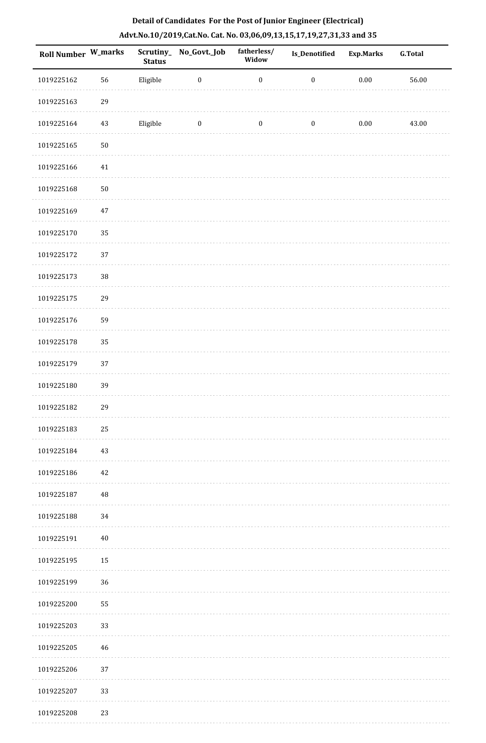| Roll Number W_marks |          | <b>Status</b> | Scrutiny_No_Govt._Job | fatherless/<br>Widow | Is_Denotified    | <b>Exp.Marks</b> | <b>G.Total</b> |
|---------------------|----------|---------------|-----------------------|----------------------|------------------|------------------|----------------|
| 1019225162          | 56       | Eligible      | $\boldsymbol{0}$      | $\boldsymbol{0}$     | $\boldsymbol{0}$ | $0.00\,$         | 56.00          |
| 1019225163          | 29       |               |                       |                      |                  |                  |                |
| 1019225164          | $43\,$   | Eligible      | $\boldsymbol{0}$      | $\boldsymbol{0}$     | $\boldsymbol{0}$ | $0.00\,$         | 43.00          |
| 1019225165          | $50\,$   |               |                       |                      |                  |                  |                |
| 1019225166          | 41       |               |                       |                      |                  |                  |                |
| 1019225168          | $50\,$   |               |                       |                      |                  |                  |                |
| 1019225169          | $47\,$   |               |                       |                      |                  |                  |                |
| 1019225170          | 35       |               |                       |                      |                  |                  |                |
| 1019225172          | 37       |               |                       |                      |                  |                  |                |
| 1019225173          | $38\,$   |               |                       |                      |                  |                  |                |
| 1019225175          | 29       |               |                       |                      |                  |                  |                |
| 1019225176          | 59       |               |                       |                      |                  |                  |                |
| 1019225178          | 35       |               |                       |                      |                  |                  |                |
| 1019225179          | $37\,$   |               |                       |                      |                  |                  |                |
| 1019225180          | 39       |               |                       |                      |                  |                  |                |
| 1019225182          | 29       |               |                       |                      |                  |                  |                |
| 1019225183          | 25       |               |                       |                      |                  |                  |                |
| 1019225184          | 43       |               |                       |                      |                  |                  |                |
| 1019225186          | 42       |               |                       |                      |                  |                  |                |
| 1019225187          | $\rm 48$ |               |                       |                      |                  |                  |                |
| 1019225188          | 34       |               |                       |                      |                  |                  |                |
| 1019225191          | $40\,$   |               |                       |                      |                  |                  |                |
| 1019225195          | 15       |               |                       |                      |                  |                  |                |
| 1019225199          | 36       |               |                       |                      |                  |                  |                |
| 1019225200          | 55       |               |                       |                      |                  |                  |                |
| 1019225203          | 33       |               |                       |                      |                  |                  |                |
| 1019225205          | 46       |               |                       |                      |                  |                  |                |
| 1019225206          | 37       |               |                       |                      |                  |                  |                |
| 1019225207          | 33       |               |                       |                      |                  |                  |                |
| 1019225208          | 23       |               |                       |                      |                  |                  |                |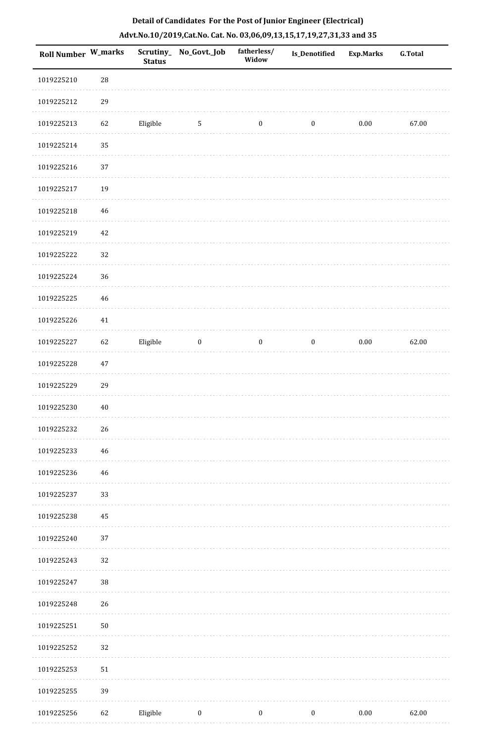| <b>Roll Number W_marks</b> |             | <b>Status</b> | Scrutiny_ No_Govt._Job | fatherless/<br>Widow | Is_Denotified    | <b>Exp.Marks</b> | <b>G.Total</b> |
|----------------------------|-------------|---------------|------------------------|----------------------|------------------|------------------|----------------|
| 1019225210                 | $\sqrt{28}$ |               |                        |                      |                  |                  |                |
| 1019225212                 | 29          |               |                        |                      |                  |                  |                |
| 1019225213                 | 62          | Eligible      | $\sqrt{5}$             | $\boldsymbol{0}$     | $\boldsymbol{0}$ | $0.00\,$         | 67.00          |
| 1019225214                 | 35          |               |                        |                      |                  |                  |                |
| 1019225216                 | $37\,$      |               |                        |                      |                  |                  |                |
| 1019225217                 | 19          |               |                        |                      |                  |                  |                |
| 1019225218                 | 46          |               |                        |                      |                  |                  |                |
| 1019225219                 | 42          |               |                        |                      |                  |                  |                |
| 1019225222                 | 32          |               |                        |                      |                  |                  |                |
| 1019225224                 | 36          |               |                        |                      |                  |                  |                |
| 1019225225                 | 46          |               |                        |                      |                  |                  |                |
| 1019225226                 | 41          |               |                        |                      |                  |                  |                |
| 1019225227                 | 62          | Eligible      | $\boldsymbol{0}$       | $\boldsymbol{0}$     | $\bf{0}$         | $0.00\,$         | 62.00          |
| 1019225228                 | 47          |               |                        |                      |                  |                  |                |
| 1019225229                 | 29          |               |                        |                      |                  |                  |                |
| 1019225230                 | 40          |               |                        |                      |                  |                  |                |
| 1019225232                 | 26          |               |                        |                      |                  |                  |                |
| 1019225233                 | 46          |               |                        |                      |                  |                  |                |
| 1019225236                 | 46          |               |                        |                      |                  |                  |                |
| 1019225237                 | 33          |               |                        |                      |                  |                  |                |
| 1019225238                 | 45          |               |                        |                      |                  |                  |                |
| 1019225240                 | 37          |               |                        |                      |                  |                  |                |
| 1019225243                 | 32          |               |                        |                      |                  |                  |                |
| 1019225247                 | $38\,$      |               |                        |                      |                  |                  |                |
| 1019225248                 | 26          |               |                        |                      |                  |                  |                |
| 1019225251                 | $50\,$      |               |                        |                      |                  |                  |                |
| 1019225252                 | 32          |               |                        |                      |                  |                  |                |
| 1019225253                 | 51          |               |                        |                      |                  |                  |                |
| 1019225255                 | 39          |               |                        |                      |                  |                  |                |
| 1019225256                 | 62          | Eligible      | $\boldsymbol{0}$       | $\boldsymbol{0}$     | $\boldsymbol{0}$ | $0.00\,$         | 62.00          |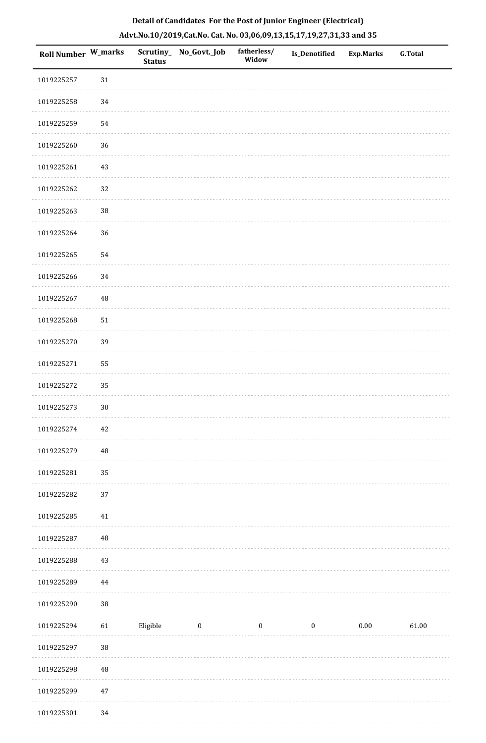| Roll Number W_marks |          | <b>Status</b> | Scrutiny_No_Govt._Job | fatherless/<br>Widow | Is_Denotified    | <b>Exp.Marks</b> | <b>G.Total</b> |
|---------------------|----------|---------------|-----------------------|----------------------|------------------|------------------|----------------|
| 1019225257          | 31       |               |                       |                      |                  |                  |                |
| 1019225258          | 34       |               |                       |                      |                  |                  |                |
| 1019225259          | 54       |               |                       |                      |                  |                  |                |
| 1019225260          | 36       |               |                       |                      |                  |                  |                |
| 1019225261          | 43       |               |                       |                      |                  |                  |                |
| 1019225262          | 32       |               |                       |                      |                  |                  |                |
| 1019225263          | $38\,$   |               |                       |                      |                  |                  |                |
| 1019225264          | 36       |               |                       |                      |                  |                  |                |
| 1019225265          | 54       |               |                       |                      |                  |                  |                |
| 1019225266          | 34       |               |                       |                      |                  |                  |                |
| 1019225267          | 48       |               |                       |                      |                  |                  |                |
| 1019225268          | 51       |               |                       |                      |                  |                  |                |
| 1019225270          | 39       |               |                       |                      |                  |                  |                |
| 1019225271          | 55       |               |                       |                      |                  |                  |                |
| 1019225272          | 35       |               |                       |                      |                  |                  |                |
| 1019225273          | $30\,$   |               |                       |                      |                  |                  |                |
| 1019225274          | $42\,$   |               |                       |                      |                  |                  |                |
| 1019225279          | 48       |               |                       |                      |                  |                  |                |
| 1019225281          | 35       |               |                       |                      |                  |                  |                |
| 1019225282          | 37       |               |                       |                      |                  |                  |                |
| 1019225285          | 41       |               |                       |                      |                  |                  |                |
| 1019225287          | $\rm 48$ |               |                       |                      |                  |                  |                |
| 1019225288          | 43       |               |                       |                      |                  |                  |                |
| 1019225289          | 44       |               |                       |                      |                  |                  |                |
| 1019225290          | $38\,$   |               |                       |                      |                  |                  |                |
| 1019225294          | 61       | Eligible      | $\boldsymbol{0}$      | $\boldsymbol{0}$     | $\boldsymbol{0}$ | $0.00\,$         | 61.00          |
| 1019225297          | $38\,$   |               |                       |                      |                  |                  |                |
| 1019225298          | 48       |               |                       |                      |                  |                  |                |
| 1019225299          | $47\,$   |               |                       |                      |                  |                  |                |

1019225301 34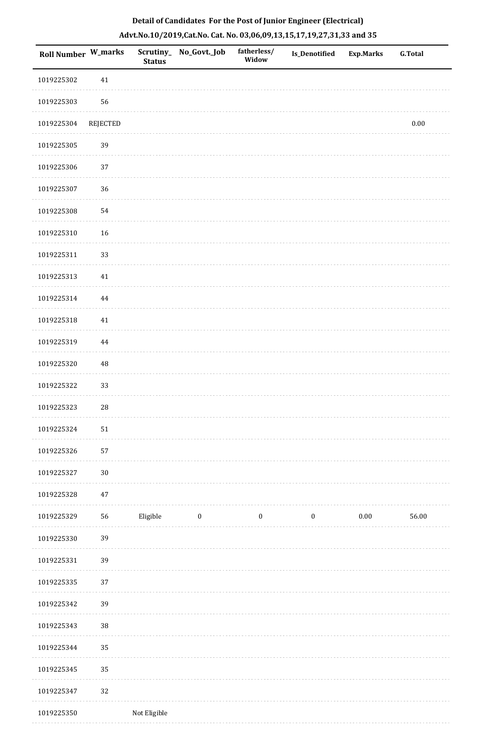|  | Detail of Candidates For the Post of Junior Engineer (Electrical)     |  |
|--|-----------------------------------------------------------------------|--|
|  | Advt.No.10/2019,Cat.No. Cat. No. 03,06,09,13,15,17,19,27,31,33 and 35 |  |

| <b>Roll Number W_marks</b> |            | <b>Status</b> | Scrutiny_ No_Govt._Job | fatherless/<br>Widow | Is_Denotified    | <b>Exp.Marks</b> | <b>G.Total</b> |
|----------------------------|------------|---------------|------------------------|----------------------|------------------|------------------|----------------|
| 1019225302                 | $41\,$     |               |                        |                      |                  |                  |                |
| 1019225303                 | 56         |               |                        |                      |                  |                  |                |
| 1019225304                 | REJECTED   |               |                        |                      |                  |                  | $0.00\,$       |
| 1019225305                 | 39         |               |                        |                      |                  |                  |                |
| 1019225306                 | 37         |               |                        |                      |                  |                  |                |
| 1019225307                 | 36         |               |                        |                      |                  |                  |                |
| 1019225308                 | 54         |               |                        |                      |                  |                  |                |
| 1019225310                 | 16         |               |                        |                      |                  |                  |                |
| 1019225311                 | 33         |               |                        |                      |                  |                  |                |
| 1019225313                 | $41\,$     |               |                        |                      |                  |                  |                |
| 1019225314                 | $\bf 44$   |               |                        |                      |                  |                  |                |
| 1019225318                 | $41\,$     |               |                        |                      |                  |                  |                |
| 1019225319                 | 44         |               |                        |                      |                  |                  |                |
| 1019225320                 | 48         |               |                        |                      |                  |                  |                |
| 1019225322                 | 33         |               |                        |                      |                  |                  |                |
| 1019225323                 | ${\bf 28}$ |               |                        |                      |                  |                  |                |
| 1019225324                 | 51         |               |                        |                      |                  |                  |                |
| 1019225326                 | 57         |               |                        |                      |                  |                  |                |
| 1019225327                 | $30\,$     |               |                        |                      |                  |                  |                |
| 1019225328                 | $47\,$     |               |                        |                      |                  |                  |                |
| 1019225329                 | 56         | Eligible      | $\bf{0}$               | $\boldsymbol{0}$     | $\boldsymbol{0}$ | $0.00\,$         | 56.00          |
| 1019225330                 | 39         |               |                        |                      |                  |                  |                |
| 1019225331                 | 39         |               |                        |                      |                  |                  |                |
| 1019225335                 | 37         |               |                        |                      |                  |                  |                |
| 1019225342                 | 39         |               |                        |                      |                  |                  |                |
| 1019225343                 | 38         |               |                        |                      |                  |                  |                |
| 1019225344                 | 35         |               |                        |                      |                  |                  |                |
| 1019225345                 | 35         |               |                        |                      |                  |                  |                |
| 1019225347                 | 32         |               |                        |                      |                  |                  |                |
| 1019225350                 |            | Not Eligible  |                        |                      |                  |                  |                |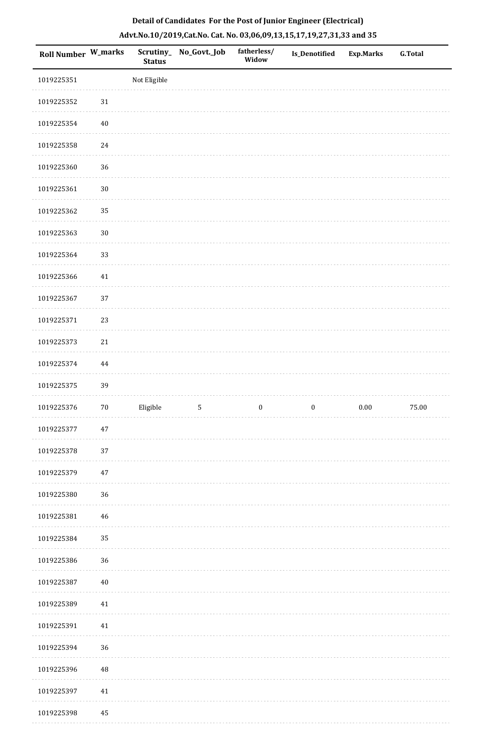| Roll Number W_marks |             | <b>Status</b> | Scrutiny_ No_Govt._Job | fatherless/<br>Widow | Is_Denotified    | <b>Exp.Marks</b> | <b>G.Total</b> |
|---------------------|-------------|---------------|------------------------|----------------------|------------------|------------------|----------------|
| 1019225351          |             | Not Eligible  |                        |                      |                  |                  |                |
| 1019225352          | $31\,$      |               |                        |                      |                  |                  |                |
| 1019225354          | $40\,$      |               |                        |                      |                  |                  |                |
| 1019225358          | 24          |               |                        |                      |                  |                  |                |
| 1019225360          | 36          |               |                        |                      |                  |                  |                |
| 1019225361          | $30\,$      |               |                        |                      |                  |                  |                |
| 1019225362          | 35          |               |                        |                      |                  |                  |                |
| 1019225363          | $30\,$      |               |                        |                      |                  |                  |                |
| 1019225364          | 33          |               |                        |                      |                  |                  |                |
| 1019225366          | $41\,$      |               |                        |                      |                  |                  |                |
| 1019225367          | 37          |               |                        |                      |                  |                  |                |
| 1019225371          | 23          |               |                        |                      |                  |                  |                |
| 1019225373          | $21\,$      |               |                        |                      |                  |                  |                |
| 1019225374          | 44          |               |                        |                      |                  |                  |                |
| 1019225375          | 39          |               |                        |                      |                  |                  |                |
| 1019225376          | $70\,$      | Eligible      | $\mathsf S$            | $\boldsymbol{0}$     | $\boldsymbol{0}$ | $0.00\,$         | 75.00          |
| 1019225377          | $47\,$      |               |                        |                      |                  |                  |                |
| 1019225378          | 37          |               |                        |                      |                  |                  |                |
| 1019225379          | $47\,$      |               |                        |                      |                  |                  |                |
| 1019225380          | $36\,$      |               |                        |                      |                  |                  |                |
| 1019225381          | $46\,$      |               |                        |                      |                  |                  |                |
| 1019225384          | 35          |               |                        |                      |                  |                  |                |
| 1019225386          | 36          |               |                        |                      |                  |                  |                |
| 1019225387          | $40\,$      |               |                        |                      |                  |                  |                |
| 1019225389          | $41\,$      |               |                        |                      |                  |                  |                |
| 1019225391          | 41          |               |                        |                      |                  |                  |                |
| 1019225394          | 36          |               |                        |                      |                  |                  |                |
| 1019225396          | $\sqrt{48}$ |               |                        |                      |                  |                  |                |
| 1019225397          | $41\,$      |               |                        |                      |                  |                  |                |
| 1019225398          | 45          |               |                        |                      |                  |                  |                |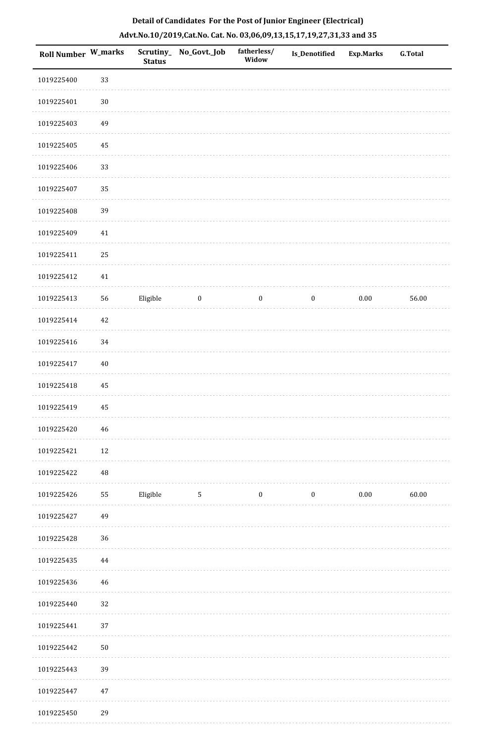| Roll Number W_marks |          | <b>Status</b> | Scrutiny_ No_Govt._Job | fatherless/<br>Widow | <b>Is_Denotified</b> | <b>Exp.Marks</b> | <b>G.Total</b> |
|---------------------|----------|---------------|------------------------|----------------------|----------------------|------------------|----------------|
| 1019225400          | 33       |               |                        |                      |                      |                  |                |
| 1019225401          | $30\,$   |               |                        |                      |                      |                  |                |
| 1019225403          | 49       |               |                        |                      |                      |                  |                |
| 1019225405          | 45       |               |                        |                      |                      |                  |                |
| 1019225406          | 33       |               |                        |                      |                      |                  |                |
| 1019225407          | 35       |               |                        |                      |                      |                  |                |
| 1019225408          | 39       |               |                        |                      |                      |                  |                |
| 1019225409          | 41       |               |                        |                      |                      |                  |                |
| 1019225411          | 25       |               |                        |                      |                      |                  |                |
| 1019225412          | 41       |               |                        |                      |                      |                  |                |
| 1019225413          | 56       | Eligible      | $\bf{0}$               | $\boldsymbol{0}$     | $\boldsymbol{0}$     | $0.00\,$         | 56.00          |
| 1019225414          | $42\,$   |               |                        |                      |                      |                  |                |
| 1019225416          | 34       |               |                        |                      |                      |                  |                |
| 1019225417          | $40\,$   |               |                        |                      |                      |                  |                |
| 1019225418          | 45       |               |                        |                      |                      |                  |                |
| 1019225419          | 45       |               |                        |                      |                      |                  |                |
| 1019225420          | 46       |               |                        |                      |                      |                  |                |
| 1019225421          | $12\,$   |               |                        |                      |                      |                  |                |
| 1019225422          | $\rm 48$ |               |                        |                      |                      |                  |                |
| 1019225426          | 55       | Eligible      | $5\phantom{.0}$        | $\boldsymbol{0}$     | $\boldsymbol{0}$     | 0.00             | 60.00          |
| 1019225427          | 49       |               |                        |                      |                      |                  |                |
| 1019225428          | 36       |               |                        |                      |                      |                  |                |
| 1019225435          | 44       |               |                        |                      |                      |                  |                |
| 1019225436          | 46       |               |                        |                      |                      |                  |                |
| 1019225440          | 32       |               |                        |                      |                      |                  |                |
| 1019225441          | 37       |               |                        |                      |                      |                  |                |
| 1019225442          | $50\,$   |               |                        |                      |                      |                  |                |
| 1019225443          | 39       |               |                        |                      |                      |                  |                |
| 1019225447          | $47\,$   |               |                        |                      |                      |                  |                |
| 1019225450          | 29       |               |                        |                      |                      |                  |                |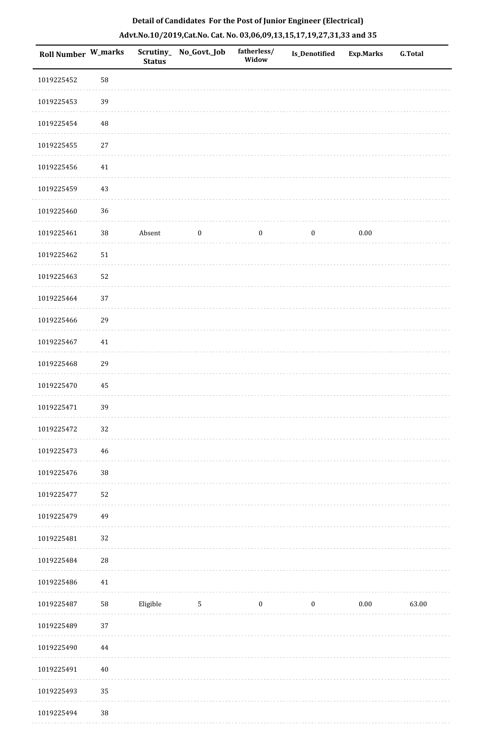|  | Detail of Candidates For the Post of Junior Engineer (Electrical)     |  |
|--|-----------------------------------------------------------------------|--|
|  | Advt.No.10/2019,Cat.No. Cat. No. 03,06,09,13,15,17,19,27,31,33 and 35 |  |

| <b>Roll Number W_marks</b> |             | <b>Status</b> | Scrutiny_ No_Govt._Job | fatherless/<br>Widow | <b>Is_Denotified</b> | <b>Exp.Marks</b> | <b>G.Total</b> |
|----------------------------|-------------|---------------|------------------------|----------------------|----------------------|------------------|----------------|
| 1019225452                 | 58          |               |                        |                      |                      |                  |                |
| 1019225453                 | 39          |               |                        |                      |                      |                  |                |
| 1019225454                 | $\sqrt{48}$ |               |                        |                      |                      |                  |                |
| 1019225455                 | 27          |               |                        |                      |                      |                  |                |
| 1019225456                 | 41          |               |                        |                      |                      |                  |                |
| 1019225459                 | 43          |               |                        |                      |                      |                  |                |
| 1019225460                 | 36          |               |                        |                      |                      |                  |                |
| 1019225461                 | $38\,$      | Absent        | $\boldsymbol{0}$       | $\boldsymbol{0}$     | $\boldsymbol{0}$     | 0.00             |                |
| 1019225462                 | $51\,$      |               |                        |                      |                      |                  |                |
| 1019225463                 | 52          |               |                        |                      |                      |                  |                |
| 1019225464                 | 37          |               |                        |                      |                      |                  |                |
| 1019225466                 | 29          |               |                        |                      |                      |                  |                |
| 1019225467                 | 41          |               |                        |                      |                      |                  |                |
| 1019225468                 | 29          |               |                        |                      |                      |                  |                |
| 1019225470                 | 45          |               |                        |                      |                      |                  |                |
| 1019225471                 | 39          |               |                        |                      |                      |                  |                |
| 1019225472                 | 32          |               |                        |                      |                      |                  |                |
| 1019225473                 | 46          |               |                        |                      |                      |                  |                |
| 1019225476                 | $38\,$      |               |                        |                      |                      |                  |                |
| 1019225477                 | 52          |               |                        |                      |                      |                  |                |
| 1019225479                 | 49          |               |                        |                      |                      |                  |                |
| 1019225481                 | 32          |               |                        |                      |                      |                  |                |
| 1019225484                 | ${\bf 28}$  |               |                        |                      |                      |                  |                |
| 1019225486                 | 41          |               |                        |                      |                      |                  |                |
| 1019225487                 | 58          | Eligible      | $5\phantom{.0}$        | $\boldsymbol{0}$     | $\boldsymbol{0}$     | $0.00\,$         | 63.00          |
| 1019225489                 | 37          |               |                        |                      |                      |                  |                |
| 1019225490                 | 44          |               |                        |                      |                      |                  |                |
| 1019225491                 | $40\,$      |               |                        |                      |                      |                  |                |
| 1019225493                 | 35          |               |                        |                      |                      |                  |                |
| 1019225494                 | 38          |               |                        |                      |                      |                  |                |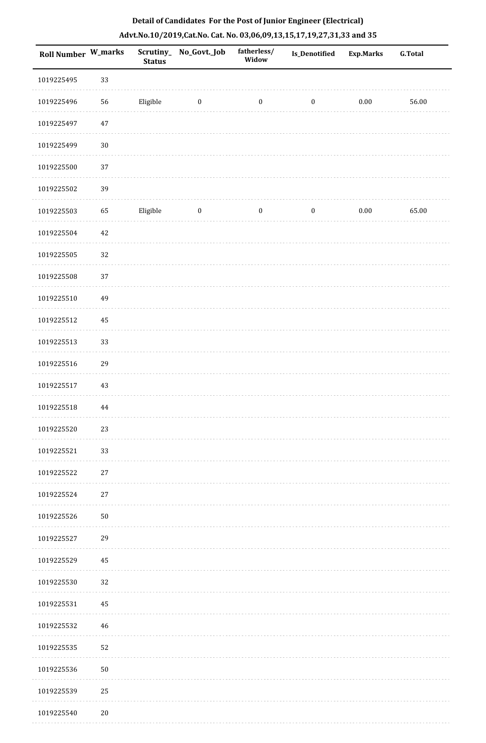|                            |               |                       |                      | Detail of Candidates For the Post of Junior Engineer (Electrical)     |           |                |
|----------------------------|---------------|-----------------------|----------------------|-----------------------------------------------------------------------|-----------|----------------|
|                            |               |                       |                      | Advt.No.10/2019,Cat.No. Cat. No. 03,06,09,13,15,17,19,27,31,33 and 35 |           |                |
| <b>Roll Number W_marks</b> | <b>Status</b> | Scrutiny_No_Govt._Job | fatherless/<br>Widow | <b>Is Denotified</b>                                                  | Exp.Marks | <b>G.Total</b> |

|            |            | outus    |                  |                  |          |          |       |
|------------|------------|----------|------------------|------------------|----------|----------|-------|
| 1019225495 | 33         |          |                  |                  |          |          |       |
| 1019225496 | 56         | Eligible | $\boldsymbol{0}$ | $\boldsymbol{0}$ | $\bf{0}$ | $0.00\,$ | 56.00 |
| 1019225497 | $47\,$     |          |                  |                  |          |          |       |
| 1019225499 | $30\,$     |          |                  |                  |          |          |       |
| 1019225500 | $37\,$     |          |                  |                  |          |          |       |
| 1019225502 | 39         |          |                  |                  |          |          |       |
| 1019225503 | 65         | Eligible | $\boldsymbol{0}$ | $\boldsymbol{0}$ | $\bf{0}$ | $0.00\,$ | 65.00 |
| 1019225504 | 42         |          |                  |                  |          |          |       |
| 1019225505 | 32         |          |                  |                  |          |          |       |
| 1019225508 | 37         |          |                  |                  |          |          |       |
| 1019225510 | 49         |          |                  |                  |          |          |       |
| 1019225512 | 45         |          |                  |                  |          |          |       |
| 1019225513 | 33         |          |                  |                  |          |          |       |
| 1019225516 | 29         |          |                  |                  |          |          |       |
| 1019225517 | 43         |          |                  |                  |          |          |       |
| 1019225518 | $\bf 44$   |          |                  |                  |          |          |       |
| 1019225520 | 23         |          |                  |                  |          |          |       |
| 1019225521 | 33         |          |                  |                  |          |          |       |
| 1019225522 | $27\,$     |          |                  |                  |          |          |       |
| 1019225524 | 27         |          |                  |                  |          |          |       |
| 1019225526 | ${\bf 50}$ |          |                  |                  |          |          |       |
| 1019225527 | 29         |          |                  |                  |          |          |       |
| 1019225529 | 45         |          |                  |                  |          |          |       |
| 1019225530 | 32         |          |                  |                  |          |          |       |
| 1019225531 | 45         |          |                  |                  |          |          |       |
| 1019225532 | 46         |          |                  |                  |          |          |       |
| 1019225535 | 52         |          |                  |                  |          |          |       |
| 1019225536 | ${\bf 50}$ |          |                  |                  |          |          |       |
| 1019225539 | 25         |          |                  |                  |          |          |       |
| 1019225540 | $20\,$     |          |                  |                  |          |          |       |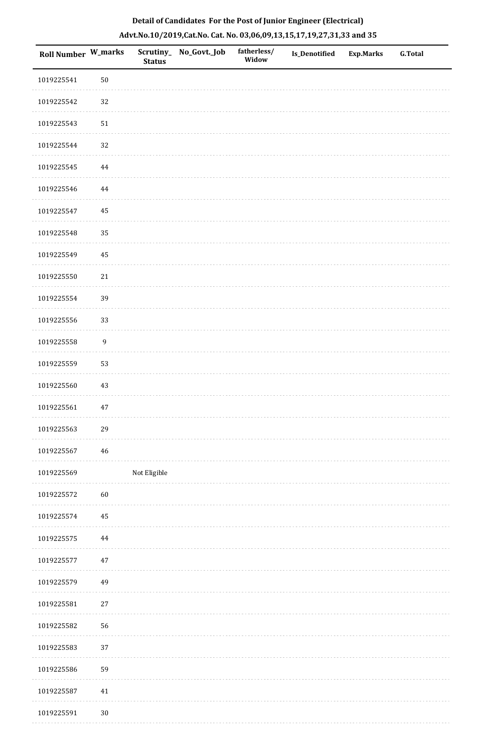| Roll Number W_marks |                  | <b>Status</b> | Scrutiny_No_Govt._Job | fatherless/<br>Widow | Is_Denotified | Exp.Marks | G.Total |
|---------------------|------------------|---------------|-----------------------|----------------------|---------------|-----------|---------|
| 1019225541          | $50\,$           |               |                       |                      |               |           |         |
| 1019225542          | $32\,$           |               |                       |                      |               |           |         |
| 1019225543          | $51\,$           |               |                       |                      |               |           |         |
| 1019225544          | $32\,$           |               |                       |                      |               |           |         |
| 1019225545          | $\bf 44$         |               |                       |                      |               |           |         |
| 1019225546          | 44               |               |                       |                      |               |           |         |
| 1019225547          | 45               |               |                       |                      |               |           |         |
| 1019225548          | 35               |               |                       |                      |               |           |         |
| 1019225549          | 45               |               |                       |                      |               |           |         |
| 1019225550          | 21               |               |                       |                      |               |           |         |
| 1019225554          | 39               |               |                       |                      |               |           |         |
| 1019225556          | 33               |               |                       |                      |               |           |         |
| 1019225558          | $\boldsymbol{9}$ |               |                       |                      |               |           |         |
| 1019225559          | 53               |               |                       |                      |               |           |         |
| 1019225560          | 43               |               |                       |                      |               |           |         |
| 1019225561          | $47\,$           |               |                       |                      |               |           |         |
| 1019225563          | 29               |               |                       |                      |               |           |         |
| 1019225567          | 46               |               |                       |                      |               |           |         |
| 1019225569          |                  | Not Eligible  |                       |                      |               |           |         |
| 1019225572          | $60\,$           |               |                       |                      |               |           |         |
| 1019225574          | 45               |               |                       |                      |               |           |         |
| 1019225575          | $\bf 44$         |               |                       |                      |               |           |         |
| 1019225577          | 47               |               |                       |                      |               |           |         |
| 1019225579          | 49               |               |                       |                      |               |           |         |
| 1019225581          | 27               |               |                       |                      |               |           |         |
| 1019225582          | 56               |               |                       |                      |               |           |         |
| 1019225583          | 37               |               |                       |                      |               |           |         |
| 1019225586          | 59               |               |                       |                      |               |           |         |
| 1019225587          | 41               |               |                       |                      |               |           |         |
| 1019225591          | $30\,$           |               |                       |                      |               |           |         |

. . . . . . .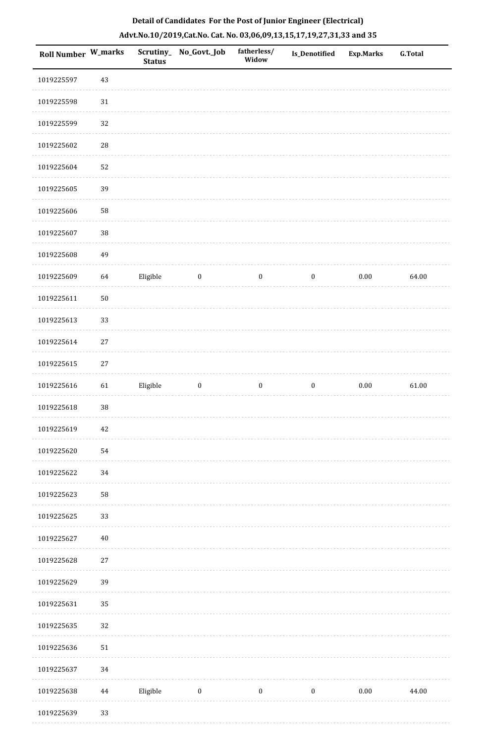| Roll Number W_marks |            | <b>Status</b> | Scrutiny_No_Govt._Job | fatherless/<br>Widow | Is_Denotified    | Exp.Marks | <b>G.Total</b> |
|---------------------|------------|---------------|-----------------------|----------------------|------------------|-----------|----------------|
| 1019225597          | 43         |               |                       |                      |                  |           |                |
| 1019225598          | 31         |               |                       |                      |                  |           |                |
| 1019225599          | 32         |               |                       |                      |                  |           |                |
| 1019225602          | ${\bf 28}$ |               |                       |                      |                  |           |                |
| 1019225604          | 52         |               |                       |                      |                  |           |                |
| 1019225605          | 39         |               |                       |                      |                  |           |                |
| 1019225606          | 58         |               |                       |                      |                  |           |                |
| 1019225607          | $38\,$     |               |                       |                      |                  |           |                |
| 1019225608          | 49         |               |                       |                      |                  |           |                |
| 1019225609          | 64         | Eligible      | $\boldsymbol{0}$      | $\boldsymbol{0}$     | $\boldsymbol{0}$ | $0.00\,$  | 64.00          |
| 1019225611          | $50\,$     |               |                       |                      |                  |           |                |
| 1019225613          | 33         |               |                       |                      |                  |           |                |
| 1019225614          | $27\,$     |               |                       |                      |                  |           |                |
| 1019225615          | $27\,$     |               |                       |                      |                  |           |                |
| 1019225616          | 61         | Eligible      | $\boldsymbol{0}$      | $\boldsymbol{0}$     | $\boldsymbol{0}$ | $0.00\,$  | 61.00          |
| 1019225618          | 38         |               |                       |                      |                  |           |                |
| 1019225619          | $42\,$     |               |                       |                      |                  |           |                |
| 1019225620          | 54         |               |                       |                      |                  |           |                |
| 1019225622          | 34         |               |                       |                      |                  |           |                |
| 1019225623          | 58         |               |                       |                      |                  |           |                |
| 1019225625          | 33         |               |                       |                      |                  |           |                |
| 1019225627          | $40\,$     |               |                       |                      |                  |           |                |
| 1019225628          | $27\,$     |               |                       |                      |                  |           |                |
| 1019225629          | 39         |               |                       |                      |                  |           |                |
| 1019225631          | 35         |               |                       |                      |                  |           |                |
| 1019225635          | 32         |               |                       |                      |                  |           |                |
| 1019225636          | 51         |               |                       |                      |                  |           |                |
| 1019225637          | 34         |               |                       |                      |                  |           |                |
| 1019225638          | 44         | Eligible      | $\boldsymbol{0}$      | $\boldsymbol{0}$     | $\boldsymbol{0}$ | $0.00\,$  | 44.00          |
| 1019225639          | 33         |               |                       |                      |                  |           |                |

. . . . . . .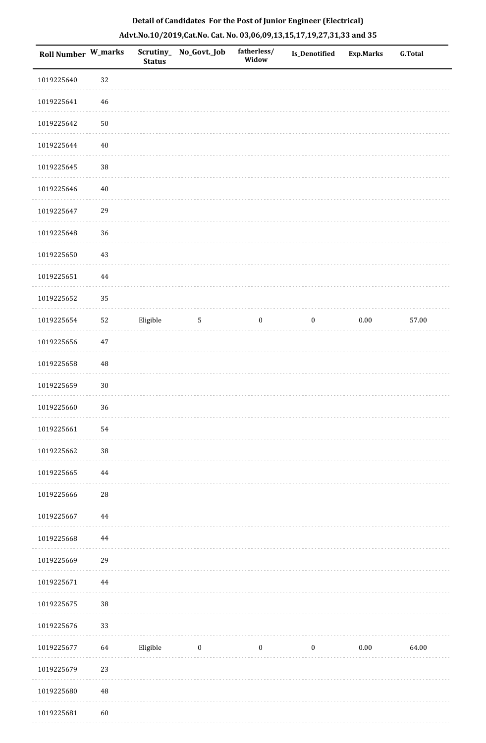| Roll Number W_marks |             | <b>Status</b> | Scrutiny_ No_Govt._Job | fatherless/<br>Widow | Is_Denotified    | <b>Exp.Marks</b> | <b>G.Total</b> |
|---------------------|-------------|---------------|------------------------|----------------------|------------------|------------------|----------------|
| 1019225640          | 32          |               |                        |                      |                  |                  |                |
| 1019225641          | $\sqrt{46}$ |               |                        |                      |                  |                  |                |
| 1019225642          | $50\,$      |               |                        |                      |                  |                  |                |
| 1019225644          | $40\,$      |               |                        |                      |                  |                  |                |
| 1019225645          | $38\,$      |               |                        |                      |                  |                  |                |
| 1019225646          | $40\,$      |               |                        |                      |                  |                  |                |
| 1019225647          | 29          |               |                        |                      |                  |                  |                |
| 1019225648          | 36          |               |                        |                      |                  |                  |                |
| 1019225650          | 43          |               |                        |                      |                  |                  |                |
| 1019225651          | $\bf 44$    |               |                        |                      |                  |                  |                |
| 1019225652          | 35          |               |                        |                      |                  |                  |                |
| 1019225654          | 52          | Eligible      | $\sqrt{5}$             | $\boldsymbol{0}$     | $\boldsymbol{0}$ | $0.00\,$         | 57.00          |
| 1019225656          | $47\,$      |               |                        |                      |                  |                  |                |
| 1019225658          | $\rm 48$    |               |                        |                      |                  |                  |                |
| 1019225659          | $30\,$      |               |                        |                      |                  |                  |                |
| 1019225660          | 36          |               |                        |                      |                  |                  |                |
| 1019225661          | 54          |               |                        |                      |                  |                  |                |
| 1019225662          | $38\,$      |               |                        |                      |                  |                  |                |
| 1019225665          | $\bf 44$    |               |                        |                      |                  |                  |                |
| 1019225666          | 28          |               |                        |                      |                  |                  |                |
| 1019225667          | 44          |               |                        |                      |                  |                  |                |
| 1019225668          | 44          |               |                        |                      |                  |                  |                |
| 1019225669          | 29          |               |                        |                      |                  |                  |                |
| 1019225671          | $\bf 44$    |               |                        |                      |                  |                  |                |
| 1019225675          | $38\,$      |               |                        |                      |                  |                  |                |
| 1019225676          | 33          |               |                        |                      |                  |                  |                |
| 1019225677          | 64          | Eligible      | $\bf{0}$               | $\boldsymbol{0}$     | $\bf{0}$         | 0.00             | 64.00          |
| 1019225679          | 23          |               |                        |                      |                  |                  |                |
| 1019225680          | $\rm 48$    |               |                        |                      |                  |                  |                |
| 1019225681          | $60\,$      |               |                        |                      |                  |                  |                |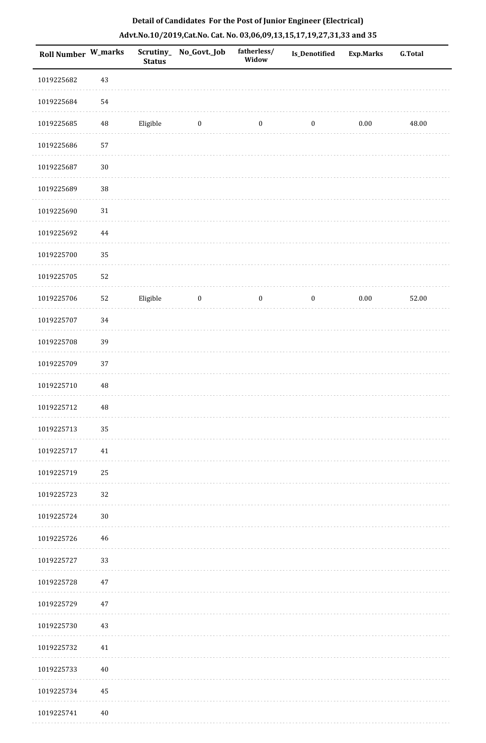|  |  | Detail of Candidates For the Post of Junior Engineer (Electrical)     |  |
|--|--|-----------------------------------------------------------------------|--|
|  |  | Advt.No.10/2019,Cat.No. Cat. No. 03,06,09,13,15,17,19,27,31,33 and 35 |  |

| <b>Roll Number W_marks</b> |          | <b>Status</b> | Scrutiny_ No_Govt._Job | fatherless/<br>Widow | Is_Denotified    | <b>Exp.Marks</b> | <b>G.Total</b> |
|----------------------------|----------|---------------|------------------------|----------------------|------------------|------------------|----------------|
| 1019225682                 | $43\,$   |               |                        |                      |                  |                  |                |
| 1019225684                 | 54       |               |                        |                      |                  |                  |                |
| 1019225685                 | $\rm 48$ | Eligible      | $\bf{0}$               | $\boldsymbol{0}$     | $\boldsymbol{0}$ | $0.00\,$         | 48.00          |
| 1019225686                 | 57       |               |                        |                      |                  |                  |                |
| 1019225687                 | $30\,$   |               |                        |                      |                  |                  |                |
| 1019225689                 | 38       |               |                        |                      |                  |                  |                |
| 1019225690                 | $31\,$   |               |                        |                      |                  |                  |                |
| 1019225692                 | 44       |               |                        |                      |                  |                  |                |
| 1019225700                 | 35       |               |                        |                      |                  |                  |                |
| 1019225705                 | 52       |               |                        |                      |                  |                  |                |
| 1019225706                 | 52       | Eligible      | $\boldsymbol{0}$       | $\boldsymbol{0}$     | $\boldsymbol{0}$ | 0.00             | 52.00          |
| 1019225707                 | 34       |               |                        |                      |                  |                  |                |
| 1019225708                 | 39       |               |                        |                      |                  |                  |                |
| 1019225709                 | 37       |               |                        |                      |                  |                  |                |
| 1019225710                 | 48       |               |                        |                      |                  |                  |                |
| 1019225712                 | 48       |               |                        |                      |                  |                  |                |
| 1019225713                 | 35       |               |                        |                      |                  |                  |                |
| 1019225717                 | 41       |               |                        |                      |                  |                  |                |
| 1019225719                 | 25       |               |                        |                      |                  |                  |                |
| 1019225723                 | 32       |               |                        |                      |                  |                  |                |
| 1019225724                 | $30\,$   |               |                        |                      |                  |                  |                |
| 1019225726                 | 46       |               |                        |                      |                  |                  |                |
| 1019225727                 | 33       |               |                        |                      |                  |                  |                |
| 1019225728                 | 47       |               |                        |                      |                  |                  |                |
| 1019225729                 | 47       |               |                        |                      |                  |                  |                |
| 1019225730                 | 43       |               |                        |                      |                  |                  |                |
| 1019225732                 | 41       |               |                        |                      |                  |                  |                |
| 1019225733                 | $40\,$   |               |                        |                      |                  |                  |                |
| 1019225734                 | 45       |               |                        |                      |                  |                  |                |
| 1019225741                 | 40       |               |                        |                      |                  |                  |                |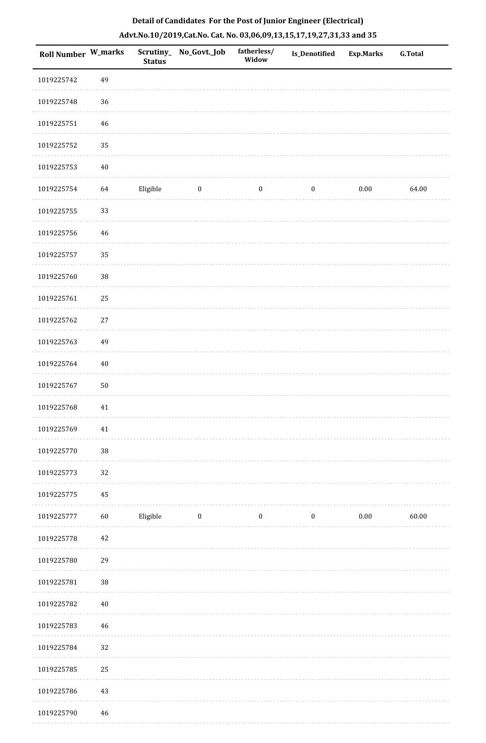| Roll Number W_marks |        | <b>Status</b> | Scrutiny_ No_Govt._Job | fatherless/<br>Widow | Is_Denotified    | <b>Exp.Marks</b> | G.Total |
|---------------------|--------|---------------|------------------------|----------------------|------------------|------------------|---------|
| 1019225742          | 49     |               |                        |                      |                  |                  |         |
| 1019225748          | 36     |               |                        |                      |                  |                  |         |
| 1019225751          | $46\,$ |               |                        |                      |                  |                  |         |
| 1019225752          | 35     |               |                        |                      |                  |                  |         |
| 1019225753          | $40\,$ |               |                        |                      |                  |                  |         |
| 1019225754          | 64     | Eligible      | $\boldsymbol{0}$       | $\boldsymbol{0}$     | $\boldsymbol{0}$ | $0.00\,$         | 64.00   |
| 1019225755          | 33     |               |                        |                      |                  |                  |         |
| 1019225756          | 46     |               |                        |                      |                  |                  |         |
| 1019225757          | 35     |               |                        |                      |                  |                  |         |
| 1019225760          | 38     |               |                        |                      |                  |                  |         |
| 1019225761          | 25     |               |                        |                      |                  |                  |         |
| 1019225762          | $27\,$ |               |                        |                      |                  |                  |         |
| 1019225763          | 49     |               |                        |                      |                  |                  |         |
| 1019225764          | $40\,$ |               |                        |                      |                  |                  |         |
| 1019225767          | $50\,$ |               |                        |                      |                  |                  |         |
| 1019225768          | 41     |               |                        |                      |                  |                  |         |
| 1019225769          | 41     |               |                        |                      |                  |                  |         |
| 1019225770          | 38     |               |                        |                      |                  |                  |         |
| 1019225773          | 32     |               |                        |                      |                  |                  |         |
| 1019225775          | 45     |               |                        |                      |                  |                  |         |
| 1019225777          | $60\,$ | Eligible      | $\bf{0}$               | $\boldsymbol{0}$     | $\boldsymbol{0}$ | $0.00\,$         | 60.00   |
| 1019225778          | $42\,$ |               |                        |                      |                  |                  |         |
| 1019225780          | 29     |               |                        |                      |                  |                  |         |
| 1019225781          | 38     |               |                        |                      |                  |                  |         |
| 1019225782          | $40\,$ |               |                        |                      |                  |                  |         |
| 1019225783          | 46     |               |                        |                      |                  |                  |         |
| 1019225784          | 32     |               |                        |                      |                  |                  |         |
| 1019225785          | 25     |               |                        |                      |                  |                  |         |
| 1019225786          | $43\,$ |               |                        |                      |                  |                  |         |
| 1019225790          | 46     |               |                        |                      |                  |                  |         |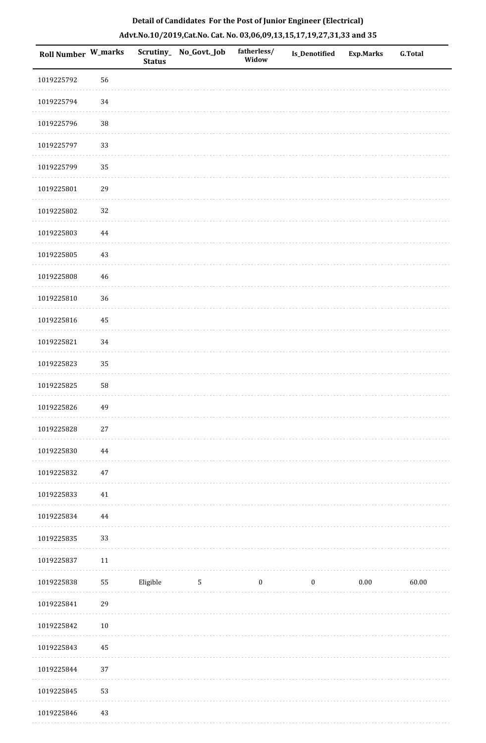| Detail of Candidates For the Post of Junior Engineer (Electrical)     |  |
|-----------------------------------------------------------------------|--|
| Advt.No.10/2019,Cat.No. Cat. No. 03,06,09,13,15,17,19,27,31,33 and 35 |  |

| Roll Number W_marks |             | <b>Status</b> | Scrutiny_ No_Govt._Job | fatherless/<br>Widow | Is_Denotified    | <b>Exp.Marks</b> | <b>G.Total</b> |
|---------------------|-------------|---------------|------------------------|----------------------|------------------|------------------|----------------|
| 1019225792          | 56          |               |                        |                      |                  |                  |                |
| 1019225794          | 34          |               |                        |                      |                  |                  |                |
| 1019225796          | 38          |               |                        |                      |                  |                  |                |
| 1019225797          | 33          |               |                        |                      |                  |                  |                |
| 1019225799          | 35          |               |                        |                      |                  |                  |                |
| 1019225801          | 29          |               |                        |                      |                  |                  |                |
| 1019225802          | 32          |               |                        |                      |                  |                  |                |
| 1019225803          | $\bf 44$    |               |                        |                      |                  |                  |                |
| 1019225805          | 43          |               |                        |                      |                  |                  |                |
| 1019225808          | $\sqrt{46}$ |               |                        |                      |                  |                  |                |
| 1019225810          | 36          |               |                        |                      |                  |                  |                |
| 1019225816          | 45          |               |                        |                      |                  |                  |                |
| 1019225821          | 34          |               |                        |                      |                  |                  |                |
| 1019225823          | 35          |               |                        |                      |                  |                  |                |
| 1019225825          | 58          |               |                        |                      |                  |                  |                |
| 1019225826          | 49          |               |                        |                      |                  |                  |                |
| 1019225828          | $27\,$      |               |                        |                      |                  |                  |                |
| 1019225830          | 44          |               |                        |                      |                  |                  |                |
| 1019225832          | $47\,$      |               |                        |                      |                  |                  |                |
| 1019225833          | $41\,$      |               |                        |                      |                  |                  |                |
| 1019225834          | 44          |               |                        |                      |                  |                  |                |
| 1019225835          | 33          |               |                        |                      |                  |                  |                |
| 1019225837          | $11\,$      |               |                        |                      |                  |                  |                |
| 1019225838          | 55          | Eligible      | $\mathbf{5}$           | $\boldsymbol{0}$     | $\boldsymbol{0}$ | $0.00\,$         | 60.00          |
| 1019225841          | 29          |               |                        |                      |                  |                  |                |
| 1019225842          | $10\,$      |               |                        |                      |                  |                  |                |
| 1019225843          | 45          |               |                        |                      |                  |                  |                |
| 1019225844          | 37          |               |                        |                      |                  |                  |                |
| 1019225845          | 53          |               |                        |                      |                  |                  |                |
| 1019225846          | 43          |               |                        |                      |                  |                  |                |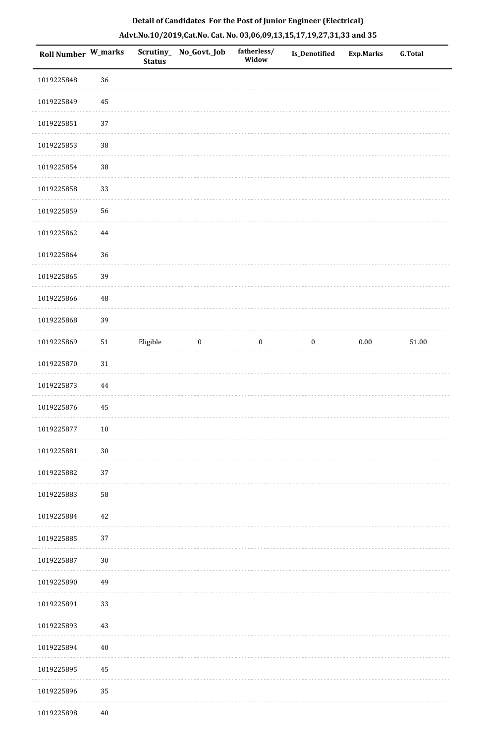| Detail of Candidates For the Post of Junior Engineer (Electrical)     |  |
|-----------------------------------------------------------------------|--|
| Advt.No.10/2019,Cat.No. Cat. No. 03,06,09,13,15,17,19,27,31,33 and 35 |  |

| Roll Number W_marks |            | <b>Status</b> | Scrutiny_ No_Govt._Job | fatherless/<br>Widow | <b>Is_Denotified</b> | <b>Exp.Marks</b> | G.Total   |
|---------------------|------------|---------------|------------------------|----------------------|----------------------|------------------|-----------|
| 1019225848          | 36         |               |                        |                      |                      |                  |           |
| 1019225849          | 45         |               |                        |                      |                      |                  |           |
| 1019225851          | 37         |               |                        |                      |                      |                  |           |
| 1019225853          | 38         |               |                        |                      |                      |                  |           |
| 1019225854          | $38\,$     |               |                        |                      |                      |                  |           |
| 1019225858          | 33         |               |                        |                      |                      |                  |           |
| 1019225859          | 56         |               |                        |                      |                      |                  |           |
| 1019225862          | $\bf 44$   |               |                        |                      |                      |                  |           |
| 1019225864          | 36         |               |                        |                      |                      |                  |           |
| 1019225865          | 39         |               |                        |                      |                      |                  |           |
| 1019225866          | 48         |               |                        |                      |                      |                  |           |
| 1019225868          | 39         |               |                        |                      |                      |                  |           |
| 1019225869          | ${\bf 51}$ | Eligible      | $\bf{0}$               | $\bf{0}$             | $\boldsymbol{0}$     | $0.00\,$         | $51.00\,$ |
| 1019225870          | $31\,$     |               |                        |                      |                      |                  |           |
| 1019225873          | $\bf 44$   |               |                        |                      |                      |                  |           |
| 1019225876          | 45         |               |                        |                      |                      |                  |           |
| 1019225877          | $10\,$     |               |                        |                      |                      |                  |           |
| 1019225881          | $30\,$     |               |                        |                      |                      |                  |           |
| 1019225882          | 37         |               |                        |                      |                      |                  |           |
| 1019225883          | 58         |               |                        |                      |                      |                  |           |
| 1019225884          | 42         |               |                        |                      |                      |                  |           |
| 1019225885          | 37         |               |                        |                      |                      |                  |           |
| 1019225887          | $30\,$     |               |                        |                      |                      |                  |           |
| 1019225890          | 49         |               |                        |                      |                      |                  |           |
| 1019225891          | 33         |               |                        |                      |                      |                  |           |
| 1019225893          | $43\,$     |               |                        |                      |                      |                  |           |
| 1019225894          | $40\,$     |               |                        |                      |                      |                  |           |
| 1019225895          | 45         |               |                        |                      |                      |                  |           |
| 1019225896          | 35         |               |                        |                      |                      |                  |           |
| 1019225898          | $40\,$     |               |                        |                      |                      |                  |           |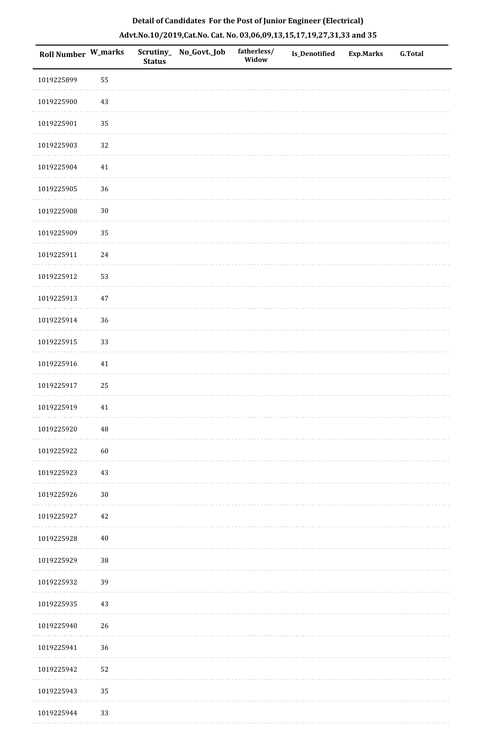|  | Detail of Candidates For the Post of Junior Engineer (Electrical)     |  |
|--|-----------------------------------------------------------------------|--|
|  | Advt.No.10/2019,Cat.No. Cat. No. 03,06,09,13,15,17,19,27,31,33 and 35 |  |

| Roll Number W_marks |          | <b>Status</b> | Scrutiny_No_Govt._Job | fatherless/<br>Widow | Is_Denotified | <b>Exp.Marks</b> | <b>G.Total</b> |
|---------------------|----------|---------------|-----------------------|----------------------|---------------|------------------|----------------|
| 1019225899          | 55       |               |                       |                      |               |                  |                |
| 1019225900          | $43\,$   |               |                       |                      |               |                  |                |
| 1019225901          | 35       |               |                       |                      |               |                  |                |
| 1019225903          | 32       |               |                       |                      |               |                  |                |
| 1019225904          | 41       |               |                       |                      |               |                  |                |
| 1019225905          | 36       |               |                       |                      |               |                  |                |
| 1019225908          | $30\,$   |               |                       |                      |               |                  |                |
| 1019225909          | 35       |               |                       |                      |               |                  |                |
| 1019225911          | 24       |               |                       |                      |               |                  |                |
| 1019225912          | 53       |               |                       |                      |               |                  |                |
| 1019225913          | $47\,$   |               |                       |                      |               |                  |                |
| 1019225914          | 36       |               |                       |                      |               |                  |                |
| 1019225915          | 33       |               |                       |                      |               |                  |                |
| 1019225916          | 41       |               |                       |                      |               |                  |                |
| 1019225917          | 25       |               |                       |                      |               |                  |                |
| 1019225919          | $41\,$   |               |                       |                      |               |                  |                |
| 1019225920          | $\rm 48$ |               |                       |                      |               |                  |                |
| 1019225922          | 60       |               |                       |                      |               |                  |                |
| 1019225923          | $43\,$   |               |                       |                      |               |                  |                |
| 1019225926          | $30\,$   |               |                       |                      |               |                  |                |
| 1019225927          | $42\,$   |               |                       |                      |               |                  |                |
| 1019225928          | $40\,$   |               |                       |                      |               |                  |                |
| 1019225929          | $38\,$   |               |                       |                      |               |                  |                |
| 1019225932          | 39       |               |                       |                      |               |                  |                |
| 1019225935          | 43       |               |                       |                      |               |                  |                |
| 1019225940          | 26       |               |                       |                      |               |                  |                |
| 1019225941          | 36       |               |                       |                      |               |                  |                |
| 1019225942          | 52       |               |                       |                      |               |                  |                |
| 1019225943          | 35       |               |                       |                      |               |                  |                |
| 1019225944          | 33       |               |                       |                      |               |                  |                |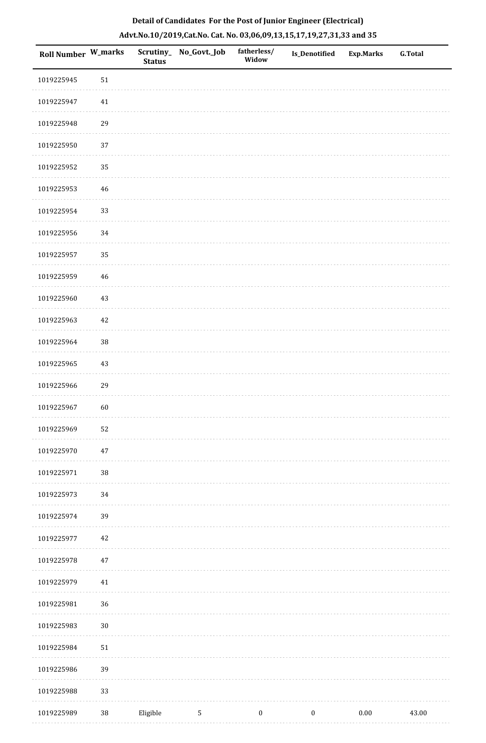| Roll Number W_marks |             | <b>Status</b> | Scrutiny_ No_Govt._Job | fatherless/<br>Widow | Is_Denotified    | <b>Exp.Marks</b> | <b>G.Total</b> |
|---------------------|-------------|---------------|------------------------|----------------------|------------------|------------------|----------------|
| 1019225945          | $51\,$      |               |                        |                      |                  |                  |                |
| 1019225947          | $41\,$      |               |                        |                      |                  |                  |                |
| 1019225948          | 29          |               |                        |                      |                  |                  |                |
| 1019225950          | 37          |               |                        |                      |                  |                  |                |
| 1019225952          | 35          |               |                        |                      |                  |                  |                |
| 1019225953          | $46\,$      |               |                        |                      |                  |                  |                |
| 1019225954          | 33          |               |                        |                      |                  |                  |                |
| 1019225956          | 34          |               |                        |                      |                  |                  |                |
| 1019225957          | 35          |               |                        |                      |                  |                  |                |
| 1019225959          | $\sqrt{46}$ |               |                        |                      |                  |                  |                |
| 1019225960          | 43          |               |                        |                      |                  |                  |                |
| 1019225963          | $42\,$      |               |                        |                      |                  |                  |                |
| 1019225964          | 38          |               |                        |                      |                  |                  |                |
| 1019225965          | 43          |               |                        |                      |                  |                  |                |
| 1019225966          | 29          |               |                        |                      |                  |                  |                |
| 1019225967          | 60          |               |                        |                      |                  |                  |                |
| 1019225969          | 52          |               |                        |                      |                  |                  |                |
| 1019225970          | $47\,$      |               |                        |                      |                  |                  |                |
| 1019225971          | 38          |               |                        |                      |                  |                  |                |
| 1019225973          | 34          |               |                        |                      |                  |                  |                |
| 1019225974          | 39          |               |                        |                      |                  |                  |                |
| 1019225977          | 42          |               |                        |                      |                  |                  |                |
| 1019225978          | $47\,$      |               |                        |                      |                  |                  |                |
| 1019225979          | $41\,$      |               |                        |                      |                  |                  |                |
| 1019225981          | 36          |               |                        |                      |                  |                  |                |
| 1019225983          | $30\,$      |               |                        |                      |                  |                  |                |
| 1019225984          | $51\,$      |               |                        |                      |                  |                  |                |
| 1019225986          | 39          |               |                        |                      |                  |                  |                |
| 1019225988          | 33          |               |                        |                      |                  |                  |                |
| 1019225989          | $38\,$      | Eligible      | $\mathbf{5}$           | $\boldsymbol{0}$     | $\boldsymbol{0}$ | $0.00\,$         | 43.00          |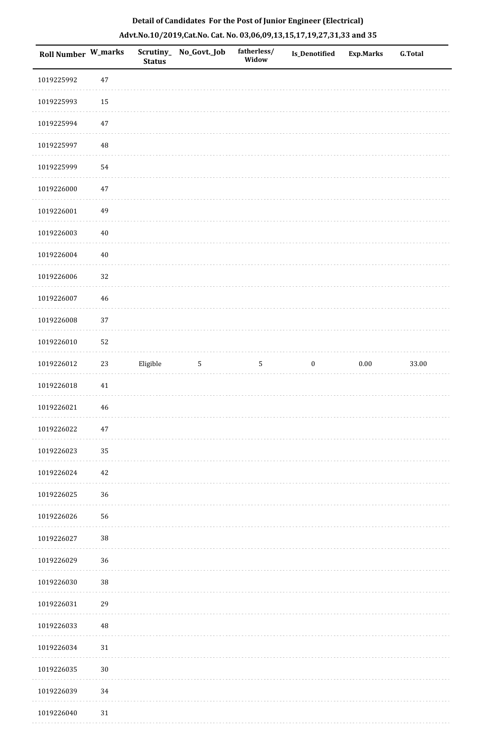| Roll Number W_marks |          | <b>Status</b> | Scrutiny_No_Govt._Job | fatherless/<br>Widow | Is_Denotified    | <b>Exp.Marks</b> | <b>G.Total</b> |
|---------------------|----------|---------------|-----------------------|----------------------|------------------|------------------|----------------|
| 1019225992          | $47\,$   |               |                       |                      |                  |                  |                |
| 1019225993          | 15       |               |                       |                      |                  |                  |                |
| 1019225994          | $47\,$   |               |                       |                      |                  |                  |                |
| 1019225997          | $\rm 48$ |               |                       |                      |                  |                  |                |
| 1019225999          | 54       |               |                       |                      |                  |                  |                |
| 1019226000          | $47\,$   |               |                       |                      |                  |                  |                |
| 1019226001          | 49       |               |                       |                      |                  |                  |                |
| 1019226003          | $40\,$   |               |                       |                      |                  |                  |                |
| 1019226004          | $40\,$   |               |                       |                      |                  |                  |                |
| 1019226006          | 32       |               |                       |                      |                  |                  |                |
| 1019226007          | 46       |               |                       |                      |                  |                  |                |
| 1019226008          | 37       |               |                       |                      |                  |                  |                |
| 1019226010          | 52       |               |                       |                      |                  |                  |                |
| 1019226012          | 23       | Eligible      | $\mathbf 5$           | 5                    | $\boldsymbol{0}$ | $0.00\,$         | 33.00          |
| 1019226018          | $41\,$   |               |                       |                      |                  |                  |                |
| 1019226021          | $46\,$   |               |                       |                      |                  |                  |                |
| 1019226022          | 47       |               |                       |                      |                  |                  |                |
| 1019226023          | 35       |               |                       |                      |                  |                  |                |
| 1019226024          | 42       |               |                       |                      |                  |                  |                |
| 1019226025          | 36       |               |                       |                      |                  |                  |                |
| 1019226026          | 56       |               |                       |                      |                  |                  |                |
| 1019226027          | $38\,$   |               |                       |                      |                  |                  |                |
| 1019226029          | 36       |               |                       |                      |                  |                  |                |
| 1019226030          | $38\,$   |               |                       |                      |                  |                  |                |
| 1019226031          | 29       |               |                       |                      |                  |                  |                |
| 1019226033          | 48       |               |                       |                      |                  |                  |                |
| 1019226034          | 31       |               |                       |                      |                  |                  |                |
| 1019226035          | 30       |               |                       |                      |                  |                  |                |
| 1019226039          | 34       |               |                       |                      |                  |                  |                |
| 1019226040          | 31       |               |                       |                      |                  |                  |                |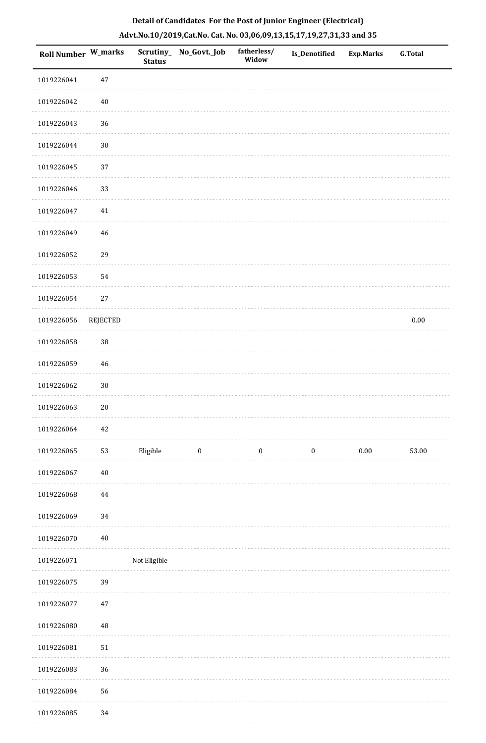| Roll Number W_marks |                 | Scrutiny_<br><b>Status</b> | No_Govt._Job     | fatherless/<br>Widow | Is_Denotified    | <b>Exp.Marks</b> | <b>G.Total</b> |
|---------------------|-----------------|----------------------------|------------------|----------------------|------------------|------------------|----------------|
| 1019226041          | $47\,$          |                            |                  |                      |                  |                  |                |
| 1019226042          | $40\,$          |                            |                  |                      |                  |                  |                |
| 1019226043          | 36              |                            |                  |                      |                  |                  |                |
| 1019226044          | $30\,$          |                            |                  |                      |                  |                  |                |
| 1019226045          | 37              |                            |                  |                      |                  |                  |                |
| 1019226046          | 33              |                            |                  |                      |                  |                  |                |
| 1019226047          | 41              |                            |                  |                      |                  |                  |                |
| 1019226049          | 46              |                            |                  |                      |                  |                  |                |
| 1019226052          | 29              |                            |                  |                      |                  |                  |                |
| 1019226053          | 54              |                            |                  |                      |                  |                  |                |
| 1019226054          | 27              |                            |                  |                      |                  |                  |                |
| 1019226056          | <b>REJECTED</b> |                            |                  |                      |                  |                  | $0.00\,$       |
| 1019226058          | 38              |                            |                  |                      |                  |                  |                |
| 1019226059          | 46              |                            |                  |                      |                  |                  |                |
| 1019226062          | $30\,$          |                            |                  |                      |                  |                  |                |
| 1019226063          | $20\,$          |                            |                  |                      |                  |                  |                |
| 1019226064          | $42\,$          |                            |                  |                      |                  |                  |                |
| 1019226065          | 53              | Eligible                   | $\boldsymbol{0}$ | $\boldsymbol{0}$     | $\boldsymbol{0}$ | $0.00\,$         | 53.00          |
| 1019226067          | $40\,$          |                            |                  |                      |                  |                  |                |
| 1019226068          | 44              |                            |                  |                      |                  |                  |                |
| 1019226069          | $34\,$          |                            |                  |                      |                  |                  |                |
| 1019226070          | $40\,$          |                            |                  |                      |                  |                  |                |
| 1019226071          |                 | Not Eligible               |                  |                      |                  |                  |                |
| 1019226075          | 39              |                            |                  |                      |                  |                  |                |
| 1019226077          | $47\,$          |                            |                  |                      |                  |                  |                |
| 1019226080          | 48              |                            |                  |                      |                  |                  |                |
| 1019226081          | $51\,$          |                            |                  |                      |                  |                  |                |
| 1019226083          | 36              |                            |                  |                      |                  |                  |                |
| 1019226084          | 56              |                            |                  |                      |                  |                  |                |
| 1019226085          | 34              |                            |                  |                      |                  |                  |                |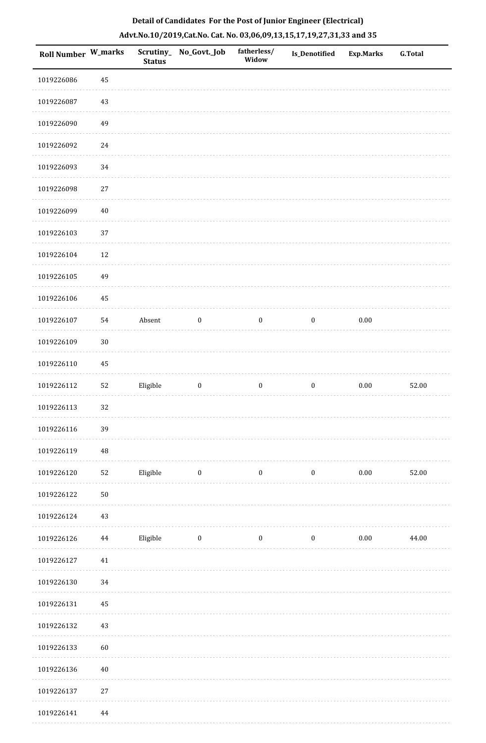| Roll Number W_marks |          | <b>Status</b> | Scrutiny_No_Govt._Job | fatherless/<br>Widow | Is_Denotified    | <b>Exp.Marks</b> | G.Total |
|---------------------|----------|---------------|-----------------------|----------------------|------------------|------------------|---------|
| 1019226086          | $\bf 45$ |               |                       |                      |                  |                  |         |
| 1019226087          | $43\,$   |               |                       |                      |                  |                  |         |
| 1019226090          | 49       |               |                       |                      |                  |                  |         |
| 1019226092          | $24\,$   |               |                       |                      |                  |                  |         |
| 1019226093          | 34       |               |                       |                      |                  |                  |         |
| 1019226098          | $27\,$   |               |                       |                      |                  |                  |         |
| 1019226099          | $40\,$   |               |                       |                      |                  |                  |         |
| 1019226103          | 37       |               |                       |                      |                  |                  |         |
| 1019226104          | 12       |               |                       |                      |                  |                  |         |
| 1019226105          | 49       |               |                       |                      |                  |                  |         |
| 1019226106          | 45       |               |                       |                      |                  |                  |         |
| 1019226107          | 54       | Absent        | $\boldsymbol{0}$      | $\boldsymbol{0}$     | $\boldsymbol{0}$ | $0.00\,$         |         |
| 1019226109          | $30\,$   |               |                       |                      |                  |                  |         |
| 1019226110          | 45       |               |                       |                      |                  |                  |         |
| 1019226112          | 52       | Eligible      | $\boldsymbol{0}$      | $\boldsymbol{0}$     | $\boldsymbol{0}$ | $0.00\,$         | 52.00   |
| 1019226113          | 32       |               |                       |                      |                  |                  |         |
| 1019226116          | 39       |               |                       |                      |                  |                  |         |
| 1019226119          | $\rm 48$ |               |                       |                      |                  |                  |         |
| 1019226120          | 52       | Eligible      | $\bf{0}$              | $\boldsymbol{0}$     | $\boldsymbol{0}$ | 0.00             | 52.00   |
| 1019226122          | $50\,$   |               |                       |                      |                  |                  |         |
| 1019226124          | 43       |               |                       |                      |                  |                  |         |
| 1019226126          | $\bf 44$ | Eligible      | $\boldsymbol{0}$      | $\boldsymbol{0}$     | $\boldsymbol{0}$ | $0.00\,$         | 44.00   |
| 1019226127          | 41       |               |                       |                      |                  |                  |         |
| 1019226130          | 34       |               |                       |                      |                  |                  |         |
| 1019226131          | 45       |               |                       |                      |                  |                  |         |
| 1019226132          | 43       |               |                       |                      |                  |                  |         |
| 1019226133          | 60       |               |                       |                      |                  |                  |         |
| 1019226136          | $40\,$   |               |                       |                      |                  |                  |         |
| 1019226137          | $27\,$   |               |                       |                      |                  |                  |         |
| 1019226141          | $\bf 44$ |               |                       |                      |                  |                  |         |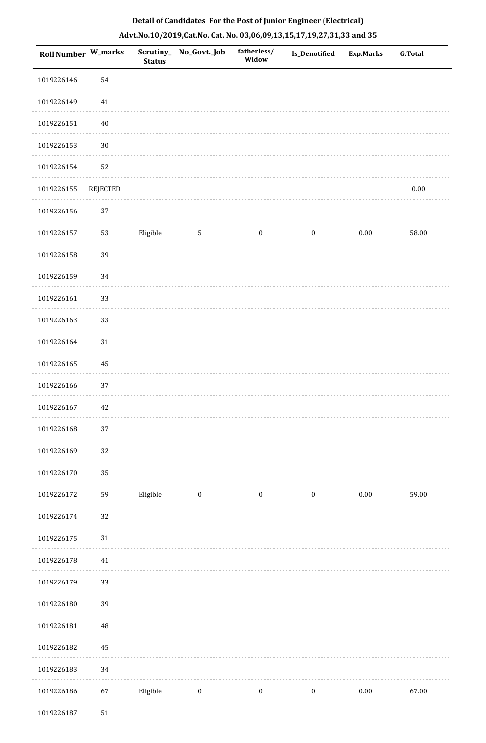|  | Detail of Candidates For the Post of Junior Engineer (Electrical)     |  |
|--|-----------------------------------------------------------------------|--|
|  | Advt.No.10/2019,Cat.No. Cat. No. 03,06,09,13,15,17,19,27,31,33 and 35 |  |

| <b>Roll Number W_marks</b> |          | <b>Status</b> | Scrutiny_ No_Govt._Job | fatherless/<br>Widow | <b>Is_Denotified</b> | <b>Exp.Marks</b> | <b>G.Total</b> |
|----------------------------|----------|---------------|------------------------|----------------------|----------------------|------------------|----------------|
| 1019226146                 | 54       |               |                        |                      |                      |                  |                |
| 1019226149                 | 41       |               |                        |                      |                      |                  |                |
| 1019226151                 | $40\,$   |               |                        |                      |                      |                  |                |
| 1019226153                 | $30\,$   |               |                        |                      |                      |                  |                |
| 1019226154                 | 52       |               |                        |                      |                      |                  |                |
| 1019226155                 | REJECTED |               |                        |                      |                      |                  | $0.00\,$       |
| 1019226156                 | 37       |               |                        |                      |                      |                  |                |
| 1019226157                 | 53       | Eligible      | 5                      | $\boldsymbol{0}$     | $\boldsymbol{0}$     | $0.00\,$         | 58.00          |
| 1019226158                 | 39       |               |                        |                      |                      |                  |                |
| 1019226159                 | 34       |               |                        |                      |                      |                  |                |
| 1019226161                 | 33       |               |                        |                      |                      |                  |                |
| 1019226163                 | 33       |               |                        |                      |                      |                  |                |
| 1019226164                 | $31\,$   |               |                        |                      |                      |                  |                |
| 1019226165                 | 45       |               |                        |                      |                      |                  |                |
| 1019226166                 | 37       |               |                        |                      |                      |                  |                |
| 1019226167                 | 42       |               |                        |                      |                      |                  |                |
| 1019226168                 | 37       |               |                        |                      |                      |                  |                |
| 1019226169                 | 32       |               |                        |                      |                      |                  |                |
| 1019226170                 | 35       |               |                        |                      |                      |                  |                |
| 1019226172                 | 59       | Eligible      | $\boldsymbol{0}$       | $\boldsymbol{0}$     | $\boldsymbol{0}$     | $0.00\,$         | 59.00          |
| 1019226174                 | 32       |               |                        |                      |                      |                  |                |
| 1019226175                 | $31\,$   |               |                        |                      |                      |                  |                |
| 1019226178                 | $41\,$   |               |                        |                      |                      |                  |                |
| 1019226179                 | 33       |               |                        |                      |                      |                  |                |
| 1019226180                 | 39       |               |                        |                      |                      |                  |                |
| 1019226181                 | 48       |               |                        |                      |                      |                  |                |
| 1019226182                 | 45       |               |                        |                      |                      |                  |                |
| 1019226183                 | 34       |               |                        |                      |                      |                  |                |
| 1019226186                 | 67       | Eligible      | $\boldsymbol{0}$       | $\boldsymbol{0}$     | $\boldsymbol{0}$     | $0.00\,$         | 67.00          |
| 1019226187                 | $51\,$   |               |                        |                      |                      |                  |                |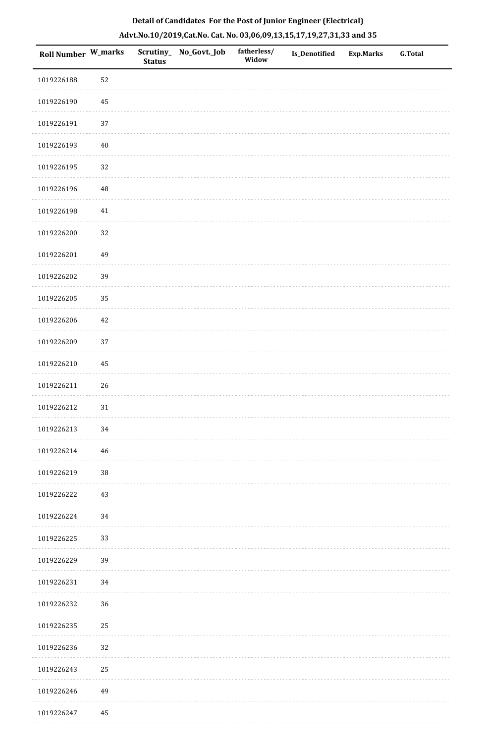| <b>Roll Number W_marks</b> |          | <b>Status</b> | Scrutiny_ No_Govt._Job | fatherless/<br>Widow | Is_Denotified | <b>Exp.Marks</b> | <b>G.Total</b> |
|----------------------------|----------|---------------|------------------------|----------------------|---------------|------------------|----------------|
| 1019226188                 | 52       |               |                        |                      |               |                  |                |
| 1019226190                 | $\rm 45$ |               |                        |                      |               |                  |                |
| 1019226191                 | 37       |               |                        |                      |               |                  |                |
| 1019226193                 | $40\,$   |               |                        |                      |               |                  |                |
| 1019226195                 | 32       |               |                        |                      |               |                  |                |
| 1019226196                 | $\rm 48$ |               |                        |                      |               |                  |                |
| 1019226198                 | 41       |               |                        |                      |               |                  |                |
| 1019226200                 | 32       |               |                        |                      |               |                  |                |
| 1019226201                 | 49       |               |                        |                      |               |                  |                |
| 1019226202                 | 39       |               |                        |                      |               |                  |                |
| 1019226205                 | 35       |               |                        |                      |               |                  |                |
| 1019226206                 | 42       |               |                        |                      |               |                  |                |
| 1019226209                 | 37       |               |                        |                      |               |                  |                |
| 1019226210                 | $\rm 45$ |               |                        |                      |               |                  |                |
| 1019226211                 | 26       |               |                        |                      |               |                  |                |
| 1019226212                 | 31       |               |                        |                      |               |                  |                |
| 1019226213                 | 34       |               |                        |                      |               |                  |                |
| 1019226214                 | 46       |               |                        |                      |               |                  |                |
| 1019226219                 | $38\,$   |               |                        |                      |               |                  |                |
| 1019226222                 | 43       |               |                        |                      |               |                  |                |
| 1019226224                 | 34       |               |                        |                      |               |                  |                |
| 1019226225                 | 33       |               |                        |                      |               |                  |                |
| 1019226229                 | 39       |               |                        |                      |               |                  |                |
| 1019226231                 | 34       |               |                        |                      |               |                  |                |
| 1019226232                 | 36       |               |                        |                      |               |                  |                |
| 1019226235                 | 25       |               |                        |                      |               |                  |                |
| 1019226236                 | 32       |               |                        |                      |               |                  |                |
| 1019226243                 | 25       |               |                        |                      |               |                  |                |
| 1019226246                 | 49       |               |                        |                      |               |                  |                |
| 1019226247                 | 45       |               |                        |                      |               |                  |                |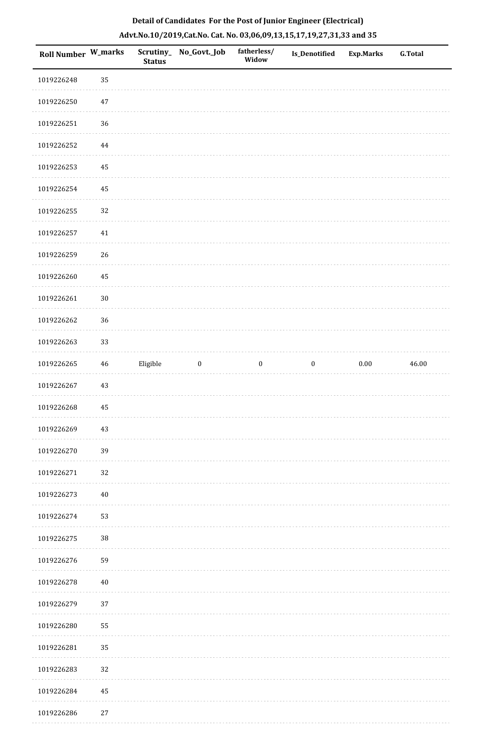| Roll Number W_marks |          | <b>Status</b> | Scrutiny_ No_Govt._Job | fatherless/<br>Widow | Is_Denotified    | <b>Exp.Marks</b> | <b>G.Total</b> |
|---------------------|----------|---------------|------------------------|----------------------|------------------|------------------|----------------|
| 1019226248          | 35       |               |                        |                      |                  |                  |                |
| 1019226250          | $47\,$   |               |                        |                      |                  |                  |                |
| 1019226251          | 36       |               |                        |                      |                  |                  |                |
| 1019226252          | $\bf 44$ |               |                        |                      |                  |                  |                |
| 1019226253          | 45       |               |                        |                      |                  |                  |                |
| 1019226254          | 45       |               |                        |                      |                  |                  |                |
| 1019226255          | 32       |               |                        |                      |                  |                  |                |
| 1019226257          | 41       |               |                        |                      |                  |                  |                |
| 1019226259          | 26       |               |                        |                      |                  |                  |                |
| 1019226260          | 45       |               |                        |                      |                  |                  |                |
| 1019226261          | $30\,$   |               |                        |                      |                  |                  |                |
| 1019226262          | 36       |               |                        |                      |                  |                  |                |
| 1019226263          | 33       |               |                        |                      |                  |                  |                |
| 1019226265          | 46       | Eligible      | $\boldsymbol{0}$       | $\boldsymbol{0}$     | $\boldsymbol{0}$ | $0.00\,$         | 46.00          |
| 1019226267          | 43       |               |                        |                      |                  |                  |                |
| 1019226268          | 45       |               |                        |                      |                  |                  |                |
| 1019226269          | $43\,$   |               |                        |                      |                  |                  |                |
| 1019226270          | 39       |               |                        |                      |                  |                  |                |
| 1019226271          | 32       |               |                        |                      |                  |                  |                |
| 1019226273          | $40\,$   |               |                        |                      |                  |                  |                |
| 1019226274          | 53       |               |                        |                      |                  |                  |                |
| 1019226275          | 38       |               |                        |                      |                  |                  |                |
| 1019226276          | 59       |               |                        |                      |                  |                  |                |
| 1019226278          | $40\,$   |               |                        |                      |                  |                  |                |
| 1019226279          | 37       |               |                        |                      |                  |                  |                |
| 1019226280          | 55       |               |                        |                      |                  |                  |                |
| 1019226281          | 35       |               |                        |                      |                  |                  |                |
| 1019226283          | 32       |               |                        |                      |                  |                  |                |
| 1019226284          | 45       |               |                        |                      |                  |                  |                |
| 1019226286          | $27\,$   |               |                        |                      |                  |                  |                |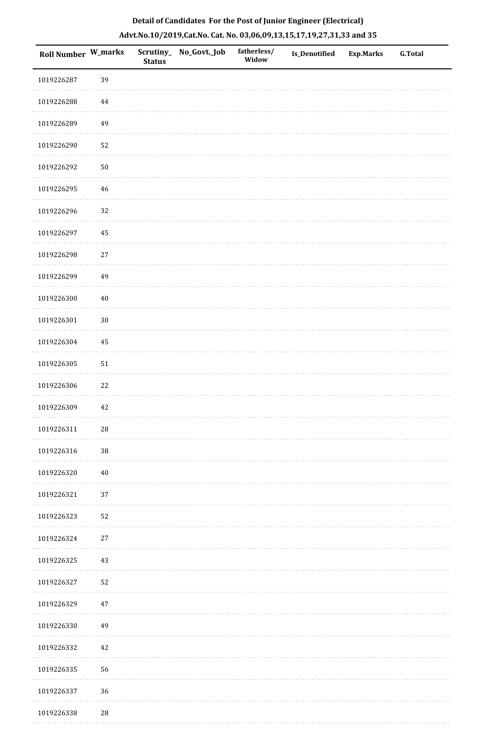|  | Detail of Candidates For the Post of Junior Engineer (Electrical)     |  |
|--|-----------------------------------------------------------------------|--|
|  | Advt.No.10/2019,Cat.No. Cat. No. 03,06,09,13,15,17,19,27,31,33 and 35 |  |

| <b>Roll Number W_marks</b> |             | <b>Status</b> | Scrutiny_ No_Govt._Job | fatherless/<br>Widow | Is_Denotified | <b>Exp.Marks</b> | <b>G.Total</b> |
|----------------------------|-------------|---------------|------------------------|----------------------|---------------|------------------|----------------|
| 1019226287                 | 39          |               |                        |                      |               |                  |                |
| 1019226288                 | 44          |               |                        |                      |               |                  |                |
| 1019226289                 | 49          |               |                        |                      |               |                  |                |
| 1019226290                 | 52          |               |                        |                      |               |                  |                |
| 1019226292                 | $50\,$      |               |                        |                      |               |                  |                |
| 1019226295                 | $\sqrt{46}$ |               |                        |                      |               |                  |                |
| 1019226296                 | 32          |               |                        |                      |               |                  |                |
| 1019226297                 | $\rm 45$    |               |                        |                      |               |                  |                |
| 1019226298                 | $27\,$      |               |                        |                      |               |                  |                |
| 1019226299                 | 49          |               |                        |                      |               |                  |                |
| 1019226300                 | $40\,$      |               |                        |                      |               |                  |                |
| 1019226301                 | $30\,$      |               |                        |                      |               |                  |                |
| 1019226304                 | 45          |               |                        |                      |               |                  |                |
| 1019226305                 | $51\,$      |               |                        |                      |               |                  |                |
| 1019226306                 | $22\,$      |               |                        |                      |               |                  |                |
| 1019226309                 | $42\,$      |               |                        |                      |               |                  |                |
| 1019226311                 | $28\,$      |               |                        |                      |               |                  |                |
| 1019226316                 | 38          |               |                        |                      |               |                  |                |
| 1019226320                 | $40\,$      |               |                        |                      |               |                  |                |
| 1019226321                 | 37          |               |                        |                      |               |                  |                |
| 1019226323                 | 52          |               |                        |                      |               |                  |                |
| 1019226324                 | $27\,$      |               |                        |                      |               |                  |                |
| 1019226325                 | 43          |               |                        |                      |               |                  |                |
| 1019226327                 | 52          |               |                        |                      |               |                  |                |
| 1019226329                 | $47\,$      |               |                        |                      |               |                  |                |
| 1019226330                 | 49          |               |                        |                      |               |                  |                |
| 1019226332                 | $42\,$      |               |                        |                      |               |                  |                |
| 1019226335                 | 56          |               |                        |                      |               |                  |                |
| 1019226337                 | 36          |               |                        |                      |               |                  |                |
| 1019226338                 | $28\,$      |               |                        |                      |               |                  |                |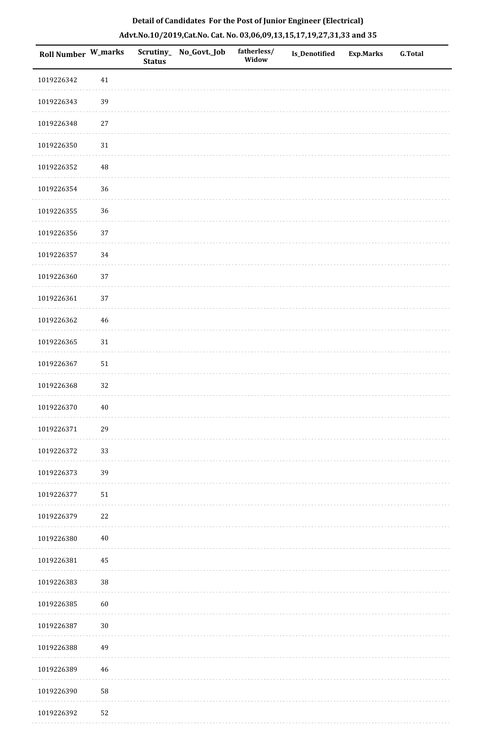| Roll Number W_marks |             | <b>Status</b> | Scrutiny_ No_Govt._Job | fatherless/<br>Widow | Is_Denotified | <b>Exp.Marks</b> | G.Total |
|---------------------|-------------|---------------|------------------------|----------------------|---------------|------------------|---------|
| 1019226342          | $41\,$      |               |                        |                      |               |                  |         |
| 1019226343          | 39          |               |                        |                      |               |                  |         |
| 1019226348          | $27\,$      |               |                        |                      |               |                  |         |
| 1019226350          | $31\,$      |               |                        |                      |               |                  |         |
| 1019226352          | $\sqrt{48}$ |               |                        |                      |               |                  |         |
| 1019226354          | 36          |               |                        |                      |               |                  |         |
| 1019226355          | 36          |               |                        |                      |               |                  |         |
| 1019226356          | 37          |               |                        |                      |               |                  |         |
| 1019226357          | $34\,$      |               |                        |                      |               |                  |         |
| 1019226360          | 37          |               |                        |                      |               |                  |         |
| 1019226361          | $37\,$      |               |                        |                      |               |                  |         |
| 1019226362          | $\sqrt{46}$ |               |                        |                      |               |                  |         |
| 1019226365          | $31\,$      |               |                        |                      |               |                  |         |
| 1019226367          | ${\bf 51}$  |               |                        |                      |               |                  |         |
| 1019226368          | 32          |               |                        |                      |               |                  |         |
| 1019226370          | $40\,$      |               |                        |                      |               |                  |         |
| 1019226371          | 29          |               |                        |                      |               |                  |         |
| 1019226372          | 33          |               |                        |                      |               |                  |         |
| 1019226373          | 39          |               |                        |                      |               |                  |         |
| 1019226377          | 51          |               |                        |                      |               |                  |         |
| 1019226379          | $22\,$      |               |                        |                      |               |                  |         |
| 1019226380          | $40\,$      |               |                        |                      |               |                  |         |
| 1019226381          | 45          |               |                        |                      |               |                  |         |
| 1019226383          | 38          |               |                        |                      |               |                  |         |
| 1019226385          | 60          |               |                        |                      |               |                  |         |
| 1019226387          | $30\,$      |               |                        |                      |               |                  |         |
| 1019226388          | 49          |               |                        |                      |               |                  |         |
| 1019226389          | $46\,$      |               |                        |                      |               |                  |         |
| 1019226390          | 58          |               |                        |                      |               |                  |         |
| 1019226392          | 52          |               |                        |                      |               |                  |         |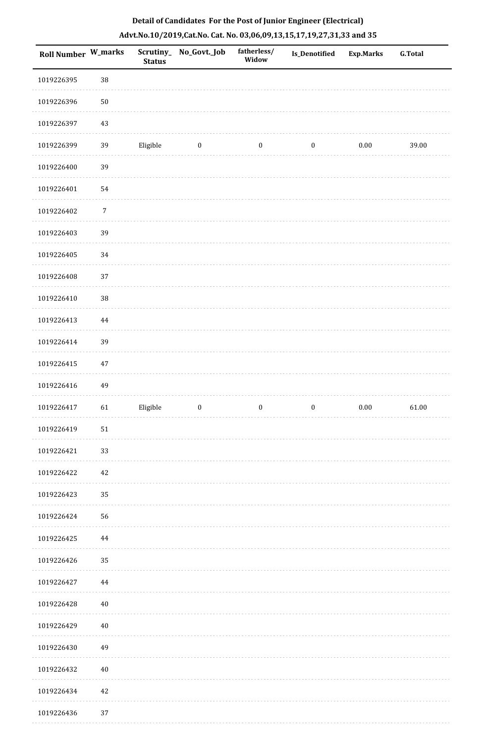| Roll Number W_marks |          | <b>Status</b> | Scrutiny_No_Govt._Job | fatherless/<br>Widow | Is_Denotified    | <b>Exp.Marks</b> | <b>G.Total</b> |
|---------------------|----------|---------------|-----------------------|----------------------|------------------|------------------|----------------|
| 1019226395          | $38\,$   |               |                       |                      |                  |                  |                |
| 1019226396          | $50\,$   |               |                       |                      |                  |                  |                |
| 1019226397          | 43       |               |                       |                      |                  |                  |                |
| 1019226399          | 39       | Eligible      | $\boldsymbol{0}$      | $\boldsymbol{0}$     | $\boldsymbol{0}$ | $0.00\,$         | 39.00          |
| 1019226400          | 39       |               |                       |                      |                  |                  |                |
| 1019226401          | 54       |               |                       |                      |                  |                  |                |
| 1019226402          | 7        |               |                       |                      |                  |                  |                |
| 1019226403          | 39       |               |                       |                      |                  |                  |                |
| 1019226405          | 34       |               |                       |                      |                  |                  |                |
| 1019226408          | 37       |               |                       |                      |                  |                  |                |
| 1019226410          | $38\,$   |               |                       |                      |                  |                  |                |
| 1019226413          | 44       |               |                       |                      |                  |                  |                |
| 1019226414          | 39       |               |                       |                      |                  |                  |                |
| 1019226415          | 47       |               |                       |                      |                  |                  |                |
| 1019226416          | 49       |               |                       |                      |                  |                  |                |
| 1019226417          | 61       | Eligible      | $\boldsymbol{0}$      | $\boldsymbol{0}$     | $\boldsymbol{0}$ | $0.00\,$         | 61.00          |
| 1019226419          | 51       |               |                       |                      |                  |                  |                |
| 1019226421          | 33       |               |                       |                      |                  |                  |                |
| 1019226422          | 42       |               |                       |                      |                  |                  |                |
| 1019226423          | 35       |               |                       |                      |                  |                  |                |
| 1019226424          | 56       |               |                       |                      |                  |                  |                |
| 1019226425          | 44       |               |                       |                      |                  |                  |                |
| 1019226426          | 35       |               |                       |                      |                  |                  |                |
| 1019226427          | $\bf 44$ |               |                       |                      |                  |                  |                |
| 1019226428          | $40\,$   |               |                       |                      |                  |                  |                |
| 1019226429          | 40       |               |                       |                      |                  |                  |                |
| 1019226430          | 49       |               |                       |                      |                  |                  |                |
| 1019226432          | $40\,$   |               |                       |                      |                  |                  |                |
| 1019226434          | 42       |               |                       |                      |                  |                  |                |
| 1019226436          | 37       |               |                       |                      |                  |                  |                |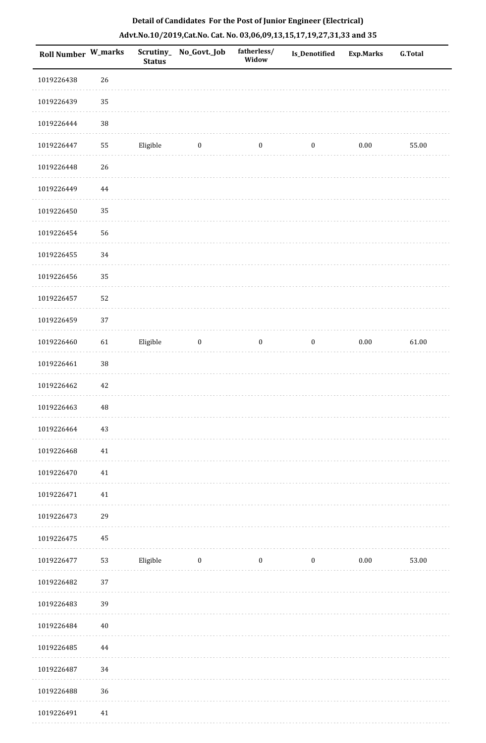| <b>Roll Number W_marks</b> |        | <b>Status</b> | Scrutiny_No_Govt._Job | fatherless/<br>Widow | Is_Denotified    | <b>Exp.Marks</b> | G.Total |
|----------------------------|--------|---------------|-----------------------|----------------------|------------------|------------------|---------|
| 1019226438                 | 26     |               |                       |                      |                  |                  |         |
| 1019226439                 | 35     |               |                       |                      |                  |                  |         |
| 1019226444                 | $38\,$ |               |                       |                      |                  |                  |         |
| 1019226447                 | 55     | Eligible      | $\boldsymbol{0}$      | $\boldsymbol{0}$     | $\boldsymbol{0}$ | $0.00\,$         | 55.00   |
| 1019226448                 | 26     |               |                       |                      |                  |                  |         |
| 1019226449                 | 44     |               |                       |                      |                  |                  |         |
| 1019226450                 | 35     |               |                       |                      |                  |                  |         |
| 1019226454                 | 56     |               |                       |                      |                  |                  |         |
| 1019226455                 | 34     |               |                       |                      |                  |                  |         |
| 1019226456                 | 35     |               |                       |                      |                  |                  |         |
| 1019226457                 | 52     |               |                       |                      |                  |                  |         |
| 1019226459                 | 37     |               |                       |                      |                  |                  |         |
| 1019226460                 | 61     | Eligible      | $\boldsymbol{0}$      | $\boldsymbol{0}$     | $\boldsymbol{0}$ | $0.00\,$         | 61.00   |
| 1019226461                 | $38\,$ |               |                       |                      |                  |                  |         |
| 1019226462                 | $42\,$ |               |                       |                      |                  |                  |         |
| 1019226463                 | 48     |               |                       |                      |                  |                  |         |
| 1019226464                 | 43     |               |                       |                      |                  |                  |         |
| 1019226468                 | $41\,$ |               |                       |                      |                  |                  |         |
| 1019226470                 | 41     |               |                       |                      |                  |                  |         |
| 1019226471                 | 41     |               |                       |                      |                  |                  |         |
| 1019226473                 | 29     |               |                       |                      |                  |                  |         |
| 1019226475                 | 45     |               |                       |                      |                  |                  |         |
| 1019226477                 | 53     | Eligible      | $\boldsymbol{0}$      | $\boldsymbol{0}$     | $\boldsymbol{0}$ | $0.00\,$         | 53.00   |
| 1019226482                 | 37     |               |                       |                      |                  |                  |         |
| 1019226483                 | 39     |               |                       |                      |                  |                  |         |
| 1019226484                 | 40     |               |                       |                      |                  |                  |         |
| 1019226485                 | 44     |               |                       |                      |                  |                  |         |
| 1019226487                 | 34     |               |                       |                      |                  |                  |         |
| 1019226488                 | 36     |               |                       |                      |                  |                  |         |
| 1019226491                 | $41\,$ |               |                       |                      |                  |                  |         |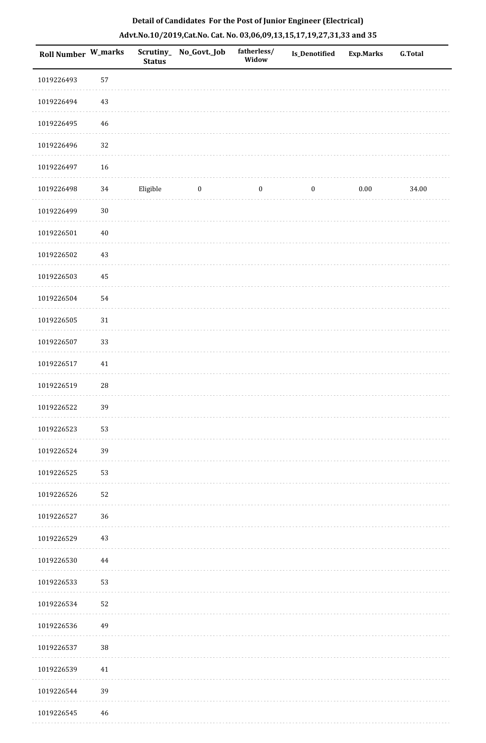| <b>Roll Number W_marks</b> |          | <b>Status</b> | Scrutiny_No_Govt._Job | fatherless/<br>Widow | Is_Denotified    | <b>Exp.Marks</b> | <b>G.Total</b> |
|----------------------------|----------|---------------|-----------------------|----------------------|------------------|------------------|----------------|
| 1019226493                 | 57       |               |                       |                      |                  |                  |                |
| 1019226494                 | 43       |               |                       |                      |                  |                  |                |
| 1019226495                 | 46       |               |                       |                      |                  |                  |                |
| 1019226496                 | $32\,$   |               |                       |                      |                  |                  |                |
| 1019226497                 | 16       |               |                       |                      |                  |                  |                |
| 1019226498                 | 34       | Eligible      | $\boldsymbol{0}$      | $\boldsymbol{0}$     | $\boldsymbol{0}$ | 0.00             | 34.00          |
| 1019226499                 | $30\,$   |               |                       |                      |                  |                  |                |
| 1019226501                 | $40\,$   |               |                       |                      |                  |                  |                |
| 1019226502                 | 43       |               |                       |                      |                  |                  |                |
| 1019226503                 | $\rm 45$ |               |                       |                      |                  |                  |                |
| 1019226504                 | 54       |               |                       |                      |                  |                  |                |
| 1019226505                 | $31\,$   |               |                       |                      |                  |                  |                |
| 1019226507                 | 33       |               |                       |                      |                  |                  |                |
| 1019226517                 | 41       |               |                       |                      |                  |                  |                |
| 1019226519                 | $28\,$   |               |                       |                      |                  |                  |                |
| 1019226522                 | 39       |               |                       |                      |                  |                  |                |
| 1019226523                 | 53       |               |                       |                      |                  |                  |                |
| 1019226524                 | 39       |               |                       |                      |                  |                  |                |
| 1019226525                 | 53       |               |                       |                      |                  |                  |                |
| 1019226526                 | 52       |               |                       |                      |                  |                  |                |
| 1019226527                 | 36       |               |                       |                      |                  |                  |                |
| 1019226529                 | 43       |               |                       |                      |                  |                  |                |
| 1019226530                 | 44       |               |                       |                      |                  |                  |                |
| 1019226533                 | 53       |               |                       |                      |                  |                  |                |
| 1019226534                 | 52       |               |                       |                      |                  |                  |                |
| 1019226536                 | 49       |               |                       |                      |                  |                  |                |
| 1019226537                 | $38\,$   |               |                       |                      |                  |                  |                |
| 1019226539                 | 41       |               |                       |                      |                  |                  |                |
| 1019226544                 | 39       |               |                       |                      |                  |                  |                |
| 1019226545                 | 46       |               |                       |                      |                  |                  |                |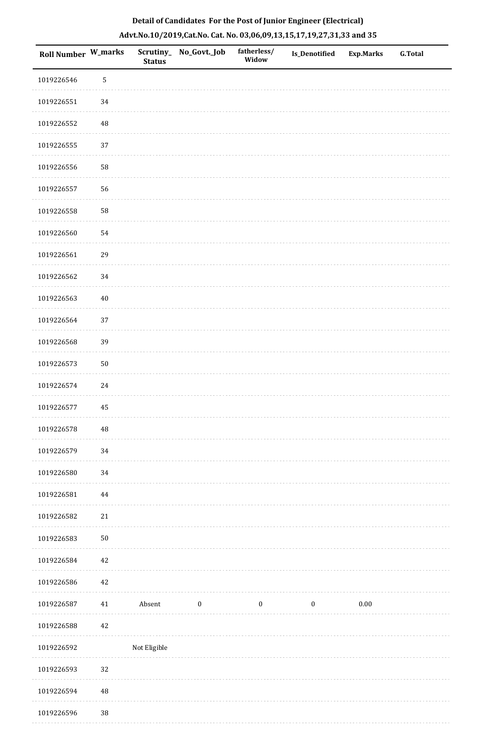| Roll Number W_marks |             | <b>Status</b> | Scrutiny_ No_Govt._Job | fatherless/<br>Widow | Is_Denotified    | <b>Exp.Marks</b> | <b>G.Total</b> |
|---------------------|-------------|---------------|------------------------|----------------------|------------------|------------------|----------------|
| 1019226546          | $\mathsf S$ |               |                        |                      |                  |                  |                |
| 1019226551          | 34          |               |                        |                      |                  |                  |                |
| 1019226552          | 48          |               |                        |                      |                  |                  |                |
| 1019226555          | 37          |               |                        |                      |                  |                  |                |
| 1019226556          | 58          |               |                        |                      |                  |                  |                |
| 1019226557          | 56          |               |                        |                      |                  |                  |                |
| 1019226558          | 58          |               |                        |                      |                  |                  |                |
| 1019226560          | 54          |               |                        |                      |                  |                  |                |
| 1019226561          | 29          |               |                        |                      |                  |                  |                |
| 1019226562          | 34          |               |                        |                      |                  |                  |                |
| 1019226563          | 40          |               |                        |                      |                  |                  |                |
| 1019226564          | 37          |               |                        |                      |                  |                  |                |
| 1019226568          | 39          |               |                        |                      |                  |                  |                |
| 1019226573          | 50          |               |                        |                      |                  |                  |                |
| 1019226574          | 24          |               |                        |                      |                  |                  |                |
| 1019226577          | 45          |               |                        |                      |                  |                  |                |
| 1019226578          | $\rm 48$    |               |                        |                      |                  |                  |                |
| 1019226579          | 34          |               |                        |                      |                  |                  |                |
| 1019226580          | $34\,$      |               |                        |                      |                  |                  |                |
| 1019226581          | 44          |               |                        |                      |                  |                  |                |
| 1019226582          | 21          |               |                        |                      |                  |                  |                |
| 1019226583          | 50          |               |                        |                      |                  |                  |                |
| 1019226584          | 42          |               |                        |                      |                  |                  |                |
| 1019226586          | 42          |               |                        |                      |                  |                  |                |
| 1019226587          | 41          | Absent        | $\boldsymbol{0}$       | $\boldsymbol{0}$     | $\boldsymbol{0}$ | $0.00\,$         |                |
| 1019226588          | 42          |               |                        |                      |                  |                  |                |
| 1019226592          |             | Not Eligible  |                        |                      |                  |                  |                |
| 1019226593          | 32          |               |                        |                      |                  |                  |                |
| 1019226594          | $\rm 48$    |               |                        |                      |                  |                  |                |

1019226596 38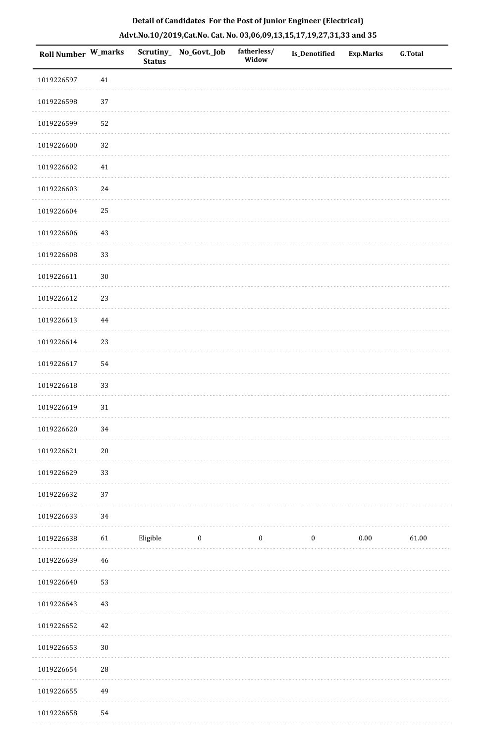| Roll Number W_marks |            | <b>Status</b> | Scrutiny_ No_Govt._Job | fatherless/<br>Widow | Is_Denotified | <b>Exp.Marks</b> | <b>G.Total</b> |
|---------------------|------------|---------------|------------------------|----------------------|---------------|------------------|----------------|
| 1019226597          | 41         |               |                        |                      |               |                  |                |
| 1019226598          | 37         |               |                        |                      |               |                  |                |
| 1019226599          | 52         |               |                        |                      |               |                  |                |
| 1019226600          | 32         |               |                        |                      |               |                  |                |
| 1019226602          | 41         |               |                        |                      |               |                  |                |
| 1019226603          | $24\,$     |               |                        |                      |               |                  |                |
| 1019226604          | 25         |               |                        |                      |               |                  |                |
| 1019226606          | 43         |               |                        |                      |               |                  |                |
| 1019226608          | 33         |               |                        |                      |               |                  |                |
| 1019226611          | $30\,$     |               |                        |                      |               |                  |                |
| 1019226612          | 23         |               |                        |                      |               |                  |                |
| 1019226613          | $\bf 44$   |               |                        |                      |               |                  |                |
| 1019226614          | 23         |               |                        |                      |               |                  |                |
| 1019226617          | 54         |               |                        |                      |               |                  |                |
| 1019226618          | 33         |               |                        |                      |               |                  |                |
| 1019226619          | 31         |               |                        |                      |               |                  |                |
| 1019226620          | 34         |               |                        |                      |               |                  |                |
| 1019226621          | $20\,$     |               |                        |                      |               |                  |                |
| 1019226629          | 33         |               |                        |                      |               |                  |                |
| 1019226632          | 37         |               |                        |                      |               |                  |                |
| 1019226633          | 34         |               |                        |                      |               |                  |                |
| 1019226638          | 61         | Eligible      | $\boldsymbol{0}$       | $\boldsymbol{0}$     | $\bf{0}$      | $0.00\,$         | 61.00          |
| 1019226639          | 46         |               |                        |                      |               |                  |                |
| 1019226640          | 53         |               |                        |                      |               |                  |                |
| 1019226643          | 43         |               |                        |                      |               |                  |                |
| 1019226652          | 42         |               |                        |                      |               |                  |                |
| 1019226653          | $30\,$     |               |                        |                      |               |                  |                |
| 1019226654          | ${\bf 28}$ |               |                        |                      |               |                  |                |
| 1019226655          | 49         |               |                        |                      |               |                  |                |
| 101022650           | $\Gamma$ A |               |                        |                      |               |                  |                |

 1019226658 54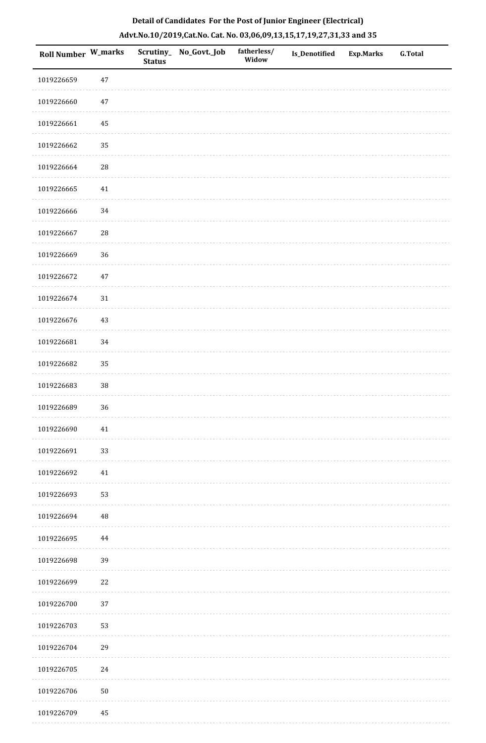| <b>Roll Number W_marks</b> |        | <b>Status</b> | Scrutiny_ No_Govt._Job | fatherless/<br>Widow | <b>Is_Denotified</b> | <b>Exp.Marks</b> | <b>G.Total</b> |
|----------------------------|--------|---------------|------------------------|----------------------|----------------------|------------------|----------------|
| 1019226659                 | $47\,$ |               |                        |                      |                      |                  |                |
| 1019226660                 | 47     |               |                        |                      |                      |                  |                |
| 1019226661                 | 45     |               |                        |                      |                      |                  |                |
| 1019226662                 | 35     |               |                        |                      |                      |                  |                |
| 1019226664                 | 28     |               |                        |                      |                      |                  |                |
| 1019226665                 | $41\,$ |               |                        |                      |                      |                  |                |
| 1019226666                 | 34     |               |                        |                      |                      |                  |                |
| 1019226667                 | 28     |               |                        |                      |                      |                  |                |
| 1019226669                 | 36     |               |                        |                      |                      |                  |                |
| 1019226672                 | 47     |               |                        |                      |                      |                  |                |
| 1019226674                 | $31\,$ |               |                        |                      |                      |                  |                |
| 1019226676                 | 43     |               |                        |                      |                      |                  |                |
| 1019226681                 | 34     |               |                        |                      |                      |                  |                |
| 1019226682                 | 35     |               |                        |                      |                      |                  |                |
| 1019226683                 | $38\,$ |               |                        |                      |                      |                  |                |
| 1019226689                 | 36     |               |                        |                      |                      |                  |                |
| 1019226690                 | $41\,$ |               |                        |                      |                      |                  |                |
| 1019226691                 | 33     |               |                        |                      |                      |                  |                |
| 1019226692                 | $41\,$ |               |                        |                      |                      |                  |                |
| 1019226693                 | 53     |               |                        |                      |                      |                  |                |
| 1019226694                 | 48     |               |                        |                      |                      |                  |                |
| 1019226695                 | 44     |               |                        |                      |                      |                  |                |
| 1019226698                 | 39     |               |                        |                      |                      |                  |                |
| 1019226699                 | 22     |               |                        |                      |                      |                  |                |
| 1019226700                 | 37     |               |                        |                      |                      |                  |                |
| 1019226703                 | 53     |               |                        |                      |                      |                  |                |
| 1019226704                 | 29     |               |                        |                      |                      |                  |                |
| 1019226705                 | 24     |               |                        |                      |                      |                  |                |
| 1019226706                 | 50     |               |                        |                      |                      |                  |                |

1019226709 45

# **Detail of Candidates For the Post of Junior Engineer (Electrical) Advt.No.10/2019,Cat.No. Cat. No. 03,06,09,13,15,17,19,27,31,33 and 35**

ò,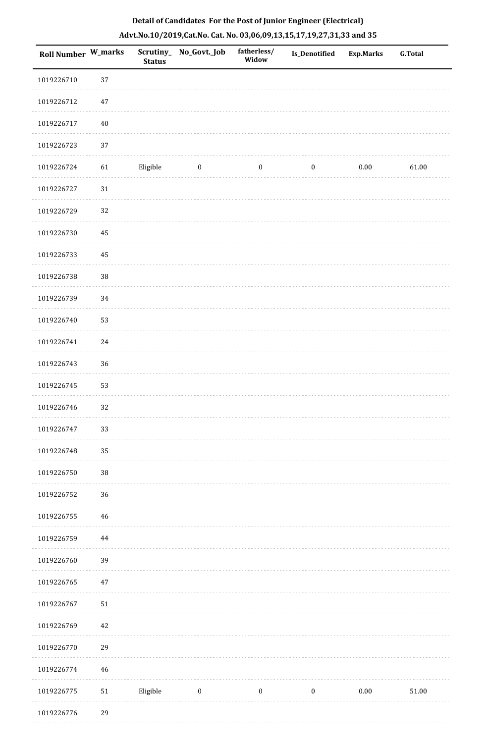| Roll Number W_marks |             | <b>Status</b> | Scrutiny_No_Govt._Job | fatherless/<br>Widow | <b>Is_Denotified</b> | Exp.Marks | <b>G.Total</b> |
|---------------------|-------------|---------------|-----------------------|----------------------|----------------------|-----------|----------------|
| 1019226710          | 37          |               |                       |                      |                      |           |                |
| 1019226712          | $47\,$      |               |                       |                      |                      |           |                |
| 1019226717          | $40\,$      |               |                       |                      |                      |           |                |
| 1019226723          | 37          |               |                       |                      |                      |           |                |
| 1019226724          | 61          | Eligible      | $\boldsymbol{0}$      | $\boldsymbol{0}$     | $\boldsymbol{0}$     | 0.00      | 61.00          |
| 1019226727          | 31          |               |                       |                      |                      |           |                |
| 1019226729          | 32          |               |                       |                      |                      |           |                |
| 1019226730          | 45          |               |                       |                      |                      |           |                |
| 1019226733          | 45          |               |                       |                      |                      |           |                |
| 1019226738          | 38          |               |                       |                      |                      |           |                |
| 1019226739          | $34\,$      |               |                       |                      |                      |           |                |
| 1019226740          | 53          |               |                       |                      |                      |           |                |
| 1019226741          | 24          |               |                       |                      |                      |           |                |
| 1019226743          | 36          |               |                       |                      |                      |           |                |
| 1019226745          | 53          |               |                       |                      |                      |           |                |
| 1019226746          | 32          |               |                       |                      |                      |           |                |
| 1019226747          | 33          |               |                       |                      |                      |           |                |
| 1019226748          | 35          |               |                       |                      |                      |           |                |
| 1019226750          | 38          |               |                       |                      |                      |           |                |
| 1019226752          | 36          |               |                       |                      |                      |           |                |
| 1019226755          | $\sqrt{46}$ |               |                       |                      |                      |           |                |
| 1019226759          | 44          |               |                       |                      |                      |           |                |
| 1019226760          | 39          |               |                       |                      |                      |           |                |
| 1019226765          | 47          |               |                       |                      |                      |           |                |
| 1019226767          | $51\,$      |               |                       |                      |                      |           |                |
| 1019226769          | $42\,$      |               |                       |                      |                      |           |                |
| 1019226770          | 29          |               |                       |                      |                      |           |                |
| 1019226774          | $\sqrt{46}$ |               |                       |                      |                      |           |                |
| 1019226775          | $51\,$      | Eligible      | $\boldsymbol{0}$      | $\boldsymbol{0}$     | $\boldsymbol{0}$     | $0.00\,$  | $51.00\,$      |
| 1019226776          | 29          |               |                       |                      |                      |           |                |

1019226776 29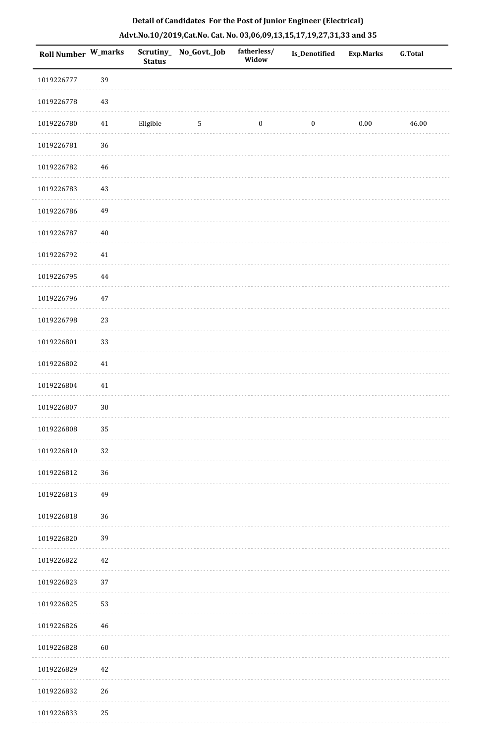| <b>Roll Number W_marks</b> |        | <b>Status</b> | Scrutiny_ No_Govt._Job | fatherless/<br>Widow | <b>Is_Denotified</b> | <b>Exp.Marks</b> | <b>G.Total</b> |
|----------------------------|--------|---------------|------------------------|----------------------|----------------------|------------------|----------------|
| 1019226777                 | 39     |               |                        |                      |                      |                  |                |
| 1019226778                 | 43     |               |                        |                      |                      |                  |                |
| 1019226780                 | 41     | Eligible      | $5\phantom{.0}$        | $\bf{0}$             | $\boldsymbol{0}$     | $0.00\,$         | 46.00          |
| 1019226781                 | 36     |               |                        |                      |                      |                  |                |
| 1019226782                 | $46\,$ |               |                        |                      |                      |                  |                |
| 1019226783                 | $43\,$ |               |                        |                      |                      |                  |                |
| 1019226786                 | 49     |               |                        |                      |                      |                  |                |
| 1019226787                 | $40\,$ |               |                        |                      |                      |                  |                |
| 1019226792                 | $41\,$ |               |                        |                      |                      |                  |                |
| 1019226795                 | 44     |               |                        |                      |                      |                  |                |
| 1019226796                 | 47     |               |                        |                      |                      |                  |                |
| 1019226798                 | 23     |               |                        |                      |                      |                  |                |
| 1019226801                 | 33     |               |                        |                      |                      |                  |                |
| 1019226802                 | $41\,$ |               |                        |                      |                      |                  |                |
| 1019226804                 | $41\,$ |               |                        |                      |                      |                  |                |
| 1019226807                 | $30\,$ |               |                        |                      |                      |                  |                |
| 1019226808                 | 35     |               |                        |                      |                      |                  |                |
| 1019226810                 | 32     |               |                        |                      |                      |                  |                |
| 1019226812                 | 36     |               |                        |                      |                      |                  |                |
| 1019226813                 | 49     |               |                        |                      |                      |                  |                |
| 1019226818                 | 36     |               |                        |                      |                      |                  |                |
| 1019226820                 | 39     |               |                        |                      |                      |                  |                |
| 1019226822                 | 42     |               |                        |                      |                      |                  |                |
| 1019226823                 | 37     |               |                        |                      |                      |                  |                |
| 1019226825                 | 53     |               |                        |                      |                      |                  |                |
| 1019226826                 | $46\,$ |               |                        |                      |                      |                  |                |
| 1019226828                 | 60     |               |                        |                      |                      |                  |                |
| 1019226829                 | 42     |               |                        |                      |                      |                  |                |
| 1019226832                 | 26     |               |                        |                      |                      |                  |                |
| 1019226833                 | 25     |               |                        |                      |                      |                  |                |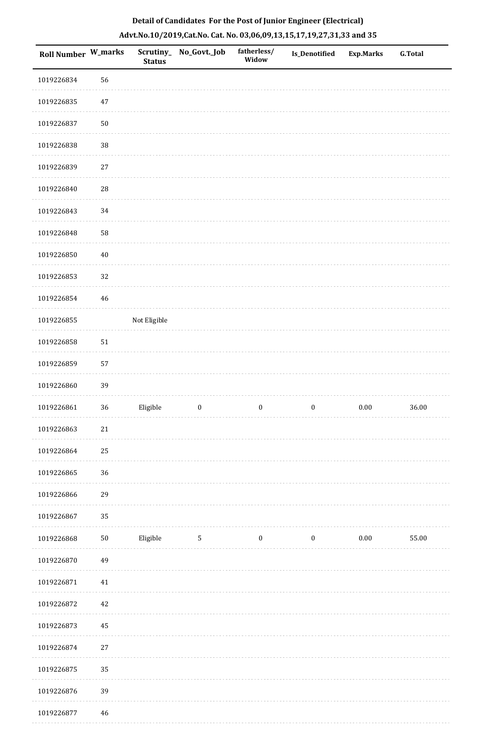| <b>Roll Number W_marks</b> |            | Scrutiny_<br><b>Status</b> | No_Govt._Job     | fatherless/<br>Widow | Is_Denotified    | <b>Exp.Marks</b> | G.Total |
|----------------------------|------------|----------------------------|------------------|----------------------|------------------|------------------|---------|
| 1019226834                 | 56         |                            |                  |                      |                  |                  |         |
| 1019226835                 | $47\,$     |                            |                  |                      |                  |                  |         |
| 1019226837                 | $50\,$     |                            |                  |                      |                  |                  |         |
| 1019226838                 | $38\,$     |                            |                  |                      |                  |                  |         |
| 1019226839                 | 27         |                            |                  |                      |                  |                  |         |
| 1019226840                 | ${\bf 28}$ |                            |                  |                      |                  |                  |         |
| 1019226843                 | 34         |                            |                  |                      |                  |                  |         |
| 1019226848                 | 58         |                            |                  |                      |                  |                  |         |
| 1019226850                 | $40\,$     |                            |                  |                      |                  |                  |         |
| 1019226853                 | 32         |                            |                  |                      |                  |                  |         |
| 1019226854                 | 46         |                            |                  |                      |                  |                  |         |
| 1019226855                 |            | Not Eligible               |                  |                      |                  |                  |         |
| 1019226858                 | $51\,$     |                            |                  |                      |                  |                  |         |
| 1019226859                 | 57         |                            |                  |                      |                  |                  |         |
| 1019226860                 | 39         |                            |                  |                      |                  |                  |         |
| 1019226861                 | $36\,$     | Eligible                   | $\boldsymbol{0}$ | $\boldsymbol{0}$     | $\boldsymbol{0}$ | $0.00\,$         | 36.00   |
| 1019226863                 | $21\,$     |                            |                  |                      |                  |                  |         |
| 1019226864                 | 25         |                            |                  |                      |                  |                  |         |
| 1019226865                 | 36         |                            |                  |                      |                  |                  |         |
| 1019226866                 | 29         |                            |                  |                      |                  |                  |         |
| 1019226867                 | 35         |                            |                  |                      |                  |                  |         |
| 1019226868                 | $50\,$     | Eligible                   | $\sqrt{5}$       | $\boldsymbol{0}$     | $\boldsymbol{0}$ | 0.00             | 55.00   |
| 1019226870                 | 49         |                            |                  |                      |                  |                  |         |
| 1019226871                 | $41\,$     |                            |                  |                      |                  |                  |         |
| 1019226872                 | $42\,$     |                            |                  |                      |                  |                  |         |
| 1019226873                 | 45         |                            |                  |                      |                  |                  |         |
| 1019226874                 | $27\,$     |                            |                  |                      |                  |                  |         |
| 1019226875                 | 35         |                            |                  |                      |                  |                  |         |
| 1019226876                 | 39         |                            |                  |                      |                  |                  |         |
|                            |            |                            |                  |                      |                  |                  |         |

 1019226877 46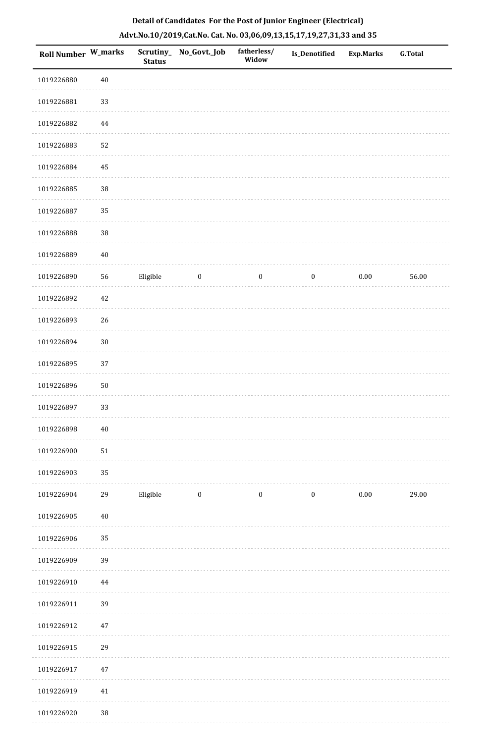|  |  | Detail of Candidates For the Post of Junior Engineer (Electrical)     |  |
|--|--|-----------------------------------------------------------------------|--|
|  |  | Advt.No.10/2019,Cat.No. Cat. No. 03,06,09,13,15,17,19,27,31,33 and 35 |  |

| <b>Roll Number W_marks</b> |          | <b>Status</b> | Scrutiny_ No_Govt._Job | fatherless/<br>Widow | Is_Denotified    | <b>Exp.Marks</b> | <b>G.Total</b> |
|----------------------------|----------|---------------|------------------------|----------------------|------------------|------------------|----------------|
| 1019226880                 | $40\,$   |               |                        |                      |                  |                  |                |
| 1019226881                 | 33       |               |                        |                      |                  |                  |                |
| 1019226882                 | $\bf 44$ |               |                        |                      |                  |                  |                |
| 1019226883                 | 52       |               |                        |                      |                  |                  |                |
| 1019226884                 | 45       |               |                        |                      |                  |                  |                |
| 1019226885                 | 38       |               |                        |                      |                  |                  |                |
| 1019226887                 | 35       |               |                        |                      |                  |                  |                |
| 1019226888                 | 38       |               |                        |                      |                  |                  |                |
| 1019226889                 | $40\,$   |               |                        |                      |                  |                  |                |
| 1019226890                 | 56       | Eligible      | $\boldsymbol{0}$       | $\boldsymbol{0}$     | $\boldsymbol{0}$ | $0.00\,$         | 56.00          |
| 1019226892                 | 42       |               |                        |                      |                  |                  |                |
| 1019226893                 | 26       |               |                        |                      |                  |                  |                |
| 1019226894                 | $30\,$   |               |                        |                      |                  |                  |                |
| 1019226895                 | 37       |               |                        |                      |                  |                  |                |
| 1019226896                 | 50       |               |                        |                      |                  |                  |                |
| 1019226897                 | 33       |               |                        |                      |                  |                  |                |
| 1019226898                 | $40\,$   |               |                        |                      |                  |                  |                |
| 1019226900                 | $51\,$   |               |                        |                      |                  |                  |                |
| 1019226903                 | 35       |               |                        |                      |                  |                  |                |
| 1019226904                 | 29       | Eligible      | $\boldsymbol{0}$       | $\boldsymbol{0}$     | $\boldsymbol{0}$ | $0.00\,$         | 29.00          |
| 1019226905                 | $40\,$   |               |                        |                      |                  |                  |                |
| 1019226906                 | 35       |               |                        |                      |                  |                  |                |
| 1019226909                 | 39       |               |                        |                      |                  |                  |                |
| 1019226910                 | $\bf 44$ |               |                        |                      |                  |                  |                |
| 1019226911                 | 39       |               |                        |                      |                  |                  |                |
| 1019226912                 | 47       |               |                        |                      |                  |                  |                |
| 1019226915                 | 29       |               |                        |                      |                  |                  |                |
| 1019226917                 | $47\,$   |               |                        |                      |                  |                  |                |
| 1019226919                 | 41       |               |                        |                      |                  |                  |                |
| 1019226920                 | $38\,$   |               |                        |                      |                  |                  |                |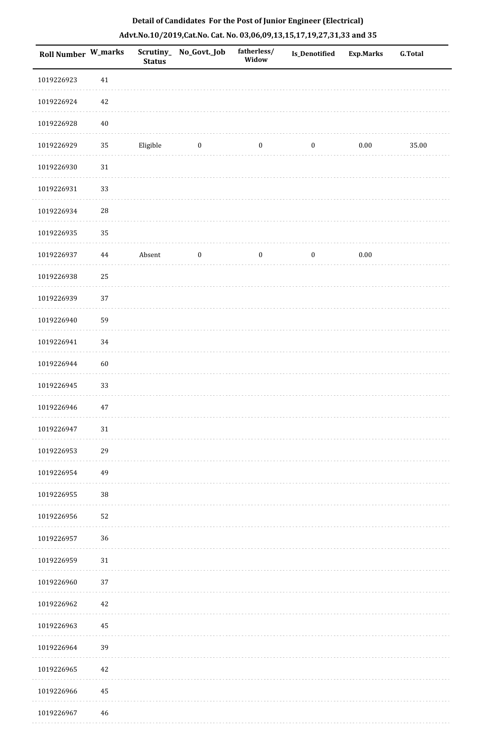| <b>Roll Number W_marks</b> |             | <b>Status</b> | Scrutiny_No_Govt._Job | fatherless/<br>Widow | Is_Denotified    | <b>Exp.Marks</b> | <b>G.Total</b> |
|----------------------------|-------------|---------------|-----------------------|----------------------|------------------|------------------|----------------|
| 1019226923                 | $41\,$      |               |                       |                      |                  |                  |                |
| 1019226924                 | 42          |               |                       |                      |                  |                  |                |
| 1019226928                 | $40\,$      |               |                       |                      |                  |                  |                |
| 1019226929                 | 35          | Eligible      | $\boldsymbol{0}$      | $\boldsymbol{0}$     | $\boldsymbol{0}$ | $0.00\,$         | 35.00          |
| 1019226930                 | $31\,$      |               |                       |                      |                  |                  |                |
| 1019226931                 | 33          |               |                       |                      |                  |                  |                |
| 1019226934                 | $\sqrt{28}$ |               |                       |                      |                  |                  |                |
| 1019226935                 | 35          |               |                       |                      |                  |                  |                |
| 1019226937                 | 44          | Absent        | $\boldsymbol{0}$      | $\boldsymbol{0}$     | $\boldsymbol{0}$ | $0.00\,$         |                |
| 1019226938                 | 25          |               |                       |                      |                  |                  |                |
| 1019226939                 | 37          |               |                       |                      |                  |                  |                |
| 1019226940                 | 59          |               |                       |                      |                  |                  |                |
| 1019226941                 | 34          |               |                       |                      |                  |                  |                |
| 1019226944                 | 60          |               |                       |                      |                  |                  |                |
| 1019226945                 | 33          |               |                       |                      |                  |                  |                |
| 1019226946                 | 47          |               |                       |                      |                  |                  |                |
| 1019226947                 | 31          |               |                       |                      |                  |                  |                |
| 1019226953                 | 29          |               |                       |                      |                  |                  |                |
| 1019226954                 | 49          |               |                       |                      |                  |                  |                |
| 1019226955                 | $38\,$      |               |                       |                      |                  |                  |                |
| 1019226956                 | 52          |               |                       |                      |                  |                  |                |
| 1019226957                 | 36          |               |                       |                      |                  |                  |                |
| 1019226959                 | 31          |               |                       |                      |                  |                  |                |
| 1019226960                 | 37          |               |                       |                      |                  |                  |                |
| 1019226962                 | 42          |               |                       |                      |                  |                  |                |
| 1019226963                 | 45          |               |                       |                      |                  |                  |                |
| 1019226964                 | 39          |               |                       |                      |                  |                  |                |
| 1019226965                 | 42          |               |                       |                      |                  |                  |                |
| 1019226966                 | 45          |               |                       |                      |                  |                  |                |
| 1019226967                 | 46          |               |                       |                      |                  |                  |                |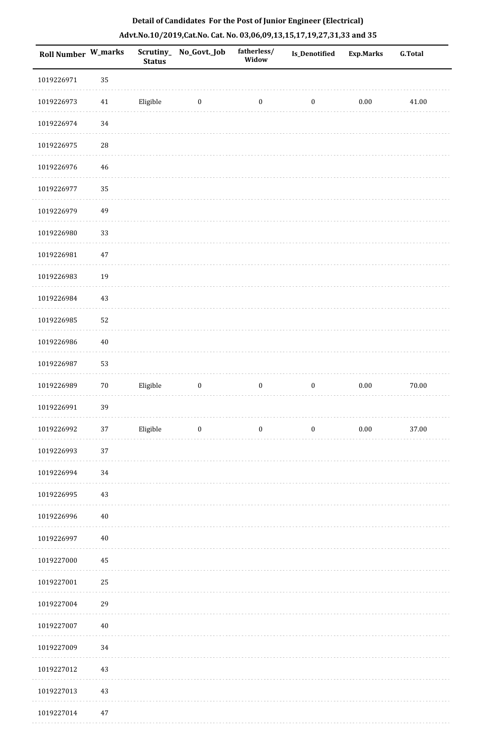| <b>Roll Number W_marks</b> |             | <b>Status</b> | Scrutiny_ No_Govt._Job  | fatherless/<br>Widow | <b>Is_Denotified</b> | <b>Exp.Marks</b> | <b>G.Total</b> |
|----------------------------|-------------|---------------|-------------------------|----------------------|----------------------|------------------|----------------|
| 1019226971                 | 35          |               |                         |                      |                      |                  |                |
| 1019226973                 | 41          | Eligible      | $\bf{0}$                | $\boldsymbol{0}$     | $\boldsymbol{0}$     | $0.00\,$         | 41.00          |
| 1019226974                 | 34          |               |                         |                      |                      |                  |                |
| 1019226975                 | $\sqrt{28}$ |               |                         |                      |                      |                  |                |
| 1019226976                 | 46          |               |                         |                      |                      |                  |                |
| 1019226977                 | 35          |               |                         |                      |                      |                  |                |
| 1019226979                 | 49          |               |                         |                      |                      |                  |                |
| 1019226980                 | 33          |               |                         |                      |                      |                  |                |
| 1019226981                 | 47          |               |                         |                      |                      |                  |                |
| 1019226983                 | 19          |               |                         |                      |                      |                  |                |
| 1019226984                 | 43          |               |                         |                      |                      |                  |                |
| 1019226985                 | 52          |               |                         |                      |                      |                  |                |
| 1019226986                 | $40\,$      |               |                         |                      |                      |                  |                |
| 1019226987                 | 53          |               |                         |                      |                      |                  |                |
| 1019226989                 | $70\,$      | Eligible      | $\boldsymbol{0}$        | $\boldsymbol{0}$     | $\boldsymbol{0}$     | $0.00\,$         | $70.00\,$      |
| 1019226991                 | 39          |               |                         |                      |                      |                  |                |
| 1019226992                 | $37\,$      | Eligible      | $\overline{\mathbf{0}}$ | $\bf{0}$             | $\boldsymbol{0}$     | $0.00\,$         | 37.00          |
| 1019226993                 | 37          |               |                         |                      |                      |                  |                |
| 1019226994                 | 34          |               |                         |                      |                      |                  |                |
| 1019226995                 | 43          |               |                         |                      |                      |                  |                |
| 1019226996                 | $40\,$      |               |                         |                      |                      |                  |                |
| 1019226997                 | $40\,$      |               |                         |                      |                      |                  |                |
| 1019227000                 | 45          |               |                         |                      |                      |                  |                |
| 1019227001                 | 25          |               |                         |                      |                      |                  |                |
| 1019227004                 | 29          |               |                         |                      |                      |                  |                |
| 1019227007                 | 40          |               |                         |                      |                      |                  |                |
| 1019227009                 | 34          |               |                         |                      |                      |                  |                |
| 1019227012                 | 43          |               |                         |                      |                      |                  |                |
| 1019227013                 | 43          |               |                         |                      |                      |                  |                |
| 1019227014                 | 47          |               |                         |                      |                      |                  |                |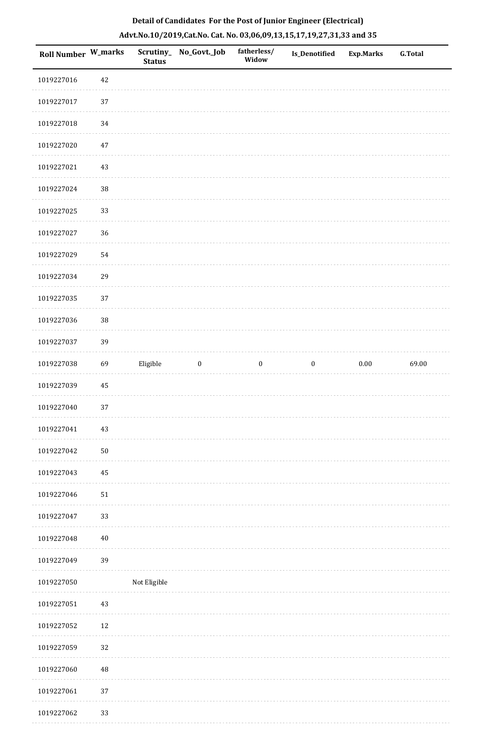| Roll Number W_marks |            | <b>Status</b> | Scrutiny_ No_Govt._Job | fatherless/<br>Widow | Is_Denotified    | <b>Exp.Marks</b> | G.Total |
|---------------------|------------|---------------|------------------------|----------------------|------------------|------------------|---------|
| 1019227016          | 42         |               |                        |                      |                  |                  |         |
| 1019227017          | 37         |               |                        |                      |                  |                  |         |
| 1019227018          | 34         |               |                        |                      |                  |                  |         |
| 1019227020          | 47         |               |                        |                      |                  |                  |         |
| 1019227021          | 43         |               |                        |                      |                  |                  |         |
| 1019227024          | $38\,$     |               |                        |                      |                  |                  |         |
| 1019227025          | 33         |               |                        |                      |                  |                  |         |
| 1019227027          | 36         |               |                        |                      |                  |                  |         |
| 1019227029          | 54         |               |                        |                      |                  |                  |         |
| 1019227034          | 29         |               |                        |                      |                  |                  |         |
| 1019227035          | 37         |               |                        |                      |                  |                  |         |
| 1019227036          | 38         |               |                        |                      |                  |                  |         |
| 1019227037          | 39         |               |                        |                      |                  |                  |         |
| 1019227038          | 69         | Eligible      | $\boldsymbol{0}$       | $\boldsymbol{0}$     | $\boldsymbol{0}$ | $0.00\,$         | 69.00   |
| 1019227039          | 45         |               |                        |                      |                  |                  |         |
| 1019227040          | 37         |               |                        |                      |                  |                  |         |
| 1019227041          | 43         |               |                        |                      |                  |                  |         |
| 1019227042          | ${\bf 50}$ |               |                        |                      |                  |                  |         |
| 1019227043          | 45         |               |                        |                      |                  |                  |         |
| 1019227046          | 51         |               |                        |                      |                  |                  |         |
| 1019227047          | 33         |               |                        |                      |                  |                  |         |
| 1019227048          | 40         |               |                        |                      |                  |                  |         |
| 1019227049          | 39         |               |                        |                      |                  |                  |         |
| 1019227050          |            | Not Eligible  |                        |                      |                  |                  |         |
| 1019227051          | 43         |               |                        |                      |                  |                  |         |
| 1019227052          | 12         |               |                        |                      |                  |                  |         |
| 1019227059          | 32         |               |                        |                      |                  |                  |         |
| 1019227060          | 48         |               |                        |                      |                  |                  |         |
| 1019227061          | 37         |               |                        |                      |                  |                  |         |
| 1019227062          | 33         |               |                        |                      |                  |                  |         |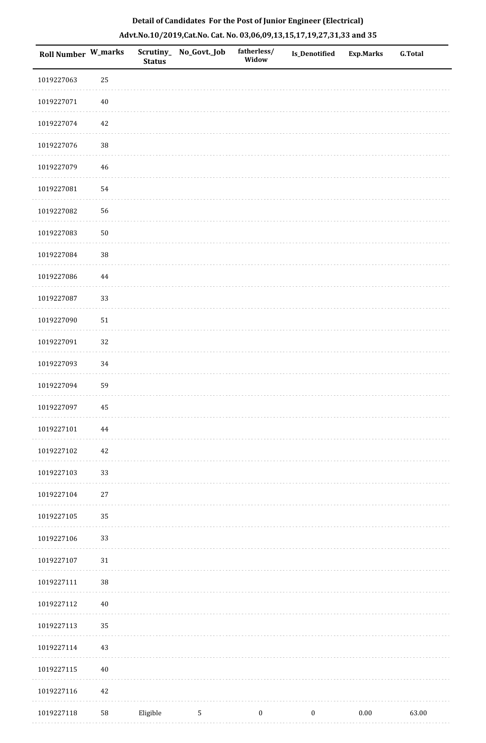|  | Detail of Candidates For the Post of Junior Engineer (Electrical)     |  |
|--|-----------------------------------------------------------------------|--|
|  | Advt.No.10/2019,Cat.No. Cat. No. 03,06,09,13,15,17,19,27,31,33 and 35 |  |

| <b>Roll Number W_marks</b> |            | <b>Status</b> | Scrutiny_No_Govt._Job | fatherless/<br>Widow | Is_Denotified    | <b>Exp.Marks</b> | <b>G.Total</b> |
|----------------------------|------------|---------------|-----------------------|----------------------|------------------|------------------|----------------|
| 1019227063                 | 25         |               |                       |                      |                  |                  |                |
| 1019227071                 | $40\,$     |               |                       |                      |                  |                  |                |
| 1019227074                 | $42\,$     |               |                       |                      |                  |                  |                |
| 1019227076                 | 38         |               |                       |                      |                  |                  |                |
| 1019227079                 | $46\,$     |               |                       |                      |                  |                  |                |
| 1019227081                 | 54         |               |                       |                      |                  |                  |                |
| 1019227082                 | 56         |               |                       |                      |                  |                  |                |
| 1019227083                 | $50\,$     |               |                       |                      |                  |                  |                |
| 1019227084                 | $38\,$     |               |                       |                      |                  |                  |                |
| 1019227086                 | 44         |               |                       |                      |                  |                  |                |
| 1019227087                 | 33         |               |                       |                      |                  |                  |                |
| 1019227090                 | $51\,$     |               |                       |                      |                  |                  |                |
| 1019227091                 | 32         |               |                       |                      |                  |                  |                |
| 1019227093                 | 34         |               |                       |                      |                  |                  |                |
| 1019227094                 | 59         |               |                       |                      |                  |                  |                |
| 1019227097                 | 45         |               |                       |                      |                  |                  |                |
| 1019227101                 | 44         |               |                       |                      |                  |                  |                |
| 1019227102                 | $42\,$     |               |                       |                      |                  |                  |                |
| 1019227103                 | 33         |               |                       |                      |                  |                  |                |
| 1019227104                 | $27\,$     |               |                       |                      |                  |                  |                |
| 1019227105                 | 35         |               |                       |                      |                  |                  |                |
| 1019227106                 | 33         |               |                       |                      |                  |                  |                |
| 1019227107                 | 31         |               |                       |                      |                  |                  |                |
| 1019227111                 | 38         |               |                       |                      |                  |                  |                |
| 1019227112                 | $40\,$     |               |                       |                      |                  |                  |                |
| 1019227113                 | 35         |               |                       |                      |                  |                  |                |
| 1019227114                 | $43\,$     |               |                       |                      |                  |                  |                |
| 1019227115                 | $40\,$     |               |                       |                      |                  |                  |                |
| 1019227116                 | 42         |               |                       |                      |                  |                  |                |
| 1019227118                 | ${\bf 58}$ | Eligible      | $\sqrt{5}$            | $\boldsymbol{0}$     | $\boldsymbol{0}$ | $0.00\,$         | 63.00          |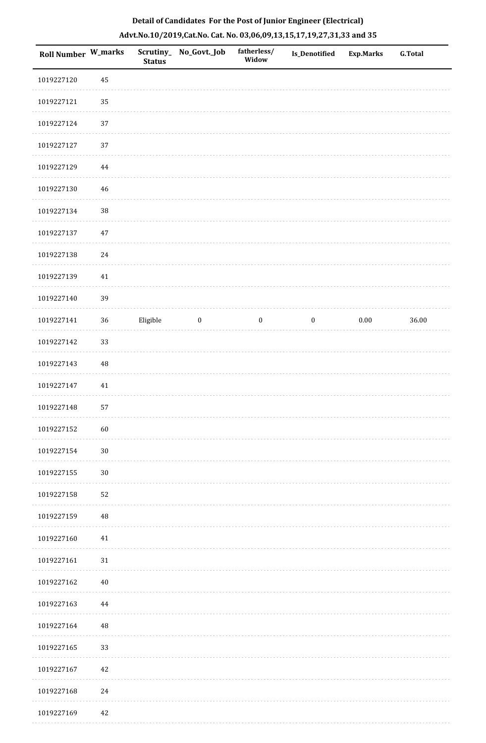| <b>Roll Number W_marks</b> |          | <b>Status</b> | Scrutiny_ No_Govt._Job | fatherless/<br>Widow | Is_Denotified    | <b>Exp.Marks</b> | <b>G.Total</b> |
|----------------------------|----------|---------------|------------------------|----------------------|------------------|------------------|----------------|
| 1019227120                 | 45       |               |                        |                      |                  |                  |                |
| 1019227121                 | 35       |               |                        |                      |                  |                  |                |
| 1019227124                 | 37       |               |                        |                      |                  |                  |                |
| 1019227127                 | 37       |               |                        |                      |                  |                  |                |
| 1019227129                 | $\bf 44$ |               |                        |                      |                  |                  |                |
| 1019227130                 | $46\,$   |               |                        |                      |                  |                  |                |
| 1019227134                 | 38       |               |                        |                      |                  |                  |                |
| 1019227137                 | $47\,$   |               |                        |                      |                  |                  |                |
| 1019227138                 | 24       |               |                        |                      |                  |                  |                |
| 1019227139                 | $41\,$   |               |                        |                      |                  |                  |                |
| 1019227140                 | 39       |               |                        |                      |                  |                  |                |
| 1019227141                 | 36       | Eligible      | $\bf{0}$               | $\boldsymbol{0}$     | $\boldsymbol{0}$ | $0.00\,$         | 36.00          |
| 1019227142                 | 33       |               |                        |                      |                  |                  |                |
| 1019227143                 | 48       |               |                        |                      |                  |                  |                |
| 1019227147                 | $41\,$   |               |                        |                      |                  |                  |                |
| 1019227148                 | 57       |               |                        |                      |                  |                  |                |
| 1019227152                 | 60       |               |                        |                      |                  |                  |                |
| 1019227154                 | $30\,$   |               |                        |                      |                  |                  |                |
| 1019227155                 | $30\,$   |               |                        |                      |                  |                  |                |
| 1019227158                 | 52       |               |                        |                      |                  |                  |                |
| 1019227159                 | $\rm 48$ |               |                        |                      |                  |                  |                |
| 1019227160                 | 41       |               |                        |                      |                  |                  |                |
| 1019227161                 | $31\,$   |               |                        |                      |                  |                  |                |
| 1019227162                 | $40\,$   |               |                        |                      |                  |                  |                |
| 1019227163                 | 44       |               |                        |                      |                  |                  |                |
| 1019227164                 | 48       |               |                        |                      |                  |                  |                |
| 1019227165                 | 33       |               |                        |                      |                  |                  |                |
| 1019227167                 | 42       |               |                        |                      |                  |                  |                |
| 1019227168                 | 24       |               |                        |                      |                  |                  |                |
| 1019227169                 | 42       |               |                        |                      |                  |                  |                |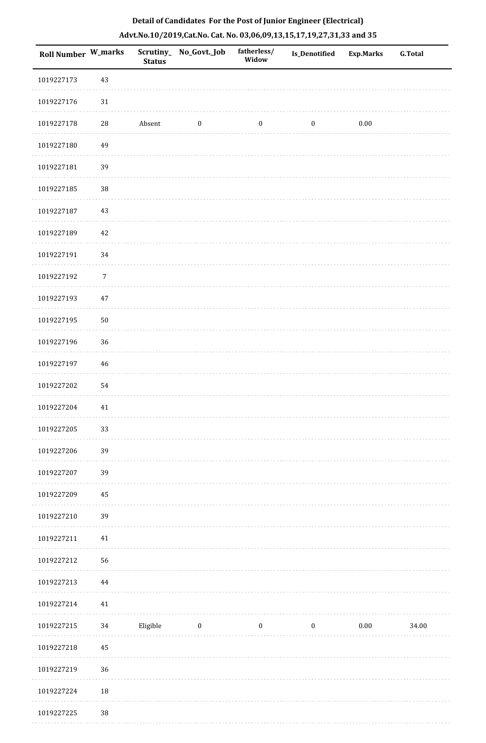| Roll Number W_marks |                | <b>Status</b> | Scrutiny_No_Govt._Job | fatherless/<br>Widow | <b>Is_Denotified</b> | Exp.Marks | <b>G.Total</b> |
|---------------------|----------------|---------------|-----------------------|----------------------|----------------------|-----------|----------------|
| 1019227173          | $43\,$         |               |                       |                      |                      |           |                |
| 1019227176          | $31\,$         |               |                       |                      |                      |           |                |
| 1019227178          | $\sqrt{28}$    | Absent        | $\boldsymbol{0}$      | $\boldsymbol{0}$     | $\boldsymbol{0}$     | $0.00\,$  |                |
| 1019227180          | 49             |               |                       |                      |                      |           |                |
| 1019227181          | 39             |               |                       |                      |                      |           |                |
| 1019227185          | 38             |               |                       |                      |                      |           |                |
| 1019227187          | $43\,$         |               |                       |                      |                      |           |                |
| 1019227189          | 42             |               |                       |                      |                      |           |                |
| 1019227191          | 34             |               |                       |                      |                      |           |                |
| 1019227192          | $\overline{7}$ |               |                       |                      |                      |           |                |
| 1019227193          | $47\,$         |               |                       |                      |                      |           |                |
| 1019227195          | $50\,$         |               |                       |                      |                      |           |                |
| 1019227196          | 36             |               |                       |                      |                      |           |                |
| 1019227197          | $\sqrt{46}$    |               |                       |                      |                      |           |                |
| 1019227202          | 54             |               |                       |                      |                      |           |                |
| 1019227204          | $41\,$         |               |                       |                      |                      |           |                |
| 1019227205          | 33             |               |                       |                      |                      |           |                |
| 1019227206          | 39             |               |                       |                      |                      |           |                |
| 1019227207          | 39             |               |                       |                      |                      |           |                |
| 1019227209          | 45             |               |                       |                      |                      |           |                |
| 1019227210          | 39             |               |                       |                      |                      |           |                |
| 1019227211          | $41\,$         |               |                       |                      |                      |           |                |
| 1019227212          | 56             |               |                       |                      |                      |           |                |
| 1019227213          | 44             |               |                       |                      |                      |           |                |
| 1019227214          | $41\,$         |               |                       |                      |                      |           |                |
| 1019227215          | 34             | Eligible      | $\bf{0}$              | $\boldsymbol{0}$     | $\boldsymbol{0}$     | 0.00      | 34.00          |
| 1019227218          | 45             |               |                       |                      |                      |           |                |
| 1019227219          | 36             |               |                       |                      |                      |           |                |
| 1019227224          | 18             |               |                       |                      |                      |           |                |
| 1019227225          | $38\,$         |               |                       |                      |                      |           |                |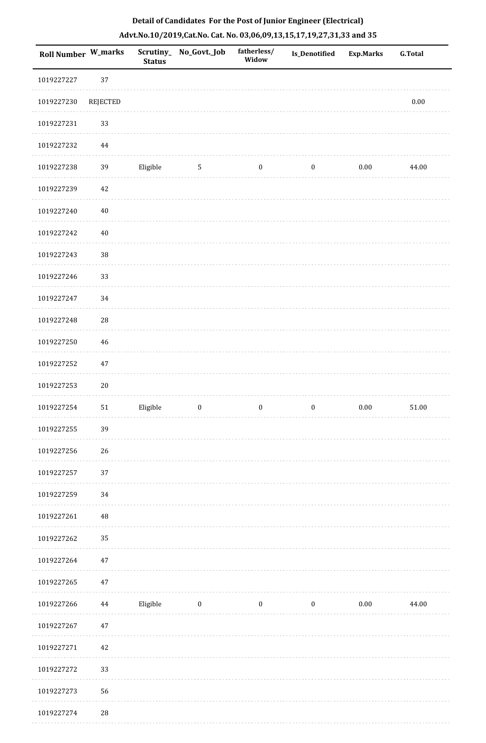| <b>Roll Number W_marks</b> |             | <b>Status</b> | Scrutiny_No_Govt._Job | fatherless/<br>Widow | Is_Denotified    | <b>Exp.Marks</b> | <b>G.Total</b> |
|----------------------------|-------------|---------------|-----------------------|----------------------|------------------|------------------|----------------|
| 1019227227                 | 37          |               |                       |                      |                  |                  |                |
| 1019227230                 | REJECTED    |               |                       |                      |                  |                  | $0.00\,$       |
| 1019227231                 | 33          |               |                       |                      |                  |                  |                |
| 1019227232                 | 44          |               |                       |                      |                  |                  |                |
| 1019227238                 | 39          | Eligible      | $5\phantom{.0}$       | $\boldsymbol{0}$     | $\boldsymbol{0}$ | $0.00\,$         | 44.00          |
| 1019227239                 | 42          |               |                       |                      |                  |                  |                |
| 1019227240                 | $40\,$      |               |                       |                      |                  |                  |                |
| 1019227242                 | 40          |               |                       |                      |                  |                  |                |
| 1019227243                 | 38          |               |                       |                      |                  |                  |                |
| 1019227246                 | 33          |               |                       |                      |                  |                  |                |
| 1019227247                 | 34          |               |                       |                      |                  |                  |                |
| 1019227248                 | 28          |               |                       |                      |                  |                  |                |
| 1019227250                 | 46          |               |                       |                      |                  |                  |                |
| 1019227252                 | 47          |               |                       |                      |                  |                  |                |
| 1019227253                 | $20\,$      |               |                       |                      |                  |                  |                |
| 1019227254                 | 51          | Eligible      | $\boldsymbol{0}$      | $\boldsymbol{0}$     | $\boldsymbol{0}$ | $0.00\,$         | 51.00          |
| 1019227255                 | 39          |               |                       |                      |                  |                  |                |
| 1019227256                 | 26          |               |                       |                      |                  |                  |                |
| 1019227257                 | 37          |               |                       |                      |                  |                  |                |
| 1019227259                 | 34          |               |                       |                      |                  |                  |                |
| 1019227261                 | 48          |               |                       |                      |                  |                  |                |
| 1019227262                 | 35          |               |                       |                      |                  |                  |                |
| 1019227264                 | 47          |               |                       |                      |                  |                  |                |
| 1019227265                 | 47          |               |                       |                      |                  |                  |                |
| 1019227266                 | 44          | Eligible      | $\boldsymbol{0}$      | $\bf{0}$             | $\boldsymbol{0}$ | $0.00\,$         | 44.00          |
| 1019227267                 | 47          |               |                       |                      |                  |                  |                |
| 1019227271                 | 42          |               |                       |                      |                  |                  |                |
| 1019227272                 | 33          |               |                       |                      |                  |                  |                |
| 1019227273                 | 56          |               |                       |                      |                  |                  |                |
| 1019227274                 | $\sqrt{28}$ |               |                       |                      |                  |                  |                |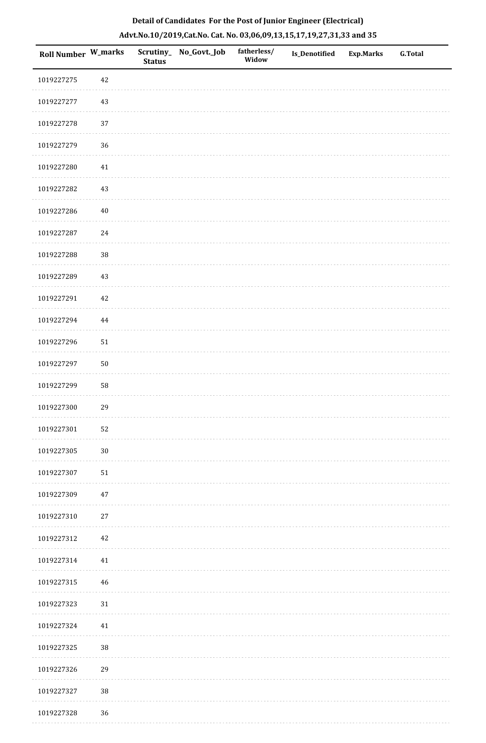| Roll Number W_marks |          | <b>Status</b> | Scrutiny_ No_Govt._Job | fatherless/<br>Widow | Is_Denotified | <b>Exp.Marks</b> | <b>G.Total</b> |
|---------------------|----------|---------------|------------------------|----------------------|---------------|------------------|----------------|
| 1019227275          | $42\,$   |               |                        |                      |               |                  |                |
| 1019227277          | 43       |               |                        |                      |               |                  |                |
| 1019227278          | 37       |               |                        |                      |               |                  |                |
| 1019227279          | 36       |               |                        |                      |               |                  |                |
| 1019227280          | $41\,$   |               |                        |                      |               |                  |                |
| 1019227282          | 43       |               |                        |                      |               |                  |                |
| 1019227286          | $40\,$   |               |                        |                      |               |                  |                |
| 1019227287          | 24       |               |                        |                      |               |                  |                |
| 1019227288          | 38       |               |                        |                      |               |                  |                |
| 1019227289          | $43\,$   |               |                        |                      |               |                  |                |
| 1019227291          | $42\,$   |               |                        |                      |               |                  |                |
| 1019227294          | $\bf 44$ |               |                        |                      |               |                  |                |
| 1019227296          | $51\,$   |               |                        |                      |               |                  |                |
| 1019227297          | $50\,$   |               |                        |                      |               |                  |                |
| 1019227299          | 58       |               |                        |                      |               |                  |                |
| 1019227300          | 29       |               |                        |                      |               |                  |                |
| 1019227301          | 52       |               |                        |                      |               |                  |                |
| 1019227305          | $30\,$   |               |                        |                      |               |                  |                |
| 1019227307          | 51       |               |                        |                      |               |                  |                |
| 1019227309          | 47       |               |                        |                      |               |                  |                |
| 1019227310          | $27\,$   |               |                        |                      |               |                  |                |
| 1019227312          | 42       |               |                        |                      |               |                  |                |
| 1019227314          | 41       |               |                        |                      |               |                  |                |
| 1019227315          | 46       |               |                        |                      |               |                  |                |
| 1019227323          | $31\,$   |               |                        |                      |               |                  |                |
| 1019227324          | 41       |               |                        |                      |               |                  |                |
| 1019227325          | $38\,$   |               |                        |                      |               |                  |                |
| 1019227326          | 29       |               |                        |                      |               |                  |                |
| 1019227327          | $38\,$   |               |                        |                      |               |                  |                |
| 1019227328          | $36\,$   |               |                        |                      |               |                  |                |

. . . . . . . . . . .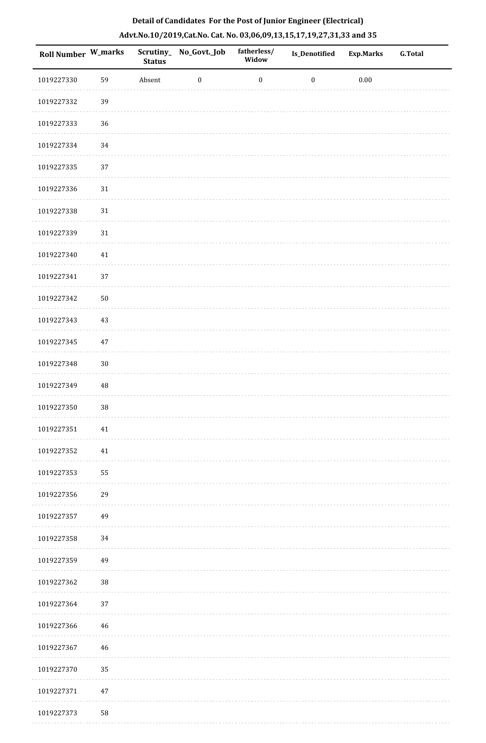| Roll Number W_marks |             | <b>Status</b> | Scrutiny_ No_Govt._Job | fatherless/<br>Widow | <b>Is_Denotified</b> | <b>Exp.Marks</b> | <b>G.Total</b> |
|---------------------|-------------|---------------|------------------------|----------------------|----------------------|------------------|----------------|
| 1019227330          | 59          | Absent        | $\boldsymbol{0}$       | $\boldsymbol{0}$     | $\boldsymbol{0}$     | $0.00\,$         |                |
| 1019227332          | 39          |               |                        |                      |                      |                  |                |
| 1019227333          | 36          |               |                        |                      |                      |                  |                |
| 1019227334          | 34          |               |                        |                      |                      |                  |                |
| 1019227335          | 37          |               |                        |                      |                      |                  |                |
| 1019227336          | $31\,$      |               |                        |                      |                      |                  |                |
| 1019227338          | $31\,$      |               |                        |                      |                      |                  |                |
| 1019227339          | $31\,$      |               |                        |                      |                      |                  |                |
| 1019227340          | 41          |               |                        |                      |                      |                  |                |
| 1019227341          | 37          |               |                        |                      |                      |                  |                |
| 1019227342          | $50\,$      |               |                        |                      |                      |                  |                |
| 1019227343          | 43          |               |                        |                      |                      |                  |                |
| 1019227345          | $47\,$      |               |                        |                      |                      |                  |                |
| 1019227348          | $30\,$      |               |                        |                      |                      |                  |                |
| 1019227349          | $\rm 48$    |               |                        |                      |                      |                  |                |
| 1019227350          | 38          |               |                        |                      |                      |                  |                |
| 1019227351          | $41\,$      |               |                        |                      |                      |                  |                |
| 1019227352          | $41\,$      |               |                        |                      |                      |                  |                |
| 1019227353          | 55          |               |                        |                      |                      |                  |                |
| 1019227356          | 29          |               |                        |                      |                      |                  |                |
| 1019227357          | 49          |               |                        |                      |                      |                  |                |
| 1019227358          | 34          |               |                        |                      |                      |                  |                |
| 1019227359          | 49          |               |                        |                      |                      |                  |                |
| 1019227362          | $38\,$      |               |                        |                      |                      |                  |                |
| 1019227364          | 37          |               |                        |                      |                      |                  |                |
| 1019227366          | 46          |               |                        |                      |                      |                  |                |
| 1019227367          | $\sqrt{46}$ |               |                        |                      |                      |                  |                |
| 1019227370          | 35          |               |                        |                      |                      |                  |                |
| 1019227371          | $47\,$      |               |                        |                      |                      |                  |                |
| 1019227373          | 58          |               |                        |                      |                      |                  |                |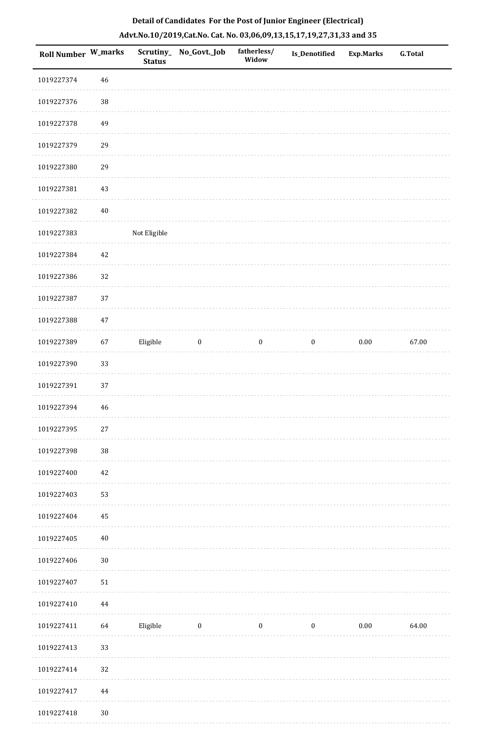| Roll Number W_marks |        | <b>Status</b> | Scrutiny_No_Govt._Job | fatherless/<br>Widow | Is_Denotified    | Exp.Marks | G.Total |
|---------------------|--------|---------------|-----------------------|----------------------|------------------|-----------|---------|
| 1019227374          | $46\,$ |               |                       |                      |                  |           |         |
| 1019227376          | 38     |               |                       |                      |                  |           |         |
| 1019227378          | 49     |               |                       |                      |                  |           |         |
| 1019227379          | 29     |               |                       |                      |                  |           |         |
| 1019227380          | 29     |               |                       |                      |                  |           |         |
| 1019227381          | 43     |               |                       |                      |                  |           |         |
| 1019227382          | $40\,$ |               |                       |                      |                  |           |         |
| 1019227383          |        | Not Eligible  |                       |                      |                  |           |         |
| 1019227384          | 42     |               |                       |                      |                  |           |         |
| 1019227386          | 32     |               |                       |                      |                  |           |         |
| 1019227387          | 37     |               |                       |                      |                  |           |         |
| 1019227388          | 47     |               |                       |                      |                  |           |         |
| 1019227389          | 67     | Eligible      | $\boldsymbol{0}$      | $\bf{0}$             | $\boldsymbol{0}$ | 0.00      | 67.00   |
| 1019227390          | 33     |               |                       |                      |                  |           |         |
| 1019227391          | 37     |               |                       |                      |                  |           |         |
| 1019227394          | $46\,$ |               |                       |                      |                  |           |         |
| 1019227395          | $27\,$ |               |                       |                      |                  |           |         |
| 1019227398          | 38     |               |                       |                      |                  |           |         |
| 1019227400          | $42\,$ |               |                       |                      |                  |           |         |
| 1019227403          | 53     |               |                       |                      |                  |           |         |
| 1019227404          | 45     |               |                       |                      |                  |           |         |
| 1019227405          | $40\,$ |               |                       |                      |                  |           |         |
| 1019227406          | $30\,$ |               |                       |                      |                  |           |         |
| 1019227407          | $51\,$ |               |                       |                      |                  |           |         |
| 1019227410          | 44     |               |                       |                      |                  |           |         |
| 1019227411          | 64     | Eligible      | $\bf{0}$              | $\boldsymbol{0}$     | $\boldsymbol{0}$ | $0.00\,$  | 64.00   |
| 1019227413          | 33     |               |                       |                      |                  |           |         |
| 1019227414          | 32     |               |                       |                      |                  |           |         |
| 1019227417          | 44     |               |                       |                      |                  |           |         |

 1019227418 30 $\sim 10^{-1}$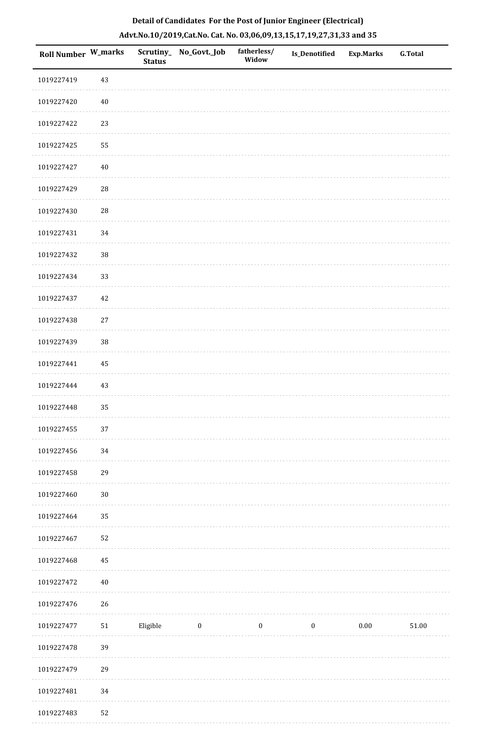| Roll Number W_marks |        | <b>Status</b> | Scrutiny_No_Govt._Job | fatherless/<br>Widow | Is_Denotified    | Exp.Marks | G.Total |
|---------------------|--------|---------------|-----------------------|----------------------|------------------|-----------|---------|
| 1019227419          | 43     |               |                       |                      |                  |           |         |
| 1019227420          | 40     |               |                       |                      |                  |           |         |
| 1019227422          | 23     |               |                       |                      |                  |           |         |
| 1019227425          | 55     |               |                       |                      |                  |           |         |
| 1019227427          | $40\,$ |               |                       |                      |                  |           |         |
| 1019227429          | 28     |               |                       |                      |                  |           |         |
| 1019227430          | $28\,$ |               |                       |                      |                  |           |         |
| 1019227431          | 34     |               |                       |                      |                  |           |         |
| 1019227432          | $38\,$ |               |                       |                      |                  |           |         |
| 1019227434          | 33     |               |                       |                      |                  |           |         |
| 1019227437          | 42     |               |                       |                      |                  |           |         |
| 1019227438          | 27     |               |                       |                      |                  |           |         |
| 1019227439          | $38\,$ |               |                       |                      |                  |           |         |
| 1019227441          | 45     |               |                       |                      |                  |           |         |
| 1019227444          | 43     |               |                       |                      |                  |           |         |
| 1019227448          | 35     |               |                       |                      |                  |           |         |
| 1019227455          | $37\,$ |               |                       |                      |                  |           |         |
| 1019227456          | 34     |               |                       |                      |                  |           |         |
| 1019227458          | 29     |               |                       |                      |                  |           |         |
| 1019227460          | $30\,$ |               |                       |                      |                  |           |         |
| 1019227464          | 35     |               |                       |                      |                  |           |         |
| 1019227467          | 52     |               |                       |                      |                  |           |         |
| 1019227468          | 45     |               |                       |                      |                  |           |         |
| 1019227472          | $40\,$ |               |                       |                      |                  |           |         |
| 1019227476          | 26     |               |                       |                      |                  |           |         |
| 1019227477          | $51\,$ | Eligible      | $\boldsymbol{0}$      | $\boldsymbol{0}$     | $\boldsymbol{0}$ | $0.00\,$  | 51.00   |
| 1019227478          | 39     |               |                       |                      |                  |           |         |
| 1019227479          | 29     |               |                       |                      |                  |           |         |
| 1019227481          | $34\,$ |               |                       |                      |                  |           |         |
| 1019227483          | 52     |               |                       |                      |                  |           |         |

 $\mathcal{L}$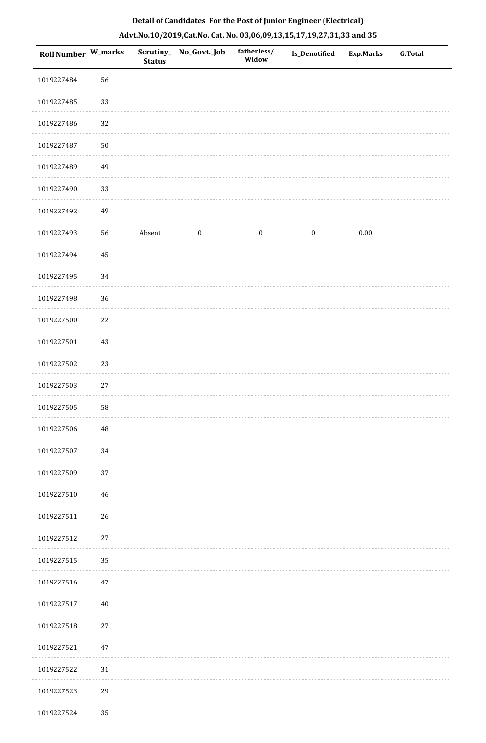|  | Detail of Candidates For the Post of Junior Engineer (Electrical)     |  |
|--|-----------------------------------------------------------------------|--|
|  | Advt.No.10/2019,Cat.No. Cat. No. 03,06,09,13,15,17,19,27,31,33 and 35 |  |

| Roll Number W_marks |          | <b>Status</b> | Scrutiny_No_Govt._Job | fatherless/<br>Widow | Is_Denotified    | <b>Exp.Marks</b> | <b>G.Total</b> |
|---------------------|----------|---------------|-----------------------|----------------------|------------------|------------------|----------------|
| 1019227484          | 56       |               |                       |                      |                  |                  |                |
| 1019227485          | 33       |               |                       |                      |                  |                  |                |
| 1019227486          | 32       |               |                       |                      |                  |                  |                |
| 1019227487          | $50\,$   |               |                       |                      |                  |                  |                |
| 1019227489          | 49       |               |                       |                      |                  |                  |                |
| 1019227490          | 33       |               |                       |                      |                  |                  |                |
| 1019227492          | 49       |               |                       |                      |                  |                  |                |
| 1019227493          | 56       | Absent        | $\boldsymbol{0}$      | $\boldsymbol{0}$     | $\boldsymbol{0}$ | $0.00\,$         |                |
| 1019227494          | 45       |               |                       |                      |                  |                  |                |
| 1019227495          | 34       |               |                       |                      |                  |                  |                |
| 1019227498          | 36       |               |                       |                      |                  |                  |                |
| 1019227500          | $22\,$   |               |                       |                      |                  |                  |                |
| 1019227501          | 43       |               |                       |                      |                  |                  |                |
| 1019227502          | 23       |               |                       |                      |                  |                  |                |
| 1019227503          | $27\,$   |               |                       |                      |                  |                  |                |
| 1019227505          | 58       |               |                       |                      |                  |                  |                |
| 1019227506          | $\rm 48$ |               |                       |                      |                  |                  |                |
| 1019227507          | 34       |               |                       |                      |                  |                  |                |
| 1019227509          | 37       |               |                       |                      |                  |                  |                |
| 1019227510          | 46       |               |                       |                      |                  |                  |                |
| 1019227511          | $26\,$   |               |                       |                      |                  |                  |                |
| 1019227512          | $27\,$   |               |                       |                      |                  |                  |                |
| 1019227515          | 35       |               |                       |                      |                  |                  |                |
| 1019227516          | 47       |               |                       |                      |                  |                  |                |
| 1019227517          | $40\,$   |               |                       |                      |                  |                  |                |
| 1019227518          | $27\,$   |               |                       |                      |                  |                  |                |
| 1019227521          | $47\,$   |               |                       |                      |                  |                  |                |
| 1019227522          | 31       |               |                       |                      |                  |                  |                |
| 1019227523          | 29       |               |                       |                      |                  |                  |                |
| 1019227524          | 35       |               |                       |                      |                  |                  |                |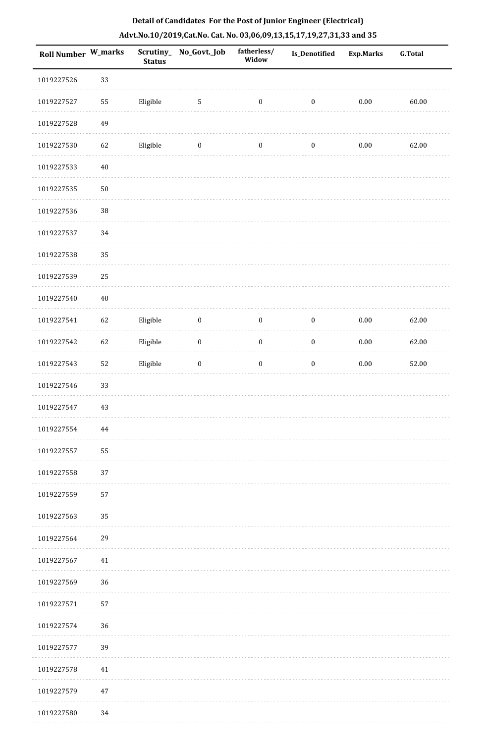| <b>Roll Number W_marks</b> |        | <b>Status</b> | Scrutiny_No_Govt._Job | fatherless/<br>Widow | <b>Is_Denotified</b> | <b>Exp.Marks</b> | <b>G.Total</b> |
|----------------------------|--------|---------------|-----------------------|----------------------|----------------------|------------------|----------------|
| 1019227526                 | 33     |               |                       |                      |                      |                  |                |
| 1019227527                 | 55     | Eligible      | $\mathbf{5}$          | $\boldsymbol{0}$     | $\boldsymbol{0}$     | $0.00\,$         | 60.00          |
| 1019227528                 | 49     |               |                       |                      |                      |                  |                |
| 1019227530                 | 62     | Eligible      | $\boldsymbol{0}$      | $\boldsymbol{0}$     | $\boldsymbol{0}$     | $0.00\,$         | 62.00          |
| 1019227533                 | $40\,$ |               |                       |                      |                      |                  |                |
| 1019227535                 | $50\,$ |               |                       |                      |                      |                  |                |
| 1019227536                 | $38\,$ |               |                       |                      |                      |                  |                |
| 1019227537                 | 34     |               |                       |                      |                      |                  |                |
| 1019227538                 | 35     |               |                       |                      |                      |                  |                |
| 1019227539                 | 25     |               |                       |                      |                      |                  |                |
| 1019227540                 | $40\,$ |               |                       |                      |                      |                  |                |
| 1019227541                 | 62     | Eligible      | $\boldsymbol{0}$      | $\boldsymbol{0}$     | $\boldsymbol{0}$     | $0.00\,$         | 62.00          |
| 1019227542                 | 62     | Eligible      | $\boldsymbol{0}$      | $\boldsymbol{0}$     | $\boldsymbol{0}$     | $0.00\,$         | 62.00          |
| 1019227543                 | 52     | Eligible      | $\boldsymbol{0}$      | $\boldsymbol{0}$     | $\boldsymbol{0}$     | $0.00\,$         | 52.00          |
| 1019227546                 | 33     |               |                       |                      |                      |                  |                |
| 1019227547                 | 43     |               |                       |                      |                      |                  |                |
| 1019227554                 | 44     |               |                       |                      |                      |                  |                |
| 1019227557                 | 55     |               |                       |                      |                      |                  |                |
| 1019227558                 | 37     |               |                       |                      |                      |                  |                |
| 1019227559                 | 57     |               |                       |                      |                      |                  |                |
| 1019227563                 | 35     |               |                       |                      |                      |                  |                |
| 1019227564                 | 29     |               |                       |                      |                      |                  |                |
| 1019227567                 | 41     |               |                       |                      |                      |                  |                |
| 1019227569                 | 36     |               |                       |                      |                      |                  |                |
| 1019227571                 | 57     |               |                       |                      |                      |                  |                |
| 1019227574                 | 36     |               |                       |                      |                      |                  |                |
| 1019227577                 | 39     |               |                       |                      |                      |                  |                |
| 1019227578                 | $41\,$ |               |                       |                      |                      |                  |                |
| 1019227579                 | 47     |               |                       |                      |                      |                  |                |
| 1019227580                 | 34     |               |                       |                      |                      |                  |                |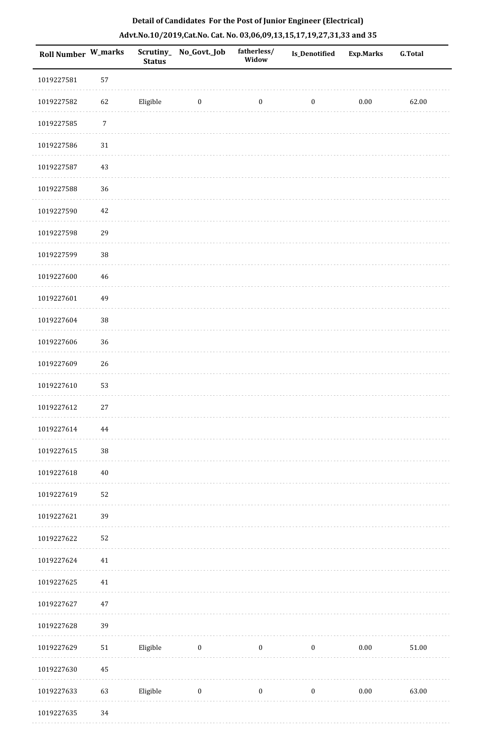| Roll Number W_marks |                  | <b>Status</b> | Scrutiny_No_Govt._Job | fatherless/<br>Widow | Is_Denotified    | Exp.Marks | G.Total |
|---------------------|------------------|---------------|-----------------------|----------------------|------------------|-----------|---------|
| 1019227581          | 57               |               |                       |                      |                  |           |         |
| 1019227582          | 62               | Eligible      | $\bf{0}$              | $\boldsymbol{0}$     | $\boldsymbol{0}$ | $0.00\,$  | 62.00   |
| 1019227585          | $\boldsymbol{7}$ |               |                       |                      |                  |           |         |
| 1019227586          | 31               |               |                       |                      |                  |           |         |
| 1019227587          | 43               |               |                       |                      |                  |           |         |
| 1019227588          | 36               |               |                       |                      |                  |           |         |
| 1019227590          | $42\,$           |               |                       |                      |                  |           |         |
| 1019227598          | 29               |               |                       |                      |                  |           |         |
| 1019227599          | $38\,$           |               |                       |                      |                  |           |         |
| 1019227600          | 46               |               |                       |                      |                  |           |         |
| 1019227601          | 49               |               |                       |                      |                  |           |         |
| 1019227604          | $38\,$           |               |                       |                      |                  |           |         |
| 1019227606          | 36               |               |                       |                      |                  |           |         |
| 1019227609          | 26               |               |                       |                      |                  |           |         |
| 1019227610          | 53               |               |                       |                      |                  |           |         |
| 1019227612          | 27               |               |                       |                      |                  |           |         |
| 1019227614          | $\bf 44$         |               |                       |                      |                  |           |         |
| 1019227615          | $38\,$           |               |                       |                      |                  |           |         |
| 1019227618          | $40\,$           |               |                       |                      |                  |           |         |
| 1019227619          | 52               |               |                       |                      |                  |           |         |
| 1019227621          | 39               |               |                       |                      |                  |           |         |
| 1019227622          | 52               |               |                       |                      |                  |           |         |
| 1019227624          | 41               |               |                       |                      |                  |           |         |
| 1019227625          | 41               |               |                       |                      |                  |           |         |
| 1019227627          | 47               |               |                       |                      |                  |           |         |
| 1019227628          | 39               |               |                       |                      |                  |           |         |
| 1019227629          | $51\,$           | Eligible      | $\bf{0}$              | $\boldsymbol{0}$     | $\bf{0}$         | 0.00      | 51.00   |
| 1019227630          | $45\,$           |               |                       |                      |                  |           |         |
| 1019227633          | 63               | Eligible      | $\boldsymbol{0}$      | $\boldsymbol{0}$     | $\boldsymbol{0}$ | $0.00\,$  | 63.00   |
|                     |                  |               |                       |                      |                  |           |         |

# **Detail of Candidates For the Post of Junior Engineer (Electrical) Advt.No.10/2019,Cat.No. Cat. No. 03,06,09,13,15,17,19,27,31,33 and 35**

1019227635 34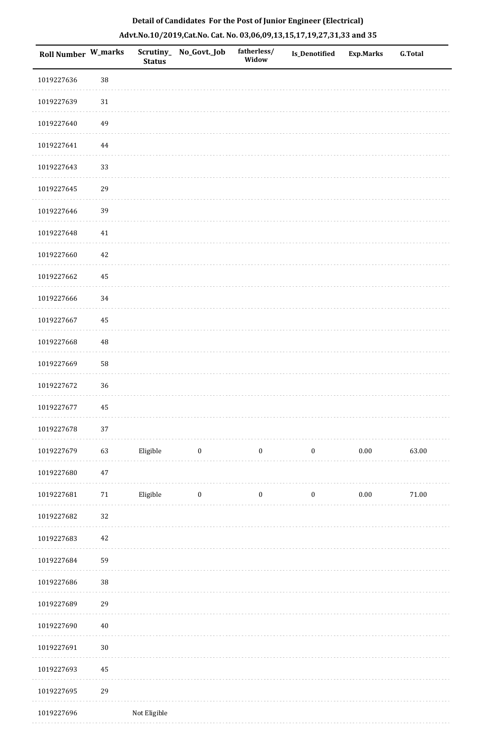| Roll Number W_marks |          | <b>Status</b> | Scrutiny_No_Govt._Job | fatherless/<br>Widow | <b>Is_Denotified</b> | <b>Exp.Marks</b> | <b>G.Total</b> |
|---------------------|----------|---------------|-----------------------|----------------------|----------------------|------------------|----------------|
| 1019227636          | 38       |               |                       |                      |                      |                  |                |
| 1019227639          | $31\,$   |               |                       |                      |                      |                  |                |
| 1019227640          | 49       |               |                       |                      |                      |                  |                |
| 1019227641          | $\bf 44$ |               |                       |                      |                      |                  |                |
| 1019227643          | 33       |               |                       |                      |                      |                  |                |
| 1019227645          | 29       |               |                       |                      |                      |                  |                |
| 1019227646          | 39       |               |                       |                      |                      |                  |                |
| 1019227648          | 41       |               |                       |                      |                      |                  |                |
| 1019227660          | $42\,$   |               |                       |                      |                      |                  |                |
| 1019227662          | 45       |               |                       |                      |                      |                  |                |
| 1019227666          | 34       |               |                       |                      |                      |                  |                |
| 1019227667          | 45       |               |                       |                      |                      |                  |                |
| 1019227668          | $\rm 48$ |               |                       |                      |                      |                  |                |
| 1019227669          | 58       |               |                       |                      |                      |                  |                |
| 1019227672          | 36       |               |                       |                      |                      |                  |                |
| 1019227677          | 45       |               |                       |                      |                      |                  |                |
| 1019227678          | $37\,$   |               |                       |                      |                      |                  |                |
| 1019227679          | 63       | Eligible      | $\bf{0}$              | $\boldsymbol{0}$     | $\boldsymbol{0}$     | $0.00\,$         | 63.00          |
| 1019227680          | $47\,$   |               |                       |                      |                      |                  |                |
| 1019227681          | $71\,$   | Eligible      | $\boldsymbol{0}$      | $\boldsymbol{0}$     | $\boldsymbol{0}$     | $0.00\,$         | $71.00\,$      |
| 1019227682          | 32       |               |                       |                      |                      |                  |                |
| 1019227683          | 42       |               |                       |                      |                      |                  |                |
| 1019227684          | 59       |               |                       |                      |                      |                  |                |
| 1019227686          | 38       |               |                       |                      |                      |                  |                |
| 1019227689          | 29       |               |                       |                      |                      |                  |                |
| 1019227690          | $40\,$   |               |                       |                      |                      |                  |                |
| 1019227691          | $30\,$   |               |                       |                      |                      |                  |                |
| 1019227693          | 45       |               |                       |                      |                      |                  |                |
| 1019227695          | 29       |               |                       |                      |                      |                  |                |
| 1019227696          |          | Not Eligible  |                       |                      |                      |                  |                |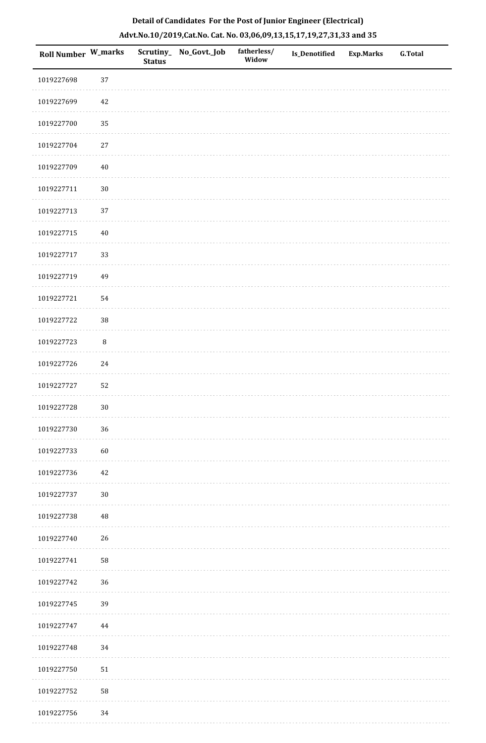| Roll Number W_marks |            | <b>Status</b> | Scrutiny_No_Govt._Job | fatherless/<br>Widow | Is_Denotified | Exp.Marks | G.Total |
|---------------------|------------|---------------|-----------------------|----------------------|---------------|-----------|---------|
| 1019227698          | 37         |               |                       |                      |               |           |         |
| 1019227699          | 42         |               |                       |                      |               |           |         |
| 1019227700          | 35         |               |                       |                      |               |           |         |
| 1019227704          | 27         |               |                       |                      |               |           |         |
| 1019227709          | $40\,$     |               |                       |                      |               |           |         |
| 1019227711          | $30\,$     |               |                       |                      |               |           |         |
| 1019227713          | 37         |               |                       |                      |               |           |         |
| 1019227715          | $40\,$     |               |                       |                      |               |           |         |
| 1019227717          | 33         |               |                       |                      |               |           |         |
| 1019227719          | 49         |               |                       |                      |               |           |         |
| 1019227721          | 54         |               |                       |                      |               |           |         |
| 1019227722          | $38\,$     |               |                       |                      |               |           |         |
| 1019227723          | $\, 8$     |               |                       |                      |               |           |         |
| 1019227726          | 24         |               |                       |                      |               |           |         |
| 1019227727          | 52         |               |                       |                      |               |           |         |
| 1019227728          | $30\,$     |               |                       |                      |               |           |         |
| 1019227730          | 36         |               |                       |                      |               |           |         |
| 1019227733          | 60         |               |                       |                      |               |           |         |
| 1019227736          | 42         |               |                       |                      |               |           |         |
| 1019227737          | $30\,$     |               |                       |                      |               |           |         |
| 1019227738          | $\rm 48$   |               |                       |                      |               |           |         |
| 1019227740          | 26         |               |                       |                      |               |           |         |
| 1019227741          | ${\bf 58}$ |               |                       |                      |               |           |         |
| 1019227742          | 36         |               |                       |                      |               |           |         |
| 1019227745          | 39         |               |                       |                      |               |           |         |
| 1019227747          | 44         |               |                       |                      |               |           |         |
| 1019227748          | 34         |               |                       |                      |               |           |         |
| 1019227750          | ${\bf 51}$ |               |                       |                      |               |           |         |
| 1019227752          | 58         |               |                       |                      |               |           |         |
| 1019227756          | 34         |               |                       |                      |               |           |         |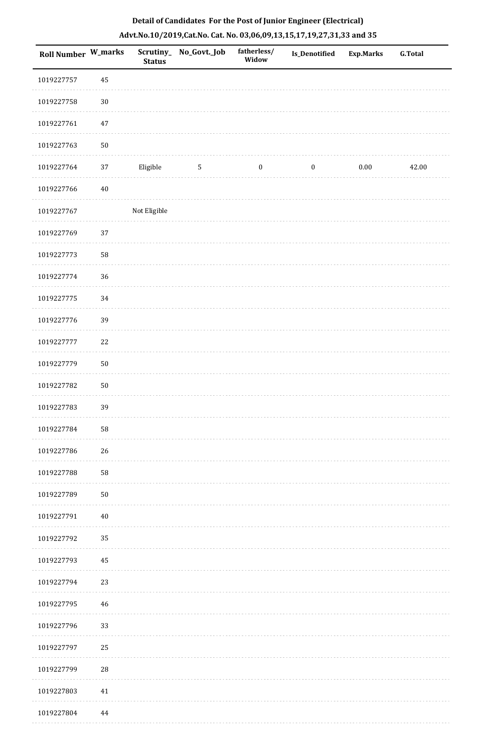| Roll Number W_marks |            | <b>Status</b> | Scrutiny_ No_Govt._Job | fatherless/<br>Widow | Is_Denotified    | Exp.Marks | G.Total |
|---------------------|------------|---------------|------------------------|----------------------|------------------|-----------|---------|
| 1019227757          | 45         |               |                        |                      |                  |           |         |
| 1019227758          | $30\,$     |               |                        |                      |                  |           |         |
| 1019227761          | 47         |               |                        |                      |                  |           |         |
| 1019227763          | $50\,$     |               |                        |                      |                  |           |         |
| 1019227764          | $37\,$     | Eligible      | $\overline{5}$         | $\boldsymbol{0}$     | $\boldsymbol{0}$ | $0.00\,$  | 42.00   |
| 1019227766          | $40\,$     |               |                        |                      |                  |           |         |
| 1019227767          |            | Not Eligible  |                        |                      |                  |           |         |
| 1019227769          | 37         |               |                        |                      |                  |           |         |
| 1019227773          | 58         |               |                        |                      |                  |           |         |
| 1019227774          | 36         |               |                        |                      |                  |           |         |
| 1019227775          | 34         |               |                        |                      |                  |           |         |
| 1019227776          | 39         |               |                        |                      |                  |           |         |
| 1019227777          | 22         |               |                        |                      |                  |           |         |
| 1019227779          | $50\,$     |               |                        |                      |                  |           |         |
| 1019227782          | $50\,$     |               |                        |                      |                  |           |         |
| 1019227783          | 39         |               |                        |                      |                  |           |         |
| 1019227784          | ${\bf 58}$ |               |                        |                      |                  |           |         |
| 1019227786          | 26         |               |                        |                      |                  |           |         |
| 1019227788          | 58         |               |                        |                      |                  |           |         |
| 1019227789          | $50\,$     |               |                        |                      |                  |           |         |
| 1019227791          | $40\,$     |               |                        |                      |                  |           |         |
| 1019227792          | 35         |               |                        |                      |                  |           |         |
| 1019227793          | 45         |               |                        |                      |                  |           |         |
| 1019227794          | 23         |               |                        |                      |                  |           |         |
| 1019227795          | 46         |               |                        |                      |                  |           |         |
| 1019227796          | 33         |               |                        |                      |                  |           |         |
| 1019227797          | 25         |               |                        |                      |                  |           |         |
| 1019227799          | $28\,$     |               |                        |                      |                  |           |         |
| 1019227803          | 41         |               |                        |                      |                  |           |         |
| 1019227804          | 44         |               |                        |                      |                  |           |         |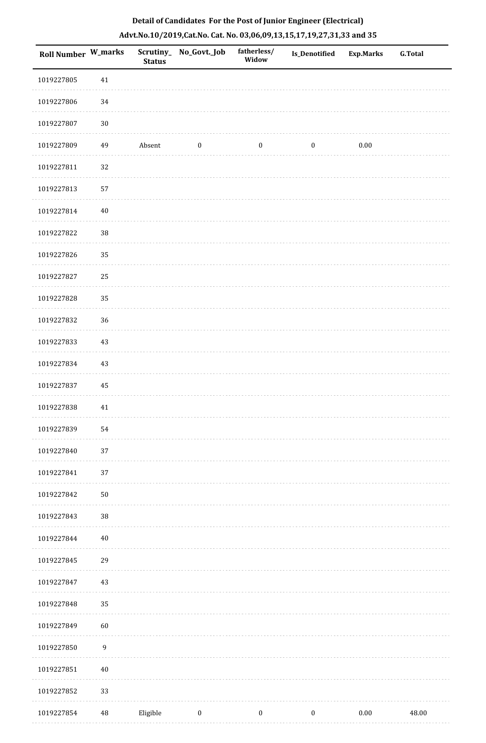| Roll Number W_marks |                  | <b>Status</b> | Scrutiny_ No_Govt._Job | fatherless/<br>Widow | <b>Is_Denotified</b> | <b>Exp.Marks</b> | <b>G.Total</b> |
|---------------------|------------------|---------------|------------------------|----------------------|----------------------|------------------|----------------|
| 1019227805          | $41\,$           |               |                        |                      |                      |                  |                |
| 1019227806          | 34               |               |                        |                      |                      |                  |                |
| 1019227807          | $30\,$           |               |                        |                      |                      |                  |                |
| 1019227809          | 49               | Absent        | $\boldsymbol{0}$       | $\boldsymbol{0}$     | $\boldsymbol{0}$     | $0.00\,$         |                |
| 1019227811          | $32\,$           |               |                        |                      |                      |                  |                |
| 1019227813          | 57               |               |                        |                      |                      |                  |                |
| 1019227814          | $40\,$           |               |                        |                      |                      |                  |                |
| 1019227822          | $38\,$           |               |                        |                      |                      |                  |                |
| 1019227826          | 35               |               |                        |                      |                      |                  |                |
| 1019227827          | 25               |               |                        |                      |                      |                  |                |
| 1019227828          | 35               |               |                        |                      |                      |                  |                |
| 1019227832          | 36               |               |                        |                      |                      |                  |                |
| 1019227833          | 43               |               |                        |                      |                      |                  |                |
| 1019227834          | 43               |               |                        |                      |                      |                  |                |
| 1019227837          | 45               |               |                        |                      |                      |                  |                |
| 1019227838          | $41\,$           |               |                        |                      |                      |                  |                |
| 1019227839          | 54               |               |                        |                      |                      |                  |                |
| 1019227840          | 37               |               |                        |                      |                      |                  |                |
| 1019227841          | 37               |               |                        |                      |                      |                  |                |
| 1019227842          | ${\bf 50}$       |               |                        |                      |                      |                  |                |
| 1019227843          | $38\,$           |               |                        |                      |                      |                  |                |
| 1019227844          | 40               |               |                        |                      |                      |                  |                |
| 1019227845          | 29               |               |                        |                      |                      |                  |                |
| 1019227847          | 43               |               |                        |                      |                      |                  |                |
| 1019227848          | 35               |               |                        |                      |                      |                  |                |
| 1019227849          | 60               |               |                        |                      |                      |                  |                |
| 1019227850          | $\boldsymbol{9}$ |               |                        |                      |                      |                  |                |
| 1019227851          | 40               |               |                        |                      |                      |                  |                |
| 1019227852          | 33               |               |                        |                      |                      |                  |                |
| 1019227854          | 48               | Eligible      | $\bf{0}$               | $\bf{0}$             | $\boldsymbol{0}$     | $0.00\,$         | 48.00          |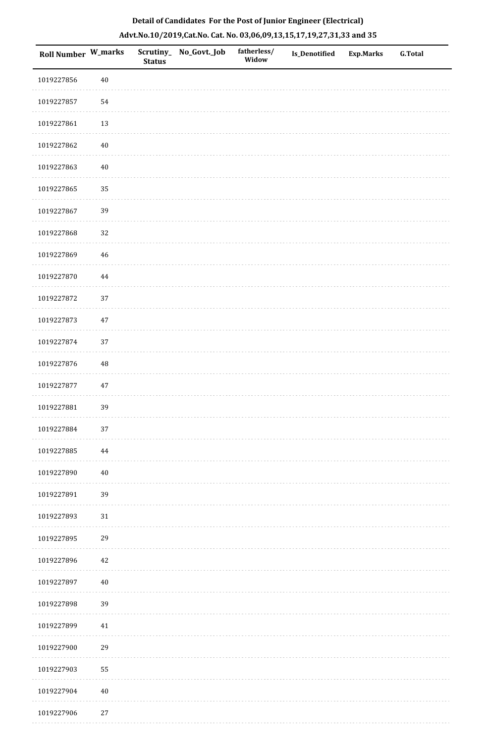| <b>Roll Number W_marks</b> |          | <b>Status</b> | Scrutiny_ No_Govt._Job | fatherless/<br>Widow | Is_Denotified | <b>Exp.Marks</b> | <b>G.Total</b> |
|----------------------------|----------|---------------|------------------------|----------------------|---------------|------------------|----------------|
| 1019227856                 | $40\,$   |               |                        |                      |               |                  |                |
| 1019227857                 | 54       |               |                        |                      |               |                  |                |
| 1019227861                 | 13       |               |                        |                      |               |                  |                |
| 1019227862                 | $40\,$   |               |                        |                      |               |                  |                |
| 1019227863                 | 40       |               |                        |                      |               |                  |                |
| 1019227865                 | 35       |               |                        |                      |               |                  |                |
| 1019227867                 | 39       |               |                        |                      |               |                  |                |
| 1019227868                 | 32       |               |                        |                      |               |                  |                |
| 1019227869                 | 46       |               |                        |                      |               |                  |                |
| 1019227870                 | $\bf 44$ |               |                        |                      |               |                  |                |
| 1019227872                 | 37       |               |                        |                      |               |                  |                |
| 1019227873                 | $47\,$   |               |                        |                      |               |                  |                |
| 1019227874                 | 37       |               |                        |                      |               |                  |                |
| 1019227876                 | 48       |               |                        |                      |               |                  |                |
| 1019227877                 | $47\,$   |               |                        |                      |               |                  |                |
| 1019227881                 | 39       |               |                        |                      |               |                  |                |
| 1019227884                 | $37\,$   |               |                        |                      |               |                  |                |
| 1019227885                 | $\bf 44$ |               |                        |                      |               |                  |                |
| 1019227890                 | $40\,$   |               |                        |                      |               |                  |                |
| 1019227891                 | 39       |               |                        |                      |               |                  |                |
| 1019227893                 | $31\,$   |               |                        |                      |               |                  |                |
| 1019227895                 | 29       |               |                        |                      |               |                  |                |
| 1019227896                 | 42       |               |                        |                      |               |                  |                |
| 1019227897                 | $40\,$   |               |                        |                      |               |                  |                |
| 1019227898                 | 39       |               |                        |                      |               |                  |                |
| 1019227899                 | 41       |               |                        |                      |               |                  |                |
| 1019227900                 | 29       |               |                        |                      |               |                  |                |
| 1019227903                 | 55       |               |                        |                      |               |                  |                |
| 1019227904                 | $40\,$   |               |                        |                      |               |                  |                |
|                            |          |               |                        |                      |               |                  |                |

1019227906 27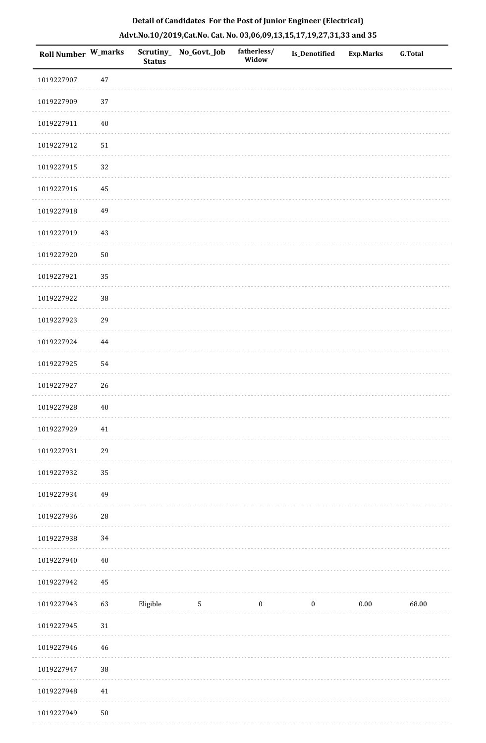| Roll Number W_marks |          | <b>Status</b> | Scrutiny_ No_Govt._Job | fatherless/<br>Widow | <b>Is_Denotified</b> | <b>Exp.Marks</b> | <b>G.Total</b> |
|---------------------|----------|---------------|------------------------|----------------------|----------------------|------------------|----------------|
| 1019227907          | $47\,$   |               |                        |                      |                      |                  |                |
| 1019227909          | 37       |               |                        |                      |                      |                  |                |
| 1019227911          | $40\,$   |               |                        |                      |                      |                  |                |
| 1019227912          | 51       |               |                        |                      |                      |                  |                |
| 1019227915          | 32       |               |                        |                      |                      |                  |                |
| 1019227916          | 45       |               |                        |                      |                      |                  |                |
| 1019227918          | 49       |               |                        |                      |                      |                  |                |
| 1019227919          | 43       |               |                        |                      |                      |                  |                |
| 1019227920          | $50\,$   |               |                        |                      |                      |                  |                |
| 1019227921          | 35       |               |                        |                      |                      |                  |                |
| 1019227922          | 38       |               |                        |                      |                      |                  |                |
| 1019227923          | 29       |               |                        |                      |                      |                  |                |
| 1019227924          | $\bf 44$ |               |                        |                      |                      |                  |                |
| 1019227925          | 54       |               |                        |                      |                      |                  |                |
| 1019227927          | 26       |               |                        |                      |                      |                  |                |
| 1019227928          | $40\,$   |               |                        |                      |                      |                  |                |
| 1019227929          | 41       |               |                        |                      |                      |                  |                |
| 1019227931          | 29       |               |                        |                      |                      |                  |                |
| 1019227932          | 35       |               |                        |                      |                      |                  |                |
| 1019227934          | 49       |               |                        |                      |                      |                  |                |
| 1019227936          | 28       |               |                        |                      |                      |                  |                |
| 1019227938          | 34       |               |                        |                      |                      |                  |                |
| 1019227940          | $40\,$   |               |                        |                      |                      |                  |                |
| 1019227942          | 45       |               |                        |                      |                      |                  |                |
| 1019227943          | 63       | Eligible      | $\mathbf 5$            | $\boldsymbol{0}$     | $\boldsymbol{0}$     | $0.00\,$         | 68.00          |
| 1019227945          | 31       |               |                        |                      |                      |                  |                |
| 1019227946          | 46       |               |                        |                      |                      |                  |                |
| 1019227947          | 38       |               |                        |                      |                      |                  |                |
| 1019227948          | 41       |               |                        |                      |                      |                  |                |
| 1019227949          | $50\,$   |               |                        |                      |                      |                  |                |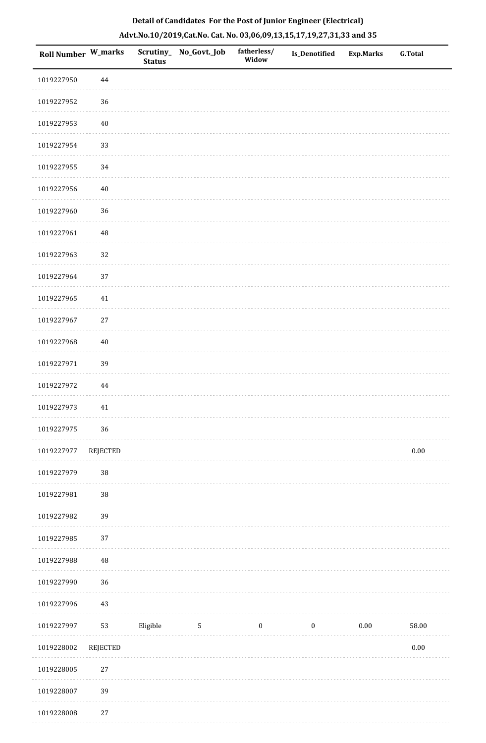| Roll Number W_marks |                 | <b>Status</b> | Scrutiny_ No_Govt._Job | fatherless/<br>Widow | Is_Denotified    | Exp.Marks | G.Total  |
|---------------------|-----------------|---------------|------------------------|----------------------|------------------|-----------|----------|
| 1019227950          | $\bf 44$        |               |                        |                      |                  |           |          |
| 1019227952          | 36              |               |                        |                      |                  |           |          |
| 1019227953          | $40\,$          |               |                        |                      |                  |           |          |
| 1019227954          | 33              |               |                        |                      |                  |           |          |
| 1019227955          | 34              |               |                        |                      |                  |           |          |
| 1019227956          | 40              |               |                        |                      |                  |           |          |
| 1019227960          | 36              |               |                        |                      |                  |           |          |
| 1019227961          | 48              |               |                        |                      |                  |           |          |
| 1019227963          | 32              |               |                        |                      |                  |           |          |
| 1019227964          | 37              |               |                        |                      |                  |           |          |
| 1019227965          | 41              |               |                        |                      |                  |           |          |
| 1019227967          | $27\,$          |               |                        |                      |                  |           |          |
| 1019227968          | 40              |               |                        |                      |                  |           |          |
| 1019227971          | 39              |               |                        |                      |                  |           |          |
| 1019227972          | 44              |               |                        |                      |                  |           |          |
| 1019227973          | 41              |               |                        |                      |                  |           |          |
| 1019227975          | 36              |               |                        |                      |                  |           |          |
| 1019227977          | <b>REJECTED</b> |               |                        |                      |                  |           | $0.00\,$ |
| 1019227979          | $38\,$          |               |                        |                      |                  |           |          |
| 1019227981          | $38\,$          |               |                        |                      |                  |           |          |
| 1019227982          | 39              |               |                        |                      |                  |           |          |
| 1019227985          | 37              |               |                        |                      |                  |           |          |
| 1019227988          | $\rm 48$        |               |                        |                      |                  |           |          |
| 1019227990          | 36              |               |                        |                      |                  |           |          |
| 1019227996          | 43              |               |                        |                      |                  |           |          |
| 1019227997          | 53              | Eligible      | 5                      | $\boldsymbol{0}$     | $\boldsymbol{0}$ | $0.00\,$  | 58.00    |
| 1019228002          | <b>REJECTED</b> |               |                        |                      |                  |           | $0.00\,$ |
| 1019228005          | $27\,$          |               |                        |                      |                  |           |          |
| 1019228007          | 39              |               |                        |                      |                  |           |          |
| 1019228008          | $27\,$          |               |                        |                      |                  |           |          |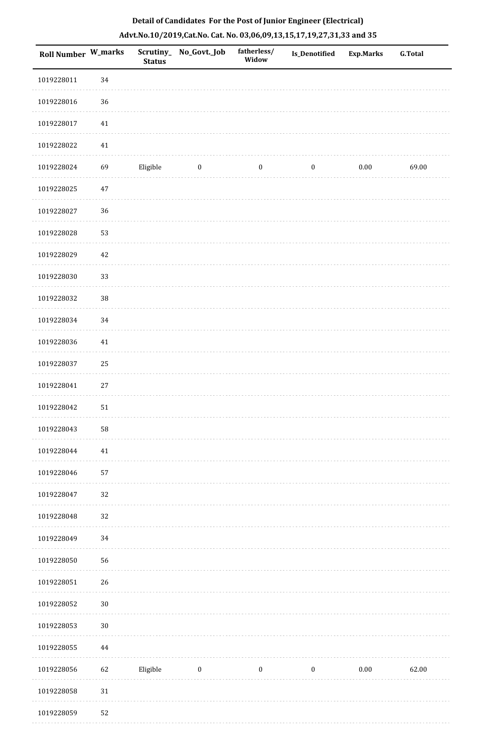| <b>Roll Number W_marks</b> |            | Scrutiny_<br><b>Status</b> | No_Govt._Job | fatherless/<br>Widow | <b>Is_Denotified</b> | Exp.Marks | <b>G.Total</b> |
|----------------------------|------------|----------------------------|--------------|----------------------|----------------------|-----------|----------------|
| 1019228011                 | 34         |                            |              |                      |                      |           |                |
| 1019228016                 | 36         |                            |              |                      |                      |           |                |
| 1019228017                 | $41\,$     |                            |              |                      |                      |           |                |
| 1019228022                 | $41\,$     |                            |              |                      |                      |           |                |
| 1019228024                 | 69         | Eligible                   | $\bf{0}$     | $\boldsymbol{0}$     | $\boldsymbol{0}$     | 0.00      | 69.00          |
| 1019228025                 | $47\,$     |                            |              |                      |                      |           |                |
| 1019228027                 | 36         |                            |              |                      |                      |           |                |
| 1019228028                 | 53         |                            |              |                      |                      |           |                |
| 1019228029                 | $42\,$     |                            |              |                      |                      |           |                |
| 1019228030                 | 33         |                            |              |                      |                      |           |                |
| 1019228032                 | $38\,$     |                            |              |                      |                      |           |                |
| 1019228034                 | 34         |                            |              |                      |                      |           |                |
| 1019228036                 | $41\,$     |                            |              |                      |                      |           |                |
| 1019228037                 | $25\,$     |                            |              |                      |                      |           |                |
| 1019228041                 | $27\,$     |                            |              |                      |                      |           |                |
| 1019228042                 | $51\,$     |                            |              |                      |                      |           |                |
| 1019228043                 | ${\bf 58}$ |                            |              |                      |                      |           |                |
| 1019228044                 | 41         |                            |              |                      |                      |           |                |
| 1019228046                 | 57         |                            |              |                      |                      |           |                |
| 1019228047                 | 32         |                            |              |                      |                      |           |                |
| 1019228048                 | 32         |                            |              |                      |                      |           |                |
| 1019228049                 | 34         |                            |              |                      |                      |           |                |
| 1019228050                 | 56         |                            |              |                      |                      |           |                |
| 1019228051                 | 26         |                            |              |                      |                      |           |                |
| 1019228052                 | $30\,$     |                            |              |                      |                      |           |                |
| 1019228053                 | $30\,$     |                            |              |                      |                      |           |                |
| 1019228055                 | 44         |                            |              |                      |                      |           |                |
| 1019228056                 | 62         | Eligible                   | $\bf{0}$     | $\boldsymbol{0}$     | $\boldsymbol{0}$     | $0.00\,$  | 62.00          |
| 1019228058                 | $31\,$     |                            |              |                      |                      |           |                |
| 1019228059                 | 52         |                            |              |                      |                      |           |                |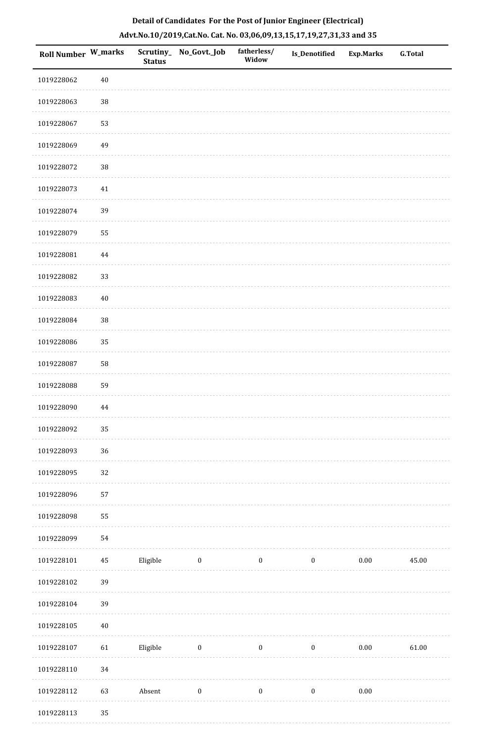|  | Detail of Candidates For the Post of Junior Engineer (Electrical)     |  |
|--|-----------------------------------------------------------------------|--|
|  | Advt.No.10/2019,Cat.No. Cat. No. 03,06,09,13,15,17,19,27,31,33 and 35 |  |

| Roll Number W_marks |          | <b>Status</b> | Scrutiny_ No_Govt._Job | fatherless/<br>Widow | Is_Denotified    | <b>Exp.Marks</b> | <b>G.Total</b> |
|---------------------|----------|---------------|------------------------|----------------------|------------------|------------------|----------------|
| 1019228062          | $40\,$   |               |                        |                      |                  |                  |                |
| 1019228063          | $38\,$   |               |                        |                      |                  |                  |                |
| 1019228067          | 53       |               |                        |                      |                  |                  |                |
| 1019228069          | 49       |               |                        |                      |                  |                  |                |
| 1019228072          | 38       |               |                        |                      |                  |                  |                |
| 1019228073          | $41\,$   |               |                        |                      |                  |                  |                |
| 1019228074          | 39       |               |                        |                      |                  |                  |                |
| 1019228079          | 55       |               |                        |                      |                  |                  |                |
| 1019228081          | 44       |               |                        |                      |                  |                  |                |
| 1019228082          | 33       |               |                        |                      |                  |                  |                |
| 1019228083          | $40\,$   |               |                        |                      |                  |                  |                |
| 1019228084          | 38       |               |                        |                      |                  |                  |                |
| 1019228086          | 35       |               |                        |                      |                  |                  |                |
| 1019228087          | 58       |               |                        |                      |                  |                  |                |
| 1019228088          | 59       |               |                        |                      |                  |                  |                |
| 1019228090          | 44       |               |                        |                      |                  |                  |                |
| 1019228092          | 35       |               |                        |                      |                  |                  |                |
| 1019228093          | 36       |               |                        |                      |                  |                  |                |
| 1019228095          | $32\,$   |               |                        |                      |                  |                  |                |
| 1019228096          | 57       |               |                        |                      |                  |                  |                |
| 1019228098          | 55       |               |                        |                      |                  |                  |                |
| 1019228099          | 54       |               |                        |                      |                  |                  |                |
| 1019228101          | $\rm 45$ | Eligible      | $\boldsymbol{0}$       | $\boldsymbol{0}$     | $\boldsymbol{0}$ | $0.00\,$         | 45.00          |
| 1019228102          | 39       |               |                        |                      |                  |                  |                |
| 1019228104          | 39       |               |                        |                      |                  |                  |                |
| 1019228105          | $40\,$   |               |                        |                      |                  |                  |                |
| 1019228107          | 61       | Eligible      | $\boldsymbol{0}$       | $\boldsymbol{0}$     | $\boldsymbol{0}$ | $0.00\,$         | 61.00          |
| 1019228110          | 34       |               |                        |                      |                  |                  |                |
| 1019228112          | 63       | Absent        | $\boldsymbol{0}$       | $\boldsymbol{0}$     | $\boldsymbol{0}$ | $0.00\,$         |                |
| 1019228113          | 35       |               |                        |                      |                  |                  |                |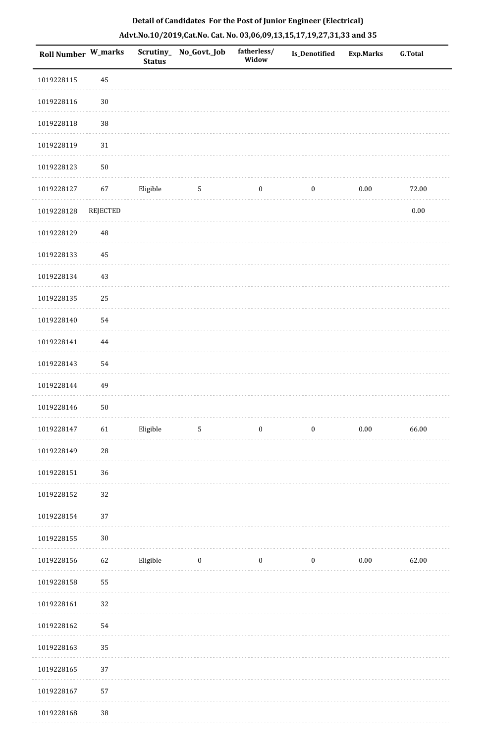| <b>Roll Number W_marks</b> |                 | <b>Status</b> | Scrutiny_No_Govt._Job   | fatherless/<br>Widow | <b>Is_Denotified</b> | <b>Exp.Marks</b> | <b>G.Total</b> |
|----------------------------|-----------------|---------------|-------------------------|----------------------|----------------------|------------------|----------------|
| 1019228115                 | 45              |               |                         |                      |                      |                  |                |
| 1019228116                 | $30\,$          |               |                         |                      |                      |                  |                |
| 1019228118                 | $38\,$          |               |                         |                      |                      |                  |                |
| 1019228119                 | 31              |               |                         |                      |                      |                  |                |
| 1019228123                 | ${\bf 50}$      |               |                         |                      |                      |                  |                |
| 1019228127                 | 67              | Eligible      | 5                       | $\bf{0}$             | $\boldsymbol{0}$     | $0.00\,$         | 72.00          |
| 1019228128                 | <b>REJECTED</b> |               |                         |                      |                      |                  | $0.00\,$       |
| 1019228129                 | 48              |               |                         |                      |                      |                  |                |
| 1019228133                 | 45              |               |                         |                      |                      |                  |                |
| 1019228134                 | 43              |               |                         |                      |                      |                  |                |
| 1019228135                 | 25              |               |                         |                      |                      |                  |                |
| 1019228140                 | 54              |               |                         |                      |                      |                  |                |
| 1019228141                 | 44              |               |                         |                      |                      |                  |                |
| 1019228143                 | 54              |               |                         |                      |                      |                  |                |
| 1019228144                 | 49              |               |                         |                      |                      |                  |                |
| 1019228146                 | ${\bf 50}$      |               |                         |                      |                      |                  |                |
| 1019228147                 | 61              | Eligible      | $\overline{5}$          | $\bf{0}$             | $\boldsymbol{0}$     | $0.00\,$         | 66.00          |
| 1019228149                 | $\sqrt{28}$     |               |                         |                      |                      |                  |                |
| 1019228151                 | 36              |               |                         |                      |                      |                  |                |
| 1019228152                 | 32              |               |                         |                      |                      |                  |                |
| 1019228154                 | 37              |               |                         |                      |                      |                  |                |
| 1019228155                 | $30\,$          |               |                         |                      |                      |                  |                |
| 1019228156                 | 62              | Eligible      | $\overline{\mathbf{0}}$ | $\bf{0}$             | $\boldsymbol{0}$     | 0.00             | 62.00          |
| 1019228158                 | 55              |               |                         |                      |                      |                  |                |
| 1019228161                 | 32              |               |                         |                      |                      |                  |                |
| 1019228162                 | 54              |               |                         |                      |                      |                  |                |
| 1019228163                 | 35              |               |                         |                      |                      |                  |                |
| 1019228165                 | 37              |               |                         |                      |                      |                  |                |
| 1019228167                 | 57              |               |                         |                      |                      |                  |                |
| 1019228168                 | $38\,$          |               |                         |                      |                      |                  |                |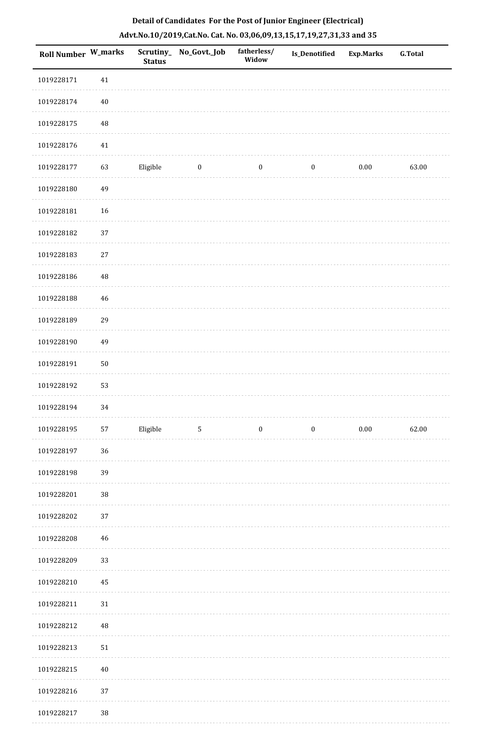| Roll Number W_marks |            | <b>Status</b> | Scrutiny_ No_Govt._Job | fatherless/<br>Widow | Is_Denotified | <b>Exp.Marks</b> | <b>G.Total</b> |
|---------------------|------------|---------------|------------------------|----------------------|---------------|------------------|----------------|
| 1019228171          | 41         |               |                        |                      |               |                  |                |
| 1019228174          | $40\,$     |               |                        |                      |               |                  |                |
| 1019228175          | $\rm 48$   |               |                        |                      |               |                  |                |
| 1019228176          | $41\,$     |               |                        |                      |               |                  |                |
| 1019228177          | 63         | Eligible      | $\bf{0}$               | $\bf{0}$             | $\bf{0}$      | 0.00             | 63.00          |
| 1019228180          | 49         |               |                        |                      |               |                  |                |
| 1019228181          | 16         |               |                        |                      |               |                  |                |
| 1019228182          | 37         |               |                        |                      |               |                  |                |
| 1019228183          | 27         |               |                        |                      |               |                  |                |
| 1019228186          | $\rm 48$   |               |                        |                      |               |                  |                |
| 1019228188          | 46         |               |                        |                      |               |                  |                |
| 1019228189          | 29         |               |                        |                      |               |                  |                |
| 1019228190          | 49         |               |                        |                      |               |                  |                |
| 1019228191          | ${\bf 50}$ |               |                        |                      |               |                  |                |
| 1019228192          | 53         |               |                        |                      |               |                  |                |
| 1019228194          | 34         |               |                        |                      |               |                  |                |
| 1019228195          | 57         | Eligible      | $\overline{5}$         | $\bf{0}$             | $\bf{0}$      | $0.00\,$         | 62.00          |
| 1019228197          | 36         |               |                        |                      |               |                  |                |
| 1019228198          | 39         |               |                        |                      |               |                  |                |
| 1019228201          | $38\,$     |               |                        |                      |               |                  |                |
| 1019228202          | 37         |               |                        |                      |               |                  |                |
| 1019228208          | 46         |               |                        |                      |               |                  |                |
| 1019228209          | 33         |               |                        |                      |               |                  |                |
| 1019228210          | 45         |               |                        |                      |               |                  |                |
| 1019228211          | 31         |               |                        |                      |               |                  |                |
| 1019228212          | $\rm 48$   |               |                        |                      |               |                  |                |
| 1019228213          | 51         |               |                        |                      |               |                  |                |
| 1019228215          | $40\,$     |               |                        |                      |               |                  |                |
| 1019228216          | 37         |               |                        |                      |               |                  |                |
| 1019228217          | $38\,$     |               |                        |                      |               |                  |                |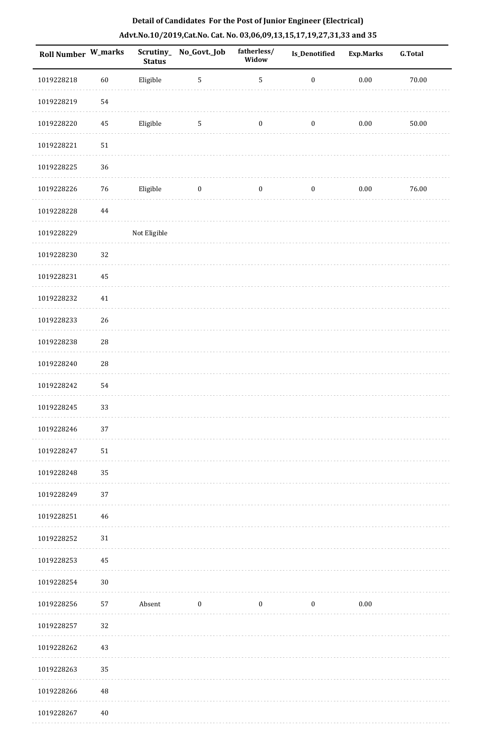|  |                                                 | Detail of Candidates For the Post of Junior Engineer (Electrical)     |
|--|-------------------------------------------------|-----------------------------------------------------------------------|
|  |                                                 | Advt.No.10/2019,Cat.No. Cat. No. 03,06,09,13,15,17,19,27,31,33 and 35 |
|  | THE ST. C. P. LEWIS CO., L. L. L. College Lands |                                                                       |

| Roll Number W_marks |             | <b>Status</b> | Scrutiny_No_Govt._Job | fatherless/<br>Widow | <b>Is_Denotified</b> | <b>Exp.Marks</b> | <b>G.Total</b> |
|---------------------|-------------|---------------|-----------------------|----------------------|----------------------|------------------|----------------|
| 1019228218          | $60\,$      | Eligible      | $\sqrt{5}$            | $\sqrt{5}$           | $\boldsymbol{0}$     | $0.00\,$         | 70.00          |
| 1019228219          | 54          |               |                       |                      |                      |                  |                |
| 1019228220          | 45          | Eligible      | 5                     | 0                    | $\boldsymbol{0}$     | $0.00\,$         | 50.00          |
| 1019228221          | $51\,$      |               |                       |                      |                      |                  |                |
| 1019228225          | 36          |               |                       |                      |                      |                  |                |
| 1019228226          | $76\,$      | Eligible      | $\boldsymbol{0}$      | $\boldsymbol{0}$     | $\boldsymbol{0}$     | $0.00\,$         | 76.00          |
| 1019228228          | $\bf 44$    |               |                       |                      |                      |                  |                |
| 1019228229          |             | Not Eligible  |                       |                      |                      |                  |                |
| 1019228230          | 32          |               |                       |                      |                      |                  |                |
| 1019228231          | 45          |               |                       |                      |                      |                  |                |
| 1019228232          | 41          |               |                       |                      |                      |                  |                |
| 1019228233          | 26          |               |                       |                      |                      |                  |                |
| 1019228238          | $28\,$      |               |                       |                      |                      |                  |                |
| 1019228240          | $\sqrt{28}$ |               |                       |                      |                      |                  |                |
| 1019228242          | 54          |               |                       |                      |                      |                  |                |
| 1019228245          | 33          |               |                       |                      |                      |                  |                |
| 1019228246          | 37          |               |                       |                      |                      |                  |                |
| 1019228247          | $51\,$      |               |                       |                      |                      |                  |                |
| 1019228248          | 35          |               |                       |                      |                      |                  |                |
| 1019228249          | 37          |               |                       |                      |                      |                  |                |
| 1019228251          | 46          |               |                       |                      |                      |                  |                |
| 1019228252          | 31          |               |                       |                      |                      |                  |                |
| 1019228253          | 45          |               |                       |                      |                      |                  |                |
| 1019228254          | 30          |               |                       |                      |                      |                  |                |
| 1019228256          | 57          | Absent        | $\boldsymbol{0}$      | $\boldsymbol{0}$     | $\boldsymbol{0}$     | $0.00\,$         |                |
| 1019228257          | 32          |               |                       |                      |                      |                  |                |
| 1019228262          | 43          |               |                       |                      |                      |                  |                |
| 1019228263          | 35          |               |                       |                      |                      |                  |                |
| 1019228266          | 48          |               |                       |                      |                      |                  |                |
| 1019228267          | $40\,$      |               |                       |                      |                      |                  |                |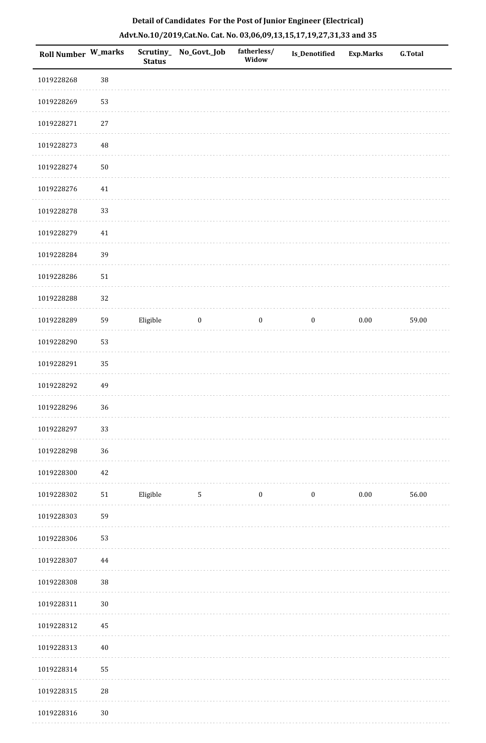| Roll Number W_marks |             | <b>Status</b> | Scrutiny_ No_Govt._Job | fatherless/<br>Widow | Is_Denotified    | <b>Exp.Marks</b> | <b>G.Total</b> |
|---------------------|-------------|---------------|------------------------|----------------------|------------------|------------------|----------------|
| 1019228268          | $38\,$      |               |                        |                      |                  |                  |                |
| 1019228269          | 53          |               |                        |                      |                  |                  |                |
| 1019228271          | $27\,$      |               |                        |                      |                  |                  |                |
| 1019228273          | 48          |               |                        |                      |                  |                  |                |
| 1019228274          | 50          |               |                        |                      |                  |                  |                |
| 1019228276          | $41\,$      |               |                        |                      |                  |                  |                |
| 1019228278          | 33          |               |                        |                      |                  |                  |                |
| 1019228279          | 41          |               |                        |                      |                  |                  |                |
| 1019228284          | 39          |               |                        |                      |                  |                  |                |
| 1019228286          | $51\,$      |               |                        |                      |                  |                  |                |
| 1019228288          | 32          |               |                        |                      |                  |                  |                |
| 1019228289          | 59          | Eligible      | $\bf{0}$               | $\boldsymbol{0}$     | $\boldsymbol{0}$ | $0.00\,$         | 59.00          |
| 1019228290          | 53          |               |                        |                      |                  |                  |                |
| 1019228291          | 35          |               |                        |                      |                  |                  |                |
| 1019228292          | 49          |               |                        |                      |                  |                  |                |
| 1019228296          | 36          |               |                        |                      |                  |                  |                |
| 1019228297          | 33          |               |                        |                      |                  |                  |                |
| 1019228298          | 36          |               |                        |                      |                  |                  |                |
| 1019228300          | 42          |               |                        |                      |                  |                  |                |
| 1019228302          | $51\,$      | Eligible      | $5\phantom{.0}$        | $\boldsymbol{0}$     | $\boldsymbol{0}$ | 0.00             | 56.00          |
| 1019228303          | 59          |               |                        |                      |                  |                  |                |
| 1019228306          | 53          |               |                        |                      |                  |                  |                |
| 1019228307          | 44          |               |                        |                      |                  |                  |                |
| 1019228308          | 38          |               |                        |                      |                  |                  |                |
| 1019228311          | $30\,$      |               |                        |                      |                  |                  |                |
| 1019228312          | 45          |               |                        |                      |                  |                  |                |
| 1019228313          | $40\,$      |               |                        |                      |                  |                  |                |
| 1019228314          | 55          |               |                        |                      |                  |                  |                |
| 1019228315          | $\sqrt{28}$ |               |                        |                      |                  |                  |                |
| 1019228316          | $30\,$      |               |                        |                      |                  |                  |                |

. . . . . . .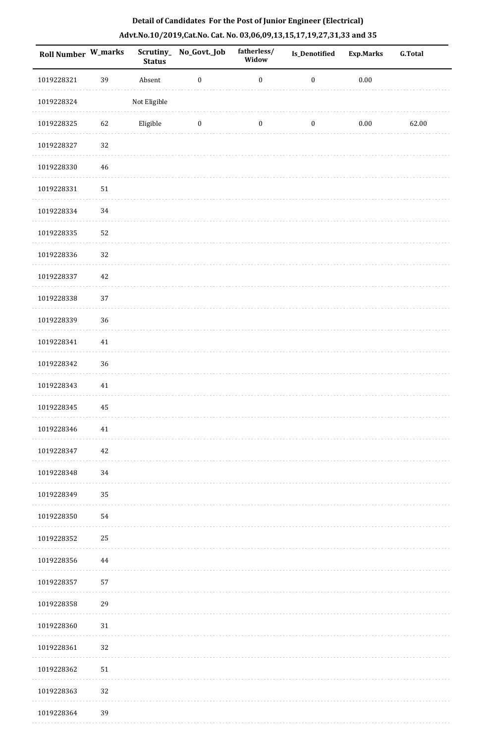| Detail of Candidates For the Post of Junior Engineer (Electrical)     |  |
|-----------------------------------------------------------------------|--|
| Advt.No.10/2019,Cat.No. Cat. No. 03,06,09,13,15,17,19,27,31,33 and 35 |  |

| <b>Roll Number W_marks</b> |        | <b>Status</b> | Scrutiny_No_Govt._Job | fatherless/<br>Widow | Is_Denotified    | <b>Exp.Marks</b> | <b>G.Total</b> |
|----------------------------|--------|---------------|-----------------------|----------------------|------------------|------------------|----------------|
| 1019228321                 | 39     | Absent        | $\boldsymbol{0}$      | $\boldsymbol{0}$     | $\boldsymbol{0}$ | $0.00\,$         |                |
| 1019228324                 |        | Not Eligible  |                       |                      |                  |                  |                |
| 1019228325                 | 62     | Eligible      | $\bf{0}$              | $\boldsymbol{0}$     | $\boldsymbol{0}$ | $0.00\,$         | 62.00          |
| 1019228327                 | 32     |               |                       |                      |                  |                  |                |
| 1019228330                 | 46     |               |                       |                      |                  |                  |                |
| 1019228331                 | 51     |               |                       |                      |                  |                  |                |
| 1019228334                 | 34     |               |                       |                      |                  |                  |                |
| 1019228335                 | 52     |               |                       |                      |                  |                  |                |
| 1019228336                 | 32     |               |                       |                      |                  |                  |                |
| 1019228337                 | 42     |               |                       |                      |                  |                  |                |
| 1019228338                 | 37     |               |                       |                      |                  |                  |                |
| 1019228339                 | 36     |               |                       |                      |                  |                  |                |
| 1019228341                 | 41     |               |                       |                      |                  |                  |                |
| 1019228342                 | $36\,$ |               |                       |                      |                  |                  |                |
| 1019228343                 | $41\,$ |               |                       |                      |                  |                  |                |
| 1019228345                 | 45     |               |                       |                      |                  |                  |                |
| 1019228346                 | 41     |               |                       |                      |                  |                  |                |
| 1019228347                 | 42     |               |                       |                      |                  |                  |                |
| 1019228348                 | 34     |               |                       |                      |                  |                  |                |
| 1019228349                 | 35     |               |                       |                      |                  |                  |                |
| 1019228350                 | 54     |               |                       |                      |                  |                  |                |
| 1019228352                 | 25     |               |                       |                      |                  |                  |                |
| 1019228356                 | 44     |               |                       |                      |                  |                  |                |
| 1019228357                 | 57     |               |                       |                      |                  |                  |                |
| 1019228358                 | 29     |               |                       |                      |                  |                  |                |
| 1019228360                 | 31     |               |                       |                      |                  |                  |                |
| 1019228361                 | 32     |               |                       |                      |                  |                  |                |
| 1019228362                 | 51     |               |                       |                      |                  |                  |                |
| 1019228363                 | 32     |               |                       |                      |                  |                  |                |
| 1019228364                 | 39     |               |                       |                      |                  |                  |                |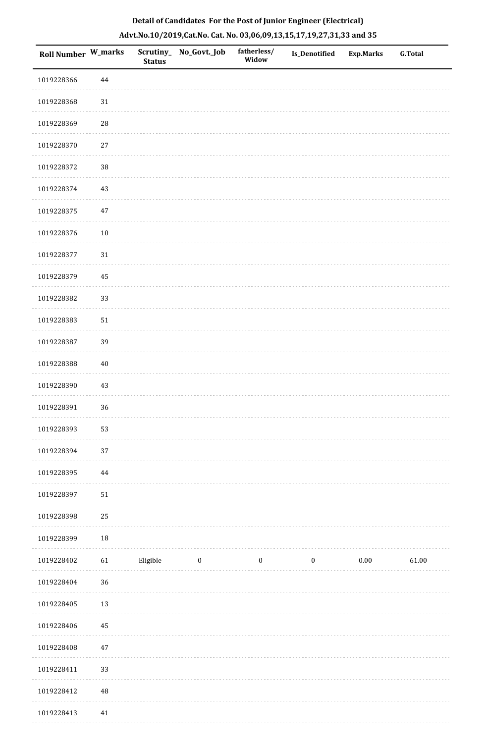| Roll Number W_marks |             | Scrutiny_<br><b>Status</b> | No_Govt._Job | fatherless/<br>Widow | <b>Is_Denotified</b> | Exp.Marks | <b>G.Total</b> |
|---------------------|-------------|----------------------------|--------------|----------------------|----------------------|-----------|----------------|
| 1019228366          | 44          |                            |              |                      |                      |           |                |
| 1019228368          | 31          |                            |              |                      |                      |           |                |
| 1019228369          | $\sqrt{28}$ |                            |              |                      |                      |           |                |
| 1019228370          | 27          |                            |              |                      |                      |           |                |
| 1019228372          | $38\,$      |                            |              |                      |                      |           |                |
| 1019228374          | 43          |                            |              |                      |                      |           |                |
| 1019228375          | $47\,$      |                            |              |                      |                      |           |                |
| 1019228376          | 10          |                            |              |                      |                      |           |                |
| 1019228377          | $31\,$      |                            |              |                      |                      |           |                |
| 1019228379          | 45          |                            |              |                      |                      |           |                |
| 1019228382          | 33          |                            |              |                      |                      |           |                |
| 1019228383          | $51\,$      |                            |              |                      |                      |           |                |
| 1019228387          | 39          |                            |              |                      |                      |           |                |
| 1019228388          | 40          |                            |              |                      |                      |           |                |
| 1019228390          | $43\,$      |                            |              |                      |                      |           |                |
| 1019228391          | 36          |                            |              |                      |                      |           |                |
| 1019228393          | 53          |                            |              |                      |                      |           |                |
| 1019228394          | 37          |                            |              |                      |                      |           |                |
| 1019228395          | $\bf 44$    |                            |              |                      |                      |           |                |
| 1019228397          | $51\,$      |                            |              |                      |                      |           |                |
| 1019228398          | 25          |                            |              |                      |                      |           |                |
| 1019228399          | $18\,$      |                            |              |                      |                      |           |                |
| 1019228402          | 61          | Eligible                   | $\bf{0}$     | $\bf{0}$             | $\boldsymbol{0}$     | 0.00      | 61.00          |
| 1019228404          | 36          |                            |              |                      |                      |           |                |
| 1019228405          | 13          |                            |              |                      |                      |           |                |
| 1019228406          | $\rm 45$    |                            |              |                      |                      |           |                |
| 1019228408          | $47\,$      |                            |              |                      |                      |           |                |
| 1019228411          | 33          |                            |              |                      |                      |           |                |
| 1019228412          | $\rm 48$    |                            |              |                      |                      |           |                |
| 1019228413          | 41          |                            |              |                      |                      |           |                |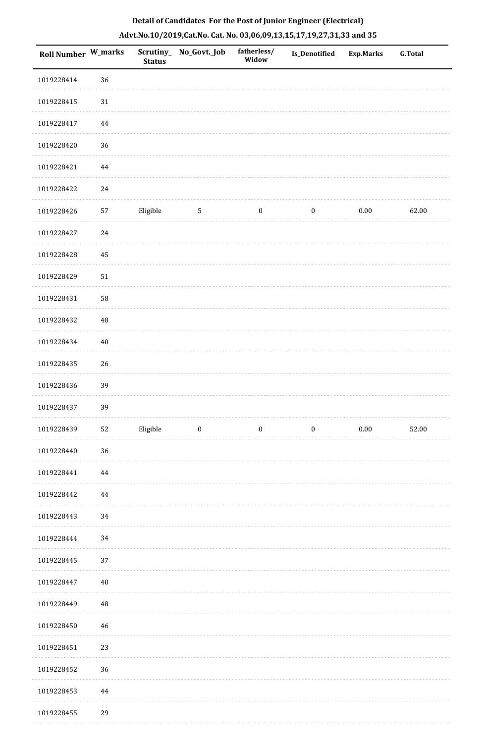| Roll Number W_marks |            | <b>Status</b> | Scrutiny_ No_Govt._Job | fatherless/<br>Widow | Is_Denotified    | <b>Exp.Marks</b> | <b>G.Total</b> |
|---------------------|------------|---------------|------------------------|----------------------|------------------|------------------|----------------|
| 1019228414          | 36         |               |                        |                      |                  |                  |                |
| 1019228415          | $31\,$     |               |                        |                      |                  |                  |                |
| 1019228417          | $\bf 44$   |               |                        |                      |                  |                  |                |
| 1019228420          | 36         |               |                        |                      |                  |                  |                |
| 1019228421          | 44         |               |                        |                      |                  |                  |                |
| 1019228422          | $24\,$     |               |                        |                      |                  |                  |                |
| 1019228426          | 57         | Eligible      | $5\,$                  | $\boldsymbol{0}$     | $\boldsymbol{0}$ | $0.00\,$         | 62.00          |
| 1019228427          | 24         |               |                        |                      |                  |                  |                |
| 1019228428          | 45         |               |                        |                      |                  |                  |                |
| 1019228429          | ${\bf 51}$ |               |                        |                      |                  |                  |                |
| 1019228431          | 58         |               |                        |                      |                  |                  |                |
| 1019228432          | 48         |               |                        |                      |                  |                  |                |
| 1019228434          | $40\,$     |               |                        |                      |                  |                  |                |
| 1019228435          | 26         |               |                        |                      |                  |                  |                |
| 1019228436          | 39         |               |                        |                      |                  |                  |                |
| 1019228437          | 39         |               |                        |                      |                  |                  |                |
| 1019228439          | 52         | Eligible      | $\overline{0}$         | $\boldsymbol{0}$     | $\boldsymbol{0}$ | 0.00             | 52.00          |
| 1019228440          | 36         |               |                        |                      |                  |                  |                |
| 1019228441          | 44         |               |                        |                      |                  |                  |                |
| 1019228442          | 44         |               |                        |                      |                  |                  |                |
| 1019228443          | 34         |               |                        |                      |                  |                  |                |
| 1019228444          | 34         |               |                        |                      |                  |                  |                |
| 1019228445          | 37         |               |                        |                      |                  |                  |                |
| 1019228447          | $40\,$     |               |                        |                      |                  |                  |                |
| 1019228449          | 48         |               |                        |                      |                  |                  |                |
| 1019228450          | 46         |               |                        |                      |                  |                  |                |
| 1019228451          | 23         |               |                        |                      |                  |                  |                |
| 1019228452          | 36         |               |                        |                      |                  |                  |                |
| 1019228453          | 44         |               |                        |                      |                  |                  |                |
|                     |            |               |                        |                      |                  |                  |                |

 $1.111$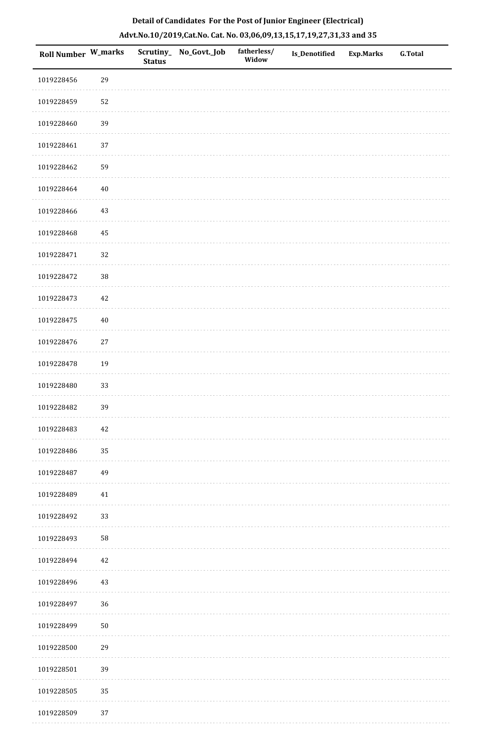| Roll Number W_marks |        | <b>Status</b> | Scrutiny_No_Govt._Job | fatherless/<br>Widow | Is_Denotified | Exp.Marks | <b>G.Total</b> |
|---------------------|--------|---------------|-----------------------|----------------------|---------------|-----------|----------------|
| 1019228456          | 29     |               |                       |                      |               |           |                |
| 1019228459          | 52     |               |                       |                      |               |           |                |
| 1019228460          | 39     |               |                       |                      |               |           |                |
| 1019228461          | $37\,$ |               |                       |                      |               |           |                |
| 1019228462          | 59     |               |                       |                      |               |           |                |
| 1019228464          | 40     |               |                       |                      |               |           |                |
| 1019228466          | $43\,$ |               |                       |                      |               |           |                |
| 1019228468          | 45     |               |                       |                      |               |           |                |
| 1019228471          | 32     |               |                       |                      |               |           |                |
| 1019228472          | $38\,$ |               |                       |                      |               |           |                |
| 1019228473          | 42     |               |                       |                      |               |           |                |
| 1019228475          | $40\,$ |               |                       |                      |               |           |                |
| 1019228476          | $27\,$ |               |                       |                      |               |           |                |
| 1019228478          | 19     |               |                       |                      |               |           |                |
| 1019228480          | 33     |               |                       |                      |               |           |                |
| 1019228482          | 39     |               |                       |                      |               |           |                |
| 1019228483          | 42     |               |                       |                      |               |           |                |
| 1019228486          | 35     |               |                       |                      |               |           |                |
| 1019228487          | 49     |               |                       |                      |               |           |                |
| 1019228489          | 41     |               |                       |                      |               |           |                |
| 1019228492          | 33     |               |                       |                      |               |           |                |
| 1019228493          | 58     |               |                       |                      |               |           |                |
| 1019228494          | 42     |               |                       |                      |               |           |                |
| 1019228496          | $43\,$ |               |                       |                      |               |           |                |
| 1019228497          | 36     |               |                       |                      |               |           |                |
| 1019228499          | $50\,$ |               |                       |                      |               |           |                |
| 1019228500          | 29     |               |                       |                      |               |           |                |
| 1019228501          | 39     |               |                       |                      |               |           |                |
| 1019228505          | 35     |               |                       |                      |               |           |                |
| 1019228509          | $37\,$ |               |                       |                      |               |           |                |

. . . . . . . . . . .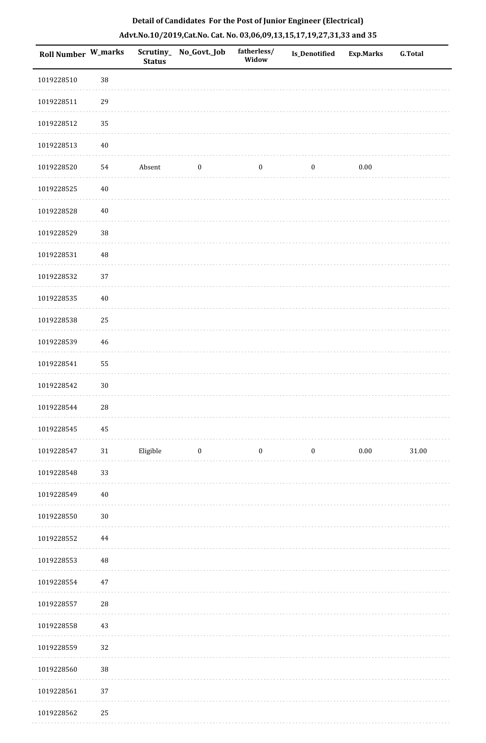| <b>Roll Number W_marks</b> |             | <b>Status</b> | Scrutiny_ No_Govt._Job | fatherless/<br>Widow | <b>Is_Denotified</b> | <b>Exp.Marks</b> | <b>G.Total</b> |
|----------------------------|-------------|---------------|------------------------|----------------------|----------------------|------------------|----------------|
| 1019228510                 | $38\,$      |               |                        |                      |                      |                  |                |
| 1019228511                 | 29          |               |                        |                      |                      |                  |                |
| 1019228512                 | 35          |               |                        |                      |                      |                  |                |
| 1019228513                 | $40\,$      |               |                        |                      |                      |                  |                |
| 1019228520                 | 54          | Absent        | $\boldsymbol{0}$       | $\boldsymbol{0}$     | $\boldsymbol{0}$     | $0.00\,$         |                |
| 1019228525                 | $40\,$      |               |                        |                      |                      |                  |                |
| 1019228528                 | 40          |               |                        |                      |                      |                  |                |
| 1019228529                 | $38\,$      |               |                        |                      |                      |                  |                |
| 1019228531                 | 48          |               |                        |                      |                      |                  |                |
| 1019228532                 | 37          |               |                        |                      |                      |                  |                |
| 1019228535                 | $40\,$      |               |                        |                      |                      |                  |                |
| 1019228538                 | 25          |               |                        |                      |                      |                  |                |
| 1019228539                 | 46          |               |                        |                      |                      |                  |                |
| 1019228541                 | 55          |               |                        |                      |                      |                  |                |
| 1019228542                 | $30\,$      |               |                        |                      |                      |                  |                |
| 1019228544                 | $\sqrt{28}$ |               |                        |                      |                      |                  |                |
| 1019228545                 | 45          |               |                        |                      |                      |                  |                |
| 1019228547                 | $31\,$      | Eligible      | $\bf{0}$               | $\boldsymbol{0}$     | $\boldsymbol{0}$     | $0.00\,$         | $31.00\,$      |
| 1019228548                 | 33          |               |                        |                      |                      |                  |                |
| 1019228549                 | $40\,$      |               |                        |                      |                      |                  |                |
| 1019228550                 | $30\,$      |               |                        |                      |                      |                  |                |
| 1019228552                 | $\bf 44$    |               |                        |                      |                      |                  |                |
| 1019228553                 | $\rm 48$    |               |                        |                      |                      |                  |                |
| 1019228554                 | $47\,$      |               |                        |                      |                      |                  |                |
| 1019228557                 | $\sqrt{28}$ |               |                        |                      |                      |                  |                |
| 1019228558                 | 43          |               |                        |                      |                      |                  |                |
| 1019228559                 | 32          |               |                        |                      |                      |                  |                |
| 1019228560                 | $38\,$      |               |                        |                      |                      |                  |                |
| 1019228561                 | 37          |               |                        |                      |                      |                  |                |
| 1019228562                 | 25          |               |                        |                      |                      |                  |                |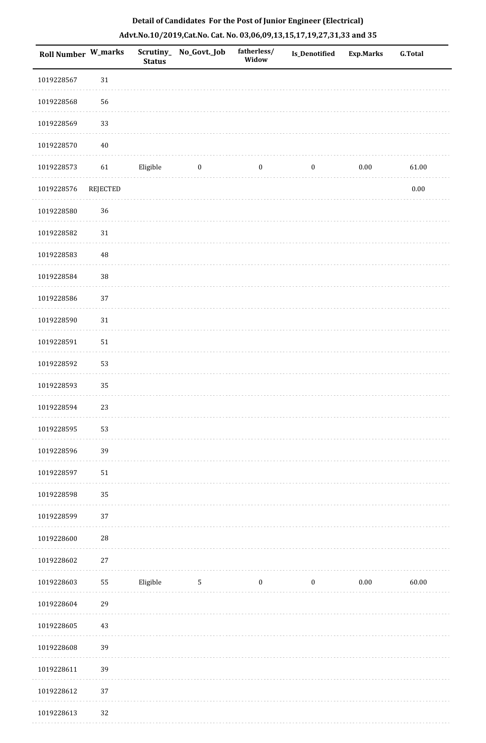| <b>Roll Number W_marks</b> |          | <b>Status</b> | Scrutiny_ No_Govt._Job | fatherless/<br>Widow | Is_Denotified    | <b>Exp.Marks</b> | <b>G.Total</b> |
|----------------------------|----------|---------------|------------------------|----------------------|------------------|------------------|----------------|
| 1019228567                 | $31\,$   |               |                        |                      |                  |                  |                |
| 1019228568                 | 56       |               |                        |                      |                  |                  |                |
| 1019228569                 | 33       |               |                        |                      |                  |                  |                |
| 1019228570                 | $40\,$   |               |                        |                      |                  |                  |                |
| 1019228573                 | 61       | Eligible      | $\boldsymbol{0}$       | $\boldsymbol{0}$     | $\boldsymbol{0}$ | $0.00\,$         | 61.00          |
| 1019228576                 | REJECTED |               |                        |                      |                  |                  | $0.00\,$       |
| 1019228580                 | 36       |               |                        |                      |                  |                  |                |
| 1019228582                 | $31\,$   |               |                        |                      |                  |                  |                |
| 1019228583                 | 48       |               |                        |                      |                  |                  |                |
| 1019228584                 | 38       |               |                        |                      |                  |                  |                |
| 1019228586                 | 37       |               |                        |                      |                  |                  |                |
| 1019228590                 | $31\,$   |               |                        |                      |                  |                  |                |
| 1019228591                 | $51\,$   |               |                        |                      |                  |                  |                |
| 1019228592                 | 53       |               |                        |                      |                  |                  |                |
| 1019228593                 | 35       |               |                        |                      |                  |                  |                |
| 1019228594                 | 23       |               |                        |                      |                  |                  |                |
| 1019228595                 | 53       |               |                        |                      |                  |                  |                |
| 1019228596                 | 39       |               |                        |                      |                  |                  |                |
| 1019228597                 | 51       |               |                        |                      |                  |                  |                |
| 1019228598                 | 35       |               |                        |                      |                  |                  |                |
| 1019228599                 | 37       |               |                        |                      |                  |                  |                |
| 1019228600                 | 28       |               |                        |                      |                  |                  |                |
| 1019228602                 | $27\,$   |               |                        |                      |                  |                  |                |
| 1019228603                 | 55       | Eligible      | $\sqrt{5}$             | $\boldsymbol{0}$     | $\boldsymbol{0}$ | $0.00\,$         | 60.00          |
| 1019228604                 | 29       |               |                        |                      |                  |                  |                |
| 1019228605                 | $43\,$   |               |                        |                      |                  |                  |                |
| 1019228608                 | 39       |               |                        |                      |                  |                  |                |
| 1019228611                 | 39       |               |                        |                      |                  |                  |                |
| 1019228612                 | 37       |               |                        |                      |                  |                  |                |
| 1019228613                 | 32       |               |                        |                      |                  |                  |                |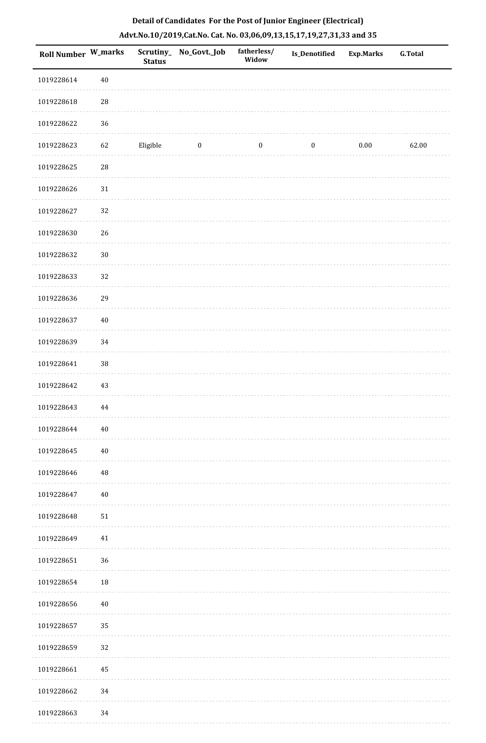| Roll Number W_marks |          | <b>Status</b> | Scrutiny_No_Govt._Job | fatherless/<br>Widow | <b>Is_Denotified</b> | Exp.Marks | <b>G.Total</b> |
|---------------------|----------|---------------|-----------------------|----------------------|----------------------|-----------|----------------|
| 1019228614          | $40\,$   |               |                       |                      |                      |           |                |
| 1019228618          | $\rm 28$ |               |                       |                      |                      |           |                |
| 1019228622          | 36       |               |                       |                      |                      |           |                |
| 1019228623          | 62       | Eligible      | $\boldsymbol{0}$      | $\boldsymbol{0}$     | $\boldsymbol{0}$     | $0.00\,$  | 62.00          |
| 1019228625          | $\rm 28$ |               |                       |                      |                      |           |                |
| 1019228626          | $31\,$   |               |                       |                      |                      |           |                |
| 1019228627          | 32       |               |                       |                      |                      |           |                |
| 1019228630          | 26       |               |                       |                      |                      |           |                |
| 1019228632          | $30\,$   |               |                       |                      |                      |           |                |
| 1019228633          | 32       |               |                       |                      |                      |           |                |
| 1019228636          | 29       |               |                       |                      |                      |           |                |
| 1019228637          | $40\,$   |               |                       |                      |                      |           |                |
| 1019228639          | 34       |               |                       |                      |                      |           |                |
| 1019228641          | $38\,$   |               |                       |                      |                      |           |                |
| 1019228642          | 43       |               |                       |                      |                      |           |                |
| 1019228643          | 44       |               |                       |                      |                      |           |                |
| 1019228644          | $40\,$   |               |                       |                      |                      |           |                |
| 1019228645          | $40\,$   |               |                       |                      |                      |           |                |
| 1019228646          | 48       |               |                       |                      |                      |           |                |
| 1019228647          | $40\,$   |               |                       |                      |                      |           |                |
| 1019228648          | $51\,$   |               |                       |                      |                      |           |                |
| 1019228649          | $41\,$   |               |                       |                      |                      |           |                |
| 1019228651          | 36       |               |                       |                      |                      |           |                |
| 1019228654          | 18       |               |                       |                      |                      |           |                |
| 1019228656          | 40       |               |                       |                      |                      |           |                |
| 1019228657          | 35       |               |                       |                      |                      |           |                |
| 1019228659          | 32       |               |                       |                      |                      |           |                |
| 1019228661          | 45       |               |                       |                      |                      |           |                |
| 1019228662          | 34       |               |                       |                      |                      |           |                |
| 1019228663          | 34       |               |                       |                      |                      |           |                |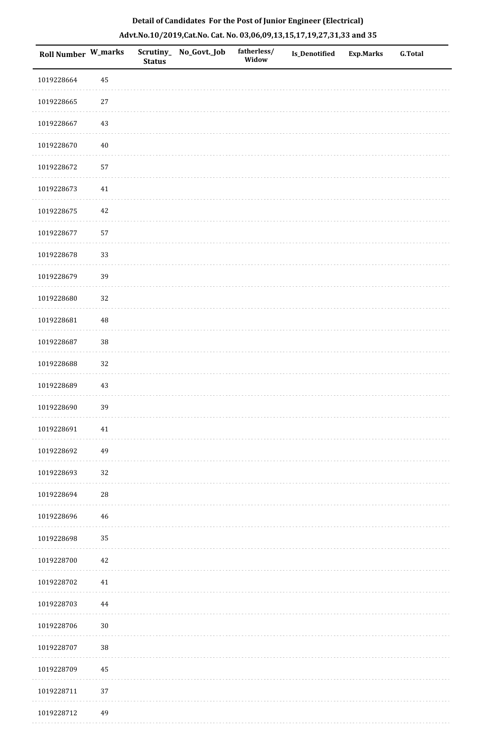| Roll Number W_marks |          | <b>Status</b> | Scrutiny_No_Govt._Job | fatherless/<br>Widow | Is_Denotified | Exp.Marks | G.Total |
|---------------------|----------|---------------|-----------------------|----------------------|---------------|-----------|---------|
| 1019228664          | 45       |               |                       |                      |               |           |         |
| 1019228665          | $27\,$   |               |                       |                      |               |           |         |
| 1019228667          | 43       |               |                       |                      |               |           |         |
| 1019228670          | $40\,$   |               |                       |                      |               |           |         |
| 1019228672          | 57       |               |                       |                      |               |           |         |
| 1019228673          | $41\,$   |               |                       |                      |               |           |         |
| 1019228675          | 42       |               |                       |                      |               |           |         |
| 1019228677          | 57       |               |                       |                      |               |           |         |
| 1019228678          | 33       |               |                       |                      |               |           |         |
| 1019228679          | 39       |               |                       |                      |               |           |         |
| 1019228680          | 32       |               |                       |                      |               |           |         |
| 1019228681          | $\rm 48$ |               |                       |                      |               |           |         |
| 1019228687          | 38       |               |                       |                      |               |           |         |
| 1019228688          | 32       |               |                       |                      |               |           |         |
| 1019228689          | 43       |               |                       |                      |               |           |         |
| 1019228690          | 39       |               |                       |                      |               |           |         |
| 1019228691          | 41       |               |                       |                      |               |           |         |
| 1019228692          | 49       |               |                       |                      |               |           |         |
| 1019228693          | 32       |               |                       |                      |               |           |         |
| 1019228694          | 28       |               |                       |                      |               |           |         |
| 1019228696          | $46\,$   |               |                       |                      |               |           |         |
| 1019228698          | 35       |               |                       |                      |               |           |         |
| 1019228700          | 42       |               |                       |                      |               |           |         |
| 1019228702          | $41\,$   |               |                       |                      |               |           |         |
| 1019228703          | 44       |               |                       |                      |               |           |         |
| 1019228706          | $30\,$   |               |                       |                      |               |           |         |
| 1019228707          | 38       |               |                       |                      |               |           |         |
| 1019228709          | 45       |               |                       |                      |               |           |         |
| 1019228711          | 37       |               |                       |                      |               |           |         |
| 1019228712          | 49       |               |                       |                      |               |           |         |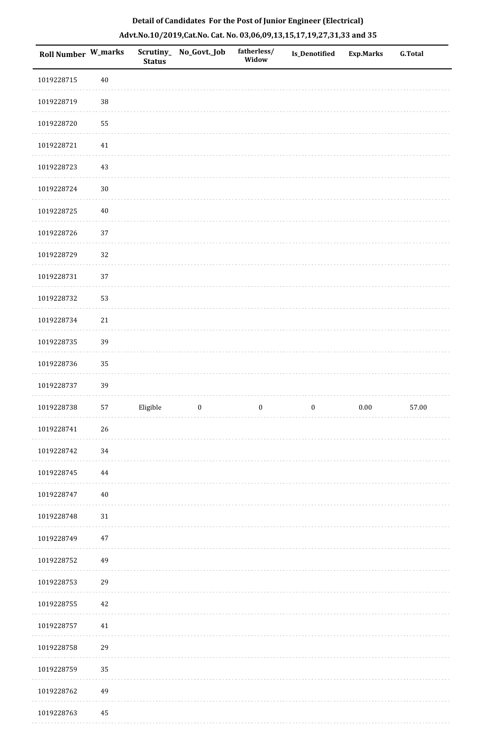| <b>Roll Number W_marks</b> |          | <b>Status</b> | Scrutiny_ No_Govt._Job | fatherless/<br>Widow | Is_Denotified    | <b>Exp.Marks</b> | <b>G.Total</b> |
|----------------------------|----------|---------------|------------------------|----------------------|------------------|------------------|----------------|
| 1019228715                 | $40\,$   |               |                        |                      |                  |                  |                |
| 1019228719                 | $38\,$   |               |                        |                      |                  |                  |                |
| 1019228720                 | 55       |               |                        |                      |                  |                  |                |
| 1019228721                 | $41\,$   |               |                        |                      |                  |                  |                |
| 1019228723                 | 43       |               |                        |                      |                  |                  |                |
| 1019228724                 | $30\,$   |               |                        |                      |                  |                  |                |
| 1019228725                 | $40\,$   |               |                        |                      |                  |                  |                |
| 1019228726                 | 37       |               |                        |                      |                  |                  |                |
| 1019228729                 | 32       |               |                        |                      |                  |                  |                |
| 1019228731                 | 37       |               |                        |                      |                  |                  |                |
| 1019228732                 | 53       |               |                        |                      |                  |                  |                |
| 1019228734                 | $21\,$   |               |                        |                      |                  |                  |                |
| 1019228735                 | 39       |               |                        |                      |                  |                  |                |
| 1019228736                 | 35       |               |                        |                      |                  |                  |                |
| 1019228737                 | 39       |               |                        |                      |                  |                  |                |
| 1019228738                 | 57       | Eligible      | $\boldsymbol{0}$       | $\boldsymbol{0}$     | $\boldsymbol{0}$ | $0.00\,$         | 57.00          |
| 1019228741                 | 26       |               |                        |                      |                  |                  |                |
| 1019228742                 | 34       |               |                        |                      |                  |                  |                |
| 1019228745                 | $\bf 44$ |               |                        |                      |                  |                  |                |
| 1019228747                 | $40\,$   |               |                        |                      |                  |                  |                |
| 1019228748                 | $31\,$   |               |                        |                      |                  |                  |                |
| 1019228749                 | $47\,$   |               |                        |                      |                  |                  |                |
| 1019228752                 | 49       |               |                        |                      |                  |                  |                |
| 1019228753                 | 29       |               |                        |                      |                  |                  |                |
| 1019228755                 | 42       |               |                        |                      |                  |                  |                |
| 1019228757                 | $41\,$   |               |                        |                      |                  |                  |                |
| 1019228758                 | 29       |               |                        |                      |                  |                  |                |
| 1019228759                 | 35       |               |                        |                      |                  |                  |                |
| 1019228762                 | 49       |               |                        |                      |                  |                  |                |
| 1019228763                 | 45       |               |                        |                      |                  |                  |                |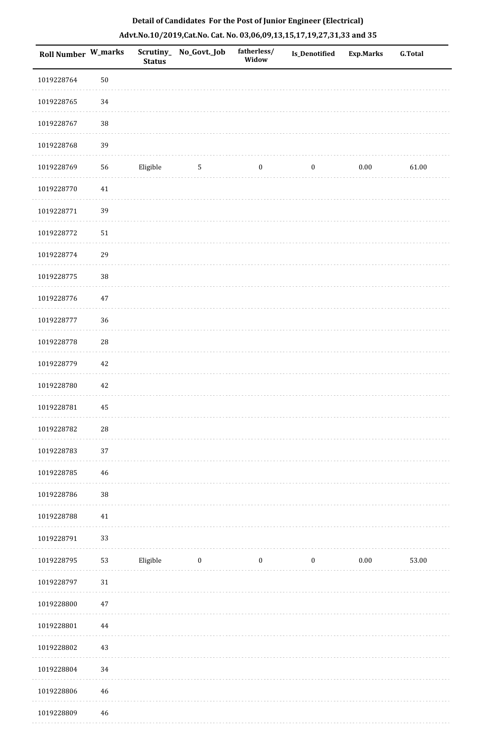| Roll Number W_marks |                 | <b>Status</b> | Scrutiny_ No_Govt._Job | fatherless/<br>Widow | Is_Denotified    | Exp.Marks | G.Total |
|---------------------|-----------------|---------------|------------------------|----------------------|------------------|-----------|---------|
| 1019228764          | $50\,$          |               |                        |                      |                  |           |         |
| 1019228765          | 34              |               |                        |                      |                  |           |         |
| 1019228767          | 38              |               |                        |                      |                  |           |         |
| 1019228768          | 39              |               |                        |                      |                  |           |         |
| 1019228769          | 56              | Eligible      | $5\phantom{.0}$        | $\boldsymbol{0}$     | $\boldsymbol{0}$ | 0.00      | 61.00   |
| 1019228770          | $41\,$          |               |                        |                      |                  |           |         |
| 1019228771          | 39              |               |                        |                      |                  |           |         |
| 1019228772          | $51\,$          |               |                        |                      |                  |           |         |
| 1019228774          | 29              |               |                        |                      |                  |           |         |
| 1019228775          | 38              |               |                        |                      |                  |           |         |
| 1019228776          | $47\,$          |               |                        |                      |                  |           |         |
| 1019228777          | 36              |               |                        |                      |                  |           |         |
| 1019228778          | ${\bf 28}$      |               |                        |                      |                  |           |         |
| 1019228779          | 42              |               |                        |                      |                  |           |         |
| 1019228780          | 42              |               |                        |                      |                  |           |         |
| 1019228781          | 45              |               |                        |                      |                  |           |         |
| 1019228782          | ${\bf 28}$      |               |                        |                      |                  |           |         |
| 1019228783          | 37              |               |                        |                      |                  |           |         |
| 1019228785          | $\sqrt{46}$     |               |                        |                      |                  |           |         |
| 1019228786          | 38              |               |                        |                      |                  |           |         |
| 1019228788          | $41\,$          |               |                        |                      |                  |           |         |
| 1019228791          | 33              |               |                        |                      |                  |           |         |
| 1019228795          | 53              | Eligible      | $\bf{0}$               | $\boldsymbol{0}$     | $\boldsymbol{0}$ | 0.00      | 53.00   |
| 1019228797          | $31\,$          |               |                        |                      |                  |           |         |
| 1019228800          | $47\,$          |               |                        |                      |                  |           |         |
| 1019228801          | 44              |               |                        |                      |                  |           |         |
| 1019228802          | $43\,$          |               |                        |                      |                  |           |         |
| 1019228804          | 34              |               |                        |                      |                  |           |         |
| 1019228806          | 46              |               |                        |                      |                  |           |         |
| 1010228800          | $\overline{16}$ |               |                        |                      |                  |           |         |

# **Detail of Candidates For the Post of Junior Engineer (Electrical) Advt.No.10/2019,Cat.No. Cat. No. 03,06,09,13,15,17,19,27,31,33 and 35**

 1019228809 46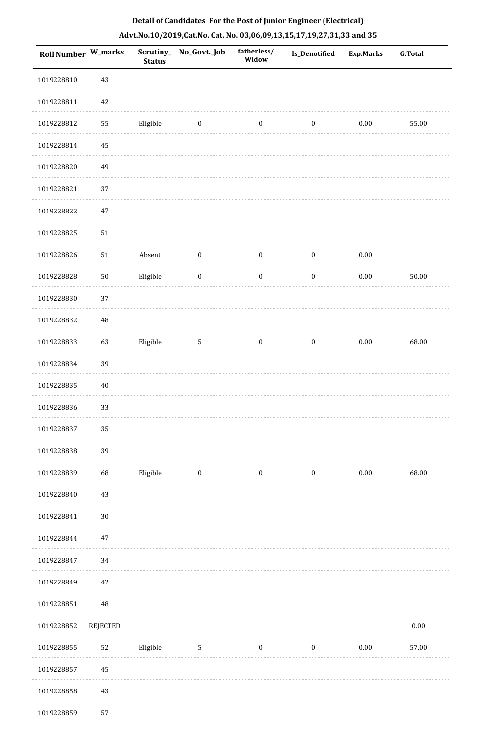| Roll Number W_marks |                 | <b>Status</b> | Scrutiny_No_Govt._Job | fatherless/<br>Widow | <b>Is_Denotified</b> | <b>Exp.Marks</b> | <b>G.Total</b> |
|---------------------|-----------------|---------------|-----------------------|----------------------|----------------------|------------------|----------------|
| 1019228810          | $43\,$          |               |                       |                      |                      |                  |                |
| 1019228811          | $42\,$          |               |                       |                      |                      |                  |                |
| 1019228812          | 55              | Eligible      | $\boldsymbol{0}$      | $\boldsymbol{0}$     | $\boldsymbol{0}$     | $0.00\,$         | 55.00          |
| 1019228814          | 45              |               |                       |                      |                      |                  |                |
| 1019228820          | 49              |               |                       |                      |                      |                  |                |
| 1019228821          | 37              |               |                       |                      |                      |                  |                |
| 1019228822          | $47\,$          |               |                       |                      |                      |                  |                |
| 1019228825          | 51              |               |                       |                      |                      |                  |                |
| 1019228826          | $51\,$          | Absent        | $\boldsymbol{0}$      | $\boldsymbol{0}$     | $\boldsymbol{0}$     | 0.00             |                |
| 1019228828          | ${\bf 50}$      | Eligible      | $\boldsymbol{0}$      | $\boldsymbol{0}$     | $\boldsymbol{0}$     | $0.00\,$         | 50.00          |
| 1019228830          | 37              |               |                       |                      |                      |                  |                |
| 1019228832          | 48              |               |                       |                      |                      |                  |                |
| 1019228833          | 63              | Eligible      | $\overline{5}$        | $\boldsymbol{0}$     | $\boldsymbol{0}$     | $0.00\,$         | 68.00          |
| 1019228834          | 39              |               |                       |                      |                      |                  |                |
| 1019228835          | 40              |               |                       |                      |                      |                  |                |
| 1019228836          | 33              |               |                       |                      |                      |                  |                |
| 1019228837          | 35              |               |                       |                      |                      |                  |                |
| 1019228838          | 39              |               |                       |                      |                      |                  |                |
| 1019228839          | 68              | Eligible      | $\boldsymbol{0}$      | $\boldsymbol{0}$     | $\boldsymbol{0}$     | $0.00\,$         | 68.00          |
| 1019228840          | 43              |               |                       |                      |                      |                  |                |
| 1019228841          | $30\,$          |               |                       |                      |                      |                  |                |
| 1019228844          | $47\,$          |               |                       |                      |                      |                  |                |
| 1019228847          | 34              |               |                       |                      |                      |                  |                |
| 1019228849          | 42              |               |                       |                      |                      |                  |                |
| 1019228851          | 48              |               |                       |                      |                      |                  |                |
| 1019228852          | <b>REJECTED</b> |               |                       |                      |                      |                  | $0.00\,$       |
| 1019228855          | 52              | Eligible      | $5\phantom{.0}$       | $\boldsymbol{0}$     | $\boldsymbol{0}$     | $0.00\,$         | 57.00          |
| 1019228857          | 45              |               |                       |                      |                      |                  |                |
| 1019228858          | 43              |               |                       |                      |                      |                  |                |
| 1019228859          | 57              |               |                       |                      |                      |                  |                |

1019228859 57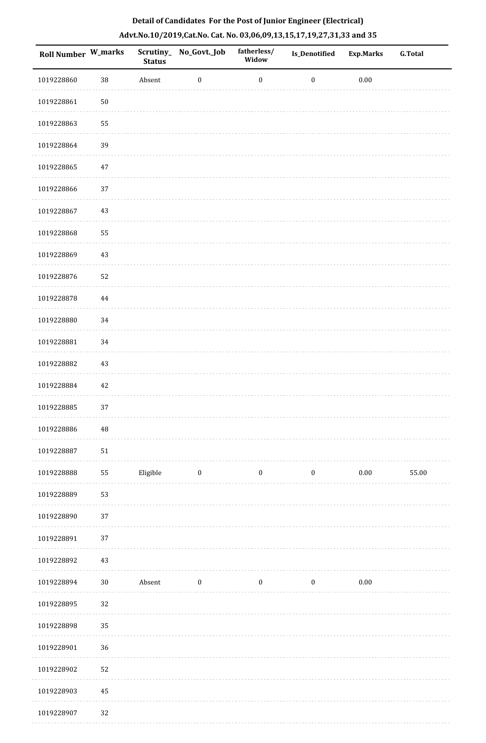| Roll Number W_marks |            | <b>Status</b> | Scrutiny_No_Govt._Job | fatherless/<br>Widow | Is_Denotified    | <b>Exp.Marks</b> | <b>G.Total</b> |
|---------------------|------------|---------------|-----------------------|----------------------|------------------|------------------|----------------|
| 1019228860          | $38\,$     | Absent        | $\boldsymbol{0}$      | $\boldsymbol{0}$     | $\boldsymbol{0}$ | $0.00\,$         |                |
| 1019228861          | ${\bf 50}$ |               |                       |                      |                  |                  |                |
| 1019228863          | 55         |               |                       |                      |                  |                  |                |
| 1019228864          | 39         |               |                       |                      |                  |                  |                |
| 1019228865          | 47         |               |                       |                      |                  |                  |                |
| 1019228866          | $37\,$     |               |                       |                      |                  |                  |                |
| 1019228867          | 43         |               |                       |                      |                  |                  |                |
| 1019228868          | 55         |               |                       |                      |                  |                  |                |
| 1019228869          | 43         |               |                       |                      |                  |                  |                |
| 1019228876          | 52         |               |                       |                      |                  |                  |                |
| 1019228878          | 44         |               |                       |                      |                  |                  |                |
| 1019228880          | 34         |               |                       |                      |                  |                  |                |
| 1019228881          | 34         |               |                       |                      |                  |                  |                |
| 1019228882          | 43         |               |                       |                      |                  |                  |                |
| 1019228884          | 42         |               |                       |                      |                  |                  |                |
| 1019228885          | 37         |               |                       |                      |                  |                  |                |
| 1019228886          | $\rm 48$   |               |                       |                      |                  |                  |                |
| 1019228887          | ${\bf 51}$ |               |                       |                      |                  |                  |                |
| 1019228888          | 55         | Eligible      | $\bf{0}$              | $\boldsymbol{0}$     | $\bf{0}$         | 0.00             | 55.00          |
| 1019228889          | 53         |               |                       |                      |                  |                  |                |
| 1019228890          | 37         |               |                       |                      |                  |                  |                |
| 1019228891          | 37         |               |                       |                      |                  |                  |                |
| 1019228892          | 43         |               |                       |                      |                  |                  |                |
| 1019228894          | $30\,$     | Absent        | $\boldsymbol{0}$      | $\boldsymbol{0}$     | $\mathbf{0}$     | $0.00\,$         |                |
| 1019228895          | 32         |               |                       |                      |                  |                  |                |
| 1019228898          | 35         |               |                       |                      |                  |                  |                |
| 1019228901          | 36         |               |                       |                      |                  |                  |                |
| 1019228902          | 52         |               |                       |                      |                  |                  |                |
| 1019228903          | 45         |               |                       |                      |                  |                  |                |
| 1019228907          | 32         |               |                       |                      |                  |                  |                |

1019228907 32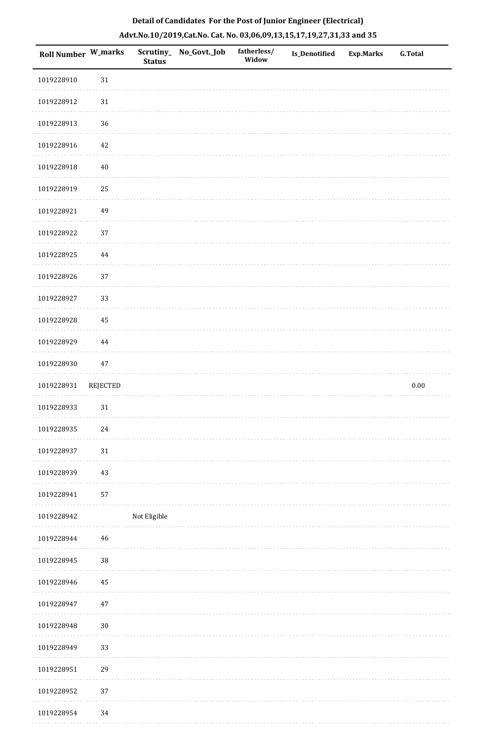| Roll Number W_marks |             | <b>Status</b> | Scrutiny_No_Govt._Job | fatherless/<br>Widow | Is_Denotified | <b>Exp.Marks</b> | <b>G.Total</b> |
|---------------------|-------------|---------------|-----------------------|----------------------|---------------|------------------|----------------|
| 1019228910          | $31\,$      |               |                       |                      |               |                  |                |
| 1019228912          | 31          |               |                       |                      |               |                  |                |
| 1019228913          | 36          |               |                       |                      |               |                  |                |
| 1019228916          | $42\,$      |               |                       |                      |               |                  |                |
| 1019228918          | $40\,$      |               |                       |                      |               |                  |                |
| 1019228919          | 25          |               |                       |                      |               |                  |                |
| 1019228921          | 49          |               |                       |                      |               |                  |                |
| 1019228922          | $37\,$      |               |                       |                      |               |                  |                |
| 1019228925          | $\bf 44$    |               |                       |                      |               |                  |                |
| 1019228926          | 37          |               |                       |                      |               |                  |                |
| 1019228927          | 33          |               |                       |                      |               |                  |                |
| 1019228928          | 45          |               |                       |                      |               |                  |                |
| 1019228929          | $\bf 44$    |               |                       |                      |               |                  |                |
| 1019228930          | $47\,$      |               |                       |                      |               |                  |                |
| 1019228931          | REJECTED    |               |                       |                      |               |                  | $0.00\,$       |
| 1019228933          | $31\,$      |               |                       |                      |               |                  |                |
| 1019228935          | $24\,$      |               |                       |                      |               |                  |                |
| 1019228937          | 31          |               |                       |                      |               |                  |                |
| 1019228939          | 43          |               |                       |                      |               |                  |                |
| 1019228941          | 57          |               |                       |                      |               |                  |                |
| 1019228942          |             | Not Eligible  |                       |                      |               |                  |                |
| 1019228944          | $\sqrt{46}$ |               |                       |                      |               |                  |                |
| 1019228945          | 38          |               |                       |                      |               |                  |                |
| 1019228946          | 45          |               |                       |                      |               |                  |                |
| 1019228947          | $47\,$      |               |                       |                      |               |                  |                |
| 1019228948          | $30\,$      |               |                       |                      |               |                  |                |
| 1019228949          | 33          |               |                       |                      |               |                  |                |
| 1019228951          | 29          |               |                       |                      |               |                  |                |
| 1019228952          | $37\,$      |               |                       |                      |               |                  |                |
| 1019228954          | 34          |               |                       |                      |               |                  |                |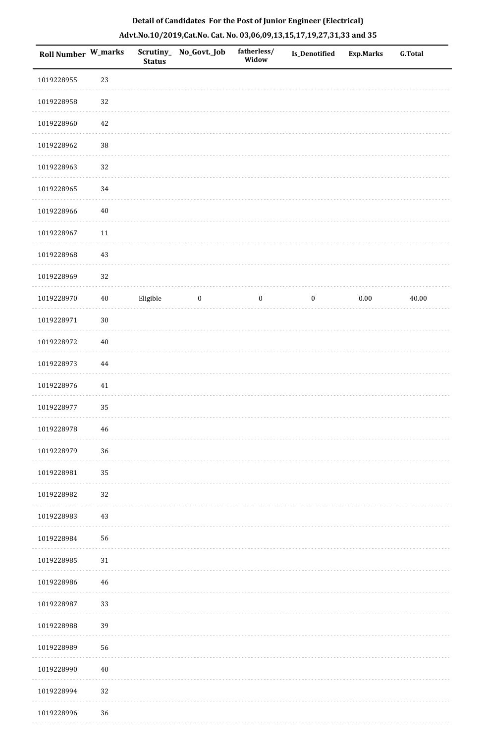| Roll Number W_marks |        | <b>Status</b> | Scrutiny_ No_Govt._Job | fatherless/<br>Widow | Is_Denotified    | <b>Exp.Marks</b> | <b>G.Total</b> |
|---------------------|--------|---------------|------------------------|----------------------|------------------|------------------|----------------|
| 1019228955          | 23     |               |                        |                      |                  |                  |                |
| 1019228958          | 32     |               |                        |                      |                  |                  |                |
| 1019228960          | 42     |               |                        |                      |                  |                  |                |
| 1019228962          | $38\,$ |               |                        |                      |                  |                  |                |
| 1019228963          | 32     |               |                        |                      |                  |                  |                |
| 1019228965          | 34     |               |                        |                      |                  |                  |                |
| 1019228966          | $40\,$ |               |                        |                      |                  |                  |                |
| 1019228967          | $11\,$ |               |                        |                      |                  |                  |                |
| 1019228968          | 43     |               |                        |                      |                  |                  |                |
| 1019228969          | 32     |               |                        |                      |                  |                  |                |
| 1019228970          | $40\,$ | Eligible      | $\bf{0}$               | $\boldsymbol{0}$     | $\boldsymbol{0}$ | 0.00             | 40.00          |
| 1019228971          | $30\,$ |               |                        |                      |                  |                  |                |
| 1019228972          | $40\,$ |               |                        |                      |                  |                  |                |
| 1019228973          | 44     |               |                        |                      |                  |                  |                |
| 1019228976          | $41\,$ |               |                        |                      |                  |                  |                |
| 1019228977          | 35     |               |                        |                      |                  |                  |                |
| 1019228978          | 46     |               |                        |                      |                  |                  |                |
| 1019228979          | 36     |               |                        |                      |                  |                  |                |
| 1019228981          | 35     |               |                        |                      |                  |                  |                |
| 1019228982          | 32     |               |                        |                      |                  |                  |                |
| 1019228983          | 43     |               |                        |                      |                  |                  |                |
| 1019228984          | 56     |               |                        |                      |                  |                  |                |
| 1019228985          | 31     |               |                        |                      |                  |                  |                |
| 1019228986          | 46     |               |                        |                      |                  |                  |                |
| 1019228987          | 33     |               |                        |                      |                  |                  |                |
| 1019228988          | 39     |               |                        |                      |                  |                  |                |
| 1019228989          | 56     |               |                        |                      |                  |                  |                |
| 1019228990          | $40\,$ |               |                        |                      |                  |                  |                |
| 1019228994          | 32     |               |                        |                      |                  |                  |                |
| 1019228996          | $36\,$ |               |                        |                      |                  |                  |                |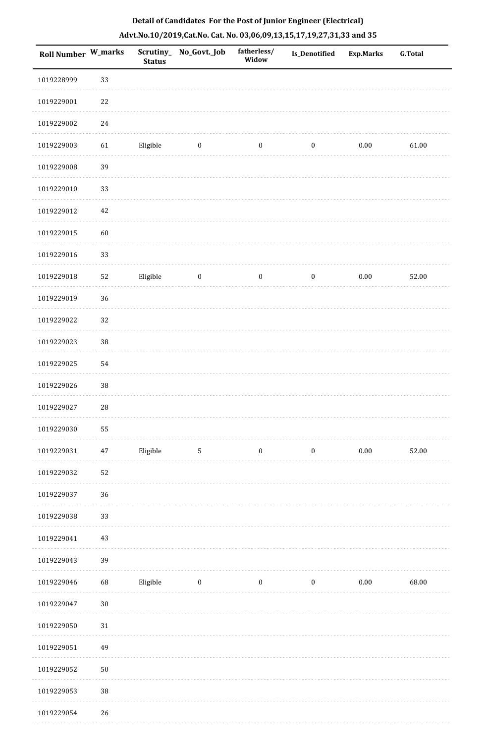| <b>Roll Number W_marks</b> |        | <b>Status</b> | Scrutiny_No_Govt._Job | fatherless/<br>Widow | Is_Denotified    | <b>Exp.Marks</b> | G.Total |
|----------------------------|--------|---------------|-----------------------|----------------------|------------------|------------------|---------|
| 1019228999                 | 33     |               |                       |                      |                  |                  |         |
| 1019229001                 | 22     |               |                       |                      |                  |                  |         |
| 1019229002                 | $24\,$ |               |                       |                      |                  |                  |         |
| 1019229003                 | 61     | Eligible      | $\boldsymbol{0}$      | $\boldsymbol{0}$     | $\boldsymbol{0}$ | $0.00\,$         | 61.00   |
| 1019229008                 | 39     |               |                       |                      |                  |                  |         |
| 1019229010                 | 33     |               |                       |                      |                  |                  |         |
| 1019229012                 | 42     |               |                       |                      |                  |                  |         |
| 1019229015                 | 60     |               |                       |                      |                  |                  |         |
| 1019229016                 | 33     |               |                       |                      |                  |                  |         |
| 1019229018                 | 52     | Eligible      | $\boldsymbol{0}$      | $\boldsymbol{0}$     | $\boldsymbol{0}$ | $0.00\,$         | 52.00   |
| 1019229019                 | 36     |               |                       |                      |                  |                  |         |
| 1019229022                 | 32     |               |                       |                      |                  |                  |         |
| 1019229023                 | $38\,$ |               |                       |                      |                  |                  |         |
| 1019229025                 | 54     |               |                       |                      |                  |                  |         |
| 1019229026                 | $38\,$ |               |                       |                      |                  |                  |         |
| 1019229027                 | $28\,$ |               |                       |                      |                  |                  |         |
| 1019229030                 | 55     |               |                       |                      |                  |                  |         |
| 1019229031                 | 47     | Eligible      | $\mathbf{5}$          | $\boldsymbol{0}$     | $\boldsymbol{0}$ | $0.00\,$         | 52.00   |
| 1019229032                 | 52     |               |                       |                      |                  |                  |         |
| 1019229037                 | 36     |               |                       |                      |                  |                  |         |
| 1019229038                 | 33     |               |                       |                      |                  |                  |         |
| 1019229041                 | 43     |               |                       |                      |                  |                  |         |
| 1019229043                 | 39     |               |                       |                      |                  |                  |         |
| 1019229046                 | 68     | Eligible      | $\bf{0}$              | $\boldsymbol{0}$     | $\boldsymbol{0}$ | $0.00\,$         | 68.00   |
| 1019229047                 | $30\,$ |               |                       |                      |                  |                  |         |
| 1019229050                 | 31     |               |                       |                      |                  |                  |         |
| 1019229051                 | 49     |               |                       |                      |                  |                  |         |
| 1019229052                 | $50\,$ |               |                       |                      |                  |                  |         |
| 1019229053                 | $38\,$ |               |                       |                      |                  |                  |         |
| 1019229054                 | 26     |               |                       |                      |                  |                  |         |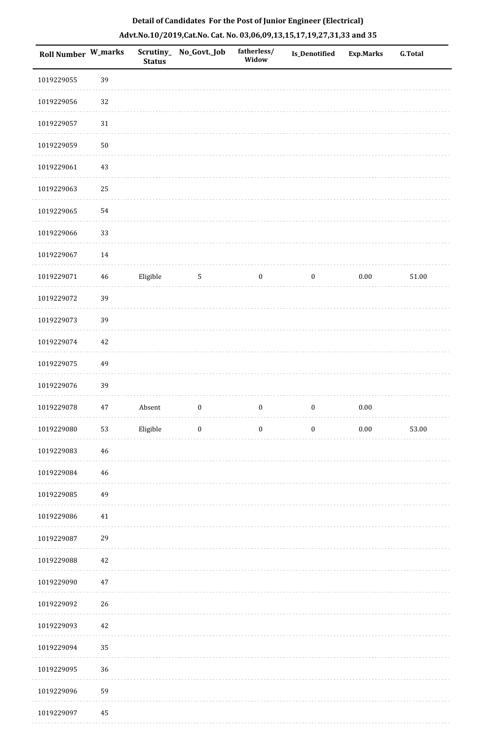| Roll Number W_marks |        | <b>Status</b> | Scrutiny_No_Govt._Job | fatherless/<br>Widow | Is_Denotified    | <b>Exp.Marks</b> | <b>G.Total</b> |
|---------------------|--------|---------------|-----------------------|----------------------|------------------|------------------|----------------|
| 1019229055          | 39     |               |                       |                      |                  |                  |                |
| 1019229056          | 32     |               |                       |                      |                  |                  |                |
| 1019229057          | $31\,$ |               |                       |                      |                  |                  |                |
| 1019229059          | 50     |               |                       |                      |                  |                  |                |
| 1019229061          | $43\,$ |               |                       |                      |                  |                  |                |
| 1019229063          | 25     |               |                       |                      |                  |                  |                |
| 1019229065          | 54     |               |                       |                      |                  |                  |                |
| 1019229066          | 33     |               |                       |                      |                  |                  |                |
| 1019229067          | 14     |               |                       |                      |                  |                  |                |
| 1019229071          | 46     | Eligible      | 5                     | $\boldsymbol{0}$     | $\boldsymbol{0}$ | 0.00             | 51.00          |
| 1019229072          | 39     |               |                       |                      |                  |                  |                |
| 1019229073          | 39     |               |                       |                      |                  |                  |                |
| 1019229074          | 42     |               |                       |                      |                  |                  |                |
| 1019229075          | 49     |               |                       |                      |                  |                  |                |
| 1019229076          | 39     |               |                       |                      |                  |                  |                |
| 1019229078          | 47     | Absent        | $\boldsymbol{0}$      | $\boldsymbol{0}$     | $\boldsymbol{0}$ | $0.00\,$         |                |
| 1019229080          | 53     | Eligible      | $\boldsymbol{0}$      | $\boldsymbol{0}$     | $\boldsymbol{0}$ | $0.00\,$         | 53.00          |
| 1019229083          | $46\,$ |               |                       |                      |                  |                  |                |
| 1019229084          | 46     |               |                       |                      |                  |                  |                |
| 1019229085          | 49     |               |                       |                      |                  |                  |                |
| 1019229086          | $41\,$ |               |                       |                      |                  |                  |                |
| 1019229087          | 29     |               |                       |                      |                  |                  |                |
| 1019229088          | 42     |               |                       |                      |                  |                  |                |
| 1019229090          | $47\,$ |               |                       |                      |                  |                  |                |
| 1019229092          | 26     |               |                       |                      |                  |                  |                |
| 1019229093          | 42     |               |                       |                      |                  |                  |                |
| 1019229094          | 35     |               |                       |                      |                  |                  |                |
| 1019229095          | 36     |               |                       |                      |                  |                  |                |
| 1019229096          | 59     |               |                       |                      |                  |                  |                |
| 1019229097          | 45     |               |                       |                      |                  |                  |                |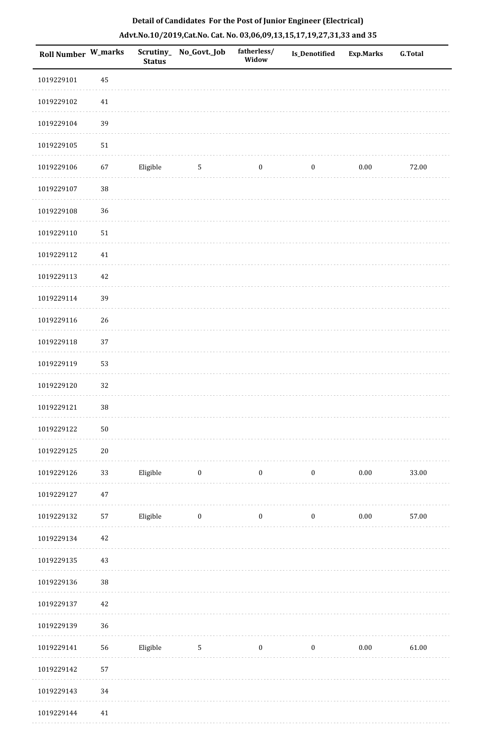| <b>Roll Number W_marks</b> |            | <b>Status</b> | Scrutiny_No_Govt._Job | fatherless/<br>Widow | Is_Denotified    | <b>Exp.Marks</b> | <b>G.Total</b> |
|----------------------------|------------|---------------|-----------------------|----------------------|------------------|------------------|----------------|
| 1019229101                 | 45         |               |                       |                      |                  |                  |                |
| 1019229102                 | $41\,$     |               |                       |                      |                  |                  |                |
| 1019229104                 | 39         |               |                       |                      |                  |                  |                |
| 1019229105                 | 51         |               |                       |                      |                  |                  |                |
| 1019229106                 | 67         | Eligible      | $\sqrt{5}$            | $\boldsymbol{0}$     | $\boldsymbol{0}$ | 0.00             | 72.00          |
| 1019229107                 | $38\,$     |               |                       |                      |                  |                  |                |
| 1019229108                 | 36         |               |                       |                      |                  |                  |                |
| 1019229110                 | 51         |               |                       |                      |                  |                  |                |
| 1019229112                 | $41\,$     |               |                       |                      |                  |                  |                |
| 1019229113                 | 42         |               |                       |                      |                  |                  |                |
| 1019229114                 | 39         |               |                       |                      |                  |                  |                |
| 1019229116                 | $26\,$     |               |                       |                      |                  |                  |                |
| 1019229118                 | 37         |               |                       |                      |                  |                  |                |
| 1019229119                 | 53         |               |                       |                      |                  |                  |                |
| 1019229120                 | 32         |               |                       |                      |                  |                  |                |
| 1019229121                 | 38         |               |                       |                      |                  |                  |                |
| 1019229122                 | ${\bf 50}$ |               |                       |                      |                  |                  |                |
| 1019229125                 | $20\,$     |               |                       |                      |                  |                  |                |
| 1019229126                 | 33         | Eligible      | $\boldsymbol{0}$      | $\boldsymbol{0}$     | $\boldsymbol{0}$ | $0.00\,$         | 33.00          |
| 1019229127                 | 47         |               |                       |                      |                  |                  |                |
| 1019229132                 | 57         | Eligible      | $\boldsymbol{0}$      | $\boldsymbol{0}$     | $\boldsymbol{0}$ | 0.00             | 57.00          |
| 1019229134                 | 42         |               |                       |                      |                  |                  |                |
| 1019229135                 | 43         |               |                       |                      |                  |                  |                |
| 1019229136                 | $38\,$     |               |                       |                      |                  |                  |                |
| 1019229137                 | 42         |               |                       |                      |                  |                  |                |
| 1019229139                 | 36         |               |                       |                      |                  |                  |                |
| 1019229141                 | 56         | Eligible      | $5\phantom{.0}$       | $\bf{0}$             | $\bf{0}$         | 0.00             | 61.00          |
| 1019229142                 | 57         |               |                       |                      |                  |                  |                |
| 1019229143                 | 34         |               |                       |                      |                  |                  |                |
| 1019229144                 | 41         |               |                       |                      |                  |                  |                |

1019229144 41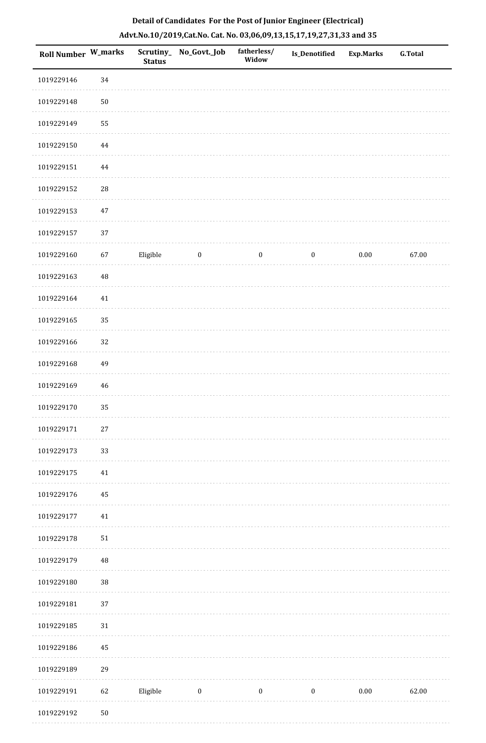| <b>Roll Number W_marks</b> |          | <b>Status</b> | Scrutiny_ No_Govt._Job | fatherless/<br>Widow | <b>Is_Denotified</b> | <b>Exp.Marks</b> | <b>G.Total</b> |
|----------------------------|----------|---------------|------------------------|----------------------|----------------------|------------------|----------------|
| 1019229146                 | 34       |               |                        |                      |                      |                  |                |
| 1019229148                 | $50\,$   |               |                        |                      |                      |                  |                |
| 1019229149                 | 55       |               |                        |                      |                      |                  |                |
| 1019229150                 | $\bf 44$ |               |                        |                      |                      |                  |                |
| 1019229151                 | 44       |               |                        |                      |                      |                  |                |
| 1019229152                 | 28       |               |                        |                      |                      |                  |                |
| 1019229153                 | $47\,$   |               |                        |                      |                      |                  |                |
| 1019229157                 | 37       |               |                        |                      |                      |                  |                |
| 1019229160                 | 67       | Eligible      | $\bf{0}$               | $\boldsymbol{0}$     | $\boldsymbol{0}$     | $0.00\,$         | 67.00          |
| 1019229163                 | 48       |               |                        |                      |                      |                  |                |
| 1019229164                 | 41       |               |                        |                      |                      |                  |                |
| 1019229165                 | 35       |               |                        |                      |                      |                  |                |
| 1019229166                 | 32       |               |                        |                      |                      |                  |                |
| 1019229168                 | 49       |               |                        |                      |                      |                  |                |
| 1019229169                 | 46       |               |                        |                      |                      |                  |                |
| 1019229170                 | 35       |               |                        |                      |                      |                  |                |
| 1019229171                 | $27\,$   |               |                        |                      |                      |                  |                |
| 1019229173                 | 33       |               |                        |                      |                      |                  |                |
| 1019229175                 | $41\,$   |               |                        |                      |                      |                  |                |
| 1019229176                 | 45       |               |                        |                      |                      |                  |                |
| 1019229177                 | $41\,$   |               |                        |                      |                      |                  |                |
| 1019229178                 | $51\,$   |               |                        |                      |                      |                  |                |
| 1019229179                 | $\rm 48$ |               |                        |                      |                      |                  |                |
| 1019229180                 | 38       |               |                        |                      |                      |                  |                |
| 1019229181                 | 37       |               |                        |                      |                      |                  |                |
| 1019229185                 | 31       |               |                        |                      |                      |                  |                |
| 1019229186                 | 45       |               |                        |                      |                      |                  |                |
| 1019229189                 | 29       |               |                        |                      |                      |                  |                |
| 1019229191                 | 62       | Eligible      | $\boldsymbol{0}$       | $\boldsymbol{0}$     | $\boldsymbol{0}$     | $0.00\,$         | 62.00          |
| 1019229192                 | $50\,$   |               |                        |                      |                      |                  |                |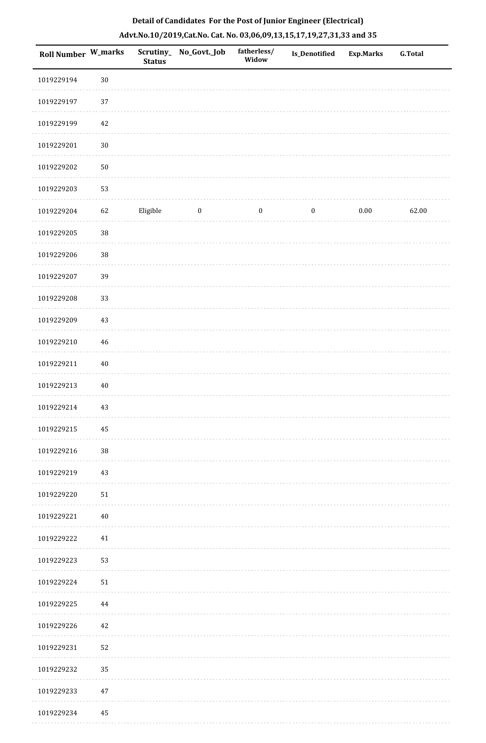| Roll Number W_marks |        | Scrutiny_<br><b>Status</b> | No_Govt._Job | fatherless/<br>Widow | Is_Denotified    | <b>Exp.Marks</b> | <b>G.Total</b> |
|---------------------|--------|----------------------------|--------------|----------------------|------------------|------------------|----------------|
| 1019229194          | $30\,$ |                            |              |                      |                  |                  |                |
| 1019229197          | 37     |                            |              |                      |                  |                  |                |
| 1019229199          | 42     |                            |              |                      |                  |                  |                |
| 1019229201          | $30\,$ |                            |              |                      |                  |                  |                |
| 1019229202          | $50\,$ |                            |              |                      |                  |                  |                |
| 1019229203          | 53     |                            |              |                      |                  |                  |                |
| 1019229204          | 62     | Eligible                   | $\bf{0}$     | $\boldsymbol{0}$     | $\boldsymbol{0}$ | 0.00             | 62.00          |
| 1019229205          | $38\,$ |                            |              |                      |                  |                  |                |
| 1019229206          | 38     |                            |              |                      |                  |                  |                |
| 1019229207          | 39     |                            |              |                      |                  |                  |                |
| 1019229208          | 33     |                            |              |                      |                  |                  |                |
| 1019229209          | 43     |                            |              |                      |                  |                  |                |
| 1019229210          | 46     |                            |              |                      |                  |                  |                |
| 1019229211          | $40\,$ |                            |              |                      |                  |                  |                |
| 1019229213          | $40\,$ |                            |              |                      |                  |                  |                |
| 1019229214          | 43     |                            |              |                      |                  |                  |                |
| 1019229215          | 45     |                            |              |                      |                  |                  |                |
| 1019229216          | $38\,$ |                            |              |                      |                  |                  |                |
| 1019229219          | 43     |                            |              |                      |                  |                  |                |
| 1019229220          | 51     |                            |              |                      |                  |                  |                |
| 1019229221          | 40     |                            |              |                      |                  |                  |                |
| 1019229222          | 41     |                            |              |                      |                  |                  |                |
| 1019229223          | 53     |                            |              |                      |                  |                  |                |
| 1019229224          | 51     |                            |              |                      |                  |                  |                |
| 1019229225          | 44     |                            |              |                      |                  |                  |                |
| 1019229226          | 42     |                            |              |                      |                  |                  |                |
| 1019229231          | 52     |                            |              |                      |                  |                  |                |
| 1019229232          | 35     |                            |              |                      |                  |                  |                |
| 1019229233          | 47     |                            |              |                      |                  |                  |                |
| 1019229234          | 45     |                            |              |                      |                  |                  |                |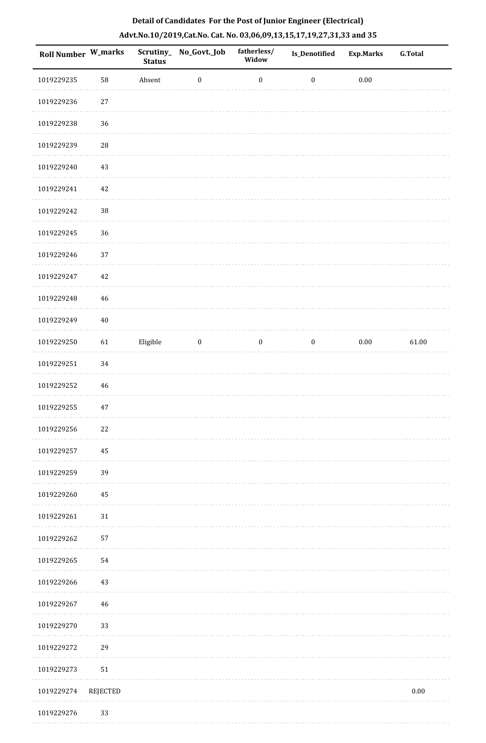| Roll Number W_marks |                 | <b>Status</b> | Scrutiny_No_Govt._Job | fatherless/<br>Widow | Is_Denotified    | <b>Exp.Marks</b> | <b>G.Total</b> |
|---------------------|-----------------|---------------|-----------------------|----------------------|------------------|------------------|----------------|
| 1019229235          | 58              | Absent        | $\boldsymbol{0}$      | $\boldsymbol{0}$     | $\boldsymbol{0}$ | $0.00\,$         |                |
| 1019229236          | $27\,$          |               |                       |                      |                  |                  |                |
| 1019229238          | 36              |               |                       |                      |                  |                  |                |
| 1019229239          | 28              |               |                       |                      |                  |                  |                |
| 1019229240          | 43              |               |                       |                      |                  |                  |                |
| 1019229241          | 42              |               |                       |                      |                  |                  |                |
| 1019229242          | $38\,$          |               |                       |                      |                  |                  |                |
| 1019229245          | 36              |               |                       |                      |                  |                  |                |
| 1019229246          | 37              |               |                       |                      |                  |                  |                |
| 1019229247          | 42              |               |                       |                      |                  |                  |                |
| 1019229248          | 46              |               |                       |                      |                  |                  |                |
| 1019229249          | $40\,$          |               |                       |                      |                  |                  |                |
| 1019229250          | 61              | Eligible      | $\boldsymbol{0}$      | $\boldsymbol{0}$     | $\boldsymbol{0}$ | $0.00\,$         | 61.00          |
| 1019229251          | 34              |               |                       |                      |                  |                  |                |
| 1019229252          | 46              |               |                       |                      |                  |                  |                |
| 1019229255          | $47\,$          |               |                       |                      |                  |                  |                |
| 1019229256          | 22              |               |                       |                      |                  |                  |                |
| 1019229257          | 45              |               |                       |                      |                  |                  |                |
| 1019229259          | 39              |               |                       |                      |                  |                  |                |
| 1019229260          | 45              |               |                       |                      |                  |                  |                |
| 1019229261          | $31\,$          |               |                       |                      |                  |                  |                |
| 1019229262          | 57              |               |                       |                      |                  |                  |                |
| 1019229265          | 54              |               |                       |                      |                  |                  |                |
| 1019229266          | 43              |               |                       |                      |                  |                  |                |
| 1019229267          | 46              |               |                       |                      |                  |                  |                |
| 1019229270          | 33              |               |                       |                      |                  |                  |                |
| 1019229272          | 29              |               |                       |                      |                  |                  |                |
| 1019229273          | 51              |               |                       |                      |                  |                  |                |
| 1019229274          | <b>REJECTED</b> |               |                       |                      |                  |                  | $0.00\,$       |
| 1019229276          | 33              |               |                       |                      |                  |                  |                |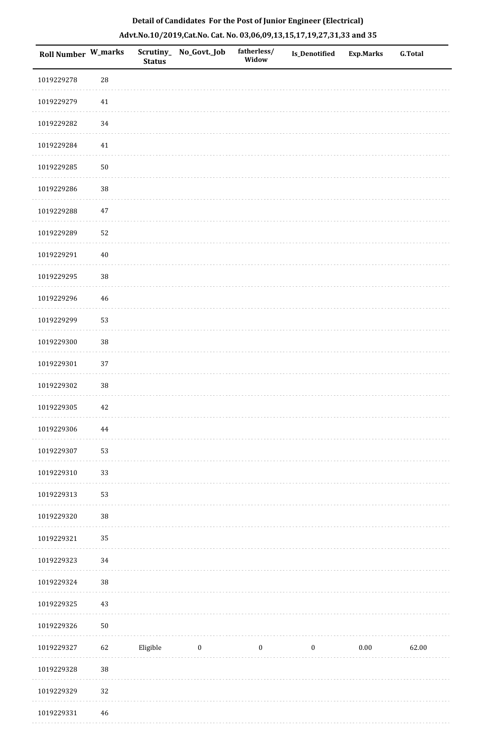| Roll Number W_marks |             | <b>Status</b> | Scrutiny_ No_Govt._Job | fatherless/<br>Widow | Is_Denotified | <b>Exp.Marks</b> | <b>G.Total</b> |
|---------------------|-------------|---------------|------------------------|----------------------|---------------|------------------|----------------|
| 1019229278          | 28          |               |                        |                      |               |                  |                |
| 1019229279          | 41          |               |                        |                      |               |                  |                |
| 1019229282          | 34          |               |                        |                      |               |                  |                |
| 1019229284          | 41          |               |                        |                      |               |                  |                |
| 1019229285          | $50\,$      |               |                        |                      |               |                  |                |
| 1019229286          | $38\,$      |               |                        |                      |               |                  |                |
| 1019229288          | 47          |               |                        |                      |               |                  |                |
| 1019229289          | 52          |               |                        |                      |               |                  |                |
| 1019229291          | $40\,$      |               |                        |                      |               |                  |                |
| 1019229295          | $38\,$      |               |                        |                      |               |                  |                |
| 1019229296          | 46          |               |                        |                      |               |                  |                |
| 1019229299          | 53          |               |                        |                      |               |                  |                |
| 1019229300          | $38\,$      |               |                        |                      |               |                  |                |
| 1019229301          | 37          |               |                        |                      |               |                  |                |
| 1019229302          | $38\,$      |               |                        |                      |               |                  |                |
| 1019229305          | 42          |               |                        |                      |               |                  |                |
| 1019229306          | $\bf 44$    |               |                        |                      |               |                  |                |
| 1019229307          | 53          |               |                        |                      |               |                  |                |
| 1019229310          | 33          |               |                        |                      |               |                  |                |
| 1019229313          | 53          |               |                        |                      |               |                  |                |
| 1019229320          | 38          |               |                        |                      |               |                  |                |
| 1019229321          | 35          |               |                        |                      |               |                  |                |
| 1019229323          | 34          |               |                        |                      |               |                  |                |
| 1019229324          | $38\,$      |               |                        |                      |               |                  |                |
| 1019229325          | 43          |               |                        |                      |               |                  |                |
| 1019229326          | $50\,$      |               |                        |                      |               |                  |                |
| 1019229327          | 62          | Eligible      | $\bf{0}$               | $\boldsymbol{0}$     | $\bf{0}$      | $0.00\,$         | 62.00          |
| 1019229328          | 38          |               |                        |                      |               |                  |                |
| 1019229329          | $32\,$      |               |                        |                      |               |                  |                |
| 1019229331          | $\sqrt{46}$ |               |                        |                      |               |                  |                |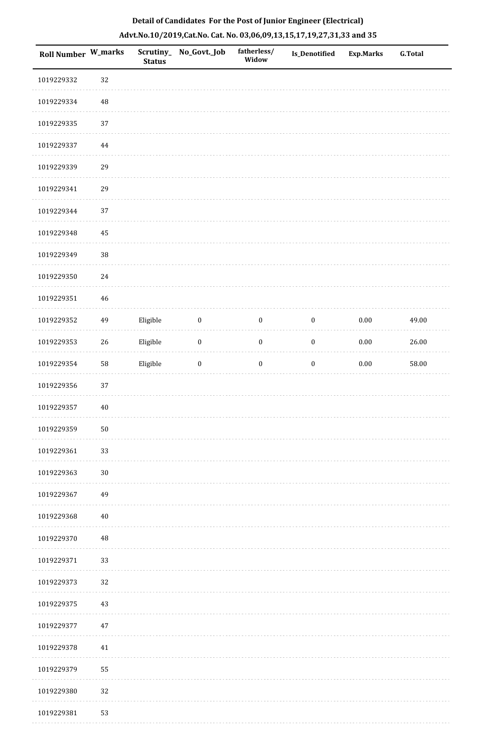| Roll Number W_marks |          | <b>Status</b> | Scrutiny_No_Govt._Job | fatherless/<br>Widow | Is_Denotified    | <b>Exp.Marks</b> | <b>G.Total</b> |
|---------------------|----------|---------------|-----------------------|----------------------|------------------|------------------|----------------|
| 1019229332          | 32       |               |                       |                      |                  |                  |                |
| 1019229334          | $\rm 48$ |               |                       |                      |                  |                  |                |
| 1019229335          | 37       |               |                       |                      |                  |                  |                |
| 1019229337          | $\bf 44$ |               |                       |                      |                  |                  |                |
| 1019229339          | 29       |               |                       |                      |                  |                  |                |
| 1019229341          | 29       |               |                       |                      |                  |                  |                |
| 1019229344          | 37       |               |                       |                      |                  |                  |                |
| 1019229348          | 45       |               |                       |                      |                  |                  |                |
| 1019229349          | 38       |               |                       |                      |                  |                  |                |
| 1019229350          | 24       |               |                       |                      |                  |                  |                |
| 1019229351          | 46       |               |                       |                      |                  |                  |                |
| 1019229352          | 49       | Eligible      | $\boldsymbol{0}$      | $\boldsymbol{0}$     | $\boldsymbol{0}$ | 0.00             | 49.00          |
| 1019229353          | 26       | Eligible      | $\boldsymbol{0}$      | $\boldsymbol{0}$     | $\boldsymbol{0}$ | $0.00\,$         | 26.00          |
| 1019229354          | 58       | Eligible      | $\boldsymbol{0}$      | $\boldsymbol{0}$     | $\boldsymbol{0}$ | $0.00\,$         | 58.00          |
| 1019229356          | 37       |               |                       |                      |                  |                  |                |
| 1019229357          | 40       |               |                       |                      |                  |                  |                |
| 1019229359          | $50\,$   |               |                       |                      |                  |                  |                |
| 1019229361          | 33       |               |                       |                      |                  |                  |                |
| 1019229363          | $30\,$   |               |                       |                      |                  |                  |                |
| 1019229367          | 49       |               |                       |                      |                  |                  |                |
| 1019229368          | $40\,$   |               |                       |                      |                  |                  |                |
| 1019229370          | 48       |               |                       |                      |                  |                  |                |
| 1019229371          | 33       |               |                       |                      |                  |                  |                |
| 1019229373          | 32       |               |                       |                      |                  |                  |                |
| 1019229375          | $43\,$   |               |                       |                      |                  |                  |                |
| 1019229377          | $47\,$   |               |                       |                      |                  |                  |                |
| 1019229378          | 41       |               |                       |                      |                  |                  |                |
| 1019229379          | 55       |               |                       |                      |                  |                  |                |
| 1019229380          | 32       |               |                       |                      |                  |                  |                |
| 1019229381          | 53       |               |                       |                      |                  |                  |                |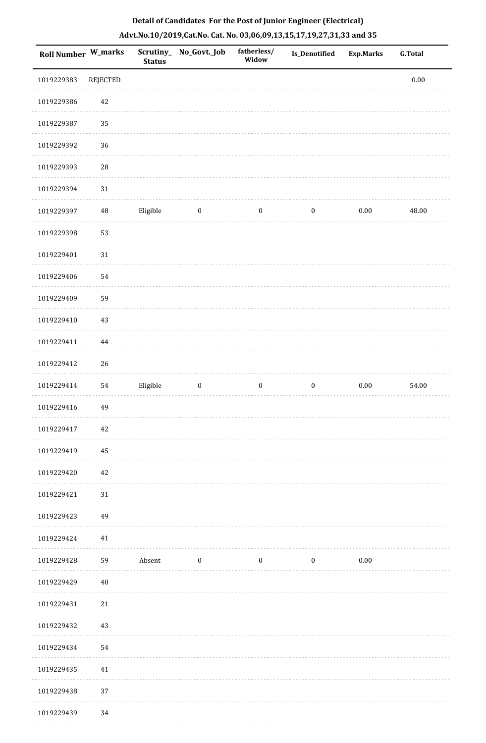|  | Detail of Candidates For the Post of Junior Engineer (Electrical)     |  |
|--|-----------------------------------------------------------------------|--|
|  | Advt.No.10/2019,Cat.No. Cat. No. 03,06,09,13,15,17,19,27,31,33 and 35 |  |

| Roll Number W_marks |             | <b>Status</b> | Scrutiny_ No_Govt._Job | fatherless/<br>Widow | <b>Is_Denotified</b> | <b>Exp.Marks</b> | <b>G.Total</b> |
|---------------------|-------------|---------------|------------------------|----------------------|----------------------|------------------|----------------|
| 1019229383          | REJECTED    |               |                        |                      |                      |                  | $0.00\,$       |
| 1019229386          | 42          |               |                        |                      |                      |                  |                |
| 1019229387          | 35          |               |                        |                      |                      |                  |                |
| 1019229392          | 36          |               |                        |                      |                      |                  |                |
| 1019229393          | ${\bf 28}$  |               |                        |                      |                      |                  |                |
| 1019229394          | $31\,$      |               |                        |                      |                      |                  |                |
| 1019229397          | $\sqrt{48}$ | Eligible      | $\boldsymbol{0}$       | $\boldsymbol{0}$     | $\boldsymbol{0}$     | $0.00\,$         | 48.00          |
| 1019229398          | 53          |               |                        |                      |                      |                  |                |
| 1019229401          | $31\,$      |               |                        |                      |                      |                  |                |
| 1019229406          | 54          |               |                        |                      |                      |                  |                |
| 1019229409          | 59          |               |                        |                      |                      |                  |                |
| 1019229410          | 43          |               |                        |                      |                      |                  |                |
| 1019229411          | 44          |               |                        |                      |                      |                  |                |
| 1019229412          | 26          |               |                        |                      |                      |                  |                |
| 1019229414          | 54          | Eligible      | $\boldsymbol{0}$       | $\boldsymbol{0}$     | $\boldsymbol{0}$     | $0.00\,$         | 54.00          |
| 1019229416          | 49          |               |                        |                      |                      |                  |                |
| 1019229417          | $42\,$      |               |                        |                      |                      |                  |                |
| 1019229419          | 45          |               |                        |                      |                      |                  |                |
| 1019229420          | 42          |               |                        |                      |                      |                  |                |
| 1019229421          | $31\,$      |               |                        |                      |                      |                  |                |
| 1019229423          | 49          |               |                        |                      |                      |                  |                |
| 1019229424          | 41          |               |                        |                      |                      |                  |                |
| 1019229428          | 59          | Absent        | $\bf{0}$               | $\boldsymbol{0}$     | $\boldsymbol{0}$     | $0.00\,$         |                |
| 1019229429          | $40\,$      |               |                        |                      |                      |                  |                |
| 1019229431          | $21\,$      |               |                        |                      |                      |                  |                |
| 1019229432          | 43          |               |                        |                      |                      |                  |                |
| 1019229434          | 54          |               |                        |                      |                      |                  |                |
| 1019229435          | 41          |               |                        |                      |                      |                  |                |
| 1019229438          | 37          |               |                        |                      |                      |                  |                |
| 1019229439          | 34          |               |                        |                      |                      |                  |                |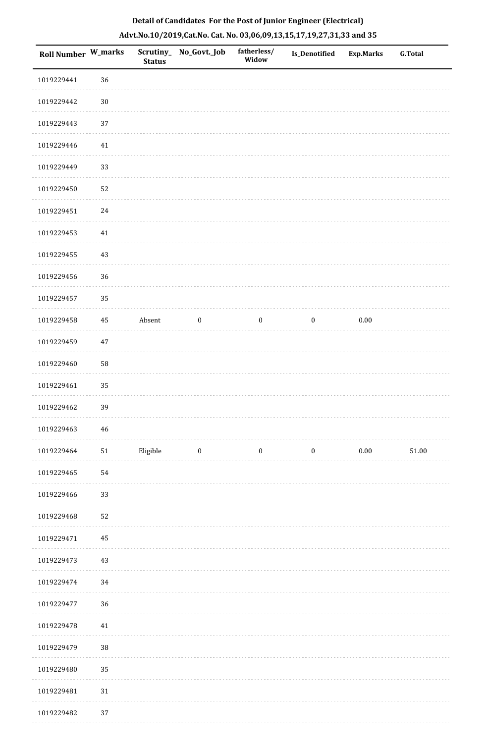| Roll Number W_marks |             | <b>Status</b> | Scrutiny_No_Govt._Job | fatherless/<br>Widow | Is_Denotified    | <b>Exp.Marks</b> | <b>G.Total</b> |
|---------------------|-------------|---------------|-----------------------|----------------------|------------------|------------------|----------------|
| 1019229441          | 36          |               |                       |                      |                  |                  |                |
| 1019229442          | $30\,$      |               |                       |                      |                  |                  |                |
| 1019229443          | 37          |               |                       |                      |                  |                  |                |
| 1019229446          | $41\,$      |               |                       |                      |                  |                  |                |
| 1019229449          | 33          |               |                       |                      |                  |                  |                |
| 1019229450          | 52          |               |                       |                      |                  |                  |                |
| 1019229451          | 24          |               |                       |                      |                  |                  |                |
| 1019229453          | 41          |               |                       |                      |                  |                  |                |
| 1019229455          | 43          |               |                       |                      |                  |                  |                |
| 1019229456          | 36          |               |                       |                      |                  |                  |                |
| 1019229457          | 35          |               |                       |                      |                  |                  |                |
| 1019229458          | $\rm 45$    | Absent        | $\boldsymbol{0}$      | $\boldsymbol{0}$     | $\boldsymbol{0}$ | $0.00\,$         |                |
| 1019229459          | $47\,$      |               |                       |                      |                  |                  |                |
| 1019229460          | 58          |               |                       |                      |                  |                  |                |
| 1019229461          | 35          |               |                       |                      |                  |                  |                |
| 1019229462          | 39          |               |                       |                      |                  |                  |                |
| 1019229463          | $\sqrt{46}$ |               |                       |                      |                  |                  |                |
| 1019229464          | ${\bf 51}$  | Eligible      | $\bf{0}$              | $\boldsymbol{0}$     | $\boldsymbol{0}$ | $0.00\,$         | 51.00          |
| 1019229465          | 54          |               |                       |                      |                  |                  |                |
| 1019229466          | 33          |               |                       |                      |                  |                  |                |
| 1019229468          | 52          |               |                       |                      |                  |                  |                |
| 1019229471          | 45          |               |                       |                      |                  |                  |                |
| 1019229473          | 43          |               |                       |                      |                  |                  |                |
| 1019229474          | 34          |               |                       |                      |                  |                  |                |
| 1019229477          | 36          |               |                       |                      |                  |                  |                |
| 1019229478          | $41\,$      |               |                       |                      |                  |                  |                |
| 1019229479          | $38\,$      |               |                       |                      |                  |                  |                |
| 1019229480          | 35          |               |                       |                      |                  |                  |                |
| 1019229481          | $31\,$      |               |                       |                      |                  |                  |                |
| 1019229482          | 37          |               |                       |                      |                  |                  |                |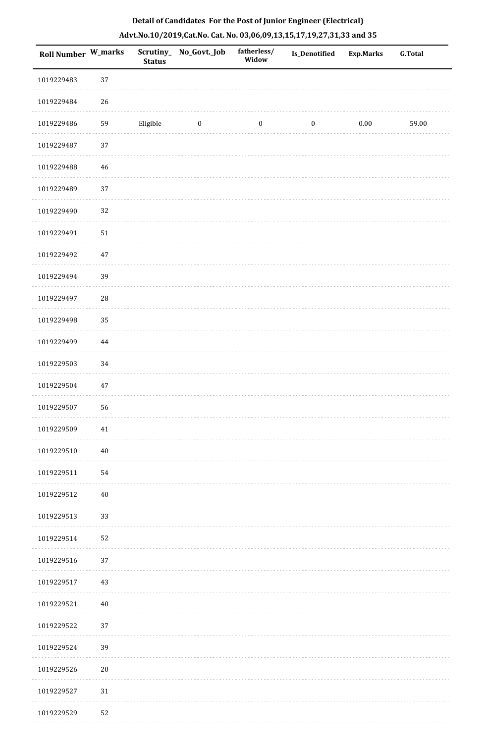| <b>Roll Number W_marks</b> |          | <b>Status</b> | Scrutiny_ No_Govt._Job  | fatherless/<br>Widow | <b>Is_Denotified</b> | <b>Exp.Marks</b> | <b>G.Total</b> |
|----------------------------|----------|---------------|-------------------------|----------------------|----------------------|------------------|----------------|
| 1019229483                 | $37\,$   |               |                         |                      |                      |                  |                |
| 1019229484                 | 26       |               |                         |                      |                      |                  |                |
| 1019229486                 | 59       | Eligible      | $\overline{\mathbf{0}}$ | $\boldsymbol{0}$     | $\boldsymbol{0}$     | $0.00\,$         | 59.00          |
| 1019229487                 | 37       |               |                         |                      |                      |                  |                |
| 1019229488                 | 46       |               |                         |                      |                      |                  |                |
| 1019229489                 | 37       |               |                         |                      |                      |                  |                |
| 1019229490                 | 32       |               |                         |                      |                      |                  |                |
| 1019229491                 | $51\,$   |               |                         |                      |                      |                  |                |
| 1019229492                 | $47\,$   |               |                         |                      |                      |                  |                |
| 1019229494                 | 39       |               |                         |                      |                      |                  |                |
| 1019229497                 | $28\,$   |               |                         |                      |                      |                  |                |
| 1019229498                 | 35       |               |                         |                      |                      |                  |                |
| 1019229499                 | $\bf 44$ |               |                         |                      |                      |                  |                |
| 1019229503                 | 34       |               |                         |                      |                      |                  |                |
| 1019229504                 | 47       |               |                         |                      |                      |                  |                |
| 1019229507                 | 56       |               |                         |                      |                      |                  |                |
| 1019229509                 | 41       |               |                         |                      |                      |                  |                |
| 1019229510                 | 40       |               |                         |                      |                      |                  |                |
| 1019229511                 | 54       |               |                         |                      |                      |                  |                |
| 1019229512                 | $40\,$   |               |                         |                      |                      |                  |                |
| 1019229513                 | 33       |               |                         |                      |                      |                  |                |
| 1019229514                 | 52       |               |                         |                      |                      |                  |                |
| 1019229516                 | 37       |               |                         |                      |                      |                  |                |
| 1019229517                 | 43       |               |                         |                      |                      |                  |                |
| 1019229521                 | $40\,$   |               |                         |                      |                      |                  |                |
| 1019229522                 | 37       |               |                         |                      |                      |                  |                |
| 1019229524                 | 39       |               |                         |                      |                      |                  |                |
| 1019229526                 | $20\,$   |               |                         |                      |                      |                  |                |
| 1019229527                 | $31\,$   |               |                         |                      |                      |                  |                |
| 1019229529                 | 52       |               |                         |                      |                      |                  |                |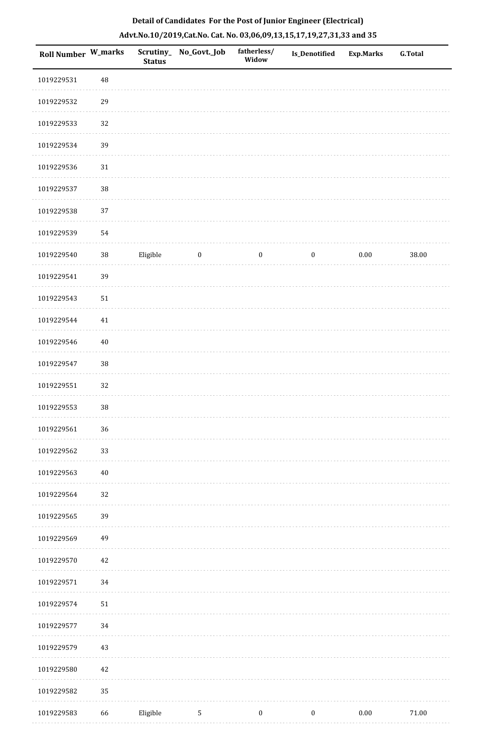| <b>Roll Number W_marks</b> |          | <b>Status</b> | Scrutiny_ No_Govt._Job | fatherless/<br>Widow | <b>Is_Denotified</b> | <b>Exp.Marks</b> | <b>G.Total</b> |
|----------------------------|----------|---------------|------------------------|----------------------|----------------------|------------------|----------------|
| 1019229531                 | $\rm 48$ |               |                        |                      |                      |                  |                |
| 1019229532                 | 29       |               |                        |                      |                      |                  |                |
| 1019229533                 | 32       |               |                        |                      |                      |                  |                |
| 1019229534                 | 39       |               |                        |                      |                      |                  |                |
| 1019229536                 | $31\,$   |               |                        |                      |                      |                  |                |
| 1019229537                 | 38       |               |                        |                      |                      |                  |                |
| 1019229538                 | 37       |               |                        |                      |                      |                  |                |
| 1019229539                 | 54       |               |                        |                      |                      |                  |                |
| 1019229540                 | $38\,$   | Eligible      | $\boldsymbol{0}$       | $\boldsymbol{0}$     | $\boldsymbol{0}$     | $0.00\,$         | 38.00          |
| 1019229541                 | 39       |               |                        |                      |                      |                  |                |
| 1019229543                 | 51       |               |                        |                      |                      |                  |                |
| 1019229544                 | 41       |               |                        |                      |                      |                  |                |
| 1019229546                 | $40\,$   |               |                        |                      |                      |                  |                |
| 1019229547                 | 38       |               |                        |                      |                      |                  |                |
| 1019229551                 | 32       |               |                        |                      |                      |                  |                |
| 1019229553                 | 38       |               |                        |                      |                      |                  |                |
| 1019229561                 | $36\,$   |               |                        |                      |                      |                  |                |
| 1019229562                 | 33       |               |                        |                      |                      |                  |                |
| 1019229563                 | $40\,$   |               |                        |                      |                      |                  |                |
| 1019229564                 | 32       |               |                        |                      |                      |                  |                |
| 1019229565                 | 39       |               |                        |                      |                      |                  |                |
| 1019229569                 | 49       |               |                        |                      |                      |                  |                |
| 1019229570                 | 42       |               |                        |                      |                      |                  |                |
| 1019229571                 | 34       |               |                        |                      |                      |                  |                |
| 1019229574                 | 51       |               |                        |                      |                      |                  |                |
| 1019229577                 | 34       |               |                        |                      |                      |                  |                |
| 1019229579                 | 43       |               |                        |                      |                      |                  |                |
| 1019229580                 | 42       |               |                        |                      |                      |                  |                |
| 1019229582                 | 35       |               |                        |                      |                      |                  |                |
| 1019229583                 | 66       | Eligible      | $\sqrt{5}$             | $\boldsymbol{0}$     | $\boldsymbol{0}$     | 0.00             | $71.00\,$      |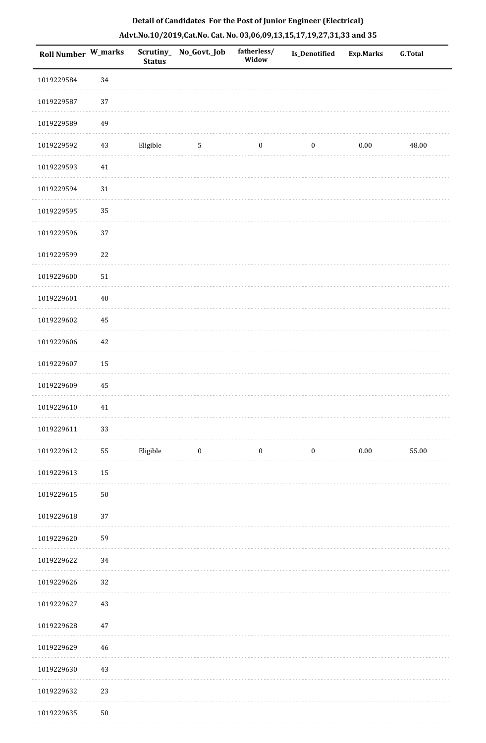| <b>Roll Number W_marks</b> |             | <b>Status</b> | Scrutiny_ No_Govt._Job | fatherless/<br>Widow | Is_Denotified    | <b>Exp.Marks</b> | <b>G.Total</b> |
|----------------------------|-------------|---------------|------------------------|----------------------|------------------|------------------|----------------|
| 1019229584                 | 34          |               |                        |                      |                  |                  |                |
| 1019229587                 | 37          |               |                        |                      |                  |                  |                |
| 1019229589                 | 49          |               |                        |                      |                  |                  |                |
| 1019229592                 | $43\,$      | Eligible      | 5                      | $\boldsymbol{0}$     | $\boldsymbol{0}$ | $0.00\,$         | 48.00          |
| 1019229593                 | $41\,$      |               |                        |                      |                  |                  |                |
| 1019229594                 | $31\,$      |               |                        |                      |                  |                  |                |
| 1019229595                 | 35          |               |                        |                      |                  |                  |                |
| 1019229596                 | 37          |               |                        |                      |                  |                  |                |
| 1019229599                 | 22          |               |                        |                      |                  |                  |                |
| 1019229600                 | 51          |               |                        |                      |                  |                  |                |
| 1019229601                 | $40\,$      |               |                        |                      |                  |                  |                |
| 1019229602                 | 45          |               |                        |                      |                  |                  |                |
| 1019229606                 | $42\,$      |               |                        |                      |                  |                  |                |
| 1019229607                 | 15          |               |                        |                      |                  |                  |                |
| 1019229609                 | 45          |               |                        |                      |                  |                  |                |
| 1019229610                 | 41          |               |                        |                      |                  |                  |                |
| 1019229611                 | 33          |               |                        |                      |                  |                  |                |
| 1019229612                 | 55          | Eligible      | $\bf{0}$               | $\bf{0}$             | $\boldsymbol{0}$ | $0.00\,$         | 55.00          |
| 1019229613                 | 15          |               |                        |                      |                  |                  |                |
| 1019229615                 | $50\,$      |               |                        |                      |                  |                  |                |
| 1019229618                 | 37          |               |                        |                      |                  |                  |                |
| 1019229620                 | 59          |               |                        |                      |                  |                  |                |
| 1019229622                 | 34          |               |                        |                      |                  |                  |                |
| 1019229626                 | 32          |               |                        |                      |                  |                  |                |
| 1019229627                 | 43          |               |                        |                      |                  |                  |                |
| 1019229628                 | 47          |               |                        |                      |                  |                  |                |
| 1019229629                 | $\sqrt{46}$ |               |                        |                      |                  |                  |                |
| 1019229630                 | $43\,$      |               |                        |                      |                  |                  |                |
| 1019229632                 | 23          |               |                        |                      |                  |                  |                |
| 1019229635                 | ${\bf 50}$  |               |                        |                      |                  |                  |                |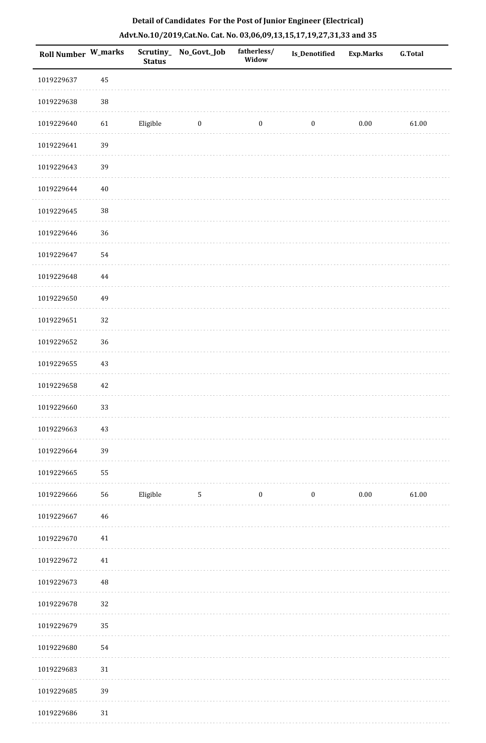| <b>Roll Number W_marks</b> |          | <b>Status</b> | Scrutiny_ No_Govt._Job | fatherless/<br>Widow | Is_Denotified    | <b>Exp.Marks</b> | <b>G.Total</b> |
|----------------------------|----------|---------------|------------------------|----------------------|------------------|------------------|----------------|
| 1019229637                 | 45       |               |                        |                      |                  |                  |                |
| 1019229638                 | $38\,$   |               |                        |                      |                  |                  |                |
| 1019229640                 | 61       | Eligible      | $\bf{0}$               | $\boldsymbol{0}$     | $\boldsymbol{0}$ | $0.00\,$         | 61.00          |
| 1019229641                 | 39       |               |                        |                      |                  |                  |                |
| 1019229643                 | 39       |               |                        |                      |                  |                  |                |
| 1019229644                 | $40\,$   |               |                        |                      |                  |                  |                |
| 1019229645                 | 38       |               |                        |                      |                  |                  |                |
| 1019229646                 | 36       |               |                        |                      |                  |                  |                |
| 1019229647                 | 54       |               |                        |                      |                  |                  |                |
| 1019229648                 | $\bf 44$ |               |                        |                      |                  |                  |                |
| 1019229650                 | 49       |               |                        |                      |                  |                  |                |
| 1019229651                 | 32       |               |                        |                      |                  |                  |                |
| 1019229652                 | 36       |               |                        |                      |                  |                  |                |
| 1019229655                 | 43       |               |                        |                      |                  |                  |                |
| 1019229658                 | $42\,$   |               |                        |                      |                  |                  |                |
| 1019229660                 | 33       |               |                        |                      |                  |                  |                |
| 1019229663                 | $43\,$   |               |                        |                      |                  |                  |                |
| 1019229664                 | 39       |               |                        |                      |                  |                  |                |
| 1019229665                 | 55       |               |                        |                      |                  |                  |                |
| 1019229666                 | 56       | Eligible      | 5                      | $\boldsymbol{0}$     | $\boldsymbol{0}$ | 0.00             | 61.00          |
| 1019229667                 | $46\,$   |               |                        |                      |                  |                  |                |
| 1019229670                 | $41\,$   |               |                        |                      |                  |                  |                |
| 1019229672                 | 41       |               |                        |                      |                  |                  |                |
| 1019229673                 | 48       |               |                        |                      |                  |                  |                |
| 1019229678                 | 32       |               |                        |                      |                  |                  |                |
| 1019229679                 | 35       |               |                        |                      |                  |                  |                |
| 1019229680                 | 54       |               |                        |                      |                  |                  |                |
| 1019229683                 | $31\,$   |               |                        |                      |                  |                  |                |
| 1019229685                 | 39       |               |                        |                      |                  |                  |                |
| 1019229686                 | $31\,$   |               |                        |                      |                  |                  |                |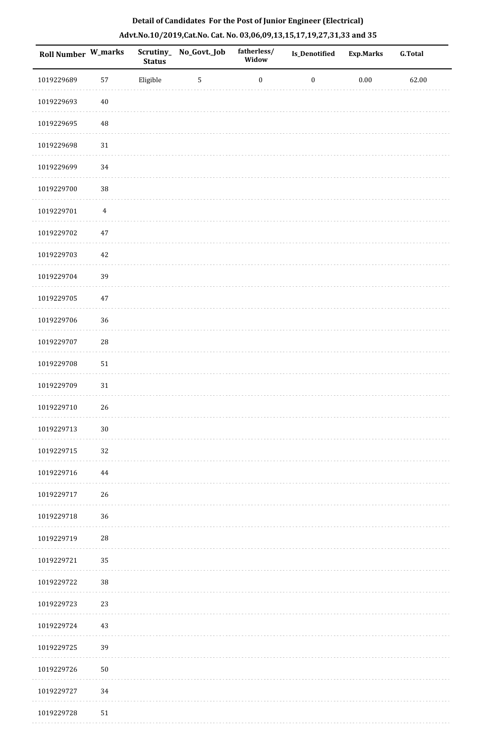| <b>Roll Number W_marks</b> |                | <b>Status</b> | Scrutiny_No_Govt._Job | fatherless/<br>Widow | Is_Denotified    | <b>Exp.Marks</b> | G.Total |
|----------------------------|----------------|---------------|-----------------------|----------------------|------------------|------------------|---------|
| 1019229689                 | 57             | Eligible      | $\overline{5}$        | $\boldsymbol{0}$     | $\boldsymbol{0}$ | $0.00\,$         | 62.00   |
| 1019229693                 | $40\,$         |               |                       |                      |                  |                  |         |
| 1019229695                 | 48             |               |                       |                      |                  |                  |         |
| 1019229698                 | $31\,$         |               |                       |                      |                  |                  |         |
| 1019229699                 | 34             |               |                       |                      |                  |                  |         |
| 1019229700                 | 38             |               |                       |                      |                  |                  |         |
| 1019229701                 | $\overline{4}$ |               |                       |                      |                  |                  |         |
| 1019229702                 | $47\,$         |               |                       |                      |                  |                  |         |
| 1019229703                 | $42\,$         |               |                       |                      |                  |                  |         |
| 1019229704                 | 39             |               |                       |                      |                  |                  |         |
| 1019229705                 | $47\,$         |               |                       |                      |                  |                  |         |
| 1019229706                 | 36             |               |                       |                      |                  |                  |         |
| 1019229707                 | $\sqrt{28}$    |               |                       |                      |                  |                  |         |
| 1019229708                 | $51\,$         |               |                       |                      |                  |                  |         |
| 1019229709                 | $31\,$         |               |                       |                      |                  |                  |         |
| 1019229710                 | 26             |               |                       |                      |                  |                  |         |
| 1019229713                 | $30\,$         |               |                       |                      |                  |                  |         |
| 1019229715                 | 32             |               |                       |                      |                  |                  |         |
| 1019229716                 | 44             |               |                       |                      |                  |                  |         |
| 1019229717                 | 26             |               |                       |                      |                  |                  |         |
| 1019229718                 | 36             |               |                       |                      |                  |                  |         |
| 1019229719                 | 28             |               |                       |                      |                  |                  |         |
| 1019229721                 | 35             |               |                       |                      |                  |                  |         |
| 1019229722                 | 38             |               |                       |                      |                  |                  |         |
| 1019229723                 | 23             |               |                       |                      |                  |                  |         |
| 1019229724                 | 43             |               |                       |                      |                  |                  |         |
| 1019229725                 | 39             |               |                       |                      |                  |                  |         |
| 1019229726                 | 50             |               |                       |                      |                  |                  |         |
| 1019229727                 | 34             |               |                       |                      |                  |                  |         |
| 1019229728                 | $51\,$         |               |                       |                      |                  |                  |         |

. . . . . . .

. . . . . . . . . .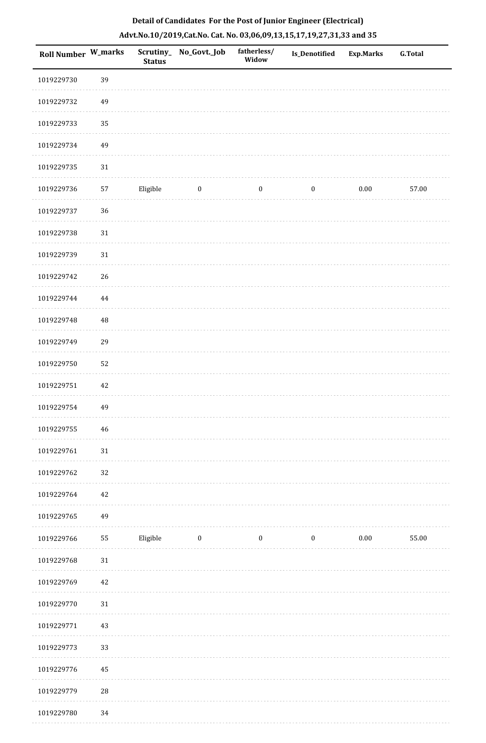| Roll Number W_marks |                | <b>Status</b> | Scrutiny_No_Govt._Job | fatherless/<br>Widow | Is_Denotified    | <b>Exp.Marks</b> | <b>G.Total</b> |
|---------------------|----------------|---------------|-----------------------|----------------------|------------------|------------------|----------------|
| 1019229730          | 39             |               |                       |                      |                  |                  |                |
| 1019229732          | 49             |               |                       |                      |                  |                  |                |
| 1019229733          | 35             |               |                       |                      |                  |                  |                |
| 1019229734          | 49             |               |                       |                      |                  |                  |                |
| 1019229735          | 31             |               |                       |                      |                  |                  |                |
| 1019229736          | 57             | Eligible      | $\boldsymbol{0}$      | $\boldsymbol{0}$     | $\boldsymbol{0}$ | $0.00\,$         | 57.00          |
| 1019229737          | 36             |               |                       |                      |                  |                  |                |
| 1019229738          | 31             |               |                       |                      |                  |                  |                |
| 1019229739          | 31             |               |                       |                      |                  |                  |                |
| 1019229742          | 26             |               |                       |                      |                  |                  |                |
| 1019229744          | $\bf 44$       |               |                       |                      |                  |                  |                |
| 1019229748          | 48             |               |                       |                      |                  |                  |                |
| 1019229749          | 29             |               |                       |                      |                  |                  |                |
| 1019229750          | 52             |               |                       |                      |                  |                  |                |
| 1019229751          | 42             |               |                       |                      |                  |                  |                |
| 1019229754          | 49             |               |                       |                      |                  |                  |                |
| 1019229755          | 46             |               |                       |                      |                  |                  |                |
| 1019229761          | 31             |               |                       |                      |                  |                  |                |
| 1019229762          | 32             |               |                       |                      |                  |                  |                |
| 1019229764          | 42             |               |                       |                      |                  |                  |                |
| 1019229765          | 49             |               |                       |                      |                  |                  |                |
| 1019229766          | ${\bf 55}$     | Eligible      | $\boldsymbol{0}$      | $\boldsymbol{0}$     | $\bf{0}$         | $0.00\,$         | 55.00          |
| 1019229768          | 31             |               |                       |                      |                  |                  |                |
| 1019229769          | 42             |               |                       |                      |                  |                  |                |
| 1019229770          | 31             |               |                       |                      |                  |                  |                |
| 1019229771          | 43             |               |                       |                      |                  |                  |                |
| 1019229773          | 33             |               |                       |                      |                  |                  |                |
| 1019229776          | 45             |               |                       |                      |                  |                  |                |
| 1019229779          | $\sqrt{28}$    |               |                       |                      |                  |                  |                |
| 1010220700          | 2 <sub>A</sub> |               |                       |                      |                  |                  |                |

 1019229780 34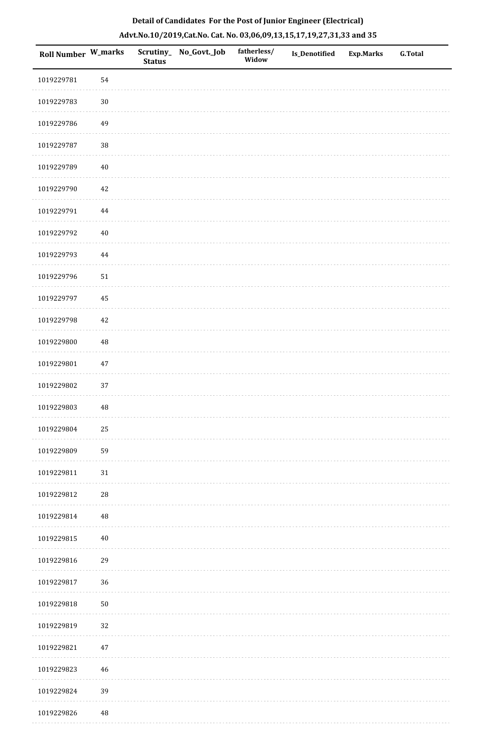| <b>Roll Number W_marks</b> |          | <b>Status</b> | Scrutiny_ No_Govt._Job | fatherless/<br>Widow | Is_Denotified | <b>Exp.Marks</b> | <b>G.Total</b> |
|----------------------------|----------|---------------|------------------------|----------------------|---------------|------------------|----------------|
| 1019229781                 | 54       |               |                        |                      |               |                  |                |
| 1019229783                 | $30\,$   |               |                        |                      |               |                  |                |
| 1019229786                 | 49       |               |                        |                      |               |                  |                |
| 1019229787                 | $38\,$   |               |                        |                      |               |                  |                |
| 1019229789                 | 40       |               |                        |                      |               |                  |                |
| 1019229790                 | 42       |               |                        |                      |               |                  |                |
| 1019229791                 | $\bf 44$ |               |                        |                      |               |                  |                |
| 1019229792                 | $40\,$   |               |                        |                      |               |                  |                |
| 1019229793                 | $\bf 44$ |               |                        |                      |               |                  |                |
| 1019229796                 | 51       |               |                        |                      |               |                  |                |
| 1019229797                 | 45       |               |                        |                      |               |                  |                |
| 1019229798                 | 42       |               |                        |                      |               |                  |                |
| 1019229800                 | $\rm 48$ |               |                        |                      |               |                  |                |
| 1019229801                 | 47       |               |                        |                      |               |                  |                |
| 1019229802                 | 37       |               |                        |                      |               |                  |                |
| 1019229803                 | $\rm 48$ |               |                        |                      |               |                  |                |
| 1019229804                 | 25       |               |                        |                      |               |                  |                |
| 1019229809                 | 59       |               |                        |                      |               |                  |                |
| 1019229811                 | 31       |               |                        |                      |               |                  |                |
| 1019229812                 | 28       |               |                        |                      |               |                  |                |
| 1019229814                 | $\rm 48$ |               |                        |                      |               |                  |                |
| 1019229815                 | $40\,$   |               |                        |                      |               |                  |                |
| 1019229816                 | 29       |               |                        |                      |               |                  |                |
| 1019229817                 | $36\,$   |               |                        |                      |               |                  |                |
| 1019229818                 | $50\,$   |               |                        |                      |               |                  |                |
| 1019229819                 | 32       |               |                        |                      |               |                  |                |
| 1019229821                 | $47\,$   |               |                        |                      |               |                  |                |
| 1019229823                 | 46       |               |                        |                      |               |                  |                |
| 1019229824                 | 39       |               |                        |                      |               |                  |                |
| 1019229826                 | $\bf 48$ |               |                        |                      |               |                  |                |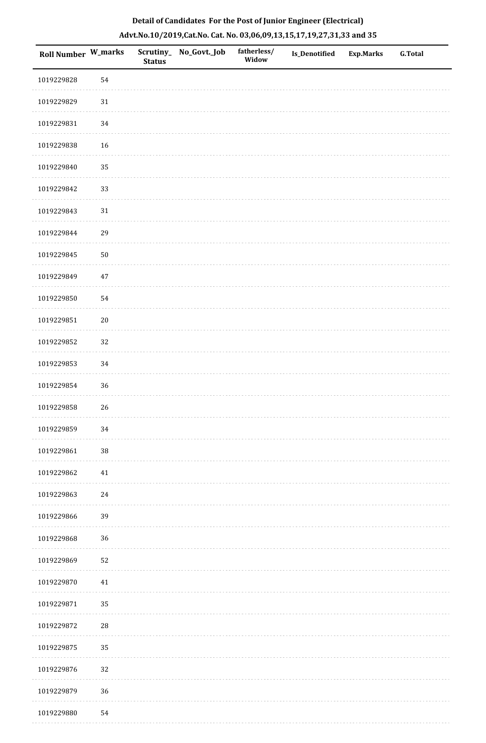| <b>Roll Number W_marks</b> |             | <b>Status</b> | Scrutiny_ No_Govt._Job | fatherless/<br>Widow | Is_Denotified | <b>Exp.Marks</b> | <b>G.Total</b> |
|----------------------------|-------------|---------------|------------------------|----------------------|---------------|------------------|----------------|
| 1019229828                 | 54          |               |                        |                      |               |                  |                |
| 1019229829                 | $31\,$      |               |                        |                      |               |                  |                |
| 1019229831                 | 34          |               |                        |                      |               |                  |                |
| 1019229838                 | 16          |               |                        |                      |               |                  |                |
| 1019229840                 | 35          |               |                        |                      |               |                  |                |
| 1019229842                 | 33          |               |                        |                      |               |                  |                |
| 1019229843                 | $31\,$      |               |                        |                      |               |                  |                |
| 1019229844                 | 29          |               |                        |                      |               |                  |                |
| 1019229845                 | $50\,$      |               |                        |                      |               |                  |                |
| 1019229849                 | $47\,$      |               |                        |                      |               |                  |                |
| 1019229850                 | 54          |               |                        |                      |               |                  |                |
| 1019229851                 | $20\,$      |               |                        |                      |               |                  |                |
| 1019229852                 | 32          |               |                        |                      |               |                  |                |
| 1019229853                 | 34          |               |                        |                      |               |                  |                |
| 1019229854                 | $36\,$      |               |                        |                      |               |                  |                |
| 1019229858                 | 26          |               |                        |                      |               |                  |                |
| 1019229859                 | 34          |               |                        |                      |               |                  |                |
| 1019229861                 | $38\,$      |               |                        |                      |               |                  |                |
| 1019229862                 | 41          |               |                        |                      |               |                  |                |
| 1019229863                 | 24          |               |                        |                      |               |                  |                |
| 1019229866                 | 39          |               |                        |                      |               |                  |                |
| 1019229868                 | 36          |               |                        |                      |               |                  |                |
| 1019229869                 | 52          |               |                        |                      |               |                  |                |
| 1019229870                 | 41          |               |                        |                      |               |                  |                |
| 1019229871                 | 35          |               |                        |                      |               |                  |                |
| 1019229872                 | $\sqrt{28}$ |               |                        |                      |               |                  |                |
| 1019229875                 | 35          |               |                        |                      |               |                  |                |
| 1019229876                 | 32          |               |                        |                      |               |                  |                |
| 1019229879                 | 36          |               |                        |                      |               |                  |                |
| 1019229880                 | 54          |               |                        |                      |               |                  |                |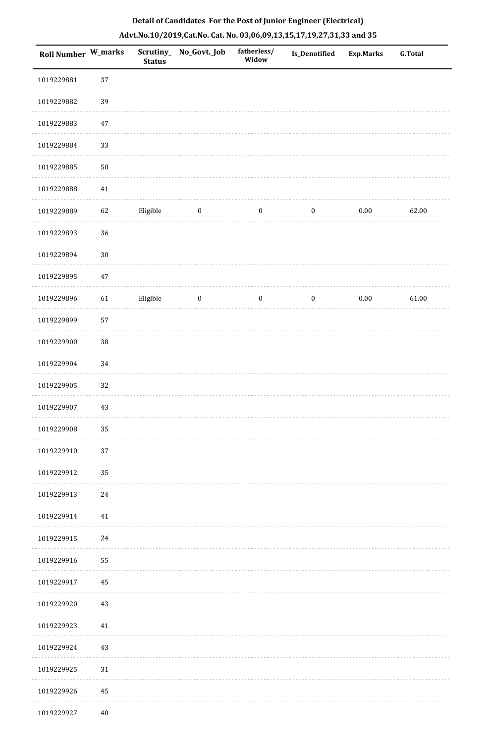| Roll Number W_marks |        | <b>Status</b> | Scrutiny_ No_Govt._Job | fatherless/<br>Widow | Is_Denotified    | <b>Exp.Marks</b> | <b>G.Total</b> |
|---------------------|--------|---------------|------------------------|----------------------|------------------|------------------|----------------|
| 1019229881          | 37     |               |                        |                      |                  |                  |                |
| 1019229882          | 39     |               |                        |                      |                  |                  |                |
| 1019229883          | 47     |               |                        |                      |                  |                  |                |
| 1019229884          | 33     |               |                        |                      |                  |                  |                |
| 1019229885          | $50\,$ |               |                        |                      |                  |                  |                |
| 1019229888          | 41     |               |                        |                      |                  |                  |                |
| 1019229889          | 62     | Eligible      | $\bf{0}$               | $\boldsymbol{0}$     | $\boldsymbol{0}$ | $0.00\,$         | 62.00          |
| 1019229893          | 36     |               |                        |                      |                  |                  |                |
| 1019229894          | $30\,$ |               |                        |                      |                  |                  |                |
| 1019229895          | $47\,$ |               |                        |                      |                  |                  |                |
| 1019229896          | 61     | Eligible      | $\bf{0}$               | $\boldsymbol{0}$     | $\boldsymbol{0}$ | 0.00             | 61.00          |
| 1019229899          | 57     |               |                        |                      |                  |                  |                |
| 1019229900          | 38     |               |                        |                      |                  |                  |                |
| 1019229904          | 34     |               |                        |                      |                  |                  |                |
| 1019229905          | 32     |               |                        |                      |                  |                  |                |
| 1019229907          | 43     |               |                        |                      |                  |                  |                |
| 1019229908          | 35     |               |                        |                      |                  |                  |                |
| 1019229910          | 37     |               |                        |                      |                  |                  |                |
| 1019229912          | 35     |               |                        |                      |                  |                  |                |
| 1019229913          | 24     |               |                        |                      |                  |                  |                |
| 1019229914          | $41\,$ |               |                        |                      |                  |                  |                |
| 1019229915          | 24     |               |                        |                      |                  |                  |                |
| 1019229916          | 55     |               |                        |                      |                  |                  |                |
| 1019229917          | 45     |               |                        |                      |                  |                  |                |
| 1019229920          | 43     |               |                        |                      |                  |                  |                |
| 1019229923          | 41     |               |                        |                      |                  |                  |                |
| 1019229924          | 43     |               |                        |                      |                  |                  |                |
| 1019229925          | 31     |               |                        |                      |                  |                  |                |
| 1019229926          | 45     |               |                        |                      |                  |                  |                |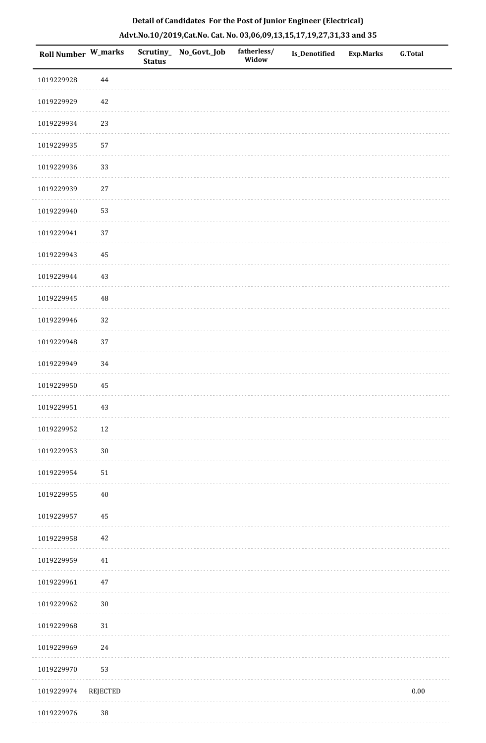| <b>Roll Number W_marks</b> |          | <b>Status</b> | Scrutiny_No_Govt._Job | fatherless/<br>Widow | <b>Is_Denotified</b> | <b>Exp.Marks</b> | <b>G.Total</b> |
|----------------------------|----------|---------------|-----------------------|----------------------|----------------------|------------------|----------------|
| 1019229928                 | $\bf 44$ |               |                       |                      |                      |                  |                |
| 1019229929                 | 42       |               |                       |                      |                      |                  |                |
| 1019229934                 | 23       |               |                       |                      |                      |                  |                |
| 1019229935                 | 57       |               |                       |                      |                      |                  |                |
| 1019229936                 | 33       |               |                       |                      |                      |                  |                |
| 1019229939                 | $27\,$   |               |                       |                      |                      |                  |                |
| 1019229940                 | 53       |               |                       |                      |                      |                  |                |
| 1019229941                 | $37\,$   |               |                       |                      |                      |                  |                |
| 1019229943                 | $\bf 45$ |               |                       |                      |                      |                  |                |
| 1019229944                 | 43       |               |                       |                      |                      |                  |                |
| 1019229945                 | $\rm 48$ |               |                       |                      |                      |                  |                |
| 1019229946                 | 32       |               |                       |                      |                      |                  |                |
| 1019229948                 | 37       |               |                       |                      |                      |                  |                |
| 1019229949                 | 34       |               |                       |                      |                      |                  |                |
| 1019229950                 | 45       |               |                       |                      |                      |                  |                |
| 1019229951                 | $43\,$   |               |                       |                      |                      |                  |                |
| 1019229952                 | 12       |               |                       |                      |                      |                  |                |
| 1019229953                 | $30\,$   |               |                       |                      |                      |                  |                |
| 1019229954                 | $51\,$   |               |                       |                      |                      |                  |                |
| 1019229955                 | $40\,$   |               |                       |                      |                      |                  |                |
| 1019229957                 | 45       |               |                       |                      |                      |                  |                |
| 1019229958                 | 42       |               |                       |                      |                      |                  |                |
| 1019229959                 | 41       |               |                       |                      |                      |                  |                |
| 1019229961                 | $47\,$   |               |                       |                      |                      |                  |                |
| 1019229962                 | $30\,$   |               |                       |                      |                      |                  |                |
| 1019229968                 | $31\,$   |               |                       |                      |                      |                  |                |
| 1019229969                 | 24       |               |                       |                      |                      |                  |                |
| 1019229970                 | 53       |               |                       |                      |                      |                  |                |
| 1019229974                 | REJECTED |               |                       |                      |                      |                  | $0.00\,$       |

1019229976 38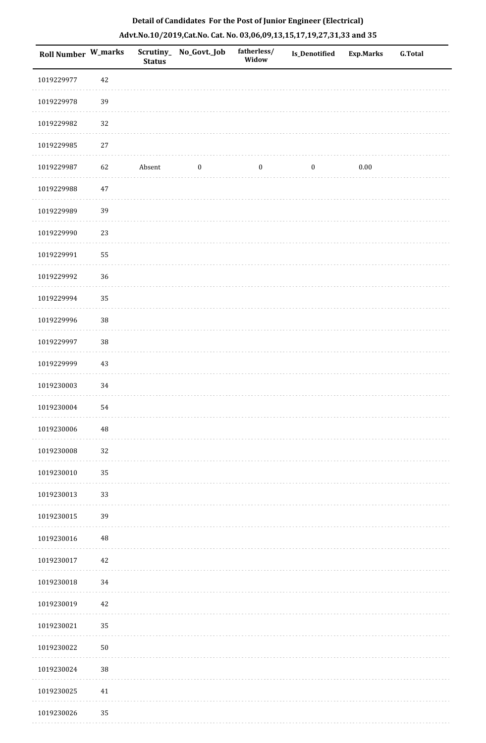| Roll Number W_marks |          | <b>Status</b> | Scrutiny_ No_Govt._Job | fatherless/<br>Widow | Is_Denotified    | <b>Exp.Marks</b> | <b>G.Total</b> |
|---------------------|----------|---------------|------------------------|----------------------|------------------|------------------|----------------|
| 1019229977          | $42\,$   |               |                        |                      |                  |                  |                |
| 1019229978          | 39       |               |                        |                      |                  |                  |                |
| 1019229982          | 32       |               |                        |                      |                  |                  |                |
| 1019229985          | $27\,$   |               |                        |                      |                  |                  |                |
| 1019229987          | 62       | Absent        | $\boldsymbol{0}$       | $\boldsymbol{0}$     | $\boldsymbol{0}$ | 0.00             |                |
| 1019229988          | $47\,$   |               |                        |                      |                  |                  |                |
| 1019229989          | 39       |               |                        |                      |                  |                  |                |
| 1019229990          | 23       |               |                        |                      |                  |                  |                |
| 1019229991          | 55       |               |                        |                      |                  |                  |                |
| 1019229992          | 36       |               |                        |                      |                  |                  |                |
| 1019229994          | 35       |               |                        |                      |                  |                  |                |
| 1019229996          | 38       |               |                        |                      |                  |                  |                |
| 1019229997          | 38       |               |                        |                      |                  |                  |                |
| 1019229999          | $43\,$   |               |                        |                      |                  |                  |                |
| 1019230003          | 34       |               |                        |                      |                  |                  |                |
| 1019230004          | 54       |               |                        |                      |                  |                  |                |
| 1019230006          | $\rm 48$ |               |                        |                      |                  |                  |                |
| 1019230008          | 32       |               |                        |                      |                  |                  |                |
| 1019230010          | 35       |               |                        |                      |                  |                  |                |
| 1019230013          | 33       |               |                        |                      |                  |                  |                |
| 1019230015          | 39       |               |                        |                      |                  |                  |                |
| 1019230016          | $\rm 48$ |               |                        |                      |                  |                  |                |
| 1019230017          | $42\,$   |               |                        |                      |                  |                  |                |
| 1019230018          | 34       |               |                        |                      |                  |                  |                |
| 1019230019          | $42\,$   |               |                        |                      |                  |                  |                |
| 1019230021          | 35       |               |                        |                      |                  |                  |                |
| 1019230022          | $50\,$   |               |                        |                      |                  |                  |                |
| 1019230024          | 38       |               |                        |                      |                  |                  |                |
| 1019230025          | 41       |               |                        |                      |                  |                  |                |
| 1019230026          | 35       |               |                        |                      |                  |                  |                |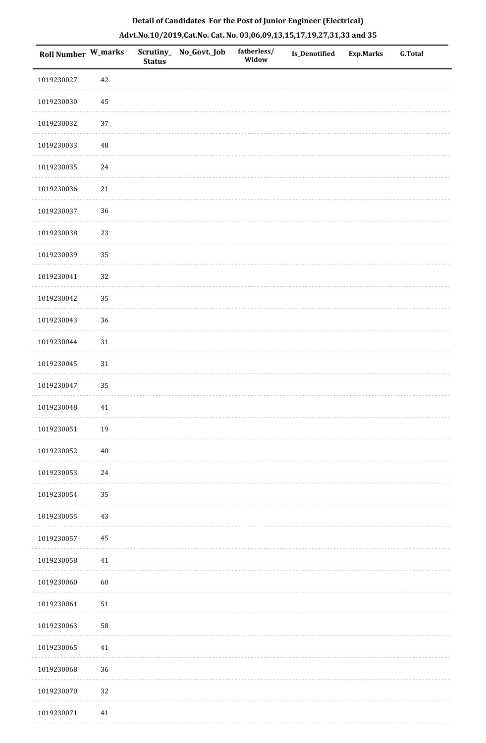|  | Detail of Candidates For the Post of Junior Engineer (Electrical)     |  |
|--|-----------------------------------------------------------------------|--|
|  | Advt.No.10/2019,Cat.No. Cat. No. 03,06,09,13,15,17,19,27,31,33 and 35 |  |

| <b>Roll Number W_marks</b> |            | <b>Status</b> | Scrutiny_ No_Govt._Job | fatherless/<br>Widow | Is_Denotified | <b>Exp.Marks</b> | <b>G.Total</b> |
|----------------------------|------------|---------------|------------------------|----------------------|---------------|------------------|----------------|
| 1019230027                 | $42\,$     |               |                        |                      |               |                  |                |
| 1019230030                 | $\rm 45$   |               |                        |                      |               |                  |                |
| 1019230032                 | 37         |               |                        |                      |               |                  |                |
| 1019230033                 | $\rm 48$   |               |                        |                      |               |                  |                |
| 1019230035                 | $24\,$     |               |                        |                      |               |                  |                |
| 1019230036                 | $21\,$     |               |                        |                      |               |                  |                |
| 1019230037                 | 36         |               |                        |                      |               |                  |                |
| 1019230038                 | 23         |               |                        |                      |               |                  |                |
| 1019230039                 | 35         |               |                        |                      |               |                  |                |
| 1019230041                 | 32         |               |                        |                      |               |                  |                |
| 1019230042                 | 35         |               |                        |                      |               |                  |                |
| 1019230043                 | 36         |               |                        |                      |               |                  |                |
| 1019230044                 | 31         |               |                        |                      |               |                  |                |
| 1019230045                 | $31\,$     |               |                        |                      |               |                  |                |
| 1019230047                 | 35         |               |                        |                      |               |                  |                |
| 1019230048                 | $41\,$     |               |                        |                      |               |                  |                |
| 1019230051                 | 19         |               |                        |                      |               |                  |                |
| 1019230052                 | $40\,$     |               |                        |                      |               |                  |                |
| 1019230053                 | $24\,$     |               |                        |                      |               |                  |                |
| 1019230054                 | 35         |               |                        |                      |               |                  |                |
| 1019230055                 | 43         |               |                        |                      |               |                  |                |
| 1019230057                 | 45         |               |                        |                      |               |                  |                |
| 1019230058                 | 41         |               |                        |                      |               |                  |                |
| 1019230060                 | 60         |               |                        |                      |               |                  |                |
| 1019230061                 | ${\bf 51}$ |               |                        |                      |               |                  |                |
| 1019230063                 | 58         |               |                        |                      |               |                  |                |
| 1019230065                 | 41         |               |                        |                      |               |                  |                |
| 1019230068                 | 36         |               |                        |                      |               |                  |                |
| 1019230070                 | 32         |               |                        |                      |               |                  |                |
| 1019230071                 | 41         |               |                        |                      |               |                  |                |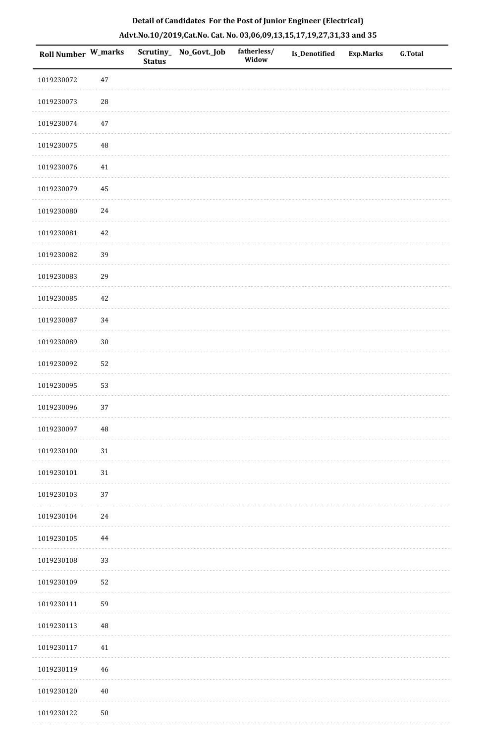| <b>Roll Number W_marks</b> |          | <b>Status</b> | Scrutiny_ No_Govt._Job | fatherless/<br>Widow | Is_Denotified | <b>Exp.Marks</b> | <b>G.Total</b> |
|----------------------------|----------|---------------|------------------------|----------------------|---------------|------------------|----------------|
| 1019230072                 | $47\,$   |               |                        |                      |               |                  |                |
| 1019230073                 | $28\,$   |               |                        |                      |               |                  |                |
| 1019230074                 | $47\,$   |               |                        |                      |               |                  |                |
| 1019230075                 | $\rm 48$ |               |                        |                      |               |                  |                |
| 1019230076                 | 41       |               |                        |                      |               |                  |                |
| 1019230079                 | 45       |               |                        |                      |               |                  |                |
| 1019230080                 | 24       |               |                        |                      |               |                  |                |
| 1019230081                 | 42       |               |                        |                      |               |                  |                |
| 1019230082                 | 39       |               |                        |                      |               |                  |                |
| 1019230083                 | 29       |               |                        |                      |               |                  |                |
| 1019230085                 | $42\,$   |               |                        |                      |               |                  |                |
| 1019230087                 | 34       |               |                        |                      |               |                  |                |
| 1019230089                 | $30\,$   |               |                        |                      |               |                  |                |
| 1019230092                 | 52       |               |                        |                      |               |                  |                |
| 1019230095                 | 53       |               |                        |                      |               |                  |                |
| 1019230096                 | 37       |               |                        |                      |               |                  |                |
| 1019230097                 | $\rm 48$ |               |                        |                      |               |                  |                |
| 1019230100                 | $31\,$   |               |                        |                      |               |                  |                |
| 1019230101                 | $31\,$   |               |                        |                      |               |                  |                |
| 1019230103                 | 37       |               |                        |                      |               |                  |                |
| 1019230104                 | 24       |               |                        |                      |               |                  |                |
| 1019230105                 | 44       |               |                        |                      |               |                  |                |
| 1019230108                 | 33       |               |                        |                      |               |                  |                |
| 1019230109                 | 52       |               |                        |                      |               |                  |                |
| 1019230111                 | 59       |               |                        |                      |               |                  |                |
| 1019230113                 | $\rm 48$ |               |                        |                      |               |                  |                |
| 1019230117                 | 41       |               |                        |                      |               |                  |                |
| 1019230119                 | 46       |               |                        |                      |               |                  |                |
| 1019230120                 | $40\,$   |               |                        |                      |               |                  |                |
| 1019230122                 | $50\,$   |               |                        |                      |               |                  |                |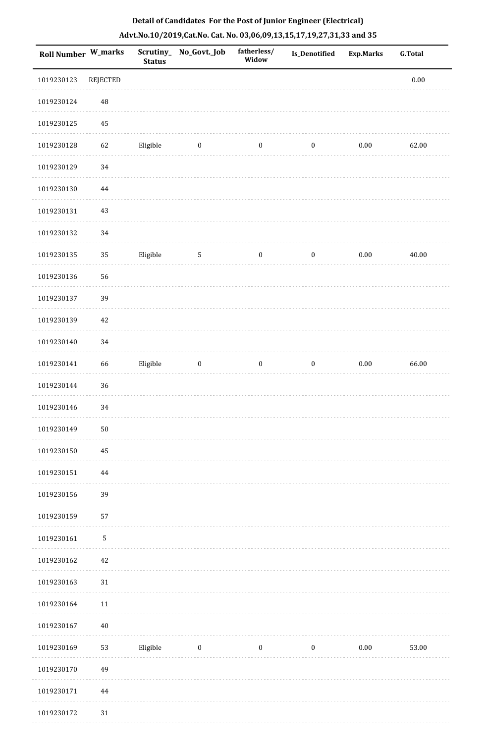| Roll Number W_marks |          | <b>Status</b> | Scrutiny_No_Govt._Job | fatherless/<br>Widow | Is_Denotified    | <b>Exp.Marks</b> | <b>G.Total</b> |
|---------------------|----------|---------------|-----------------------|----------------------|------------------|------------------|----------------|
| 1019230123          | REJECTED |               |                       |                      |                  |                  | 0.00           |
| 1019230124          | $\rm 48$ |               |                       |                      |                  |                  |                |
| 1019230125          | $45\,$   |               |                       |                      |                  |                  |                |
| 1019230128          | 62       | Eligible      | $\boldsymbol{0}$      | $\boldsymbol{0}$     | $\boldsymbol{0}$ | $0.00\,$         | 62.00          |
| 1019230129          | 34       |               |                       |                      |                  |                  |                |
| 1019230130          | 44       |               |                       |                      |                  |                  |                |
| 1019230131          | 43       |               |                       |                      |                  |                  |                |
| 1019230132          | $34\,$   |               |                       |                      |                  |                  |                |
| 1019230135          | 35       | Eligible      | $\sqrt{5}$            | $\boldsymbol{0}$     | $\boldsymbol{0}$ | $0.00\,$         | 40.00          |
| 1019230136          | 56       |               |                       |                      |                  |                  |                |
| 1019230137          | 39       |               |                       |                      |                  |                  |                |
| 1019230139          | 42       |               |                       |                      |                  |                  |                |
| 1019230140          | 34       |               |                       |                      |                  |                  |                |
| 1019230141          | 66       | Eligible      | $\boldsymbol{0}$      | $\boldsymbol{0}$     | $\boldsymbol{0}$ | $0.00\,$         | 66.00          |
| 1019230144          | 36       |               |                       |                      |                  |                  |                |
| 1019230146          | 34       |               |                       |                      |                  |                  |                |
| 1019230149          | 50       |               |                       |                      |                  |                  |                |
| 1019230150          | 45       |               |                       |                      |                  |                  |                |
| 1019230151          | $\bf 44$ |               |                       |                      |                  |                  |                |
| 1019230156          | 39       |               |                       |                      |                  |                  |                |
| 1019230159          | 57       |               |                       |                      |                  |                  |                |
| 1019230161          | 5        |               |                       |                      |                  |                  |                |
| 1019230162          | 42       |               |                       |                      |                  |                  |                |
| 1019230163          | 31       |               |                       |                      |                  |                  |                |
| 1019230164          | 11       |               |                       |                      |                  |                  |                |
| 1019230167          | $40\,$   |               |                       |                      |                  |                  |                |
| 1019230169          | 53       | Eligible      | $\bf{0}$              | $\boldsymbol{0}$     | $\boldsymbol{0}$ | $0.00\,$         | 53.00          |
| 1019230170          | 49       |               |                       |                      |                  |                  |                |
| 1019230171          | $\bf 44$ |               |                       |                      |                  |                  |                |
| 1019230172          | 31       |               |                       |                      |                  |                  |                |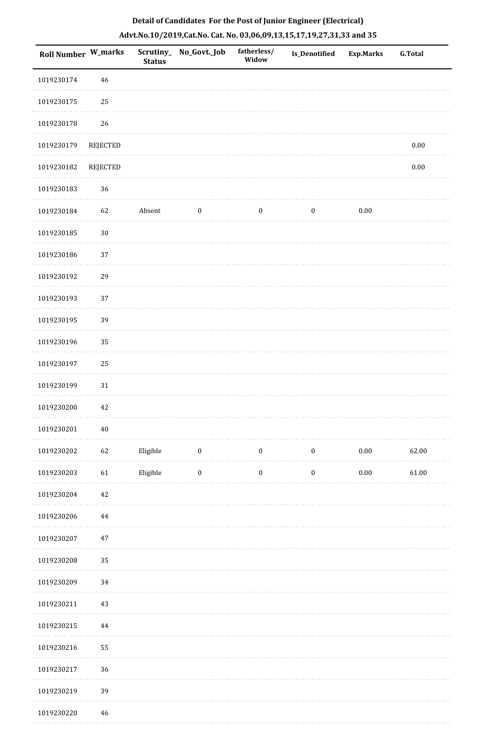| <b>Roll Number W_marks</b> |                 | <b>Status</b> | Scrutiny_ No_Govt._Job | fatherless/<br>Widow | <b>Is_Denotified</b> | <b>Exp.Marks</b> | <b>G.Total</b> |
|----------------------------|-----------------|---------------|------------------------|----------------------|----------------------|------------------|----------------|
| 1019230174                 | 46              |               |                        |                      |                      |                  |                |
| 1019230175                 | 25              |               |                        |                      |                      |                  |                |
| 1019230178                 | 26              |               |                        |                      |                      |                  |                |
| 1019230179                 | <b>REJECTED</b> |               |                        |                      |                      |                  | $0.00\,$       |
| 1019230182                 | <b>REJECTED</b> |               |                        |                      |                      |                  | $0.00\,$       |
| 1019230183                 | 36              |               |                        |                      |                      |                  |                |
| 1019230184                 | 62              | Absent        | $\boldsymbol{0}$       | $\boldsymbol{0}$     | $\boldsymbol{0}$     | $0.00\,$         |                |
| 1019230185                 | $30\,$          |               |                        |                      |                      |                  |                |
| 1019230186                 | 37              |               |                        |                      |                      |                  |                |
| 1019230192                 | 29              |               |                        |                      |                      |                  |                |
| 1019230193                 | 37              |               |                        |                      |                      |                  |                |
| 1019230195                 | 39              |               |                        |                      |                      |                  |                |
| 1019230196                 | 35              |               |                        |                      |                      |                  |                |
| 1019230197                 | 25              |               |                        |                      |                      |                  |                |
| 1019230199                 | 31              |               |                        |                      |                      |                  |                |
| 1019230200                 | $42\,$          |               |                        |                      |                      |                  |                |
| 1019230201                 | $40\,$          |               |                        |                      |                      |                  |                |
| 1019230202                 | 62              | Eligible      | $\bf{0}$               | $\bf{0}$             | $\boldsymbol{0}$     | $0.00\,$         | 62.00          |
| 1019230203                 | 61              | Eligible      | $\boldsymbol{0}$       | $\boldsymbol{0}$     | $\boldsymbol{0}$     | $0.00\,$         | 61.00          |
| 1019230204                 | $42\,$          |               |                        |                      |                      |                  |                |
| 1019230206                 | 44              |               |                        |                      |                      |                  |                |
| 1019230207                 | $47\,$          |               |                        |                      |                      |                  |                |
| 1019230208                 | 35              |               |                        |                      |                      |                  |                |
| 1019230209                 | 34              |               |                        |                      |                      |                  |                |
| 1019230211                 | 43              |               |                        |                      |                      |                  |                |
| 1019230215                 | 44              |               |                        |                      |                      |                  |                |
| 1019230216                 | 55              |               |                        |                      |                      |                  |                |
| 1019230217                 | 36              |               |                        |                      |                      |                  |                |
| 1019230219                 | 39              |               |                        |                      |                      |                  |                |
| 1019230220                 | $\sqrt{46}$     |               |                        |                      |                      |                  |                |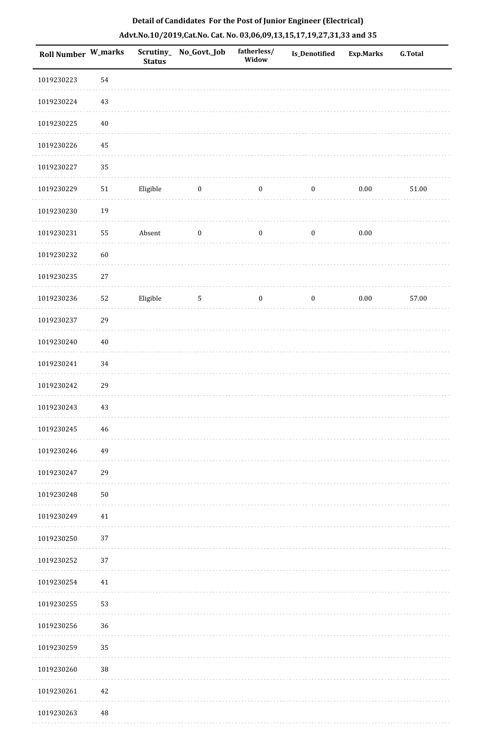| Roll Number W_marks |        | <b>Status</b> | Scrutiny_No_Govt._Job | fatherless/<br>Widow | Is_Denotified    | <b>Exp.Marks</b> | G.Total |
|---------------------|--------|---------------|-----------------------|----------------------|------------------|------------------|---------|
| 1019230223          | 54     |               |                       |                      |                  |                  |         |
| 1019230224          | 43     |               |                       |                      |                  |                  |         |
| 1019230225          | $40\,$ |               |                       |                      |                  |                  |         |
| 1019230226          | 45     |               |                       |                      |                  |                  |         |
| 1019230227          | 35     |               |                       |                      |                  |                  |         |
| 1019230229          | 51     | Eligible      | $\boldsymbol{0}$      | $\boldsymbol{0}$     | $\boldsymbol{0}$ | $0.00\,$         | 51.00   |
| 1019230230          | 19     |               |                       |                      |                  |                  |         |
| 1019230231          | 55     | Absent        | $\bf{0}$              | $\bf{0}$             | $\boldsymbol{0}$ | $0.00\,$         |         |
| 1019230232          | 60     |               |                       |                      |                  |                  |         |
| 1019230235          | $27\,$ |               |                       |                      |                  |                  |         |
| 1019230236          | 52     | Eligible      | $5\phantom{.0}$       | $\bf{0}$             | $\boldsymbol{0}$ | $0.00\,$         | 57.00   |
| 1019230237          | 29     |               |                       |                      |                  |                  |         |
| 1019230240          | $40\,$ |               |                       |                      |                  |                  |         |
| 1019230241          | 34     |               |                       |                      |                  |                  |         |
| 1019230242          | 29     |               |                       |                      |                  |                  |         |
| 1019230243          | 43     |               |                       |                      |                  |                  |         |
| 1019230245          | 46     |               |                       |                      |                  |                  |         |
| 1019230246          | 49     |               |                       |                      |                  |                  |         |
| 1019230247          | 29     |               |                       |                      |                  |                  |         |
| 1019230248          | $50\,$ |               |                       |                      |                  |                  |         |
| 1019230249          | 41     |               |                       |                      |                  |                  |         |
| 1019230250          | 37     |               |                       |                      |                  |                  |         |
| 1019230252          | 37     |               |                       |                      |                  |                  |         |
| 1019230254          | $41\,$ |               |                       |                      |                  |                  |         |
| 1019230255          | 53     |               |                       |                      |                  |                  |         |
| 1019230256          | 36     |               |                       |                      |                  |                  |         |
| 1019230259          | 35     |               |                       |                      |                  |                  |         |
| 1019230260          | 38     |               |                       |                      |                  |                  |         |
| 1019230261          | $42\,$ |               |                       |                      |                  |                  |         |
| 1019230263          | 48     |               |                       |                      |                  |                  |         |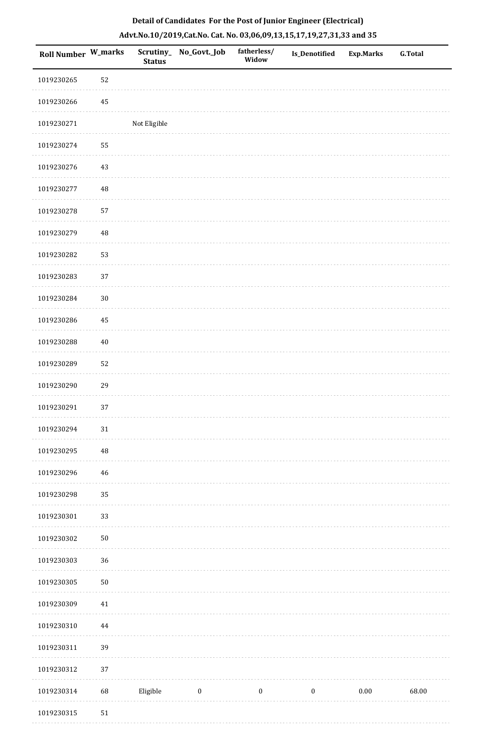| Roll Number W_marks |          | <b>Status</b> | Scrutiny_No_Govt._Job | fatherless/<br>Widow | <b>Is_Denotified</b> | <b>Exp.Marks</b> | <b>G.Total</b> |
|---------------------|----------|---------------|-----------------------|----------------------|----------------------|------------------|----------------|
| 1019230265          | 52       |               |                       |                      |                      |                  |                |
| 1019230266          | 45       |               |                       |                      |                      |                  |                |
| 1019230271          |          | Not Eligible  |                       |                      |                      |                  |                |
| 1019230274          | 55       |               |                       |                      |                      |                  |                |
| 1019230276          | $43\,$   |               |                       |                      |                      |                  |                |
| 1019230277          | 48       |               |                       |                      |                      |                  |                |
| 1019230278          | 57       |               |                       |                      |                      |                  |                |
| 1019230279          | 48       |               |                       |                      |                      |                  |                |
| 1019230282          | 53       |               |                       |                      |                      |                  |                |
| 1019230283          | 37       |               |                       |                      |                      |                  |                |
| 1019230284          | $30\,$   |               |                       |                      |                      |                  |                |
| 1019230286          | 45       |               |                       |                      |                      |                  |                |
| 1019230288          | $40\,$   |               |                       |                      |                      |                  |                |
| 1019230289          | 52       |               |                       |                      |                      |                  |                |
| 1019230290          | 29       |               |                       |                      |                      |                  |                |
| 1019230291          | 37       |               |                       |                      |                      |                  |                |
| 1019230294          | $31\,$   |               |                       |                      |                      |                  |                |
| 1019230295          | $\rm 48$ |               |                       |                      |                      |                  |                |
| 1019230296          | 46       |               |                       |                      |                      |                  |                |
| 1019230298          | 35       |               |                       |                      |                      |                  |                |
| 1019230301          | 33       |               |                       |                      |                      |                  |                |
| 1019230302          | $50\,$   |               |                       |                      |                      |                  |                |
| 1019230303          | 36       |               |                       |                      |                      |                  |                |
| 1019230305          | $50\,$   |               |                       |                      |                      |                  |                |
| 1019230309          | 41       |               |                       |                      |                      |                  |                |
| 1019230310          | 44       |               |                       |                      |                      |                  |                |
| 1019230311          | 39       |               |                       |                      |                      |                  |                |
| 1019230312          | 37       |               |                       |                      |                      |                  |                |
| 1019230314          | 68       | Eligible      | $\boldsymbol{0}$      | $\boldsymbol{0}$     | $\boldsymbol{0}$     | $0.00\,$         | 68.00          |
| 1019230315          | $51\,$   |               |                       |                      |                      |                  |                |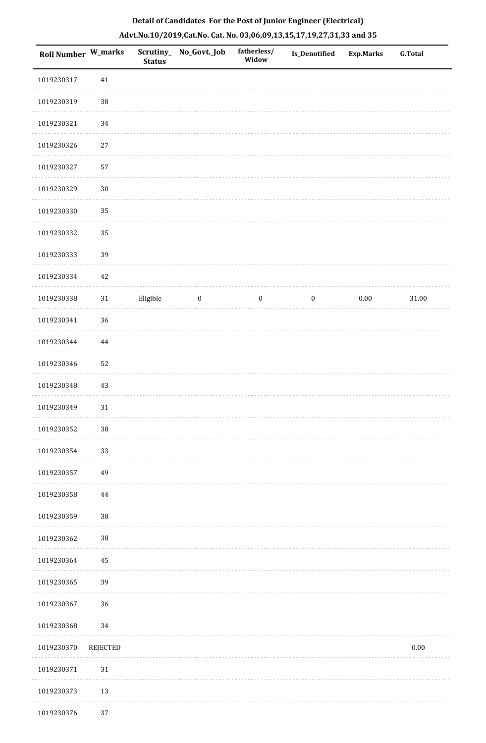| Roll Number W_marks |          | <b>Status</b> | Scrutiny_ No_Govt._Job | fatherless/<br>Widow | Is_Denotified    | <b>Exp.Marks</b> | G.Total   |
|---------------------|----------|---------------|------------------------|----------------------|------------------|------------------|-----------|
| 1019230317          | $41\,$   |               |                        |                      |                  |                  |           |
| 1019230319          | $38\,$   |               |                        |                      |                  |                  |           |
| 1019230321          | $34\,$   |               |                        |                      |                  |                  |           |
| 1019230326          | $27\,$   |               |                        |                      |                  |                  |           |
| 1019230327          | 57       |               |                        |                      |                  |                  |           |
| 1019230329          | $30\,$   |               |                        |                      |                  |                  |           |
| 1019230330          | 35       |               |                        |                      |                  |                  |           |
| 1019230332          | 35       |               |                        |                      |                  |                  |           |
| 1019230333          | 39       |               |                        |                      |                  |                  |           |
| 1019230334          | $42\,$   |               |                        |                      |                  |                  |           |
| 1019230338          | 31       | Eligible      | $\bf{0}$               | $\boldsymbol{0}$     | $\boldsymbol{0}$ | $0.00\,$         | $31.00\,$ |
| 1019230341          | 36       |               |                        |                      |                  |                  |           |
| 1019230344          | $\bf 44$ |               |                        |                      |                  |                  |           |
| 1019230346          | 52       |               |                        |                      |                  |                  |           |
| 1019230348          | $43\,$   |               |                        |                      |                  |                  |           |
| 1019230349          | $31\,$   |               |                        |                      |                  |                  |           |
| 1019230352          | $38\,$   |               |                        |                      |                  |                  |           |
| 1019230354          | 33       |               |                        |                      |                  |                  |           |
| 1019230357          | 49       |               |                        |                      |                  |                  |           |
| 1019230358          | 44       |               |                        |                      |                  |                  |           |
| 1019230359          | 38       |               |                        |                      |                  |                  |           |
| 1019230362          | 38       |               |                        |                      |                  |                  |           |
| 1019230364          | 45       |               |                        |                      |                  |                  |           |
| 1019230365          | 39       |               |                        |                      |                  |                  |           |
| 1019230367          | 36       |               |                        |                      |                  |                  |           |
| 1019230368          | 34       |               |                        |                      |                  |                  |           |
| 1019230370          | REJECTED |               |                        |                      |                  |                  | $0.00\,$  |
| 1019230371          | $31\,$   |               |                        |                      |                  |                  |           |
| 1019230373          | $13\,$   |               |                        |                      |                  |                  |           |
| 1019230376          | 37       |               |                        |                      |                  |                  |           |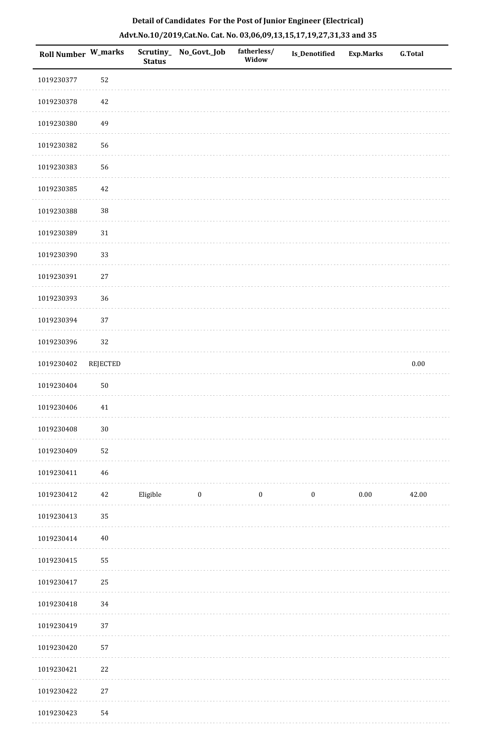| Roll Number W_marks |                 | Scrutiny_<br><b>Status</b> | No_Govt._Job | fatherless/<br>Widow | Is_Denotified    | <b>Exp.Marks</b> | G.Total  |
|---------------------|-----------------|----------------------------|--------------|----------------------|------------------|------------------|----------|
| 1019230377          | 52              |                            |              |                      |                  |                  |          |
| 1019230378          | 42              |                            |              |                      |                  |                  |          |
| 1019230380          | 49              |                            |              |                      |                  |                  |          |
| 1019230382          | 56              |                            |              |                      |                  |                  |          |
| 1019230383          | 56              |                            |              |                      |                  |                  |          |
| 1019230385          | 42              |                            |              |                      |                  |                  |          |
| 1019230388          | $38\,$          |                            |              |                      |                  |                  |          |
| 1019230389          | $31\,$          |                            |              |                      |                  |                  |          |
| 1019230390          | 33              |                            |              |                      |                  |                  |          |
| 1019230391          | $27\,$          |                            |              |                      |                  |                  |          |
| 1019230393          | $36\,$          |                            |              |                      |                  |                  |          |
| 1019230394          | 37              |                            |              |                      |                  |                  |          |
| 1019230396          | 32              |                            |              |                      |                  |                  |          |
| 1019230402          | <b>REJECTED</b> |                            |              |                      |                  |                  | $0.00\,$ |
| 1019230404          | $50\,$          |                            |              |                      |                  |                  |          |
| 1019230406          | 41              |                            |              |                      |                  |                  |          |
| 1019230408          | $30\,$          |                            |              |                      |                  |                  |          |
| 1019230409          | 52              |                            |              |                      |                  |                  |          |
| 1019230411          | $\sqrt{46}$     |                            |              |                      |                  |                  |          |
| 1019230412          | $42\,$          | Eligible                   | $\bf{0}$     | $\bf{0}$             | $\boldsymbol{0}$ | 0.00             | 42.00    |
| 1019230413          | 35              |                            |              |                      |                  |                  |          |
| 1019230414          | $40\,$          |                            |              |                      |                  |                  |          |
| 1019230415          | 55              |                            |              |                      |                  |                  |          |
| 1019230417          | 25              |                            |              |                      |                  |                  |          |
| 1019230418          | 34              |                            |              |                      |                  |                  |          |
| 1019230419          | $37\,$          |                            |              |                      |                  |                  |          |
| 1019230420          | 57              |                            |              |                      |                  |                  |          |
| 1019230421          | $22\,$          |                            |              |                      |                  |                  |          |
| 1019230422          | $27\,$          |                            |              |                      |                  |                  |          |
| 1019230423          | 54              |                            |              |                      |                  |                  |          |

 $1.111$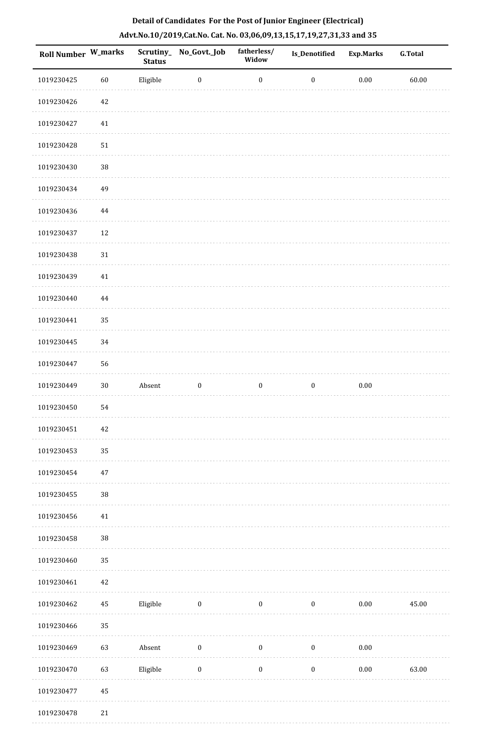| Roll Number W_marks |          | <b>Status</b> | Scrutiny_No_Govt._Job | fatherless/<br>Widow | Is_Denotified    | <b>Exp.Marks</b> | <b>G.Total</b> |
|---------------------|----------|---------------|-----------------------|----------------------|------------------|------------------|----------------|
| 1019230425          | $60\,$   | Eligible      | $\boldsymbol{0}$      | $\boldsymbol{0}$     | $\boldsymbol{0}$ | $0.00\,$         | 60.00          |
| 1019230426          | 42       |               |                       |                      |                  |                  |                |
| 1019230427          | $41\,$   |               |                       |                      |                  |                  |                |
| 1019230428          | 51       |               |                       |                      |                  |                  |                |
| 1019230430          | $38\,$   |               |                       |                      |                  |                  |                |
| 1019230434          | 49       |               |                       |                      |                  |                  |                |
| 1019230436          | $\bf 44$ |               |                       |                      |                  |                  |                |
| 1019230437          | 12       |               |                       |                      |                  |                  |                |
| 1019230438          | $31\,$   |               |                       |                      |                  |                  |                |
| 1019230439          | $41\,$   |               |                       |                      |                  |                  |                |
| 1019230440          | 44       |               |                       |                      |                  |                  |                |
| 1019230441          | 35       |               |                       |                      |                  |                  |                |
| 1019230445          | 34       |               |                       |                      |                  |                  |                |
| 1019230447          | 56       |               |                       |                      |                  |                  |                |
| 1019230449          | $30\,$   | Absent        | $\boldsymbol{0}$      | $\boldsymbol{0}$     | $\boldsymbol{0}$ | $0.00\,$         |                |
| 1019230450          | 54       |               |                       |                      |                  |                  |                |
| 1019230451          | 42       |               |                       |                      |                  |                  |                |
| 1019230453          | 35       |               |                       |                      |                  |                  |                |
| 1019230454          | 47       |               |                       |                      |                  |                  |                |
| 1019230455          | $38\,$   |               |                       |                      |                  |                  |                |
| 1019230456          | $41\,$   |               |                       |                      |                  |                  |                |
| 1019230458          | $38\,$   |               |                       |                      |                  |                  |                |
| 1019230460          | 35       |               |                       |                      |                  |                  |                |
| 1019230461          | $42\,$   |               |                       |                      |                  |                  |                |
| 1019230462          | $\rm 45$ | Eligible      | $\boldsymbol{0}$      | $\boldsymbol{0}$     | $\boldsymbol{0}$ | $0.00\,$         | 45.00          |
| 1019230466          | 35       |               |                       |                      |                  |                  |                |
| 1019230469          | 63       | Absent        | $\boldsymbol{0}$      | $\boldsymbol{0}$     | $\boldsymbol{0}$ | $0.00\,$         |                |
| 1019230470          | 63       | Eligible      | $\boldsymbol{0}$      | $\boldsymbol{0}$     | $\boldsymbol{0}$ | $0.00\,$         | 63.00          |
| 1019230477          | 45       |               |                       |                      |                  |                  |                |
| 1019230478          | $21\,$   |               |                       |                      |                  |                  |                |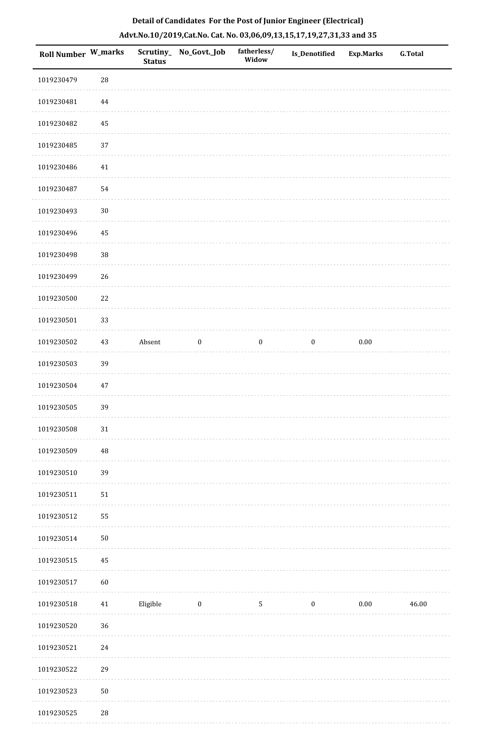| Detail of Candidates For the Post of Junior Engineer (Electrical)     |
|-----------------------------------------------------------------------|
| Advt.No.10/2019,Cat.No. Cat. No. 03,06,09,13,15,17,19,27,31,33 and 35 |

| Roll Number W_marks |            | <b>Status</b> | Scrutiny_ No_Govt._Job | fatherless/<br>Widow | <b>Is_Denotified</b> | <b>Exp.Marks</b> | <b>G.Total</b> |
|---------------------|------------|---------------|------------------------|----------------------|----------------------|------------------|----------------|
| 1019230479          | 28         |               |                        |                      |                      |                  |                |
| 1019230481          | 44         |               |                        |                      |                      |                  |                |
| 1019230482          | 45         |               |                        |                      |                      |                  |                |
| 1019230485          | 37         |               |                        |                      |                      |                  |                |
| 1019230486          | $41\,$     |               |                        |                      |                      |                  |                |
| 1019230487          | 54         |               |                        |                      |                      |                  |                |
| 1019230493          | $30\,$     |               |                        |                      |                      |                  |                |
| 1019230496          | 45         |               |                        |                      |                      |                  |                |
| 1019230498          | $38\,$     |               |                        |                      |                      |                  |                |
| 1019230499          | 26         |               |                        |                      |                      |                  |                |
| 1019230500          | 22         |               |                        |                      |                      |                  |                |
| 1019230501          | 33         |               |                        |                      |                      |                  |                |
| 1019230502          | 43         | Absent        | $\boldsymbol{0}$       | $\boldsymbol{0}$     | $\boldsymbol{0}$     | $0.00\,$         |                |
| 1019230503          | 39         |               |                        |                      |                      |                  |                |
| 1019230504          | $47\,$     |               |                        |                      |                      |                  |                |
| 1019230505          | 39         |               |                        |                      |                      |                  |                |
| 1019230508          | $31\,$     |               |                        |                      |                      |                  |                |
| 1019230509          | 48         |               |                        |                      |                      |                  |                |
| 1019230510          | 39         |               |                        |                      |                      |                  |                |
| 1019230511          | $51\,$     |               |                        |                      |                      |                  |                |
| 1019230512          | 55         |               |                        |                      |                      |                  |                |
| 1019230514          | $50\,$     |               |                        |                      |                      |                  |                |
| 1019230515          | 45         |               |                        |                      |                      |                  |                |
| 1019230517          | 60         |               |                        |                      |                      |                  |                |
| 1019230518          | 41         | Eligible      | $\boldsymbol{0}$       | $\sqrt{5}$           | $\boldsymbol{0}$     | $0.00\,$         | 46.00          |
| 1019230520          | 36         |               |                        |                      |                      |                  |                |
| 1019230521          | 24         |               |                        |                      |                      |                  |                |
| 1019230522          | 29         |               |                        |                      |                      |                  |                |
| 1019230523          | ${\bf 50}$ |               |                        |                      |                      |                  |                |
| 1019230525          | $28\,$     |               |                        |                      |                      |                  |                |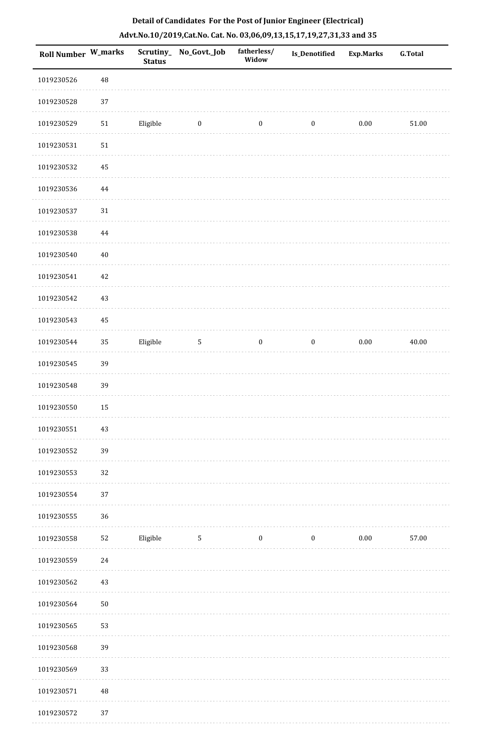|  |  | Detail of Candidates For the Post of Junior Engineer (Electrical)     |  |
|--|--|-----------------------------------------------------------------------|--|
|  |  | Advt.No.10/2019,Cat.No. Cat. No. 03,06,09,13,15,17,19,27,31,33 and 35 |  |

| <b>Roll Number W_marks</b> |            | <b>Status</b> | Scrutiny_No_Govt._Job   | fatherless/<br>Widow | Is_Denotified    | <b>Exp.Marks</b> | <b>G.Total</b> |
|----------------------------|------------|---------------|-------------------------|----------------------|------------------|------------------|----------------|
| 1019230526                 | $\rm 48$   |               |                         |                      |                  |                  |                |
| 1019230528                 | 37         |               |                         |                      |                  |                  |                |
| 1019230529                 | 51         | Eligible      | $\overline{\mathbf{0}}$ | $\boldsymbol{0}$     | $\boldsymbol{0}$ | 0.00             | 51.00          |
| 1019230531                 | $51\,$     |               |                         |                      |                  |                  |                |
| 1019230532                 | $\bf 45$   |               |                         |                      |                  |                  |                |
| 1019230536                 | $\bf 44$   |               |                         |                      |                  |                  |                |
| 1019230537                 | $31\,$     |               |                         |                      |                  |                  |                |
| 1019230538                 | $\bf 44$   |               |                         |                      |                  |                  |                |
| 1019230540                 | $40\,$     |               |                         |                      |                  |                  |                |
| 1019230541                 | 42         |               |                         |                      |                  |                  |                |
| 1019230542                 | 43         |               |                         |                      |                  |                  |                |
| 1019230543                 | 45         |               |                         |                      |                  |                  |                |
| 1019230544                 | 35         | Eligible      | $\sqrt{5}$              | $\boldsymbol{0}$     | $\boldsymbol{0}$ | 0.00             | 40.00          |
| 1019230545                 | 39         |               |                         |                      |                  |                  |                |
| 1019230548                 | 39         |               |                         |                      |                  |                  |                |
| 1019230550                 | 15         |               |                         |                      |                  |                  |                |
| 1019230551                 | 43         |               |                         |                      |                  |                  |                |
| 1019230552                 | 39         |               |                         |                      |                  |                  |                |
| 1019230553                 | 32         |               |                         |                      |                  |                  |                |
| 1019230554                 | $37\,$     |               |                         |                      |                  |                  |                |
| 1019230555                 | 36         |               |                         |                      |                  |                  |                |
| 1019230558                 | 52         | Eligible      | $\overline{5}$          | $\boldsymbol{0}$     | $\boldsymbol{0}$ | $0.00\,$         | 57.00          |
| 1019230559                 | 24         |               |                         |                      |                  |                  |                |
| 1019230562                 | 43         |               |                         |                      |                  |                  |                |
| 1019230564                 | ${\bf 50}$ |               |                         |                      |                  |                  |                |
| 1019230565                 | 53         |               |                         |                      |                  |                  |                |
| 1019230568                 | 39         |               |                         |                      |                  |                  |                |
| 1019230569                 | 33         |               |                         |                      |                  |                  |                |
| 1019230571                 | $\rm 48$   |               |                         |                      |                  |                  |                |
| 1019230572                 | 37         |               |                         |                      |                  |                  |                |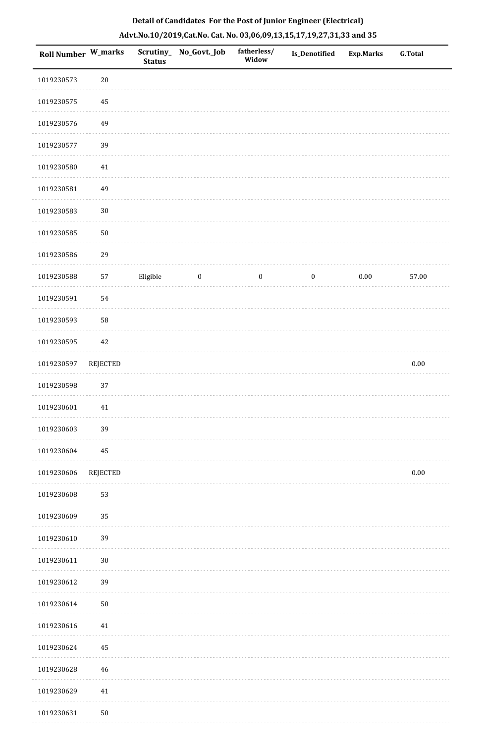| Roll Number W_marks |          | <b>Status</b> | Scrutiny_No_Govt._Job | fatherless/<br>Widow | Is_Denotified    | <b>Exp.Marks</b> | <b>G.Total</b> |
|---------------------|----------|---------------|-----------------------|----------------------|------------------|------------------|----------------|
| 1019230573          | $20\,$   |               |                       |                      |                  |                  |                |
| 1019230575          | $\bf 45$ |               |                       |                      |                  |                  |                |
| 1019230576          | 49       |               |                       |                      |                  |                  |                |
| 1019230577          | 39       |               |                       |                      |                  |                  |                |
| 1019230580          | $41\,$   |               |                       |                      |                  |                  |                |
| 1019230581          | 49       |               |                       |                      |                  |                  |                |
| 1019230583          | $30\,$   |               |                       |                      |                  |                  |                |
| 1019230585          | $50\,$   |               |                       |                      |                  |                  |                |
| 1019230586          | 29       |               |                       |                      |                  |                  |                |
| 1019230588          | 57       | Eligible      | $\boldsymbol{0}$      | $\boldsymbol{0}$     | $\boldsymbol{0}$ | $0.00\,$         | 57.00          |
| 1019230591          | 54       |               |                       |                      |                  |                  |                |
| 1019230593          | 58       |               |                       |                      |                  |                  |                |
| 1019230595          | $42\,$   |               |                       |                      |                  |                  |                |
| 1019230597          | REJECTED |               |                       |                      |                  |                  | $0.00\,$       |
| 1019230598          | 37       |               |                       |                      |                  |                  |                |
| 1019230601          | 41       |               |                       |                      |                  |                  |                |
| 1019230603          | 39       |               |                       |                      |                  |                  |                |
| 1019230604          | 45       |               |                       |                      |                  |                  |                |
| 1019230606          | REJECTED |               |                       |                      |                  |                  | $0.00\,$       |
| 1019230608          | 53       |               |                       |                      |                  |                  |                |
| 1019230609          | 35       |               |                       |                      |                  |                  |                |
| 1019230610          | 39       |               |                       |                      |                  |                  |                |
| 1019230611          | $30\,$   |               |                       |                      |                  |                  |                |
| 1019230612          | 39       |               |                       |                      |                  |                  |                |
| 1019230614          | $50\,$   |               |                       |                      |                  |                  |                |
| 1019230616          | 41       |               |                       |                      |                  |                  |                |
| 1019230624          | 45       |               |                       |                      |                  |                  |                |
| 1019230628          | $46\,$   |               |                       |                      |                  |                  |                |
| 1019230629          | 41       |               |                       |                      |                  |                  |                |
| 1019230631          | $50\,$   |               |                       |                      |                  |                  |                |

. . . . . . .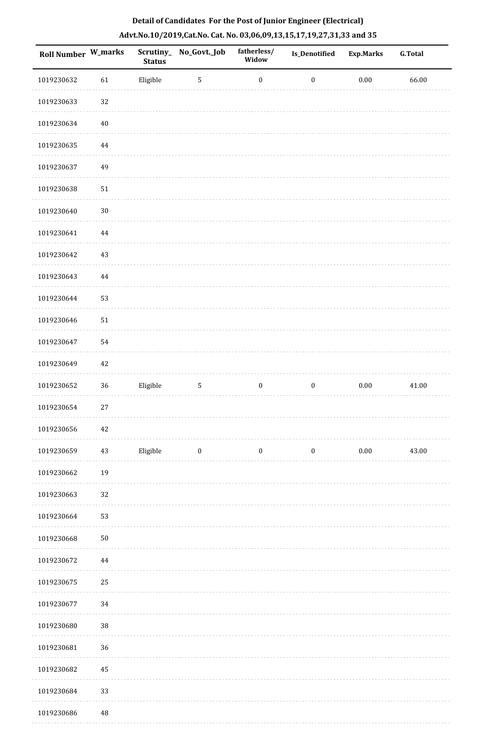| <b>Roll Number W_marks</b> |          | <b>Status</b> | Scrutiny_No_Govt._Job | fatherless/<br>Widow | <b>Is_Denotified</b> | <b>Exp.Marks</b> | <b>G.Total</b> |
|----------------------------|----------|---------------|-----------------------|----------------------|----------------------|------------------|----------------|
| 1019230632                 | 61       | Eligible      | $\sqrt{5}$            | $\boldsymbol{0}$     | $\boldsymbol{0}$     | $0.00\,$         | 66.00          |
| 1019230633                 | 32       |               |                       |                      |                      |                  |                |
| 1019230634                 | $40\,$   |               |                       |                      |                      |                  |                |
| 1019230635                 | 44       |               |                       |                      |                      |                  |                |
| 1019230637                 | 49       |               |                       |                      |                      |                  |                |
| 1019230638                 | $51\,$   |               |                       |                      |                      |                  |                |
| 1019230640                 | $30\,$   |               |                       |                      |                      |                  |                |
| 1019230641                 | $\bf 44$ |               |                       |                      |                      |                  |                |
| 1019230642                 | 43       |               |                       |                      |                      |                  |                |
| 1019230643                 | 44       |               |                       |                      |                      |                  |                |
| 1019230644                 | 53       |               |                       |                      |                      |                  |                |
| 1019230646                 | 51       |               |                       |                      |                      |                  |                |
| 1019230647                 | 54       |               |                       |                      |                      |                  |                |
| 1019230649                 | 42       |               |                       |                      |                      |                  |                |
| 1019230652                 | 36       | Eligible      | 5                     | $\boldsymbol{0}$     | $\boldsymbol{0}$     | $0.00\,$         | 41.00          |
| 1019230654                 | 27       |               |                       |                      |                      |                  |                |
| 1019230656                 | $42\,$   |               |                       |                      |                      |                  |                |
| 1019230659                 | $43\,$   | Eligible      | $\boldsymbol{0}$      | $\boldsymbol{0}$     | $\boldsymbol{0}$     | $0.00\,$         | 43.00          |
| 1019230662                 | 19       |               |                       |                      |                      |                  |                |
| 1019230663                 | 32       |               |                       |                      |                      |                  |                |
| 1019230664                 | 53       |               |                       |                      |                      |                  |                |
| 1019230668                 | $50\,$   |               |                       |                      |                      |                  |                |
| 1019230672                 | 44       |               |                       |                      |                      |                  |                |
| 1019230675                 | 25       |               |                       |                      |                      |                  |                |
| 1019230677                 | 34       |               |                       |                      |                      |                  |                |
| 1019230680                 | 38       |               |                       |                      |                      |                  |                |
| 1019230681                 | 36       |               |                       |                      |                      |                  |                |
| 1019230682                 | 45       |               |                       |                      |                      |                  |                |
| 1019230684                 | 33       |               |                       |                      |                      |                  |                |
| 1019230686                 | 48       |               |                       |                      |                      |                  |                |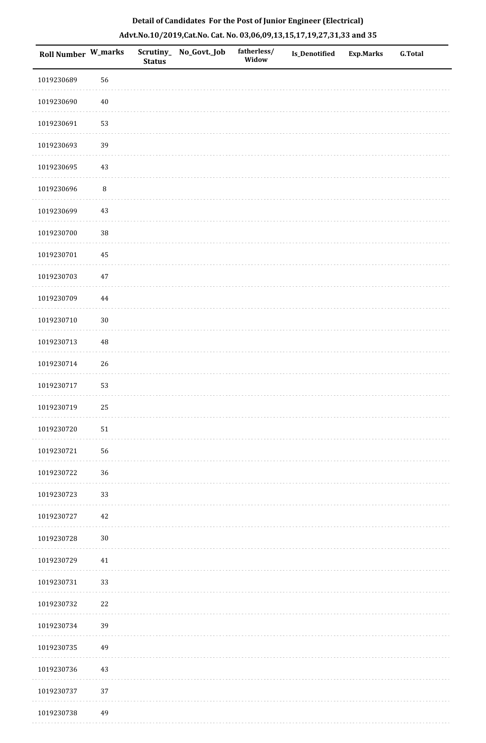|  | Detail of Candidates For the Post of Junior Engineer (Electrical)     |  |
|--|-----------------------------------------------------------------------|--|
|  | Advt.No.10/2019,Cat.No. Cat. No. 03,06,09,13,15,17,19,27,31,33 and 35 |  |

| <b>Roll Number W_marks</b> |          | <b>Status</b> | Scrutiny_No_Govt._Job | fatherless/<br>Widow | Is_Denotified | <b>Exp.Marks</b> | <b>G.Total</b> |
|----------------------------|----------|---------------|-----------------------|----------------------|---------------|------------------|----------------|
| 1019230689                 | 56       |               |                       |                      |               |                  |                |
| 1019230690                 | $40\,$   |               |                       |                      |               |                  |                |
| 1019230691                 | 53       |               |                       |                      |               |                  |                |
| 1019230693                 | 39       |               |                       |                      |               |                  |                |
| 1019230695                 | $43\,$   |               |                       |                      |               |                  |                |
| 1019230696                 | $\, 8$   |               |                       |                      |               |                  |                |
| 1019230699                 | $43\,$   |               |                       |                      |               |                  |                |
| 1019230700                 | $38\,$   |               |                       |                      |               |                  |                |
| 1019230701                 | 45       |               |                       |                      |               |                  |                |
| 1019230703                 | $47\,$   |               |                       |                      |               |                  |                |
| 1019230709                 | $\bf 44$ |               |                       |                      |               |                  |                |
| 1019230710                 | $30\,$   |               |                       |                      |               |                  |                |
| 1019230713                 | $\rm 48$ |               |                       |                      |               |                  |                |
| 1019230714                 | $26\,$   |               |                       |                      |               |                  |                |
| 1019230717                 | 53       |               |                       |                      |               |                  |                |
| 1019230719                 | 25       |               |                       |                      |               |                  |                |
| 1019230720                 | 51       |               |                       |                      |               |                  |                |
| 1019230721                 | 56       |               |                       |                      |               |                  |                |
| 1019230722                 | 36       |               |                       |                      |               |                  |                |
| 1019230723                 | 33       |               |                       |                      |               |                  |                |
| 1019230727                 | $42\,$   |               |                       |                      |               |                  |                |
| 1019230728                 | $30\,$   |               |                       |                      |               |                  |                |
| 1019230729                 | 41       |               |                       |                      |               |                  |                |
| 1019230731                 | 33       |               |                       |                      |               |                  |                |
| 1019230732                 | $22\,$   |               |                       |                      |               |                  |                |
| 1019230734                 | 39       |               |                       |                      |               |                  |                |
| 1019230735                 | 49       |               |                       |                      |               |                  |                |
| 1019230736                 | 43       |               |                       |                      |               |                  |                |
| 1019230737                 | 37       |               |                       |                      |               |                  |                |
| 1019230738                 | 49       |               |                       |                      |               |                  |                |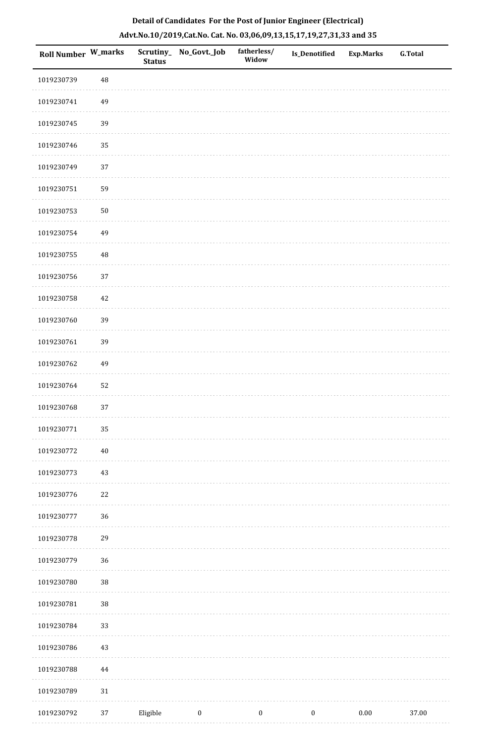| Roll Number W_marks |          | <b>Status</b> | Scrutiny_ No_Govt._Job | fatherless/<br>Widow | Is_Denotified    | <b>Exp.Marks</b> | <b>G.Total</b> |
|---------------------|----------|---------------|------------------------|----------------------|------------------|------------------|----------------|
| 1019230739          | 48       |               |                        |                      |                  |                  |                |
| 1019230741          | 49       |               |                        |                      |                  |                  |                |
| 1019230745          | 39       |               |                        |                      |                  |                  |                |
| 1019230746          | 35       |               |                        |                      |                  |                  |                |
| 1019230749          | $37\,$   |               |                        |                      |                  |                  |                |
| 1019230751          | 59       |               |                        |                      |                  |                  |                |
| 1019230753          | $50\,$   |               |                        |                      |                  |                  |                |
| 1019230754          | 49       |               |                        |                      |                  |                  |                |
| 1019230755          | 48       |               |                        |                      |                  |                  |                |
| 1019230756          | 37       |               |                        |                      |                  |                  |                |
| 1019230758          | $42\,$   |               |                        |                      |                  |                  |                |
| 1019230760          | 39       |               |                        |                      |                  |                  |                |
| 1019230761          | 39       |               |                        |                      |                  |                  |                |
| 1019230762          | 49       |               |                        |                      |                  |                  |                |
| 1019230764          | 52       |               |                        |                      |                  |                  |                |
| 1019230768          | 37       |               |                        |                      |                  |                  |                |
| 1019230771          | 35       |               |                        |                      |                  |                  |                |
| 1019230772          | $40\,$   |               |                        |                      |                  |                  |                |
| 1019230773          | $43\,$   |               |                        |                      |                  |                  |                |
| 1019230776          | $22\,$   |               |                        |                      |                  |                  |                |
| 1019230777          | 36       |               |                        |                      |                  |                  |                |
| 1019230778          | 29       |               |                        |                      |                  |                  |                |
| 1019230779          | 36       |               |                        |                      |                  |                  |                |
| 1019230780          | 38       |               |                        |                      |                  |                  |                |
| 1019230781          | 38       |               |                        |                      |                  |                  |                |
| 1019230784          | 33       |               |                        |                      |                  |                  |                |
| 1019230786          | $43\,$   |               |                        |                      |                  |                  |                |
| 1019230788          | $\bf 44$ |               |                        |                      |                  |                  |                |
| 1019230789          | $31\,$   |               |                        |                      |                  |                  |                |
| 1019230792          | 37       | Eligible      | $\boldsymbol{0}$       | $\boldsymbol{0}$     | $\boldsymbol{0}$ | $0.00\,$         | 37.00          |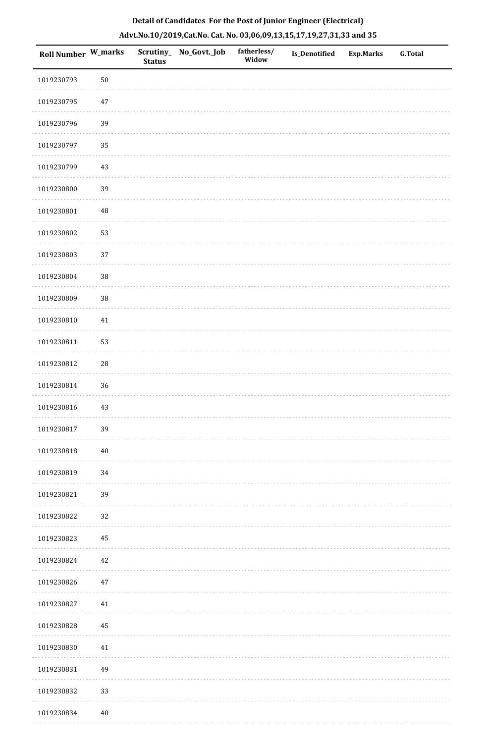|  | Detail of Candidates For the Post of Junior Engineer (Electrical)     |  |
|--|-----------------------------------------------------------------------|--|
|  | Advt.No.10/2019,Cat.No. Cat. No. 03,06,09,13,15,17,19,27,31,33 and 35 |  |

| <b>Roll Number W_marks</b> |        | <b>Status</b> | Scrutiny_ No_Govt._Job | fatherless/<br>Widow | Is_Denotified | <b>Exp.Marks</b> | <b>G.Total</b> |
|----------------------------|--------|---------------|------------------------|----------------------|---------------|------------------|----------------|
| 1019230793                 | $50\,$ |               |                        |                      |               |                  |                |
| 1019230795                 | 47     |               |                        |                      |               |                  |                |
| 1019230796                 | 39     |               |                        |                      |               |                  |                |
| 1019230797                 | 35     |               |                        |                      |               |                  |                |
| 1019230799                 | $43\,$ |               |                        |                      |               |                  |                |
| 1019230800                 | 39     |               |                        |                      |               |                  |                |
| 1019230801                 | 48     |               |                        |                      |               |                  |                |
| 1019230802                 | 53     |               |                        |                      |               |                  |                |
| 1019230803                 | 37     |               |                        |                      |               |                  |                |
| 1019230804                 | 38     |               |                        |                      |               |                  |                |
| 1019230809                 | $38\,$ |               |                        |                      |               |                  |                |
| 1019230810                 | $41\,$ |               |                        |                      |               |                  |                |
| 1019230811                 | 53     |               |                        |                      |               |                  |                |
| 1019230812                 | 28     |               |                        |                      |               |                  |                |
| 1019230814                 | 36     |               |                        |                      |               |                  |                |
| 1019230816                 | $43\,$ |               |                        |                      |               |                  |                |
| 1019230817                 | 39     |               |                        |                      |               |                  |                |
| 1019230818                 | $40\,$ |               |                        |                      |               |                  |                |
| 1019230819                 | 34     |               |                        |                      |               |                  |                |
| 1019230821                 | 39     |               |                        |                      |               |                  |                |
| 1019230822                 | 32     |               |                        |                      |               |                  |                |
| 1019230823                 | 45     |               |                        |                      |               |                  |                |
| 1019230824                 | $42\,$ |               |                        |                      |               |                  |                |
| 1019230826                 | 47     |               |                        |                      |               |                  |                |
| 1019230827                 | 41     |               |                        |                      |               |                  |                |
| 1019230828                 | 45     |               |                        |                      |               |                  |                |
| 1019230830                 | 41     |               |                        |                      |               |                  |                |
| 1019230831                 | 49     |               |                        |                      |               |                  |                |
| 1019230832                 | 33     |               |                        |                      |               |                  |                |
| 1019230834                 | $40\,$ |               |                        |                      |               |                  |                |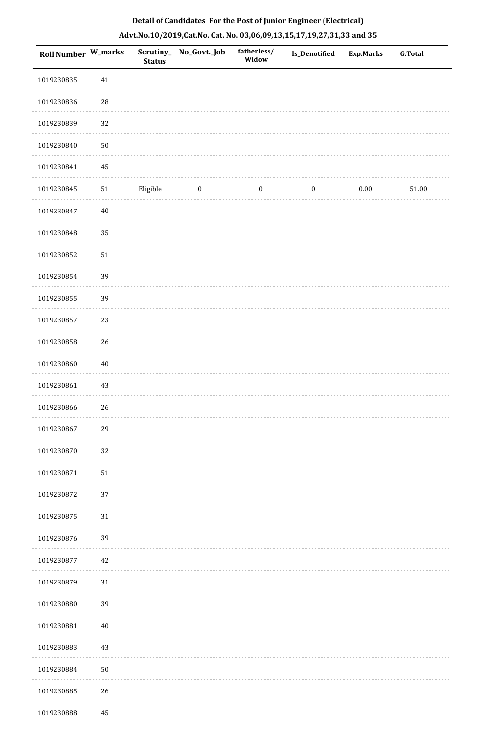| Roll Number W_marks |            | Scrutiny_<br><b>Status</b> | No_Govt._Job     | fatherless/<br>Widow | Is_Denotified    | <b>Exp.Marks</b> | G.Total |
|---------------------|------------|----------------------------|------------------|----------------------|------------------|------------------|---------|
| 1019230835          | 41         |                            |                  |                      |                  |                  |         |
| 1019230836          | ${\bf 28}$ |                            |                  |                      |                  |                  |         |
| 1019230839          | 32         |                            |                  |                      |                  |                  |         |
| 1019230840          | $50\,$     |                            |                  |                      |                  |                  |         |
| 1019230841          | 45         |                            |                  |                      |                  |                  |         |
| 1019230845          | $51\,$     | Eligible                   | $\boldsymbol{0}$ | $\boldsymbol{0}$     | $\boldsymbol{0}$ | $0.00\,$         | 51.00   |
| 1019230847          | $40\,$     |                            |                  |                      |                  |                  |         |
| 1019230848          | 35         |                            |                  |                      |                  |                  |         |
| 1019230852          | $51\,$     |                            |                  |                      |                  |                  |         |
| 1019230854          | 39         |                            |                  |                      |                  |                  |         |
| 1019230855          | 39         |                            |                  |                      |                  |                  |         |
| 1019230857          | 23         |                            |                  |                      |                  |                  |         |
| 1019230858          | 26         |                            |                  |                      |                  |                  |         |
| 1019230860          | $40\,$     |                            |                  |                      |                  |                  |         |
| 1019230861          | 43         |                            |                  |                      |                  |                  |         |
| 1019230866          | 26         |                            |                  |                      |                  |                  |         |
| 1019230867          | 29         |                            |                  |                      |                  |                  |         |
| 1019230870          | 32         |                            |                  |                      |                  |                  |         |
| 1019230871          | $51\,$     |                            |                  |                      |                  |                  |         |
| 1019230872          | $37\,$     |                            |                  |                      |                  |                  |         |
| 1019230875          | 31         |                            |                  |                      |                  |                  |         |
| 1019230876          | 39         |                            |                  |                      |                  |                  |         |
| 1019230877          | 42         |                            |                  |                      |                  |                  |         |
| 1019230879          | 31         |                            |                  |                      |                  |                  |         |
| 1019230880          | 39         |                            |                  |                      |                  |                  |         |
| 1019230881          | $40\,$     |                            |                  |                      |                  |                  |         |
| 1019230883          | 43         |                            |                  |                      |                  |                  |         |
| 1019230884          | $50\,$     |                            |                  |                      |                  |                  |         |
| 1019230885          | 26         |                            |                  |                      |                  |                  |         |
| 1019230888          | $\rm 45$   |                            |                  |                      |                  |                  |         |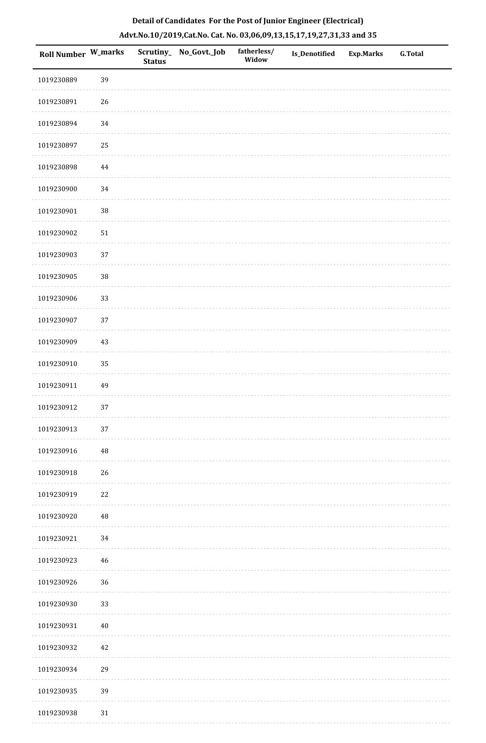|  | Detail of Candidates For the Post of Junior Engineer (Electrical)     |  |
|--|-----------------------------------------------------------------------|--|
|  | Advt.No.10/2019,Cat.No. Cat. No. 03,06,09,13,15,17,19,27,31,33 and 35 |  |

| <b>Roll Number W_marks</b> |            | <b>Status</b> | Scrutiny_ No_Govt._Job | fatherless/<br>Widow | Is_Denotified | <b>Exp.Marks</b> | <b>G.Total</b> |
|----------------------------|------------|---------------|------------------------|----------------------|---------------|------------------|----------------|
| 1019230889                 | 39         |               |                        |                      |               |                  |                |
| 1019230891                 | $26\,$     |               |                        |                      |               |                  |                |
| 1019230894                 | 34         |               |                        |                      |               |                  |                |
| 1019230897                 | 25         |               |                        |                      |               |                  |                |
| 1019230898                 | 44         |               |                        |                      |               |                  |                |
| 1019230900                 | 34         |               |                        |                      |               |                  |                |
| 1019230901                 | $38\,$     |               |                        |                      |               |                  |                |
| 1019230902                 | ${\bf 51}$ |               |                        |                      |               |                  |                |
| 1019230903                 | 37         |               |                        |                      |               |                  |                |
| 1019230905                 | 38         |               |                        |                      |               |                  |                |
| 1019230906                 | 33         |               |                        |                      |               |                  |                |
| 1019230907                 | 37         |               |                        |                      |               |                  |                |
| 1019230909                 | 43         |               |                        |                      |               |                  |                |
| 1019230910                 | 35         |               |                        |                      |               |                  |                |
| 1019230911                 | 49         |               |                        |                      |               |                  |                |
| 1019230912                 | 37         |               |                        |                      |               |                  |                |
| 1019230913                 | 37         |               |                        |                      |               |                  |                |
| 1019230916                 | $\rm 48$   |               |                        |                      |               |                  |                |
| 1019230918                 | 26         |               |                        |                      |               |                  |                |
| 1019230919                 | $22\,$     |               |                        |                      |               |                  |                |
| 1019230920                 | $\rm 48$   |               |                        |                      |               |                  |                |
| 1019230921                 | 34         |               |                        |                      |               |                  |                |
| 1019230923                 | $46\,$     |               |                        |                      |               |                  |                |
| 1019230926                 | 36         |               |                        |                      |               |                  |                |
| 1019230930                 | 33         |               |                        |                      |               |                  |                |
| 1019230931                 | $40\,$     |               |                        |                      |               |                  |                |
| 1019230932                 | 42         |               |                        |                      |               |                  |                |
| 1019230934                 | 29         |               |                        |                      |               |                  |                |
| 1019230935                 | 39         |               |                        |                      |               |                  |                |
| 1019230938                 | 31         |               |                        |                      |               |                  |                |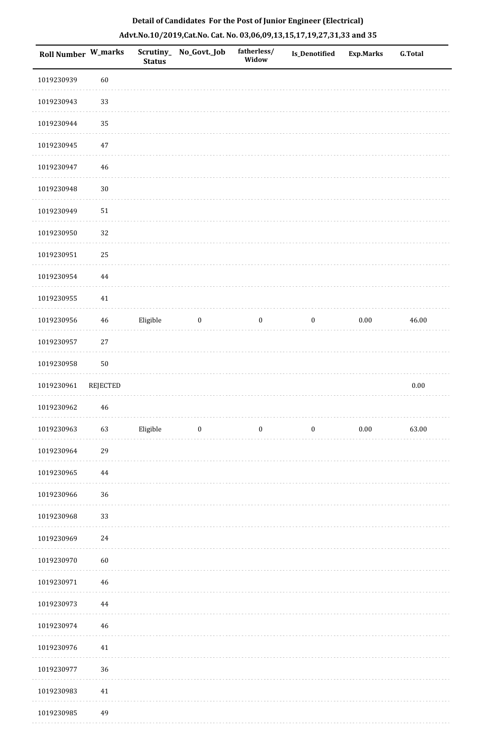| Roll Number W_marks |             | <b>Status</b> | Scrutiny_No_Govt._Job   | fatherless/<br>Widow | Is_Denotified    | <b>Exp.Marks</b> | <b>G.Total</b> |
|---------------------|-------------|---------------|-------------------------|----------------------|------------------|------------------|----------------|
| 1019230939          | 60          |               |                         |                      |                  |                  |                |
| 1019230943          | 33          |               |                         |                      |                  |                  |                |
| 1019230944          | 35          |               |                         |                      |                  |                  |                |
| 1019230945          | $47\,$      |               |                         |                      |                  |                  |                |
| 1019230947          | 46          |               |                         |                      |                  |                  |                |
| 1019230948          | $30\,$      |               |                         |                      |                  |                  |                |
| 1019230949          | $51\,$      |               |                         |                      |                  |                  |                |
| 1019230950          | 32          |               |                         |                      |                  |                  |                |
| 1019230951          | 25          |               |                         |                      |                  |                  |                |
| 1019230954          | $\bf 44$    |               |                         |                      |                  |                  |                |
| 1019230955          | $41\,$      |               |                         |                      |                  |                  |                |
| 1019230956          | $\sqrt{46}$ | Eligible      | $\bf{0}$                | $\boldsymbol{0}$     | $\boldsymbol{0}$ | $0.00\,$         | 46.00          |
| 1019230957          | $27\,$      |               |                         |                      |                  |                  |                |
| 1019230958          | $50\,$      |               |                         |                      |                  |                  |                |
| 1019230961          | REJECTED    |               |                         |                      |                  |                  | $0.00\,$       |
| 1019230962          | $46\,$      |               |                         |                      |                  |                  |                |
| 1019230963          | 63          | Eligible      | $\overline{\mathbf{0}}$ | $\bf{0}$             | $\boldsymbol{0}$ | 0.00             | 63.00          |
| 1019230964          | 29          |               |                         |                      |                  |                  |                |
| 1019230965          | 44          |               |                         |                      |                  |                  |                |
| 1019230966          | 36          |               |                         |                      |                  |                  |                |
| 1019230968          | 33          |               |                         |                      |                  |                  |                |
| 1019230969          | $24\,$      |               |                         |                      |                  |                  |                |
| 1019230970          | 60          |               |                         |                      |                  |                  |                |
| 1019230971          | 46          |               |                         |                      |                  |                  |                |
| 1019230973          | 44          |               |                         |                      |                  |                  |                |
| 1019230974          | 46          |               |                         |                      |                  |                  |                |
| 1019230976          | 41          |               |                         |                      |                  |                  |                |
| 1019230977          | 36          |               |                         |                      |                  |                  |                |
| 1019230983          | $41\,$      |               |                         |                      |                  |                  |                |
| 1019230985          | 49          |               |                         |                      |                  |                  |                |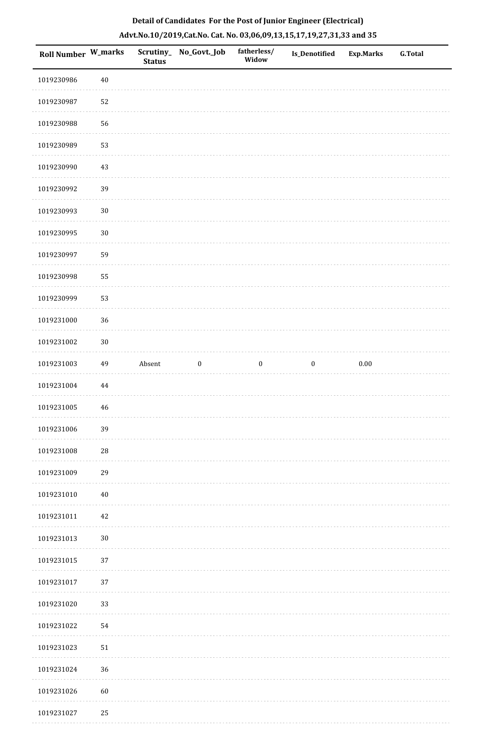| Roll Number W_marks |          | <b>Status</b> | Scrutiny_ No_Govt._Job | fatherless/<br>Widow | Is_Denotified    | <b>Exp.Marks</b> | <b>G.Total</b> |
|---------------------|----------|---------------|------------------------|----------------------|------------------|------------------|----------------|
| 1019230986          | $40\,$   |               |                        |                      |                  |                  |                |
| 1019230987          | 52       |               |                        |                      |                  |                  |                |
| 1019230988          | 56       |               |                        |                      |                  |                  |                |
| 1019230989          | 53       |               |                        |                      |                  |                  |                |
| 1019230990          | $43\,$   |               |                        |                      |                  |                  |                |
| 1019230992          | 39       |               |                        |                      |                  |                  |                |
| 1019230993          | $30\,$   |               |                        |                      |                  |                  |                |
| 1019230995          | $30\,$   |               |                        |                      |                  |                  |                |
| 1019230997          | 59       |               |                        |                      |                  |                  |                |
| 1019230998          | 55       |               |                        |                      |                  |                  |                |
| 1019230999          | 53       |               |                        |                      |                  |                  |                |
| 1019231000          | 36       |               |                        |                      |                  |                  |                |
| 1019231002          | $30\,$   |               |                        |                      |                  |                  |                |
| 1019231003          | 49       | Absent        | $\boldsymbol{0}$       | $\boldsymbol{0}$     | $\boldsymbol{0}$ | $0.00\,$         |                |
| 1019231004          | $\bf 44$ |               |                        |                      |                  |                  |                |
| 1019231005          | 46       |               |                        |                      |                  |                  |                |
| 1019231006          | 39       |               |                        |                      |                  |                  |                |
| 1019231008          | $28\,$   |               |                        |                      |                  |                  |                |
| 1019231009          | 29       |               |                        |                      |                  |                  |                |
| 1019231010          | $40\,$   |               |                        |                      |                  |                  |                |
| 1019231011          | 42       |               |                        |                      |                  |                  |                |
| 1019231013          | $30\,$   |               |                        |                      |                  |                  |                |
| 1019231015          | $37\,$   |               |                        |                      |                  |                  |                |
| 1019231017          | 37       |               |                        |                      |                  |                  |                |
| 1019231020          | 33       |               |                        |                      |                  |                  |                |
| 1019231022          | 54       |               |                        |                      |                  |                  |                |
| 1019231023          | $51\,$   |               |                        |                      |                  |                  |                |
| 1019231024          | 36       |               |                        |                      |                  |                  |                |
| 1019231026          | $60\,$   |               |                        |                      |                  |                  |                |
| 1019231027          | 25       |               |                        |                      |                  |                  |                |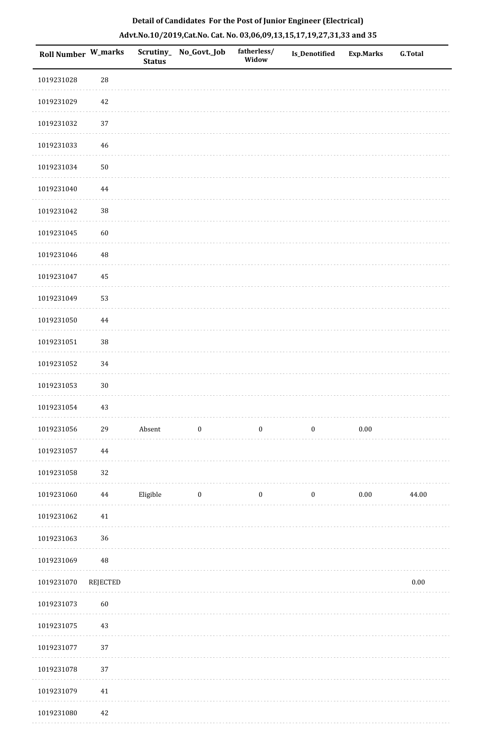| <b>Roll Number W_marks</b> |          | Scrutiny_<br><b>Status</b> | No_Govt._Job            | fatherless/<br>Widow | Is_Denotified    | <b>Exp.Marks</b> | <b>G.Total</b> |
|----------------------------|----------|----------------------------|-------------------------|----------------------|------------------|------------------|----------------|
| 1019231028                 | 28       |                            |                         |                      |                  |                  |                |
| 1019231029                 | 42       |                            |                         |                      |                  |                  |                |
| 1019231032                 | 37       |                            |                         |                      |                  |                  |                |
| 1019231033                 | 46       |                            |                         |                      |                  |                  |                |
| 1019231034                 | $50\,$   |                            |                         |                      |                  |                  |                |
| 1019231040                 | $\bf 44$ |                            |                         |                      |                  |                  |                |
| 1019231042                 | $38\,$   |                            |                         |                      |                  |                  |                |
| 1019231045                 | 60       |                            |                         |                      |                  |                  |                |
| 1019231046                 | $\rm 48$ |                            |                         |                      |                  |                  |                |
| 1019231047                 | 45       |                            |                         |                      |                  |                  |                |
| 1019231049                 | 53       |                            |                         |                      |                  |                  |                |
| 1019231050                 | 44       |                            |                         |                      |                  |                  |                |
| 1019231051                 | $38\,$   |                            |                         |                      |                  |                  |                |
| 1019231052                 | 34       |                            |                         |                      |                  |                  |                |
| 1019231053                 | $30\,$   |                            |                         |                      |                  |                  |                |
| 1019231054                 | 43       |                            |                         |                      |                  |                  |                |
| 1019231056                 | 29       | Absent                     | $\bf{0}$                | $\bf{0}$             | $\boldsymbol{0}$ | $0.00\,$         |                |
| 1019231057                 | 44       |                            |                         |                      |                  |                  |                |
| 1019231058                 | 32       |                            |                         |                      |                  |                  |                |
| 1019231060                 | 44       | Eligible                   | $\overline{\mathbf{0}}$ | $\boldsymbol{0}$     | $\boldsymbol{0}$ | 0.00             | 44.00          |
| 1019231062                 | $41\,$   |                            |                         |                      |                  |                  |                |
| 1019231063                 | 36       |                            |                         |                      |                  |                  |                |
| 1019231069                 | 48       |                            |                         |                      |                  |                  |                |
| 1019231070                 | REJECTED |                            |                         |                      |                  |                  | $0.00\,$       |
| 1019231073                 | 60       |                            |                         |                      |                  |                  |                |
| 1019231075                 | 43       |                            |                         |                      |                  |                  |                |
| 1019231077                 | 37       |                            |                         |                      |                  |                  |                |
| 1019231078                 | 37       |                            |                         |                      |                  |                  |                |
| 1019231079                 | 41       |                            |                         |                      |                  |                  |                |
| 1019231080                 | 42       |                            |                         |                      |                  |                  |                |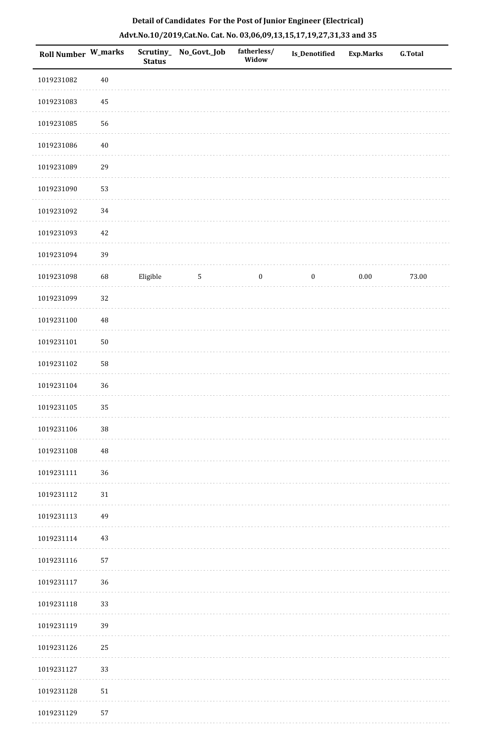| Roll Number W_marks |            | Scrutiny_<br><b>Status</b> | No_Govt._Job | fatherless/<br>Widow | Is_Denotified    | <b>Exp.Marks</b> | <b>G.Total</b> |
|---------------------|------------|----------------------------|--------------|----------------------|------------------|------------------|----------------|
| 1019231082          | $40\,$     |                            |              |                      |                  |                  |                |
| 1019231083          | $\bf 45$   |                            |              |                      |                  |                  |                |
| 1019231085          | 56         |                            |              |                      |                  |                  |                |
| 1019231086          | $40\,$     |                            |              |                      |                  |                  |                |
| 1019231089          | 29         |                            |              |                      |                  |                  |                |
| 1019231090          | 53         |                            |              |                      |                  |                  |                |
| 1019231092          | 34         |                            |              |                      |                  |                  |                |
| 1019231093          | $42\,$     |                            |              |                      |                  |                  |                |
| 1019231094          | 39         |                            |              |                      |                  |                  |                |
| 1019231098          | 68         | Eligible                   | $\sqrt{5}$   | $\boldsymbol{0}$     | $\boldsymbol{0}$ | 0.00             | 73.00          |
| 1019231099          | 32         |                            |              |                      |                  |                  |                |
| 1019231100          | $\rm 48$   |                            |              |                      |                  |                  |                |
| 1019231101          | $50\,$     |                            |              |                      |                  |                  |                |
| 1019231102          | 58         |                            |              |                      |                  |                  |                |
| 1019231104          | 36         |                            |              |                      |                  |                  |                |
| 1019231105          | 35         |                            |              |                      |                  |                  |                |
| 1019231106          | $38\,$     |                            |              |                      |                  |                  |                |
| 1019231108          | 48         |                            |              |                      |                  |                  |                |
| 1019231111          | 36         |                            |              |                      |                  |                  |                |
| 1019231112          | $31\,$     |                            |              |                      |                  |                  |                |
| 1019231113          | 49         |                            |              |                      |                  |                  |                |
| 1019231114          | $43\,$     |                            |              |                      |                  |                  |                |
| 1019231116          | 57         |                            |              |                      |                  |                  |                |
| 1019231117          | 36         |                            |              |                      |                  |                  |                |
| 1019231118          | 33         |                            |              |                      |                  |                  |                |
| 1019231119          | 39         |                            |              |                      |                  |                  |                |
| 1019231126          | 25         |                            |              |                      |                  |                  |                |
| 1019231127          | 33         |                            |              |                      |                  |                  |                |
| 1019231128          | ${\bf 51}$ |                            |              |                      |                  |                  |                |
| 1019231129          | 57         |                            |              |                      |                  |                  |                |

. . . . . . . . . .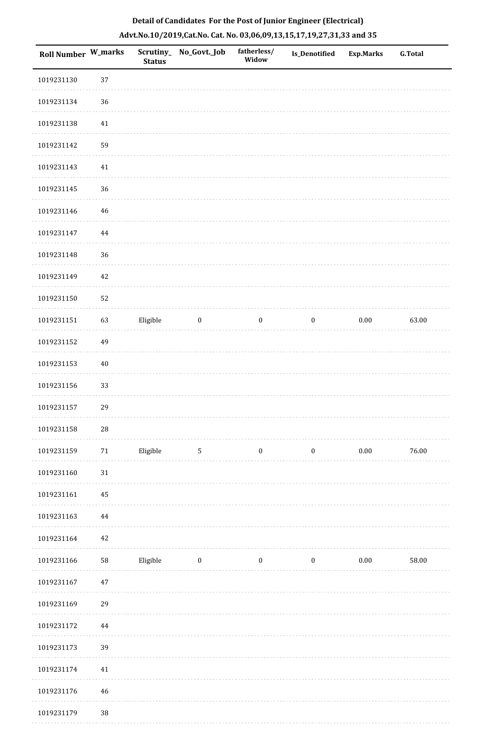| <b>Roll Number W_marks</b> |            | <b>Status</b> | Scrutiny_No_Govt._Job | fatherless/<br>Widow | Is_Denotified    | <b>Exp.Marks</b> | <b>G.Total</b> |
|----------------------------|------------|---------------|-----------------------|----------------------|------------------|------------------|----------------|
| 1019231130                 | 37         |               |                       |                      |                  |                  |                |
| 1019231134                 | 36         |               |                       |                      |                  |                  |                |
| 1019231138                 | $41\,$     |               |                       |                      |                  |                  |                |
| 1019231142                 | 59         |               |                       |                      |                  |                  |                |
| 1019231143                 | $41\,$     |               |                       |                      |                  |                  |                |
| 1019231145                 | 36         |               |                       |                      |                  |                  |                |
| 1019231146                 | $46\,$     |               |                       |                      |                  |                  |                |
| 1019231147                 | 44         |               |                       |                      |                  |                  |                |
| 1019231148                 | 36         |               |                       |                      |                  |                  |                |
| 1019231149                 | 42         |               |                       |                      |                  |                  |                |
| 1019231150                 | 52         |               |                       |                      |                  |                  |                |
| 1019231151                 | 63         | Eligible      | $\boldsymbol{0}$      | $\boldsymbol{0}$     | $\boldsymbol{0}$ | $0.00\,$         | 63.00          |
| 1019231152                 | 49         |               |                       |                      |                  |                  |                |
| 1019231153                 | $40\,$     |               |                       |                      |                  |                  |                |
| 1019231156                 | 33         |               |                       |                      |                  |                  |                |
| 1019231157                 | 29         |               |                       |                      |                  |                  |                |
| 1019231158                 | ${\bf 28}$ |               |                       |                      |                  |                  |                |
| 1019231159                 | $71\,$     | Eligible      | $5\phantom{.0}$       | $\boldsymbol{0}$     | $\boldsymbol{0}$ | $0.00\,$         | $76.00\,$      |
| 1019231160                 | 31         |               |                       |                      |                  |                  |                |
| 1019231161                 | 45         |               |                       |                      |                  |                  |                |
| 1019231163                 | 44         |               |                       |                      |                  |                  |                |
| 1019231164                 | 42         |               |                       |                      |                  |                  |                |
| 1019231166                 | 58         | Eligible      | $\bf{0}$              | $\boldsymbol{0}$     | $\boldsymbol{0}$ | $0.00\,$         | 58.00          |
| 1019231167                 | $47\,$     |               |                       |                      |                  |                  |                |
| 1019231169                 | 29         |               |                       |                      |                  |                  |                |
| 1019231172                 | $\bf 44$   |               |                       |                      |                  |                  |                |
| 1019231173                 | 39         |               |                       |                      |                  |                  |                |
| 1019231174                 | 41         |               |                       |                      |                  |                  |                |
| 1019231176                 | 46         |               |                       |                      |                  |                  |                |
| 1019231179                 | $38\,$     |               |                       |                      |                  |                  |                |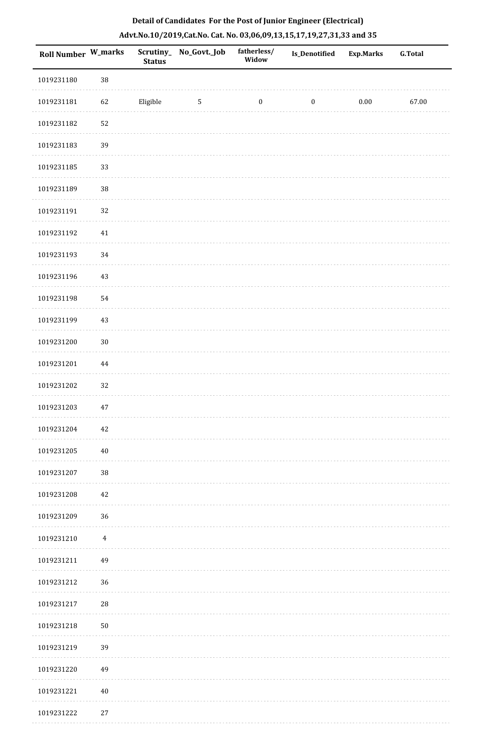| Roll Number W_marks |            | <b>Status</b> | Scrutiny_ No_Govt._Job | fatherless/<br>Widow | Is_Denotified    | <b>Exp.Marks</b> | <b>G.Total</b> |
|---------------------|------------|---------------|------------------------|----------------------|------------------|------------------|----------------|
| 1019231180          | 38         |               |                        |                      |                  |                  |                |
| 1019231181          | 62         | Eligible      | $\overline{5}$         | $\boldsymbol{0}$     | $\boldsymbol{0}$ | $0.00\,$         | 67.00          |
| 1019231182          | 52         |               |                        |                      |                  |                  |                |
| 1019231183          | 39         |               |                        |                      |                  |                  |                |
| 1019231185          | 33         |               |                        |                      |                  |                  |                |
| 1019231189          | 38         |               |                        |                      |                  |                  |                |
| 1019231191          | 32         |               |                        |                      |                  |                  |                |
| 1019231192          | $41\,$     |               |                        |                      |                  |                  |                |
| 1019231193          | 34         |               |                        |                      |                  |                  |                |
| 1019231196          | $43\,$     |               |                        |                      |                  |                  |                |
| 1019231198          | 54         |               |                        |                      |                  |                  |                |
| 1019231199          | $43\,$     |               |                        |                      |                  |                  |                |
| 1019231200          | $30\,$     |               |                        |                      |                  |                  |                |
| 1019231201          | $\bf 44$   |               |                        |                      |                  |                  |                |
| 1019231202          | 32         |               |                        |                      |                  |                  |                |
| 1019231203          | 47         |               |                        |                      |                  |                  |                |
| 1019231204          | $42\,$     |               |                        |                      |                  |                  |                |
| 1019231205          | $40\,$     |               |                        |                      |                  |                  |                |
| 1019231207          | $38\,$     |               |                        |                      |                  |                  |                |
| 1019231208          | 42         |               |                        |                      |                  |                  |                |
| 1019231209          | 36         |               |                        |                      |                  |                  |                |
| 1019231210          | $\sqrt{4}$ |               |                        |                      |                  |                  |                |
| 1019231211          | 49         |               |                        |                      |                  |                  |                |
| 1019231212          | 36         |               |                        |                      |                  |                  |                |
| 1019231217          | 28         |               |                        |                      |                  |                  |                |
| 1019231218          | $50\,$     |               |                        |                      |                  |                  |                |
| 1019231219          | 39         |               |                        |                      |                  |                  |                |
| 1019231220          | 49         |               |                        |                      |                  |                  |                |
| 1019231221          | $40\,$     |               |                        |                      |                  |                  |                |
| 1019231222          | $27\,$     |               |                        |                      |                  |                  |                |

a sa sala

. . . . . . . . . . .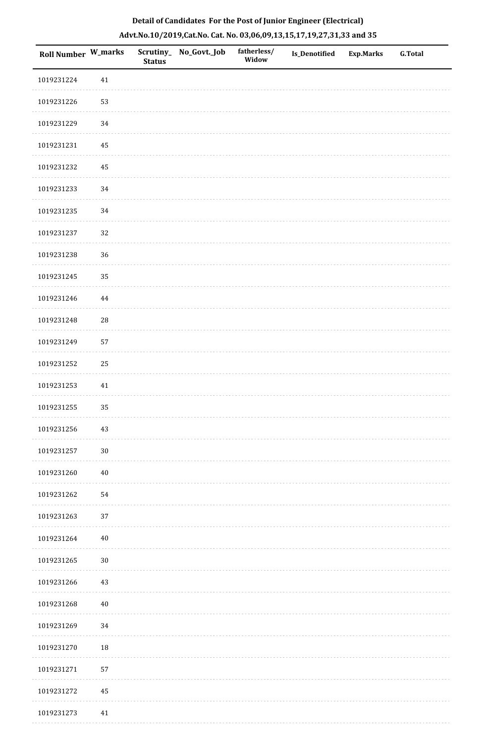| <b>Roll Number W_marks</b> |            | <b>Status</b> | Scrutiny_ No_Govt._Job | fatherless/<br>Widow | <b>Is_Denotified</b> | <b>Exp.Marks</b> | <b>G.Total</b> |
|----------------------------|------------|---------------|------------------------|----------------------|----------------------|------------------|----------------|
| 1019231224                 | $41\,$     |               |                        |                      |                      |                  |                |
| 1019231226                 | 53         |               |                        |                      |                      |                  |                |
| 1019231229                 | 34         |               |                        |                      |                      |                  |                |
| 1019231231                 | $\bf 45$   |               |                        |                      |                      |                  |                |
| 1019231232                 | $\bf 45$   |               |                        |                      |                      |                  |                |
| 1019231233                 | 34         |               |                        |                      |                      |                  |                |
| 1019231235                 | 34         |               |                        |                      |                      |                  |                |
| 1019231237                 | 32         |               |                        |                      |                      |                  |                |
| 1019231238                 | 36         |               |                        |                      |                      |                  |                |
| 1019231245                 | 35         |               |                        |                      |                      |                  |                |
| 1019231246                 | $\bf 44$   |               |                        |                      |                      |                  |                |
| 1019231248                 | ${\bf 28}$ |               |                        |                      |                      |                  |                |
| 1019231249                 | 57         |               |                        |                      |                      |                  |                |
| 1019231252                 | 25         |               |                        |                      |                      |                  |                |
| 1019231253                 | $41\,$     |               |                        |                      |                      |                  |                |
| 1019231255                 | 35         |               |                        |                      |                      |                  |                |
| 1019231256                 | $43\,$     |               |                        |                      |                      |                  |                |
| 1019231257                 | $30\,$     |               |                        |                      |                      |                  |                |
| 1019231260                 | $40\,$     |               |                        |                      |                      |                  |                |
| 1019231262                 | 54         |               |                        |                      |                      |                  |                |
| 1019231263                 | 37         |               |                        |                      |                      |                  |                |
| 1019231264                 | $40\,$     |               |                        |                      |                      |                  |                |
| 1019231265                 | $30\,$     |               |                        |                      |                      |                  |                |
| 1019231266                 | 43         |               |                        |                      |                      |                  |                |
| 1019231268                 | $40\,$     |               |                        |                      |                      |                  |                |
| 1019231269                 | 34         |               |                        |                      |                      |                  |                |
| 1019231270                 | $18\,$     |               |                        |                      |                      |                  |                |
| 1019231271                 | 57         |               |                        |                      |                      |                  |                |
| 1019231272                 | 45         |               |                        |                      |                      |                  |                |
| 1019231273                 | 41         |               |                        |                      |                      |                  |                |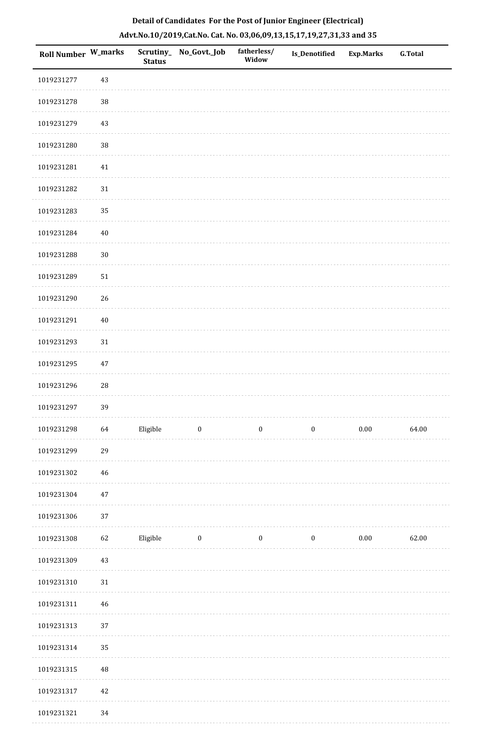| <b>Roll Number W_marks</b> |             | <b>Status</b> | Scrutiny_No_Govt._Job | fatherless/<br>Widow | Is_Denotified    | <b>Exp.Marks</b> | <b>G.Total</b> |
|----------------------------|-------------|---------------|-----------------------|----------------------|------------------|------------------|----------------|
| 1019231277                 | 43          |               |                       |                      |                  |                  |                |
| 1019231278                 | $38\,$      |               |                       |                      |                  |                  |                |
| 1019231279                 | 43          |               |                       |                      |                  |                  |                |
| 1019231280                 | $38\,$      |               |                       |                      |                  |                  |                |
| 1019231281                 | 41          |               |                       |                      |                  |                  |                |
| 1019231282                 | 31          |               |                       |                      |                  |                  |                |
| 1019231283                 | 35          |               |                       |                      |                  |                  |                |
| 1019231284                 | 40          |               |                       |                      |                  |                  |                |
| 1019231288                 | $30\,$      |               |                       |                      |                  |                  |                |
| 1019231289                 | 51          |               |                       |                      |                  |                  |                |
| 1019231290                 | 26          |               |                       |                      |                  |                  |                |
| 1019231291                 | $40\,$      |               |                       |                      |                  |                  |                |
| 1019231293                 | 31          |               |                       |                      |                  |                  |                |
| 1019231295                 | 47          |               |                       |                      |                  |                  |                |
| 1019231296                 | $\sqrt{28}$ |               |                       |                      |                  |                  |                |
| 1019231297                 | 39          |               |                       |                      |                  |                  |                |
| 1019231298                 | 64          | Eligible      | $\bf{0}$              | $\boldsymbol{0}$     | $\boldsymbol{0}$ | $0.00\,$         | 64.00          |
| 1019231299                 | 29          |               |                       |                      |                  |                  |                |
| 1019231302                 | 46          |               |                       |                      |                  |                  |                |
| 1019231304                 | 47          |               |                       |                      |                  |                  |                |
| 1019231306                 | 37          |               |                       |                      |                  |                  |                |
| 1019231308                 | 62          | Eligible      | $\boldsymbol{0}$      | $\boldsymbol{0}$     | $\boldsymbol{0}$ | $0.00\,$         | 62.00          |
| 1019231309                 | 43          |               |                       |                      |                  |                  |                |
| 1019231310                 | 31          |               |                       |                      |                  |                  |                |
| 1019231311                 | 46          |               |                       |                      |                  |                  |                |
| 1019231313                 | 37          |               |                       |                      |                  |                  |                |
| 1019231314                 | 35          |               |                       |                      |                  |                  |                |
| 1019231315                 | $\bf 48$    |               |                       |                      |                  |                  |                |
| 1019231317                 | 42          |               |                       |                      |                  |                  |                |
| 1019231321                 | 34          |               |                       |                      |                  |                  |                |

1019231321 34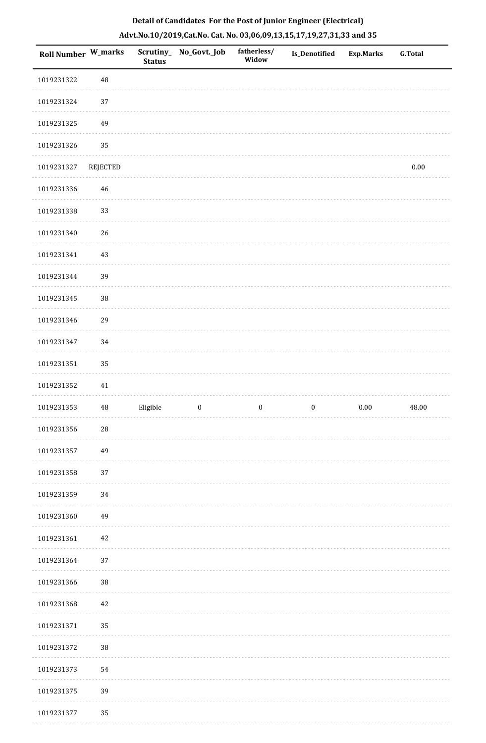| Roll Number W_marks |          | <b>Status</b> | Scrutiny_ No_Govt._Job | fatherless/<br>Widow | Is_Denotified    | <b>Exp.Marks</b> | <b>G.Total</b> |
|---------------------|----------|---------------|------------------------|----------------------|------------------|------------------|----------------|
| 1019231322          | 48       |               |                        |                      |                  |                  |                |
| 1019231324          | $37\,$   |               |                        |                      |                  |                  |                |
| 1019231325          | 49       |               |                        |                      |                  |                  |                |
| 1019231326          | 35       |               |                        |                      |                  |                  |                |
| 1019231327          | REJECTED |               |                        |                      |                  |                  | $0.00\,$       |
| 1019231336          | $46\,$   |               |                        |                      |                  |                  |                |
| 1019231338          | 33       |               |                        |                      |                  |                  |                |
| 1019231340          | 26       |               |                        |                      |                  |                  |                |
| 1019231341          | $43\,$   |               |                        |                      |                  |                  |                |
| 1019231344          | 39       |               |                        |                      |                  |                  |                |
| 1019231345          | 38       |               |                        |                      |                  |                  |                |
| 1019231346          | 29       |               |                        |                      |                  |                  |                |
| 1019231347          | 34       |               |                        |                      |                  |                  |                |
| 1019231351          | 35       |               |                        |                      |                  |                  |                |
| 1019231352          | 41       |               |                        |                      |                  |                  |                |
| 1019231353          | $\rm 48$ | Eligible      | $\boldsymbol{0}$       | $\boldsymbol{0}$     | $\boldsymbol{0}$ | $0.00\,$         | 48.00          |
| 1019231356          | $28\,$   |               |                        |                      |                  |                  |                |
| 1019231357          | 49       |               |                        |                      |                  |                  |                |
| 1019231358          | 37       |               |                        |                      |                  |                  |                |
| 1019231359          | 34       |               |                        |                      |                  |                  |                |
| 1019231360          | 49       |               |                        |                      |                  |                  |                |
| 1019231361          | $42\,$   |               |                        |                      |                  |                  |                |
| 1019231364          | $37\,$   |               |                        |                      |                  |                  |                |
| 1019231366          | 38       |               |                        |                      |                  |                  |                |
| 1019231368          | $42\,$   |               |                        |                      |                  |                  |                |
| 1019231371          | 35       |               |                        |                      |                  |                  |                |
| 1019231372          | 38       |               |                        |                      |                  |                  |                |
| 1019231373          | 54       |               |                        |                      |                  |                  |                |
| 1019231375          | 39       |               |                        |                      |                  |                  |                |
| 1019231377          | 35       |               |                        |                      |                  |                  |                |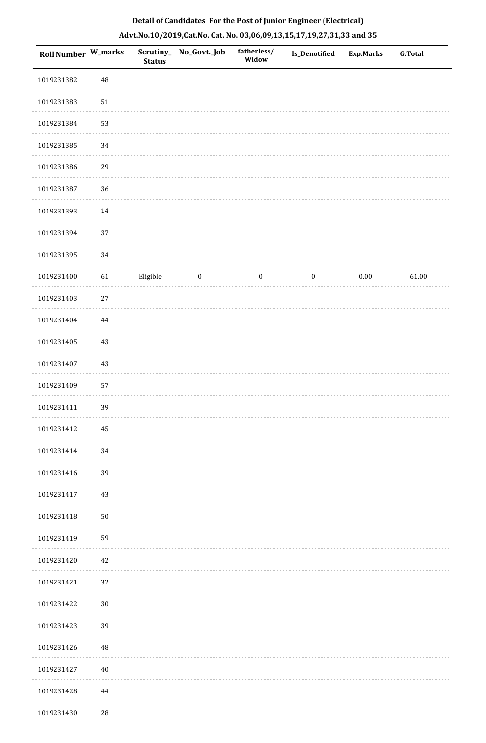| <b>Roll Number W_marks</b> |          | <b>Status</b> | Scrutiny_ No_Govt._Job | fatherless/<br>Widow | Is_Denotified    | <b>Exp.Marks</b> | <b>G.Total</b> |
|----------------------------|----------|---------------|------------------------|----------------------|------------------|------------------|----------------|
| 1019231382                 | $\rm 48$ |               |                        |                      |                  |                  |                |
| 1019231383                 | $51\,$   |               |                        |                      |                  |                  |                |
| 1019231384                 | 53       |               |                        |                      |                  |                  |                |
| 1019231385                 | 34       |               |                        |                      |                  |                  |                |
| 1019231386                 | 29       |               |                        |                      |                  |                  |                |
| 1019231387                 | 36       |               |                        |                      |                  |                  |                |
| 1019231393                 | 14       |               |                        |                      |                  |                  |                |
| 1019231394                 | 37       |               |                        |                      |                  |                  |                |
| 1019231395                 | 34       |               |                        |                      |                  |                  |                |
| 1019231400                 | 61       | Eligible      | $\boldsymbol{0}$       | $\boldsymbol{0}$     | $\boldsymbol{0}$ | $0.00\,$         | 61.00          |
| 1019231403                 | $27\,$   |               |                        |                      |                  |                  |                |
| 1019231404                 | 44       |               |                        |                      |                  |                  |                |
| 1019231405                 | 43       |               |                        |                      |                  |                  |                |
| 1019231407                 | 43       |               |                        |                      |                  |                  |                |
| 1019231409                 | 57       |               |                        |                      |                  |                  |                |
| 1019231411                 | 39       |               |                        |                      |                  |                  |                |
| 1019231412                 | 45       |               |                        |                      |                  |                  |                |
| 1019231414                 | 34       |               |                        |                      |                  |                  |                |
| 1019231416                 | 39       |               |                        |                      |                  |                  |                |
| 1019231417                 | 43       |               |                        |                      |                  |                  |                |
| 1019231418                 | $50\,$   |               |                        |                      |                  |                  |                |
| 1019231419                 | 59       |               |                        |                      |                  |                  |                |
| 1019231420                 | 42       |               |                        |                      |                  |                  |                |
| 1019231421                 | 32       |               |                        |                      |                  |                  |                |
| 1019231422                 | $30\,$   |               |                        |                      |                  |                  |                |
| 1019231423                 | 39       |               |                        |                      |                  |                  |                |
| 1019231426                 | 48       |               |                        |                      |                  |                  |                |
| 1019231427                 | 40       |               |                        |                      |                  |                  |                |
| 1019231428                 | 44       |               |                        |                      |                  |                  |                |
| 1019231430                 | 28       |               |                        |                      |                  |                  |                |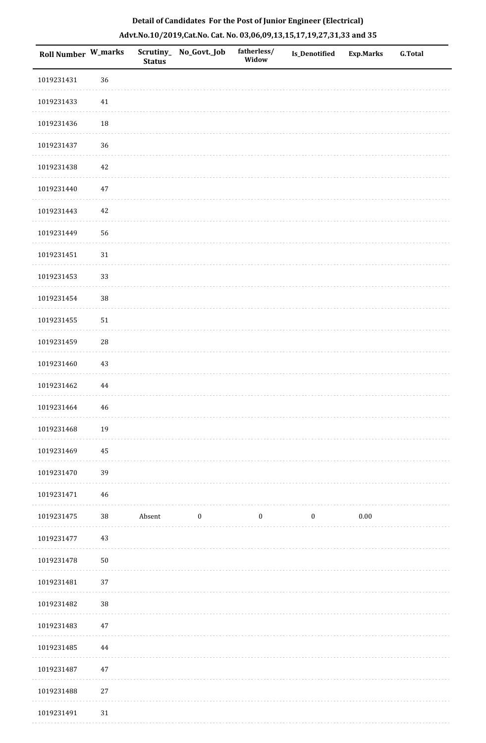| 1019231431<br>1019231433<br>1019231436<br>1019231437<br>1019231438<br>1019231440<br>1019231443<br>1019231449 | 36<br>41<br>18<br>36 |        |          |                  |          |          |  |
|--------------------------------------------------------------------------------------------------------------|----------------------|--------|----------|------------------|----------|----------|--|
|                                                                                                              |                      |        |          |                  |          |          |  |
|                                                                                                              |                      |        |          |                  |          |          |  |
|                                                                                                              |                      |        |          |                  |          |          |  |
|                                                                                                              |                      |        |          |                  |          |          |  |
|                                                                                                              | 42                   |        |          |                  |          |          |  |
|                                                                                                              | 47                   |        |          |                  |          |          |  |
|                                                                                                              | 42                   |        |          |                  |          |          |  |
|                                                                                                              | 56                   |        |          |                  |          |          |  |
| 1019231451                                                                                                   | $31\,$               |        |          |                  |          |          |  |
| 1019231453                                                                                                   | 33                   |        |          |                  |          |          |  |
| 1019231454                                                                                                   | $38\,$               |        |          |                  |          |          |  |
| 1019231455                                                                                                   | 51                   |        |          |                  |          |          |  |
| 1019231459                                                                                                   | 28                   |        |          |                  |          |          |  |
| 1019231460                                                                                                   | 43                   |        |          |                  |          |          |  |
| 1019231462                                                                                                   | 44                   |        |          |                  |          |          |  |
| 1019231464                                                                                                   | 46                   |        |          |                  |          |          |  |
| 1019231468                                                                                                   | 19                   |        |          |                  |          |          |  |
| 1019231469                                                                                                   | 45                   |        |          |                  |          |          |  |
| 1019231470                                                                                                   | 39                   |        |          |                  |          |          |  |
| 1019231471                                                                                                   | 46                   |        |          |                  |          |          |  |
| 1019231475                                                                                                   | 38                   | Absent | $\bf{0}$ | $\boldsymbol{0}$ | $\bf{0}$ | $0.00\,$ |  |
| 1019231477                                                                                                   | 43                   |        |          |                  |          |          |  |
| 1019231478                                                                                                   | $50\,$               |        |          |                  |          |          |  |
| 1019231481                                                                                                   | 37                   |        |          |                  |          |          |  |
| 1019231482                                                                                                   | $38\,$               |        |          |                  |          |          |  |
| 1019231483                                                                                                   | 47                   |        |          |                  |          |          |  |
| 1019231485                                                                                                   | 44                   |        |          |                  |          |          |  |
| 1019231487                                                                                                   | $47\,$               |        |          |                  |          |          |  |
| 1019231488                                                                                                   | $27\,$               |        |          |                  |          |          |  |
| 1019231491                                                                                                   | 31                   |        |          |                  |          |          |  |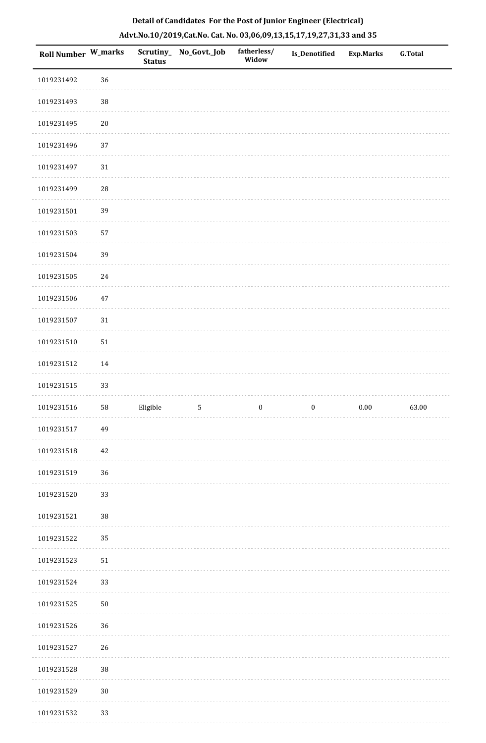| <b>Roll Number W_marks</b> |        | <b>Status</b> | Scrutiny_ No_Govt._Job | fatherless/<br>Widow | Is_Denotified    | <b>Exp.Marks</b> | <b>G.Total</b> |
|----------------------------|--------|---------------|------------------------|----------------------|------------------|------------------|----------------|
| 1019231492                 | 36     |               |                        |                      |                  |                  |                |
| 1019231493                 | $38\,$ |               |                        |                      |                  |                  |                |
| 1019231495                 | $20\,$ |               |                        |                      |                  |                  |                |
| 1019231496                 | 37     |               |                        |                      |                  |                  |                |
| 1019231497                 | $31\,$ |               |                        |                      |                  |                  |                |
| 1019231499                 | $28\,$ |               |                        |                      |                  |                  |                |
| 1019231501                 | 39     |               |                        |                      |                  |                  |                |
| 1019231503                 | 57     |               |                        |                      |                  |                  |                |
| 1019231504                 | 39     |               |                        |                      |                  |                  |                |
| 1019231505                 | 24     |               |                        |                      |                  |                  |                |
| 1019231506                 | $47\,$ |               |                        |                      |                  |                  |                |
| 1019231507                 | 31     |               |                        |                      |                  |                  |                |
| 1019231510                 | 51     |               |                        |                      |                  |                  |                |
| 1019231512                 | 14     |               |                        |                      |                  |                  |                |
| 1019231515                 | 33     |               |                        |                      |                  |                  |                |
| 1019231516                 | 58     | Eligible      | $\mathsf S$            | $\boldsymbol{0}$     | $\boldsymbol{0}$ | $0.00\,$         | 63.00          |
| 1019231517                 | 49     |               |                        |                      |                  |                  |                |
| 1019231518                 | 42     |               |                        |                      |                  |                  |                |
| 1019231519                 | 36     |               |                        |                      |                  |                  |                |
| 1019231520                 | 33     |               |                        |                      |                  |                  |                |
| 1019231521                 | $38\,$ |               |                        |                      |                  |                  |                |
| 1019231522                 | 35     |               |                        |                      |                  |                  |                |
| 1019231523                 | 51     |               |                        |                      |                  |                  |                |
| 1019231524                 | 33     |               |                        |                      |                  |                  |                |
| 1019231525                 | $50\,$ |               |                        |                      |                  |                  |                |
| 1019231526                 | 36     |               |                        |                      |                  |                  |                |
| 1019231527                 | 26     |               |                        |                      |                  |                  |                |
| 1019231528                 | $38\,$ |               |                        |                      |                  |                  |                |
| 1019231529                 | $30\,$ |               |                        |                      |                  |                  |                |
| 1019231532                 | 33     |               |                        |                      |                  |                  |                |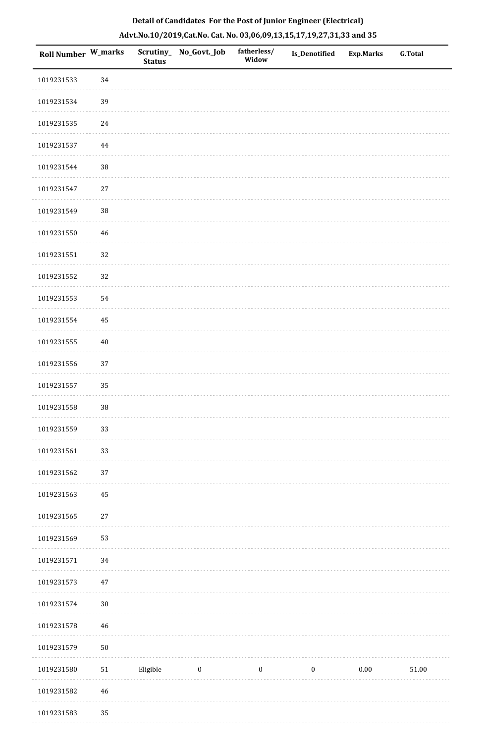| Roll Number W_marks |             | <b>Status</b> | Scrutiny_ No_Govt._Job | fatherless/<br>Widow | <b>Is_Denotified</b> | <b>Exp.Marks</b> | <b>G.Total</b> |
|---------------------|-------------|---------------|------------------------|----------------------|----------------------|------------------|----------------|
| 1019231533          | 34          |               |                        |                      |                      |                  |                |
| 1019231534          | 39          |               |                        |                      |                      |                  |                |
| 1019231535          | $24\,$      |               |                        |                      |                      |                  |                |
| 1019231537          | $\bf 44$    |               |                        |                      |                      |                  |                |
| 1019231544          | $38\,$      |               |                        |                      |                      |                  |                |
| 1019231547          | $27\,$      |               |                        |                      |                      |                  |                |
| 1019231549          | $38\,$      |               |                        |                      |                      |                  |                |
| 1019231550          | 46          |               |                        |                      |                      |                  |                |
| 1019231551          | 32          |               |                        |                      |                      |                  |                |
| 1019231552          | 32          |               |                        |                      |                      |                  |                |
| 1019231553          | 54          |               |                        |                      |                      |                  |                |
| 1019231554          | 45          |               |                        |                      |                      |                  |                |
| 1019231555          | $40\,$      |               |                        |                      |                      |                  |                |
| 1019231556          | 37          |               |                        |                      |                      |                  |                |
| 1019231557          | 35          |               |                        |                      |                      |                  |                |
| 1019231558          | 38          |               |                        |                      |                      |                  |                |
| 1019231559          | 33          |               |                        |                      |                      |                  |                |
| 1019231561          | 33          |               |                        |                      |                      |                  |                |
| 1019231562          | $37\,$      |               |                        |                      |                      |                  |                |
| 1019231563          | 45          |               |                        |                      |                      |                  |                |
| 1019231565          | $27\,$      |               |                        |                      |                      |                  |                |
| 1019231569          | 53          |               |                        |                      |                      |                  |                |
| 1019231571          | 34          |               |                        |                      |                      |                  |                |
| 1019231573          | 47          |               |                        |                      |                      |                  |                |
| 1019231574          | $30\,$      |               |                        |                      |                      |                  |                |
| 1019231578          | $\sqrt{46}$ |               |                        |                      |                      |                  |                |
| 1019231579          | $50\,$      |               |                        |                      |                      |                  |                |
| 1019231580          | ${\bf 51}$  | Eligible      | $\bf{0}$               | $\boldsymbol{0}$     | $\boldsymbol{0}$     | $0.00\,$         | 51.00          |
| 1019231582          | $\sqrt{46}$ |               |                        |                      |                      |                  |                |
|                     |             |               |                        |                      |                      |                  |                |

## **Detail of Candidates For the Post of Junior Engineer (Electrical) Advt.No.10/2019,Cat.No. Cat. No. 03,06,09,13,15,17,19,27,31,33 and 35**

 1019231583 35. . . . . . . . . .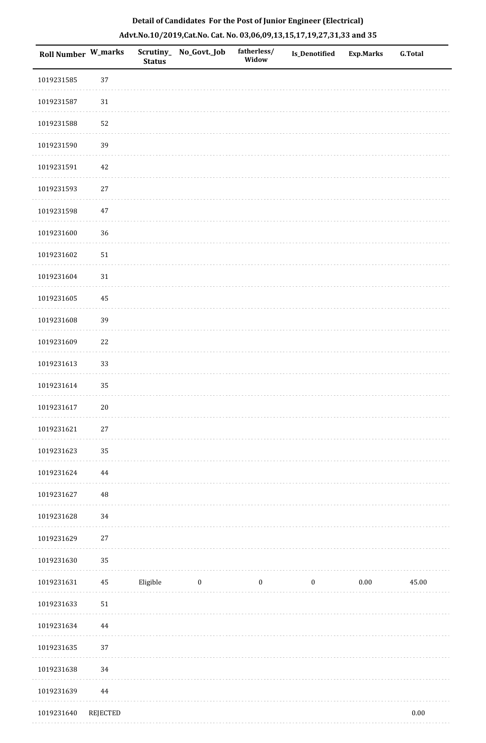| Roll Number W_marks |                 | <b>Status</b> | Scrutiny_ No_Govt._Job | fatherless/<br>Widow | <b>Is_Denotified</b> | Exp.Marks | <b>G.Total</b> |
|---------------------|-----------------|---------------|------------------------|----------------------|----------------------|-----------|----------------|
| 1019231585          | 37              |               |                        |                      |                      |           |                |
| 1019231587          | $31\,$          |               |                        |                      |                      |           |                |
| 1019231588          | 52              |               |                        |                      |                      |           |                |
| 1019231590          | 39              |               |                        |                      |                      |           |                |
| 1019231591          | $42\,$          |               |                        |                      |                      |           |                |
| 1019231593          | $27\,$          |               |                        |                      |                      |           |                |
| 1019231598          | $47\,$          |               |                        |                      |                      |           |                |
| 1019231600          | 36              |               |                        |                      |                      |           |                |
| 1019231602          | 51              |               |                        |                      |                      |           |                |
| 1019231604          | 31              |               |                        |                      |                      |           |                |
| 1019231605          | $\rm 45$        |               |                        |                      |                      |           |                |
| 1019231608          | 39              |               |                        |                      |                      |           |                |
| 1019231609          | $22\,$          |               |                        |                      |                      |           |                |
| 1019231613          | 33              |               |                        |                      |                      |           |                |
| 1019231614          | 35              |               |                        |                      |                      |           |                |
| 1019231617          | $20\,$          |               |                        |                      |                      |           |                |
| 1019231621          | $27\,$          |               |                        |                      |                      |           |                |
| 1019231623          | 35              |               |                        |                      |                      |           |                |
| 1019231624          | $\bf 44$        |               |                        |                      |                      |           |                |
| 1019231627          | $\rm 48$        |               |                        |                      |                      |           |                |
| 1019231628          | 34              |               |                        |                      |                      |           |                |
| 1019231629          | 27              |               |                        |                      |                      |           |                |
| 1019231630          | 35              |               |                        |                      |                      |           |                |
| 1019231631          | $\bf 45$        | Eligible      | $\bf{0}$               | $\bf{0}$             | $\bf{0}$             | 0.00      | 45.00          |
| 1019231633          | 51              |               |                        |                      |                      |           |                |
| 1019231634          | $\bf 44$        |               |                        |                      |                      |           |                |
| 1019231635          | 37              |               |                        |                      |                      |           |                |
| 1019231638          | 34              |               |                        |                      |                      |           |                |
| 1019231639          | $\bf 44$        |               |                        |                      |                      |           |                |
| 1019231640          | <b>REJECTED</b> |               |                        |                      |                      |           | $0.00\,$       |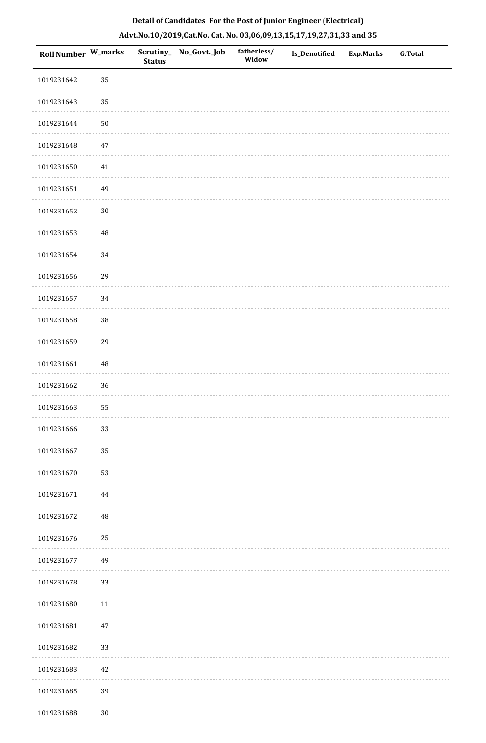| Roll Number W_marks |          | <b>Status</b> | Scrutiny_ No_Govt._Job | fatherless/<br>Widow | Is_Denotified | <b>Exp.Marks</b> | <b>G.Total</b> |
|---------------------|----------|---------------|------------------------|----------------------|---------------|------------------|----------------|
| 1019231642          | 35       |               |                        |                      |               |                  |                |
| 1019231643          | 35       |               |                        |                      |               |                  |                |
| 1019231644          | $50\,$   |               |                        |                      |               |                  |                |
| 1019231648          | $47\,$   |               |                        |                      |               |                  |                |
| 1019231650          | $41\,$   |               |                        |                      |               |                  |                |
| 1019231651          | 49       |               |                        |                      |               |                  |                |
| 1019231652          | $30\,$   |               |                        |                      |               |                  |                |
| 1019231653          | $\rm 48$ |               |                        |                      |               |                  |                |
| 1019231654          | 34       |               |                        |                      |               |                  |                |
| 1019231656          | 29       |               |                        |                      |               |                  |                |
| 1019231657          | 34       |               |                        |                      |               |                  |                |
| 1019231658          | 38       |               |                        |                      |               |                  |                |
| 1019231659          | 29       |               |                        |                      |               |                  |                |
| 1019231661          | $\rm 48$ |               |                        |                      |               |                  |                |
| 1019231662          | 36       |               |                        |                      |               |                  |                |
| 1019231663          | 55       |               |                        |                      |               |                  |                |
| 1019231666          | 33       |               |                        |                      |               |                  |                |
| 1019231667          | 35       |               |                        |                      |               |                  |                |
| 1019231670          | 53       |               |                        |                      |               |                  |                |
| 1019231671          | 44       |               |                        |                      |               |                  |                |
| 1019231672          | $\rm 48$ |               |                        |                      |               |                  |                |
| 1019231676          | 25       |               |                        |                      |               |                  |                |
| 1019231677          | 49       |               |                        |                      |               |                  |                |
| 1019231678          | 33       |               |                        |                      |               |                  |                |
| 1019231680          | $11\,$   |               |                        |                      |               |                  |                |
| 1019231681          | $47\,$   |               |                        |                      |               |                  |                |
| 1019231682          | 33       |               |                        |                      |               |                  |                |
| 1019231683          | 42       |               |                        |                      |               |                  |                |
| 1019231685          | 39       |               |                        |                      |               |                  |                |
| 1019231688          | $30\,$   |               |                        |                      |               |                  |                |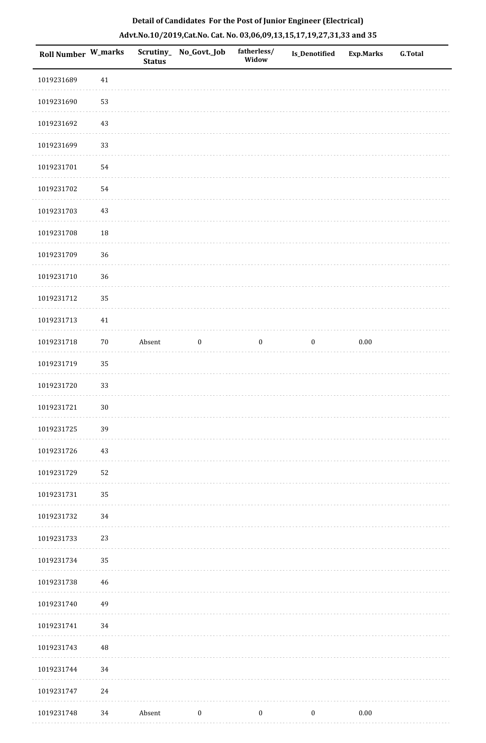| <b>Roll Number W_marks</b> |          | <b>Status</b> | Scrutiny_ No_Govt._Job | fatherless/<br>Widow | Is_Denotified    | <b>Exp.Marks</b> | <b>G.Total</b> |
|----------------------------|----------|---------------|------------------------|----------------------|------------------|------------------|----------------|
| 1019231689                 | $41\,$   |               |                        |                      |                  |                  |                |
| 1019231690                 | 53       |               |                        |                      |                  |                  |                |
| 1019231692                 | $43\,$   |               |                        |                      |                  |                  |                |
| 1019231699                 | 33       |               |                        |                      |                  |                  |                |
| 1019231701                 | 54       |               |                        |                      |                  |                  |                |
| 1019231702                 | 54       |               |                        |                      |                  |                  |                |
| 1019231703                 | 43       |               |                        |                      |                  |                  |                |
| 1019231708                 | 18       |               |                        |                      |                  |                  |                |
| 1019231709                 | 36       |               |                        |                      |                  |                  |                |
| 1019231710                 | 36       |               |                        |                      |                  |                  |                |
| 1019231712                 | 35       |               |                        |                      |                  |                  |                |
| 1019231713                 | $41\,$   |               |                        |                      |                  |                  |                |
| 1019231718                 | $70\,$   | Absent        | $\boldsymbol{0}$       | $\boldsymbol{0}$     | $\boldsymbol{0}$ | $0.00\,$         |                |
| 1019231719                 | 35       |               |                        |                      |                  |                  |                |
| 1019231720                 | 33       |               |                        |                      |                  |                  |                |
| 1019231721                 | $30\,$   |               |                        |                      |                  |                  |                |
| 1019231725                 | 39       |               |                        |                      |                  |                  |                |
| 1019231726                 | $43\,$   |               |                        |                      |                  |                  |                |
| 1019231729                 | 52       |               |                        |                      |                  |                  |                |
| 1019231731                 | 35       |               |                        |                      |                  |                  |                |
| 1019231732                 | 34       |               |                        |                      |                  |                  |                |
| 1019231733                 | 23       |               |                        |                      |                  |                  |                |
| 1019231734                 | 35       |               |                        |                      |                  |                  |                |
| 1019231738                 | 46       |               |                        |                      |                  |                  |                |
| 1019231740                 | 49       |               |                        |                      |                  |                  |                |
| 1019231741                 | 34       |               |                        |                      |                  |                  |                |
| 1019231743                 | $\rm 48$ |               |                        |                      |                  |                  |                |
| 1019231744                 | 34       |               |                        |                      |                  |                  |                |
| 1019231747                 | 24       |               |                        |                      |                  |                  |                |
| 1019231748                 | 34       | Absent        | $\bf{0}$               | $\boldsymbol{0}$     | $\boldsymbol{0}$ | $0.00\,$         |                |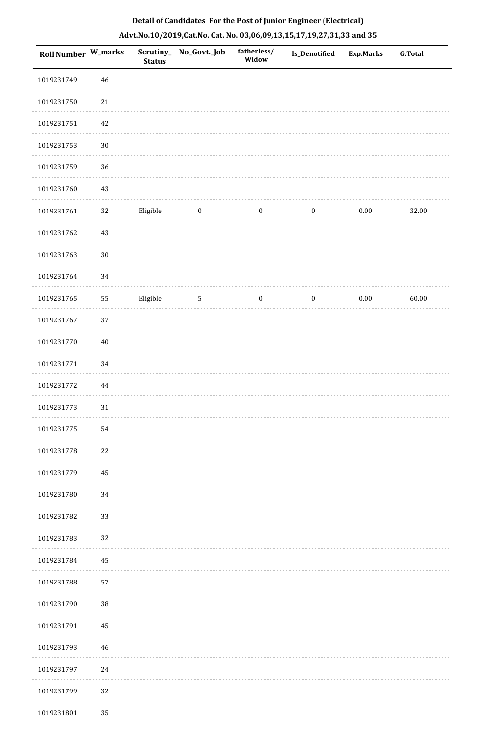| Roll Number W_marks |          | <b>Status</b> | Scrutiny_ No_Govt._Job | fatherless/<br>Widow | Is_Denotified    | <b>Exp.Marks</b> | <b>G.Total</b> |
|---------------------|----------|---------------|------------------------|----------------------|------------------|------------------|----------------|
| 1019231749          | 46       |               |                        |                      |                  |                  |                |
| 1019231750          | $21\,$   |               |                        |                      |                  |                  |                |
| 1019231751          | $42\,$   |               |                        |                      |                  |                  |                |
| 1019231753          | $30\,$   |               |                        |                      |                  |                  |                |
| 1019231759          | 36       |               |                        |                      |                  |                  |                |
| 1019231760          | $43\,$   |               |                        |                      |                  |                  |                |
| 1019231761          | $32\,$   | Eligible      | $\bf{0}$               | $\boldsymbol{0}$     | $\boldsymbol{0}$ | $0.00\,$         | 32.00          |
| 1019231762          | $43\,$   |               |                        |                      |                  |                  |                |
| 1019231763          | $30\,$   |               |                        |                      |                  |                  |                |
| 1019231764          | 34       |               |                        |                      |                  |                  |                |
| 1019231765          | 55       | Eligible      | $5\phantom{.0}$        | $\boldsymbol{0}$     | $\boldsymbol{0}$ | $0.00\,$         | 60.00          |
| 1019231767          | 37       |               |                        |                      |                  |                  |                |
| 1019231770          | $40\,$   |               |                        |                      |                  |                  |                |
| 1019231771          | 34       |               |                        |                      |                  |                  |                |
| 1019231772          | $\bf 44$ |               |                        |                      |                  |                  |                |
| 1019231773          | $31\,$   |               |                        |                      |                  |                  |                |
| 1019231775          | 54       |               |                        |                      |                  |                  |                |
| 1019231778          | $22\,$   |               |                        |                      |                  |                  |                |
| 1019231779          | 45       |               |                        |                      |                  |                  |                |
| 1019231780          | 34       |               |                        |                      |                  |                  |                |
| 1019231782          | 33       |               |                        |                      |                  |                  |                |
| 1019231783          | 32       |               |                        |                      |                  |                  |                |
| 1019231784          | 45       |               |                        |                      |                  |                  |                |
| 1019231788          | 57       |               |                        |                      |                  |                  |                |
| 1019231790          | 38       |               |                        |                      |                  |                  |                |
| 1019231791          | 45       |               |                        |                      |                  |                  |                |
| 1019231793          | 46       |               |                        |                      |                  |                  |                |
| 1019231797          | 24       |               |                        |                      |                  |                  |                |
| 1019231799          | 32       |               |                        |                      |                  |                  |                |
| 1019231801          | 35       |               |                        |                      |                  |                  |                |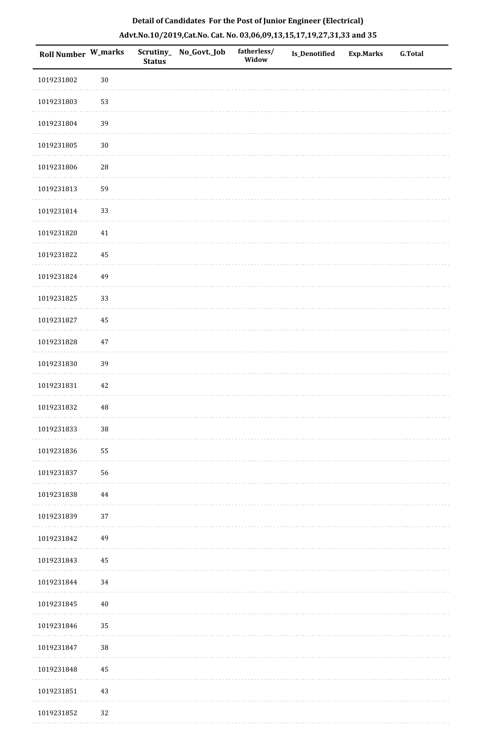| Roll Number W_marks |          | Scrutiny_<br><b>Status</b> | No_Govt._Job | fatherless/<br>Widow | <b>Is_Denotified</b> | <b>Exp.Marks</b> | <b>G.Total</b> |
|---------------------|----------|----------------------------|--------------|----------------------|----------------------|------------------|----------------|
| 1019231802          | $30\,$   |                            |              |                      |                      |                  |                |
| 1019231803          | 53       |                            |              |                      |                      |                  |                |
| 1019231804          | 39       |                            |              |                      |                      |                  |                |
| 1019231805          | $30\,$   |                            |              |                      |                      |                  |                |
| 1019231806          | $28\,$   |                            |              |                      |                      |                  |                |
| 1019231813          | 59       |                            |              |                      |                      |                  |                |
| 1019231814          | 33       |                            |              |                      |                      |                  |                |
| 1019231820          | $41\,$   |                            |              |                      |                      |                  |                |
| 1019231822          | 45       |                            |              |                      |                      |                  |                |
| 1019231824          | 49       |                            |              |                      |                      |                  |                |
| 1019231825          | 33       |                            |              |                      |                      |                  |                |
| 1019231827          | 45       |                            |              |                      |                      |                  |                |
| 1019231828          | $47\,$   |                            |              |                      |                      |                  |                |
| 1019231830          | 39       |                            |              |                      |                      |                  |                |
| 1019231831          | 42       |                            |              |                      |                      |                  |                |
| 1019231832          | $\rm 48$ |                            |              |                      |                      |                  |                |
| 1019231833          | $38\,$   |                            |              |                      |                      |                  |                |
| 1019231836          | 55       |                            |              |                      |                      |                  |                |
| 1019231837          | 56       |                            |              |                      |                      |                  |                |
| 1019231838          | 44       |                            |              |                      |                      |                  |                |
| 1019231839          | 37       |                            |              |                      |                      |                  |                |
| 1019231842          | 49       |                            |              |                      |                      |                  |                |
| 1019231843          | 45       |                            |              |                      |                      |                  |                |
| 1019231844          | 34       |                            |              |                      |                      |                  |                |
| 1019231845          | $40\,$   |                            |              |                      |                      |                  |                |
| 1019231846          | 35       |                            |              |                      |                      |                  |                |
| 1019231847          | $38\,$   |                            |              |                      |                      |                  |                |
| 1019231848          | 45       |                            |              |                      |                      |                  |                |
| 1019231851          | $43\,$   |                            |              |                      |                      |                  |                |
| 1019231852          | 32       |                            |              |                      |                      |                  |                |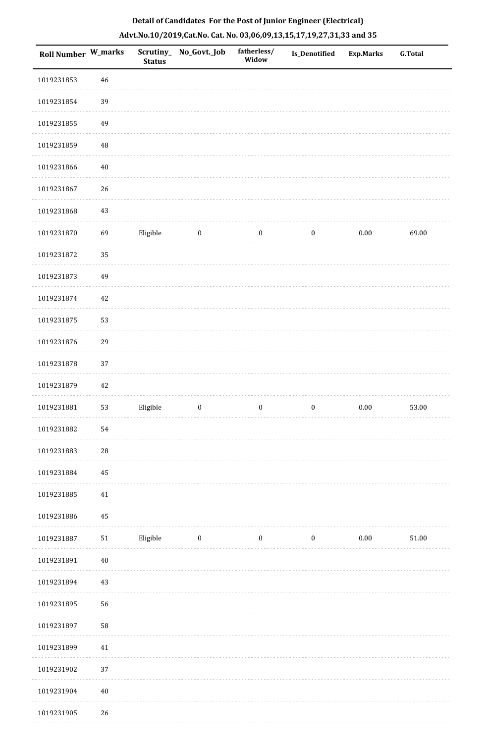| Roll Number W_marks |             | <b>Status</b> | Scrutiny_No_Govt._Job | fatherless/<br>Widow | Is_Denotified    | <b>Exp.Marks</b> | <b>G.Total</b> |
|---------------------|-------------|---------------|-----------------------|----------------------|------------------|------------------|----------------|
| 1019231853          | $46\,$      |               |                       |                      |                  |                  |                |
| 1019231854          | 39          |               |                       |                      |                  |                  |                |
| 1019231855          | 49          |               |                       |                      |                  |                  |                |
| 1019231859          | 48          |               |                       |                      |                  |                  |                |
| 1019231866          | $40\,$      |               |                       |                      |                  |                  |                |
| 1019231867          | 26          |               |                       |                      |                  |                  |                |
| 1019231868          | $43\,$      |               |                       |                      |                  |                  |                |
| 1019231870          | 69          | Eligible      | $\bf{0}$              | $\boldsymbol{0}$     | $\boldsymbol{0}$ | $0.00\,$         | 69.00          |
| 1019231872          | 35          |               |                       |                      |                  |                  |                |
| 1019231873          | 49          |               |                       |                      |                  |                  |                |
| 1019231874          | $42\,$      |               |                       |                      |                  |                  |                |
| 1019231875          | 53          |               |                       |                      |                  |                  |                |
| 1019231876          | 29          |               |                       |                      |                  |                  |                |
| 1019231878          | 37          |               |                       |                      |                  |                  |                |
| 1019231879          | $42\,$      |               |                       |                      |                  |                  |                |
| 1019231881          | 53          | Eligible      | $\boldsymbol{0}$      | $\boldsymbol{0}$     | $\boldsymbol{0}$ | $0.00\,$         | 53.00          |
| 1019231882          | 54          |               |                       |                      |                  |                  |                |
| 1019231883          | $\sqrt{28}$ |               |                       |                      |                  |                  |                |
| 1019231884          | 45          |               |                       |                      |                  |                  |                |
| 1019231885          | $41\,$      |               |                       |                      |                  |                  |                |
| 1019231886          | 45          |               |                       |                      |                  |                  |                |
| 1019231887          | ${\bf 51}$  | Eligible      | $\boldsymbol{0}$      | $\boldsymbol{0}$     | $\boldsymbol{0}$ | $0.00\,$         | 51.00          |
| 1019231891          | $40\,$      |               |                       |                      |                  |                  |                |
| 1019231894          | 43          |               |                       |                      |                  |                  |                |
| 1019231895          | 56          |               |                       |                      |                  |                  |                |
| 1019231897          | 58          |               |                       |                      |                  |                  |                |
| 1019231899          | 41          |               |                       |                      |                  |                  |                |
| 1019231902          | 37          |               |                       |                      |                  |                  |                |
| 1019231904          | $40\,$      |               |                       |                      |                  |                  |                |
| 1019231905          | $26\,$      |               |                       |                      |                  |                  |                |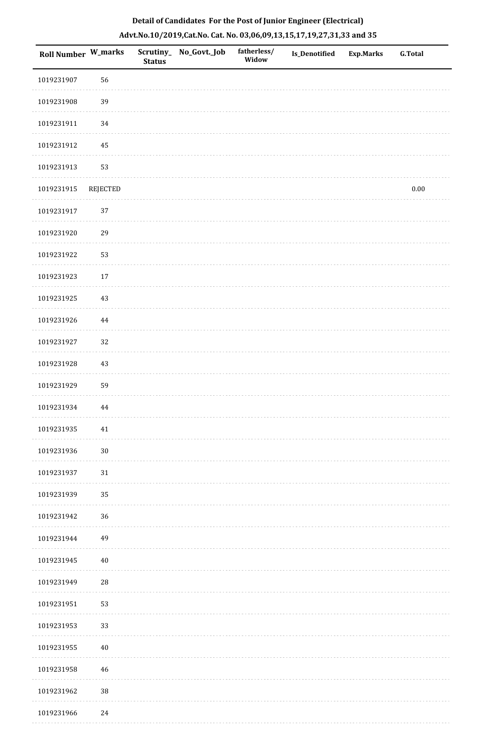|  | Detail of Candidates For the Post of Junior Engineer (Electrical)     |  |
|--|-----------------------------------------------------------------------|--|
|  | Advt.No.10/2019,Cat.No. Cat. No. 03,06,09,13,15,17,19,27,31,33 and 35 |  |

| <b>Roll Number W_marks</b> |                 | <b>Status</b> | Scrutiny_ No_Govt._Job | fatherless/<br>Widow | <b>Is_Denotified</b> | <b>Exp.Marks</b> | <b>G.Total</b> |
|----------------------------|-----------------|---------------|------------------------|----------------------|----------------------|------------------|----------------|
| 1019231907                 | 56              |               |                        |                      |                      |                  |                |
| 1019231908                 | 39              |               |                        |                      |                      |                  |                |
| 1019231911                 | 34              |               |                        |                      |                      |                  |                |
| 1019231912                 | $\rm 45$        |               |                        |                      |                      |                  |                |
| 1019231913                 | 53              |               |                        |                      |                      |                  |                |
| 1019231915                 | <b>REJECTED</b> |               |                        |                      |                      |                  | $0.00\,$       |
| 1019231917                 | 37              |               |                        |                      |                      |                  |                |
| 1019231920                 | 29              |               |                        |                      |                      |                  |                |
| 1019231922                 | 53              |               |                        |                      |                      |                  |                |
| 1019231923                 | $17\,$          |               |                        |                      |                      |                  |                |
| 1019231925                 | $43\,$          |               |                        |                      |                      |                  |                |
| 1019231926                 | $\bf 44$        |               |                        |                      |                      |                  |                |
| 1019231927                 | 32              |               |                        |                      |                      |                  |                |
| 1019231928                 | 43              |               |                        |                      |                      |                  |                |
| 1019231929                 | 59              |               |                        |                      |                      |                  |                |
| 1019231934                 | $\bf 44$        |               |                        |                      |                      |                  |                |
| 1019231935                 | $41\,$          |               |                        |                      |                      |                  |                |
| 1019231936                 | $30\,$          |               |                        |                      |                      |                  |                |
| 1019231937                 | 31              |               |                        |                      |                      |                  |                |
| 1019231939                 | 35              |               |                        |                      |                      |                  |                |
| 1019231942                 | 36              |               |                        |                      |                      |                  |                |
| 1019231944                 | 49              |               |                        |                      |                      |                  |                |
| 1019231945                 | $40\,$          |               |                        |                      |                      |                  |                |
| 1019231949                 | 28              |               |                        |                      |                      |                  |                |
| 1019231951                 | 53              |               |                        |                      |                      |                  |                |
| 1019231953                 | 33              |               |                        |                      |                      |                  |                |
| 1019231955                 | 40              |               |                        |                      |                      |                  |                |
| 1019231958                 | 46              |               |                        |                      |                      |                  |                |
| 1019231962                 | $38\,$          |               |                        |                      |                      |                  |                |
| 1019231966                 | 24              |               |                        |                      |                      |                  |                |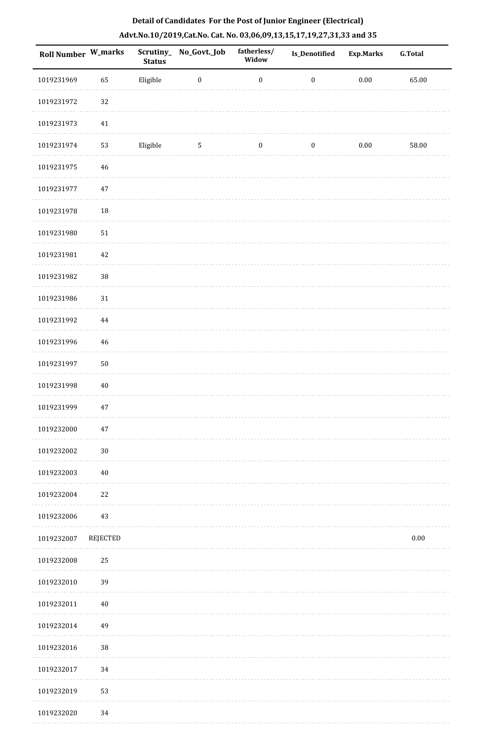| Roll Number W_marks |                 | Scrutiny_<br><b>Status</b> | No_Govt._Job     | fatherless/<br>Widow | <b>Is_Denotified</b> | <b>Exp.Marks</b> | <b>G.Total</b> |
|---------------------|-----------------|----------------------------|------------------|----------------------|----------------------|------------------|----------------|
| 1019231969          | 65              | Eligible                   | $\boldsymbol{0}$ | $\boldsymbol{0}$     | $\boldsymbol{0}$     | $0.00\,$         | 65.00          |
| 1019231972          | 32              |                            |                  |                      |                      |                  |                |
| 1019231973          | 41              |                            |                  |                      |                      |                  |                |
| 1019231974          | 53              | Eligible                   | $\mathbf 5$      | $\boldsymbol{0}$     | $\boldsymbol{0}$     | $0.00\,$         | 58.00          |
| 1019231975          | $\sqrt{46}$     |                            |                  |                      |                      |                  |                |
| 1019231977          | $47\,$          |                            |                  |                      |                      |                  |                |
| 1019231978          | $18\,$          |                            |                  |                      |                      |                  |                |
| 1019231980          | $51\,$          |                            |                  |                      |                      |                  |                |
| 1019231981          | 42              |                            |                  |                      |                      |                  |                |
| 1019231982          | 38              |                            |                  |                      |                      |                  |                |
| 1019231986          | 31              |                            |                  |                      |                      |                  |                |
| 1019231992          | $\bf 44$        |                            |                  |                      |                      |                  |                |
| 1019231996          | $\sqrt{46}$     |                            |                  |                      |                      |                  |                |
| 1019231997          | $50\,$          |                            |                  |                      |                      |                  |                |
| 1019231998          | $40\,$          |                            |                  |                      |                      |                  |                |
| 1019231999          | $47\,$          |                            |                  |                      |                      |                  |                |
| 1019232000          | $47\,$          |                            |                  |                      |                      |                  |                |
| 1019232002          | $30\,$          |                            |                  |                      |                      |                  |                |
| 1019232003          | $40\,$          |                            |                  |                      |                      |                  |                |
| 1019232004          | 22              |                            |                  |                      |                      |                  |                |
| 1019232006          | 43              |                            |                  |                      |                      |                  |                |
| 1019232007          | <b>REJECTED</b> |                            |                  |                      |                      |                  | $0.00\,$       |
| 1019232008          | 25              |                            |                  |                      |                      |                  |                |
| 1019232010          | 39              |                            |                  |                      |                      |                  |                |
| 1019232011          | $40\,$          |                            |                  |                      |                      |                  |                |
| 1019232014          | 49              |                            |                  |                      |                      |                  |                |
| 1019232016          | $38\,$          |                            |                  |                      |                      |                  |                |
| 1019232017          | 34              |                            |                  |                      |                      |                  |                |
| 1019232019          | 53              |                            |                  |                      |                      |                  |                |
| 1019232020          | 34              |                            |                  |                      |                      |                  |                |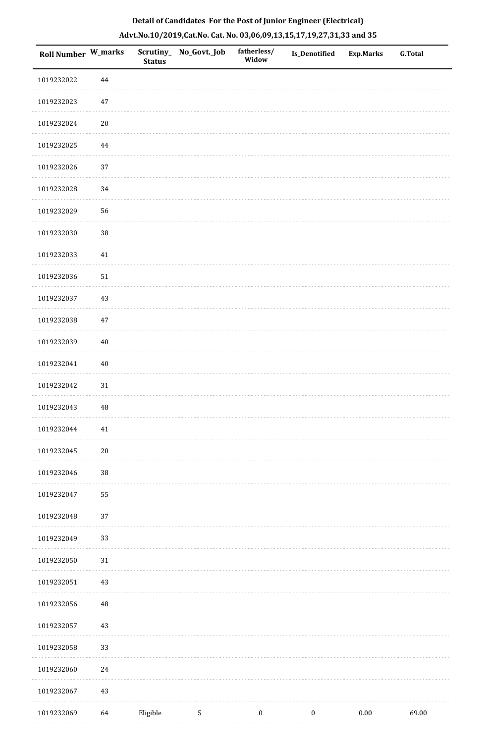| Roll Number W_marks |        | <b>Status</b> | Scrutiny_ No_Govt._Job | fatherless/<br>Widow | Is_Denotified    | <b>Exp.Marks</b> | <b>G.Total</b> |
|---------------------|--------|---------------|------------------------|----------------------|------------------|------------------|----------------|
| 1019232022          | 44     |               |                        |                      |                  |                  |                |
| 1019232023          | $47\,$ |               |                        |                      |                  |                  |                |
| 1019232024          | $20\,$ |               |                        |                      |                  |                  |                |
| 1019232025          | 44     |               |                        |                      |                  |                  |                |
| 1019232026          | 37     |               |                        |                      |                  |                  |                |
| 1019232028          | 34     |               |                        |                      |                  |                  |                |
| 1019232029          | 56     |               |                        |                      |                  |                  |                |
| 1019232030          | 38     |               |                        |                      |                  |                  |                |
| 1019232033          | $41\,$ |               |                        |                      |                  |                  |                |
| 1019232036          | $51\,$ |               |                        |                      |                  |                  |                |
| 1019232037          | $43\,$ |               |                        |                      |                  |                  |                |
| 1019232038          | $47\,$ |               |                        |                      |                  |                  |                |
| 1019232039          | $40\,$ |               |                        |                      |                  |                  |                |
| 1019232041          | $40\,$ |               |                        |                      |                  |                  |                |
| 1019232042          | $31\,$ |               |                        |                      |                  |                  |                |
| 1019232043          | 48     |               |                        |                      |                  |                  |                |
| 1019232044          | $41\,$ |               |                        |                      |                  |                  |                |
| 1019232045          | $20\,$ |               |                        |                      |                  |                  |                |
| 1019232046          | $38\,$ |               |                        |                      |                  |                  |                |
| 1019232047          | 55     |               |                        |                      |                  |                  |                |
| 1019232048          | 37     |               |                        |                      |                  |                  |                |
| 1019232049          | 33     |               |                        |                      |                  |                  |                |
| 1019232050          | 31     |               |                        |                      |                  |                  |                |
| 1019232051          | 43     |               |                        |                      |                  |                  |                |
| 1019232056          | 48     |               |                        |                      |                  |                  |                |
| 1019232057          | 43     |               |                        |                      |                  |                  |                |
| 1019232058          | 33     |               |                        |                      |                  |                  |                |
| 1019232060          | $24\,$ |               |                        |                      |                  |                  |                |
| 1019232067          | $43\,$ |               |                        |                      |                  |                  |                |
| 1019232069          | 64     | Eligible      | $5\phantom{.0}$        | $\boldsymbol{0}$     | $\boldsymbol{0}$ | $0.00\,$         | 69.00          |

. . . . . . . . . . . .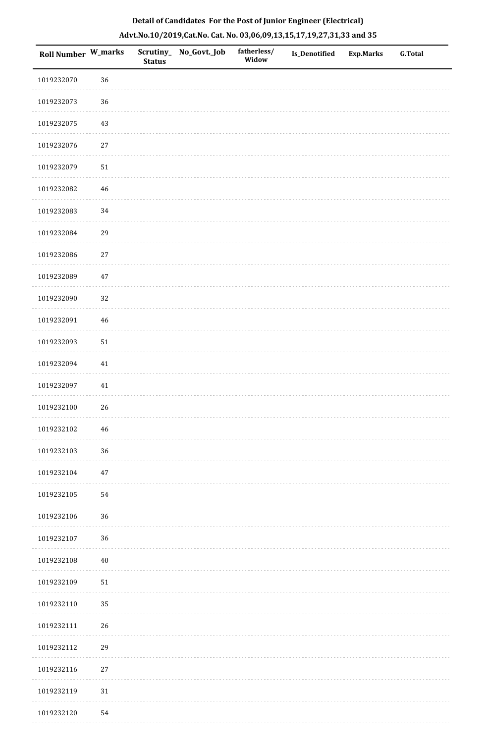| <b>Roll Number W_marks</b> |        | <b>Status</b> | Scrutiny_ No_Govt._Job | fatherless/<br>Widow | Is_Denotified | <b>Exp.Marks</b> | <b>G.Total</b> |
|----------------------------|--------|---------------|------------------------|----------------------|---------------|------------------|----------------|
| 1019232070                 | 36     |               |                        |                      |               |                  |                |
| 1019232073                 | 36     |               |                        |                      |               |                  |                |
| 1019232075                 | 43     |               |                        |                      |               |                  |                |
| 1019232076                 | 27     |               |                        |                      |               |                  |                |
| 1019232079                 | 51     |               |                        |                      |               |                  |                |
| 1019232082                 | 46     |               |                        |                      |               |                  |                |
| 1019232083                 | 34     |               |                        |                      |               |                  |                |
| 1019232084                 | 29     |               |                        |                      |               |                  |                |
| 1019232086                 | $27\,$ |               |                        |                      |               |                  |                |
| 1019232089                 | 47     |               |                        |                      |               |                  |                |
| 1019232090                 | $32\,$ |               |                        |                      |               |                  |                |
| 1019232091                 | 46     |               |                        |                      |               |                  |                |
| 1019232093                 | 51     |               |                        |                      |               |                  |                |
| 1019232094                 | 41     |               |                        |                      |               |                  |                |
| 1019232097                 | 41     |               |                        |                      |               |                  |                |
| 1019232100                 | 26     |               |                        |                      |               |                  |                |
| 1019232102                 | 46     |               |                        |                      |               |                  |                |
| 1019232103                 | 36     |               |                        |                      |               |                  |                |
| 1019232104                 | 47     |               |                        |                      |               |                  |                |
| 1019232105                 | 54     |               |                        |                      |               |                  |                |
| 1019232106                 | 36     |               |                        |                      |               |                  |                |
| 1019232107                 | 36     |               |                        |                      |               |                  |                |
| 1019232108                 | 40     |               |                        |                      |               |                  |                |
| 1019232109                 | 51     |               |                        |                      |               |                  |                |
| 1019232110                 | 35     |               |                        |                      |               |                  |                |
| 1019232111                 | 26     |               |                        |                      |               |                  |                |
| 1019232112                 | 29     |               |                        |                      |               |                  |                |
| 1019232116                 | $27\,$ |               |                        |                      |               |                  |                |
| 1019232119                 | 31     |               |                        |                      |               |                  |                |
| 1019232120                 | 54     |               |                        |                      |               |                  |                |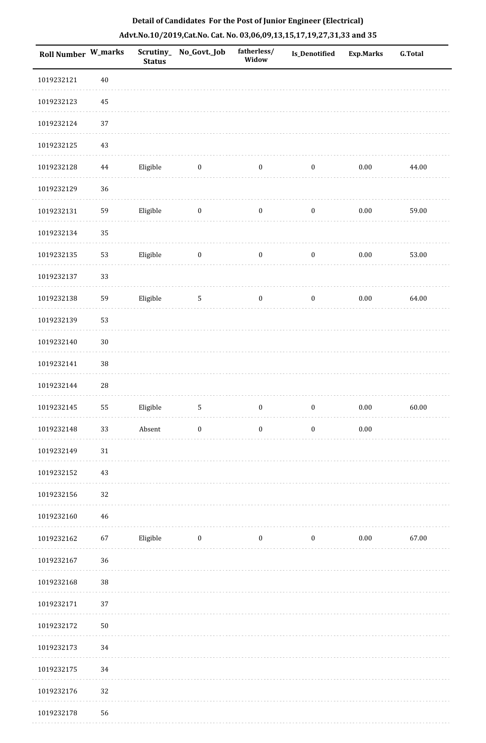| <b>Roll Number W_marks</b> |            | <b>Status</b> | Scrutiny_ No_Govt._Job | fatherless/<br>Widow | <b>Is_Denotified</b> | <b>Exp.Marks</b> | <b>G.Total</b> |
|----------------------------|------------|---------------|------------------------|----------------------|----------------------|------------------|----------------|
| 1019232121                 | $40\,$     |               |                        |                      |                      |                  |                |
| 1019232123                 | 45         |               |                        |                      |                      |                  |                |
| 1019232124                 | 37         |               |                        |                      |                      |                  |                |
| 1019232125                 | 43         |               |                        |                      |                      |                  |                |
| 1019232128                 | $\bf 44$   | Eligible      | $\bf{0}$               | $\boldsymbol{0}$     | $\boldsymbol{0}$     | $0.00\,$         | 44.00          |
| 1019232129                 | 36         |               |                        |                      |                      |                  |                |
| 1019232131                 | 59         | Eligible      | $\boldsymbol{0}$       | $\boldsymbol{0}$     | $\boldsymbol{0}$     | $0.00\,$         | 59.00          |
| 1019232134                 | 35         |               |                        |                      |                      |                  |                |
| 1019232135                 | 53         | Eligible      | $\boldsymbol{0}$       | $\boldsymbol{0}$     | $\boldsymbol{0}$     | $0.00\,$         | 53.00          |
| 1019232137                 | 33         |               |                        |                      |                      |                  |                |
| 1019232138                 | 59         | Eligible      | $\mathbf{5}$           | $\boldsymbol{0}$     | $\boldsymbol{0}$     | $0.00\,$         | 64.00          |
| 1019232139                 | 53         |               |                        |                      |                      |                  |                |
| 1019232140                 | $30\,$     |               |                        |                      |                      |                  |                |
| 1019232141                 | $38\,$     |               |                        |                      |                      |                  |                |
| 1019232144                 | ${\bf 28}$ |               |                        |                      |                      |                  |                |
| 1019232145                 | 55         | Eligible      | $\mathsf S$            | $\boldsymbol{0}$     | $\boldsymbol{0}$     | $0.00\,$         | 60.00          |
| 1019232148                 | 33         | Absent        | $\boldsymbol{0}$       | $\boldsymbol{0}$     | $\boldsymbol{0}$     | $0.00\,$         |                |
| 1019232149                 | 31         |               |                        |                      |                      |                  |                |
| 1019232152                 | 43         |               |                        |                      |                      |                  |                |
| 1019232156                 | 32         |               |                        |                      |                      |                  |                |
| 1019232160                 | 46         |               |                        |                      |                      |                  |                |
| 1019232162                 | 67         | Eligible      | $\boldsymbol{0}$       | $\boldsymbol{0}$     | $\bf{0}$             | $0.00\,$         | 67.00          |
| 1019232167                 | 36         |               |                        |                      |                      |                  |                |
| 1019232168                 | 38         |               |                        |                      |                      |                  |                |
| 1019232171                 | 37         |               |                        |                      |                      |                  |                |
| 1019232172                 | $50\,$     |               |                        |                      |                      |                  |                |
| 1019232173                 | 34         |               |                        |                      |                      |                  |                |
| 1019232175                 | 34         |               |                        |                      |                      |                  |                |
| 1019232176                 | 32         |               |                        |                      |                      |                  |                |
| 1019232178                 | 56         |               |                        |                      |                      |                  |                |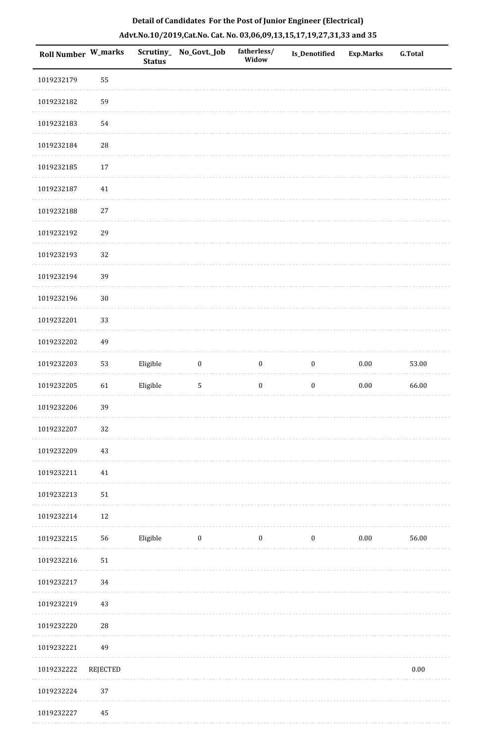| <b>Roll Number W_marks</b> |                 | <b>Status</b> | Scrutiny_ No_Govt._Job | fatherless/<br>Widow | Is_Denotified    | <b>Exp.Marks</b> | <b>G.Total</b> |
|----------------------------|-----------------|---------------|------------------------|----------------------|------------------|------------------|----------------|
| 1019232179                 | 55              |               |                        |                      |                  |                  |                |
| 1019232182                 | 59              |               |                        |                      |                  |                  |                |
| 1019232183                 | 54              |               |                        |                      |                  |                  |                |
| 1019232184                 | $28\,$          |               |                        |                      |                  |                  |                |
| 1019232185                 | 17              |               |                        |                      |                  |                  |                |
| 1019232187                 | $41\,$          |               |                        |                      |                  |                  |                |
| 1019232188                 | 27              |               |                        |                      |                  |                  |                |
| 1019232192                 | 29              |               |                        |                      |                  |                  |                |
| 1019232193                 | 32              |               |                        |                      |                  |                  |                |
| 1019232194                 | 39              |               |                        |                      |                  |                  |                |
| 1019232196                 | $30\,$          |               |                        |                      |                  |                  |                |
| 1019232201                 | 33              |               |                        |                      |                  |                  |                |
| 1019232202                 | 49              |               |                        |                      |                  |                  |                |
| 1019232203                 | 53              | Eligible      | $\boldsymbol{0}$       | $\boldsymbol{0}$     | $\boldsymbol{0}$ | $0.00\,$         | 53.00          |
| 1019232205                 | 61              | Eligible      | $\sqrt{5}$             | $\boldsymbol{0}$     | $\boldsymbol{0}$ | $0.00\,$         | 66.00          |
| 1019232206                 | 39              |               |                        |                      |                  |                  |                |
| 1019232207                 | 32              |               |                        |                      |                  |                  |                |
| 1019232209                 | 43              |               |                        |                      |                  |                  |                |
| 1019232211                 | $41\,$          |               |                        |                      |                  |                  |                |
| 1019232213                 | 51              |               |                        |                      |                  |                  |                |
| 1019232214                 | 12              |               |                        |                      |                  |                  |                |
| 1019232215                 | 56              | Eligible      | $\boldsymbol{0}$       | $\boldsymbol{0}$     | $\boldsymbol{0}$ | $0.00\,$         | 56.00          |
| 1019232216                 | 51              |               |                        |                      |                  |                  |                |
| 1019232217                 | 34              |               |                        |                      |                  |                  |                |
| 1019232219                 | 43              |               |                        |                      |                  |                  |                |
| 1019232220                 | $\sqrt{28}$     |               |                        |                      |                  |                  |                |
| 1019232221                 | 49              |               |                        |                      |                  |                  |                |
| 1019232222                 | <b>REJECTED</b> |               |                        |                      |                  |                  | $0.00\,$       |
| 1019232224                 | 37              |               |                        |                      |                  |                  |                |
| 1019232227                 | 45              |               |                        |                      |                  |                  |                |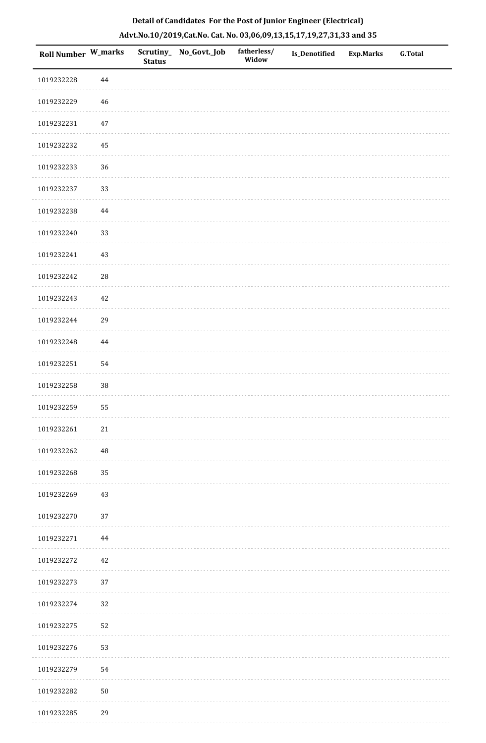| Roll Number W_marks |             | <b>Status</b> | Scrutiny_No_Govt._Job | fatherless/<br>Widow | Is_Denotified | <b>Exp.Marks</b> | <b>G.Total</b> |
|---------------------|-------------|---------------|-----------------------|----------------------|---------------|------------------|----------------|
| 1019232228          | 44          |               |                       |                      |               |                  |                |
| 1019232229          | 46          |               |                       |                      |               |                  |                |
| 1019232231          | 47          |               |                       |                      |               |                  |                |
| 1019232232          | 45          |               |                       |                      |               |                  |                |
| 1019232233          | 36          |               |                       |                      |               |                  |                |
| 1019232237          | 33          |               |                       |                      |               |                  |                |
| 1019232238          | $\bf 44$    |               |                       |                      |               |                  |                |
| 1019232240          | 33          |               |                       |                      |               |                  |                |
| 1019232241          | 43          |               |                       |                      |               |                  |                |
| 1019232242          | $\sqrt{28}$ |               |                       |                      |               |                  |                |
| 1019232243          | 42          |               |                       |                      |               |                  |                |
| 1019232244          | 29          |               |                       |                      |               |                  |                |
| 1019232248          | 44          |               |                       |                      |               |                  |                |
| 1019232251          | 54          |               |                       |                      |               |                  |                |
| 1019232258          | $38\,$      |               |                       |                      |               |                  |                |
| 1019232259          | 55          |               |                       |                      |               |                  |                |
| 1019232261          | $21\,$      |               |                       |                      |               |                  |                |
| 1019232262          | 48          |               |                       |                      |               |                  |                |
| 1019232268          | 35          |               |                       |                      |               |                  |                |
| 1019232269          | 43          |               |                       |                      |               |                  |                |
| 1019232270          | 37          |               |                       |                      |               |                  |                |
| 1019232271          | 44          |               |                       |                      |               |                  |                |
| 1019232272          | 42          |               |                       |                      |               |                  |                |
| 1019232273          | 37          |               |                       |                      |               |                  |                |
| 1019232274          | 32          |               |                       |                      |               |                  |                |
| 1019232275          | 52          |               |                       |                      |               |                  |                |
| 1019232276          | 53          |               |                       |                      |               |                  |                |
| 1019232279          | 54          |               |                       |                      |               |                  |                |
| 1019232282          | $50\,$      |               |                       |                      |               |                  |                |
| 1019232285          | 29          |               |                       |                      |               |                  |                |

. . . . . . . . . . .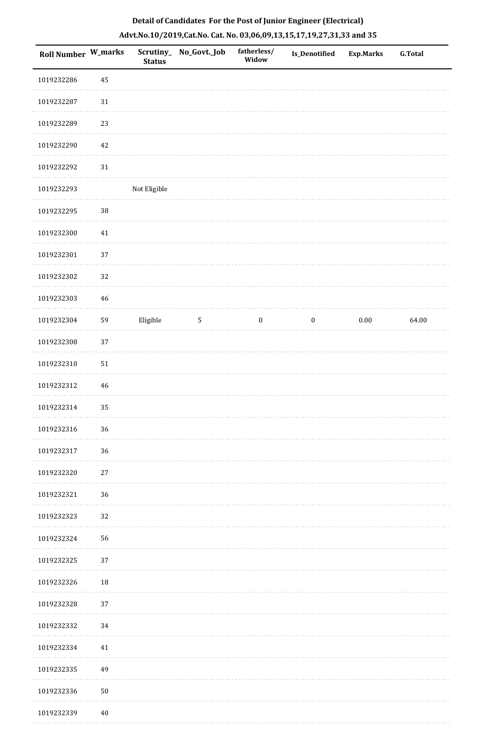| Roll Number W_marks |             | <b>Status</b> | Scrutiny_ No_Govt._Job | fatherless/<br>Widow | Is_Denotified    | <b>Exp.Marks</b> | <b>G.Total</b> |
|---------------------|-------------|---------------|------------------------|----------------------|------------------|------------------|----------------|
| 1019232286          | 45          |               |                        |                      |                  |                  |                |
| 1019232287          | $31\,$      |               |                        |                      |                  |                  |                |
| 1019232289          | 23          |               |                        |                      |                  |                  |                |
| 1019232290          | 42          |               |                        |                      |                  |                  |                |
| 1019232292          | $31\,$      |               |                        |                      |                  |                  |                |
| 1019232293          |             | Not Eligible  |                        |                      |                  |                  |                |
| 1019232295          | 38          |               |                        |                      |                  |                  |                |
| 1019232300          | 41          |               |                        |                      |                  |                  |                |
| 1019232301          | 37          |               |                        |                      |                  |                  |                |
| 1019232302          | 32          |               |                        |                      |                  |                  |                |
| 1019232303          | $46\,$      |               |                        |                      |                  |                  |                |
| 1019232304          | 59          | Eligible      | $\mathsf S$            | $\boldsymbol{0}$     | $\boldsymbol{0}$ | $0.00\,$         | 64.00          |
| 1019232308          | 37          |               |                        |                      |                  |                  |                |
| 1019232310          | $51\,$      |               |                        |                      |                  |                  |                |
| 1019232312          | $\sqrt{46}$ |               |                        |                      |                  |                  |                |
| 1019232314          | 35          |               |                        |                      |                  |                  |                |
| 1019232316          | 36          |               |                        |                      |                  |                  |                |
| 1019232317          | 36          |               |                        |                      |                  |                  |                |
| 1019232320          | 27          |               |                        |                      |                  |                  |                |
| 1019232321          | 36          |               |                        |                      |                  |                  |                |
| 1019232323          | 32          |               |                        |                      |                  |                  |                |
| 1019232324          | 56          |               |                        |                      |                  |                  |                |
| 1019232325          | 37          |               |                        |                      |                  |                  |                |
| 1019232326          | 18          |               |                        |                      |                  |                  |                |
| 1019232328          | 37          |               |                        |                      |                  |                  |                |
| 1019232332          | 34          |               |                        |                      |                  |                  |                |
| 1019232334          | 41          |               |                        |                      |                  |                  |                |
| 1019232335          | 49          |               |                        |                      |                  |                  |                |
| 1019232336          | $50\,$      |               |                        |                      |                  |                  |                |
| 1019232339          | $40\,$      |               |                        |                      |                  |                  |                |

. . . . . . . . . . .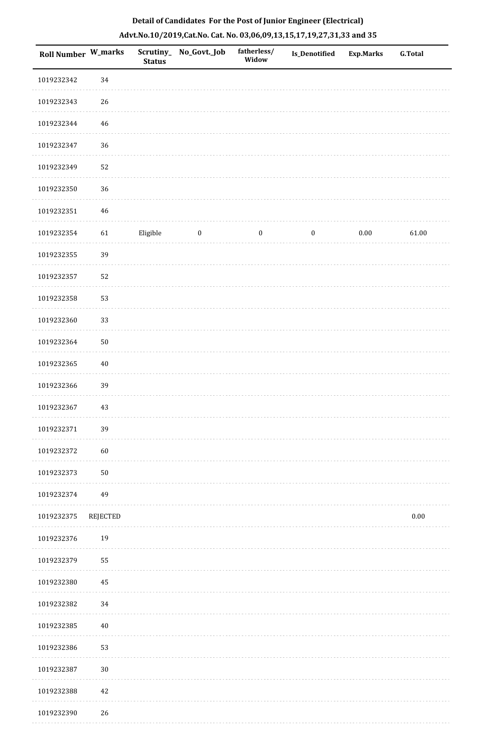| Roll Number W_marks |             | <b>Status</b> | Scrutiny_No_Govt._Job | fatherless/<br>Widow | Is_Denotified    | <b>Exp.Marks</b> | G.Total  |
|---------------------|-------------|---------------|-----------------------|----------------------|------------------|------------------|----------|
| 1019232342          | 34          |               |                       |                      |                  |                  |          |
| 1019232343          | 26          |               |                       |                      |                  |                  |          |
| 1019232344          | $46\,$      |               |                       |                      |                  |                  |          |
| 1019232347          | 36          |               |                       |                      |                  |                  |          |
| 1019232349          | 52          |               |                       |                      |                  |                  |          |
| 1019232350          | 36          |               |                       |                      |                  |                  |          |
| 1019232351          | $\sqrt{46}$ |               |                       |                      |                  |                  |          |
| 1019232354          | 61          | Eligible      | $\bf{0}$              | $\bf{0}$             | $\boldsymbol{0}$ | $0.00\,$         | 61.00    |
| 1019232355          | 39          |               |                       |                      |                  |                  |          |
| 1019232357          | 52          |               |                       |                      |                  |                  |          |
| 1019232358          | 53          |               |                       |                      |                  |                  |          |
| 1019232360          | 33          |               |                       |                      |                  |                  |          |
| 1019232364          | $50\,$      |               |                       |                      |                  |                  |          |
| 1019232365          | $40\,$      |               |                       |                      |                  |                  |          |
| 1019232366          | 39          |               |                       |                      |                  |                  |          |
| 1019232367          | $43\,$      |               |                       |                      |                  |                  |          |
| 1019232371          | 39          |               |                       |                      |                  |                  |          |
| 1019232372          | 60          |               |                       |                      |                  |                  |          |
| 1019232373          | $50\,$      |               |                       |                      |                  |                  |          |
| 1019232374          | 49          |               |                       |                      |                  |                  |          |
| 1019232375          | REJECTED    |               |                       |                      |                  |                  | $0.00\,$ |
| 1019232376          | 19          |               |                       |                      |                  |                  |          |
| 1019232379          | 55          |               |                       |                      |                  |                  |          |
| 1019232380          | 45          |               |                       |                      |                  |                  |          |
| 1019232382          | 34          |               |                       |                      |                  |                  |          |
| 1019232385          | $40\,$      |               |                       |                      |                  |                  |          |
| 1019232386          | 53          |               |                       |                      |                  |                  |          |
| 1019232387          | $30\,$      |               |                       |                      |                  |                  |          |
| 1019232388          | $42\,$      |               |                       |                      |                  |                  |          |
| 1019232390          | 26          |               |                       |                      |                  |                  |          |

. . . . . . . . . .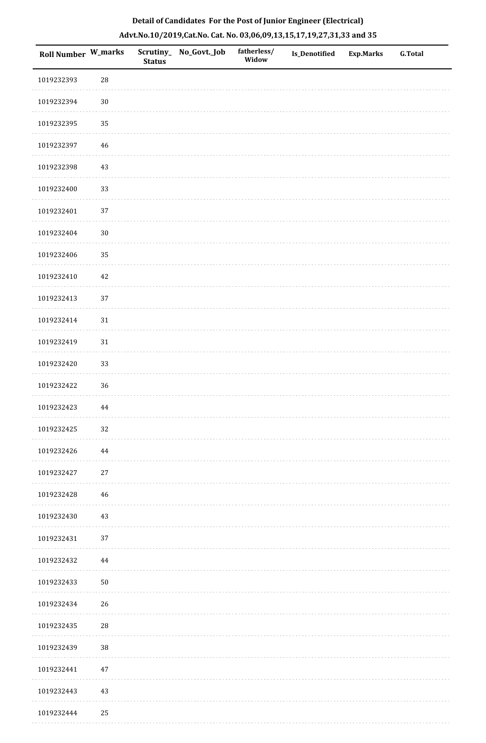| Roll Number W_marks |             | <b>Status</b> | Scrutiny_ No_Govt._Job | fatherless/<br>Widow | Is_Denotified | <b>Exp.Marks</b> | G.Total |
|---------------------|-------------|---------------|------------------------|----------------------|---------------|------------------|---------|
| 1019232393          | 28          |               |                        |                      |               |                  |         |
| 1019232394          | $30\,$      |               |                        |                      |               |                  |         |
| 1019232395          | 35          |               |                        |                      |               |                  |         |
| 1019232397          | 46          |               |                        |                      |               |                  |         |
| 1019232398          | $43\,$      |               |                        |                      |               |                  |         |
| 1019232400          | 33          |               |                        |                      |               |                  |         |
| 1019232401          | 37          |               |                        |                      |               |                  |         |
| 1019232404          | $30\,$      |               |                        |                      |               |                  |         |
| 1019232406          | 35          |               |                        |                      |               |                  |         |
| 1019232410          | 42          |               |                        |                      |               |                  |         |
| 1019232413          | $37\,$      |               |                        |                      |               |                  |         |
| 1019232414          | 31          |               |                        |                      |               |                  |         |
| 1019232419          | 31          |               |                        |                      |               |                  |         |
| 1019232420          | 33          |               |                        |                      |               |                  |         |
| 1019232422          | 36          |               |                        |                      |               |                  |         |
| 1019232423          | 44          |               |                        |                      |               |                  |         |
| 1019232425          | $32\,$      |               |                        |                      |               |                  |         |
| 1019232426          | 44          |               |                        |                      |               |                  |         |
| 1019232427          | $27\,$      |               |                        |                      |               |                  |         |
| 1019232428          | 46          |               |                        |                      |               |                  |         |
| 1019232430          | 43          |               |                        |                      |               |                  |         |
| 1019232431          | 37          |               |                        |                      |               |                  |         |
| 1019232432          | 44          |               |                        |                      |               |                  |         |
| 1019232433          | ${\bf 50}$  |               |                        |                      |               |                  |         |
| 1019232434          | 26          |               |                        |                      |               |                  |         |
| 1019232435          | $\sqrt{28}$ |               |                        |                      |               |                  |         |
| 1019232439          | $38\,$      |               |                        |                      |               |                  |         |
| 1019232441          | 47          |               |                        |                      |               |                  |         |
| 1019232443          | 43          |               |                        |                      |               |                  |         |
| 1019232444          | 25          |               |                        |                      |               |                  |         |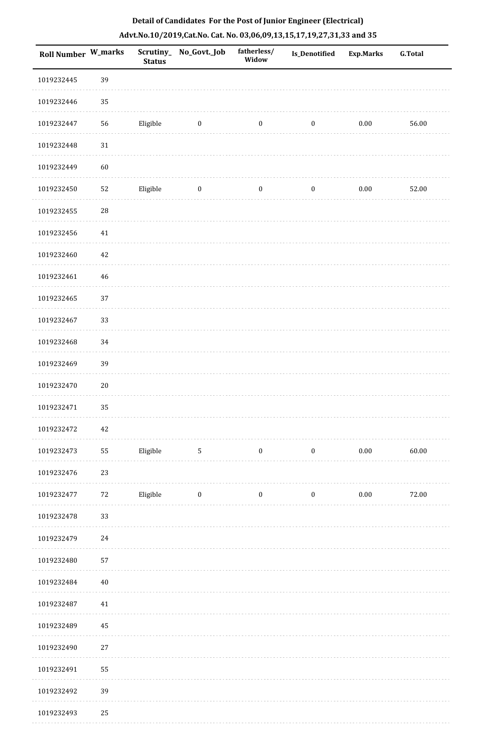|  |  | Detail of Candidates For the Post of Junior Engineer (Electrical)     |  |
|--|--|-----------------------------------------------------------------------|--|
|  |  | Advt.No.10/2019,Cat.No. Cat. No. 03,06,09,13,15,17,19,27,31,33 and 35 |  |

| <b>Roll Number W_marks</b> |        | Scrutiny_<br><b>Status</b> | No_Govt._Job    | fatherless/<br>Widow | Is_Denotified    | <b>Exp.Marks</b> | <b>G.Total</b> |
|----------------------------|--------|----------------------------|-----------------|----------------------|------------------|------------------|----------------|
| 1019232445                 | 39     |                            |                 |                      |                  |                  |                |
| 1019232446                 | 35     |                            |                 |                      |                  |                  |                |
| 1019232447                 | 56     | Eligible                   | $\bf{0}$        | $\boldsymbol{0}$     | $\boldsymbol{0}$ | $0.00\,$         | 56.00          |
| 1019232448                 | $31\,$ |                            |                 |                      |                  |                  |                |
| 1019232449                 | 60     |                            |                 |                      |                  |                  |                |
| 1019232450                 | 52     | Eligible                   | $\bf{0}$        | $\boldsymbol{0}$     | $\boldsymbol{0}$ | $0.00\,$         | 52.00          |
| 1019232455                 | 28     |                            |                 |                      |                  |                  |                |
| 1019232456                 | $41\,$ |                            |                 |                      |                  |                  |                |
| 1019232460                 | 42     |                            |                 |                      |                  |                  |                |
| 1019232461                 | 46     |                            |                 |                      |                  |                  |                |
| 1019232465                 | 37     |                            |                 |                      |                  |                  |                |
| 1019232467                 | 33     |                            |                 |                      |                  |                  |                |
| 1019232468                 | 34     |                            |                 |                      |                  |                  |                |
| 1019232469                 | 39     |                            |                 |                      |                  |                  |                |
| 1019232470                 | $20\,$ |                            |                 |                      |                  |                  |                |
| 1019232471                 | 35     |                            |                 |                      |                  |                  |                |
| 1019232472                 | 42     |                            |                 |                      |                  |                  |                |
| 1019232473                 | 55     | Eligible                   | $5\phantom{.0}$ | $\bf{0}$             | $\boldsymbol{0}$ | $0.00\,$         | 60.00          |
| 1019232476                 | 23     |                            |                 |                      |                  |                  |                |
| 1019232477                 | 72     | Eligible                   | $\bf{0}$        | $\boldsymbol{0}$     | $\boldsymbol{0}$ | 0.00             | 72.00          |
| 1019232478                 | 33     |                            |                 |                      |                  |                  |                |
| 1019232479                 | 24     |                            |                 |                      |                  |                  |                |
| 1019232480                 | 57     |                            |                 |                      |                  |                  |                |
| 1019232484                 | $40\,$ |                            |                 |                      |                  |                  |                |
| 1019232487                 | 41     |                            |                 |                      |                  |                  |                |
| 1019232489                 | 45     |                            |                 |                      |                  |                  |                |
| 1019232490                 | $27\,$ |                            |                 |                      |                  |                  |                |
| 1019232491                 | 55     |                            |                 |                      |                  |                  |                |
| 1019232492                 | 39     |                            |                 |                      |                  |                  |                |
| 1019232493                 | 25     |                            |                 |                      |                  |                  |                |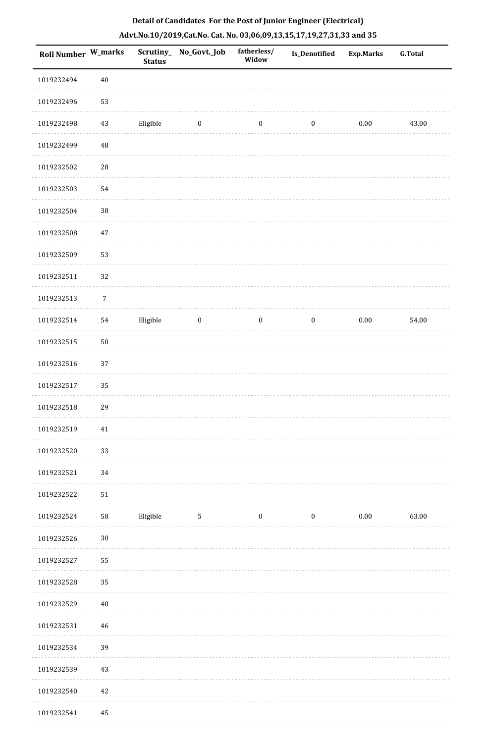|  |  | Detail of Candidates For the Post of Junior Engineer (Electrical)     |  |
|--|--|-----------------------------------------------------------------------|--|
|  |  | Advt.No.10/2019,Cat.No. Cat. No. 03,06,09,13,15,17,19,27,31,33 and 35 |  |

| <b>Roll Number W_marks</b> |                  | <b>Status</b> | Scrutiny_ No_Govt._Job | fatherless/<br>Widow | Is_Denotified    | <b>Exp.Marks</b> | <b>G.Total</b> |
|----------------------------|------------------|---------------|------------------------|----------------------|------------------|------------------|----------------|
| 1019232494                 | $40\,$           |               |                        |                      |                  |                  |                |
| 1019232496                 | 53               |               |                        |                      |                  |                  |                |
| 1019232498                 | 43               | Eligible      | $\bf{0}$               | $\boldsymbol{0}$     | $\boldsymbol{0}$ | $0.00\,$         | 43.00          |
| 1019232499                 | $\rm 48$         |               |                        |                      |                  |                  |                |
| 1019232502                 | 28               |               |                        |                      |                  |                  |                |
| 1019232503                 | 54               |               |                        |                      |                  |                  |                |
| 1019232504                 | 38               |               |                        |                      |                  |                  |                |
| 1019232508                 | 47               |               |                        |                      |                  |                  |                |
| 1019232509                 | 53               |               |                        |                      |                  |                  |                |
| 1019232511                 | 32               |               |                        |                      |                  |                  |                |
| 1019232513                 | $\boldsymbol{7}$ |               |                        |                      |                  |                  |                |
| 1019232514                 | 54               | Eligible      | $\bf{0}$               | $\boldsymbol{0}$     | $\boldsymbol{0}$ | $0.00\,$         | 54.00          |
| 1019232515                 | $50\,$           |               |                        |                      |                  |                  |                |
| 1019232516                 | 37               |               |                        |                      |                  |                  |                |
| 1019232517                 | 35               |               |                        |                      |                  |                  |                |
| 1019232518                 | 29               |               |                        |                      |                  |                  |                |
| 1019232519                 | $41\,$           |               |                        |                      |                  |                  |                |
| 1019232520                 | 33               |               |                        |                      |                  |                  |                |
| 1019232521                 | 34               |               |                        |                      |                  |                  |                |
| 1019232522                 | $51\,$           |               |                        |                      |                  |                  |                |
| 1019232524                 | 58               | Eligible      | $5\phantom{.0}$        | $\bf{0}$             | $\bf{0}$         | 0.00             | 63.00          |
| 1019232526                 | $30\,$           |               |                        |                      |                  |                  |                |
| 1019232527                 | 55               |               |                        |                      |                  |                  |                |
| 1019232528                 | 35               |               |                        |                      |                  |                  |                |
| 1019232529                 | $40\,$           |               |                        |                      |                  |                  |                |
| 1019232531                 | 46               |               |                        |                      |                  |                  |                |
| 1019232534                 | 39               |               |                        |                      |                  |                  |                |
| 1019232539                 | 43               |               |                        |                      |                  |                  |                |
| 1019232540                 | 42               |               |                        |                      |                  |                  |                |
| 1019232541                 | 45               |               |                        |                      |                  |                  |                |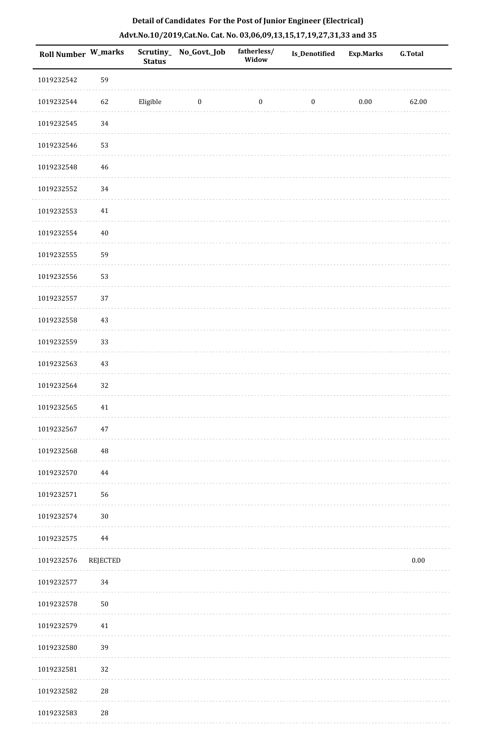| Roll Number W_marks |          | <b>Status</b> | Scrutiny_No_Govt._Job | fatherless/<br>Widow | Is_Denotified    | <b>Exp.Marks</b> | G.Total  |
|---------------------|----------|---------------|-----------------------|----------------------|------------------|------------------|----------|
| 1019232542          | 59       |               |                       |                      |                  |                  |          |
| 1019232544          | 62       | Eligible      | $\bf{0}$              | $\bf{0}$             | $\boldsymbol{0}$ | $0.00\,$         | 62.00    |
| 1019232545          | 34       |               |                       |                      |                  |                  |          |
| 1019232546          | 53       |               |                       |                      |                  |                  |          |
| 1019232548          | 46       |               |                       |                      |                  |                  |          |
| 1019232552          | 34       |               |                       |                      |                  |                  |          |
| 1019232553          | $41\,$   |               |                       |                      |                  |                  |          |
| 1019232554          | $40\,$   |               |                       |                      |                  |                  |          |
| 1019232555          | 59       |               |                       |                      |                  |                  |          |
| 1019232556          | 53       |               |                       |                      |                  |                  |          |
| 1019232557          | 37       |               |                       |                      |                  |                  |          |
| 1019232558          | $43\,$   |               |                       |                      |                  |                  |          |
| 1019232559          | 33       |               |                       |                      |                  |                  |          |
| 1019232563          | $43\,$   |               |                       |                      |                  |                  |          |
| 1019232564          | 32       |               |                       |                      |                  |                  |          |
| 1019232565          | 41       |               |                       |                      |                  |                  |          |
| 1019232567          | $47\,$   |               |                       |                      |                  |                  |          |
| 1019232568          | 48       |               |                       |                      |                  |                  |          |
| 1019232570          | $\bf 44$ |               |                       |                      |                  |                  |          |
| 1019232571          | 56       |               |                       |                      |                  |                  |          |
| 1019232574          | $30\,$   |               |                       |                      |                  |                  |          |
| 1019232575          | $\bf 44$ |               |                       |                      |                  |                  |          |
| 1019232576          | REJECTED |               |                       |                      |                  |                  | $0.00\,$ |
| 1019232577          | 34       |               |                       |                      |                  |                  |          |
| 1019232578          | $50\,$   |               |                       |                      |                  |                  |          |
| 1019232579          | 41       |               |                       |                      |                  |                  |          |
| 1019232580          | 39       |               |                       |                      |                  |                  |          |
| 1019232581          | 32       |               |                       |                      |                  |                  |          |
| 1019232582          | $28\,$   |               |                       |                      |                  |                  |          |
| 1019232583          | $\rm 28$ |               |                       |                      |                  |                  |          |

a sala

. . . . . . . . . .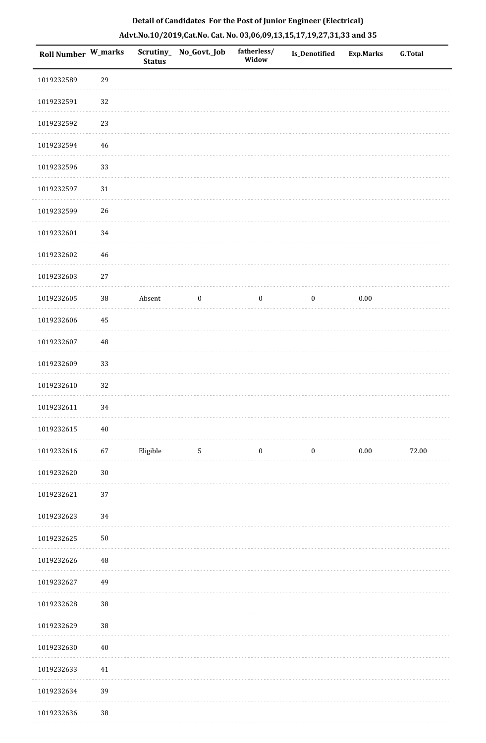| <b>Roll Number W_marks</b> |                | <b>Status</b> | Scrutiny_ No_Govt._Job | fatherless/<br>Widow | Is_Denotified    | <b>Exp.Marks</b> | <b>G.Total</b> |
|----------------------------|----------------|---------------|------------------------|----------------------|------------------|------------------|----------------|
| 1019232589                 | 29             |               |                        |                      |                  |                  |                |
| 1019232591                 | 32             |               |                        |                      |                  |                  |                |
| 1019232592                 | 23             |               |                        |                      |                  |                  |                |
| 1019232594                 | $46\,$         |               |                        |                      |                  |                  |                |
| 1019232596                 | 33             |               |                        |                      |                  |                  |                |
| 1019232597                 | $31\,$         |               |                        |                      |                  |                  |                |
| 1019232599                 | 26             |               |                        |                      |                  |                  |                |
| 1019232601                 | 34             |               |                        |                      |                  |                  |                |
| 1019232602                 | $46\,$         |               |                        |                      |                  |                  |                |
| 1019232603                 | $27\,$         |               |                        |                      |                  |                  |                |
| 1019232605                 | $38\,$         | Absent        | $\boldsymbol{0}$       | $\boldsymbol{0}$     | $\boldsymbol{0}$ | $0.00\,$         |                |
| 1019232606                 | 45             |               |                        |                      |                  |                  |                |
| 1019232607                 | 48             |               |                        |                      |                  |                  |                |
| 1019232609                 | 33             |               |                        |                      |                  |                  |                |
| 1019232610                 | 32             |               |                        |                      |                  |                  |                |
| 1019232611                 | 34             |               |                        |                      |                  |                  |                |
| 1019232615                 | $40\,$         |               |                        |                      |                  |                  |                |
| 1019232616                 | 67             | Eligible      | $5\phantom{.0}$        | $\bf{0}$             | $\boldsymbol{0}$ | $0.00\,$         | 72.00          |
| 1019232620                 | $30\,$         |               |                        |                      |                  |                  |                |
| 1019232621                 | 37             |               |                        |                      |                  |                  |                |
| 1019232623                 | 34             |               |                        |                      |                  |                  |                |
| 1019232625                 | $50\,$         |               |                        |                      |                  |                  |                |
| 1019232626                 | 48             |               |                        |                      |                  |                  |                |
| 1019232627                 | 49             |               |                        |                      |                  |                  |                |
| 1019232628                 | 38             |               |                        |                      |                  |                  |                |
| 1019232629                 | $38\,$         |               |                        |                      |                  |                  |                |
| 1019232630                 | $40\,$         |               |                        |                      |                  |                  |                |
| 1019232633                 | $41\,$         |               |                        |                      |                  |                  |                |
| 1019232634                 | 39             |               |                        |                      |                  |                  |                |
| 1010222626                 | 2 <sub>Q</sub> |               |                        |                      |                  |                  |                |

# **Detail of Candidates For the Post of Junior Engineer (Electrical) Advt.No.10/2019,Cat.No. Cat. No. 03,06,09,13,15,17,19,27,31,33 and 35**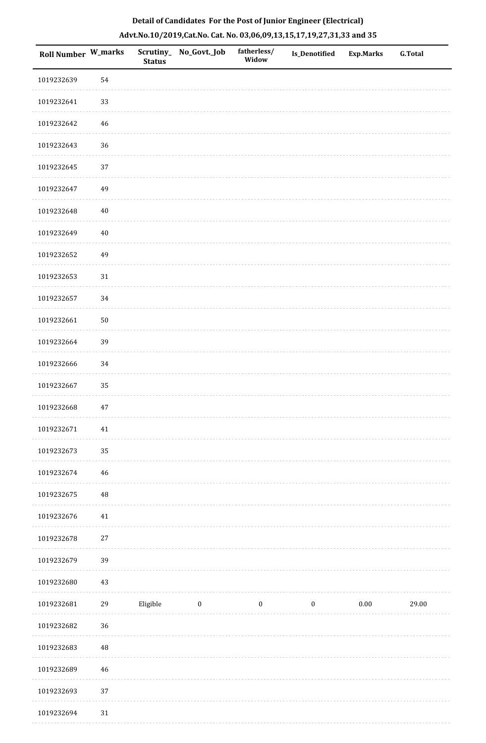| Roll Number W_marks |             | <b>Status</b> | Scrutiny_No_Govt._Job | fatherless/<br>Widow | Is_Denotified    | Exp.Marks | G.Total |
|---------------------|-------------|---------------|-----------------------|----------------------|------------------|-----------|---------|
| 1019232639          | 54          |               |                       |                      |                  |           |         |
| 1019232641          | 33          |               |                       |                      |                  |           |         |
| 1019232642          | 46          |               |                       |                      |                  |           |         |
| 1019232643          | 36          |               |                       |                      |                  |           |         |
| 1019232645          | $37\,$      |               |                       |                      |                  |           |         |
| 1019232647          | 49          |               |                       |                      |                  |           |         |
| 1019232648          | $40\,$      |               |                       |                      |                  |           |         |
| 1019232649          | $40\,$      |               |                       |                      |                  |           |         |
| 1019232652          | 49          |               |                       |                      |                  |           |         |
| 1019232653          | 31          |               |                       |                      |                  |           |         |
| 1019232657          | 34          |               |                       |                      |                  |           |         |
| 1019232661          | $50\,$      |               |                       |                      |                  |           |         |
| 1019232664          | 39          |               |                       |                      |                  |           |         |
| 1019232666          | 34          |               |                       |                      |                  |           |         |
| 1019232667          | 35          |               |                       |                      |                  |           |         |
| 1019232668          | $47\,$      |               |                       |                      |                  |           |         |
| 1019232671          | $41\,$      |               |                       |                      |                  |           |         |
| 1019232673          | 35          |               |                       |                      |                  |           |         |
| 1019232674          | $\sqrt{46}$ |               |                       |                      |                  |           |         |
| 1019232675          | $\rm 48$    |               |                       |                      |                  |           |         |
| 1019232676          | 41          |               |                       |                      |                  |           |         |
| 1019232678          | $27\,$      |               |                       |                      |                  |           |         |
| 1019232679          | 39          |               |                       |                      |                  |           |         |
| 1019232680          | 43          |               |                       |                      |                  |           |         |
| 1019232681          | 29          | Eligible      | $\boldsymbol{0}$      | $\boldsymbol{0}$     | $\boldsymbol{0}$ | $0.00\,$  | 29.00   |
| 1019232682          | 36          |               |                       |                      |                  |           |         |
| 1019232683          | $\rm 48$    |               |                       |                      |                  |           |         |
| 1019232689          | 46          |               |                       |                      |                  |           |         |
| 1019232693          | $37\,$      |               |                       |                      |                  |           |         |
| 1019232694          | $31\,$      |               |                       |                      |                  |           |         |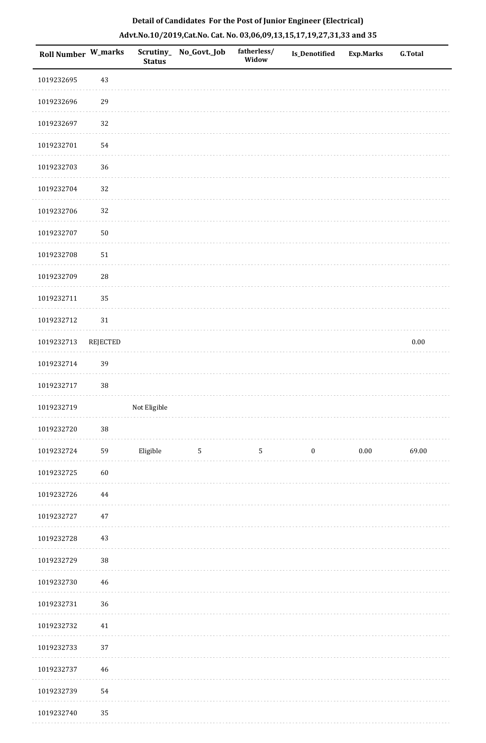| Roll Number W_marks |                 | <b>Status</b> | Scrutiny_No_Govt._Job | fatherless/<br>Widow | Is_Denotified    | Exp.Marks | G.Total  |
|---------------------|-----------------|---------------|-----------------------|----------------------|------------------|-----------|----------|
| 1019232695          | 43              |               |                       |                      |                  |           |          |
| 1019232696          | 29              |               |                       |                      |                  |           |          |
| 1019232697          | 32              |               |                       |                      |                  |           |          |
| 1019232701          | 54              |               |                       |                      |                  |           |          |
| 1019232703          | 36              |               |                       |                      |                  |           |          |
| 1019232704          | 32              |               |                       |                      |                  |           |          |
| 1019232706          | 32              |               |                       |                      |                  |           |          |
| 1019232707          | $50\,$          |               |                       |                      |                  |           |          |
| 1019232708          | $51\,$          |               |                       |                      |                  |           |          |
| 1019232709          | ${\bf 28}$      |               |                       |                      |                  |           |          |
| 1019232711          | 35              |               |                       |                      |                  |           |          |
| 1019232712          | 31              |               |                       |                      |                  |           |          |
| 1019232713          | <b>REJECTED</b> |               |                       |                      |                  |           | $0.00\,$ |
| 1019232714          | 39              |               |                       |                      |                  |           |          |
| 1019232717          | 38              |               |                       |                      |                  |           |          |
| 1019232719          |                 | Not Eligible  |                       |                      |                  |           |          |
| 1019232720          | $38\,$          |               |                       |                      |                  |           |          |
| 1019232724          | 59              | Eligible      | $\mathbf{5}$          | 5                    | $\boldsymbol{0}$ | $0.00\,$  | 69.00    |
| 1019232725          | 60              |               |                       |                      |                  |           |          |
| 1019232726          | 44              |               |                       |                      |                  |           |          |
| 1019232727          | $47\,$          |               |                       |                      |                  |           |          |
| 1019232728          | $43\,$          |               |                       |                      |                  |           |          |
| 1019232729          | 38              |               |                       |                      |                  |           |          |
| 1019232730          | 46              |               |                       |                      |                  |           |          |
| 1019232731          | 36              |               |                       |                      |                  |           |          |
| 1019232732          | $41\,$          |               |                       |                      |                  |           |          |
| 1019232733          | 37              |               |                       |                      |                  |           |          |
| 1019232737          | 46              |               |                       |                      |                  |           |          |
| 1019232739          | 54              |               |                       |                      |                  |           |          |
| 1019232740          | 35              |               |                       |                      |                  |           |          |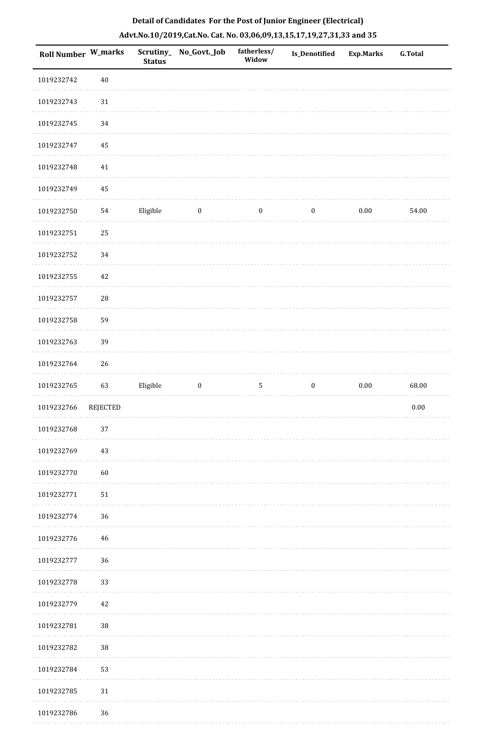| <b>Roll Number W_marks</b> |            | <b>Status</b> | Scrutiny_No_Govt._Job | fatherless/<br>Widow | Is_Denotified    | <b>Exp.Marks</b> | <b>G.Total</b> |
|----------------------------|------------|---------------|-----------------------|----------------------|------------------|------------------|----------------|
| 1019232742                 | $40\,$     |               |                       |                      |                  |                  |                |
| 1019232743                 | 31         |               |                       |                      |                  |                  |                |
| 1019232745                 | 34         |               |                       |                      |                  |                  |                |
| 1019232747                 | 45         |               |                       |                      |                  |                  |                |
| 1019232748                 | 41         |               |                       |                      |                  |                  |                |
| 1019232749                 | 45         |               |                       |                      |                  |                  |                |
| 1019232750                 | 54         | Eligible      | $\boldsymbol{0}$      | $\boldsymbol{0}$     | $\boldsymbol{0}$ | $0.00\,$         | 54.00          |
| 1019232751                 | 25         |               |                       |                      |                  |                  |                |
| 1019232752                 | 34         |               |                       |                      |                  |                  |                |
| 1019232755                 | $42\,$     |               |                       |                      |                  |                  |                |
| 1019232757                 | ${\bf 28}$ |               |                       |                      |                  |                  |                |
| 1019232758                 | 59         |               |                       |                      |                  |                  |                |
| 1019232763                 | 39         |               |                       |                      |                  |                  |                |
| 1019232764                 | 26         |               |                       |                      |                  |                  |                |
| 1019232765                 | 63         | Eligible      | $\boldsymbol{0}$      | $\sqrt{5}$           | $\boldsymbol{0}$ | $0.00\,$         | 68.00          |
| 1019232766                 | REJECTED   |               |                       |                      |                  |                  | $0.00\,$       |
| 1019232768                 | 37         |               |                       |                      |                  |                  |                |
| 1019232769                 | 43         |               |                       |                      |                  |                  |                |
| 1019232770                 | 60         |               |                       |                      |                  |                  |                |
| 1019232771                 | 51         |               |                       |                      |                  |                  |                |
| 1019232774                 | 36         |               |                       |                      |                  |                  |                |
| 1019232776                 | $46\,$     |               |                       |                      |                  |                  |                |
| 1019232777                 | 36         |               |                       |                      |                  |                  |                |
| 1019232778                 | 33         |               |                       |                      |                  |                  |                |
| 1019232779                 | $42\,$     |               |                       |                      |                  |                  |                |
| 1019232781                 | 38         |               |                       |                      |                  |                  |                |
| 1019232782                 | 38         |               |                       |                      |                  |                  |                |
| 1019232784                 | 53         |               |                       |                      |                  |                  |                |
| 1019232785                 | $31\,$     |               |                       |                      |                  |                  |                |
| 1019232786                 | 36         |               |                       |                      |                  |                  |                |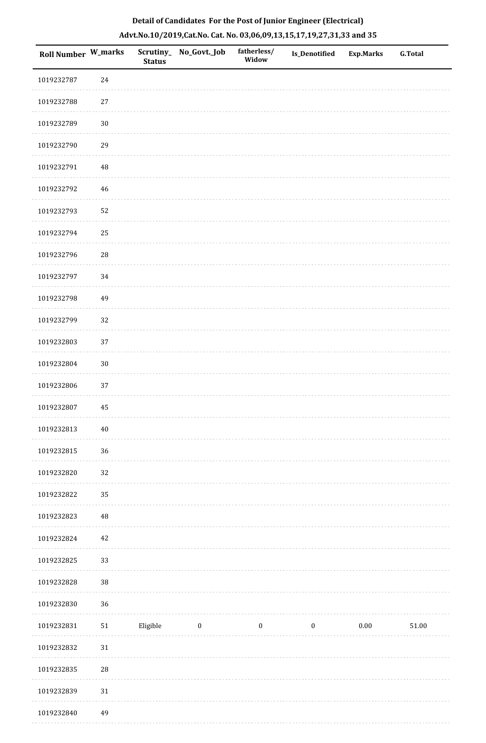| Roll Number W_marks |             | <b>Status</b> | Scrutiny_ No_Govt._Job | fatherless/<br>Widow | Is_Denotified    | Exp.Marks | <b>G.Total</b> |
|---------------------|-------------|---------------|------------------------|----------------------|------------------|-----------|----------------|
| 1019232787          | 24          |               |                        |                      |                  |           |                |
| 1019232788          | $27\,$      |               |                        |                      |                  |           |                |
| 1019232789          | $30\,$      |               |                        |                      |                  |           |                |
| 1019232790          | 29          |               |                        |                      |                  |           |                |
| 1019232791          | $\sqrt{48}$ |               |                        |                      |                  |           |                |
| 1019232792          | $46\,$      |               |                        |                      |                  |           |                |
| 1019232793          | 52          |               |                        |                      |                  |           |                |
| 1019232794          | 25          |               |                        |                      |                  |           |                |
| 1019232796          | 28          |               |                        |                      |                  |           |                |
| 1019232797          | 34          |               |                        |                      |                  |           |                |
| 1019232798          | 49          |               |                        |                      |                  |           |                |
| 1019232799          | 32          |               |                        |                      |                  |           |                |
| 1019232803          | 37          |               |                        |                      |                  |           |                |
| 1019232804          | $30\,$      |               |                        |                      |                  |           |                |
| 1019232806          | 37          |               |                        |                      |                  |           |                |
| 1019232807          | 45          |               |                        |                      |                  |           |                |
| 1019232813          | $40\,$      |               |                        |                      |                  |           |                |
| 1019232815          | 36          |               |                        |                      |                  |           |                |
| 1019232820          | 32          |               |                        |                      |                  |           |                |
| 1019232822          | 35          |               |                        |                      |                  |           |                |
| 1019232823          | 48          |               |                        |                      |                  |           |                |
| 1019232824          | $42\,$      |               |                        |                      |                  |           |                |
| 1019232825          | 33          |               |                        |                      |                  |           |                |
| 1019232828          | 38          |               |                        |                      |                  |           |                |
| 1019232830          | 36          |               |                        |                      |                  |           |                |
| 1019232831          | ${\bf 51}$  | Eligible      | $\boldsymbol{0}$       | $\boldsymbol{0}$     | $\boldsymbol{0}$ | 0.00      | 51.00          |
| 1019232832          | $31\,$      |               |                        |                      |                  |           |                |
| 1019232835          | 28          |               |                        |                      |                  |           |                |
| 1019232839          | $31\,$      |               |                        |                      |                  |           |                |
| 1019232840          | 49          |               |                        |                      |                  |           |                |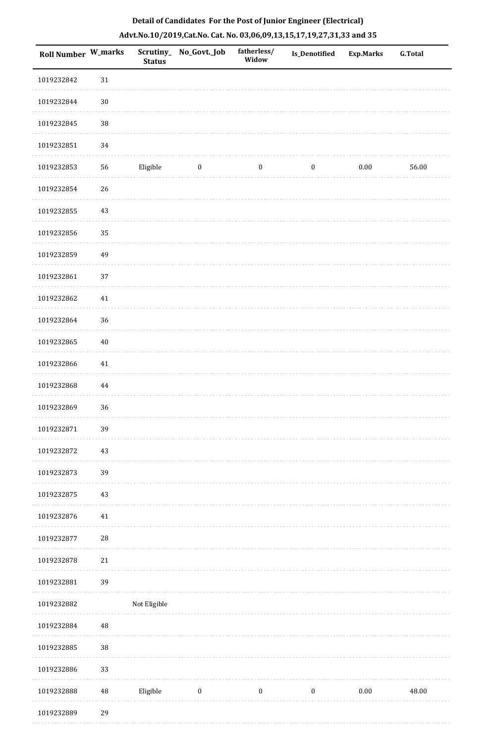| <b>Roll Number W_marks</b> |          | Scrutiny_<br><b>Status</b> | No_Govt._Job     | fatherless/<br>Widow | <b>Is_Denotified</b> | Exp.Marks | <b>G.Total</b> |
|----------------------------|----------|----------------------------|------------------|----------------------|----------------------|-----------|----------------|
| 1019232842                 | $31\,$   |                            |                  |                      |                      |           |                |
| 1019232844                 | $30\,$   |                            |                  |                      |                      |           |                |
| 1019232845                 | 38       |                            |                  |                      |                      |           |                |
| 1019232851                 | 34       |                            |                  |                      |                      |           |                |
| 1019232853                 | 56       | Eligible                   | $\bf{0}$         | $\boldsymbol{0}$     | $\boldsymbol{0}$     | 0.00      | 56.00          |
| 1019232854                 | 26       |                            |                  |                      |                      |           |                |
| 1019232855                 | 43       |                            |                  |                      |                      |           |                |
| 1019232856                 | 35       |                            |                  |                      |                      |           |                |
| 1019232859                 | 49       |                            |                  |                      |                      |           |                |
| 1019232861                 | 37       |                            |                  |                      |                      |           |                |
| 1019232862                 | $41\,$   |                            |                  |                      |                      |           |                |
| 1019232864                 | 36       |                            |                  |                      |                      |           |                |
| 1019232865                 | $40\,$   |                            |                  |                      |                      |           |                |
| 1019232866                 | $41\,$   |                            |                  |                      |                      |           |                |
| 1019232868                 | $\bf 44$ |                            |                  |                      |                      |           |                |
| 1019232869                 | 36       |                            |                  |                      |                      |           |                |
| 1019232871                 | 39       |                            |                  |                      |                      |           |                |
| 1019232872                 | 43       |                            |                  |                      |                      |           |                |
| 1019232873                 | 39       |                            |                  |                      |                      |           |                |
| 1019232875                 | $43\,$   |                            |                  |                      |                      |           |                |
| 1019232876                 | 41       |                            |                  |                      |                      |           |                |
| 1019232877                 | 28       |                            |                  |                      |                      |           |                |
| 1019232878                 | $21\,$   |                            |                  |                      |                      |           |                |
| 1019232881                 | 39       |                            |                  |                      |                      |           |                |
| 1019232882                 |          | Not Eligible               |                  |                      |                      |           |                |
| 1019232884                 | $\rm 48$ |                            |                  |                      |                      |           |                |
| 1019232885                 | 38       |                            |                  |                      |                      |           |                |
| 1019232886                 | 33       |                            |                  |                      |                      |           |                |
| 1019232888                 | $\rm 48$ | Eligible                   | $\boldsymbol{0}$ | $\boldsymbol{0}$     | $\boldsymbol{0}$     | $0.00\,$  | 48.00          |
| 1019232889                 | 29       |                            |                  |                      |                      |           |                |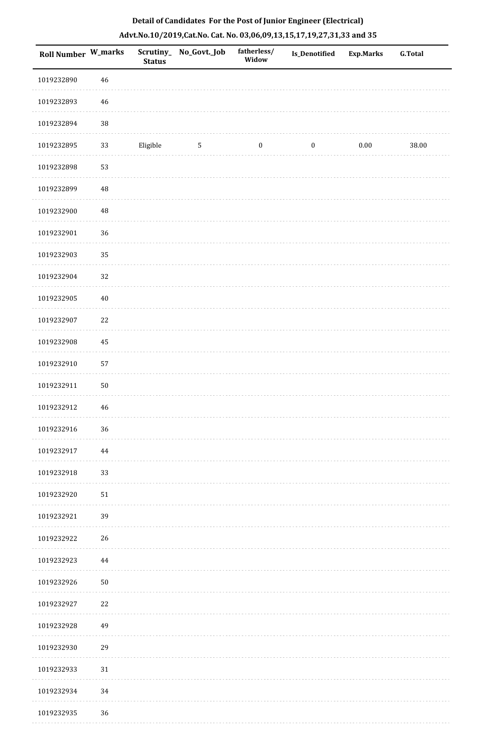| <b>Roll Number W_marks</b> |             | Scrutiny_<br><b>Status</b> | No_Govt._Job | fatherless/<br>Widow | <b>Is_Denotified</b> | Exp.Marks | <b>G.Total</b> |
|----------------------------|-------------|----------------------------|--------------|----------------------|----------------------|-----------|----------------|
| 1019232890                 | $46\,$      |                            |              |                      |                      |           |                |
| 1019232893                 | $\sqrt{46}$ |                            |              |                      |                      |           |                |
| 1019232894                 | 38          |                            |              |                      |                      |           |                |
| 1019232895                 | 33          | Eligible                   | 5            | $\boldsymbol{0}$     | $\boldsymbol{0}$     | $0.00\,$  | 38.00          |
| 1019232898                 | 53          |                            |              |                      |                      |           |                |
| 1019232899                 | 48          |                            |              |                      |                      |           |                |
| 1019232900                 | 48          |                            |              |                      |                      |           |                |
| 1019232901                 | 36          |                            |              |                      |                      |           |                |
| 1019232903                 | 35          |                            |              |                      |                      |           |                |
| 1019232904                 | 32          |                            |              |                      |                      |           |                |
| 1019232905                 | $40\,$      |                            |              |                      |                      |           |                |
| 1019232907                 | 22          |                            |              |                      |                      |           |                |
| 1019232908                 | 45          |                            |              |                      |                      |           |                |
| 1019232910                 | 57          |                            |              |                      |                      |           |                |
| 1019232911                 | 50          |                            |              |                      |                      |           |                |
| 1019232912                 | $46\,$      |                            |              |                      |                      |           |                |
| 1019232916                 | 36          |                            |              |                      |                      |           |                |
| 1019232917                 | 44          |                            |              |                      |                      |           |                |
| 1019232918                 | 33          |                            |              |                      |                      |           |                |
| 1019232920                 | $51\,$      |                            |              |                      |                      |           |                |
| 1019232921                 | 39          |                            |              |                      |                      |           |                |
| 1019232922                 | 26          |                            |              |                      |                      |           |                |
| 1019232923                 | 44          |                            |              |                      |                      |           |                |
| 1019232926                 | $50\,$      |                            |              |                      |                      |           |                |
| 1019232927                 | 22          |                            |              |                      |                      |           |                |
| 1019232928                 | 49          |                            |              |                      |                      |           |                |
| 1019232930                 | 29          |                            |              |                      |                      |           |                |
| 1019232933                 | $31\,$      |                            |              |                      |                      |           |                |
| 1019232934                 | 34          |                            |              |                      |                      |           |                |
| 1019232935                 | 36          |                            |              |                      |                      |           |                |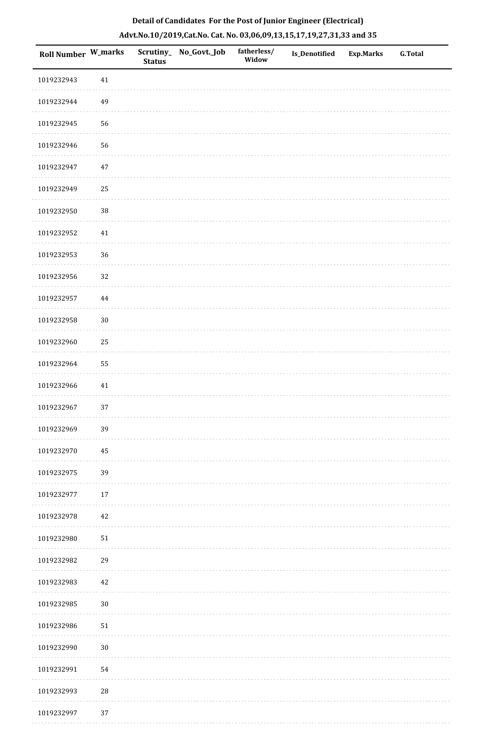| <b>Roll Number W_marks</b> |        | <b>Status</b> | Scrutiny_No_Govt._Job | fatherless/<br>Widow | Is_Denotified | <b>Exp.Marks</b> | <b>G.Total</b> |
|----------------------------|--------|---------------|-----------------------|----------------------|---------------|------------------|----------------|
| 1019232943                 | 41     |               |                       |                      |               |                  |                |
| 1019232944                 | 49     |               |                       |                      |               |                  |                |
| 1019232945                 | 56     |               |                       |                      |               |                  |                |
| 1019232946                 | 56     |               |                       |                      |               |                  |                |
| 1019232947                 | $47\,$ |               |                       |                      |               |                  |                |
| 1019232949                 | 25     |               |                       |                      |               |                  |                |
| 1019232950                 | $38\,$ |               |                       |                      |               |                  |                |
| 1019232952                 | 41     |               |                       |                      |               |                  |                |
| 1019232953                 | 36     |               |                       |                      |               |                  |                |
| 1019232956                 | 32     |               |                       |                      |               |                  |                |
| 1019232957                 | 44     |               |                       |                      |               |                  |                |
| 1019232958                 | $30\,$ |               |                       |                      |               |                  |                |
| 1019232960                 | 25     |               |                       |                      |               |                  |                |
| 1019232964                 | 55     |               |                       |                      |               |                  |                |
| 1019232966                 | 41     |               |                       |                      |               |                  |                |
| 1019232967                 | 37     |               |                       |                      |               |                  |                |
| 1019232969                 | 39     |               |                       |                      |               |                  |                |
| 1019232970                 | 45     |               |                       |                      |               |                  |                |
| 1019232975                 | 39     |               |                       |                      |               |                  |                |
| 1019232977                 | 17     |               |                       |                      |               |                  |                |
| 1019232978                 | 42     |               |                       |                      |               |                  |                |
| 1019232980                 | $51\,$ |               |                       |                      |               |                  |                |
| 1019232982                 | 29     |               |                       |                      |               |                  |                |
| 1019232983                 | 42     |               |                       |                      |               |                  |                |
| 1019232985                 | $30\,$ |               |                       |                      |               |                  |                |
| 1019232986                 | $51\,$ |               |                       |                      |               |                  |                |
| 1019232990                 | $30\,$ |               |                       |                      |               |                  |                |
| 1019232991                 | 54     |               |                       |                      |               |                  |                |
| 1019232993                 | $28\,$ |               |                       |                      |               |                  |                |
| 1019232997                 | 37     |               |                       |                      |               |                  |                |

. . . . . . . . . . .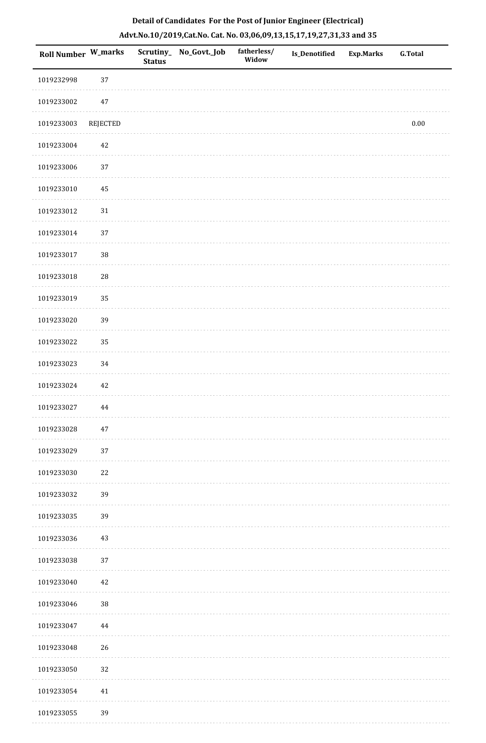|  | Detail of Candidates For the Post of Junior Engineer (Electrical)     |  |
|--|-----------------------------------------------------------------------|--|
|  | Advt.No.10/2019,Cat.No. Cat. No. 03,06,09,13,15,17,19,27,31,33 and 35 |  |

| <b>Roll Number W_marks</b> |          | <b>Status</b> | Scrutiny_ No_Govt._Job | fatherless/<br>Widow | <b>Is_Denotified</b> | <b>Exp.Marks</b> | <b>G.Total</b> |
|----------------------------|----------|---------------|------------------------|----------------------|----------------------|------------------|----------------|
| 1019232998                 | 37       |               |                        |                      |                      |                  |                |
| 1019233002                 | $47\,$   |               |                        |                      |                      |                  |                |
| 1019233003                 | REJECTED |               |                        |                      |                      |                  | $0.00\,$       |
| 1019233004                 | $42\,$   |               |                        |                      |                      |                  |                |
| 1019233006                 | 37       |               |                        |                      |                      |                  |                |
| 1019233010                 | $\rm 45$ |               |                        |                      |                      |                  |                |
| 1019233012                 | $31\,$   |               |                        |                      |                      |                  |                |
| 1019233014                 | 37       |               |                        |                      |                      |                  |                |
| 1019233017                 | 38       |               |                        |                      |                      |                  |                |
| 1019233018                 | 28       |               |                        |                      |                      |                  |                |
| 1019233019                 | 35       |               |                        |                      |                      |                  |                |
| 1019233020                 | 39       |               |                        |                      |                      |                  |                |
| 1019233022                 | 35       |               |                        |                      |                      |                  |                |
| 1019233023                 | 34       |               |                        |                      |                      |                  |                |
| 1019233024                 | 42       |               |                        |                      |                      |                  |                |
| 1019233027                 | 44       |               |                        |                      |                      |                  |                |
| 1019233028                 | 47       |               |                        |                      |                      |                  |                |
| 1019233029                 | 37       |               |                        |                      |                      |                  |                |
| 1019233030                 | $22\,$   |               |                        |                      |                      |                  |                |
| 1019233032                 | 39       |               |                        |                      |                      |                  |                |
| 1019233035                 | 39       |               |                        |                      |                      |                  |                |
| 1019233036                 | 43       |               |                        |                      |                      |                  |                |
| 1019233038                 | $37\,$   |               |                        |                      |                      |                  |                |
| 1019233040                 | 42       |               |                        |                      |                      |                  |                |
| 1019233046                 | $38\,$   |               |                        |                      |                      |                  |                |
| 1019233047                 | 44       |               |                        |                      |                      |                  |                |
| 1019233048                 | 26       |               |                        |                      |                      |                  |                |
| 1019233050                 | 32       |               |                        |                      |                      |                  |                |
| 1019233054                 | $41\,$   |               |                        |                      |                      |                  |                |
| 1019233055                 | 39       |               |                        |                      |                      |                  |                |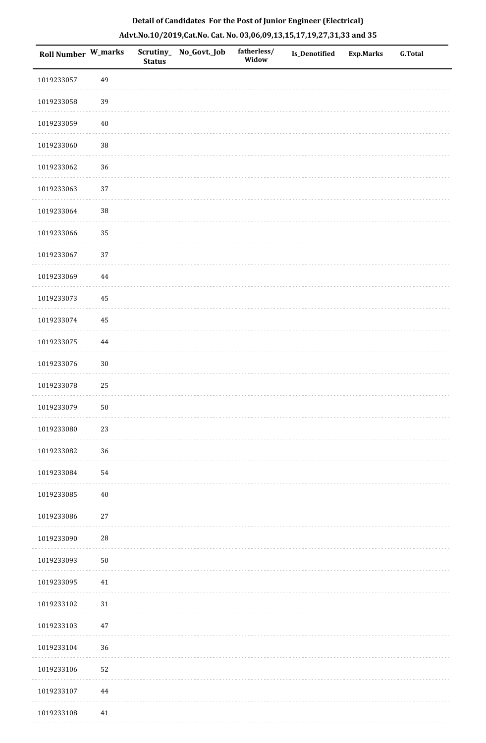|  | Detail of Candidates For the Post of Junior Engineer (Electrical)     |  |
|--|-----------------------------------------------------------------------|--|
|  | Advt.No.10/2019,Cat.No. Cat. No. 03,06,09,13,15,17,19,27,31,33 and 35 |  |

| <b>Roll Number W_marks</b> |             | <b>Status</b> | Scrutiny_ No_Govt._Job | fatherless/<br>Widow | <b>Is_Denotified</b> | <b>Exp.Marks</b> | <b>G.Total</b> |
|----------------------------|-------------|---------------|------------------------|----------------------|----------------------|------------------|----------------|
| 1019233057                 | 49          |               |                        |                      |                      |                  |                |
| 1019233058                 | 39          |               |                        |                      |                      |                  |                |
| 1019233059                 | $40\,$      |               |                        |                      |                      |                  |                |
| 1019233060                 | 38          |               |                        |                      |                      |                  |                |
| 1019233062                 | $36\,$      |               |                        |                      |                      |                  |                |
| 1019233063                 | 37          |               |                        |                      |                      |                  |                |
| 1019233064                 | 38          |               |                        |                      |                      |                  |                |
| 1019233066                 | 35          |               |                        |                      |                      |                  |                |
| 1019233067                 | 37          |               |                        |                      |                      |                  |                |
| 1019233069                 | 44          |               |                        |                      |                      |                  |                |
| 1019233073                 | 45          |               |                        |                      |                      |                  |                |
| 1019233074                 | 45          |               |                        |                      |                      |                  |                |
| 1019233075                 | 44          |               |                        |                      |                      |                  |                |
| 1019233076                 | $30\,$      |               |                        |                      |                      |                  |                |
| 1019233078                 | 25          |               |                        |                      |                      |                  |                |
| 1019233079                 | $50\,$      |               |                        |                      |                      |                  |                |
| 1019233080                 | 23          |               |                        |                      |                      |                  |                |
| 1019233082                 | 36          |               |                        |                      |                      |                  |                |
| 1019233084                 | 54          |               |                        |                      |                      |                  |                |
| 1019233085                 | $40\,$      |               |                        |                      |                      |                  |                |
| 1019233086                 | 27          |               |                        |                      |                      |                  |                |
| 1019233090                 | $\sqrt{28}$ |               |                        |                      |                      |                  |                |
| 1019233093                 | $50\,$      |               |                        |                      |                      |                  |                |
| 1019233095                 | 41          |               |                        |                      |                      |                  |                |
| 1019233102                 | 31          |               |                        |                      |                      |                  |                |
| 1019233103                 | 47          |               |                        |                      |                      |                  |                |
| 1019233104                 | 36          |               |                        |                      |                      |                  |                |
| 1019233106                 | 52          |               |                        |                      |                      |                  |                |
| 1019233107                 | $\bf 44$    |               |                        |                      |                      |                  |                |
| 1019233108                 | 41          |               |                        |                      |                      |                  |                |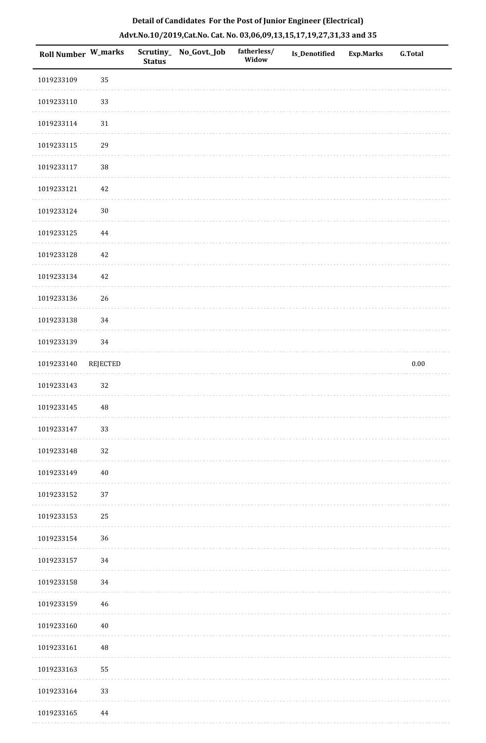| Roll Number W_marks |                 | <b>Status</b> | Scrutiny_ No_Govt._Job | fatherless/<br>Widow | Is_Denotified | <b>Exp.Marks</b> | <b>G.Total</b> |
|---------------------|-----------------|---------------|------------------------|----------------------|---------------|------------------|----------------|
| 1019233109          | 35              |               |                        |                      |               |                  |                |
| 1019233110          | 33              |               |                        |                      |               |                  |                |
| 1019233114          | 31              |               |                        |                      |               |                  |                |
| 1019233115          | 29              |               |                        |                      |               |                  |                |
| 1019233117          | 38              |               |                        |                      |               |                  |                |
| 1019233121          | 42              |               |                        |                      |               |                  |                |
| 1019233124          | $30\,$          |               |                        |                      |               |                  |                |
| 1019233125          | 44              |               |                        |                      |               |                  |                |
| 1019233128          | 42              |               |                        |                      |               |                  |                |
| 1019233134          | $42\,$          |               |                        |                      |               |                  |                |
| 1019233136          | 26              |               |                        |                      |               |                  |                |
| 1019233138          | 34              |               |                        |                      |               |                  |                |
| 1019233139          | 34              |               |                        |                      |               |                  |                |
| 1019233140          | <b>REJECTED</b> |               |                        |                      |               |                  | $0.00\,$       |
| 1019233143          | 32              |               |                        |                      |               |                  |                |
| 1019233145          | $\rm 48$        |               |                        |                      |               |                  |                |
| 1019233147          | 33              |               |                        |                      |               |                  |                |
| 1019233148          | 32              |               |                        |                      |               |                  |                |
| 1019233149          | $40\,$          |               |                        |                      |               |                  |                |
| 1019233152          | 37              |               |                        |                      |               |                  |                |
| 1019233153          | 25              |               |                        |                      |               |                  |                |
| 1019233154          | 36              |               |                        |                      |               |                  |                |
| 1019233157          | 34              |               |                        |                      |               |                  |                |
| 1019233158          | 34              |               |                        |                      |               |                  |                |
| 1019233159          | 46              |               |                        |                      |               |                  |                |
| 1019233160          | $40\,$          |               |                        |                      |               |                  |                |
| 1019233161          | $\rm 48$        |               |                        |                      |               |                  |                |
| 1019233163          | 55              |               |                        |                      |               |                  |                |
| 1019233164          | 33              |               |                        |                      |               |                  |                |
| 1019233165          | 44              |               |                        |                      |               |                  |                |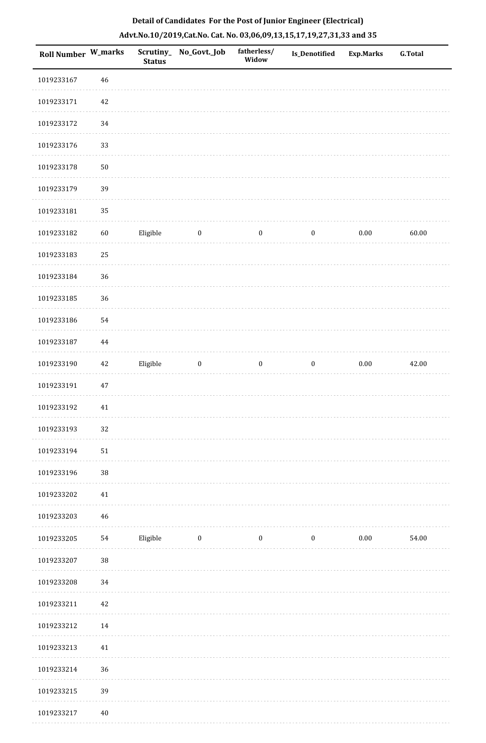| <b>Roll Number W_marks</b> |            | <b>Status</b> | Scrutiny_No_Govt._Job | fatherless/<br>Widow | Is_Denotified    | <b>Exp.Marks</b> | <b>G.Total</b> |
|----------------------------|------------|---------------|-----------------------|----------------------|------------------|------------------|----------------|
| 1019233167                 | 46         |               |                       |                      |                  |                  |                |
| 1019233171                 | 42         |               |                       |                      |                  |                  |                |
| 1019233172                 | 34         |               |                       |                      |                  |                  |                |
| 1019233176                 | 33         |               |                       |                      |                  |                  |                |
| 1019233178                 | ${\bf 50}$ |               |                       |                      |                  |                  |                |
| 1019233179                 | 39         |               |                       |                      |                  |                  |                |
| 1019233181                 | 35         |               |                       |                      |                  |                  |                |
| 1019233182                 | 60         | Eligible      | $\bf{0}$              | $\bf{0}$             | $\boldsymbol{0}$ | $0.00\,$         | 60.00          |
| 1019233183                 | 25         |               |                       |                      |                  |                  |                |
| 1019233184                 | 36         |               |                       |                      |                  |                  |                |
| 1019233185                 | 36         |               |                       |                      |                  |                  |                |
| 1019233186                 | 54         |               |                       |                      |                  |                  |                |
| 1019233187                 | 44         |               |                       |                      |                  |                  |                |
| 1019233190                 | $42\,$     | Eligible      | $\boldsymbol{0}$      | $\boldsymbol{0}$     | $\boldsymbol{0}$ | $0.00\,$         | 42.00          |
| 1019233191                 | 47         |               |                       |                      |                  |                  |                |
| 1019233192                 | $41\,$     |               |                       |                      |                  |                  |                |
| 1019233193                 | 32         |               |                       |                      |                  |                  |                |
| 1019233194                 | 51         |               |                       |                      |                  |                  |                |
| 1019233196                 | $38\,$     |               |                       |                      |                  |                  |                |
| 1019233202                 | 41         |               |                       |                      |                  |                  |                |
| 1019233203                 | 46         |               |                       |                      |                  |                  |                |
| 1019233205                 | 54         | Eligible      | $\boldsymbol{0}$      | $\boldsymbol{0}$     | $\boldsymbol{0}$ | 0.00             | 54.00          |
| 1019233207                 | $38\,$     |               |                       |                      |                  |                  |                |
| 1019233208                 | 34         |               |                       |                      |                  |                  |                |
| 1019233211                 | 42         |               |                       |                      |                  |                  |                |
| 1019233212                 | 14         |               |                       |                      |                  |                  |                |
| 1019233213                 | 41         |               |                       |                      |                  |                  |                |
| 1019233214                 | 36         |               |                       |                      |                  |                  |                |
| 1019233215                 | 39         |               |                       |                      |                  |                  |                |
| 1019233217                 | 40         |               |                       |                      |                  |                  |                |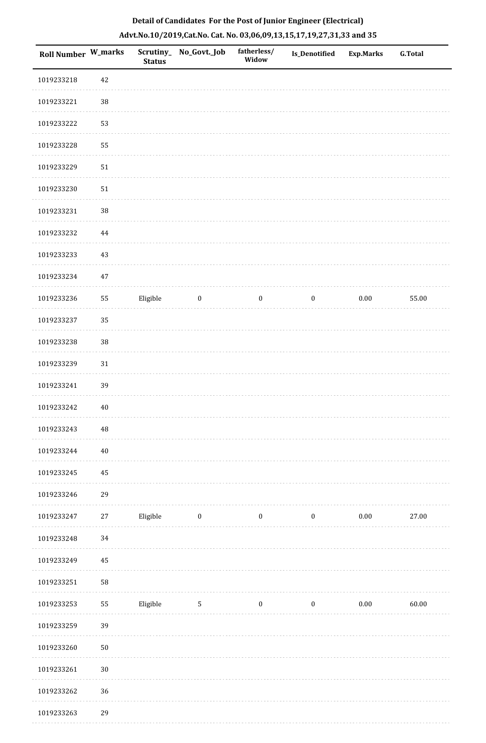| <b>Roll Number W_marks</b> |          | <b>Status</b> | Scrutiny_No_Govt._Job   | fatherless/<br>Widow | <b>Is_Denotified</b> | Exp.Marks | <b>G.Total</b> |
|----------------------------|----------|---------------|-------------------------|----------------------|----------------------|-----------|----------------|
| 1019233218                 | 42       |               |                         |                      |                      |           |                |
| 1019233221                 | $38\,$   |               |                         |                      |                      |           |                |
| 1019233222                 | 53       |               |                         |                      |                      |           |                |
| 1019233228                 | 55       |               |                         |                      |                      |           |                |
| 1019233229                 | 51       |               |                         |                      |                      |           |                |
| 1019233230                 | 51       |               |                         |                      |                      |           |                |
| 1019233231                 | $38\,$   |               |                         |                      |                      |           |                |
| 1019233232                 | 44       |               |                         |                      |                      |           |                |
| 1019233233                 | 43       |               |                         |                      |                      |           |                |
| 1019233234                 | $47\,$   |               |                         |                      |                      |           |                |
| 1019233236                 | 55       | Eligible      | $\boldsymbol{0}$        | $\boldsymbol{0}$     | $\boldsymbol{0}$     | $0.00\,$  | 55.00          |
| 1019233237                 | 35       |               |                         |                      |                      |           |                |
| 1019233238                 | 38       |               |                         |                      |                      |           |                |
| 1019233239                 | $31\,$   |               |                         |                      |                      |           |                |
| 1019233241                 | 39       |               |                         |                      |                      |           |                |
| 1019233242                 | $40\,$   |               |                         |                      |                      |           |                |
| 1019233243                 | $\rm 48$ |               |                         |                      |                      |           |                |
| 1019233244                 | 40       |               |                         |                      |                      |           |                |
| 1019233245                 | $45\,$   |               |                         |                      |                      |           |                |
| 1019233246                 | 29       |               |                         |                      |                      |           |                |
| 1019233247                 | 27       | Eligible      | $\overline{\mathbf{0}}$ | $\bf{0}$             | $\boldsymbol{0}$     | $0.00\,$  | 27.00          |
| 1019233248                 | 34       |               |                         |                      |                      |           |                |
| 1019233249                 | 45       |               |                         |                      |                      |           |                |
| 1019233251                 | 58       |               |                         |                      |                      |           |                |
| 1019233253                 | 55       | Eligible      | $\overline{5}$          | $\boldsymbol{0}$     | $\boldsymbol{0}$     | $0.00\,$  | 60.00          |
| 1019233259                 | 39       |               |                         |                      |                      |           |                |
| 1019233260                 | $50\,$   |               |                         |                      |                      |           |                |
| 1019233261                 | 30       |               |                         |                      |                      |           |                |
| 1019233262                 | 36       |               |                         |                      |                      |           |                |
| 1019233263                 | 29       |               |                         |                      |                      |           |                |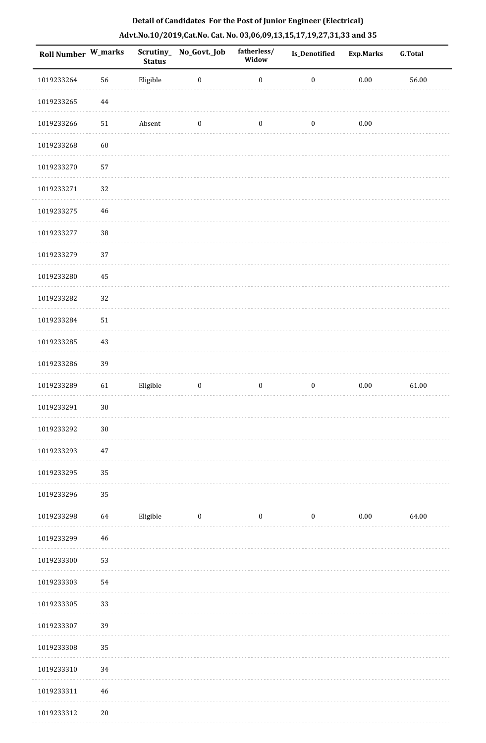| Roll Number W_marks |             | <b>Status</b> | Scrutiny_No_Govt._Job | fatherless/<br>Widow | <b>Is_Denotified</b> | <b>Exp.Marks</b> | G.Total |
|---------------------|-------------|---------------|-----------------------|----------------------|----------------------|------------------|---------|
| 1019233264          | 56          | Eligible      | $\boldsymbol{0}$      | $\boldsymbol{0}$     | $\boldsymbol{0}$     | $0.00\,$         | 56.00   |
| 1019233265          | $\bf 44$    |               |                       |                      |                      |                  |         |
| 1019233266          | ${\bf 51}$  | Absent        | $\boldsymbol{0}$      | $\boldsymbol{0}$     | $\boldsymbol{0}$     | $0.00\,$         |         |
| 1019233268          | 60          |               |                       |                      |                      |                  |         |
| 1019233270          | 57          |               |                       |                      |                      |                  |         |
| 1019233271          | 32          |               |                       |                      |                      |                  |         |
| 1019233275          | $46\,$      |               |                       |                      |                      |                  |         |
| 1019233277          | 38          |               |                       |                      |                      |                  |         |
| 1019233279          | 37          |               |                       |                      |                      |                  |         |
| 1019233280          | 45          |               |                       |                      |                      |                  |         |
| 1019233282          | 32          |               |                       |                      |                      |                  |         |
| 1019233284          | 51          |               |                       |                      |                      |                  |         |
| 1019233285          | $43\,$      |               |                       |                      |                      |                  |         |
| 1019233286          | 39          |               |                       |                      |                      |                  |         |
| 1019233289          | 61          | Eligible      | $\boldsymbol{0}$      | $\boldsymbol{0}$     | $\boldsymbol{0}$     | $0.00\,$         | 61.00   |
| 1019233291          | $30\,$      |               |                       |                      |                      |                  |         |
| 1019233292          | $30\,$      |               |                       |                      |                      |                  |         |
| 1019233293          | $47\,$      |               |                       |                      |                      |                  |         |
| 1019233295          | 35          |               |                       |                      |                      |                  |         |
| 1019233296          | 35          |               |                       |                      |                      |                  |         |
| 1019233298          | 64          | Eligible      | $\boldsymbol{0}$      | $\boldsymbol{0}$     | $\boldsymbol{0}$     | $0.00\,$         | 64.00   |
| 1019233299          | $\sqrt{46}$ |               |                       |                      |                      |                  |         |
| 1019233300          | 53          |               |                       |                      |                      |                  |         |
| 1019233303          | 54          |               |                       |                      |                      |                  |         |
| 1019233305          | 33          |               |                       |                      |                      |                  |         |
| 1019233307          | 39          |               |                       |                      |                      |                  |         |
| 1019233308          | 35          |               |                       |                      |                      |                  |         |
| 1019233310          | 34          |               |                       |                      |                      |                  |         |
| 1019233311          | $\sqrt{46}$ |               |                       |                      |                      |                  |         |
| 1019233312          | $20\,$      |               |                       |                      |                      |                  |         |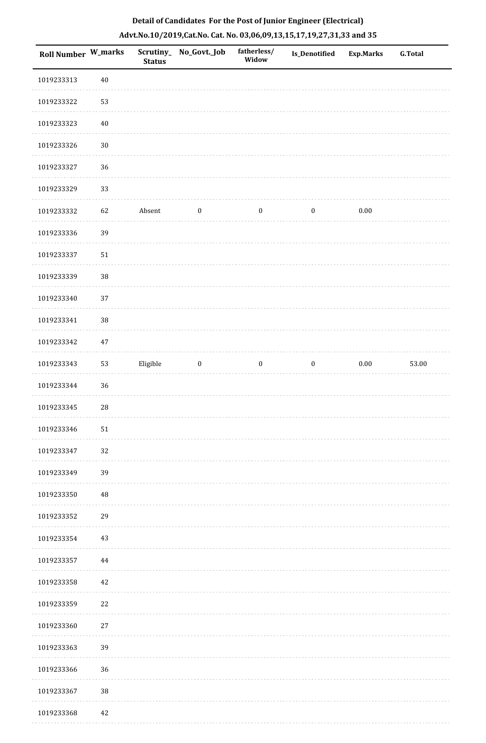| Roll Number W_marks |        | <b>Status</b> | Scrutiny_ No_Govt._Job | fatherless/<br>Widow | Is_Denotified    | <b>Exp.Marks</b> | G.Total |
|---------------------|--------|---------------|------------------------|----------------------|------------------|------------------|---------|
| 1019233313          | $40\,$ |               |                        |                      |                  |                  |         |
| 1019233322          | 53     |               |                        |                      |                  |                  |         |
| 1019233323          | $40\,$ |               |                        |                      |                  |                  |         |
| 1019233326          | $30\,$ |               |                        |                      |                  |                  |         |
| 1019233327          | 36     |               |                        |                      |                  |                  |         |
| 1019233329          | 33     |               |                        |                      |                  |                  |         |
| 1019233332          | 62     | Absent        | $\boldsymbol{0}$       | $\boldsymbol{0}$     | $\boldsymbol{0}$ | 0.00             |         |
| 1019233336          | 39     |               |                        |                      |                  |                  |         |
| 1019233337          | $51\,$ |               |                        |                      |                  |                  |         |
| 1019233339          | 38     |               |                        |                      |                  |                  |         |
| 1019233340          | 37     |               |                        |                      |                  |                  |         |
| 1019233341          | 38     |               |                        |                      |                  |                  |         |
| 1019233342          | $47\,$ |               |                        |                      |                  |                  |         |
| 1019233343          | 53     | Eligible      | $\boldsymbol{0}$       | $\boldsymbol{0}$     | $\boldsymbol{0}$ | $0.00\,$         | 53.00   |
| 1019233344          | 36     |               |                        |                      |                  |                  |         |
| 1019233345          | 28     |               |                        |                      |                  |                  |         |
| 1019233346          | $51\,$ |               |                        |                      |                  |                  |         |
| 1019233347          | 32     |               |                        |                      |                  |                  |         |
| 1019233349          | 39     |               |                        |                      |                  |                  |         |
| 1019233350          | 48     |               |                        |                      |                  |                  |         |
| 1019233352          | 29     |               |                        |                      |                  |                  |         |
| 1019233354          | 43     |               |                        |                      |                  |                  |         |
| 1019233357          | 44     |               |                        |                      |                  |                  |         |
| 1019233358          | 42     |               |                        |                      |                  |                  |         |
| 1019233359          | 22     |               |                        |                      |                  |                  |         |
| 1019233360          | 27     |               |                        |                      |                  |                  |         |
| 1019233363          | 39     |               |                        |                      |                  |                  |         |
| 1019233366          | 36     |               |                        |                      |                  |                  |         |
| 1019233367          | $38\,$ |               |                        |                      |                  |                  |         |
| 1010222260          | 12     |               |                        |                      |                  |                  |         |

# **Detail of Candidates For the Post of Junior Engineer (Electrical) Advt.No.10/2019,Cat.No. Cat. No. 03,06,09,13,15,17,19,27,31,33 and 35**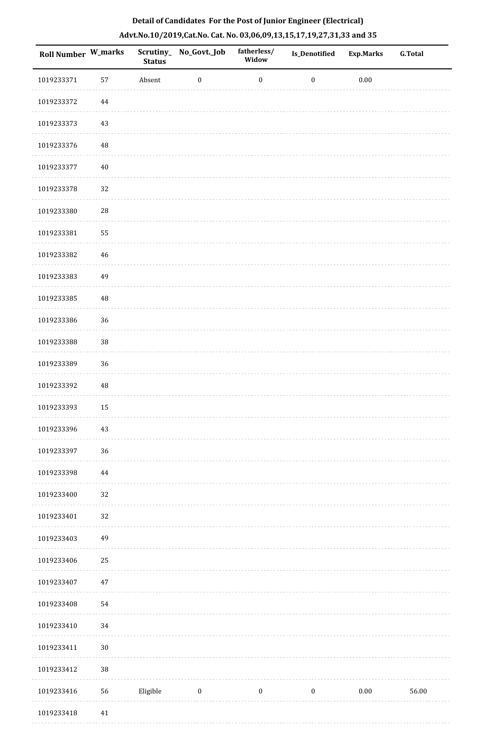| Roll Number W_marks |             | <b>Status</b> | Scrutiny_No_Govt._Job | fatherless/<br>Widow | Is_Denotified    | Exp.Marks | <b>G.Total</b> |
|---------------------|-------------|---------------|-----------------------|----------------------|------------------|-----------|----------------|
| 1019233371          | 57          | Absent        | $\boldsymbol{0}$      | $\boldsymbol{0}$     | $\boldsymbol{0}$ | $0.00\,$  |                |
| 1019233372          | $\bf 44$    |               |                       |                      |                  |           |                |
| 1019233373          | 43          |               |                       |                      |                  |           |                |
| 1019233376          | $\rm 48$    |               |                       |                      |                  |           |                |
| 1019233377          | $40\,$      |               |                       |                      |                  |           |                |
| 1019233378          | 32          |               |                       |                      |                  |           |                |
| 1019233380          | ${\bf 28}$  |               |                       |                      |                  |           |                |
| 1019233381          | 55          |               |                       |                      |                  |           |                |
| 1019233382          | $\sqrt{46}$ |               |                       |                      |                  |           |                |
| 1019233383          | 49          |               |                       |                      |                  |           |                |
| 1019233385          | $\rm 48$    |               |                       |                      |                  |           |                |
| 1019233386          | 36          |               |                       |                      |                  |           |                |
| 1019233388          | 38          |               |                       |                      |                  |           |                |
| 1019233389          | 36          |               |                       |                      |                  |           |                |
| 1019233392          | $\rm 48$    |               |                       |                      |                  |           |                |
| 1019233393          | 15          |               |                       |                      |                  |           |                |
| 1019233396          | 43          |               |                       |                      |                  |           |                |
| 1019233397          | 36          |               |                       |                      |                  |           |                |
| 1019233398          | $\bf 44$    |               |                       |                      |                  |           |                |
| 1019233400          | 32          |               |                       |                      |                  |           |                |
| 1019233401          | 32          |               |                       |                      |                  |           |                |
| 1019233403          | 49          |               |                       |                      |                  |           |                |
| 1019233406          | 25          |               |                       |                      |                  |           |                |
| 1019233407          | $47\,$      |               |                       |                      |                  |           |                |
| 1019233408          | 54          |               |                       |                      |                  |           |                |
| 1019233410          | $34\,$      |               |                       |                      |                  |           |                |
| 1019233411          | $30\,$      |               |                       |                      |                  |           |                |
| 1019233412          | 38          |               |                       |                      |                  |           |                |
| 1019233416          | 56          | Eligible      | $\boldsymbol{0}$      | $\boldsymbol{0}$     | $\boldsymbol{0}$ | $0.00\,$  | 56.00          |
| 1019233418          | $41\,$      |               |                       |                      |                  |           |                |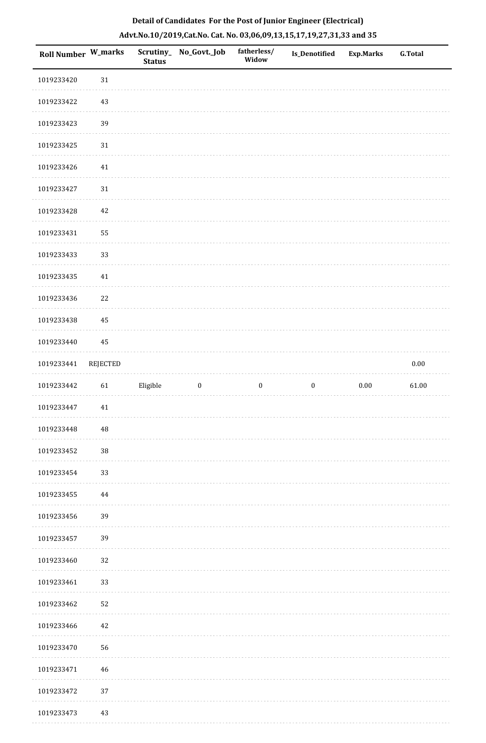| <b>Roll Number W_marks</b> |          | <b>Status</b> | Scrutiny_No_Govt._Job | fatherless/<br>Widow | Is_Denotified    | <b>Exp.Marks</b> | <b>G.Total</b> |
|----------------------------|----------|---------------|-----------------------|----------------------|------------------|------------------|----------------|
| 1019233420                 | $31\,$   |               |                       |                      |                  |                  |                |
| 1019233422                 | 43       |               |                       |                      |                  |                  |                |
| 1019233423                 | 39       |               |                       |                      |                  |                  |                |
| 1019233425                 | $31\,$   |               |                       |                      |                  |                  |                |
| 1019233426                 | 41       |               |                       |                      |                  |                  |                |
| 1019233427                 | 31       |               |                       |                      |                  |                  |                |
| 1019233428                 | 42       |               |                       |                      |                  |                  |                |
| 1019233431                 | 55       |               |                       |                      |                  |                  |                |
| 1019233433                 | 33       |               |                       |                      |                  |                  |                |
| 1019233435                 | $41\,$   |               |                       |                      |                  |                  |                |
| 1019233436                 | $22\,$   |               |                       |                      |                  |                  |                |
| 1019233438                 | 45       |               |                       |                      |                  |                  |                |
| 1019233440                 | 45       |               |                       |                      |                  |                  |                |
| 1019233441                 | REJECTED |               |                       |                      |                  |                  | $0.00\,$       |
| 1019233442                 | 61       | Eligible      | $\boldsymbol{0}$      | $\boldsymbol{0}$     | $\boldsymbol{0}$ | $0.00\,$         | 61.00          |
| 1019233447                 | $41\,$   |               |                       |                      |                  |                  |                |
| 1019233448                 | $\rm 48$ |               |                       |                      |                  |                  |                |
| 1019233452                 | 38       |               |                       |                      |                  |                  |                |
| 1019233454                 | 33       |               |                       |                      |                  |                  |                |
| 1019233455                 | 44       |               |                       |                      |                  |                  |                |
| 1019233456                 | 39       |               |                       |                      |                  |                  |                |
| 1019233457                 | 39       |               |                       |                      |                  |                  |                |
| 1019233460                 | 32       |               |                       |                      |                  |                  |                |
| 1019233461                 | 33       |               |                       |                      |                  |                  |                |
| 1019233462                 | 52       |               |                       |                      |                  |                  |                |
| 1019233466                 | 42       |               |                       |                      |                  |                  |                |
| 1019233470                 | 56       |               |                       |                      |                  |                  |                |
| 1019233471                 | 46       |               |                       |                      |                  |                  |                |
| 1019233472                 | 37       |               |                       |                      |                  |                  |                |
| 1019233473                 | 43       |               |                       |                      |                  |                  |                |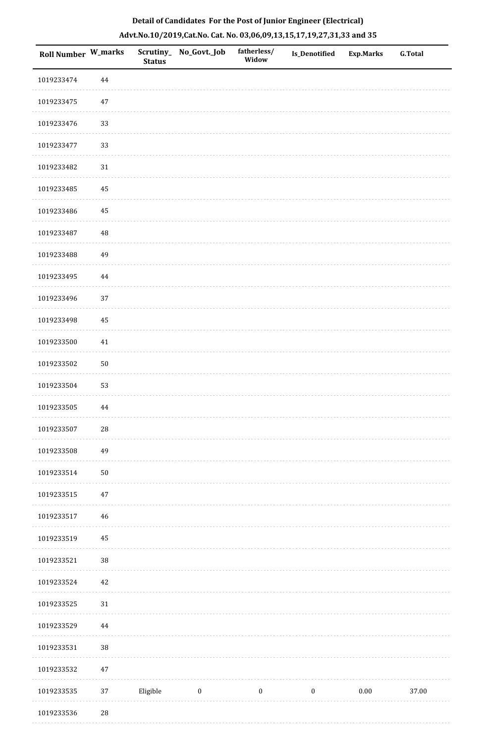| <b>Roll Number W_marks</b> |            | <b>Status</b> | Scrutiny_ No_Govt._Job | fatherless/<br>Widow | <b>Is_Denotified</b> | Exp.Marks | <b>G.Total</b> |
|----------------------------|------------|---------------|------------------------|----------------------|----------------------|-----------|----------------|
| 1019233474                 | 44         |               |                        |                      |                      |           |                |
| 1019233475                 | $47\,$     |               |                        |                      |                      |           |                |
| 1019233476                 | 33         |               |                        |                      |                      |           |                |
| 1019233477                 | 33         |               |                        |                      |                      |           |                |
| 1019233482                 | $31\,$     |               |                        |                      |                      |           |                |
| 1019233485                 | 45         |               |                        |                      |                      |           |                |
| 1019233486                 | 45         |               |                        |                      |                      |           |                |
| 1019233487                 | 48         |               |                        |                      |                      |           |                |
| 1019233488                 | 49         |               |                        |                      |                      |           |                |
| 1019233495                 | $\bf 44$   |               |                        |                      |                      |           |                |
| 1019233496                 | 37         |               |                        |                      |                      |           |                |
| 1019233498                 | 45         |               |                        |                      |                      |           |                |
| 1019233500                 | $41\,$     |               |                        |                      |                      |           |                |
| 1019233502                 | $50\,$     |               |                        |                      |                      |           |                |
| 1019233504                 | 53         |               |                        |                      |                      |           |                |
| 1019233505                 | 44         |               |                        |                      |                      |           |                |
| 1019233507                 | ${\bf 28}$ |               |                        |                      |                      |           |                |
| 1019233508                 | 49         |               |                        |                      |                      |           |                |
| 1019233514                 | $50\,$     |               |                        |                      |                      |           |                |
| 1019233515                 | $47\,$     |               |                        |                      |                      |           |                |
| 1019233517                 | 46         |               |                        |                      |                      |           |                |
| 1019233519                 | 45         |               |                        |                      |                      |           |                |
| 1019233521                 | 38         |               |                        |                      |                      |           |                |
| 1019233524                 | $42\,$     |               |                        |                      |                      |           |                |
| 1019233525                 | $31\,$     |               |                        |                      |                      |           |                |
| 1019233529                 | 44         |               |                        |                      |                      |           |                |
| 1019233531                 | 38         |               |                        |                      |                      |           |                |
| 1019233532                 | $47\,$     |               |                        |                      |                      |           |                |
| 1019233535                 | 37         | Eligible      | $\boldsymbol{0}$       | $\boldsymbol{0}$     | $\boldsymbol{0}$     | $0.00\,$  | 37.00          |
| 1010222526                 | 29         |               |                        |                      |                      |           |                |

# **Detail of Candidates For the Post of Junior Engineer (Electrical) Advt.No.10/2019,Cat.No. Cat. No. 03,06,09,13,15,17,19,27,31,33 and 35**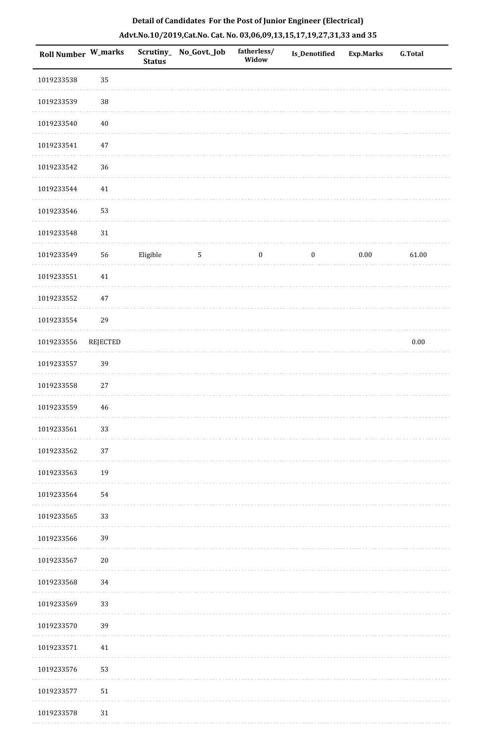| Roll Number W_marks |                 | <b>Status</b> | Scrutiny_No_Govt._Job | fatherless/<br>Widow | Is_Denotified    | <b>Exp.Marks</b> | <b>G.Total</b> |
|---------------------|-----------------|---------------|-----------------------|----------------------|------------------|------------------|----------------|
| 1019233538          | 35              |               |                       |                      |                  |                  |                |
| 1019233539          | $38\,$          |               |                       |                      |                  |                  |                |
| 1019233540          | $40\,$          |               |                       |                      |                  |                  |                |
| 1019233541          | $47\,$          |               |                       |                      |                  |                  |                |
| 1019233542          | 36              |               |                       |                      |                  |                  |                |
| 1019233544          | 41              |               |                       |                      |                  |                  |                |
| 1019233546          | 53              |               |                       |                      |                  |                  |                |
| 1019233548          | $31\,$          |               |                       |                      |                  |                  |                |
| 1019233549          | 56              | Eligible      | $\overline{5}$        | $\boldsymbol{0}$     | $\boldsymbol{0}$ | $0.00\,$         | 61.00          |
| 1019233551          | $41\,$          |               |                       |                      |                  |                  |                |
| 1019233552          | 47              |               |                       |                      |                  |                  |                |
| 1019233554          | 29              |               |                       |                      |                  |                  |                |
| 1019233556          | <b>REJECTED</b> |               |                       |                      |                  |                  | $0.00\,$       |
| 1019233557          | 39              |               |                       |                      |                  |                  |                |
| 1019233558          | $27\,$          |               |                       |                      |                  |                  |                |
| 1019233559          | 46              |               |                       |                      |                  |                  |                |
| 1019233561          | 33              |               |                       |                      |                  |                  |                |
| 1019233562          | 37              |               |                       |                      |                  |                  |                |
| 1019233563          | 19              |               |                       |                      |                  |                  |                |
| 1019233564          | 54              |               |                       |                      |                  |                  |                |
| 1019233565          | 33              |               |                       |                      |                  |                  |                |
| 1019233566          | 39              |               |                       |                      |                  |                  |                |
| 1019233567          | $20\,$          |               |                       |                      |                  |                  |                |
| 1019233568          | 34              |               |                       |                      |                  |                  |                |
| 1019233569          | 33              |               |                       |                      |                  |                  |                |
| 1019233570          | 39              |               |                       |                      |                  |                  |                |
| 1019233571          | $41\,$          |               |                       |                      |                  |                  |                |
| 1019233576          | 53              |               |                       |                      |                  |                  |                |
| 1019233577          | 51              |               |                       |                      |                  |                  |                |
| 1019233578          | 31              |               |                       |                      |                  |                  |                |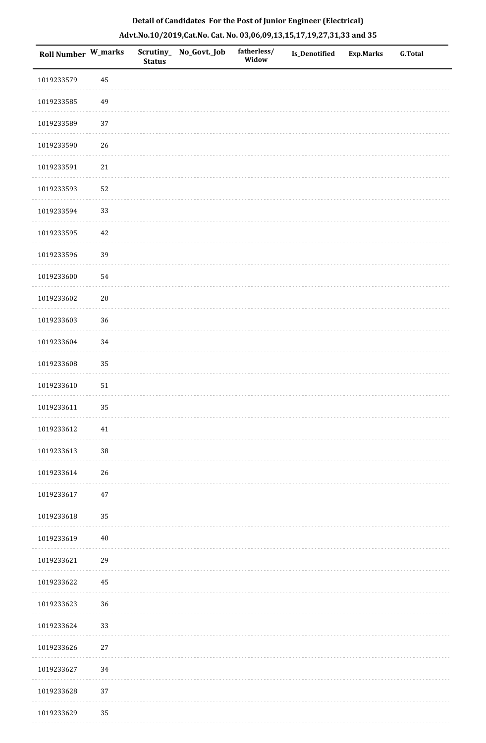| Roll Number W_marks |        | <b>Status</b> | Scrutiny_No_Govt._Job | fatherless/<br>Widow | Is_Denotified | <b>Exp.Marks</b> | <b>G.Total</b> |
|---------------------|--------|---------------|-----------------------|----------------------|---------------|------------------|----------------|
| 1019233579          | 45     |               |                       |                      |               |                  |                |
| 1019233585          | 49     |               |                       |                      |               |                  |                |
| 1019233589          | 37     |               |                       |                      |               |                  |                |
| 1019233590          | 26     |               |                       |                      |               |                  |                |
| 1019233591          | 21     |               |                       |                      |               |                  |                |
| 1019233593          | 52     |               |                       |                      |               |                  |                |
| 1019233594          | 33     |               |                       |                      |               |                  |                |
| 1019233595          | 42     |               |                       |                      |               |                  |                |
| 1019233596          | 39     |               |                       |                      |               |                  |                |
| 1019233600          | 54     |               |                       |                      |               |                  |                |
| 1019233602          | $20\,$ |               |                       |                      |               |                  |                |
| 1019233603          | 36     |               |                       |                      |               |                  |                |
| 1019233604          | 34     |               |                       |                      |               |                  |                |
| 1019233608          | 35     |               |                       |                      |               |                  |                |
| 1019233610          | 51     |               |                       |                      |               |                  |                |
| 1019233611          | 35     |               |                       |                      |               |                  |                |
| 1019233612          | 41     |               |                       |                      |               |                  |                |
| 1019233613          | $38\,$ |               |                       |                      |               |                  |                |
| 1019233614          | 26     |               |                       |                      |               |                  |                |
| 1019233617          | 47     |               |                       |                      |               |                  |                |
| 1019233618          | 35     |               |                       |                      |               |                  |                |
| 1019233619          | 40     |               |                       |                      |               |                  |                |
| 1019233621          | 29     |               |                       |                      |               |                  |                |
| 1019233622          | 45     |               |                       |                      |               |                  |                |
| 1019233623          | 36     |               |                       |                      |               |                  |                |
| 1019233624          | 33     |               |                       |                      |               |                  |                |
| 1019233626          | 27     |               |                       |                      |               |                  |                |
| 1019233627          | 34     |               |                       |                      |               |                  |                |
| 1019233628          | 37     |               |                       |                      |               |                  |                |
| 1019233629          | 35     |               |                       |                      |               |                  |                |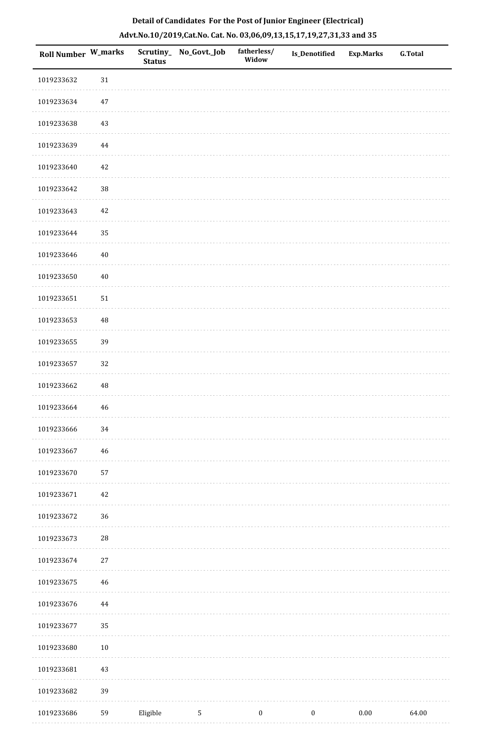| Roll Number W_marks |            | <b>Status</b> | Scrutiny_ No_Govt._Job | fatherless/<br>Widow | Is_Denotified    | <b>Exp.Marks</b> | <b>G.Total</b> |
|---------------------|------------|---------------|------------------------|----------------------|------------------|------------------|----------------|
| 1019233632          | $31\,$     |               |                        |                      |                  |                  |                |
| 1019233634          | $47\,$     |               |                        |                      |                  |                  |                |
| 1019233638          | $43\,$     |               |                        |                      |                  |                  |                |
| 1019233639          | 44         |               |                        |                      |                  |                  |                |
| 1019233640          | $42\,$     |               |                        |                      |                  |                  |                |
| 1019233642          | 38         |               |                        |                      |                  |                  |                |
| 1019233643          | 42         |               |                        |                      |                  |                  |                |
| 1019233644          | 35         |               |                        |                      |                  |                  |                |
| 1019233646          | $40\,$     |               |                        |                      |                  |                  |                |
| 1019233650          | $40\,$     |               |                        |                      |                  |                  |                |
| 1019233651          | $51\,$     |               |                        |                      |                  |                  |                |
| 1019233653          | 48         |               |                        |                      |                  |                  |                |
| 1019233655          | 39         |               |                        |                      |                  |                  |                |
| 1019233657          | 32         |               |                        |                      |                  |                  |                |
| 1019233662          | 48         |               |                        |                      |                  |                  |                |
| 1019233664          | 46         |               |                        |                      |                  |                  |                |
| 1019233666          | 34         |               |                        |                      |                  |                  |                |
| 1019233667          | 46         |               |                        |                      |                  |                  |                |
| 1019233670          | 57         |               |                        |                      |                  |                  |                |
| 1019233671          | 42         |               |                        |                      |                  |                  |                |
| 1019233672          | 36         |               |                        |                      |                  |                  |                |
| 1019233673          | ${\bf 28}$ |               |                        |                      |                  |                  |                |
| 1019233674          | 27         |               |                        |                      |                  |                  |                |
| 1019233675          | 46         |               |                        |                      |                  |                  |                |
| 1019233676          | 44         |               |                        |                      |                  |                  |                |
| 1019233677          | 35         |               |                        |                      |                  |                  |                |
| 1019233680          | $10\,$     |               |                        |                      |                  |                  |                |
| 1019233681          | $43\,$     |               |                        |                      |                  |                  |                |
| 1019233682          | 39         |               |                        |                      |                  |                  |                |
| 1019233686          | 59         | Eligible      | $\sqrt{5}$             | $\boldsymbol{0}$     | $\boldsymbol{0}$ | $0.00\,$         | 64.00          |

. . . . . . . . . . . .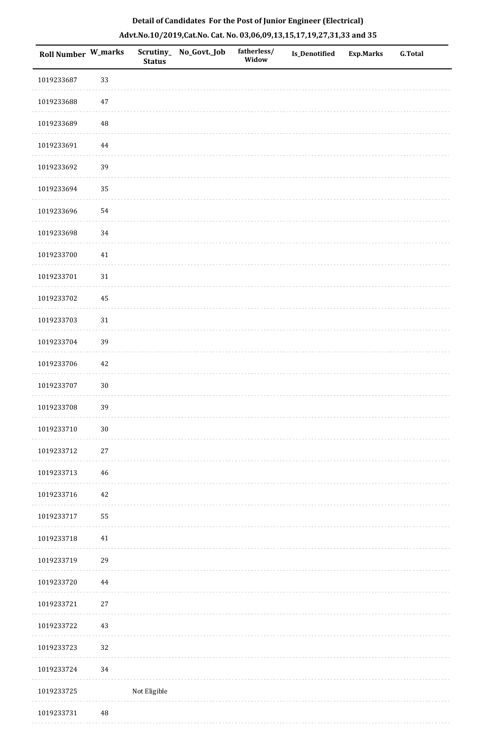| <b>Roll Number W_marks</b> |          | <b>Status</b> | Scrutiny_ No_Govt._Job | fatherless/<br>Widow | <b>Is_Denotified</b> | <b>Exp.Marks</b> | <b>G.Total</b> |
|----------------------------|----------|---------------|------------------------|----------------------|----------------------|------------------|----------------|
| 1019233687                 | 33       |               |                        |                      |                      |                  |                |
| 1019233688                 | 47       |               |                        |                      |                      |                  |                |
| 1019233689                 | $\rm 48$ |               |                        |                      |                      |                  |                |
| 1019233691                 | $\bf 44$ |               |                        |                      |                      |                  |                |
| 1019233692                 | 39       |               |                        |                      |                      |                  |                |
| 1019233694                 | 35       |               |                        |                      |                      |                  |                |
| 1019233696                 | 54       |               |                        |                      |                      |                  |                |
| 1019233698                 | 34       |               |                        |                      |                      |                  |                |
| 1019233700                 | 41       |               |                        |                      |                      |                  |                |
| 1019233701                 | 31       |               |                        |                      |                      |                  |                |
| 1019233702                 | 45       |               |                        |                      |                      |                  |                |
| 1019233703                 | $31\,$   |               |                        |                      |                      |                  |                |
| 1019233704                 | 39       |               |                        |                      |                      |                  |                |
| 1019233706                 | $42\,$   |               |                        |                      |                      |                  |                |
| 1019233707                 | $30\,$   |               |                        |                      |                      |                  |                |
| 1019233708                 | 39       |               |                        |                      |                      |                  |                |
| 1019233710                 | $30\,$   |               |                        |                      |                      |                  |                |
| 1019233712                 | 27       |               |                        |                      |                      |                  |                |
| 1019233713                 | 46       |               |                        |                      |                      |                  |                |
| 1019233716                 | 42       |               |                        |                      |                      |                  |                |
| 1019233717                 | 55       |               |                        |                      |                      |                  |                |
| 1019233718                 | $41\,$   |               |                        |                      |                      |                  |                |
| 1019233719                 | 29       |               |                        |                      |                      |                  |                |
| 1019233720                 | 44       |               |                        |                      |                      |                  |                |
| 1019233721                 | $27\,$   |               |                        |                      |                      |                  |                |
| 1019233722                 | $43\,$   |               |                        |                      |                      |                  |                |
| 1019233723                 | 32       |               |                        |                      |                      |                  |                |
| 1019233724                 | 34       |               |                        |                      |                      |                  |                |
| 1019233725                 |          | Not Eligible  |                        |                      |                      |                  |                |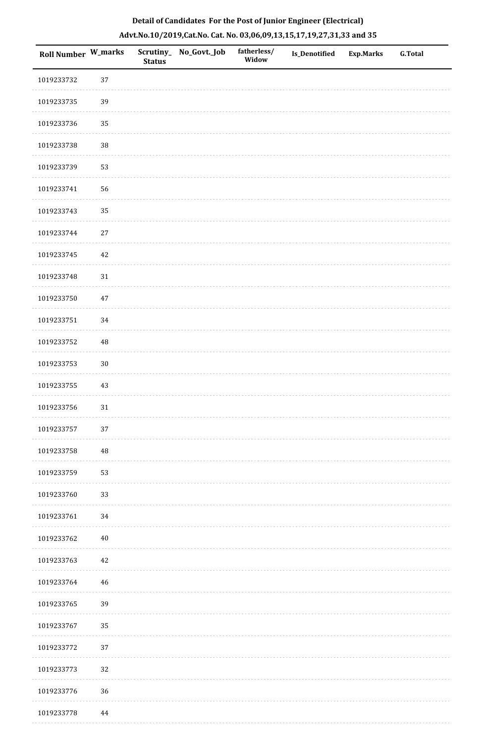| Roll Number W_marks |          | <b>Status</b> | Scrutiny_ No_Govt._Job | fatherless/<br>Widow | Is_Denotified | <b>Exp.Marks</b> | G.Total |
|---------------------|----------|---------------|------------------------|----------------------|---------------|------------------|---------|
| 1019233732          | 37       |               |                        |                      |               |                  |         |
| 1019233735          | 39       |               |                        |                      |               |                  |         |
| 1019233736          | 35       |               |                        |                      |               |                  |         |
| 1019233738          | 38       |               |                        |                      |               |                  |         |
| 1019233739          | 53       |               |                        |                      |               |                  |         |
| 1019233741          | 56       |               |                        |                      |               |                  |         |
| 1019233743          | 35       |               |                        |                      |               |                  |         |
| 1019233744          | $27\,$   |               |                        |                      |               |                  |         |
| 1019233745          | $42\,$   |               |                        |                      |               |                  |         |
| 1019233748          | $31\,$   |               |                        |                      |               |                  |         |
| 1019233750          | $47\,$   |               |                        |                      |               |                  |         |
| 1019233751          | 34       |               |                        |                      |               |                  |         |
| 1019233752          | 48       |               |                        |                      |               |                  |         |
| 1019233753          | $30\,$   |               |                        |                      |               |                  |         |
| 1019233755          | 43       |               |                        |                      |               |                  |         |
| 1019233756          | $31\,$   |               |                        |                      |               |                  |         |
| 1019233757          | $37\,$   |               |                        |                      |               |                  |         |
| 1019233758          | 48       |               |                        |                      |               |                  |         |
| 1019233759          | 53       |               |                        |                      |               |                  |         |
| 1019233760          | 33       |               |                        |                      |               |                  |         |
| 1019233761          | 34       |               |                        |                      |               |                  |         |
| 1019233762          | $40\,$   |               |                        |                      |               |                  |         |
| 1019233763          | 42       |               |                        |                      |               |                  |         |
| 1019233764          | 46       |               |                        |                      |               |                  |         |
| 1019233765          | 39       |               |                        |                      |               |                  |         |
| 1019233767          | 35       |               |                        |                      |               |                  |         |
| 1019233772          | 37       |               |                        |                      |               |                  |         |
| 1019233773          | 32       |               |                        |                      |               |                  |         |
| 1019233776          | 36       |               |                        |                      |               |                  |         |
| 1019233778          | $\bf 44$ |               |                        |                      |               |                  |         |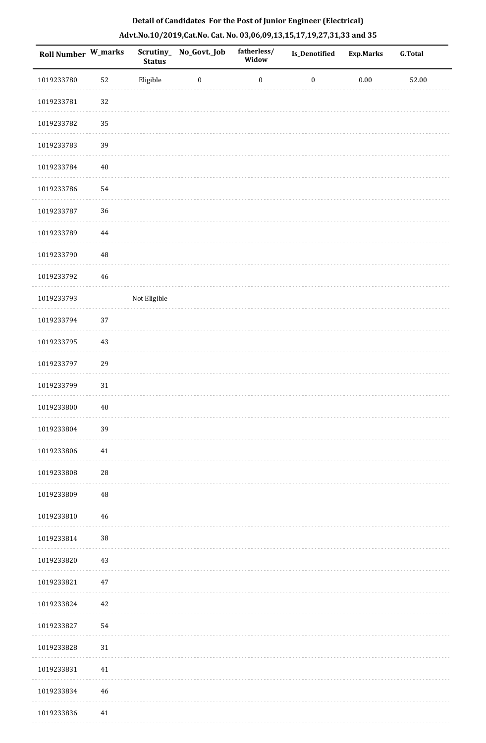| Roll Number W_marks |             | <b>Status</b> | Scrutiny_No_Govt._Job | fatherless/<br>Widow | Is_Denotified    | <b>Exp.Marks</b> | <b>G.Total</b> |
|---------------------|-------------|---------------|-----------------------|----------------------|------------------|------------------|----------------|
| 1019233780          | 52          | Eligible      | $\bf{0}$              | $\boldsymbol{0}$     | $\boldsymbol{0}$ | $0.00\,$         | 52.00          |
| 1019233781          | 32          |               |                       |                      |                  |                  |                |
| 1019233782          | 35          |               |                       |                      |                  |                  |                |
| 1019233783          | 39          |               |                       |                      |                  |                  |                |
| 1019233784          | $40\,$      |               |                       |                      |                  |                  |                |
| 1019233786          | 54          |               |                       |                      |                  |                  |                |
| 1019233787          | 36          |               |                       |                      |                  |                  |                |
| 1019233789          | $\bf 44$    |               |                       |                      |                  |                  |                |
| 1019233790          | $\rm 48$    |               |                       |                      |                  |                  |                |
| 1019233792          | $\sqrt{46}$ |               |                       |                      |                  |                  |                |
| 1019233793          |             | Not Eligible  |                       |                      |                  |                  |                |
| 1019233794          | 37          |               |                       |                      |                  |                  |                |
| 1019233795          | 43          |               |                       |                      |                  |                  |                |
| 1019233797          | 29          |               |                       |                      |                  |                  |                |
| 1019233799          | 31          |               |                       |                      |                  |                  |                |
| 1019233800          | $40\,$      |               |                       |                      |                  |                  |                |
| 1019233804          | 39          |               |                       |                      |                  |                  |                |
| 1019233806          | 41          |               |                       |                      |                  |                  |                |
| 1019233808          | ${\bf 28}$  |               |                       |                      |                  |                  |                |
| 1019233809          | $\rm 48$    |               |                       |                      |                  |                  |                |
| 1019233810          | 46          |               |                       |                      |                  |                  |                |
| 1019233814          | $38\,$      |               |                       |                      |                  |                  |                |
| 1019233820          | 43          |               |                       |                      |                  |                  |                |
| 1019233821          | $47\,$      |               |                       |                      |                  |                  |                |
| 1019233824          | $42\,$      |               |                       |                      |                  |                  |                |
| 1019233827          | 54          |               |                       |                      |                  |                  |                |
| 1019233828          | 31          |               |                       |                      |                  |                  |                |
| 1019233831          | 41          |               |                       |                      |                  |                  |                |
| 1019233834          | 46          |               |                       |                      |                  |                  |                |
| 1019233836          | $41\,$      |               |                       |                      |                  |                  |                |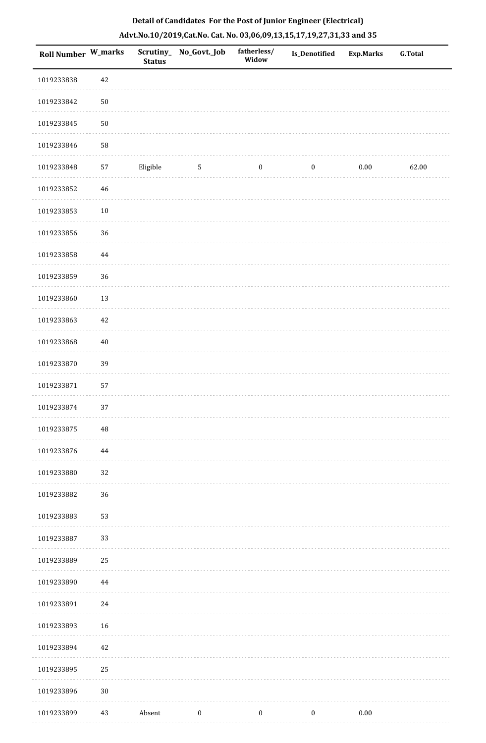| <b>Roll Number W_marks</b> |          | <b>Status</b> | Scrutiny_No_Govt._Job | fatherless/<br>Widow | <b>Is_Denotified</b> | <b>Exp.Marks</b> | <b>G.Total</b> |
|----------------------------|----------|---------------|-----------------------|----------------------|----------------------|------------------|----------------|
| 1019233838                 | $42\,$   |               |                       |                      |                      |                  |                |
| 1019233842                 | $50\,$   |               |                       |                      |                      |                  |                |
| 1019233845                 | $50\,$   |               |                       |                      |                      |                  |                |
| 1019233846                 | 58       |               |                       |                      |                      |                  |                |
| 1019233848                 | 57       | Eligible      | $\sqrt{5}$            | $\boldsymbol{0}$     | $\boldsymbol{0}$     | 0.00             | 62.00          |
| 1019233852                 | $46\,$   |               |                       |                      |                      |                  |                |
| 1019233853                 | $10\,$   |               |                       |                      |                      |                  |                |
| 1019233856                 | 36       |               |                       |                      |                      |                  |                |
| 1019233858                 | 44       |               |                       |                      |                      |                  |                |
| 1019233859                 | 36       |               |                       |                      |                      |                  |                |
| 1019233860                 | 13       |               |                       |                      |                      |                  |                |
| 1019233863                 | $42\,$   |               |                       |                      |                      |                  |                |
| 1019233868                 | $40\,$   |               |                       |                      |                      |                  |                |
| 1019233870                 | 39       |               |                       |                      |                      |                  |                |
| 1019233871                 | 57       |               |                       |                      |                      |                  |                |
| 1019233874                 | 37       |               |                       |                      |                      |                  |                |
| 1019233875                 | $\rm 48$ |               |                       |                      |                      |                  |                |
| 1019233876                 | 44       |               |                       |                      |                      |                  |                |
| 1019233880                 | 32       |               |                       |                      |                      |                  |                |
| 1019233882                 | 36       |               |                       |                      |                      |                  |                |
| 1019233883                 | 53       |               |                       |                      |                      |                  |                |
| 1019233887                 | 33       |               |                       |                      |                      |                  |                |
| 1019233889                 | 25       |               |                       |                      |                      |                  |                |
| 1019233890                 | $\bf 44$ |               |                       |                      |                      |                  |                |
| 1019233891                 | 24       |               |                       |                      |                      |                  |                |
| 1019233893                 | 16       |               |                       |                      |                      |                  |                |
| 1019233894                 | 42       |               |                       |                      |                      |                  |                |
| 1019233895                 | 25       |               |                       |                      |                      |                  |                |
| 1019233896                 | $30\,$   |               |                       |                      |                      |                  |                |
| 1019233899                 | 43       | Absent        | $\boldsymbol{0}$      | $\boldsymbol{0}$     | $\boldsymbol{0}$     | $0.00\,$         |                |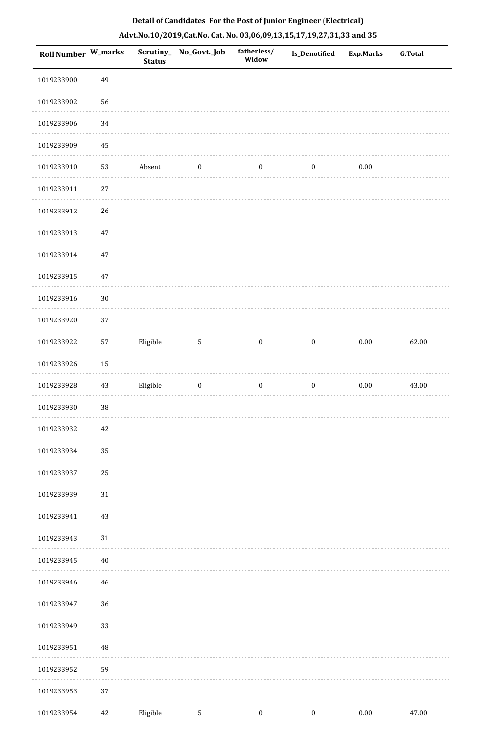| <b>Roll Number W_marks</b> |        | <b>Status</b> | Scrutiny_No_Govt._Job | fatherless/<br>Widow | Is_Denotified    | <b>Exp.Marks</b> | G.Total |
|----------------------------|--------|---------------|-----------------------|----------------------|------------------|------------------|---------|
| 1019233900                 | 49     |               |                       |                      |                  |                  |         |
| 1019233902                 | 56     |               |                       |                      |                  |                  |         |
| 1019233906                 | 34     |               |                       |                      |                  |                  |         |
| 1019233909                 | 45     |               |                       |                      |                  |                  |         |
| 1019233910                 | 53     | Absent        | $\boldsymbol{0}$      | $\boldsymbol{0}$     | $\boldsymbol{0}$ | $0.00\,$         |         |
| 1019233911                 | $27\,$ |               |                       |                      |                  |                  |         |
| 1019233912                 | 26     |               |                       |                      |                  |                  |         |
| 1019233913                 | 47     |               |                       |                      |                  |                  |         |
| 1019233914                 | 47     |               |                       |                      |                  |                  |         |
| 1019233915                 | $47\,$ |               |                       |                      |                  |                  |         |
| 1019233916                 | $30\,$ |               |                       |                      |                  |                  |         |
| 1019233920                 | 37     |               |                       |                      |                  |                  |         |
| 1019233922                 | 57     | Eligible      | $\sqrt{5}$            | $\boldsymbol{0}$     | $\boldsymbol{0}$ | $0.00\,$         | 62.00   |
| 1019233926                 | 15     |               |                       |                      |                  |                  |         |
| 1019233928                 | 43     | Eligible      | $\boldsymbol{0}$      | $\boldsymbol{0}$     | $\boldsymbol{0}$ | 0.00             | 43.00   |
| 1019233930                 | 38     |               |                       |                      |                  |                  |         |
| 1019233932                 | 42     |               |                       |                      |                  |                  |         |
| 1019233934                 | 35     |               |                       |                      |                  |                  |         |
| 1019233937                 | 25     |               |                       |                      |                  |                  |         |
| 1019233939                 | 31     |               |                       |                      |                  |                  |         |
| 1019233941                 | 43     |               |                       |                      |                  |                  |         |
| 1019233943                 | $31\,$ |               |                       |                      |                  |                  |         |
| 1019233945                 | 40     |               |                       |                      |                  |                  |         |
| 1019233946                 | 46     |               |                       |                      |                  |                  |         |
| 1019233947                 | 36     |               |                       |                      |                  |                  |         |
| 1019233949                 | 33     |               |                       |                      |                  |                  |         |
| 1019233951                 | 48     |               |                       |                      |                  |                  |         |
| 1019233952                 | 59     |               |                       |                      |                  |                  |         |
| 1019233953                 | 37     |               |                       |                      |                  |                  |         |
| 1019233954                 | 42     | Eligible      | $\mathbf{5}$          | $\boldsymbol{0}$     | $\boldsymbol{0}$ | $0.00\,$         | 47.00   |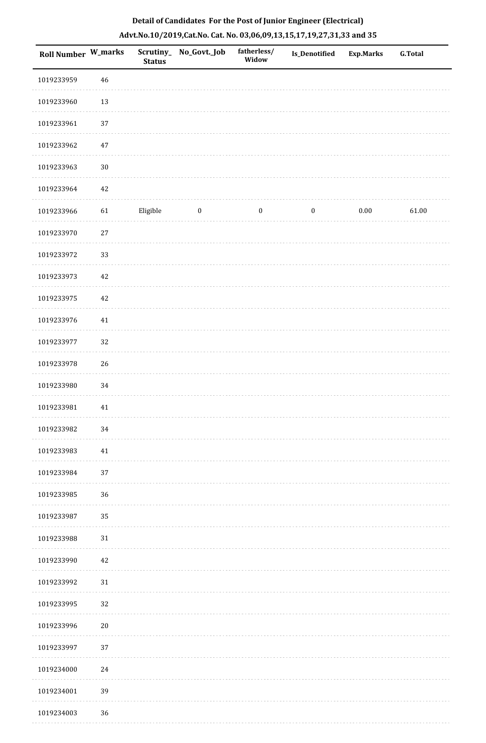| Roll Number W_marks |             | <b>Status</b> | Scrutiny_No_Govt._Job | fatherless/<br>Widow | Is_Denotified    | <b>Exp.Marks</b> | <b>G.Total</b> |
|---------------------|-------------|---------------|-----------------------|----------------------|------------------|------------------|----------------|
| 1019233959          | $\sqrt{46}$ |               |                       |                      |                  |                  |                |
| 1019233960          | $13\,$      |               |                       |                      |                  |                  |                |
| 1019233961          | 37          |               |                       |                      |                  |                  |                |
| 1019233962          | 47          |               |                       |                      |                  |                  |                |
| 1019233963          | $30\,$      |               |                       |                      |                  |                  |                |
| 1019233964          | 42          |               |                       |                      |                  |                  |                |
| 1019233966          | 61          | Eligible      | $\bf{0}$              | $\boldsymbol{0}$     | $\boldsymbol{0}$ | $0.00\,$         | 61.00          |
| 1019233970          | $27\,$      |               |                       |                      |                  |                  |                |
| 1019233972          | 33          |               |                       |                      |                  |                  |                |
| 1019233973          | 42          |               |                       |                      |                  |                  |                |
| 1019233975          | 42          |               |                       |                      |                  |                  |                |
| 1019233976          | $41\,$      |               |                       |                      |                  |                  |                |
| 1019233977          | 32          |               |                       |                      |                  |                  |                |
| 1019233978          | 26          |               |                       |                      |                  |                  |                |
| 1019233980          | 34          |               |                       |                      |                  |                  |                |
| 1019233981          | $41\,$      |               |                       |                      |                  |                  |                |
| 1019233982          | 34          |               |                       |                      |                  |                  |                |
| 1019233983          | 41          |               |                       |                      |                  |                  |                |
| 1019233984          | 37          |               |                       |                      |                  |                  |                |
| 1019233985          | 36          |               |                       |                      |                  |                  |                |
| 1019233987          | 35          |               |                       |                      |                  |                  |                |
| 1019233988          | 31          |               |                       |                      |                  |                  |                |
| 1019233990          | 42          |               |                       |                      |                  |                  |                |
| 1019233992          | 31          |               |                       |                      |                  |                  |                |
| 1019233995          | 32          |               |                       |                      |                  |                  |                |
| 1019233996          | $20\,$      |               |                       |                      |                  |                  |                |
| 1019233997          | 37          |               |                       |                      |                  |                  |                |
| 1019234000          | 24          |               |                       |                      |                  |                  |                |
| 1019234001          | 39          |               |                       |                      |                  |                  |                |
| 1019234003          | 36          |               |                       |                      |                  |                  |                |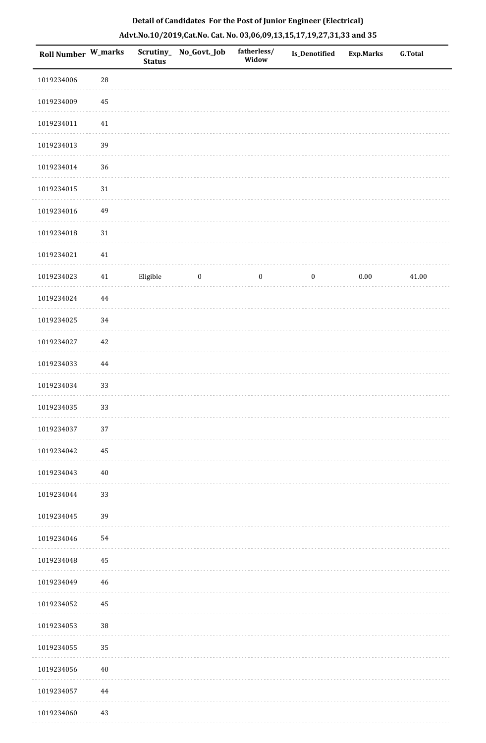| Roll Number W_marks |             | <b>Status</b> | Scrutiny_No_Govt._Job | fatherless/<br>Widow | Is_Denotified    | <b>Exp.Marks</b> | <b>G.Total</b> |
|---------------------|-------------|---------------|-----------------------|----------------------|------------------|------------------|----------------|
| 1019234006          | $\sqrt{28}$ |               |                       |                      |                  |                  |                |
| 1019234009          | 45          |               |                       |                      |                  |                  |                |
| 1019234011          | $41\,$      |               |                       |                      |                  |                  |                |
| 1019234013          | 39          |               |                       |                      |                  |                  |                |
| 1019234014          | 36          |               |                       |                      |                  |                  |                |
| 1019234015          | $31\,$      |               |                       |                      |                  |                  |                |
| 1019234016          | 49          |               |                       |                      |                  |                  |                |
| 1019234018          | $31\,$      |               |                       |                      |                  |                  |                |
| 1019234021          | $41\,$      |               |                       |                      |                  |                  |                |
| 1019234023          | $41\,$      | Eligible      | $\boldsymbol{0}$      | $\boldsymbol{0}$     | $\boldsymbol{0}$ | $0.00\,$         | 41.00          |
| 1019234024          | 44          |               |                       |                      |                  |                  |                |
| 1019234025          | 34          |               |                       |                      |                  |                  |                |
| 1019234027          | $42\,$      |               |                       |                      |                  |                  |                |
| 1019234033          | 44          |               |                       |                      |                  |                  |                |
| 1019234034          | 33          |               |                       |                      |                  |                  |                |
| 1019234035          | 33          |               |                       |                      |                  |                  |                |
| 1019234037          | 37          |               |                       |                      |                  |                  |                |
| 1019234042          | 45          |               |                       |                      |                  |                  |                |
| 1019234043          | $40\,$      |               |                       |                      |                  |                  |                |
| 1019234044          | 33          |               |                       |                      |                  |                  |                |
| 1019234045          | 39          |               |                       |                      |                  |                  |                |
| 1019234046          | 54          |               |                       |                      |                  |                  |                |
| 1019234048          | 45          |               |                       |                      |                  |                  |                |
| 1019234049          | 46          |               |                       |                      |                  |                  |                |
| 1019234052          | $\bf 45$    |               |                       |                      |                  |                  |                |
| 1019234053          | 38          |               |                       |                      |                  |                  |                |
| 1019234055          | 35          |               |                       |                      |                  |                  |                |
| 1019234056          | $40\,$      |               |                       |                      |                  |                  |                |
| 1019234057          | 44          |               |                       |                      |                  |                  |                |
| 1019234060          | $43\,$      |               |                       |                      |                  |                  |                |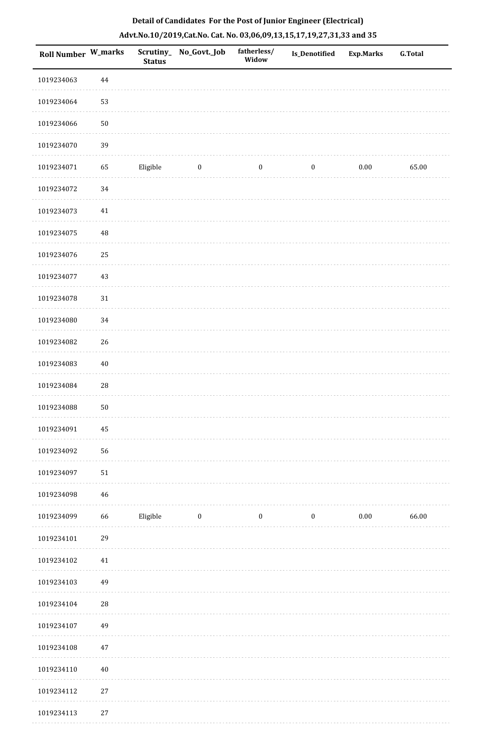| Roll Number W_marks |             | <b>Status</b> | Scrutiny_No_Govt._Job | fatherless/<br>Widow | Is_Denotified    | Exp.Marks | G.Total |
|---------------------|-------------|---------------|-----------------------|----------------------|------------------|-----------|---------|
| 1019234063          | $\bf 44$    |               |                       |                      |                  |           |         |
| 1019234064          | 53          |               |                       |                      |                  |           |         |
| 1019234066          | $50\,$      |               |                       |                      |                  |           |         |
| 1019234070          | 39          |               |                       |                      |                  |           |         |
| 1019234071          | 65          | Eligible      | $\bf{0}$              | $\boldsymbol{0}$     | $\boldsymbol{0}$ | 0.00      | 65.00   |
| 1019234072          | 34          |               |                       |                      |                  |           |         |
| 1019234073          | $41\,$      |               |                       |                      |                  |           |         |
| 1019234075          | $\rm 48$    |               |                       |                      |                  |           |         |
| 1019234076          | 25          |               |                       |                      |                  |           |         |
| 1019234077          | 43          |               |                       |                      |                  |           |         |
| 1019234078          | $31\,$      |               |                       |                      |                  |           |         |
| 1019234080          | 34          |               |                       |                      |                  |           |         |
| 1019234082          | 26          |               |                       |                      |                  |           |         |
| 1019234083          | $40\,$      |               |                       |                      |                  |           |         |
| 1019234084          | ${\bf 28}$  |               |                       |                      |                  |           |         |
| 1019234088          | $50\,$      |               |                       |                      |                  |           |         |
| 1019234091          | 45          |               |                       |                      |                  |           |         |
| 1019234092          | 56          |               |                       |                      |                  |           |         |
| 1019234097          | $51\,$      |               |                       |                      |                  |           |         |
| 1019234098          | $\sqrt{46}$ |               |                       |                      |                  |           |         |
| 1019234099          | 66          | Eligible      | $\bf{0}$              | $\boldsymbol{0}$     | $\boldsymbol{0}$ | $0.00\,$  | 66.00   |
| 1019234101          | 29          |               |                       |                      |                  |           |         |
| 1019234102          | 41          |               |                       |                      |                  |           |         |
| 1019234103          | 49          |               |                       |                      |                  |           |         |
| 1019234104          | 28          |               |                       |                      |                  |           |         |
| 1019234107          | 49          |               |                       |                      |                  |           |         |
| 1019234108          | $47\,$      |               |                       |                      |                  |           |         |
| 1019234110          | $40\,$      |               |                       |                      |                  |           |         |
| 1019234112          | $27\,$      |               |                       |                      |                  |           |         |
| 1019234113          | $27\,$      |               |                       |                      |                  |           |         |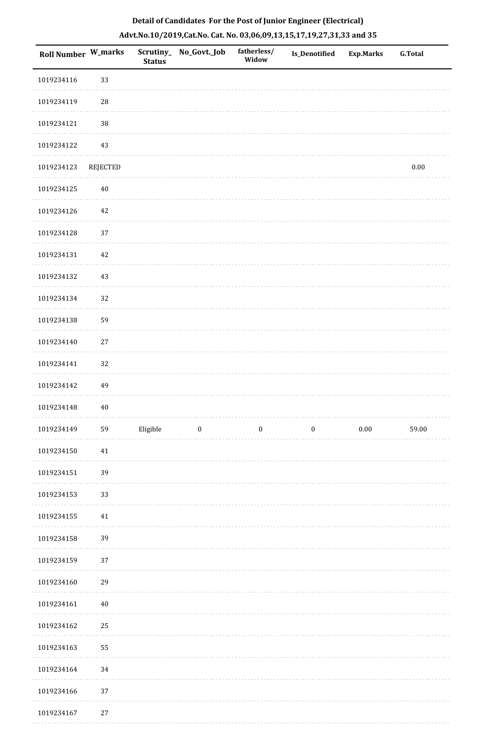| Roll Number W_marks |            | Scrutiny_<br><b>Status</b> | No_Govt._Job            | fatherless/<br>Widow | Is_Denotified    | <b>Exp.Marks</b> | <b>G.Total</b> |
|---------------------|------------|----------------------------|-------------------------|----------------------|------------------|------------------|----------------|
| 1019234116          | 33         |                            |                         |                      |                  |                  |                |
| 1019234119          | ${\bf 28}$ |                            |                         |                      |                  |                  |                |
| 1019234121          | 38         |                            |                         |                      |                  |                  |                |
| 1019234122          | $43\,$     |                            |                         |                      |                  |                  |                |
| 1019234123          | REJECTED   |                            |                         |                      |                  |                  | $0.00\,$       |
| 1019234125          | $40\,$     |                            |                         |                      |                  |                  |                |
| 1019234126          | $42\,$     |                            |                         |                      |                  |                  |                |
| 1019234128          | 37         |                            |                         |                      |                  |                  |                |
| 1019234131          | $42\,$     |                            |                         |                      |                  |                  |                |
| 1019234132          | $43\,$     |                            |                         |                      |                  |                  |                |
| 1019234134          | 32         |                            |                         |                      |                  |                  |                |
| 1019234138          | 59         |                            |                         |                      |                  |                  |                |
| 1019234140          | $27\,$     |                            |                         |                      |                  |                  |                |
| 1019234141          | 32         |                            |                         |                      |                  |                  |                |
| 1019234142          | 49         |                            |                         |                      |                  |                  |                |
| 1019234148          | $40\,$     |                            |                         |                      |                  |                  |                |
| 1019234149          | 59         | Eligible                   | $\overline{\mathbf{0}}$ | $\bf{0}$             | $\boldsymbol{0}$ | $0.00\,$         | 59.00          |
| 1019234150          | 41         |                            |                         |                      |                  |                  |                |
| 1019234151          | 39         |                            |                         |                      |                  |                  |                |
| 1019234153          | 33         |                            |                         |                      |                  |                  |                |
| 1019234155          | $41\,$     |                            |                         |                      |                  |                  |                |
| 1019234158          | 39         |                            |                         |                      |                  |                  |                |
| 1019234159          | 37         |                            |                         |                      |                  |                  |                |
| 1019234160          | 29         |                            |                         |                      |                  |                  |                |
| 1019234161          | $40\,$     |                            |                         |                      |                  |                  |                |
| 1019234162          | 25         |                            |                         |                      |                  |                  |                |
| 1019234163          | 55         |                            |                         |                      |                  |                  |                |
| 1019234164          | $34\,$     |                            |                         |                      |                  |                  |                |
| 1019234166          | 37         |                            |                         |                      |                  |                  |                |
|                     | $\sim$     |                            |                         |                      |                  |                  |                |

# **Detail of Candidates For the Post of Junior Engineer (Electrical) Advt.No.10/2019,Cat.No. Cat. No. 03,06,09,13,15,17,19,27,31,33 and 35**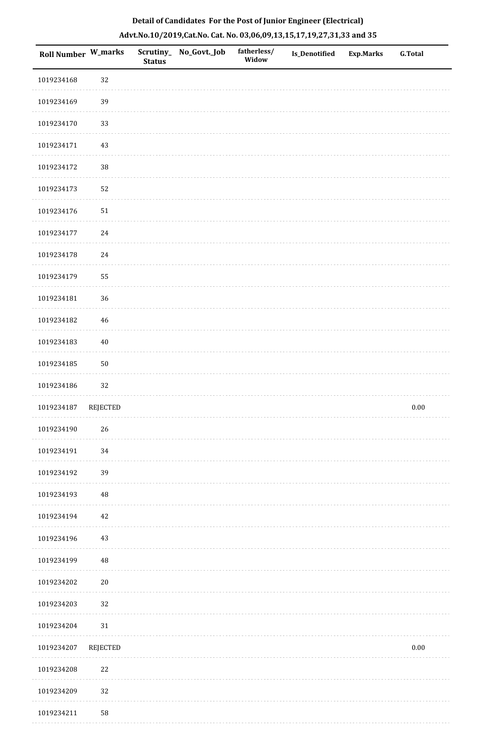| <b>Roll Number W_marks</b> |                 | <b>Status</b> | Scrutiny_ No_Govt._Job | fatherless/<br>Widow | Is_Denotified | <b>Exp.Marks</b> | <b>G.Total</b> |
|----------------------------|-----------------|---------------|------------------------|----------------------|---------------|------------------|----------------|
| 1019234168                 | 32              |               |                        |                      |               |                  |                |
| 1019234169                 | 39              |               |                        |                      |               |                  |                |
| 1019234170                 | 33              |               |                        |                      |               |                  |                |
| 1019234171                 | 43              |               |                        |                      |               |                  |                |
| 1019234172                 | $38\,$          |               |                        |                      |               |                  |                |
| 1019234173                 | 52              |               |                        |                      |               |                  |                |
| 1019234176                 | 51              |               |                        |                      |               |                  |                |
| 1019234177                 | 24              |               |                        |                      |               |                  |                |
| 1019234178                 | 24              |               |                        |                      |               |                  |                |
| 1019234179                 | 55              |               |                        |                      |               |                  |                |
| 1019234181                 | 36              |               |                        |                      |               |                  |                |
| 1019234182                 | 46              |               |                        |                      |               |                  |                |
| 1019234183                 | $40\,$          |               |                        |                      |               |                  |                |
| 1019234185                 | $50\,$          |               |                        |                      |               |                  |                |
| 1019234186                 | 32              |               |                        |                      |               |                  |                |
| 1019234187                 | <b>REJECTED</b> |               |                        |                      |               |                  | $0.00\,$       |
| 1019234190                 | 26              |               |                        |                      |               |                  |                |
| 1019234191                 | 34              |               |                        |                      |               |                  |                |
| 1019234192                 | 39              |               |                        |                      |               |                  |                |
| 1019234193                 | $\bf 48$        |               |                        |                      |               |                  |                |
| 1019234194                 | 42              |               |                        |                      |               |                  |                |
| 1019234196                 | 43              |               |                        |                      |               |                  |                |
| 1019234199                 | $\rm 48$        |               |                        |                      |               |                  |                |
| 1019234202                 | $20\,$          |               |                        |                      |               |                  |                |
| 1019234203                 | 32              |               |                        |                      |               |                  |                |
| 1019234204                 | $31\,$          |               |                        |                      |               |                  |                |
| 1019234207                 | REJECTED        |               |                        |                      |               |                  | $0.00\,$       |
| 1019234208                 | 22              |               |                        |                      |               |                  |                |
| 1019234209                 | 32              |               |                        |                      |               |                  |                |
| 1019234211                 | ${\bf 58}$      |               |                        |                      |               |                  |                |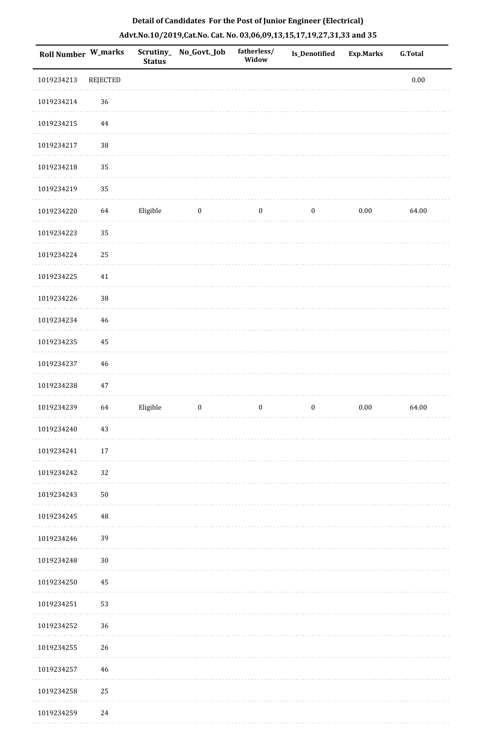| Roll Number W_marks |                 | <b>Status</b> | Scrutiny_No_Govt._Job | fatherless/<br>Widow | <b>Is_Denotified</b> | Exp.Marks | <b>G.Total</b> |
|---------------------|-----------------|---------------|-----------------------|----------------------|----------------------|-----------|----------------|
| 1019234213          | <b>REJECTED</b> |               |                       |                      |                      |           | $0.00\,$       |
| 1019234214          | 36              |               |                       |                      |                      |           |                |
| 1019234215          | $\bf 44$        |               |                       |                      |                      |           |                |
| 1019234217          | 38              |               |                       |                      |                      |           |                |
| 1019234218          | 35              |               |                       |                      |                      |           |                |
| 1019234219          | 35              |               |                       |                      |                      |           |                |
| 1019234220          | 64              | Eligible      | $\boldsymbol{0}$      | $\boldsymbol{0}$     | $\boldsymbol{0}$     | $0.00\,$  | 64.00          |
| 1019234223          | 35              |               |                       |                      |                      |           |                |
| 1019234224          | 25              |               |                       |                      |                      |           |                |
| 1019234225          | $41\,$          |               |                       |                      |                      |           |                |
| 1019234226          | 38              |               |                       |                      |                      |           |                |
| 1019234234          | 46              |               |                       |                      |                      |           |                |
| 1019234235          | 45              |               |                       |                      |                      |           |                |
| 1019234237          | 46              |               |                       |                      |                      |           |                |
| 1019234238          | $47\,$          |               |                       |                      |                      |           |                |
| 1019234239          | 64              | Eligible      | $\boldsymbol{0}$      | $\boldsymbol{0}$     | $\boldsymbol{0}$     | $0.00\,$  | 64.00          |
| 1019234240          | $43\,$          |               |                       |                      |                      |           |                |
| 1019234241          | 17              |               |                       |                      |                      |           |                |
| 1019234242          | 32              |               |                       |                      |                      |           |                |
| 1019234243          | $50\,$          |               |                       |                      |                      |           |                |
| 1019234245          | 48              |               |                       |                      |                      |           |                |
| 1019234246          | 39              |               |                       |                      |                      |           |                |
| 1019234248          | $30\,$          |               |                       |                      |                      |           |                |
| 1019234250          | 45              |               |                       |                      |                      |           |                |
| 1019234251          | 53              |               |                       |                      |                      |           |                |
| 1019234252          | 36              |               |                       |                      |                      |           |                |
| 1019234255          | 26              |               |                       |                      |                      |           |                |
| 1019234257          | $46\,$          |               |                       |                      |                      |           |                |
| 1019234258          | 25              |               |                       |                      |                      |           |                |

 $\sim$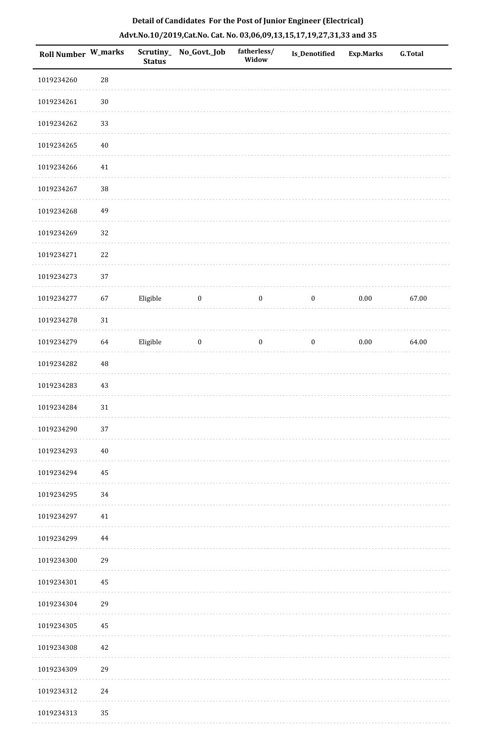| Roll Number W_marks |            | <b>Status</b> | Scrutiny_No_Govt._Job | fatherless/<br>Widow | <b>Is_Denotified</b> | <b>Exp.Marks</b> | <b>G.Total</b> |
|---------------------|------------|---------------|-----------------------|----------------------|----------------------|------------------|----------------|
| 1019234260          | ${\bf 28}$ |               |                       |                      |                      |                  |                |
| 1019234261          | $30\,$     |               |                       |                      |                      |                  |                |
| 1019234262          | 33         |               |                       |                      |                      |                  |                |
| 1019234265          | $40\,$     |               |                       |                      |                      |                  |                |
| 1019234266          | $41\,$     |               |                       |                      |                      |                  |                |
| 1019234267          | 38         |               |                       |                      |                      |                  |                |
| 1019234268          | 49         |               |                       |                      |                      |                  |                |
| 1019234269          | 32         |               |                       |                      |                      |                  |                |
| 1019234271          | 22         |               |                       |                      |                      |                  |                |
| 1019234273          | 37         |               |                       |                      |                      |                  |                |
| 1019234277          | 67         | Eligible      | $\bf{0}$              | $\boldsymbol{0}$     | $\boldsymbol{0}$     | $0.00\,$         | 67.00          |
| 1019234278          | $31\,$     |               |                       |                      |                      |                  |                |
| 1019234279          | 64         | Eligible      | $\boldsymbol{0}$      | $\boldsymbol{0}$     | $\boldsymbol{0}$     | 0.00             | 64.00          |
| 1019234282          | 48         |               |                       |                      |                      |                  |                |
| 1019234283          | $43\,$     |               |                       |                      |                      |                  |                |
| 1019234284          | $31\,$     |               |                       |                      |                      |                  |                |
| 1019234290          | 37         |               |                       |                      |                      |                  |                |
| 1019234293          | $40\,$     |               |                       |                      |                      |                  |                |
| 1019234294          | 45         |               |                       |                      |                      |                  |                |
| 1019234295          | 34         |               |                       |                      |                      |                  |                |
| 1019234297          | 41         |               |                       |                      |                      |                  |                |
| 1019234299          | 44         |               |                       |                      |                      |                  |                |
| 1019234300          | 29         |               |                       |                      |                      |                  |                |
| 1019234301          | 45         |               |                       |                      |                      |                  |                |
| 1019234304          | 29         |               |                       |                      |                      |                  |                |
| 1019234305          | 45         |               |                       |                      |                      |                  |                |
| 1019234308          | 42         |               |                       |                      |                      |                  |                |
| 1019234309          | 29         |               |                       |                      |                      |                  |                |
| 1019234312          | 24         |               |                       |                      |                      |                  |                |
| 1019234313          | 35         |               |                       |                      |                      |                  |                |

 $\mathcal{L}$  . The same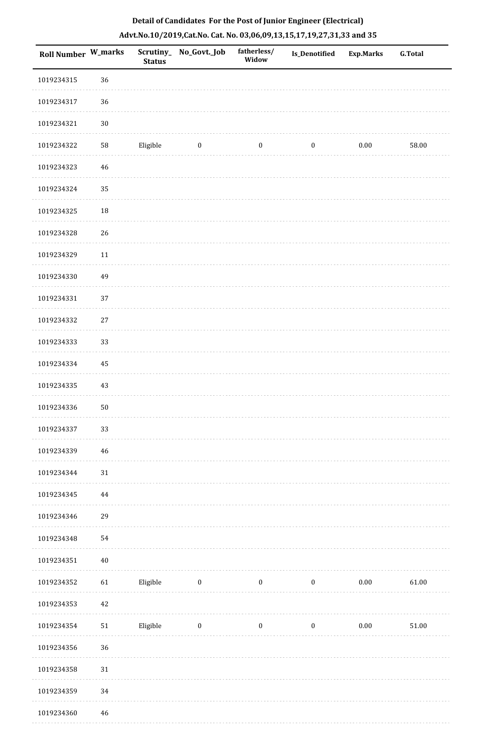| <b>Roll Number W_marks</b> |        | <b>Status</b> | Scrutiny_ No_Govt._Job | fatherless/<br>Widow | Is_Denotified    | <b>Exp.Marks</b> | <b>G.Total</b> |
|----------------------------|--------|---------------|------------------------|----------------------|------------------|------------------|----------------|
| 1019234315                 | 36     |               |                        |                      |                  |                  |                |
| 1019234317                 | 36     |               |                        |                      |                  |                  |                |
| 1019234321                 | $30\,$ |               |                        |                      |                  |                  |                |
| 1019234322                 | 58     | Eligible      | $\boldsymbol{0}$       | $\boldsymbol{0}$     | $\boldsymbol{0}$ | $0.00\,$         | 58.00          |
| 1019234323                 | 46     |               |                        |                      |                  |                  |                |
| 1019234324                 | 35     |               |                        |                      |                  |                  |                |
| 1019234325                 | 18     |               |                        |                      |                  |                  |                |
| 1019234328                 | 26     |               |                        |                      |                  |                  |                |
| 1019234329                 | $11\,$ |               |                        |                      |                  |                  |                |
| 1019234330                 | 49     |               |                        |                      |                  |                  |                |
| 1019234331                 | 37     |               |                        |                      |                  |                  |                |
| 1019234332                 | $27\,$ |               |                        |                      |                  |                  |                |
| 1019234333                 | 33     |               |                        |                      |                  |                  |                |
| 1019234334                 | 45     |               |                        |                      |                  |                  |                |
| 1019234335                 | 43     |               |                        |                      |                  |                  |                |
| 1019234336                 | 50     |               |                        |                      |                  |                  |                |
| 1019234337                 | 33     |               |                        |                      |                  |                  |                |
| 1019234339                 | 46     |               |                        |                      |                  |                  |                |
| 1019234344                 | 31     |               |                        |                      |                  |                  |                |
| 1019234345                 | 44     |               |                        |                      |                  |                  |                |
| 1019234346                 | 29     |               |                        |                      |                  |                  |                |
| 1019234348                 | 54     |               |                        |                      |                  |                  |                |
| 1019234351                 | $40\,$ |               |                        |                      |                  |                  |                |
| 1019234352                 | 61     | Eligible      | $\bf{0}$               | $\boldsymbol{0}$     | $\boldsymbol{0}$ | $0.00\,$         | 61.00          |
| 1019234353                 | 42     |               |                        |                      |                  |                  |                |
| 1019234354                 | $51\,$ | Eligible      | $\bf{0}$               | $\boldsymbol{0}$     | $\boldsymbol{0}$ | $0.00\,$         | 51.00          |
| 1019234356                 | 36     |               |                        |                      |                  |                  |                |
| 1019234358                 | 31     |               |                        |                      |                  |                  |                |
| 1019234359                 | 34     |               |                        |                      |                  |                  |                |
| 1019234360                 | 46     |               |                        |                      |                  |                  |                |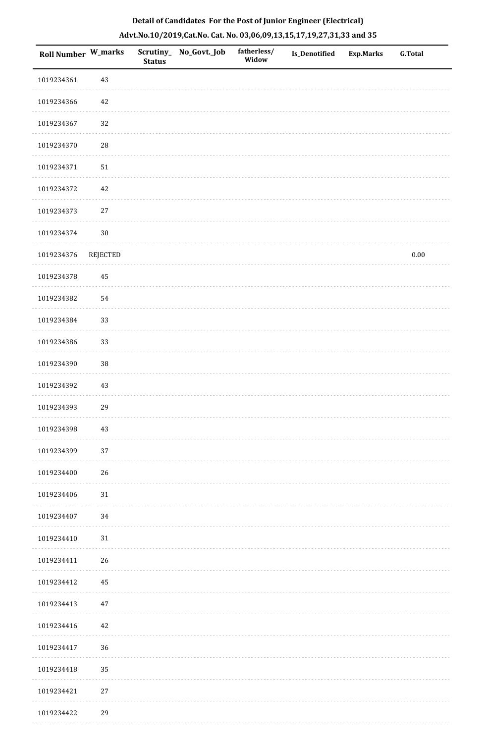| Roll Number W_marks |                 | <b>Status</b> | Scrutiny_ No_Govt._Job | fatherless/<br>Widow | Is_Denotified | <b>Exp.Marks</b> | <b>G.Total</b> |
|---------------------|-----------------|---------------|------------------------|----------------------|---------------|------------------|----------------|
| 1019234361          | $43\,$          |               |                        |                      |               |                  |                |
| 1019234366          | 42              |               |                        |                      |               |                  |                |
| 1019234367          | 32              |               |                        |                      |               |                  |                |
| 1019234370          | ${\bf 28}$      |               |                        |                      |               |                  |                |
| 1019234371          | $51\,$          |               |                        |                      |               |                  |                |
| 1019234372          | 42              |               |                        |                      |               |                  |                |
| 1019234373          | 27              |               |                        |                      |               |                  |                |
| 1019234374          | $30\,$          |               |                        |                      |               |                  |                |
| 1019234376          | <b>REJECTED</b> |               |                        |                      |               |                  | $0.00\,$       |
| 1019234378          | $\rm 45$        |               |                        |                      |               |                  |                |
| 1019234382          | 54              |               |                        |                      |               |                  |                |
| 1019234384          | 33              |               |                        |                      |               |                  |                |
| 1019234386          | 33              |               |                        |                      |               |                  |                |
| 1019234390          | 38              |               |                        |                      |               |                  |                |
| 1019234392          | 43              |               |                        |                      |               |                  |                |
| 1019234393          | 29              |               |                        |                      |               |                  |                |
| 1019234398          | $43\,$          |               |                        |                      |               |                  |                |
| 1019234399          | 37              |               |                        |                      |               |                  |                |
| 1019234400          | 26              |               |                        |                      |               |                  |                |
| 1019234406          | $31\,$          |               |                        |                      |               |                  |                |
| 1019234407          | $34\,$          |               |                        |                      |               |                  |                |
| 1019234410          | $31\,$          |               |                        |                      |               |                  |                |
| 1019234411          | 26              |               |                        |                      |               |                  |                |
| 1019234412          | 45              |               |                        |                      |               |                  |                |
| 1019234413          | 47              |               |                        |                      |               |                  |                |
| 1019234416          | 42              |               |                        |                      |               |                  |                |
| 1019234417          | 36              |               |                        |                      |               |                  |                |
| 1019234418          | 35              |               |                        |                      |               |                  |                |
| 1019234421          | $27\,$          |               |                        |                      |               |                  |                |
| 1019234422          | 29              |               |                        |                      |               |                  |                |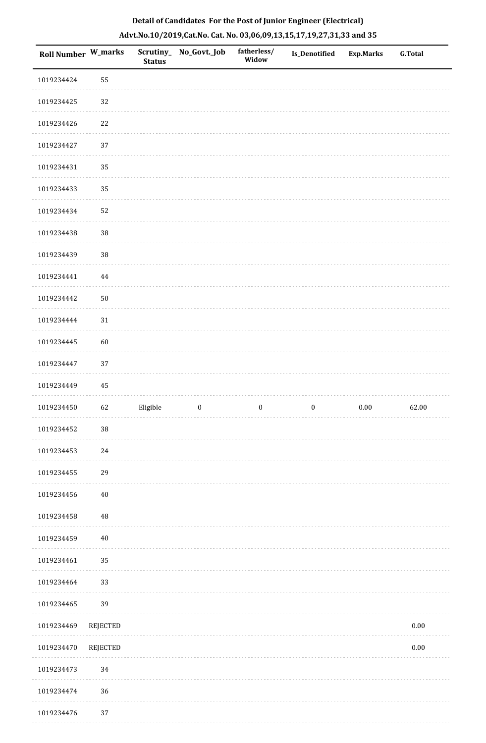| Roll Number W_marks |                 | <b>Status</b> | Scrutiny_No_Govt._Job | fatherless/<br>Widow | <b>Is_Denotified</b> | <b>Exp.Marks</b> | <b>G.Total</b> |
|---------------------|-----------------|---------------|-----------------------|----------------------|----------------------|------------------|----------------|
| 1019234424          | 55              |               |                       |                      |                      |                  |                |
| 1019234425          | 32              |               |                       |                      |                      |                  |                |
| 1019234426          | 22              |               |                       |                      |                      |                  |                |
| 1019234427          | 37              |               |                       |                      |                      |                  |                |
| 1019234431          | 35              |               |                       |                      |                      |                  |                |
| 1019234433          | 35              |               |                       |                      |                      |                  |                |
| 1019234434          | 52              |               |                       |                      |                      |                  |                |
| 1019234438          | 38              |               |                       |                      |                      |                  |                |
| 1019234439          | $38\,$          |               |                       |                      |                      |                  |                |
| 1019234441          | $\bf 44$        |               |                       |                      |                      |                  |                |
| 1019234442          | ${\bf 50}$      |               |                       |                      |                      |                  |                |
| 1019234444          | 31              |               |                       |                      |                      |                  |                |
| 1019234445          | 60              |               |                       |                      |                      |                  |                |
| 1019234447          | 37              |               |                       |                      |                      |                  |                |
| 1019234449          | 45              |               |                       |                      |                      |                  |                |
| 1019234450          | 62              | Eligible      | $\boldsymbol{0}$      | $\boldsymbol{0}$     | $\boldsymbol{0}$     | $0.00\,$         | 62.00          |
| 1019234452          | $38\,$          |               |                       |                      |                      |                  |                |
| 1019234453          | $24\,$          |               |                       |                      |                      |                  |                |
| 1019234455          | 29              |               |                       |                      |                      |                  |                |
| 1019234456          | $40\,$          |               |                       |                      |                      |                  |                |
| 1019234458          | $\rm 48$        |               |                       |                      |                      |                  |                |
| 1019234459          | $40\,$          |               |                       |                      |                      |                  |                |
| 1019234461          | 35              |               |                       |                      |                      |                  |                |
| 1019234464          | 33              |               |                       |                      |                      |                  |                |
| 1019234465          | 39              |               |                       |                      |                      |                  |                |
| 1019234469          | <b>REJECTED</b> |               |                       |                      |                      |                  | $0.00\,$       |
| 1019234470          | <b>REJECTED</b> |               |                       |                      |                      |                  | $0.00\,$       |
| 1019234473          | 34              |               |                       |                      |                      |                  |                |
| 1019234474          | $36\,$          |               |                       |                      |                      |                  |                |
| 1010224476          | 27              |               |                       |                      |                      |                  |                |

## **Detail of Candidates For the Post of Junior Engineer (Electrical) Advt.No.10/2019,Cat.No. Cat. No. 03,06,09,13,15,17,19,27,31,33 and 35**

 1019234476 37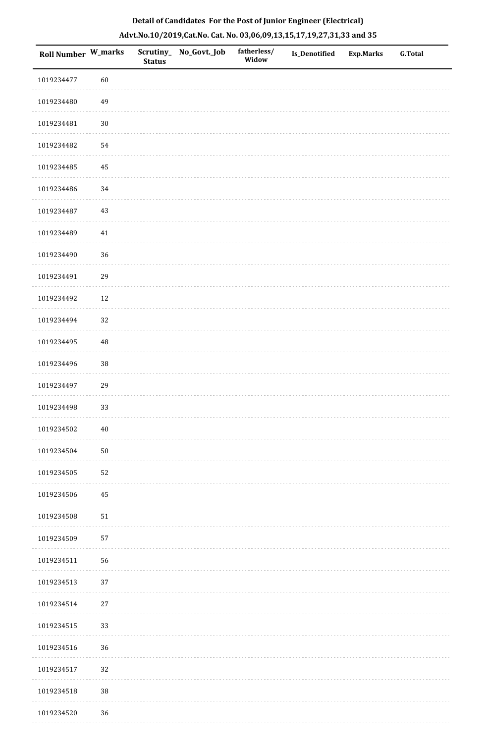| Roll Number W_marks |            | <b>Status</b> | Scrutiny_No_Govt._Job | fatherless/<br>Widow | Is_Denotified | <b>Exp.Marks</b> | <b>G.Total</b> |
|---------------------|------------|---------------|-----------------------|----------------------|---------------|------------------|----------------|
| 1019234477          | 60         |               |                       |                      |               |                  |                |
| 1019234480          | 49         |               |                       |                      |               |                  |                |
| 1019234481          | $30\,$     |               |                       |                      |               |                  |                |
| 1019234482          | 54         |               |                       |                      |               |                  |                |
| 1019234485          | 45         |               |                       |                      |               |                  |                |
| 1019234486          | 34         |               |                       |                      |               |                  |                |
| 1019234487          | 43         |               |                       |                      |               |                  |                |
| 1019234489          | 41         |               |                       |                      |               |                  |                |
| 1019234490          | 36         |               |                       |                      |               |                  |                |
| 1019234491          | 29         |               |                       |                      |               |                  |                |
| 1019234492          | 12         |               |                       |                      |               |                  |                |
| 1019234494          | 32         |               |                       |                      |               |                  |                |
| 1019234495          | 48         |               |                       |                      |               |                  |                |
| 1019234496          | $38\,$     |               |                       |                      |               |                  |                |
| 1019234497          | 29         |               |                       |                      |               |                  |                |
| 1019234498          | 33         |               |                       |                      |               |                  |                |
| 1019234502          | 40         |               |                       |                      |               |                  |                |
| 1019234504          | ${\bf 50}$ |               |                       |                      |               |                  |                |
| 1019234505          | 52         |               |                       |                      |               |                  |                |
| 1019234506          | 45         |               |                       |                      |               |                  |                |
| 1019234508          | 51         |               |                       |                      |               |                  |                |
| 1019234509          | 57         |               |                       |                      |               |                  |                |
| 1019234511          | 56         |               |                       |                      |               |                  |                |
| 1019234513          | 37         |               |                       |                      |               |                  |                |
| 1019234514          | $27\,$     |               |                       |                      |               |                  |                |
| 1019234515          | 33         |               |                       |                      |               |                  |                |
| 1019234516          | 36         |               |                       |                      |               |                  |                |
| 1019234517          | 32         |               |                       |                      |               |                  |                |
| 1019234518          | $38\,$     |               |                       |                      |               |                  |                |
| 1019234520          | 36         |               |                       |                      |               |                  |                |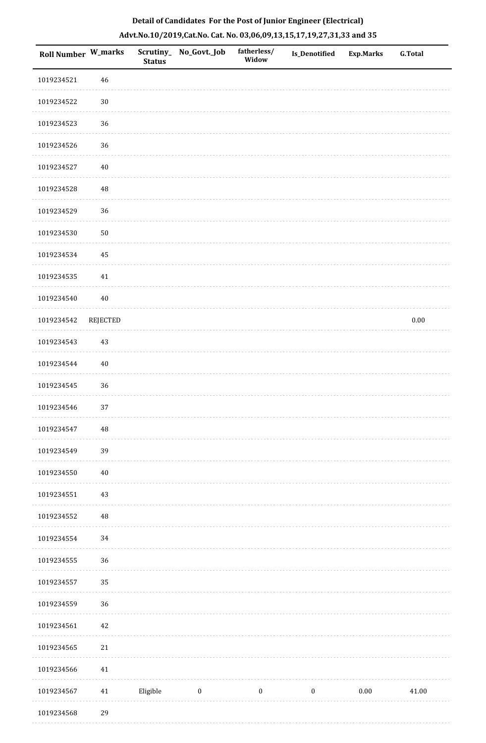| Roll Number W_marks |                 | <b>Status</b> | Scrutiny_No_Govt._Job | fatherless/<br>Widow | Is_Denotified    | Exp.Marks | <b>G.Total</b> |
|---------------------|-----------------|---------------|-----------------------|----------------------|------------------|-----------|----------------|
| 1019234521          | 46              |               |                       |                      |                  |           |                |
| 1019234522          | $30\,$          |               |                       |                      |                  |           |                |
| 1019234523          | 36              |               |                       |                      |                  |           |                |
| 1019234526          | 36              |               |                       |                      |                  |           |                |
| 1019234527          | 40              |               |                       |                      |                  |           |                |
| 1019234528          | $\rm 48$        |               |                       |                      |                  |           |                |
| 1019234529          | 36              |               |                       |                      |                  |           |                |
| 1019234530          | $50\,$          |               |                       |                      |                  |           |                |
| 1019234534          | 45              |               |                       |                      |                  |           |                |
| 1019234535          | 41              |               |                       |                      |                  |           |                |
| 1019234540          | 40              |               |                       |                      |                  |           |                |
| 1019234542          | <b>REJECTED</b> |               |                       |                      |                  |           | $0.00\,$       |
| 1019234543          | 43              |               |                       |                      |                  |           |                |
| 1019234544          | $40\,$          |               |                       |                      |                  |           |                |
| 1019234545          | 36              |               |                       |                      |                  |           |                |
| 1019234546          | 37              |               |                       |                      |                  |           |                |
| 1019234547          | $\rm 48$        |               |                       |                      |                  |           |                |
| 1019234549          | 39              |               |                       |                      |                  |           |                |
| 1019234550          | $40\,$          |               |                       |                      |                  |           |                |
| 1019234551          | 43              |               |                       |                      |                  |           |                |
| 1019234552          | $\rm 48$        |               |                       |                      |                  |           |                |
| 1019234554          | 34              |               |                       |                      |                  |           |                |
| 1019234555          | 36              |               |                       |                      |                  |           |                |
| 1019234557          | 35              |               |                       |                      |                  |           |                |
| 1019234559          | 36              |               |                       |                      |                  |           |                |
| 1019234561          | $42\,$          |               |                       |                      |                  |           |                |
| 1019234565          | 21              |               |                       |                      |                  |           |                |
| 1019234566          | 41              |               |                       |                      |                  |           |                |
| 1019234567          | 41              | Eligible      | $\boldsymbol{0}$      | $\boldsymbol{0}$     | $\boldsymbol{0}$ | $0.00\,$  | 41.00          |
|                     |                 |               |                       |                      |                  |           |                |

1019234568 29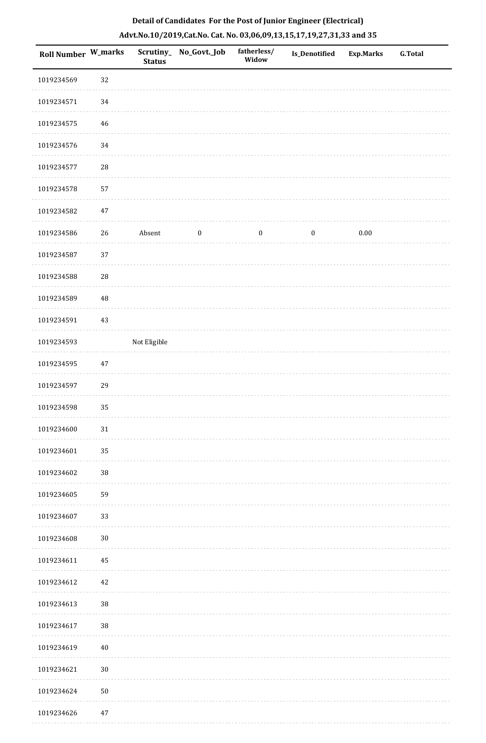|  | Detail of Candidates For the Post of Junior Engineer (Electrical)     |  |
|--|-----------------------------------------------------------------------|--|
|  | Advt.No.10/2019,Cat.No. Cat. No. 03,06,09,13,15,17,19,27,31,33 and 35 |  |

| <b>Roll Number W_marks</b> |             | <b>Status</b> | Scrutiny_ No_Govt._Job | fatherless/<br>Widow | Is_Denotified | <b>Exp.Marks</b> | <b>G.Total</b> |
|----------------------------|-------------|---------------|------------------------|----------------------|---------------|------------------|----------------|
| 1019234569                 | 32          |               |                        |                      |               |                  |                |
| 1019234571                 | $34\,$      |               |                        |                      |               |                  |                |
| 1019234575                 | 46          |               |                        |                      |               |                  |                |
| 1019234576                 | 34          |               |                        |                      |               |                  |                |
| 1019234577                 | ${\bf 28}$  |               |                        |                      |               |                  |                |
| 1019234578                 | 57          |               |                        |                      |               |                  |                |
| 1019234582                 | $47\,$      |               |                        |                      |               |                  |                |
| 1019234586                 | $26\,$      | Absent        | $\boldsymbol{0}$       | $\boldsymbol{0}$     | $\pmb{0}$     | $0.00\,$         |                |
| 1019234587                 | 37          |               |                        |                      |               |                  |                |
| 1019234588                 | 28          |               |                        |                      |               |                  |                |
| 1019234589                 | $\sqrt{48}$ |               |                        |                      |               |                  |                |
| 1019234591                 | $43\,$      |               |                        |                      |               |                  |                |
| 1019234593                 |             | Not Eligible  |                        |                      |               |                  |                |
| 1019234595                 | $47\,$      |               |                        |                      |               |                  |                |
| 1019234597                 | 29          |               |                        |                      |               |                  |                |
| 1019234598                 | 35          |               |                        |                      |               |                  |                |
| 1019234600                 | $31\,$      |               |                        |                      |               |                  |                |
| 1019234601                 | 35          |               |                        |                      |               |                  |                |
| 1019234602                 | 38          |               |                        |                      |               |                  |                |
| 1019234605                 | 59          |               |                        |                      |               |                  |                |
| 1019234607                 | 33          |               |                        |                      |               |                  |                |
| 1019234608                 | $30\,$      |               |                        |                      |               |                  |                |
| 1019234611                 | 45          |               |                        |                      |               |                  |                |
| 1019234612                 | 42          |               |                        |                      |               |                  |                |
| 1019234613                 | 38          |               |                        |                      |               |                  |                |
| 1019234617                 | 38          |               |                        |                      |               |                  |                |
| 1019234619                 | $40\,$      |               |                        |                      |               |                  |                |
| 1019234621                 | $30\,$      |               |                        |                      |               |                  |                |
| 1019234624                 | $50\,$      |               |                        |                      |               |                  |                |
| 1019234626                 | $47\,$      |               |                        |                      |               |                  |                |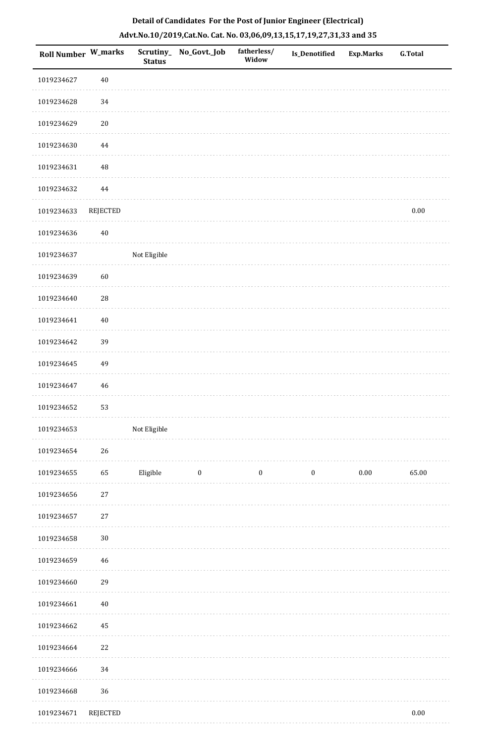|  | Detail of Candidates For the Post of Junior Engineer (Electrical)     |  |
|--|-----------------------------------------------------------------------|--|
|  | Advt.No.10/2019,Cat.No. Cat. No. 03,06,09,13,15,17,19,27,31,33 and 35 |  |

| <b>Roll Number W_marks</b> |                 | <b>Status</b> | Scrutiny_ No_Govt._Job | fatherless/<br>Widow | Is_Denotified    | <b>Exp.Marks</b> | <b>G.Total</b> |
|----------------------------|-----------------|---------------|------------------------|----------------------|------------------|------------------|----------------|
| 1019234627                 | $40\,$          |               |                        |                      |                  |                  |                |
| 1019234628                 | 34              |               |                        |                      |                  |                  |                |
| 1019234629                 | $20\,$          |               |                        |                      |                  |                  |                |
| 1019234630                 | $\bf 44$        |               |                        |                      |                  |                  |                |
| 1019234631                 | $\rm 48$        |               |                        |                      |                  |                  |                |
| 1019234632                 | 44              |               |                        |                      |                  |                  |                |
| 1019234633                 | <b>REJECTED</b> |               |                        |                      |                  |                  | 0.00           |
| 1019234636                 | $40\,$          |               |                        |                      |                  |                  |                |
| 1019234637                 |                 | Not Eligible  |                        |                      |                  |                  |                |
| 1019234639                 | 60              |               |                        |                      |                  |                  |                |
| 1019234640                 | ${\bf 28}$      |               |                        |                      |                  |                  |                |
| 1019234641                 | $40\,$          |               |                        |                      |                  |                  |                |
| 1019234642                 | 39              |               |                        |                      |                  |                  |                |
| 1019234645                 | 49              |               |                        |                      |                  |                  |                |
| 1019234647                 | 46              |               |                        |                      |                  |                  |                |
| 1019234652                 | 53              |               |                        |                      |                  |                  |                |
| 1019234653                 |                 | Not Eligible  |                        |                      |                  |                  |                |
| 1019234654                 | 26              |               |                        |                      |                  |                  |                |
| 1019234655                 | 65              | Eligible      | $\boldsymbol{0}$       | $\boldsymbol{0}$     | $\boldsymbol{0}$ | $0.00\,$         | 65.00          |
| 1019234656                 | $27\,$          |               |                        |                      |                  |                  |                |
| 1019234657                 | $27\,$          |               |                        |                      |                  |                  |                |
| 1019234658                 | $30\,$          |               |                        |                      |                  |                  |                |
| 1019234659                 | $46\,$          |               |                        |                      |                  |                  |                |
| 1019234660                 | 29              |               |                        |                      |                  |                  |                |
| 1019234661                 | $40\,$          |               |                        |                      |                  |                  |                |
| 1019234662                 | 45              |               |                        |                      |                  |                  |                |
| 1019234664                 | 22              |               |                        |                      |                  |                  |                |
| 1019234666                 | 34              |               |                        |                      |                  |                  |                |
| 1019234668                 | 36              |               |                        |                      |                  |                  |                |
| 1019234671                 | <b>REJECTED</b> |               |                        |                      |                  |                  | $0.00\,$       |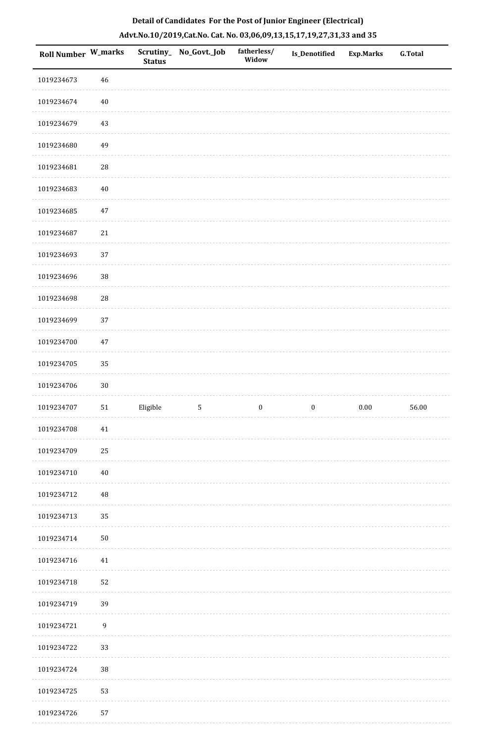| Roll Number W_marks |                  | Scrutiny_<br><b>Status</b> | No_Govt._Job | fatherless/<br>Widow | Is_Denotified    | <b>Exp.Marks</b> | <b>G.Total</b> |
|---------------------|------------------|----------------------------|--------------|----------------------|------------------|------------------|----------------|
| 1019234673          | $46\,$           |                            |              |                      |                  |                  |                |
| 1019234674          | $40\,$           |                            |              |                      |                  |                  |                |
| 1019234679          | $43\,$           |                            |              |                      |                  |                  |                |
| 1019234680          | 49               |                            |              |                      |                  |                  |                |
| 1019234681          | $\sqrt{28}$      |                            |              |                      |                  |                  |                |
| 1019234683          | $40\,$           |                            |              |                      |                  |                  |                |
| 1019234685          | $47\,$           |                            |              |                      |                  |                  |                |
| 1019234687          | $21\,$           |                            |              |                      |                  |                  |                |
| 1019234693          | 37               |                            |              |                      |                  |                  |                |
| 1019234696          | $38\,$           |                            |              |                      |                  |                  |                |
| 1019234698          | ${\bf 28}$       |                            |              |                      |                  |                  |                |
| 1019234699          | 37               |                            |              |                      |                  |                  |                |
| 1019234700          | $47\,$           |                            |              |                      |                  |                  |                |
| 1019234705          | 35               |                            |              |                      |                  |                  |                |
| 1019234706          | $30\,$           |                            |              |                      |                  |                  |                |
| 1019234707          | 51               | Eligible                   | $\mathsf S$  | $\boldsymbol{0}$     | $\boldsymbol{0}$ | $0.00\,$         | 56.00          |
| 1019234708          | $41\,$           |                            |              |                      |                  |                  |                |
| 1019234709          | 25               |                            |              |                      |                  |                  |                |
| 1019234710          | $40\,$           |                            |              |                      |                  |                  |                |
| 1019234712          | $\rm 48$         |                            |              |                      |                  |                  |                |
| 1019234713          | 35               |                            |              |                      |                  |                  |                |
| 1019234714          | $50\,$           |                            |              |                      |                  |                  |                |
| 1019234716          | 41               |                            |              |                      |                  |                  |                |
| 1019234718          | 52               |                            |              |                      |                  |                  |                |
| 1019234719          | 39               |                            |              |                      |                  |                  |                |
| 1019234721          | $\boldsymbol{9}$ |                            |              |                      |                  |                  |                |
| 1019234722          | 33               |                            |              |                      |                  |                  |                |
| 1019234724          | 38               |                            |              |                      |                  |                  |                |
| 1019234725          | 53               |                            |              |                      |                  |                  |                |
| 1019234726          | 57               |                            |              |                      |                  |                  |                |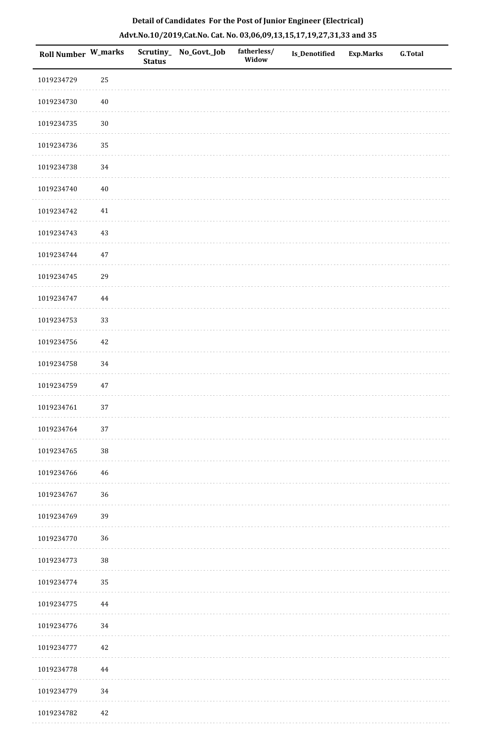| <b>Roll Number W_marks</b> |        | <b>Status</b> | Scrutiny_ No_Govt._Job | fatherless/<br>Widow | Is_Denotified | <b>Exp.Marks</b> | <b>G.Total</b> |
|----------------------------|--------|---------------|------------------------|----------------------|---------------|------------------|----------------|
| 1019234729                 | 25     |               |                        |                      |               |                  |                |
| 1019234730                 | $40\,$ |               |                        |                      |               |                  |                |
| 1019234735                 | $30\,$ |               |                        |                      |               |                  |                |
| 1019234736                 | 35     |               |                        |                      |               |                  |                |
| 1019234738                 | 34     |               |                        |                      |               |                  |                |
| 1019234740                 | $40\,$ |               |                        |                      |               |                  |                |
| 1019234742                 | 41     |               |                        |                      |               |                  |                |
| 1019234743                 | 43     |               |                        |                      |               |                  |                |
| 1019234744                 | $47\,$ |               |                        |                      |               |                  |                |
| 1019234745                 | 29     |               |                        |                      |               |                  |                |
| 1019234747                 | 44     |               |                        |                      |               |                  |                |
| 1019234753                 | 33     |               |                        |                      |               |                  |                |
| 1019234756                 | 42     |               |                        |                      |               |                  |                |
| 1019234758                 | 34     |               |                        |                      |               |                  |                |
| 1019234759                 | $47\,$ |               |                        |                      |               |                  |                |
| 1019234761                 | 37     |               |                        |                      |               |                  |                |
| 1019234764                 | $37\,$ |               |                        |                      |               |                  |                |
| 1019234765                 | $38\,$ |               |                        |                      |               |                  |                |
| 1019234766                 | 46     |               |                        |                      |               |                  |                |
| 1019234767                 | 36     |               |                        |                      |               |                  |                |
| 1019234769                 | 39     |               |                        |                      |               |                  |                |
| 1019234770                 | 36     |               |                        |                      |               |                  |                |
| 1019234773                 | $38\,$ |               |                        |                      |               |                  |                |
| 1019234774                 | 35     |               |                        |                      |               |                  |                |
| 1019234775                 | 44     |               |                        |                      |               |                  |                |
| 1019234776                 | 34     |               |                        |                      |               |                  |                |
| 1019234777                 | 42     |               |                        |                      |               |                  |                |
| 1019234778                 | 44     |               |                        |                      |               |                  |                |
| 1019234779                 | 34     |               |                        |                      |               |                  |                |
| 1019234782                 | 42     |               |                        |                      |               |                  |                |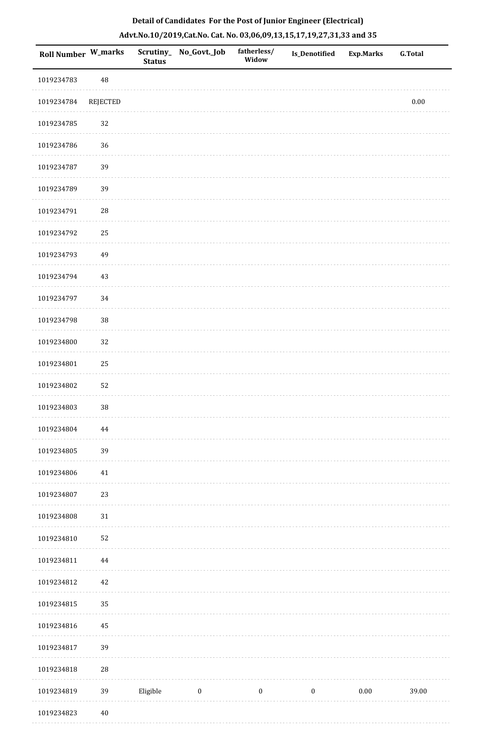|  | Detail of Candidates For the Post of Junior Engineer (Electrical)     |  |
|--|-----------------------------------------------------------------------|--|
|  | Advt.No.10/2019,Cat.No. Cat. No. 03,06,09,13,15,17,19,27,31,33 and 35 |  |

| <b>Roll Number W_marks</b> |             | <b>Status</b> | Scrutiny_No_Govt._Job | fatherless/<br>Widow | <b>Is_Denotified</b> | <b>Exp.Marks</b> | <b>G.Total</b> |
|----------------------------|-------------|---------------|-----------------------|----------------------|----------------------|------------------|----------------|
| 1019234783                 | 48          |               |                       |                      |                      |                  |                |
| 1019234784                 | REJECTED    |               |                       |                      |                      |                  | $0.00\,$       |
| 1019234785                 | 32          |               |                       |                      |                      |                  |                |
| 1019234786                 | 36          |               |                       |                      |                      |                  |                |
| 1019234787                 | 39          |               |                       |                      |                      |                  |                |
| 1019234789                 | 39          |               |                       |                      |                      |                  |                |
| 1019234791                 | 28          |               |                       |                      |                      |                  |                |
| 1019234792                 | 25          |               |                       |                      |                      |                  |                |
| 1019234793                 | 49          |               |                       |                      |                      |                  |                |
| 1019234794                 | $43\,$      |               |                       |                      |                      |                  |                |
| 1019234797                 | 34          |               |                       |                      |                      |                  |                |
| 1019234798                 | 38          |               |                       |                      |                      |                  |                |
| 1019234800                 | 32          |               |                       |                      |                      |                  |                |
| 1019234801                 | 25          |               |                       |                      |                      |                  |                |
| 1019234802                 | 52          |               |                       |                      |                      |                  |                |
| 1019234803                 | 38          |               |                       |                      |                      |                  |                |
| 1019234804                 | 44          |               |                       |                      |                      |                  |                |
| 1019234805                 | 39          |               |                       |                      |                      |                  |                |
| 1019234806                 | 41          |               |                       |                      |                      |                  |                |
| 1019234807                 | 23          |               |                       |                      |                      |                  |                |
| 1019234808                 | $31\,$      |               |                       |                      |                      |                  |                |
| 1019234810                 | 52          |               |                       |                      |                      |                  |                |
| 1019234811                 | $\bf 44$    |               |                       |                      |                      |                  |                |
| 1019234812                 | $42\,$      |               |                       |                      |                      |                  |                |
| 1019234815                 | 35          |               |                       |                      |                      |                  |                |
| 1019234816                 | 45          |               |                       |                      |                      |                  |                |
| 1019234817                 | 39          |               |                       |                      |                      |                  |                |
| 1019234818                 | $\sqrt{28}$ |               |                       |                      |                      |                  |                |
| 1019234819                 | 39          | Eligible      | $\boldsymbol{0}$      | $\boldsymbol{0}$     | $\boldsymbol{0}$     | $0.00\,$         | 39.00          |
| 1019234823                 | $40\,$      |               |                       |                      |                      |                  |                |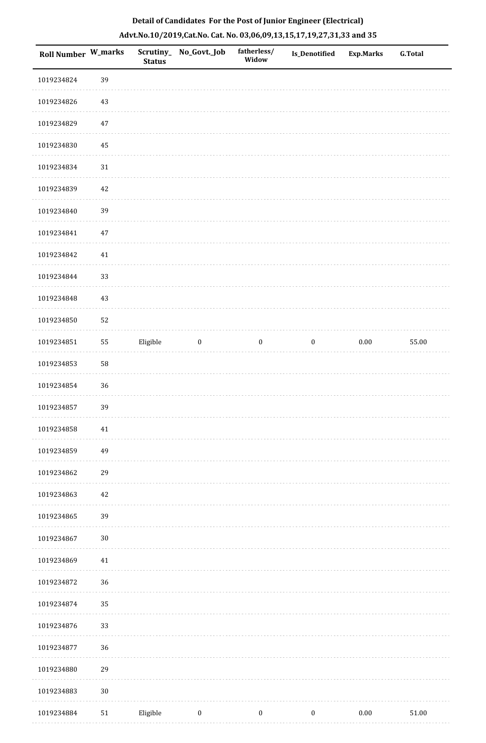| Roll Number W_marks |        | <b>Status</b> | Scrutiny_No_Govt._Job | fatherless/<br>Widow | Is_Denotified    | <b>Exp.Marks</b> | <b>G.Total</b> |
|---------------------|--------|---------------|-----------------------|----------------------|------------------|------------------|----------------|
| 1019234824          | 39     |               |                       |                      |                  |                  |                |
| 1019234826          | 43     |               |                       |                      |                  |                  |                |
| 1019234829          | $47\,$ |               |                       |                      |                  |                  |                |
| 1019234830          | 45     |               |                       |                      |                  |                  |                |
| 1019234834          | $31\,$ |               |                       |                      |                  |                  |                |
| 1019234839          | 42     |               |                       |                      |                  |                  |                |
| 1019234840          | 39     |               |                       |                      |                  |                  |                |
| 1019234841          | $47\,$ |               |                       |                      |                  |                  |                |
| 1019234842          | 41     |               |                       |                      |                  |                  |                |
| 1019234844          | 33     |               |                       |                      |                  |                  |                |
| 1019234848          | 43     |               |                       |                      |                  |                  |                |
| 1019234850          | 52     |               |                       |                      |                  |                  |                |
| 1019234851          | 55     | Eligible      | $\boldsymbol{0}$      | $\boldsymbol{0}$     | $\bf{0}$         | $0.00\,$         | 55.00          |
| 1019234853          | 58     |               |                       |                      |                  |                  |                |
| 1019234854          | 36     |               |                       |                      |                  |                  |                |
| 1019234857          | 39     |               |                       |                      |                  |                  |                |
| 1019234858          | $41\,$ |               |                       |                      |                  |                  |                |
| 1019234859          | 49     |               |                       |                      |                  |                  |                |
| 1019234862          | 29     |               |                       |                      |                  |                  |                |
| 1019234863          | $42\,$ |               |                       |                      |                  |                  |                |
| 1019234865          | 39     |               |                       |                      |                  |                  |                |
| 1019234867          | $30\,$ |               |                       |                      |                  |                  |                |
| 1019234869          | $41\,$ |               |                       |                      |                  |                  |                |
| 1019234872          | 36     |               |                       |                      |                  |                  |                |
| 1019234874          | 35     |               |                       |                      |                  |                  |                |
| 1019234876          | 33     |               |                       |                      |                  |                  |                |
| 1019234877          | 36     |               |                       |                      |                  |                  |                |
| 1019234880          | 29     |               |                       |                      |                  |                  |                |
| 1019234883          | $30\,$ |               |                       |                      |                  |                  |                |
| 1019234884          | 51     | Eligible      | $\boldsymbol{0}$      | $\boldsymbol{0}$     | $\boldsymbol{0}$ | $0.00\,$         | $51.00\,$      |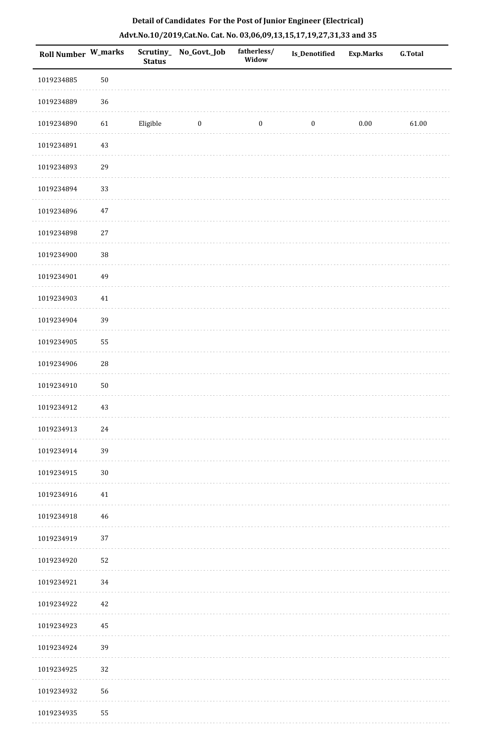| Roll Number W_marks |             | <b>Status</b> | Scrutiny_ No_Govt._Job | fatherless/<br>Widow | <b>Is_Denotified</b> | <b>Exp.Marks</b> | <b>G.Total</b> |
|---------------------|-------------|---------------|------------------------|----------------------|----------------------|------------------|----------------|
| 1019234885          | $50\,$      |               |                        |                      |                      |                  |                |
| 1019234889          | $36\,$      |               |                        |                      |                      |                  |                |
| 1019234890          | 61          | Eligible      | $\bf{0}$               | $\boldsymbol{0}$     | $\boldsymbol{0}$     | $0.00\,$         | 61.00          |
| 1019234891          | 43          |               |                        |                      |                      |                  |                |
| 1019234893          | 29          |               |                        |                      |                      |                  |                |
| 1019234894          | 33          |               |                        |                      |                      |                  |                |
| 1019234896          | $47\,$      |               |                        |                      |                      |                  |                |
| 1019234898          | $27\,$      |               |                        |                      |                      |                  |                |
| 1019234900          | $38\,$      |               |                        |                      |                      |                  |                |
| 1019234901          | 49          |               |                        |                      |                      |                  |                |
| 1019234903          | 41          |               |                        |                      |                      |                  |                |
| 1019234904          | 39          |               |                        |                      |                      |                  |                |
| 1019234905          | 55          |               |                        |                      |                      |                  |                |
| 1019234906          | $\sqrt{28}$ |               |                        |                      |                      |                  |                |
| 1019234910          | $50\,$      |               |                        |                      |                      |                  |                |
| 1019234912          | 43          |               |                        |                      |                      |                  |                |
| 1019234913          | 24          |               |                        |                      |                      |                  |                |
| 1019234914          | 39          |               |                        |                      |                      |                  |                |
| 1019234915          | $30\,$      |               |                        |                      |                      |                  |                |
| 1019234916          | 41          |               |                        |                      |                      |                  |                |
| 1019234918          | 46          |               |                        |                      |                      |                  |                |
| 1019234919          | 37          |               |                        |                      |                      |                  |                |
| 1019234920          | 52          |               |                        |                      |                      |                  |                |
| 1019234921          | 34          |               |                        |                      |                      |                  |                |
| 1019234922          | 42          |               |                        |                      |                      |                  |                |
| 1019234923          | 45          |               |                        |                      |                      |                  |                |
| 1019234924          | 39          |               |                        |                      |                      |                  |                |
| 1019234925          | 32          |               |                        |                      |                      |                  |                |
| 1019234932          | 56          |               |                        |                      |                      |                  |                |
| 1019234935          | 55          |               |                        |                      |                      |                  |                |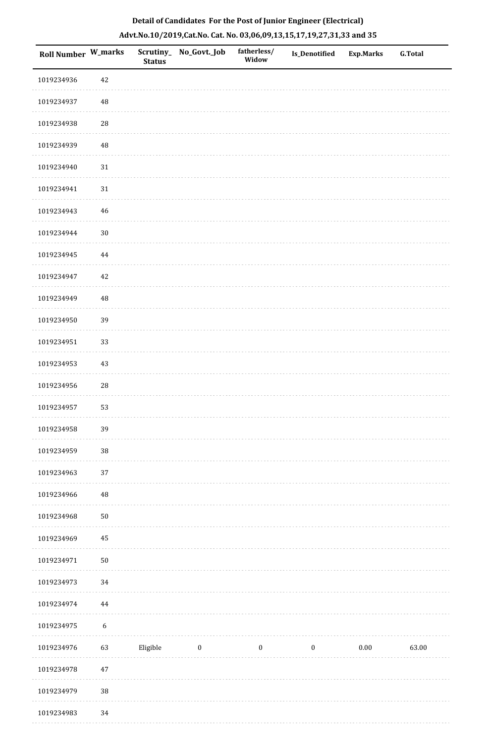| Roll Number W_marks |                  | <b>Status</b> | Scrutiny_ No_Govt._Job | fatherless/<br>Widow | Is_Denotified | Exp.Marks | G.Total |
|---------------------|------------------|---------------|------------------------|----------------------|---------------|-----------|---------|
| 1019234936          | 42               |               |                        |                      |               |           |         |
| 1019234937          | $\rm 48$         |               |                        |                      |               |           |         |
| 1019234938          | ${\bf 28}$       |               |                        |                      |               |           |         |
| 1019234939          | $\rm 48$         |               |                        |                      |               |           |         |
| 1019234940          | $31\,$           |               |                        |                      |               |           |         |
| 1019234941          | 31               |               |                        |                      |               |           |         |
| 1019234943          | 46               |               |                        |                      |               |           |         |
| 1019234944          | $30\,$           |               |                        |                      |               |           |         |
| 1019234945          | $\bf 44$         |               |                        |                      |               |           |         |
| 1019234947          | 42               |               |                        |                      |               |           |         |
| 1019234949          | $\rm 48$         |               |                        |                      |               |           |         |
| 1019234950          | 39               |               |                        |                      |               |           |         |
| 1019234951          | 33               |               |                        |                      |               |           |         |
| 1019234953          | $43\,$           |               |                        |                      |               |           |         |
| 1019234956          | 28               |               |                        |                      |               |           |         |
| 1019234957          | 53               |               |                        |                      |               |           |         |
| 1019234958          | 39               |               |                        |                      |               |           |         |
| 1019234959          | $38\,$           |               |                        |                      |               |           |         |
| 1019234963          | 37               |               |                        |                      |               |           |         |
| 1019234966          | $\rm 48$         |               |                        |                      |               |           |         |
| 1019234968          | $50\,$           |               |                        |                      |               |           |         |
| 1019234969          | 45               |               |                        |                      |               |           |         |
| 1019234971          | $50\,$           |               |                        |                      |               |           |         |
| 1019234973          | 34               |               |                        |                      |               |           |         |
| 1019234974          | 44               |               |                        |                      |               |           |         |
| 1019234975          | $\boldsymbol{6}$ |               |                        |                      |               |           |         |
| 1019234976          | 63               | Eligible      | $\bf{0}$               | $\boldsymbol{0}$     | $\bf{0}$      | 0.00      | 63.00   |
| 1019234978          | $47\,$           |               |                        |                      |               |           |         |
| 1019234979          | $38\,$           |               |                        |                      |               |           |         |
| 1019234983          | 34               |               |                        |                      |               |           |         |

 $\sim$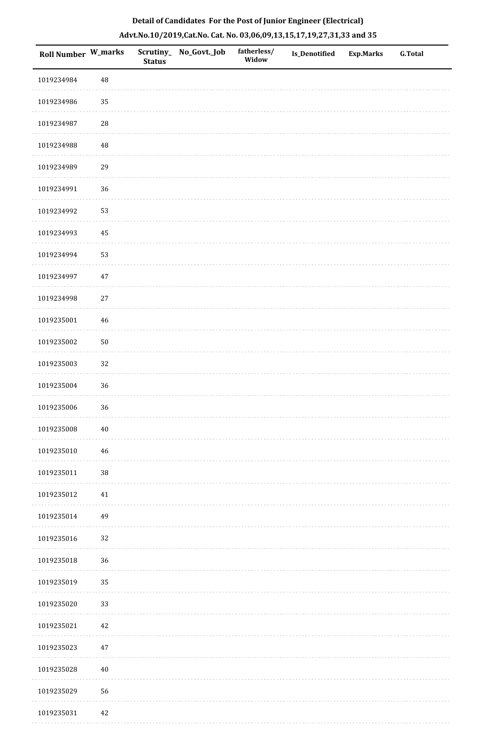|  | Detail of Candidates For the Post of Junior Engineer (Electrical)     |  |
|--|-----------------------------------------------------------------------|--|
|  | Advt.No.10/2019,Cat.No. Cat. No. 03,06,09,13,15,17,19,27,31,33 and 35 |  |

| <b>Roll Number W_marks</b> |            | <b>Status</b> | Scrutiny_ No_Govt._Job | fatherless/<br>Widow | Is_Denotified | <b>Exp.Marks</b> | <b>G.Total</b> |
|----------------------------|------------|---------------|------------------------|----------------------|---------------|------------------|----------------|
| 1019234984                 | $\rm 48$   |               |                        |                      |               |                  |                |
| 1019234986                 | 35         |               |                        |                      |               |                  |                |
| 1019234987                 | ${\bf 28}$ |               |                        |                      |               |                  |                |
| 1019234988                 | $\rm 48$   |               |                        |                      |               |                  |                |
| 1019234989                 | 29         |               |                        |                      |               |                  |                |
| 1019234991                 | 36         |               |                        |                      |               |                  |                |
| 1019234992                 | 53         |               |                        |                      |               |                  |                |
| 1019234993                 | $\bf 45$   |               |                        |                      |               |                  |                |
| 1019234994                 | 53         |               |                        |                      |               |                  |                |
| 1019234997                 | $47\,$     |               |                        |                      |               |                  |                |
| 1019234998                 | $27\,$     |               |                        |                      |               |                  |                |
| 1019235001                 | $46\,$     |               |                        |                      |               |                  |                |
| 1019235002                 | $50\,$     |               |                        |                      |               |                  |                |
| 1019235003                 | 32         |               |                        |                      |               |                  |                |
| 1019235004                 | 36         |               |                        |                      |               |                  |                |
| 1019235006                 | 36         |               |                        |                      |               |                  |                |
| 1019235008                 | $40\,$     |               |                        |                      |               |                  |                |
| 1019235010                 | 46         |               |                        |                      |               |                  |                |
| 1019235011                 | $38\,$     |               |                        |                      |               |                  |                |
| 1019235012                 | $41\,$     |               |                        |                      |               |                  |                |
| 1019235014                 | 49         |               |                        |                      |               |                  |                |
| 1019235016                 | 32         |               |                        |                      |               |                  |                |
| 1019235018                 | 36         |               |                        |                      |               |                  |                |
| 1019235019                 | 35         |               |                        |                      |               |                  |                |
| 1019235020                 | 33         |               |                        |                      |               |                  |                |
| 1019235021                 | $42\,$     |               |                        |                      |               |                  |                |
| 1019235023                 | $47\,$     |               |                        |                      |               |                  |                |
| 1019235028                 | $40\,$     |               |                        |                      |               |                  |                |
| 1019235029                 | 56         |               |                        |                      |               |                  |                |
| 1019235031                 | 42         |               |                        |                      |               |                  |                |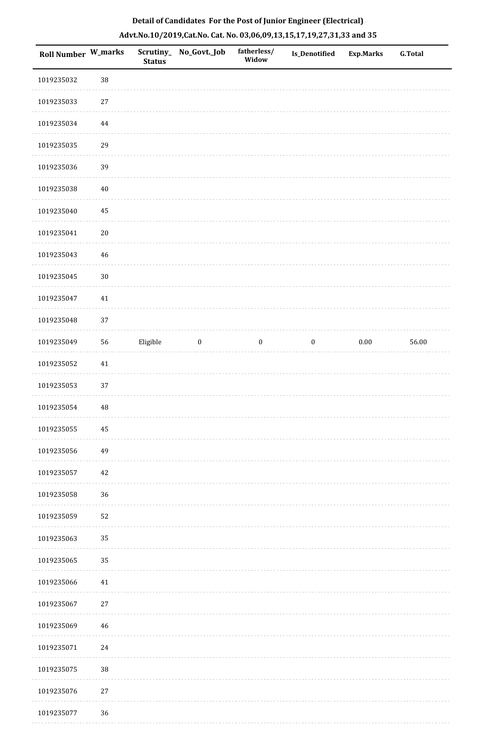| Roll Number W_marks |          | <b>Status</b> | Scrutiny_ No_Govt._Job | fatherless/<br>Widow | <b>Is_Denotified</b> | <b>Exp.Marks</b> | G.Total |
|---------------------|----------|---------------|------------------------|----------------------|----------------------|------------------|---------|
| 1019235032          | 38       |               |                        |                      |                      |                  |         |
| 1019235033          | $27\,$   |               |                        |                      |                      |                  |         |
| 1019235034          | $\bf 44$ |               |                        |                      |                      |                  |         |
| 1019235035          | 29       |               |                        |                      |                      |                  |         |
| 1019235036          | 39       |               |                        |                      |                      |                  |         |
| 1019235038          | $40\,$   |               |                        |                      |                      |                  |         |
| 1019235040          | 45       |               |                        |                      |                      |                  |         |
| 1019235041          | $20\,$   |               |                        |                      |                      |                  |         |
| 1019235043          | 46       |               |                        |                      |                      |                  |         |
| 1019235045          | $30\,$   |               |                        |                      |                      |                  |         |
| 1019235047          | $41\,$   |               |                        |                      |                      |                  |         |
| 1019235048          | 37       |               |                        |                      |                      |                  |         |
| 1019235049          | 56       | Eligible      | $\boldsymbol{0}$       | $\boldsymbol{0}$     | $\bf{0}$             | 0.00             | 56.00   |
| 1019235052          | $41\,$   |               |                        |                      |                      |                  |         |
| 1019235053          | 37       |               |                        |                      |                      |                  |         |
| 1019235054          | 48       |               |                        |                      |                      |                  |         |
| 1019235055          | $\rm 45$ |               |                        |                      |                      |                  |         |
| 1019235056          | 49       |               |                        |                      |                      |                  |         |
| 1019235057          | $42\,$   |               |                        |                      |                      |                  |         |
| 1019235058          | 36       |               |                        |                      |                      |                  |         |
| 1019235059          | 52       |               |                        |                      |                      |                  |         |
| 1019235063          | 35       |               |                        |                      |                      |                  |         |
| 1019235065          | 35       |               |                        |                      |                      |                  |         |
| 1019235066          | $41\,$   |               |                        |                      |                      |                  |         |
| 1019235067          | $27\,$   |               |                        |                      |                      |                  |         |
| 1019235069          | 46       |               |                        |                      |                      |                  |         |
| 1019235071          | $24\,$   |               |                        |                      |                      |                  |         |
| 1019235075          | 38       |               |                        |                      |                      |                  |         |
| 1019235076          | $27\,$   |               |                        |                      |                      |                  |         |
| 1019235077          | 36       |               |                        |                      |                      |                  |         |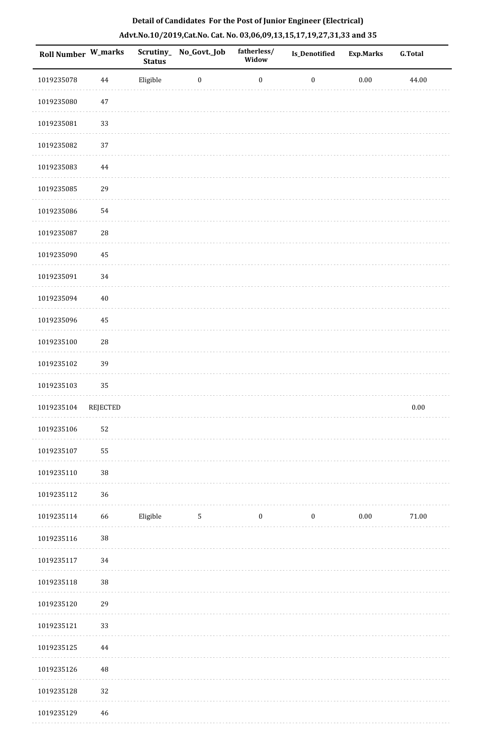| Roll Number W_marks |                 | Scrutiny_<br><b>Status</b> | No_Govt._Job     | fatherless/<br>Widow | Is_Denotified    | <b>Exp.Marks</b> | <b>G.Total</b> |
|---------------------|-----------------|----------------------------|------------------|----------------------|------------------|------------------|----------------|
| 1019235078          | $\bf 44$        | Eligible                   | $\boldsymbol{0}$ | $\boldsymbol{0}$     | $\boldsymbol{0}$ | $0.00\,$         | 44.00          |
| 1019235080          | $47\,$          |                            |                  |                      |                  |                  |                |
| 1019235081          | 33              |                            |                  |                      |                  |                  |                |
| 1019235082          | 37              |                            |                  |                      |                  |                  |                |
| 1019235083          | 44              |                            |                  |                      |                  |                  |                |
| 1019235085          | 29              |                            |                  |                      |                  |                  |                |
| 1019235086          | 54              |                            |                  |                      |                  |                  |                |
| 1019235087          | ${\bf 28}$      |                            |                  |                      |                  |                  |                |
| 1019235090          | 45              |                            |                  |                      |                  |                  |                |
| 1019235091          | 34              |                            |                  |                      |                  |                  |                |
| 1019235094          | $40\,$          |                            |                  |                      |                  |                  |                |
| 1019235096          | 45              |                            |                  |                      |                  |                  |                |
| 1019235100          | ${\bf 28}$      |                            |                  |                      |                  |                  |                |
| 1019235102          | 39              |                            |                  |                      |                  |                  |                |
| 1019235103          | 35              |                            |                  |                      |                  |                  |                |
| 1019235104          | <b>REJECTED</b> |                            |                  |                      |                  |                  | $0.00\,$       |
| 1019235106          | 52              |                            |                  |                      |                  |                  |                |
| 1019235107          | 55              |                            |                  |                      |                  |                  |                |
| 1019235110          | 38              |                            |                  |                      |                  |                  |                |
| 1019235112          | 36              |                            |                  |                      |                  |                  |                |
| 1019235114          | 66              | Eligible                   | $\mathbf{5}$     | $\boldsymbol{0}$     | $\boldsymbol{0}$ | $0.00\,$         | 71.00          |
| 1019235116          | $38\,$          |                            |                  |                      |                  |                  |                |
| 1019235117          | 34              |                            |                  |                      |                  |                  |                |
| 1019235118          | 38              |                            |                  |                      |                  |                  |                |
| 1019235120          | 29              |                            |                  |                      |                  |                  |                |
| 1019235121          | 33              |                            |                  |                      |                  |                  |                |
| 1019235125          | 44              |                            |                  |                      |                  |                  |                |
| 1019235126          | 48              |                            |                  |                      |                  |                  |                |
| 1019235128          | 32              |                            |                  |                      |                  |                  |                |
| 1019235129          | 46              |                            |                  |                      |                  |                  |                |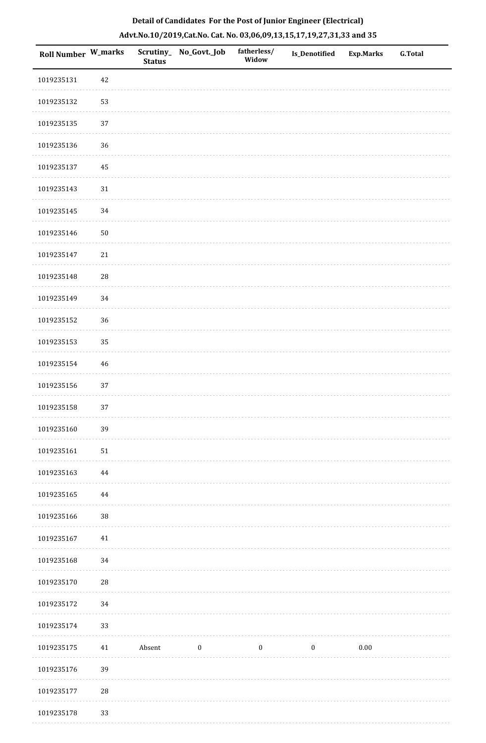| Roll Number W_marks |             | <b>Status</b> | Scrutiny_ No_Govt._Job | fatherless/<br>Widow | Is_Denotified | Exp.Marks | G.Total |
|---------------------|-------------|---------------|------------------------|----------------------|---------------|-----------|---------|
| 1019235131          | 42          |               |                        |                      |               |           |         |
| 1019235132          | 53          |               |                        |                      |               |           |         |
| 1019235135          | 37          |               |                        |                      |               |           |         |
| 1019235136          | 36          |               |                        |                      |               |           |         |
| 1019235137          | 45          |               |                        |                      |               |           |         |
| 1019235143          | $31\,$      |               |                        |                      |               |           |         |
| 1019235145          | 34          |               |                        |                      |               |           |         |
| 1019235146          | $50\,$      |               |                        |                      |               |           |         |
| 1019235147          | 21          |               |                        |                      |               |           |         |
| 1019235148          | $\sqrt{28}$ |               |                        |                      |               |           |         |
| 1019235149          | 34          |               |                        |                      |               |           |         |
| 1019235152          | 36          |               |                        |                      |               |           |         |
| 1019235153          | 35          |               |                        |                      |               |           |         |
| 1019235154          | 46          |               |                        |                      |               |           |         |
| 1019235156          | 37          |               |                        |                      |               |           |         |
| 1019235158          | 37          |               |                        |                      |               |           |         |
| 1019235160          | 39          |               |                        |                      |               |           |         |
| 1019235161          | $51\,$      |               |                        |                      |               |           |         |
| 1019235163          | $\bf 44$    |               |                        |                      |               |           |         |
| 1019235165          | 44          |               |                        |                      |               |           |         |
| 1019235166          | $38\,$      |               |                        |                      |               |           |         |
| 1019235167          | 41          |               |                        |                      |               |           |         |
| 1019235168          | 34          |               |                        |                      |               |           |         |
| 1019235170          | $28\,$      |               |                        |                      |               |           |         |
| 1019235172          | 34          |               |                        |                      |               |           |         |
| 1019235174          | 33          |               |                        |                      |               |           |         |
| 1019235175          | 41          | Absent        | $\bf{0}$               | $\boldsymbol{0}$     | $\bf{0}$      | 0.00      |         |
| 1019235176          | 39          |               |                        |                      |               |           |         |
| 1019235177          | $28\,$      |               |                        |                      |               |           |         |
| 1019235178          | 33          |               |                        |                      |               |           |         |

. . . . . . .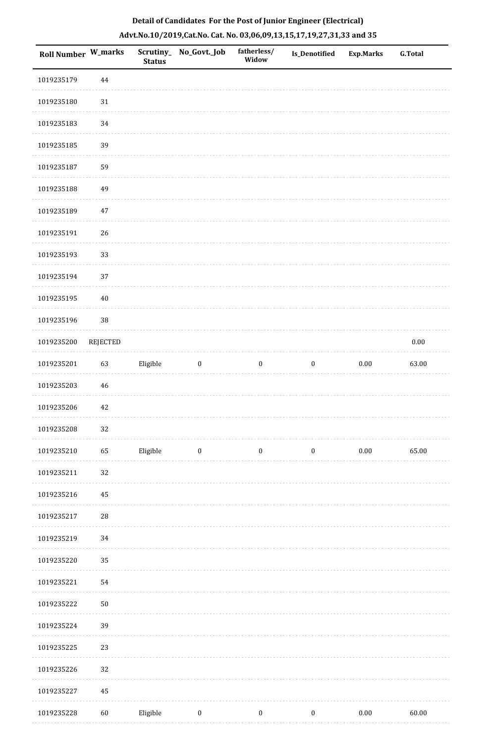| <b>Roll Number W_marks</b> |                 | <b>Status</b> | Scrutiny_No_Govt._Job | fatherless/<br>Widow | <b>Is_Denotified</b> | <b>Exp.Marks</b> | <b>G.Total</b> |
|----------------------------|-----------------|---------------|-----------------------|----------------------|----------------------|------------------|----------------|
| 1019235179                 | 44              |               |                       |                      |                      |                  |                |
| 1019235180                 | $31\,$          |               |                       |                      |                      |                  |                |
| 1019235183                 | 34              |               |                       |                      |                      |                  |                |
| 1019235185                 | 39              |               |                       |                      |                      |                  |                |
| 1019235187                 | 59              |               |                       |                      |                      |                  |                |
| 1019235188                 | 49              |               |                       |                      |                      |                  |                |
| 1019235189                 | $47\,$          |               |                       |                      |                      |                  |                |
| 1019235191                 | 26              |               |                       |                      |                      |                  |                |
| 1019235193                 | 33              |               |                       |                      |                      |                  |                |
| 1019235194                 | 37              |               |                       |                      |                      |                  |                |
| 1019235195                 | $40\,$          |               |                       |                      |                      |                  |                |
| 1019235196                 | $38\,$          |               |                       |                      |                      |                  |                |
| 1019235200                 | <b>REJECTED</b> |               |                       |                      |                      |                  | $0.00\,$       |
| 1019235201                 | 63              | Eligible      | $\boldsymbol{0}$      | $\boldsymbol{0}$     | $\boldsymbol{0}$     | $0.00\,$         | 63.00          |
| 1019235203                 | 46              |               |                       |                      |                      |                  |                |
| 1019235206                 | 42              |               |                       |                      |                      |                  |                |
| 1019235208                 | 32              |               |                       |                      |                      |                  |                |
| 1019235210                 | 65              | Eligible      | $\boldsymbol{0}$      | $\boldsymbol{0}$     | $\boldsymbol{0}$     | $0.00\,$         | 65.00          |
| 1019235211                 | 32              |               |                       |                      |                      |                  |                |
| 1019235216                 | 45              |               |                       |                      |                      |                  |                |
| 1019235217                 | ${\bf 28}$      |               |                       |                      |                      |                  |                |
| 1019235219                 | 34              |               |                       |                      |                      |                  |                |
| 1019235220                 | 35              |               |                       |                      |                      |                  |                |
| 1019235221                 | 54              |               |                       |                      |                      |                  |                |
| 1019235222                 | $50\,$          |               |                       |                      |                      |                  |                |
| 1019235224                 | 39              |               |                       |                      |                      |                  |                |
| 1019235225                 | 23              |               |                       |                      |                      |                  |                |
| 1019235226                 | 32              |               |                       |                      |                      |                  |                |
| 1019235227                 | 45              |               |                       |                      |                      |                  |                |
| 1019235228                 | 60              | Eligible      | $\boldsymbol{0}$      | $\boldsymbol{0}$     | $\boldsymbol{0}$     | $0.00\,$         | 60.00          |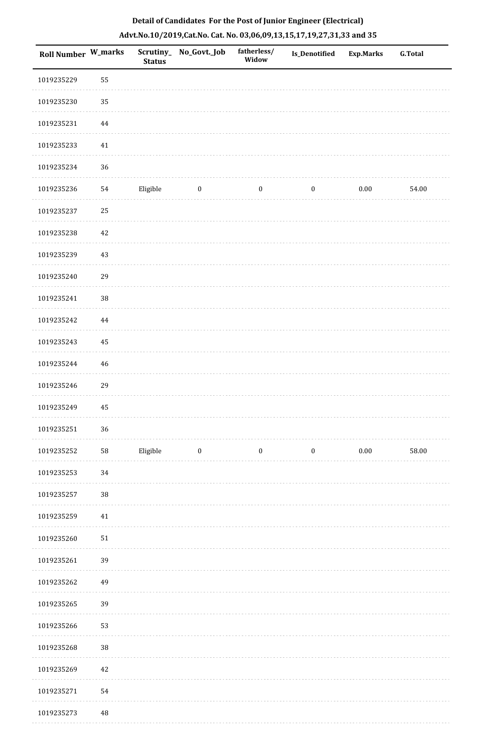| Roll Number W_marks |          | <b>Status</b> | Scrutiny_No_Govt._Job | fatherless/<br>Widow | Is_Denotified    | Exp.Marks | G.Total |
|---------------------|----------|---------------|-----------------------|----------------------|------------------|-----------|---------|
| 1019235229          | 55       |               |                       |                      |                  |           |         |
| 1019235230          | 35       |               |                       |                      |                  |           |         |
| 1019235231          | 44       |               |                       |                      |                  |           |         |
| 1019235233          | $41\,$   |               |                       |                      |                  |           |         |
| 1019235234          | 36       |               |                       |                      |                  |           |         |
| 1019235236          | 54       | Eligible      | $\boldsymbol{0}$      | $\boldsymbol{0}$     | $\boldsymbol{0}$ | $0.00\,$  | 54.00   |
| 1019235237          | 25       |               |                       |                      |                  |           |         |
| 1019235238          | $42\,$   |               |                       |                      |                  |           |         |
| 1019235239          | $43\,$   |               |                       |                      |                  |           |         |
| 1019235240          | 29       |               |                       |                      |                  |           |         |
| 1019235241          | 38       |               |                       |                      |                  |           |         |
| 1019235242          | 44       |               |                       |                      |                  |           |         |
| 1019235243          | 45       |               |                       |                      |                  |           |         |
| 1019235244          | $46\,$   |               |                       |                      |                  |           |         |
| 1019235246          | 29       |               |                       |                      |                  |           |         |
| 1019235249          | 45       |               |                       |                      |                  |           |         |
| 1019235251          | 36       |               |                       |                      |                  |           |         |
| 1019235252          | 58       | Eligible      | $\boldsymbol{0}$      | $\boldsymbol{0}$     | $\boldsymbol{0}$ | $0.00\,$  | 58.00   |
| 1019235253          | 34       |               |                       |                      |                  |           |         |
| 1019235257          | 38       |               |                       |                      |                  |           |         |
| 1019235259          | $41\,$   |               |                       |                      |                  |           |         |
| 1019235260          | $51\,$   |               |                       |                      |                  |           |         |
| 1019235261          | 39       |               |                       |                      |                  |           |         |
| 1019235262          | 49       |               |                       |                      |                  |           |         |
| 1019235265          | 39       |               |                       |                      |                  |           |         |
| 1019235266          | 53       |               |                       |                      |                  |           |         |
| 1019235268          | 38       |               |                       |                      |                  |           |         |
| 1019235269          | 42       |               |                       |                      |                  |           |         |
| 1019235271          | 54       |               |                       |                      |                  |           |         |
| 1019235273          | $\rm 48$ |               |                       |                      |                  |           |         |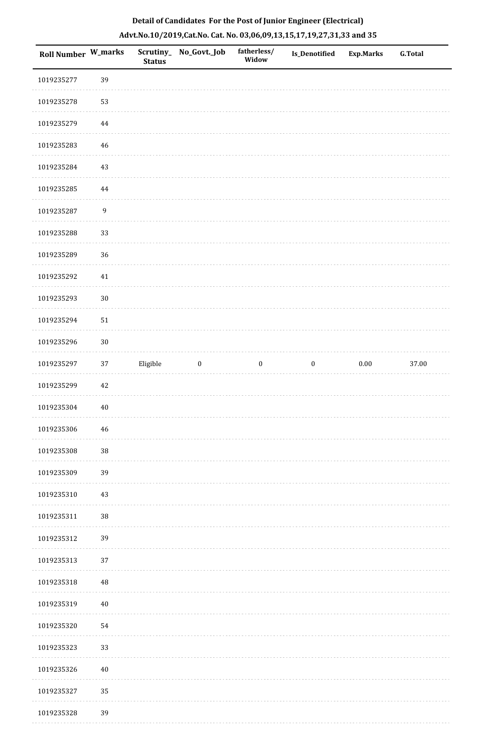| <b>Roll Number W_marks</b> |                  | <b>Status</b> | Scrutiny_ No_Govt._Job | fatherless/<br>Widow | Is_Denotified    | <b>Exp.Marks</b> | <b>G.Total</b> |
|----------------------------|------------------|---------------|------------------------|----------------------|------------------|------------------|----------------|
| 1019235277                 | 39               |               |                        |                      |                  |                  |                |
| 1019235278                 | 53               |               |                        |                      |                  |                  |                |
| 1019235279                 | 44               |               |                        |                      |                  |                  |                |
| 1019235283                 | $46\,$           |               |                        |                      |                  |                  |                |
| 1019235284                 | 43               |               |                        |                      |                  |                  |                |
| 1019235285                 | 44               |               |                        |                      |                  |                  |                |
| 1019235287                 | $\boldsymbol{9}$ |               |                        |                      |                  |                  |                |
| 1019235288                 | 33               |               |                        |                      |                  |                  |                |
| 1019235289                 | 36               |               |                        |                      |                  |                  |                |
| 1019235292                 | $41\,$           |               |                        |                      |                  |                  |                |
| 1019235293                 | $30\,$           |               |                        |                      |                  |                  |                |
| 1019235294                 | 51               |               |                        |                      |                  |                  |                |
| 1019235296                 | $30\,$           |               |                        |                      |                  |                  |                |
| 1019235297                 | 37               | Eligible      | $\boldsymbol{0}$       | $\boldsymbol{0}$     | $\boldsymbol{0}$ | $0.00\,$         | 37.00          |
| 1019235299                 | 42               |               |                        |                      |                  |                  |                |
| 1019235304                 | 40               |               |                        |                      |                  |                  |                |
| 1019235306                 | $\sqrt{46}$      |               |                        |                      |                  |                  |                |
| 1019235308                 | 38               |               |                        |                      |                  |                  |                |
| 1019235309                 | 39               |               |                        |                      |                  |                  |                |
| 1019235310                 | $43\,$           |               |                        |                      |                  |                  |                |
| 1019235311                 | 38               |               |                        |                      |                  |                  |                |
| 1019235312                 | 39               |               |                        |                      |                  |                  |                |
| 1019235313                 | 37               |               |                        |                      |                  |                  |                |
| 1019235318                 | 48               |               |                        |                      |                  |                  |                |
| 1019235319                 | $40\,$           |               |                        |                      |                  |                  |                |
| 1019235320                 | 54               |               |                        |                      |                  |                  |                |
| 1019235323                 | 33               |               |                        |                      |                  |                  |                |
| 1019235326                 | $40\,$           |               |                        |                      |                  |                  |                |
| 1019235327                 | 35               |               |                        |                      |                  |                  |                |
| 1019235328                 | 39               |               |                        |                      |                  |                  |                |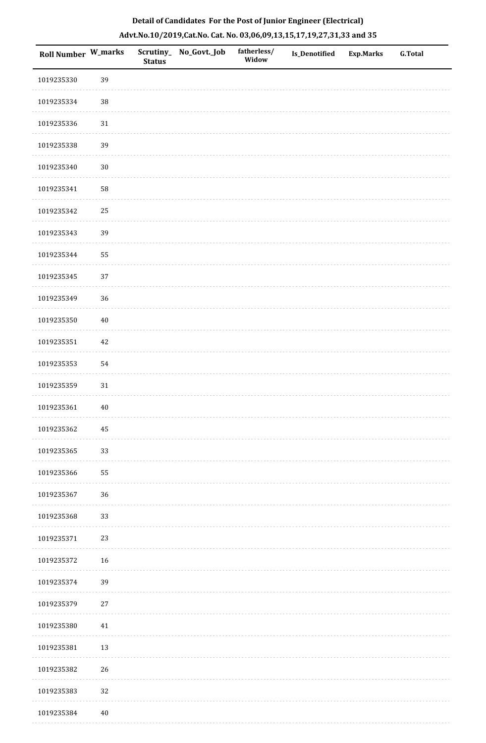| Roll Number W_marks |        | <b>Status</b> | Scrutiny_ No_Govt._Job | fatherless/<br>Widow | Is_Denotified | <b>Exp.Marks</b> | <b>G.Total</b> |
|---------------------|--------|---------------|------------------------|----------------------|---------------|------------------|----------------|
| 1019235330          | 39     |               |                        |                      |               |                  |                |
| 1019235334          | $38\,$ |               |                        |                      |               |                  |                |
| 1019235336          | 31     |               |                        |                      |               |                  |                |
| 1019235338          | 39     |               |                        |                      |               |                  |                |
| 1019235340          | 30     |               |                        |                      |               |                  |                |
| 1019235341          | 58     |               |                        |                      |               |                  |                |
| 1019235342          | 25     |               |                        |                      |               |                  |                |
| 1019235343          | 39     |               |                        |                      |               |                  |                |
| 1019235344          | 55     |               |                        |                      |               |                  |                |
| 1019235345          | 37     |               |                        |                      |               |                  |                |
| 1019235349          | 36     |               |                        |                      |               |                  |                |
| 1019235350          | $40\,$ |               |                        |                      |               |                  |                |
| 1019235351          | 42     |               |                        |                      |               |                  |                |
| 1019235353          | 54     |               |                        |                      |               |                  |                |
| 1019235359          | 31     |               |                        |                      |               |                  |                |
| 1019235361          | $40\,$ |               |                        |                      |               |                  |                |
| 1019235362          | 45     |               |                        |                      |               |                  |                |
| 1019235365          | 33     |               |                        |                      |               |                  |                |
| 1019235366          | 55     |               |                        |                      |               |                  |                |
| 1019235367          | 36     |               |                        |                      |               |                  |                |
| 1019235368          | 33     |               |                        |                      |               |                  |                |
| 1019235371          | 23     |               |                        |                      |               |                  |                |
| 1019235372          | 16     |               |                        |                      |               |                  |                |
| 1019235374          | 39     |               |                        |                      |               |                  |                |
| 1019235379          | $27\,$ |               |                        |                      |               |                  |                |
| 1019235380          | 41     |               |                        |                      |               |                  |                |
| 1019235381          | 13     |               |                        |                      |               |                  |                |
| 1019235382          | 26     |               |                        |                      |               |                  |                |
| 1019235383          | 32     |               |                        |                      |               |                  |                |
| 1019235384          | $40\,$ |               |                        |                      |               |                  |                |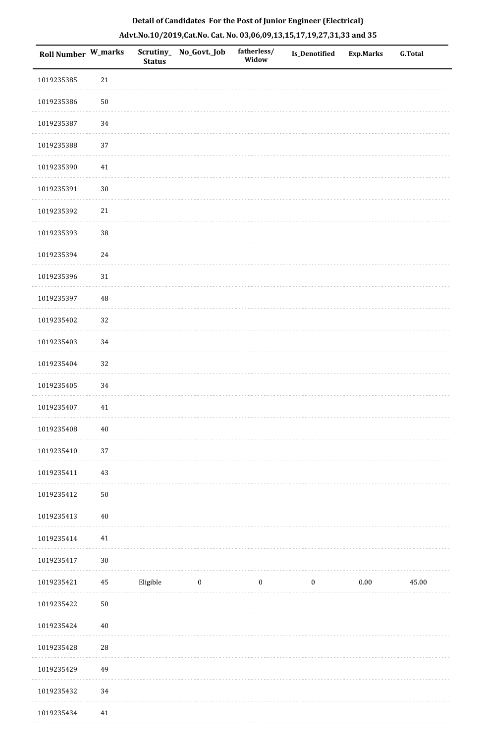| Roll Number W_marks |          | Scrutiny_<br><b>Status</b> | No_Govt._Job | fatherless/<br>Widow | <b>Is_Denotified</b> | Exp.Marks | <b>G.Total</b> |
|---------------------|----------|----------------------------|--------------|----------------------|----------------------|-----------|----------------|
| 1019235385          | 21       |                            |              |                      |                      |           |                |
| 1019235386          | $50\,$   |                            |              |                      |                      |           |                |
| 1019235387          | 34       |                            |              |                      |                      |           |                |
| 1019235388          | $37\,$   |                            |              |                      |                      |           |                |
| 1019235390          | 41       |                            |              |                      |                      |           |                |
| 1019235391          | $30\,$   |                            |              |                      |                      |           |                |
| 1019235392          | 21       |                            |              |                      |                      |           |                |
| 1019235393          | $38\,$   |                            |              |                      |                      |           |                |
| 1019235394          | $24\,$   |                            |              |                      |                      |           |                |
| 1019235396          | 31       |                            |              |                      |                      |           |                |
| 1019235397          | $\rm 48$ |                            |              |                      |                      |           |                |
| 1019235402          | 32       |                            |              |                      |                      |           |                |
| 1019235403          | 34       |                            |              |                      |                      |           |                |
| 1019235404          | 32       |                            |              |                      |                      |           |                |
| 1019235405          | 34       |                            |              |                      |                      |           |                |
| 1019235407          | 41       |                            |              |                      |                      |           |                |
| 1019235408          | $40\,$   |                            |              |                      |                      |           |                |
| 1019235410          | 37       |                            |              |                      |                      |           |                |
| 1019235411          | 43       |                            |              |                      |                      |           |                |
| 1019235412          | $50\,$   |                            |              |                      |                      |           |                |
| 1019235413          | $40\,$   |                            |              |                      |                      |           |                |
| 1019235414          | 41       |                            |              |                      |                      |           |                |
| 1019235417          | $30\,$   |                            |              |                      |                      |           |                |
| 1019235421          | $\rm 45$ | Eligible                   | $\bf{0}$     | $\boldsymbol{0}$     | $\boldsymbol{0}$     | $0.00\,$  | 45.00          |
| 1019235422          | $50\,$   |                            |              |                      |                      |           |                |
| 1019235424          | $40\,$   |                            |              |                      |                      |           |                |
| 1019235428          | $28\,$   |                            |              |                      |                      |           |                |
| 1019235429          | 49       |                            |              |                      |                      |           |                |
| 1019235432          | 34       |                            |              |                      |                      |           |                |
| 1019235434          | $41\,$   |                            |              |                      |                      |           |                |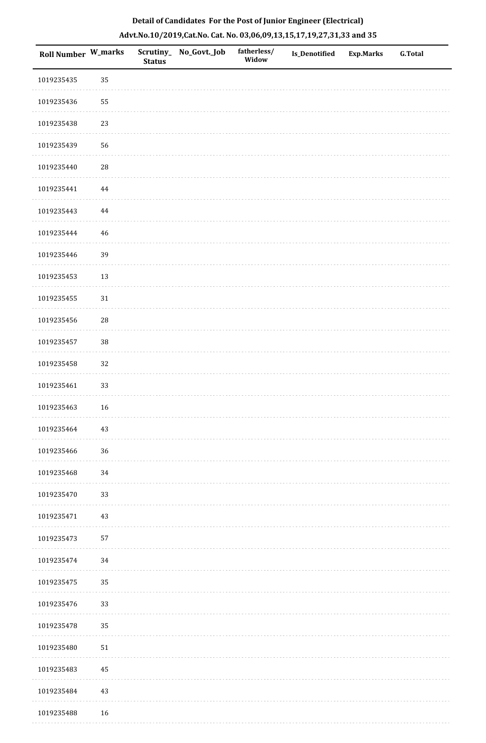| Roll Number W_marks |            | <b>Status</b> | Scrutiny_ No_Govt._Job | fatherless/<br>Widow | Is_Denotified | <b>Exp.Marks</b> | G.Total |
|---------------------|------------|---------------|------------------------|----------------------|---------------|------------------|---------|
| 1019235435          | 35         |               |                        |                      |               |                  |         |
| 1019235436          | 55         |               |                        |                      |               |                  |         |
| 1019235438          | 23         |               |                        |                      |               |                  |         |
| 1019235439          | 56         |               |                        |                      |               |                  |         |
| 1019235440          | ${\bf 28}$ |               |                        |                      |               |                  |         |
| 1019235441          | $\bf 44$   |               |                        |                      |               |                  |         |
| 1019235443          | $\bf 44$   |               |                        |                      |               |                  |         |
| 1019235444          | 46         |               |                        |                      |               |                  |         |
| 1019235446          | 39         |               |                        |                      |               |                  |         |
| 1019235453          | 13         |               |                        |                      |               |                  |         |
| 1019235455          | $31\,$     |               |                        |                      |               |                  |         |
| 1019235456          | ${\bf 28}$ |               |                        |                      |               |                  |         |
| 1019235457          | $38\,$     |               |                        |                      |               |                  |         |
| 1019235458          | $32\,$     |               |                        |                      |               |                  |         |
| 1019235461          | 33         |               |                        |                      |               |                  |         |
| 1019235463          | 16         |               |                        |                      |               |                  |         |
| 1019235464          | $43\,$     |               |                        |                      |               |                  |         |
| 1019235466          | 36         |               |                        |                      |               |                  |         |
| 1019235468          | 34         |               |                        |                      |               |                  |         |
| 1019235470          | 33         |               |                        |                      |               |                  |         |
| 1019235471          | 43         |               |                        |                      |               |                  |         |
| 1019235473          | 57         |               |                        |                      |               |                  |         |
| 1019235474          | 34         |               |                        |                      |               |                  |         |
| 1019235475          | 35         |               |                        |                      |               |                  |         |
| 1019235476          | 33         |               |                        |                      |               |                  |         |
| 1019235478          | 35         |               |                        |                      |               |                  |         |
| 1019235480          | 51         |               |                        |                      |               |                  |         |
| 1019235483          | 45         |               |                        |                      |               |                  |         |
| 1019235484          | 43         |               |                        |                      |               |                  |         |
| 1019235488          | 16         |               |                        |                      |               |                  |         |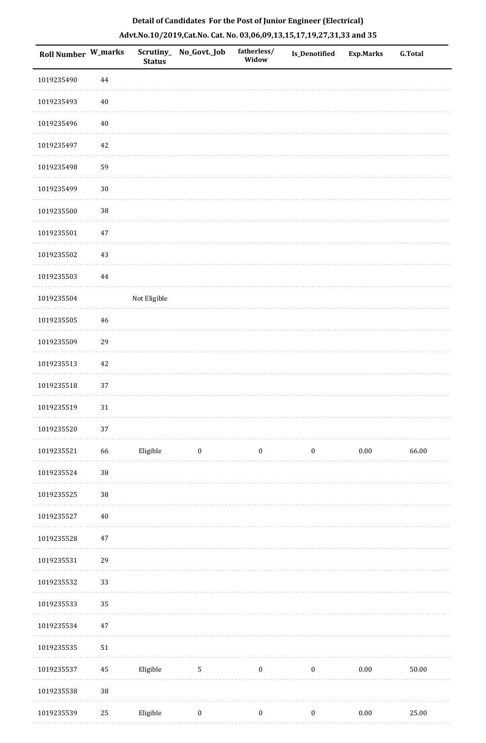| Roll Number W_marks |          | Scrutiny_<br><b>Status</b> | No_Govt._Job     | fatherless/<br>Widow | Is_Denotified    | <b>Exp.Marks</b> | <b>G.Total</b> |
|---------------------|----------|----------------------------|------------------|----------------------|------------------|------------------|----------------|
| 1019235490          | 44       |                            |                  |                      |                  |                  |                |
| 1019235493          | $40\,$   |                            |                  |                      |                  |                  |                |
| 1019235496          | $40\,$   |                            |                  |                      |                  |                  |                |
| 1019235497          | $42\,$   |                            |                  |                      |                  |                  |                |
| 1019235498          | 59       |                            |                  |                      |                  |                  |                |
| 1019235499          | $30\,$   |                            |                  |                      |                  |                  |                |
| 1019235500          | 38       |                            |                  |                      |                  |                  |                |
| 1019235501          | $47\,$   |                            |                  |                      |                  |                  |                |
| 1019235502          | $43\,$   |                            |                  |                      |                  |                  |                |
| 1019235503          | 44       |                            |                  |                      |                  |                  |                |
| 1019235504          |          | Not Eligible               |                  |                      |                  |                  |                |
| 1019235505          | $46\,$   |                            |                  |                      |                  |                  |                |
| 1019235509          | 29       |                            |                  |                      |                  |                  |                |
| 1019235513          | $42\,$   |                            |                  |                      |                  |                  |                |
| 1019235518          | 37       |                            |                  |                      |                  |                  |                |
| 1019235519          | $31\,$   |                            |                  |                      |                  |                  |                |
| 1019235520          | 37       |                            |                  |                      |                  |                  |                |
| 1019235521          | 66       | Eligible                   | $\boldsymbol{0}$ | $\boldsymbol{0}$     | $\boldsymbol{0}$ | $0.00\,$         | 66.00          |
| 1019235524          | $38\,$   |                            |                  |                      |                  |                  |                |
| 1019235525          | $38\,$   |                            |                  |                      |                  |                  |                |
| 1019235527          | $40\,$   |                            |                  |                      |                  |                  |                |
| 1019235528          | $47\,$   |                            |                  |                      |                  |                  |                |
| 1019235531          | 29       |                            |                  |                      |                  |                  |                |
| 1019235532          | 33       |                            |                  |                      |                  |                  |                |
| 1019235533          | 35       |                            |                  |                      |                  |                  |                |
| 1019235534          | $47\,$   |                            |                  |                      |                  |                  |                |
| 1019235535          | $51\,$   |                            |                  |                      |                  |                  |                |
| 1019235537          | $\rm 45$ | Eligible                   | $\mathbf{5}$     | $\boldsymbol{0}$     | $\boldsymbol{0}$ | $0.00\,$         | 50.00          |
| 1019235538          | 38       |                            |                  |                      |                  |                  |                |
| 1019235539          | $25\,$   | Eligible                   | $\boldsymbol{0}$ | $\boldsymbol{0}$     | $\boldsymbol{0}$ | $0.00\,$         | 25.00          |

. . . . . . . .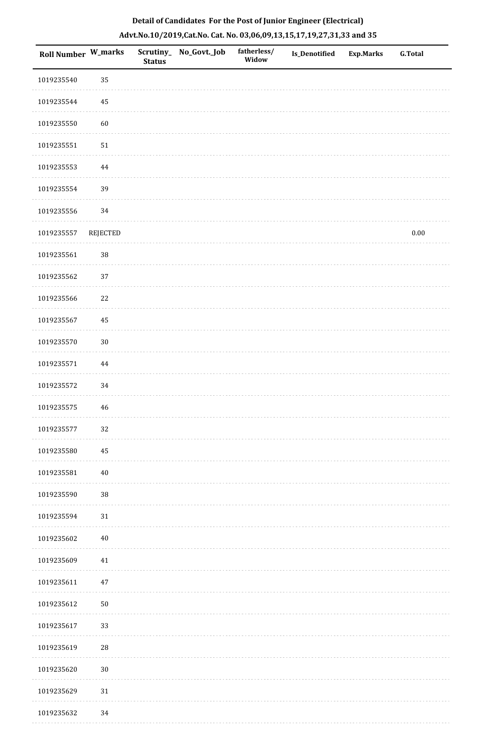|  |  | Detail of Candidates For the Post of Junior Engineer (Electrical)     |  |
|--|--|-----------------------------------------------------------------------|--|
|  |  | Advt.No.10/2019,Cat.No. Cat. No. 03,06,09,13,15,17,19,27,31,33 and 35 |  |

| <b>Roll Number W_marks</b> |                 | <b>Status</b> | Scrutiny_ No_Govt._Job | fatherless/<br>Widow | Is_Denotified | <b>Exp.Marks</b> | <b>G.Total</b> |
|----------------------------|-----------------|---------------|------------------------|----------------------|---------------|------------------|----------------|
| 1019235540                 | 35              |               |                        |                      |               |                  |                |
| 1019235544                 | 45              |               |                        |                      |               |                  |                |
| 1019235550                 | 60              |               |                        |                      |               |                  |                |
| 1019235551                 | $51\,$          |               |                        |                      |               |                  |                |
| 1019235553                 | 44              |               |                        |                      |               |                  |                |
| 1019235554                 | 39              |               |                        |                      |               |                  |                |
| 1019235556                 | 34              |               |                        |                      |               |                  |                |
| 1019235557                 | <b>REJECTED</b> |               |                        |                      |               |                  | $0.00\,$       |
| 1019235561                 | $38\,$          |               |                        |                      |               |                  |                |
| 1019235562                 | 37              |               |                        |                      |               |                  |                |
| 1019235566                 | 22              |               |                        |                      |               |                  |                |
| 1019235567                 | 45              |               |                        |                      |               |                  |                |
| 1019235570                 | $30\,$          |               |                        |                      |               |                  |                |
| 1019235571                 | $\bf 44$        |               |                        |                      |               |                  |                |
| 1019235572                 | 34              |               |                        |                      |               |                  |                |
| 1019235575                 | $46\,$          |               |                        |                      |               |                  |                |
| 1019235577                 | 32              |               |                        |                      |               |                  |                |
| 1019235580                 | 45              |               |                        |                      |               |                  |                |
| 1019235581                 | $40\,$          |               |                        |                      |               |                  |                |
| 1019235590                 | 38              |               |                        |                      |               |                  |                |
| 1019235594                 | $31\,$          |               |                        |                      |               |                  |                |
| 1019235602                 | $40\,$          |               |                        |                      |               |                  |                |
| 1019235609                 | $41\,$          |               |                        |                      |               |                  |                |
| 1019235611                 | $47\,$          |               |                        |                      |               |                  |                |
| 1019235612                 | $50\,$          |               |                        |                      |               |                  |                |
| 1019235617                 | 33              |               |                        |                      |               |                  |                |
| 1019235619                 | $\sqrt{28}$     |               |                        |                      |               |                  |                |
| 1019235620                 | $30\,$          |               |                        |                      |               |                  |                |
| 1019235629                 | $31\,$          |               |                        |                      |               |                  |                |
| 1019235632                 | 34              |               |                        |                      |               |                  |                |